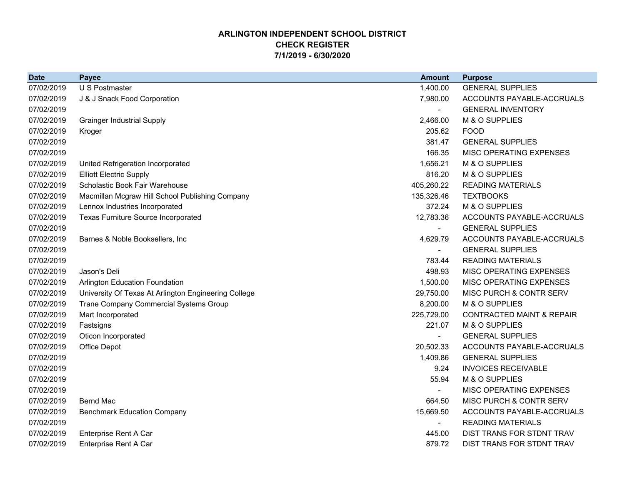## **ARLINGTON INDEPENDENT SCHOOL DISTRICTCHECK REGISTER 7/1/2019 - 6/30/2020**

| <b>Date</b> | <b>Payee</b>                                         | <b>Amount</b> | <b>Purpose</b>                       |
|-------------|------------------------------------------------------|---------------|--------------------------------------|
| 07/02/2019  | U S Postmaster                                       | 1,400.00      | <b>GENERAL SUPPLIES</b>              |
| 07/02/2019  | J & J Snack Food Corporation                         | 7,980.00      | ACCOUNTS PAYABLE-ACCRUALS            |
| 07/02/2019  |                                                      |               | <b>GENERAL INVENTORY</b>             |
| 07/02/2019  | <b>Grainger Industrial Supply</b>                    | 2,466.00      | M & O SUPPLIES                       |
| 07/02/2019  | Kroger                                               | 205.62        | <b>FOOD</b>                          |
| 07/02/2019  |                                                      | 381.47        | <b>GENERAL SUPPLIES</b>              |
| 07/02/2019  |                                                      | 166.35        | MISC OPERATING EXPENSES              |
| 07/02/2019  | United Refrigeration Incorporated                    | 1,656.21      | M & O SUPPLIES                       |
| 07/02/2019  | <b>Elliott Electric Supply</b>                       | 816.20        | M & O SUPPLIES                       |
| 07/02/2019  | Scholastic Book Fair Warehouse                       | 405,260.22    | <b>READING MATERIALS</b>             |
| 07/02/2019  | Macmillan Mcgraw Hill School Publishing Company      | 135,326.46    | <b>TEXTBOOKS</b>                     |
| 07/02/2019  | Lennox Industries Incorporated                       | 372.24        | M & O SUPPLIES                       |
| 07/02/2019  | <b>Texas Furniture Source Incorporated</b>           | 12,783.36     | ACCOUNTS PAYABLE-ACCRUALS            |
| 07/02/2019  |                                                      |               | <b>GENERAL SUPPLIES</b>              |
| 07/02/2019  | Barnes & Noble Booksellers, Inc.                     | 4,629.79      | ACCOUNTS PAYABLE-ACCRUALS            |
| 07/02/2019  |                                                      |               | <b>GENERAL SUPPLIES</b>              |
| 07/02/2019  |                                                      | 783.44        | <b>READING MATERIALS</b>             |
| 07/02/2019  | Jason's Deli                                         | 498.93        | MISC OPERATING EXPENSES              |
| 07/02/2019  | <b>Arlington Education Foundation</b>                | 1,500.00      | MISC OPERATING EXPENSES              |
| 07/02/2019  | University Of Texas At Arlington Engineering College | 29,750.00     | MISC PURCH & CONTR SERV              |
| 07/02/2019  | Trane Company Commercial Systems Group               | 8,200.00      | M & O SUPPLIES                       |
| 07/02/2019  | Mart Incorporated                                    | 225,729.00    | <b>CONTRACTED MAINT &amp; REPAIR</b> |
| 07/02/2019  | Fastsigns                                            | 221.07        | M & O SUPPLIES                       |
| 07/02/2019  | Oticon Incorporated                                  |               | <b>GENERAL SUPPLIES</b>              |
| 07/02/2019  | Office Depot                                         | 20,502.33     | ACCOUNTS PAYABLE-ACCRUALS            |
| 07/02/2019  |                                                      | 1,409.86      | <b>GENERAL SUPPLIES</b>              |
| 07/02/2019  |                                                      | 9.24          | <b>INVOICES RECEIVABLE</b>           |
| 07/02/2019  |                                                      | 55.94         | M & O SUPPLIES                       |
| 07/02/2019  |                                                      |               | MISC OPERATING EXPENSES              |
| 07/02/2019  | <b>Bernd Mac</b>                                     | 664.50        | MISC PURCH & CONTR SERV              |
| 07/02/2019  | <b>Benchmark Education Company</b>                   | 15,669.50     | ACCOUNTS PAYABLE-ACCRUALS            |
| 07/02/2019  |                                                      |               | <b>READING MATERIALS</b>             |
| 07/02/2019  | Enterprise Rent A Car                                | 445.00        | DIST TRANS FOR STDNT TRAV            |
| 07/02/2019  | <b>Enterprise Rent A Car</b>                         | 879.72        | DIST TRANS FOR STDNT TRAV            |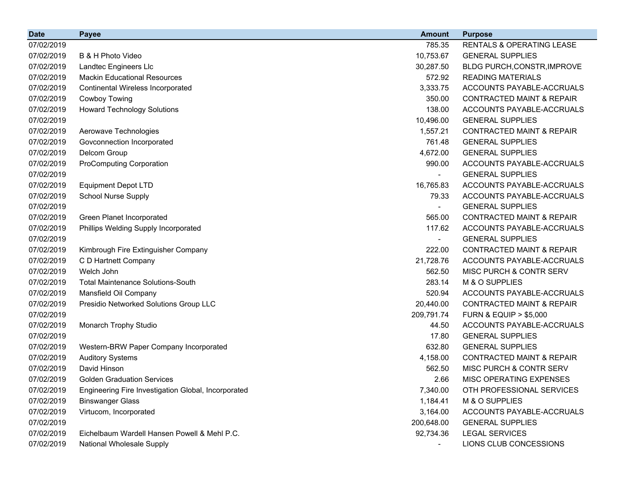| <b>Date</b> | <b>Payee</b>                                        | <b>Amount</b>            | <b>Purpose</b>                       |
|-------------|-----------------------------------------------------|--------------------------|--------------------------------------|
| 07/02/2019  |                                                     | 785.35                   | RENTALS & OPERATING LEASE            |
| 07/02/2019  | B & H Photo Video                                   | 10,753.67                | <b>GENERAL SUPPLIES</b>              |
| 07/02/2019  | Landtec Engineers Llc                               | 30,287.50                | BLDG PURCH, CONSTR, IMPROVE          |
| 07/02/2019  | <b>Mackin Educational Resources</b>                 | 572.92                   | <b>READING MATERIALS</b>             |
| 07/02/2019  | Continental Wireless Incorporated                   | 3,333.75                 | ACCOUNTS PAYABLE-ACCRUALS            |
| 07/02/2019  | Cowboy Towing                                       | 350.00                   | <b>CONTRACTED MAINT &amp; REPAIR</b> |
| 07/02/2019  | <b>Howard Technology Solutions</b>                  | 138.00                   | ACCOUNTS PAYABLE-ACCRUALS            |
| 07/02/2019  |                                                     | 10,496.00                | <b>GENERAL SUPPLIES</b>              |
| 07/02/2019  | Aerowave Technologies                               | 1,557.21                 | <b>CONTRACTED MAINT &amp; REPAIR</b> |
| 07/02/2019  | Govconnection Incorporated                          | 761.48                   | <b>GENERAL SUPPLIES</b>              |
| 07/02/2019  | Delcom Group                                        | 4,672.00                 | <b>GENERAL SUPPLIES</b>              |
| 07/02/2019  | <b>ProComputing Corporation</b>                     | 990.00                   | ACCOUNTS PAYABLE-ACCRUALS            |
| 07/02/2019  |                                                     |                          | <b>GENERAL SUPPLIES</b>              |
| 07/02/2019  | <b>Equipment Depot LTD</b>                          | 16,765.83                | ACCOUNTS PAYABLE-ACCRUALS            |
| 07/02/2019  | <b>School Nurse Supply</b>                          | 79.33                    | ACCOUNTS PAYABLE-ACCRUALS            |
| 07/02/2019  |                                                     |                          | <b>GENERAL SUPPLIES</b>              |
| 07/02/2019  | <b>Green Planet Incorporated</b>                    | 565.00                   | <b>CONTRACTED MAINT &amp; REPAIR</b> |
| 07/02/2019  | Phillips Welding Supply Incorporated                | 117.62                   | ACCOUNTS PAYABLE-ACCRUALS            |
| 07/02/2019  |                                                     | $\overline{\phantom{0}}$ | <b>GENERAL SUPPLIES</b>              |
| 07/02/2019  | Kimbrough Fire Extinguisher Company                 | 222.00                   | <b>CONTRACTED MAINT &amp; REPAIR</b> |
| 07/02/2019  | C D Hartnett Company                                | 21,728.76                | ACCOUNTS PAYABLE-ACCRUALS            |
| 07/02/2019  | Welch John                                          | 562.50                   | MISC PURCH & CONTR SERV              |
| 07/02/2019  | <b>Total Maintenance Solutions-South</b>            | 283.14                   | M & O SUPPLIES                       |
| 07/02/2019  | Mansfield Oil Company                               | 520.94                   | ACCOUNTS PAYABLE-ACCRUALS            |
| 07/02/2019  | Presidio Networked Solutions Group LLC              | 20,440.00                | <b>CONTRACTED MAINT &amp; REPAIR</b> |
| 07/02/2019  |                                                     | 209,791.74               | <b>FURN &amp; EQUIP &gt; \$5,000</b> |
| 07/02/2019  | Monarch Trophy Studio                               | 44.50                    | ACCOUNTS PAYABLE-ACCRUALS            |
| 07/02/2019  |                                                     | 17.80                    | <b>GENERAL SUPPLIES</b>              |
| 07/02/2019  | Western-BRW Paper Company Incorporated              | 632.80                   | <b>GENERAL SUPPLIES</b>              |
| 07/02/2019  | <b>Auditory Systems</b>                             | 4,158.00                 | <b>CONTRACTED MAINT &amp; REPAIR</b> |
| 07/02/2019  | David Hinson                                        | 562.50                   | MISC PURCH & CONTR SERV              |
| 07/02/2019  | <b>Golden Graduation Services</b>                   | 2.66                     | MISC OPERATING EXPENSES              |
| 07/02/2019  | Engineering Fire Investigation Global, Incorporated | 7,340.00                 | OTH PROFESSIONAL SERVICES            |
| 07/02/2019  | <b>Binswanger Glass</b>                             | 1,184.41                 | M & O SUPPLIES                       |
| 07/02/2019  | Virtucom, Incorporated                              | 3,164.00                 | ACCOUNTS PAYABLE-ACCRUALS            |
| 07/02/2019  |                                                     | 200,648.00               | <b>GENERAL SUPPLIES</b>              |
| 07/02/2019  | Eichelbaum Wardell Hansen Powell & Mehl P.C.        | 92,734.36                | <b>LEGAL SERVICES</b>                |
| 07/02/2019  | National Wholesale Supply                           |                          | LIONS CLUB CONCESSIONS               |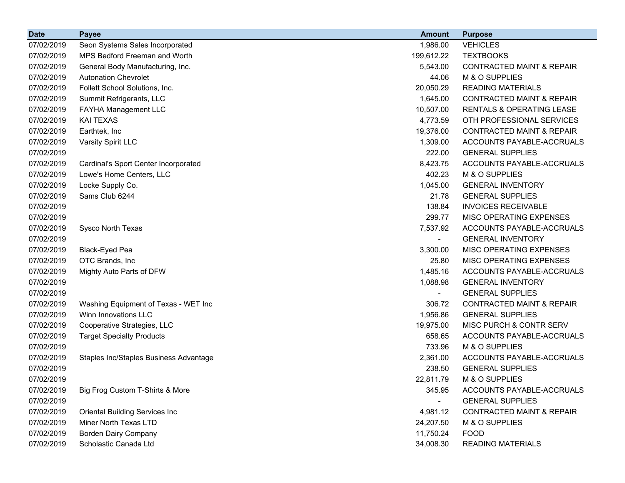| <b>Date</b> | <b>Payee</b>                           | <b>Amount</b>            | <b>Purpose</b>                       |
|-------------|----------------------------------------|--------------------------|--------------------------------------|
| 07/02/2019  | Seon Systems Sales Incorporated        | 1,986.00                 | <b>VEHICLES</b>                      |
| 07/02/2019  | MPS Bedford Freeman and Worth          | 199,612.22               | <b>TEXTBOOKS</b>                     |
| 07/02/2019  | General Body Manufacturing, Inc.       | 5,543.00                 | <b>CONTRACTED MAINT &amp; REPAIR</b> |
| 07/02/2019  | <b>Autonation Chevrolet</b>            | 44.06                    | M & O SUPPLIES                       |
| 07/02/2019  | Follett School Solutions, Inc.         | 20,050.29                | <b>READING MATERIALS</b>             |
| 07/02/2019  | Summit Refrigerants, LLC               | 1,645.00                 | <b>CONTRACTED MAINT &amp; REPAIR</b> |
| 07/02/2019  | FAYHA Management LLC                   | 10,507.00                | RENTALS & OPERATING LEASE            |
| 07/02/2019  | <b>KAI TEXAS</b>                       | 4,773.59                 | OTH PROFESSIONAL SERVICES            |
| 07/02/2019  | Earthtek, Inc                          | 19,376.00                | <b>CONTRACTED MAINT &amp; REPAIR</b> |
| 07/02/2019  | Varsity Spirit LLC                     | 1,309.00                 | ACCOUNTS PAYABLE-ACCRUALS            |
| 07/02/2019  |                                        | 222.00                   | <b>GENERAL SUPPLIES</b>              |
| 07/02/2019  | Cardinal's Sport Center Incorporated   | 8,423.75                 | ACCOUNTS PAYABLE-ACCRUALS            |
| 07/02/2019  | Lowe's Home Centers, LLC               | 402.23                   | M & O SUPPLIES                       |
| 07/02/2019  | Locke Supply Co.                       | 1,045.00                 | <b>GENERAL INVENTORY</b>             |
| 07/02/2019  | Sams Club 6244                         | 21.78                    | <b>GENERAL SUPPLIES</b>              |
| 07/02/2019  |                                        | 138.84                   | <b>INVOICES RECEIVABLE</b>           |
| 07/02/2019  |                                        | 299.77                   | MISC OPERATING EXPENSES              |
| 07/02/2019  | Sysco North Texas                      | 7,537.92                 | ACCOUNTS PAYABLE-ACCRUALS            |
| 07/02/2019  |                                        | $\overline{\phantom{a}}$ | <b>GENERAL INVENTORY</b>             |
| 07/02/2019  | Black-Eyed Pea                         | 3,300.00                 | MISC OPERATING EXPENSES              |
| 07/02/2019  | OTC Brands, Inc.                       | 25.80                    | MISC OPERATING EXPENSES              |
| 07/02/2019  | Mighty Auto Parts of DFW               | 1,485.16                 | ACCOUNTS PAYABLE-ACCRUALS            |
| 07/02/2019  |                                        | 1,088.98                 | <b>GENERAL INVENTORY</b>             |
| 07/02/2019  |                                        |                          | <b>GENERAL SUPPLIES</b>              |
| 07/02/2019  | Washing Equipment of Texas - WET Inc   | 306.72                   | <b>CONTRACTED MAINT &amp; REPAIR</b> |
| 07/02/2019  | Winn Innovations LLC                   | 1,956.86                 | <b>GENERAL SUPPLIES</b>              |
| 07/02/2019  | Cooperative Strategies, LLC            | 19,975.00                | MISC PURCH & CONTR SERV              |
| 07/02/2019  | <b>Target Specialty Products</b>       | 658.65                   | ACCOUNTS PAYABLE-ACCRUALS            |
| 07/02/2019  |                                        | 733.96                   | M & O SUPPLIES                       |
| 07/02/2019  | Staples Inc/Staples Business Advantage | 2,361.00                 | ACCOUNTS PAYABLE-ACCRUALS            |
| 07/02/2019  |                                        | 238.50                   | <b>GENERAL SUPPLIES</b>              |
| 07/02/2019  |                                        | 22,811.79                | M & O SUPPLIES                       |
| 07/02/2019  | Big Frog Custom T-Shirts & More        | 345.95                   | ACCOUNTS PAYABLE-ACCRUALS            |
| 07/02/2019  |                                        | $\blacksquare$           | <b>GENERAL SUPPLIES</b>              |
| 07/02/2019  | <b>Oriental Building Services Inc</b>  | 4,981.12                 | <b>CONTRACTED MAINT &amp; REPAIR</b> |
| 07/02/2019  | <b>Miner North Texas LTD</b>           | 24,207.50                | M & O SUPPLIES                       |
| 07/02/2019  | <b>Borden Dairy Company</b>            | 11,750.24                | <b>FOOD</b>                          |
| 07/02/2019  | Scholastic Canada Ltd                  | 34,008.30                | <b>READING MATERIALS</b>             |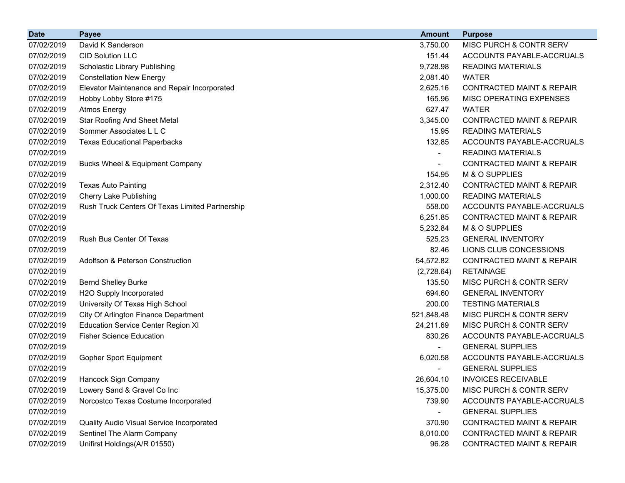| <b>Date</b> | <b>Payee</b>                                    | <b>Amount</b>            | <b>Purpose</b>                       |
|-------------|-------------------------------------------------|--------------------------|--------------------------------------|
| 07/02/2019  | David K Sanderson                               | 3,750.00                 | MISC PURCH & CONTR SERV              |
| 07/02/2019  | <b>CID Solution LLC</b>                         | 151.44                   | ACCOUNTS PAYABLE-ACCRUALS            |
| 07/02/2019  | Scholastic Library Publishing                   | 9,728.98                 | <b>READING MATERIALS</b>             |
| 07/02/2019  | <b>Constellation New Energy</b>                 | 2,081.40                 | <b>WATER</b>                         |
| 07/02/2019  | Elevator Maintenance and Repair Incorporated    | 2,625.16                 | <b>CONTRACTED MAINT &amp; REPAIR</b> |
| 07/02/2019  | Hobby Lobby Store #175                          | 165.96                   | MISC OPERATING EXPENSES              |
| 07/02/2019  | <b>Atmos Energy</b>                             | 627.47                   | <b>WATER</b>                         |
| 07/02/2019  | <b>Star Roofing And Sheet Metal</b>             | 3,345.00                 | <b>CONTRACTED MAINT &amp; REPAIR</b> |
| 07/02/2019  | Sommer Associates L L C                         | 15.95                    | <b>READING MATERIALS</b>             |
| 07/02/2019  | <b>Texas Educational Paperbacks</b>             | 132.85                   | ACCOUNTS PAYABLE-ACCRUALS            |
| 07/02/2019  |                                                 | $\overline{\phantom{a}}$ | <b>READING MATERIALS</b>             |
| 07/02/2019  | Bucks Wheel & Equipment Company                 |                          | <b>CONTRACTED MAINT &amp; REPAIR</b> |
| 07/02/2019  |                                                 | 154.95                   | M & O SUPPLIES                       |
| 07/02/2019  | <b>Texas Auto Painting</b>                      | 2,312.40                 | <b>CONTRACTED MAINT &amp; REPAIR</b> |
| 07/02/2019  | <b>Cherry Lake Publishing</b>                   | 1,000.00                 | <b>READING MATERIALS</b>             |
| 07/02/2019  | Rush Truck Centers Of Texas Limited Partnership | 558.00                   | ACCOUNTS PAYABLE-ACCRUALS            |
| 07/02/2019  |                                                 | 6,251.85                 | <b>CONTRACTED MAINT &amp; REPAIR</b> |
| 07/02/2019  |                                                 | 5,232.84                 | M & O SUPPLIES                       |
| 07/02/2019  | Rush Bus Center Of Texas                        | 525.23                   | <b>GENERAL INVENTORY</b>             |
| 07/02/2019  |                                                 | 82.46                    | LIONS CLUB CONCESSIONS               |
| 07/02/2019  | Adolfson & Peterson Construction                | 54,572.82                | <b>CONTRACTED MAINT &amp; REPAIR</b> |
| 07/02/2019  |                                                 | (2,728.64)               | <b>RETAINAGE</b>                     |
| 07/02/2019  | <b>Bernd Shelley Burke</b>                      | 135.50                   | MISC PURCH & CONTR SERV              |
| 07/02/2019  | H2O Supply Incorporated                         | 694.60                   | <b>GENERAL INVENTORY</b>             |
| 07/02/2019  | University Of Texas High School                 | 200.00                   | <b>TESTING MATERIALS</b>             |
| 07/02/2019  | City Of Arlington Finance Department            | 521,848.48               | MISC PURCH & CONTR SERV              |
| 07/02/2019  | <b>Education Service Center Region XI</b>       | 24,211.69                | MISC PURCH & CONTR SERV              |
| 07/02/2019  | <b>Fisher Science Education</b>                 | 830.26                   | ACCOUNTS PAYABLE-ACCRUALS            |
| 07/02/2019  |                                                 |                          | <b>GENERAL SUPPLIES</b>              |
| 07/02/2019  | <b>Gopher Sport Equipment</b>                   | 6,020.58                 | ACCOUNTS PAYABLE-ACCRUALS            |
| 07/02/2019  |                                                 |                          | <b>GENERAL SUPPLIES</b>              |
| 07/02/2019  | Hancock Sign Company                            | 26,604.10                | <b>INVOICES RECEIVABLE</b>           |
| 07/02/2019  | Lowery Sand & Gravel Co Inc                     | 15,375.00                | MISC PURCH & CONTR SERV              |
| 07/02/2019  | Norcostco Texas Costume Incorporated            | 739.90                   | ACCOUNTS PAYABLE-ACCRUALS            |
| 07/02/2019  |                                                 |                          | <b>GENERAL SUPPLIES</b>              |
| 07/02/2019  | Quality Audio Visual Service Incorporated       | 370.90                   | <b>CONTRACTED MAINT &amp; REPAIR</b> |
| 07/02/2019  | Sentinel The Alarm Company                      | 8,010.00                 | <b>CONTRACTED MAINT &amp; REPAIR</b> |
| 07/02/2019  | Unifirst Holdings(A/R 01550)                    | 96.28                    | <b>CONTRACTED MAINT &amp; REPAIR</b> |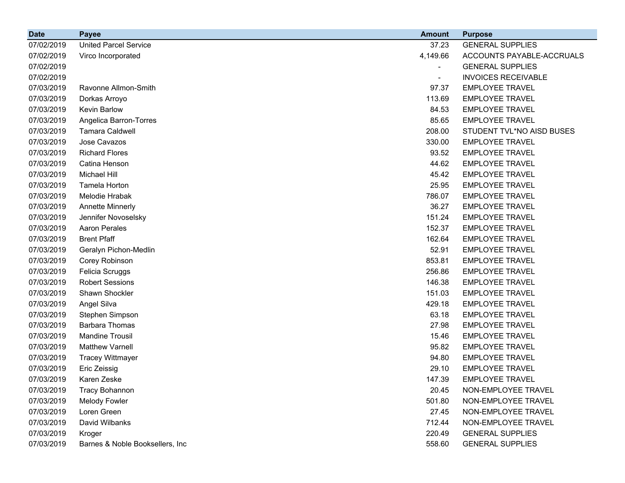| <b>Date</b> | <b>Payee</b>                    | <b>Amount</b> | <b>Purpose</b>             |
|-------------|---------------------------------|---------------|----------------------------|
| 07/02/2019  | <b>United Parcel Service</b>    | 37.23         | <b>GENERAL SUPPLIES</b>    |
| 07/02/2019  | Virco Incorporated              | 4,149.66      | ACCOUNTS PAYABLE-ACCRUALS  |
| 07/02/2019  |                                 |               | <b>GENERAL SUPPLIES</b>    |
| 07/02/2019  |                                 | -             | <b>INVOICES RECEIVABLE</b> |
| 07/03/2019  | Ravonne Allmon-Smith            | 97.37         | <b>EMPLOYEE TRAVEL</b>     |
| 07/03/2019  | Dorkas Arroyo                   | 113.69        | <b>EMPLOYEE TRAVEL</b>     |
| 07/03/2019  | <b>Kevin Barlow</b>             | 84.53         | <b>EMPLOYEE TRAVEL</b>     |
| 07/03/2019  | Angelica Barron-Torres          | 85.65         | <b>EMPLOYEE TRAVEL</b>     |
| 07/03/2019  | <b>Tamara Caldwell</b>          | 208.00        | STUDENT TVL*NO AISD BUSES  |
| 07/03/2019  | Jose Cavazos                    | 330.00        | <b>EMPLOYEE TRAVEL</b>     |
| 07/03/2019  | <b>Richard Flores</b>           | 93.52         | <b>EMPLOYEE TRAVEL</b>     |
| 07/03/2019  | Catina Henson                   | 44.62         | <b>EMPLOYEE TRAVEL</b>     |
| 07/03/2019  | <b>Michael Hill</b>             | 45.42         | <b>EMPLOYEE TRAVEL</b>     |
| 07/03/2019  | Tamela Horton                   | 25.95         | <b>EMPLOYEE TRAVEL</b>     |
| 07/03/2019  | Melodie Hrabak                  | 786.07        | <b>EMPLOYEE TRAVEL</b>     |
| 07/03/2019  | <b>Annette Minnerly</b>         | 36.27         | <b>EMPLOYEE TRAVEL</b>     |
| 07/03/2019  | Jennifer Novoselsky             | 151.24        | <b>EMPLOYEE TRAVEL</b>     |
| 07/03/2019  | <b>Aaron Perales</b>            | 152.37        | <b>EMPLOYEE TRAVEL</b>     |
| 07/03/2019  | <b>Brent Pfaff</b>              | 162.64        | <b>EMPLOYEE TRAVEL</b>     |
| 07/03/2019  | Geralyn Pichon-Medlin           | 52.91         | <b>EMPLOYEE TRAVEL</b>     |
| 07/03/2019  | Corey Robinson                  | 853.81        | <b>EMPLOYEE TRAVEL</b>     |
| 07/03/2019  | Felicia Scruggs                 | 256.86        | <b>EMPLOYEE TRAVEL</b>     |
| 07/03/2019  | <b>Robert Sessions</b>          | 146.38        | <b>EMPLOYEE TRAVEL</b>     |
| 07/03/2019  | Shawn Shockler                  | 151.03        | <b>EMPLOYEE TRAVEL</b>     |
| 07/03/2019  | Angel Silva                     | 429.18        | <b>EMPLOYEE TRAVEL</b>     |
| 07/03/2019  | Stephen Simpson                 | 63.18         | <b>EMPLOYEE TRAVEL</b>     |
| 07/03/2019  | <b>Barbara Thomas</b>           | 27.98         | EMPLOYEE TRAVEL            |
| 07/03/2019  | <b>Mandine Trousil</b>          | 15.46         | <b>EMPLOYEE TRAVEL</b>     |
| 07/03/2019  | <b>Matthew Varnell</b>          | 95.82         | <b>EMPLOYEE TRAVEL</b>     |
| 07/03/2019  | <b>Tracey Wittmayer</b>         | 94.80         | <b>EMPLOYEE TRAVEL</b>     |
| 07/03/2019  | Eric Zeissig                    | 29.10         | <b>EMPLOYEE TRAVEL</b>     |
| 07/03/2019  | Karen Zeske                     | 147.39        | <b>EMPLOYEE TRAVEL</b>     |
| 07/03/2019  | <b>Tracy Bohannon</b>           | 20.45         | NON-EMPLOYEE TRAVEL        |
| 07/03/2019  | <b>Melody Fowler</b>            | 501.80        | NON-EMPLOYEE TRAVEL        |
| 07/03/2019  | Loren Green                     | 27.45         | NON-EMPLOYEE TRAVEL        |
| 07/03/2019  | David Wilbanks                  | 712.44        | NON-EMPLOYEE TRAVEL        |
| 07/03/2019  | Kroger                          | 220.49        | <b>GENERAL SUPPLIES</b>    |
| 07/03/2019  | Barnes & Noble Booksellers, Inc | 558.60        | <b>GENERAL SUPPLIES</b>    |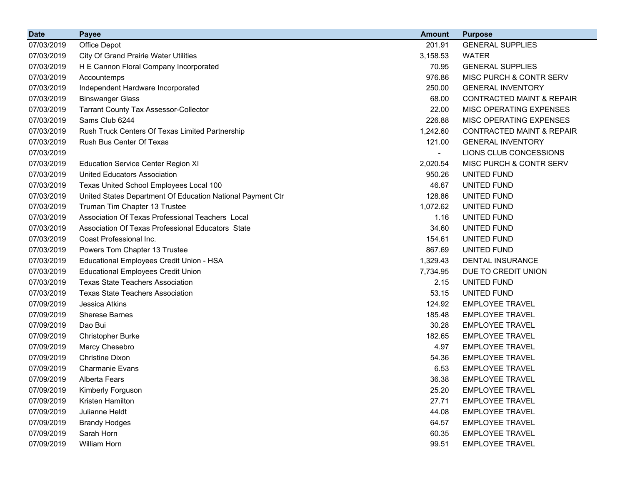| <b>Date</b> | <b>Payee</b>                                               | <b>Amount</b>            | <b>Purpose</b>                       |
|-------------|------------------------------------------------------------|--------------------------|--------------------------------------|
| 07/03/2019  | Office Depot                                               | 201.91                   | <b>GENERAL SUPPLIES</b>              |
| 07/03/2019  | <b>City Of Grand Prairie Water Utilities</b>               | 3,158.53                 | <b>WATER</b>                         |
| 07/03/2019  | H E Cannon Floral Company Incorporated                     | 70.95                    | <b>GENERAL SUPPLIES</b>              |
| 07/03/2019  | Accountemps                                                | 976.86                   | MISC PURCH & CONTR SERV              |
| 07/03/2019  | Independent Hardware Incorporated                          | 250.00                   | <b>GENERAL INVENTORY</b>             |
| 07/03/2019  | <b>Binswanger Glass</b>                                    | 68.00                    | <b>CONTRACTED MAINT &amp; REPAIR</b> |
| 07/03/2019  | <b>Tarrant County Tax Assessor-Collector</b>               | 22.00                    | MISC OPERATING EXPENSES              |
| 07/03/2019  | Sams Club 6244                                             | 226.88                   | MISC OPERATING EXPENSES              |
| 07/03/2019  | Rush Truck Centers Of Texas Limited Partnership            | 1,242.60                 | <b>CONTRACTED MAINT &amp; REPAIR</b> |
| 07/03/2019  | Rush Bus Center Of Texas                                   | 121.00                   | <b>GENERAL INVENTORY</b>             |
| 07/03/2019  |                                                            | $\overline{\phantom{a}}$ | LIONS CLUB CONCESSIONS               |
| 07/03/2019  | <b>Education Service Center Region XI</b>                  | 2,020.54                 | MISC PURCH & CONTR SERV              |
| 07/03/2019  | <b>United Educators Association</b>                        | 950.26                   | UNITED FUND                          |
| 07/03/2019  | Texas United School Employees Local 100                    | 46.67                    | UNITED FUND                          |
| 07/03/2019  | United States Department Of Education National Payment Ctr | 128.86                   | UNITED FUND                          |
| 07/03/2019  | Truman Tim Chapter 13 Trustee                              | 1,072.62                 | UNITED FUND                          |
| 07/03/2019  | Association Of Texas Professional Teachers Local           | 1.16                     | UNITED FUND                          |
| 07/03/2019  | Association Of Texas Professional Educators State          | 34.60                    | UNITED FUND                          |
| 07/03/2019  | Coast Professional Inc.                                    | 154.61                   | UNITED FUND                          |
| 07/03/2019  | Powers Tom Chapter 13 Trustee                              | 867.69                   | UNITED FUND                          |
| 07/03/2019  | Educational Employees Credit Union - HSA                   | 1,329.43                 | <b>DENTAL INSURANCE</b>              |
| 07/03/2019  | <b>Educational Employees Credit Union</b>                  | 7,734.95                 | DUE TO CREDIT UNION                  |
| 07/03/2019  | <b>Texas State Teachers Association</b>                    | 2.15                     | UNITED FUND                          |
| 07/03/2019  | <b>Texas State Teachers Association</b>                    | 53.15                    | UNITED FUND                          |
| 07/09/2019  | Jessica Atkins                                             | 124.92                   | <b>EMPLOYEE TRAVEL</b>               |
| 07/09/2019  | <b>Sherese Barnes</b>                                      | 185.48                   | <b>EMPLOYEE TRAVEL</b>               |
| 07/09/2019  | Dao Bui                                                    | 30.28                    | <b>EMPLOYEE TRAVEL</b>               |
| 07/09/2019  | <b>Christopher Burke</b>                                   | 182.65                   | <b>EMPLOYEE TRAVEL</b>               |
| 07/09/2019  | Marcy Chesebro                                             | 4.97                     | <b>EMPLOYEE TRAVEL</b>               |
| 07/09/2019  | <b>Christine Dixon</b>                                     | 54.36                    | <b>EMPLOYEE TRAVEL</b>               |
| 07/09/2019  | <b>Charmanie Evans</b>                                     | 6.53                     | <b>EMPLOYEE TRAVEL</b>               |
| 07/09/2019  | Alberta Fears                                              | 36.38                    | <b>EMPLOYEE TRAVEL</b>               |
| 07/09/2019  | Kimberly Forguson                                          | 25.20                    | <b>EMPLOYEE TRAVEL</b>               |
| 07/09/2019  | Kristen Hamilton                                           | 27.71                    | <b>EMPLOYEE TRAVEL</b>               |
| 07/09/2019  | Julianne Heldt                                             | 44.08                    | <b>EMPLOYEE TRAVEL</b>               |
| 07/09/2019  | <b>Brandy Hodges</b>                                       | 64.57                    | <b>EMPLOYEE TRAVEL</b>               |
| 07/09/2019  | Sarah Horn                                                 | 60.35                    | <b>EMPLOYEE TRAVEL</b>               |
| 07/09/2019  | William Horn                                               | 99.51                    | <b>EMPLOYEE TRAVEL</b>               |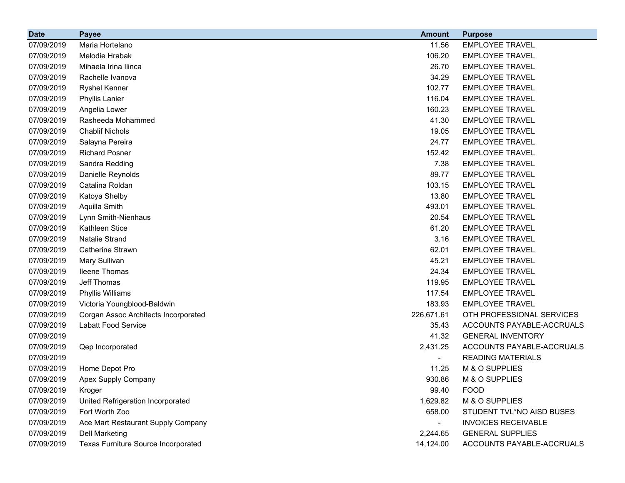| <b>Date</b> | <b>Payee</b>                         | <b>Amount</b> | <b>Purpose</b>             |
|-------------|--------------------------------------|---------------|----------------------------|
| 07/09/2019  | Maria Hortelano                      | 11.56         | <b>EMPLOYEE TRAVEL</b>     |
| 07/09/2019  | Melodie Hrabak                       | 106.20        | <b>EMPLOYEE TRAVEL</b>     |
| 07/09/2019  | Mihaela Irina Ilinca                 | 26.70         | <b>EMPLOYEE TRAVEL</b>     |
| 07/09/2019  | Rachelle Ivanova                     | 34.29         | <b>EMPLOYEE TRAVEL</b>     |
| 07/09/2019  | <b>Ryshel Kenner</b>                 | 102.77        | <b>EMPLOYEE TRAVEL</b>     |
| 07/09/2019  | <b>Phyllis Lanier</b>                | 116.04        | <b>EMPLOYEE TRAVEL</b>     |
| 07/09/2019  | Angelia Lower                        | 160.23        | <b>EMPLOYEE TRAVEL</b>     |
| 07/09/2019  | Rasheeda Mohammed                    | 41.30         | <b>EMPLOYEE TRAVEL</b>     |
| 07/09/2019  | <b>Chablif Nichols</b>               | 19.05         | <b>EMPLOYEE TRAVEL</b>     |
| 07/09/2019  | Salayna Pereira                      | 24.77         | <b>EMPLOYEE TRAVEL</b>     |
| 07/09/2019  | <b>Richard Posner</b>                | 152.42        | <b>EMPLOYEE TRAVEL</b>     |
| 07/09/2019  | Sandra Redding                       | 7.38          | <b>EMPLOYEE TRAVEL</b>     |
| 07/09/2019  | Danielle Reynolds                    | 89.77         | <b>EMPLOYEE TRAVEL</b>     |
| 07/09/2019  | Catalina Roldan                      | 103.15        | <b>EMPLOYEE TRAVEL</b>     |
| 07/09/2019  | Katoya Shelby                        | 13.80         | <b>EMPLOYEE TRAVEL</b>     |
| 07/09/2019  | Aquilla Smith                        | 493.01        | <b>EMPLOYEE TRAVEL</b>     |
| 07/09/2019  | Lynn Smith-Nienhaus                  | 20.54         | <b>EMPLOYEE TRAVEL</b>     |
| 07/09/2019  | Kathleen Stice                       | 61.20         | <b>EMPLOYEE TRAVEL</b>     |
| 07/09/2019  | <b>Natalie Strand</b>                | 3.16          | <b>EMPLOYEE TRAVEL</b>     |
| 07/09/2019  | Catherine Strawn                     | 62.01         | <b>EMPLOYEE TRAVEL</b>     |
| 07/09/2019  | Mary Sullivan                        | 45.21         | <b>EMPLOYEE TRAVEL</b>     |
| 07/09/2019  | <b>Ileene Thomas</b>                 | 24.34         | <b>EMPLOYEE TRAVEL</b>     |
| 07/09/2019  | Jeff Thomas                          | 119.95        | <b>EMPLOYEE TRAVEL</b>     |
| 07/09/2019  | Phyllis Williams                     | 117.54        | <b>EMPLOYEE TRAVEL</b>     |
| 07/09/2019  | Victoria Youngblood-Baldwin          | 183.93        | <b>EMPLOYEE TRAVEL</b>     |
| 07/09/2019  | Corgan Assoc Architects Incorporated | 226,671.61    | OTH PROFESSIONAL SERVICES  |
| 07/09/2019  | Labatt Food Service                  | 35.43         | ACCOUNTS PAYABLE-ACCRUALS  |
| 07/09/2019  |                                      | 41.32         | <b>GENERAL INVENTORY</b>   |
| 07/09/2019  | Qep Incorporated                     | 2,431.25      | ACCOUNTS PAYABLE-ACCRUALS  |
| 07/09/2019  |                                      |               | <b>READING MATERIALS</b>   |
| 07/09/2019  | Home Depot Pro                       | 11.25         | M & O SUPPLIES             |
| 07/09/2019  | Apex Supply Company                  | 930.86        | M & O SUPPLIES             |
| 07/09/2019  | Kroger                               | 99.40         | <b>FOOD</b>                |
| 07/09/2019  | United Refrigeration Incorporated    | 1,629.82      | M & O SUPPLIES             |
| 07/09/2019  | Fort Worth Zoo                       | 658.00        | STUDENT TVL*NO AISD BUSES  |
| 07/09/2019  | Ace Mart Restaurant Supply Company   |               | <b>INVOICES RECEIVABLE</b> |
| 07/09/2019  | <b>Dell Marketing</b>                | 2,244.65      | <b>GENERAL SUPPLIES</b>    |
| 07/09/2019  | Texas Furniture Source Incorporated  | 14,124.00     | ACCOUNTS PAYABLE-ACCRUALS  |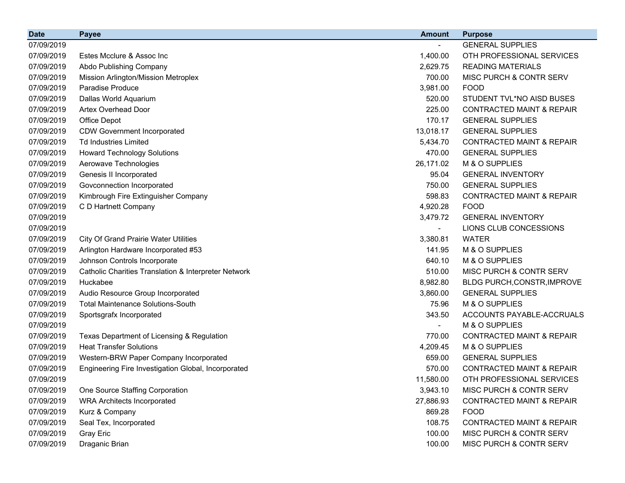| <b>Date</b> | <b>Payee</b>                                         | <b>Amount</b>            | <b>Purpose</b>                       |
|-------------|------------------------------------------------------|--------------------------|--------------------------------------|
| 07/09/2019  |                                                      |                          | <b>GENERAL SUPPLIES</b>              |
| 07/09/2019  | Estes Mcclure & Assoc Inc                            | 1,400.00                 | OTH PROFESSIONAL SERVICES            |
| 07/09/2019  | Abdo Publishing Company                              | 2,629.75                 | <b>READING MATERIALS</b>             |
| 07/09/2019  | Mission Arlington/Mission Metroplex                  | 700.00                   | MISC PURCH & CONTR SERV              |
| 07/09/2019  | <b>Paradise Produce</b>                              | 3,981.00                 | <b>FOOD</b>                          |
| 07/09/2019  | Dallas World Aquarium                                | 520.00                   | STUDENT TVL*NO AISD BUSES            |
| 07/09/2019  | <b>Artex Overhead Door</b>                           | 225.00                   | <b>CONTRACTED MAINT &amp; REPAIR</b> |
| 07/09/2019  | Office Depot                                         | 170.17                   | <b>GENERAL SUPPLIES</b>              |
| 07/09/2019  | <b>CDW Government Incorporated</b>                   | 13,018.17                | <b>GENERAL SUPPLIES</b>              |
| 07/09/2019  | <b>Td Industries Limited</b>                         | 5,434.70                 | <b>CONTRACTED MAINT &amp; REPAIR</b> |
| 07/09/2019  | <b>Howard Technology Solutions</b>                   | 470.00                   | <b>GENERAL SUPPLIES</b>              |
| 07/09/2019  | Aerowave Technologies                                | 26,171.02                | M & O SUPPLIES                       |
| 07/09/2019  | Genesis II Incorporated                              | 95.04                    | <b>GENERAL INVENTORY</b>             |
| 07/09/2019  | Govconnection Incorporated                           | 750.00                   | <b>GENERAL SUPPLIES</b>              |
| 07/09/2019  | Kimbrough Fire Extinguisher Company                  | 598.83                   | <b>CONTRACTED MAINT &amp; REPAIR</b> |
| 07/09/2019  | C D Hartnett Company                                 | 4,920.28                 | <b>FOOD</b>                          |
| 07/09/2019  |                                                      | 3,479.72                 | <b>GENERAL INVENTORY</b>             |
| 07/09/2019  |                                                      |                          | LIONS CLUB CONCESSIONS               |
| 07/09/2019  | <b>City Of Grand Prairie Water Utilities</b>         | 3,380.81                 | <b>WATER</b>                         |
| 07/09/2019  | Arlington Hardware Incorporated #53                  | 141.95                   | M & O SUPPLIES                       |
| 07/09/2019  | Johnson Controls Incorporate                         | 640.10                   | M & O SUPPLIES                       |
| 07/09/2019  | Catholic Charities Translation & Interpreter Network | 510.00                   | MISC PURCH & CONTR SERV              |
| 07/09/2019  | Huckabee                                             | 8,982.80                 | BLDG PURCH, CONSTR, IMPROVE          |
| 07/09/2019  | Audio Resource Group Incorporated                    | 3,860.00                 | <b>GENERAL SUPPLIES</b>              |
| 07/09/2019  | <b>Total Maintenance Solutions-South</b>             | 75.96                    | M & O SUPPLIES                       |
| 07/09/2019  | Sportsgrafx Incorporated                             | 343.50                   | ACCOUNTS PAYABLE-ACCRUALS            |
| 07/09/2019  |                                                      | $\overline{\phantom{a}}$ | M & O SUPPLIES                       |
| 07/09/2019  | Texas Department of Licensing & Regulation           | 770.00                   | <b>CONTRACTED MAINT &amp; REPAIR</b> |
| 07/09/2019  | <b>Heat Transfer Solutions</b>                       | 4,209.45                 | M & O SUPPLIES                       |
| 07/09/2019  | Western-BRW Paper Company Incorporated               | 659.00                   | <b>GENERAL SUPPLIES</b>              |
| 07/09/2019  | Engineering Fire Investigation Global, Incorporated  | 570.00                   | <b>CONTRACTED MAINT &amp; REPAIR</b> |
| 07/09/2019  |                                                      | 11,580.00                | OTH PROFESSIONAL SERVICES            |
| 07/09/2019  | One Source Staffing Corporation                      | 3,943.10                 | MISC PURCH & CONTR SERV              |
| 07/09/2019  | <b>WRA Architects Incorporated</b>                   | 27,886.93                | <b>CONTRACTED MAINT &amp; REPAIR</b> |
| 07/09/2019  | Kurz & Company                                       | 869.28                   | <b>FOOD</b>                          |
| 07/09/2019  | Seal Tex, Incorporated                               | 108.75                   | <b>CONTRACTED MAINT &amp; REPAIR</b> |
| 07/09/2019  | <b>Gray Eric</b>                                     | 100.00                   | MISC PURCH & CONTR SERV              |
| 07/09/2019  | Draganic Brian                                       | 100.00                   | MISC PURCH & CONTR SERV              |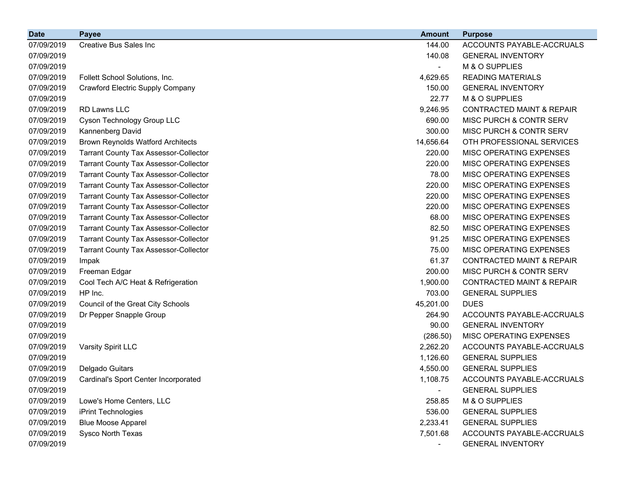| <b>Date</b> | <b>Payee</b>                                 | <b>Amount</b>  | <b>Purpose</b>                       |
|-------------|----------------------------------------------|----------------|--------------------------------------|
| 07/09/2019  | <b>Creative Bus Sales Inc</b>                | 144.00         | ACCOUNTS PAYABLE-ACCRUALS            |
| 07/09/2019  |                                              | 140.08         | <b>GENERAL INVENTORY</b>             |
| 07/09/2019  |                                              |                | M & O SUPPLIES                       |
| 07/09/2019  | Follett School Solutions, Inc.               | 4,629.65       | <b>READING MATERIALS</b>             |
| 07/09/2019  | <b>Crawford Electric Supply Company</b>      | 150.00         | <b>GENERAL INVENTORY</b>             |
| 07/09/2019  |                                              | 22.77          | M & O SUPPLIES                       |
| 07/09/2019  | RD Lawns LLC                                 | 9,246.95       | <b>CONTRACTED MAINT &amp; REPAIR</b> |
| 07/09/2019  | Cyson Technology Group LLC                   | 690.00         | MISC PURCH & CONTR SERV              |
| 07/09/2019  | Kannenberg David                             | 300.00         | MISC PURCH & CONTR SERV              |
| 07/09/2019  | <b>Brown Reynolds Watford Architects</b>     | 14,656.64      | OTH PROFESSIONAL SERVICES            |
| 07/09/2019  | <b>Tarrant County Tax Assessor-Collector</b> | 220.00         | MISC OPERATING EXPENSES              |
| 07/09/2019  | <b>Tarrant County Tax Assessor-Collector</b> | 220.00         | MISC OPERATING EXPENSES              |
| 07/09/2019  | <b>Tarrant County Tax Assessor-Collector</b> | 78.00          | MISC OPERATING EXPENSES              |
| 07/09/2019  | <b>Tarrant County Tax Assessor-Collector</b> | 220.00         | MISC OPERATING EXPENSES              |
| 07/09/2019  | <b>Tarrant County Tax Assessor-Collector</b> | 220.00         | MISC OPERATING EXPENSES              |
| 07/09/2019  | <b>Tarrant County Tax Assessor-Collector</b> | 220.00         | MISC OPERATING EXPENSES              |
| 07/09/2019  | <b>Tarrant County Tax Assessor-Collector</b> | 68.00          | MISC OPERATING EXPENSES              |
| 07/09/2019  | <b>Tarrant County Tax Assessor-Collector</b> | 82.50          | MISC OPERATING EXPENSES              |
| 07/09/2019  | <b>Tarrant County Tax Assessor-Collector</b> | 91.25          | MISC OPERATING EXPENSES              |
| 07/09/2019  | <b>Tarrant County Tax Assessor-Collector</b> | 75.00          | MISC OPERATING EXPENSES              |
| 07/09/2019  | Impak                                        | 61.37          | CONTRACTED MAINT & REPAIR            |
| 07/09/2019  | Freeman Edgar                                | 200.00         | MISC PURCH & CONTR SERV              |
| 07/09/2019  | Cool Tech A/C Heat & Refrigeration           | 1,900.00       | <b>CONTRACTED MAINT &amp; REPAIR</b> |
| 07/09/2019  | HP Inc.                                      | 703.00         | <b>GENERAL SUPPLIES</b>              |
| 07/09/2019  | Council of the Great City Schools            | 45,201.00      | <b>DUES</b>                          |
| 07/09/2019  | Dr Pepper Snapple Group                      | 264.90         | ACCOUNTS PAYABLE-ACCRUALS            |
| 07/09/2019  |                                              | 90.00          | <b>GENERAL INVENTORY</b>             |
| 07/09/2019  |                                              | (286.50)       | MISC OPERATING EXPENSES              |
| 07/09/2019  | Varsity Spirit LLC                           | 2,262.20       | ACCOUNTS PAYABLE-ACCRUALS            |
| 07/09/2019  |                                              | 1,126.60       | <b>GENERAL SUPPLIES</b>              |
| 07/09/2019  | Delgado Guitars                              | 4,550.00       | <b>GENERAL SUPPLIES</b>              |
| 07/09/2019  | Cardinal's Sport Center Incorporated         | 1,108.75       | ACCOUNTS PAYABLE-ACCRUALS            |
| 07/09/2019  |                                              | $\blacksquare$ | <b>GENERAL SUPPLIES</b>              |
| 07/09/2019  | Lowe's Home Centers, LLC                     | 258.85         | M & O SUPPLIES                       |
| 07/09/2019  | iPrint Technologies                          | 536.00         | <b>GENERAL SUPPLIES</b>              |
| 07/09/2019  | <b>Blue Moose Apparel</b>                    | 2,233.41       | <b>GENERAL SUPPLIES</b>              |
| 07/09/2019  | Sysco North Texas                            | 7,501.68       | ACCOUNTS PAYABLE-ACCRUALS            |
| 07/09/2019  |                                              | $\blacksquare$ | <b>GENERAL INVENTORY</b>             |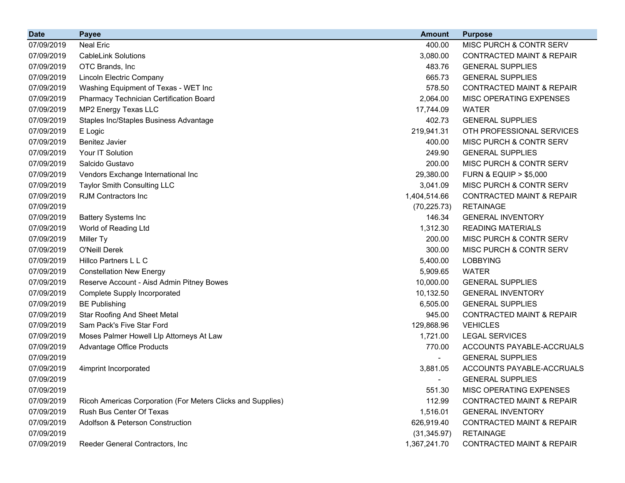| <b>Date</b> | <b>Payee</b>                                                | <b>Amount</b> | <b>Purpose</b>                       |
|-------------|-------------------------------------------------------------|---------------|--------------------------------------|
| 07/09/2019  | <b>Neal Eric</b>                                            | 400.00        | MISC PURCH & CONTR SERV              |
| 07/09/2019  | <b>CableLink Solutions</b>                                  | 3,080.00      | <b>CONTRACTED MAINT &amp; REPAIR</b> |
| 07/09/2019  | OTC Brands, Inc                                             | 483.76        | <b>GENERAL SUPPLIES</b>              |
| 07/09/2019  | Lincoln Electric Company                                    | 665.73        | <b>GENERAL SUPPLIES</b>              |
| 07/09/2019  | Washing Equipment of Texas - WET Inc                        | 578.50        | <b>CONTRACTED MAINT &amp; REPAIR</b> |
| 07/09/2019  | Pharmacy Technician Certification Board                     | 2,064.00      | <b>MISC OPERATING EXPENSES</b>       |
| 07/09/2019  | MP2 Energy Texas LLC                                        | 17,744.09     | <b>WATER</b>                         |
| 07/09/2019  | Staples Inc/Staples Business Advantage                      | 402.73        | <b>GENERAL SUPPLIES</b>              |
| 07/09/2019  | E Logic                                                     | 219,941.31    | OTH PROFESSIONAL SERVICES            |
| 07/09/2019  | <b>Benitez Javier</b>                                       | 400.00        | <b>MISC PURCH &amp; CONTR SERV</b>   |
| 07/09/2019  | Your IT Solution                                            | 249.90        | <b>GENERAL SUPPLIES</b>              |
| 07/09/2019  | Salcido Gustavo                                             | 200.00        | MISC PURCH & CONTR SERV              |
| 07/09/2019  | Vendors Exchange International Inc                          | 29,380.00     | <b>FURN &amp; EQUIP &gt; \$5,000</b> |
| 07/09/2019  | <b>Taylor Smith Consulting LLC</b>                          | 3,041.09      | <b>MISC PURCH &amp; CONTR SERV</b>   |
| 07/09/2019  | <b>RJM Contractors Inc.</b>                                 | 1,404,514.66  | <b>CONTRACTED MAINT &amp; REPAIR</b> |
| 07/09/2019  |                                                             | (70, 225.73)  | <b>RETAINAGE</b>                     |
| 07/09/2019  | <b>Battery Systems Inc</b>                                  | 146.34        | <b>GENERAL INVENTORY</b>             |
| 07/09/2019  | World of Reading Ltd                                        | 1,312.30      | <b>READING MATERIALS</b>             |
| 07/09/2019  | Miller Ty                                                   | 200.00        | MISC PURCH & CONTR SERV              |
| 07/09/2019  | O'Neill Derek                                               | 300.00        | MISC PURCH & CONTR SERV              |
| 07/09/2019  | Hillco Partners L L C                                       | 5,400.00      | <b>LOBBYING</b>                      |
| 07/09/2019  | <b>Constellation New Energy</b>                             | 5,909.65      | <b>WATER</b>                         |
| 07/09/2019  | Reserve Account - Aisd Admin Pitney Bowes                   | 10,000.00     | <b>GENERAL SUPPLIES</b>              |
| 07/09/2019  | <b>Complete Supply Incorporated</b>                         | 10,132.50     | <b>GENERAL INVENTORY</b>             |
| 07/09/2019  | <b>BE Publishing</b>                                        | 6,505.00      | <b>GENERAL SUPPLIES</b>              |
| 07/09/2019  | <b>Star Roofing And Sheet Metal</b>                         | 945.00        | <b>CONTRACTED MAINT &amp; REPAIR</b> |
| 07/09/2019  | Sam Pack's Five Star Ford                                   | 129,868.96    | <b>VEHICLES</b>                      |
| 07/09/2019  | Moses Palmer Howell Llp Attorneys At Law                    | 1,721.00      | <b>LEGAL SERVICES</b>                |
| 07/09/2019  | Advantage Office Products                                   | 770.00        | ACCOUNTS PAYABLE-ACCRUALS            |
| 07/09/2019  |                                                             |               | <b>GENERAL SUPPLIES</b>              |
| 07/09/2019  | 4imprint Incorporated                                       | 3,881.05      | ACCOUNTS PAYABLE-ACCRUALS            |
| 07/09/2019  |                                                             |               | <b>GENERAL SUPPLIES</b>              |
| 07/09/2019  |                                                             | 551.30        | MISC OPERATING EXPENSES              |
| 07/09/2019  | Ricoh Americas Corporation (For Meters Clicks and Supplies) | 112.99        | <b>CONTRACTED MAINT &amp; REPAIR</b> |
| 07/09/2019  | Rush Bus Center Of Texas                                    | 1,516.01      | <b>GENERAL INVENTORY</b>             |
| 07/09/2019  | Adolfson & Peterson Construction                            | 626,919.40    | <b>CONTRACTED MAINT &amp; REPAIR</b> |
| 07/09/2019  |                                                             | (31, 345.97)  | <b>RETAINAGE</b>                     |
| 07/09/2019  | Reeder General Contractors, Inc                             | 1,367,241.70  | CONTRACTED MAINT & REPAIR            |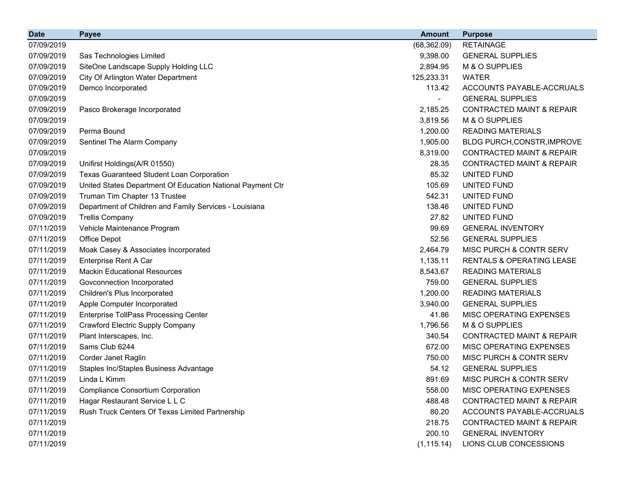| <b>Date</b> | <b>Payee</b>                                               | <b>Amount</b> | <b>Purpose</b>                       |
|-------------|------------------------------------------------------------|---------------|--------------------------------------|
| 07/09/2019  |                                                            | (68, 362.09)  | <b>RETAINAGE</b>                     |
| 07/09/2019  | Sas Technologies Limited                                   | 9,398.00      | <b>GENERAL SUPPLIES</b>              |
| 07/09/2019  | SiteOne Landscape Supply Holding LLC                       | 2,894.95      | M & O SUPPLIES                       |
| 07/09/2019  | City Of Arlington Water Department                         | 125,233.31    | <b>WATER</b>                         |
| 07/09/2019  | Demco Incorporated                                         | 113.42        | ACCOUNTS PAYABLE-ACCRUALS            |
| 07/09/2019  |                                                            |               | <b>GENERAL SUPPLIES</b>              |
| 07/09/2019  | Pasco Brokerage Incorporated                               | 2,185.25      | <b>CONTRACTED MAINT &amp; REPAIR</b> |
| 07/09/2019  |                                                            | 3,819.56      | M & O SUPPLIES                       |
| 07/09/2019  | Perma Bound                                                | 1,200.00      | <b>READING MATERIALS</b>             |
| 07/09/2019  | Sentinel The Alarm Company                                 | 1,905.00      | BLDG PURCH, CONSTR, IMPROVE          |
| 07/09/2019  |                                                            | 8,319.00      | <b>CONTRACTED MAINT &amp; REPAIR</b> |
| 07/09/2019  | Unifirst Holdings(A/R 01550)                               | 28.35         | <b>CONTRACTED MAINT &amp; REPAIR</b> |
| 07/09/2019  | Texas Guaranteed Student Loan Corporation                  | 85.32         | UNITED FUND                          |
| 07/09/2019  | United States Department Of Education National Payment Ctr | 105.69        | UNITED FUND                          |
| 07/09/2019  | Truman Tim Chapter 13 Trustee                              | 542.31        | UNITED FUND                          |
| 07/09/2019  | Department of Children and Family Services - Louisiana     | 138.46        | UNITED FUND                          |
| 07/09/2019  | <b>Trellis Company</b>                                     | 27.82         | UNITED FUND                          |
| 07/11/2019  | Vehicle Maintenance Program                                | 99.69         | <b>GENERAL INVENTORY</b>             |
| 07/11/2019  | Office Depot                                               | 52.56         | <b>GENERAL SUPPLIES</b>              |
| 07/11/2019  | Moak Casey & Associates Incorporated                       | 2,464.79      | MISC PURCH & CONTR SERV              |
| 07/11/2019  | Enterprise Rent A Car                                      | 1,135.11      | <b>RENTALS &amp; OPERATING LEASE</b> |
| 07/11/2019  | <b>Mackin Educational Resources</b>                        | 8,543.67      | <b>READING MATERIALS</b>             |
| 07/11/2019  | Govconnection Incorporated                                 | 759.00        | <b>GENERAL SUPPLIES</b>              |
| 07/11/2019  | Children's Plus Incorporated                               | 1,200.00      | <b>READING MATERIALS</b>             |
| 07/11/2019  | Apple Computer Incorporated                                | 3,940.00      | <b>GENERAL SUPPLIES</b>              |
| 07/11/2019  | <b>Enterprise TollPass Processing Center</b>               | 41.86         | MISC OPERATING EXPENSES              |
| 07/11/2019  | <b>Crawford Electric Supply Company</b>                    | 1,796.56      | M & O SUPPLIES                       |
| 07/11/2019  | Plant Interscapes, Inc.                                    | 340.54        | <b>CONTRACTED MAINT &amp; REPAIR</b> |
| 07/11/2019  | Sams Club 6244                                             | 672.00        | MISC OPERATING EXPENSES              |
| 07/11/2019  | Corder Janet Raglin                                        | 750.00        | MISC PURCH & CONTR SERV              |
| 07/11/2019  | Staples Inc/Staples Business Advantage                     | 54.12         | <b>GENERAL SUPPLIES</b>              |
| 07/11/2019  | Linda L Kimm                                               | 891.69        | MISC PURCH & CONTR SERV              |
| 07/11/2019  | <b>Compliance Consortium Corporation</b>                   | 558.00        | MISC OPERATING EXPENSES              |
| 07/11/2019  | Hagar Restaurant Service L L C                             | 488.48        | <b>CONTRACTED MAINT &amp; REPAIR</b> |
| 07/11/2019  | Rush Truck Centers Of Texas Limited Partnership            | 80.20         | ACCOUNTS PAYABLE-ACCRUALS            |
| 07/11/2019  |                                                            | 218.75        | <b>CONTRACTED MAINT &amp; REPAIR</b> |
| 07/11/2019  |                                                            | 200.10        | <b>GENERAL INVENTORY</b>             |
| 07/11/2019  |                                                            | (1, 115.14)   | LIONS CLUB CONCESSIONS               |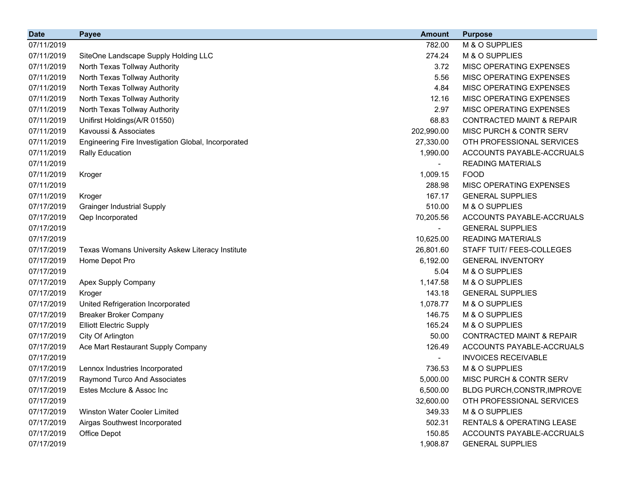| <b>Date</b> | <b>Payee</b>                                        | <b>Amount</b> | <b>Purpose</b>                       |
|-------------|-----------------------------------------------------|---------------|--------------------------------------|
| 07/11/2019  |                                                     | 782.00        | M & O SUPPLIES                       |
| 07/11/2019  | SiteOne Landscape Supply Holding LLC                | 274.24        | M & O SUPPLIES                       |
| 07/11/2019  | North Texas Tollway Authority                       | 3.72          | MISC OPERATING EXPENSES              |
| 07/11/2019  | North Texas Tollway Authority                       | 5.56          | MISC OPERATING EXPENSES              |
| 07/11/2019  | North Texas Tollway Authority                       | 4.84          | MISC OPERATING EXPENSES              |
| 07/11/2019  | North Texas Tollway Authority                       | 12.16         | MISC OPERATING EXPENSES              |
| 07/11/2019  | North Texas Tollway Authority                       | 2.97          | MISC OPERATING EXPENSES              |
| 07/11/2019  | Unifirst Holdings(A/R 01550)                        | 68.83         | <b>CONTRACTED MAINT &amp; REPAIR</b> |
| 07/11/2019  | Kavoussi & Associates                               | 202,990.00    | MISC PURCH & CONTR SERV              |
| 07/11/2019  | Engineering Fire Investigation Global, Incorporated | 27,330.00     | OTH PROFESSIONAL SERVICES            |
| 07/11/2019  | <b>Rally Education</b>                              | 1,990.00      | ACCOUNTS PAYABLE-ACCRUALS            |
| 07/11/2019  |                                                     |               | <b>READING MATERIALS</b>             |
| 07/11/2019  | Kroger                                              | 1,009.15      | <b>FOOD</b>                          |
| 07/11/2019  |                                                     | 288.98        | MISC OPERATING EXPENSES              |
| 07/11/2019  | Kroger                                              | 167.17        | <b>GENERAL SUPPLIES</b>              |
| 07/17/2019  | <b>Grainger Industrial Supply</b>                   | 510.00        | M & O SUPPLIES                       |
| 07/17/2019  | Qep Incorporated                                    | 70,205.56     | ACCOUNTS PAYABLE-ACCRUALS            |
| 07/17/2019  |                                                     |               | <b>GENERAL SUPPLIES</b>              |
| 07/17/2019  |                                                     | 10,625.00     | <b>READING MATERIALS</b>             |
| 07/17/2019  | Texas Womans University Askew Literacy Institute    | 26,801.60     | STAFF TUIT/ FEES-COLLEGES            |
| 07/17/2019  | Home Depot Pro                                      | 6,192.00      | <b>GENERAL INVENTORY</b>             |
| 07/17/2019  |                                                     | 5.04          | M & O SUPPLIES                       |
| 07/17/2019  | Apex Supply Company                                 | 1,147.58      | M & O SUPPLIES                       |
| 07/17/2019  | Kroger                                              | 143.18        | <b>GENERAL SUPPLIES</b>              |
| 07/17/2019  | United Refrigeration Incorporated                   | 1,078.77      | M & O SUPPLIES                       |
| 07/17/2019  | <b>Breaker Broker Company</b>                       | 146.75        | M & O SUPPLIES                       |
| 07/17/2019  | <b>Elliott Electric Supply</b>                      | 165.24        | M & O SUPPLIES                       |
| 07/17/2019  | City Of Arlington                                   | 50.00         | <b>CONTRACTED MAINT &amp; REPAIR</b> |
| 07/17/2019  | Ace Mart Restaurant Supply Company                  | 126.49        | ACCOUNTS PAYABLE-ACCRUALS            |
| 07/17/2019  |                                                     |               | <b>INVOICES RECEIVABLE</b>           |
| 07/17/2019  | Lennox Industries Incorporated                      | 736.53        | M & O SUPPLIES                       |
| 07/17/2019  | <b>Raymond Turco And Associates</b>                 | 5,000.00      | MISC PURCH & CONTR SERV              |
| 07/17/2019  | Estes Mcclure & Assoc Inc                           | 6,500.00      | <b>BLDG PURCH, CONSTR, IMPROVE</b>   |
| 07/17/2019  |                                                     | 32,600.00     | OTH PROFESSIONAL SERVICES            |
| 07/17/2019  | Winston Water Cooler Limited                        | 349.33        | M & O SUPPLIES                       |
| 07/17/2019  | Airgas Southwest Incorporated                       | 502.31        | <b>RENTALS &amp; OPERATING LEASE</b> |
| 07/17/2019  | Office Depot                                        | 150.85        | ACCOUNTS PAYABLE-ACCRUALS            |
| 07/17/2019  |                                                     | 1,908.87      | <b>GENERAL SUPPLIES</b>              |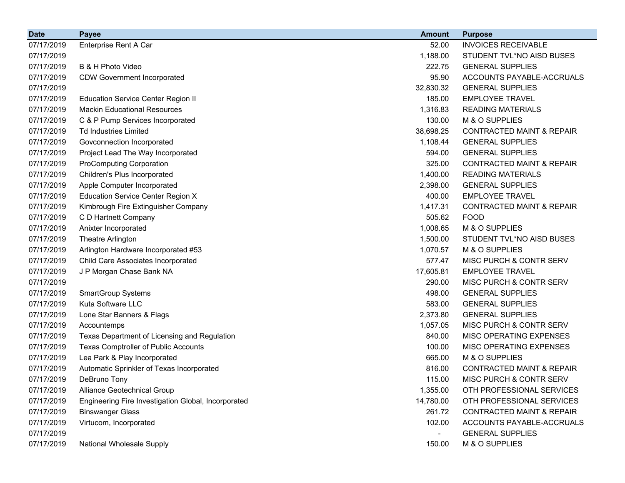| <b>Date</b> | <b>Payee</b>                                        | <b>Amount</b>            | <b>Purpose</b>                       |
|-------------|-----------------------------------------------------|--------------------------|--------------------------------------|
| 07/17/2019  | Enterprise Rent A Car                               | 52.00                    | <b>INVOICES RECEIVABLE</b>           |
| 07/17/2019  |                                                     | 1,188.00                 | STUDENT TVL*NO AISD BUSES            |
| 07/17/2019  | B & H Photo Video                                   | 222.75                   | <b>GENERAL SUPPLIES</b>              |
| 07/17/2019  | <b>CDW Government Incorporated</b>                  | 95.90                    | ACCOUNTS PAYABLE-ACCRUALS            |
| 07/17/2019  |                                                     | 32,830.32                | <b>GENERAL SUPPLIES</b>              |
| 07/17/2019  | <b>Education Service Center Region II</b>           | 185.00                   | <b>EMPLOYEE TRAVEL</b>               |
| 07/17/2019  | <b>Mackin Educational Resources</b>                 | 1,316.83                 | <b>READING MATERIALS</b>             |
| 07/17/2019  | C & P Pump Services Incorporated                    | 130.00                   | M & O SUPPLIES                       |
| 07/17/2019  | <b>Td Industries Limited</b>                        | 38,698.25                | <b>CONTRACTED MAINT &amp; REPAIR</b> |
| 07/17/2019  | Govconnection Incorporated                          | 1,108.44                 | <b>GENERAL SUPPLIES</b>              |
| 07/17/2019  | Project Lead The Way Incorporated                   | 594.00                   | <b>GENERAL SUPPLIES</b>              |
| 07/17/2019  | <b>ProComputing Corporation</b>                     | 325.00                   | <b>CONTRACTED MAINT &amp; REPAIR</b> |
| 07/17/2019  | Children's Plus Incorporated                        | 1,400.00                 | <b>READING MATERIALS</b>             |
| 07/17/2019  | Apple Computer Incorporated                         | 2,398.00                 | <b>GENERAL SUPPLIES</b>              |
| 07/17/2019  | <b>Education Service Center Region X</b>            | 400.00                   | <b>EMPLOYEE TRAVEL</b>               |
| 07/17/2019  | Kimbrough Fire Extinguisher Company                 | 1,417.31                 | <b>CONTRACTED MAINT &amp; REPAIR</b> |
| 07/17/2019  | C D Hartnett Company                                | 505.62                   | <b>FOOD</b>                          |
| 07/17/2019  | Anixter Incorporated                                | 1,008.65                 | M & O SUPPLIES                       |
| 07/17/2019  | Theatre Arlington                                   | 1,500.00                 | STUDENT TVL*NO AISD BUSES            |
| 07/17/2019  | Arlington Hardware Incorporated #53                 | 1,070.57                 | M & O SUPPLIES                       |
| 07/17/2019  | Child Care Associates Incorporated                  | 577.47                   | MISC PURCH & CONTR SERV              |
| 07/17/2019  | J P Morgan Chase Bank NA                            | 17,605.81                | <b>EMPLOYEE TRAVEL</b>               |
| 07/17/2019  |                                                     | 290.00                   | MISC PURCH & CONTR SERV              |
| 07/17/2019  | <b>SmartGroup Systems</b>                           | 498.00                   | <b>GENERAL SUPPLIES</b>              |
| 07/17/2019  | Kuta Software LLC                                   | 583.00                   | <b>GENERAL SUPPLIES</b>              |
| 07/17/2019  | Lone Star Banners & Flags                           | 2,373.80                 | <b>GENERAL SUPPLIES</b>              |
| 07/17/2019  | Accountemps                                         | 1,057.05                 | MISC PURCH & CONTR SERV              |
| 07/17/2019  | Texas Department of Licensing and Regulation        | 840.00                   | MISC OPERATING EXPENSES              |
| 07/17/2019  | <b>Texas Comptroller of Public Accounts</b>         | 100.00                   | MISC OPERATING EXPENSES              |
| 07/17/2019  | Lea Park & Play Incorporated                        | 665.00                   | M & O SUPPLIES                       |
| 07/17/2019  | Automatic Sprinkler of Texas Incorporated           | 816.00                   | <b>CONTRACTED MAINT &amp; REPAIR</b> |
| 07/17/2019  | DeBruno Tony                                        | 115.00                   | <b>MISC PURCH &amp; CONTR SERV</b>   |
| 07/17/2019  | Alliance Geotechnical Group                         | 1,355.00                 | OTH PROFESSIONAL SERVICES            |
| 07/17/2019  | Engineering Fire Investigation Global, Incorporated | 14,780.00                | OTH PROFESSIONAL SERVICES            |
| 07/17/2019  | <b>Binswanger Glass</b>                             | 261.72                   | <b>CONTRACTED MAINT &amp; REPAIR</b> |
| 07/17/2019  | Virtucom, Incorporated                              | 102.00                   | ACCOUNTS PAYABLE-ACCRUALS            |
| 07/17/2019  |                                                     | $\overline{\phantom{a}}$ | <b>GENERAL SUPPLIES</b>              |
| 07/17/2019  | National Wholesale Supply                           | 150.00                   | M & O SUPPLIES                       |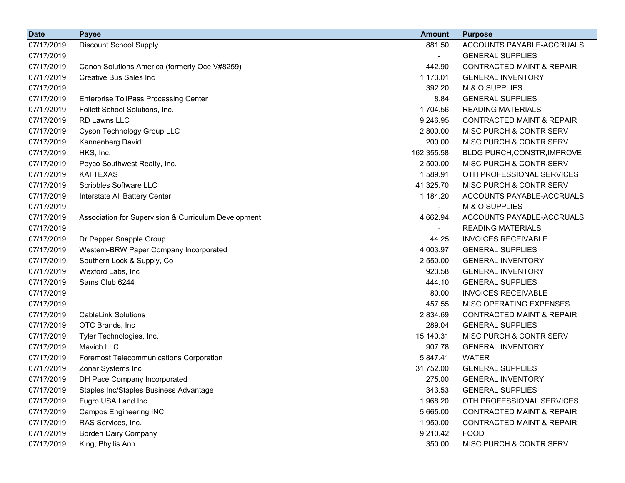| <b>Date</b> | <b>Payee</b>                                         | <b>Amount</b>            | <b>Purpose</b>                       |
|-------------|------------------------------------------------------|--------------------------|--------------------------------------|
| 07/17/2019  | <b>Discount School Supply</b>                        | 881.50                   | ACCOUNTS PAYABLE-ACCRUALS            |
| 07/17/2019  |                                                      | $\overline{\phantom{0}}$ | <b>GENERAL SUPPLIES</b>              |
| 07/17/2019  | Canon Solutions America (formerly Oce V#8259)        | 442.90                   | <b>CONTRACTED MAINT &amp; REPAIR</b> |
| 07/17/2019  | <b>Creative Bus Sales Inc.</b>                       | 1,173.01                 | <b>GENERAL INVENTORY</b>             |
| 07/17/2019  |                                                      | 392.20                   | M & O SUPPLIES                       |
| 07/17/2019  | <b>Enterprise TollPass Processing Center</b>         | 8.84                     | <b>GENERAL SUPPLIES</b>              |
| 07/17/2019  | Follett School Solutions, Inc.                       | 1,704.56                 | <b>READING MATERIALS</b>             |
| 07/17/2019  | RD Lawns LLC                                         | 9,246.95                 | <b>CONTRACTED MAINT &amp; REPAIR</b> |
| 07/17/2019  | Cyson Technology Group LLC                           | 2,800.00                 | <b>MISC PURCH &amp; CONTR SERV</b>   |
| 07/17/2019  | Kannenberg David                                     | 200.00                   | MISC PURCH & CONTR SERV              |
| 07/17/2019  | HKS, Inc.                                            | 162,355.58               | BLDG PURCH, CONSTR, IMPROVE          |
| 07/17/2019  | Peyco Southwest Realty, Inc.                         | 2,500.00                 | <b>MISC PURCH &amp; CONTR SERV</b>   |
| 07/17/2019  | <b>KAI TEXAS</b>                                     | 1,589.91                 | OTH PROFESSIONAL SERVICES            |
| 07/17/2019  | Scribbles Software LLC                               | 41,325.70                | MISC PURCH & CONTR SERV              |
| 07/17/2019  | Interstate All Battery Center                        | 1,184.20                 | ACCOUNTS PAYABLE-ACCRUALS            |
| 07/17/2019  |                                                      |                          | M & O SUPPLIES                       |
| 07/17/2019  | Association for Supervision & Curriculum Development | 4,662.94                 | ACCOUNTS PAYABLE-ACCRUALS            |
| 07/17/2019  |                                                      |                          | <b>READING MATERIALS</b>             |
| 07/17/2019  | Dr Pepper Snapple Group                              | 44.25                    | <b>INVOICES RECEIVABLE</b>           |
| 07/17/2019  | Western-BRW Paper Company Incorporated               | 4,003.97                 | <b>GENERAL SUPPLIES</b>              |
| 07/17/2019  | Southern Lock & Supply, Co                           | 2,550.00                 | <b>GENERAL INVENTORY</b>             |
| 07/17/2019  | Wexford Labs, Inc                                    | 923.58                   | <b>GENERAL INVENTORY</b>             |
| 07/17/2019  | Sams Club 6244                                       | 444.10                   | <b>GENERAL SUPPLIES</b>              |
| 07/17/2019  |                                                      | 80.00                    | <b>INVOICES RECEIVABLE</b>           |
| 07/17/2019  |                                                      | 457.55                   | MISC OPERATING EXPENSES              |
| 07/17/2019  | <b>CableLink Solutions</b>                           | 2,834.69                 | <b>CONTRACTED MAINT &amp; REPAIR</b> |
| 07/17/2019  | OTC Brands, Inc.                                     | 289.04                   | <b>GENERAL SUPPLIES</b>              |
| 07/17/2019  | Tyler Technologies, Inc.                             | 15,140.31                | MISC PURCH & CONTR SERV              |
| 07/17/2019  | Mavich LLC                                           | 907.78                   | <b>GENERAL INVENTORY</b>             |
| 07/17/2019  | <b>Foremost Telecommunications Corporation</b>       | 5,847.41                 | <b>WATER</b>                         |
| 07/17/2019  | Zonar Systems Inc                                    | 31,752.00                | <b>GENERAL SUPPLIES</b>              |
| 07/17/2019  | DH Pace Company Incorporated                         | 275.00                   | <b>GENERAL INVENTORY</b>             |
| 07/17/2019  | Staples Inc/Staples Business Advantage               | 343.53                   | <b>GENERAL SUPPLIES</b>              |
| 07/17/2019  | Fugro USA Land Inc.                                  | 1,968.20                 | OTH PROFESSIONAL SERVICES            |
| 07/17/2019  | <b>Campos Engineering INC</b>                        | 5,665.00                 | <b>CONTRACTED MAINT &amp; REPAIR</b> |
| 07/17/2019  | RAS Services, Inc.                                   | 1,950.00                 | <b>CONTRACTED MAINT &amp; REPAIR</b> |
| 07/17/2019  | <b>Borden Dairy Company</b>                          | 9,210.42                 | <b>FOOD</b>                          |
| 07/17/2019  | King, Phyllis Ann                                    | 350.00                   | MISC PURCH & CONTR SERV              |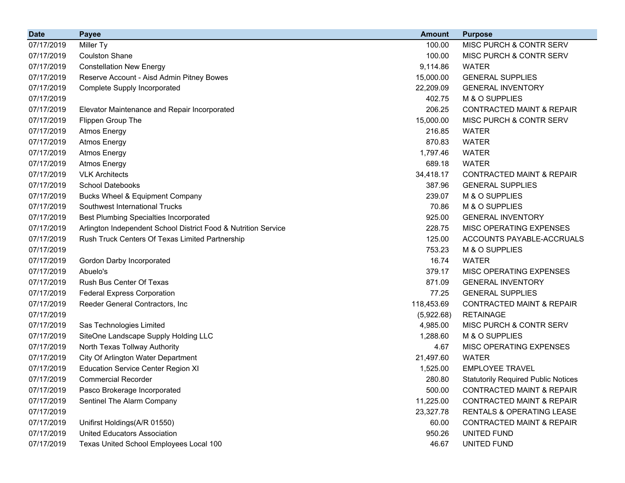| <b>Date</b> | <b>Payee</b>                                                   | <b>Amount</b> | <b>Purpose</b>                             |
|-------------|----------------------------------------------------------------|---------------|--------------------------------------------|
| 07/17/2019  | Miller Ty                                                      | 100.00        | MISC PURCH & CONTR SERV                    |
| 07/17/2019  | <b>Coulston Shane</b>                                          | 100.00        | MISC PURCH & CONTR SERV                    |
| 07/17/2019  | <b>Constellation New Energy</b>                                | 9,114.86      | <b>WATER</b>                               |
| 07/17/2019  | Reserve Account - Aisd Admin Pitney Bowes                      | 15,000.00     | <b>GENERAL SUPPLIES</b>                    |
| 07/17/2019  | Complete Supply Incorporated                                   | 22,209.09     | <b>GENERAL INVENTORY</b>                   |
| 07/17/2019  |                                                                | 402.75        | M & O SUPPLIES                             |
| 07/17/2019  | Elevator Maintenance and Repair Incorporated                   | 206.25        | <b>CONTRACTED MAINT &amp; REPAIR</b>       |
| 07/17/2019  | Flippen Group The                                              | 15,000.00     | MISC PURCH & CONTR SERV                    |
| 07/17/2019  | <b>Atmos Energy</b>                                            | 216.85        | <b>WATER</b>                               |
| 07/17/2019  | <b>Atmos Energy</b>                                            | 870.83        | <b>WATER</b>                               |
| 07/17/2019  | <b>Atmos Energy</b>                                            | 1,797.46      | <b>WATER</b>                               |
| 07/17/2019  | <b>Atmos Energy</b>                                            | 689.18        | <b>WATER</b>                               |
| 07/17/2019  | <b>VLK Architects</b>                                          | 34,418.17     | <b>CONTRACTED MAINT &amp; REPAIR</b>       |
| 07/17/2019  | <b>School Datebooks</b>                                        | 387.96        | <b>GENERAL SUPPLIES</b>                    |
| 07/17/2019  | <b>Bucks Wheel &amp; Equipment Company</b>                     | 239.07        | M & O SUPPLIES                             |
| 07/17/2019  | Southwest International Trucks                                 | 70.86         | M & O SUPPLIES                             |
| 07/17/2019  | <b>Best Plumbing Specialties Incorporated</b>                  | 925.00        | <b>GENERAL INVENTORY</b>                   |
| 07/17/2019  | Arlington Independent School District Food & Nutrition Service | 228.75        | MISC OPERATING EXPENSES                    |
| 07/17/2019  | Rush Truck Centers Of Texas Limited Partnership                | 125.00        | ACCOUNTS PAYABLE-ACCRUALS                  |
| 07/17/2019  |                                                                | 753.23        | M & O SUPPLIES                             |
| 07/17/2019  | Gordon Darby Incorporated                                      | 16.74         | <b>WATER</b>                               |
| 07/17/2019  | Abuelo's                                                       | 379.17        | <b>MISC OPERATING EXPENSES</b>             |
| 07/17/2019  | Rush Bus Center Of Texas                                       | 871.09        | <b>GENERAL INVENTORY</b>                   |
| 07/17/2019  | <b>Federal Express Corporation</b>                             | 77.25         | <b>GENERAL SUPPLIES</b>                    |
| 07/17/2019  | Reeder General Contractors, Inc                                | 118,453.69    | <b>CONTRACTED MAINT &amp; REPAIR</b>       |
| 07/17/2019  |                                                                | (5,922.68)    | <b>RETAINAGE</b>                           |
| 07/17/2019  | Sas Technologies Limited                                       | 4,985.00      | MISC PURCH & CONTR SERV                    |
| 07/17/2019  | SiteOne Landscape Supply Holding LLC                           | 1,288.60      | M & O SUPPLIES                             |
| 07/17/2019  | North Texas Tollway Authority                                  | 4.67          | MISC OPERATING EXPENSES                    |
| 07/17/2019  | City Of Arlington Water Department                             | 21,497.60     | <b>WATER</b>                               |
| 07/17/2019  | <b>Education Service Center Region XI</b>                      | 1,525.00      | <b>EMPLOYEE TRAVEL</b>                     |
| 07/17/2019  | <b>Commercial Recorder</b>                                     | 280.80        | <b>Statutorily Required Public Notices</b> |
| 07/17/2019  | Pasco Brokerage Incorporated                                   | 500.00        | <b>CONTRACTED MAINT &amp; REPAIR</b>       |
| 07/17/2019  | Sentinel The Alarm Company                                     | 11,225.00     | <b>CONTRACTED MAINT &amp; REPAIR</b>       |
| 07/17/2019  |                                                                | 23,327.78     | RENTALS & OPERATING LEASE                  |
| 07/17/2019  | Unifirst Holdings(A/R 01550)                                   | 60.00         | <b>CONTRACTED MAINT &amp; REPAIR</b>       |
| 07/17/2019  | <b>United Educators Association</b>                            | 950.26        | UNITED FUND                                |
| 07/17/2019  | Texas United School Employees Local 100                        | 46.67         | UNITED FUND                                |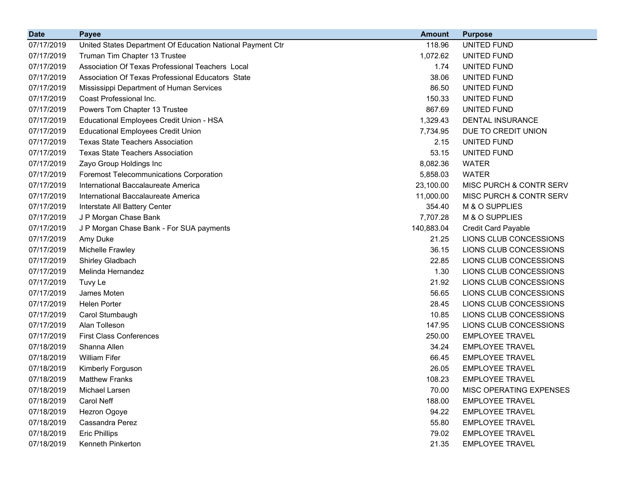| <b>Date</b> | <b>Payee</b>                                               | <b>Amount</b> | <b>Purpose</b>             |
|-------------|------------------------------------------------------------|---------------|----------------------------|
| 07/17/2019  | United States Department Of Education National Payment Ctr | 118.96        | <b>UNITED FUND</b>         |
| 07/17/2019  | Truman Tim Chapter 13 Trustee                              | 1,072.62      | UNITED FUND                |
| 07/17/2019  | Association Of Texas Professional Teachers Local           | 1.74          | UNITED FUND                |
| 07/17/2019  | Association Of Texas Professional Educators State          | 38.06         | UNITED FUND                |
| 07/17/2019  | Mississippi Department of Human Services                   | 86.50         | UNITED FUND                |
| 07/17/2019  | Coast Professional Inc.                                    | 150.33        | UNITED FUND                |
| 07/17/2019  | Powers Tom Chapter 13 Trustee                              | 867.69        | UNITED FUND                |
| 07/17/2019  | Educational Employees Credit Union - HSA                   | 1,329.43      | DENTAL INSURANCE           |
| 07/17/2019  | <b>Educational Employees Credit Union</b>                  | 7,734.95      | DUE TO CREDIT UNION        |
| 07/17/2019  | <b>Texas State Teachers Association</b>                    | 2.15          | UNITED FUND                |
| 07/17/2019  | <b>Texas State Teachers Association</b>                    | 53.15         | UNITED FUND                |
| 07/17/2019  | Zayo Group Holdings Inc                                    | 8,082.36      | <b>WATER</b>               |
| 07/17/2019  | Foremost Telecommunications Corporation                    | 5,858.03      | <b>WATER</b>               |
| 07/17/2019  | International Baccalaureate America                        | 23,100.00     | MISC PURCH & CONTR SERV    |
| 07/17/2019  | International Baccalaureate America                        | 11,000.00     | MISC PURCH & CONTR SERV    |
| 07/17/2019  | Interstate All Battery Center                              | 354.40        | M & O SUPPLIES             |
| 07/17/2019  | J P Morgan Chase Bank                                      | 7,707.28      | M & O SUPPLIES             |
| 07/17/2019  | J P Morgan Chase Bank - For SUA payments                   | 140,883.04    | <b>Credit Card Payable</b> |
| 07/17/2019  | Amy Duke                                                   | 21.25         | LIONS CLUB CONCESSIONS     |
| 07/17/2019  | Michelle Frawley                                           | 36.15         | LIONS CLUB CONCESSIONS     |
| 07/17/2019  | Shirley Gladbach                                           | 22.85         | LIONS CLUB CONCESSIONS     |
| 07/17/2019  | Melinda Hernandez                                          | 1.30          | LIONS CLUB CONCESSIONS     |
| 07/17/2019  | Tuvy Le                                                    | 21.92         | LIONS CLUB CONCESSIONS     |
| 07/17/2019  | James Moten                                                | 56.65         | LIONS CLUB CONCESSIONS     |
| 07/17/2019  | <b>Helen Porter</b>                                        | 28.45         | LIONS CLUB CONCESSIONS     |
| 07/17/2019  | Carol Stumbaugh                                            | 10.85         | LIONS CLUB CONCESSIONS     |
| 07/17/2019  | Alan Tolleson                                              | 147.95        | LIONS CLUB CONCESSIONS     |
| 07/17/2019  | <b>First Class Conferences</b>                             | 250.00        | <b>EMPLOYEE TRAVEL</b>     |
| 07/18/2019  | Shanna Allen                                               | 34.24         | <b>EMPLOYEE TRAVEL</b>     |
| 07/18/2019  | <b>William Fifer</b>                                       | 66.45         | <b>EMPLOYEE TRAVEL</b>     |
| 07/18/2019  | Kimberly Forguson                                          | 26.05         | <b>EMPLOYEE TRAVEL</b>     |
| 07/18/2019  | <b>Matthew Franks</b>                                      | 108.23        | EMPLOYEE TRAVEL            |
| 07/18/2019  | Michael Larsen                                             | 70.00         | MISC OPERATING EXPENSES    |
| 07/18/2019  | Carol Neff                                                 | 188.00        | <b>EMPLOYEE TRAVEL</b>     |
| 07/18/2019  | Hezron Ogoye                                               | 94.22         | <b>EMPLOYEE TRAVEL</b>     |
| 07/18/2019  | Cassandra Perez                                            | 55.80         | <b>EMPLOYEE TRAVEL</b>     |
| 07/18/2019  | <b>Eric Phillips</b>                                       | 79.02         | <b>EMPLOYEE TRAVEL</b>     |
| 07/18/2019  | Kenneth Pinkerton                                          | 21.35         | <b>EMPLOYEE TRAVEL</b>     |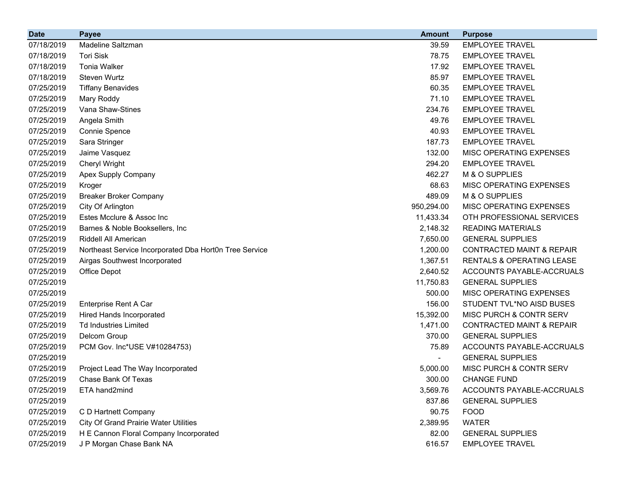| <b>Date</b> | <b>Payee</b>                                           | <b>Amount</b> | <b>Purpose</b>                       |
|-------------|--------------------------------------------------------|---------------|--------------------------------------|
| 07/18/2019  | <b>Madeline Saltzman</b>                               | 39.59         | <b>EMPLOYEE TRAVEL</b>               |
| 07/18/2019  | <b>Tori Sisk</b>                                       | 78.75         | <b>EMPLOYEE TRAVEL</b>               |
| 07/18/2019  | <b>Tonia Walker</b>                                    | 17.92         | <b>EMPLOYEE TRAVEL</b>               |
| 07/18/2019  | Steven Wurtz                                           | 85.97         | <b>EMPLOYEE TRAVEL</b>               |
| 07/25/2019  | <b>Tiffany Benavides</b>                               | 60.35         | <b>EMPLOYEE TRAVEL</b>               |
| 07/25/2019  | Mary Roddy                                             | 71.10         | <b>EMPLOYEE TRAVEL</b>               |
| 07/25/2019  | Vana Shaw-Stines                                       | 234.76        | <b>EMPLOYEE TRAVEL</b>               |
| 07/25/2019  | Angela Smith                                           | 49.76         | <b>EMPLOYEE TRAVEL</b>               |
| 07/25/2019  | Connie Spence                                          | 40.93         | <b>EMPLOYEE TRAVEL</b>               |
| 07/25/2019  | Sara Stringer                                          | 187.73        | <b>EMPLOYEE TRAVEL</b>               |
| 07/25/2019  | Jaime Vasquez                                          | 132.00        | MISC OPERATING EXPENSES              |
| 07/25/2019  | Cheryl Wright                                          | 294.20        | <b>EMPLOYEE TRAVEL</b>               |
| 07/25/2019  | Apex Supply Company                                    | 462.27        | M & O SUPPLIES                       |
| 07/25/2019  | Kroger                                                 | 68.63         | MISC OPERATING EXPENSES              |
| 07/25/2019  | <b>Breaker Broker Company</b>                          | 489.09        | M & O SUPPLIES                       |
| 07/25/2019  | City Of Arlington                                      | 950,294.00    | MISC OPERATING EXPENSES              |
| 07/25/2019  | Estes Mcclure & Assoc Inc                              | 11,433.34     | OTH PROFESSIONAL SERVICES            |
| 07/25/2019  | Barnes & Noble Booksellers, Inc                        | 2,148.32      | <b>READING MATERIALS</b>             |
| 07/25/2019  | <b>Riddell All American</b>                            | 7,650.00      | <b>GENERAL SUPPLIES</b>              |
| 07/25/2019  | Northeast Service Incorporated Dba Hort0n Tree Service | 1,200.00      | <b>CONTRACTED MAINT &amp; REPAIR</b> |
| 07/25/2019  | Airgas Southwest Incorporated                          | 1,367.51      | RENTALS & OPERATING LEASE            |
| 07/25/2019  | Office Depot                                           | 2,640.52      | ACCOUNTS PAYABLE-ACCRUALS            |
| 07/25/2019  |                                                        | 11,750.83     | <b>GENERAL SUPPLIES</b>              |
| 07/25/2019  |                                                        | 500.00        | MISC OPERATING EXPENSES              |
| 07/25/2019  | Enterprise Rent A Car                                  | 156.00        | STUDENT TVL*NO AISD BUSES            |
| 07/25/2019  | <b>Hired Hands Incorporated</b>                        | 15,392.00     | MISC PURCH & CONTR SERV              |
| 07/25/2019  | <b>Td Industries Limited</b>                           | 1,471.00      | <b>CONTRACTED MAINT &amp; REPAIR</b> |
| 07/25/2019  | Delcom Group                                           | 370.00        | <b>GENERAL SUPPLIES</b>              |
| 07/25/2019  | PCM Gov. Inc*USE V#10284753)                           | 75.89         | ACCOUNTS PAYABLE-ACCRUALS            |
| 07/25/2019  |                                                        |               | <b>GENERAL SUPPLIES</b>              |
| 07/25/2019  | Project Lead The Way Incorporated                      | 5,000.00      | MISC PURCH & CONTR SERV              |
| 07/25/2019  | Chase Bank Of Texas                                    | 300.00        | <b>CHANGE FUND</b>                   |
| 07/25/2019  | ETA hand2mind                                          | 3,569.76      | ACCOUNTS PAYABLE-ACCRUALS            |
| 07/25/2019  |                                                        | 837.86        | <b>GENERAL SUPPLIES</b>              |
| 07/25/2019  | C D Hartnett Company                                   | 90.75         | <b>FOOD</b>                          |
| 07/25/2019  | <b>City Of Grand Prairie Water Utilities</b>           | 2,389.95      | <b>WATER</b>                         |
| 07/25/2019  | H E Cannon Floral Company Incorporated                 | 82.00         | <b>GENERAL SUPPLIES</b>              |
| 07/25/2019  | J P Morgan Chase Bank NA                               | 616.57        | <b>EMPLOYEE TRAVEL</b>               |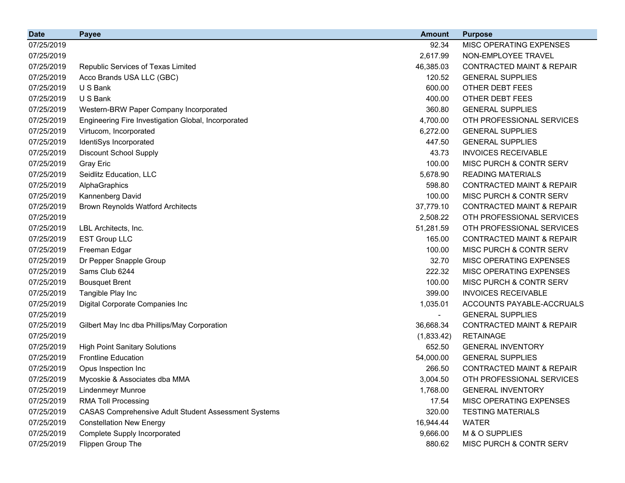| <b>Date</b> | <b>Payee</b>                                                | <b>Amount</b>  | <b>Purpose</b>                       |
|-------------|-------------------------------------------------------------|----------------|--------------------------------------|
| 07/25/2019  |                                                             | 92.34          | MISC OPERATING EXPENSES              |
| 07/25/2019  |                                                             | 2,617.99       | NON-EMPLOYEE TRAVEL                  |
| 07/25/2019  | Republic Services of Texas Limited                          | 46,385.03      | <b>CONTRACTED MAINT &amp; REPAIR</b> |
| 07/25/2019  | Acco Brands USA LLC (GBC)                                   | 120.52         | <b>GENERAL SUPPLIES</b>              |
| 07/25/2019  | U S Bank                                                    | 600.00         | OTHER DEBT FEES                      |
| 07/25/2019  | U S Bank                                                    | 400.00         | OTHER DEBT FEES                      |
| 07/25/2019  | Western-BRW Paper Company Incorporated                      | 360.80         | <b>GENERAL SUPPLIES</b>              |
| 07/25/2019  | Engineering Fire Investigation Global, Incorporated         | 4,700.00       | OTH PROFESSIONAL SERVICES            |
| 07/25/2019  | Virtucom, Incorporated                                      | 6,272.00       | <b>GENERAL SUPPLIES</b>              |
| 07/25/2019  | IdentiSys Incorporated                                      | 447.50         | <b>GENERAL SUPPLIES</b>              |
| 07/25/2019  | <b>Discount School Supply</b>                               | 43.73          | <b>INVOICES RECEIVABLE</b>           |
| 07/25/2019  | <b>Gray Eric</b>                                            | 100.00         | MISC PURCH & CONTR SERV              |
| 07/25/2019  | Seidlitz Education, LLC                                     | 5,678.90       | <b>READING MATERIALS</b>             |
| 07/25/2019  | AlphaGraphics                                               | 598.80         | <b>CONTRACTED MAINT &amp; REPAIR</b> |
| 07/25/2019  | Kannenberg David                                            | 100.00         | MISC PURCH & CONTR SERV              |
| 07/25/2019  | <b>Brown Reynolds Watford Architects</b>                    | 37,779.10      | <b>CONTRACTED MAINT &amp; REPAIR</b> |
| 07/25/2019  |                                                             | 2,508.22       | OTH PROFESSIONAL SERVICES            |
| 07/25/2019  | LBL Architects, Inc.                                        | 51,281.59      | OTH PROFESSIONAL SERVICES            |
| 07/25/2019  | <b>EST Group LLC</b>                                        | 165.00         | <b>CONTRACTED MAINT &amp; REPAIR</b> |
| 07/25/2019  | Freeman Edgar                                               | 100.00         | <b>MISC PURCH &amp; CONTR SERV</b>   |
| 07/25/2019  | Dr Pepper Snapple Group                                     | 32.70          | MISC OPERATING EXPENSES              |
| 07/25/2019  | Sams Club 6244                                              | 222.32         | MISC OPERATING EXPENSES              |
| 07/25/2019  | <b>Bousquet Brent</b>                                       | 100.00         | <b>MISC PURCH &amp; CONTR SERV</b>   |
| 07/25/2019  | Tangible Play Inc                                           | 399.00         | <b>INVOICES RECEIVABLE</b>           |
| 07/25/2019  | Digital Corporate Companies Inc                             | 1,035.01       | ACCOUNTS PAYABLE-ACCRUALS            |
| 07/25/2019  |                                                             | $\blacksquare$ | <b>GENERAL SUPPLIES</b>              |
| 07/25/2019  | Gilbert May Inc dba Phillips/May Corporation                | 36,668.34      | <b>CONTRACTED MAINT &amp; REPAIR</b> |
| 07/25/2019  |                                                             | (1,833.42)     | <b>RETAINAGE</b>                     |
| 07/25/2019  | <b>High Point Sanitary Solutions</b>                        | 652.50         | <b>GENERAL INVENTORY</b>             |
| 07/25/2019  | <b>Frontline Education</b>                                  | 54,000.00      | <b>GENERAL SUPPLIES</b>              |
| 07/25/2019  | Opus Inspection Inc                                         | 266.50         | <b>CONTRACTED MAINT &amp; REPAIR</b> |
| 07/25/2019  | Mycoskie & Associates dba MMA                               | 3,004.50       | OTH PROFESSIONAL SERVICES            |
| 07/25/2019  | <b>Lindenmeyr Munroe</b>                                    | 1,768.00       | <b>GENERAL INVENTORY</b>             |
| 07/25/2019  | <b>RMA Toll Processing</b>                                  | 17.54          | MISC OPERATING EXPENSES              |
| 07/25/2019  | <b>CASAS Comprehensive Adult Student Assessment Systems</b> | 320.00         | <b>TESTING MATERIALS</b>             |
| 07/25/2019  | <b>Constellation New Energy</b>                             | 16,944.44      | <b>WATER</b>                         |
| 07/25/2019  | Complete Supply Incorporated                                | 9,666.00       | M & O SUPPLIES                       |
| 07/25/2019  | Flippen Group The                                           | 880.62         | MISC PURCH & CONTR SERV              |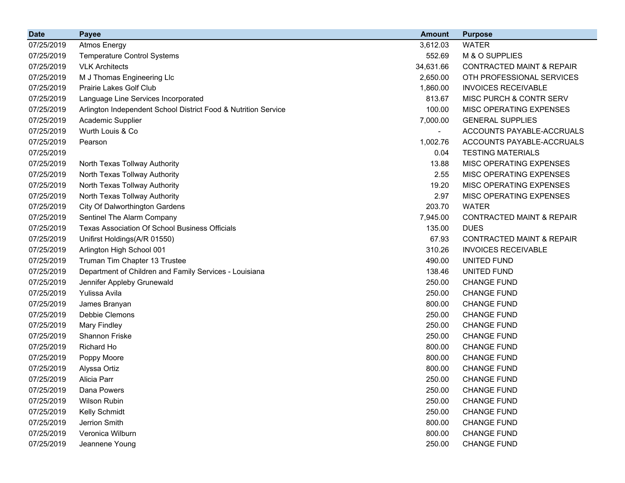| <b>Date</b> | <b>Payee</b>                                                   | <b>Amount</b> | <b>Purpose</b>                       |
|-------------|----------------------------------------------------------------|---------------|--------------------------------------|
| 07/25/2019  | <b>Atmos Energy</b>                                            | 3,612.03      | <b>WATER</b>                         |
| 07/25/2019  | <b>Temperature Control Systems</b>                             | 552.69        | M & O SUPPLIES                       |
| 07/25/2019  | <b>VLK Architects</b>                                          | 34,631.66     | <b>CONTRACTED MAINT &amp; REPAIR</b> |
| 07/25/2019  | M J Thomas Engineering Llc                                     | 2,650.00      | OTH PROFESSIONAL SERVICES            |
| 07/25/2019  | Prairie Lakes Golf Club                                        | 1,860.00      | <b>INVOICES RECEIVABLE</b>           |
| 07/25/2019  | Language Line Services Incorporated                            | 813.67        | MISC PURCH & CONTR SERV              |
| 07/25/2019  | Arlington Independent School District Food & Nutrition Service | 100.00        | MISC OPERATING EXPENSES              |
| 07/25/2019  | Academic Supplier                                              | 7,000.00      | <b>GENERAL SUPPLIES</b>              |
| 07/25/2019  | Wurth Louis & Co                                               |               | ACCOUNTS PAYABLE-ACCRUALS            |
| 07/25/2019  | Pearson                                                        | 1,002.76      | ACCOUNTS PAYABLE-ACCRUALS            |
| 07/25/2019  |                                                                | 0.04          | <b>TESTING MATERIALS</b>             |
| 07/25/2019  | North Texas Tollway Authority                                  | 13.88         | MISC OPERATING EXPENSES              |
| 07/25/2019  | North Texas Tollway Authority                                  | 2.55          | MISC OPERATING EXPENSES              |
| 07/25/2019  | North Texas Tollway Authority                                  | 19.20         | MISC OPERATING EXPENSES              |
| 07/25/2019  | North Texas Tollway Authority                                  | 2.97          | <b>MISC OPERATING EXPENSES</b>       |
| 07/25/2019  | City Of Dalworthington Gardens                                 | 203.70        | <b>WATER</b>                         |
| 07/25/2019  | Sentinel The Alarm Company                                     | 7,945.00      | <b>CONTRACTED MAINT &amp; REPAIR</b> |
| 07/25/2019  | <b>Texas Association Of School Business Officials</b>          | 135.00        | <b>DUES</b>                          |
| 07/25/2019  | Unifirst Holdings(A/R 01550)                                   | 67.93         | <b>CONTRACTED MAINT &amp; REPAIR</b> |
| 07/25/2019  | Arlington High School 001                                      | 310.26        | <b>INVOICES RECEIVABLE</b>           |
| 07/25/2019  | Truman Tim Chapter 13 Trustee                                  | 490.00        | UNITED FUND                          |
| 07/25/2019  | Department of Children and Family Services - Louisiana         | 138.46        | UNITED FUND                          |
| 07/25/2019  | Jennifer Appleby Grunewald                                     | 250.00        | <b>CHANGE FUND</b>                   |
| 07/25/2019  | Yulissa Avila                                                  | 250.00        | <b>CHANGE FUND</b>                   |
| 07/25/2019  | James Branyan                                                  | 800.00        | <b>CHANGE FUND</b>                   |
| 07/25/2019  | Debbie Clemons                                                 | 250.00        | <b>CHANGE FUND</b>                   |
| 07/25/2019  | <b>Mary Findley</b>                                            | 250.00        | <b>CHANGE FUND</b>                   |
| 07/25/2019  | Shannon Friske                                                 | 250.00        | <b>CHANGE FUND</b>                   |
| 07/25/2019  | Richard Ho                                                     | 800.00        | <b>CHANGE FUND</b>                   |
| 07/25/2019  | Poppy Moore                                                    | 800.00        | <b>CHANGE FUND</b>                   |
| 07/25/2019  | Alyssa Ortiz                                                   | 800.00        | <b>CHANGE FUND</b>                   |
| 07/25/2019  | Alicia Parr                                                    | 250.00        | <b>CHANGE FUND</b>                   |
| 07/25/2019  | Dana Powers                                                    | 250.00        | <b>CHANGE FUND</b>                   |
| 07/25/2019  | Wilson Rubin                                                   | 250.00        | <b>CHANGE FUND</b>                   |
| 07/25/2019  | Kelly Schmidt                                                  | 250.00        | <b>CHANGE FUND</b>                   |
| 07/25/2019  | Jerrion Smith                                                  | 800.00        | <b>CHANGE FUND</b>                   |
| 07/25/2019  | Veronica Wilburn                                               | 800.00        | <b>CHANGE FUND</b>                   |
| 07/25/2019  | Jeannene Young                                                 | 250.00        | <b>CHANGE FUND</b>                   |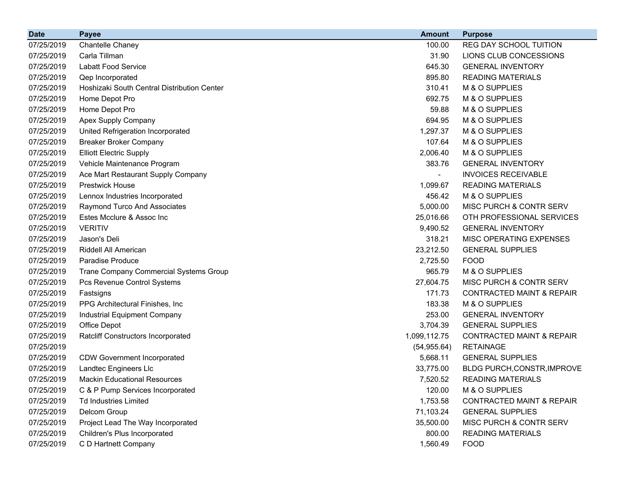| <b>Date</b> | <b>Payee</b>                                | <b>Amount</b> | <b>Purpose</b>                       |
|-------------|---------------------------------------------|---------------|--------------------------------------|
| 07/25/2019  | Chantelle Chaney                            | 100.00        | REG DAY SCHOOL TUITION               |
| 07/25/2019  | Carla Tillman                               | 31.90         | LIONS CLUB CONCESSIONS               |
| 07/25/2019  | <b>Labatt Food Service</b>                  | 645.30        | <b>GENERAL INVENTORY</b>             |
| 07/25/2019  | Qep Incorporated                            | 895.80        | <b>READING MATERIALS</b>             |
| 07/25/2019  | Hoshizaki South Central Distribution Center | 310.41        | M & O SUPPLIES                       |
| 07/25/2019  | Home Depot Pro                              | 692.75        | M & O SUPPLIES                       |
| 07/25/2019  | Home Depot Pro                              | 59.88         | M & O SUPPLIES                       |
| 07/25/2019  | Apex Supply Company                         | 694.95        | M & O SUPPLIES                       |
| 07/25/2019  | United Refrigeration Incorporated           | 1,297.37      | M & O SUPPLIES                       |
| 07/25/2019  | <b>Breaker Broker Company</b>               | 107.64        | M & O SUPPLIES                       |
| 07/25/2019  | <b>Elliott Electric Supply</b>              | 2,006.40      | M & O SUPPLIES                       |
| 07/25/2019  | Vehicle Maintenance Program                 | 383.76        | <b>GENERAL INVENTORY</b>             |
| 07/25/2019  | Ace Mart Restaurant Supply Company          |               | <b>INVOICES RECEIVABLE</b>           |
| 07/25/2019  | <b>Prestwick House</b>                      | 1,099.67      | <b>READING MATERIALS</b>             |
| 07/25/2019  | Lennox Industries Incorporated              | 456.42        | M & O SUPPLIES                       |
| 07/25/2019  | Raymond Turco And Associates                | 5,000.00      | MISC PURCH & CONTR SERV              |
| 07/25/2019  | Estes Mcclure & Assoc Inc                   | 25,016.66     | OTH PROFESSIONAL SERVICES            |
| 07/25/2019  | <b>VERITIV</b>                              | 9,490.52      | <b>GENERAL INVENTORY</b>             |
| 07/25/2019  | Jason's Deli                                | 318.21        | MISC OPERATING EXPENSES              |
| 07/25/2019  | Riddell All American                        | 23,212.50     | <b>GENERAL SUPPLIES</b>              |
| 07/25/2019  | <b>Paradise Produce</b>                     | 2,725.50      | <b>FOOD</b>                          |
| 07/25/2019  | Trane Company Commercial Systems Group      | 965.79        | M & O SUPPLIES                       |
| 07/25/2019  | Pcs Revenue Control Systems                 | 27,604.75     | MISC PURCH & CONTR SERV              |
| 07/25/2019  | Fastsigns                                   | 171.73        | <b>CONTRACTED MAINT &amp; REPAIR</b> |
| 07/25/2019  | PPG Architectural Finishes, Inc             | 183.38        | M & O SUPPLIES                       |
| 07/25/2019  | Industrial Equipment Company                | 253.00        | <b>GENERAL INVENTORY</b>             |
| 07/25/2019  | Office Depot                                | 3,704.39      | <b>GENERAL SUPPLIES</b>              |
| 07/25/2019  | <b>Ratcliff Constructors Incorporated</b>   | 1,099,112.75  | <b>CONTRACTED MAINT &amp; REPAIR</b> |
| 07/25/2019  |                                             | (54, 955.64)  | <b>RETAINAGE</b>                     |
| 07/25/2019  | <b>CDW Government Incorporated</b>          | 5,668.11      | <b>GENERAL SUPPLIES</b>              |
| 07/25/2019  | Landtec Engineers Llc                       | 33,775.00     | BLDG PURCH, CONSTR, IMPROVE          |
| 07/25/2019  | <b>Mackin Educational Resources</b>         | 7,520.52      | <b>READING MATERIALS</b>             |
| 07/25/2019  | C & P Pump Services Incorporated            | 120.00        | M & O SUPPLIES                       |
| 07/25/2019  | <b>Td Industries Limited</b>                | 1,753.58      | <b>CONTRACTED MAINT &amp; REPAIR</b> |
| 07/25/2019  | Delcom Group                                | 71,103.24     | <b>GENERAL SUPPLIES</b>              |
| 07/25/2019  | Project Lead The Way Incorporated           | 35,500.00     | MISC PURCH & CONTR SERV              |
| 07/25/2019  | Children's Plus Incorporated                | 800.00        | <b>READING MATERIALS</b>             |
| 07/25/2019  | C D Hartnett Company                        | 1,560.49      | <b>FOOD</b>                          |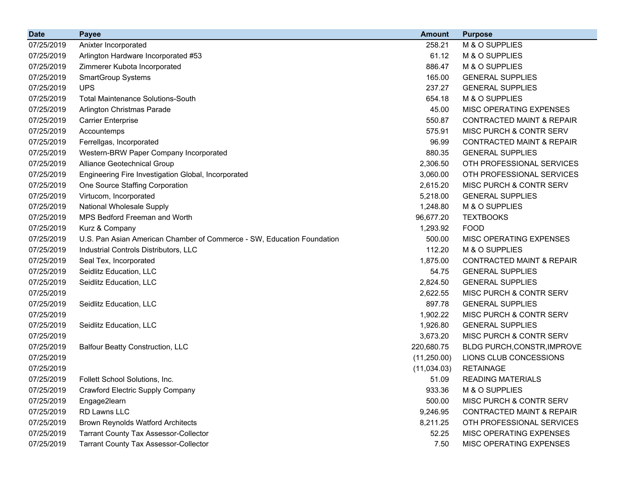| <b>Date</b> | <b>Payee</b>                                                           | <b>Amount</b> | <b>Purpose</b>                       |
|-------------|------------------------------------------------------------------------|---------------|--------------------------------------|
| 07/25/2019  | Anixter Incorporated                                                   | 258.21        | M & O SUPPLIES                       |
| 07/25/2019  | Arlington Hardware Incorporated #53                                    | 61.12         | M & O SUPPLIES                       |
| 07/25/2019  | Zimmerer Kubota Incorporated                                           | 886.47        | M & O SUPPLIES                       |
| 07/25/2019  | <b>SmartGroup Systems</b>                                              | 165.00        | <b>GENERAL SUPPLIES</b>              |
| 07/25/2019  | <b>UPS</b>                                                             | 237.27        | <b>GENERAL SUPPLIES</b>              |
| 07/25/2019  | <b>Total Maintenance Solutions-South</b>                               | 654.18        | M & O SUPPLIES                       |
| 07/25/2019  | Arlington Christmas Parade                                             | 45.00         | MISC OPERATING EXPENSES              |
| 07/25/2019  | <b>Carrier Enterprise</b>                                              | 550.87        | <b>CONTRACTED MAINT &amp; REPAIR</b> |
| 07/25/2019  | Accountemps                                                            | 575.91        | MISC PURCH & CONTR SERV              |
| 07/25/2019  | Ferrellgas, Incorporated                                               | 96.99         | <b>CONTRACTED MAINT &amp; REPAIR</b> |
| 07/25/2019  | Western-BRW Paper Company Incorporated                                 | 880.35        | <b>GENERAL SUPPLIES</b>              |
| 07/25/2019  | Alliance Geotechnical Group                                            | 2,306.50      | OTH PROFESSIONAL SERVICES            |
| 07/25/2019  | Engineering Fire Investigation Global, Incorporated                    | 3,060.00      | OTH PROFESSIONAL SERVICES            |
| 07/25/2019  | One Source Staffing Corporation                                        | 2,615.20      | <b>MISC PURCH &amp; CONTR SERV</b>   |
| 07/25/2019  | Virtucom, Incorporated                                                 | 5,218.00      | <b>GENERAL SUPPLIES</b>              |
| 07/25/2019  | National Wholesale Supply                                              | 1,248.80      | M & O SUPPLIES                       |
| 07/25/2019  | <b>MPS Bedford Freeman and Worth</b>                                   | 96,677.20     | <b>TEXTBOOKS</b>                     |
| 07/25/2019  | Kurz & Company                                                         | 1,293.92      | <b>FOOD</b>                          |
| 07/25/2019  | U.S. Pan Asian American Chamber of Commerce - SW, Education Foundation | 500.00        | MISC OPERATING EXPENSES              |
| 07/25/2019  | Industrial Controls Distributors, LLC                                  | 112.20        | M & O SUPPLIES                       |
| 07/25/2019  | Seal Tex, Incorporated                                                 | 1,875.00      | <b>CONTRACTED MAINT &amp; REPAIR</b> |
| 07/25/2019  | Seidlitz Education, LLC                                                | 54.75         | <b>GENERAL SUPPLIES</b>              |
| 07/25/2019  | Seidlitz Education, LLC                                                | 2,824.50      | <b>GENERAL SUPPLIES</b>              |
| 07/25/2019  |                                                                        | 2,622.55      | MISC PURCH & CONTR SERV              |
| 07/25/2019  | Seidlitz Education, LLC                                                | 897.78        | <b>GENERAL SUPPLIES</b>              |
| 07/25/2019  |                                                                        | 1,902.22      | MISC PURCH & CONTR SERV              |
| 07/25/2019  | Seidlitz Education, LLC                                                | 1,926.80      | <b>GENERAL SUPPLIES</b>              |
| 07/25/2019  |                                                                        | 3,673.20      | MISC PURCH & CONTR SERV              |
| 07/25/2019  | <b>Balfour Beatty Construction, LLC</b>                                | 220,680.75    | BLDG PURCH, CONSTR, IMPROVE          |
| 07/25/2019  |                                                                        | (11,250.00)   | LIONS CLUB CONCESSIONS               |
| 07/25/2019  |                                                                        | (11,034.03)   | <b>RETAINAGE</b>                     |
| 07/25/2019  | Follett School Solutions, Inc.                                         | 51.09         | <b>READING MATERIALS</b>             |
| 07/25/2019  | <b>Crawford Electric Supply Company</b>                                | 933.36        | M & O SUPPLIES                       |
| 07/25/2019  | Engage2learn                                                           | 500.00        | <b>MISC PURCH &amp; CONTR SERV</b>   |
| 07/25/2019  | RD Lawns LLC                                                           | 9,246.95      | <b>CONTRACTED MAINT &amp; REPAIR</b> |
| 07/25/2019  | <b>Brown Reynolds Watford Architects</b>                               | 8,211.25      | OTH PROFESSIONAL SERVICES            |
| 07/25/2019  | <b>Tarrant County Tax Assessor-Collector</b>                           | 52.25         | MISC OPERATING EXPENSES              |
| 07/25/2019  | <b>Tarrant County Tax Assessor-Collector</b>                           | 7.50          | MISC OPERATING EXPENSES              |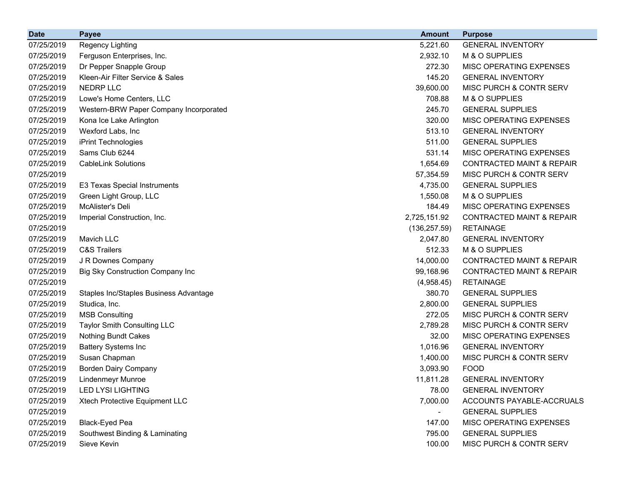| <b>Date</b> | <b>Payee</b>                            | <b>Amount</b>            | <b>Purpose</b>                       |
|-------------|-----------------------------------------|--------------------------|--------------------------------------|
| 07/25/2019  | Regency Lighting                        | 5,221.60                 | <b>GENERAL INVENTORY</b>             |
| 07/25/2019  | Ferguson Enterprises, Inc.              | 2,932.10                 | M & O SUPPLIES                       |
| 07/25/2019  | Dr Pepper Snapple Group                 | 272.30                   | MISC OPERATING EXPENSES              |
| 07/25/2019  | Kleen-Air Filter Service & Sales        | 145.20                   | <b>GENERAL INVENTORY</b>             |
| 07/25/2019  | <b>NEDRP LLC</b>                        | 39,600.00                | MISC PURCH & CONTR SERV              |
| 07/25/2019  | Lowe's Home Centers, LLC                | 708.88                   | M & O SUPPLIES                       |
| 07/25/2019  | Western-BRW Paper Company Incorporated  | 245.70                   | <b>GENERAL SUPPLIES</b>              |
| 07/25/2019  | Kona Ice Lake Arlington                 | 320.00                   | MISC OPERATING EXPENSES              |
| 07/25/2019  | Wexford Labs, Inc                       | 513.10                   | <b>GENERAL INVENTORY</b>             |
| 07/25/2019  | iPrint Technologies                     | 511.00                   | <b>GENERAL SUPPLIES</b>              |
| 07/25/2019  | Sams Club 6244                          | 531.14                   | MISC OPERATING EXPENSES              |
| 07/25/2019  | <b>CableLink Solutions</b>              | 1,654.69                 | <b>CONTRACTED MAINT &amp; REPAIR</b> |
| 07/25/2019  |                                         | 57,354.59                | MISC PURCH & CONTR SERV              |
| 07/25/2019  | E3 Texas Special Instruments            | 4,735.00                 | <b>GENERAL SUPPLIES</b>              |
| 07/25/2019  | Green Light Group, LLC                  | 1,550.08                 | M & O SUPPLIES                       |
| 07/25/2019  | McAlister's Deli                        | 184.49                   | MISC OPERATING EXPENSES              |
| 07/25/2019  | Imperial Construction, Inc.             | 2,725,151.92             | <b>CONTRACTED MAINT &amp; REPAIR</b> |
| 07/25/2019  |                                         | (136, 257.59)            | <b>RETAINAGE</b>                     |
| 07/25/2019  | Mavich LLC                              | 2,047.80                 | <b>GENERAL INVENTORY</b>             |
| 07/25/2019  | <b>C&amp;S Trailers</b>                 | 512.33                   | M & O SUPPLIES                       |
| 07/25/2019  | J R Downes Company                      | 14,000.00                | <b>CONTRACTED MAINT &amp; REPAIR</b> |
| 07/25/2019  | <b>Big Sky Construction Company Inc</b> | 99,168.96                | <b>CONTRACTED MAINT &amp; REPAIR</b> |
| 07/25/2019  |                                         | (4,958.45)               | <b>RETAINAGE</b>                     |
| 07/25/2019  | Staples Inc/Staples Business Advantage  | 380.70                   | <b>GENERAL SUPPLIES</b>              |
| 07/25/2019  | Studica, Inc.                           | 2,800.00                 | <b>GENERAL SUPPLIES</b>              |
| 07/25/2019  | <b>MSB Consulting</b>                   | 272.05                   | MISC PURCH & CONTR SERV              |
| 07/25/2019  | <b>Taylor Smith Consulting LLC</b>      | 2,789.28                 | MISC PURCH & CONTR SERV              |
| 07/25/2019  | Nothing Bundt Cakes                     | 32.00                    | MISC OPERATING EXPENSES              |
| 07/25/2019  | <b>Battery Systems Inc</b>              | 1,016.96                 | <b>GENERAL INVENTORY</b>             |
| 07/25/2019  | Susan Chapman                           | 1,400.00                 | MISC PURCH & CONTR SERV              |
| 07/25/2019  | <b>Borden Dairy Company</b>             | 3,093.90                 | <b>FOOD</b>                          |
| 07/25/2019  | <b>Lindenmeyr Munroe</b>                | 11,811.28                | <b>GENERAL INVENTORY</b>             |
| 07/25/2019  | <b>LED LYSI LIGHTING</b>                | 78.00                    | <b>GENERAL INVENTORY</b>             |
| 07/25/2019  | Xtech Protective Equipment LLC          | 7,000.00                 | ACCOUNTS PAYABLE-ACCRUALS            |
| 07/25/2019  |                                         | $\overline{\phantom{0}}$ | <b>GENERAL SUPPLIES</b>              |
| 07/25/2019  | Black-Eyed Pea                          | 147.00                   | MISC OPERATING EXPENSES              |
| 07/25/2019  | Southwest Binding & Laminating          | 795.00                   | <b>GENERAL SUPPLIES</b>              |
| 07/25/2019  | Sieve Kevin                             | 100.00                   | MISC PURCH & CONTR SERV              |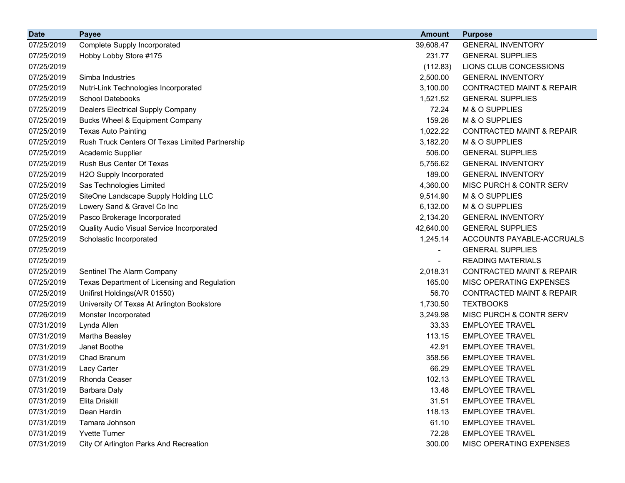| <b>Date</b> | <b>Payee</b>                                    | <b>Amount</b>  | <b>Purpose</b>                       |
|-------------|-------------------------------------------------|----------------|--------------------------------------|
| 07/25/2019  | Complete Supply Incorporated                    | 39,608.47      | <b>GENERAL INVENTORY</b>             |
| 07/25/2019  | Hobby Lobby Store #175                          | 231.77         | <b>GENERAL SUPPLIES</b>              |
| 07/25/2019  |                                                 | (112.83)       | LIONS CLUB CONCESSIONS               |
| 07/25/2019  | Simba Industries                                | 2,500.00       | <b>GENERAL INVENTORY</b>             |
| 07/25/2019  | Nutri-Link Technologies Incorporated            | 3,100.00       | <b>CONTRACTED MAINT &amp; REPAIR</b> |
| 07/25/2019  | <b>School Datebooks</b>                         | 1,521.52       | <b>GENERAL SUPPLIES</b>              |
| 07/25/2019  | Dealers Electrical Supply Company               | 72.24          | M & O SUPPLIES                       |
| 07/25/2019  | Bucks Wheel & Equipment Company                 | 159.26         | M & O SUPPLIES                       |
| 07/25/2019  | <b>Texas Auto Painting</b>                      | 1,022.22       | <b>CONTRACTED MAINT &amp; REPAIR</b> |
| 07/25/2019  | Rush Truck Centers Of Texas Limited Partnership | 3,182.20       | M & O SUPPLIES                       |
| 07/25/2019  | Academic Supplier                               | 506.00         | <b>GENERAL SUPPLIES</b>              |
| 07/25/2019  | Rush Bus Center Of Texas                        | 5,756.62       | <b>GENERAL INVENTORY</b>             |
| 07/25/2019  | H2O Supply Incorporated                         | 189.00         | <b>GENERAL INVENTORY</b>             |
| 07/25/2019  | Sas Technologies Limited                        | 4,360.00       | MISC PURCH & CONTR SERV              |
| 07/25/2019  | SiteOne Landscape Supply Holding LLC            | 9,514.90       | M & O SUPPLIES                       |
| 07/25/2019  | Lowery Sand & Gravel Co Inc                     | 6,132.00       | M & O SUPPLIES                       |
| 07/25/2019  | Pasco Brokerage Incorporated                    | 2,134.20       | <b>GENERAL INVENTORY</b>             |
| 07/25/2019  | Quality Audio Visual Service Incorporated       | 42,640.00      | <b>GENERAL SUPPLIES</b>              |
| 07/25/2019  | Scholastic Incorporated                         | 1,245.14       | ACCOUNTS PAYABLE-ACCRUALS            |
| 07/25/2019  |                                                 | $\blacksquare$ | <b>GENERAL SUPPLIES</b>              |
| 07/25/2019  |                                                 |                | <b>READING MATERIALS</b>             |
| 07/25/2019  | Sentinel The Alarm Company                      | 2,018.31       | <b>CONTRACTED MAINT &amp; REPAIR</b> |
| 07/25/2019  | Texas Department of Licensing and Regulation    | 165.00         | MISC OPERATING EXPENSES              |
| 07/25/2019  | Unifirst Holdings(A/R 01550)                    | 56.70          | <b>CONTRACTED MAINT &amp; REPAIR</b> |
| 07/25/2019  | University Of Texas At Arlington Bookstore      | 1,730.50       | <b>TEXTBOOKS</b>                     |
| 07/26/2019  | Monster Incorporated                            | 3,249.98       | MISC PURCH & CONTR SERV              |
| 07/31/2019  | Lynda Allen                                     | 33.33          | <b>EMPLOYEE TRAVEL</b>               |
| 07/31/2019  | Martha Beasley                                  | 113.15         | <b>EMPLOYEE TRAVEL</b>               |
| 07/31/2019  | Janet Boothe                                    | 42.91          | <b>EMPLOYEE TRAVEL</b>               |
| 07/31/2019  | Chad Branum                                     | 358.56         | <b>EMPLOYEE TRAVEL</b>               |
| 07/31/2019  | Lacy Carter                                     | 66.29          | <b>EMPLOYEE TRAVEL</b>               |
| 07/31/2019  | Rhonda Ceaser                                   | 102.13         | <b>EMPLOYEE TRAVEL</b>               |
| 07/31/2019  | <b>Barbara Daly</b>                             | 13.48          | <b>EMPLOYEE TRAVEL</b>               |
| 07/31/2019  | Elita Driskill                                  | 31.51          | <b>EMPLOYEE TRAVEL</b>               |
| 07/31/2019  | Dean Hardin                                     | 118.13         | <b>EMPLOYEE TRAVEL</b>               |
| 07/31/2019  | Tamara Johnson                                  | 61.10          | <b>EMPLOYEE TRAVEL</b>               |
| 07/31/2019  | <b>Yvette Turner</b>                            | 72.28          | <b>EMPLOYEE TRAVEL</b>               |
| 07/31/2019  | City Of Arlington Parks And Recreation          | 300.00         | MISC OPERATING EXPENSES              |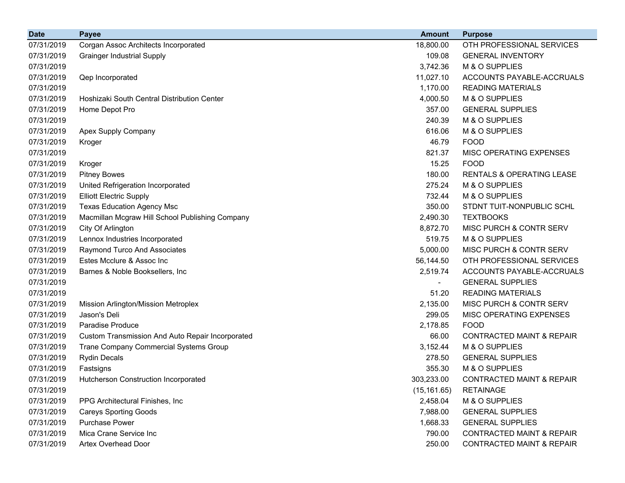| <b>Date</b> | <b>Payee</b>                                     | <b>Amount</b> | <b>Purpose</b>                       |
|-------------|--------------------------------------------------|---------------|--------------------------------------|
| 07/31/2019  | Corgan Assoc Architects Incorporated             | 18,800.00     | OTH PROFESSIONAL SERVICES            |
| 07/31/2019  | <b>Grainger Industrial Supply</b>                | 109.08        | <b>GENERAL INVENTORY</b>             |
| 07/31/2019  |                                                  | 3,742.36      | M & O SUPPLIES                       |
| 07/31/2019  | Qep Incorporated                                 | 11,027.10     | ACCOUNTS PAYABLE-ACCRUALS            |
| 07/31/2019  |                                                  | 1,170.00      | <b>READING MATERIALS</b>             |
| 07/31/2019  | Hoshizaki South Central Distribution Center      | 4,000.50      | M & O SUPPLIES                       |
| 07/31/2019  | Home Depot Pro                                   | 357.00        | <b>GENERAL SUPPLIES</b>              |
| 07/31/2019  |                                                  | 240.39        | M & O SUPPLIES                       |
| 07/31/2019  | Apex Supply Company                              | 616.06        | M & O SUPPLIES                       |
| 07/31/2019  | Kroger                                           | 46.79         | <b>FOOD</b>                          |
| 07/31/2019  |                                                  | 821.37        | <b>MISC OPERATING EXPENSES</b>       |
| 07/31/2019  | Kroger                                           | 15.25         | <b>FOOD</b>                          |
| 07/31/2019  | <b>Pitney Bowes</b>                              | 180.00        | <b>RENTALS &amp; OPERATING LEASE</b> |
| 07/31/2019  | United Refrigeration Incorporated                | 275.24        | M & O SUPPLIES                       |
| 07/31/2019  | <b>Elliott Electric Supply</b>                   | 732.44        | M & O SUPPLIES                       |
| 07/31/2019  | <b>Texas Education Agency Msc</b>                | 350.00        | STDNT TUIT-NONPUBLIC SCHL            |
| 07/31/2019  | Macmillan Mcgraw Hill School Publishing Company  | 2,490.30      | <b>TEXTBOOKS</b>                     |
| 07/31/2019  | City Of Arlington                                | 8,872.70      | MISC PURCH & CONTR SERV              |
| 07/31/2019  | Lennox Industries Incorporated                   | 519.75        | M & O SUPPLIES                       |
| 07/31/2019  | Raymond Turco And Associates                     | 5,000.00      | MISC PURCH & CONTR SERV              |
| 07/31/2019  | Estes Mcclure & Assoc Inc                        | 56,144.50     | OTH PROFESSIONAL SERVICES            |
| 07/31/2019  | Barnes & Noble Booksellers, Inc                  | 2,519.74      | ACCOUNTS PAYABLE-ACCRUALS            |
| 07/31/2019  |                                                  |               | <b>GENERAL SUPPLIES</b>              |
| 07/31/2019  |                                                  | 51.20         | <b>READING MATERIALS</b>             |
| 07/31/2019  | Mission Arlington/Mission Metroplex              | 2,135.00      | <b>MISC PURCH &amp; CONTR SERV</b>   |
| 07/31/2019  | Jason's Deli                                     | 299.05        | MISC OPERATING EXPENSES              |
| 07/31/2019  | Paradise Produce                                 | 2,178.85      | <b>FOOD</b>                          |
| 07/31/2019  | Custom Transmission And Auto Repair Incorporated | 66.00         | <b>CONTRACTED MAINT &amp; REPAIR</b> |
| 07/31/2019  | Trane Company Commercial Systems Group           | 3,152.44      | M & O SUPPLIES                       |
| 07/31/2019  | <b>Rydin Decals</b>                              | 278.50        | <b>GENERAL SUPPLIES</b>              |
| 07/31/2019  | Fastsigns                                        | 355.30        | M & O SUPPLIES                       |
| 07/31/2019  | Hutcherson Construction Incorporated             | 303,233.00    | CONTRACTED MAINT & REPAIR            |
| 07/31/2019  |                                                  | (15, 161.65)  | <b>RETAINAGE</b>                     |
| 07/31/2019  | PPG Architectural Finishes, Inc.                 | 2,458.04      | M & O SUPPLIES                       |
| 07/31/2019  | <b>Careys Sporting Goods</b>                     | 7,988.00      | <b>GENERAL SUPPLIES</b>              |
| 07/31/2019  | <b>Purchase Power</b>                            | 1,668.33      | <b>GENERAL SUPPLIES</b>              |
| 07/31/2019  | Mica Crane Service Inc                           | 790.00        | CONTRACTED MAINT & REPAIR            |
| 07/31/2019  | Artex Overhead Door                              | 250.00        | CONTRACTED MAINT & REPAIR            |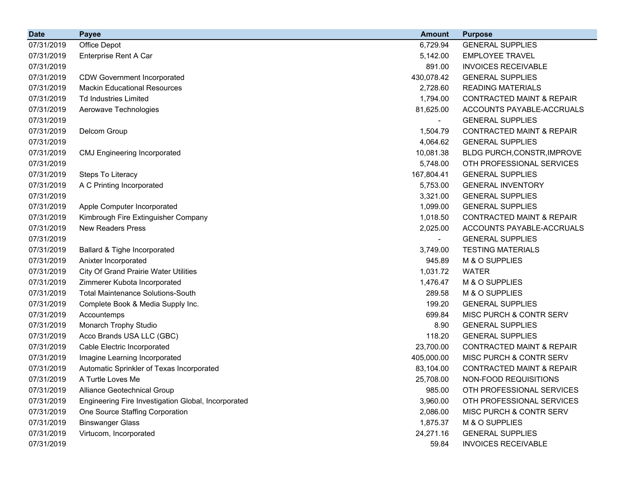| <b>Date</b> | <b>Payee</b>                                        | <b>Amount</b>            | <b>Purpose</b>                       |
|-------------|-----------------------------------------------------|--------------------------|--------------------------------------|
| 07/31/2019  | Office Depot                                        | 6,729.94                 | <b>GENERAL SUPPLIES</b>              |
| 07/31/2019  | Enterprise Rent A Car                               | 5,142.00                 | <b>EMPLOYEE TRAVEL</b>               |
| 07/31/2019  |                                                     | 891.00                   | <b>INVOICES RECEIVABLE</b>           |
| 07/31/2019  | <b>CDW Government Incorporated</b>                  | 430,078.42               | <b>GENERAL SUPPLIES</b>              |
| 07/31/2019  | <b>Mackin Educational Resources</b>                 | 2,728.60                 | <b>READING MATERIALS</b>             |
| 07/31/2019  | <b>Td Industries Limited</b>                        | 1,794.00                 | <b>CONTRACTED MAINT &amp; REPAIR</b> |
| 07/31/2019  | Aerowave Technologies                               | 81,625.00                | ACCOUNTS PAYABLE-ACCRUALS            |
| 07/31/2019  |                                                     |                          | <b>GENERAL SUPPLIES</b>              |
| 07/31/2019  | Delcom Group                                        | 1,504.79                 | <b>CONTRACTED MAINT &amp; REPAIR</b> |
| 07/31/2019  |                                                     | 4,064.62                 | <b>GENERAL SUPPLIES</b>              |
| 07/31/2019  | <b>CMJ Engineering Incorporated</b>                 | 10,081.38                | BLDG PURCH, CONSTR, IMPROVE          |
| 07/31/2019  |                                                     | 5,748.00                 | OTH PROFESSIONAL SERVICES            |
| 07/31/2019  | Steps To Literacy                                   | 167,804.41               | <b>GENERAL SUPPLIES</b>              |
| 07/31/2019  | A C Printing Incorporated                           | 5,753.00                 | <b>GENERAL INVENTORY</b>             |
| 07/31/2019  |                                                     | 3,321.00                 | <b>GENERAL SUPPLIES</b>              |
| 07/31/2019  | Apple Computer Incorporated                         | 1,099.00                 | <b>GENERAL SUPPLIES</b>              |
| 07/31/2019  | Kimbrough Fire Extinguisher Company                 | 1,018.50                 | <b>CONTRACTED MAINT &amp; REPAIR</b> |
| 07/31/2019  | <b>New Readers Press</b>                            | 2,025.00                 | ACCOUNTS PAYABLE-ACCRUALS            |
| 07/31/2019  |                                                     | $\overline{\phantom{a}}$ | <b>GENERAL SUPPLIES</b>              |
| 07/31/2019  | Ballard & Tighe Incorporated                        | 3,749.00                 | <b>TESTING MATERIALS</b>             |
| 07/31/2019  | Anixter Incorporated                                | 945.89                   | M & O SUPPLIES                       |
| 07/31/2019  | <b>City Of Grand Prairie Water Utilities</b>        | 1,031.72                 | <b>WATER</b>                         |
| 07/31/2019  | Zimmerer Kubota Incorporated                        | 1,476.47                 | M & O SUPPLIES                       |
| 07/31/2019  | <b>Total Maintenance Solutions-South</b>            | 289.58                   | M & O SUPPLIES                       |
| 07/31/2019  | Complete Book & Media Supply Inc.                   | 199.20                   | <b>GENERAL SUPPLIES</b>              |
| 07/31/2019  | Accountemps                                         | 699.84                   | MISC PURCH & CONTR SERV              |
| 07/31/2019  | Monarch Trophy Studio                               | 8.90                     | <b>GENERAL SUPPLIES</b>              |
| 07/31/2019  | Acco Brands USA LLC (GBC)                           | 118.20                   | <b>GENERAL SUPPLIES</b>              |
| 07/31/2019  | Cable Electric Incorporated                         | 23,700.00                | <b>CONTRACTED MAINT &amp; REPAIR</b> |
| 07/31/2019  | Imagine Learning Incorporated                       | 405,000.00               | MISC PURCH & CONTR SERV              |
| 07/31/2019  | Automatic Sprinkler of Texas Incorporated           | 83,104.00                | <b>CONTRACTED MAINT &amp; REPAIR</b> |
| 07/31/2019  | A Turtle Loves Me                                   | 25,708.00                | NON-FOOD REQUISITIONS                |
| 07/31/2019  | Alliance Geotechnical Group                         | 985.00                   | OTH PROFESSIONAL SERVICES            |
| 07/31/2019  | Engineering Fire Investigation Global, Incorporated | 3,960.00                 | OTH PROFESSIONAL SERVICES            |
| 07/31/2019  | One Source Staffing Corporation                     | 2,086.00                 | MISC PURCH & CONTR SERV              |
| 07/31/2019  | <b>Binswanger Glass</b>                             | 1,875.37                 | M & O SUPPLIES                       |
| 07/31/2019  | Virtucom, Incorporated                              | 24,271.16                | <b>GENERAL SUPPLIES</b>              |
| 07/31/2019  |                                                     | 59.84                    | <b>INVOICES RECEIVABLE</b>           |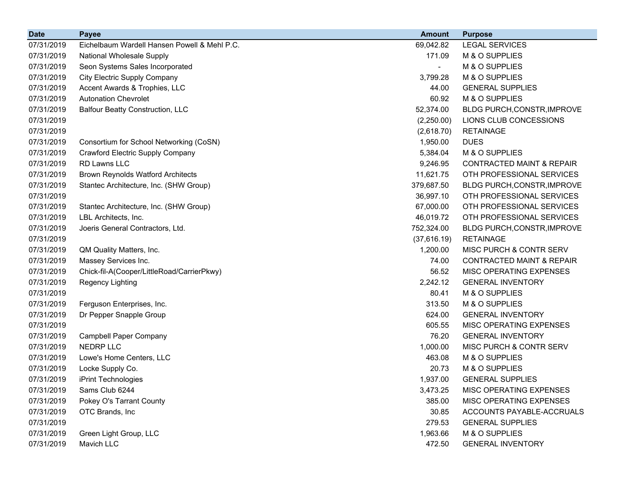| <b>Date</b> | <b>Payee</b>                                 | <b>Amount</b> | <b>Purpose</b>                       |
|-------------|----------------------------------------------|---------------|--------------------------------------|
| 07/31/2019  | Eichelbaum Wardell Hansen Powell & Mehl P.C. | 69,042.82     | <b>LEGAL SERVICES</b>                |
| 07/31/2019  | National Wholesale Supply                    | 171.09        | M & O SUPPLIES                       |
| 07/31/2019  | Seon Systems Sales Incorporated              |               | M & O SUPPLIES                       |
| 07/31/2019  | <b>City Electric Supply Company</b>          | 3,799.28      | M & O SUPPLIES                       |
| 07/31/2019  | Accent Awards & Trophies, LLC                | 44.00         | <b>GENERAL SUPPLIES</b>              |
| 07/31/2019  | <b>Autonation Chevrolet</b>                  | 60.92         | M & O SUPPLIES                       |
| 07/31/2019  | <b>Balfour Beatty Construction, LLC</b>      | 52,374.00     | BLDG PURCH, CONSTR, IMPROVE          |
| 07/31/2019  |                                              | (2,250.00)    | LIONS CLUB CONCESSIONS               |
| 07/31/2019  |                                              | (2,618.70)    | <b>RETAINAGE</b>                     |
| 07/31/2019  | Consortium for School Networking (CoSN)      | 1,950.00      | <b>DUES</b>                          |
| 07/31/2019  | Crawford Electric Supply Company             | 5,384.04      | M & O SUPPLIES                       |
| 07/31/2019  | <b>RD Lawns LLC</b>                          | 9,246.95      | <b>CONTRACTED MAINT &amp; REPAIR</b> |
| 07/31/2019  | <b>Brown Reynolds Watford Architects</b>     | 11,621.75     | OTH PROFESSIONAL SERVICES            |
| 07/31/2019  | Stantec Architecture, Inc. (SHW Group)       | 379,687.50    | BLDG PURCH, CONSTR, IMPROVE          |
| 07/31/2019  |                                              | 36,997.10     | OTH PROFESSIONAL SERVICES            |
| 07/31/2019  | Stantec Architecture, Inc. (SHW Group)       | 67,000.00     | OTH PROFESSIONAL SERVICES            |
| 07/31/2019  | LBL Architects, Inc.                         | 46,019.72     | OTH PROFESSIONAL SERVICES            |
| 07/31/2019  | Joeris General Contractors, Ltd.             | 752,324.00    | BLDG PURCH, CONSTR, IMPROVE          |
| 07/31/2019  |                                              | (37,616.19)   | <b>RETAINAGE</b>                     |
| 07/31/2019  | QM Quality Matters, Inc.                     | 1,200.00      | MISC PURCH & CONTR SERV              |
| 07/31/2019  | Massey Services Inc.                         | 74.00         | <b>CONTRACTED MAINT &amp; REPAIR</b> |
| 07/31/2019  | Chick-fil-A(Cooper/LittleRoad/CarrierPkwy)   | 56.52         | MISC OPERATING EXPENSES              |
| 07/31/2019  | Regency Lighting                             | 2,242.12      | <b>GENERAL INVENTORY</b>             |
| 07/31/2019  |                                              | 80.41         | M & O SUPPLIES                       |
| 07/31/2019  | Ferguson Enterprises, Inc.                   | 313.50        | M & O SUPPLIES                       |
| 07/31/2019  | Dr Pepper Snapple Group                      | 624.00        | <b>GENERAL INVENTORY</b>             |
| 07/31/2019  |                                              | 605.55        | MISC OPERATING EXPENSES              |
| 07/31/2019  | <b>Campbell Paper Company</b>                | 76.20         | <b>GENERAL INVENTORY</b>             |
| 07/31/2019  | <b>NEDRP LLC</b>                             | 1,000.00      | MISC PURCH & CONTR SERV              |
| 07/31/2019  | Lowe's Home Centers, LLC                     | 463.08        | M & O SUPPLIES                       |
| 07/31/2019  | Locke Supply Co.                             | 20.73         | M & O SUPPLIES                       |
| 07/31/2019  | iPrint Technologies                          | 1,937.00      | <b>GENERAL SUPPLIES</b>              |
| 07/31/2019  | Sams Club 6244                               | 3,473.25      | MISC OPERATING EXPENSES              |
| 07/31/2019  | Pokey O's Tarrant County                     | 385.00        | MISC OPERATING EXPENSES              |
| 07/31/2019  | OTC Brands, Inc                              | 30.85         | ACCOUNTS PAYABLE-ACCRUALS            |
| 07/31/2019  |                                              | 279.53        | <b>GENERAL SUPPLIES</b>              |
| 07/31/2019  | Green Light Group, LLC                       | 1,963.66      | M & O SUPPLIES                       |
| 07/31/2019  | Mavich LLC                                   | 472.50        | <b>GENERAL INVENTORY</b>             |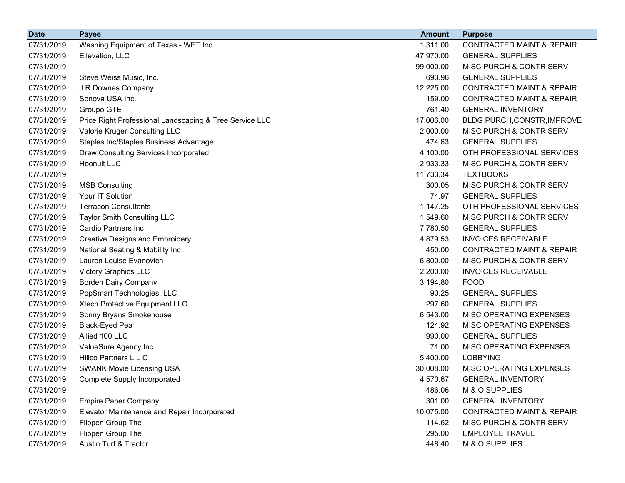| <b>Date</b> | <b>Payee</b>                                            | <b>Amount</b> | <b>Purpose</b>                       |
|-------------|---------------------------------------------------------|---------------|--------------------------------------|
| 07/31/2019  | Washing Equipment of Texas - WET Inc                    | 1,311.00      | <b>CONTRACTED MAINT &amp; REPAIR</b> |
| 07/31/2019  | Ellevation, LLC                                         | 47,970.00     | <b>GENERAL SUPPLIES</b>              |
| 07/31/2019  |                                                         | 99,000.00     | MISC PURCH & CONTR SERV              |
| 07/31/2019  | Steve Weiss Music, Inc.                                 | 693.96        | <b>GENERAL SUPPLIES</b>              |
| 07/31/2019  | J R Downes Company                                      | 12,225.00     | <b>CONTRACTED MAINT &amp; REPAIR</b> |
| 07/31/2019  | Sonova USA Inc.                                         | 159.00        | <b>CONTRACTED MAINT &amp; REPAIR</b> |
| 07/31/2019  | Groupo GTE                                              | 761.40        | <b>GENERAL INVENTORY</b>             |
| 07/31/2019  | Price Right Professional Landscaping & Tree Service LLC | 17,006.00     | BLDG PURCH, CONSTR, IMPROVE          |
| 07/31/2019  | Valorie Kruger Consulting LLC                           | 2,000.00      | MISC PURCH & CONTR SERV              |
| 07/31/2019  | Staples Inc/Staples Business Advantage                  | 474.63        | <b>GENERAL SUPPLIES</b>              |
| 07/31/2019  | Drew Consulting Services Incorporated                   | 4,100.00      | OTH PROFESSIONAL SERVICES            |
| 07/31/2019  | <b>Hoonuit LLC</b>                                      | 2,933.33      | MISC PURCH & CONTR SERV              |
| 07/31/2019  |                                                         | 11,733.34     | <b>TEXTBOOKS</b>                     |
| 07/31/2019  | <b>MSB Consulting</b>                                   | 300.05        | MISC PURCH & CONTR SERV              |
| 07/31/2019  | Your IT Solution                                        | 74.97         | <b>GENERAL SUPPLIES</b>              |
| 07/31/2019  | <b>Terracon Consultants</b>                             | 1,147.25      | OTH PROFESSIONAL SERVICES            |
| 07/31/2019  | <b>Taylor Smith Consulting LLC</b>                      | 1,549.60      | MISC PURCH & CONTR SERV              |
| 07/31/2019  | Cardio Partners Inc                                     | 7,780.50      | <b>GENERAL SUPPLIES</b>              |
| 07/31/2019  | <b>Creative Designs and Embroidery</b>                  | 4,879.53      | <b>INVOICES RECEIVABLE</b>           |
| 07/31/2019  | National Seating & Mobility Inc                         | 450.00        | <b>CONTRACTED MAINT &amp; REPAIR</b> |
| 07/31/2019  | Lauren Louise Evanovich                                 | 6,800.00      | MISC PURCH & CONTR SERV              |
| 07/31/2019  | <b>Victory Graphics LLC</b>                             | 2,200.00      | <b>INVOICES RECEIVABLE</b>           |
| 07/31/2019  | <b>Borden Dairy Company</b>                             | 3,194.80      | <b>FOOD</b>                          |
| 07/31/2019  | PopSmart Technologies, LLC                              | 90.25         | <b>GENERAL SUPPLIES</b>              |
| 07/31/2019  | Xtech Protective Equipment LLC                          | 297.60        | <b>GENERAL SUPPLIES</b>              |
| 07/31/2019  | Sonny Bryans Smokehouse                                 | 6,543.00      | MISC OPERATING EXPENSES              |
| 07/31/2019  | <b>Black-Eyed Pea</b>                                   | 124.92        | MISC OPERATING EXPENSES              |
| 07/31/2019  | Allied 100 LLC                                          | 990.00        | <b>GENERAL SUPPLIES</b>              |
| 07/31/2019  | ValueSure Agency Inc.                                   | 71.00         | MISC OPERATING EXPENSES              |
| 07/31/2019  | Hillco Partners L L C                                   | 5,400.00      | <b>LOBBYING</b>                      |
| 07/31/2019  | <b>SWANK Movie Licensing USA</b>                        | 30,008.00     | MISC OPERATING EXPENSES              |
| 07/31/2019  | <b>Complete Supply Incorporated</b>                     | 4,570.67      | <b>GENERAL INVENTORY</b>             |
| 07/31/2019  |                                                         | 486.06        | M & O SUPPLIES                       |
| 07/31/2019  | <b>Empire Paper Company</b>                             | 301.00        | <b>GENERAL INVENTORY</b>             |
| 07/31/2019  | Elevator Maintenance and Repair Incorporated            | 10,075.00     | <b>CONTRACTED MAINT &amp; REPAIR</b> |
| 07/31/2019  | Flippen Group The                                       | 114.62        | MISC PURCH & CONTR SERV              |
| 07/31/2019  | Flippen Group The                                       | 295.00        | <b>EMPLOYEE TRAVEL</b>               |
| 07/31/2019  | Austin Turf & Tractor                                   | 448.40        | M & O SUPPLIES                       |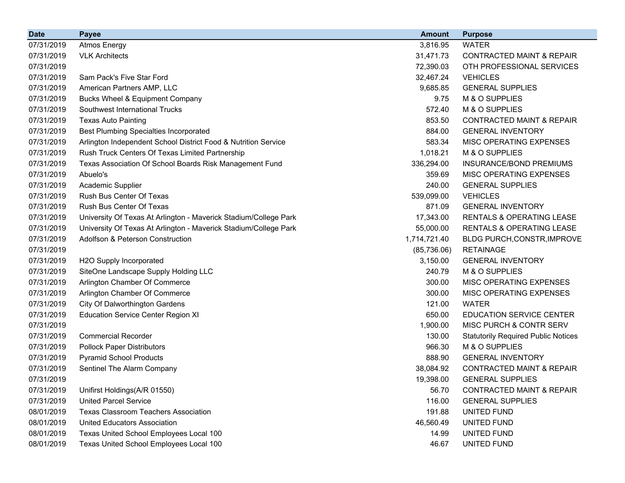| <b>Date</b> | <b>Payee</b>                                                     | <b>Amount</b> | <b>Purpose</b>                             |
|-------------|------------------------------------------------------------------|---------------|--------------------------------------------|
| 07/31/2019  | <b>Atmos Energy</b>                                              | 3,816.95      | <b>WATER</b>                               |
| 07/31/2019  | <b>VLK Architects</b>                                            | 31,471.73     | <b>CONTRACTED MAINT &amp; REPAIR</b>       |
| 07/31/2019  |                                                                  | 72,390.03     | OTH PROFESSIONAL SERVICES                  |
| 07/31/2019  | Sam Pack's Five Star Ford                                        | 32,467.24     | <b>VEHICLES</b>                            |
| 07/31/2019  | American Partners AMP, LLC                                       | 9,685.85      | <b>GENERAL SUPPLIES</b>                    |
| 07/31/2019  | <b>Bucks Wheel &amp; Equipment Company</b>                       | 9.75          | M & O SUPPLIES                             |
| 07/31/2019  | Southwest International Trucks                                   | 572.40        | M & O SUPPLIES                             |
| 07/31/2019  | <b>Texas Auto Painting</b>                                       | 853.50        | <b>CONTRACTED MAINT &amp; REPAIR</b>       |
| 07/31/2019  | <b>Best Plumbing Specialties Incorporated</b>                    | 884.00        | <b>GENERAL INVENTORY</b>                   |
| 07/31/2019  | Arlington Independent School District Food & Nutrition Service   | 583.34        | MISC OPERATING EXPENSES                    |
| 07/31/2019  | Rush Truck Centers Of Texas Limited Partnership                  | 1,018.21      | M & O SUPPLIES                             |
| 07/31/2019  | Texas Association Of School Boards Risk Management Fund          | 336,294.00    | INSURANCE/BOND PREMIUMS                    |
| 07/31/2019  | Abuelo's                                                         | 359.69        | MISC OPERATING EXPENSES                    |
| 07/31/2019  | Academic Supplier                                                | 240.00        | <b>GENERAL SUPPLIES</b>                    |
| 07/31/2019  | Rush Bus Center Of Texas                                         | 539,099.00    | <b>VEHICLES</b>                            |
| 07/31/2019  | Rush Bus Center Of Texas                                         | 871.09        | <b>GENERAL INVENTORY</b>                   |
| 07/31/2019  | University Of Texas At Arlington - Maverick Stadium/College Park | 17,343.00     | <b>RENTALS &amp; OPERATING LEASE</b>       |
| 07/31/2019  | University Of Texas At Arlington - Maverick Stadium/College Park | 55,000.00     | <b>RENTALS &amp; OPERATING LEASE</b>       |
| 07/31/2019  | <b>Adolfson &amp; Peterson Construction</b>                      | 1,714,721.40  | BLDG PURCH, CONSTR, IMPROVE                |
| 07/31/2019  |                                                                  | (85,736.06)   | <b>RETAINAGE</b>                           |
| 07/31/2019  | H2O Supply Incorporated                                          | 3,150.00      | <b>GENERAL INVENTORY</b>                   |
| 07/31/2019  | SiteOne Landscape Supply Holding LLC                             | 240.79        | M & O SUPPLIES                             |
| 07/31/2019  | Arlington Chamber Of Commerce                                    | 300.00        | MISC OPERATING EXPENSES                    |
| 07/31/2019  | Arlington Chamber Of Commerce                                    | 300.00        | MISC OPERATING EXPENSES                    |
| 07/31/2019  | City Of Dalworthington Gardens                                   | 121.00        | <b>WATER</b>                               |
| 07/31/2019  | <b>Education Service Center Region XI</b>                        | 650.00        | <b>EDUCATION SERVICE CENTER</b>            |
| 07/31/2019  |                                                                  | 1,900.00      | MISC PURCH & CONTR SERV                    |
| 07/31/2019  | <b>Commercial Recorder</b>                                       | 130.00        | <b>Statutorily Required Public Notices</b> |
| 07/31/2019  | <b>Pollock Paper Distributors</b>                                | 966.30        | M & O SUPPLIES                             |
| 07/31/2019  | <b>Pyramid School Products</b>                                   | 888.90        | <b>GENERAL INVENTORY</b>                   |
| 07/31/2019  | Sentinel The Alarm Company                                       | 38,084.92     | <b>CONTRACTED MAINT &amp; REPAIR</b>       |
| 07/31/2019  |                                                                  | 19,398.00     | <b>GENERAL SUPPLIES</b>                    |
| 07/31/2019  | Unifirst Holdings(A/R 01550)                                     | 56.70         | <b>CONTRACTED MAINT &amp; REPAIR</b>       |
| 07/31/2019  | <b>United Parcel Service</b>                                     | 116.00        | <b>GENERAL SUPPLIES</b>                    |
| 08/01/2019  | <b>Texas Classroom Teachers Association</b>                      | 191.88        | UNITED FUND                                |
| 08/01/2019  | <b>United Educators Association</b>                              | 46,560.49     | UNITED FUND                                |
| 08/01/2019  | Texas United School Employees Local 100                          | 14.99         | UNITED FUND                                |
| 08/01/2019  | Texas United School Employees Local 100                          | 46.67         | UNITED FUND                                |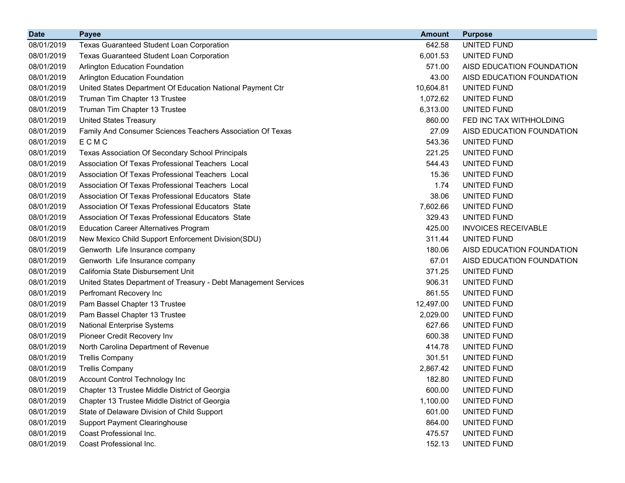| <b>Date</b> | <b>Payee</b>                                                    | <b>Amount</b> | <b>Purpose</b>             |
|-------------|-----------------------------------------------------------------|---------------|----------------------------|
| 08/01/2019  | Texas Guaranteed Student Loan Corporation                       | 642.58        | UNITED FUND                |
| 08/01/2019  | Texas Guaranteed Student Loan Corporation                       | 6,001.53      | UNITED FUND                |
| 08/01/2019  | Arlington Education Foundation                                  | 571.00        | AISD EDUCATION FOUNDATION  |
| 08/01/2019  | <b>Arlington Education Foundation</b>                           | 43.00         | AISD EDUCATION FOUNDATION  |
| 08/01/2019  | United States Department Of Education National Payment Ctr      | 10,604.81     | UNITED FUND                |
| 08/01/2019  | Truman Tim Chapter 13 Trustee                                   | 1,072.62      | UNITED FUND                |
| 08/01/2019  | Truman Tim Chapter 13 Trustee                                   | 6,313.00      | UNITED FUND                |
| 08/01/2019  | <b>United States Treasury</b>                                   | 860.00        | FED INC TAX WITHHOLDING    |
| 08/01/2019  | Family And Consumer Sciences Teachers Association Of Texas      | 27.09         | AISD EDUCATION FOUNDATION  |
| 08/01/2019  | ECMC                                                            | 543.36        | UNITED FUND                |
| 08/01/2019  | Texas Association Of Secondary School Principals                | 221.25        | UNITED FUND                |
| 08/01/2019  | Association Of Texas Professional Teachers Local                | 544.43        | UNITED FUND                |
| 08/01/2019  | Association Of Texas Professional Teachers Local                | 15.36         | UNITED FUND                |
| 08/01/2019  | Association Of Texas Professional Teachers Local                | 1.74          | UNITED FUND                |
| 08/01/2019  | Association Of Texas Professional Educators State               | 38.06         | UNITED FUND                |
| 08/01/2019  | Association Of Texas Professional Educators State               | 7,602.66      | UNITED FUND                |
| 08/01/2019  | Association Of Texas Professional Educators State               | 329.43        | UNITED FUND                |
| 08/01/2019  | <b>Education Career Alternatives Program</b>                    | 425.00        | <b>INVOICES RECEIVABLE</b> |
| 08/01/2019  | New Mexico Child Support Enforcement Division(SDU)              | 311.44        | UNITED FUND                |
| 08/01/2019  | Genworth Life Insurance company                                 | 180.06        | AISD EDUCATION FOUNDATION  |
| 08/01/2019  | Genworth Life Insurance company                                 | 67.01         | AISD EDUCATION FOUNDATION  |
| 08/01/2019  | California State Disbursement Unit                              | 371.25        | UNITED FUND                |
| 08/01/2019  | United States Department of Treasury - Debt Management Services | 906.31        | UNITED FUND                |
| 08/01/2019  | Perfromant Recovery Inc                                         | 861.55        | UNITED FUND                |
| 08/01/2019  | Pam Bassel Chapter 13 Trustee                                   | 12,497.00     | UNITED FUND                |
| 08/01/2019  | Pam Bassel Chapter 13 Trustee                                   | 2,029.00      | UNITED FUND                |
| 08/01/2019  | <b>National Enterprise Systems</b>                              | 627.66        | UNITED FUND                |
| 08/01/2019  | Pioneer Credit Recovery Inv                                     | 600.38        | UNITED FUND                |
| 08/01/2019  | North Carolina Department of Revenue                            | 414.78        | UNITED FUND                |
| 08/01/2019  | <b>Trellis Company</b>                                          | 301.51        | UNITED FUND                |
| 08/01/2019  | <b>Trellis Company</b>                                          | 2,867.42      | UNITED FUND                |
| 08/01/2019  | <b>Account Control Technology Inc</b>                           | 182.80        | UNITED FUND                |
| 08/01/2019  | Chapter 13 Trustee Middle District of Georgia                   | 600.00        | UNITED FUND                |
| 08/01/2019  | Chapter 13 Trustee Middle District of Georgia                   | 1,100.00      | UNITED FUND                |
| 08/01/2019  | State of Delaware Division of Child Support                     | 601.00        | UNITED FUND                |
| 08/01/2019  | <b>Support Payment Clearinghouse</b>                            | 864.00        | UNITED FUND                |
| 08/01/2019  | Coast Professional Inc.                                         | 475.57        | UNITED FUND                |
| 08/01/2019  | Coast Professional Inc.                                         | 152.13        | UNITED FUND                |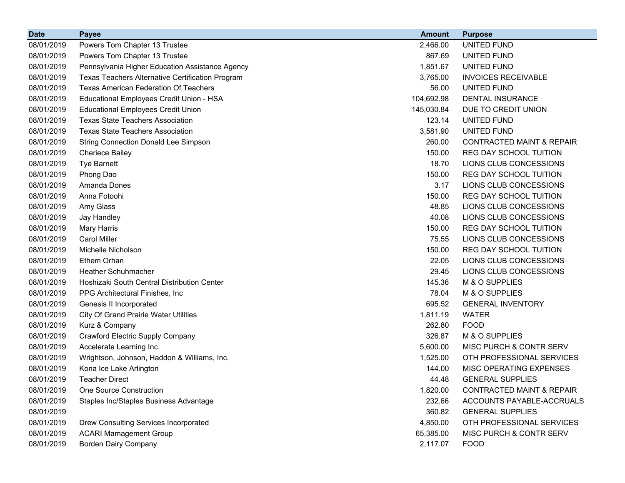| <b>Date</b> | <b>Payee</b>                                     | <b>Amount</b> | <b>Purpose</b>                       |
|-------------|--------------------------------------------------|---------------|--------------------------------------|
| 08/01/2019  | Powers Tom Chapter 13 Trustee                    | 2,466.00      | UNITED FUND                          |
| 08/01/2019  | Powers Tom Chapter 13 Trustee                    | 867.69        | UNITED FUND                          |
| 08/01/2019  | Pennsylvania Higher Education Assistance Agency  | 1,851.67      | UNITED FUND                          |
| 08/01/2019  | Texas Teachers Alternative Certification Program | 3,765.00      | <b>INVOICES RECEIVABLE</b>           |
| 08/01/2019  | <b>Texas American Federation Of Teachers</b>     | 56.00         | UNITED FUND                          |
| 08/01/2019  | Educational Employees Credit Union - HSA         | 104,692.98    | <b>DENTAL INSURANCE</b>              |
| 08/01/2019  | <b>Educational Employees Credit Union</b>        | 145,030.84    | DUE TO CREDIT UNION                  |
| 08/01/2019  | <b>Texas State Teachers Association</b>          | 123.14        | UNITED FUND                          |
| 08/01/2019  | <b>Texas State Teachers Association</b>          | 3,581.90      | UNITED FUND                          |
| 08/01/2019  | <b>String Connection Donald Lee Simpson</b>      | 260.00        | <b>CONTRACTED MAINT &amp; REPAIR</b> |
| 08/01/2019  | <b>Cheriece Bailey</b>                           | 150.00        | <b>REG DAY SCHOOL TUITION</b>        |
| 08/01/2019  | <b>Tye Barnett</b>                               | 18.70         | LIONS CLUB CONCESSIONS               |
| 08/01/2019  | Phong Dao                                        | 150.00        | <b>REG DAY SCHOOL TUITION</b>        |
| 08/01/2019  | Amanda Dones                                     | 3.17          | LIONS CLUB CONCESSIONS               |
| 08/01/2019  | Anna Fotoohi                                     | 150.00        | REG DAY SCHOOL TUITION               |
| 08/01/2019  | Amy Glass                                        | 48.85         | LIONS CLUB CONCESSIONS               |
| 08/01/2019  | Jay Handley                                      | 40.08         | LIONS CLUB CONCESSIONS               |
| 08/01/2019  | <b>Mary Harris</b>                               | 150.00        | REG DAY SCHOOL TUITION               |
| 08/01/2019  | <b>Carol Miller</b>                              | 75.55         | LIONS CLUB CONCESSIONS               |
| 08/01/2019  | Michelle Nicholson                               | 150.00        | REG DAY SCHOOL TUITION               |
| 08/01/2019  | Ethem Orhan                                      | 22.05         | LIONS CLUB CONCESSIONS               |
| 08/01/2019  | <b>Heather Schuhmacher</b>                       | 29.45         | LIONS CLUB CONCESSIONS               |
| 08/01/2019  | Hoshizaki South Central Distribution Center      | 145.36        | M & O SUPPLIES                       |
| 08/01/2019  | PPG Architectural Finishes, Inc.                 | 78.04         | M & O SUPPLIES                       |
| 08/01/2019  | Genesis II Incorporated                          | 695.52        | <b>GENERAL INVENTORY</b>             |
| 08/01/2019  | <b>City Of Grand Prairie Water Utilities</b>     | 1,811.19      | <b>WATER</b>                         |
| 08/01/2019  | Kurz & Company                                   | 262.80        | <b>FOOD</b>                          |
| 08/01/2019  | <b>Crawford Electric Supply Company</b>          | 326.87        | M & O SUPPLIES                       |
| 08/01/2019  | Accelerate Learning Inc.                         | 5,600.00      | MISC PURCH & CONTR SERV              |
| 08/01/2019  | Wrightson, Johnson, Haddon & Williams, Inc.      | 1,525.00      | OTH PROFESSIONAL SERVICES            |
| 08/01/2019  | Kona Ice Lake Arlington                          | 144.00        | MISC OPERATING EXPENSES              |
| 08/01/2019  | <b>Teacher Direct</b>                            | 44.48         | <b>GENERAL SUPPLIES</b>              |
| 08/01/2019  | <b>One Source Construction</b>                   | 1,820.00      | <b>CONTRACTED MAINT &amp; REPAIR</b> |
| 08/01/2019  | Staples Inc/Staples Business Advantage           | 232.66        | ACCOUNTS PAYABLE-ACCRUALS            |
| 08/01/2019  |                                                  | 360.82        | <b>GENERAL SUPPLIES</b>              |
| 08/01/2019  | Drew Consulting Services Incorporated            | 4,850.00      | OTH PROFESSIONAL SERVICES            |
| 08/01/2019  | <b>ACARI Mamagement Group</b>                    | 65,385.00     | MISC PURCH & CONTR SERV              |
| 08/01/2019  | <b>Borden Dairy Company</b>                      | 2,117.07      | <b>FOOD</b>                          |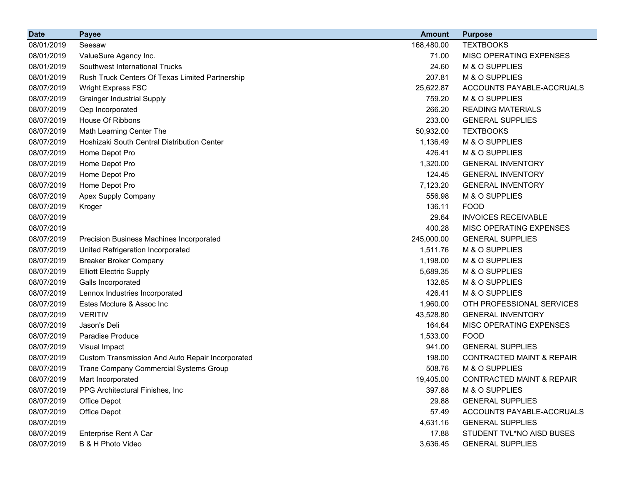| <b>Date</b> | <b>Payee</b>                                     | <b>Amount</b> | <b>Purpose</b>                       |
|-------------|--------------------------------------------------|---------------|--------------------------------------|
| 08/01/2019  | Seesaw                                           | 168,480.00    | <b>TEXTBOOKS</b>                     |
| 08/01/2019  | ValueSure Agency Inc.                            | 71.00         | MISC OPERATING EXPENSES              |
| 08/01/2019  | Southwest International Trucks                   | 24.60         | M & O SUPPLIES                       |
| 08/01/2019  | Rush Truck Centers Of Texas Limited Partnership  | 207.81        | M & O SUPPLIES                       |
| 08/07/2019  | <b>Wright Express FSC</b>                        | 25,622.87     | ACCOUNTS PAYABLE-ACCRUALS            |
| 08/07/2019  | <b>Grainger Industrial Supply</b>                | 759.20        | M & O SUPPLIES                       |
| 08/07/2019  | Qep Incorporated                                 | 266.20        | <b>READING MATERIALS</b>             |
| 08/07/2019  | House Of Ribbons                                 | 233.00        | <b>GENERAL SUPPLIES</b>              |
| 08/07/2019  | Math Learning Center The                         | 50,932.00     | <b>TEXTBOOKS</b>                     |
| 08/07/2019  | Hoshizaki South Central Distribution Center      | 1,136.49      | M & O SUPPLIES                       |
| 08/07/2019  | Home Depot Pro                                   | 426.41        | M & O SUPPLIES                       |
| 08/07/2019  | Home Depot Pro                                   | 1,320.00      | <b>GENERAL INVENTORY</b>             |
| 08/07/2019  | Home Depot Pro                                   | 124.45        | <b>GENERAL INVENTORY</b>             |
| 08/07/2019  | Home Depot Pro                                   | 7,123.20      | <b>GENERAL INVENTORY</b>             |
| 08/07/2019  | Apex Supply Company                              | 556.98        | M & O SUPPLIES                       |
| 08/07/2019  | Kroger                                           | 136.11        | <b>FOOD</b>                          |
| 08/07/2019  |                                                  | 29.64         | <b>INVOICES RECEIVABLE</b>           |
| 08/07/2019  |                                                  | 400.28        | MISC OPERATING EXPENSES              |
| 08/07/2019  | Precision Business Machines Incorporated         | 245,000.00    | <b>GENERAL SUPPLIES</b>              |
| 08/07/2019  | United Refrigeration Incorporated                | 1,511.76      | M & O SUPPLIES                       |
| 08/07/2019  | <b>Breaker Broker Company</b>                    | 1,198.00      | M & O SUPPLIES                       |
| 08/07/2019  | <b>Elliott Electric Supply</b>                   | 5,689.35      | M & O SUPPLIES                       |
| 08/07/2019  | Galls Incorporated                               | 132.85        | M & O SUPPLIES                       |
| 08/07/2019  | Lennox Industries Incorporated                   | 426.41        | M & O SUPPLIES                       |
| 08/07/2019  | Estes Mcclure & Assoc Inc                        | 1,960.00      | OTH PROFESSIONAL SERVICES            |
| 08/07/2019  | <b>VERITIV</b>                                   | 43,528.80     | <b>GENERAL INVENTORY</b>             |
| 08/07/2019  | Jason's Deli                                     | 164.64        | MISC OPERATING EXPENSES              |
| 08/07/2019  | Paradise Produce                                 | 1,533.00      | <b>FOOD</b>                          |
| 08/07/2019  | Visual Impact                                    | 941.00        | <b>GENERAL SUPPLIES</b>              |
| 08/07/2019  | Custom Transmission And Auto Repair Incorporated | 198.00        | <b>CONTRACTED MAINT &amp; REPAIR</b> |
| 08/07/2019  | <b>Trane Company Commercial Systems Group</b>    | 508.76        | M & O SUPPLIES                       |
| 08/07/2019  | Mart Incorporated                                | 19,405.00     | <b>CONTRACTED MAINT &amp; REPAIR</b> |
| 08/07/2019  | PPG Architectural Finishes, Inc.                 | 397.88        | M & O SUPPLIES                       |
| 08/07/2019  | Office Depot                                     | 29.88         | <b>GENERAL SUPPLIES</b>              |
| 08/07/2019  | Office Depot                                     | 57.49         | ACCOUNTS PAYABLE-ACCRUALS            |
| 08/07/2019  |                                                  | 4,631.16      | <b>GENERAL SUPPLIES</b>              |
| 08/07/2019  | Enterprise Rent A Car                            | 17.88         | STUDENT TVL*NO AISD BUSES            |
| 08/07/2019  | B & H Photo Video                                | 3,636.45      | <b>GENERAL SUPPLIES</b>              |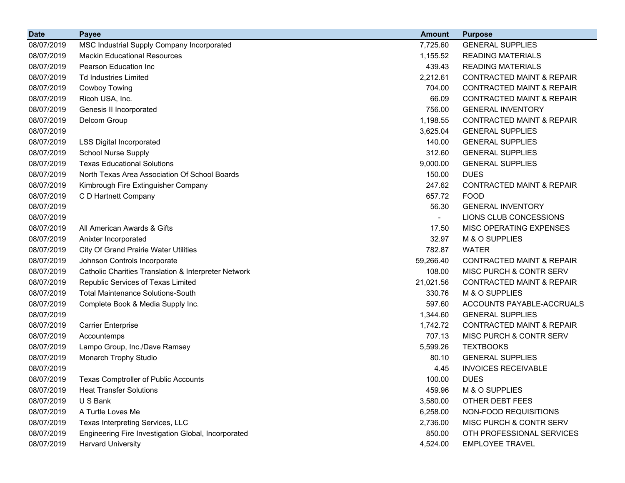| <b>Date</b> | <b>Payee</b>                                         | <b>Amount</b>  | <b>Purpose</b>                       |
|-------------|------------------------------------------------------|----------------|--------------------------------------|
| 08/07/2019  | MSC Industrial Supply Company Incorporated           | 7,725.60       | <b>GENERAL SUPPLIES</b>              |
| 08/07/2019  | <b>Mackin Educational Resources</b>                  | 1,155.52       | <b>READING MATERIALS</b>             |
| 08/07/2019  | Pearson Education Inc                                | 439.43         | <b>READING MATERIALS</b>             |
| 08/07/2019  | <b>Td Industries Limited</b>                         | 2,212.61       | <b>CONTRACTED MAINT &amp; REPAIR</b> |
| 08/07/2019  | Cowboy Towing                                        | 704.00         | <b>CONTRACTED MAINT &amp; REPAIR</b> |
| 08/07/2019  | Ricoh USA, Inc.                                      | 66.09          | <b>CONTRACTED MAINT &amp; REPAIR</b> |
| 08/07/2019  | Genesis II Incorporated                              | 756.00         | <b>GENERAL INVENTORY</b>             |
| 08/07/2019  | Delcom Group                                         | 1,198.55       | <b>CONTRACTED MAINT &amp; REPAIR</b> |
| 08/07/2019  |                                                      | 3,625.04       | <b>GENERAL SUPPLIES</b>              |
| 08/07/2019  | <b>LSS Digital Incorporated</b>                      | 140.00         | <b>GENERAL SUPPLIES</b>              |
| 08/07/2019  | <b>School Nurse Supply</b>                           | 312.60         | <b>GENERAL SUPPLIES</b>              |
| 08/07/2019  | <b>Texas Educational Solutions</b>                   | 9,000.00       | <b>GENERAL SUPPLIES</b>              |
| 08/07/2019  | North Texas Area Association Of School Boards        | 150.00         | <b>DUES</b>                          |
| 08/07/2019  | Kimbrough Fire Extinguisher Company                  | 247.62         | <b>CONTRACTED MAINT &amp; REPAIR</b> |
| 08/07/2019  | C D Hartnett Company                                 | 657.72         | <b>FOOD</b>                          |
| 08/07/2019  |                                                      | 56.30          | <b>GENERAL INVENTORY</b>             |
| 08/07/2019  |                                                      | $\blacksquare$ | LIONS CLUB CONCESSIONS               |
| 08/07/2019  | All American Awards & Gifts                          | 17.50          | MISC OPERATING EXPENSES              |
| 08/07/2019  | Anixter Incorporated                                 | 32.97          | M & O SUPPLIES                       |
| 08/07/2019  | <b>City Of Grand Prairie Water Utilities</b>         | 782.87         | <b>WATER</b>                         |
| 08/07/2019  | Johnson Controls Incorporate                         | 59,266.40      | <b>CONTRACTED MAINT &amp; REPAIR</b> |
| 08/07/2019  | Catholic Charities Translation & Interpreter Network | 108.00         | MISC PURCH & CONTR SERV              |
| 08/07/2019  | Republic Services of Texas Limited                   | 21,021.56      | <b>CONTRACTED MAINT &amp; REPAIR</b> |
| 08/07/2019  | <b>Total Maintenance Solutions-South</b>             | 330.76         | M & O SUPPLIES                       |
| 08/07/2019  | Complete Book & Media Supply Inc.                    | 597.60         | ACCOUNTS PAYABLE-ACCRUALS            |
| 08/07/2019  |                                                      | 1,344.60       | <b>GENERAL SUPPLIES</b>              |
| 08/07/2019  | <b>Carrier Enterprise</b>                            | 1,742.72       | <b>CONTRACTED MAINT &amp; REPAIR</b> |
| 08/07/2019  | Accountemps                                          | 707.13         | MISC PURCH & CONTR SERV              |
| 08/07/2019  | Lampo Group, Inc./Dave Ramsey                        | 5,599.26       | <b>TEXTBOOKS</b>                     |
| 08/07/2019  | Monarch Trophy Studio                                | 80.10          | <b>GENERAL SUPPLIES</b>              |
| 08/07/2019  |                                                      | 4.45           | <b>INVOICES RECEIVABLE</b>           |
| 08/07/2019  | <b>Texas Comptroller of Public Accounts</b>          | 100.00         | <b>DUES</b>                          |
| 08/07/2019  | <b>Heat Transfer Solutions</b>                       | 459.96         | M & O SUPPLIES                       |
| 08/07/2019  | U S Bank                                             | 3,580.00       | <b>OTHER DEBT FEES</b>               |
| 08/07/2019  | A Turtle Loves Me                                    | 6,258.00       | NON-FOOD REQUISITIONS                |
| 08/07/2019  | Texas Interpreting Services, LLC                     | 2,736.00       | MISC PURCH & CONTR SERV              |
| 08/07/2019  | Engineering Fire Investigation Global, Incorporated  | 850.00         | OTH PROFESSIONAL SERVICES            |
| 08/07/2019  | <b>Harvard University</b>                            | 4,524.00       | <b>EMPLOYEE TRAVEL</b>               |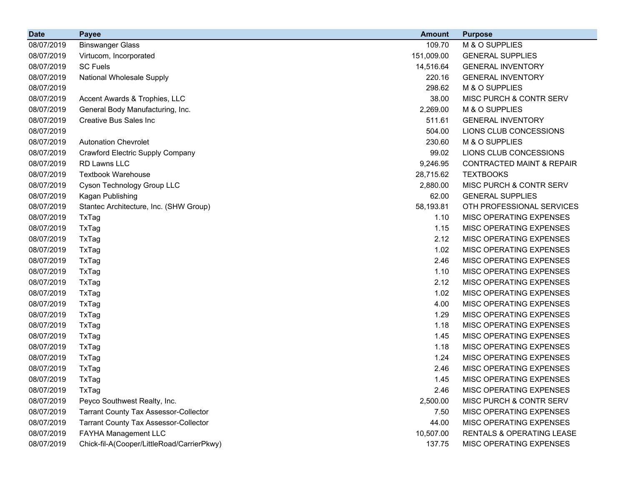| <b>Date</b> | <b>Payee</b>                                 | <b>Amount</b> | <b>Purpose</b>                       |
|-------------|----------------------------------------------|---------------|--------------------------------------|
| 08/07/2019  | <b>Binswanger Glass</b>                      | 109.70        | M & O SUPPLIES                       |
| 08/07/2019  | Virtucom, Incorporated                       | 151,009.00    | <b>GENERAL SUPPLIES</b>              |
| 08/07/2019  | <b>SC Fuels</b>                              | 14,516.64     | <b>GENERAL INVENTORY</b>             |
| 08/07/2019  | National Wholesale Supply                    | 220.16        | <b>GENERAL INVENTORY</b>             |
| 08/07/2019  |                                              | 298.62        | M & O SUPPLIES                       |
| 08/07/2019  | Accent Awards & Trophies, LLC                | 38.00         | MISC PURCH & CONTR SERV              |
| 08/07/2019  | General Body Manufacturing, Inc.             | 2,269.00      | M & O SUPPLIES                       |
| 08/07/2019  | <b>Creative Bus Sales Inc</b>                | 511.61        | <b>GENERAL INVENTORY</b>             |
| 08/07/2019  |                                              | 504.00        | LIONS CLUB CONCESSIONS               |
| 08/07/2019  | <b>Autonation Chevrolet</b>                  | 230.60        | M & O SUPPLIES                       |
| 08/07/2019  | <b>Crawford Electric Supply Company</b>      | 99.02         | LIONS CLUB CONCESSIONS               |
| 08/07/2019  | <b>RD Lawns LLC</b>                          | 9,246.95      | <b>CONTRACTED MAINT &amp; REPAIR</b> |
| 08/07/2019  | <b>Textbook Warehouse</b>                    | 28,715.62     | <b>TEXTBOOKS</b>                     |
| 08/07/2019  | Cyson Technology Group LLC                   | 2,880.00      | MISC PURCH & CONTR SERV              |
| 08/07/2019  | Kagan Publishing                             | 62.00         | <b>GENERAL SUPPLIES</b>              |
| 08/07/2019  | Stantec Architecture, Inc. (SHW Group)       | 58,193.81     | OTH PROFESSIONAL SERVICES            |
| 08/07/2019  | TxTag                                        | 1.10          | MISC OPERATING EXPENSES              |
| 08/07/2019  | TxTag                                        | 1.15          | MISC OPERATING EXPENSES              |
| 08/07/2019  | TxTag                                        | 2.12          | MISC OPERATING EXPENSES              |
| 08/07/2019  | TxTag                                        | 1.02          | MISC OPERATING EXPENSES              |
| 08/07/2019  | TxTag                                        | 2.46          | MISC OPERATING EXPENSES              |
| 08/07/2019  | TxTag                                        | 1.10          | MISC OPERATING EXPENSES              |
| 08/07/2019  | TxTag                                        | 2.12          | MISC OPERATING EXPENSES              |
| 08/07/2019  | TxTag                                        | 1.02          | MISC OPERATING EXPENSES              |
| 08/07/2019  | TxTag                                        | 4.00          | MISC OPERATING EXPENSES              |
| 08/07/2019  | TxTag                                        | 1.29          | MISC OPERATING EXPENSES              |
| 08/07/2019  | TxTag                                        | 1.18          | MISC OPERATING EXPENSES              |
| 08/07/2019  | TxTag                                        | 1.45          | MISC OPERATING EXPENSES              |
| 08/07/2019  | TxTag                                        | 1.18          | MISC OPERATING EXPENSES              |
| 08/07/2019  | TxTag                                        | 1.24          | MISC OPERATING EXPENSES              |
| 08/07/2019  | TxTag                                        | 2.46          | MISC OPERATING EXPENSES              |
| 08/07/2019  | TxTag                                        | 1.45          | MISC OPERATING EXPENSES              |
| 08/07/2019  | TxTag                                        | 2.46          | MISC OPERATING EXPENSES              |
| 08/07/2019  | Peyco Southwest Realty, Inc.                 | 2,500.00      | MISC PURCH & CONTR SERV              |
| 08/07/2019  | <b>Tarrant County Tax Assessor-Collector</b> | 7.50          | MISC OPERATING EXPENSES              |
| 08/07/2019  | <b>Tarrant County Tax Assessor-Collector</b> | 44.00         | MISC OPERATING EXPENSES              |
| 08/07/2019  | FAYHA Management LLC                         | 10,507.00     | RENTALS & OPERATING LEASE            |
| 08/07/2019  | Chick-fil-A(Cooper/LittleRoad/CarrierPkwy)   | 137.75        | MISC OPERATING EXPENSES              |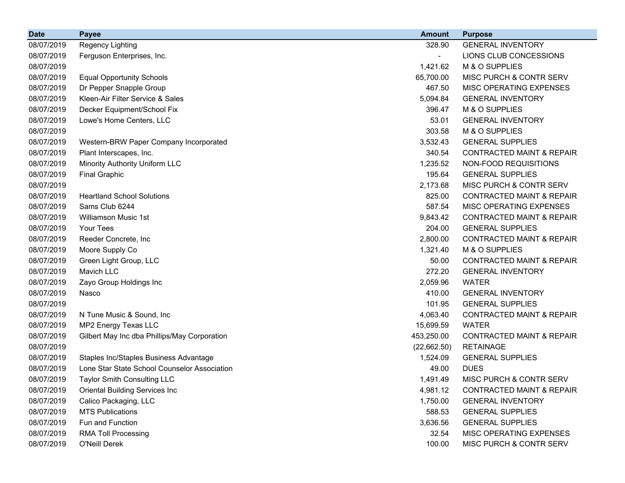| <b>Date</b> | <b>Payee</b>                                 | <b>Amount</b>            | <b>Purpose</b>                       |
|-------------|----------------------------------------------|--------------------------|--------------------------------------|
| 08/07/2019  | Regency Lighting                             | 328.90                   | <b>GENERAL INVENTORY</b>             |
| 08/07/2019  | Ferguson Enterprises, Inc.                   | $\overline{\phantom{0}}$ | LIONS CLUB CONCESSIONS               |
| 08/07/2019  |                                              | 1,421.62                 | M & O SUPPLIES                       |
| 08/07/2019  | <b>Equal Opportunity Schools</b>             | 65,700.00                | MISC PURCH & CONTR SERV              |
| 08/07/2019  | Dr Pepper Snapple Group                      | 467.50                   | MISC OPERATING EXPENSES              |
| 08/07/2019  | Kleen-Air Filter Service & Sales             | 5,094.84                 | <b>GENERAL INVENTORY</b>             |
| 08/07/2019  | Decker Equipment/School Fix                  | 396.47                   | M & O SUPPLIES                       |
| 08/07/2019  | Lowe's Home Centers, LLC                     | 53.01                    | <b>GENERAL INVENTORY</b>             |
| 08/07/2019  |                                              | 303.58                   | M & O SUPPLIES                       |
| 08/07/2019  | Western-BRW Paper Company Incorporated       | 3,532.43                 | <b>GENERAL SUPPLIES</b>              |
| 08/07/2019  | Plant Interscapes, Inc.                      | 340.54                   | <b>CONTRACTED MAINT &amp; REPAIR</b> |
| 08/07/2019  | Minority Authority Uniform LLC               | 1,235.52                 | NON-FOOD REQUISITIONS                |
| 08/07/2019  | <b>Final Graphic</b>                         | 195.64                   | <b>GENERAL SUPPLIES</b>              |
| 08/07/2019  |                                              | 2,173.68                 | MISC PURCH & CONTR SERV              |
| 08/07/2019  | <b>Heartland School Solutions</b>            | 825.00                   | <b>CONTRACTED MAINT &amp; REPAIR</b> |
| 08/07/2019  | Sams Club 6244                               | 587.54                   | MISC OPERATING EXPENSES              |
| 08/07/2019  | <b>Williamson Music 1st</b>                  | 9,843.42                 | <b>CONTRACTED MAINT &amp; REPAIR</b> |
| 08/07/2019  | Your Tees                                    | 204.00                   | <b>GENERAL SUPPLIES</b>              |
| 08/07/2019  | Reeder Concrete, Inc                         | 2,800.00                 | <b>CONTRACTED MAINT &amp; REPAIR</b> |
| 08/07/2019  | Moore Supply Co                              | 1,321.40                 | M & O SUPPLIES                       |
| 08/07/2019  | Green Light Group, LLC                       | 50.00                    | <b>CONTRACTED MAINT &amp; REPAIR</b> |
| 08/07/2019  | Mavich LLC                                   | 272.20                   | <b>GENERAL INVENTORY</b>             |
| 08/07/2019  | Zayo Group Holdings Inc                      | 2,059.96                 | <b>WATER</b>                         |
| 08/07/2019  | Nasco                                        | 410.00                   | <b>GENERAL INVENTORY</b>             |
| 08/07/2019  |                                              | 101.95                   | <b>GENERAL SUPPLIES</b>              |
| 08/07/2019  | N Tune Music & Sound, Inc                    | 4,063.40                 | <b>CONTRACTED MAINT &amp; REPAIR</b> |
| 08/07/2019  | MP2 Energy Texas LLC                         | 15,699.59                | <b>WATER</b>                         |
| 08/07/2019  | Gilbert May Inc dba Phillips/May Corporation | 453,250.00               | <b>CONTRACTED MAINT &amp; REPAIR</b> |
| 08/07/2019  |                                              | (22,662.50)              | <b>RETAINAGE</b>                     |
| 08/07/2019  | Staples Inc/Staples Business Advantage       | 1,524.09                 | <b>GENERAL SUPPLIES</b>              |
| 08/07/2019  | Lone Star State School Counselor Association | 49.00                    | <b>DUES</b>                          |
| 08/07/2019  | <b>Taylor Smith Consulting LLC</b>           | 1,491.49                 | MISC PURCH & CONTR SERV              |
| 08/07/2019  | <b>Oriental Building Services Inc</b>        | 4,981.12                 | <b>CONTRACTED MAINT &amp; REPAIR</b> |
| 08/07/2019  | Calico Packaging, LLC                        | 1,750.00                 | <b>GENERAL INVENTORY</b>             |
| 08/07/2019  | <b>MTS Publications</b>                      | 588.53                   | <b>GENERAL SUPPLIES</b>              |
| 08/07/2019  | Fun and Function                             | 3,636.56                 | <b>GENERAL SUPPLIES</b>              |
| 08/07/2019  | <b>RMA Toll Processing</b>                   | 32.54                    | MISC OPERATING EXPENSES              |
| 08/07/2019  | O'Neill Derek                                | 100.00                   | MISC PURCH & CONTR SERV              |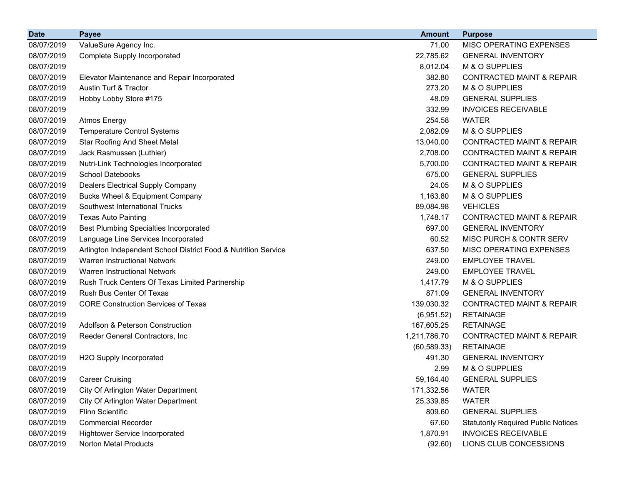| <b>Date</b> | <b>Payee</b>                                                   | <b>Amount</b> | <b>Purpose</b>                             |
|-------------|----------------------------------------------------------------|---------------|--------------------------------------------|
| 08/07/2019  | ValueSure Agency Inc.                                          | 71.00         | MISC OPERATING EXPENSES                    |
| 08/07/2019  | <b>Complete Supply Incorporated</b>                            | 22,785.62     | <b>GENERAL INVENTORY</b>                   |
| 08/07/2019  |                                                                | 8,012.04      | M & O SUPPLIES                             |
| 08/07/2019  | Elevator Maintenance and Repair Incorporated                   | 382.80        | <b>CONTRACTED MAINT &amp; REPAIR</b>       |
| 08/07/2019  | Austin Turf & Tractor                                          | 273.20        | M & O SUPPLIES                             |
| 08/07/2019  | Hobby Lobby Store #175                                         | 48.09         | <b>GENERAL SUPPLIES</b>                    |
| 08/07/2019  |                                                                | 332.99        | <b>INVOICES RECEIVABLE</b>                 |
| 08/07/2019  | <b>Atmos Energy</b>                                            | 254.58        | <b>WATER</b>                               |
| 08/07/2019  | <b>Temperature Control Systems</b>                             | 2,082.09      | M & O SUPPLIES                             |
| 08/07/2019  | <b>Star Roofing And Sheet Metal</b>                            | 13,040.00     | <b>CONTRACTED MAINT &amp; REPAIR</b>       |
| 08/07/2019  | Jack Rasmussen (Luthier)                                       | 2,708.00      | CONTRACTED MAINT & REPAIR                  |
| 08/07/2019  | Nutri-Link Technologies Incorporated                           | 5,700.00      | <b>CONTRACTED MAINT &amp; REPAIR</b>       |
| 08/07/2019  | <b>School Datebooks</b>                                        | 675.00        | <b>GENERAL SUPPLIES</b>                    |
| 08/07/2019  | <b>Dealers Electrical Supply Company</b>                       | 24.05         | M & O SUPPLIES                             |
| 08/07/2019  | <b>Bucks Wheel &amp; Equipment Company</b>                     | 1,163.80      | M & O SUPPLIES                             |
| 08/07/2019  | Southwest International Trucks                                 | 89,084.98     | <b>VEHICLES</b>                            |
| 08/07/2019  | <b>Texas Auto Painting</b>                                     | 1,748.17      | <b>CONTRACTED MAINT &amp; REPAIR</b>       |
| 08/07/2019  | <b>Best Plumbing Specialties Incorporated</b>                  | 697.00        | <b>GENERAL INVENTORY</b>                   |
| 08/07/2019  | Language Line Services Incorporated                            | 60.52         | MISC PURCH & CONTR SERV                    |
| 08/07/2019  | Arlington Independent School District Food & Nutrition Service | 637.50        | MISC OPERATING EXPENSES                    |
| 08/07/2019  | <b>Warren Instructional Network</b>                            | 249.00        | <b>EMPLOYEE TRAVEL</b>                     |
| 08/07/2019  | Warren Instructional Network                                   | 249.00        | <b>EMPLOYEE TRAVEL</b>                     |
| 08/07/2019  | Rush Truck Centers Of Texas Limited Partnership                | 1,417.79      | M & O SUPPLIES                             |
| 08/07/2019  | Rush Bus Center Of Texas                                       | 871.09        | <b>GENERAL INVENTORY</b>                   |
| 08/07/2019  | <b>CORE Construction Services of Texas</b>                     | 139,030.32    | <b>CONTRACTED MAINT &amp; REPAIR</b>       |
| 08/07/2019  |                                                                | (6,951.52)    | <b>RETAINAGE</b>                           |
| 08/07/2019  | <b>Adolfson &amp; Peterson Construction</b>                    | 167,605.25    | <b>RETAINAGE</b>                           |
| 08/07/2019  | Reeder General Contractors, Inc                                | 1,211,786.70  | <b>CONTRACTED MAINT &amp; REPAIR</b>       |
| 08/07/2019  |                                                                | (60, 589.33)  | <b>RETAINAGE</b>                           |
| 08/07/2019  | H2O Supply Incorporated                                        | 491.30        | <b>GENERAL INVENTORY</b>                   |
| 08/07/2019  |                                                                | 2.99          | M & O SUPPLIES                             |
| 08/07/2019  | <b>Career Cruising</b>                                         | 59,164.40     | <b>GENERAL SUPPLIES</b>                    |
| 08/07/2019  | City Of Arlington Water Department                             | 171,332.56    | <b>WATER</b>                               |
| 08/07/2019  | City Of Arlington Water Department                             | 25,339.85     | <b>WATER</b>                               |
| 08/07/2019  | Flinn Scientific                                               | 809.60        | <b>GENERAL SUPPLIES</b>                    |
| 08/07/2019  | <b>Commercial Recorder</b>                                     | 67.60         | <b>Statutorily Required Public Notices</b> |
| 08/07/2019  | <b>Hightower Service Incorporated</b>                          | 1,870.91      | <b>INVOICES RECEIVABLE</b>                 |
| 08/07/2019  | Norton Metal Products                                          | (92.60)       | LIONS CLUB CONCESSIONS                     |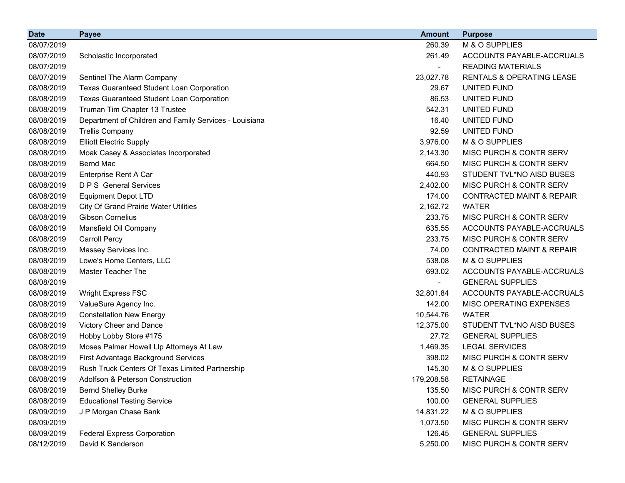| <b>Date</b> | <b>Payee</b>                                           | <b>Amount</b> | <b>Purpose</b>                       |
|-------------|--------------------------------------------------------|---------------|--------------------------------------|
| 08/07/2019  |                                                        | 260.39        | M & O SUPPLIES                       |
| 08/07/2019  | Scholastic Incorporated                                | 261.49        | ACCOUNTS PAYABLE-ACCRUALS            |
| 08/07/2019  |                                                        |               | <b>READING MATERIALS</b>             |
| 08/07/2019  | Sentinel The Alarm Company                             | 23,027.78     | <b>RENTALS &amp; OPERATING LEASE</b> |
| 08/08/2019  | <b>Texas Guaranteed Student Loan Corporation</b>       | 29.67         | UNITED FUND                          |
| 08/08/2019  | Texas Guaranteed Student Loan Corporation              | 86.53         | UNITED FUND                          |
| 08/08/2019  | Truman Tim Chapter 13 Trustee                          | 542.31        | UNITED FUND                          |
| 08/08/2019  | Department of Children and Family Services - Louisiana | 16.40         | UNITED FUND                          |
| 08/08/2019  | <b>Trellis Company</b>                                 | 92.59         | UNITED FUND                          |
| 08/08/2019  | <b>Elliott Electric Supply</b>                         | 3,976.00      | M & O SUPPLIES                       |
| 08/08/2019  | Moak Casey & Associates Incorporated                   | 2,143.30      | MISC PURCH & CONTR SERV              |
| 08/08/2019  | <b>Bernd Mac</b>                                       | 664.50        | MISC PURCH & CONTR SERV              |
| 08/08/2019  | Enterprise Rent A Car                                  | 440.93        | STUDENT TVL*NO AISD BUSES            |
| 08/08/2019  | <b>D P S</b> General Services                          | 2,402.00      | MISC PURCH & CONTR SERV              |
| 08/08/2019  | <b>Equipment Depot LTD</b>                             | 174.00        | <b>CONTRACTED MAINT &amp; REPAIR</b> |
| 08/08/2019  | <b>City Of Grand Prairie Water Utilities</b>           | 2,162.72      | <b>WATER</b>                         |
| 08/08/2019  | <b>Gibson Cornelius</b>                                | 233.75        | MISC PURCH & CONTR SERV              |
| 08/08/2019  | Mansfield Oil Company                                  | 635.55        | ACCOUNTS PAYABLE-ACCRUALS            |
| 08/08/2019  | <b>Carroll Percy</b>                                   | 233.75        | MISC PURCH & CONTR SERV              |
| 08/08/2019  | Massey Services Inc.                                   | 74.00         | <b>CONTRACTED MAINT &amp; REPAIR</b> |
| 08/08/2019  | Lowe's Home Centers, LLC                               | 538.08        | M & O SUPPLIES                       |
| 08/08/2019  | <b>Master Teacher The</b>                              | 693.02        | ACCOUNTS PAYABLE-ACCRUALS            |
| 08/08/2019  |                                                        |               | <b>GENERAL SUPPLIES</b>              |
| 08/08/2019  | <b>Wright Express FSC</b>                              | 32,801.84     | ACCOUNTS PAYABLE-ACCRUALS            |
| 08/08/2019  | ValueSure Agency Inc.                                  | 142.00        | MISC OPERATING EXPENSES              |
| 08/08/2019  | <b>Constellation New Energy</b>                        | 10,544.76     | <b>WATER</b>                         |
| 08/08/2019  | Victory Cheer and Dance                                | 12,375.00     | STUDENT TVL*NO AISD BUSES            |
| 08/08/2019  | Hobby Lobby Store #175                                 | 27.72         | <b>GENERAL SUPPLIES</b>              |
| 08/08/2019  | Moses Palmer Howell Llp Attorneys At Law               | 1,469.35      | <b>LEGAL SERVICES</b>                |
| 08/08/2019  | First Advantage Background Services                    | 398.02        | MISC PURCH & CONTR SERV              |
| 08/08/2019  | Rush Truck Centers Of Texas Limited Partnership        | 145.30        | M & O SUPPLIES                       |
| 08/08/2019  | Adolfson & Peterson Construction                       | 179,208.58    | <b>RETAINAGE</b>                     |
| 08/08/2019  | <b>Bernd Shelley Burke</b>                             | 135.50        | MISC PURCH & CONTR SERV              |
| 08/08/2019  | <b>Educational Testing Service</b>                     | 100.00        | <b>GENERAL SUPPLIES</b>              |
| 08/09/2019  | J P Morgan Chase Bank                                  | 14,831.22     | M & O SUPPLIES                       |
| 08/09/2019  |                                                        | 1,073.50      | MISC PURCH & CONTR SERV              |
| 08/09/2019  | <b>Federal Express Corporation</b>                     | 126.45        | <b>GENERAL SUPPLIES</b>              |
| 08/12/2019  | David K Sanderson                                      | 5,250.00      | MISC PURCH & CONTR SERV              |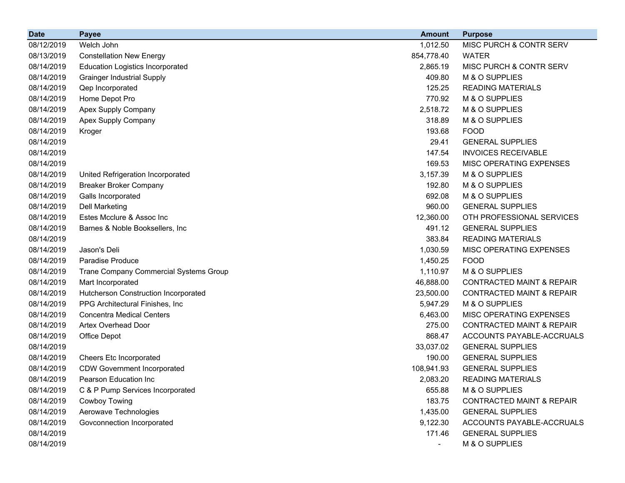| <b>Date</b> | <b>Payee</b>                            | <b>Amount</b>            | <b>Purpose</b>                       |
|-------------|-----------------------------------------|--------------------------|--------------------------------------|
| 08/12/2019  | Welch John                              | 1,012.50                 | MISC PURCH & CONTR SERV              |
| 08/13/2019  | <b>Constellation New Energy</b>         | 854,778.40               | <b>WATER</b>                         |
| 08/14/2019  | <b>Education Logistics Incorporated</b> | 2,865.19                 | MISC PURCH & CONTR SERV              |
| 08/14/2019  | <b>Grainger Industrial Supply</b>       | 409.80                   | M & O SUPPLIES                       |
| 08/14/2019  | Qep Incorporated                        | 125.25                   | <b>READING MATERIALS</b>             |
| 08/14/2019  | Home Depot Pro                          | 770.92                   | M & O SUPPLIES                       |
| 08/14/2019  | Apex Supply Company                     | 2,518.72                 | M & O SUPPLIES                       |
| 08/14/2019  | Apex Supply Company                     | 318.89                   | M & O SUPPLIES                       |
| 08/14/2019  | Kroger                                  | 193.68                   | <b>FOOD</b>                          |
| 08/14/2019  |                                         | 29.41                    | <b>GENERAL SUPPLIES</b>              |
| 08/14/2019  |                                         | 147.54                   | <b>INVOICES RECEIVABLE</b>           |
| 08/14/2019  |                                         | 169.53                   | MISC OPERATING EXPENSES              |
| 08/14/2019  | United Refrigeration Incorporated       | 3,157.39                 | M & O SUPPLIES                       |
| 08/14/2019  | <b>Breaker Broker Company</b>           | 192.80                   | M & O SUPPLIES                       |
| 08/14/2019  | Galls Incorporated                      | 692.08                   | M & O SUPPLIES                       |
| 08/14/2019  | <b>Dell Marketing</b>                   | 960.00                   | <b>GENERAL SUPPLIES</b>              |
| 08/14/2019  | Estes Mcclure & Assoc Inc               | 12,360.00                | OTH PROFESSIONAL SERVICES            |
| 08/14/2019  | Barnes & Noble Booksellers, Inc         | 491.12                   | <b>GENERAL SUPPLIES</b>              |
| 08/14/2019  |                                         | 383.84                   | <b>READING MATERIALS</b>             |
| 08/14/2019  | Jason's Deli                            | 1,030.59                 | MISC OPERATING EXPENSES              |
| 08/14/2019  | Paradise Produce                        | 1,450.25                 | <b>FOOD</b>                          |
| 08/14/2019  | Trane Company Commercial Systems Group  | 1,110.97                 | M & O SUPPLIES                       |
| 08/14/2019  | Mart Incorporated                       | 46,888.00                | <b>CONTRACTED MAINT &amp; REPAIR</b> |
| 08/14/2019  | Hutcherson Construction Incorporated    | 23,500.00                | <b>CONTRACTED MAINT &amp; REPAIR</b> |
| 08/14/2019  | PPG Architectural Finishes, Inc.        | 5,947.29                 | M & O SUPPLIES                       |
| 08/14/2019  | <b>Concentra Medical Centers</b>        | 6,463.00                 | MISC OPERATING EXPENSES              |
| 08/14/2019  | <b>Artex Overhead Door</b>              | 275.00                   | <b>CONTRACTED MAINT &amp; REPAIR</b> |
| 08/14/2019  | Office Depot                            | 868.47                   | ACCOUNTS PAYABLE-ACCRUALS            |
| 08/14/2019  |                                         | 33,037.02                | <b>GENERAL SUPPLIES</b>              |
| 08/14/2019  | Cheers Etc Incorporated                 | 190.00                   | <b>GENERAL SUPPLIES</b>              |
| 08/14/2019  | <b>CDW Government Incorporated</b>      | 108,941.93               | <b>GENERAL SUPPLIES</b>              |
| 08/14/2019  | Pearson Education Inc                   | 2,083.20                 | <b>READING MATERIALS</b>             |
| 08/14/2019  | C & P Pump Services Incorporated        | 655.88                   | M & O SUPPLIES                       |
| 08/14/2019  | Cowboy Towing                           | 183.75                   | <b>CONTRACTED MAINT &amp; REPAIR</b> |
| 08/14/2019  | Aerowave Technologies                   | 1,435.00                 | <b>GENERAL SUPPLIES</b>              |
| 08/14/2019  | Govconnection Incorporated              | 9,122.30                 | ACCOUNTS PAYABLE-ACCRUALS            |
| 08/14/2019  |                                         | 171.46                   | <b>GENERAL SUPPLIES</b>              |
| 08/14/2019  |                                         | $\overline{\phantom{a}}$ | M & O SUPPLIES                       |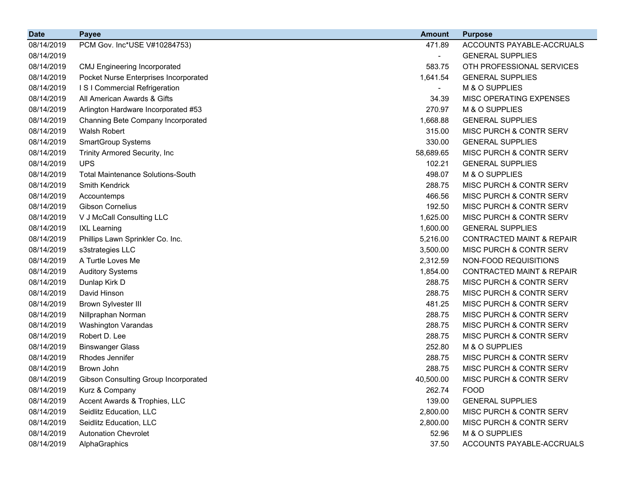| <b>Date</b> | <b>Payee</b>                             | <b>Amount</b>            | <b>Purpose</b>                       |
|-------------|------------------------------------------|--------------------------|--------------------------------------|
| 08/14/2019  | PCM Gov. Inc*USE V#10284753)             | 471.89                   | ACCOUNTS PAYABLE-ACCRUALS            |
| 08/14/2019  |                                          |                          | <b>GENERAL SUPPLIES</b>              |
| 08/14/2019  | <b>CMJ Engineering Incorporated</b>      | 583.75                   | OTH PROFESSIONAL SERVICES            |
| 08/14/2019  | Pocket Nurse Enterprises Incorporated    | 1,641.54                 | <b>GENERAL SUPPLIES</b>              |
| 08/14/2019  | I S I Commercial Refrigeration           | $\overline{\phantom{0}}$ | M & O SUPPLIES                       |
| 08/14/2019  | All American Awards & Gifts              | 34.39                    | MISC OPERATING EXPENSES              |
| 08/14/2019  | Arlington Hardware Incorporated #53      | 270.97                   | M & O SUPPLIES                       |
| 08/14/2019  | Channing Bete Company Incorporated       | 1,668.88                 | <b>GENERAL SUPPLIES</b>              |
| 08/14/2019  | Walsh Robert                             | 315.00                   | MISC PURCH & CONTR SERV              |
| 08/14/2019  | <b>SmartGroup Systems</b>                | 330.00                   | <b>GENERAL SUPPLIES</b>              |
| 08/14/2019  | Trinity Armored Security, Inc            | 58,689.65                | MISC PURCH & CONTR SERV              |
| 08/14/2019  | <b>UPS</b>                               | 102.21                   | <b>GENERAL SUPPLIES</b>              |
| 08/14/2019  | <b>Total Maintenance Solutions-South</b> | 498.07                   | M & O SUPPLIES                       |
| 08/14/2019  | Smith Kendrick                           | 288.75                   | MISC PURCH & CONTR SERV              |
| 08/14/2019  | Accountemps                              | 466.56                   | MISC PURCH & CONTR SERV              |
| 08/14/2019  | <b>Gibson Cornelius</b>                  | 192.50                   | MISC PURCH & CONTR SERV              |
| 08/14/2019  | V J McCall Consulting LLC                | 1,625.00                 | MISC PURCH & CONTR SERV              |
| 08/14/2019  | <b>IXL Learning</b>                      | 1,600.00                 | <b>GENERAL SUPPLIES</b>              |
| 08/14/2019  | Phillips Lawn Sprinkler Co. Inc.         | 5,216.00                 | <b>CONTRACTED MAINT &amp; REPAIR</b> |
| 08/14/2019  | s3strategies LLC                         | 3,500.00                 | MISC PURCH & CONTR SERV              |
| 08/14/2019  | A Turtle Loves Me                        | 2,312.59                 | NON-FOOD REQUISITIONS                |
| 08/14/2019  | <b>Auditory Systems</b>                  | 1,854.00                 | <b>CONTRACTED MAINT &amp; REPAIR</b> |
| 08/14/2019  | Dunlap Kirk D                            | 288.75                   | MISC PURCH & CONTR SERV              |
| 08/14/2019  | David Hinson                             | 288.75                   | MISC PURCH & CONTR SERV              |
| 08/14/2019  | <b>Brown Sylvester III</b>               | 481.25                   | MISC PURCH & CONTR SERV              |
| 08/14/2019  | Nillpraphan Norman                       | 288.75                   | MISC PURCH & CONTR SERV              |
| 08/14/2019  | Washington Varandas                      | 288.75                   | MISC PURCH & CONTR SERV              |
| 08/14/2019  | Robert D. Lee                            | 288.75                   | MISC PURCH & CONTR SERV              |
| 08/14/2019  | <b>Binswanger Glass</b>                  | 252.80                   | M & O SUPPLIES                       |
| 08/14/2019  | Rhodes Jennifer                          | 288.75                   | MISC PURCH & CONTR SERV              |
| 08/14/2019  | Brown John                               | 288.75                   | MISC PURCH & CONTR SERV              |
| 08/14/2019  | Gibson Consulting Group Incorporated     | 40,500.00                | MISC PURCH & CONTR SERV              |
| 08/14/2019  | Kurz & Company                           | 262.74                   | <b>FOOD</b>                          |
| 08/14/2019  | Accent Awards & Trophies, LLC            | 139.00                   | <b>GENERAL SUPPLIES</b>              |
| 08/14/2019  | Seidlitz Education, LLC                  | 2,800.00                 | MISC PURCH & CONTR SERV              |
| 08/14/2019  | Seidlitz Education, LLC                  | 2,800.00                 | MISC PURCH & CONTR SERV              |
| 08/14/2019  | <b>Autonation Chevrolet</b>              | 52.96                    | M & O SUPPLIES                       |
| 08/14/2019  | AlphaGraphics                            | 37.50                    | ACCOUNTS PAYABLE-ACCRUALS            |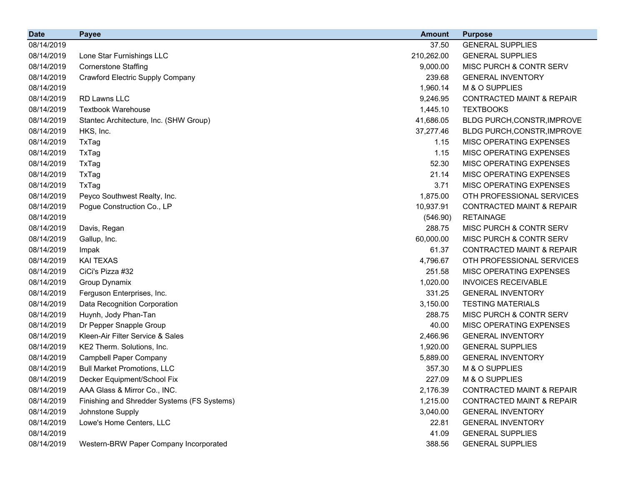| <b>Date</b> | <b>Payee</b>                                | <b>Amount</b> | <b>Purpose</b>                       |
|-------------|---------------------------------------------|---------------|--------------------------------------|
| 08/14/2019  |                                             | 37.50         | <b>GENERAL SUPPLIES</b>              |
| 08/14/2019  | Lone Star Furnishings LLC                   | 210,262.00    | <b>GENERAL SUPPLIES</b>              |
| 08/14/2019  | <b>Cornerstone Staffing</b>                 | 9,000.00      | <b>MISC PURCH &amp; CONTR SERV</b>   |
| 08/14/2019  | <b>Crawford Electric Supply Company</b>     | 239.68        | <b>GENERAL INVENTORY</b>             |
| 08/14/2019  |                                             | 1,960.14      | M & O SUPPLIES                       |
| 08/14/2019  | RD Lawns LLC                                | 9,246.95      | <b>CONTRACTED MAINT &amp; REPAIR</b> |
| 08/14/2019  | <b>Textbook Warehouse</b>                   | 1,445.10      | <b>TEXTBOOKS</b>                     |
| 08/14/2019  | Stantec Architecture, Inc. (SHW Group)      | 41,686.05     | BLDG PURCH, CONSTR, IMPROVE          |
| 08/14/2019  | HKS, Inc.                                   | 37,277.46     | BLDG PURCH, CONSTR, IMPROVE          |
| 08/14/2019  | TxTag                                       | 1.15          | <b>MISC OPERATING EXPENSES</b>       |
| 08/14/2019  | TxTag                                       | 1.15          | MISC OPERATING EXPENSES              |
| 08/14/2019  | TxTag                                       | 52.30         | MISC OPERATING EXPENSES              |
| 08/14/2019  | TxTag                                       | 21.14         | MISC OPERATING EXPENSES              |
| 08/14/2019  | TxTag                                       | 3.71          | <b>MISC OPERATING EXPENSES</b>       |
| 08/14/2019  | Peyco Southwest Realty, Inc.                | 1,875.00      | OTH PROFESSIONAL SERVICES            |
| 08/14/2019  | Pogue Construction Co., LP                  | 10,937.91     | <b>CONTRACTED MAINT &amp; REPAIR</b> |
| 08/14/2019  |                                             | (546.90)      | <b>RETAINAGE</b>                     |
| 08/14/2019  | Davis, Regan                                | 288.75        | MISC PURCH & CONTR SERV              |
| 08/14/2019  | Gallup, Inc.                                | 60,000.00     | <b>MISC PURCH &amp; CONTR SERV</b>   |
| 08/14/2019  | Impak                                       | 61.37         | <b>CONTRACTED MAINT &amp; REPAIR</b> |
| 08/14/2019  | <b>KAI TEXAS</b>                            | 4,796.67      | OTH PROFESSIONAL SERVICES            |
| 08/14/2019  | CiCi's Pizza #32                            | 251.58        | MISC OPERATING EXPENSES              |
| 08/14/2019  | Group Dynamix                               | 1,020.00      | <b>INVOICES RECEIVABLE</b>           |
| 08/14/2019  | Ferguson Enterprises, Inc.                  | 331.25        | <b>GENERAL INVENTORY</b>             |
| 08/14/2019  | Data Recognition Corporation                | 3,150.00      | <b>TESTING MATERIALS</b>             |
| 08/14/2019  | Huynh, Jody Phan-Tan                        | 288.75        | MISC PURCH & CONTR SERV              |
| 08/14/2019  | Dr Pepper Snapple Group                     | 40.00         | MISC OPERATING EXPENSES              |
| 08/14/2019  | Kleen-Air Filter Service & Sales            | 2,466.96      | <b>GENERAL INVENTORY</b>             |
| 08/14/2019  | KE2 Therm. Solutions, Inc.                  | 1,920.00      | <b>GENERAL SUPPLIES</b>              |
| 08/14/2019  | <b>Campbell Paper Company</b>               | 5,889.00      | <b>GENERAL INVENTORY</b>             |
| 08/14/2019  | <b>Bull Market Promotions, LLC</b>          | 357.30        | M & O SUPPLIES                       |
| 08/14/2019  | Decker Equipment/School Fix                 | 227.09        | M & O SUPPLIES                       |
| 08/14/2019  | AAA Glass & Mirror Co., INC.                | 2,176.39      | <b>CONTRACTED MAINT &amp; REPAIR</b> |
| 08/14/2019  | Finishing and Shredder Systems (FS Systems) | 1,215.00      | CONTRACTED MAINT & REPAIR            |
| 08/14/2019  | Johnstone Supply                            | 3,040.00      | <b>GENERAL INVENTORY</b>             |
| 08/14/2019  | Lowe's Home Centers, LLC                    | 22.81         | <b>GENERAL INVENTORY</b>             |
| 08/14/2019  |                                             | 41.09         | <b>GENERAL SUPPLIES</b>              |
| 08/14/2019  | Western-BRW Paper Company Incorporated      | 388.56        | <b>GENERAL SUPPLIES</b>              |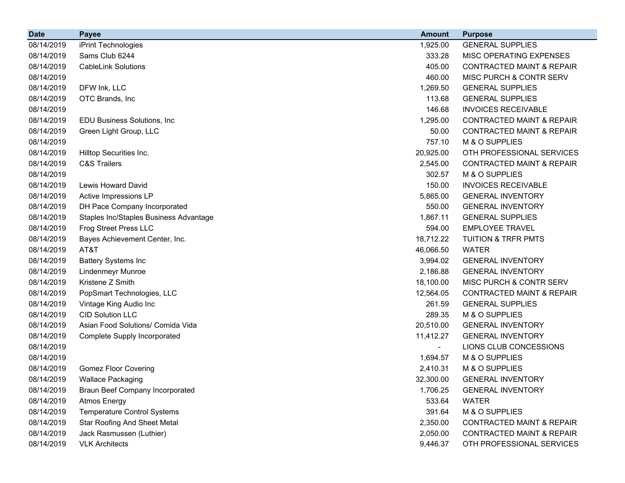| <b>Date</b> | <b>Payee</b>                           | <b>Amount</b> | <b>Purpose</b>                       |
|-------------|----------------------------------------|---------------|--------------------------------------|
| 08/14/2019  | iPrint Technologies                    | 1,925.00      | <b>GENERAL SUPPLIES</b>              |
| 08/14/2019  | Sams Club 6244                         | 333.28        | MISC OPERATING EXPENSES              |
| 08/14/2019  | <b>CableLink Solutions</b>             | 405.00        | <b>CONTRACTED MAINT &amp; REPAIR</b> |
| 08/14/2019  |                                        | 460.00        | MISC PURCH & CONTR SERV              |
| 08/14/2019  | DFW Ink, LLC                           | 1,269.50      | <b>GENERAL SUPPLIES</b>              |
| 08/14/2019  | OTC Brands, Inc                        | 113.68        | <b>GENERAL SUPPLIES</b>              |
| 08/14/2019  |                                        | 146.68        | <b>INVOICES RECEIVABLE</b>           |
| 08/14/2019  | EDU Business Solutions, Inc            | 1,295.00      | <b>CONTRACTED MAINT &amp; REPAIR</b> |
| 08/14/2019  | Green Light Group, LLC                 | 50.00         | <b>CONTRACTED MAINT &amp; REPAIR</b> |
| 08/14/2019  |                                        | 757.10        | M & O SUPPLIES                       |
| 08/14/2019  | Hilltop Securities Inc.                | 20,925.00     | OTH PROFESSIONAL SERVICES            |
| 08/14/2019  | <b>C&amp;S Trailers</b>                | 2,545.00      | <b>CONTRACTED MAINT &amp; REPAIR</b> |
| 08/14/2019  |                                        | 302.57        | M & O SUPPLIES                       |
| 08/14/2019  | <b>Lewis Howard David</b>              | 150.00        | <b>INVOICES RECEIVABLE</b>           |
| 08/14/2019  | Active Impressions LP                  | 5,865.00      | <b>GENERAL INVENTORY</b>             |
| 08/14/2019  | DH Pace Company Incorporated           | 550.00        | <b>GENERAL INVENTORY</b>             |
| 08/14/2019  | Staples Inc/Staples Business Advantage | 1,867.11      | <b>GENERAL SUPPLIES</b>              |
| 08/14/2019  | Frog Street Press LLC                  | 594.00        | <b>EMPLOYEE TRAVEL</b>               |
| 08/14/2019  | Bayes Achievement Center, Inc.         | 18,712.22     | <b>TUITION &amp; TRFR PMTS</b>       |
| 08/14/2019  | AT&T                                   | 46,066.50     | <b>WATER</b>                         |
| 08/14/2019  | <b>Battery Systems Inc</b>             | 3,994.02      | <b>GENERAL INVENTORY</b>             |
| 08/14/2019  | <b>Lindenmeyr Munroe</b>               | 2,186.88      | <b>GENERAL INVENTORY</b>             |
| 08/14/2019  | Kristene Z Smith                       | 18,100.00     | MISC PURCH & CONTR SERV              |
| 08/14/2019  | PopSmart Technologies, LLC             | 12,564.05     | <b>CONTRACTED MAINT &amp; REPAIR</b> |
| 08/14/2019  | Vintage King Audio Inc                 | 261.59        | <b>GENERAL SUPPLIES</b>              |
| 08/14/2019  | <b>CID Solution LLC</b>                | 289.35        | M & O SUPPLIES                       |
| 08/14/2019  | Asian Food Solutions/ Comida Vida      | 20,510.00     | <b>GENERAL INVENTORY</b>             |
| 08/14/2019  | <b>Complete Supply Incorporated</b>    | 11,412.27     | <b>GENERAL INVENTORY</b>             |
| 08/14/2019  |                                        |               | LIONS CLUB CONCESSIONS               |
| 08/14/2019  |                                        | 1,694.57      | M & O SUPPLIES                       |
| 08/14/2019  | <b>Gomez Floor Covering</b>            | 2,410.31      | M & O SUPPLIES                       |
| 08/14/2019  | <b>Wallace Packaging</b>               | 32,300.00     | <b>GENERAL INVENTORY</b>             |
| 08/14/2019  | <b>Braun Beef Company Incorporated</b> | 1,706.25      | <b>GENERAL INVENTORY</b>             |
| 08/14/2019  | <b>Atmos Energy</b>                    | 533.64        | <b>WATER</b>                         |
| 08/14/2019  | <b>Temperature Control Systems</b>     | 391.64        | M & O SUPPLIES                       |
| 08/14/2019  | <b>Star Roofing And Sheet Metal</b>    | 2,350.00      | <b>CONTRACTED MAINT &amp; REPAIR</b> |
| 08/14/2019  | Jack Rasmussen (Luthier)               | 2,050.00      | CONTRACTED MAINT & REPAIR            |
| 08/14/2019  | <b>VLK Architects</b>                  | 9,446.37      | OTH PROFESSIONAL SERVICES            |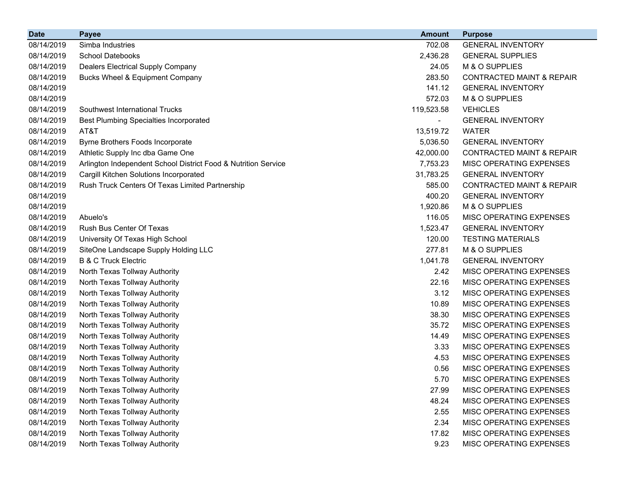| <b>Date</b> | <b>Payee</b>                                                   | <b>Amount</b> | <b>Purpose</b>                       |
|-------------|----------------------------------------------------------------|---------------|--------------------------------------|
| 08/14/2019  | Simba Industries                                               | 702.08        | <b>GENERAL INVENTORY</b>             |
| 08/14/2019  | <b>School Datebooks</b>                                        | 2,436.28      | <b>GENERAL SUPPLIES</b>              |
| 08/14/2019  | <b>Dealers Electrical Supply Company</b>                       | 24.05         | M & O SUPPLIES                       |
| 08/14/2019  | <b>Bucks Wheel &amp; Equipment Company</b>                     | 283.50        | <b>CONTRACTED MAINT &amp; REPAIR</b> |
| 08/14/2019  |                                                                | 141.12        | <b>GENERAL INVENTORY</b>             |
| 08/14/2019  |                                                                | 572.03        | M & O SUPPLIES                       |
| 08/14/2019  | Southwest International Trucks                                 | 119,523.58    | <b>VEHICLES</b>                      |
| 08/14/2019  | <b>Best Plumbing Specialties Incorporated</b>                  |               | <b>GENERAL INVENTORY</b>             |
| 08/14/2019  | AT&T                                                           | 13,519.72     | <b>WATER</b>                         |
| 08/14/2019  | Byrne Brothers Foods Incorporate                               | 5,036.50      | <b>GENERAL INVENTORY</b>             |
| 08/14/2019  | Athletic Supply Inc dba Game One                               | 42,000.00     | <b>CONTRACTED MAINT &amp; REPAIR</b> |
| 08/14/2019  | Arlington Independent School District Food & Nutrition Service | 7,753.23      | <b>MISC OPERATING EXPENSES</b>       |
| 08/14/2019  | Cargill Kitchen Solutions Incorporated                         | 31,783.25     | <b>GENERAL INVENTORY</b>             |
| 08/14/2019  | Rush Truck Centers Of Texas Limited Partnership                | 585.00        | <b>CONTRACTED MAINT &amp; REPAIR</b> |
| 08/14/2019  |                                                                | 400.20        | <b>GENERAL INVENTORY</b>             |
| 08/14/2019  |                                                                | 1,920.86      | M & O SUPPLIES                       |
| 08/14/2019  | Abuelo's                                                       | 116.05        | MISC OPERATING EXPENSES              |
| 08/14/2019  | Rush Bus Center Of Texas                                       | 1,523.47      | <b>GENERAL INVENTORY</b>             |
| 08/14/2019  | University Of Texas High School                                | 120.00        | <b>TESTING MATERIALS</b>             |
| 08/14/2019  | SiteOne Landscape Supply Holding LLC                           | 277.81        | M & O SUPPLIES                       |
| 08/14/2019  | <b>B &amp; C Truck Electric</b>                                | 1,041.78      | <b>GENERAL INVENTORY</b>             |
| 08/14/2019  | North Texas Tollway Authority                                  | 2.42          | <b>MISC OPERATING EXPENSES</b>       |
| 08/14/2019  | North Texas Tollway Authority                                  | 22.16         | MISC OPERATING EXPENSES              |
| 08/14/2019  | North Texas Tollway Authority                                  | 3.12          | <b>MISC OPERATING EXPENSES</b>       |
| 08/14/2019  | North Texas Tollway Authority                                  | 10.89         | MISC OPERATING EXPENSES              |
| 08/14/2019  | North Texas Tollway Authority                                  | 38.30         | MISC OPERATING EXPENSES              |
| 08/14/2019  | North Texas Tollway Authority                                  | 35.72         | MISC OPERATING EXPENSES              |
| 08/14/2019  | North Texas Tollway Authority                                  | 14.49         | MISC OPERATING EXPENSES              |
| 08/14/2019  | North Texas Tollway Authority                                  | 3.33          | MISC OPERATING EXPENSES              |
| 08/14/2019  | North Texas Tollway Authority                                  | 4.53          | <b>MISC OPERATING EXPENSES</b>       |
| 08/14/2019  | North Texas Tollway Authority                                  | 0.56          | <b>MISC OPERATING EXPENSES</b>       |
| 08/14/2019  | North Texas Tollway Authority                                  | 5.70          | MISC OPERATING EXPENSES              |
| 08/14/2019  | North Texas Tollway Authority                                  | 27.99         | MISC OPERATING EXPENSES              |
| 08/14/2019  | North Texas Tollway Authority                                  | 48.24         | <b>MISC OPERATING EXPENSES</b>       |
| 08/14/2019  | North Texas Tollway Authority                                  | 2.55          | MISC OPERATING EXPENSES              |
| 08/14/2019  | North Texas Tollway Authority                                  | 2.34          | MISC OPERATING EXPENSES              |
| 08/14/2019  | North Texas Tollway Authority                                  | 17.82         | MISC OPERATING EXPENSES              |
| 08/14/2019  | North Texas Tollway Authority                                  | 9.23          | MISC OPERATING EXPENSES              |
|             |                                                                |               |                                      |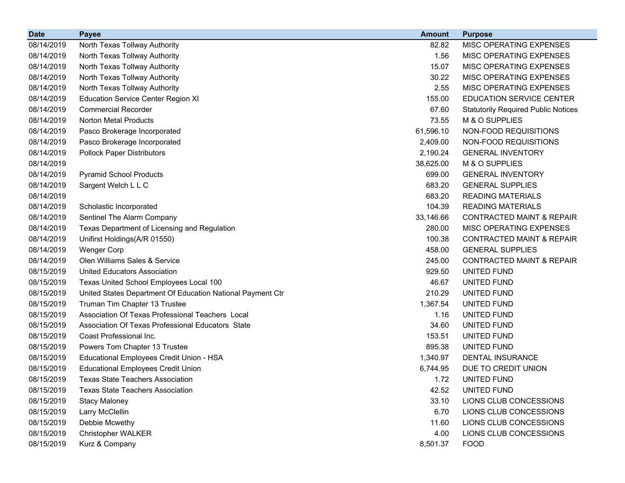| <b>Date</b> | <b>Payee</b>                                               | <b>Amount</b> | <b>Purpose</b>                             |
|-------------|------------------------------------------------------------|---------------|--------------------------------------------|
| 08/14/2019  | North Texas Tollway Authority                              | 82.82         | MISC OPERATING EXPENSES                    |
| 08/14/2019  | North Texas Tollway Authority                              | 1.56          | MISC OPERATING EXPENSES                    |
| 08/14/2019  | North Texas Tollway Authority                              | 15.07         | MISC OPERATING EXPENSES                    |
| 08/14/2019  | North Texas Tollway Authority                              | 30.22         | MISC OPERATING EXPENSES                    |
| 08/14/2019  | North Texas Tollway Authority                              | 2.55          | MISC OPERATING EXPENSES                    |
| 08/14/2019  | <b>Education Service Center Region XI</b>                  | 155.00        | <b>EDUCATION SERVICE CENTER</b>            |
| 08/14/2019  | <b>Commercial Recorder</b>                                 | 67.60         | <b>Statutorily Required Public Notices</b> |
| 08/14/2019  | <b>Norton Metal Products</b>                               | 73.55         | M & O SUPPLIES                             |
| 08/14/2019  | Pasco Brokerage Incorporated                               | 61,596.10     | NON-FOOD REQUISITIONS                      |
| 08/14/2019  | Pasco Brokerage Incorporated                               | 2,409.00      | NON-FOOD REQUISITIONS                      |
| 08/14/2019  | <b>Pollock Paper Distributors</b>                          | 2,190.24      | <b>GENERAL INVENTORY</b>                   |
| 08/14/2019  |                                                            | 38,625.00     | M & O SUPPLIES                             |
| 08/14/2019  | <b>Pyramid School Products</b>                             | 699.00        | <b>GENERAL INVENTORY</b>                   |
| 08/14/2019  | Sargent Welch L L C                                        | 683.20        | <b>GENERAL SUPPLIES</b>                    |
| 08/14/2019  |                                                            | 683.20        | <b>READING MATERIALS</b>                   |
| 08/14/2019  | Scholastic Incorporated                                    | 104.39        | <b>READING MATERIALS</b>                   |
| 08/14/2019  | Sentinel The Alarm Company                                 | 33,146.66     | <b>CONTRACTED MAINT &amp; REPAIR</b>       |
| 08/14/2019  | Texas Department of Licensing and Regulation               | 280.00        | MISC OPERATING EXPENSES                    |
| 08/14/2019  | Unifirst Holdings(A/R 01550)                               | 100.38        | <b>CONTRACTED MAINT &amp; REPAIR</b>       |
| 08/14/2019  | <b>Wenger Corp</b>                                         | 458.00        | <b>GENERAL SUPPLIES</b>                    |
| 08/14/2019  | Olen Williams Sales & Service                              | 245.00        | <b>CONTRACTED MAINT &amp; REPAIR</b>       |
| 08/15/2019  | <b>United Educators Association</b>                        | 929.50        | UNITED FUND                                |
| 08/15/2019  | Texas United School Employees Local 100                    | 46.67         | UNITED FUND                                |
| 08/15/2019  | United States Department Of Education National Payment Ctr | 210.29        | UNITED FUND                                |
| 08/15/2019  | Truman Tim Chapter 13 Trustee                              | 1,367.54      | UNITED FUND                                |
| 08/15/2019  | Association Of Texas Professional Teachers Local           | 1.16          | UNITED FUND                                |
| 08/15/2019  | Association Of Texas Professional Educators State          | 34.60         | UNITED FUND                                |
| 08/15/2019  | Coast Professional Inc.                                    | 153.51        | UNITED FUND                                |
| 08/15/2019  | Powers Tom Chapter 13 Trustee                              | 895.38        | UNITED FUND                                |
| 08/15/2019  | Educational Employees Credit Union - HSA                   | 1,340.97      | <b>DENTAL INSURANCE</b>                    |
| 08/15/2019  | <b>Educational Employees Credit Union</b>                  | 6,744.95      | DUE TO CREDIT UNION                        |
| 08/15/2019  | <b>Texas State Teachers Association</b>                    | 1.72          | UNITED FUND                                |
| 08/15/2019  | <b>Texas State Teachers Association</b>                    | 42.52         | <b>UNITED FUND</b>                         |
| 08/15/2019  | <b>Stacy Maloney</b>                                       | 33.10         | LIONS CLUB CONCESSIONS                     |
| 08/15/2019  | Larry McClellin                                            | 6.70          | LIONS CLUB CONCESSIONS                     |
| 08/15/2019  | Debbie Mcwethy                                             | 11.60         | LIONS CLUB CONCESSIONS                     |
| 08/15/2019  | <b>Christopher WALKER</b>                                  | 4.00          | LIONS CLUB CONCESSIONS                     |
| 08/15/2019  | Kurz & Company                                             | 8,501.37      | <b>FOOD</b>                                |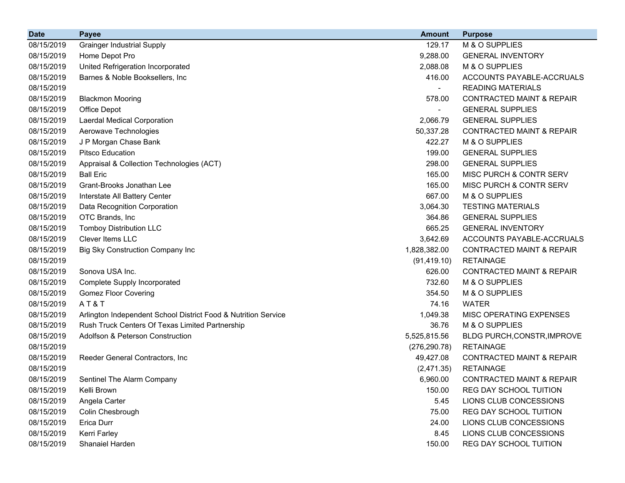| <b>Date</b> | <b>Payee</b>                                                   | <b>Amount</b> | <b>Purpose</b>                       |
|-------------|----------------------------------------------------------------|---------------|--------------------------------------|
| 08/15/2019  | <b>Grainger Industrial Supply</b>                              | 129.17        | M & O SUPPLIES                       |
| 08/15/2019  | Home Depot Pro                                                 | 9,288.00      | <b>GENERAL INVENTORY</b>             |
| 08/15/2019  | United Refrigeration Incorporated                              | 2,088.08      | M & O SUPPLIES                       |
| 08/15/2019  | Barnes & Noble Booksellers, Inc.                               | 416.00        | ACCOUNTS PAYABLE-ACCRUALS            |
| 08/15/2019  |                                                                |               | <b>READING MATERIALS</b>             |
| 08/15/2019  | <b>Blackmon Mooring</b>                                        | 578.00        | <b>CONTRACTED MAINT &amp; REPAIR</b> |
| 08/15/2019  | Office Depot                                                   |               | <b>GENERAL SUPPLIES</b>              |
| 08/15/2019  | Laerdal Medical Corporation                                    | 2,066.79      | <b>GENERAL SUPPLIES</b>              |
| 08/15/2019  | Aerowave Technologies                                          | 50,337.28     | <b>CONTRACTED MAINT &amp; REPAIR</b> |
| 08/15/2019  | J P Morgan Chase Bank                                          | 422.27        | M & O SUPPLIES                       |
| 08/15/2019  | <b>Pitsco Education</b>                                        | 199.00        | <b>GENERAL SUPPLIES</b>              |
| 08/15/2019  | Appraisal & Collection Technologies (ACT)                      | 298.00        | <b>GENERAL SUPPLIES</b>              |
| 08/15/2019  | <b>Ball Eric</b>                                               | 165.00        | MISC PURCH & CONTR SERV              |
| 08/15/2019  | Grant-Brooks Jonathan Lee                                      | 165.00        | MISC PURCH & CONTR SERV              |
| 08/15/2019  | Interstate All Battery Center                                  | 667.00        | M & O SUPPLIES                       |
| 08/15/2019  | Data Recognition Corporation                                   | 3,064.30      | <b>TESTING MATERIALS</b>             |
| 08/15/2019  | OTC Brands, Inc                                                | 364.86        | <b>GENERAL SUPPLIES</b>              |
| 08/15/2019  | <b>Tomboy Distribution LLC</b>                                 | 665.25        | <b>GENERAL INVENTORY</b>             |
| 08/15/2019  | <b>Clever Items LLC</b>                                        | 3,642.69      | ACCOUNTS PAYABLE-ACCRUALS            |
| 08/15/2019  | Big Sky Construction Company Inc                               | 1,828,382.00  | <b>CONTRACTED MAINT &amp; REPAIR</b> |
| 08/15/2019  |                                                                | (91, 419.10)  | <b>RETAINAGE</b>                     |
| 08/15/2019  | Sonova USA Inc.                                                | 626.00        | <b>CONTRACTED MAINT &amp; REPAIR</b> |
| 08/15/2019  | Complete Supply Incorporated                                   | 732.60        | M & O SUPPLIES                       |
| 08/15/2019  | <b>Gomez Floor Covering</b>                                    | 354.50        | M & O SUPPLIES                       |
| 08/15/2019  | AT&T                                                           | 74.16         | <b>WATER</b>                         |
| 08/15/2019  | Arlington Independent School District Food & Nutrition Service | 1,049.38      | MISC OPERATING EXPENSES              |
| 08/15/2019  | Rush Truck Centers Of Texas Limited Partnership                | 36.76         | M & O SUPPLIES                       |
| 08/15/2019  | Adolfson & Peterson Construction                               | 5,525,815.56  | BLDG PURCH, CONSTR, IMPROVE          |
| 08/15/2019  |                                                                | (276, 290.78) | <b>RETAINAGE</b>                     |
| 08/15/2019  | Reeder General Contractors, Inc                                | 49,427.08     | <b>CONTRACTED MAINT &amp; REPAIR</b> |
| 08/15/2019  |                                                                | (2,471.35)    | <b>RETAINAGE</b>                     |
| 08/15/2019  | Sentinel The Alarm Company                                     | 6,960.00      | <b>CONTRACTED MAINT &amp; REPAIR</b> |
| 08/15/2019  | Kelli Brown                                                    | 150.00        | REG DAY SCHOOL TUITION               |
| 08/15/2019  | Angela Carter                                                  | 5.45          | LIONS CLUB CONCESSIONS               |
| 08/15/2019  | Colin Chesbrough                                               | 75.00         | REG DAY SCHOOL TUITION               |
| 08/15/2019  | Erica Durr                                                     | 24.00         | LIONS CLUB CONCESSIONS               |
| 08/15/2019  | Kerri Farley                                                   | 8.45          | LIONS CLUB CONCESSIONS               |
| 08/15/2019  | Shanaiel Harden                                                | 150.00        | REG DAY SCHOOL TUITION               |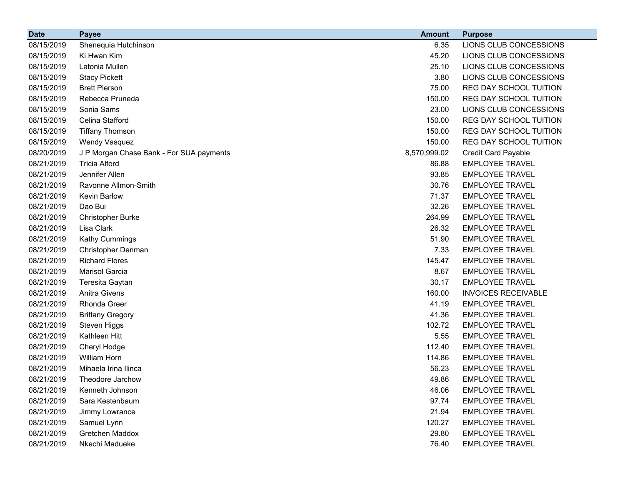| <b>Date</b> | <b>Payee</b>                             | <b>Amount</b> | <b>Purpose</b>             |
|-------------|------------------------------------------|---------------|----------------------------|
| 08/15/2019  | Shenequia Hutchinson                     | 6.35          | LIONS CLUB CONCESSIONS     |
| 08/15/2019  | Ki Hwan Kim                              | 45.20         | LIONS CLUB CONCESSIONS     |
| 08/15/2019  | Latonia Mullen                           | 25.10         | LIONS CLUB CONCESSIONS     |
| 08/15/2019  | <b>Stacy Pickett</b>                     | 3.80          | LIONS CLUB CONCESSIONS     |
| 08/15/2019  | <b>Brett Pierson</b>                     | 75.00         | REG DAY SCHOOL TUITION     |
| 08/15/2019  | Rebecca Pruneda                          | 150.00        | REG DAY SCHOOL TUITION     |
| 08/15/2019  | Sonia Sams                               | 23.00         | LIONS CLUB CONCESSIONS     |
| 08/15/2019  | Celina Stafford                          | 150.00        | REG DAY SCHOOL TUITION     |
| 08/15/2019  | <b>Tiffany Thomson</b>                   | 150.00        | REG DAY SCHOOL TUITION     |
| 08/15/2019  | Wendy Vasquez                            | 150.00        | REG DAY SCHOOL TUITION     |
| 08/20/2019  | J P Morgan Chase Bank - For SUA payments | 8,570,999.02  | <b>Credit Card Payable</b> |
| 08/21/2019  | <b>Tricia Alford</b>                     | 86.88         | <b>EMPLOYEE TRAVEL</b>     |
| 08/21/2019  | Jennifer Allen                           | 93.85         | <b>EMPLOYEE TRAVEL</b>     |
| 08/21/2019  | Ravonne Allmon-Smith                     | 30.76         | <b>EMPLOYEE TRAVEL</b>     |
| 08/21/2019  | Kevin Barlow                             | 71.37         | <b>EMPLOYEE TRAVEL</b>     |
| 08/21/2019  | Dao Bui                                  | 32.26         | <b>EMPLOYEE TRAVEL</b>     |
| 08/21/2019  | <b>Christopher Burke</b>                 | 264.99        | <b>EMPLOYEE TRAVEL</b>     |
| 08/21/2019  | Lisa Clark                               | 26.32         | <b>EMPLOYEE TRAVEL</b>     |
| 08/21/2019  | Kathy Cummings                           | 51.90         | <b>EMPLOYEE TRAVEL</b>     |
| 08/21/2019  | Christopher Denman                       | 7.33          | <b>EMPLOYEE TRAVEL</b>     |
| 08/21/2019  | <b>Richard Flores</b>                    | 145.47        | <b>EMPLOYEE TRAVEL</b>     |
| 08/21/2019  | Marisol Garcia                           | 8.67          | <b>EMPLOYEE TRAVEL</b>     |
| 08/21/2019  | Teresita Gaytan                          | 30.17         | <b>EMPLOYEE TRAVEL</b>     |
| 08/21/2019  | <b>Anitra Givens</b>                     | 160.00        | <b>INVOICES RECEIVABLE</b> |
| 08/21/2019  | Rhonda Greer                             | 41.19         | <b>EMPLOYEE TRAVEL</b>     |
| 08/21/2019  | <b>Brittany Gregory</b>                  | 41.36         | <b>EMPLOYEE TRAVEL</b>     |
| 08/21/2019  | Steven Higgs                             | 102.72        | <b>EMPLOYEE TRAVEL</b>     |
| 08/21/2019  | Kathleen Hitt                            | 5.55          | <b>EMPLOYEE TRAVEL</b>     |
| 08/21/2019  | Cheryl Hodge                             | 112.40        | <b>EMPLOYEE TRAVEL</b>     |
| 08/21/2019  | William Horn                             | 114.86        | <b>EMPLOYEE TRAVEL</b>     |
| 08/21/2019  | Mihaela Irina Ilinca                     | 56.23         | <b>EMPLOYEE TRAVEL</b>     |
| 08/21/2019  | Theodore Jarchow                         | 49.86         | <b>EMPLOYEE TRAVEL</b>     |
| 08/21/2019  | Kenneth Johnson                          | 46.06         | <b>EMPLOYEE TRAVEL</b>     |
| 08/21/2019  | Sara Kestenbaum                          | 97.74         | <b>EMPLOYEE TRAVEL</b>     |
| 08/21/2019  | Jimmy Lowrance                           | 21.94         | <b>EMPLOYEE TRAVEL</b>     |
| 08/21/2019  | Samuel Lynn                              | 120.27        | <b>EMPLOYEE TRAVEL</b>     |
| 08/21/2019  | Gretchen Maddox                          | 29.80         | <b>EMPLOYEE TRAVEL</b>     |
| 08/21/2019  | Nkechi Madueke                           | 76.40         | <b>EMPLOYEE TRAVEL</b>     |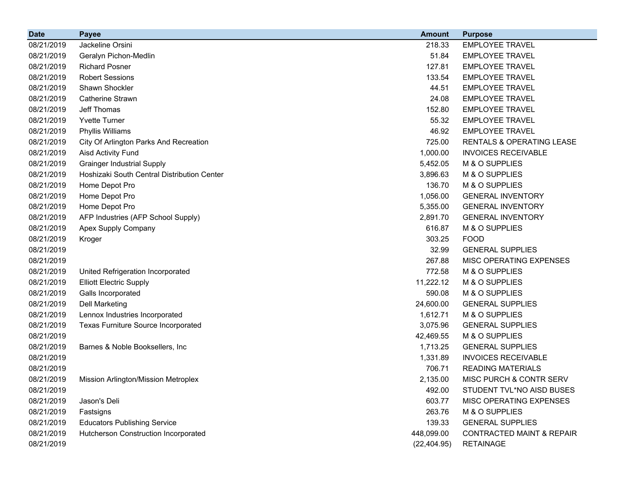| <b>Date</b> | <b>Payee</b>                                | <b>Amount</b> | <b>Purpose</b>                       |
|-------------|---------------------------------------------|---------------|--------------------------------------|
| 08/21/2019  | Jackeline Orsini                            | 218.33        | <b>EMPLOYEE TRAVEL</b>               |
| 08/21/2019  | Geralyn Pichon-Medlin                       | 51.84         | <b>EMPLOYEE TRAVEL</b>               |
| 08/21/2019  | <b>Richard Posner</b>                       | 127.81        | <b>EMPLOYEE TRAVEL</b>               |
| 08/21/2019  | <b>Robert Sessions</b>                      | 133.54        | <b>EMPLOYEE TRAVEL</b>               |
| 08/21/2019  | Shawn Shockler                              | 44.51         | <b>EMPLOYEE TRAVEL</b>               |
| 08/21/2019  | <b>Catherine Strawn</b>                     | 24.08         | <b>EMPLOYEE TRAVEL</b>               |
| 08/21/2019  | Jeff Thomas                                 | 152.80        | <b>EMPLOYEE TRAVEL</b>               |
| 08/21/2019  | <b>Yvette Turner</b>                        | 55.32         | <b>EMPLOYEE TRAVEL</b>               |
| 08/21/2019  | Phyllis Williams                            | 46.92         | <b>EMPLOYEE TRAVEL</b>               |
| 08/21/2019  | City Of Arlington Parks And Recreation      | 725.00        | RENTALS & OPERATING LEASE            |
| 08/21/2019  | <b>Aisd Activity Fund</b>                   | 1,000.00      | <b>INVOICES RECEIVABLE</b>           |
| 08/21/2019  | <b>Grainger Industrial Supply</b>           | 5,452.05      | M & O SUPPLIES                       |
| 08/21/2019  | Hoshizaki South Central Distribution Center | 3,896.63      | M & O SUPPLIES                       |
| 08/21/2019  | Home Depot Pro                              | 136.70        | M & O SUPPLIES                       |
| 08/21/2019  | Home Depot Pro                              | 1,056.00      | <b>GENERAL INVENTORY</b>             |
| 08/21/2019  | Home Depot Pro                              | 5,355.00      | <b>GENERAL INVENTORY</b>             |
| 08/21/2019  | AFP Industries (AFP School Supply)          | 2,891.70      | <b>GENERAL INVENTORY</b>             |
| 08/21/2019  | Apex Supply Company                         | 616.87        | M & O SUPPLIES                       |
| 08/21/2019  | Kroger                                      | 303.25        | <b>FOOD</b>                          |
| 08/21/2019  |                                             | 32.99         | <b>GENERAL SUPPLIES</b>              |
| 08/21/2019  |                                             | 267.88        | MISC OPERATING EXPENSES              |
| 08/21/2019  | United Refrigeration Incorporated           | 772.58        | M & O SUPPLIES                       |
| 08/21/2019  | <b>Elliott Electric Supply</b>              | 11,222.12     | M & O SUPPLIES                       |
| 08/21/2019  | Galls Incorporated                          | 590.08        | M & O SUPPLIES                       |
| 08/21/2019  | <b>Dell Marketing</b>                       | 24,600.00     | <b>GENERAL SUPPLIES</b>              |
| 08/21/2019  | Lennox Industries Incorporated              | 1,612.71      | M & O SUPPLIES                       |
| 08/21/2019  | Texas Furniture Source Incorporated         | 3,075.96      | <b>GENERAL SUPPLIES</b>              |
| 08/21/2019  |                                             | 42,469.55     | M & O SUPPLIES                       |
| 08/21/2019  | Barnes & Noble Booksellers, Inc.            | 1,713.25      | <b>GENERAL SUPPLIES</b>              |
| 08/21/2019  |                                             | 1,331.89      | <b>INVOICES RECEIVABLE</b>           |
| 08/21/2019  |                                             | 706.71        | <b>READING MATERIALS</b>             |
| 08/21/2019  | <b>Mission Arlington/Mission Metroplex</b>  | 2,135.00      | MISC PURCH & CONTR SERV              |
| 08/21/2019  |                                             | 492.00        | STUDENT TVL*NO AISD BUSES            |
| 08/21/2019  | Jason's Deli                                | 603.77        | MISC OPERATING EXPENSES              |
| 08/21/2019  | Fastsigns                                   | 263.76        | M & O SUPPLIES                       |
| 08/21/2019  | <b>Educators Publishing Service</b>         | 139.33        | <b>GENERAL SUPPLIES</b>              |
| 08/21/2019  | Hutcherson Construction Incorporated        | 448,099.00    | <b>CONTRACTED MAINT &amp; REPAIR</b> |
| 08/21/2019  |                                             | (22, 404.95)  | <b>RETAINAGE</b>                     |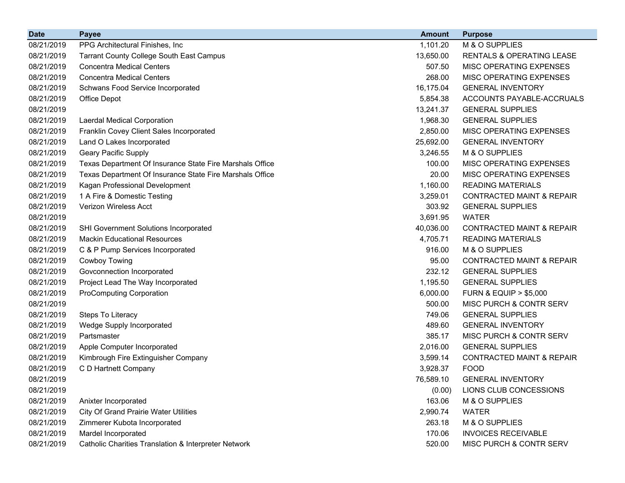| <b>Date</b> | <b>Payee</b>                                             | <b>Amount</b> | <b>Purpose</b>                       |
|-------------|----------------------------------------------------------|---------------|--------------------------------------|
| 08/21/2019  | PPG Architectural Finishes, Inc.                         | 1,101.20      | M & O SUPPLIES                       |
| 08/21/2019  | <b>Tarrant County College South East Campus</b>          | 13,650.00     | <b>RENTALS &amp; OPERATING LEASE</b> |
| 08/21/2019  | <b>Concentra Medical Centers</b>                         | 507.50        | MISC OPERATING EXPENSES              |
| 08/21/2019  | <b>Concentra Medical Centers</b>                         | 268.00        | MISC OPERATING EXPENSES              |
| 08/21/2019  | Schwans Food Service Incorporated                        | 16,175.04     | <b>GENERAL INVENTORY</b>             |
| 08/21/2019  | Office Depot                                             | 5,854.38      | ACCOUNTS PAYABLE-ACCRUALS            |
| 08/21/2019  |                                                          | 13,241.37     | <b>GENERAL SUPPLIES</b>              |
| 08/21/2019  | Laerdal Medical Corporation                              | 1,968.30      | <b>GENERAL SUPPLIES</b>              |
| 08/21/2019  | Franklin Covey Client Sales Incorporated                 | 2,850.00      | MISC OPERATING EXPENSES              |
| 08/21/2019  | Land O Lakes Incorporated                                | 25,692.00     | <b>GENERAL INVENTORY</b>             |
| 08/21/2019  | <b>Geary Pacific Supply</b>                              | 3,246.55      | M & O SUPPLIES                       |
| 08/21/2019  | Texas Department Of Insurance State Fire Marshals Office | 100.00        | MISC OPERATING EXPENSES              |
| 08/21/2019  | Texas Department Of Insurance State Fire Marshals Office | 20.00         | MISC OPERATING EXPENSES              |
| 08/21/2019  | Kagan Professional Development                           | 1,160.00      | <b>READING MATERIALS</b>             |
| 08/21/2019  | 1 A Fire & Domestic Testing                              | 3,259.01      | <b>CONTRACTED MAINT &amp; REPAIR</b> |
| 08/21/2019  | <b>Verizon Wireless Acct</b>                             | 303.92        | <b>GENERAL SUPPLIES</b>              |
| 08/21/2019  |                                                          | 3,691.95      | <b>WATER</b>                         |
| 08/21/2019  | SHI Government Solutions Incorporated                    | 40,036.00     | <b>CONTRACTED MAINT &amp; REPAIR</b> |
| 08/21/2019  | <b>Mackin Educational Resources</b>                      | 4,705.71      | <b>READING MATERIALS</b>             |
| 08/21/2019  | C & P Pump Services Incorporated                         | 916.00        | M & O SUPPLIES                       |
| 08/21/2019  | <b>Cowboy Towing</b>                                     | 95.00         | <b>CONTRACTED MAINT &amp; REPAIR</b> |
| 08/21/2019  | Govconnection Incorporated                               | 232.12        | <b>GENERAL SUPPLIES</b>              |
| 08/21/2019  | Project Lead The Way Incorporated                        | 1,195.50      | <b>GENERAL SUPPLIES</b>              |
| 08/21/2019  | <b>ProComputing Corporation</b>                          | 6,000.00      | <b>FURN &amp; EQUIP &gt; \$5,000</b> |
| 08/21/2019  |                                                          | 500.00        | MISC PURCH & CONTR SERV              |
| 08/21/2019  | Steps To Literacy                                        | 749.06        | <b>GENERAL SUPPLIES</b>              |
| 08/21/2019  | Wedge Supply Incorporated                                | 489.60        | <b>GENERAL INVENTORY</b>             |
| 08/21/2019  | Partsmaster                                              | 385.17        | MISC PURCH & CONTR SERV              |
| 08/21/2019  | Apple Computer Incorporated                              | 2,016.00      | <b>GENERAL SUPPLIES</b>              |
| 08/21/2019  | Kimbrough Fire Extinguisher Company                      | 3,599.14      | <b>CONTRACTED MAINT &amp; REPAIR</b> |
| 08/21/2019  | C D Hartnett Company                                     | 3,928.37      | <b>FOOD</b>                          |
| 08/21/2019  |                                                          | 76,589.10     | <b>GENERAL INVENTORY</b>             |
| 08/21/2019  |                                                          | (0.00)        | LIONS CLUB CONCESSIONS               |
| 08/21/2019  | Anixter Incorporated                                     | 163.06        | M & O SUPPLIES                       |
| 08/21/2019  | <b>City Of Grand Prairie Water Utilities</b>             | 2,990.74      | <b>WATER</b>                         |
| 08/21/2019  | Zimmerer Kubota Incorporated                             | 263.18        | M & O SUPPLIES                       |
| 08/21/2019  | Mardel Incorporated                                      | 170.06        | <b>INVOICES RECEIVABLE</b>           |
| 08/21/2019  | Catholic Charities Translation & Interpreter Network     | 520.00        | MISC PURCH & CONTR SERV              |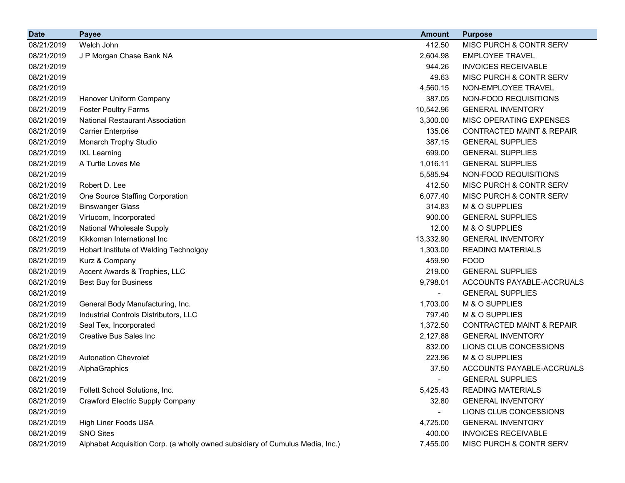| <b>Date</b> | <b>Payee</b>                                                                  | <b>Amount</b> | <b>Purpose</b>                       |
|-------------|-------------------------------------------------------------------------------|---------------|--------------------------------------|
| 08/21/2019  | Welch John                                                                    | 412.50        | MISC PURCH & CONTR SERV              |
| 08/21/2019  | J P Morgan Chase Bank NA                                                      | 2,604.98      | <b>EMPLOYEE TRAVEL</b>               |
| 08/21/2019  |                                                                               | 944.26        | <b>INVOICES RECEIVABLE</b>           |
| 08/21/2019  |                                                                               | 49.63         | MISC PURCH & CONTR SERV              |
| 08/21/2019  |                                                                               | 4,560.15      | NON-EMPLOYEE TRAVEL                  |
| 08/21/2019  | Hanover Uniform Company                                                       | 387.05        | NON-FOOD REQUISITIONS                |
| 08/21/2019  | <b>Foster Poultry Farms</b>                                                   | 10,542.96     | <b>GENERAL INVENTORY</b>             |
| 08/21/2019  | <b>National Restaurant Association</b>                                        | 3,300.00      | MISC OPERATING EXPENSES              |
| 08/21/2019  | <b>Carrier Enterprise</b>                                                     | 135.06        | <b>CONTRACTED MAINT &amp; REPAIR</b> |
| 08/21/2019  | Monarch Trophy Studio                                                         | 387.15        | <b>GENERAL SUPPLIES</b>              |
| 08/21/2019  | <b>IXL Learning</b>                                                           | 699.00        | <b>GENERAL SUPPLIES</b>              |
| 08/21/2019  | A Turtle Loves Me                                                             | 1,016.11      | <b>GENERAL SUPPLIES</b>              |
| 08/21/2019  |                                                                               | 5,585.94      | NON-FOOD REQUISITIONS                |
| 08/21/2019  | Robert D. Lee                                                                 | 412.50        | MISC PURCH & CONTR SERV              |
| 08/21/2019  | One Source Staffing Corporation                                               | 6,077.40      | MISC PURCH & CONTR SERV              |
| 08/21/2019  | <b>Binswanger Glass</b>                                                       | 314.83        | M & O SUPPLIES                       |
| 08/21/2019  | Virtucom, Incorporated                                                        | 900.00        | <b>GENERAL SUPPLIES</b>              |
| 08/21/2019  | National Wholesale Supply                                                     | 12.00         | M & O SUPPLIES                       |
| 08/21/2019  | Kikkoman International Inc                                                    | 13,332.90     | <b>GENERAL INVENTORY</b>             |
| 08/21/2019  | Hobart Institute of Welding Technolgoy                                        | 1,303.00      | <b>READING MATERIALS</b>             |
| 08/21/2019  | Kurz & Company                                                                | 459.90        | <b>FOOD</b>                          |
| 08/21/2019  | Accent Awards & Trophies, LLC                                                 | 219.00        | <b>GENERAL SUPPLIES</b>              |
| 08/21/2019  | <b>Best Buy for Business</b>                                                  | 9,798.01      | ACCOUNTS PAYABLE-ACCRUALS            |
| 08/21/2019  |                                                                               | ٠             | <b>GENERAL SUPPLIES</b>              |
| 08/21/2019  | General Body Manufacturing, Inc.                                              | 1,703.00      | M & O SUPPLIES                       |
| 08/21/2019  | Industrial Controls Distributors, LLC                                         | 797.40        | M & O SUPPLIES                       |
| 08/21/2019  | Seal Tex, Incorporated                                                        | 1,372.50      | <b>CONTRACTED MAINT &amp; REPAIR</b> |
| 08/21/2019  | <b>Creative Bus Sales Inc</b>                                                 | 2,127.88      | <b>GENERAL INVENTORY</b>             |
| 08/21/2019  |                                                                               | 832.00        | LIONS CLUB CONCESSIONS               |
| 08/21/2019  | <b>Autonation Chevrolet</b>                                                   | 223.96        | M & O SUPPLIES                       |
| 08/21/2019  | AlphaGraphics                                                                 | 37.50         | ACCOUNTS PAYABLE-ACCRUALS            |
| 08/21/2019  |                                                                               |               | <b>GENERAL SUPPLIES</b>              |
| 08/21/2019  | Follett School Solutions, Inc.                                                | 5,425.43      | <b>READING MATERIALS</b>             |
| 08/21/2019  | <b>Crawford Electric Supply Company</b>                                       | 32.80         | <b>GENERAL INVENTORY</b>             |
| 08/21/2019  |                                                                               |               | LIONS CLUB CONCESSIONS               |
| 08/21/2019  | High Liner Foods USA                                                          | 4,725.00      | <b>GENERAL INVENTORY</b>             |
| 08/21/2019  | <b>SNO Sites</b>                                                              | 400.00        | <b>INVOICES RECEIVABLE</b>           |
| 08/21/2019  | Alphabet Acquisition Corp. (a wholly owned subsidiary of Cumulus Media, Inc.) | 7,455.00      | MISC PURCH & CONTR SERV              |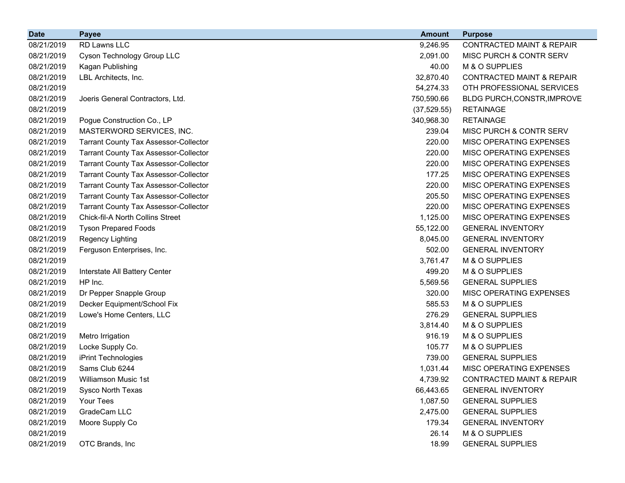| <b>Date</b> | <b>Payee</b>                                 | <b>Amount</b> | <b>Purpose</b>                       |
|-------------|----------------------------------------------|---------------|--------------------------------------|
| 08/21/2019  | RD Lawns LLC                                 | 9,246.95      | <b>CONTRACTED MAINT &amp; REPAIR</b> |
| 08/21/2019  | Cyson Technology Group LLC                   | 2,091.00      | MISC PURCH & CONTR SERV              |
| 08/21/2019  | Kagan Publishing                             | 40.00         | M & O SUPPLIES                       |
| 08/21/2019  | LBL Architects, Inc.                         | 32,870.40     | <b>CONTRACTED MAINT &amp; REPAIR</b> |
| 08/21/2019  |                                              | 54,274.33     | OTH PROFESSIONAL SERVICES            |
| 08/21/2019  | Joeris General Contractors, Ltd.             | 750,590.66    | BLDG PURCH, CONSTR, IMPROVE          |
| 08/21/2019  |                                              | (37, 529.55)  | <b>RETAINAGE</b>                     |
| 08/21/2019  | Pogue Construction Co., LP                   | 340,968.30    | <b>RETAINAGE</b>                     |
| 08/21/2019  | MASTERWORD SERVICES, INC.                    | 239.04        | MISC PURCH & CONTR SERV              |
| 08/21/2019  | <b>Tarrant County Tax Assessor-Collector</b> | 220.00        | MISC OPERATING EXPENSES              |
| 08/21/2019  | <b>Tarrant County Tax Assessor-Collector</b> | 220.00        | MISC OPERATING EXPENSES              |
| 08/21/2019  | <b>Tarrant County Tax Assessor-Collector</b> | 220.00        | MISC OPERATING EXPENSES              |
| 08/21/2019  | <b>Tarrant County Tax Assessor-Collector</b> | 177.25        | MISC OPERATING EXPENSES              |
| 08/21/2019  | <b>Tarrant County Tax Assessor-Collector</b> | 220.00        | MISC OPERATING EXPENSES              |
| 08/21/2019  | <b>Tarrant County Tax Assessor-Collector</b> | 205.50        | <b>MISC OPERATING EXPENSES</b>       |
| 08/21/2019  | <b>Tarrant County Tax Assessor-Collector</b> | 220.00        | MISC OPERATING EXPENSES              |
| 08/21/2019  | <b>Chick-fil-A North Collins Street</b>      | 1,125.00      | MISC OPERATING EXPENSES              |
| 08/21/2019  | <b>Tyson Prepared Foods</b>                  | 55,122.00     | <b>GENERAL INVENTORY</b>             |
| 08/21/2019  | Regency Lighting                             | 8,045.00      | <b>GENERAL INVENTORY</b>             |
| 08/21/2019  | Ferguson Enterprises, Inc.                   | 502.00        | <b>GENERAL INVENTORY</b>             |
| 08/21/2019  |                                              | 3,761.47      | M & O SUPPLIES                       |
| 08/21/2019  | Interstate All Battery Center                | 499.20        | M & O SUPPLIES                       |
| 08/21/2019  | HP Inc.                                      | 5,569.56      | <b>GENERAL SUPPLIES</b>              |
| 08/21/2019  | Dr Pepper Snapple Group                      | 320.00        | MISC OPERATING EXPENSES              |
| 08/21/2019  | Decker Equipment/School Fix                  | 585.53        | M & O SUPPLIES                       |
| 08/21/2019  | Lowe's Home Centers, LLC                     | 276.29        | <b>GENERAL SUPPLIES</b>              |
| 08/21/2019  |                                              | 3,814.40      | M & O SUPPLIES                       |
| 08/21/2019  | Metro Irrigation                             | 916.19        | M & O SUPPLIES                       |
| 08/21/2019  | Locke Supply Co.                             | 105.77        | M & O SUPPLIES                       |
| 08/21/2019  | iPrint Technologies                          | 739.00        | <b>GENERAL SUPPLIES</b>              |
| 08/21/2019  | Sams Club 6244                               | 1,031.44      | MISC OPERATING EXPENSES              |
| 08/21/2019  | Williamson Music 1st                         | 4,739.92      | CONTRACTED MAINT & REPAIR            |
| 08/21/2019  | Sysco North Texas                            | 66,443.65     | <b>GENERAL INVENTORY</b>             |
| 08/21/2019  | Your Tees                                    | 1,087.50      | <b>GENERAL SUPPLIES</b>              |
| 08/21/2019  | GradeCam LLC                                 | 2,475.00      | <b>GENERAL SUPPLIES</b>              |
| 08/21/2019  | Moore Supply Co                              | 179.34        | <b>GENERAL INVENTORY</b>             |
| 08/21/2019  |                                              | 26.14         | M & O SUPPLIES                       |
| 08/21/2019  | OTC Brands, Inc                              | 18.99         | <b>GENERAL SUPPLIES</b>              |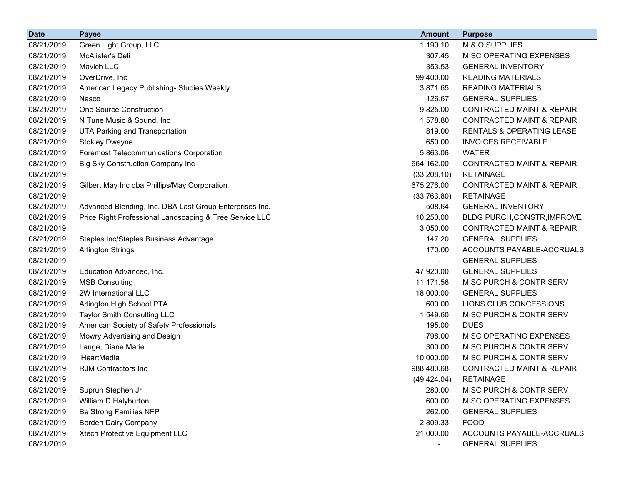| <b>Date</b> | <b>Payee</b>                                            | <b>Amount</b> | <b>Purpose</b>                       |
|-------------|---------------------------------------------------------|---------------|--------------------------------------|
| 08/21/2019  | Green Light Group, LLC                                  | 1,190.10      | M & O SUPPLIES                       |
| 08/21/2019  | McAlister's Deli                                        | 307.45        | MISC OPERATING EXPENSES              |
| 08/21/2019  | Mavich LLC                                              | 353.53        | <b>GENERAL INVENTORY</b>             |
| 08/21/2019  | OverDrive, Inc                                          | 99,400.00     | <b>READING MATERIALS</b>             |
| 08/21/2019  | American Legacy Publishing- Studies Weekly              | 3,871.65      | <b>READING MATERIALS</b>             |
| 08/21/2019  | Nasco                                                   | 126.67        | <b>GENERAL SUPPLIES</b>              |
| 08/21/2019  | <b>One Source Construction</b>                          | 9,825.00      | <b>CONTRACTED MAINT &amp; REPAIR</b> |
| 08/21/2019  | N Tune Music & Sound, Inc                               | 1,578.80      | <b>CONTRACTED MAINT &amp; REPAIR</b> |
| 08/21/2019  | <b>UTA Parking and Transportation</b>                   | 819.00        | <b>RENTALS &amp; OPERATING LEASE</b> |
| 08/21/2019  | <b>Stokley Dwayne</b>                                   | 650.00        | <b>INVOICES RECEIVABLE</b>           |
| 08/21/2019  | <b>Foremost Telecommunications Corporation</b>          | 5,863.06      | <b>WATER</b>                         |
| 08/21/2019  | <b>Big Sky Construction Company Inc</b>                 | 664,162.00    | <b>CONTRACTED MAINT &amp; REPAIR</b> |
| 08/21/2019  |                                                         | (33, 208.10)  | <b>RETAINAGE</b>                     |
| 08/21/2019  | Gilbert May Inc dba Phillips/May Corporation            | 675,276.00    | <b>CONTRACTED MAINT &amp; REPAIR</b> |
| 08/21/2019  |                                                         | (33,763.80)   | <b>RETAINAGE</b>                     |
| 08/21/2019  | Advanced Blending, Inc. DBA Last Group Enterprises Inc. | 508.64        | <b>GENERAL INVENTORY</b>             |
| 08/21/2019  | Price Right Professional Landscaping & Tree Service LLC | 10,250.00     | BLDG PURCH, CONSTR, IMPROVE          |
| 08/21/2019  |                                                         | 3,050.00      | <b>CONTRACTED MAINT &amp; REPAIR</b> |
| 08/21/2019  | Staples Inc/Staples Business Advantage                  | 147.20        | <b>GENERAL SUPPLIES</b>              |
| 08/21/2019  | <b>Arlington Strings</b>                                | 170.00        | ACCOUNTS PAYABLE-ACCRUALS            |
| 08/21/2019  |                                                         |               | <b>GENERAL SUPPLIES</b>              |
| 08/21/2019  | Education Advanced, Inc.                                | 47,920.00     | <b>GENERAL SUPPLIES</b>              |
| 08/21/2019  | <b>MSB Consulting</b>                                   | 11,171.56     | MISC PURCH & CONTR SERV              |
| 08/21/2019  | 2W International LLC                                    | 18,000.00     | <b>GENERAL SUPPLIES</b>              |
| 08/21/2019  | Arlington High School PTA                               | 600.00        | LIONS CLUB CONCESSIONS               |
| 08/21/2019  | <b>Taylor Smith Consulting LLC</b>                      | 1,549.60      | MISC PURCH & CONTR SERV              |
| 08/21/2019  | American Society of Safety Professionals                | 195.00        | <b>DUES</b>                          |
| 08/21/2019  | Mowry Advertising and Design                            | 798.00        | MISC OPERATING EXPENSES              |
| 08/21/2019  | Lange, Diane Marie                                      | 300.00        | MISC PURCH & CONTR SERV              |
| 08/21/2019  | iHeartMedia                                             | 10,000.00     | MISC PURCH & CONTR SERV              |
| 08/21/2019  | <b>RJM Contractors Inc</b>                              | 988,480.68    | <b>CONTRACTED MAINT &amp; REPAIR</b> |
| 08/21/2019  |                                                         | (49, 424.04)  | <b>RETAINAGE</b>                     |
| 08/21/2019  | Suprun Stephen Jr                                       | 280.00        | MISC PURCH & CONTR SERV              |
| 08/21/2019  | William D Halyburton                                    | 600.00        | MISC OPERATING EXPENSES              |
| 08/21/2019  | Be Strong Families NFP                                  | 262.00        | <b>GENERAL SUPPLIES</b>              |
| 08/21/2019  | <b>Borden Dairy Company</b>                             | 2,809.33      | <b>FOOD</b>                          |
| 08/21/2019  | Xtech Protective Equipment LLC                          | 21,000.00     | ACCOUNTS PAYABLE-ACCRUALS            |
| 08/21/2019  |                                                         |               | <b>GENERAL SUPPLIES</b>              |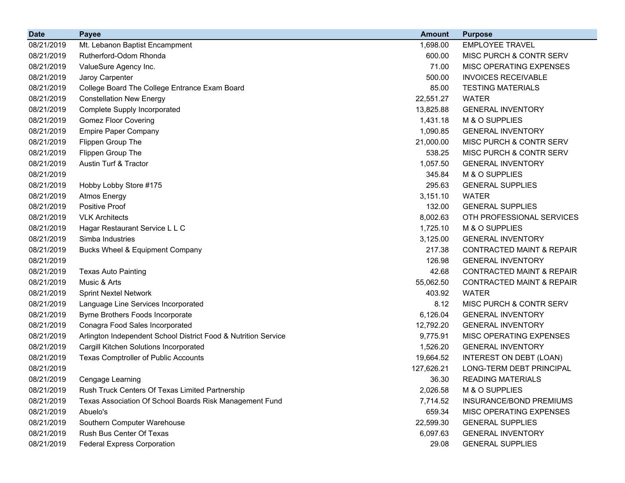| <b>Date</b> | <b>Payee</b>                                                   | <b>Amount</b> | <b>Purpose</b>                       |
|-------------|----------------------------------------------------------------|---------------|--------------------------------------|
| 08/21/2019  | Mt. Lebanon Baptist Encampment                                 | 1,698.00      | <b>EMPLOYEE TRAVEL</b>               |
| 08/21/2019  | Rutherford-Odom Rhonda                                         | 600.00        | MISC PURCH & CONTR SERV              |
| 08/21/2019  | ValueSure Agency Inc.                                          | 71.00         | MISC OPERATING EXPENSES              |
| 08/21/2019  | Jaroy Carpenter                                                | 500.00        | <b>INVOICES RECEIVABLE</b>           |
| 08/21/2019  | College Board The College Entrance Exam Board                  | 85.00         | <b>TESTING MATERIALS</b>             |
| 08/21/2019  | <b>Constellation New Energy</b>                                | 22,551.27     | <b>WATER</b>                         |
| 08/21/2019  | <b>Complete Supply Incorporated</b>                            | 13,825.88     | <b>GENERAL INVENTORY</b>             |
| 08/21/2019  | <b>Gomez Floor Covering</b>                                    | 1,431.18      | M & O SUPPLIES                       |
| 08/21/2019  | <b>Empire Paper Company</b>                                    | 1,090.85      | <b>GENERAL INVENTORY</b>             |
| 08/21/2019  | Flippen Group The                                              | 21,000.00     | MISC PURCH & CONTR SERV              |
| 08/21/2019  | Flippen Group The                                              | 538.25        | MISC PURCH & CONTR SERV              |
| 08/21/2019  | Austin Turf & Tractor                                          | 1,057.50      | <b>GENERAL INVENTORY</b>             |
| 08/21/2019  |                                                                | 345.84        | M & O SUPPLIES                       |
| 08/21/2019  | Hobby Lobby Store #175                                         | 295.63        | <b>GENERAL SUPPLIES</b>              |
| 08/21/2019  | <b>Atmos Energy</b>                                            | 3,151.10      | <b>WATER</b>                         |
| 08/21/2019  | <b>Positive Proof</b>                                          | 132.00        | <b>GENERAL SUPPLIES</b>              |
| 08/21/2019  | <b>VLK Architects</b>                                          | 8,002.63      | OTH PROFESSIONAL SERVICES            |
| 08/21/2019  | Hagar Restaurant Service L L C                                 | 1,725.10      | M & O SUPPLIES                       |
| 08/21/2019  | Simba Industries                                               | 3,125.00      | <b>GENERAL INVENTORY</b>             |
| 08/21/2019  | Bucks Wheel & Equipment Company                                | 217.38        | <b>CONTRACTED MAINT &amp; REPAIR</b> |
| 08/21/2019  |                                                                | 126.98        | <b>GENERAL INVENTORY</b>             |
| 08/21/2019  | <b>Texas Auto Painting</b>                                     | 42.68         | <b>CONTRACTED MAINT &amp; REPAIR</b> |
| 08/21/2019  | Music & Arts                                                   | 55,062.50     | <b>CONTRACTED MAINT &amp; REPAIR</b> |
| 08/21/2019  | <b>Sprint Nextel Network</b>                                   | 403.92        | <b>WATER</b>                         |
| 08/21/2019  | Language Line Services Incorporated                            | 8.12          | MISC PURCH & CONTR SERV              |
| 08/21/2019  | Byrne Brothers Foods Incorporate                               | 6,126.04      | <b>GENERAL INVENTORY</b>             |
| 08/21/2019  | Conagra Food Sales Incorporated                                | 12,792.20     | <b>GENERAL INVENTORY</b>             |
| 08/21/2019  | Arlington Independent School District Food & Nutrition Service | 9,775.91      | MISC OPERATING EXPENSES              |
| 08/21/2019  | Cargill Kitchen Solutions Incorporated                         | 1,526.20      | <b>GENERAL INVENTORY</b>             |
| 08/21/2019  | Texas Comptroller of Public Accounts                           | 19,664.52     | INTEREST ON DEBT (LOAN)              |
| 08/21/2019  |                                                                | 127,626.21    | LONG-TERM DEBT PRINCIPAL             |
| 08/21/2019  | Cengage Learning                                               | 36.30         | <b>READING MATERIALS</b>             |
| 08/21/2019  | Rush Truck Centers Of Texas Limited Partnership                | 2,026.58      | M & O SUPPLIES                       |
| 08/21/2019  | Texas Association Of School Boards Risk Management Fund        | 7,714.52      | INSURANCE/BOND PREMIUMS              |
| 08/21/2019  | Abuelo's                                                       | 659.34        | MISC OPERATING EXPENSES              |
| 08/21/2019  | Southern Computer Warehouse                                    | 22,599.30     | <b>GENERAL SUPPLIES</b>              |
| 08/21/2019  | Rush Bus Center Of Texas                                       | 6,097.63      | <b>GENERAL INVENTORY</b>             |
| 08/21/2019  | <b>Federal Express Corporation</b>                             | 29.08         | <b>GENERAL SUPPLIES</b>              |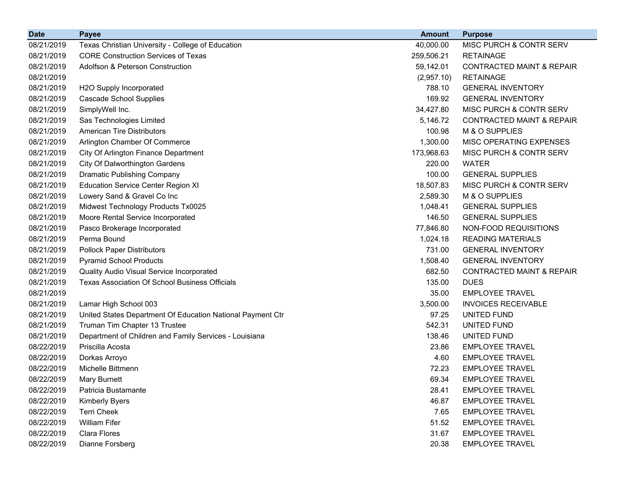| <b>Date</b> | <b>Payee</b>                                               | <b>Amount</b> | <b>Purpose</b>                       |
|-------------|------------------------------------------------------------|---------------|--------------------------------------|
| 08/21/2019  | Texas Christian University - College of Education          | 40,000.00     | MISC PURCH & CONTR SERV              |
| 08/21/2019  | <b>CORE Construction Services of Texas</b>                 | 259,506.21    | <b>RETAINAGE</b>                     |
| 08/21/2019  | <b>Adolfson &amp; Peterson Construction</b>                | 59,142.01     | <b>CONTRACTED MAINT &amp; REPAIR</b> |
| 08/21/2019  |                                                            | (2,957.10)    | <b>RETAINAGE</b>                     |
| 08/21/2019  | H2O Supply Incorporated                                    | 788.10        | <b>GENERAL INVENTORY</b>             |
| 08/21/2019  | <b>Cascade School Supplies</b>                             | 169.92        | <b>GENERAL INVENTORY</b>             |
| 08/21/2019  | SimplyWell Inc.                                            | 34,427.80     | MISC PURCH & CONTR SERV              |
| 08/21/2019  | Sas Technologies Limited                                   | 5,146.72      | <b>CONTRACTED MAINT &amp; REPAIR</b> |
| 08/21/2019  | <b>American Tire Distributors</b>                          | 100.98        | M & O SUPPLIES                       |
| 08/21/2019  | Arlington Chamber Of Commerce                              | 1,300.00      | MISC OPERATING EXPENSES              |
| 08/21/2019  | City Of Arlington Finance Department                       | 173,968.63    | MISC PURCH & CONTR SERV              |
| 08/21/2019  | <b>City Of Dalworthington Gardens</b>                      | 220.00        | <b>WATER</b>                         |
| 08/21/2019  | Dramatic Publishing Company                                | 100.00        | <b>GENERAL SUPPLIES</b>              |
| 08/21/2019  | <b>Education Service Center Region XI</b>                  | 18,507.83     | MISC PURCH & CONTR SERV              |
| 08/21/2019  | Lowery Sand & Gravel Co Inc                                | 2,589.30      | M & O SUPPLIES                       |
| 08/21/2019  | Midwest Technology Products Tx0025                         | 1,048.41      | <b>GENERAL SUPPLIES</b>              |
| 08/21/2019  | Moore Rental Service Incorporated                          | 146.50        | <b>GENERAL SUPPLIES</b>              |
| 08/21/2019  | Pasco Brokerage Incorporated                               | 77,846.80     | NON-FOOD REQUISITIONS                |
| 08/21/2019  | Perma Bound                                                | 1,024.18      | <b>READING MATERIALS</b>             |
| 08/21/2019  | <b>Pollock Paper Distributors</b>                          | 731.00        | <b>GENERAL INVENTORY</b>             |
| 08/21/2019  | <b>Pyramid School Products</b>                             | 1,508.40      | <b>GENERAL INVENTORY</b>             |
| 08/21/2019  | Quality Audio Visual Service Incorporated                  | 682.50        | <b>CONTRACTED MAINT &amp; REPAIR</b> |
| 08/21/2019  | <b>Texas Association Of School Business Officials</b>      | 135.00        | <b>DUES</b>                          |
| 08/21/2019  |                                                            | 35.00         | <b>EMPLOYEE TRAVEL</b>               |
| 08/21/2019  | Lamar High School 003                                      | 3,500.00      | <b>INVOICES RECEIVABLE</b>           |
| 08/21/2019  | United States Department Of Education National Payment Ctr | 97.25         | UNITED FUND                          |
| 08/21/2019  | Truman Tim Chapter 13 Trustee                              | 542.31        | UNITED FUND                          |
| 08/21/2019  | Department of Children and Family Services - Louisiana     | 138.46        | UNITED FUND                          |
| 08/22/2019  | Priscilla Acosta                                           | 23.86         | <b>EMPLOYEE TRAVEL</b>               |
| 08/22/2019  | Dorkas Arroyo                                              | 4.60          | <b>EMPLOYEE TRAVEL</b>               |
| 08/22/2019  | Michelle Bittmenn                                          | 72.23         | <b>EMPLOYEE TRAVEL</b>               |
| 08/22/2019  | Mary Burnett                                               | 69.34         | <b>EMPLOYEE TRAVEL</b>               |
| 08/22/2019  | Patricia Bustamante                                        | 28.41         | <b>EMPLOYEE TRAVEL</b>               |
| 08/22/2019  | <b>Kimberly Byers</b>                                      | 46.87         | <b>EMPLOYEE TRAVEL</b>               |
| 08/22/2019  | <b>Terri Cheek</b>                                         | 7.65          | <b>EMPLOYEE TRAVEL</b>               |
| 08/22/2019  | <b>William Fifer</b>                                       | 51.52         | <b>EMPLOYEE TRAVEL</b>               |
| 08/22/2019  | Clara Flores                                               | 31.67         | <b>EMPLOYEE TRAVEL</b>               |
| 08/22/2019  | Dianne Forsberg                                            | 20.38         | <b>EMPLOYEE TRAVEL</b>               |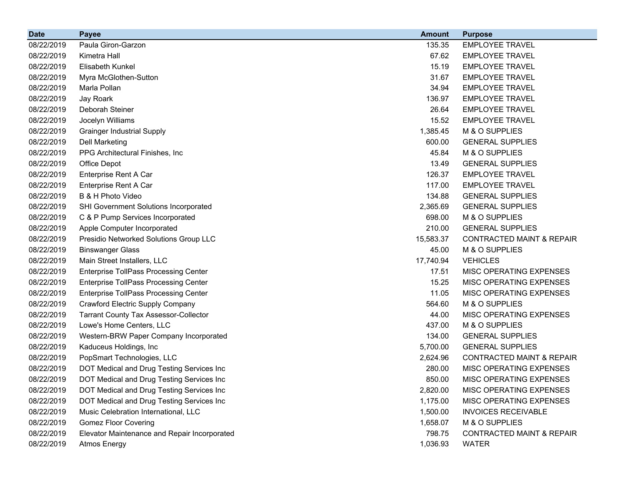| <b>Date</b> | <b>Payee</b>                                 | <b>Amount</b> | <b>Purpose</b>                       |
|-------------|----------------------------------------------|---------------|--------------------------------------|
| 08/22/2019  | Paula Giron-Garzon                           | 135.35        | <b>EMPLOYEE TRAVEL</b>               |
| 08/22/2019  | Kimetra Hall                                 | 67.62         | <b>EMPLOYEE TRAVEL</b>               |
| 08/22/2019  | Elisabeth Kunkel                             | 15.19         | <b>EMPLOYEE TRAVEL</b>               |
| 08/22/2019  | Myra McGlothen-Sutton                        | 31.67         | <b>EMPLOYEE TRAVEL</b>               |
| 08/22/2019  | Marla Pollan                                 | 34.94         | <b>EMPLOYEE TRAVEL</b>               |
| 08/22/2019  | Jay Roark                                    | 136.97        | <b>EMPLOYEE TRAVEL</b>               |
| 08/22/2019  | Deborah Steiner                              | 26.64         | <b>EMPLOYEE TRAVEL</b>               |
| 08/22/2019  | Jocelyn Williams                             | 15.52         | <b>EMPLOYEE TRAVEL</b>               |
| 08/22/2019  | <b>Grainger Industrial Supply</b>            | 1,385.45      | M & O SUPPLIES                       |
| 08/22/2019  | <b>Dell Marketing</b>                        | 600.00        | <b>GENERAL SUPPLIES</b>              |
| 08/22/2019  | PPG Architectural Finishes, Inc.             | 45.84         | M & O SUPPLIES                       |
| 08/22/2019  | Office Depot                                 | 13.49         | <b>GENERAL SUPPLIES</b>              |
| 08/22/2019  | Enterprise Rent A Car                        | 126.37        | <b>EMPLOYEE TRAVEL</b>               |
| 08/22/2019  | Enterprise Rent A Car                        | 117.00        | <b>EMPLOYEE TRAVEL</b>               |
| 08/22/2019  | B & H Photo Video                            | 134.88        | <b>GENERAL SUPPLIES</b>              |
| 08/22/2019  | SHI Government Solutions Incorporated        | 2,365.69      | <b>GENERAL SUPPLIES</b>              |
| 08/22/2019  | C & P Pump Services Incorporated             | 698.00        | M & O SUPPLIES                       |
| 08/22/2019  | Apple Computer Incorporated                  | 210.00        | <b>GENERAL SUPPLIES</b>              |
| 08/22/2019  | Presidio Networked Solutions Group LLC       | 15,583.37     | <b>CONTRACTED MAINT &amp; REPAIR</b> |
| 08/22/2019  | <b>Binswanger Glass</b>                      | 45.00         | M & O SUPPLIES                       |
| 08/22/2019  | Main Street Installers, LLC                  | 17,740.94     | <b>VEHICLES</b>                      |
| 08/22/2019  | <b>Enterprise TollPass Processing Center</b> | 17.51         | MISC OPERATING EXPENSES              |
| 08/22/2019  | <b>Enterprise TollPass Processing Center</b> | 15.25         | MISC OPERATING EXPENSES              |
| 08/22/2019  | <b>Enterprise TollPass Processing Center</b> | 11.05         | MISC OPERATING EXPENSES              |
| 08/22/2019  | <b>Crawford Electric Supply Company</b>      | 564.60        | M & O SUPPLIES                       |
| 08/22/2019  | <b>Tarrant County Tax Assessor-Collector</b> | 44.00         | MISC OPERATING EXPENSES              |
| 08/22/2019  | Lowe's Home Centers, LLC                     | 437.00        | M & O SUPPLIES                       |
| 08/22/2019  | Western-BRW Paper Company Incorporated       | 134.00        | <b>GENERAL SUPPLIES</b>              |
| 08/22/2019  | Kaduceus Holdings, Inc                       | 5,700.00      | <b>GENERAL SUPPLIES</b>              |
| 08/22/2019  | PopSmart Technologies, LLC                   | 2,624.96      | <b>CONTRACTED MAINT &amp; REPAIR</b> |
| 08/22/2019  | DOT Medical and Drug Testing Services Inc    | 280.00        | MISC OPERATING EXPENSES              |
| 08/22/2019  | DOT Medical and Drug Testing Services Inc    | 850.00        | <b>MISC OPERATING EXPENSES</b>       |
| 08/22/2019  | DOT Medical and Drug Testing Services Inc    | 2,820.00      | MISC OPERATING EXPENSES              |
| 08/22/2019  | DOT Medical and Drug Testing Services Inc    | 1,175.00      | MISC OPERATING EXPENSES              |
| 08/22/2019  | Music Celebration International, LLC         | 1,500.00      | <b>INVOICES RECEIVABLE</b>           |
| 08/22/2019  | <b>Gomez Floor Covering</b>                  | 1,658.07      | M & O SUPPLIES                       |
| 08/22/2019  | Elevator Maintenance and Repair Incorporated | 798.75        | CONTRACTED MAINT & REPAIR            |
| 08/22/2019  | <b>Atmos Energy</b>                          | 1,036.93      | <b>WATER</b>                         |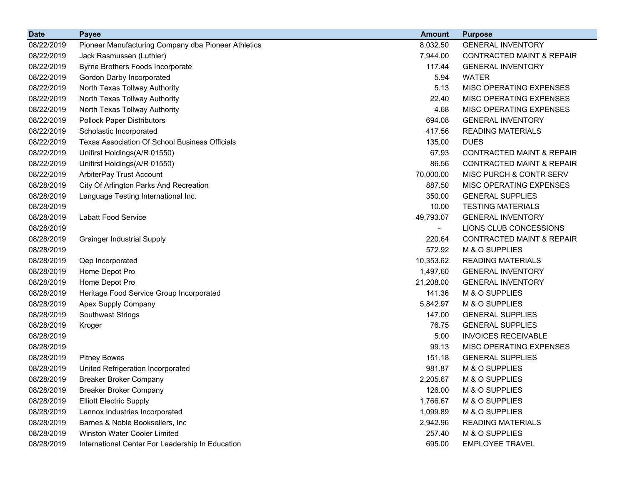| <b>Date</b> | <b>Payee</b>                                          | <b>Amount</b>            | <b>Purpose</b>                       |
|-------------|-------------------------------------------------------|--------------------------|--------------------------------------|
| 08/22/2019  | Pioneer Manufacturing Company dba Pioneer Athletics   | 8,032.50                 | <b>GENERAL INVENTORY</b>             |
| 08/22/2019  | Jack Rasmussen (Luthier)                              | 7,944.00                 | <b>CONTRACTED MAINT &amp; REPAIR</b> |
| 08/22/2019  | Byrne Brothers Foods Incorporate                      | 117.44                   | <b>GENERAL INVENTORY</b>             |
| 08/22/2019  | Gordon Darby Incorporated                             | 5.94                     | <b>WATER</b>                         |
| 08/22/2019  | North Texas Tollway Authority                         | 5.13                     | MISC OPERATING EXPENSES              |
| 08/22/2019  | North Texas Tollway Authority                         | 22.40                    | MISC OPERATING EXPENSES              |
| 08/22/2019  | North Texas Tollway Authority                         | 4.68                     | MISC OPERATING EXPENSES              |
| 08/22/2019  | <b>Pollock Paper Distributors</b>                     | 694.08                   | <b>GENERAL INVENTORY</b>             |
| 08/22/2019  | Scholastic Incorporated                               | 417.56                   | <b>READING MATERIALS</b>             |
| 08/22/2019  | <b>Texas Association Of School Business Officials</b> | 135.00                   | <b>DUES</b>                          |
| 08/22/2019  | Unifirst Holdings(A/R 01550)                          | 67.93                    | <b>CONTRACTED MAINT &amp; REPAIR</b> |
| 08/22/2019  | Unifirst Holdings(A/R 01550)                          | 86.56                    | <b>CONTRACTED MAINT &amp; REPAIR</b> |
| 08/22/2019  | ArbiterPay Trust Account                              | 70,000.00                | MISC PURCH & CONTR SERV              |
| 08/28/2019  | City Of Arlington Parks And Recreation                | 887.50                   | MISC OPERATING EXPENSES              |
| 08/28/2019  | Language Testing International Inc.                   | 350.00                   | <b>GENERAL SUPPLIES</b>              |
| 08/28/2019  |                                                       | 10.00                    | <b>TESTING MATERIALS</b>             |
| 08/28/2019  | <b>Labatt Food Service</b>                            | 49,793.07                | <b>GENERAL INVENTORY</b>             |
| 08/28/2019  |                                                       | $\overline{\phantom{a}}$ | LIONS CLUB CONCESSIONS               |
| 08/28/2019  | <b>Grainger Industrial Supply</b>                     | 220.64                   | <b>CONTRACTED MAINT &amp; REPAIR</b> |
| 08/28/2019  |                                                       | 572.92                   | M & O SUPPLIES                       |
| 08/28/2019  | Qep Incorporated                                      | 10,353.62                | <b>READING MATERIALS</b>             |
| 08/28/2019  | Home Depot Pro                                        | 1,497.60                 | <b>GENERAL INVENTORY</b>             |
| 08/28/2019  | Home Depot Pro                                        | 21,208.00                | <b>GENERAL INVENTORY</b>             |
| 08/28/2019  | Heritage Food Service Group Incorporated              | 141.36                   | M & O SUPPLIES                       |
| 08/28/2019  | Apex Supply Company                                   | 5,842.97                 | M & O SUPPLIES                       |
| 08/28/2019  | Southwest Strings                                     | 147.00                   | <b>GENERAL SUPPLIES</b>              |
| 08/28/2019  | Kroger                                                | 76.75                    | <b>GENERAL SUPPLIES</b>              |
| 08/28/2019  |                                                       | 5.00                     | <b>INVOICES RECEIVABLE</b>           |
| 08/28/2019  |                                                       | 99.13                    | MISC OPERATING EXPENSES              |
| 08/28/2019  | <b>Pitney Bowes</b>                                   | 151.18                   | <b>GENERAL SUPPLIES</b>              |
| 08/28/2019  | United Refrigeration Incorporated                     | 981.87                   | M & O SUPPLIES                       |
| 08/28/2019  | <b>Breaker Broker Company</b>                         | 2,205.67                 | M & O SUPPLIES                       |
| 08/28/2019  | <b>Breaker Broker Company</b>                         | 126.00                   | M & O SUPPLIES                       |
| 08/28/2019  | <b>Elliott Electric Supply</b>                        | 1,766.67                 | M & O SUPPLIES                       |
| 08/28/2019  | Lennox Industries Incorporated                        | 1,099.89                 | M & O SUPPLIES                       |
| 08/28/2019  | Barnes & Noble Booksellers, Inc.                      | 2,942.96                 | <b>READING MATERIALS</b>             |
| 08/28/2019  | <b>Winston Water Cooler Limited</b>                   | 257.40                   | M & O SUPPLIES                       |
| 08/28/2019  | International Center For Leadership In Education      | 695.00                   | <b>EMPLOYEE TRAVEL</b>               |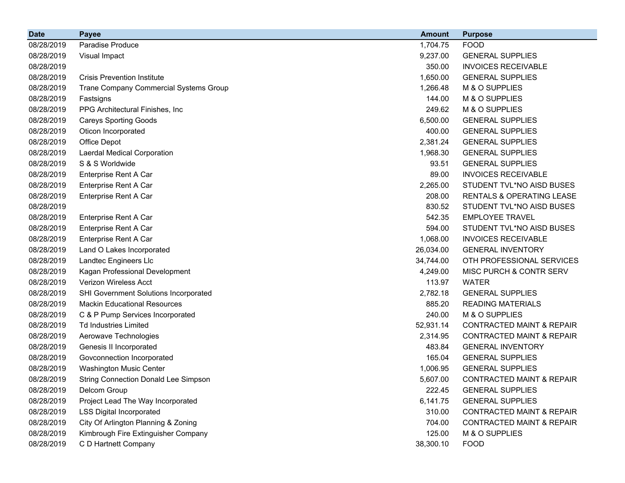| <b>Date</b> | <b>Payee</b>                                | <b>Amount</b> | <b>Purpose</b>                       |
|-------------|---------------------------------------------|---------------|--------------------------------------|
| 08/28/2019  | Paradise Produce                            | 1,704.75      | <b>FOOD</b>                          |
| 08/28/2019  | Visual Impact                               | 9,237.00      | <b>GENERAL SUPPLIES</b>              |
| 08/28/2019  |                                             | 350.00        | <b>INVOICES RECEIVABLE</b>           |
| 08/28/2019  | <b>Crisis Prevention Institute</b>          | 1,650.00      | <b>GENERAL SUPPLIES</b>              |
| 08/28/2019  | Trane Company Commercial Systems Group      | 1,266.48      | M & O SUPPLIES                       |
| 08/28/2019  | Fastsigns                                   | 144.00        | M & O SUPPLIES                       |
| 08/28/2019  | PPG Architectural Finishes, Inc             | 249.62        | M & O SUPPLIES                       |
| 08/28/2019  | <b>Careys Sporting Goods</b>                | 6,500.00      | <b>GENERAL SUPPLIES</b>              |
| 08/28/2019  | Oticon Incorporated                         | 400.00        | <b>GENERAL SUPPLIES</b>              |
| 08/28/2019  | Office Depot                                | 2,381.24      | <b>GENERAL SUPPLIES</b>              |
| 08/28/2019  | Laerdal Medical Corporation                 | 1,968.30      | <b>GENERAL SUPPLIES</b>              |
| 08/28/2019  | S & S Worldwide                             | 93.51         | <b>GENERAL SUPPLIES</b>              |
| 08/28/2019  | Enterprise Rent A Car                       | 89.00         | <b>INVOICES RECEIVABLE</b>           |
| 08/28/2019  | Enterprise Rent A Car                       | 2,265.00      | STUDENT TVL*NO AISD BUSES            |
| 08/28/2019  | Enterprise Rent A Car                       | 208.00        | RENTALS & OPERATING LEASE            |
| 08/28/2019  |                                             | 830.52        | STUDENT TVL*NO AISD BUSES            |
| 08/28/2019  | Enterprise Rent A Car                       | 542.35        | <b>EMPLOYEE TRAVEL</b>               |
| 08/28/2019  | Enterprise Rent A Car                       | 594.00        | STUDENT TVL*NO AISD BUSES            |
| 08/28/2019  | Enterprise Rent A Car                       | 1,068.00      | <b>INVOICES RECEIVABLE</b>           |
| 08/28/2019  | Land O Lakes Incorporated                   | 26,034.00     | <b>GENERAL INVENTORY</b>             |
| 08/28/2019  | Landtec Engineers Llc                       | 34,744.00     | OTH PROFESSIONAL SERVICES            |
| 08/28/2019  | Kagan Professional Development              | 4,249.00      | MISC PURCH & CONTR SERV              |
| 08/28/2019  | <b>Verizon Wireless Acct</b>                | 113.97        | <b>WATER</b>                         |
| 08/28/2019  | SHI Government Solutions Incorporated       | 2,782.18      | <b>GENERAL SUPPLIES</b>              |
| 08/28/2019  | <b>Mackin Educational Resources</b>         | 885.20        | <b>READING MATERIALS</b>             |
| 08/28/2019  | C & P Pump Services Incorporated            | 240.00        | M & O SUPPLIES                       |
| 08/28/2019  | <b>Td Industries Limited</b>                | 52,931.14     | <b>CONTRACTED MAINT &amp; REPAIR</b> |
| 08/28/2019  | Aerowave Technologies                       | 2,314.95      | <b>CONTRACTED MAINT &amp; REPAIR</b> |
| 08/28/2019  | Genesis II Incorporated                     | 483.84        | <b>GENERAL INVENTORY</b>             |
| 08/28/2019  | Govconnection Incorporated                  | 165.04        | <b>GENERAL SUPPLIES</b>              |
| 08/28/2019  | <b>Washington Music Center</b>              | 1,006.95      | <b>GENERAL SUPPLIES</b>              |
| 08/28/2019  | <b>String Connection Donald Lee Simpson</b> | 5,607.00      | <b>CONTRACTED MAINT &amp; REPAIR</b> |
| 08/28/2019  | Delcom Group                                | 222.45        | <b>GENERAL SUPPLIES</b>              |
| 08/28/2019  | Project Lead The Way Incorporated           | 6,141.75      | <b>GENERAL SUPPLIES</b>              |
| 08/28/2019  | <b>LSS Digital Incorporated</b>             | 310.00        | <b>CONTRACTED MAINT &amp; REPAIR</b> |
| 08/28/2019  | City Of Arlington Planning & Zoning         | 704.00        | <b>CONTRACTED MAINT &amp; REPAIR</b> |
| 08/28/2019  | Kimbrough Fire Extinguisher Company         | 125.00        | M & O SUPPLIES                       |
| 08/28/2019  | C D Hartnett Company                        | 38,300.10     | <b>FOOD</b>                          |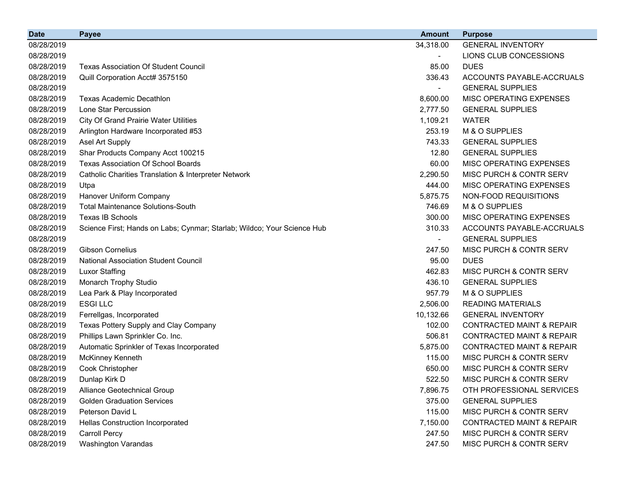| <b>Date</b> | <b>Payee</b>                                                            | <b>Amount</b> | <b>Purpose</b>                       |
|-------------|-------------------------------------------------------------------------|---------------|--------------------------------------|
| 08/28/2019  |                                                                         | 34,318.00     | <b>GENERAL INVENTORY</b>             |
| 08/28/2019  |                                                                         |               | LIONS CLUB CONCESSIONS               |
| 08/28/2019  | <b>Texas Association Of Student Council</b>                             | 85.00         | <b>DUES</b>                          |
| 08/28/2019  | Quill Corporation Acct# 3575150                                         | 336.43        | ACCOUNTS PAYABLE-ACCRUALS            |
| 08/28/2019  |                                                                         |               | <b>GENERAL SUPPLIES</b>              |
| 08/28/2019  | <b>Texas Academic Decathlon</b>                                         | 8,600.00      | MISC OPERATING EXPENSES              |
| 08/28/2019  | Lone Star Percussion                                                    | 2,777.50      | <b>GENERAL SUPPLIES</b>              |
| 08/28/2019  | <b>City Of Grand Prairie Water Utilities</b>                            | 1,109.21      | <b>WATER</b>                         |
| 08/28/2019  | Arlington Hardware Incorporated #53                                     | 253.19        | M & O SUPPLIES                       |
| 08/28/2019  | Asel Art Supply                                                         | 743.33        | <b>GENERAL SUPPLIES</b>              |
| 08/28/2019  | Shar Products Company Acct 100215                                       | 12.80         | <b>GENERAL SUPPLIES</b>              |
| 08/28/2019  | <b>Texas Association Of School Boards</b>                               | 60.00         | MISC OPERATING EXPENSES              |
| 08/28/2019  | Catholic Charities Translation & Interpreter Network                    | 2,290.50      | MISC PURCH & CONTR SERV              |
| 08/28/2019  | Utpa                                                                    | 444.00        | MISC OPERATING EXPENSES              |
| 08/28/2019  | Hanover Uniform Company                                                 | 5,875.75      | NON-FOOD REQUISITIONS                |
| 08/28/2019  | <b>Total Maintenance Solutions-South</b>                                | 746.69        | M & O SUPPLIES                       |
| 08/28/2019  | <b>Texas IB Schools</b>                                                 | 300.00        | MISC OPERATING EXPENSES              |
| 08/28/2019  | Science First; Hands on Labs; Cynmar; Starlab; Wildco; Your Science Hub | 310.33        | ACCOUNTS PAYABLE-ACCRUALS            |
| 08/28/2019  |                                                                         |               | <b>GENERAL SUPPLIES</b>              |
| 08/28/2019  | <b>Gibson Cornelius</b>                                                 | 247.50        | MISC PURCH & CONTR SERV              |
| 08/28/2019  | National Association Student Council                                    | 95.00         | <b>DUES</b>                          |
| 08/28/2019  | <b>Luxor Staffing</b>                                                   | 462.83        | MISC PURCH & CONTR SERV              |
| 08/28/2019  | Monarch Trophy Studio                                                   | 436.10        | <b>GENERAL SUPPLIES</b>              |
| 08/28/2019  | Lea Park & Play Incorporated                                            | 957.79        | M & O SUPPLIES                       |
| 08/28/2019  | <b>ESGILLC</b>                                                          | 2,506.00      | <b>READING MATERIALS</b>             |
| 08/28/2019  | Ferrellgas, Incorporated                                                | 10,132.66     | <b>GENERAL INVENTORY</b>             |
| 08/28/2019  | Texas Pottery Supply and Clay Company                                   | 102.00        | <b>CONTRACTED MAINT &amp; REPAIR</b> |
| 08/28/2019  | Phillips Lawn Sprinkler Co. Inc.                                        | 506.81        | <b>CONTRACTED MAINT &amp; REPAIR</b> |
| 08/28/2019  | Automatic Sprinkler of Texas Incorporated                               | 5,875.00      | <b>CONTRACTED MAINT &amp; REPAIR</b> |
| 08/28/2019  | <b>McKinney Kenneth</b>                                                 | 115.00        | MISC PURCH & CONTR SERV              |
| 08/28/2019  | Cook Christopher                                                        | 650.00        | MISC PURCH & CONTR SERV              |
| 08/28/2019  | Dunlap Kirk D                                                           | 522.50        | MISC PURCH & CONTR SERV              |
| 08/28/2019  | Alliance Geotechnical Group                                             | 7,896.75      | OTH PROFESSIONAL SERVICES            |
| 08/28/2019  | <b>Golden Graduation Services</b>                                       | 375.00        | <b>GENERAL SUPPLIES</b>              |
| 08/28/2019  | Peterson David L                                                        | 115.00        | MISC PURCH & CONTR SERV              |
| 08/28/2019  | Hellas Construction Incorporated                                        | 7,150.00      | <b>CONTRACTED MAINT &amp; REPAIR</b> |
| 08/28/2019  | <b>Carroll Percy</b>                                                    | 247.50        | MISC PURCH & CONTR SERV              |
| 08/28/2019  | <b>Washington Varandas</b>                                              | 247.50        | MISC PURCH & CONTR SERV              |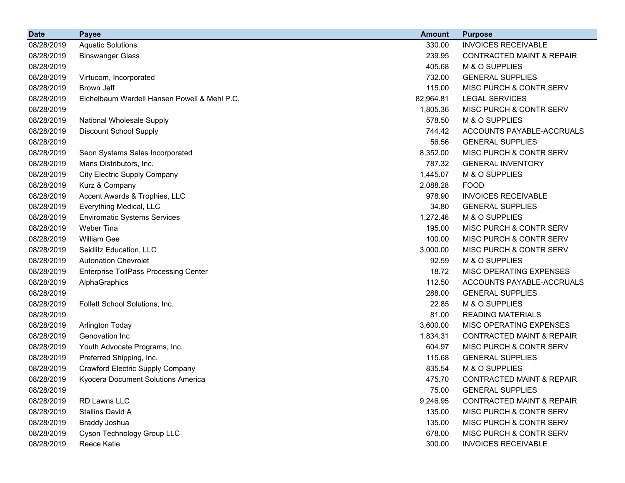| <b>Date</b> | <b>Payee</b>                                 | <b>Amount</b> | <b>Purpose</b>                       |
|-------------|----------------------------------------------|---------------|--------------------------------------|
| 08/28/2019  | <b>Aquatic Solutions</b>                     | 330.00        | <b>INVOICES RECEIVABLE</b>           |
| 08/28/2019  | <b>Binswanger Glass</b>                      | 239.95        | <b>CONTRACTED MAINT &amp; REPAIR</b> |
| 08/28/2019  |                                              | 405.68        | M & O SUPPLIES                       |
| 08/28/2019  | Virtucom, Incorporated                       | 732.00        | <b>GENERAL SUPPLIES</b>              |
| 08/28/2019  | Brown Jeff                                   | 115.00        | MISC PURCH & CONTR SERV              |
| 08/28/2019  | Eichelbaum Wardell Hansen Powell & Mehl P.C. | 82,964.81     | <b>LEGAL SERVICES</b>                |
| 08/28/2019  |                                              | 1,805.36      | MISC PURCH & CONTR SERV              |
| 08/28/2019  | <b>National Wholesale Supply</b>             | 578.50        | M & O SUPPLIES                       |
| 08/28/2019  | <b>Discount School Supply</b>                | 744.42        | ACCOUNTS PAYABLE-ACCRUALS            |
| 08/28/2019  |                                              | 56.56         | <b>GENERAL SUPPLIES</b>              |
| 08/28/2019  | Seon Systems Sales Incorporated              | 8,352.00      | MISC PURCH & CONTR SERV              |
| 08/28/2019  | Mans Distributors, Inc.                      | 787.32        | <b>GENERAL INVENTORY</b>             |
| 08/28/2019  | <b>City Electric Supply Company</b>          | 1,445.07      | M & O SUPPLIES                       |
| 08/28/2019  | Kurz & Company                               | 2,088.28      | <b>FOOD</b>                          |
| 08/28/2019  | Accent Awards & Trophies, LLC                | 978.90        | <b>INVOICES RECEIVABLE</b>           |
| 08/28/2019  | Everything Medical, LLC                      | 34.80         | <b>GENERAL SUPPLIES</b>              |
| 08/28/2019  | <b>Enviromatic Systems Services</b>          | 1,272.46      | M & O SUPPLIES                       |
| 08/28/2019  | Weber Tina                                   | 195.00        | MISC PURCH & CONTR SERV              |
| 08/28/2019  | <b>William Gee</b>                           | 100.00        | MISC PURCH & CONTR SERV              |
| 08/28/2019  | Seidlitz Education, LLC                      | 3,000.00      | MISC PURCH & CONTR SERV              |
| 08/28/2019  | <b>Autonation Chevrolet</b>                  | 92.59         | M & O SUPPLIES                       |
| 08/28/2019  | <b>Enterprise TollPass Processing Center</b> | 18.72         | MISC OPERATING EXPENSES              |
| 08/28/2019  | AlphaGraphics                                | 112.50        | ACCOUNTS PAYABLE-ACCRUALS            |
| 08/28/2019  |                                              | 288.00        | <b>GENERAL SUPPLIES</b>              |
| 08/28/2019  | Follett School Solutions, Inc.               | 22.85         | M & O SUPPLIES                       |
| 08/28/2019  |                                              | 81.00         | <b>READING MATERIALS</b>             |
| 08/28/2019  | <b>Arlington Today</b>                       | 3,600.00      | MISC OPERATING EXPENSES              |
| 08/28/2019  | Genovation Inc                               | 1,834.31      | <b>CONTRACTED MAINT &amp; REPAIR</b> |
| 08/28/2019  | Youth Advocate Programs, Inc.                | 604.97        | MISC PURCH & CONTR SERV              |
| 08/28/2019  | Preferred Shipping, Inc.                     | 115.68        | <b>GENERAL SUPPLIES</b>              |
| 08/28/2019  | Crawford Electric Supply Company             | 835.54        | M & O SUPPLIES                       |
| 08/28/2019  | Kyocera Document Solutions America           | 475.70        | <b>CONTRACTED MAINT &amp; REPAIR</b> |
| 08/28/2019  |                                              | 75.00         | <b>GENERAL SUPPLIES</b>              |
| 08/28/2019  | RD Lawns LLC                                 | 9,246.95      | <b>CONTRACTED MAINT &amp; REPAIR</b> |
| 08/28/2019  | Stallins David A                             | 135.00        | MISC PURCH & CONTR SERV              |
| 08/28/2019  | Braddy Joshua                                | 135.00        | MISC PURCH & CONTR SERV              |
| 08/28/2019  | Cyson Technology Group LLC                   | 678.00        | MISC PURCH & CONTR SERV              |
| 08/28/2019  | Reece Katie                                  | 300.00        | <b>INVOICES RECEIVABLE</b>           |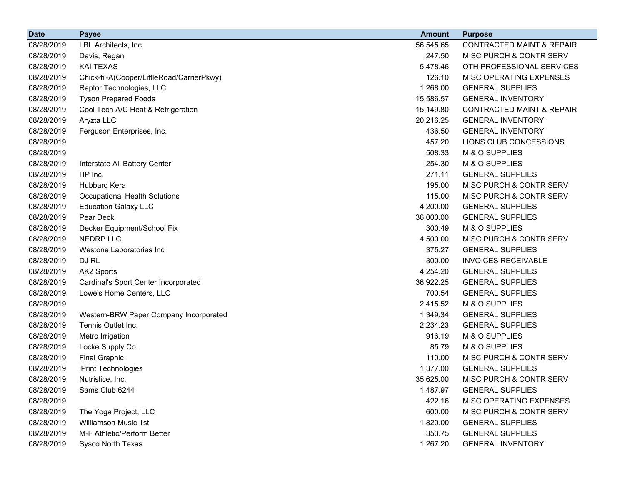| <b>Date</b> | <b>Payee</b>                               | <b>Amount</b> | <b>Purpose</b>                       |
|-------------|--------------------------------------------|---------------|--------------------------------------|
| 08/28/2019  | LBL Architects, Inc.                       | 56,545.65     | <b>CONTRACTED MAINT &amp; REPAIR</b> |
| 08/28/2019  | Davis, Regan                               | 247.50        | MISC PURCH & CONTR SERV              |
| 08/28/2019  | <b>KAI TEXAS</b>                           | 5,478.46      | OTH PROFESSIONAL SERVICES            |
| 08/28/2019  | Chick-fil-A(Cooper/LittleRoad/CarrierPkwy) | 126.10        | MISC OPERATING EXPENSES              |
| 08/28/2019  | Raptor Technologies, LLC                   | 1,268.00      | <b>GENERAL SUPPLIES</b>              |
| 08/28/2019  | <b>Tyson Prepared Foods</b>                | 15,586.57     | <b>GENERAL INVENTORY</b>             |
| 08/28/2019  | Cool Tech A/C Heat & Refrigeration         | 15,149.80     | <b>CONTRACTED MAINT &amp; REPAIR</b> |
| 08/28/2019  | Aryzta LLC                                 | 20,216.25     | <b>GENERAL INVENTORY</b>             |
| 08/28/2019  | Ferguson Enterprises, Inc.                 | 436.50        | <b>GENERAL INVENTORY</b>             |
| 08/28/2019  |                                            | 457.20        | LIONS CLUB CONCESSIONS               |
| 08/28/2019  |                                            | 508.33        | M & O SUPPLIES                       |
| 08/28/2019  | Interstate All Battery Center              | 254.30        | M & O SUPPLIES                       |
| 08/28/2019  | HP Inc.                                    | 271.11        | <b>GENERAL SUPPLIES</b>              |
| 08/28/2019  | <b>Hubbard Kera</b>                        | 195.00        | MISC PURCH & CONTR SERV              |
| 08/28/2019  | <b>Occupational Health Solutions</b>       | 115.00        | MISC PURCH & CONTR SERV              |
| 08/28/2019  | <b>Education Galaxy LLC</b>                | 4,200.00      | <b>GENERAL SUPPLIES</b>              |
| 08/28/2019  | Pear Deck                                  | 36,000.00     | <b>GENERAL SUPPLIES</b>              |
| 08/28/2019  | Decker Equipment/School Fix                | 300.49        | M & O SUPPLIES                       |
| 08/28/2019  | <b>NEDRP LLC</b>                           | 4,500.00      | <b>MISC PURCH &amp; CONTR SERV</b>   |
| 08/28/2019  | Westone Laboratories Inc                   | 375.27        | <b>GENERAL SUPPLIES</b>              |
| 08/28/2019  | DJ RL                                      | 300.00        | <b>INVOICES RECEIVABLE</b>           |
| 08/28/2019  | AK2 Sports                                 | 4,254.20      | <b>GENERAL SUPPLIES</b>              |
| 08/28/2019  | Cardinal's Sport Center Incorporated       | 36,922.25     | <b>GENERAL SUPPLIES</b>              |
| 08/28/2019  | Lowe's Home Centers, LLC                   | 700.54        | <b>GENERAL SUPPLIES</b>              |
| 08/28/2019  |                                            | 2,415.52      | M & O SUPPLIES                       |
| 08/28/2019  | Western-BRW Paper Company Incorporated     | 1,349.34      | <b>GENERAL SUPPLIES</b>              |
| 08/28/2019  | Tennis Outlet Inc.                         | 2,234.23      | <b>GENERAL SUPPLIES</b>              |
| 08/28/2019  | Metro Irrigation                           | 916.19        | M & O SUPPLIES                       |
| 08/28/2019  | Locke Supply Co.                           | 85.79         | M & O SUPPLIES                       |
| 08/28/2019  | <b>Final Graphic</b>                       | 110.00        | MISC PURCH & CONTR SERV              |
| 08/28/2019  | iPrint Technologies                        | 1,377.00      | <b>GENERAL SUPPLIES</b>              |
| 08/28/2019  | Nutrislice, Inc.                           | 35,625.00     | MISC PURCH & CONTR SERV              |
| 08/28/2019  | Sams Club 6244                             | 1,487.97      | <b>GENERAL SUPPLIES</b>              |
| 08/28/2019  |                                            | 422.16        | MISC OPERATING EXPENSES              |
| 08/28/2019  | The Yoga Project, LLC                      | 600.00        | MISC PURCH & CONTR SERV              |
| 08/28/2019  | <b>Williamson Music 1st</b>                | 1,820.00      | <b>GENERAL SUPPLIES</b>              |
| 08/28/2019  | M-F Athletic/Perform Better                | 353.75        | <b>GENERAL SUPPLIES</b>              |
| 08/28/2019  | Sysco North Texas                          | 1,267.20      | <b>GENERAL INVENTORY</b>             |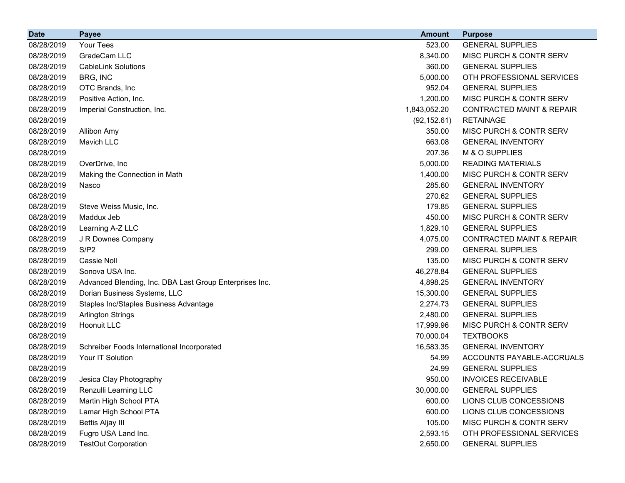| <b>Date</b> | <b>Payee</b>                                            | <b>Amount</b> | <b>Purpose</b>                       |
|-------------|---------------------------------------------------------|---------------|--------------------------------------|
| 08/28/2019  | Your Tees                                               | 523.00        | <b>GENERAL SUPPLIES</b>              |
| 08/28/2019  | GradeCam LLC                                            | 8,340.00      | MISC PURCH & CONTR SERV              |
| 08/28/2019  | <b>CableLink Solutions</b>                              | 360.00        | <b>GENERAL SUPPLIES</b>              |
| 08/28/2019  | BRG, INC                                                | 5,000.00      | OTH PROFESSIONAL SERVICES            |
| 08/28/2019  | OTC Brands, Inc.                                        | 952.04        | <b>GENERAL SUPPLIES</b>              |
| 08/28/2019  | Positive Action, Inc.                                   | 1,200.00      | MISC PURCH & CONTR SERV              |
| 08/28/2019  | Imperial Construction, Inc.                             | 1,843,052.20  | <b>CONTRACTED MAINT &amp; REPAIR</b> |
| 08/28/2019  |                                                         | (92, 152.61)  | <b>RETAINAGE</b>                     |
| 08/28/2019  | <b>Allibon Amy</b>                                      | 350.00        | <b>MISC PURCH &amp; CONTR SERV</b>   |
| 08/28/2019  | <b>Mavich LLC</b>                                       | 663.08        | <b>GENERAL INVENTORY</b>             |
| 08/28/2019  |                                                         | 207.36        | M & O SUPPLIES                       |
| 08/28/2019  | OverDrive, Inc                                          | 5,000.00      | <b>READING MATERIALS</b>             |
| 08/28/2019  | Making the Connection in Math                           | 1,400.00      | MISC PURCH & CONTR SERV              |
| 08/28/2019  | Nasco                                                   | 285.60        | <b>GENERAL INVENTORY</b>             |
| 08/28/2019  |                                                         | 270.62        | <b>GENERAL SUPPLIES</b>              |
| 08/28/2019  | Steve Weiss Music, Inc.                                 | 179.85        | <b>GENERAL SUPPLIES</b>              |
| 08/28/2019  | Maddux Jeb                                              | 450.00        | MISC PURCH & CONTR SERV              |
| 08/28/2019  | Learning A-Z LLC                                        | 1,829.10      | <b>GENERAL SUPPLIES</b>              |
| 08/28/2019  | J R Downes Company                                      | 4,075.00      | <b>CONTRACTED MAINT &amp; REPAIR</b> |
| 08/28/2019  | S/P2                                                    | 299.00        | <b>GENERAL SUPPLIES</b>              |
| 08/28/2019  | <b>Cassie Noll</b>                                      | 135.00        | MISC PURCH & CONTR SERV              |
| 08/28/2019  | Sonova USA Inc.                                         | 46,278.84     | <b>GENERAL SUPPLIES</b>              |
| 08/28/2019  | Advanced Blending, Inc. DBA Last Group Enterprises Inc. | 4,898.25      | <b>GENERAL INVENTORY</b>             |
| 08/28/2019  | Dorian Business Systems, LLC                            | 15,300.00     | <b>GENERAL SUPPLIES</b>              |
| 08/28/2019  | Staples Inc/Staples Business Advantage                  | 2,274.73      | <b>GENERAL SUPPLIES</b>              |
| 08/28/2019  | <b>Arlington Strings</b>                                | 2,480.00      | <b>GENERAL SUPPLIES</b>              |
| 08/28/2019  | <b>Hoonuit LLC</b>                                      | 17,999.96     | MISC PURCH & CONTR SERV              |
| 08/28/2019  |                                                         | 70,000.04     | <b>TEXTBOOKS</b>                     |
| 08/28/2019  | Schreiber Foods International Incorporated              | 16,583.35     | <b>GENERAL INVENTORY</b>             |
| 08/28/2019  | Your IT Solution                                        | 54.99         | ACCOUNTS PAYABLE-ACCRUALS            |
| 08/28/2019  |                                                         | 24.99         | <b>GENERAL SUPPLIES</b>              |
| 08/28/2019  | Jesica Clay Photography                                 | 950.00        | <b>INVOICES RECEIVABLE</b>           |
| 08/28/2019  | Renzulli Learning LLC                                   | 30,000.00     | <b>GENERAL SUPPLIES</b>              |
| 08/28/2019  | Martin High School PTA                                  | 600.00        | LIONS CLUB CONCESSIONS               |
| 08/28/2019  | Lamar High School PTA                                   | 600.00        | LIONS CLUB CONCESSIONS               |
| 08/28/2019  | <b>Bettis Aljay III</b>                                 | 105.00        | MISC PURCH & CONTR SERV              |
| 08/28/2019  | Fugro USA Land Inc.                                     | 2,593.15      | OTH PROFESSIONAL SERVICES            |
| 08/28/2019  | <b>TestOut Corporation</b>                              | 2,650.00      | <b>GENERAL SUPPLIES</b>              |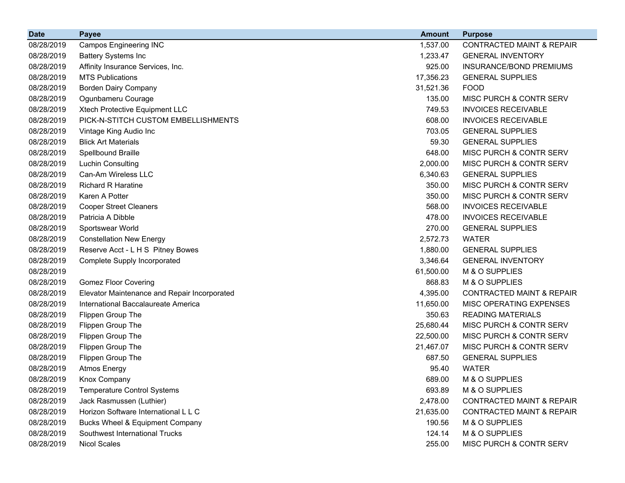| <b>Date</b> | <b>Payee</b>                                 | <b>Amount</b> | <b>Purpose</b>                       |
|-------------|----------------------------------------------|---------------|--------------------------------------|
| 08/28/2019  | <b>Campos Engineering INC</b>                | 1,537.00      | <b>CONTRACTED MAINT &amp; REPAIR</b> |
| 08/28/2019  | <b>Battery Systems Inc</b>                   | 1,233.47      | <b>GENERAL INVENTORY</b>             |
| 08/28/2019  | Affinity Insurance Services, Inc.            | 925.00        | <b>INSURANCE/BOND PREMIUMS</b>       |
| 08/28/2019  | <b>MTS Publications</b>                      | 17,356.23     | <b>GENERAL SUPPLIES</b>              |
| 08/28/2019  | <b>Borden Dairy Company</b>                  | 31,521.36     | <b>FOOD</b>                          |
| 08/28/2019  | Ogunbameru Courage                           | 135.00        | MISC PURCH & CONTR SERV              |
| 08/28/2019  | Xtech Protective Equipment LLC               | 749.53        | <b>INVOICES RECEIVABLE</b>           |
| 08/28/2019  | PICK-N-STITCH CUSTOM EMBELLISHMENTS          | 608.00        | <b>INVOICES RECEIVABLE</b>           |
| 08/28/2019  | Vintage King Audio Inc                       | 703.05        | <b>GENERAL SUPPLIES</b>              |
| 08/28/2019  | <b>Blick Art Materials</b>                   | 59.30         | <b>GENERAL SUPPLIES</b>              |
| 08/28/2019  | Spellbound Braille                           | 648.00        | MISC PURCH & CONTR SERV              |
| 08/28/2019  | <b>Luchin Consulting</b>                     | 2,000.00      | MISC PURCH & CONTR SERV              |
| 08/28/2019  | Can-Am Wireless LLC                          | 6,340.63      | <b>GENERAL SUPPLIES</b>              |
| 08/28/2019  | <b>Richard R Haratine</b>                    | 350.00        | MISC PURCH & CONTR SERV              |
| 08/28/2019  | Karen A Potter                               | 350.00        | MISC PURCH & CONTR SERV              |
| 08/28/2019  | <b>Cooper Street Cleaners</b>                | 568.00        | <b>INVOICES RECEIVABLE</b>           |
| 08/28/2019  | Patricia A Dibble                            | 478.00        | <b>INVOICES RECEIVABLE</b>           |
| 08/28/2019  | Sportswear World                             | 270.00        | <b>GENERAL SUPPLIES</b>              |
| 08/28/2019  | <b>Constellation New Energy</b>              | 2,572.73      | <b>WATER</b>                         |
| 08/28/2019  | Reserve Acct - L H S Pitney Bowes            | 1,880.00      | <b>GENERAL SUPPLIES</b>              |
| 08/28/2019  | <b>Complete Supply Incorporated</b>          | 3,346.64      | <b>GENERAL INVENTORY</b>             |
| 08/28/2019  |                                              | 61,500.00     | M & O SUPPLIES                       |
| 08/28/2019  | <b>Gomez Floor Covering</b>                  | 868.83        | M & O SUPPLIES                       |
| 08/28/2019  | Elevator Maintenance and Repair Incorporated | 4,395.00      | <b>CONTRACTED MAINT &amp; REPAIR</b> |
| 08/28/2019  | International Baccalaureate America          | 11,650.00     | MISC OPERATING EXPENSES              |
| 08/28/2019  | Flippen Group The                            | 350.63        | <b>READING MATERIALS</b>             |
| 08/28/2019  | Flippen Group The                            | 25,680.44     | MISC PURCH & CONTR SERV              |
| 08/28/2019  | Flippen Group The                            | 22,500.00     | MISC PURCH & CONTR SERV              |
| 08/28/2019  | Flippen Group The                            | 21,467.07     | MISC PURCH & CONTR SERV              |
| 08/28/2019  | Flippen Group The                            | 687.50        | <b>GENERAL SUPPLIES</b>              |
| 08/28/2019  | <b>Atmos Energy</b>                          | 95.40         | <b>WATER</b>                         |
| 08/28/2019  | Knox Company                                 | 689.00        | M & O SUPPLIES                       |
| 08/28/2019  | <b>Temperature Control Systems</b>           | 693.89        | M & O SUPPLIES                       |
| 08/28/2019  | Jack Rasmussen (Luthier)                     | 2,478.00      | <b>CONTRACTED MAINT &amp; REPAIR</b> |
| 08/28/2019  | Horizon Software International L L C         | 21,635.00     | <b>CONTRACTED MAINT &amp; REPAIR</b> |
| 08/28/2019  | <b>Bucks Wheel &amp; Equipment Company</b>   | 190.56        | M & O SUPPLIES                       |
| 08/28/2019  | Southwest International Trucks               | 124.14        | M & O SUPPLIES                       |
| 08/28/2019  | <b>Nicol Scales</b>                          | 255.00        | MISC PURCH & CONTR SERV              |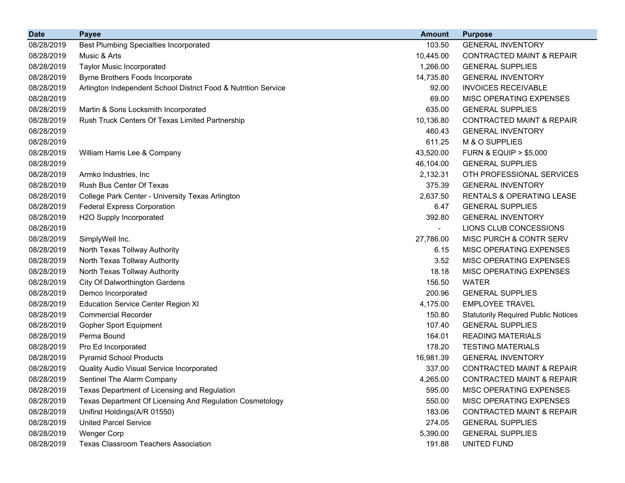| <b>Date</b> | <b>Payee</b>                                                   | <b>Amount</b> | <b>Purpose</b>                             |
|-------------|----------------------------------------------------------------|---------------|--------------------------------------------|
| 08/28/2019  | <b>Best Plumbing Specialties Incorporated</b>                  | 103.50        | <b>GENERAL INVENTORY</b>                   |
| 08/28/2019  | Music & Arts                                                   | 10,445.00     | <b>CONTRACTED MAINT &amp; REPAIR</b>       |
| 08/28/2019  | <b>Taylor Music Incorporated</b>                               | 1,266.00      | <b>GENERAL SUPPLIES</b>                    |
| 08/28/2019  | Byrne Brothers Foods Incorporate                               | 14,735.80     | <b>GENERAL INVENTORY</b>                   |
| 08/28/2019  | Arlington Independent School District Food & Nutrition Service | 92.00         | <b>INVOICES RECEIVABLE</b>                 |
| 08/28/2019  |                                                                | 69.00         | MISC OPERATING EXPENSES                    |
| 08/28/2019  | Martin & Sons Locksmith Incorporated                           | 635.00        | <b>GENERAL SUPPLIES</b>                    |
| 08/28/2019  | Rush Truck Centers Of Texas Limited Partnership                | 10,136.80     | CONTRACTED MAINT & REPAIR                  |
| 08/28/2019  |                                                                | 460.43        | <b>GENERAL INVENTORY</b>                   |
| 08/28/2019  |                                                                | 611.25        | M & O SUPPLIES                             |
| 08/28/2019  | William Harris Lee & Company                                   | 43,520.00     | <b>FURN &amp; EQUIP &gt; \$5,000</b>       |
| 08/28/2019  |                                                                | 46,104.00     | <b>GENERAL SUPPLIES</b>                    |
| 08/28/2019  | Armko Industries, Inc.                                         | 2,132.31      | OTH PROFESSIONAL SERVICES                  |
| 08/28/2019  | Rush Bus Center Of Texas                                       | 375.39        | <b>GENERAL INVENTORY</b>                   |
| 08/28/2019  | College Park Center - University Texas Arlington               | 2,637.50      | RENTALS & OPERATING LEASE                  |
| 08/28/2019  | <b>Federal Express Corporation</b>                             | 6.47          | <b>GENERAL SUPPLIES</b>                    |
| 08/28/2019  | H2O Supply Incorporated                                        | 392.80        | <b>GENERAL INVENTORY</b>                   |
| 08/28/2019  |                                                                |               | LIONS CLUB CONCESSIONS                     |
| 08/28/2019  | SimplyWell Inc.                                                | 27,786.00     | MISC PURCH & CONTR SERV                    |
| 08/28/2019  | North Texas Tollway Authority                                  | 6.15          | MISC OPERATING EXPENSES                    |
| 08/28/2019  | North Texas Tollway Authority                                  | 3.52          | MISC OPERATING EXPENSES                    |
| 08/28/2019  | North Texas Tollway Authority                                  | 18.18         | MISC OPERATING EXPENSES                    |
| 08/28/2019  | City Of Dalworthington Gardens                                 | 156.50        | <b>WATER</b>                               |
| 08/28/2019  | Demco Incorporated                                             | 200.96        | <b>GENERAL SUPPLIES</b>                    |
| 08/28/2019  | <b>Education Service Center Region XI</b>                      | 4,175.00      | <b>EMPLOYEE TRAVEL</b>                     |
| 08/28/2019  | <b>Commercial Recorder</b>                                     | 150.80        | <b>Statutorily Required Public Notices</b> |
| 08/28/2019  | <b>Gopher Sport Equipment</b>                                  | 107.40        | <b>GENERAL SUPPLIES</b>                    |
| 08/28/2019  | Perma Bound                                                    | 164.01        | <b>READING MATERIALS</b>                   |
| 08/28/2019  | Pro Ed Incorporated                                            | 178.20        | <b>TESTING MATERIALS</b>                   |
| 08/28/2019  | <b>Pyramid School Products</b>                                 | 16,981.39     | <b>GENERAL INVENTORY</b>                   |
| 08/28/2019  | Quality Audio Visual Service Incorporated                      | 337.00        | <b>CONTRACTED MAINT &amp; REPAIR</b>       |
| 08/28/2019  | Sentinel The Alarm Company                                     | 4,265.00      | CONTRACTED MAINT & REPAIR                  |
| 08/28/2019  | Texas Department of Licensing and Regulation                   | 595.00        | MISC OPERATING EXPENSES                    |
| 08/28/2019  | Texas Department Of Licensing And Regulation Cosmetology       | 550.00        | <b>MISC OPERATING EXPENSES</b>             |
| 08/28/2019  | Unifirst Holdings(A/R 01550)                                   | 183.06        | <b>CONTRACTED MAINT &amp; REPAIR</b>       |
| 08/28/2019  | <b>United Parcel Service</b>                                   | 274.05        | <b>GENERAL SUPPLIES</b>                    |
| 08/28/2019  | <b>Wenger Corp</b>                                             | 5,390.00      | <b>GENERAL SUPPLIES</b>                    |
| 08/28/2019  | <b>Texas Classroom Teachers Association</b>                    | 191.88        | UNITED FUND                                |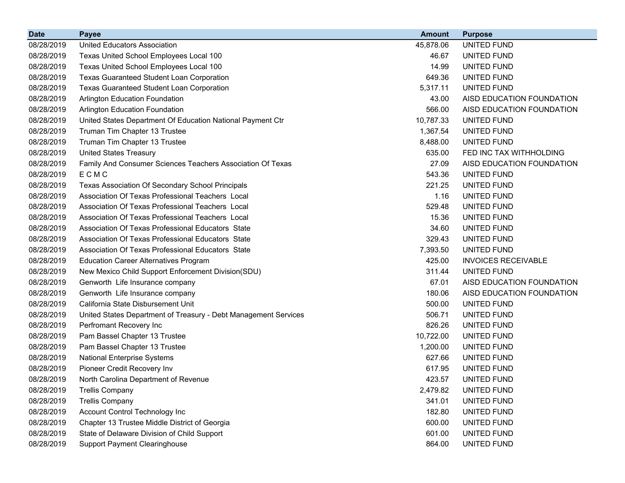| <b>Date</b> | <b>Payee</b>                                                    | <b>Amount</b> | <b>Purpose</b>             |
|-------------|-----------------------------------------------------------------|---------------|----------------------------|
| 08/28/2019  | <b>United Educators Association</b>                             | 45,878.06     | UNITED FUND                |
| 08/28/2019  | Texas United School Employees Local 100                         | 46.67         | UNITED FUND                |
| 08/28/2019  | Texas United School Employees Local 100                         | 14.99         | UNITED FUND                |
| 08/28/2019  | <b>Texas Guaranteed Student Loan Corporation</b>                | 649.36        | UNITED FUND                |
| 08/28/2019  | Texas Guaranteed Student Loan Corporation                       | 5,317.11      | UNITED FUND                |
| 08/28/2019  | Arlington Education Foundation                                  | 43.00         | AISD EDUCATION FOUNDATION  |
| 08/28/2019  | <b>Arlington Education Foundation</b>                           | 566.00        | AISD EDUCATION FOUNDATION  |
| 08/28/2019  | United States Department Of Education National Payment Ctr      | 10,787.33     | UNITED FUND                |
| 08/28/2019  | Truman Tim Chapter 13 Trustee                                   | 1,367.54      | <b>UNITED FUND</b>         |
| 08/28/2019  | Truman Tim Chapter 13 Trustee                                   | 8,488.00      | UNITED FUND                |
| 08/28/2019  | <b>United States Treasury</b>                                   | 635.00        | FED INC TAX WITHHOLDING    |
| 08/28/2019  | Family And Consumer Sciences Teachers Association Of Texas      | 27.09         | AISD EDUCATION FOUNDATION  |
| 08/28/2019  | ECMC                                                            | 543.36        | UNITED FUND                |
| 08/28/2019  | Texas Association Of Secondary School Principals                | 221.25        | UNITED FUND                |
| 08/28/2019  | Association Of Texas Professional Teachers Local                | 1.16          | UNITED FUND                |
| 08/28/2019  | Association Of Texas Professional Teachers Local                | 529.48        | UNITED FUND                |
| 08/28/2019  | Association Of Texas Professional Teachers Local                | 15.36         | UNITED FUND                |
| 08/28/2019  | Association Of Texas Professional Educators State               | 34.60         | UNITED FUND                |
| 08/28/2019  | Association Of Texas Professional Educators State               | 329.43        | <b>UNITED FUND</b>         |
| 08/28/2019  | Association Of Texas Professional Educators State               | 7,393.50      | UNITED FUND                |
| 08/28/2019  | <b>Education Career Alternatives Program</b>                    | 425.00        | <b>INVOICES RECEIVABLE</b> |
| 08/28/2019  | New Mexico Child Support Enforcement Division(SDU)              | 311.44        | UNITED FUND                |
| 08/28/2019  | Genworth Life Insurance company                                 | 67.01         | AISD EDUCATION FOUNDATION  |
| 08/28/2019  | Genworth Life Insurance company                                 | 180.06        | AISD EDUCATION FOUNDATION  |
| 08/28/2019  | California State Disbursement Unit                              | 500.00        | UNITED FUND                |
| 08/28/2019  | United States Department of Treasury - Debt Management Services | 506.71        | UNITED FUND                |
| 08/28/2019  | Perfromant Recovery Inc                                         | 826.26        | UNITED FUND                |
| 08/28/2019  | Pam Bassel Chapter 13 Trustee                                   | 10,722.00     | UNITED FUND                |
| 08/28/2019  | Pam Bassel Chapter 13 Trustee                                   | 1,200.00      | UNITED FUND                |
| 08/28/2019  | <b>National Enterprise Systems</b>                              | 627.66        | UNITED FUND                |
| 08/28/2019  | Pioneer Credit Recovery Inv                                     | 617.95        | UNITED FUND                |
| 08/28/2019  | North Carolina Department of Revenue                            | 423.57        | UNITED FUND                |
| 08/28/2019  | <b>Trellis Company</b>                                          | 2,479.82      | UNITED FUND                |
| 08/28/2019  | <b>Trellis Company</b>                                          | 341.01        | UNITED FUND                |
| 08/28/2019  | Account Control Technology Inc                                  | 182.80        | UNITED FUND                |
| 08/28/2019  | Chapter 13 Trustee Middle District of Georgia                   | 600.00        | UNITED FUND                |
| 08/28/2019  | State of Delaware Division of Child Support                     | 601.00        | UNITED FUND                |
| 08/28/2019  | <b>Support Payment Clearinghouse</b>                            | 864.00        | UNITED FUND                |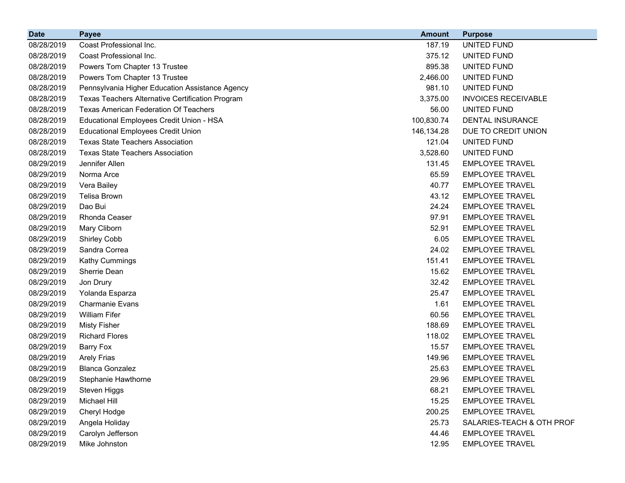| <b>Date</b> | <b>Payee</b>                                     | <b>Amount</b> | <b>Purpose</b>             |
|-------------|--------------------------------------------------|---------------|----------------------------|
| 08/28/2019  | Coast Professional Inc.                          | 187.19        | <b>UNITED FUND</b>         |
| 08/28/2019  | Coast Professional Inc.                          | 375.12        | UNITED FUND                |
| 08/28/2019  | Powers Tom Chapter 13 Trustee                    | 895.38        | UNITED FUND                |
| 08/28/2019  | Powers Tom Chapter 13 Trustee                    | 2,466.00      | <b>UNITED FUND</b>         |
| 08/28/2019  | Pennsylvania Higher Education Assistance Agency  | 981.10        | <b>UNITED FUND</b>         |
| 08/28/2019  | Texas Teachers Alternative Certification Program | 3,375.00      | <b>INVOICES RECEIVABLE</b> |
| 08/28/2019  | <b>Texas American Federation Of Teachers</b>     | 56.00         | UNITED FUND                |
| 08/28/2019  | Educational Employees Credit Union - HSA         | 100,830.74    | DENTAL INSURANCE           |
| 08/28/2019  | <b>Educational Employees Credit Union</b>        | 146,134.28    | DUE TO CREDIT UNION        |
| 08/28/2019  | <b>Texas State Teachers Association</b>          | 121.04        | UNITED FUND                |
| 08/28/2019  | <b>Texas State Teachers Association</b>          | 3,528.60      | UNITED FUND                |
| 08/29/2019  | Jennifer Allen                                   | 131.45        | <b>EMPLOYEE TRAVEL</b>     |
| 08/29/2019  | Norma Arce                                       | 65.59         | <b>EMPLOYEE TRAVEL</b>     |
| 08/29/2019  | Vera Bailey                                      | 40.77         | <b>EMPLOYEE TRAVEL</b>     |
| 08/29/2019  | Telisa Brown                                     | 43.12         | <b>EMPLOYEE TRAVEL</b>     |
| 08/29/2019  | Dao Bui                                          | 24.24         | <b>EMPLOYEE TRAVEL</b>     |
| 08/29/2019  | Rhonda Ceaser                                    | 97.91         | <b>EMPLOYEE TRAVEL</b>     |
| 08/29/2019  | Mary Cliborn                                     | 52.91         | <b>EMPLOYEE TRAVEL</b>     |
| 08/29/2019  | <b>Shirley Cobb</b>                              | 6.05          | <b>EMPLOYEE TRAVEL</b>     |
| 08/29/2019  | Sandra Correa                                    | 24.02         | <b>EMPLOYEE TRAVEL</b>     |
| 08/29/2019  | Kathy Cummings                                   | 151.41        | <b>EMPLOYEE TRAVEL</b>     |
| 08/29/2019  | Sherrie Dean                                     | 15.62         | <b>EMPLOYEE TRAVEL</b>     |
| 08/29/2019  | Jon Drury                                        | 32.42         | <b>EMPLOYEE TRAVEL</b>     |
| 08/29/2019  | Yolanda Esparza                                  | 25.47         | <b>EMPLOYEE TRAVEL</b>     |
| 08/29/2019  | <b>Charmanie Evans</b>                           | 1.61          | <b>EMPLOYEE TRAVEL</b>     |
| 08/29/2019  | <b>William Fifer</b>                             | 60.56         | <b>EMPLOYEE TRAVEL</b>     |
| 08/29/2019  | <b>Misty Fisher</b>                              | 188.69        | <b>EMPLOYEE TRAVEL</b>     |
| 08/29/2019  | <b>Richard Flores</b>                            | 118.02        | <b>EMPLOYEE TRAVEL</b>     |
| 08/29/2019  | <b>Barry Fox</b>                                 | 15.57         | <b>EMPLOYEE TRAVEL</b>     |
| 08/29/2019  | <b>Arely Frias</b>                               | 149.96        | <b>EMPLOYEE TRAVEL</b>     |
| 08/29/2019  | <b>Blanca Gonzalez</b>                           | 25.63         | <b>EMPLOYEE TRAVEL</b>     |
| 08/29/2019  | Stephanie Hawthorne                              | 29.96         | <b>EMPLOYEE TRAVEL</b>     |
| 08/29/2019  | Steven Higgs                                     | 68.21         | <b>EMPLOYEE TRAVEL</b>     |
| 08/29/2019  | Michael Hill                                     | 15.25         | <b>EMPLOYEE TRAVEL</b>     |
| 08/29/2019  | Cheryl Hodge                                     | 200.25        | <b>EMPLOYEE TRAVEL</b>     |
| 08/29/2019  | Angela Holiday                                   | 25.73         | SALARIES-TEACH & OTH PROF  |
| 08/29/2019  | Carolyn Jefferson                                | 44.46         | <b>EMPLOYEE TRAVEL</b>     |
| 08/29/2019  | Mike Johnston                                    | 12.95         | <b>EMPLOYEE TRAVEL</b>     |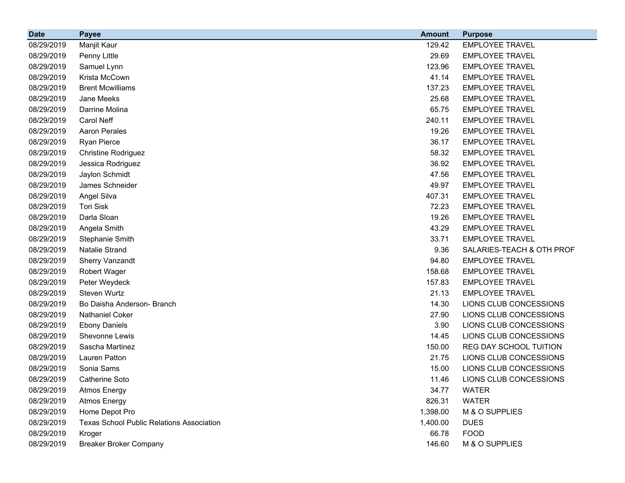| <b>Date</b> | <b>Payee</b>                                     | <b>Amount</b> | <b>Purpose</b>            |
|-------------|--------------------------------------------------|---------------|---------------------------|
| 08/29/2019  | Manjit Kaur                                      | 129.42        | <b>EMPLOYEE TRAVEL</b>    |
| 08/29/2019  | Penny Little                                     | 29.69         | <b>EMPLOYEE TRAVEL</b>    |
| 08/29/2019  | Samuel Lynn                                      | 123.96        | <b>EMPLOYEE TRAVEL</b>    |
| 08/29/2019  | Krista McCown                                    | 41.14         | <b>EMPLOYEE TRAVEL</b>    |
| 08/29/2019  | <b>Brent Mcwilliams</b>                          | 137.23        | <b>EMPLOYEE TRAVEL</b>    |
| 08/29/2019  | Jane Meeks                                       | 25.68         | <b>EMPLOYEE TRAVEL</b>    |
| 08/29/2019  | Darrine Molina                                   | 65.75         | <b>EMPLOYEE TRAVEL</b>    |
| 08/29/2019  | Carol Neff                                       | 240.11        | <b>EMPLOYEE TRAVEL</b>    |
| 08/29/2019  | <b>Aaron Perales</b>                             | 19.26         | <b>EMPLOYEE TRAVEL</b>    |
| 08/29/2019  | Ryan Pierce                                      | 36.17         | <b>EMPLOYEE TRAVEL</b>    |
| 08/29/2019  | <b>Christine Rodriguez</b>                       | 58.32         | <b>EMPLOYEE TRAVEL</b>    |
| 08/29/2019  | Jessica Rodriguez                                | 36.92         | <b>EMPLOYEE TRAVEL</b>    |
| 08/29/2019  | Jaylon Schmidt                                   | 47.56         | <b>EMPLOYEE TRAVEL</b>    |
| 08/29/2019  | James Schneider                                  | 49.97         | <b>EMPLOYEE TRAVEL</b>    |
| 08/29/2019  | Angel Silva                                      | 407.31        | <b>EMPLOYEE TRAVEL</b>    |
| 08/29/2019  | <b>Tori Sisk</b>                                 | 72.23         | <b>EMPLOYEE TRAVEL</b>    |
| 08/29/2019  | Darla Sloan                                      | 19.26         | <b>EMPLOYEE TRAVEL</b>    |
| 08/29/2019  | Angela Smith                                     | 43.29         | <b>EMPLOYEE TRAVEL</b>    |
| 08/29/2019  | Stephanie Smith                                  | 33.71         | <b>EMPLOYEE TRAVEL</b>    |
| 08/29/2019  | Natalie Strand                                   | 9.36          | SALARIES-TEACH & OTH PROF |
| 08/29/2019  | <b>Sherry Vanzandt</b>                           | 94.80         | <b>EMPLOYEE TRAVEL</b>    |
| 08/29/2019  | <b>Robert Wager</b>                              | 158.68        | <b>EMPLOYEE TRAVEL</b>    |
| 08/29/2019  | Peter Weydeck                                    | 157.83        | <b>EMPLOYEE TRAVEL</b>    |
| 08/29/2019  | Steven Wurtz                                     | 21.13         | <b>EMPLOYEE TRAVEL</b>    |
| 08/29/2019  | Bo Daisha Anderson- Branch                       | 14.30         | LIONS CLUB CONCESSIONS    |
| 08/29/2019  | Nathaniel Coker                                  | 27.90         | LIONS CLUB CONCESSIONS    |
| 08/29/2019  | <b>Ebony Daniels</b>                             | 3.90          | LIONS CLUB CONCESSIONS    |
| 08/29/2019  | Shevonne Lewis                                   | 14.45         | LIONS CLUB CONCESSIONS    |
| 08/29/2019  | Sascha Martinez                                  | 150.00        | REG DAY SCHOOL TUITION    |
| 08/29/2019  | Lauren Patton                                    | 21.75         | LIONS CLUB CONCESSIONS    |
| 08/29/2019  | Sonia Sams                                       | 15.00         | LIONS CLUB CONCESSIONS    |
| 08/29/2019  | Catherine Soto                                   | 11.46         | LIONS CLUB CONCESSIONS    |
| 08/29/2019  | <b>Atmos Energy</b>                              | 34.77         | <b>WATER</b>              |
| 08/29/2019  | <b>Atmos Energy</b>                              | 826.31        | <b>WATER</b>              |
| 08/29/2019  | Home Depot Pro                                   | 1,398.00      | M & O SUPPLIES            |
| 08/29/2019  | <b>Texas School Public Relations Association</b> | 1,400.00      | <b>DUES</b>               |
| 08/29/2019  | Kroger                                           | 66.78         | <b>FOOD</b>               |
| 08/29/2019  | <b>Breaker Broker Company</b>                    | 146.60        | M & O SUPPLIES            |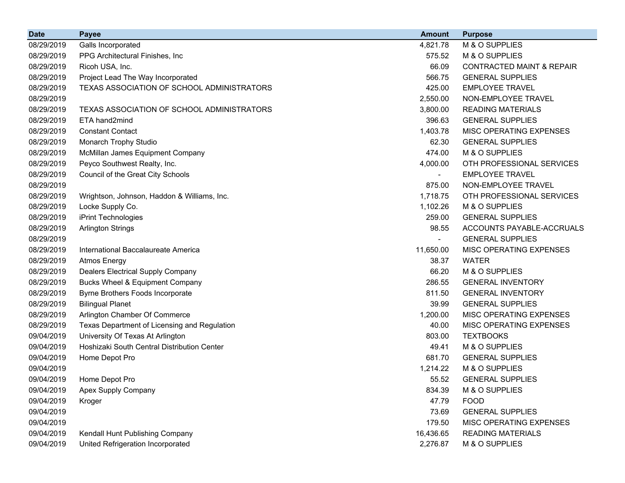| <b>Date</b> | <b>Payee</b>                                 | <b>Amount</b>            | <b>Purpose</b>                       |
|-------------|----------------------------------------------|--------------------------|--------------------------------------|
| 08/29/2019  | Galls Incorporated                           | 4,821.78                 | M & O SUPPLIES                       |
| 08/29/2019  | PPG Architectural Finishes, Inc.             | 575.52                   | M & O SUPPLIES                       |
| 08/29/2019  | Ricoh USA, Inc.                              | 66.09                    | <b>CONTRACTED MAINT &amp; REPAIR</b> |
| 08/29/2019  | Project Lead The Way Incorporated            | 566.75                   | <b>GENERAL SUPPLIES</b>              |
| 08/29/2019  | TEXAS ASSOCIATION OF SCHOOL ADMINISTRATORS   | 425.00                   | <b>EMPLOYEE TRAVEL</b>               |
| 08/29/2019  |                                              | 2,550.00                 | NON-EMPLOYEE TRAVEL                  |
| 08/29/2019  | TEXAS ASSOCIATION OF SCHOOL ADMINISTRATORS   | 3,800.00                 | <b>READING MATERIALS</b>             |
| 08/29/2019  | ETA hand2mind                                | 396.63                   | <b>GENERAL SUPPLIES</b>              |
| 08/29/2019  | <b>Constant Contact</b>                      | 1,403.78                 | MISC OPERATING EXPENSES              |
| 08/29/2019  | <b>Monarch Trophy Studio</b>                 | 62.30                    | <b>GENERAL SUPPLIES</b>              |
| 08/29/2019  | McMillan James Equipment Company             | 474.00                   | M & O SUPPLIES                       |
| 08/29/2019  | Peyco Southwest Realty, Inc.                 | 4,000.00                 | OTH PROFESSIONAL SERVICES            |
| 08/29/2019  | Council of the Great City Schools            | $\blacksquare$           | <b>EMPLOYEE TRAVEL</b>               |
| 08/29/2019  |                                              | 875.00                   | NON-EMPLOYEE TRAVEL                  |
| 08/29/2019  | Wrightson, Johnson, Haddon & Williams, Inc.  | 1,718.75                 | OTH PROFESSIONAL SERVICES            |
| 08/29/2019  | Locke Supply Co.                             | 1,102.26                 | M & O SUPPLIES                       |
| 08/29/2019  | iPrint Technologies                          | 259.00                   | <b>GENERAL SUPPLIES</b>              |
| 08/29/2019  | <b>Arlington Strings</b>                     | 98.55                    | ACCOUNTS PAYABLE-ACCRUALS            |
| 08/29/2019  |                                              | $\overline{\phantom{a}}$ | <b>GENERAL SUPPLIES</b>              |
| 08/29/2019  | International Baccalaureate America          | 11,650.00                | MISC OPERATING EXPENSES              |
| 08/29/2019  | <b>Atmos Energy</b>                          | 38.37                    | <b>WATER</b>                         |
| 08/29/2019  | Dealers Electrical Supply Company            | 66.20                    | M & O SUPPLIES                       |
| 08/29/2019  | Bucks Wheel & Equipment Company              | 286.55                   | <b>GENERAL INVENTORY</b>             |
| 08/29/2019  | Byrne Brothers Foods Incorporate             | 811.50                   | <b>GENERAL INVENTORY</b>             |
| 08/29/2019  | <b>Bilingual Planet</b>                      | 39.99                    | <b>GENERAL SUPPLIES</b>              |
| 08/29/2019  | Arlington Chamber Of Commerce                | 1,200.00                 | MISC OPERATING EXPENSES              |
| 08/29/2019  | Texas Department of Licensing and Regulation | 40.00                    | MISC OPERATING EXPENSES              |
| 09/04/2019  | University Of Texas At Arlington             | 803.00                   | <b>TEXTBOOKS</b>                     |
| 09/04/2019  | Hoshizaki South Central Distribution Center  | 49.41                    | M & O SUPPLIES                       |
| 09/04/2019  | Home Depot Pro                               | 681.70                   | <b>GENERAL SUPPLIES</b>              |
| 09/04/2019  |                                              | 1,214.22                 | M & O SUPPLIES                       |
| 09/04/2019  | Home Depot Pro                               | 55.52                    | <b>GENERAL SUPPLIES</b>              |
| 09/04/2019  | Apex Supply Company                          | 834.39                   | M & O SUPPLIES                       |
| 09/04/2019  | Kroger                                       | 47.79                    | <b>FOOD</b>                          |
| 09/04/2019  |                                              | 73.69                    | <b>GENERAL SUPPLIES</b>              |
| 09/04/2019  |                                              | 179.50                   | MISC OPERATING EXPENSES              |
| 09/04/2019  | Kendall Hunt Publishing Company              | 16,436.65                | <b>READING MATERIALS</b>             |
| 09/04/2019  | United Refrigeration Incorporated            | 2,276.87                 | M & O SUPPLIES                       |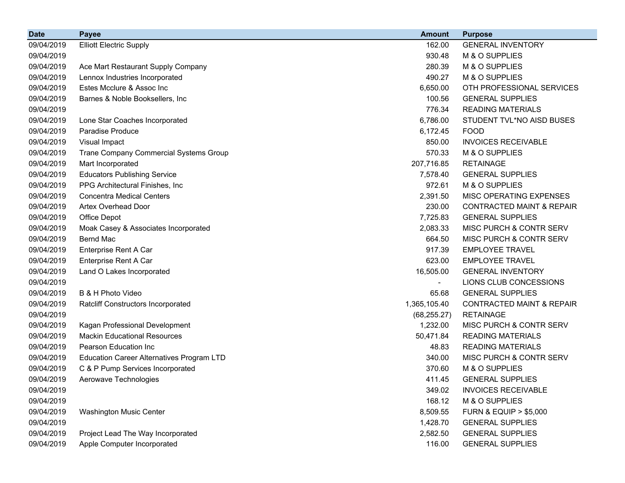| <b>Date</b> | <b>Payee</b>                                     | <b>Amount</b> | <b>Purpose</b>                       |
|-------------|--------------------------------------------------|---------------|--------------------------------------|
| 09/04/2019  | <b>Elliott Electric Supply</b>                   | 162.00        | <b>GENERAL INVENTORY</b>             |
| 09/04/2019  |                                                  | 930.48        | M & O SUPPLIES                       |
| 09/04/2019  | Ace Mart Restaurant Supply Company               | 280.39        | M & O SUPPLIES                       |
| 09/04/2019  | Lennox Industries Incorporated                   | 490.27        | M & O SUPPLIES                       |
| 09/04/2019  | Estes Mcclure & Assoc Inc                        | 6,650.00      | OTH PROFESSIONAL SERVICES            |
| 09/04/2019  | Barnes & Noble Booksellers, Inc                  | 100.56        | <b>GENERAL SUPPLIES</b>              |
| 09/04/2019  |                                                  | 776.34        | <b>READING MATERIALS</b>             |
| 09/04/2019  | Lone Star Coaches Incorporated                   | 6,786.00      | STUDENT TVL*NO AISD BUSES            |
| 09/04/2019  | Paradise Produce                                 | 6,172.45      | <b>FOOD</b>                          |
| 09/04/2019  | Visual Impact                                    | 850.00        | <b>INVOICES RECEIVABLE</b>           |
| 09/04/2019  | Trane Company Commercial Systems Group           | 570.33        | M & O SUPPLIES                       |
| 09/04/2019  | Mart Incorporated                                | 207,716.85    | <b>RETAINAGE</b>                     |
| 09/04/2019  | <b>Educators Publishing Service</b>              | 7,578.40      | <b>GENERAL SUPPLIES</b>              |
| 09/04/2019  | PPG Architectural Finishes, Inc.                 | 972.61        | M & O SUPPLIES                       |
| 09/04/2019  | <b>Concentra Medical Centers</b>                 | 2,391.50      | MISC OPERATING EXPENSES              |
| 09/04/2019  | <b>Artex Overhead Door</b>                       | 230.00        | <b>CONTRACTED MAINT &amp; REPAIR</b> |
| 09/04/2019  | Office Depot                                     | 7,725.83      | <b>GENERAL SUPPLIES</b>              |
| 09/04/2019  | Moak Casey & Associates Incorporated             | 2,083.33      | MISC PURCH & CONTR SERV              |
| 09/04/2019  | <b>Bernd Mac</b>                                 | 664.50        | MISC PURCH & CONTR SERV              |
| 09/04/2019  | Enterprise Rent A Car                            | 917.39        | <b>EMPLOYEE TRAVEL</b>               |
| 09/04/2019  | Enterprise Rent A Car                            | 623.00        | <b>EMPLOYEE TRAVEL</b>               |
| 09/04/2019  | Land O Lakes Incorporated                        | 16,505.00     | <b>GENERAL INVENTORY</b>             |
| 09/04/2019  |                                                  |               | LIONS CLUB CONCESSIONS               |
| 09/04/2019  | B & H Photo Video                                | 65.68         | <b>GENERAL SUPPLIES</b>              |
| 09/04/2019  | <b>Ratcliff Constructors Incorporated</b>        | 1,365,105.40  | <b>CONTRACTED MAINT &amp; REPAIR</b> |
| 09/04/2019  |                                                  | (68, 255.27)  | <b>RETAINAGE</b>                     |
| 09/04/2019  | Kagan Professional Development                   | 1,232.00      | MISC PURCH & CONTR SERV              |
| 09/04/2019  | <b>Mackin Educational Resources</b>              | 50,471.84     | <b>READING MATERIALS</b>             |
| 09/04/2019  | <b>Pearson Education Inc.</b>                    | 48.83         | <b>READING MATERIALS</b>             |
| 09/04/2019  | <b>Education Career Alternatives Program LTD</b> | 340.00        | MISC PURCH & CONTR SERV              |
| 09/04/2019  | C & P Pump Services Incorporated                 | 370.60        | M & O SUPPLIES                       |
| 09/04/2019  | Aerowave Technologies                            | 411.45        | <b>GENERAL SUPPLIES</b>              |
| 09/04/2019  |                                                  | 349.02        | <b>INVOICES RECEIVABLE</b>           |
| 09/04/2019  |                                                  | 168.12        | M & O SUPPLIES                       |
| 09/04/2019  | Washington Music Center                          | 8,509.55      | <b>FURN &amp; EQUIP &gt; \$5,000</b> |
| 09/04/2019  |                                                  | 1,428.70      | <b>GENERAL SUPPLIES</b>              |
| 09/04/2019  | Project Lead The Way Incorporated                | 2,582.50      | <b>GENERAL SUPPLIES</b>              |
| 09/04/2019  | Apple Computer Incorporated                      | 116.00        | <b>GENERAL SUPPLIES</b>              |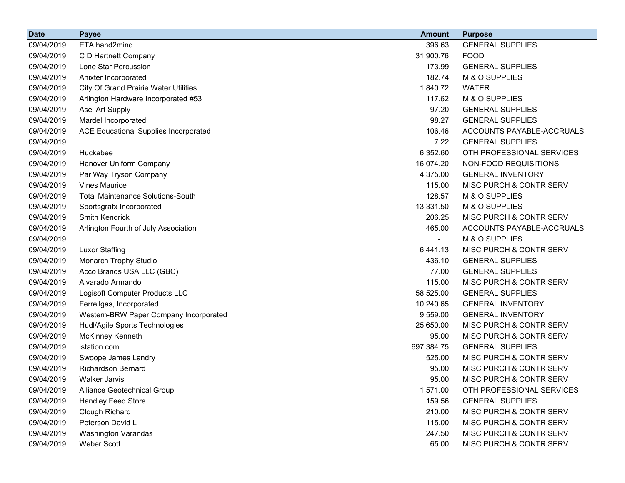| <b>Date</b> | <b>Payee</b>                                 | <b>Amount</b> | <b>Purpose</b>            |
|-------------|----------------------------------------------|---------------|---------------------------|
| 09/04/2019  | ETA hand2mind                                | 396.63        | <b>GENERAL SUPPLIES</b>   |
| 09/04/2019  | C D Hartnett Company                         | 31,900.76     | <b>FOOD</b>               |
| 09/04/2019  | Lone Star Percussion                         | 173.99        | <b>GENERAL SUPPLIES</b>   |
| 09/04/2019  | Anixter Incorporated                         | 182.74        | M & O SUPPLIES            |
| 09/04/2019  | <b>City Of Grand Prairie Water Utilities</b> | 1,840.72      | <b>WATER</b>              |
| 09/04/2019  | Arlington Hardware Incorporated #53          | 117.62        | M & O SUPPLIES            |
| 09/04/2019  | Asel Art Supply                              | 97.20         | <b>GENERAL SUPPLIES</b>   |
| 09/04/2019  | Mardel Incorporated                          | 98.27         | <b>GENERAL SUPPLIES</b>   |
| 09/04/2019  | <b>ACE Educational Supplies Incorporated</b> | 106.46        | ACCOUNTS PAYABLE-ACCRUALS |
| 09/04/2019  |                                              | 7.22          | <b>GENERAL SUPPLIES</b>   |
| 09/04/2019  | Huckabee                                     | 6,352.60      | OTH PROFESSIONAL SERVICES |
| 09/04/2019  | Hanover Uniform Company                      | 16,074.20     | NON-FOOD REQUISITIONS     |
| 09/04/2019  | Par Way Tryson Company                       | 4,375.00      | <b>GENERAL INVENTORY</b>  |
| 09/04/2019  | <b>Vines Maurice</b>                         | 115.00        | MISC PURCH & CONTR SERV   |
| 09/04/2019  | <b>Total Maintenance Solutions-South</b>     | 128.57        | M & O SUPPLIES            |
| 09/04/2019  | Sportsgrafx Incorporated                     | 13,331.50     | M & O SUPPLIES            |
| 09/04/2019  | <b>Smith Kendrick</b>                        | 206.25        | MISC PURCH & CONTR SERV   |
| 09/04/2019  | Arlington Fourth of July Association         | 465.00        | ACCOUNTS PAYABLE-ACCRUALS |
| 09/04/2019  |                                              | Ξ.            | M & O SUPPLIES            |
| 09/04/2019  | <b>Luxor Staffing</b>                        | 6,441.13      | MISC PURCH & CONTR SERV   |
| 09/04/2019  | Monarch Trophy Studio                        | 436.10        | <b>GENERAL SUPPLIES</b>   |
| 09/04/2019  | Acco Brands USA LLC (GBC)                    | 77.00         | <b>GENERAL SUPPLIES</b>   |
| 09/04/2019  | Alvarado Armando                             | 115.00        | MISC PURCH & CONTR SERV   |
| 09/04/2019  | Logisoft Computer Products LLC               | 58,525.00     | <b>GENERAL SUPPLIES</b>   |
| 09/04/2019  | Ferrellgas, Incorporated                     | 10,240.65     | <b>GENERAL INVENTORY</b>  |
| 09/04/2019  | Western-BRW Paper Company Incorporated       | 9,559.00      | <b>GENERAL INVENTORY</b>  |
| 09/04/2019  | Hudl/Agile Sports Technologies               | 25,650.00     | MISC PURCH & CONTR SERV   |
| 09/04/2019  | <b>McKinney Kenneth</b>                      | 95.00         | MISC PURCH & CONTR SERV   |
| 09/04/2019  | istation.com                                 | 697,384.75    | <b>GENERAL SUPPLIES</b>   |
| 09/04/2019  | Swoope James Landry                          | 525.00        | MISC PURCH & CONTR SERV   |
| 09/04/2019  | <b>Richardson Bernard</b>                    | 95.00         | MISC PURCH & CONTR SERV   |
| 09/04/2019  | Walker Jarvis                                | 95.00         | MISC PURCH & CONTR SERV   |
| 09/04/2019  | Alliance Geotechnical Group                  | 1,571.00      | OTH PROFESSIONAL SERVICES |
| 09/04/2019  | <b>Handley Feed Store</b>                    | 159.56        | <b>GENERAL SUPPLIES</b>   |
| 09/04/2019  | Clough Richard                               | 210.00        | MISC PURCH & CONTR SERV   |
| 09/04/2019  | Peterson David L                             | 115.00        | MISC PURCH & CONTR SERV   |
| 09/04/2019  | <b>Washington Varandas</b>                   | 247.50        | MISC PURCH & CONTR SERV   |
| 09/04/2019  | Weber Scott                                  | 65.00         | MISC PURCH & CONTR SERV   |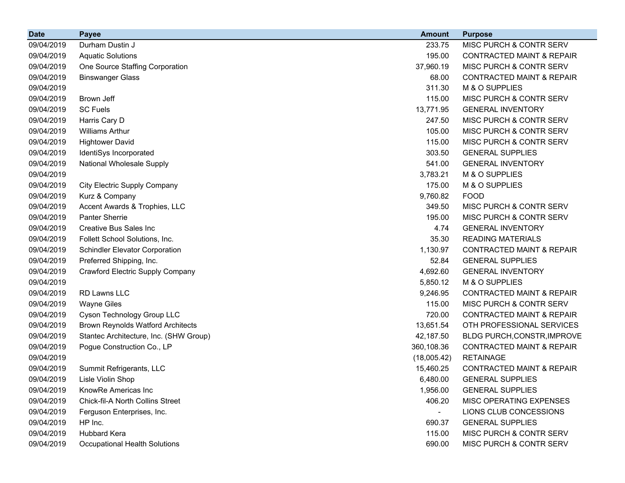| <b>Date</b> | <b>Payee</b>                             | <b>Amount</b>  | <b>Purpose</b>                       |
|-------------|------------------------------------------|----------------|--------------------------------------|
| 09/04/2019  | Durham Dustin J                          | 233.75         | MISC PURCH & CONTR SERV              |
| 09/04/2019  | <b>Aquatic Solutions</b>                 | 195.00         | <b>CONTRACTED MAINT &amp; REPAIR</b> |
| 09/04/2019  | One Source Staffing Corporation          | 37,960.19      | MISC PURCH & CONTR SERV              |
| 09/04/2019  | <b>Binswanger Glass</b>                  | 68.00          | <b>CONTRACTED MAINT &amp; REPAIR</b> |
| 09/04/2019  |                                          | 311.30         | M & O SUPPLIES                       |
| 09/04/2019  | Brown Jeff                               | 115.00         | MISC PURCH & CONTR SERV              |
| 09/04/2019  | <b>SC Fuels</b>                          | 13,771.95      | <b>GENERAL INVENTORY</b>             |
| 09/04/2019  | Harris Cary D                            | 247.50         | MISC PURCH & CONTR SERV              |
| 09/04/2019  | <b>Williams Arthur</b>                   | 105.00         | MISC PURCH & CONTR SERV              |
| 09/04/2019  | <b>Hightower David</b>                   | 115.00         | MISC PURCH & CONTR SERV              |
| 09/04/2019  | IdentiSys Incorporated                   | 303.50         | <b>GENERAL SUPPLIES</b>              |
| 09/04/2019  | National Wholesale Supply                | 541.00         | <b>GENERAL INVENTORY</b>             |
| 09/04/2019  |                                          | 3,783.21       | M & O SUPPLIES                       |
| 09/04/2019  | <b>City Electric Supply Company</b>      | 175.00         | M & O SUPPLIES                       |
| 09/04/2019  | Kurz & Company                           | 9,760.82       | <b>FOOD</b>                          |
| 09/04/2019  | Accent Awards & Trophies, LLC            | 349.50         | MISC PURCH & CONTR SERV              |
| 09/04/2019  | <b>Panter Sherrie</b>                    | 195.00         | MISC PURCH & CONTR SERV              |
| 09/04/2019  | Creative Bus Sales Inc                   | 4.74           | <b>GENERAL INVENTORY</b>             |
| 09/04/2019  | Follett School Solutions, Inc.           | 35.30          | <b>READING MATERIALS</b>             |
| 09/04/2019  | <b>Schindler Elevator Corporation</b>    | 1,130.97       | <b>CONTRACTED MAINT &amp; REPAIR</b> |
| 09/04/2019  | Preferred Shipping, Inc.                 | 52.84          | <b>GENERAL SUPPLIES</b>              |
| 09/04/2019  | Crawford Electric Supply Company         | 4,692.60       | <b>GENERAL INVENTORY</b>             |
| 09/04/2019  |                                          | 5,850.12       | M & O SUPPLIES                       |
| 09/04/2019  | RD Lawns LLC                             | 9,246.95       | <b>CONTRACTED MAINT &amp; REPAIR</b> |
| 09/04/2019  | <b>Wayne Giles</b>                       | 115.00         | MISC PURCH & CONTR SERV              |
| 09/04/2019  | Cyson Technology Group LLC               | 720.00         | <b>CONTRACTED MAINT &amp; REPAIR</b> |
| 09/04/2019  | <b>Brown Reynolds Watford Architects</b> | 13,651.54      | OTH PROFESSIONAL SERVICES            |
| 09/04/2019  | Stantec Architecture, Inc. (SHW Group)   | 42,187.50      | BLDG PURCH, CONSTR, IMPROVE          |
| 09/04/2019  | Pogue Construction Co., LP               | 360,108.36     | <b>CONTRACTED MAINT &amp; REPAIR</b> |
| 09/04/2019  |                                          | (18,005.42)    | <b>RETAINAGE</b>                     |
| 09/04/2019  | Summit Refrigerants, LLC                 | 15,460.25      | <b>CONTRACTED MAINT &amp; REPAIR</b> |
| 09/04/2019  | Lisle Violin Shop                        | 6,480.00       | <b>GENERAL SUPPLIES</b>              |
| 09/04/2019  | KnowRe Americas Inc                      | 1,956.00       | <b>GENERAL SUPPLIES</b>              |
| 09/04/2019  | Chick-fil-A North Collins Street         | 406.20         | MISC OPERATING EXPENSES              |
| 09/04/2019  | Ferguson Enterprises, Inc.               | $\blacksquare$ | LIONS CLUB CONCESSIONS               |
| 09/04/2019  | HP Inc.                                  | 690.37         | <b>GENERAL SUPPLIES</b>              |
| 09/04/2019  | <b>Hubbard Kera</b>                      | 115.00         | MISC PURCH & CONTR SERV              |
| 09/04/2019  | <b>Occupational Health Solutions</b>     | 690.00         | MISC PURCH & CONTR SERV              |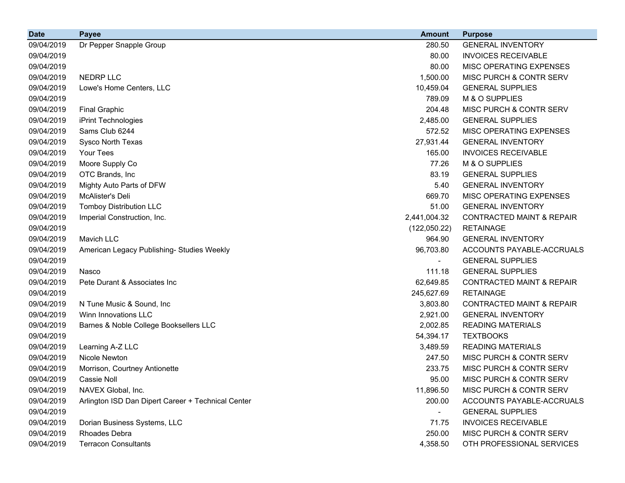| <b>Date</b> | <b>Payee</b>                                       | <b>Amount</b> | <b>Purpose</b>                       |
|-------------|----------------------------------------------------|---------------|--------------------------------------|
| 09/04/2019  | Dr Pepper Snapple Group                            | 280.50        | <b>GENERAL INVENTORY</b>             |
| 09/04/2019  |                                                    | 80.00         | <b>INVOICES RECEIVABLE</b>           |
| 09/04/2019  |                                                    | 80.00         | MISC OPERATING EXPENSES              |
| 09/04/2019  | NEDRP LLC                                          | 1,500.00      | MISC PURCH & CONTR SERV              |
| 09/04/2019  | Lowe's Home Centers, LLC                           | 10,459.04     | <b>GENERAL SUPPLIES</b>              |
| 09/04/2019  |                                                    | 789.09        | M & O SUPPLIES                       |
| 09/04/2019  | <b>Final Graphic</b>                               | 204.48        | MISC PURCH & CONTR SERV              |
| 09/04/2019  | iPrint Technologies                                | 2,485.00      | <b>GENERAL SUPPLIES</b>              |
| 09/04/2019  | Sams Club 6244                                     | 572.52        | MISC OPERATING EXPENSES              |
| 09/04/2019  | Sysco North Texas                                  | 27,931.44     | <b>GENERAL INVENTORY</b>             |
| 09/04/2019  | Your Tees                                          | 165.00        | <b>INVOICES RECEIVABLE</b>           |
| 09/04/2019  | Moore Supply Co                                    | 77.26         | M & O SUPPLIES                       |
| 09/04/2019  | OTC Brands, Inc                                    | 83.19         | <b>GENERAL SUPPLIES</b>              |
| 09/04/2019  | Mighty Auto Parts of DFW                           | 5.40          | <b>GENERAL INVENTORY</b>             |
| 09/04/2019  | McAlister's Deli                                   | 669.70        | MISC OPERATING EXPENSES              |
| 09/04/2019  | <b>Tomboy Distribution LLC</b>                     | 51.00         | <b>GENERAL INVENTORY</b>             |
| 09/04/2019  | Imperial Construction, Inc.                        | 2,441,004.32  | <b>CONTRACTED MAINT &amp; REPAIR</b> |
| 09/04/2019  |                                                    | (122,050.22)  | <b>RETAINAGE</b>                     |
| 09/04/2019  | Mavich LLC                                         | 964.90        | <b>GENERAL INVENTORY</b>             |
| 09/04/2019  | American Legacy Publishing- Studies Weekly         | 96,703.80     | ACCOUNTS PAYABLE-ACCRUALS            |
| 09/04/2019  |                                                    |               | <b>GENERAL SUPPLIES</b>              |
| 09/04/2019  | Nasco                                              | 111.18        | <b>GENERAL SUPPLIES</b>              |
| 09/04/2019  | Pete Durant & Associates Inc.                      | 62,649.85     | <b>CONTRACTED MAINT &amp; REPAIR</b> |
| 09/04/2019  |                                                    | 245,627.69    | <b>RETAINAGE</b>                     |
| 09/04/2019  | N Tune Music & Sound, Inc.                         | 3,803.80      | <b>CONTRACTED MAINT &amp; REPAIR</b> |
| 09/04/2019  | Winn Innovations LLC                               | 2,921.00      | <b>GENERAL INVENTORY</b>             |
| 09/04/2019  | Barnes & Noble College Booksellers LLC             | 2,002.85      | <b>READING MATERIALS</b>             |
| 09/04/2019  |                                                    | 54,394.17     | <b>TEXTBOOKS</b>                     |
| 09/04/2019  | Learning A-Z LLC                                   | 3,489.59      | <b>READING MATERIALS</b>             |
| 09/04/2019  | Nicole Newton                                      | 247.50        | MISC PURCH & CONTR SERV              |
| 09/04/2019  | Morrison, Courtney Antionette                      | 233.75        | MISC PURCH & CONTR SERV              |
| 09/04/2019  | Cassie Noll                                        | 95.00         | MISC PURCH & CONTR SERV              |
| 09/04/2019  | NAVEX Global, Inc.                                 | 11,896.50     | MISC PURCH & CONTR SERV              |
| 09/04/2019  | Arlington ISD Dan Dipert Career + Technical Center | 200.00        | ACCOUNTS PAYABLE-ACCRUALS            |
| 09/04/2019  |                                                    |               | <b>GENERAL SUPPLIES</b>              |
| 09/04/2019  | Dorian Business Systems, LLC                       | 71.75         | <b>INVOICES RECEIVABLE</b>           |
| 09/04/2019  | <b>Rhoades Debra</b>                               | 250.00        | MISC PURCH & CONTR SERV              |
| 09/04/2019  | <b>Terracon Consultants</b>                        | 4,358.50      | OTH PROFESSIONAL SERVICES            |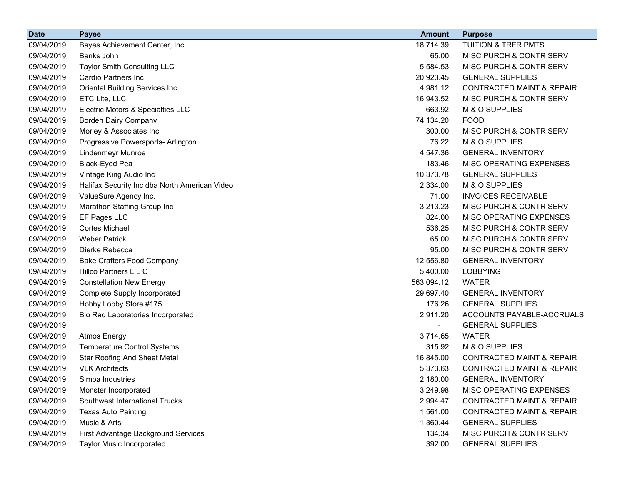| <b>Date</b> | <b>Payee</b>                                  | <b>Amount</b>            | <b>Purpose</b>                       |
|-------------|-----------------------------------------------|--------------------------|--------------------------------------|
| 09/04/2019  | Bayes Achievement Center, Inc.                | 18,714.39                | <b>TUITION &amp; TRFR PMTS</b>       |
| 09/04/2019  | Banks John                                    | 65.00                    | MISC PURCH & CONTR SERV              |
| 09/04/2019  | <b>Taylor Smith Consulting LLC</b>            | 5,584.53                 | MISC PURCH & CONTR SERV              |
| 09/04/2019  | Cardio Partners Inc                           | 20,923.45                | <b>GENERAL SUPPLIES</b>              |
| 09/04/2019  | Oriental Building Services Inc                | 4,981.12                 | <b>CONTRACTED MAINT &amp; REPAIR</b> |
| 09/04/2019  | ETC Lite, LLC                                 | 16,943.52                | MISC PURCH & CONTR SERV              |
| 09/04/2019  | Electric Motors & Specialties LLC             | 663.92                   | M & O SUPPLIES                       |
| 09/04/2019  | <b>Borden Dairy Company</b>                   | 74,134.20                | <b>FOOD</b>                          |
| 09/04/2019  | Morley & Associates Inc                       | 300.00                   | MISC PURCH & CONTR SERV              |
| 09/04/2019  | Progressive Powersports- Arlington            | 76.22                    | M & O SUPPLIES                       |
| 09/04/2019  | <b>Lindenmeyr Munroe</b>                      | 4,547.36                 | <b>GENERAL INVENTORY</b>             |
| 09/04/2019  | Black-Eyed Pea                                | 183.46                   | MISC OPERATING EXPENSES              |
| 09/04/2019  | Vintage King Audio Inc                        | 10,373.78                | <b>GENERAL SUPPLIES</b>              |
| 09/04/2019  | Halifax Security Inc dba North American Video | 2,334.00                 | M & O SUPPLIES                       |
| 09/04/2019  | ValueSure Agency Inc.                         | 71.00                    | <b>INVOICES RECEIVABLE</b>           |
| 09/04/2019  | Marathon Staffing Group Inc                   | 3,213.23                 | MISC PURCH & CONTR SERV              |
| 09/04/2019  | EF Pages LLC                                  | 824.00                   | MISC OPERATING EXPENSES              |
| 09/04/2019  | <b>Cortes Michael</b>                         | 536.25                   | MISC PURCH & CONTR SERV              |
| 09/04/2019  | <b>Weber Patrick</b>                          | 65.00                    | <b>MISC PURCH &amp; CONTR SERV</b>   |
| 09/04/2019  | Dierke Rebecca                                | 95.00                    | MISC PURCH & CONTR SERV              |
| 09/04/2019  | <b>Bake Crafters Food Company</b>             | 12,556.80                | <b>GENERAL INVENTORY</b>             |
| 09/04/2019  | Hillco Partners L L C                         | 5,400.00                 | <b>LOBBYING</b>                      |
| 09/04/2019  | <b>Constellation New Energy</b>               | 563,094.12               | <b>WATER</b>                         |
| 09/04/2019  | <b>Complete Supply Incorporated</b>           | 29,697.40                | <b>GENERAL INVENTORY</b>             |
| 09/04/2019  | Hobby Lobby Store #175                        | 176.26                   | <b>GENERAL SUPPLIES</b>              |
| 09/04/2019  | Bio Rad Laboratories Incorporated             | 2,911.20                 | ACCOUNTS PAYABLE-ACCRUALS            |
| 09/04/2019  |                                               | $\overline{\phantom{0}}$ | <b>GENERAL SUPPLIES</b>              |
| 09/04/2019  | <b>Atmos Energy</b>                           | 3,714.65                 | <b>WATER</b>                         |
| 09/04/2019  | <b>Temperature Control Systems</b>            | 315.92                   | M & O SUPPLIES                       |
| 09/04/2019  | <b>Star Roofing And Sheet Metal</b>           | 16,845.00                | <b>CONTRACTED MAINT &amp; REPAIR</b> |
| 09/04/2019  | <b>VLK Architects</b>                         | 5,373.63                 | <b>CONTRACTED MAINT &amp; REPAIR</b> |
| 09/04/2019  | Simba Industries                              | 2,180.00                 | <b>GENERAL INVENTORY</b>             |
| 09/04/2019  | Monster Incorporated                          | 3,249.98                 | <b>MISC OPERATING EXPENSES</b>       |
| 09/04/2019  | Southwest International Trucks                | 2,994.47                 | <b>CONTRACTED MAINT &amp; REPAIR</b> |
| 09/04/2019  | <b>Texas Auto Painting</b>                    | 1,561.00                 | <b>CONTRACTED MAINT &amp; REPAIR</b> |
| 09/04/2019  | Music & Arts                                  | 1,360.44                 | <b>GENERAL SUPPLIES</b>              |
| 09/04/2019  | First Advantage Background Services           | 134.34                   | MISC PURCH & CONTR SERV              |
| 09/04/2019  | <b>Taylor Music Incorporated</b>              | 392.00                   | <b>GENERAL SUPPLIES</b>              |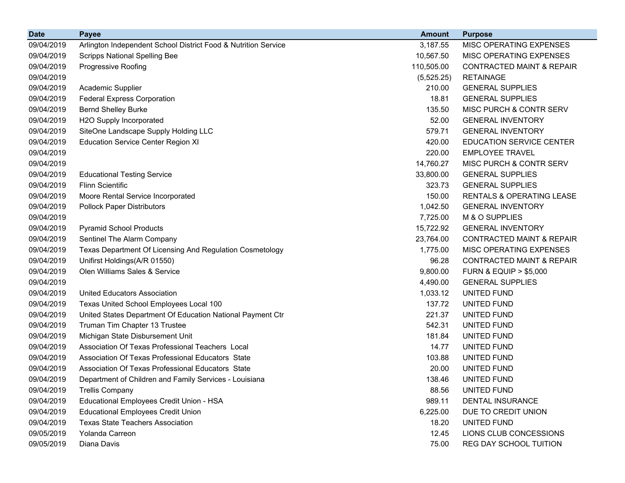| <b>Date</b> | <b>Payee</b>                                                   | <b>Amount</b> | <b>Purpose</b>                       |
|-------------|----------------------------------------------------------------|---------------|--------------------------------------|
| 09/04/2019  | Arlington Independent School District Food & Nutrition Service | 3,187.55      | MISC OPERATING EXPENSES              |
| 09/04/2019  | <b>Scripps National Spelling Bee</b>                           | 10,567.50     | MISC OPERATING EXPENSES              |
| 09/04/2019  | Progressive Roofing                                            | 110,505.00    | <b>CONTRACTED MAINT &amp; REPAIR</b> |
| 09/04/2019  |                                                                | (5, 525.25)   | <b>RETAINAGE</b>                     |
| 09/04/2019  | Academic Supplier                                              | 210.00        | <b>GENERAL SUPPLIES</b>              |
| 09/04/2019  | <b>Federal Express Corporation</b>                             | 18.81         | <b>GENERAL SUPPLIES</b>              |
| 09/04/2019  | <b>Bernd Shelley Burke</b>                                     | 135.50        | MISC PURCH & CONTR SERV              |
| 09/04/2019  | H2O Supply Incorporated                                        | 52.00         | <b>GENERAL INVENTORY</b>             |
| 09/04/2019  | SiteOne Landscape Supply Holding LLC                           | 579.71        | <b>GENERAL INVENTORY</b>             |
| 09/04/2019  | <b>Education Service Center Region XI</b>                      | 420.00        | <b>EDUCATION SERVICE CENTER</b>      |
| 09/04/2019  |                                                                | 220.00        | <b>EMPLOYEE TRAVEL</b>               |
| 09/04/2019  |                                                                | 14,760.27     | MISC PURCH & CONTR SERV              |
| 09/04/2019  | <b>Educational Testing Service</b>                             | 33,800.00     | <b>GENERAL SUPPLIES</b>              |
| 09/04/2019  | <b>Flinn Scientific</b>                                        | 323.73        | <b>GENERAL SUPPLIES</b>              |
| 09/04/2019  | Moore Rental Service Incorporated                              | 150.00        | RENTALS & OPERATING LEASE            |
| 09/04/2019  | <b>Pollock Paper Distributors</b>                              | 1,042.50      | <b>GENERAL INVENTORY</b>             |
| 09/04/2019  |                                                                | 7,725.00      | M & O SUPPLIES                       |
| 09/04/2019  | <b>Pyramid School Products</b>                                 | 15,722.92     | <b>GENERAL INVENTORY</b>             |
| 09/04/2019  | Sentinel The Alarm Company                                     | 23,764.00     | <b>CONTRACTED MAINT &amp; REPAIR</b> |
| 09/04/2019  | Texas Department Of Licensing And Regulation Cosmetology       | 1,775.00      | MISC OPERATING EXPENSES              |
| 09/04/2019  | Unifirst Holdings(A/R 01550)                                   | 96.28         | <b>CONTRACTED MAINT &amp; REPAIR</b> |
| 09/04/2019  | Olen Williams Sales & Service                                  | 9,800.00      | <b>FURN &amp; EQUIP &gt; \$5,000</b> |
| 09/04/2019  |                                                                | 4,490.00      | <b>GENERAL SUPPLIES</b>              |
| 09/04/2019  | <b>United Educators Association</b>                            | 1,033.12      | UNITED FUND                          |
| 09/04/2019  | Texas United School Employees Local 100                        | 137.72        | UNITED FUND                          |
| 09/04/2019  | United States Department Of Education National Payment Ctr     | 221.37        | UNITED FUND                          |
| 09/04/2019  | Truman Tim Chapter 13 Trustee                                  | 542.31        | UNITED FUND                          |
| 09/04/2019  | Michigan State Disbursement Unit                               | 181.84        | UNITED FUND                          |
| 09/04/2019  | Association Of Texas Professional Teachers Local               | 14.77         | UNITED FUND                          |
| 09/04/2019  | Association Of Texas Professional Educators State              | 103.88        | UNITED FUND                          |
| 09/04/2019  | Association Of Texas Professional Educators State              | 20.00         | UNITED FUND                          |
| 09/04/2019  | Department of Children and Family Services - Louisiana         | 138.46        | UNITED FUND                          |
| 09/04/2019  | <b>Trellis Company</b>                                         | 88.56         | UNITED FUND                          |
| 09/04/2019  | Educational Employees Credit Union - HSA                       | 989.11        | <b>DENTAL INSURANCE</b>              |
| 09/04/2019  | <b>Educational Employees Credit Union</b>                      | 6,225.00      | DUE TO CREDIT UNION                  |
| 09/04/2019  | <b>Texas State Teachers Association</b>                        | 18.20         | UNITED FUND                          |
| 09/05/2019  | Yolanda Carreon                                                | 12.45         | LIONS CLUB CONCESSIONS               |
| 09/05/2019  | Diana Davis                                                    | 75.00         | REG DAY SCHOOL TUITION               |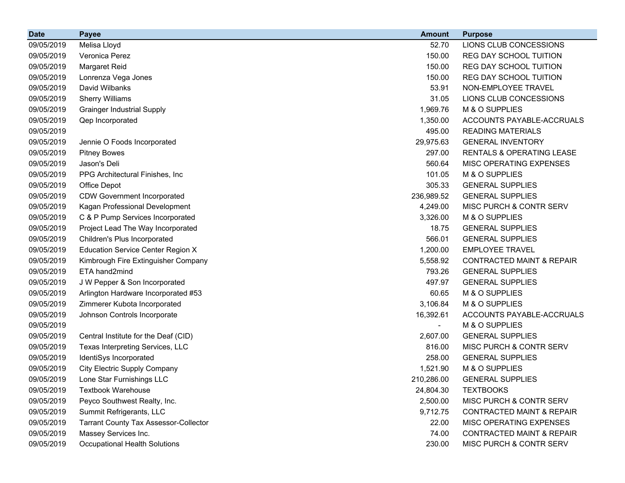| <b>Date</b> | <b>Payee</b>                                 | <b>Amount</b>            | <b>Purpose</b>                       |
|-------------|----------------------------------------------|--------------------------|--------------------------------------|
| 09/05/2019  | Melisa Lloyd                                 | 52.70                    | LIONS CLUB CONCESSIONS               |
| 09/05/2019  | Veronica Perez                               | 150.00                   | REG DAY SCHOOL TUITION               |
| 09/05/2019  | Margaret Reid                                | 150.00                   | <b>REG DAY SCHOOL TUITION</b>        |
| 09/05/2019  | Lonrenza Vega Jones                          | 150.00                   | <b>REG DAY SCHOOL TUITION</b>        |
| 09/05/2019  | David Wilbanks                               | 53.91                    | NON-EMPLOYEE TRAVEL                  |
| 09/05/2019  | <b>Sherry Williams</b>                       | 31.05                    | LIONS CLUB CONCESSIONS               |
| 09/05/2019  | <b>Grainger Industrial Supply</b>            | 1,969.76                 | M & O SUPPLIES                       |
| 09/05/2019  | Qep Incorporated                             | 1,350.00                 | ACCOUNTS PAYABLE-ACCRUALS            |
| 09/05/2019  |                                              | 495.00                   | <b>READING MATERIALS</b>             |
| 09/05/2019  | Jennie O Foods Incorporated                  | 29,975.63                | <b>GENERAL INVENTORY</b>             |
| 09/05/2019  | <b>Pitney Bowes</b>                          | 297.00                   | RENTALS & OPERATING LEASE            |
| 09/05/2019  | Jason's Deli                                 | 560.64                   | MISC OPERATING EXPENSES              |
| 09/05/2019  | PPG Architectural Finishes, Inc              | 101.05                   | M & O SUPPLIES                       |
| 09/05/2019  | Office Depot                                 | 305.33                   | <b>GENERAL SUPPLIES</b>              |
| 09/05/2019  | <b>CDW Government Incorporated</b>           | 236,989.52               | <b>GENERAL SUPPLIES</b>              |
| 09/05/2019  | Kagan Professional Development               | 4,249.00                 | MISC PURCH & CONTR SERV              |
| 09/05/2019  | C & P Pump Services Incorporated             | 3,326.00                 | M & O SUPPLIES                       |
| 09/05/2019  | Project Lead The Way Incorporated            | 18.75                    | <b>GENERAL SUPPLIES</b>              |
| 09/05/2019  | Children's Plus Incorporated                 | 566.01                   | <b>GENERAL SUPPLIES</b>              |
| 09/05/2019  | <b>Education Service Center Region X</b>     | 1,200.00                 | <b>EMPLOYEE TRAVEL</b>               |
| 09/05/2019  | Kimbrough Fire Extinguisher Company          | 5,558.92                 | <b>CONTRACTED MAINT &amp; REPAIR</b> |
| 09/05/2019  | ETA hand2mind                                | 793.26                   | <b>GENERAL SUPPLIES</b>              |
| 09/05/2019  | J W Pepper & Son Incorporated                | 497.97                   | <b>GENERAL SUPPLIES</b>              |
| 09/05/2019  | Arlington Hardware Incorporated #53          | 60.65                    | M & O SUPPLIES                       |
| 09/05/2019  | Zimmerer Kubota Incorporated                 | 3,106.84                 | M & O SUPPLIES                       |
| 09/05/2019  | Johnson Controls Incorporate                 | 16,392.61                | ACCOUNTS PAYABLE-ACCRUALS            |
| 09/05/2019  |                                              | $\overline{\phantom{a}}$ | M & O SUPPLIES                       |
| 09/05/2019  | Central Institute for the Deaf (CID)         | 2,607.00                 | <b>GENERAL SUPPLIES</b>              |
| 09/05/2019  | Texas Interpreting Services, LLC             | 816.00                   | MISC PURCH & CONTR SERV              |
| 09/05/2019  | IdentiSys Incorporated                       | 258.00                   | <b>GENERAL SUPPLIES</b>              |
| 09/05/2019  | <b>City Electric Supply Company</b>          | 1,521.90                 | M & O SUPPLIES                       |
| 09/05/2019  | Lone Star Furnishings LLC                    | 210,286.00               | <b>GENERAL SUPPLIES</b>              |
| 09/05/2019  | <b>Textbook Warehouse</b>                    | 24,804.30                | <b>TEXTBOOKS</b>                     |
| 09/05/2019  | Peyco Southwest Realty, Inc.                 | 2,500.00                 | MISC PURCH & CONTR SERV              |
| 09/05/2019  | Summit Refrigerants, LLC                     | 9,712.75                 | <b>CONTRACTED MAINT &amp; REPAIR</b> |
| 09/05/2019  | <b>Tarrant County Tax Assessor-Collector</b> | 22.00                    | MISC OPERATING EXPENSES              |
| 09/05/2019  | Massey Services Inc.                         | 74.00                    | <b>CONTRACTED MAINT &amp; REPAIR</b> |
| 09/05/2019  | <b>Occupational Health Solutions</b>         | 230.00                   | MISC PURCH & CONTR SERV              |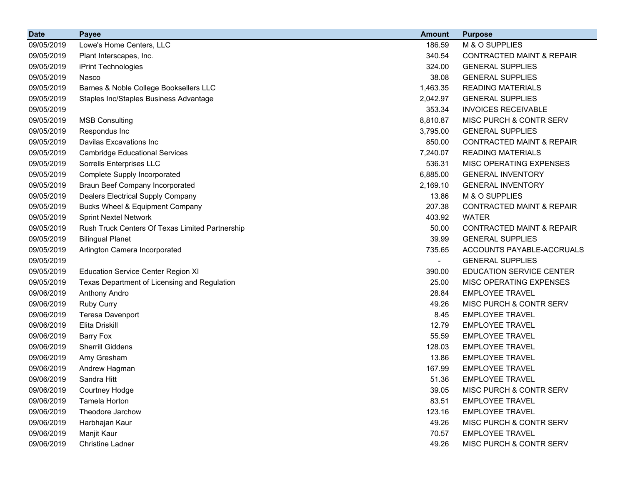| <b>Date</b> | <b>Payee</b>                                    | <b>Amount</b> | <b>Purpose</b>                       |
|-------------|-------------------------------------------------|---------------|--------------------------------------|
| 09/05/2019  | Lowe's Home Centers, LLC                        | 186.59        | M & O SUPPLIES                       |
| 09/05/2019  | Plant Interscapes, Inc.                         | 340.54        | <b>CONTRACTED MAINT &amp; REPAIR</b> |
| 09/05/2019  | iPrint Technologies                             | 324.00        | <b>GENERAL SUPPLIES</b>              |
| 09/05/2019  | Nasco                                           | 38.08         | <b>GENERAL SUPPLIES</b>              |
| 09/05/2019  | Barnes & Noble College Booksellers LLC          | 1,463.35      | <b>READING MATERIALS</b>             |
| 09/05/2019  | Staples Inc/Staples Business Advantage          | 2,042.97      | <b>GENERAL SUPPLIES</b>              |
| 09/05/2019  |                                                 | 353.34        | <b>INVOICES RECEIVABLE</b>           |
| 09/05/2019  | <b>MSB Consulting</b>                           | 8,810.87      | MISC PURCH & CONTR SERV              |
| 09/05/2019  | Respondus Inc                                   | 3,795.00      | <b>GENERAL SUPPLIES</b>              |
| 09/05/2019  | <b>Davilas Excavations Inc</b>                  | 850.00        | <b>CONTRACTED MAINT &amp; REPAIR</b> |
| 09/05/2019  | <b>Cambridge Educational Services</b>           | 7,240.07      | <b>READING MATERIALS</b>             |
| 09/05/2019  | Sorrells Enterprises LLC                        | 536.31        | MISC OPERATING EXPENSES              |
| 09/05/2019  | Complete Supply Incorporated                    | 6,885.00      | <b>GENERAL INVENTORY</b>             |
| 09/05/2019  | <b>Braun Beef Company Incorporated</b>          | 2,169.10      | <b>GENERAL INVENTORY</b>             |
| 09/05/2019  | <b>Dealers Electrical Supply Company</b>        | 13.86         | M & O SUPPLIES                       |
| 09/05/2019  | Bucks Wheel & Equipment Company                 | 207.38        | <b>CONTRACTED MAINT &amp; REPAIR</b> |
| 09/05/2019  | <b>Sprint Nextel Network</b>                    | 403.92        | <b>WATER</b>                         |
| 09/05/2019  | Rush Truck Centers Of Texas Limited Partnership | 50.00         | <b>CONTRACTED MAINT &amp; REPAIR</b> |
| 09/05/2019  | <b>Bilingual Planet</b>                         | 39.99         | <b>GENERAL SUPPLIES</b>              |
| 09/05/2019  | Arlington Camera Incorporated                   | 735.65        | ACCOUNTS PAYABLE-ACCRUALS            |
| 09/05/2019  |                                                 | Ξ.            | <b>GENERAL SUPPLIES</b>              |
| 09/05/2019  | <b>Education Service Center Region XI</b>       | 390.00        | EDUCATION SERVICE CENTER             |
| 09/05/2019  | Texas Department of Licensing and Regulation    | 25.00         | MISC OPERATING EXPENSES              |
| 09/06/2019  | Anthony Andro                                   | 28.84         | <b>EMPLOYEE TRAVEL</b>               |
| 09/06/2019  | Ruby Curry                                      | 49.26         | MISC PURCH & CONTR SERV              |
| 09/06/2019  | <b>Teresa Davenport</b>                         | 8.45          | <b>EMPLOYEE TRAVEL</b>               |
| 09/06/2019  | Elita Driskill                                  | 12.79         | <b>EMPLOYEE TRAVEL</b>               |
| 09/06/2019  | <b>Barry Fox</b>                                | 55.59         | <b>EMPLOYEE TRAVEL</b>               |
| 09/06/2019  | <b>Sherrill Giddens</b>                         | 128.03        | <b>EMPLOYEE TRAVEL</b>               |
| 09/06/2019  | Amy Gresham                                     | 13.86         | <b>EMPLOYEE TRAVEL</b>               |
| 09/06/2019  | Andrew Hagman                                   | 167.99        | <b>EMPLOYEE TRAVEL</b>               |
| 09/06/2019  | Sandra Hitt                                     | 51.36         | <b>EMPLOYEE TRAVEL</b>               |
| 09/06/2019  | <b>Courtney Hodge</b>                           | 39.05         | MISC PURCH & CONTR SERV              |
| 09/06/2019  | Tamela Horton                                   | 83.51         | <b>EMPLOYEE TRAVEL</b>               |
| 09/06/2019  | Theodore Jarchow                                | 123.16        | <b>EMPLOYEE TRAVEL</b>               |
| 09/06/2019  | Harbhajan Kaur                                  | 49.26         | MISC PURCH & CONTR SERV              |
| 09/06/2019  | Manjit Kaur                                     | 70.57         | <b>EMPLOYEE TRAVEL</b>               |
| 09/06/2019  | <b>Christine Ladner</b>                         | 49.26         | MISC PURCH & CONTR SERV              |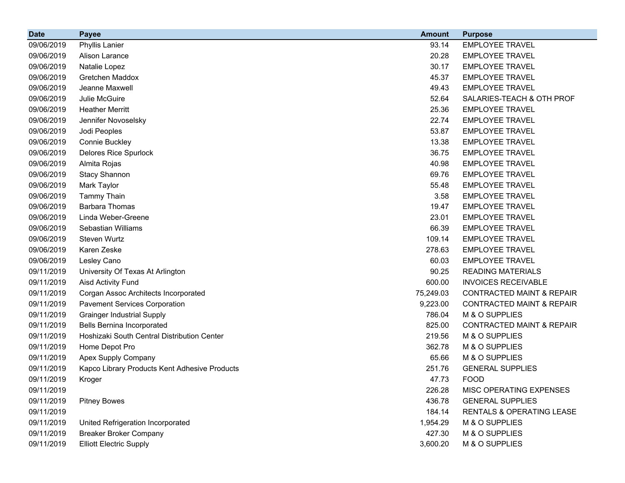| <b>Date</b> | <b>Payee</b>                                  | <b>Amount</b> | <b>Purpose</b>                       |
|-------------|-----------------------------------------------|---------------|--------------------------------------|
| 09/06/2019  | <b>Phyllis Lanier</b>                         | 93.14         | <b>EMPLOYEE TRAVEL</b>               |
| 09/06/2019  | Alison Larance                                | 20.28         | <b>EMPLOYEE TRAVEL</b>               |
| 09/06/2019  | Natalie Lopez                                 | 30.17         | <b>EMPLOYEE TRAVEL</b>               |
| 09/06/2019  | Gretchen Maddox                               | 45.37         | <b>EMPLOYEE TRAVEL</b>               |
| 09/06/2019  | Jeanne Maxwell                                | 49.43         | <b>EMPLOYEE TRAVEL</b>               |
| 09/06/2019  | Julie McGuire                                 | 52.64         | SALARIES-TEACH & OTH PROF            |
| 09/06/2019  | <b>Heather Merritt</b>                        | 25.36         | <b>EMPLOYEE TRAVEL</b>               |
| 09/06/2019  | Jennifer Novoselsky                           | 22.74         | <b>EMPLOYEE TRAVEL</b>               |
| 09/06/2019  | Jodi Peoples                                  | 53.87         | <b>EMPLOYEE TRAVEL</b>               |
| 09/06/2019  | Connie Buckley                                | 13.38         | <b>EMPLOYEE TRAVEL</b>               |
| 09/06/2019  | <b>Delores Rice Spurlock</b>                  | 36.75         | <b>EMPLOYEE TRAVEL</b>               |
| 09/06/2019  | Almita Rojas                                  | 40.98         | <b>EMPLOYEE TRAVEL</b>               |
| 09/06/2019  | <b>Stacy Shannon</b>                          | 69.76         | <b>EMPLOYEE TRAVEL</b>               |
| 09/06/2019  | Mark Taylor                                   | 55.48         | <b>EMPLOYEE TRAVEL</b>               |
| 09/06/2019  | <b>Tammy Thain</b>                            | 3.58          | <b>EMPLOYEE TRAVEL</b>               |
| 09/06/2019  | <b>Barbara Thomas</b>                         | 19.47         | <b>EMPLOYEE TRAVEL</b>               |
| 09/06/2019  | Linda Weber-Greene                            | 23.01         | <b>EMPLOYEE TRAVEL</b>               |
| 09/06/2019  | Sebastian Williams                            | 66.39         | <b>EMPLOYEE TRAVEL</b>               |
| 09/06/2019  | Steven Wurtz                                  | 109.14        | <b>EMPLOYEE TRAVEL</b>               |
| 09/06/2019  | Karen Zeske                                   | 278.63        | <b>EMPLOYEE TRAVEL</b>               |
| 09/06/2019  | Lesley Cano                                   | 60.03         | <b>EMPLOYEE TRAVEL</b>               |
| 09/11/2019  | University Of Texas At Arlington              | 90.25         | <b>READING MATERIALS</b>             |
| 09/11/2019  | <b>Aisd Activity Fund</b>                     | 600.00        | <b>INVOICES RECEIVABLE</b>           |
| 09/11/2019  | Corgan Assoc Architects Incorporated          | 75,249.03     | <b>CONTRACTED MAINT &amp; REPAIR</b> |
| 09/11/2019  | <b>Pavement Services Corporation</b>          | 9,223.00      | <b>CONTRACTED MAINT &amp; REPAIR</b> |
| 09/11/2019  | <b>Grainger Industrial Supply</b>             | 786.04        | M & O SUPPLIES                       |
| 09/11/2019  | <b>Bells Bernina Incorporated</b>             | 825.00        | <b>CONTRACTED MAINT &amp; REPAIR</b> |
| 09/11/2019  | Hoshizaki South Central Distribution Center   | 219.56        | M & O SUPPLIES                       |
| 09/11/2019  | Home Depot Pro                                | 362.78        | M & O SUPPLIES                       |
| 09/11/2019  | Apex Supply Company                           | 65.66         | M & O SUPPLIES                       |
| 09/11/2019  | Kapco Library Products Kent Adhesive Products | 251.76        | <b>GENERAL SUPPLIES</b>              |
| 09/11/2019  | Kroger                                        | 47.73         | <b>FOOD</b>                          |
| 09/11/2019  |                                               | 226.28        | MISC OPERATING EXPENSES              |
| 09/11/2019  | <b>Pitney Bowes</b>                           | 436.78        | <b>GENERAL SUPPLIES</b>              |
| 09/11/2019  |                                               | 184.14        | RENTALS & OPERATING LEASE            |
| 09/11/2019  | United Refrigeration Incorporated             | 1,954.29      | M & O SUPPLIES                       |
| 09/11/2019  | <b>Breaker Broker Company</b>                 | 427.30        | M & O SUPPLIES                       |
| 09/11/2019  | <b>Elliott Electric Supply</b>                | 3,600.20      | M & O SUPPLIES                       |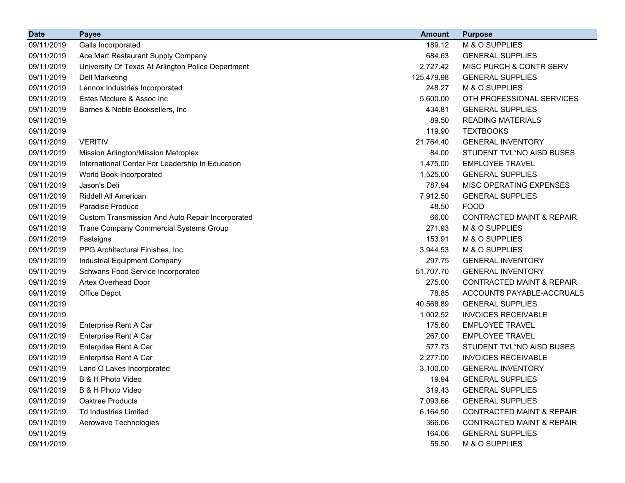| <b>Date</b> | <b>Payee</b>                                       | <b>Amount</b> | <b>Purpose</b>                       |
|-------------|----------------------------------------------------|---------------|--------------------------------------|
| 09/11/2019  | Galls Incorporated                                 | 189.12        | M & O SUPPLIES                       |
| 09/11/2019  | Ace Mart Restaurant Supply Company                 | 684.63        | <b>GENERAL SUPPLIES</b>              |
| 09/11/2019  | University Of Texas At Arlington Police Department | 2,727.42      | MISC PURCH & CONTR SERV              |
| 09/11/2019  | <b>Dell Marketing</b>                              | 125,479.98    | <b>GENERAL SUPPLIES</b>              |
| 09/11/2019  | Lennox Industries Incorporated                     | 248.27        | M & O SUPPLIES                       |
| 09/11/2019  | Estes Mcclure & Assoc Inc                          | 5,600.00      | OTH PROFESSIONAL SERVICES            |
| 09/11/2019  | Barnes & Noble Booksellers, Inc.                   | 434.81        | <b>GENERAL SUPPLIES</b>              |
| 09/11/2019  |                                                    | 89.50         | <b>READING MATERIALS</b>             |
| 09/11/2019  |                                                    | 119.90        | <b>TEXTBOOKS</b>                     |
| 09/11/2019  | <b>VERITIV</b>                                     | 21,764.40     | <b>GENERAL INVENTORY</b>             |
| 09/11/2019  | Mission Arlington/Mission Metroplex                | 84.00         | STUDENT TVL*NO AISD BUSES            |
| 09/11/2019  | International Center For Leadership In Education   | 1,475.00      | <b>EMPLOYEE TRAVEL</b>               |
| 09/11/2019  | World Book Incorporated                            | 1,525.00      | <b>GENERAL SUPPLIES</b>              |
| 09/11/2019  | Jason's Deli                                       | 787.94        | MISC OPERATING EXPENSES              |
| 09/11/2019  | Riddell All American                               | 7,912.50      | <b>GENERAL SUPPLIES</b>              |
| 09/11/2019  | Paradise Produce                                   | 48.50         | <b>FOOD</b>                          |
| 09/11/2019  | Custom Transmission And Auto Repair Incorporated   | 66.00         | <b>CONTRACTED MAINT &amp; REPAIR</b> |
| 09/11/2019  | Trane Company Commercial Systems Group             | 271.93        | M & O SUPPLIES                       |
| 09/11/2019  | Fastsigns                                          | 153.91        | M & O SUPPLIES                       |
| 09/11/2019  | PPG Architectural Finishes, Inc.                   | 3,944.53      | M & O SUPPLIES                       |
| 09/11/2019  | Industrial Equipment Company                       | 297.75        | <b>GENERAL INVENTORY</b>             |
| 09/11/2019  | Schwans Food Service Incorporated                  | 51,707.70     | <b>GENERAL INVENTORY</b>             |
| 09/11/2019  | <b>Artex Overhead Door</b>                         | 275.00        | <b>CONTRACTED MAINT &amp; REPAIR</b> |
| 09/11/2019  | Office Depot                                       | 78.85         | ACCOUNTS PAYABLE-ACCRUALS            |
| 09/11/2019  |                                                    | 40,568.89     | <b>GENERAL SUPPLIES</b>              |
| 09/11/2019  |                                                    | 1,002.52      | <b>INVOICES RECEIVABLE</b>           |
| 09/11/2019  | Enterprise Rent A Car                              | 175.60        | <b>EMPLOYEE TRAVEL</b>               |
| 09/11/2019  | Enterprise Rent A Car                              | 267.00        | <b>EMPLOYEE TRAVEL</b>               |
| 09/11/2019  | Enterprise Rent A Car                              | 577.73        | STUDENT TVL*NO AISD BUSES            |
| 09/11/2019  | Enterprise Rent A Car                              | 2,277.00      | <b>INVOICES RECEIVABLE</b>           |
| 09/11/2019  | Land O Lakes Incorporated                          | 3,100.00      | <b>GENERAL INVENTORY</b>             |
| 09/11/2019  | B & H Photo Video                                  | 19.94         | <b>GENERAL SUPPLIES</b>              |
| 09/11/2019  | B & H Photo Video                                  | 319.43        | <b>GENERAL SUPPLIES</b>              |
| 09/11/2019  | Oaktree Products                                   | 7,093.66      | <b>GENERAL SUPPLIES</b>              |
| 09/11/2019  | <b>Td Industries Limited</b>                       | 6,164.50      | <b>CONTRACTED MAINT &amp; REPAIR</b> |
| 09/11/2019  | Aerowave Technologies                              | 366.06        | <b>CONTRACTED MAINT &amp; REPAIR</b> |
| 09/11/2019  |                                                    | 164.06        | <b>GENERAL SUPPLIES</b>              |
| 09/11/2019  |                                                    | 55.50         | M & O SUPPLIES                       |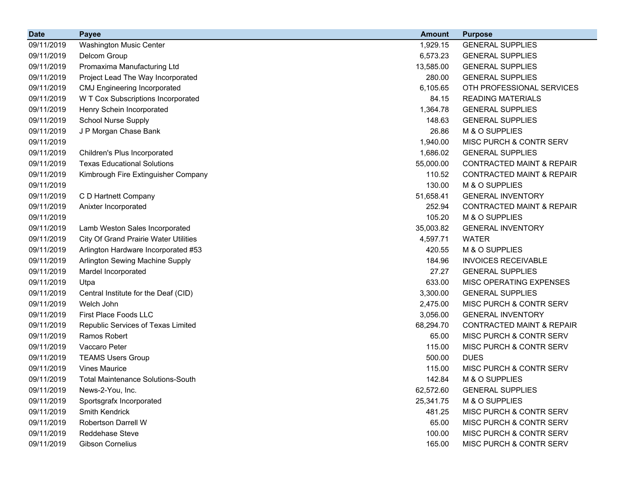| <b>Date</b> | <b>Payee</b>                                 | <b>Amount</b> | <b>Purpose</b>                       |
|-------------|----------------------------------------------|---------------|--------------------------------------|
| 09/11/2019  | Washington Music Center                      | 1,929.15      | <b>GENERAL SUPPLIES</b>              |
| 09/11/2019  | Delcom Group                                 | 6,573.23      | <b>GENERAL SUPPLIES</b>              |
| 09/11/2019  | Promaxima Manufacturing Ltd                  | 13,585.00     | <b>GENERAL SUPPLIES</b>              |
| 09/11/2019  | Project Lead The Way Incorporated            | 280.00        | <b>GENERAL SUPPLIES</b>              |
| 09/11/2019  | <b>CMJ Engineering Incorporated</b>          | 6,105.65      | OTH PROFESSIONAL SERVICES            |
| 09/11/2019  | W T Cox Subscriptions Incorporated           | 84.15         | <b>READING MATERIALS</b>             |
| 09/11/2019  | Henry Schein Incorporated                    | 1,364.78      | <b>GENERAL SUPPLIES</b>              |
| 09/11/2019  | <b>School Nurse Supply</b>                   | 148.63        | <b>GENERAL SUPPLIES</b>              |
| 09/11/2019  | J P Morgan Chase Bank                        | 26.86         | M & O SUPPLIES                       |
| 09/11/2019  |                                              | 1,940.00      | MISC PURCH & CONTR SERV              |
| 09/11/2019  | Children's Plus Incorporated                 | 1,686.02      | <b>GENERAL SUPPLIES</b>              |
| 09/11/2019  | <b>Texas Educational Solutions</b>           | 55,000.00     | <b>CONTRACTED MAINT &amp; REPAIR</b> |
| 09/11/2019  | Kimbrough Fire Extinguisher Company          | 110.52        | <b>CONTRACTED MAINT &amp; REPAIR</b> |
| 09/11/2019  |                                              | 130.00        | M & O SUPPLIES                       |
| 09/11/2019  | C D Hartnett Company                         | 51,658.41     | <b>GENERAL INVENTORY</b>             |
| 09/11/2019  | Anixter Incorporated                         | 252.94        | <b>CONTRACTED MAINT &amp; REPAIR</b> |
| 09/11/2019  |                                              | 105.20        | M & O SUPPLIES                       |
| 09/11/2019  | Lamb Weston Sales Incorporated               | 35,003.82     | <b>GENERAL INVENTORY</b>             |
| 09/11/2019  | <b>City Of Grand Prairie Water Utilities</b> | 4,597.71      | <b>WATER</b>                         |
| 09/11/2019  | Arlington Hardware Incorporated #53          | 420.55        | M & O SUPPLIES                       |
| 09/11/2019  | Arlington Sewing Machine Supply              | 184.96        | <b>INVOICES RECEIVABLE</b>           |
| 09/11/2019  | Mardel Incorporated                          | 27.27         | <b>GENERAL SUPPLIES</b>              |
| 09/11/2019  | Utpa                                         | 633.00        | MISC OPERATING EXPENSES              |
| 09/11/2019  | Central Institute for the Deaf (CID)         | 3,300.00      | <b>GENERAL SUPPLIES</b>              |
| 09/11/2019  | Welch John                                   | 2,475.00      | MISC PURCH & CONTR SERV              |
| 09/11/2019  | First Place Foods LLC                        | 3,056.00      | <b>GENERAL INVENTORY</b>             |
| 09/11/2019  | Republic Services of Texas Limited           | 68,294.70     | <b>CONTRACTED MAINT &amp; REPAIR</b> |
| 09/11/2019  | Ramos Robert                                 | 65.00         | MISC PURCH & CONTR SERV              |
| 09/11/2019  | Vaccaro Peter                                | 115.00        | MISC PURCH & CONTR SERV              |
| 09/11/2019  | <b>TEAMS Users Group</b>                     | 500.00        | <b>DUES</b>                          |
| 09/11/2019  | <b>Vines Maurice</b>                         | 115.00        | MISC PURCH & CONTR SERV              |
| 09/11/2019  | <b>Total Maintenance Solutions-South</b>     | 142.84        | M & O SUPPLIES                       |
| 09/11/2019  | News-2-You, Inc.                             | 62,572.60     | <b>GENERAL SUPPLIES</b>              |
| 09/11/2019  | Sportsgrafx Incorporated                     | 25,341.75     | M & O SUPPLIES                       |
| 09/11/2019  | Smith Kendrick                               | 481.25        | MISC PURCH & CONTR SERV              |
| 09/11/2019  | Robertson Darrell W                          | 65.00         | MISC PURCH & CONTR SERV              |
| 09/11/2019  | Reddehase Steve                              | 100.00        | MISC PURCH & CONTR SERV              |
| 09/11/2019  | <b>Gibson Cornelius</b>                      | 165.00        | MISC PURCH & CONTR SERV              |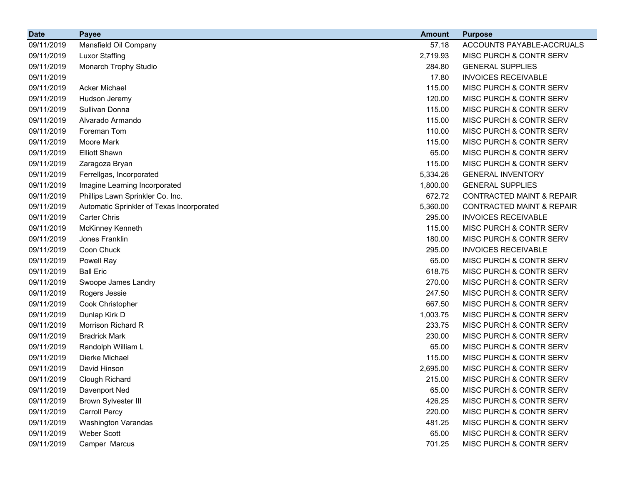| <b>Date</b> | <b>Payee</b>                              | <b>Amount</b> | <b>Purpose</b>                       |
|-------------|-------------------------------------------|---------------|--------------------------------------|
| 09/11/2019  | Mansfield Oil Company                     | 57.18         | ACCOUNTS PAYABLE-ACCRUALS            |
| 09/11/2019  | <b>Luxor Staffing</b>                     | 2,719.93      | MISC PURCH & CONTR SERV              |
| 09/11/2019  | Monarch Trophy Studio                     | 284.80        | <b>GENERAL SUPPLIES</b>              |
| 09/11/2019  |                                           | 17.80         | <b>INVOICES RECEIVABLE</b>           |
| 09/11/2019  | <b>Acker Michael</b>                      | 115.00        | MISC PURCH & CONTR SERV              |
| 09/11/2019  | Hudson Jeremy                             | 120.00        | MISC PURCH & CONTR SERV              |
| 09/11/2019  | Sullivan Donna                            | 115.00        | MISC PURCH & CONTR SERV              |
| 09/11/2019  | Alvarado Armando                          | 115.00        | MISC PURCH & CONTR SERV              |
| 09/11/2019  | Foreman Tom                               | 110.00        | MISC PURCH & CONTR SERV              |
| 09/11/2019  | Moore Mark                                | 115.00        | MISC PURCH & CONTR SERV              |
| 09/11/2019  | <b>Elliott Shawn</b>                      | 65.00         | MISC PURCH & CONTR SERV              |
| 09/11/2019  | Zaragoza Bryan                            | 115.00        | MISC PURCH & CONTR SERV              |
| 09/11/2019  | Ferrellgas, Incorporated                  | 5,334.26      | <b>GENERAL INVENTORY</b>             |
| 09/11/2019  | Imagine Learning Incorporated             | 1,800.00      | <b>GENERAL SUPPLIES</b>              |
| 09/11/2019  | Phillips Lawn Sprinkler Co. Inc.          | 672.72        | <b>CONTRACTED MAINT &amp; REPAIR</b> |
| 09/11/2019  | Automatic Sprinkler of Texas Incorporated | 5,360.00      | <b>CONTRACTED MAINT &amp; REPAIR</b> |
| 09/11/2019  | <b>Carter Chris</b>                       | 295.00        | <b>INVOICES RECEIVABLE</b>           |
| 09/11/2019  | McKinney Kenneth                          | 115.00        | MISC PURCH & CONTR SERV              |
| 09/11/2019  | Jones Franklin                            | 180.00        | MISC PURCH & CONTR SERV              |
| 09/11/2019  | Coon Chuck                                | 295.00        | <b>INVOICES RECEIVABLE</b>           |
| 09/11/2019  | Powell Ray                                | 65.00         | MISC PURCH & CONTR SERV              |
| 09/11/2019  | <b>Ball Eric</b>                          | 618.75        | MISC PURCH & CONTR SERV              |
| 09/11/2019  | Swoope James Landry                       | 270.00        | MISC PURCH & CONTR SERV              |
| 09/11/2019  | Rogers Jessie                             | 247.50        | MISC PURCH & CONTR SERV              |
| 09/11/2019  | Cook Christopher                          | 667.50        | MISC PURCH & CONTR SERV              |
| 09/11/2019  | Dunlap Kirk D                             | 1,003.75      | MISC PURCH & CONTR SERV              |
| 09/11/2019  | Morrison Richard R                        | 233.75        | MISC PURCH & CONTR SERV              |
| 09/11/2019  | <b>Bradrick Mark</b>                      | 230.00        | MISC PURCH & CONTR SERV              |
| 09/11/2019  | Randolph William L                        | 65.00         | MISC PURCH & CONTR SERV              |
| 09/11/2019  | Dierke Michael                            | 115.00        | MISC PURCH & CONTR SERV              |
| 09/11/2019  | David Hinson                              | 2,695.00      | MISC PURCH & CONTR SERV              |
| 09/11/2019  | Clough Richard                            | 215.00        | MISC PURCH & CONTR SERV              |
| 09/11/2019  | Davenport Ned                             | 65.00         | MISC PURCH & CONTR SERV              |
| 09/11/2019  | <b>Brown Sylvester III</b>                | 426.25        | MISC PURCH & CONTR SERV              |
| 09/11/2019  | Carroll Percy                             | 220.00        | MISC PURCH & CONTR SERV              |
| 09/11/2019  | <b>Washington Varandas</b>                | 481.25        | MISC PURCH & CONTR SERV              |
| 09/11/2019  | <b>Weber Scott</b>                        | 65.00         | MISC PURCH & CONTR SERV              |
| 09/11/2019  | Camper Marcus                             | 701.25        | MISC PURCH & CONTR SERV              |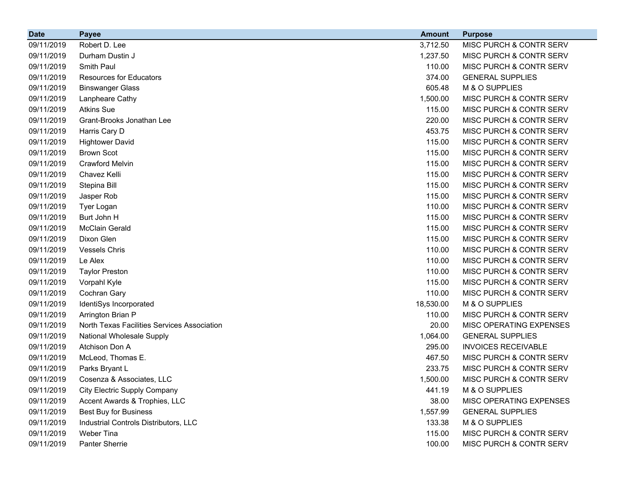| <b>Date</b> | <b>Payee</b>                                | <b>Amount</b> | <b>Purpose</b>             |
|-------------|---------------------------------------------|---------------|----------------------------|
| 09/11/2019  | Robert D. Lee                               | 3,712.50      | MISC PURCH & CONTR SERV    |
| 09/11/2019  | Durham Dustin J                             | 1,237.50      | MISC PURCH & CONTR SERV    |
| 09/11/2019  | Smith Paul                                  | 110.00        | MISC PURCH & CONTR SERV    |
| 09/11/2019  | <b>Resources for Educators</b>              | 374.00        | <b>GENERAL SUPPLIES</b>    |
| 09/11/2019  | <b>Binswanger Glass</b>                     | 605.48        | M & O SUPPLIES             |
| 09/11/2019  | Lanpheare Cathy                             | 1,500.00      | MISC PURCH & CONTR SERV    |
| 09/11/2019  | <b>Atkins Sue</b>                           | 115.00        | MISC PURCH & CONTR SERV    |
| 09/11/2019  | Grant-Brooks Jonathan Lee                   | 220.00        | MISC PURCH & CONTR SERV    |
| 09/11/2019  | Harris Cary D                               | 453.75        | MISC PURCH & CONTR SERV    |
| 09/11/2019  | <b>Hightower David</b>                      | 115.00        | MISC PURCH & CONTR SERV    |
| 09/11/2019  | <b>Brown Scot</b>                           | 115.00        | MISC PURCH & CONTR SERV    |
| 09/11/2019  | <b>Crawford Melvin</b>                      | 115.00        | MISC PURCH & CONTR SERV    |
| 09/11/2019  | Chavez Kelli                                | 115.00        | MISC PURCH & CONTR SERV    |
| 09/11/2019  | Stepina Bill                                | 115.00        | MISC PURCH & CONTR SERV    |
| 09/11/2019  | Jasper Rob                                  | 115.00        | MISC PURCH & CONTR SERV    |
| 09/11/2019  | Tyer Logan                                  | 110.00        | MISC PURCH & CONTR SERV    |
| 09/11/2019  | Burt John H                                 | 115.00        | MISC PURCH & CONTR SERV    |
| 09/11/2019  | <b>McClain Gerald</b>                       | 115.00        | MISC PURCH & CONTR SERV    |
| 09/11/2019  | Dixon Glen                                  | 115.00        | MISC PURCH & CONTR SERV    |
| 09/11/2019  | <b>Vessels Chris</b>                        | 110.00        | MISC PURCH & CONTR SERV    |
| 09/11/2019  | Le Alex                                     | 110.00        | MISC PURCH & CONTR SERV    |
| 09/11/2019  | <b>Taylor Preston</b>                       | 110.00        | MISC PURCH & CONTR SERV    |
| 09/11/2019  | Vorpahl Kyle                                | 115.00        | MISC PURCH & CONTR SERV    |
| 09/11/2019  | Cochran Gary                                | 110.00        | MISC PURCH & CONTR SERV    |
| 09/11/2019  | IdentiSys Incorporated                      | 18,530.00     | M & O SUPPLIES             |
| 09/11/2019  | Arrington Brian P                           | 110.00        | MISC PURCH & CONTR SERV    |
| 09/11/2019  | North Texas Facilities Services Association | 20.00         | MISC OPERATING EXPENSES    |
| 09/11/2019  | National Wholesale Supply                   | 1,064.00      | <b>GENERAL SUPPLIES</b>    |
| 09/11/2019  | Atchison Don A                              | 295.00        | <b>INVOICES RECEIVABLE</b> |
| 09/11/2019  | McLeod, Thomas E.                           | 467.50        | MISC PURCH & CONTR SERV    |
| 09/11/2019  | Parks Bryant L                              | 233.75        | MISC PURCH & CONTR SERV    |
| 09/11/2019  | Cosenza & Associates, LLC                   | 1,500.00      | MISC PURCH & CONTR SERV    |
| 09/11/2019  | <b>City Electric Supply Company</b>         | 441.19        | M & O SUPPLIES             |
| 09/11/2019  | Accent Awards & Trophies, LLC               | 38.00         | MISC OPERATING EXPENSES    |
| 09/11/2019  | <b>Best Buy for Business</b>                | 1,557.99      | <b>GENERAL SUPPLIES</b>    |
| 09/11/2019  | Industrial Controls Distributors, LLC       | 133.38        | M & O SUPPLIES             |
| 09/11/2019  | Weber Tina                                  | 115.00        | MISC PURCH & CONTR SERV    |
| 09/11/2019  | Panter Sherrie                              | 100.00        | MISC PURCH & CONTR SERV    |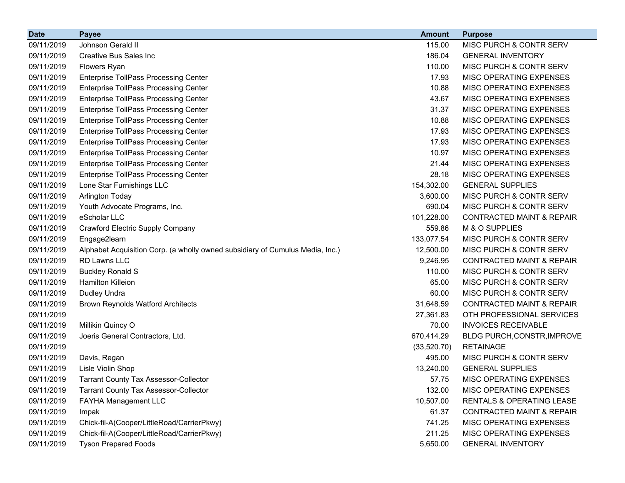| <b>Date</b> | <b>Payee</b>                                                                  | <b>Amount</b> | <b>Purpose</b>                       |
|-------------|-------------------------------------------------------------------------------|---------------|--------------------------------------|
| 09/11/2019  | Johnson Gerald II                                                             | 115.00        | MISC PURCH & CONTR SERV              |
| 09/11/2019  | <b>Creative Bus Sales Inc</b>                                                 | 186.04        | <b>GENERAL INVENTORY</b>             |
| 09/11/2019  | Flowers Ryan                                                                  | 110.00        | MISC PURCH & CONTR SERV              |
| 09/11/2019  | <b>Enterprise TollPass Processing Center</b>                                  | 17.93         | MISC OPERATING EXPENSES              |
| 09/11/2019  | <b>Enterprise TollPass Processing Center</b>                                  | 10.88         | MISC OPERATING EXPENSES              |
| 09/11/2019  | <b>Enterprise TollPass Processing Center</b>                                  | 43.67         | MISC OPERATING EXPENSES              |
| 09/11/2019  | <b>Enterprise TollPass Processing Center</b>                                  | 31.37         | MISC OPERATING EXPENSES              |
| 09/11/2019  | <b>Enterprise TollPass Processing Center</b>                                  | 10.88         | MISC OPERATING EXPENSES              |
| 09/11/2019  | <b>Enterprise TollPass Processing Center</b>                                  | 17.93         | MISC OPERATING EXPENSES              |
| 09/11/2019  | <b>Enterprise TollPass Processing Center</b>                                  | 17.93         | MISC OPERATING EXPENSES              |
| 09/11/2019  | <b>Enterprise TollPass Processing Center</b>                                  | 10.97         | MISC OPERATING EXPENSES              |
| 09/11/2019  | <b>Enterprise TollPass Processing Center</b>                                  | 21.44         | MISC OPERATING EXPENSES              |
| 09/11/2019  | <b>Enterprise TollPass Processing Center</b>                                  | 28.18         | MISC OPERATING EXPENSES              |
| 09/11/2019  | Lone Star Furnishings LLC                                                     | 154,302.00    | <b>GENERAL SUPPLIES</b>              |
| 09/11/2019  | <b>Arlington Today</b>                                                        | 3,600.00      | MISC PURCH & CONTR SERV              |
| 09/11/2019  | Youth Advocate Programs, Inc.                                                 | 690.04        | MISC PURCH & CONTR SERV              |
| 09/11/2019  | eScholar LLC                                                                  | 101,228.00    | <b>CONTRACTED MAINT &amp; REPAIR</b> |
| 09/11/2019  | Crawford Electric Supply Company                                              | 559.86        | M & O SUPPLIES                       |
| 09/11/2019  | Engage2learn                                                                  | 133,077.54    | MISC PURCH & CONTR SERV              |
| 09/11/2019  | Alphabet Acquisition Corp. (a wholly owned subsidiary of Cumulus Media, Inc.) | 12,500.00     | MISC PURCH & CONTR SERV              |
| 09/11/2019  | RD Lawns LLC                                                                  | 9,246.95      | <b>CONTRACTED MAINT &amp; REPAIR</b> |
| 09/11/2019  | <b>Buckley Ronald S</b>                                                       | 110.00        | MISC PURCH & CONTR SERV              |
| 09/11/2019  | <b>Hamilton Killeion</b>                                                      | 65.00         | MISC PURCH & CONTR SERV              |
| 09/11/2019  | Dudley Undra                                                                  | 60.00         | MISC PURCH & CONTR SERV              |
| 09/11/2019  | <b>Brown Reynolds Watford Architects</b>                                      | 31,648.59     | <b>CONTRACTED MAINT &amp; REPAIR</b> |
| 09/11/2019  |                                                                               | 27,361.83     | OTH PROFESSIONAL SERVICES            |
| 09/11/2019  | Millikin Quincy O                                                             | 70.00         | <b>INVOICES RECEIVABLE</b>           |
| 09/11/2019  | Joeris General Contractors, Ltd.                                              | 670,414.29    | BLDG PURCH, CONSTR, IMPROVE          |
| 09/11/2019  |                                                                               | (33,520.70)   | <b>RETAINAGE</b>                     |
| 09/11/2019  | Davis, Regan                                                                  | 495.00        | MISC PURCH & CONTR SERV              |
| 09/11/2019  | Lisle Violin Shop                                                             | 13,240.00     | <b>GENERAL SUPPLIES</b>              |
| 09/11/2019  | <b>Tarrant County Tax Assessor-Collector</b>                                  | 57.75         | MISC OPERATING EXPENSES              |
| 09/11/2019  | <b>Tarrant County Tax Assessor-Collector</b>                                  | 132.00        | MISC OPERATING EXPENSES              |
| 09/11/2019  | FAYHA Management LLC                                                          | 10,507.00     | RENTALS & OPERATING LEASE            |
| 09/11/2019  | Impak                                                                         | 61.37         | <b>CONTRACTED MAINT &amp; REPAIR</b> |
| 09/11/2019  | Chick-fil-A(Cooper/LittleRoad/CarrierPkwy)                                    | 741.25        | MISC OPERATING EXPENSES              |
| 09/11/2019  | Chick-fil-A(Cooper/LittleRoad/CarrierPkwy)                                    | 211.25        | MISC OPERATING EXPENSES              |
| 09/11/2019  | <b>Tyson Prepared Foods</b>                                                   | 5,650.00      | <b>GENERAL INVENTORY</b>             |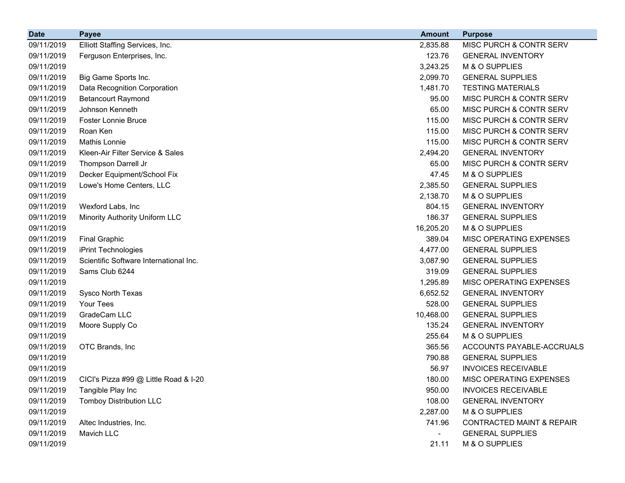| <b>Date</b> | <b>Payee</b>                           | <b>Amount</b>            | <b>Purpose</b>                       |
|-------------|----------------------------------------|--------------------------|--------------------------------------|
| 09/11/2019  | Elliott Staffing Services, Inc.        | 2,835.88                 | MISC PURCH & CONTR SERV              |
| 09/11/2019  | Ferguson Enterprises, Inc.             | 123.76                   | <b>GENERAL INVENTORY</b>             |
| 09/11/2019  |                                        | 3,243.25                 | M & O SUPPLIES                       |
| 09/11/2019  | Big Game Sports Inc.                   | 2,099.70                 | <b>GENERAL SUPPLIES</b>              |
| 09/11/2019  | Data Recognition Corporation           | 1,481.70                 | <b>TESTING MATERIALS</b>             |
| 09/11/2019  | <b>Betancourt Raymond</b>              | 95.00                    | MISC PURCH & CONTR SERV              |
| 09/11/2019  | Johnson Kenneth                        | 65.00                    | MISC PURCH & CONTR SERV              |
| 09/11/2019  | <b>Foster Lonnie Bruce</b>             | 115.00                   | MISC PURCH & CONTR SERV              |
| 09/11/2019  | Roan Ken                               | 115.00                   | MISC PURCH & CONTR SERV              |
| 09/11/2019  | <b>Mathis Lonnie</b>                   | 115.00                   | MISC PURCH & CONTR SERV              |
| 09/11/2019  | Kleen-Air Filter Service & Sales       | 2,494.20                 | <b>GENERAL INVENTORY</b>             |
| 09/11/2019  | Thompson Darrell Jr                    | 65.00                    | MISC PURCH & CONTR SERV              |
| 09/11/2019  | Decker Equipment/School Fix            | 47.45                    | M & O SUPPLIES                       |
| 09/11/2019  | Lowe's Home Centers, LLC               | 2,385.50                 | <b>GENERAL SUPPLIES</b>              |
| 09/11/2019  |                                        | 2,138.70                 | M & O SUPPLIES                       |
| 09/11/2019  | Wexford Labs, Inc                      | 804.15                   | <b>GENERAL INVENTORY</b>             |
| 09/11/2019  | Minority Authority Uniform LLC         | 186.37                   | <b>GENERAL SUPPLIES</b>              |
| 09/11/2019  |                                        | 16,205.20                | M & O SUPPLIES                       |
| 09/11/2019  | <b>Final Graphic</b>                   | 389.04                   | MISC OPERATING EXPENSES              |
| 09/11/2019  | iPrint Technologies                    | 4,477.00                 | <b>GENERAL SUPPLIES</b>              |
| 09/11/2019  | Scientific Software International Inc. | 3,087.90                 | <b>GENERAL SUPPLIES</b>              |
| 09/11/2019  | Sams Club 6244                         | 319.09                   | <b>GENERAL SUPPLIES</b>              |
| 09/11/2019  |                                        | 1,295.89                 | MISC OPERATING EXPENSES              |
| 09/11/2019  | Sysco North Texas                      | 6,652.52                 | <b>GENERAL INVENTORY</b>             |
| 09/11/2019  | Your Tees                              | 528.00                   | <b>GENERAL SUPPLIES</b>              |
| 09/11/2019  | GradeCam LLC                           | 10,468.00                | <b>GENERAL SUPPLIES</b>              |
| 09/11/2019  | Moore Supply Co                        | 135.24                   | <b>GENERAL INVENTORY</b>             |
| 09/11/2019  |                                        | 255.64                   | M & O SUPPLIES                       |
| 09/11/2019  | OTC Brands, Inc.                       | 365.56                   | ACCOUNTS PAYABLE-ACCRUALS            |
| 09/11/2019  |                                        | 790.88                   | <b>GENERAL SUPPLIES</b>              |
| 09/11/2019  |                                        | 56.97                    | <b>INVOICES RECEIVABLE</b>           |
| 09/11/2019  | CICI's Pizza #99 @ Little Road & I-20  | 180.00                   | MISC OPERATING EXPENSES              |
| 09/11/2019  | Tangible Play Inc                      | 950.00                   | <b>INVOICES RECEIVABLE</b>           |
| 09/11/2019  | <b>Tomboy Distribution LLC</b>         | 108.00                   | <b>GENERAL INVENTORY</b>             |
| 09/11/2019  |                                        | 2,287.00                 | M & O SUPPLIES                       |
| 09/11/2019  | Altec Industries, Inc.                 | 741.96                   | <b>CONTRACTED MAINT &amp; REPAIR</b> |
| 09/11/2019  | Mavich LLC                             | $\overline{\phantom{0}}$ | <b>GENERAL SUPPLIES</b>              |
| 09/11/2019  |                                        | 21.11                    | M & O SUPPLIES                       |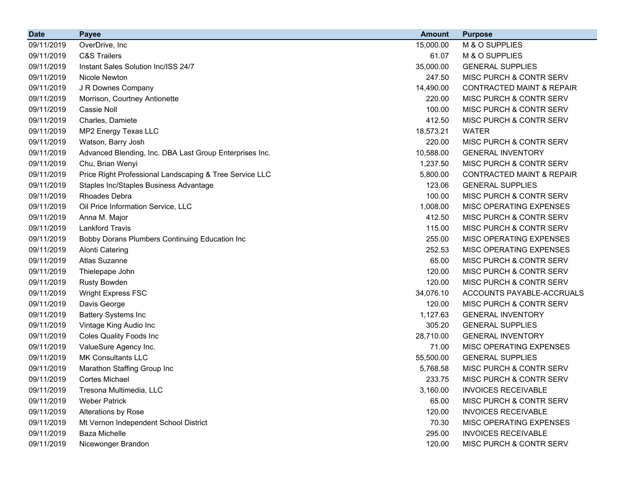| <b>Date</b> | <b>Payee</b>                                            | <b>Amount</b> | <b>Purpose</b>                       |
|-------------|---------------------------------------------------------|---------------|--------------------------------------|
| 09/11/2019  | OverDrive, Inc                                          | 15,000.00     | M & O SUPPLIES                       |
| 09/11/2019  | <b>C&amp;S Trailers</b>                                 | 61.07         | M & O SUPPLIES                       |
| 09/11/2019  | Instant Sales Solution Inc/ISS 24/7                     | 35,000.00     | <b>GENERAL SUPPLIES</b>              |
| 09/11/2019  | Nicole Newton                                           | 247.50        | MISC PURCH & CONTR SERV              |
| 09/11/2019  | J R Downes Company                                      | 14,490.00     | <b>CONTRACTED MAINT &amp; REPAIR</b> |
| 09/11/2019  | Morrison, Courtney Antionette                           | 220.00        | MISC PURCH & CONTR SERV              |
| 09/11/2019  | Cassie Noll                                             | 100.00        | MISC PURCH & CONTR SERV              |
| 09/11/2019  | Charles, Damiete                                        | 412.50        | MISC PURCH & CONTR SERV              |
| 09/11/2019  | MP2 Energy Texas LLC                                    | 18,573.21     | <b>WATER</b>                         |
| 09/11/2019  | Watson, Barry Josh                                      | 220.00        | MISC PURCH & CONTR SERV              |
| 09/11/2019  | Advanced Blending, Inc. DBA Last Group Enterprises Inc. | 10,588.00     | <b>GENERAL INVENTORY</b>             |
| 09/11/2019  | Chu, Brian Wenyi                                        | 1,237.50      | MISC PURCH & CONTR SERV              |
| 09/11/2019  | Price Right Professional Landscaping & Tree Service LLC | 5,800.00      | <b>CONTRACTED MAINT &amp; REPAIR</b> |
| 09/11/2019  | Staples Inc/Staples Business Advantage                  | 123.06        | <b>GENERAL SUPPLIES</b>              |
| 09/11/2019  | <b>Rhoades Debra</b>                                    | 100.00        | MISC PURCH & CONTR SERV              |
| 09/11/2019  | Oil Price Information Service, LLC                      | 1,008.00      | MISC OPERATING EXPENSES              |
| 09/11/2019  | Anna M. Major                                           | 412.50        | MISC PURCH & CONTR SERV              |
| 09/11/2019  | <b>Lankford Travis</b>                                  | 115.00        | MISC PURCH & CONTR SERV              |
| 09/11/2019  | Bobby Dorans Plumbers Continuing Education Inc          | 255.00        | MISC OPERATING EXPENSES              |
| 09/11/2019  | <b>Alonti Catering</b>                                  | 252.53        | MISC OPERATING EXPENSES              |
| 09/11/2019  | Atlas Suzanne                                           | 65.00         | MISC PURCH & CONTR SERV              |
| 09/11/2019  | Thielepape John                                         | 120.00        | MISC PURCH & CONTR SERV              |
| 09/11/2019  | <b>Rusty Bowden</b>                                     | 120.00        | MISC PURCH & CONTR SERV              |
| 09/11/2019  | <b>Wright Express FSC</b>                               | 34,076.10     | ACCOUNTS PAYABLE-ACCRUALS            |
| 09/11/2019  | Davis George                                            | 120.00        | MISC PURCH & CONTR SERV              |
| 09/11/2019  | <b>Battery Systems Inc</b>                              | 1,127.63      | <b>GENERAL INVENTORY</b>             |
| 09/11/2019  | Vintage King Audio Inc                                  | 305.20        | <b>GENERAL SUPPLIES</b>              |
| 09/11/2019  | Coles Quality Foods Inc                                 | 28,710.00     | <b>GENERAL INVENTORY</b>             |
| 09/11/2019  | ValueSure Agency Inc.                                   | 71.00         | MISC OPERATING EXPENSES              |
| 09/11/2019  | <b>MK Consultants LLC</b>                               | 55,500.00     | <b>GENERAL SUPPLIES</b>              |
| 09/11/2019  | Marathon Staffing Group Inc                             | 5,768.58      | MISC PURCH & CONTR SERV              |
| 09/11/2019  | <b>Cortes Michael</b>                                   | 233.75        | MISC PURCH & CONTR SERV              |
| 09/11/2019  | Tresona Multimedia, LLC                                 | 3,160.00      | <b>INVOICES RECEIVABLE</b>           |
| 09/11/2019  | <b>Weber Patrick</b>                                    | 65.00         | MISC PURCH & CONTR SERV              |
| 09/11/2019  | Alterations by Rose                                     | 120.00        | <b>INVOICES RECEIVABLE</b>           |
| 09/11/2019  | Mt Vernon Independent School District                   | 70.30         | MISC OPERATING EXPENSES              |
| 09/11/2019  | <b>Baza Michelle</b>                                    | 295.00        | <b>INVOICES RECEIVABLE</b>           |
| 09/11/2019  | Nicewonger Brandon                                      | 120.00        | MISC PURCH & CONTR SERV              |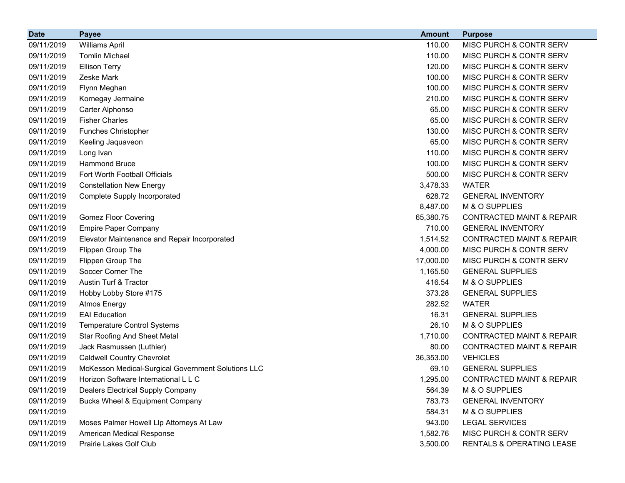| <b>Date</b> | <b>Payee</b>                                       | <b>Amount</b> | <b>Purpose</b>                       |
|-------------|----------------------------------------------------|---------------|--------------------------------------|
| 09/11/2019  | <b>Williams April</b>                              | 110.00        | MISC PURCH & CONTR SERV              |
| 09/11/2019  | <b>Tomlin Michael</b>                              | 110.00        | MISC PURCH & CONTR SERV              |
| 09/11/2019  | <b>Ellison Terry</b>                               | 120.00        | MISC PURCH & CONTR SERV              |
| 09/11/2019  | Zeske Mark                                         | 100.00        | MISC PURCH & CONTR SERV              |
| 09/11/2019  | Flynn Meghan                                       | 100.00        | MISC PURCH & CONTR SERV              |
| 09/11/2019  | Kornegay Jermaine                                  | 210.00        | MISC PURCH & CONTR SERV              |
| 09/11/2019  | Carter Alphonso                                    | 65.00         | MISC PURCH & CONTR SERV              |
| 09/11/2019  | <b>Fisher Charles</b>                              | 65.00         | MISC PURCH & CONTR SERV              |
| 09/11/2019  | <b>Funches Christopher</b>                         | 130.00        | MISC PURCH & CONTR SERV              |
| 09/11/2019  | Keeling Jaquaveon                                  | 65.00         | MISC PURCH & CONTR SERV              |
| 09/11/2019  | Long Ivan                                          | 110.00        | MISC PURCH & CONTR SERV              |
| 09/11/2019  | <b>Hammond Bruce</b>                               | 100.00        | MISC PURCH & CONTR SERV              |
| 09/11/2019  | Fort Worth Football Officials                      | 500.00        | MISC PURCH & CONTR SERV              |
| 09/11/2019  | <b>Constellation New Energy</b>                    | 3,478.33      | <b>WATER</b>                         |
| 09/11/2019  | <b>Complete Supply Incorporated</b>                | 628.72        | <b>GENERAL INVENTORY</b>             |
| 09/11/2019  |                                                    | 8,487.00      | M & O SUPPLIES                       |
| 09/11/2019  | <b>Gomez Floor Covering</b>                        | 65,380.75     | <b>CONTRACTED MAINT &amp; REPAIR</b> |
| 09/11/2019  | <b>Empire Paper Company</b>                        | 710.00        | <b>GENERAL INVENTORY</b>             |
| 09/11/2019  | Elevator Maintenance and Repair Incorporated       | 1,514.52      | <b>CONTRACTED MAINT &amp; REPAIR</b> |
| 09/11/2019  | Flippen Group The                                  | 4,000.00      | MISC PURCH & CONTR SERV              |
| 09/11/2019  | Flippen Group The                                  | 17,000.00     | MISC PURCH & CONTR SERV              |
| 09/11/2019  | Soccer Corner The                                  | 1,165.50      | <b>GENERAL SUPPLIES</b>              |
| 09/11/2019  | Austin Turf & Tractor                              | 416.54        | M & O SUPPLIES                       |
| 09/11/2019  | Hobby Lobby Store #175                             | 373.28        | <b>GENERAL SUPPLIES</b>              |
| 09/11/2019  | <b>Atmos Energy</b>                                | 282.52        | <b>WATER</b>                         |
| 09/11/2019  | <b>EAI</b> Education                               | 16.31         | <b>GENERAL SUPPLIES</b>              |
| 09/11/2019  | <b>Temperature Control Systems</b>                 | 26.10         | M & O SUPPLIES                       |
| 09/11/2019  | <b>Star Roofing And Sheet Metal</b>                | 1,710.00      | <b>CONTRACTED MAINT &amp; REPAIR</b> |
| 09/11/2019  | Jack Rasmussen (Luthier)                           | 80.00         | <b>CONTRACTED MAINT &amp; REPAIR</b> |
| 09/11/2019  | <b>Caldwell Country Chevrolet</b>                  | 36,353.00     | <b>VEHICLES</b>                      |
| 09/11/2019  | McKesson Medical-Surgical Government Solutions LLC | 69.10         | <b>GENERAL SUPPLIES</b>              |
| 09/11/2019  | Horizon Software International L L C               | 1,295.00      | CONTRACTED MAINT & REPAIR            |
| 09/11/2019  | <b>Dealers Electrical Supply Company</b>           | 564.39        | M & O SUPPLIES                       |
| 09/11/2019  | <b>Bucks Wheel &amp; Equipment Company</b>         | 783.73        | <b>GENERAL INVENTORY</b>             |
| 09/11/2019  |                                                    | 584.31        | M & O SUPPLIES                       |
| 09/11/2019  | Moses Palmer Howell Llp Attorneys At Law           | 943.00        | <b>LEGAL SERVICES</b>                |
| 09/11/2019  | American Medical Response                          | 1,582.76      | MISC PURCH & CONTR SERV              |
| 09/11/2019  | Prairie Lakes Golf Club                            | 3,500.00      | RENTALS & OPERATING LEASE            |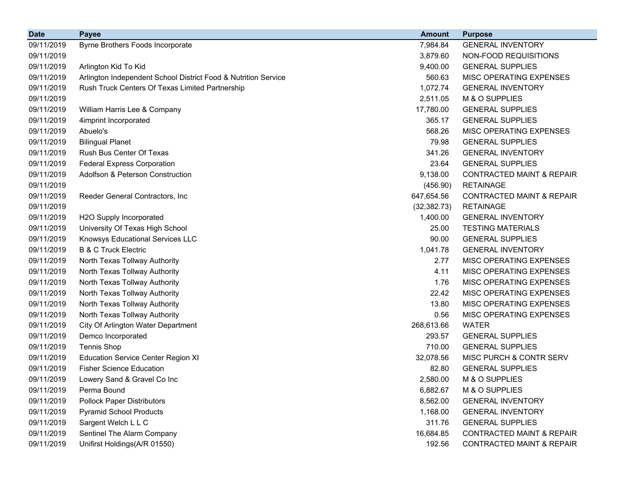| <b>Date</b> | <b>Payee</b>                                                   | <b>Amount</b> | <b>Purpose</b>                       |
|-------------|----------------------------------------------------------------|---------------|--------------------------------------|
| 09/11/2019  | Byrne Brothers Foods Incorporate                               | 7,984.84      | <b>GENERAL INVENTORY</b>             |
| 09/11/2019  |                                                                | 3,879.60      | NON-FOOD REQUISITIONS                |
| 09/11/2019  | Arlington Kid To Kid                                           | 9,400.00      | <b>GENERAL SUPPLIES</b>              |
| 09/11/2019  | Arlington Independent School District Food & Nutrition Service | 560.63        | MISC OPERATING EXPENSES              |
| 09/11/2019  | Rush Truck Centers Of Texas Limited Partnership                | 1,072.74      | <b>GENERAL INVENTORY</b>             |
| 09/11/2019  |                                                                | 2,511.05      | M & O SUPPLIES                       |
| 09/11/2019  | William Harris Lee & Company                                   | 17,780.00     | <b>GENERAL SUPPLIES</b>              |
| 09/11/2019  | 4imprint Incorporated                                          | 365.17        | <b>GENERAL SUPPLIES</b>              |
| 09/11/2019  | Abuelo's                                                       | 568.26        | MISC OPERATING EXPENSES              |
| 09/11/2019  | <b>Bilingual Planet</b>                                        | 79.98         | <b>GENERAL SUPPLIES</b>              |
| 09/11/2019  | Rush Bus Center Of Texas                                       | 341.26        | <b>GENERAL INVENTORY</b>             |
| 09/11/2019  | <b>Federal Express Corporation</b>                             | 23.64         | <b>GENERAL SUPPLIES</b>              |
| 09/11/2019  | Adolfson & Peterson Construction                               | 9,138.00      | <b>CONTRACTED MAINT &amp; REPAIR</b> |
| 09/11/2019  |                                                                | (456.90)      | <b>RETAINAGE</b>                     |
| 09/11/2019  | Reeder General Contractors, Inc                                | 647,654.56    | <b>CONTRACTED MAINT &amp; REPAIR</b> |
| 09/11/2019  |                                                                | (32, 382.73)  | <b>RETAINAGE</b>                     |
| 09/11/2019  | H2O Supply Incorporated                                        | 1,400.00      | <b>GENERAL INVENTORY</b>             |
| 09/11/2019  | University Of Texas High School                                | 25.00         | <b>TESTING MATERIALS</b>             |
| 09/11/2019  | Knowsys Educational Services LLC                               | 90.00         | <b>GENERAL SUPPLIES</b>              |
| 09/11/2019  | <b>B &amp; C Truck Electric</b>                                | 1,041.78      | <b>GENERAL INVENTORY</b>             |
| 09/11/2019  | North Texas Tollway Authority                                  | 2.77          | MISC OPERATING EXPENSES              |
| 09/11/2019  | North Texas Tollway Authority                                  | 4.11          | MISC OPERATING EXPENSES              |
| 09/11/2019  | North Texas Tollway Authority                                  | 1.76          | MISC OPERATING EXPENSES              |
| 09/11/2019  | North Texas Tollway Authority                                  | 22.42         | MISC OPERATING EXPENSES              |
| 09/11/2019  | North Texas Tollway Authority                                  | 13.80         | MISC OPERATING EXPENSES              |
| 09/11/2019  | North Texas Tollway Authority                                  | 0.56          | MISC OPERATING EXPENSES              |
| 09/11/2019  | City Of Arlington Water Department                             | 268,613.66    | <b>WATER</b>                         |
| 09/11/2019  | Demco Incorporated                                             | 293.57        | <b>GENERAL SUPPLIES</b>              |
| 09/11/2019  | <b>Tennis Shop</b>                                             | 710.00        | <b>GENERAL SUPPLIES</b>              |
| 09/11/2019  | <b>Education Service Center Region XI</b>                      | 32,078.56     | MISC PURCH & CONTR SERV              |
| 09/11/2019  | <b>Fisher Science Education</b>                                | 82.80         | <b>GENERAL SUPPLIES</b>              |
| 09/11/2019  | Lowery Sand & Gravel Co Inc                                    | 2,580.00      | M & O SUPPLIES                       |
| 09/11/2019  | Perma Bound                                                    | 6,882.67      | M & O SUPPLIES                       |
| 09/11/2019  | <b>Pollock Paper Distributors</b>                              | 8,562.00      | <b>GENERAL INVENTORY</b>             |
| 09/11/2019  | <b>Pyramid School Products</b>                                 | 1,168.00      | <b>GENERAL INVENTORY</b>             |
| 09/11/2019  | Sargent Welch L L C                                            | 311.76        | <b>GENERAL SUPPLIES</b>              |
| 09/11/2019  | Sentinel The Alarm Company                                     | 16,684.85     | <b>CONTRACTED MAINT &amp; REPAIR</b> |
| 09/11/2019  | Unifirst Holdings(A/R 01550)                                   | 192.56        | <b>CONTRACTED MAINT &amp; REPAIR</b> |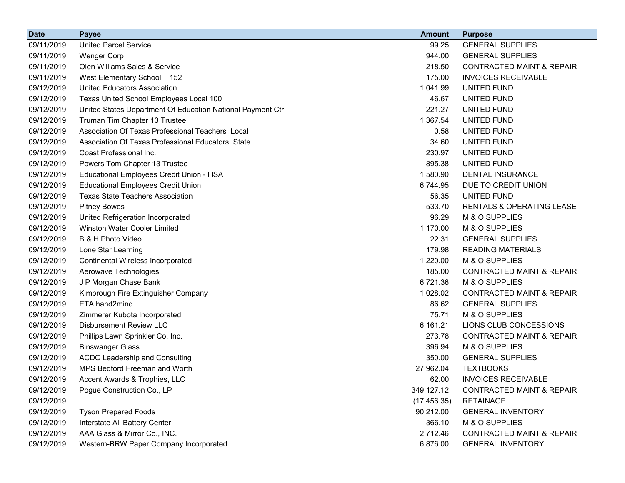| <b>Date</b> | <b>Payee</b>                                               | <b>Amount</b> | <b>Purpose</b>                       |
|-------------|------------------------------------------------------------|---------------|--------------------------------------|
| 09/11/2019  | <b>United Parcel Service</b>                               | 99.25         | <b>GENERAL SUPPLIES</b>              |
| 09/11/2019  | <b>Wenger Corp</b>                                         | 944.00        | <b>GENERAL SUPPLIES</b>              |
| 09/11/2019  | Olen Williams Sales & Service                              | 218.50        | <b>CONTRACTED MAINT &amp; REPAIR</b> |
| 09/11/2019  | West Elementary School 152                                 | 175.00        | <b>INVOICES RECEIVABLE</b>           |
| 09/12/2019  | <b>United Educators Association</b>                        | 1,041.99      | UNITED FUND                          |
| 09/12/2019  | Texas United School Employees Local 100                    | 46.67         | UNITED FUND                          |
| 09/12/2019  | United States Department Of Education National Payment Ctr | 221.27        | UNITED FUND                          |
| 09/12/2019  | Truman Tim Chapter 13 Trustee                              | 1,367.54      | UNITED FUND                          |
| 09/12/2019  | Association Of Texas Professional Teachers Local           | 0.58          | UNITED FUND                          |
| 09/12/2019  | Association Of Texas Professional Educators State          | 34.60         | UNITED FUND                          |
| 09/12/2019  | Coast Professional Inc.                                    | 230.97        | UNITED FUND                          |
| 09/12/2019  | Powers Tom Chapter 13 Trustee                              | 895.38        | UNITED FUND                          |
| 09/12/2019  | Educational Employees Credit Union - HSA                   | 1,580.90      | <b>DENTAL INSURANCE</b>              |
| 09/12/2019  | <b>Educational Employees Credit Union</b>                  | 6,744.95      | DUE TO CREDIT UNION                  |
| 09/12/2019  | <b>Texas State Teachers Association</b>                    | 56.35         | UNITED FUND                          |
| 09/12/2019  | <b>Pitney Bowes</b>                                        | 533.70        | RENTALS & OPERATING LEASE            |
| 09/12/2019  | United Refrigeration Incorporated                          | 96.29         | M & O SUPPLIES                       |
| 09/12/2019  | <b>Winston Water Cooler Limited</b>                        | 1,170.00      | M & O SUPPLIES                       |
| 09/12/2019  | B & H Photo Video                                          | 22.31         | <b>GENERAL SUPPLIES</b>              |
| 09/12/2019  | Lone Star Learning                                         | 179.98        | <b>READING MATERIALS</b>             |
| 09/12/2019  | <b>Continental Wireless Incorporated</b>                   | 1,220.00      | M & O SUPPLIES                       |
| 09/12/2019  | Aerowave Technologies                                      | 185.00        | <b>CONTRACTED MAINT &amp; REPAIR</b> |
| 09/12/2019  | J P Morgan Chase Bank                                      | 6,721.36      | M & O SUPPLIES                       |
| 09/12/2019  | Kimbrough Fire Extinguisher Company                        | 1,028.02      | <b>CONTRACTED MAINT &amp; REPAIR</b> |
| 09/12/2019  | ETA hand2mind                                              | 86.62         | <b>GENERAL SUPPLIES</b>              |
| 09/12/2019  | Zimmerer Kubota Incorporated                               | 75.71         | M & O SUPPLIES                       |
| 09/12/2019  | <b>Disbursement Review LLC</b>                             | 6,161.21      | LIONS CLUB CONCESSIONS               |
| 09/12/2019  | Phillips Lawn Sprinkler Co. Inc.                           | 273.78        | <b>CONTRACTED MAINT &amp; REPAIR</b> |
| 09/12/2019  | <b>Binswanger Glass</b>                                    | 396.94        | M & O SUPPLIES                       |
| 09/12/2019  | <b>ACDC Leadership and Consulting</b>                      | 350.00        | <b>GENERAL SUPPLIES</b>              |
| 09/12/2019  | MPS Bedford Freeman and Worth                              | 27,962.04     | <b>TEXTBOOKS</b>                     |
| 09/12/2019  | Accent Awards & Trophies, LLC                              | 62.00         | <b>INVOICES RECEIVABLE</b>           |
| 09/12/2019  | Pogue Construction Co., LP                                 | 349,127.12    | <b>CONTRACTED MAINT &amp; REPAIR</b> |
| 09/12/2019  |                                                            | (17, 456.35)  | <b>RETAINAGE</b>                     |
| 09/12/2019  | <b>Tyson Prepared Foods</b>                                | 90,212.00     | <b>GENERAL INVENTORY</b>             |
| 09/12/2019  | Interstate All Battery Center                              | 366.10        | M & O SUPPLIES                       |
| 09/12/2019  | AAA Glass & Mirror Co., INC.                               | 2,712.46      | CONTRACTED MAINT & REPAIR            |
| 09/12/2019  | Western-BRW Paper Company Incorporated                     | 6,876.00      | <b>GENERAL INVENTORY</b>             |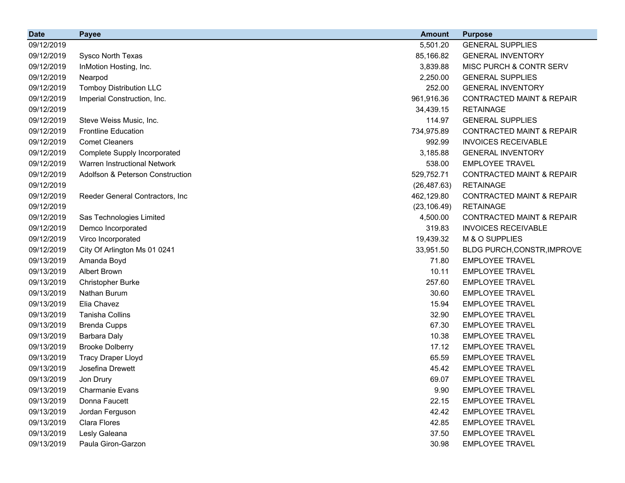| <b>Date</b> | <b>Payee</b>                        | <b>Amount</b> | <b>Purpose</b>                       |
|-------------|-------------------------------------|---------------|--------------------------------------|
| 09/12/2019  |                                     | 5,501.20      | <b>GENERAL SUPPLIES</b>              |
| 09/12/2019  | Sysco North Texas                   | 85,166.82     | <b>GENERAL INVENTORY</b>             |
| 09/12/2019  | InMotion Hosting, Inc.              | 3,839.88      | MISC PURCH & CONTR SERV              |
| 09/12/2019  | Nearpod                             | 2,250.00      | <b>GENERAL SUPPLIES</b>              |
| 09/12/2019  | <b>Tomboy Distribution LLC</b>      | 252.00        | <b>GENERAL INVENTORY</b>             |
| 09/12/2019  | Imperial Construction, Inc.         | 961,916.36    | <b>CONTRACTED MAINT &amp; REPAIR</b> |
| 09/12/2019  |                                     | 34,439.15     | <b>RETAINAGE</b>                     |
| 09/12/2019  | Steve Weiss Music, Inc.             | 114.97        | <b>GENERAL SUPPLIES</b>              |
| 09/12/2019  | <b>Frontline Education</b>          | 734,975.89    | <b>CONTRACTED MAINT &amp; REPAIR</b> |
| 09/12/2019  | <b>Comet Cleaners</b>               | 992.99        | <b>INVOICES RECEIVABLE</b>           |
| 09/12/2019  | Complete Supply Incorporated        | 3,185.88      | <b>GENERAL INVENTORY</b>             |
| 09/12/2019  | <b>Warren Instructional Network</b> | 538.00        | <b>EMPLOYEE TRAVEL</b>               |
| 09/12/2019  | Adolfson & Peterson Construction    | 529,752.71    | <b>CONTRACTED MAINT &amp; REPAIR</b> |
| 09/12/2019  |                                     | (26, 487.63)  | <b>RETAINAGE</b>                     |
| 09/12/2019  | Reeder General Contractors, Inc     | 462,129.80    | <b>CONTRACTED MAINT &amp; REPAIR</b> |
| 09/12/2019  |                                     | (23, 106.49)  | <b>RETAINAGE</b>                     |
| 09/12/2019  | Sas Technologies Limited            | 4,500.00      | <b>CONTRACTED MAINT &amp; REPAIR</b> |
| 09/12/2019  | Demco Incorporated                  | 319.83        | <b>INVOICES RECEIVABLE</b>           |
| 09/12/2019  | Virco Incorporated                  | 19,439.32     | M & O SUPPLIES                       |
| 09/12/2019  | City Of Arlington Ms 01 0241        | 33,951.50     | BLDG PURCH, CONSTR, IMPROVE          |
| 09/13/2019  | Amanda Boyd                         | 71.80         | <b>EMPLOYEE TRAVEL</b>               |
| 09/13/2019  | <b>Albert Brown</b>                 | 10.11         | <b>EMPLOYEE TRAVEL</b>               |
| 09/13/2019  | <b>Christopher Burke</b>            | 257.60        | <b>EMPLOYEE TRAVEL</b>               |
| 09/13/2019  | Nathan Burum                        | 30.60         | <b>EMPLOYEE TRAVEL</b>               |
| 09/13/2019  | Elia Chavez                         | 15.94         | <b>EMPLOYEE TRAVEL</b>               |
| 09/13/2019  | Tanisha Collins                     | 32.90         | <b>EMPLOYEE TRAVEL</b>               |
| 09/13/2019  | <b>Brenda Cupps</b>                 | 67.30         | <b>EMPLOYEE TRAVEL</b>               |
| 09/13/2019  | Barbara Daly                        | 10.38         | <b>EMPLOYEE TRAVEL</b>               |
| 09/13/2019  | <b>Brooke Dolberry</b>              | 17.12         | <b>EMPLOYEE TRAVEL</b>               |
| 09/13/2019  | <b>Tracy Draper Lloyd</b>           | 65.59         | <b>EMPLOYEE TRAVEL</b>               |
| 09/13/2019  | Josefina Drewett                    | 45.42         | <b>EMPLOYEE TRAVEL</b>               |
| 09/13/2019  | Jon Drury                           | 69.07         | <b>EMPLOYEE TRAVEL</b>               |
| 09/13/2019  | <b>Charmanie Evans</b>              | 9.90          | <b>EMPLOYEE TRAVEL</b>               |
| 09/13/2019  | Donna Faucett                       | 22.15         | <b>EMPLOYEE TRAVEL</b>               |
| 09/13/2019  | Jordan Ferguson                     | 42.42         | <b>EMPLOYEE TRAVEL</b>               |
| 09/13/2019  | Clara Flores                        | 42.85         | <b>EMPLOYEE TRAVEL</b>               |
| 09/13/2019  | Lesly Galeana                       | 37.50         | <b>EMPLOYEE TRAVEL</b>               |
| 09/13/2019  | Paula Giron-Garzon                  | 30.98         | <b>EMPLOYEE TRAVEL</b>               |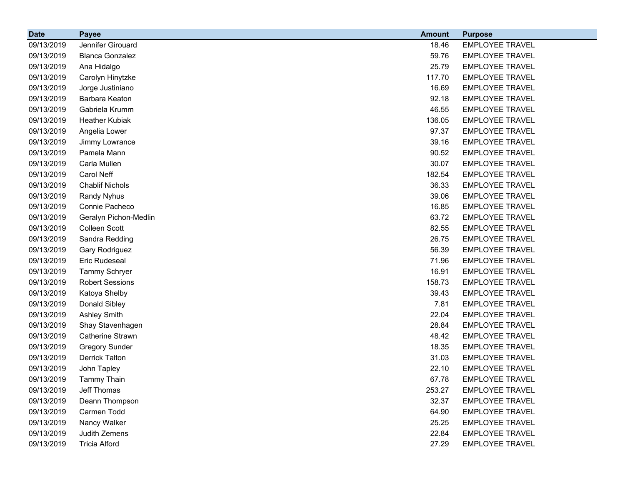| <b>Date</b> | <b>Payee</b>            | <b>Amount</b> | <b>Purpose</b>         |
|-------------|-------------------------|---------------|------------------------|
| 09/13/2019  | Jennifer Girouard       | 18.46         | <b>EMPLOYEE TRAVEL</b> |
| 09/13/2019  | <b>Blanca Gonzalez</b>  | 59.76         | <b>EMPLOYEE TRAVEL</b> |
| 09/13/2019  | Ana Hidalgo             | 25.79         | <b>EMPLOYEE TRAVEL</b> |
| 09/13/2019  | Carolyn Hinytzke        | 117.70        | <b>EMPLOYEE TRAVEL</b> |
| 09/13/2019  | Jorge Justiniano        | 16.69         | <b>EMPLOYEE TRAVEL</b> |
| 09/13/2019  | Barbara Keaton          | 92.18         | <b>EMPLOYEE TRAVEL</b> |
| 09/13/2019  | Gabriela Krumm          | 46.55         | <b>EMPLOYEE TRAVEL</b> |
| 09/13/2019  | <b>Heather Kubiak</b>   | 136.05        | <b>EMPLOYEE TRAVEL</b> |
| 09/13/2019  | Angelia Lower           | 97.37         | <b>EMPLOYEE TRAVEL</b> |
| 09/13/2019  | Jimmy Lowrance          | 39.16         | <b>EMPLOYEE TRAVEL</b> |
| 09/13/2019  | Pamela Mann             | 90.52         | <b>EMPLOYEE TRAVEL</b> |
| 09/13/2019  | Carla Mullen            | 30.07         | <b>EMPLOYEE TRAVEL</b> |
| 09/13/2019  | Carol Neff              | 182.54        | <b>EMPLOYEE TRAVEL</b> |
| 09/13/2019  | <b>Chablif Nichols</b>  | 36.33         | <b>EMPLOYEE TRAVEL</b> |
| 09/13/2019  | <b>Randy Nyhus</b>      | 39.06         | <b>EMPLOYEE TRAVEL</b> |
| 09/13/2019  | Connie Pacheco          | 16.85         | <b>EMPLOYEE TRAVEL</b> |
| 09/13/2019  | Geralyn Pichon-Medlin   | 63.72         | <b>EMPLOYEE TRAVEL</b> |
| 09/13/2019  | <b>Colleen Scott</b>    | 82.55         | <b>EMPLOYEE TRAVEL</b> |
| 09/13/2019  | Sandra Redding          | 26.75         | <b>EMPLOYEE TRAVEL</b> |
| 09/13/2019  | Gary Rodriguez          | 56.39         | <b>EMPLOYEE TRAVEL</b> |
| 09/13/2019  | Eric Rudeseal           | 71.96         | <b>EMPLOYEE TRAVEL</b> |
| 09/13/2019  | <b>Tammy Schryer</b>    | 16.91         | <b>EMPLOYEE TRAVEL</b> |
| 09/13/2019  | <b>Robert Sessions</b>  | 158.73        | <b>EMPLOYEE TRAVEL</b> |
| 09/13/2019  | Katoya Shelby           | 39.43         | <b>EMPLOYEE TRAVEL</b> |
| 09/13/2019  | Donald Sibley           | 7.81          | <b>EMPLOYEE TRAVEL</b> |
| 09/13/2019  | <b>Ashley Smith</b>     | 22.04         | <b>EMPLOYEE TRAVEL</b> |
| 09/13/2019  | Shay Stavenhagen        | 28.84         | <b>EMPLOYEE TRAVEL</b> |
| 09/13/2019  | <b>Catherine Strawn</b> | 48.42         | <b>EMPLOYEE TRAVEL</b> |
| 09/13/2019  | <b>Gregory Sunder</b>   | 18.35         | <b>EMPLOYEE TRAVEL</b> |
| 09/13/2019  | <b>Derrick Talton</b>   | 31.03         | <b>EMPLOYEE TRAVEL</b> |
| 09/13/2019  | John Tapley             | 22.10         | <b>EMPLOYEE TRAVEL</b> |
| 09/13/2019  | <b>Tammy Thain</b>      | 67.78         | <b>EMPLOYEE TRAVEL</b> |
| 09/13/2019  | Jeff Thomas             | 253.27        | <b>EMPLOYEE TRAVEL</b> |
| 09/13/2019  | Deann Thompson          | 32.37         | <b>EMPLOYEE TRAVEL</b> |
| 09/13/2019  | Carmen Todd             | 64.90         | <b>EMPLOYEE TRAVEL</b> |
| 09/13/2019  | Nancy Walker            | 25.25         | <b>EMPLOYEE TRAVEL</b> |
| 09/13/2019  | Judith Zemens           | 22.84         | <b>EMPLOYEE TRAVEL</b> |
| 09/13/2019  | <b>Tricia Alford</b>    | 27.29         | <b>EMPLOYEE TRAVEL</b> |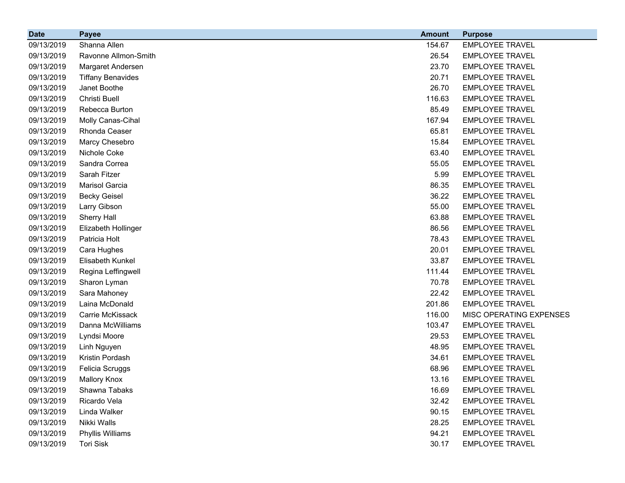| <b>Date</b> | <b>Payee</b>             | <b>Amount</b> | <b>Purpose</b>          |
|-------------|--------------------------|---------------|-------------------------|
| 09/13/2019  | Shanna Allen             | 154.67        | <b>EMPLOYEE TRAVEL</b>  |
| 09/13/2019  | Ravonne Allmon-Smith     | 26.54         | <b>EMPLOYEE TRAVEL</b>  |
| 09/13/2019  | Margaret Andersen        | 23.70         | <b>EMPLOYEE TRAVEL</b>  |
| 09/13/2019  | <b>Tiffany Benavides</b> | 20.71         | <b>EMPLOYEE TRAVEL</b>  |
| 09/13/2019  | Janet Boothe             | 26.70         | <b>EMPLOYEE TRAVEL</b>  |
| 09/13/2019  | Christi Buell            | 116.63        | <b>EMPLOYEE TRAVEL</b>  |
| 09/13/2019  | Rebecca Burton           | 85.49         | <b>EMPLOYEE TRAVEL</b>  |
| 09/13/2019  | Molly Canas-Cihal        | 167.94        | <b>EMPLOYEE TRAVEL</b>  |
| 09/13/2019  | Rhonda Ceaser            | 65.81         | <b>EMPLOYEE TRAVEL</b>  |
| 09/13/2019  | Marcy Chesebro           | 15.84         | <b>EMPLOYEE TRAVEL</b>  |
| 09/13/2019  | Nichole Coke             | 63.40         | <b>EMPLOYEE TRAVEL</b>  |
| 09/13/2019  | Sandra Correa            | 55.05         | <b>EMPLOYEE TRAVEL</b>  |
| 09/13/2019  | Sarah Fitzer             | 5.99          | <b>EMPLOYEE TRAVEL</b>  |
| 09/13/2019  | Marisol Garcia           | 86.35         | <b>EMPLOYEE TRAVEL</b>  |
| 09/13/2019  | <b>Becky Geisel</b>      | 36.22         | <b>EMPLOYEE TRAVEL</b>  |
| 09/13/2019  | Larry Gibson             | 55.00         | <b>EMPLOYEE TRAVEL</b>  |
| 09/13/2019  | Sherry Hall              | 63.88         | <b>EMPLOYEE TRAVEL</b>  |
| 09/13/2019  | Elizabeth Hollinger      | 86.56         | <b>EMPLOYEE TRAVEL</b>  |
| 09/13/2019  | Patricia Holt            | 78.43         | <b>EMPLOYEE TRAVEL</b>  |
| 09/13/2019  | Cara Hughes              | 20.01         | <b>EMPLOYEE TRAVEL</b>  |
| 09/13/2019  | Elisabeth Kunkel         | 33.87         | <b>EMPLOYEE TRAVEL</b>  |
| 09/13/2019  | Regina Leffingwell       | 111.44        | <b>EMPLOYEE TRAVEL</b>  |
| 09/13/2019  | Sharon Lyman             | 70.78         | <b>EMPLOYEE TRAVEL</b>  |
| 09/13/2019  | Sara Mahoney             | 22.42         | <b>EMPLOYEE TRAVEL</b>  |
| 09/13/2019  | Laina McDonald           | 201.86        | <b>EMPLOYEE TRAVEL</b>  |
| 09/13/2019  | Carrie McKissack         | 116.00        | MISC OPERATING EXPENSES |
| 09/13/2019  | Danna McWilliams         | 103.47        | <b>EMPLOYEE TRAVEL</b>  |
| 09/13/2019  | Lyndsi Moore             | 29.53         | <b>EMPLOYEE TRAVEL</b>  |
| 09/13/2019  | Linh Nguyen              | 48.95         | <b>EMPLOYEE TRAVEL</b>  |
| 09/13/2019  | Kristin Pordash          | 34.61         | <b>EMPLOYEE TRAVEL</b>  |
| 09/13/2019  | Felicia Scruggs          | 68.96         | <b>EMPLOYEE TRAVEL</b>  |
| 09/13/2019  | <b>Mallory Knox</b>      | 13.16         | <b>EMPLOYEE TRAVEL</b>  |
| 09/13/2019  | Shawna Tabaks            | 16.69         | <b>EMPLOYEE TRAVEL</b>  |
| 09/13/2019  | Ricardo Vela             | 32.42         | <b>EMPLOYEE TRAVEL</b>  |
| 09/13/2019  | Linda Walker             | 90.15         | <b>EMPLOYEE TRAVEL</b>  |
| 09/13/2019  | Nikki Walls              | 28.25         | <b>EMPLOYEE TRAVEL</b>  |
| 09/13/2019  | <b>Phyllis Williams</b>  | 94.21         | <b>EMPLOYEE TRAVEL</b>  |
| 09/13/2019  | <b>Tori Sisk</b>         | 30.17         | <b>EMPLOYEE TRAVEL</b>  |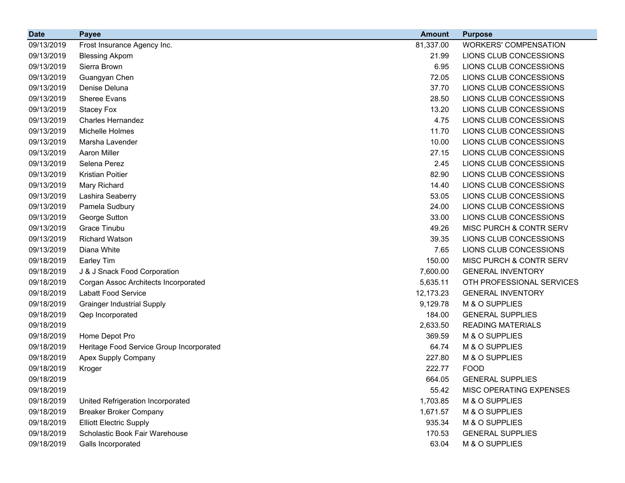| <b>Date</b> | <b>Payee</b>                             | <b>Amount</b> | <b>Purpose</b>               |
|-------------|------------------------------------------|---------------|------------------------------|
| 09/13/2019  | Frost Insurance Agency Inc.              | 81,337.00     | <b>WORKERS' COMPENSATION</b> |
| 09/13/2019  | <b>Blessing Akpom</b>                    | 21.99         | LIONS CLUB CONCESSIONS       |
| 09/13/2019  | Sierra Brown                             | 6.95          | LIONS CLUB CONCESSIONS       |
| 09/13/2019  | Guangyan Chen                            | 72.05         | LIONS CLUB CONCESSIONS       |
| 09/13/2019  | Denise Deluna                            | 37.70         | LIONS CLUB CONCESSIONS       |
| 09/13/2019  | Sheree Evans                             | 28.50         | LIONS CLUB CONCESSIONS       |
| 09/13/2019  | <b>Stacey Fox</b>                        | 13.20         | LIONS CLUB CONCESSIONS       |
| 09/13/2019  | <b>Charles Hernandez</b>                 | 4.75          | LIONS CLUB CONCESSIONS       |
| 09/13/2019  | Michelle Holmes                          | 11.70         | LIONS CLUB CONCESSIONS       |
| 09/13/2019  | Marsha Lavender                          | 10.00         | LIONS CLUB CONCESSIONS       |
| 09/13/2019  | <b>Aaron Miller</b>                      | 27.15         | LIONS CLUB CONCESSIONS       |
| 09/13/2019  | Selena Perez                             | 2.45          | LIONS CLUB CONCESSIONS       |
| 09/13/2019  | <b>Kristian Poitier</b>                  | 82.90         | LIONS CLUB CONCESSIONS       |
| 09/13/2019  | Mary Richard                             | 14.40         | LIONS CLUB CONCESSIONS       |
| 09/13/2019  | Lashira Seaberry                         | 53.05         | LIONS CLUB CONCESSIONS       |
| 09/13/2019  | Pamela Sudbury                           | 24.00         | LIONS CLUB CONCESSIONS       |
| 09/13/2019  | George Sutton                            | 33.00         | LIONS CLUB CONCESSIONS       |
| 09/13/2019  | Grace Tinubu                             | 49.26         | MISC PURCH & CONTR SERV      |
| 09/13/2019  | <b>Richard Watson</b>                    | 39.35         | LIONS CLUB CONCESSIONS       |
| 09/13/2019  | Diana White                              | 7.65          | LIONS CLUB CONCESSIONS       |
| 09/18/2019  | Earley Tim                               | 150.00        | MISC PURCH & CONTR SERV      |
| 09/18/2019  | J & J Snack Food Corporation             | 7,600.00      | <b>GENERAL INVENTORY</b>     |
| 09/18/2019  | Corgan Assoc Architects Incorporated     | 5,635.11      | OTH PROFESSIONAL SERVICES    |
| 09/18/2019  | Labatt Food Service                      | 12,173.23     | <b>GENERAL INVENTORY</b>     |
| 09/18/2019  | <b>Grainger Industrial Supply</b>        | 9,129.78      | M & O SUPPLIES               |
| 09/18/2019  | Qep Incorporated                         | 184.00        | <b>GENERAL SUPPLIES</b>      |
| 09/18/2019  |                                          | 2,633.50      | <b>READING MATERIALS</b>     |
| 09/18/2019  | Home Depot Pro                           | 369.59        | M & O SUPPLIES               |
| 09/18/2019  | Heritage Food Service Group Incorporated | 64.74         | M & O SUPPLIES               |
| 09/18/2019  | Apex Supply Company                      | 227.80        | M & O SUPPLIES               |
| 09/18/2019  | Kroger                                   | 222.77        | <b>FOOD</b>                  |
| 09/18/2019  |                                          | 664.05        | <b>GENERAL SUPPLIES</b>      |
| 09/18/2019  |                                          | 55.42         | MISC OPERATING EXPENSES      |
| 09/18/2019  | United Refrigeration Incorporated        | 1,703.85      | M & O SUPPLIES               |
| 09/18/2019  | <b>Breaker Broker Company</b>            | 1,671.57      | M & O SUPPLIES               |
| 09/18/2019  | <b>Elliott Electric Supply</b>           | 935.34        | M & O SUPPLIES               |
| 09/18/2019  | Scholastic Book Fair Warehouse           | 170.53        | <b>GENERAL SUPPLIES</b>      |
| 09/18/2019  | Galls Incorporated                       | 63.04         | M & O SUPPLIES               |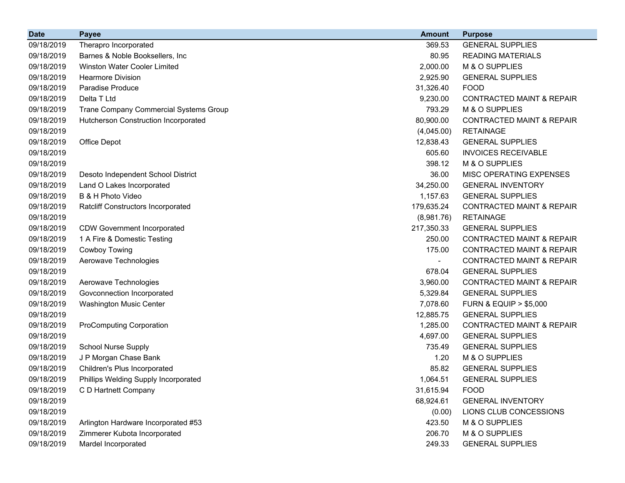| <b>Date</b> | <b>Payee</b>                              | <b>Amount</b> | <b>Purpose</b>                       |
|-------------|-------------------------------------------|---------------|--------------------------------------|
| 09/18/2019  | Therapro Incorporated                     | 369.53        | <b>GENERAL SUPPLIES</b>              |
| 09/18/2019  | Barnes & Noble Booksellers, Inc.          | 80.95         | <b>READING MATERIALS</b>             |
| 09/18/2019  | <b>Winston Water Cooler Limited</b>       | 2,000.00      | M & O SUPPLIES                       |
| 09/18/2019  | <b>Hearmore Division</b>                  | 2,925.90      | <b>GENERAL SUPPLIES</b>              |
| 09/18/2019  | Paradise Produce                          | 31,326.40     | <b>FOOD</b>                          |
| 09/18/2019  | Delta T Ltd                               | 9,230.00      | <b>CONTRACTED MAINT &amp; REPAIR</b> |
| 09/18/2019  | Trane Company Commercial Systems Group    | 793.29        | M & O SUPPLIES                       |
| 09/18/2019  | Hutcherson Construction Incorporated      | 80,900.00     | <b>CONTRACTED MAINT &amp; REPAIR</b> |
| 09/18/2019  |                                           | (4,045.00)    | <b>RETAINAGE</b>                     |
| 09/18/2019  | Office Depot                              | 12,838.43     | <b>GENERAL SUPPLIES</b>              |
| 09/18/2019  |                                           | 605.60        | <b>INVOICES RECEIVABLE</b>           |
| 09/18/2019  |                                           | 398.12        | M & O SUPPLIES                       |
| 09/18/2019  | Desoto Independent School District        | 36.00         | MISC OPERATING EXPENSES              |
| 09/18/2019  | Land O Lakes Incorporated                 | 34,250.00     | <b>GENERAL INVENTORY</b>             |
| 09/18/2019  | B & H Photo Video                         | 1,157.63      | <b>GENERAL SUPPLIES</b>              |
| 09/18/2019  | <b>Ratcliff Constructors Incorporated</b> | 179,635.24    | CONTRACTED MAINT & REPAIR            |
| 09/18/2019  |                                           | (8,981.76)    | <b>RETAINAGE</b>                     |
| 09/18/2019  | <b>CDW Government Incorporated</b>        | 217,350.33    | <b>GENERAL SUPPLIES</b>              |
| 09/18/2019  | 1 A Fire & Domestic Testing               | 250.00        | <b>CONTRACTED MAINT &amp; REPAIR</b> |
| 09/18/2019  | Cowboy Towing                             | 175.00        | <b>CONTRACTED MAINT &amp; REPAIR</b> |
| 09/18/2019  | Aerowave Technologies                     |               | <b>CONTRACTED MAINT &amp; REPAIR</b> |
| 09/18/2019  |                                           | 678.04        | <b>GENERAL SUPPLIES</b>              |
| 09/18/2019  | Aerowave Technologies                     | 3,960.00      | <b>CONTRACTED MAINT &amp; REPAIR</b> |
| 09/18/2019  | Govconnection Incorporated                | 5,329.84      | <b>GENERAL SUPPLIES</b>              |
| 09/18/2019  | Washington Music Center                   | 7,078.60      | <b>FURN &amp; EQUIP &gt; \$5,000</b> |
| 09/18/2019  |                                           | 12,885.75     | <b>GENERAL SUPPLIES</b>              |
| 09/18/2019  | <b>ProComputing Corporation</b>           | 1,285.00      | <b>CONTRACTED MAINT &amp; REPAIR</b> |
| 09/18/2019  |                                           | 4,697.00      | <b>GENERAL SUPPLIES</b>              |
| 09/18/2019  | <b>School Nurse Supply</b>                | 735.49        | <b>GENERAL SUPPLIES</b>              |
| 09/18/2019  | J P Morgan Chase Bank                     | 1.20          | M & O SUPPLIES                       |
| 09/18/2019  | Children's Plus Incorporated              | 85.82         | <b>GENERAL SUPPLIES</b>              |
| 09/18/2019  | Phillips Welding Supply Incorporated      | 1,064.51      | <b>GENERAL SUPPLIES</b>              |
| 09/18/2019  | C D Hartnett Company                      | 31,615.94     | <b>FOOD</b>                          |
| 09/18/2019  |                                           | 68,924.61     | <b>GENERAL INVENTORY</b>             |
| 09/18/2019  |                                           | (0.00)        | LIONS CLUB CONCESSIONS               |
| 09/18/2019  | Arlington Hardware Incorporated #53       | 423.50        | M & O SUPPLIES                       |
| 09/18/2019  | Zimmerer Kubota Incorporated              | 206.70        | M & O SUPPLIES                       |
| 09/18/2019  | Mardel Incorporated                       | 249.33        | <b>GENERAL SUPPLIES</b>              |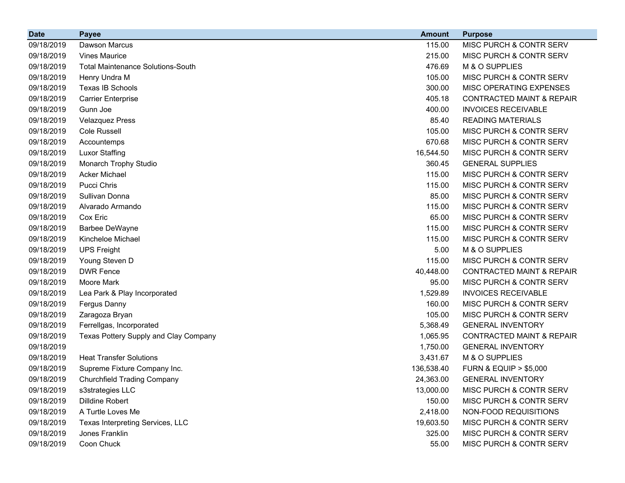| <b>Date</b> | <b>Payee</b>                             | <b>Amount</b> | <b>Purpose</b>                       |
|-------------|------------------------------------------|---------------|--------------------------------------|
| 09/18/2019  | Dawson Marcus                            | 115.00        | MISC PURCH & CONTR SERV              |
| 09/18/2019  | <b>Vines Maurice</b>                     | 215.00        | MISC PURCH & CONTR SERV              |
| 09/18/2019  | <b>Total Maintenance Solutions-South</b> | 476.69        | M & O SUPPLIES                       |
| 09/18/2019  | Henry Undra M                            | 105.00        | MISC PURCH & CONTR SERV              |
| 09/18/2019  | Texas IB Schools                         | 300.00        | MISC OPERATING EXPENSES              |
| 09/18/2019  | <b>Carrier Enterprise</b>                | 405.18        | <b>CONTRACTED MAINT &amp; REPAIR</b> |
| 09/18/2019  | Gunn Joe                                 | 400.00        | <b>INVOICES RECEIVABLE</b>           |
| 09/18/2019  | <b>Velazquez Press</b>                   | 85.40         | <b>READING MATERIALS</b>             |
| 09/18/2019  | <b>Cole Russell</b>                      | 105.00        | MISC PURCH & CONTR SERV              |
| 09/18/2019  | Accountemps                              | 670.68        | MISC PURCH & CONTR SERV              |
| 09/18/2019  | <b>Luxor Staffing</b>                    | 16,544.50     | MISC PURCH & CONTR SERV              |
| 09/18/2019  | Monarch Trophy Studio                    | 360.45        | <b>GENERAL SUPPLIES</b>              |
| 09/18/2019  | <b>Acker Michael</b>                     | 115.00        | MISC PURCH & CONTR SERV              |
| 09/18/2019  | <b>Pucci Chris</b>                       | 115.00        | MISC PURCH & CONTR SERV              |
| 09/18/2019  | Sullivan Donna                           | 85.00         | MISC PURCH & CONTR SERV              |
| 09/18/2019  | Alvarado Armando                         | 115.00        | MISC PURCH & CONTR SERV              |
| 09/18/2019  | Cox Eric                                 | 65.00         | MISC PURCH & CONTR SERV              |
| 09/18/2019  | <b>Barbee DeWayne</b>                    | 115.00        | MISC PURCH & CONTR SERV              |
| 09/18/2019  | Kincheloe Michael                        | 115.00        | MISC PURCH & CONTR SERV              |
| 09/18/2019  | <b>UPS Freight</b>                       | 5.00          | M & O SUPPLIES                       |
| 09/18/2019  | Young Steven D                           | 115.00        | MISC PURCH & CONTR SERV              |
| 09/18/2019  | <b>DWR Fence</b>                         | 40,448.00     | <b>CONTRACTED MAINT &amp; REPAIR</b> |
| 09/18/2019  | Moore Mark                               | 95.00         | MISC PURCH & CONTR SERV              |
| 09/18/2019  | Lea Park & Play Incorporated             | 1,529.89      | <b>INVOICES RECEIVABLE</b>           |
| 09/18/2019  | Fergus Danny                             | 160.00        | MISC PURCH & CONTR SERV              |
| 09/18/2019  | Zaragoza Bryan                           | 105.00        | MISC PURCH & CONTR SERV              |
| 09/18/2019  | Ferrellgas, Incorporated                 | 5,368.49      | <b>GENERAL INVENTORY</b>             |
| 09/18/2019  | Texas Pottery Supply and Clay Company    | 1,065.95      | <b>CONTRACTED MAINT &amp; REPAIR</b> |
| 09/18/2019  |                                          | 1,750.00      | <b>GENERAL INVENTORY</b>             |
| 09/18/2019  | <b>Heat Transfer Solutions</b>           | 3,431.67      | M & O SUPPLIES                       |
| 09/18/2019  | Supreme Fixture Company Inc.             | 136,538.40    | <b>FURN &amp; EQUIP &gt; \$5,000</b> |
| 09/18/2019  | <b>Churchfield Trading Company</b>       | 24,363.00     | <b>GENERAL INVENTORY</b>             |
| 09/18/2019  | s3strategies LLC                         | 13,000.00     | MISC PURCH & CONTR SERV              |
| 09/18/2019  | Dilldine Robert                          | 150.00        | MISC PURCH & CONTR SERV              |
| 09/18/2019  | A Turtle Loves Me                        | 2,418.00      | NON-FOOD REQUISITIONS                |
| 09/18/2019  | Texas Interpreting Services, LLC         | 19,603.50     | MISC PURCH & CONTR SERV              |
| 09/18/2019  | Jones Franklin                           | 325.00        | MISC PURCH & CONTR SERV              |
| 09/18/2019  | Coon Chuck                               | 55.00         | MISC PURCH & CONTR SERV              |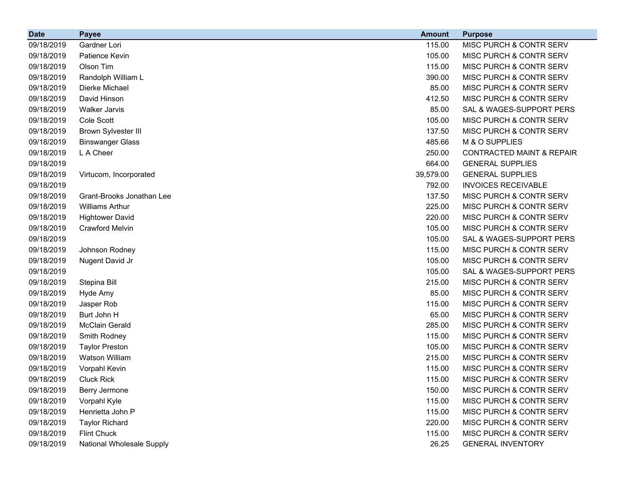| <b>Date</b> | <b>Payee</b>              | <b>Amount</b> | <b>Purpose</b>                       |
|-------------|---------------------------|---------------|--------------------------------------|
| 09/18/2019  | Gardner Lori              | 115.00        | MISC PURCH & CONTR SERV              |
| 09/18/2019  | Patience Kevin            | 105.00        | MISC PURCH & CONTR SERV              |
| 09/18/2019  | Olson Tim                 | 115.00        | MISC PURCH & CONTR SERV              |
| 09/18/2019  | Randolph William L        | 390.00        | MISC PURCH & CONTR SERV              |
| 09/18/2019  | Dierke Michael            | 85.00         | MISC PURCH & CONTR SERV              |
| 09/18/2019  | David Hinson              | 412.50        | MISC PURCH & CONTR SERV              |
| 09/18/2019  | <b>Walker Jarvis</b>      | 85.00         | SAL & WAGES-SUPPORT PERS             |
| 09/18/2019  | Cole Scott                | 105.00        | <b>MISC PURCH &amp; CONTR SERV</b>   |
| 09/18/2019  | Brown Sylvester III       | 137.50        | <b>MISC PURCH &amp; CONTR SERV</b>   |
| 09/18/2019  | <b>Binswanger Glass</b>   | 485.66        | M & O SUPPLIES                       |
| 09/18/2019  | L A Cheer                 | 250.00        | <b>CONTRACTED MAINT &amp; REPAIR</b> |
| 09/18/2019  |                           | 664.00        | <b>GENERAL SUPPLIES</b>              |
| 09/18/2019  | Virtucom, Incorporated    | 39,579.00     | <b>GENERAL SUPPLIES</b>              |
| 09/18/2019  |                           | 792.00        | <b>INVOICES RECEIVABLE</b>           |
| 09/18/2019  | Grant-Brooks Jonathan Lee | 137.50        | <b>MISC PURCH &amp; CONTR SERV</b>   |
| 09/18/2019  | <b>Williams Arthur</b>    | 225.00        | MISC PURCH & CONTR SERV              |
| 09/18/2019  | <b>Hightower David</b>    | 220.00        | MISC PURCH & CONTR SERV              |
| 09/18/2019  | <b>Crawford Melvin</b>    | 105.00        | MISC PURCH & CONTR SERV              |
| 09/18/2019  |                           | 105.00        | SAL & WAGES-SUPPORT PERS             |
| 09/18/2019  | Johnson Rodney            | 115.00        | MISC PURCH & CONTR SERV              |
| 09/18/2019  | Nugent David Jr           | 105.00        | <b>MISC PURCH &amp; CONTR SERV</b>   |
| 09/18/2019  |                           | 105.00        | SAL & WAGES-SUPPORT PERS             |
| 09/18/2019  | Stepina Bill              | 215.00        | MISC PURCH & CONTR SERV              |
| 09/18/2019  | Hyde Amy                  | 85.00         | <b>MISC PURCH &amp; CONTR SERV</b>   |
| 09/18/2019  | Jasper Rob                | 115.00        | MISC PURCH & CONTR SERV              |
| 09/18/2019  | Burt John H               | 65.00         | MISC PURCH & CONTR SERV              |
| 09/18/2019  | <b>McClain Gerald</b>     | 285.00        | MISC PURCH & CONTR SERV              |
| 09/18/2019  | Smith Rodney              | 115.00        | <b>MISC PURCH &amp; CONTR SERV</b>   |
| 09/18/2019  | <b>Taylor Preston</b>     | 105.00        | <b>MISC PURCH &amp; CONTR SERV</b>   |
| 09/18/2019  | <b>Watson William</b>     | 215.00        | MISC PURCH & CONTR SERV              |
| 09/18/2019  | Vorpahl Kevin             | 115.00        | MISC PURCH & CONTR SERV              |
| 09/18/2019  | <b>Cluck Rick</b>         | 115.00        | MISC PURCH & CONTR SERV              |
| 09/18/2019  | Berry Jermone             | 150.00        | MISC PURCH & CONTR SERV              |
| 09/18/2019  | Vorpahl Kyle              | 115.00        | MISC PURCH & CONTR SERV              |
| 09/18/2019  | Henrietta John P          | 115.00        | MISC PURCH & CONTR SERV              |
| 09/18/2019  | <b>Taylor Richard</b>     | 220.00        | MISC PURCH & CONTR SERV              |
| 09/18/2019  | <b>Flint Chuck</b>        | 115.00        | MISC PURCH & CONTR SERV              |
| 09/18/2019  | National Wholesale Supply | 26.25         | <b>GENERAL INVENTORY</b>             |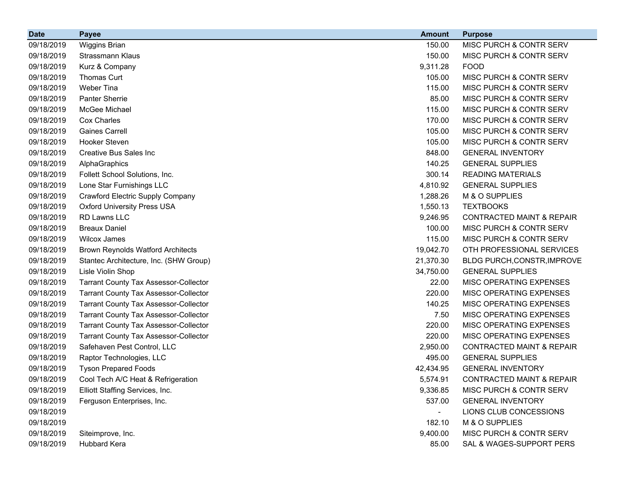| <b>Date</b> | <b>Payee</b>                                 | <b>Amount</b> | <b>Purpose</b>                       |
|-------------|----------------------------------------------|---------------|--------------------------------------|
| 09/18/2019  | <b>Wiggins Brian</b>                         | 150.00        | MISC PURCH & CONTR SERV              |
| 09/18/2019  | Strassmann Klaus                             | 150.00        | MISC PURCH & CONTR SERV              |
| 09/18/2019  | Kurz & Company                               | 9,311.28      | <b>FOOD</b>                          |
| 09/18/2019  | <b>Thomas Curt</b>                           | 105.00        | MISC PURCH & CONTR SERV              |
| 09/18/2019  | Weber Tina                                   | 115.00        | MISC PURCH & CONTR SERV              |
| 09/18/2019  | <b>Panter Sherrie</b>                        | 85.00         | MISC PURCH & CONTR SERV              |
| 09/18/2019  | McGee Michael                                | 115.00        | MISC PURCH & CONTR SERV              |
| 09/18/2019  | Cox Charles                                  | 170.00        | MISC PURCH & CONTR SERV              |
| 09/18/2019  | <b>Gaines Carrell</b>                        | 105.00        | MISC PURCH & CONTR SERV              |
| 09/18/2019  | Hooker Steven                                | 105.00        | MISC PURCH & CONTR SERV              |
| 09/18/2019  | Creative Bus Sales Inc                       | 848.00        | <b>GENERAL INVENTORY</b>             |
| 09/18/2019  | AlphaGraphics                                | 140.25        | <b>GENERAL SUPPLIES</b>              |
| 09/18/2019  | Follett School Solutions, Inc.               | 300.14        | <b>READING MATERIALS</b>             |
| 09/18/2019  | Lone Star Furnishings LLC                    | 4,810.92      | <b>GENERAL SUPPLIES</b>              |
| 09/18/2019  | <b>Crawford Electric Supply Company</b>      | 1,288.26      | M & O SUPPLIES                       |
| 09/18/2019  | <b>Oxford University Press USA</b>           | 1,550.13      | <b>TEXTBOOKS</b>                     |
| 09/18/2019  | <b>RD Lawns LLC</b>                          | 9,246.95      | <b>CONTRACTED MAINT &amp; REPAIR</b> |
| 09/18/2019  | <b>Breaux Daniel</b>                         | 100.00        | MISC PURCH & CONTR SERV              |
| 09/18/2019  | <b>Wilcox James</b>                          | 115.00        | MISC PURCH & CONTR SERV              |
| 09/18/2019  | <b>Brown Reynolds Watford Architects</b>     | 19,042.70     | OTH PROFESSIONAL SERVICES            |
| 09/18/2019  | Stantec Architecture, Inc. (SHW Group)       | 21,370.30     | BLDG PURCH, CONSTR, IMPROVE          |
| 09/18/2019  | Lisle Violin Shop                            | 34,750.00     | <b>GENERAL SUPPLIES</b>              |
| 09/18/2019  | <b>Tarrant County Tax Assessor-Collector</b> | 22.00         | MISC OPERATING EXPENSES              |
| 09/18/2019  | <b>Tarrant County Tax Assessor-Collector</b> | 220.00        | MISC OPERATING EXPENSES              |
| 09/18/2019  | <b>Tarrant County Tax Assessor-Collector</b> | 140.25        | MISC OPERATING EXPENSES              |
| 09/18/2019  | <b>Tarrant County Tax Assessor-Collector</b> | 7.50          | MISC OPERATING EXPENSES              |
| 09/18/2019  | <b>Tarrant County Tax Assessor-Collector</b> | 220.00        | MISC OPERATING EXPENSES              |
| 09/18/2019  | <b>Tarrant County Tax Assessor-Collector</b> | 220.00        | MISC OPERATING EXPENSES              |
| 09/18/2019  | Safehaven Pest Control, LLC                  | 2,950.00      | <b>CONTRACTED MAINT &amp; REPAIR</b> |
| 09/18/2019  | Raptor Technologies, LLC                     | 495.00        | <b>GENERAL SUPPLIES</b>              |
| 09/18/2019  | <b>Tyson Prepared Foods</b>                  | 42,434.95     | <b>GENERAL INVENTORY</b>             |
| 09/18/2019  | Cool Tech A/C Heat & Refrigeration           | 5,574.91      | <b>CONTRACTED MAINT &amp; REPAIR</b> |
| 09/18/2019  | Elliott Staffing Services, Inc.              | 9,336.85      | MISC PURCH & CONTR SERV              |
| 09/18/2019  | Ferguson Enterprises, Inc.                   | 537.00        | <b>GENERAL INVENTORY</b>             |
| 09/18/2019  |                                              |               | LIONS CLUB CONCESSIONS               |
| 09/18/2019  |                                              | 182.10        | M & O SUPPLIES                       |
| 09/18/2019  | Siteimprove, Inc.                            | 9,400.00      | MISC PURCH & CONTR SERV              |
| 09/18/2019  | Hubbard Kera                                 | 85.00         | SAL & WAGES-SUPPORT PERS             |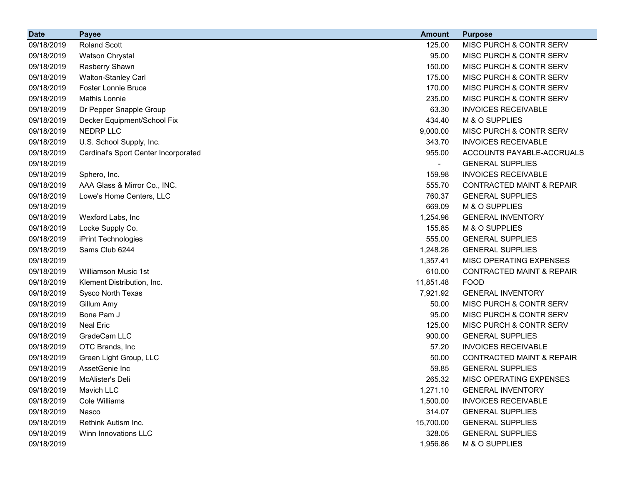| <b>Date</b> | <b>Payee</b>                         | <b>Amount</b>  | <b>Purpose</b>                       |
|-------------|--------------------------------------|----------------|--------------------------------------|
| 09/18/2019  | <b>Roland Scott</b>                  | 125.00         | MISC PURCH & CONTR SERV              |
| 09/18/2019  | Watson Chrystal                      | 95.00          | MISC PURCH & CONTR SERV              |
| 09/18/2019  | Rasberry Shawn                       | 150.00         | MISC PURCH & CONTR SERV              |
| 09/18/2019  | <b>Walton-Stanley Carl</b>           | 175.00         | <b>MISC PURCH &amp; CONTR SERV</b>   |
| 09/18/2019  | <b>Foster Lonnie Bruce</b>           | 170.00         | MISC PURCH & CONTR SERV              |
| 09/18/2019  | Mathis Lonnie                        | 235.00         | MISC PURCH & CONTR SERV              |
| 09/18/2019  | Dr Pepper Snapple Group              | 63.30          | <b>INVOICES RECEIVABLE</b>           |
| 09/18/2019  | Decker Equipment/School Fix          | 434.40         | M & O SUPPLIES                       |
| 09/18/2019  | NEDRP LLC                            | 9,000.00       | MISC PURCH & CONTR SERV              |
| 09/18/2019  | U.S. School Supply, Inc.             | 343.70         | <b>INVOICES RECEIVABLE</b>           |
| 09/18/2019  | Cardinal's Sport Center Incorporated | 955.00         | ACCOUNTS PAYABLE-ACCRUALS            |
| 09/18/2019  |                                      | $\blacksquare$ | <b>GENERAL SUPPLIES</b>              |
| 09/18/2019  | Sphero, Inc.                         | 159.98         | <b>INVOICES RECEIVABLE</b>           |
| 09/18/2019  | AAA Glass & Mirror Co., INC.         | 555.70         | <b>CONTRACTED MAINT &amp; REPAIR</b> |
| 09/18/2019  | Lowe's Home Centers, LLC             | 760.37         | <b>GENERAL SUPPLIES</b>              |
| 09/18/2019  |                                      | 669.09         | M & O SUPPLIES                       |
| 09/18/2019  | Wexford Labs, Inc                    | 1,254.96       | <b>GENERAL INVENTORY</b>             |
| 09/18/2019  | Locke Supply Co.                     | 155.85         | M & O SUPPLIES                       |
| 09/18/2019  | iPrint Technologies                  | 555.00         | <b>GENERAL SUPPLIES</b>              |
| 09/18/2019  | Sams Club 6244                       | 1,248.26       | <b>GENERAL SUPPLIES</b>              |
| 09/18/2019  |                                      | 1,357.41       | MISC OPERATING EXPENSES              |
| 09/18/2019  | <b>Williamson Music 1st</b>          | 610.00         | <b>CONTRACTED MAINT &amp; REPAIR</b> |
| 09/18/2019  | Klement Distribution, Inc.           | 11,851.48      | <b>FOOD</b>                          |
| 09/18/2019  | Sysco North Texas                    | 7,921.92       | <b>GENERAL INVENTORY</b>             |
| 09/18/2019  | Gillum Amy                           | 50.00          | MISC PURCH & CONTR SERV              |
| 09/18/2019  | Bone Pam J                           | 95.00          | MISC PURCH & CONTR SERV              |
| 09/18/2019  | <b>Neal Eric</b>                     | 125.00         | MISC PURCH & CONTR SERV              |
| 09/18/2019  | GradeCam LLC                         | 900.00         | <b>GENERAL SUPPLIES</b>              |
| 09/18/2019  | OTC Brands, Inc                      | 57.20          | <b>INVOICES RECEIVABLE</b>           |
| 09/18/2019  | Green Light Group, LLC               | 50.00          | <b>CONTRACTED MAINT &amp; REPAIR</b> |
| 09/18/2019  | AssetGenie Inc                       | 59.85          | <b>GENERAL SUPPLIES</b>              |
| 09/18/2019  | McAlister's Deli                     | 265.32         | MISC OPERATING EXPENSES              |
| 09/18/2019  | Mavich LLC                           | 1,271.10       | <b>GENERAL INVENTORY</b>             |
| 09/18/2019  | <b>Cole Williams</b>                 | 1,500.00       | <b>INVOICES RECEIVABLE</b>           |
| 09/18/2019  | Nasco                                | 314.07         | <b>GENERAL SUPPLIES</b>              |
| 09/18/2019  | Rethink Autism Inc.                  | 15,700.00      | <b>GENERAL SUPPLIES</b>              |
| 09/18/2019  | Winn Innovations LLC                 | 328.05         | <b>GENERAL SUPPLIES</b>              |
| 09/18/2019  |                                      | 1,956.86       | M & O SUPPLIES                       |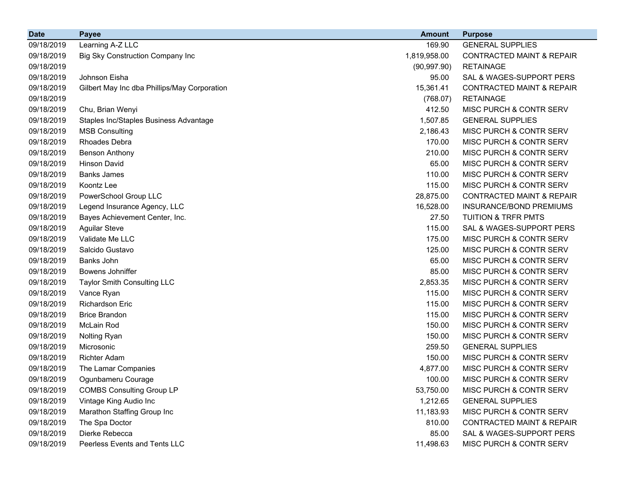| <b>Date</b> | <b>Payee</b>                                 | <b>Amount</b> | <b>Purpose</b>                       |
|-------------|----------------------------------------------|---------------|--------------------------------------|
| 09/18/2019  | Learning A-Z LLC                             | 169.90        | <b>GENERAL SUPPLIES</b>              |
| 09/18/2019  | Big Sky Construction Company Inc             | 1,819,958.00  | <b>CONTRACTED MAINT &amp; REPAIR</b> |
| 09/18/2019  |                                              | (90, 997.90)  | <b>RETAINAGE</b>                     |
| 09/18/2019  | Johnson Eisha                                | 95.00         | SAL & WAGES-SUPPORT PERS             |
| 09/18/2019  | Gilbert May Inc dba Phillips/May Corporation | 15,361.41     | <b>CONTRACTED MAINT &amp; REPAIR</b> |
| 09/18/2019  |                                              | (768.07)      | <b>RETAINAGE</b>                     |
| 09/18/2019  | Chu, Brian Wenyi                             | 412.50        | MISC PURCH & CONTR SERV              |
| 09/18/2019  | Staples Inc/Staples Business Advantage       | 1,507.85      | <b>GENERAL SUPPLIES</b>              |
| 09/18/2019  | <b>MSB Consulting</b>                        | 2,186.43      | MISC PURCH & CONTR SERV              |
| 09/18/2019  | Rhoades Debra                                | 170.00        | MISC PURCH & CONTR SERV              |
| 09/18/2019  | <b>Benson Anthony</b>                        | 210.00        | MISC PURCH & CONTR SERV              |
| 09/18/2019  | <b>Hinson David</b>                          | 65.00         | MISC PURCH & CONTR SERV              |
| 09/18/2019  | <b>Banks James</b>                           | 110.00        | MISC PURCH & CONTR SERV              |
| 09/18/2019  | Koontz Lee                                   | 115.00        | MISC PURCH & CONTR SERV              |
| 09/18/2019  | PowerSchool Group LLC                        | 28,875.00     | <b>CONTRACTED MAINT &amp; REPAIR</b> |
| 09/18/2019  | Legend Insurance Agency, LLC                 | 16,528.00     | INSURANCE/BOND PREMIUMS              |
| 09/18/2019  | Bayes Achievement Center, Inc.               | 27.50         | <b>TUITION &amp; TRFR PMTS</b>       |
| 09/18/2019  | <b>Aguilar Steve</b>                         | 115.00        | SAL & WAGES-SUPPORT PERS             |
| 09/18/2019  | Validate Me LLC                              | 175.00        | MISC PURCH & CONTR SERV              |
| 09/18/2019  | Salcido Gustavo                              | 125.00        | MISC PURCH & CONTR SERV              |
| 09/18/2019  | Banks John                                   | 65.00         | MISC PURCH & CONTR SERV              |
| 09/18/2019  | Bowens Johniffer                             | 85.00         | MISC PURCH & CONTR SERV              |
| 09/18/2019  | <b>Taylor Smith Consulting LLC</b>           | 2,853.35      | MISC PURCH & CONTR SERV              |
| 09/18/2019  | Vance Ryan                                   | 115.00        | MISC PURCH & CONTR SERV              |
| 09/18/2019  | <b>Richardson Eric</b>                       | 115.00        | MISC PURCH & CONTR SERV              |
| 09/18/2019  | <b>Brice Brandon</b>                         | 115.00        | MISC PURCH & CONTR SERV              |
| 09/18/2019  | McLain Rod                                   | 150.00        | MISC PURCH & CONTR SERV              |
| 09/18/2019  | Nolting Ryan                                 | 150.00        | MISC PURCH & CONTR SERV              |
| 09/18/2019  | Microsonic                                   | 259.50        | <b>GENERAL SUPPLIES</b>              |
| 09/18/2019  | <b>Richter Adam</b>                          | 150.00        | MISC PURCH & CONTR SERV              |
| 09/18/2019  | The Lamar Companies                          | 4,877.00      | MISC PURCH & CONTR SERV              |
| 09/18/2019  | Ogunbameru Courage                           | 100.00        | MISC PURCH & CONTR SERV              |
| 09/18/2019  | <b>COMBS Consulting Group LP</b>             | 53,750.00     | MISC PURCH & CONTR SERV              |
| 09/18/2019  | Vintage King Audio Inc                       | 1,212.65      | <b>GENERAL SUPPLIES</b>              |
| 09/18/2019  | Marathon Staffing Group Inc                  | 11,183.93     | MISC PURCH & CONTR SERV              |
| 09/18/2019  | The Spa Doctor                               | 810.00        | <b>CONTRACTED MAINT &amp; REPAIR</b> |
| 09/18/2019  | Dierke Rebecca                               | 85.00         | SAL & WAGES-SUPPORT PERS             |
| 09/18/2019  | Peerless Events and Tents LLC                | 11,498.63     | MISC PURCH & CONTR SERV              |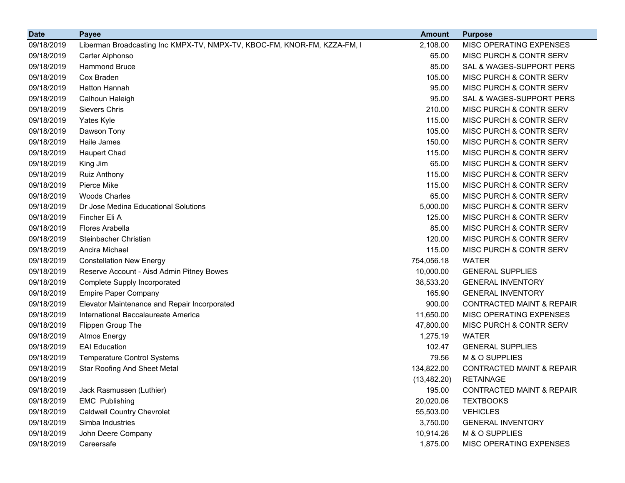| <b>Date</b> | <b>Payee</b>                                                             | <b>Amount</b> | <b>Purpose</b>                       |
|-------------|--------------------------------------------------------------------------|---------------|--------------------------------------|
| 09/18/2019  | Liberman Broadcasting Inc KMPX-TV, NMPX-TV, KBOC-FM, KNOR-FM, KZZA-FM, I | 2,108.00      | MISC OPERATING EXPENSES              |
| 09/18/2019  | Carter Alphonso                                                          | 65.00         | MISC PURCH & CONTR SERV              |
| 09/18/2019  | <b>Hammond Bruce</b>                                                     | 85.00         | SAL & WAGES-SUPPORT PERS             |
| 09/18/2019  | Cox Braden                                                               | 105.00        | MISC PURCH & CONTR SERV              |
| 09/18/2019  | Hatton Hannah                                                            | 95.00         | MISC PURCH & CONTR SERV              |
| 09/18/2019  | Calhoun Haleigh                                                          | 95.00         | SAL & WAGES-SUPPORT PERS             |
| 09/18/2019  | <b>Sievers Chris</b>                                                     | 210.00        | MISC PURCH & CONTR SERV              |
| 09/18/2019  | Yates Kyle                                                               | 115.00        | MISC PURCH & CONTR SERV              |
| 09/18/2019  | Dawson Tony                                                              | 105.00        | MISC PURCH & CONTR SERV              |
| 09/18/2019  | Haile James                                                              | 150.00        | MISC PURCH & CONTR SERV              |
| 09/18/2019  | <b>Haupert Chad</b>                                                      | 115.00        | MISC PURCH & CONTR SERV              |
| 09/18/2019  | King Jim                                                                 | 65.00         | MISC PURCH & CONTR SERV              |
| 09/18/2019  | Ruiz Anthony                                                             | 115.00        | MISC PURCH & CONTR SERV              |
| 09/18/2019  | Pierce Mike                                                              | 115.00        | MISC PURCH & CONTR SERV              |
| 09/18/2019  | <b>Woods Charles</b>                                                     | 65.00         | MISC PURCH & CONTR SERV              |
| 09/18/2019  | Dr Jose Medina Educational Solutions                                     | 5,000.00      | MISC PURCH & CONTR SERV              |
| 09/18/2019  | Fincher Eli A                                                            | 125.00        | MISC PURCH & CONTR SERV              |
| 09/18/2019  | Flores Arabella                                                          | 85.00         | MISC PURCH & CONTR SERV              |
| 09/18/2019  | Steinbacher Christian                                                    | 120.00        | MISC PURCH & CONTR SERV              |
| 09/18/2019  | Ancira Michael                                                           | 115.00        | MISC PURCH & CONTR SERV              |
| 09/18/2019  | <b>Constellation New Energy</b>                                          | 754,056.18    | <b>WATER</b>                         |
| 09/18/2019  | Reserve Account - Aisd Admin Pitney Bowes                                | 10,000.00     | <b>GENERAL SUPPLIES</b>              |
| 09/18/2019  | <b>Complete Supply Incorporated</b>                                      | 38,533.20     | <b>GENERAL INVENTORY</b>             |
| 09/18/2019  | <b>Empire Paper Company</b>                                              | 165.90        | <b>GENERAL INVENTORY</b>             |
| 09/18/2019  | Elevator Maintenance and Repair Incorporated                             | 900.00        | <b>CONTRACTED MAINT &amp; REPAIR</b> |
| 09/18/2019  | International Baccalaureate America                                      | 11,650.00     | MISC OPERATING EXPENSES              |
| 09/18/2019  | Flippen Group The                                                        | 47,800.00     | MISC PURCH & CONTR SERV              |
| 09/18/2019  | <b>Atmos Energy</b>                                                      | 1,275.19      | <b>WATER</b>                         |
| 09/18/2019  | <b>EAI</b> Education                                                     | 102.47        | <b>GENERAL SUPPLIES</b>              |
| 09/18/2019  | <b>Temperature Control Systems</b>                                       | 79.56         | M & O SUPPLIES                       |
| 09/18/2019  | <b>Star Roofing And Sheet Metal</b>                                      | 134,822.00    | <b>CONTRACTED MAINT &amp; REPAIR</b> |
| 09/18/2019  |                                                                          | (13, 482.20)  | <b>RETAINAGE</b>                     |
| 09/18/2019  | Jack Rasmussen (Luthier)                                                 | 195.00        | <b>CONTRACTED MAINT &amp; REPAIR</b> |
| 09/18/2019  | <b>EMC Publishing</b>                                                    | 20,020.06     | <b>TEXTBOOKS</b>                     |
| 09/18/2019  | <b>Caldwell Country Chevrolet</b>                                        | 55,503.00     | <b>VEHICLES</b>                      |
| 09/18/2019  | Simba Industries                                                         | 3,750.00      | <b>GENERAL INVENTORY</b>             |
| 09/18/2019  | John Deere Company                                                       | 10,914.26     | M & O SUPPLIES                       |
| 09/18/2019  | Careersafe                                                               | 1,875.00      | MISC OPERATING EXPENSES              |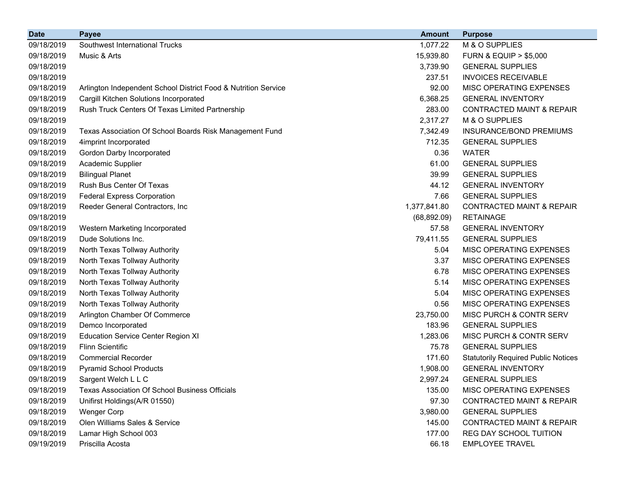| <b>Date</b> | <b>Payee</b>                                                   | <b>Amount</b> | <b>Purpose</b>                             |
|-------------|----------------------------------------------------------------|---------------|--------------------------------------------|
| 09/18/2019  | Southwest International Trucks                                 | 1,077.22      | M & O SUPPLIES                             |
| 09/18/2019  | Music & Arts                                                   | 15,939.80     | <b>FURN &amp; EQUIP &gt; \$5,000</b>       |
| 09/18/2019  |                                                                | 3,739.90      | <b>GENERAL SUPPLIES</b>                    |
| 09/18/2019  |                                                                | 237.51        | <b>INVOICES RECEIVABLE</b>                 |
| 09/18/2019  | Arlington Independent School District Food & Nutrition Service | 92.00         | MISC OPERATING EXPENSES                    |
| 09/18/2019  | Cargill Kitchen Solutions Incorporated                         | 6,368.25      | <b>GENERAL INVENTORY</b>                   |
| 09/18/2019  | Rush Truck Centers Of Texas Limited Partnership                | 283.00        | <b>CONTRACTED MAINT &amp; REPAIR</b>       |
| 09/18/2019  |                                                                | 2,317.27      | M & O SUPPLIES                             |
| 09/18/2019  | Texas Association Of School Boards Risk Management Fund        | 7,342.49      | INSURANCE/BOND PREMIUMS                    |
| 09/18/2019  | 4imprint Incorporated                                          | 712.35        | <b>GENERAL SUPPLIES</b>                    |
| 09/18/2019  | Gordon Darby Incorporated                                      | 0.36          | <b>WATER</b>                               |
| 09/18/2019  | Academic Supplier                                              | 61.00         | <b>GENERAL SUPPLIES</b>                    |
| 09/18/2019  | <b>Bilingual Planet</b>                                        | 39.99         | <b>GENERAL SUPPLIES</b>                    |
| 09/18/2019  | Rush Bus Center Of Texas                                       | 44.12         | <b>GENERAL INVENTORY</b>                   |
| 09/18/2019  | <b>Federal Express Corporation</b>                             | 7.66          | <b>GENERAL SUPPLIES</b>                    |
| 09/18/2019  | Reeder General Contractors, Inc                                | 1,377,841.80  | <b>CONTRACTED MAINT &amp; REPAIR</b>       |
| 09/18/2019  |                                                                | (68, 892.09)  | <b>RETAINAGE</b>                           |
| 09/18/2019  | Western Marketing Incorporated                                 | 57.58         | <b>GENERAL INVENTORY</b>                   |
| 09/18/2019  | Dude Solutions Inc.                                            | 79,411.55     | <b>GENERAL SUPPLIES</b>                    |
| 09/18/2019  | North Texas Tollway Authority                                  | 5.04          | MISC OPERATING EXPENSES                    |
| 09/18/2019  | North Texas Tollway Authority                                  | 3.37          | MISC OPERATING EXPENSES                    |
| 09/18/2019  | North Texas Tollway Authority                                  | 6.78          | MISC OPERATING EXPENSES                    |
| 09/18/2019  | North Texas Tollway Authority                                  | 5.14          | MISC OPERATING EXPENSES                    |
| 09/18/2019  | North Texas Tollway Authority                                  | 5.04          | MISC OPERATING EXPENSES                    |
| 09/18/2019  | North Texas Tollway Authority                                  | 0.56          | MISC OPERATING EXPENSES                    |
| 09/18/2019  | Arlington Chamber Of Commerce                                  | 23,750.00     | MISC PURCH & CONTR SERV                    |
| 09/18/2019  | Demco Incorporated                                             | 183.96        | <b>GENERAL SUPPLIES</b>                    |
| 09/18/2019  | <b>Education Service Center Region XI</b>                      | 1,283.06      | MISC PURCH & CONTR SERV                    |
| 09/18/2019  | <b>Flinn Scientific</b>                                        | 75.78         | <b>GENERAL SUPPLIES</b>                    |
| 09/18/2019  | <b>Commercial Recorder</b>                                     | 171.60        | <b>Statutorily Required Public Notices</b> |
| 09/18/2019  | <b>Pyramid School Products</b>                                 | 1,908.00      | <b>GENERAL INVENTORY</b>                   |
| 09/18/2019  | Sargent Welch L L C                                            | 2,997.24      | <b>GENERAL SUPPLIES</b>                    |
| 09/18/2019  | <b>Texas Association Of School Business Officials</b>          | 135.00        | <b>MISC OPERATING EXPENSES</b>             |
| 09/18/2019  | Unifirst Holdings(A/R 01550)                                   | 97.30         | <b>CONTRACTED MAINT &amp; REPAIR</b>       |
| 09/18/2019  | <b>Wenger Corp</b>                                             | 3,980.00      | <b>GENERAL SUPPLIES</b>                    |
| 09/18/2019  | Olen Williams Sales & Service                                  | 145.00        | <b>CONTRACTED MAINT &amp; REPAIR</b>       |
| 09/18/2019  | Lamar High School 003                                          | 177.00        | REG DAY SCHOOL TUITION                     |
| 09/19/2019  | Priscilla Acosta                                               | 66.18         | <b>EMPLOYEE TRAVEL</b>                     |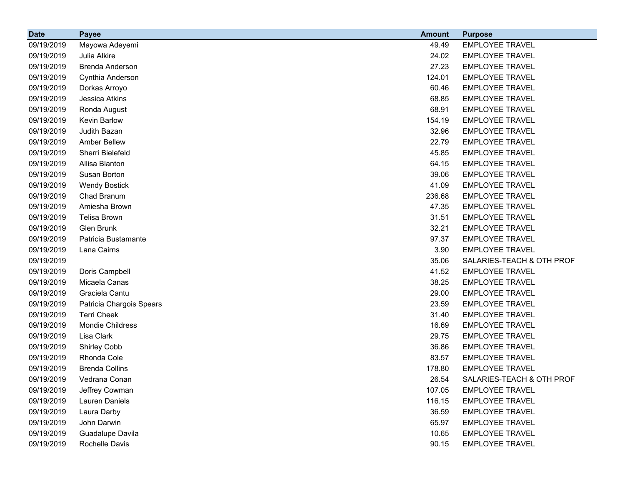| <b>Date</b> | <b>Payee</b>             | <b>Amount</b> | <b>Purpose</b>            |
|-------------|--------------------------|---------------|---------------------------|
| 09/19/2019  | Mayowa Adeyemi           | 49.49         | <b>EMPLOYEE TRAVEL</b>    |
| 09/19/2019  | Julia Alkire             | 24.02         | <b>EMPLOYEE TRAVEL</b>    |
| 09/19/2019  | Brenda Anderson          | 27.23         | <b>EMPLOYEE TRAVEL</b>    |
| 09/19/2019  | Cynthia Anderson         | 124.01        | <b>EMPLOYEE TRAVEL</b>    |
| 09/19/2019  | Dorkas Arroyo            | 60.46         | <b>EMPLOYEE TRAVEL</b>    |
| 09/19/2019  | Jessica Atkins           | 68.85         | <b>EMPLOYEE TRAVEL</b>    |
| 09/19/2019  | Ronda August             | 68.91         | <b>EMPLOYEE TRAVEL</b>    |
| 09/19/2019  | Kevin Barlow             | 154.19        | <b>EMPLOYEE TRAVEL</b>    |
| 09/19/2019  | Judith Bazan             | 32.96         | <b>EMPLOYEE TRAVEL</b>    |
| 09/19/2019  | <b>Amber Bellew</b>      | 22.79         | <b>EMPLOYEE TRAVEL</b>    |
| 09/19/2019  | Sherri Bielefeld         | 45.85         | <b>EMPLOYEE TRAVEL</b>    |
| 09/19/2019  | Allisa Blanton           | 64.15         | <b>EMPLOYEE TRAVEL</b>    |
| 09/19/2019  | Susan Borton             | 39.06         | <b>EMPLOYEE TRAVEL</b>    |
| 09/19/2019  | <b>Wendy Bostick</b>     | 41.09         | <b>EMPLOYEE TRAVEL</b>    |
| 09/19/2019  | Chad Branum              | 236.68        | <b>EMPLOYEE TRAVEL</b>    |
| 09/19/2019  | Amiesha Brown            | 47.35         | <b>EMPLOYEE TRAVEL</b>    |
| 09/19/2019  | Telisa Brown             | 31.51         | <b>EMPLOYEE TRAVEL</b>    |
| 09/19/2019  | Glen Brunk               | 32.21         | <b>EMPLOYEE TRAVEL</b>    |
| 09/19/2019  | Patricia Bustamante      | 97.37         | <b>EMPLOYEE TRAVEL</b>    |
| 09/19/2019  | Lana Cairns              | 3.90          | <b>EMPLOYEE TRAVEL</b>    |
| 09/19/2019  |                          | 35.06         | SALARIES-TEACH & OTH PROF |
| 09/19/2019  | Doris Campbell           | 41.52         | <b>EMPLOYEE TRAVEL</b>    |
| 09/19/2019  | Micaela Canas            | 38.25         | <b>EMPLOYEE TRAVEL</b>    |
| 09/19/2019  | Graciela Cantu           | 29.00         | <b>EMPLOYEE TRAVEL</b>    |
| 09/19/2019  | Patricia Chargois Spears | 23.59         | <b>EMPLOYEE TRAVEL</b>    |
| 09/19/2019  | <b>Terri Cheek</b>       | 31.40         | <b>EMPLOYEE TRAVEL</b>    |
| 09/19/2019  | Mondie Childress         | 16.69         | <b>EMPLOYEE TRAVEL</b>    |
| 09/19/2019  | Lisa Clark               | 29.75         | <b>EMPLOYEE TRAVEL</b>    |
| 09/19/2019  | Shirley Cobb             | 36.86         | <b>EMPLOYEE TRAVEL</b>    |
| 09/19/2019  | Rhonda Cole              | 83.57         | <b>EMPLOYEE TRAVEL</b>    |
| 09/19/2019  | <b>Brenda Collins</b>    | 178.80        | <b>EMPLOYEE TRAVEL</b>    |
| 09/19/2019  | Vedrana Conan            | 26.54         | SALARIES-TEACH & OTH PROF |
| 09/19/2019  | Jeffrey Cowman           | 107.05        | <b>EMPLOYEE TRAVEL</b>    |
| 09/19/2019  | Lauren Daniels           | 116.15        | <b>EMPLOYEE TRAVEL</b>    |
| 09/19/2019  | Laura Darby              | 36.59         | <b>EMPLOYEE TRAVEL</b>    |
| 09/19/2019  | John Darwin              | 65.97         | <b>EMPLOYEE TRAVEL</b>    |
| 09/19/2019  | Guadalupe Davila         | 10.65         | <b>EMPLOYEE TRAVEL</b>    |
| 09/19/2019  | Rochelle Davis           | 90.15         | <b>EMPLOYEE TRAVEL</b>    |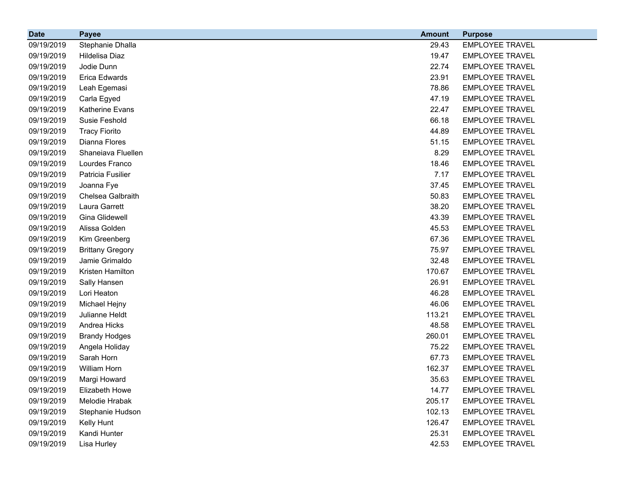| <b>Date</b> | <b>Payee</b>            | <b>Amount</b> | <b>Purpose</b>         |
|-------------|-------------------------|---------------|------------------------|
| 09/19/2019  | Stephanie Dhalla        | 29.43         | <b>EMPLOYEE TRAVEL</b> |
| 09/19/2019  | Hildelisa Diaz          | 19.47         | <b>EMPLOYEE TRAVEL</b> |
| 09/19/2019  | Jodie Dunn              | 22.74         | <b>EMPLOYEE TRAVEL</b> |
| 09/19/2019  | Erica Edwards           | 23.91         | <b>EMPLOYEE TRAVEL</b> |
| 09/19/2019  | Leah Egemasi            | 78.86         | <b>EMPLOYEE TRAVEL</b> |
| 09/19/2019  | Carla Egyed             | 47.19         | <b>EMPLOYEE TRAVEL</b> |
| 09/19/2019  | Katherine Evans         | 22.47         | <b>EMPLOYEE TRAVEL</b> |
| 09/19/2019  | Susie Feshold           | 66.18         | <b>EMPLOYEE TRAVEL</b> |
| 09/19/2019  | <b>Tracy Fiorito</b>    | 44.89         | <b>EMPLOYEE TRAVEL</b> |
| 09/19/2019  | Dianna Flores           | 51.15         | <b>EMPLOYEE TRAVEL</b> |
| 09/19/2019  | Shaneiava Fluellen      | 8.29          | <b>EMPLOYEE TRAVEL</b> |
| 09/19/2019  | Lourdes Franco          | 18.46         | <b>EMPLOYEE TRAVEL</b> |
| 09/19/2019  | Patricia Fusilier       | 7.17          | <b>EMPLOYEE TRAVEL</b> |
| 09/19/2019  | Joanna Fye              | 37.45         | <b>EMPLOYEE TRAVEL</b> |
| 09/19/2019  | Chelsea Galbraith       | 50.83         | <b>EMPLOYEE TRAVEL</b> |
| 09/19/2019  | Laura Garrett           | 38.20         | <b>EMPLOYEE TRAVEL</b> |
| 09/19/2019  | Gina Glidewell          | 43.39         | <b>EMPLOYEE TRAVEL</b> |
| 09/19/2019  | Alissa Golden           | 45.53         | <b>EMPLOYEE TRAVEL</b> |
| 09/19/2019  | Kim Greenberg           | 67.36         | <b>EMPLOYEE TRAVEL</b> |
| 09/19/2019  | <b>Brittany Gregory</b> | 75.97         | <b>EMPLOYEE TRAVEL</b> |
| 09/19/2019  | Jamie Grimaldo          | 32.48         | <b>EMPLOYEE TRAVEL</b> |
| 09/19/2019  | Kristen Hamilton        | 170.67        | <b>EMPLOYEE TRAVEL</b> |
| 09/19/2019  | Sally Hansen            | 26.91         | <b>EMPLOYEE TRAVEL</b> |
| 09/19/2019  | Lori Heaton             | 46.28         | <b>EMPLOYEE TRAVEL</b> |
| 09/19/2019  | Michael Hejny           | 46.06         | <b>EMPLOYEE TRAVEL</b> |
| 09/19/2019  | Julianne Heldt          | 113.21        | <b>EMPLOYEE TRAVEL</b> |
| 09/19/2019  | Andrea Hicks            | 48.58         | <b>EMPLOYEE TRAVEL</b> |
| 09/19/2019  | <b>Brandy Hodges</b>    | 260.01        | <b>EMPLOYEE TRAVEL</b> |
| 09/19/2019  | Angela Holiday          | 75.22         | <b>EMPLOYEE TRAVEL</b> |
| 09/19/2019  | Sarah Horn              | 67.73         | <b>EMPLOYEE TRAVEL</b> |
| 09/19/2019  | William Horn            | 162.37        | <b>EMPLOYEE TRAVEL</b> |
| 09/19/2019  | Margi Howard            | 35.63         | <b>EMPLOYEE TRAVEL</b> |
| 09/19/2019  | Elizabeth Howe          | 14.77         | <b>EMPLOYEE TRAVEL</b> |
| 09/19/2019  | Melodie Hrabak          | 205.17        | <b>EMPLOYEE TRAVEL</b> |
| 09/19/2019  | Stephanie Hudson        | 102.13        | <b>EMPLOYEE TRAVEL</b> |
| 09/19/2019  | Kelly Hunt              | 126.47        | <b>EMPLOYEE TRAVEL</b> |
| 09/19/2019  | Kandi Hunter            | 25.31         | <b>EMPLOYEE TRAVEL</b> |
| 09/19/2019  | Lisa Hurley             | 42.53         | <b>EMPLOYEE TRAVEL</b> |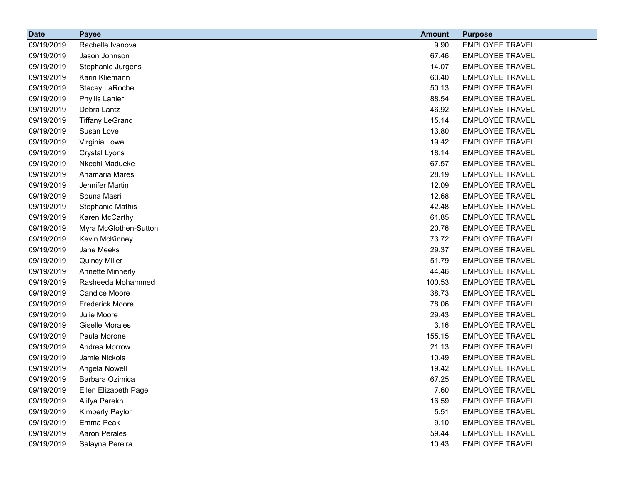| <b>Date</b> | <b>Payee</b>            | <b>Amount</b> | <b>Purpose</b>         |
|-------------|-------------------------|---------------|------------------------|
| 09/19/2019  | Rachelle Ivanova        | 9.90          | <b>EMPLOYEE TRAVEL</b> |
| 09/19/2019  | Jason Johnson           | 67.46         | <b>EMPLOYEE TRAVEL</b> |
| 09/19/2019  | Stephanie Jurgens       | 14.07         | <b>EMPLOYEE TRAVEL</b> |
| 09/19/2019  | Karin Kliemann          | 63.40         | <b>EMPLOYEE TRAVEL</b> |
| 09/19/2019  | Stacey LaRoche          | 50.13         | <b>EMPLOYEE TRAVEL</b> |
| 09/19/2019  | <b>Phyllis Lanier</b>   | 88.54         | <b>EMPLOYEE TRAVEL</b> |
| 09/19/2019  | Debra Lantz             | 46.92         | <b>EMPLOYEE TRAVEL</b> |
| 09/19/2019  | <b>Tiffany LeGrand</b>  | 15.14         | <b>EMPLOYEE TRAVEL</b> |
| 09/19/2019  | Susan Love              | 13.80         | <b>EMPLOYEE TRAVEL</b> |
| 09/19/2019  | Virginia Lowe           | 19.42         | <b>EMPLOYEE TRAVEL</b> |
| 09/19/2019  | Crystal Lyons           | 18.14         | <b>EMPLOYEE TRAVEL</b> |
| 09/19/2019  | Nkechi Madueke          | 67.57         | <b>EMPLOYEE TRAVEL</b> |
| 09/19/2019  | Anamaria Mares          | 28.19         | <b>EMPLOYEE TRAVEL</b> |
| 09/19/2019  | Jennifer Martin         | 12.09         | <b>EMPLOYEE TRAVEL</b> |
| 09/19/2019  | Souna Masri             | 12.68         | <b>EMPLOYEE TRAVEL</b> |
| 09/19/2019  | <b>Stephanie Mathis</b> | 42.48         | <b>EMPLOYEE TRAVEL</b> |
| 09/19/2019  | Karen McCarthy          | 61.85         | <b>EMPLOYEE TRAVEL</b> |
| 09/19/2019  | Myra McGlothen-Sutton   | 20.76         | <b>EMPLOYEE TRAVEL</b> |
| 09/19/2019  | Kevin McKinney          | 73.72         | <b>EMPLOYEE TRAVEL</b> |
| 09/19/2019  | Jane Meeks              | 29.37         | <b>EMPLOYEE TRAVEL</b> |
| 09/19/2019  | <b>Quincy Miller</b>    | 51.79         | <b>EMPLOYEE TRAVEL</b> |
| 09/19/2019  | <b>Annette Minnerly</b> | 44.46         | <b>EMPLOYEE TRAVEL</b> |
| 09/19/2019  | Rasheeda Mohammed       | 100.53        | <b>EMPLOYEE TRAVEL</b> |
| 09/19/2019  | <b>Candice Moore</b>    | 38.73         | <b>EMPLOYEE TRAVEL</b> |
| 09/19/2019  | <b>Frederick Moore</b>  | 78.06         | <b>EMPLOYEE TRAVEL</b> |
| 09/19/2019  | Julie Moore             | 29.43         | <b>EMPLOYEE TRAVEL</b> |
| 09/19/2019  | <b>Giselle Morales</b>  | 3.16          | <b>EMPLOYEE TRAVEL</b> |
| 09/19/2019  | Paula Morone            | 155.15        | <b>EMPLOYEE TRAVEL</b> |
| 09/19/2019  | Andrea Morrow           | 21.13         | <b>EMPLOYEE TRAVEL</b> |
| 09/19/2019  | Jamie Nickols           | 10.49         | <b>EMPLOYEE TRAVEL</b> |
| 09/19/2019  | Angela Nowell           | 19.42         | <b>EMPLOYEE TRAVEL</b> |
| 09/19/2019  | Barbara Ozimica         | 67.25         | <b>EMPLOYEE TRAVEL</b> |
| 09/19/2019  | Ellen Elizabeth Page    | 7.60          | <b>EMPLOYEE TRAVEL</b> |
| 09/19/2019  | Alifya Parekh           | 16.59         | <b>EMPLOYEE TRAVEL</b> |
| 09/19/2019  | Kimberly Paylor         | 5.51          | <b>EMPLOYEE TRAVEL</b> |
| 09/19/2019  | Emma Peak               | 9.10          | <b>EMPLOYEE TRAVEL</b> |
| 09/19/2019  | Aaron Perales           | 59.44         | <b>EMPLOYEE TRAVEL</b> |
| 09/19/2019  | Salayna Pereira         | 10.43         | <b>EMPLOYEE TRAVEL</b> |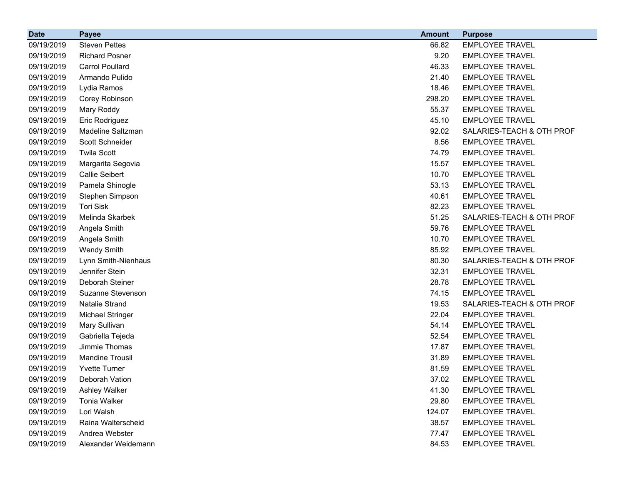| <b>Date</b> | <b>Payee</b>            | <b>Amount</b> | <b>Purpose</b>            |
|-------------|-------------------------|---------------|---------------------------|
| 09/19/2019  | <b>Steven Pettes</b>    | 66.82         | <b>EMPLOYEE TRAVEL</b>    |
| 09/19/2019  | <b>Richard Posner</b>   | 9.20          | <b>EMPLOYEE TRAVEL</b>    |
| 09/19/2019  | <b>Carrol Poullard</b>  | 46.33         | <b>EMPLOYEE TRAVEL</b>    |
| 09/19/2019  | Armando Pulido          | 21.40         | <b>EMPLOYEE TRAVEL</b>    |
| 09/19/2019  | Lydia Ramos             | 18.46         | <b>EMPLOYEE TRAVEL</b>    |
| 09/19/2019  | Corey Robinson          | 298.20        | <b>EMPLOYEE TRAVEL</b>    |
| 09/19/2019  | Mary Roddy              | 55.37         | <b>EMPLOYEE TRAVEL</b>    |
| 09/19/2019  | Eric Rodriguez          | 45.10         | <b>EMPLOYEE TRAVEL</b>    |
| 09/19/2019  | Madeline Saltzman       | 92.02         | SALARIES-TEACH & OTH PROF |
| 09/19/2019  | Scott Schneider         | 8.56          | <b>EMPLOYEE TRAVEL</b>    |
| 09/19/2019  | <b>Twila Scott</b>      | 74.79         | <b>EMPLOYEE TRAVEL</b>    |
| 09/19/2019  | Margarita Segovia       | 15.57         | <b>EMPLOYEE TRAVEL</b>    |
| 09/19/2019  | <b>Callie Seibert</b>   | 10.70         | <b>EMPLOYEE TRAVEL</b>    |
| 09/19/2019  | Pamela Shinogle         | 53.13         | <b>EMPLOYEE TRAVEL</b>    |
| 09/19/2019  | Stephen Simpson         | 40.61         | <b>EMPLOYEE TRAVEL</b>    |
| 09/19/2019  | <b>Tori Sisk</b>        | 82.23         | <b>EMPLOYEE TRAVEL</b>    |
| 09/19/2019  | Melinda Skarbek         | 51.25         | SALARIES-TEACH & OTH PROF |
| 09/19/2019  | Angela Smith            | 59.76         | <b>EMPLOYEE TRAVEL</b>    |
| 09/19/2019  | Angela Smith            | 10.70         | <b>EMPLOYEE TRAVEL</b>    |
| 09/19/2019  | <b>Wendy Smith</b>      | 85.92         | <b>EMPLOYEE TRAVEL</b>    |
| 09/19/2019  | Lynn Smith-Nienhaus     | 80.30         | SALARIES-TEACH & OTH PROF |
| 09/19/2019  | Jennifer Stein          | 32.31         | <b>EMPLOYEE TRAVEL</b>    |
| 09/19/2019  | Deborah Steiner         | 28.78         | <b>EMPLOYEE TRAVEL</b>    |
| 09/19/2019  | Suzanne Stevenson       | 74.15         | <b>EMPLOYEE TRAVEL</b>    |
| 09/19/2019  | Natalie Strand          | 19.53         | SALARIES-TEACH & OTH PROF |
| 09/19/2019  | <b>Michael Stringer</b> | 22.04         | <b>EMPLOYEE TRAVEL</b>    |
| 09/19/2019  | Mary Sullivan           | 54.14         | <b>EMPLOYEE TRAVEL</b>    |
| 09/19/2019  | Gabriella Tejeda        | 52.54         | <b>EMPLOYEE TRAVEL</b>    |
| 09/19/2019  | Jimmie Thomas           | 17.87         | <b>EMPLOYEE TRAVEL</b>    |
| 09/19/2019  | <b>Mandine Trousil</b>  | 31.89         | <b>EMPLOYEE TRAVEL</b>    |
| 09/19/2019  | <b>Yvette Turner</b>    | 81.59         | <b>EMPLOYEE TRAVEL</b>    |
| 09/19/2019  | Deborah Vation          | 37.02         | <b>EMPLOYEE TRAVEL</b>    |
| 09/19/2019  | Ashley Walker           | 41.30         | <b>EMPLOYEE TRAVEL</b>    |
| 09/19/2019  | <b>Tonia Walker</b>     | 29.80         | <b>EMPLOYEE TRAVEL</b>    |
| 09/19/2019  | Lori Walsh              | 124.07        | <b>EMPLOYEE TRAVEL</b>    |
| 09/19/2019  | Raina Walterscheid      | 38.57         | <b>EMPLOYEE TRAVEL</b>    |
| 09/19/2019  | Andrea Webster          | 77.47         | <b>EMPLOYEE TRAVEL</b>    |
| 09/19/2019  | Alexander Weidemann     | 84.53         | <b>EMPLOYEE TRAVEL</b>    |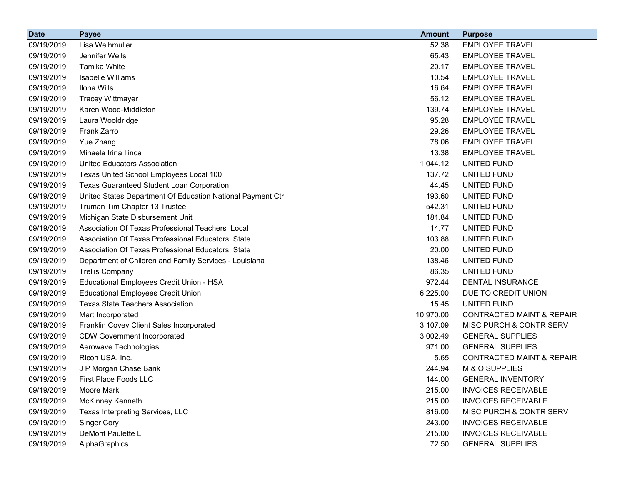| <b>Date</b> | <b>Payee</b>                                               | <b>Amount</b> | <b>Purpose</b>                       |
|-------------|------------------------------------------------------------|---------------|--------------------------------------|
| 09/19/2019  | Lisa Weihmuller                                            | 52.38         | <b>EMPLOYEE TRAVEL</b>               |
| 09/19/2019  | Jennifer Wells                                             | 65.43         | <b>EMPLOYEE TRAVEL</b>               |
| 09/19/2019  | Tamika White                                               | 20.17         | <b>EMPLOYEE TRAVEL</b>               |
| 09/19/2019  | Isabelle Williams                                          | 10.54         | <b>EMPLOYEE TRAVEL</b>               |
| 09/19/2019  | Ilona Wills                                                | 16.64         | <b>EMPLOYEE TRAVEL</b>               |
| 09/19/2019  | <b>Tracey Wittmayer</b>                                    | 56.12         | <b>EMPLOYEE TRAVEL</b>               |
| 09/19/2019  | Karen Wood-Middleton                                       | 139.74        | <b>EMPLOYEE TRAVEL</b>               |
| 09/19/2019  | Laura Wooldridge                                           | 95.28         | <b>EMPLOYEE TRAVEL</b>               |
| 09/19/2019  | Frank Zarro                                                | 29.26         | <b>EMPLOYEE TRAVEL</b>               |
| 09/19/2019  | Yue Zhang                                                  | 78.06         | <b>EMPLOYEE TRAVEL</b>               |
| 09/19/2019  | Mihaela Irina Ilinca                                       | 13.38         | <b>EMPLOYEE TRAVEL</b>               |
| 09/19/2019  | <b>United Educators Association</b>                        | 1,044.12      | UNITED FUND                          |
| 09/19/2019  | Texas United School Employees Local 100                    | 137.72        | UNITED FUND                          |
| 09/19/2019  | <b>Texas Guaranteed Student Loan Corporation</b>           | 44.45         | UNITED FUND                          |
| 09/19/2019  | United States Department Of Education National Payment Ctr | 193.60        | UNITED FUND                          |
| 09/19/2019  | Truman Tim Chapter 13 Trustee                              | 542.31        | UNITED FUND                          |
| 09/19/2019  | Michigan State Disbursement Unit                           | 181.84        | UNITED FUND                          |
| 09/19/2019  | Association Of Texas Professional Teachers Local           | 14.77         | UNITED FUND                          |
| 09/19/2019  | Association Of Texas Professional Educators State          | 103.88        | UNITED FUND                          |
| 09/19/2019  | Association Of Texas Professional Educators State          | 20.00         | UNITED FUND                          |
| 09/19/2019  | Department of Children and Family Services - Louisiana     | 138.46        | UNITED FUND                          |
| 09/19/2019  | <b>Trellis Company</b>                                     | 86.35         | UNITED FUND                          |
| 09/19/2019  | Educational Employees Credit Union - HSA                   | 972.44        | <b>DENTAL INSURANCE</b>              |
| 09/19/2019  | <b>Educational Employees Credit Union</b>                  | 6,225.00      | DUE TO CREDIT UNION                  |
| 09/19/2019  | <b>Texas State Teachers Association</b>                    | 15.45         | UNITED FUND                          |
| 09/19/2019  | Mart Incorporated                                          | 10,970.00     | <b>CONTRACTED MAINT &amp; REPAIR</b> |
| 09/19/2019  | Franklin Covey Client Sales Incorporated                   | 3,107.09      | MISC PURCH & CONTR SERV              |
| 09/19/2019  | <b>CDW Government Incorporated</b>                         | 3,002.49      | <b>GENERAL SUPPLIES</b>              |
| 09/19/2019  | Aerowave Technologies                                      | 971.00        | <b>GENERAL SUPPLIES</b>              |
| 09/19/2019  | Ricoh USA, Inc.                                            | 5.65          | <b>CONTRACTED MAINT &amp; REPAIR</b> |
| 09/19/2019  | J P Morgan Chase Bank                                      | 244.94        | M & O SUPPLIES                       |
| 09/19/2019  | First Place Foods LLC                                      | 144.00        | <b>GENERAL INVENTORY</b>             |
| 09/19/2019  | Moore Mark                                                 | 215.00        | <b>INVOICES RECEIVABLE</b>           |
| 09/19/2019  | McKinney Kenneth                                           | 215.00        | <b>INVOICES RECEIVABLE</b>           |
| 09/19/2019  | Texas Interpreting Services, LLC                           | 816.00        | MISC PURCH & CONTR SERV              |
| 09/19/2019  | <b>Singer Cory</b>                                         | 243.00        | <b>INVOICES RECEIVABLE</b>           |
| 09/19/2019  | DeMont Paulette L                                          | 215.00        | <b>INVOICES RECEIVABLE</b>           |
| 09/19/2019  | AlphaGraphics                                              | 72.50         | <b>GENERAL SUPPLIES</b>              |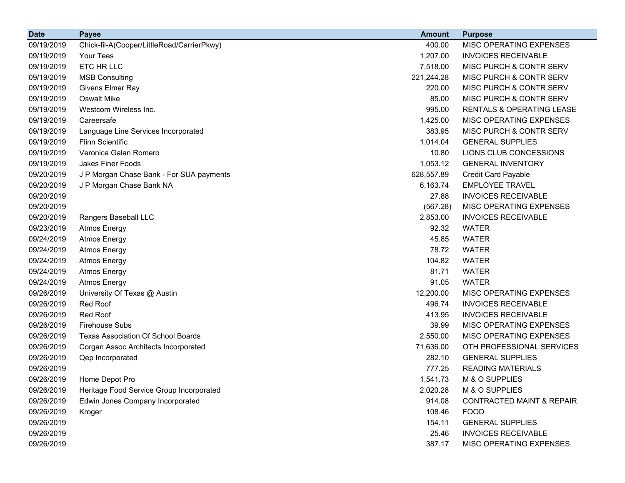| <b>Date</b> | <b>Payee</b>                               | <b>Amount</b> | <b>Purpose</b>                       |
|-------------|--------------------------------------------|---------------|--------------------------------------|
| 09/19/2019  | Chick-fil-A(Cooper/LittleRoad/CarrierPkwy) | 400.00        | MISC OPERATING EXPENSES              |
| 09/19/2019  | <b>Your Tees</b>                           | 1,207.00      | <b>INVOICES RECEIVABLE</b>           |
| 09/19/2019  | ETC HR LLC                                 | 7,518.00      | <b>MISC PURCH &amp; CONTR SERV</b>   |
| 09/19/2019  | <b>MSB Consulting</b>                      | 221,244.28    | MISC PURCH & CONTR SERV              |
| 09/19/2019  | Givens Elmer Ray                           | 220.00        | MISC PURCH & CONTR SERV              |
| 09/19/2019  | <b>Oswalt Mike</b>                         | 85.00         | MISC PURCH & CONTR SERV              |
| 09/19/2019  | Westcom Wireless Inc.                      | 995.00        | <b>RENTALS &amp; OPERATING LEASE</b> |
| 09/19/2019  | Careersafe                                 | 1,425.00      | MISC OPERATING EXPENSES              |
| 09/19/2019  | Language Line Services Incorporated        | 383.95        | MISC PURCH & CONTR SERV              |
| 09/19/2019  | <b>Flinn Scientific</b>                    | 1,014.04      | <b>GENERAL SUPPLIES</b>              |
| 09/19/2019  | Veronica Galan Romero                      | 10.80         | LIONS CLUB CONCESSIONS               |
| 09/19/2019  | <b>Jakes Finer Foods</b>                   | 1,053.12      | <b>GENERAL INVENTORY</b>             |
| 09/20/2019  | J P Morgan Chase Bank - For SUA payments   | 628,557.89    | <b>Credit Card Payable</b>           |
| 09/20/2019  | J P Morgan Chase Bank NA                   | 6,163.74      | <b>EMPLOYEE TRAVEL</b>               |
| 09/20/2019  |                                            | 27.88         | <b>INVOICES RECEIVABLE</b>           |
| 09/20/2019  |                                            | (567.28)      | MISC OPERATING EXPENSES              |
| 09/20/2019  | Rangers Baseball LLC                       | 2,853.00      | <b>INVOICES RECEIVABLE</b>           |
| 09/23/2019  | <b>Atmos Energy</b>                        | 92.32         | <b>WATER</b>                         |
| 09/24/2019  | <b>Atmos Energy</b>                        | 45.85         | <b>WATER</b>                         |
| 09/24/2019  | <b>Atmos Energy</b>                        | 78.72         | <b>WATER</b>                         |
| 09/24/2019  | <b>Atmos Energy</b>                        | 104.82        | <b>WATER</b>                         |
| 09/24/2019  | <b>Atmos Energy</b>                        | 81.71         | <b>WATER</b>                         |
| 09/24/2019  | <b>Atmos Energy</b>                        | 91.05         | <b>WATER</b>                         |
| 09/26/2019  | University Of Texas @ Austin               | 12,200.00     | MISC OPERATING EXPENSES              |
| 09/26/2019  | <b>Red Roof</b>                            | 496.74        | <b>INVOICES RECEIVABLE</b>           |
| 09/26/2019  | Red Roof                                   | 413.95        | <b>INVOICES RECEIVABLE</b>           |
| 09/26/2019  | <b>Firehouse Subs</b>                      | 39.99         | MISC OPERATING EXPENSES              |
| 09/26/2019  | <b>Texas Association Of School Boards</b>  | 2,550.00      | MISC OPERATING EXPENSES              |
| 09/26/2019  | Corgan Assoc Architects Incorporated       | 71,636.00     | OTH PROFESSIONAL SERVICES            |
| 09/26/2019  | Qep Incorporated                           | 282.10        | <b>GENERAL SUPPLIES</b>              |
| 09/26/2019  |                                            | 777.25        | <b>READING MATERIALS</b>             |
| 09/26/2019  | Home Depot Pro                             | 1,541.73      | M & O SUPPLIES                       |
| 09/26/2019  | Heritage Food Service Group Incorporated   | 2,020.28      | M & O SUPPLIES                       |
| 09/26/2019  | Edwin Jones Company Incorporated           | 914.08        | <b>CONTRACTED MAINT &amp; REPAIR</b> |
| 09/26/2019  | Kroger                                     | 108.46        | <b>FOOD</b>                          |
| 09/26/2019  |                                            | 154.11        | <b>GENERAL SUPPLIES</b>              |
| 09/26/2019  |                                            | 25.46         | <b>INVOICES RECEIVABLE</b>           |
| 09/26/2019  |                                            | 387.17        | MISC OPERATING EXPENSES              |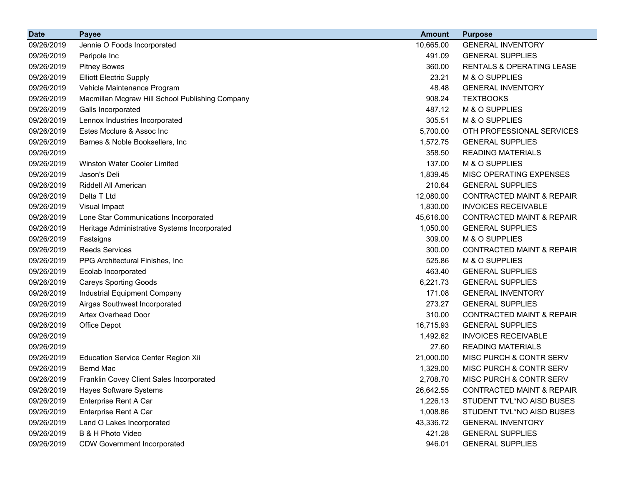| <b>Date</b> | <b>Payee</b>                                    | <b>Amount</b> | <b>Purpose</b>                       |
|-------------|-------------------------------------------------|---------------|--------------------------------------|
| 09/26/2019  | Jennie O Foods Incorporated                     | 10,665.00     | <b>GENERAL INVENTORY</b>             |
| 09/26/2019  | Peripole Inc                                    | 491.09        | <b>GENERAL SUPPLIES</b>              |
| 09/26/2019  | <b>Pitney Bowes</b>                             | 360.00        | <b>RENTALS &amp; OPERATING LEASE</b> |
| 09/26/2019  | <b>Elliott Electric Supply</b>                  | 23.21         | M & O SUPPLIES                       |
| 09/26/2019  | Vehicle Maintenance Program                     | 48.48         | <b>GENERAL INVENTORY</b>             |
| 09/26/2019  | Macmillan Mcgraw Hill School Publishing Company | 908.24        | <b>TEXTBOOKS</b>                     |
| 09/26/2019  | Galls Incorporated                              | 487.12        | M & O SUPPLIES                       |
| 09/26/2019  | Lennox Industries Incorporated                  | 305.51        | M & O SUPPLIES                       |
| 09/26/2019  | Estes Mcclure & Assoc Inc                       | 5,700.00      | OTH PROFESSIONAL SERVICES            |
| 09/26/2019  | Barnes & Noble Booksellers, Inc.                | 1,572.75      | <b>GENERAL SUPPLIES</b>              |
| 09/26/2019  |                                                 | 358.50        | <b>READING MATERIALS</b>             |
| 09/26/2019  | <b>Winston Water Cooler Limited</b>             | 137.00        | M & O SUPPLIES                       |
| 09/26/2019  | Jason's Deli                                    | 1,839.45      | MISC OPERATING EXPENSES              |
| 09/26/2019  | Riddell All American                            | 210.64        | <b>GENERAL SUPPLIES</b>              |
| 09/26/2019  | Delta T Ltd                                     | 12,080.00     | <b>CONTRACTED MAINT &amp; REPAIR</b> |
| 09/26/2019  | Visual Impact                                   | 1,830.00      | <b>INVOICES RECEIVABLE</b>           |
| 09/26/2019  | Lone Star Communications Incorporated           | 45,616.00     | <b>CONTRACTED MAINT &amp; REPAIR</b> |
| 09/26/2019  | Heritage Administrative Systems Incorporated    | 1,050.00      | <b>GENERAL SUPPLIES</b>              |
| 09/26/2019  | Fastsigns                                       | 309.00        | M & O SUPPLIES                       |
| 09/26/2019  | <b>Reeds Services</b>                           | 300.00        | <b>CONTRACTED MAINT &amp; REPAIR</b> |
| 09/26/2019  | PPG Architectural Finishes, Inc                 | 525.86        | M & O SUPPLIES                       |
| 09/26/2019  | Ecolab Incorporated                             | 463.40        | <b>GENERAL SUPPLIES</b>              |
| 09/26/2019  | <b>Careys Sporting Goods</b>                    | 6,221.73      | <b>GENERAL SUPPLIES</b>              |
| 09/26/2019  | Industrial Equipment Company                    | 171.08        | <b>GENERAL INVENTORY</b>             |
| 09/26/2019  | Airgas Southwest Incorporated                   | 273.27        | <b>GENERAL SUPPLIES</b>              |
| 09/26/2019  | Artex Overhead Door                             | 310.00        | <b>CONTRACTED MAINT &amp; REPAIR</b> |
| 09/26/2019  | Office Depot                                    | 16,715.93     | <b>GENERAL SUPPLIES</b>              |
| 09/26/2019  |                                                 | 1,492.62      | <b>INVOICES RECEIVABLE</b>           |
| 09/26/2019  |                                                 | 27.60         | <b>READING MATERIALS</b>             |
| 09/26/2019  | Education Service Center Region Xii             | 21,000.00     | MISC PURCH & CONTR SERV              |
| 09/26/2019  | <b>Bernd Mac</b>                                | 1,329.00      | MISC PURCH & CONTR SERV              |
| 09/26/2019  | <b>Franklin Covey Client Sales Incorporated</b> | 2,708.70      | MISC PURCH & CONTR SERV              |
| 09/26/2019  | <b>Hayes Software Systems</b>                   | 26,642.55     | <b>CONTRACTED MAINT &amp; REPAIR</b> |
| 09/26/2019  | Enterprise Rent A Car                           | 1,226.13      | STUDENT TVL*NO AISD BUSES            |
| 09/26/2019  | Enterprise Rent A Car                           | 1,008.86      | STUDENT TVL*NO AISD BUSES            |
| 09/26/2019  | Land O Lakes Incorporated                       | 43,336.72     | <b>GENERAL INVENTORY</b>             |
| 09/26/2019  | B & H Photo Video                               | 421.28        | <b>GENERAL SUPPLIES</b>              |
| 09/26/2019  | <b>CDW Government Incorporated</b>              | 946.01        | <b>GENERAL SUPPLIES</b>              |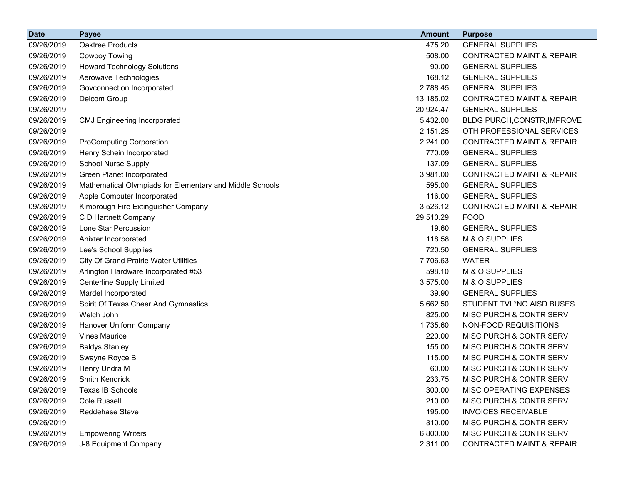| <b>Date</b> | <b>Payee</b>                                             | <b>Amount</b> | <b>Purpose</b>                       |
|-------------|----------------------------------------------------------|---------------|--------------------------------------|
| 09/26/2019  | Oaktree Products                                         | 475.20        | <b>GENERAL SUPPLIES</b>              |
| 09/26/2019  | Cowboy Towing                                            | 508.00        | <b>CONTRACTED MAINT &amp; REPAIR</b> |
| 09/26/2019  | <b>Howard Technology Solutions</b>                       | 90.00         | <b>GENERAL SUPPLIES</b>              |
| 09/26/2019  | Aerowave Technologies                                    | 168.12        | <b>GENERAL SUPPLIES</b>              |
| 09/26/2019  | Govconnection Incorporated                               | 2,788.45      | <b>GENERAL SUPPLIES</b>              |
| 09/26/2019  | Delcom Group                                             | 13,185.02     | <b>CONTRACTED MAINT &amp; REPAIR</b> |
| 09/26/2019  |                                                          | 20,924.47     | <b>GENERAL SUPPLIES</b>              |
| 09/26/2019  | <b>CMJ Engineering Incorporated</b>                      | 5,432.00      | BLDG PURCH, CONSTR, IMPROVE          |
| 09/26/2019  |                                                          | 2,151.25      | OTH PROFESSIONAL SERVICES            |
| 09/26/2019  | <b>ProComputing Corporation</b>                          | 2,241.00      | <b>CONTRACTED MAINT &amp; REPAIR</b> |
| 09/26/2019  | Henry Schein Incorporated                                | 770.09        | <b>GENERAL SUPPLIES</b>              |
| 09/26/2019  | <b>School Nurse Supply</b>                               | 137.09        | <b>GENERAL SUPPLIES</b>              |
| 09/26/2019  | Green Planet Incorporated                                | 3,981.00      | <b>CONTRACTED MAINT &amp; REPAIR</b> |
| 09/26/2019  | Mathematical Olympiads for Elementary and Middle Schools | 595.00        | <b>GENERAL SUPPLIES</b>              |
| 09/26/2019  | Apple Computer Incorporated                              | 116.00        | <b>GENERAL SUPPLIES</b>              |
| 09/26/2019  | Kimbrough Fire Extinguisher Company                      | 3,526.12      | <b>CONTRACTED MAINT &amp; REPAIR</b> |
| 09/26/2019  | C D Hartnett Company                                     | 29,510.29     | <b>FOOD</b>                          |
| 09/26/2019  | Lone Star Percussion                                     | 19.60         | <b>GENERAL SUPPLIES</b>              |
| 09/26/2019  | Anixter Incorporated                                     | 118.58        | M & O SUPPLIES                       |
| 09/26/2019  | Lee's School Supplies                                    | 720.50        | <b>GENERAL SUPPLIES</b>              |
| 09/26/2019  | <b>City Of Grand Prairie Water Utilities</b>             | 7,706.63      | <b>WATER</b>                         |
| 09/26/2019  | Arlington Hardware Incorporated #53                      | 598.10        | M & O SUPPLIES                       |
| 09/26/2019  | Centerline Supply Limited                                | 3,575.00      | M & O SUPPLIES                       |
| 09/26/2019  | Mardel Incorporated                                      | 39.90         | <b>GENERAL SUPPLIES</b>              |
| 09/26/2019  | Spirit Of Texas Cheer And Gymnastics                     | 5,662.50      | STUDENT TVL*NO AISD BUSES            |
| 09/26/2019  | Welch John                                               | 825.00        | MISC PURCH & CONTR SERV              |
| 09/26/2019  | Hanover Uniform Company                                  | 1,735.60      | NON-FOOD REQUISITIONS                |
| 09/26/2019  | <b>Vines Maurice</b>                                     | 220.00        | MISC PURCH & CONTR SERV              |
| 09/26/2019  | <b>Baldys Stanley</b>                                    | 155.00        | MISC PURCH & CONTR SERV              |
| 09/26/2019  | Swayne Royce B                                           | 115.00        | <b>MISC PURCH &amp; CONTR SERV</b>   |
| 09/26/2019  | Henry Undra M                                            | 60.00         | MISC PURCH & CONTR SERV              |
| 09/26/2019  | <b>Smith Kendrick</b>                                    | 233.75        | MISC PURCH & CONTR SERV              |
| 09/26/2019  | Texas IB Schools                                         | 300.00        | <b>MISC OPERATING EXPENSES</b>       |
| 09/26/2019  | <b>Cole Russell</b>                                      | 210.00        | MISC PURCH & CONTR SERV              |
| 09/26/2019  | Reddehase Steve                                          | 195.00        | <b>INVOICES RECEIVABLE</b>           |
| 09/26/2019  |                                                          | 310.00        | MISC PURCH & CONTR SERV              |
| 09/26/2019  | <b>Empowering Writers</b>                                | 6,800.00      | MISC PURCH & CONTR SERV              |
| 09/26/2019  | J-8 Equipment Company                                    | 2,311.00      | <b>CONTRACTED MAINT &amp; REPAIR</b> |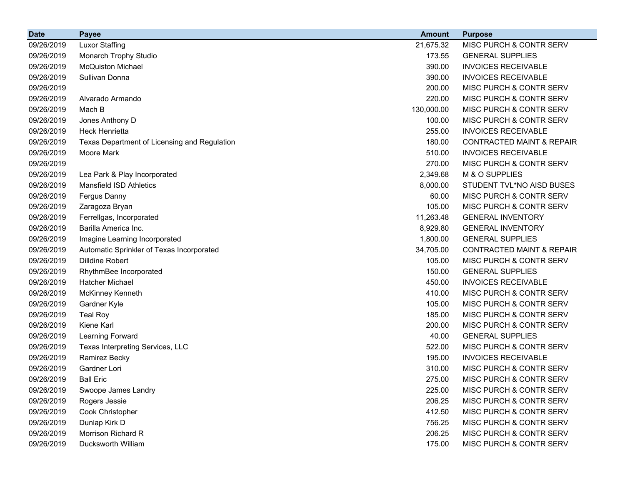| <b>Date</b> | <b>Payee</b>                                 | <b>Amount</b> | <b>Purpose</b>                       |
|-------------|----------------------------------------------|---------------|--------------------------------------|
| 09/26/2019  | <b>Luxor Staffing</b>                        | 21,675.32     | MISC PURCH & CONTR SERV              |
| 09/26/2019  | Monarch Trophy Studio                        | 173.55        | <b>GENERAL SUPPLIES</b>              |
| 09/26/2019  | <b>McQuiston Michael</b>                     | 390.00        | <b>INVOICES RECEIVABLE</b>           |
| 09/26/2019  | Sullivan Donna                               | 390.00        | <b>INVOICES RECEIVABLE</b>           |
| 09/26/2019  |                                              | 200.00        | MISC PURCH & CONTR SERV              |
| 09/26/2019  | Alvarado Armando                             | 220.00        | MISC PURCH & CONTR SERV              |
| 09/26/2019  | Mach B                                       | 130,000.00    | MISC PURCH & CONTR SERV              |
| 09/26/2019  | Jones Anthony D                              | 100.00        | MISC PURCH & CONTR SERV              |
| 09/26/2019  | <b>Heck Henrietta</b>                        | 255.00        | <b>INVOICES RECEIVABLE</b>           |
| 09/26/2019  | Texas Department of Licensing and Regulation | 180.00        | <b>CONTRACTED MAINT &amp; REPAIR</b> |
| 09/26/2019  | Moore Mark                                   | 510.00        | <b>INVOICES RECEIVABLE</b>           |
| 09/26/2019  |                                              | 270.00        | MISC PURCH & CONTR SERV              |
| 09/26/2019  | Lea Park & Play Incorporated                 | 2,349.68      | M & O SUPPLIES                       |
| 09/26/2019  | <b>Mansfield ISD Athletics</b>               | 8,000.00      | STUDENT TVL*NO AISD BUSES            |
| 09/26/2019  | Fergus Danny                                 | 60.00         | MISC PURCH & CONTR SERV              |
| 09/26/2019  | Zaragoza Bryan                               | 105.00        | <b>MISC PURCH &amp; CONTR SERV</b>   |
| 09/26/2019  | Ferrellgas, Incorporated                     | 11,263.48     | <b>GENERAL INVENTORY</b>             |
| 09/26/2019  | Barilla America Inc.                         | 8,929.80      | <b>GENERAL INVENTORY</b>             |
| 09/26/2019  | Imagine Learning Incorporated                | 1,800.00      | <b>GENERAL SUPPLIES</b>              |
| 09/26/2019  | Automatic Sprinkler of Texas Incorporated    | 34,705.00     | <b>CONTRACTED MAINT &amp; REPAIR</b> |
| 09/26/2019  | <b>Dilldine Robert</b>                       | 105.00        | MISC PURCH & CONTR SERV              |
| 09/26/2019  | RhythmBee Incorporated                       | 150.00        | <b>GENERAL SUPPLIES</b>              |
| 09/26/2019  | Hatcher Michael                              | 450.00        | <b>INVOICES RECEIVABLE</b>           |
| 09/26/2019  | McKinney Kenneth                             | 410.00        | MISC PURCH & CONTR SERV              |
| 09/26/2019  | Gardner Kyle                                 | 105.00        | MISC PURCH & CONTR SERV              |
| 09/26/2019  | <b>Teal Roy</b>                              | 185.00        | MISC PURCH & CONTR SERV              |
| 09/26/2019  | Kiene Karl                                   | 200.00        | MISC PURCH & CONTR SERV              |
| 09/26/2019  | Learning Forward                             | 40.00         | <b>GENERAL SUPPLIES</b>              |
| 09/26/2019  | Texas Interpreting Services, LLC             | 522.00        | <b>MISC PURCH &amp; CONTR SERV</b>   |
| 09/26/2019  | Ramirez Becky                                | 195.00        | <b>INVOICES RECEIVABLE</b>           |
| 09/26/2019  | Gardner Lori                                 | 310.00        | <b>MISC PURCH &amp; CONTR SERV</b>   |
| 09/26/2019  | <b>Ball Eric</b>                             | 275.00        | MISC PURCH & CONTR SERV              |
| 09/26/2019  | Swoope James Landry                          | 225.00        | MISC PURCH & CONTR SERV              |
| 09/26/2019  | Rogers Jessie                                | 206.25        | MISC PURCH & CONTR SERV              |
| 09/26/2019  | Cook Christopher                             | 412.50        | MISC PURCH & CONTR SERV              |
| 09/26/2019  | Dunlap Kirk D                                | 756.25        | MISC PURCH & CONTR SERV              |
| 09/26/2019  | Morrison Richard R                           | 206.25        | MISC PURCH & CONTR SERV              |
| 09/26/2019  | Ducksworth William                           | 175.00        | MISC PURCH & CONTR SERV              |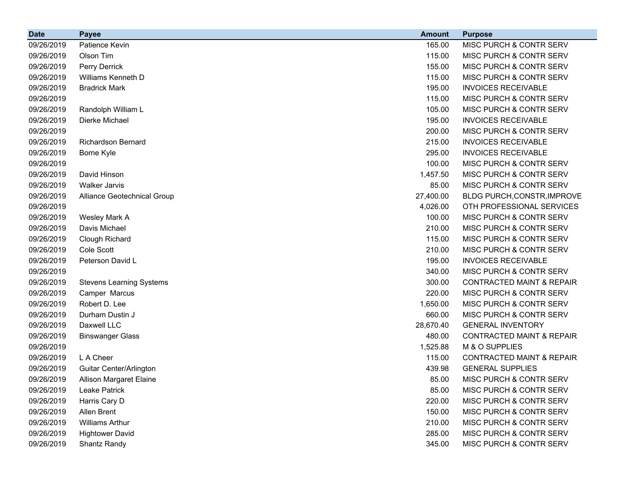| <b>Date</b> | <b>Payee</b>                    | <b>Amount</b> | <b>Purpose</b>                       |
|-------------|---------------------------------|---------------|--------------------------------------|
| 09/26/2019  | Patience Kevin                  | 165.00        | MISC PURCH & CONTR SERV              |
| 09/26/2019  | Olson Tim                       | 115.00        | MISC PURCH & CONTR SERV              |
| 09/26/2019  | Perry Derrick                   | 155.00        | MISC PURCH & CONTR SERV              |
| 09/26/2019  | Williams Kenneth D              | 115.00        | MISC PURCH & CONTR SERV              |
| 09/26/2019  | <b>Bradrick Mark</b>            | 195.00        | <b>INVOICES RECEIVABLE</b>           |
| 09/26/2019  |                                 | 115.00        | MISC PURCH & CONTR SERV              |
| 09/26/2019  | Randolph William L              | 105.00        | MISC PURCH & CONTR SERV              |
| 09/26/2019  | Dierke Michael                  | 195.00        | <b>INVOICES RECEIVABLE</b>           |
| 09/26/2019  |                                 | 200.00        | MISC PURCH & CONTR SERV              |
| 09/26/2019  | <b>Richardson Bernard</b>       | 215.00        | <b>INVOICES RECEIVABLE</b>           |
| 09/26/2019  | Borne Kyle                      | 295.00        | <b>INVOICES RECEIVABLE</b>           |
| 09/26/2019  |                                 | 100.00        | MISC PURCH & CONTR SERV              |
| 09/26/2019  | David Hinson                    | 1,457.50      | MISC PURCH & CONTR SERV              |
| 09/26/2019  | <b>Walker Jarvis</b>            | 85.00         | MISC PURCH & CONTR SERV              |
| 09/26/2019  | Alliance Geotechnical Group     | 27,400.00     | BLDG PURCH, CONSTR, IMPROVE          |
| 09/26/2019  |                                 | 4,026.00      | OTH PROFESSIONAL SERVICES            |
| 09/26/2019  | Wesley Mark A                   | 100.00        | <b>MISC PURCH &amp; CONTR SERV</b>   |
| 09/26/2019  | Davis Michael                   | 210.00        | MISC PURCH & CONTR SERV              |
| 09/26/2019  | Clough Richard                  | 115.00        | MISC PURCH & CONTR SERV              |
| 09/26/2019  | Cole Scott                      | 210.00        | MISC PURCH & CONTR SERV              |
| 09/26/2019  | Peterson David L                | 195.00        | <b>INVOICES RECEIVABLE</b>           |
| 09/26/2019  |                                 | 340.00        | MISC PURCH & CONTR SERV              |
| 09/26/2019  | <b>Stevens Learning Systems</b> | 300.00        | <b>CONTRACTED MAINT &amp; REPAIR</b> |
| 09/26/2019  | Camper Marcus                   | 220.00        | MISC PURCH & CONTR SERV              |
| 09/26/2019  | Robert D. Lee                   | 1,650.00      | MISC PURCH & CONTR SERV              |
| 09/26/2019  | Durham Dustin J                 | 660.00        | MISC PURCH & CONTR SERV              |
| 09/26/2019  | Daxwell LLC                     | 28,670.40     | <b>GENERAL INVENTORY</b>             |
| 09/26/2019  | <b>Binswanger Glass</b>         | 480.00        | <b>CONTRACTED MAINT &amp; REPAIR</b> |
| 09/26/2019  |                                 | 1,525.88      | M & O SUPPLIES                       |
| 09/26/2019  | L A Cheer                       | 115.00        | <b>CONTRACTED MAINT &amp; REPAIR</b> |
| 09/26/2019  | Guitar Center/Arlington         | 439.98        | <b>GENERAL SUPPLIES</b>              |
| 09/26/2019  | <b>Allison Margaret Elaine</b>  | 85.00         | MISC PURCH & CONTR SERV              |
| 09/26/2019  | Leake Patrick                   | 85.00         | MISC PURCH & CONTR SERV              |
| 09/26/2019  | Harris Cary D                   | 220.00        | MISC PURCH & CONTR SERV              |
| 09/26/2019  | Allen Brent                     | 150.00        | MISC PURCH & CONTR SERV              |
| 09/26/2019  | <b>Williams Arthur</b>          | 210.00        | MISC PURCH & CONTR SERV              |
| 09/26/2019  | <b>Hightower David</b>          | 285.00        | MISC PURCH & CONTR SERV              |
| 09/26/2019  | Shantz Randy                    | 345.00        | MISC PURCH & CONTR SERV              |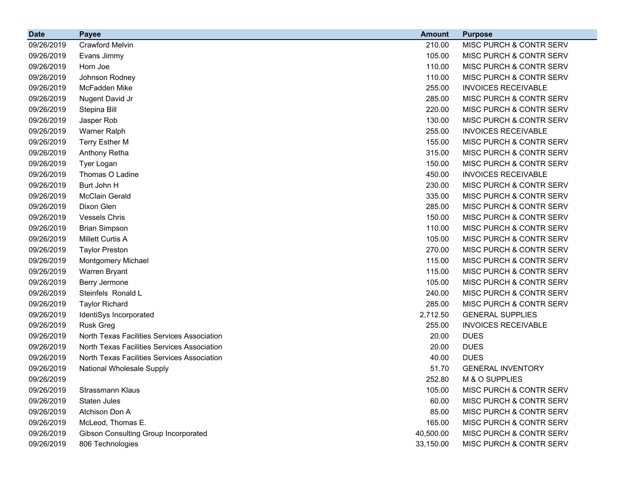| <b>Date</b> | <b>Payee</b>                                | <b>Amount</b> | <b>Purpose</b>                     |
|-------------|---------------------------------------------|---------------|------------------------------------|
| 09/26/2019  | <b>Crawford Melvin</b>                      | 210.00        | MISC PURCH & CONTR SERV            |
| 09/26/2019  | Evans Jimmy                                 | 105.00        | MISC PURCH & CONTR SERV            |
| 09/26/2019  | Horn Joe                                    | 110.00        | MISC PURCH & CONTR SERV            |
| 09/26/2019  | Johnson Rodney                              | 110.00        | MISC PURCH & CONTR SERV            |
| 09/26/2019  | McFadden Mike                               | 255.00        | <b>INVOICES RECEIVABLE</b>         |
| 09/26/2019  | Nugent David Jr                             | 285.00        | MISC PURCH & CONTR SERV            |
| 09/26/2019  | Stepina Bill                                | 220.00        | MISC PURCH & CONTR SERV            |
| 09/26/2019  | Jasper Rob                                  | 130.00        | MISC PURCH & CONTR SERV            |
| 09/26/2019  | Warner Ralph                                | 255.00        | <b>INVOICES RECEIVABLE</b>         |
| 09/26/2019  | <b>Terry Esther M</b>                       | 155.00        | MISC PURCH & CONTR SERV            |
| 09/26/2019  | Anthony Retha                               | 315.00        | MISC PURCH & CONTR SERV            |
| 09/26/2019  | Tyer Logan                                  | 150.00        | MISC PURCH & CONTR SERV            |
| 09/26/2019  | Thomas O Ladine                             | 450.00        | <b>INVOICES RECEIVABLE</b>         |
| 09/26/2019  | Burt John H                                 | 230.00        | MISC PURCH & CONTR SERV            |
| 09/26/2019  | <b>McClain Gerald</b>                       | 335.00        | MISC PURCH & CONTR SERV            |
| 09/26/2019  | Dixon Glen                                  | 285.00        | MISC PURCH & CONTR SERV            |
| 09/26/2019  | <b>Vessels Chris</b>                        | 150.00        | MISC PURCH & CONTR SERV            |
| 09/26/2019  | <b>Brian Simpson</b>                        | 110.00        | MISC PURCH & CONTR SERV            |
| 09/26/2019  | <b>Millett Curtis A</b>                     | 105.00        | MISC PURCH & CONTR SERV            |
| 09/26/2019  | <b>Taylor Preston</b>                       | 270.00        | MISC PURCH & CONTR SERV            |
| 09/26/2019  | Montgomery Michael                          | 115.00        | <b>MISC PURCH &amp; CONTR SERV</b> |
| 09/26/2019  | Warren Bryant                               | 115.00        | MISC PURCH & CONTR SERV            |
| 09/26/2019  | Berry Jermone                               | 105.00        | MISC PURCH & CONTR SERV            |
| 09/26/2019  | Steinfels Ronald L                          | 240.00        | MISC PURCH & CONTR SERV            |
| 09/26/2019  | <b>Taylor Richard</b>                       | 285.00        | MISC PURCH & CONTR SERV            |
| 09/26/2019  | IdentiSys Incorporated                      | 2,712.50      | <b>GENERAL SUPPLIES</b>            |
| 09/26/2019  | <b>Rusk Greg</b>                            | 255.00        | <b>INVOICES RECEIVABLE</b>         |
| 09/26/2019  | North Texas Facilities Services Association | 20.00         | <b>DUES</b>                        |
| 09/26/2019  | North Texas Facilities Services Association | 20.00         | <b>DUES</b>                        |
| 09/26/2019  | North Texas Facilities Services Association | 40.00         | <b>DUES</b>                        |
| 09/26/2019  | National Wholesale Supply                   | 51.70         | <b>GENERAL INVENTORY</b>           |
| 09/26/2019  |                                             | 252.80        | M & O SUPPLIES                     |
| 09/26/2019  | Strassmann Klaus                            | 105.00        | MISC PURCH & CONTR SERV            |
| 09/26/2019  | <b>Staten Jules</b>                         | 60.00         | MISC PURCH & CONTR SERV            |
| 09/26/2019  | Atchison Don A                              | 85.00         | MISC PURCH & CONTR SERV            |
| 09/26/2019  | McLeod, Thomas E.                           | 165.00        | MISC PURCH & CONTR SERV            |
| 09/26/2019  | Gibson Consulting Group Incorporated        | 40,500.00     | MISC PURCH & CONTR SERV            |
| 09/26/2019  | 806 Technologies                            | 33,150.00     | MISC PURCH & CONTR SERV            |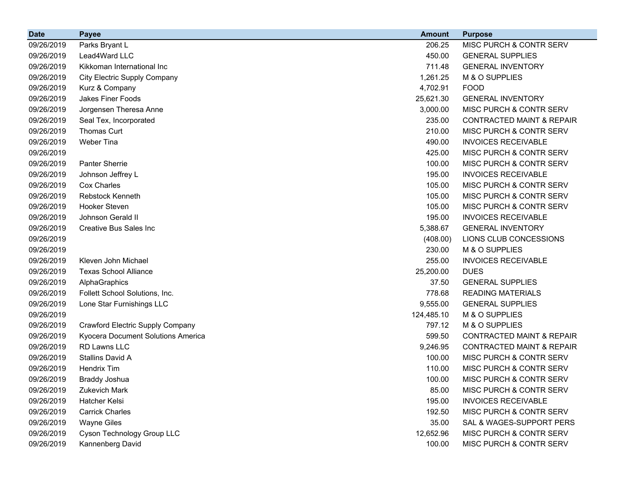| <b>Date</b> | <b>Payee</b>                        | <b>Amount</b> | <b>Purpose</b>                       |
|-------------|-------------------------------------|---------------|--------------------------------------|
| 09/26/2019  | Parks Bryant L                      | 206.25        | MISC PURCH & CONTR SERV              |
| 09/26/2019  | Lead4Ward LLC                       | 450.00        | <b>GENERAL SUPPLIES</b>              |
| 09/26/2019  | Kikkoman International Inc          | 711.48        | <b>GENERAL INVENTORY</b>             |
| 09/26/2019  | <b>City Electric Supply Company</b> | 1,261.25      | M & O SUPPLIES                       |
| 09/26/2019  | Kurz & Company                      | 4,702.91      | <b>FOOD</b>                          |
| 09/26/2019  | Jakes Finer Foods                   | 25,621.30     | <b>GENERAL INVENTORY</b>             |
| 09/26/2019  | Jorgensen Theresa Anne              | 3,000.00      | MISC PURCH & CONTR SERV              |
| 09/26/2019  | Seal Tex, Incorporated              | 235.00        | <b>CONTRACTED MAINT &amp; REPAIR</b> |
| 09/26/2019  | Thomas Curt                         | 210.00        | MISC PURCH & CONTR SERV              |
| 09/26/2019  | Weber Tina                          | 490.00        | <b>INVOICES RECEIVABLE</b>           |
| 09/26/2019  |                                     | 425.00        | MISC PURCH & CONTR SERV              |
| 09/26/2019  | <b>Panter Sherrie</b>               | 100.00        | MISC PURCH & CONTR SERV              |
| 09/26/2019  | Johnson Jeffrey L                   | 195.00        | <b>INVOICES RECEIVABLE</b>           |
| 09/26/2019  | Cox Charles                         | 105.00        | MISC PURCH & CONTR SERV              |
| 09/26/2019  | Rebstock Kenneth                    | 105.00        | MISC PURCH & CONTR SERV              |
| 09/26/2019  | Hooker Steven                       | 105.00        | MISC PURCH & CONTR SERV              |
| 09/26/2019  | Johnson Gerald II                   | 195.00        | <b>INVOICES RECEIVABLE</b>           |
| 09/26/2019  | Creative Bus Sales Inc              | 5,388.67      | <b>GENERAL INVENTORY</b>             |
| 09/26/2019  |                                     | (408.00)      | LIONS CLUB CONCESSIONS               |
| 09/26/2019  |                                     | 230.00        | M & O SUPPLIES                       |
| 09/26/2019  | Kleven John Michael                 | 255.00        | <b>INVOICES RECEIVABLE</b>           |
| 09/26/2019  | <b>Texas School Alliance</b>        | 25,200.00     | <b>DUES</b>                          |
| 09/26/2019  | AlphaGraphics                       | 37.50         | <b>GENERAL SUPPLIES</b>              |
| 09/26/2019  | Follett School Solutions, Inc.      | 778.68        | <b>READING MATERIALS</b>             |
| 09/26/2019  | Lone Star Furnishings LLC           | 9,555.00      | <b>GENERAL SUPPLIES</b>              |
| 09/26/2019  |                                     | 124,485.10    | M & O SUPPLIES                       |
| 09/26/2019  | Crawford Electric Supply Company    | 797.12        | M & O SUPPLIES                       |
| 09/26/2019  | Kyocera Document Solutions America  | 599.50        | <b>CONTRACTED MAINT &amp; REPAIR</b> |
| 09/26/2019  | <b>RD Lawns LLC</b>                 | 9,246.95      | <b>CONTRACTED MAINT &amp; REPAIR</b> |
| 09/26/2019  | Stallins David A                    | 100.00        | MISC PURCH & CONTR SERV              |
| 09/26/2019  | <b>Hendrix Tim</b>                  | 110.00        | MISC PURCH & CONTR SERV              |
| 09/26/2019  | Braddy Joshua                       | 100.00        | MISC PURCH & CONTR SERV              |
| 09/26/2019  | <b>Zukevich Mark</b>                | 85.00         | <b>MISC PURCH &amp; CONTR SERV</b>   |
| 09/26/2019  | Hatcher Kelsi                       | 195.00        | <b>INVOICES RECEIVABLE</b>           |
| 09/26/2019  | <b>Carrick Charles</b>              | 192.50        | MISC PURCH & CONTR SERV              |
| 09/26/2019  | <b>Wayne Giles</b>                  | 35.00         | SAL & WAGES-SUPPORT PERS             |
| 09/26/2019  | Cyson Technology Group LLC          | 12,652.96     | MISC PURCH & CONTR SERV              |
| 09/26/2019  | Kannenberg David                    | 100.00        | MISC PURCH & CONTR SERV              |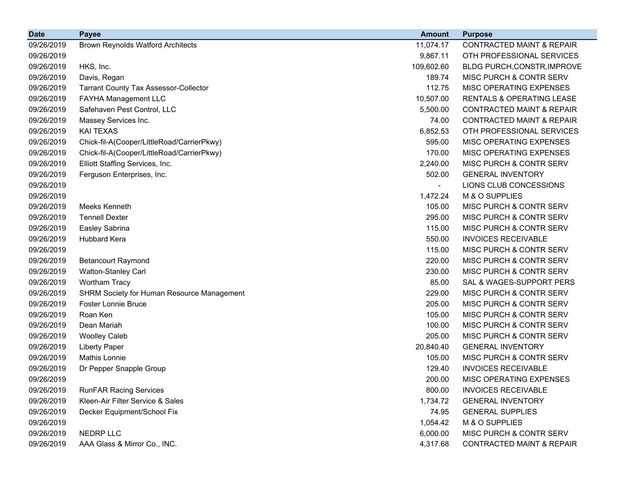| <b>Date</b> | <b>Payee</b>                                      | <b>Amount</b> | <b>Purpose</b>                       |
|-------------|---------------------------------------------------|---------------|--------------------------------------|
| 09/26/2019  | <b>Brown Reynolds Watford Architects</b>          | 11,074.17     | <b>CONTRACTED MAINT &amp; REPAIR</b> |
| 09/26/2019  |                                                   | 9,867.11      | OTH PROFESSIONAL SERVICES            |
| 09/26/2019  | HKS, Inc.                                         | 109,602.60    | BLDG PURCH, CONSTR, IMPROVE          |
| 09/26/2019  | Davis, Regan                                      | 189.74        | MISC PURCH & CONTR SERV              |
| 09/26/2019  | <b>Tarrant County Tax Assessor-Collector</b>      | 112.75        | MISC OPERATING EXPENSES              |
| 09/26/2019  | FAYHA Management LLC                              | 10,507.00     | <b>RENTALS &amp; OPERATING LEASE</b> |
| 09/26/2019  | Safehaven Pest Control, LLC                       | 5,500.00      | <b>CONTRACTED MAINT &amp; REPAIR</b> |
| 09/26/2019  | Massey Services Inc.                              | 74.00         | <b>CONTRACTED MAINT &amp; REPAIR</b> |
| 09/26/2019  | <b>KAI TEXAS</b>                                  | 6,852.53      | OTH PROFESSIONAL SERVICES            |
| 09/26/2019  | Chick-fil-A(Cooper/LittleRoad/CarrierPkwy)        | 595.00        | MISC OPERATING EXPENSES              |
| 09/26/2019  | Chick-fil-A(Cooper/LittleRoad/CarrierPkwy)        | 170.00        | MISC OPERATING EXPENSES              |
| 09/26/2019  | Elliott Staffing Services, Inc.                   | 2,240.00      | MISC PURCH & CONTR SERV              |
| 09/26/2019  | Ferguson Enterprises, Inc.                        | 502.00        | <b>GENERAL INVENTORY</b>             |
| 09/26/2019  |                                                   |               | LIONS CLUB CONCESSIONS               |
| 09/26/2019  |                                                   | 1,472.24      | M & O SUPPLIES                       |
| 09/26/2019  | Meeks Kenneth                                     | 105.00        | MISC PURCH & CONTR SERV              |
| 09/26/2019  | <b>Tennell Dexter</b>                             | 295.00        | MISC PURCH & CONTR SERV              |
| 09/26/2019  | Easley Sabrina                                    | 115.00        | MISC PURCH & CONTR SERV              |
| 09/26/2019  | Hubbard Kera                                      | 550.00        | <b>INVOICES RECEIVABLE</b>           |
| 09/26/2019  |                                                   | 115.00        | MISC PURCH & CONTR SERV              |
| 09/26/2019  | <b>Betancourt Raymond</b>                         | 220.00        | MISC PURCH & CONTR SERV              |
| 09/26/2019  | Walton-Stanley Carl                               | 230.00        | MISC PURCH & CONTR SERV              |
| 09/26/2019  | <b>Wortham Tracy</b>                              | 85.00         | SAL & WAGES-SUPPORT PERS             |
| 09/26/2019  | <b>SHRM Society for Human Resource Management</b> | 229.00        | MISC PURCH & CONTR SERV              |
| 09/26/2019  | <b>Foster Lonnie Bruce</b>                        | 205.00        | MISC PURCH & CONTR SERV              |
| 09/26/2019  | Roan Ken                                          | 105.00        | MISC PURCH & CONTR SERV              |
| 09/26/2019  | Dean Mariah                                       | 100.00        | MISC PURCH & CONTR SERV              |
| 09/26/2019  | <b>Woolley Caleb</b>                              | 205.00        | MISC PURCH & CONTR SERV              |
| 09/26/2019  | <b>Liberty Paper</b>                              | 20,840.40     | <b>GENERAL INVENTORY</b>             |
| 09/26/2019  | <b>Mathis Lonnie</b>                              | 105.00        | MISC PURCH & CONTR SERV              |
| 09/26/2019  | Dr Pepper Snapple Group                           | 129.40        | <b>INVOICES RECEIVABLE</b>           |
| 09/26/2019  |                                                   | 200.00        | <b>MISC OPERATING EXPENSES</b>       |
| 09/26/2019  | <b>RunFAR Racing Services</b>                     | 800.00        | <b>INVOICES RECEIVABLE</b>           |
| 09/26/2019  | Kleen-Air Filter Service & Sales                  | 1,734.72      | <b>GENERAL INVENTORY</b>             |
| 09/26/2019  | Decker Equipment/School Fix                       | 74.95         | <b>GENERAL SUPPLIES</b>              |
| 09/26/2019  |                                                   | 1,054.42      | M & O SUPPLIES                       |
| 09/26/2019  | <b>NEDRP LLC</b>                                  | 6,000.00      | MISC PURCH & CONTR SERV              |
| 09/26/2019  | AAA Glass & Mirror Co., INC.                      | 4,317.68      | <b>CONTRACTED MAINT &amp; REPAIR</b> |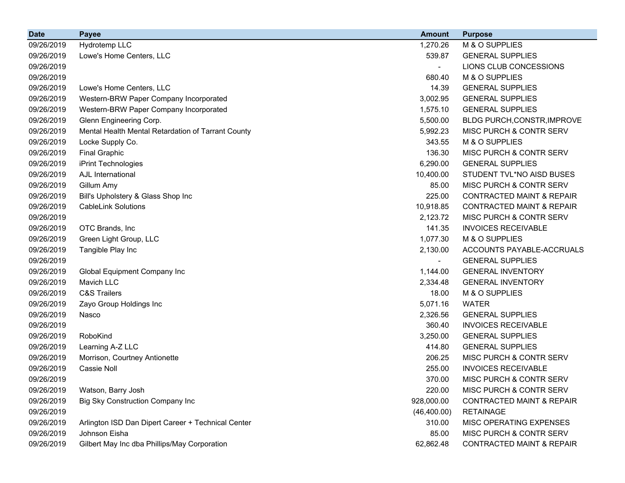| <b>Date</b> | <b>Payee</b>                                       | <b>Amount</b> | <b>Purpose</b>                       |
|-------------|----------------------------------------------------|---------------|--------------------------------------|
| 09/26/2019  | Hydrotemp LLC                                      | 1,270.26      | M & O SUPPLIES                       |
| 09/26/2019  | Lowe's Home Centers, LLC                           | 539.87        | <b>GENERAL SUPPLIES</b>              |
| 09/26/2019  |                                                    |               | LIONS CLUB CONCESSIONS               |
| 09/26/2019  |                                                    | 680.40        | M & O SUPPLIES                       |
| 09/26/2019  | Lowe's Home Centers, LLC                           | 14.39         | <b>GENERAL SUPPLIES</b>              |
| 09/26/2019  | Western-BRW Paper Company Incorporated             | 3,002.95      | <b>GENERAL SUPPLIES</b>              |
| 09/26/2019  | Western-BRW Paper Company Incorporated             | 1,575.10      | <b>GENERAL SUPPLIES</b>              |
| 09/26/2019  | Glenn Engineering Corp.                            | 5,500.00      | BLDG PURCH, CONSTR, IMPROVE          |
| 09/26/2019  | Mental Health Mental Retardation of Tarrant County | 5,992.23      | MISC PURCH & CONTR SERV              |
| 09/26/2019  | Locke Supply Co.                                   | 343.55        | M & O SUPPLIES                       |
| 09/26/2019  | <b>Final Graphic</b>                               | 136.30        | MISC PURCH & CONTR SERV              |
| 09/26/2019  | iPrint Technologies                                | 6,290.00      | <b>GENERAL SUPPLIES</b>              |
| 09/26/2019  | AJL International                                  | 10,400.00     | STUDENT TVL*NO AISD BUSES            |
| 09/26/2019  | Gillum Amy                                         | 85.00         | MISC PURCH & CONTR SERV              |
| 09/26/2019  | Bill's Upholstery & Glass Shop Inc                 | 225.00        | <b>CONTRACTED MAINT &amp; REPAIR</b> |
| 09/26/2019  | <b>CableLink Solutions</b>                         | 10,918.85     | <b>CONTRACTED MAINT &amp; REPAIR</b> |
| 09/26/2019  |                                                    | 2,123.72      | MISC PURCH & CONTR SERV              |
| 09/26/2019  | OTC Brands, Inc                                    | 141.35        | <b>INVOICES RECEIVABLE</b>           |
| 09/26/2019  | Green Light Group, LLC                             | 1,077.30      | M & O SUPPLIES                       |
| 09/26/2019  | Tangible Play Inc                                  | 2,130.00      | ACCOUNTS PAYABLE-ACCRUALS            |
| 09/26/2019  |                                                    |               | <b>GENERAL SUPPLIES</b>              |
| 09/26/2019  | Global Equipment Company Inc                       | 1,144.00      | <b>GENERAL INVENTORY</b>             |
| 09/26/2019  | <b>Mavich LLC</b>                                  | 2,334.48      | <b>GENERAL INVENTORY</b>             |
| 09/26/2019  | <b>C&amp;S Trailers</b>                            | 18.00         | M & O SUPPLIES                       |
| 09/26/2019  | Zayo Group Holdings Inc                            | 5,071.16      | <b>WATER</b>                         |
| 09/26/2019  | Nasco                                              | 2,326.56      | <b>GENERAL SUPPLIES</b>              |
| 09/26/2019  |                                                    | 360.40        | <b>INVOICES RECEIVABLE</b>           |
| 09/26/2019  | RoboKind                                           | 3,250.00      | <b>GENERAL SUPPLIES</b>              |
| 09/26/2019  | Learning A-Z LLC                                   | 414.80        | <b>GENERAL SUPPLIES</b>              |
| 09/26/2019  | Morrison, Courtney Antionette                      | 206.25        | <b>MISC PURCH &amp; CONTR SERV</b>   |
| 09/26/2019  | <b>Cassie Noll</b>                                 | 255.00        | <b>INVOICES RECEIVABLE</b>           |
| 09/26/2019  |                                                    | 370.00        | <b>MISC PURCH &amp; CONTR SERV</b>   |
| 09/26/2019  | Watson, Barry Josh                                 | 220.00        | <b>MISC PURCH &amp; CONTR SERV</b>   |
| 09/26/2019  | <b>Big Sky Construction Company Inc</b>            | 928,000.00    | CONTRACTED MAINT & REPAIR            |
| 09/26/2019  |                                                    | (46, 400.00)  | <b>RETAINAGE</b>                     |
| 09/26/2019  | Arlington ISD Dan Dipert Career + Technical Center | 310.00        | MISC OPERATING EXPENSES              |
| 09/26/2019  | Johnson Eisha                                      | 85.00         | MISC PURCH & CONTR SERV              |
| 09/26/2019  | Gilbert May Inc dba Phillips/May Corporation       | 62,862.48     | CONTRACTED MAINT & REPAIR            |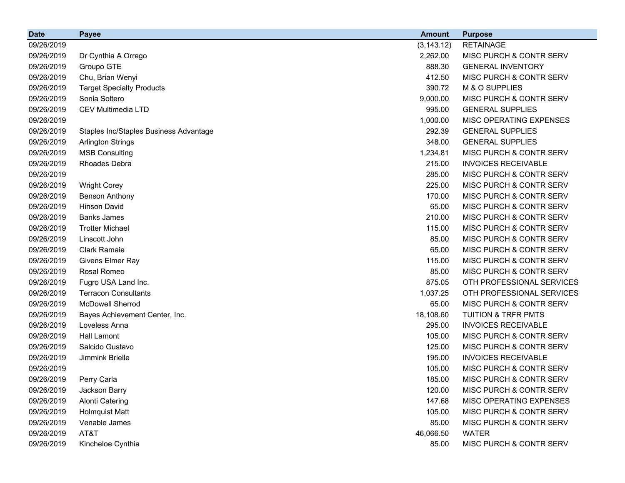| <b>Date</b> | <b>Payee</b>                           | <b>Amount</b> | <b>Purpose</b>                 |
|-------------|----------------------------------------|---------------|--------------------------------|
| 09/26/2019  |                                        | (3, 143.12)   | <b>RETAINAGE</b>               |
| 09/26/2019  | Dr Cynthia A Orrego                    | 2,262.00      | MISC PURCH & CONTR SERV        |
| 09/26/2019  | Groupo GTE                             | 888.30        | <b>GENERAL INVENTORY</b>       |
| 09/26/2019  | Chu, Brian Wenyi                       | 412.50        | MISC PURCH & CONTR SERV        |
| 09/26/2019  | <b>Target Specialty Products</b>       | 390.72        | M & O SUPPLIES                 |
| 09/26/2019  | Sonia Soltero                          | 9,000.00      | MISC PURCH & CONTR SERV        |
| 09/26/2019  | <b>CEV Multimedia LTD</b>              | 995.00        | <b>GENERAL SUPPLIES</b>        |
| 09/26/2019  |                                        | 1,000.00      | MISC OPERATING EXPENSES        |
| 09/26/2019  | Staples Inc/Staples Business Advantage | 292.39        | <b>GENERAL SUPPLIES</b>        |
| 09/26/2019  | <b>Arlington Strings</b>               | 348.00        | <b>GENERAL SUPPLIES</b>        |
| 09/26/2019  | <b>MSB Consulting</b>                  | 1,234.81      | MISC PURCH & CONTR SERV        |
| 09/26/2019  | Rhoades Debra                          | 215.00        | <b>INVOICES RECEIVABLE</b>     |
| 09/26/2019  |                                        | 285.00        | MISC PURCH & CONTR SERV        |
| 09/26/2019  | <b>Wright Corey</b>                    | 225.00        | MISC PURCH & CONTR SERV        |
| 09/26/2019  | <b>Benson Anthony</b>                  | 170.00        | MISC PURCH & CONTR SERV        |
| 09/26/2019  | <b>Hinson David</b>                    | 65.00         | MISC PURCH & CONTR SERV        |
| 09/26/2019  | <b>Banks James</b>                     | 210.00        | MISC PURCH & CONTR SERV        |
| 09/26/2019  | <b>Trotter Michael</b>                 | 115.00        | MISC PURCH & CONTR SERV        |
| 09/26/2019  | Linscott John                          | 85.00         | MISC PURCH & CONTR SERV        |
| 09/26/2019  | <b>Clark Ramaie</b>                    | 65.00         | MISC PURCH & CONTR SERV        |
| 09/26/2019  | Givens Elmer Ray                       | 115.00        | MISC PURCH & CONTR SERV        |
| 09/26/2019  | Rosal Romeo                            | 85.00         | MISC PURCH & CONTR SERV        |
| 09/26/2019  | Fugro USA Land Inc.                    | 875.05        | OTH PROFESSIONAL SERVICES      |
| 09/26/2019  | <b>Terracon Consultants</b>            | 1,037.25      | OTH PROFESSIONAL SERVICES      |
| 09/26/2019  | <b>McDowell Sherrod</b>                | 65.00         | MISC PURCH & CONTR SERV        |
| 09/26/2019  | Bayes Achievement Center, Inc.         | 18,108.60     | <b>TUITION &amp; TRFR PMTS</b> |
| 09/26/2019  | Loveless Anna                          | 295.00        | <b>INVOICES RECEIVABLE</b>     |
| 09/26/2019  | <b>Hall Lamont</b>                     | 105.00        | MISC PURCH & CONTR SERV        |
| 09/26/2019  | Salcido Gustavo                        | 125.00        | MISC PURCH & CONTR SERV        |
| 09/26/2019  | Jimmink Brielle                        | 195.00        | <b>INVOICES RECEIVABLE</b>     |
| 09/26/2019  |                                        | 105.00        | MISC PURCH & CONTR SERV        |
| 09/26/2019  | Perry Carla                            | 185.00        | MISC PURCH & CONTR SERV        |
| 09/26/2019  | Jackson Barry                          | 120.00        | MISC PURCH & CONTR SERV        |
| 09/26/2019  | <b>Alonti Catering</b>                 | 147.68        | MISC OPERATING EXPENSES        |
| 09/26/2019  | <b>Holmquist Matt</b>                  | 105.00        | MISC PURCH & CONTR SERV        |
| 09/26/2019  | Venable James                          | 85.00         | MISC PURCH & CONTR SERV        |
| 09/26/2019  | AT&T                                   | 46,066.50     | <b>WATER</b>                   |
| 09/26/2019  | Kincheloe Cynthia                      | 85.00         | MISC PURCH & CONTR SERV        |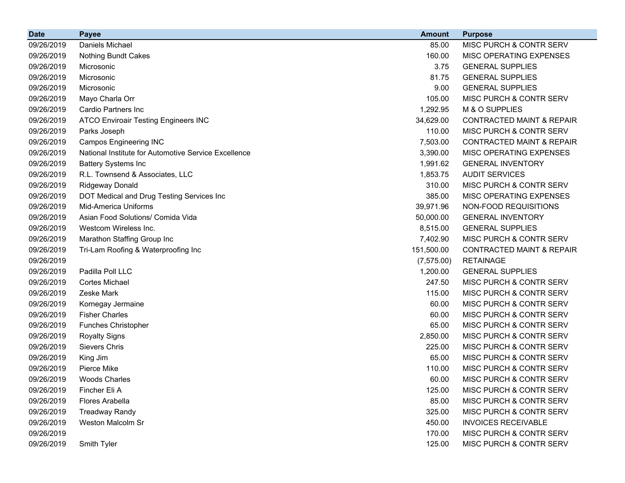| <b>Date</b> | <b>Payee</b>                                         | <b>Amount</b> | <b>Purpose</b>                       |
|-------------|------------------------------------------------------|---------------|--------------------------------------|
| 09/26/2019  | Daniels Michael                                      | 85.00         | MISC PURCH & CONTR SERV              |
| 09/26/2019  | <b>Nothing Bundt Cakes</b>                           | 160.00        | MISC OPERATING EXPENSES              |
| 09/26/2019  | Microsonic                                           | 3.75          | <b>GENERAL SUPPLIES</b>              |
| 09/26/2019  | Microsonic                                           | 81.75         | <b>GENERAL SUPPLIES</b>              |
| 09/26/2019  | Microsonic                                           | 9.00          | <b>GENERAL SUPPLIES</b>              |
| 09/26/2019  | Mayo Charla Orr                                      | 105.00        | MISC PURCH & CONTR SERV              |
| 09/26/2019  | Cardio Partners Inc                                  | 1,292.95      | M & O SUPPLIES                       |
| 09/26/2019  | <b>ATCO Enviroair Testing Engineers INC</b>          | 34,629.00     | <b>CONTRACTED MAINT &amp; REPAIR</b> |
| 09/26/2019  | Parks Joseph                                         | 110.00        | MISC PURCH & CONTR SERV              |
| 09/26/2019  | <b>Campos Engineering INC</b>                        | 7,503.00      | <b>CONTRACTED MAINT &amp; REPAIR</b> |
| 09/26/2019  | National Institute for Automotive Service Excellence | 3,390.00      | MISC OPERATING EXPENSES              |
| 09/26/2019  | <b>Battery Systems Inc</b>                           | 1,991.62      | <b>GENERAL INVENTORY</b>             |
| 09/26/2019  | R.L. Townsend & Associates, LLC                      | 1,853.75      | <b>AUDIT SERVICES</b>                |
| 09/26/2019  | <b>Ridgeway Donald</b>                               | 310.00        | MISC PURCH & CONTR SERV              |
| 09/26/2019  | DOT Medical and Drug Testing Services Inc            | 385.00        | MISC OPERATING EXPENSES              |
| 09/26/2019  | Mid-America Uniforms                                 | 39,971.96     | NON-FOOD REQUISITIONS                |
| 09/26/2019  | Asian Food Solutions/ Comida Vida                    | 50,000.00     | <b>GENERAL INVENTORY</b>             |
| 09/26/2019  | Westcom Wireless Inc.                                | 8,515.00      | <b>GENERAL SUPPLIES</b>              |
| 09/26/2019  | Marathon Staffing Group Inc                          | 7,402.90      | MISC PURCH & CONTR SERV              |
| 09/26/2019  | Tri-Lam Roofing & Waterproofing Inc                  | 151,500.00    | <b>CONTRACTED MAINT &amp; REPAIR</b> |
| 09/26/2019  |                                                      | (7, 575.00)   | <b>RETAINAGE</b>                     |
| 09/26/2019  | Padilla Poll LLC                                     | 1,200.00      | <b>GENERAL SUPPLIES</b>              |
| 09/26/2019  | <b>Cortes Michael</b>                                | 247.50        | MISC PURCH & CONTR SERV              |
| 09/26/2019  | Zeske Mark                                           | 115.00        | MISC PURCH & CONTR SERV              |
| 09/26/2019  | Kornegay Jermaine                                    | 60.00         | MISC PURCH & CONTR SERV              |
| 09/26/2019  | <b>Fisher Charles</b>                                | 60.00         | MISC PURCH & CONTR SERV              |
| 09/26/2019  | <b>Funches Christopher</b>                           | 65.00         | MISC PURCH & CONTR SERV              |
| 09/26/2019  | <b>Royalty Signs</b>                                 | 2,850.00      | MISC PURCH & CONTR SERV              |
| 09/26/2019  | <b>Sievers Chris</b>                                 | 225.00        | MISC PURCH & CONTR SERV              |
| 09/26/2019  | King Jim                                             | 65.00         | MISC PURCH & CONTR SERV              |
| 09/26/2019  | Pierce Mike                                          | 110.00        | MISC PURCH & CONTR SERV              |
| 09/26/2019  | <b>Woods Charles</b>                                 | 60.00         | MISC PURCH & CONTR SERV              |
| 09/26/2019  | Fincher Eli A                                        | 125.00        | MISC PURCH & CONTR SERV              |
| 09/26/2019  | <b>Flores Arabella</b>                               | 85.00         | MISC PURCH & CONTR SERV              |
| 09/26/2019  | <b>Treadway Randy</b>                                | 325.00        | MISC PURCH & CONTR SERV              |
| 09/26/2019  | Weston Malcolm Sr                                    | 450.00        | <b>INVOICES RECEIVABLE</b>           |
| 09/26/2019  |                                                      | 170.00        | MISC PURCH & CONTR SERV              |
| 09/26/2019  | Smith Tyler                                          | 125.00        | MISC PURCH & CONTR SERV              |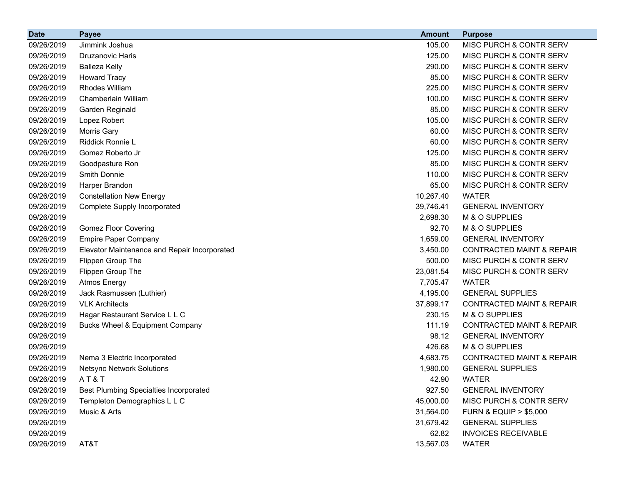| <b>Date</b> | <b>Payee</b>                                  | <b>Amount</b> | <b>Purpose</b>                       |
|-------------|-----------------------------------------------|---------------|--------------------------------------|
| 09/26/2019  | Jimmink Joshua                                | 105.00        | MISC PURCH & CONTR SERV              |
| 09/26/2019  | <b>Druzanovic Haris</b>                       | 125.00        | MISC PURCH & CONTR SERV              |
| 09/26/2019  | <b>Balleza Kelly</b>                          | 290.00        | MISC PURCH & CONTR SERV              |
| 09/26/2019  | <b>Howard Tracy</b>                           | 85.00         | MISC PURCH & CONTR SERV              |
| 09/26/2019  | <b>Rhodes William</b>                         | 225.00        | MISC PURCH & CONTR SERV              |
| 09/26/2019  | Chamberlain William                           | 100.00        | MISC PURCH & CONTR SERV              |
| 09/26/2019  | Garden Reginald                               | 85.00         | MISC PURCH & CONTR SERV              |
| 09/26/2019  | Lopez Robert                                  | 105.00        | MISC PURCH & CONTR SERV              |
| 09/26/2019  | Morris Gary                                   | 60.00         | MISC PURCH & CONTR SERV              |
| 09/26/2019  | Riddick Ronnie L                              | 60.00         | MISC PURCH & CONTR SERV              |
| 09/26/2019  | Gomez Roberto Jr                              | 125.00        | MISC PURCH & CONTR SERV              |
| 09/26/2019  | Goodpasture Ron                               | 85.00         | MISC PURCH & CONTR SERV              |
| 09/26/2019  | Smith Donnie                                  | 110.00        | MISC PURCH & CONTR SERV              |
| 09/26/2019  | Harper Brandon                                | 65.00         | MISC PURCH & CONTR SERV              |
| 09/26/2019  | <b>Constellation New Energy</b>               | 10,267.40     | <b>WATER</b>                         |
| 09/26/2019  | <b>Complete Supply Incorporated</b>           | 39,746.41     | <b>GENERAL INVENTORY</b>             |
| 09/26/2019  |                                               | 2,698.30      | M & O SUPPLIES                       |
| 09/26/2019  | <b>Gomez Floor Covering</b>                   | 92.70         | M & O SUPPLIES                       |
| 09/26/2019  | <b>Empire Paper Company</b>                   | 1,659.00      | <b>GENERAL INVENTORY</b>             |
| 09/26/2019  | Elevator Maintenance and Repair Incorporated  | 3,450.00      | <b>CONTRACTED MAINT &amp; REPAIR</b> |
| 09/26/2019  | Flippen Group The                             | 500.00        | MISC PURCH & CONTR SERV              |
| 09/26/2019  | Flippen Group The                             | 23,081.54     | MISC PURCH & CONTR SERV              |
| 09/26/2019  | <b>Atmos Energy</b>                           | 7,705.47      | <b>WATER</b>                         |
| 09/26/2019  | Jack Rasmussen (Luthier)                      | 4,195.00      | <b>GENERAL SUPPLIES</b>              |
| 09/26/2019  | <b>VLK Architects</b>                         | 37,899.17     | <b>CONTRACTED MAINT &amp; REPAIR</b> |
| 09/26/2019  | Hagar Restaurant Service L L C                | 230.15        | M & O SUPPLIES                       |
| 09/26/2019  | Bucks Wheel & Equipment Company               | 111.19        | <b>CONTRACTED MAINT &amp; REPAIR</b> |
| 09/26/2019  |                                               | 98.12         | <b>GENERAL INVENTORY</b>             |
| 09/26/2019  |                                               | 426.68        | M & O SUPPLIES                       |
| 09/26/2019  | Nema 3 Electric Incorporated                  | 4,683.75      | <b>CONTRACTED MAINT &amp; REPAIR</b> |
| 09/26/2019  | <b>Netsync Network Solutions</b>              | 1,980.00      | <b>GENERAL SUPPLIES</b>              |
| 09/26/2019  | AT&T                                          | 42.90         | <b>WATER</b>                         |
| 09/26/2019  | <b>Best Plumbing Specialties Incorporated</b> | 927.50        | <b>GENERAL INVENTORY</b>             |
| 09/26/2019  | Templeton Demographics L L C                  | 45,000.00     | MISC PURCH & CONTR SERV              |
| 09/26/2019  | Music & Arts                                  | 31,564.00     | <b>FURN &amp; EQUIP &gt; \$5,000</b> |
| 09/26/2019  |                                               | 31,679.42     | <b>GENERAL SUPPLIES</b>              |
| 09/26/2019  |                                               | 62.82         | <b>INVOICES RECEIVABLE</b>           |
| 09/26/2019  | AT&T                                          | 13,567.03     | <b>WATER</b>                         |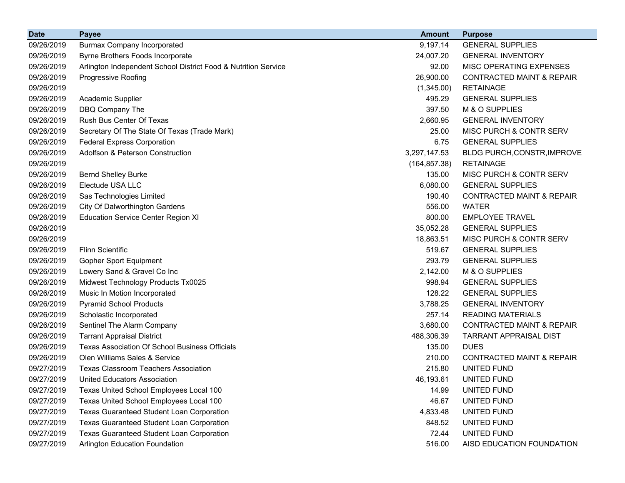| <b>Date</b> | <b>Payee</b>                                                   | <b>Amount</b> | <b>Purpose</b>                       |
|-------------|----------------------------------------------------------------|---------------|--------------------------------------|
| 09/26/2019  | <b>Burmax Company Incorporated</b>                             | 9,197.14      | <b>GENERAL SUPPLIES</b>              |
| 09/26/2019  | Byrne Brothers Foods Incorporate                               | 24,007.20     | <b>GENERAL INVENTORY</b>             |
| 09/26/2019  | Arlington Independent School District Food & Nutrition Service | 92.00         | MISC OPERATING EXPENSES              |
| 09/26/2019  | Progressive Roofing                                            | 26,900.00     | <b>CONTRACTED MAINT &amp; REPAIR</b> |
| 09/26/2019  |                                                                | (1,345.00)    | <b>RETAINAGE</b>                     |
| 09/26/2019  | Academic Supplier                                              | 495.29        | <b>GENERAL SUPPLIES</b>              |
| 09/26/2019  | DBQ Company The                                                | 397.50        | M & O SUPPLIES                       |
| 09/26/2019  | Rush Bus Center Of Texas                                       | 2,660.95      | <b>GENERAL INVENTORY</b>             |
| 09/26/2019  | Secretary Of The State Of Texas (Trade Mark)                   | 25.00         | MISC PURCH & CONTR SERV              |
| 09/26/2019  | <b>Federal Express Corporation</b>                             | 6.75          | <b>GENERAL SUPPLIES</b>              |
| 09/26/2019  | Adolfson & Peterson Construction                               | 3,297,147.53  | BLDG PURCH, CONSTR, IMPROVE          |
| 09/26/2019  |                                                                | (164, 857.38) | <b>RETAINAGE</b>                     |
| 09/26/2019  | <b>Bernd Shelley Burke</b>                                     | 135.00        | MISC PURCH & CONTR SERV              |
| 09/26/2019  | Electude USA LLC                                               | 6,080.00      | <b>GENERAL SUPPLIES</b>              |
| 09/26/2019  | Sas Technologies Limited                                       | 190.40        | <b>CONTRACTED MAINT &amp; REPAIR</b> |
| 09/26/2019  | City Of Dalworthington Gardens                                 | 556.00        | <b>WATER</b>                         |
| 09/26/2019  | <b>Education Service Center Region XI</b>                      | 800.00        | <b>EMPLOYEE TRAVEL</b>               |
| 09/26/2019  |                                                                | 35,052.28     | <b>GENERAL SUPPLIES</b>              |
| 09/26/2019  |                                                                | 18,863.51     | MISC PURCH & CONTR SERV              |
| 09/26/2019  | <b>Flinn Scientific</b>                                        | 519.67        | <b>GENERAL SUPPLIES</b>              |
| 09/26/2019  | <b>Gopher Sport Equipment</b>                                  | 293.79        | <b>GENERAL SUPPLIES</b>              |
| 09/26/2019  | Lowery Sand & Gravel Co Inc                                    | 2,142.00      | M & O SUPPLIES                       |
| 09/26/2019  | Midwest Technology Products Tx0025                             | 998.94        | <b>GENERAL SUPPLIES</b>              |
| 09/26/2019  | Music In Motion Incorporated                                   | 128.22        | <b>GENERAL SUPPLIES</b>              |
| 09/26/2019  | <b>Pyramid School Products</b>                                 | 3,788.25      | <b>GENERAL INVENTORY</b>             |
| 09/26/2019  | Scholastic Incorporated                                        | 257.14        | <b>READING MATERIALS</b>             |
| 09/26/2019  | Sentinel The Alarm Company                                     | 3,680.00      | <b>CONTRACTED MAINT &amp; REPAIR</b> |
| 09/26/2019  | <b>Tarrant Appraisal District</b>                              | 488,306.39    | <b>TARRANT APPRAISAL DIST</b>        |
| 09/26/2019  | <b>Texas Association Of School Business Officials</b>          | 135.00        | <b>DUES</b>                          |
| 09/26/2019  | Olen Williams Sales & Service                                  | 210.00        | <b>CONTRACTED MAINT &amp; REPAIR</b> |
| 09/27/2019  | <b>Texas Classroom Teachers Association</b>                    | 215.80        | UNITED FUND                          |
| 09/27/2019  | United Educators Association                                   | 46,193.61     | UNITED FUND                          |
| 09/27/2019  | Texas United School Employees Local 100                        | 14.99         | UNITED FUND                          |
| 09/27/2019  | Texas United School Employees Local 100                        | 46.67         | UNITED FUND                          |
| 09/27/2019  | <b>Texas Guaranteed Student Loan Corporation</b>               | 4,833.48      | UNITED FUND                          |
| 09/27/2019  | <b>Texas Guaranteed Student Loan Corporation</b>               | 848.52        | UNITED FUND                          |
| 09/27/2019  | Texas Guaranteed Student Loan Corporation                      | 72.44         | UNITED FUND                          |
| 09/27/2019  | Arlington Education Foundation                                 | 516.00        | AISD EDUCATION FOUNDATION            |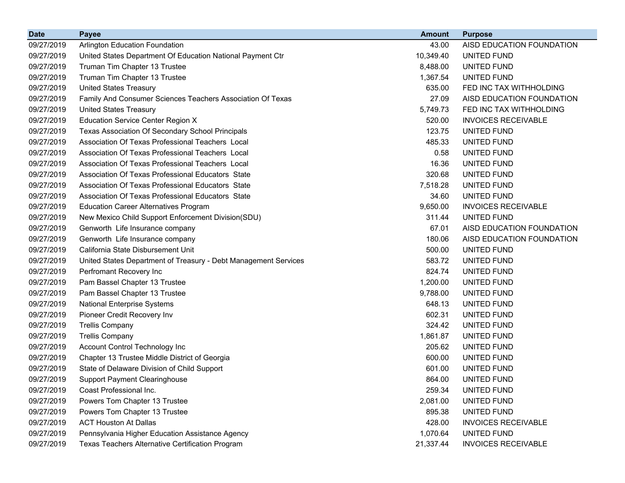| <b>Date</b> | <b>Payee</b>                                                    | <b>Amount</b> | <b>Purpose</b>             |
|-------------|-----------------------------------------------------------------|---------------|----------------------------|
| 09/27/2019  | <b>Arlington Education Foundation</b>                           | 43.00         | AISD EDUCATION FOUNDATION  |
| 09/27/2019  | United States Department Of Education National Payment Ctr      | 10,349.40     | UNITED FUND                |
| 09/27/2019  | Truman Tim Chapter 13 Trustee                                   | 8,488.00      | UNITED FUND                |
| 09/27/2019  | Truman Tim Chapter 13 Trustee                                   | 1,367.54      | UNITED FUND                |
| 09/27/2019  | <b>United States Treasury</b>                                   | 635.00        | FED INC TAX WITHHOLDING    |
| 09/27/2019  | Family And Consumer Sciences Teachers Association Of Texas      | 27.09         | AISD EDUCATION FOUNDATION  |
| 09/27/2019  | <b>United States Treasury</b>                                   | 5,749.73      | FED INC TAX WITHHOLDING    |
| 09/27/2019  | Education Service Center Region X                               | 520.00        | <b>INVOICES RECEIVABLE</b> |
| 09/27/2019  | Texas Association Of Secondary School Principals                | 123.75        | UNITED FUND                |
| 09/27/2019  | Association Of Texas Professional Teachers Local                | 485.33        | UNITED FUND                |
| 09/27/2019  | Association Of Texas Professional Teachers Local                | 0.58          | UNITED FUND                |
| 09/27/2019  | Association Of Texas Professional Teachers Local                | 16.36         | UNITED FUND                |
| 09/27/2019  | Association Of Texas Professional Educators State               | 320.68        | UNITED FUND                |
| 09/27/2019  | Association Of Texas Professional Educators State               | 7,518.28      | UNITED FUND                |
| 09/27/2019  | Association Of Texas Professional Educators State               | 34.60         | <b>UNITED FUND</b>         |
| 09/27/2019  | <b>Education Career Alternatives Program</b>                    | 9,650.00      | <b>INVOICES RECEIVABLE</b> |
| 09/27/2019  | New Mexico Child Support Enforcement Division(SDU)              | 311.44        | UNITED FUND                |
| 09/27/2019  | Genworth Life Insurance company                                 | 67.01         | AISD EDUCATION FOUNDATION  |
| 09/27/2019  | Genworth Life Insurance company                                 | 180.06        | AISD EDUCATION FOUNDATION  |
| 09/27/2019  | California State Disbursement Unit                              | 500.00        | <b>UNITED FUND</b>         |
| 09/27/2019  | United States Department of Treasury - Debt Management Services | 583.72        | UNITED FUND                |
| 09/27/2019  | Perfromant Recovery Inc                                         | 824.74        | UNITED FUND                |
| 09/27/2019  | Pam Bassel Chapter 13 Trustee                                   | 1,200.00      | UNITED FUND                |
| 09/27/2019  | Pam Bassel Chapter 13 Trustee                                   | 9,788.00      | UNITED FUND                |
| 09/27/2019  | <b>National Enterprise Systems</b>                              | 648.13        | UNITED FUND                |
| 09/27/2019  | Pioneer Credit Recovery Inv                                     | 602.31        | UNITED FUND                |
| 09/27/2019  | <b>Trellis Company</b>                                          | 324.42        | UNITED FUND                |
| 09/27/2019  | <b>Trellis Company</b>                                          | 1,861.87      | UNITED FUND                |
| 09/27/2019  | Account Control Technology Inc                                  | 205.62        | UNITED FUND                |
| 09/27/2019  | Chapter 13 Trustee Middle District of Georgia                   | 600.00        | UNITED FUND                |
| 09/27/2019  | State of Delaware Division of Child Support                     | 601.00        | <b>UNITED FUND</b>         |
| 09/27/2019  | <b>Support Payment Clearinghouse</b>                            | 864.00        | UNITED FUND                |
| 09/27/2019  | Coast Professional Inc.                                         | 259.34        | UNITED FUND                |
| 09/27/2019  | Powers Tom Chapter 13 Trustee                                   | 2,081.00      | <b>UNITED FUND</b>         |
| 09/27/2019  | Powers Tom Chapter 13 Trustee                                   | 895.38        | UNITED FUND                |
| 09/27/2019  | <b>ACT Houston At Dallas</b>                                    | 428.00        | <b>INVOICES RECEIVABLE</b> |
| 09/27/2019  | Pennsylvania Higher Education Assistance Agency                 | 1,070.64      | UNITED FUND                |
| 09/27/2019  | Texas Teachers Alternative Certification Program                | 21,337.44     | <b>INVOICES RECEIVABLE</b> |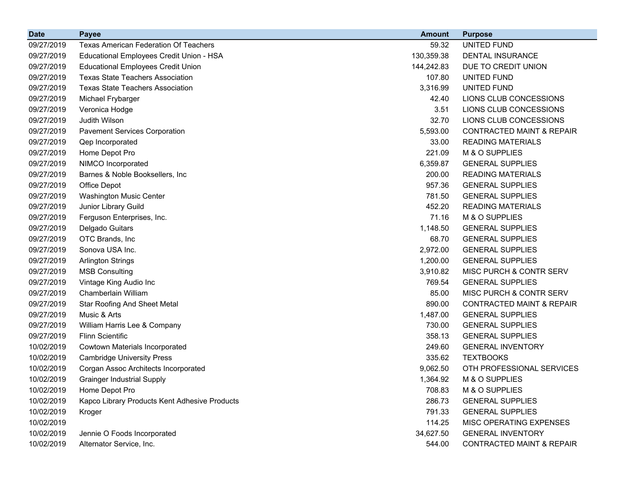| <b>Date</b> | <b>Payee</b>                                  | <b>Amount</b> | <b>Purpose</b>                       |
|-------------|-----------------------------------------------|---------------|--------------------------------------|
| 09/27/2019  | <b>Texas American Federation Of Teachers</b>  | 59.32         | UNITED FUND                          |
| 09/27/2019  | Educational Employees Credit Union - HSA      | 130,359.38    | DENTAL INSURANCE                     |
| 09/27/2019  | <b>Educational Employees Credit Union</b>     | 144,242.83    | DUE TO CREDIT UNION                  |
| 09/27/2019  | <b>Texas State Teachers Association</b>       | 107.80        | UNITED FUND                          |
| 09/27/2019  | <b>Texas State Teachers Association</b>       | 3,316.99      | <b>UNITED FUND</b>                   |
| 09/27/2019  | Michael Frybarger                             | 42.40         | LIONS CLUB CONCESSIONS               |
| 09/27/2019  | Veronica Hodge                                | 3.51          | LIONS CLUB CONCESSIONS               |
| 09/27/2019  | Judith Wilson                                 | 32.70         | LIONS CLUB CONCESSIONS               |
| 09/27/2019  | <b>Pavement Services Corporation</b>          | 5,593.00      | <b>CONTRACTED MAINT &amp; REPAIR</b> |
| 09/27/2019  | Qep Incorporated                              | 33.00         | <b>READING MATERIALS</b>             |
| 09/27/2019  | Home Depot Pro                                | 221.09        | M & O SUPPLIES                       |
| 09/27/2019  | NIMCO Incorporated                            | 6,359.87      | <b>GENERAL SUPPLIES</b>              |
| 09/27/2019  | Barnes & Noble Booksellers, Inc.              | 200.00        | <b>READING MATERIALS</b>             |
| 09/27/2019  | Office Depot                                  | 957.36        | <b>GENERAL SUPPLIES</b>              |
| 09/27/2019  | Washington Music Center                       | 781.50        | <b>GENERAL SUPPLIES</b>              |
| 09/27/2019  | Junior Library Guild                          | 452.20        | <b>READING MATERIALS</b>             |
| 09/27/2019  | Ferguson Enterprises, Inc.                    | 71.16         | M & O SUPPLIES                       |
| 09/27/2019  | Delgado Guitars                               | 1,148.50      | <b>GENERAL SUPPLIES</b>              |
| 09/27/2019  | OTC Brands, Inc                               | 68.70         | <b>GENERAL SUPPLIES</b>              |
| 09/27/2019  | Sonova USA Inc.                               | 2,972.00      | <b>GENERAL SUPPLIES</b>              |
| 09/27/2019  | <b>Arlington Strings</b>                      | 1,200.00      | <b>GENERAL SUPPLIES</b>              |
| 09/27/2019  | <b>MSB Consulting</b>                         | 3,910.82      | MISC PURCH & CONTR SERV              |
| 09/27/2019  | Vintage King Audio Inc                        | 769.54        | <b>GENERAL SUPPLIES</b>              |
| 09/27/2019  | Chamberlain William                           | 85.00         | MISC PURCH & CONTR SERV              |
| 09/27/2019  | <b>Star Roofing And Sheet Metal</b>           | 890.00        | <b>CONTRACTED MAINT &amp; REPAIR</b> |
| 09/27/2019  | Music & Arts                                  | 1,487.00      | <b>GENERAL SUPPLIES</b>              |
| 09/27/2019  | William Harris Lee & Company                  | 730.00        | <b>GENERAL SUPPLIES</b>              |
| 09/27/2019  | <b>Flinn Scientific</b>                       | 358.13        | <b>GENERAL SUPPLIES</b>              |
| 10/02/2019  | Cowtown Materials Incorporated                | 249.60        | <b>GENERAL INVENTORY</b>             |
| 10/02/2019  | <b>Cambridge University Press</b>             | 335.62        | <b>TEXTBOOKS</b>                     |
| 10/02/2019  | Corgan Assoc Architects Incorporated          | 9,062.50      | OTH PROFESSIONAL SERVICES            |
| 10/02/2019  | <b>Grainger Industrial Supply</b>             | 1,364.92      | M & O SUPPLIES                       |
| 10/02/2019  | Home Depot Pro                                | 708.83        | M & O SUPPLIES                       |
| 10/02/2019  | Kapco Library Products Kent Adhesive Products | 286.73        | <b>GENERAL SUPPLIES</b>              |
| 10/02/2019  | Kroger                                        | 791.33        | <b>GENERAL SUPPLIES</b>              |
| 10/02/2019  |                                               | 114.25        | MISC OPERATING EXPENSES              |
| 10/02/2019  | Jennie O Foods Incorporated                   | 34,627.50     | <b>GENERAL INVENTORY</b>             |
| 10/02/2019  | Alternator Service, Inc.                      | 544.00        | CONTRACTED MAINT & REPAIR            |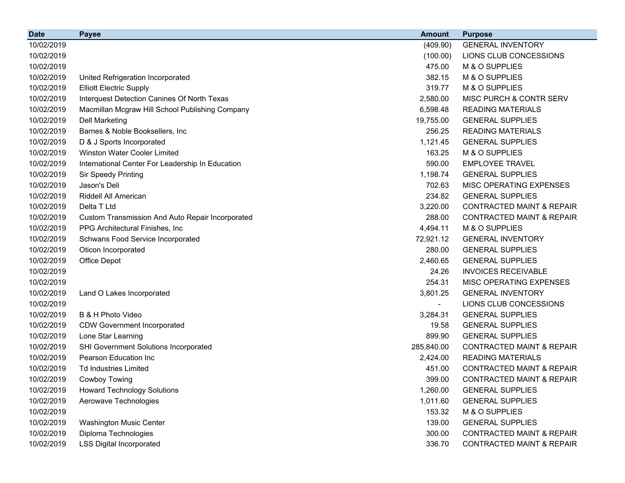| <b>Date</b> | <b>Payee</b>                                     | <b>Amount</b> | <b>Purpose</b>                       |
|-------------|--------------------------------------------------|---------------|--------------------------------------|
| 10/02/2019  |                                                  | (409.90)      | <b>GENERAL INVENTORY</b>             |
| 10/02/2019  |                                                  | (100.00)      | LIONS CLUB CONCESSIONS               |
| 10/02/2019  |                                                  | 475.00        | M & O SUPPLIES                       |
| 10/02/2019  | United Refrigeration Incorporated                | 382.15        | M & O SUPPLIES                       |
| 10/02/2019  | <b>Elliott Electric Supply</b>                   | 319.77        | M & O SUPPLIES                       |
| 10/02/2019  | Interquest Detection Canines Of North Texas      | 2,580.00      | MISC PURCH & CONTR SERV              |
| 10/02/2019  | Macmillan Mcgraw Hill School Publishing Company  | 6,598.48      | <b>READING MATERIALS</b>             |
| 10/02/2019  | <b>Dell Marketing</b>                            | 19,755.00     | <b>GENERAL SUPPLIES</b>              |
| 10/02/2019  | Barnes & Noble Booksellers, Inc                  | 256.25        | <b>READING MATERIALS</b>             |
| 10/02/2019  | D & J Sports Incorporated                        | 1,121.45      | <b>GENERAL SUPPLIES</b>              |
| 10/02/2019  | <b>Winston Water Cooler Limited</b>              | 163.25        | M & O SUPPLIES                       |
| 10/02/2019  | International Center For Leadership In Education | 590.00        | <b>EMPLOYEE TRAVEL</b>               |
| 10/02/2019  | Sir Speedy Printing                              | 1,198.74      | <b>GENERAL SUPPLIES</b>              |
| 10/02/2019  | Jason's Deli                                     | 702.63        | MISC OPERATING EXPENSES              |
| 10/02/2019  | Riddell All American                             | 234.82        | <b>GENERAL SUPPLIES</b>              |
| 10/02/2019  | Delta T Ltd                                      | 3,220.00      | <b>CONTRACTED MAINT &amp; REPAIR</b> |
| 10/02/2019  | Custom Transmission And Auto Repair Incorporated | 288.00        | <b>CONTRACTED MAINT &amp; REPAIR</b> |
| 10/02/2019  | PPG Architectural Finishes, Inc.                 | 4,494.11      | M & O SUPPLIES                       |
| 10/02/2019  | Schwans Food Service Incorporated                | 72,921.12     | <b>GENERAL INVENTORY</b>             |
| 10/02/2019  | Oticon Incorporated                              | 280.00        | <b>GENERAL SUPPLIES</b>              |
| 10/02/2019  | Office Depot                                     | 2,460.65      | <b>GENERAL SUPPLIES</b>              |
| 10/02/2019  |                                                  | 24.26         | <b>INVOICES RECEIVABLE</b>           |
| 10/02/2019  |                                                  | 254.31        | MISC OPERATING EXPENSES              |
| 10/02/2019  | Land O Lakes Incorporated                        | 3,801.25      | <b>GENERAL INVENTORY</b>             |
| 10/02/2019  |                                                  | ۰             | LIONS CLUB CONCESSIONS               |
| 10/02/2019  | B & H Photo Video                                | 3,284.31      | <b>GENERAL SUPPLIES</b>              |
| 10/02/2019  | <b>CDW Government Incorporated</b>               | 19.58         | <b>GENERAL SUPPLIES</b>              |
| 10/02/2019  | Lone Star Learning                               | 899.90        | <b>GENERAL SUPPLIES</b>              |
| 10/02/2019  | SHI Government Solutions Incorporated            | 285,840.00    | <b>CONTRACTED MAINT &amp; REPAIR</b> |
| 10/02/2019  | <b>Pearson Education Inc.</b>                    | 2,424.00      | <b>READING MATERIALS</b>             |
| 10/02/2019  | <b>Td Industries Limited</b>                     | 451.00        | <b>CONTRACTED MAINT &amp; REPAIR</b> |
| 10/02/2019  | Cowboy Towing                                    | 399.00        | <b>CONTRACTED MAINT &amp; REPAIR</b> |
| 10/02/2019  | <b>Howard Technology Solutions</b>               | 1,260.00      | <b>GENERAL SUPPLIES</b>              |
| 10/02/2019  | Aerowave Technologies                            | 1,011.60      | <b>GENERAL SUPPLIES</b>              |
| 10/02/2019  |                                                  | 153.32        | M & O SUPPLIES                       |
| 10/02/2019  | Washington Music Center                          | 139.00        | <b>GENERAL SUPPLIES</b>              |
| 10/02/2019  | Diploma Technologies                             | 300.00        | <b>CONTRACTED MAINT &amp; REPAIR</b> |
| 10/02/2019  | <b>LSS Digital Incorporated</b>                  | 336.70        | <b>CONTRACTED MAINT &amp; REPAIR</b> |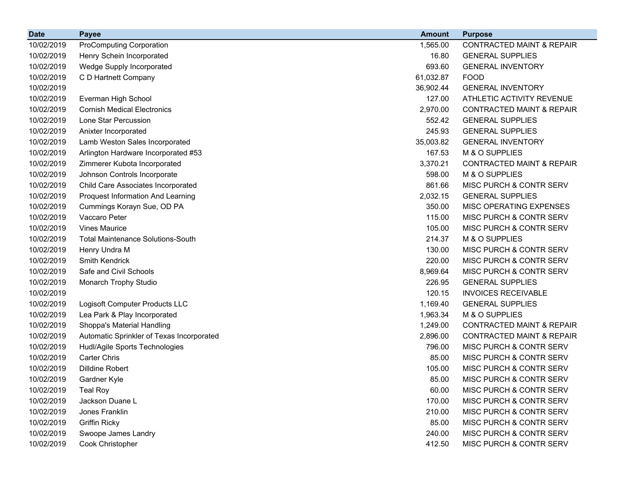| <b>Date</b> | <b>Payee</b>                              | <b>Amount</b> | <b>Purpose</b>                       |
|-------------|-------------------------------------------|---------------|--------------------------------------|
| 10/02/2019  | <b>ProComputing Corporation</b>           | 1,565.00      | <b>CONTRACTED MAINT &amp; REPAIR</b> |
| 10/02/2019  | Henry Schein Incorporated                 | 16.80         | <b>GENERAL SUPPLIES</b>              |
| 10/02/2019  | <b>Wedge Supply Incorporated</b>          | 693.60        | <b>GENERAL INVENTORY</b>             |
| 10/02/2019  | C D Hartnett Company                      | 61,032.87     | <b>FOOD</b>                          |
| 10/02/2019  |                                           | 36,902.44     | <b>GENERAL INVENTORY</b>             |
| 10/02/2019  | Everman High School                       | 127.00        | ATHLETIC ACTIVITY REVENUE            |
| 10/02/2019  | <b>Cornish Medical Electronics</b>        | 2,970.00      | <b>CONTRACTED MAINT &amp; REPAIR</b> |
| 10/02/2019  | Lone Star Percussion                      | 552.42        | <b>GENERAL SUPPLIES</b>              |
| 10/02/2019  | Anixter Incorporated                      | 245.93        | <b>GENERAL SUPPLIES</b>              |
| 10/02/2019  | Lamb Weston Sales Incorporated            | 35,003.82     | <b>GENERAL INVENTORY</b>             |
| 10/02/2019  | Arlington Hardware Incorporated #53       | 167.53        | M & O SUPPLIES                       |
| 10/02/2019  | Zimmerer Kubota Incorporated              | 3,370.21      | <b>CONTRACTED MAINT &amp; REPAIR</b> |
| 10/02/2019  | Johnson Controls Incorporate              | 598.00        | M & O SUPPLIES                       |
| 10/02/2019  | Child Care Associates Incorporated        | 861.66        | MISC PURCH & CONTR SERV              |
| 10/02/2019  | <b>Proquest Information And Learning</b>  | 2,032.15      | <b>GENERAL SUPPLIES</b>              |
| 10/02/2019  | Cummings Korayn Sue, OD PA                | 350.00        | MISC OPERATING EXPENSES              |
| 10/02/2019  | Vaccaro Peter                             | 115.00        | MISC PURCH & CONTR SERV              |
| 10/02/2019  | <b>Vines Maurice</b>                      | 105.00        | MISC PURCH & CONTR SERV              |
| 10/02/2019  | <b>Total Maintenance Solutions-South</b>  | 214.37        | M & O SUPPLIES                       |
| 10/02/2019  | Henry Undra M                             | 130.00        | MISC PURCH & CONTR SERV              |
| 10/02/2019  | Smith Kendrick                            | 220.00        | MISC PURCH & CONTR SERV              |
| 10/02/2019  | Safe and Civil Schools                    | 8,969.64      | MISC PURCH & CONTR SERV              |
| 10/02/2019  | Monarch Trophy Studio                     | 226.95        | <b>GENERAL SUPPLIES</b>              |
| 10/02/2019  |                                           | 120.15        | <b>INVOICES RECEIVABLE</b>           |
| 10/02/2019  | Logisoft Computer Products LLC            | 1,169.40      | <b>GENERAL SUPPLIES</b>              |
| 10/02/2019  | Lea Park & Play Incorporated              | 1,963.34      | M & O SUPPLIES                       |
| 10/02/2019  | Shoppa's Material Handling                | 1,249.00      | <b>CONTRACTED MAINT &amp; REPAIR</b> |
| 10/02/2019  | Automatic Sprinkler of Texas Incorporated | 2,896.00      | <b>CONTRACTED MAINT &amp; REPAIR</b> |
| 10/02/2019  | Hudl/Agile Sports Technologies            | 796.00        | MISC PURCH & CONTR SERV              |
| 10/02/2019  | <b>Carter Chris</b>                       | 85.00         | MISC PURCH & CONTR SERV              |
| 10/02/2019  | <b>Dilldine Robert</b>                    | 105.00        | MISC PURCH & CONTR SERV              |
| 10/02/2019  | Gardner Kyle                              | 85.00         | MISC PURCH & CONTR SERV              |
| 10/02/2019  | <b>Teal Roy</b>                           | 60.00         | MISC PURCH & CONTR SERV              |
| 10/02/2019  | Jackson Duane L                           | 170.00        | MISC PURCH & CONTR SERV              |
| 10/02/2019  | Jones Franklin                            | 210.00        | MISC PURCH & CONTR SERV              |
| 10/02/2019  | <b>Griffin Ricky</b>                      | 85.00         | MISC PURCH & CONTR SERV              |
| 10/02/2019  | Swoope James Landry                       | 240.00        | MISC PURCH & CONTR SERV              |
| 10/02/2019  | Cook Christopher                          | 412.50        | MISC PURCH & CONTR SERV              |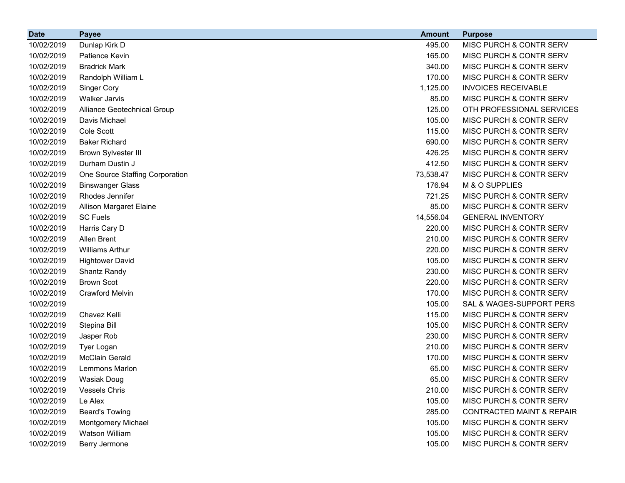| <b>Date</b> | <b>Payee</b>                    | <b>Amount</b> | <b>Purpose</b>                       |
|-------------|---------------------------------|---------------|--------------------------------------|
| 10/02/2019  | Dunlap Kirk D                   | 495.00        | MISC PURCH & CONTR SERV              |
| 10/02/2019  | Patience Kevin                  | 165.00        | MISC PURCH & CONTR SERV              |
| 10/02/2019  | <b>Bradrick Mark</b>            | 340.00        | MISC PURCH & CONTR SERV              |
| 10/02/2019  | Randolph William L              | 170.00        | MISC PURCH & CONTR SERV              |
| 10/02/2019  | Singer Cory                     | 1,125.00      | <b>INVOICES RECEIVABLE</b>           |
| 10/02/2019  | <b>Walker Jarvis</b>            | 85.00         | MISC PURCH & CONTR SERV              |
| 10/02/2019  | Alliance Geotechnical Group     | 125.00        | OTH PROFESSIONAL SERVICES            |
| 10/02/2019  | Davis Michael                   | 105.00        | MISC PURCH & CONTR SERV              |
| 10/02/2019  | Cole Scott                      | 115.00        | MISC PURCH & CONTR SERV              |
| 10/02/2019  | <b>Baker Richard</b>            | 690.00        | MISC PURCH & CONTR SERV              |
| 10/02/2019  | <b>Brown Sylvester III</b>      | 426.25        | MISC PURCH & CONTR SERV              |
| 10/02/2019  | Durham Dustin J                 | 412.50        | MISC PURCH & CONTR SERV              |
| 10/02/2019  | One Source Staffing Corporation | 73,538.47     | MISC PURCH & CONTR SERV              |
| 10/02/2019  | <b>Binswanger Glass</b>         | 176.94        | M & O SUPPLIES                       |
| 10/02/2019  | Rhodes Jennifer                 | 721.25        | MISC PURCH & CONTR SERV              |
| 10/02/2019  | <b>Allison Margaret Elaine</b>  | 85.00         | MISC PURCH & CONTR SERV              |
| 10/02/2019  | <b>SC Fuels</b>                 | 14,556.04     | <b>GENERAL INVENTORY</b>             |
| 10/02/2019  | Harris Cary D                   | 220.00        | MISC PURCH & CONTR SERV              |
| 10/02/2019  | Allen Brent                     | 210.00        | MISC PURCH & CONTR SERV              |
| 10/02/2019  | <b>Williams Arthur</b>          | 220.00        | MISC PURCH & CONTR SERV              |
| 10/02/2019  | <b>Hightower David</b>          | 105.00        | MISC PURCH & CONTR SERV              |
| 10/02/2019  | Shantz Randy                    | 230.00        | MISC PURCH & CONTR SERV              |
| 10/02/2019  | <b>Brown Scot</b>               | 220.00        | MISC PURCH & CONTR SERV              |
| 10/02/2019  | <b>Crawford Melvin</b>          | 170.00        | MISC PURCH & CONTR SERV              |
| 10/02/2019  |                                 | 105.00        | SAL & WAGES-SUPPORT PERS             |
| 10/02/2019  | Chavez Kelli                    | 115.00        | MISC PURCH & CONTR SERV              |
| 10/02/2019  | Stepina Bill                    | 105.00        | MISC PURCH & CONTR SERV              |
| 10/02/2019  | Jasper Rob                      | 230.00        | MISC PURCH & CONTR SERV              |
| 10/02/2019  | Tyer Logan                      | 210.00        | MISC PURCH & CONTR SERV              |
| 10/02/2019  | <b>McClain Gerald</b>           | 170.00        | MISC PURCH & CONTR SERV              |
| 10/02/2019  | Lemmons Marlon                  | 65.00         | MISC PURCH & CONTR SERV              |
| 10/02/2019  | <b>Wasiak Doug</b>              | 65.00         | MISC PURCH & CONTR SERV              |
| 10/02/2019  | <b>Vessels Chris</b>            | 210.00        | MISC PURCH & CONTR SERV              |
| 10/02/2019  | Le Alex                         | 105.00        | MISC PURCH & CONTR SERV              |
| 10/02/2019  | <b>Beard's Towing</b>           | 285.00        | <b>CONTRACTED MAINT &amp; REPAIR</b> |
| 10/02/2019  | Montgomery Michael              | 105.00        | MISC PURCH & CONTR SERV              |
| 10/02/2019  | Watson William                  | 105.00        | MISC PURCH & CONTR SERV              |
| 10/02/2019  | Berry Jermone                   | 105.00        | MISC PURCH & CONTR SERV              |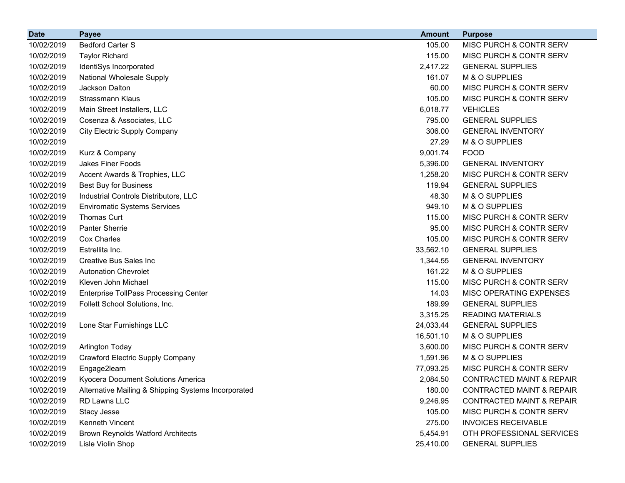| <b>Date</b> | <b>Payee</b>                                        | <b>Amount</b> | <b>Purpose</b>                       |
|-------------|-----------------------------------------------------|---------------|--------------------------------------|
| 10/02/2019  | <b>Bedford Carter S</b>                             | 105.00        | MISC PURCH & CONTR SERV              |
| 10/02/2019  | <b>Taylor Richard</b>                               | 115.00        | MISC PURCH & CONTR SERV              |
| 10/02/2019  | IdentiSys Incorporated                              | 2,417.22      | <b>GENERAL SUPPLIES</b>              |
| 10/02/2019  | National Wholesale Supply                           | 161.07        | M & O SUPPLIES                       |
| 10/02/2019  | Jackson Dalton                                      | 60.00         | MISC PURCH & CONTR SERV              |
| 10/02/2019  | Strassmann Klaus                                    | 105.00        | MISC PURCH & CONTR SERV              |
| 10/02/2019  | Main Street Installers, LLC                         | 6,018.77      | <b>VEHICLES</b>                      |
| 10/02/2019  | Cosenza & Associates, LLC                           | 795.00        | <b>GENERAL SUPPLIES</b>              |
| 10/02/2019  | <b>City Electric Supply Company</b>                 | 306.00        | <b>GENERAL INVENTORY</b>             |
| 10/02/2019  |                                                     | 27.29         | M & O SUPPLIES                       |
| 10/02/2019  | Kurz & Company                                      | 9,001.74      | <b>FOOD</b>                          |
| 10/02/2019  | <b>Jakes Finer Foods</b>                            | 5,396.00      | <b>GENERAL INVENTORY</b>             |
| 10/02/2019  | Accent Awards & Trophies, LLC                       | 1,258.20      | MISC PURCH & CONTR SERV              |
| 10/02/2019  | Best Buy for Business                               | 119.94        | <b>GENERAL SUPPLIES</b>              |
| 10/02/2019  | Industrial Controls Distributors, LLC               | 48.30         | M & O SUPPLIES                       |
| 10/02/2019  | <b>Enviromatic Systems Services</b>                 | 949.10        | M & O SUPPLIES                       |
| 10/02/2019  | <b>Thomas Curt</b>                                  | 115.00        | MISC PURCH & CONTR SERV              |
| 10/02/2019  | Panter Sherrie                                      | 95.00         | MISC PURCH & CONTR SERV              |
| 10/02/2019  | Cox Charles                                         | 105.00        | MISC PURCH & CONTR SERV              |
| 10/02/2019  | Estrellita Inc.                                     | 33,562.10     | <b>GENERAL SUPPLIES</b>              |
| 10/02/2019  | <b>Creative Bus Sales Inc.</b>                      | 1,344.55      | <b>GENERAL INVENTORY</b>             |
| 10/02/2019  | <b>Autonation Chevrolet</b>                         | 161.22        | M & O SUPPLIES                       |
| 10/02/2019  | Kleven John Michael                                 | 115.00        | MISC PURCH & CONTR SERV              |
| 10/02/2019  | <b>Enterprise TollPass Processing Center</b>        | 14.03         | MISC OPERATING EXPENSES              |
| 10/02/2019  | Follett School Solutions, Inc.                      | 189.99        | <b>GENERAL SUPPLIES</b>              |
| 10/02/2019  |                                                     | 3,315.25      | <b>READING MATERIALS</b>             |
| 10/02/2019  | Lone Star Furnishings LLC                           | 24,033.44     | <b>GENERAL SUPPLIES</b>              |
| 10/02/2019  |                                                     | 16,501.10     | M & O SUPPLIES                       |
| 10/02/2019  | <b>Arlington Today</b>                              | 3,600.00      | MISC PURCH & CONTR SERV              |
| 10/02/2019  | Crawford Electric Supply Company                    | 1,591.96      | M & O SUPPLIES                       |
| 10/02/2019  | Engage2learn                                        | 77,093.25     | MISC PURCH & CONTR SERV              |
| 10/02/2019  | Kyocera Document Solutions America                  | 2,084.50      | CONTRACTED MAINT & REPAIR            |
| 10/02/2019  | Alternative Mailing & Shipping Systems Incorporated | 180.00        | <b>CONTRACTED MAINT &amp; REPAIR</b> |
| 10/02/2019  | RD Lawns LLC                                        | 9,246.95      | <b>CONTRACTED MAINT &amp; REPAIR</b> |
| 10/02/2019  | Stacy Jesse                                         | 105.00        | MISC PURCH & CONTR SERV              |
| 10/02/2019  | Kenneth Vincent                                     | 275.00        | <b>INVOICES RECEIVABLE</b>           |
| 10/02/2019  | <b>Brown Reynolds Watford Architects</b>            | 5,454.91      | OTH PROFESSIONAL SERVICES            |
| 10/02/2019  | Lisle Violin Shop                                   | 25,410.00     | <b>GENERAL SUPPLIES</b>              |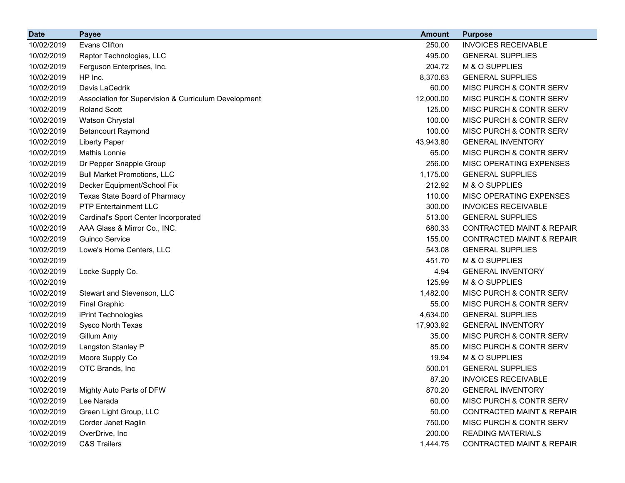| <b>Date</b> | <b>Payee</b>                                         | <b>Amount</b> | <b>Purpose</b>                       |
|-------------|------------------------------------------------------|---------------|--------------------------------------|
| 10/02/2019  | Evans Clifton                                        | 250.00        | <b>INVOICES RECEIVABLE</b>           |
| 10/02/2019  | Raptor Technologies, LLC                             | 495.00        | <b>GENERAL SUPPLIES</b>              |
| 10/02/2019  | Ferguson Enterprises, Inc.                           | 204.72        | M & O SUPPLIES                       |
| 10/02/2019  | HP Inc.                                              | 8,370.63      | <b>GENERAL SUPPLIES</b>              |
| 10/02/2019  | Davis LaCedrik                                       | 60.00         | MISC PURCH & CONTR SERV              |
| 10/02/2019  | Association for Supervision & Curriculum Development | 12,000.00     | MISC PURCH & CONTR SERV              |
| 10/02/2019  | <b>Roland Scott</b>                                  | 125.00        | MISC PURCH & CONTR SERV              |
| 10/02/2019  | Watson Chrystal                                      | 100.00        | MISC PURCH & CONTR SERV              |
| 10/02/2019  | <b>Betancourt Raymond</b>                            | 100.00        | MISC PURCH & CONTR SERV              |
| 10/02/2019  | Liberty Paper                                        | 43,943.80     | <b>GENERAL INVENTORY</b>             |
| 10/02/2019  | Mathis Lonnie                                        | 65.00         | MISC PURCH & CONTR SERV              |
| 10/02/2019  | Dr Pepper Snapple Group                              | 256.00        | MISC OPERATING EXPENSES              |
| 10/02/2019  | <b>Bull Market Promotions, LLC</b>                   | 1,175.00      | <b>GENERAL SUPPLIES</b>              |
| 10/02/2019  | Decker Equipment/School Fix                          | 212.92        | M & O SUPPLIES                       |
| 10/02/2019  | Texas State Board of Pharmacy                        | 110.00        | MISC OPERATING EXPENSES              |
| 10/02/2019  | <b>PTP Entertainment LLC</b>                         | 300.00        | <b>INVOICES RECEIVABLE</b>           |
| 10/02/2019  | Cardinal's Sport Center Incorporated                 | 513.00        | <b>GENERAL SUPPLIES</b>              |
| 10/02/2019  | AAA Glass & Mirror Co., INC.                         | 680.33        | <b>CONTRACTED MAINT &amp; REPAIR</b> |
| 10/02/2019  | Guinco Service                                       | 155.00        | <b>CONTRACTED MAINT &amp; REPAIR</b> |
| 10/02/2019  | Lowe's Home Centers, LLC                             | 543.08        | <b>GENERAL SUPPLIES</b>              |
| 10/02/2019  |                                                      | 451.70        | M & O SUPPLIES                       |
| 10/02/2019  | Locke Supply Co.                                     | 4.94          | <b>GENERAL INVENTORY</b>             |
| 10/02/2019  |                                                      | 125.99        | M & O SUPPLIES                       |
| 10/02/2019  | Stewart and Stevenson, LLC                           | 1,482.00      | MISC PURCH & CONTR SERV              |
| 10/02/2019  | <b>Final Graphic</b>                                 | 55.00         | MISC PURCH & CONTR SERV              |
| 10/02/2019  | iPrint Technologies                                  | 4,634.00      | <b>GENERAL SUPPLIES</b>              |
| 10/02/2019  | Sysco North Texas                                    | 17,903.92     | <b>GENERAL INVENTORY</b>             |
| 10/02/2019  | Gillum Amy                                           | 35.00         | MISC PURCH & CONTR SERV              |
| 10/02/2019  | Langston Stanley P                                   | 85.00         | MISC PURCH & CONTR SERV              |
| 10/02/2019  | Moore Supply Co                                      | 19.94         | M & O SUPPLIES                       |
| 10/02/2019  | OTC Brands, Inc                                      | 500.01        | <b>GENERAL SUPPLIES</b>              |
| 10/02/2019  |                                                      | 87.20         | <b>INVOICES RECEIVABLE</b>           |
| 10/02/2019  | Mighty Auto Parts of DFW                             | 870.20        | <b>GENERAL INVENTORY</b>             |
| 10/02/2019  | Lee Narada                                           | 60.00         | MISC PURCH & CONTR SERV              |
| 10/02/2019  | Green Light Group, LLC                               | 50.00         | <b>CONTRACTED MAINT &amp; REPAIR</b> |
| 10/02/2019  | Corder Janet Raglin                                  | 750.00        | MISC PURCH & CONTR SERV              |
| 10/02/2019  | OverDrive, Inc                                       | 200.00        | <b>READING MATERIALS</b>             |
| 10/02/2019  | <b>C&amp;S Trailers</b>                              | 1,444.75      | <b>CONTRACTED MAINT &amp; REPAIR</b> |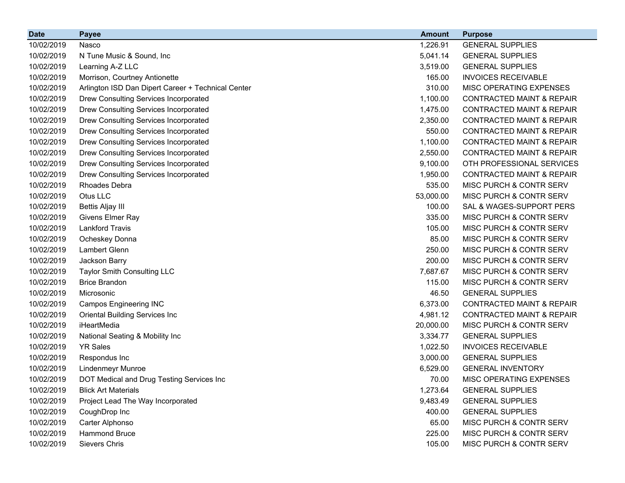| <b>Date</b> | <b>Payee</b>                                       | <b>Amount</b> | <b>Purpose</b>                       |
|-------------|----------------------------------------------------|---------------|--------------------------------------|
| 10/02/2019  | Nasco                                              | 1,226.91      | <b>GENERAL SUPPLIES</b>              |
| 10/02/2019  | N Tune Music & Sound, Inc.                         | 5,041.14      | <b>GENERAL SUPPLIES</b>              |
| 10/02/2019  | Learning A-Z LLC                                   | 3,519.00      | <b>GENERAL SUPPLIES</b>              |
| 10/02/2019  | Morrison, Courtney Antionette                      | 165.00        | <b>INVOICES RECEIVABLE</b>           |
| 10/02/2019  | Arlington ISD Dan Dipert Career + Technical Center | 310.00        | MISC OPERATING EXPENSES              |
| 10/02/2019  | Drew Consulting Services Incorporated              | 1,100.00      | <b>CONTRACTED MAINT &amp; REPAIR</b> |
| 10/02/2019  | Drew Consulting Services Incorporated              | 1,475.00      | <b>CONTRACTED MAINT &amp; REPAIR</b> |
| 10/02/2019  | Drew Consulting Services Incorporated              | 2,350.00      | <b>CONTRACTED MAINT &amp; REPAIR</b> |
| 10/02/2019  | Drew Consulting Services Incorporated              | 550.00        | <b>CONTRACTED MAINT &amp; REPAIR</b> |
| 10/02/2019  | Drew Consulting Services Incorporated              | 1,100.00      | <b>CONTRACTED MAINT &amp; REPAIR</b> |
| 10/02/2019  | Drew Consulting Services Incorporated              | 2,550.00      | <b>CONTRACTED MAINT &amp; REPAIR</b> |
| 10/02/2019  | Drew Consulting Services Incorporated              | 9,100.00      | OTH PROFESSIONAL SERVICES            |
| 10/02/2019  | Drew Consulting Services Incorporated              | 1,950.00      | <b>CONTRACTED MAINT &amp; REPAIR</b> |
| 10/02/2019  | <b>Rhoades Debra</b>                               | 535.00        | MISC PURCH & CONTR SERV              |
| 10/02/2019  | Otus LLC                                           | 53,000.00     | MISC PURCH & CONTR SERV              |
| 10/02/2019  | Bettis Aljay III                                   | 100.00        | SAL & WAGES-SUPPORT PERS             |
| 10/02/2019  | Givens Elmer Ray                                   | 335.00        | MISC PURCH & CONTR SERV              |
| 10/02/2019  | <b>Lankford Travis</b>                             | 105.00        | MISC PURCH & CONTR SERV              |
| 10/02/2019  | Ocheskey Donna                                     | 85.00         | MISC PURCH & CONTR SERV              |
| 10/02/2019  | Lambert Glenn                                      | 250.00        | MISC PURCH & CONTR SERV              |
| 10/02/2019  | Jackson Barry                                      | 200.00        | MISC PURCH & CONTR SERV              |
| 10/02/2019  | <b>Taylor Smith Consulting LLC</b>                 | 7,687.67      | MISC PURCH & CONTR SERV              |
| 10/02/2019  | <b>Brice Brandon</b>                               | 115.00        | MISC PURCH & CONTR SERV              |
| 10/02/2019  | Microsonic                                         | 46.50         | <b>GENERAL SUPPLIES</b>              |
| 10/02/2019  | <b>Campos Engineering INC</b>                      | 6,373.00      | <b>CONTRACTED MAINT &amp; REPAIR</b> |
| 10/02/2019  | Oriental Building Services Inc                     | 4,981.12      | <b>CONTRACTED MAINT &amp; REPAIR</b> |
| 10/02/2019  | iHeartMedia                                        | 20,000.00     | MISC PURCH & CONTR SERV              |
| 10/02/2019  | National Seating & Mobility Inc                    | 3,334.77      | <b>GENERAL SUPPLIES</b>              |
| 10/02/2019  | <b>YR Sales</b>                                    | 1,022.50      | <b>INVOICES RECEIVABLE</b>           |
| 10/02/2019  | Respondus Inc                                      | 3,000.00      | <b>GENERAL SUPPLIES</b>              |
| 10/02/2019  | <b>Lindenmeyr Munroe</b>                           | 6,529.00      | <b>GENERAL INVENTORY</b>             |
| 10/02/2019  | DOT Medical and Drug Testing Services Inc          | 70.00         | MISC OPERATING EXPENSES              |
| 10/02/2019  | <b>Blick Art Materials</b>                         | 1,273.64      | <b>GENERAL SUPPLIES</b>              |
| 10/02/2019  | Project Lead The Way Incorporated                  | 9,483.49      | <b>GENERAL SUPPLIES</b>              |
| 10/02/2019  | CoughDrop Inc                                      | 400.00        | <b>GENERAL SUPPLIES</b>              |
| 10/02/2019  | Carter Alphonso                                    | 65.00         | <b>MISC PURCH &amp; CONTR SERV</b>   |
| 10/02/2019  | Hammond Bruce                                      | 225.00        | MISC PURCH & CONTR SERV              |
| 10/02/2019  | Sievers Chris                                      | 105.00        | MISC PURCH & CONTR SERV              |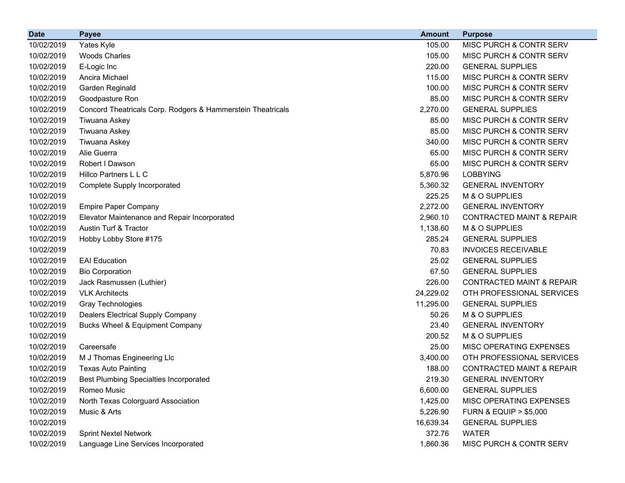| <b>Date</b> | <b>Payee</b>                                                | <b>Amount</b> | <b>Purpose</b>                       |
|-------------|-------------------------------------------------------------|---------------|--------------------------------------|
| 10/02/2019  | Yates Kyle                                                  | 105.00        | MISC PURCH & CONTR SERV              |
| 10/02/2019  | <b>Woods Charles</b>                                        | 105.00        | MISC PURCH & CONTR SERV              |
| 10/02/2019  | E-Logic Inc                                                 | 220.00        | <b>GENERAL SUPPLIES</b>              |
| 10/02/2019  | Ancira Michael                                              | 115.00        | MISC PURCH & CONTR SERV              |
| 10/02/2019  | Garden Reginald                                             | 100.00        | MISC PURCH & CONTR SERV              |
| 10/02/2019  | Goodpasture Ron                                             | 85.00         | MISC PURCH & CONTR SERV              |
| 10/02/2019  | Concord Theatricals Corp. Rodgers & Hammerstein Theatricals | 2,270.00      | <b>GENERAL SUPPLIES</b>              |
| 10/02/2019  | Tiwuana Askey                                               | 85.00         | MISC PURCH & CONTR SERV              |
| 10/02/2019  | Tiwuana Askey                                               | 85.00         | MISC PURCH & CONTR SERV              |
| 10/02/2019  | Tiwuana Askey                                               | 340.00        | MISC PURCH & CONTR SERV              |
| 10/02/2019  | Alie Guerra                                                 | 65.00         | MISC PURCH & CONTR SERV              |
| 10/02/2019  | Robert I Dawson                                             | 65.00         | MISC PURCH & CONTR SERV              |
| 10/02/2019  | Hillco Partners L L C                                       | 5,870.96      | <b>LOBBYING</b>                      |
| 10/02/2019  | <b>Complete Supply Incorporated</b>                         | 5,360.32      | <b>GENERAL INVENTORY</b>             |
| 10/02/2019  |                                                             | 225.25        | M & O SUPPLIES                       |
| 10/02/2019  | <b>Empire Paper Company</b>                                 | 2,272.00      | <b>GENERAL INVENTORY</b>             |
| 10/02/2019  | Elevator Maintenance and Repair Incorporated                | 2,960.10      | <b>CONTRACTED MAINT &amp; REPAIR</b> |
| 10/02/2019  | Austin Turf & Tractor                                       | 1,138.60      | M & O SUPPLIES                       |
| 10/02/2019  | Hobby Lobby Store #175                                      | 285.24        | <b>GENERAL SUPPLIES</b>              |
| 10/02/2019  |                                                             | 70.83         | <b>INVOICES RECEIVABLE</b>           |
| 10/02/2019  | <b>EAI Education</b>                                        | 25.02         | <b>GENERAL SUPPLIES</b>              |
| 10/02/2019  | <b>Bio Corporation</b>                                      | 67.50         | <b>GENERAL SUPPLIES</b>              |
| 10/02/2019  | Jack Rasmussen (Luthier)                                    | 226.00        | <b>CONTRACTED MAINT &amp; REPAIR</b> |
| 10/02/2019  | <b>VLK Architects</b>                                       | 24,229.02     | OTH PROFESSIONAL SERVICES            |
| 10/02/2019  | Gray Technologies                                           | 11,295.00     | <b>GENERAL SUPPLIES</b>              |
| 10/02/2019  | <b>Dealers Electrical Supply Company</b>                    | 50.26         | M & O SUPPLIES                       |
| 10/02/2019  | Bucks Wheel & Equipment Company                             | 23.40         | <b>GENERAL INVENTORY</b>             |
| 10/02/2019  |                                                             | 200.52        | M & O SUPPLIES                       |
| 10/02/2019  | Careersafe                                                  | 25.00         | MISC OPERATING EXPENSES              |
| 10/02/2019  | M J Thomas Engineering Llc                                  | 3,400.00      | OTH PROFESSIONAL SERVICES            |
| 10/02/2019  | <b>Texas Auto Painting</b>                                  | 188.00        | <b>CONTRACTED MAINT &amp; REPAIR</b> |
| 10/02/2019  | <b>Best Plumbing Specialties Incorporated</b>               | 219.30        | <b>GENERAL INVENTORY</b>             |
| 10/02/2019  | Romeo Music                                                 | 6,600.00      | <b>GENERAL SUPPLIES</b>              |
| 10/02/2019  | North Texas Colorguard Association                          | 1,425.00      | MISC OPERATING EXPENSES              |
| 10/02/2019  | Music & Arts                                                | 5,226.90      | <b>FURN &amp; EQUIP &gt; \$5,000</b> |
| 10/02/2019  |                                                             | 16,639.34     | <b>GENERAL SUPPLIES</b>              |
| 10/02/2019  | <b>Sprint Nextel Network</b>                                | 372.76        | <b>WATER</b>                         |
| 10/02/2019  | Language Line Services Incorporated                         | 1,860.36      | MISC PURCH & CONTR SERV              |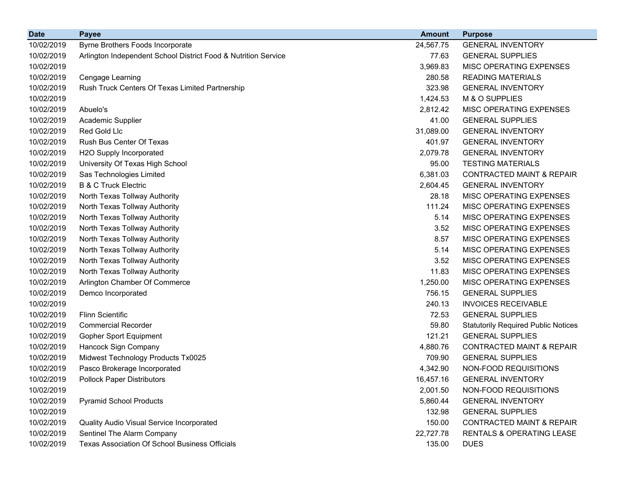| <b>Date</b> | <b>Payee</b>                                                   | <b>Amount</b> | <b>Purpose</b>                             |
|-------------|----------------------------------------------------------------|---------------|--------------------------------------------|
| 10/02/2019  | Byrne Brothers Foods Incorporate                               | 24,567.75     | <b>GENERAL INVENTORY</b>                   |
| 10/02/2019  | Arlington Independent School District Food & Nutrition Service | 77.63         | <b>GENERAL SUPPLIES</b>                    |
| 10/02/2019  |                                                                | 3,969.83      | MISC OPERATING EXPENSES                    |
| 10/02/2019  | Cengage Learning                                               | 280.58        | <b>READING MATERIALS</b>                   |
| 10/02/2019  | Rush Truck Centers Of Texas Limited Partnership                | 323.98        | <b>GENERAL INVENTORY</b>                   |
| 10/02/2019  |                                                                | 1,424.53      | M & O SUPPLIES                             |
| 10/02/2019  | Abuelo's                                                       | 2,812.42      | MISC OPERATING EXPENSES                    |
| 10/02/2019  | Academic Supplier                                              | 41.00         | <b>GENERAL SUPPLIES</b>                    |
| 10/02/2019  | Red Gold Llc                                                   | 31,089.00     | <b>GENERAL INVENTORY</b>                   |
| 10/02/2019  | Rush Bus Center Of Texas                                       | 401.97        | <b>GENERAL INVENTORY</b>                   |
| 10/02/2019  | H2O Supply Incorporated                                        | 2,079.78      | <b>GENERAL INVENTORY</b>                   |
| 10/02/2019  | University Of Texas High School                                | 95.00         | <b>TESTING MATERIALS</b>                   |
| 10/02/2019  | Sas Technologies Limited                                       | 6,381.03      | <b>CONTRACTED MAINT &amp; REPAIR</b>       |
| 10/02/2019  | <b>B &amp; C Truck Electric</b>                                | 2,604.45      | <b>GENERAL INVENTORY</b>                   |
| 10/02/2019  | North Texas Tollway Authority                                  | 28.18         | MISC OPERATING EXPENSES                    |
| 10/02/2019  | North Texas Tollway Authority                                  | 111.24        | MISC OPERATING EXPENSES                    |
| 10/02/2019  | North Texas Tollway Authority                                  | 5.14          | MISC OPERATING EXPENSES                    |
| 10/02/2019  | North Texas Tollway Authority                                  | 3.52          | MISC OPERATING EXPENSES                    |
| 10/02/2019  | North Texas Tollway Authority                                  | 8.57          | MISC OPERATING EXPENSES                    |
| 10/02/2019  | North Texas Tollway Authority                                  | 5.14          | MISC OPERATING EXPENSES                    |
| 10/02/2019  | North Texas Tollway Authority                                  | 3.52          | MISC OPERATING EXPENSES                    |
| 10/02/2019  | North Texas Tollway Authority                                  | 11.83         | MISC OPERATING EXPENSES                    |
| 10/02/2019  | Arlington Chamber Of Commerce                                  | 1,250.00      | MISC OPERATING EXPENSES                    |
| 10/02/2019  | Demco Incorporated                                             | 756.15        | <b>GENERAL SUPPLIES</b>                    |
| 10/02/2019  |                                                                | 240.13        | <b>INVOICES RECEIVABLE</b>                 |
| 10/02/2019  | <b>Flinn Scientific</b>                                        | 72.53         | <b>GENERAL SUPPLIES</b>                    |
| 10/02/2019  | <b>Commercial Recorder</b>                                     | 59.80         | <b>Statutorily Required Public Notices</b> |
| 10/02/2019  | Gopher Sport Equipment                                         | 121.21        | <b>GENERAL SUPPLIES</b>                    |
| 10/02/2019  | Hancock Sign Company                                           | 4,880.76      | <b>CONTRACTED MAINT &amp; REPAIR</b>       |
| 10/02/2019  | Midwest Technology Products Tx0025                             | 709.90        | <b>GENERAL SUPPLIES</b>                    |
| 10/02/2019  | Pasco Brokerage Incorporated                                   | 4,342.90      | NON-FOOD REQUISITIONS                      |
| 10/02/2019  | <b>Pollock Paper Distributors</b>                              | 16,457.16     | <b>GENERAL INVENTORY</b>                   |
| 10/02/2019  |                                                                | 2,001.50      | NON-FOOD REQUISITIONS                      |
| 10/02/2019  | <b>Pyramid School Products</b>                                 | 5,860.44      | <b>GENERAL INVENTORY</b>                   |
| 10/02/2019  |                                                                | 132.98        | <b>GENERAL SUPPLIES</b>                    |
| 10/02/2019  | Quality Audio Visual Service Incorporated                      | 150.00        | <b>CONTRACTED MAINT &amp; REPAIR</b>       |
| 10/02/2019  | Sentinel The Alarm Company                                     | 22,727.78     | RENTALS & OPERATING LEASE                  |
| 10/02/2019  | Texas Association Of School Business Officials                 | 135.00        | <b>DUES</b>                                |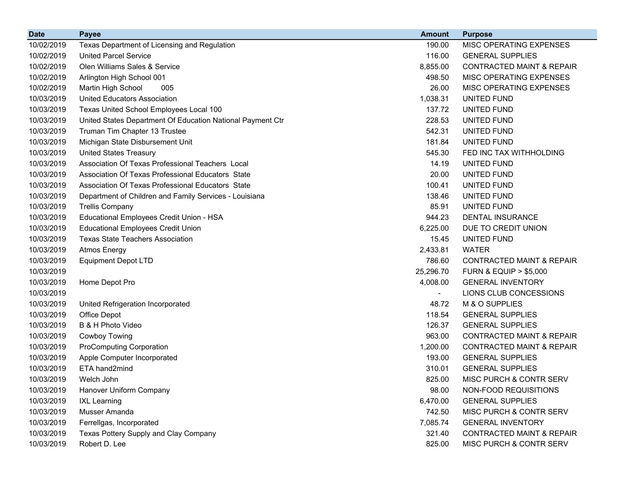| <b>Date</b> | <b>Payee</b>                                               | <b>Amount</b> | <b>Purpose</b>                       |
|-------------|------------------------------------------------------------|---------------|--------------------------------------|
| 10/02/2019  | Texas Department of Licensing and Regulation               | 190.00        | MISC OPERATING EXPENSES              |
| 10/02/2019  | <b>United Parcel Service</b>                               | 116.00        | <b>GENERAL SUPPLIES</b>              |
| 10/02/2019  | Olen Williams Sales & Service                              | 8,855.00      | <b>CONTRACTED MAINT &amp; REPAIR</b> |
| 10/02/2019  | Arlington High School 001                                  | 498.50        | MISC OPERATING EXPENSES              |
| 10/02/2019  | Martin High School<br>005                                  | 26.00         | <b>MISC OPERATING EXPENSES</b>       |
| 10/03/2019  | <b>United Educators Association</b>                        | 1,038.31      | UNITED FUND                          |
| 10/03/2019  | Texas United School Employees Local 100                    | 137.72        | UNITED FUND                          |
| 10/03/2019  | United States Department Of Education National Payment Ctr | 228.53        | UNITED FUND                          |
| 10/03/2019  | Truman Tim Chapter 13 Trustee                              | 542.31        | UNITED FUND                          |
| 10/03/2019  | Michigan State Disbursement Unit                           | 181.84        | UNITED FUND                          |
| 10/03/2019  | <b>United States Treasury</b>                              | 545.30        | FED INC TAX WITHHOLDING              |
| 10/03/2019  | Association Of Texas Professional Teachers Local           | 14.19         | UNITED FUND                          |
| 10/03/2019  | Association Of Texas Professional Educators State          | 20.00         | UNITED FUND                          |
| 10/03/2019  | Association Of Texas Professional Educators State          | 100.41        | UNITED FUND                          |
| 10/03/2019  | Department of Children and Family Services - Louisiana     | 138.46        | UNITED FUND                          |
| 10/03/2019  | <b>Trellis Company</b>                                     | 85.91         | UNITED FUND                          |
| 10/03/2019  | Educational Employees Credit Union - HSA                   | 944.23        | <b>DENTAL INSURANCE</b>              |
| 10/03/2019  | <b>Educational Employees Credit Union</b>                  | 6,225.00      | DUE TO CREDIT UNION                  |
| 10/03/2019  | <b>Texas State Teachers Association</b>                    | 15.45         | UNITED FUND                          |
| 10/03/2019  | <b>Atmos Energy</b>                                        | 2,433.81      | <b>WATER</b>                         |
| 10/03/2019  | <b>Equipment Depot LTD</b>                                 | 786.60        | <b>CONTRACTED MAINT &amp; REPAIR</b> |
| 10/03/2019  |                                                            | 25,296.70     | <b>FURN &amp; EQUIP &gt; \$5,000</b> |
| 10/03/2019  | Home Depot Pro                                             | 4,008.00      | <b>GENERAL INVENTORY</b>             |
| 10/03/2019  |                                                            |               | LIONS CLUB CONCESSIONS               |
| 10/03/2019  | United Refrigeration Incorporated                          | 48.72         | M & O SUPPLIES                       |
| 10/03/2019  | Office Depot                                               | 118.54        | <b>GENERAL SUPPLIES</b>              |
| 10/03/2019  | B & H Photo Video                                          | 126.37        | <b>GENERAL SUPPLIES</b>              |
| 10/03/2019  | <b>Cowboy Towing</b>                                       | 963.00        | <b>CONTRACTED MAINT &amp; REPAIR</b> |
| 10/03/2019  | <b>ProComputing Corporation</b>                            | 1,200.00      | <b>CONTRACTED MAINT &amp; REPAIR</b> |
| 10/03/2019  | Apple Computer Incorporated                                | 193.00        | <b>GENERAL SUPPLIES</b>              |
| 10/03/2019  | ETA hand2mind                                              | 310.01        | <b>GENERAL SUPPLIES</b>              |
| 10/03/2019  | Welch John                                                 | 825.00        | MISC PURCH & CONTR SERV              |
| 10/03/2019  | Hanover Uniform Company                                    | 98.00         | NON-FOOD REQUISITIONS                |
| 10/03/2019  | <b>IXL Learning</b>                                        | 6,470.00      | <b>GENERAL SUPPLIES</b>              |
| 10/03/2019  | Musser Amanda                                              | 742.50        | MISC PURCH & CONTR SERV              |
| 10/03/2019  | Ferrellgas, Incorporated                                   | 7,085.74      | <b>GENERAL INVENTORY</b>             |
| 10/03/2019  | Texas Pottery Supply and Clay Company                      | 321.40        | <b>CONTRACTED MAINT &amp; REPAIR</b> |
| 10/03/2019  | Robert D. Lee                                              | 825.00        | MISC PURCH & CONTR SERV              |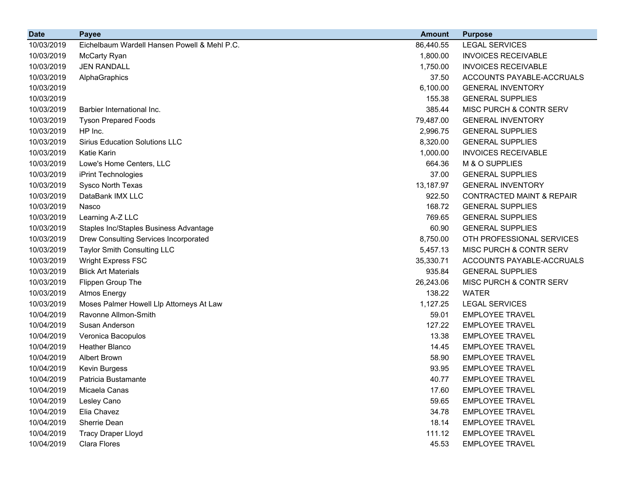| <b>Date</b> | <b>Payee</b>                                 | <b>Amount</b> | <b>Purpose</b>                       |
|-------------|----------------------------------------------|---------------|--------------------------------------|
| 10/03/2019  | Eichelbaum Wardell Hansen Powell & Mehl P.C. | 86,440.55     | <b>LEGAL SERVICES</b>                |
| 10/03/2019  | McCarty Ryan                                 | 1,800.00      | <b>INVOICES RECEIVABLE</b>           |
| 10/03/2019  | <b>JEN RANDALL</b>                           | 1,750.00      | <b>INVOICES RECEIVABLE</b>           |
| 10/03/2019  | AlphaGraphics                                | 37.50         | ACCOUNTS PAYABLE-ACCRUALS            |
| 10/03/2019  |                                              | 6,100.00      | <b>GENERAL INVENTORY</b>             |
| 10/03/2019  |                                              | 155.38        | <b>GENERAL SUPPLIES</b>              |
| 10/03/2019  | Barbier International Inc.                   | 385.44        | MISC PURCH & CONTR SERV              |
| 10/03/2019  | <b>Tyson Prepared Foods</b>                  | 79,487.00     | <b>GENERAL INVENTORY</b>             |
| 10/03/2019  | HP Inc.                                      | 2,996.75      | <b>GENERAL SUPPLIES</b>              |
| 10/03/2019  | <b>Sirius Education Solutions LLC</b>        | 8,320.00      | <b>GENERAL SUPPLIES</b>              |
| 10/03/2019  | Katie Karin                                  | 1,000.00      | <b>INVOICES RECEIVABLE</b>           |
| 10/03/2019  | Lowe's Home Centers, LLC                     | 664.36        | M & O SUPPLIES                       |
| 10/03/2019  | iPrint Technologies                          | 37.00         | <b>GENERAL SUPPLIES</b>              |
| 10/03/2019  | Sysco North Texas                            | 13,187.97     | <b>GENERAL INVENTORY</b>             |
| 10/03/2019  | DataBank IMX LLC                             | 922.50        | <b>CONTRACTED MAINT &amp; REPAIR</b> |
| 10/03/2019  | Nasco                                        | 168.72        | <b>GENERAL SUPPLIES</b>              |
| 10/03/2019  | Learning A-Z LLC                             | 769.65        | <b>GENERAL SUPPLIES</b>              |
| 10/03/2019  | Staples Inc/Staples Business Advantage       | 60.90         | <b>GENERAL SUPPLIES</b>              |
| 10/03/2019  | Drew Consulting Services Incorporated        | 8,750.00      | OTH PROFESSIONAL SERVICES            |
| 10/03/2019  | <b>Taylor Smith Consulting LLC</b>           | 5,457.13      | MISC PURCH & CONTR SERV              |
| 10/03/2019  | <b>Wright Express FSC</b>                    | 35,330.71     | ACCOUNTS PAYABLE-ACCRUALS            |
| 10/03/2019  | <b>Blick Art Materials</b>                   | 935.84        | <b>GENERAL SUPPLIES</b>              |
| 10/03/2019  | Flippen Group The                            | 26,243.06     | MISC PURCH & CONTR SERV              |
| 10/03/2019  | <b>Atmos Energy</b>                          | 138.22        | <b>WATER</b>                         |
| 10/03/2019  | Moses Palmer Howell Llp Attorneys At Law     | 1,127.25      | <b>LEGAL SERVICES</b>                |
| 10/04/2019  | Ravonne Allmon-Smith                         | 59.01         | <b>EMPLOYEE TRAVEL</b>               |
| 10/04/2019  | Susan Anderson                               | 127.22        | <b>EMPLOYEE TRAVEL</b>               |
| 10/04/2019  | Veronica Bacopulos                           | 13.38         | <b>EMPLOYEE TRAVEL</b>               |
| 10/04/2019  | Heather Blanco                               | 14.45         | <b>EMPLOYEE TRAVEL</b>               |
| 10/04/2019  | <b>Albert Brown</b>                          | 58.90         | <b>EMPLOYEE TRAVEL</b>               |
| 10/04/2019  | <b>Kevin Burgess</b>                         | 93.95         | <b>EMPLOYEE TRAVEL</b>               |
| 10/04/2019  | Patricia Bustamante                          | 40.77         | <b>EMPLOYEE TRAVEL</b>               |
| 10/04/2019  | Micaela Canas                                | 17.60         | <b>EMPLOYEE TRAVEL</b>               |
| 10/04/2019  | Lesley Cano                                  | 59.65         | <b>EMPLOYEE TRAVEL</b>               |
| 10/04/2019  | Elia Chavez                                  | 34.78         | <b>EMPLOYEE TRAVEL</b>               |
| 10/04/2019  | Sherrie Dean                                 | 18.14         | <b>EMPLOYEE TRAVEL</b>               |
| 10/04/2019  | <b>Tracy Draper Lloyd</b>                    | 111.12        | <b>EMPLOYEE TRAVEL</b>               |
| 10/04/2019  | Clara Flores                                 | 45.53         | <b>EMPLOYEE TRAVEL</b>               |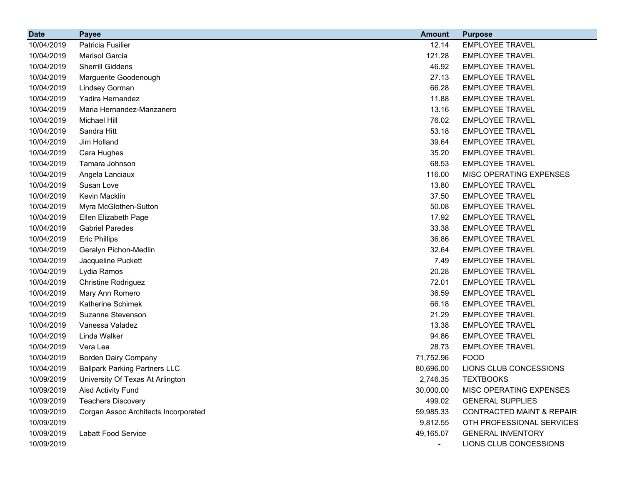| <b>Date</b> | <b>Payee</b>                         | <b>Amount</b> | <b>Purpose</b>                       |
|-------------|--------------------------------------|---------------|--------------------------------------|
| 10/04/2019  | Patricia Fusilier                    | 12.14         | <b>EMPLOYEE TRAVEL</b>               |
| 10/04/2019  | Marisol Garcia                       | 121.28        | <b>EMPLOYEE TRAVEL</b>               |
| 10/04/2019  | <b>Sherrill Giddens</b>              | 46.92         | <b>EMPLOYEE TRAVEL</b>               |
| 10/04/2019  | Marguerite Goodenough                | 27.13         | <b>EMPLOYEE TRAVEL</b>               |
| 10/04/2019  | Lindsey Gorman                       | 66.28         | <b>EMPLOYEE TRAVEL</b>               |
| 10/04/2019  | Yadira Hernandez                     | 11.88         | <b>EMPLOYEE TRAVEL</b>               |
| 10/04/2019  | Maria Hernandez-Manzanero            | 13.16         | <b>EMPLOYEE TRAVEL</b>               |
| 10/04/2019  | Michael Hill                         | 76.02         | <b>EMPLOYEE TRAVEL</b>               |
| 10/04/2019  | Sandra Hitt                          | 53.18         | <b>EMPLOYEE TRAVEL</b>               |
| 10/04/2019  | Jim Holland                          | 39.64         | <b>EMPLOYEE TRAVEL</b>               |
| 10/04/2019  | Cara Hughes                          | 35.20         | <b>EMPLOYEE TRAVEL</b>               |
| 10/04/2019  | Tamara Johnson                       | 68.53         | <b>EMPLOYEE TRAVEL</b>               |
| 10/04/2019  | Angela Lanciaux                      | 116.00        | MISC OPERATING EXPENSES              |
| 10/04/2019  | Susan Love                           | 13.80         | <b>EMPLOYEE TRAVEL</b>               |
| 10/04/2019  | Kevin Macklin                        | 37.50         | <b>EMPLOYEE TRAVEL</b>               |
| 10/04/2019  | Myra McGlothen-Sutton                | 50.08         | <b>EMPLOYEE TRAVEL</b>               |
| 10/04/2019  | Ellen Elizabeth Page                 | 17.92         | <b>EMPLOYEE TRAVEL</b>               |
| 10/04/2019  | <b>Gabriel Paredes</b>               | 33.38         | <b>EMPLOYEE TRAVEL</b>               |
| 10/04/2019  | <b>Eric Phillips</b>                 | 36.86         | <b>EMPLOYEE TRAVEL</b>               |
| 10/04/2019  | Geralyn Pichon-Medlin                | 32.64         | <b>EMPLOYEE TRAVEL</b>               |
| 10/04/2019  | Jacqueline Puckett                   | 7.49          | <b>EMPLOYEE TRAVEL</b>               |
| 10/04/2019  | Lydia Ramos                          | 20.28         | <b>EMPLOYEE TRAVEL</b>               |
| 10/04/2019  | <b>Christine Rodriguez</b>           | 72.01         | <b>EMPLOYEE TRAVEL</b>               |
| 10/04/2019  | Mary Ann Romero                      | 36.59         | <b>EMPLOYEE TRAVEL</b>               |
| 10/04/2019  | Katherine Schimek                    | 66.18         | <b>EMPLOYEE TRAVEL</b>               |
| 10/04/2019  | Suzanne Stevenson                    | 21.29         | <b>EMPLOYEE TRAVEL</b>               |
| 10/04/2019  | Vanessa Valadez                      | 13.38         | <b>EMPLOYEE TRAVEL</b>               |
| 10/04/2019  | Linda Walker                         | 94.86         | <b>EMPLOYEE TRAVEL</b>               |
| 10/04/2019  | Vera Lea                             | 28.73         | <b>EMPLOYEE TRAVEL</b>               |
| 10/04/2019  | <b>Borden Dairy Company</b>          | 71,752.96     | <b>FOOD</b>                          |
| 10/04/2019  | <b>Ballpark Parking Partners LLC</b> | 80,696.00     | LIONS CLUB CONCESSIONS               |
| 10/09/2019  | University Of Texas At Arlington     | 2,746.35      | <b>TEXTBOOKS</b>                     |
| 10/09/2019  | Aisd Activity Fund                   | 30,000.00     | MISC OPERATING EXPENSES              |
| 10/09/2019  | <b>Teachers Discovery</b>            | 499.02        | <b>GENERAL SUPPLIES</b>              |
| 10/09/2019  | Corgan Assoc Architects Incorporated | 59,985.33     | <b>CONTRACTED MAINT &amp; REPAIR</b> |
| 10/09/2019  |                                      | 9,812.55      | OTH PROFESSIONAL SERVICES            |
| 10/09/2019  | <b>Labatt Food Service</b>           | 49,165.07     | <b>GENERAL INVENTORY</b>             |
| 10/09/2019  |                                      | $\sim$        | LIONS CLUB CONCESSIONS               |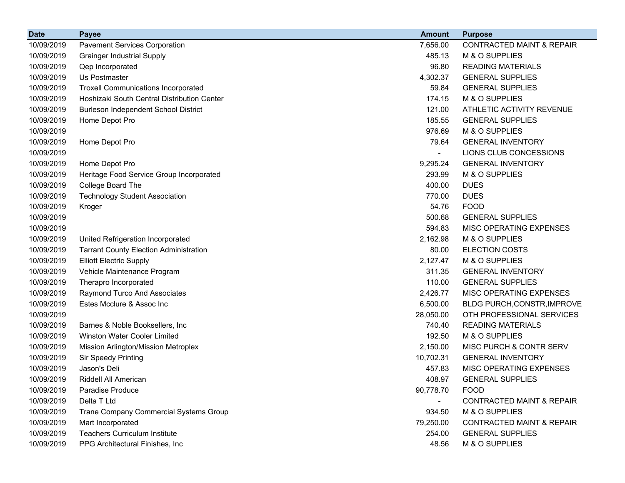| <b>Date</b> | <b>Payee</b>                                  | <b>Amount</b>            | <b>Purpose</b>                       |
|-------------|-----------------------------------------------|--------------------------|--------------------------------------|
| 10/09/2019  | <b>Pavement Services Corporation</b>          | 7,656.00                 | <b>CONTRACTED MAINT &amp; REPAIR</b> |
| 10/09/2019  | <b>Grainger Industrial Supply</b>             | 485.13                   | M & O SUPPLIES                       |
| 10/09/2019  | Qep Incorporated                              | 96.80                    | <b>READING MATERIALS</b>             |
| 10/09/2019  | Us Postmaster                                 | 4,302.37                 | <b>GENERAL SUPPLIES</b>              |
| 10/09/2019  | <b>Troxell Communications Incorporated</b>    | 59.84                    | <b>GENERAL SUPPLIES</b>              |
| 10/09/2019  | Hoshizaki South Central Distribution Center   | 174.15                   | M & O SUPPLIES                       |
| 10/09/2019  | <b>Burleson Independent School District</b>   | 121.00                   | ATHLETIC ACTIVITY REVENUE            |
| 10/09/2019  | Home Depot Pro                                | 185.55                   | <b>GENERAL SUPPLIES</b>              |
| 10/09/2019  |                                               | 976.69                   | M & O SUPPLIES                       |
| 10/09/2019  | Home Depot Pro                                | 79.64                    | <b>GENERAL INVENTORY</b>             |
| 10/09/2019  |                                               |                          | LIONS CLUB CONCESSIONS               |
| 10/09/2019  | Home Depot Pro                                | 9,295.24                 | <b>GENERAL INVENTORY</b>             |
| 10/09/2019  | Heritage Food Service Group Incorporated      | 293.99                   | M & O SUPPLIES                       |
| 10/09/2019  | College Board The                             | 400.00                   | <b>DUES</b>                          |
| 10/09/2019  | <b>Technology Student Association</b>         | 770.00                   | <b>DUES</b>                          |
| 10/09/2019  | Kroger                                        | 54.76                    | <b>FOOD</b>                          |
| 10/09/2019  |                                               | 500.68                   | <b>GENERAL SUPPLIES</b>              |
| 10/09/2019  |                                               | 594.83                   | MISC OPERATING EXPENSES              |
| 10/09/2019  | United Refrigeration Incorporated             | 2,162.98                 | M & O SUPPLIES                       |
| 10/09/2019  | <b>Tarrant County Election Administration</b> | 80.00                    | <b>ELECTION COSTS</b>                |
| 10/09/2019  | <b>Elliott Electric Supply</b>                | 2,127.47                 | M & O SUPPLIES                       |
| 10/09/2019  | Vehicle Maintenance Program                   | 311.35                   | <b>GENERAL INVENTORY</b>             |
| 10/09/2019  | Therapro Incorporated                         | 110.00                   | <b>GENERAL SUPPLIES</b>              |
| 10/09/2019  | Raymond Turco And Associates                  | 2,426.77                 | <b>MISC OPERATING EXPENSES</b>       |
| 10/09/2019  | Estes Mcclure & Assoc Inc                     | 6,500.00                 | BLDG PURCH, CONSTR, IMPROVE          |
| 10/09/2019  |                                               | 28,050.00                | OTH PROFESSIONAL SERVICES            |
| 10/09/2019  | Barnes & Noble Booksellers, Inc.              | 740.40                   | <b>READING MATERIALS</b>             |
| 10/09/2019  | <b>Winston Water Cooler Limited</b>           | 192.50                   | M & O SUPPLIES                       |
| 10/09/2019  | Mission Arlington/Mission Metroplex           | 2,150.00                 | MISC PURCH & CONTR SERV              |
| 10/09/2019  | <b>Sir Speedy Printing</b>                    | 10,702.31                | <b>GENERAL INVENTORY</b>             |
| 10/09/2019  | Jason's Deli                                  | 457.83                   | <b>MISC OPERATING EXPENSES</b>       |
| 10/09/2019  | Riddell All American                          | 408.97                   | <b>GENERAL SUPPLIES</b>              |
| 10/09/2019  | Paradise Produce                              | 90,778.70                | <b>FOOD</b>                          |
| 10/09/2019  | Delta T Ltd                                   | $\overline{\phantom{0}}$ | <b>CONTRACTED MAINT &amp; REPAIR</b> |
| 10/09/2019  | <b>Trane Company Commercial Systems Group</b> | 934.50                   | M & O SUPPLIES                       |
| 10/09/2019  | Mart Incorporated                             | 79,250.00                | <b>CONTRACTED MAINT &amp; REPAIR</b> |
| 10/09/2019  | <b>Teachers Curriculum Institute</b>          | 254.00                   | <b>GENERAL SUPPLIES</b>              |
| 10/09/2019  | PPG Architectural Finishes, Inc               | 48.56                    | M & O SUPPLIES                       |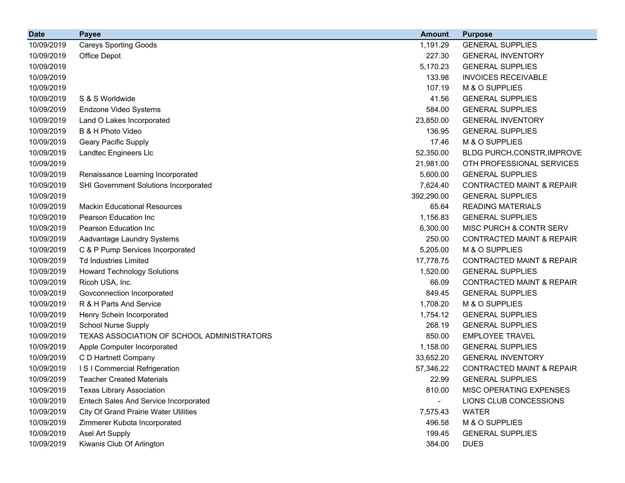| <b>Date</b> | <b>Payee</b>                                 | <b>Amount</b> | <b>Purpose</b>                       |
|-------------|----------------------------------------------|---------------|--------------------------------------|
| 10/09/2019  | <b>Careys Sporting Goods</b>                 | 1,191.29      | <b>GENERAL SUPPLIES</b>              |
| 10/09/2019  | Office Depot                                 | 227.30        | <b>GENERAL INVENTORY</b>             |
| 10/09/2019  |                                              | 5,170.23      | <b>GENERAL SUPPLIES</b>              |
| 10/09/2019  |                                              | 133.98        | <b>INVOICES RECEIVABLE</b>           |
| 10/09/2019  |                                              | 107.19        | M & O SUPPLIES                       |
| 10/09/2019  | S & S Worldwide                              | 41.56         | <b>GENERAL SUPPLIES</b>              |
| 10/09/2019  | Endzone Video Systems                        | 584.00        | <b>GENERAL SUPPLIES</b>              |
| 10/09/2019  | Land O Lakes Incorporated                    | 23,850.00     | <b>GENERAL INVENTORY</b>             |
| 10/09/2019  | B & H Photo Video                            | 136.95        | <b>GENERAL SUPPLIES</b>              |
| 10/09/2019  | Geary Pacific Supply                         | 17.46         | M & O SUPPLIES                       |
| 10/09/2019  | Landtec Engineers Llc                        | 52,350.00     | BLDG PURCH, CONSTR, IMPROVE          |
| 10/09/2019  |                                              | 21,981.00     | OTH PROFESSIONAL SERVICES            |
| 10/09/2019  | Renaissance Learning Incorporated            | 5,600.00      | <b>GENERAL SUPPLIES</b>              |
| 10/09/2019  | SHI Government Solutions Incorporated        | 7,624.40      | <b>CONTRACTED MAINT &amp; REPAIR</b> |
| 10/09/2019  |                                              | 392,290.00    | <b>GENERAL SUPPLIES</b>              |
| 10/09/2019  | <b>Mackin Educational Resources</b>          | 65.64         | <b>READING MATERIALS</b>             |
| 10/09/2019  | Pearson Education Inc                        | 1,156.83      | <b>GENERAL SUPPLIES</b>              |
| 10/09/2019  | Pearson Education Inc                        | 6,300.00      | MISC PURCH & CONTR SERV              |
| 10/09/2019  | Aadvantage Laundry Systems                   | 250.00        | <b>CONTRACTED MAINT &amp; REPAIR</b> |
| 10/09/2019  | C & P Pump Services Incorporated             | 5,205.00      | M & O SUPPLIES                       |
| 10/09/2019  | <b>Td Industries Limited</b>                 | 17,778.75     | <b>CONTRACTED MAINT &amp; REPAIR</b> |
| 10/09/2019  | <b>Howard Technology Solutions</b>           | 1,520.00      | <b>GENERAL SUPPLIES</b>              |
| 10/09/2019  | Ricoh USA, Inc.                              | 66.09         | <b>CONTRACTED MAINT &amp; REPAIR</b> |
| 10/09/2019  | Govconnection Incorporated                   | 849.45        | <b>GENERAL SUPPLIES</b>              |
| 10/09/2019  | R & H Parts And Service                      | 1,708.20      | M & O SUPPLIES                       |
| 10/09/2019  | Henry Schein Incorporated                    | 1,754.12      | <b>GENERAL SUPPLIES</b>              |
| 10/09/2019  | School Nurse Supply                          | 268.19        | <b>GENERAL SUPPLIES</b>              |
| 10/09/2019  | TEXAS ASSOCIATION OF SCHOOL ADMINISTRATORS   | 850.00        | <b>EMPLOYEE TRAVEL</b>               |
| 10/09/2019  | Apple Computer Incorporated                  | 1,158.00      | <b>GENERAL SUPPLIES</b>              |
| 10/09/2019  | C D Hartnett Company                         | 33,652.20     | <b>GENERAL INVENTORY</b>             |
| 10/09/2019  | IS I Commercial Refrigeration                | 57,346.22     | <b>CONTRACTED MAINT &amp; REPAIR</b> |
| 10/09/2019  | <b>Teacher Created Materials</b>             | 22.99         | <b>GENERAL SUPPLIES</b>              |
| 10/09/2019  | <b>Texas Library Association</b>             | 810.00        | MISC OPERATING EXPENSES              |
| 10/09/2019  | Entech Sales And Service Incorporated        |               | LIONS CLUB CONCESSIONS               |
| 10/09/2019  | <b>City Of Grand Prairie Water Utilities</b> | 7,575.43      | <b>WATER</b>                         |
| 10/09/2019  | Zimmerer Kubota Incorporated                 | 496.58        | M & O SUPPLIES                       |
| 10/09/2019  | Asel Art Supply                              | 199.45        | <b>GENERAL SUPPLIES</b>              |
| 10/09/2019  | Kiwanis Club Of Arlington                    | 384.00        | <b>DUES</b>                          |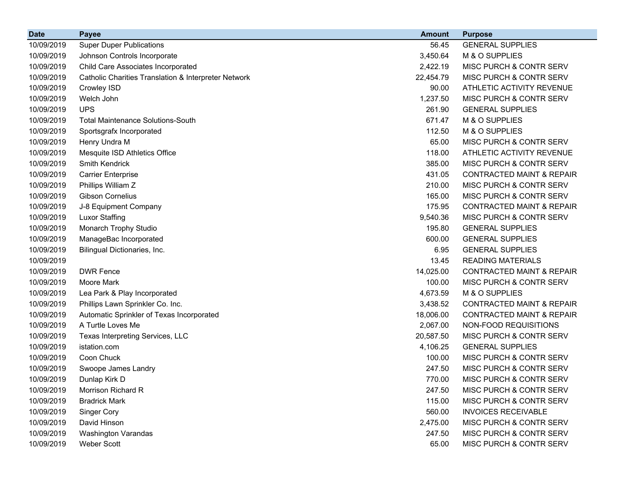| <b>Date</b> | <b>Payee</b>                                         | <b>Amount</b> | <b>Purpose</b>                       |
|-------------|------------------------------------------------------|---------------|--------------------------------------|
| 10/09/2019  | <b>Super Duper Publications</b>                      | 56.45         | <b>GENERAL SUPPLIES</b>              |
| 10/09/2019  | Johnson Controls Incorporate                         | 3,450.64      | M & O SUPPLIES                       |
| 10/09/2019  | Child Care Associates Incorporated                   | 2,422.19      | MISC PURCH & CONTR SERV              |
| 10/09/2019  | Catholic Charities Translation & Interpreter Network | 22,454.79     | MISC PURCH & CONTR SERV              |
| 10/09/2019  | Crowley ISD                                          | 90.00         | ATHLETIC ACTIVITY REVENUE            |
| 10/09/2019  | Welch John                                           | 1,237.50      | MISC PURCH & CONTR SERV              |
| 10/09/2019  | <b>UPS</b>                                           | 261.90        | <b>GENERAL SUPPLIES</b>              |
| 10/09/2019  | <b>Total Maintenance Solutions-South</b>             | 671.47        | M & O SUPPLIES                       |
| 10/09/2019  | Sportsgrafx Incorporated                             | 112.50        | M & O SUPPLIES                       |
| 10/09/2019  | Henry Undra M                                        | 65.00         | <b>MISC PURCH &amp; CONTR SERV</b>   |
| 10/09/2019  | Mesquite ISD Athletics Office                        | 118.00        | ATHLETIC ACTIVITY REVENUE            |
| 10/09/2019  | <b>Smith Kendrick</b>                                | 385.00        | MISC PURCH & CONTR SERV              |
| 10/09/2019  | <b>Carrier Enterprise</b>                            | 431.05        | <b>CONTRACTED MAINT &amp; REPAIR</b> |
| 10/09/2019  | Phillips William Z                                   | 210.00        | MISC PURCH & CONTR SERV              |
| 10/09/2019  | <b>Gibson Cornelius</b>                              | 165.00        | MISC PURCH & CONTR SERV              |
| 10/09/2019  | J-8 Equipment Company                                | 175.95        | <b>CONTRACTED MAINT &amp; REPAIR</b> |
| 10/09/2019  | <b>Luxor Staffing</b>                                | 9,540.36      | MISC PURCH & CONTR SERV              |
| 10/09/2019  | Monarch Trophy Studio                                | 195.80        | <b>GENERAL SUPPLIES</b>              |
| 10/09/2019  | ManageBac Incorporated                               | 600.00        | <b>GENERAL SUPPLIES</b>              |
| 10/09/2019  | Bilingual Dictionaries, Inc.                         | 6.95          | <b>GENERAL SUPPLIES</b>              |
| 10/09/2019  |                                                      | 13.45         | <b>READING MATERIALS</b>             |
| 10/09/2019  | <b>DWR Fence</b>                                     | 14,025.00     | <b>CONTRACTED MAINT &amp; REPAIR</b> |
| 10/09/2019  | Moore Mark                                           | 100.00        | MISC PURCH & CONTR SERV              |
| 10/09/2019  | Lea Park & Play Incorporated                         | 4,673.59      | M & O SUPPLIES                       |
| 10/09/2019  | Phillips Lawn Sprinkler Co. Inc.                     | 3,438.52      | <b>CONTRACTED MAINT &amp; REPAIR</b> |
| 10/09/2019  | Automatic Sprinkler of Texas Incorporated            | 18,006.00     | <b>CONTRACTED MAINT &amp; REPAIR</b> |
| 10/09/2019  | A Turtle Loves Me                                    | 2,067.00      | NON-FOOD REQUISITIONS                |
| 10/09/2019  | Texas Interpreting Services, LLC                     | 20,587.50     | MISC PURCH & CONTR SERV              |
| 10/09/2019  | istation.com                                         | 4,106.25      | <b>GENERAL SUPPLIES</b>              |
| 10/09/2019  | Coon Chuck                                           | 100.00        | <b>MISC PURCH &amp; CONTR SERV</b>   |
| 10/09/2019  | Swoope James Landry                                  | 247.50        | MISC PURCH & CONTR SERV              |
| 10/09/2019  | Dunlap Kirk D                                        | 770.00        | MISC PURCH & CONTR SERV              |
| 10/09/2019  | Morrison Richard R                                   | 247.50        | MISC PURCH & CONTR SERV              |
| 10/09/2019  | <b>Bradrick Mark</b>                                 | 115.00        | MISC PURCH & CONTR SERV              |
| 10/09/2019  | <b>Singer Cory</b>                                   | 560.00        | <b>INVOICES RECEIVABLE</b>           |
| 10/09/2019  | David Hinson                                         | 2,475.00      | MISC PURCH & CONTR SERV              |
| 10/09/2019  | Washington Varandas                                  | 247.50        | MISC PURCH & CONTR SERV              |
| 10/09/2019  | Weber Scott                                          | 65.00         | MISC PURCH & CONTR SERV              |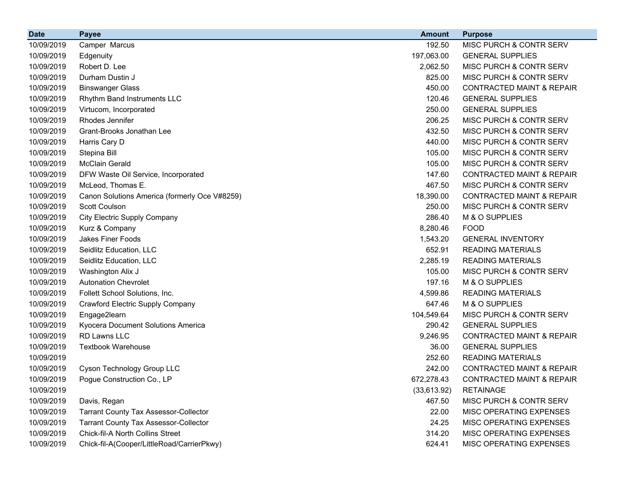| <b>Date</b> | <b>Payee</b>                                  | <b>Amount</b> | <b>Purpose</b>                       |
|-------------|-----------------------------------------------|---------------|--------------------------------------|
| 10/09/2019  | Camper Marcus                                 | 192.50        | MISC PURCH & CONTR SERV              |
| 10/09/2019  | Edgenuity                                     | 197,063.00    | <b>GENERAL SUPPLIES</b>              |
| 10/09/2019  | Robert D. Lee                                 | 2,062.50      | MISC PURCH & CONTR SERV              |
| 10/09/2019  | Durham Dustin J                               | 825.00        | MISC PURCH & CONTR SERV              |
| 10/09/2019  | <b>Binswanger Glass</b>                       | 450.00        | <b>CONTRACTED MAINT &amp; REPAIR</b> |
| 10/09/2019  | Rhythm Band Instruments LLC                   | 120.46        | <b>GENERAL SUPPLIES</b>              |
| 10/09/2019  | Virtucom, Incorporated                        | 250.00        | <b>GENERAL SUPPLIES</b>              |
| 10/09/2019  | Rhodes Jennifer                               | 206.25        | MISC PURCH & CONTR SERV              |
| 10/09/2019  | Grant-Brooks Jonathan Lee                     | 432.50        | MISC PURCH & CONTR SERV              |
| 10/09/2019  | Harris Cary D                                 | 440.00        | MISC PURCH & CONTR SERV              |
| 10/09/2019  | Stepina Bill                                  | 105.00        | MISC PURCH & CONTR SERV              |
| 10/09/2019  | <b>McClain Gerald</b>                         | 105.00        | MISC PURCH & CONTR SERV              |
| 10/09/2019  | DFW Waste Oil Service, Incorporated           | 147.60        | <b>CONTRACTED MAINT &amp; REPAIR</b> |
| 10/09/2019  | McLeod, Thomas E.                             | 467.50        | MISC PURCH & CONTR SERV              |
| 10/09/2019  | Canon Solutions America (formerly Oce V#8259) | 18,390.00     | <b>CONTRACTED MAINT &amp; REPAIR</b> |
| 10/09/2019  | Scott Coulson                                 | 250.00        | MISC PURCH & CONTR SERV              |
| 10/09/2019  | City Electric Supply Company                  | 286.40        | M & O SUPPLIES                       |
| 10/09/2019  | Kurz & Company                                | 8,280.46      | <b>FOOD</b>                          |
| 10/09/2019  | Jakes Finer Foods                             | 1,543.20      | <b>GENERAL INVENTORY</b>             |
| 10/09/2019  | Seidlitz Education, LLC                       | 652.91        | <b>READING MATERIALS</b>             |
| 10/09/2019  | Seidlitz Education, LLC                       | 2,285.19      | <b>READING MATERIALS</b>             |
| 10/09/2019  | Washington Alix J                             | 105.00        | MISC PURCH & CONTR SERV              |
| 10/09/2019  | <b>Autonation Chevrolet</b>                   | 197.16        | M & O SUPPLIES                       |
| 10/09/2019  | Follett School Solutions, Inc.                | 4,599.86      | <b>READING MATERIALS</b>             |
| 10/09/2019  | Crawford Electric Supply Company              | 647.46        | M & O SUPPLIES                       |
| 10/09/2019  | Engage2learn                                  | 104,549.64    | MISC PURCH & CONTR SERV              |
| 10/09/2019  | Kyocera Document Solutions America            | 290.42        | <b>GENERAL SUPPLIES</b>              |
| 10/09/2019  | RD Lawns LLC                                  | 9,246.95      | <b>CONTRACTED MAINT &amp; REPAIR</b> |
| 10/09/2019  | <b>Textbook Warehouse</b>                     | 36.00         | <b>GENERAL SUPPLIES</b>              |
| 10/09/2019  |                                               | 252.60        | <b>READING MATERIALS</b>             |
| 10/09/2019  | Cyson Technology Group LLC                    | 242.00        | <b>CONTRACTED MAINT &amp; REPAIR</b> |
| 10/09/2019  | Pogue Construction Co., LP                    | 672,278.43    | CONTRACTED MAINT & REPAIR            |
| 10/09/2019  |                                               | (33,613.92)   | <b>RETAINAGE</b>                     |
| 10/09/2019  | Davis, Regan                                  | 467.50        | MISC PURCH & CONTR SERV              |
| 10/09/2019  | <b>Tarrant County Tax Assessor-Collector</b>  | 22.00         | MISC OPERATING EXPENSES              |
| 10/09/2019  | <b>Tarrant County Tax Assessor-Collector</b>  | 24.25         | MISC OPERATING EXPENSES              |
| 10/09/2019  | Chick-fil-A North Collins Street              | 314.20        | MISC OPERATING EXPENSES              |
| 10/09/2019  | Chick-fil-A(Cooper/LittleRoad/CarrierPkwy)    | 624.41        | MISC OPERATING EXPENSES              |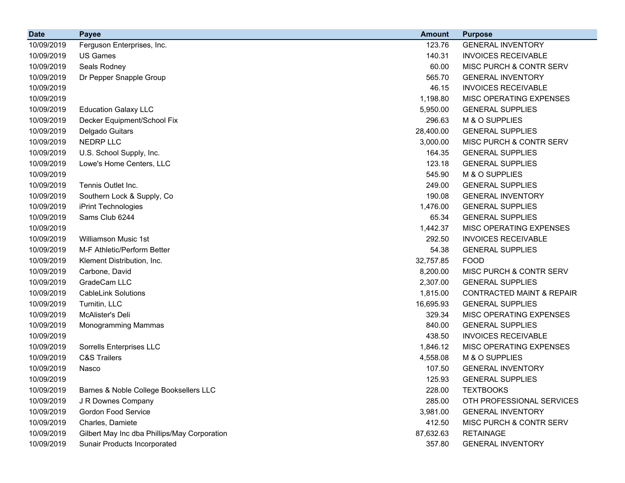| <b>Date</b> | <b>Payee</b>                                 | <b>Amount</b> | <b>Purpose</b>                       |
|-------------|----------------------------------------------|---------------|--------------------------------------|
| 10/09/2019  | Ferguson Enterprises, Inc.                   | 123.76        | <b>GENERAL INVENTORY</b>             |
| 10/09/2019  | <b>US Games</b>                              | 140.31        | <b>INVOICES RECEIVABLE</b>           |
| 10/09/2019  | Seals Rodney                                 | 60.00         | MISC PURCH & CONTR SERV              |
| 10/09/2019  | Dr Pepper Snapple Group                      | 565.70        | <b>GENERAL INVENTORY</b>             |
| 10/09/2019  |                                              | 46.15         | <b>INVOICES RECEIVABLE</b>           |
| 10/09/2019  |                                              | 1,198.80      | MISC OPERATING EXPENSES              |
| 10/09/2019  | <b>Education Galaxy LLC</b>                  | 5,950.00      | <b>GENERAL SUPPLIES</b>              |
| 10/09/2019  | Decker Equipment/School Fix                  | 296.63        | M & O SUPPLIES                       |
| 10/09/2019  | Delgado Guitars                              | 28,400.00     | <b>GENERAL SUPPLIES</b>              |
| 10/09/2019  | NEDRP LLC                                    | 3,000.00      | MISC PURCH & CONTR SERV              |
| 10/09/2019  | U.S. School Supply, Inc.                     | 164.35        | <b>GENERAL SUPPLIES</b>              |
| 10/09/2019  | Lowe's Home Centers, LLC                     | 123.18        | <b>GENERAL SUPPLIES</b>              |
| 10/09/2019  |                                              | 545.90        | M & O SUPPLIES                       |
| 10/09/2019  | Tennis Outlet Inc.                           | 249.00        | <b>GENERAL SUPPLIES</b>              |
| 10/09/2019  | Southern Lock & Supply, Co                   | 190.08        | <b>GENERAL INVENTORY</b>             |
| 10/09/2019  | iPrint Technologies                          | 1,476.00      | <b>GENERAL SUPPLIES</b>              |
| 10/09/2019  | Sams Club 6244                               | 65.34         | <b>GENERAL SUPPLIES</b>              |
| 10/09/2019  |                                              | 1,442.37      | MISC OPERATING EXPENSES              |
| 10/09/2019  | <b>Williamson Music 1st</b>                  | 292.50        | <b>INVOICES RECEIVABLE</b>           |
| 10/09/2019  | M-F Athletic/Perform Better                  | 54.38         | <b>GENERAL SUPPLIES</b>              |
| 10/09/2019  | Klement Distribution, Inc.                   | 32,757.85     | <b>FOOD</b>                          |
| 10/09/2019  | Carbone, David                               | 8,200.00      | MISC PURCH & CONTR SERV              |
| 10/09/2019  | GradeCam LLC                                 | 2,307.00      | <b>GENERAL SUPPLIES</b>              |
| 10/09/2019  | <b>CableLink Solutions</b>                   | 1,815.00      | <b>CONTRACTED MAINT &amp; REPAIR</b> |
| 10/09/2019  | Turnitin, LLC                                | 16,695.93     | <b>GENERAL SUPPLIES</b>              |
| 10/09/2019  | McAlister's Deli                             | 329.34        | MISC OPERATING EXPENSES              |
| 10/09/2019  | Monogramming Mammas                          | 840.00        | <b>GENERAL SUPPLIES</b>              |
| 10/09/2019  |                                              | 438.50        | <b>INVOICES RECEIVABLE</b>           |
| 10/09/2019  | Sorrells Enterprises LLC                     | 1,846.12      | <b>MISC OPERATING EXPENSES</b>       |
| 10/09/2019  | <b>C&amp;S Trailers</b>                      | 4,558.08      | M & O SUPPLIES                       |
| 10/09/2019  | Nasco                                        | 107.50        | <b>GENERAL INVENTORY</b>             |
| 10/09/2019  |                                              | 125.93        | <b>GENERAL SUPPLIES</b>              |
| 10/09/2019  | Barnes & Noble College Booksellers LLC       | 228.00        | <b>TEXTBOOKS</b>                     |
| 10/09/2019  | J R Downes Company                           | 285.00        | OTH PROFESSIONAL SERVICES            |
| 10/09/2019  | <b>Gordon Food Service</b>                   | 3,981.00      | <b>GENERAL INVENTORY</b>             |
| 10/09/2019  | Charles, Damiete                             | 412.50        | MISC PURCH & CONTR SERV              |
| 10/09/2019  | Gilbert May Inc dba Phillips/May Corporation | 87,632.63     | <b>RETAINAGE</b>                     |
| 10/09/2019  | Sunair Products Incorporated                 | 357.80        | <b>GENERAL INVENTORY</b>             |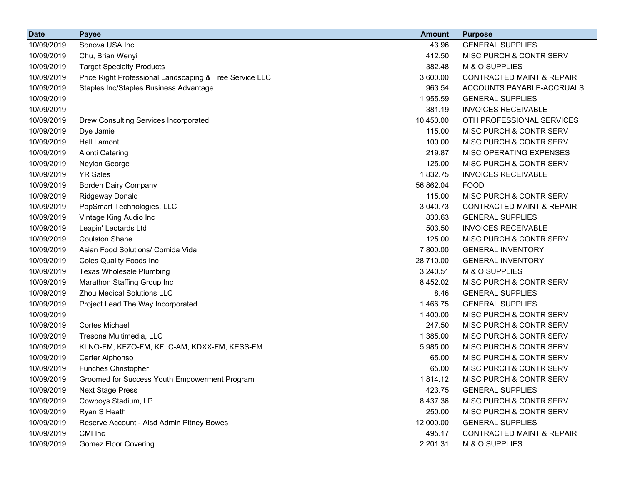| <b>Date</b> | <b>Payee</b>                                            | <b>Amount</b> | <b>Purpose</b>                       |
|-------------|---------------------------------------------------------|---------------|--------------------------------------|
| 10/09/2019  | Sonova USA Inc.                                         | 43.96         | <b>GENERAL SUPPLIES</b>              |
| 10/09/2019  | Chu, Brian Wenyi                                        | 412.50        | MISC PURCH & CONTR SERV              |
| 10/09/2019  | <b>Target Specialty Products</b>                        | 382.48        | M & O SUPPLIES                       |
| 10/09/2019  | Price Right Professional Landscaping & Tree Service LLC | 3,600.00      | <b>CONTRACTED MAINT &amp; REPAIR</b> |
| 10/09/2019  | Staples Inc/Staples Business Advantage                  | 963.54        | ACCOUNTS PAYABLE-ACCRUALS            |
| 10/09/2019  |                                                         | 1,955.59      | <b>GENERAL SUPPLIES</b>              |
| 10/09/2019  |                                                         | 381.19        | <b>INVOICES RECEIVABLE</b>           |
| 10/09/2019  | Drew Consulting Services Incorporated                   | 10,450.00     | OTH PROFESSIONAL SERVICES            |
| 10/09/2019  | Dye Jamie                                               | 115.00        | MISC PURCH & CONTR SERV              |
| 10/09/2019  | <b>Hall Lamont</b>                                      | 100.00        | MISC PURCH & CONTR SERV              |
| 10/09/2019  | <b>Alonti Catering</b>                                  | 219.87        | MISC OPERATING EXPENSES              |
| 10/09/2019  | Neylon George                                           | 125.00        | MISC PURCH & CONTR SERV              |
| 10/09/2019  | <b>YR Sales</b>                                         | 1,832.75      | <b>INVOICES RECEIVABLE</b>           |
| 10/09/2019  | <b>Borden Dairy Company</b>                             | 56,862.04     | <b>FOOD</b>                          |
| 10/09/2019  | <b>Ridgeway Donald</b>                                  | 115.00        | MISC PURCH & CONTR SERV              |
| 10/09/2019  | PopSmart Technologies, LLC                              | 3,040.73      | <b>CONTRACTED MAINT &amp; REPAIR</b> |
| 10/09/2019  | Vintage King Audio Inc                                  | 833.63        | <b>GENERAL SUPPLIES</b>              |
| 10/09/2019  | Leapin' Leotards Ltd                                    | 503.50        | <b>INVOICES RECEIVABLE</b>           |
| 10/09/2019  | <b>Coulston Shane</b>                                   | 125.00        | MISC PURCH & CONTR SERV              |
| 10/09/2019  | Asian Food Solutions/ Comida Vida                       | 7,800.00      | <b>GENERAL INVENTORY</b>             |
| 10/09/2019  | <b>Coles Quality Foods Inc</b>                          | 28,710.00     | <b>GENERAL INVENTORY</b>             |
| 10/09/2019  | <b>Texas Wholesale Plumbing</b>                         | 3,240.51      | M & O SUPPLIES                       |
| 10/09/2019  | Marathon Staffing Group Inc                             | 8,452.02      | MISC PURCH & CONTR SERV              |
| 10/09/2019  | <b>Zhou Medical Solutions LLC</b>                       | 8.46          | <b>GENERAL SUPPLIES</b>              |
| 10/09/2019  | Project Lead The Way Incorporated                       | 1,466.75      | <b>GENERAL SUPPLIES</b>              |
| 10/09/2019  |                                                         | 1,400.00      | MISC PURCH & CONTR SERV              |
| 10/09/2019  | <b>Cortes Michael</b>                                   | 247.50        | MISC PURCH & CONTR SERV              |
| 10/09/2019  | Tresona Multimedia, LLC                                 | 1,385.00      | MISC PURCH & CONTR SERV              |
| 10/09/2019  | KLNO-FM, KFZO-FM, KFLC-AM, KDXX-FM, KESS-FM             | 5,985.00      | MISC PURCH & CONTR SERV              |
| 10/09/2019  | Carter Alphonso                                         | 65.00         | MISC PURCH & CONTR SERV              |
| 10/09/2019  | <b>Funches Christopher</b>                              | 65.00         | MISC PURCH & CONTR SERV              |
| 10/09/2019  | Groomed for Success Youth Empowerment Program           | 1,814.12      | MISC PURCH & CONTR SERV              |
| 10/09/2019  | <b>Next Stage Press</b>                                 | 423.75        | <b>GENERAL SUPPLIES</b>              |
| 10/09/2019  | Cowboys Stadium, LP                                     | 8,437.36      | MISC PURCH & CONTR SERV              |
| 10/09/2019  | Ryan S Heath                                            | 250.00        | MISC PURCH & CONTR SERV              |
| 10/09/2019  | Reserve Account - Aisd Admin Pitney Bowes               | 12,000.00     | <b>GENERAL SUPPLIES</b>              |
| 10/09/2019  | CMI Inc                                                 | 495.17        | <b>CONTRACTED MAINT &amp; REPAIR</b> |
| 10/09/2019  | <b>Gomez Floor Covering</b>                             | 2,201.31      | M & O SUPPLIES                       |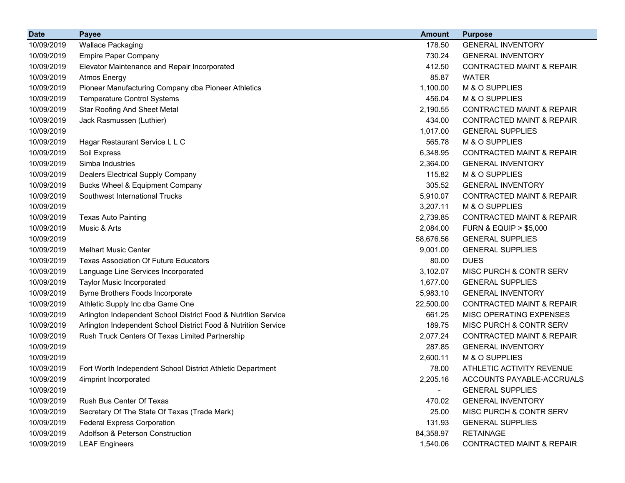| <b>Date</b> | <b>Payee</b>                                                   | <b>Amount</b> | <b>Purpose</b>                       |
|-------------|----------------------------------------------------------------|---------------|--------------------------------------|
| 10/09/2019  | <b>Wallace Packaging</b>                                       | 178.50        | <b>GENERAL INVENTORY</b>             |
| 10/09/2019  | <b>Empire Paper Company</b>                                    | 730.24        | <b>GENERAL INVENTORY</b>             |
| 10/09/2019  | Elevator Maintenance and Repair Incorporated                   | 412.50        | <b>CONTRACTED MAINT &amp; REPAIR</b> |
| 10/09/2019  | <b>Atmos Energy</b>                                            | 85.87         | <b>WATER</b>                         |
| 10/09/2019  | Pioneer Manufacturing Company dba Pioneer Athletics            | 1,100.00      | M & O SUPPLIES                       |
| 10/09/2019  | <b>Temperature Control Systems</b>                             | 456.04        | M & O SUPPLIES                       |
| 10/09/2019  | <b>Star Roofing And Sheet Metal</b>                            | 2,190.55      | <b>CONTRACTED MAINT &amp; REPAIR</b> |
| 10/09/2019  | Jack Rasmussen (Luthier)                                       | 434.00        | <b>CONTRACTED MAINT &amp; REPAIR</b> |
| 10/09/2019  |                                                                | 1,017.00      | <b>GENERAL SUPPLIES</b>              |
| 10/09/2019  | Hagar Restaurant Service L L C                                 | 565.78        | M & O SUPPLIES                       |
| 10/09/2019  | Soil Express                                                   | 6,348.95      | <b>CONTRACTED MAINT &amp; REPAIR</b> |
| 10/09/2019  | Simba Industries                                               | 2,364.00      | <b>GENERAL INVENTORY</b>             |
| 10/09/2019  | Dealers Electrical Supply Company                              | 115.82        | M & O SUPPLIES                       |
| 10/09/2019  | <b>Bucks Wheel &amp; Equipment Company</b>                     | 305.52        | <b>GENERAL INVENTORY</b>             |
| 10/09/2019  | Southwest International Trucks                                 | 5,910.07      | <b>CONTRACTED MAINT &amp; REPAIR</b> |
| 10/09/2019  |                                                                | 3,207.11      | M & O SUPPLIES                       |
| 10/09/2019  | <b>Texas Auto Painting</b>                                     | 2,739.85      | <b>CONTRACTED MAINT &amp; REPAIR</b> |
| 10/09/2019  | Music & Arts                                                   | 2,084.00      | <b>FURN &amp; EQUIP &gt; \$5,000</b> |
| 10/09/2019  |                                                                | 58,676.56     | <b>GENERAL SUPPLIES</b>              |
| 10/09/2019  | <b>Melhart Music Center</b>                                    | 9,001.00      | <b>GENERAL SUPPLIES</b>              |
| 10/09/2019  | <b>Texas Association Of Future Educators</b>                   | 80.00         | <b>DUES</b>                          |
| 10/09/2019  | Language Line Services Incorporated                            | 3,102.07      | MISC PURCH & CONTR SERV              |
| 10/09/2019  | <b>Taylor Music Incorporated</b>                               | 1,677.00      | <b>GENERAL SUPPLIES</b>              |
| 10/09/2019  | Byrne Brothers Foods Incorporate                               | 5,983.10      | <b>GENERAL INVENTORY</b>             |
| 10/09/2019  | Athletic Supply Inc dba Game One                               | 22,500.00     | <b>CONTRACTED MAINT &amp; REPAIR</b> |
| 10/09/2019  | Arlington Independent School District Food & Nutrition Service | 661.25        | MISC OPERATING EXPENSES              |
| 10/09/2019  | Arlington Independent School District Food & Nutrition Service | 189.75        | MISC PURCH & CONTR SERV              |
| 10/09/2019  | Rush Truck Centers Of Texas Limited Partnership                | 2,077.24      | <b>CONTRACTED MAINT &amp; REPAIR</b> |
| 10/09/2019  |                                                                | 287.85        | <b>GENERAL INVENTORY</b>             |
| 10/09/2019  |                                                                | 2,600.11      | M & O SUPPLIES                       |
| 10/09/2019  | Fort Worth Independent School District Athletic Department     | 78.00         | ATHLETIC ACTIVITY REVENUE            |
| 10/09/2019  | 4imprint Incorporated                                          | 2,205.16      | ACCOUNTS PAYABLE-ACCRUALS            |
| 10/09/2019  |                                                                | $\sim$        | <b>GENERAL SUPPLIES</b>              |
| 10/09/2019  | Rush Bus Center Of Texas                                       | 470.02        | <b>GENERAL INVENTORY</b>             |
| 10/09/2019  | Secretary Of The State Of Texas (Trade Mark)                   | 25.00         | MISC PURCH & CONTR SERV              |
| 10/09/2019  | <b>Federal Express Corporation</b>                             | 131.93        | <b>GENERAL SUPPLIES</b>              |
| 10/09/2019  | Adolfson & Peterson Construction                               | 84,358.97     | <b>RETAINAGE</b>                     |
| 10/09/2019  | <b>LEAF Engineers</b>                                          | 1,540.06      | <b>CONTRACTED MAINT &amp; REPAIR</b> |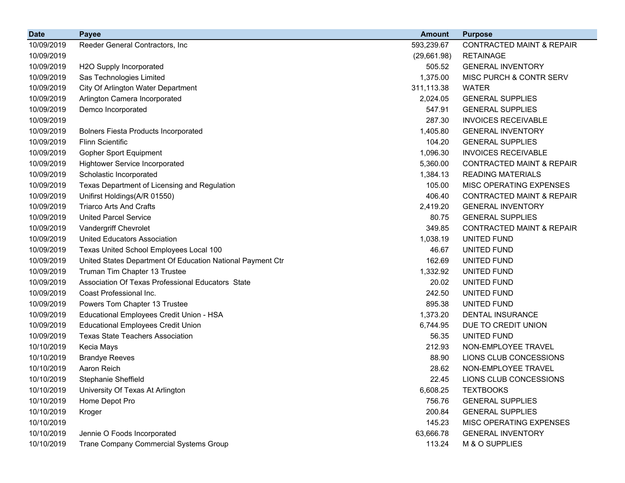| <b>Date</b> | <b>Payee</b>                                               | <b>Amount</b> | <b>Purpose</b>                       |
|-------------|------------------------------------------------------------|---------------|--------------------------------------|
| 10/09/2019  | Reeder General Contractors, Inc                            | 593,239.67    | <b>CONTRACTED MAINT &amp; REPAIR</b> |
| 10/09/2019  |                                                            | (29,661.98)   | <b>RETAINAGE</b>                     |
| 10/09/2019  | H2O Supply Incorporated                                    | 505.52        | <b>GENERAL INVENTORY</b>             |
| 10/09/2019  | Sas Technologies Limited                                   | 1,375.00      | MISC PURCH & CONTR SERV              |
| 10/09/2019  | City Of Arlington Water Department                         | 311,113.38    | <b>WATER</b>                         |
| 10/09/2019  | Arlington Camera Incorporated                              | 2,024.05      | <b>GENERAL SUPPLIES</b>              |
| 10/09/2019  | Demco Incorporated                                         | 547.91        | <b>GENERAL SUPPLIES</b>              |
| 10/09/2019  |                                                            | 287.30        | <b>INVOICES RECEIVABLE</b>           |
| 10/09/2019  | <b>Bolners Fiesta Products Incorporated</b>                | 1,405.80      | <b>GENERAL INVENTORY</b>             |
| 10/09/2019  | <b>Flinn Scientific</b>                                    | 104.20        | <b>GENERAL SUPPLIES</b>              |
| 10/09/2019  | <b>Gopher Sport Equipment</b>                              | 1,096.30      | <b>INVOICES RECEIVABLE</b>           |
| 10/09/2019  | <b>Hightower Service Incorporated</b>                      | 5,360.00      | <b>CONTRACTED MAINT &amp; REPAIR</b> |
| 10/09/2019  | Scholastic Incorporated                                    | 1,384.13      | <b>READING MATERIALS</b>             |
| 10/09/2019  | Texas Department of Licensing and Regulation               | 105.00        | MISC OPERATING EXPENSES              |
| 10/09/2019  | Unifirst Holdings(A/R 01550)                               | 406.40        | <b>CONTRACTED MAINT &amp; REPAIR</b> |
| 10/09/2019  | <b>Triarco Arts And Crafts</b>                             | 2,419.20      | <b>GENERAL INVENTORY</b>             |
| 10/09/2019  | <b>United Parcel Service</b>                               | 80.75         | <b>GENERAL SUPPLIES</b>              |
| 10/09/2019  | Vandergriff Chevrolet                                      | 349.85        | <b>CONTRACTED MAINT &amp; REPAIR</b> |
| 10/09/2019  | <b>United Educators Association</b>                        | 1,038.19      | UNITED FUND                          |
| 10/09/2019  | Texas United School Employees Local 100                    | 46.67         | UNITED FUND                          |
| 10/09/2019  | United States Department Of Education National Payment Ctr | 162.69        | UNITED FUND                          |
| 10/09/2019  | Truman Tim Chapter 13 Trustee                              | 1,332.92      | UNITED FUND                          |
| 10/09/2019  | Association Of Texas Professional Educators State          | 20.02         | UNITED FUND                          |
| 10/09/2019  | Coast Professional Inc.                                    | 242.50        | UNITED FUND                          |
| 10/09/2019  | Powers Tom Chapter 13 Trustee                              | 895.38        | UNITED FUND                          |
| 10/09/2019  | Educational Employees Credit Union - HSA                   | 1,373.20      | <b>DENTAL INSURANCE</b>              |
| 10/09/2019  | <b>Educational Employees Credit Union</b>                  | 6,744.95      | DUE TO CREDIT UNION                  |
| 10/09/2019  | <b>Texas State Teachers Association</b>                    | 56.35         | UNITED FUND                          |
| 10/10/2019  | Kecia Mays                                                 | 212.93        | NON-EMPLOYEE TRAVEL                  |
| 10/10/2019  | <b>Brandye Reeves</b>                                      | 88.90         | LIONS CLUB CONCESSIONS               |
| 10/10/2019  | Aaron Reich                                                | 28.62         | NON-EMPLOYEE TRAVEL                  |
| 10/10/2019  | Stephanie Sheffield                                        | 22.45         | LIONS CLUB CONCESSIONS               |
| 10/10/2019  | University Of Texas At Arlington                           | 6,608.25      | <b>TEXTBOOKS</b>                     |
| 10/10/2019  | Home Depot Pro                                             | 756.76        | <b>GENERAL SUPPLIES</b>              |
| 10/10/2019  | Kroger                                                     | 200.84        | <b>GENERAL SUPPLIES</b>              |
| 10/10/2019  |                                                            | 145.23        | MISC OPERATING EXPENSES              |
| 10/10/2019  | Jennie O Foods Incorporated                                | 63,666.78     | <b>GENERAL INVENTORY</b>             |
| 10/10/2019  | Trane Company Commercial Systems Group                     | 113.24        | M & O SUPPLIES                       |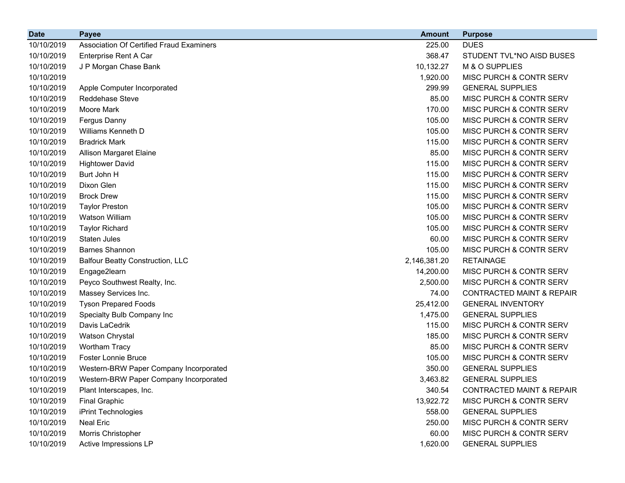| <b>Date</b> | <b>Payee</b>                             | <b>Amount</b> | <b>Purpose</b>                       |
|-------------|------------------------------------------|---------------|--------------------------------------|
| 10/10/2019  | Association Of Certified Fraud Examiners | 225.00        | <b>DUES</b>                          |
| 10/10/2019  | Enterprise Rent A Car                    | 368.47        | STUDENT TVL*NO AISD BUSES            |
| 10/10/2019  | J P Morgan Chase Bank                    | 10,132.27     | M & O SUPPLIES                       |
| 10/10/2019  |                                          | 1,920.00      | MISC PURCH & CONTR SERV              |
| 10/10/2019  | Apple Computer Incorporated              | 299.99        | <b>GENERAL SUPPLIES</b>              |
| 10/10/2019  | Reddehase Steve                          | 85.00         | MISC PURCH & CONTR SERV              |
| 10/10/2019  | Moore Mark                               | 170.00        | MISC PURCH & CONTR SERV              |
| 10/10/2019  | Fergus Danny                             | 105.00        | MISC PURCH & CONTR SERV              |
| 10/10/2019  | Williams Kenneth D                       | 105.00        | MISC PURCH & CONTR SERV              |
| 10/10/2019  | <b>Bradrick Mark</b>                     | 115.00        | MISC PURCH & CONTR SERV              |
| 10/10/2019  | Allison Margaret Elaine                  | 85.00         | MISC PURCH & CONTR SERV              |
| 10/10/2019  | <b>Hightower David</b>                   | 115.00        | MISC PURCH & CONTR SERV              |
| 10/10/2019  | Burt John H                              | 115.00        | MISC PURCH & CONTR SERV              |
| 10/10/2019  | Dixon Glen                               | 115.00        | MISC PURCH & CONTR SERV              |
| 10/10/2019  | <b>Brock Drew</b>                        | 115.00        | MISC PURCH & CONTR SERV              |
| 10/10/2019  | <b>Taylor Preston</b>                    | 105.00        | MISC PURCH & CONTR SERV              |
| 10/10/2019  | Watson William                           | 105.00        | MISC PURCH & CONTR SERV              |
| 10/10/2019  | <b>Taylor Richard</b>                    | 105.00        | MISC PURCH & CONTR SERV              |
| 10/10/2019  | Staten Jules                             | 60.00         | MISC PURCH & CONTR SERV              |
| 10/10/2019  | <b>Barnes Shannon</b>                    | 105.00        | MISC PURCH & CONTR SERV              |
| 10/10/2019  | <b>Balfour Beatty Construction, LLC</b>  | 2,146,381.20  | <b>RETAINAGE</b>                     |
| 10/10/2019  | Engage2learn                             | 14,200.00     | MISC PURCH & CONTR SERV              |
| 10/10/2019  | Peyco Southwest Realty, Inc.             | 2,500.00      | MISC PURCH & CONTR SERV              |
| 10/10/2019  | Massey Services Inc.                     | 74.00         | <b>CONTRACTED MAINT &amp; REPAIR</b> |
| 10/10/2019  | <b>Tyson Prepared Foods</b>              | 25,412.00     | <b>GENERAL INVENTORY</b>             |
| 10/10/2019  | Specialty Bulb Company Inc               | 1,475.00      | <b>GENERAL SUPPLIES</b>              |
| 10/10/2019  | Davis LaCedrik                           | 115.00        | MISC PURCH & CONTR SERV              |
| 10/10/2019  | Watson Chrystal                          | 185.00        | MISC PURCH & CONTR SERV              |
| 10/10/2019  | <b>Wortham Tracy</b>                     | 85.00         | MISC PURCH & CONTR SERV              |
| 10/10/2019  | <b>Foster Lonnie Bruce</b>               | 105.00        | MISC PURCH & CONTR SERV              |
| 10/10/2019  | Western-BRW Paper Company Incorporated   | 350.00        | <b>GENERAL SUPPLIES</b>              |
| 10/10/2019  | Western-BRW Paper Company Incorporated   | 3,463.82      | <b>GENERAL SUPPLIES</b>              |
| 10/10/2019  | Plant Interscapes, Inc.                  | 340.54        | <b>CONTRACTED MAINT &amp; REPAIR</b> |
| 10/10/2019  | <b>Final Graphic</b>                     | 13,922.72     | <b>MISC PURCH &amp; CONTR SERV</b>   |
| 10/10/2019  | iPrint Technologies                      | 558.00        | <b>GENERAL SUPPLIES</b>              |
| 10/10/2019  | <b>Neal Eric</b>                         | 250.00        | MISC PURCH & CONTR SERV              |
| 10/10/2019  | Morris Christopher                       | 60.00         | MISC PURCH & CONTR SERV              |
| 10/10/2019  | Active Impressions LP                    | 1,620.00      | <b>GENERAL SUPPLIES</b>              |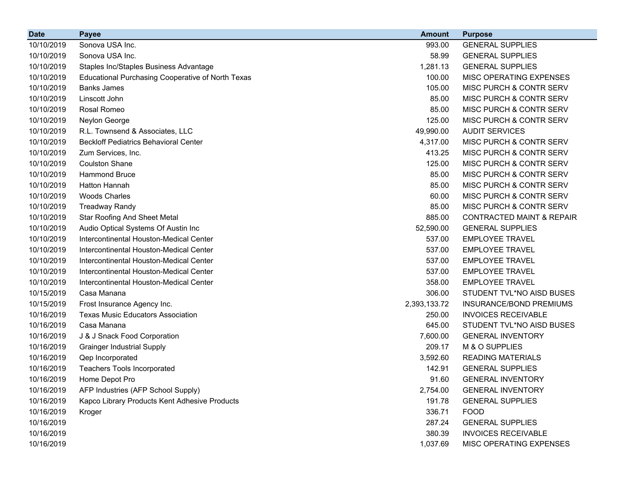| <b>Date</b> | <b>Payee</b>                                             | <b>Amount</b> | <b>Purpose</b>                       |
|-------------|----------------------------------------------------------|---------------|--------------------------------------|
| 10/10/2019  | Sonova USA Inc.                                          | 993.00        | <b>GENERAL SUPPLIES</b>              |
| 10/10/2019  | Sonova USA Inc.                                          | 58.99         | <b>GENERAL SUPPLIES</b>              |
| 10/10/2019  | Staples Inc/Staples Business Advantage                   | 1,281.13      | <b>GENERAL SUPPLIES</b>              |
| 10/10/2019  | <b>Educational Purchasing Cooperative of North Texas</b> | 100.00        | MISC OPERATING EXPENSES              |
| 10/10/2019  | <b>Banks James</b>                                       | 105.00        | MISC PURCH & CONTR SERV              |
| 10/10/2019  | Linscott John                                            | 85.00         | MISC PURCH & CONTR SERV              |
| 10/10/2019  | Rosal Romeo                                              | 85.00         | MISC PURCH & CONTR SERV              |
| 10/10/2019  | Neylon George                                            | 125.00        | MISC PURCH & CONTR SERV              |
| 10/10/2019  | R.L. Townsend & Associates, LLC                          | 49,990.00     | <b>AUDIT SERVICES</b>                |
| 10/10/2019  | <b>Beckloff Pediatrics Behavioral Center</b>             | 4,317.00      | MISC PURCH & CONTR SERV              |
| 10/10/2019  | Zum Services, Inc.                                       | 413.25        | MISC PURCH & CONTR SERV              |
| 10/10/2019  | <b>Coulston Shane</b>                                    | 125.00        | MISC PURCH & CONTR SERV              |
| 10/10/2019  | <b>Hammond Bruce</b>                                     | 85.00         | MISC PURCH & CONTR SERV              |
| 10/10/2019  | <b>Hatton Hannah</b>                                     | 85.00         | MISC PURCH & CONTR SERV              |
| 10/10/2019  | <b>Woods Charles</b>                                     | 60.00         | MISC PURCH & CONTR SERV              |
| 10/10/2019  | <b>Treadway Randy</b>                                    | 85.00         | MISC PURCH & CONTR SERV              |
| 10/10/2019  | <b>Star Roofing And Sheet Metal</b>                      | 885.00        | <b>CONTRACTED MAINT &amp; REPAIR</b> |
| 10/10/2019  | Audio Optical Systems Of Austin Inc                      | 52,590.00     | <b>GENERAL SUPPLIES</b>              |
| 10/10/2019  | Intercontinental Houston-Medical Center                  | 537.00        | <b>EMPLOYEE TRAVEL</b>               |
| 10/10/2019  | Intercontinental Houston-Medical Center                  | 537.00        | <b>EMPLOYEE TRAVEL</b>               |
| 10/10/2019  | Intercontinental Houston-Medical Center                  | 537.00        | <b>EMPLOYEE TRAVEL</b>               |
| 10/10/2019  | Intercontinental Houston-Medical Center                  | 537.00        | <b>EMPLOYEE TRAVEL</b>               |
| 10/10/2019  | Intercontinental Houston-Medical Center                  | 358.00        | <b>EMPLOYEE TRAVEL</b>               |
| 10/15/2019  | Casa Manana                                              | 306.00        | STUDENT TVL*NO AISD BUSES            |
| 10/15/2019  | Frost Insurance Agency Inc.                              | 2,393,133.72  | <b>INSURANCE/BOND PREMIUMS</b>       |
| 10/16/2019  | <b>Texas Music Educators Association</b>                 | 250.00        | <b>INVOICES RECEIVABLE</b>           |
| 10/16/2019  | Casa Manana                                              | 645.00        | STUDENT TVL*NO AISD BUSES            |
| 10/16/2019  | J & J Snack Food Corporation                             | 7,600.00      | <b>GENERAL INVENTORY</b>             |
| 10/16/2019  | <b>Grainger Industrial Supply</b>                        | 209.17        | M & O SUPPLIES                       |
| 10/16/2019  | Qep Incorporated                                         | 3,592.60      | <b>READING MATERIALS</b>             |
| 10/16/2019  | <b>Teachers Tools Incorporated</b>                       | 142.91        | <b>GENERAL SUPPLIES</b>              |
| 10/16/2019  | Home Depot Pro                                           | 91.60         | <b>GENERAL INVENTORY</b>             |
| 10/16/2019  | AFP Industries (AFP School Supply)                       | 2,754.00      | <b>GENERAL INVENTORY</b>             |
| 10/16/2019  | Kapco Library Products Kent Adhesive Products            | 191.78        | <b>GENERAL SUPPLIES</b>              |
| 10/16/2019  | Kroger                                                   | 336.71        | <b>FOOD</b>                          |
| 10/16/2019  |                                                          | 287.24        | <b>GENERAL SUPPLIES</b>              |
| 10/16/2019  |                                                          | 380.39        | <b>INVOICES RECEIVABLE</b>           |
| 10/16/2019  |                                                          | 1,037.69      | MISC OPERATING EXPENSES              |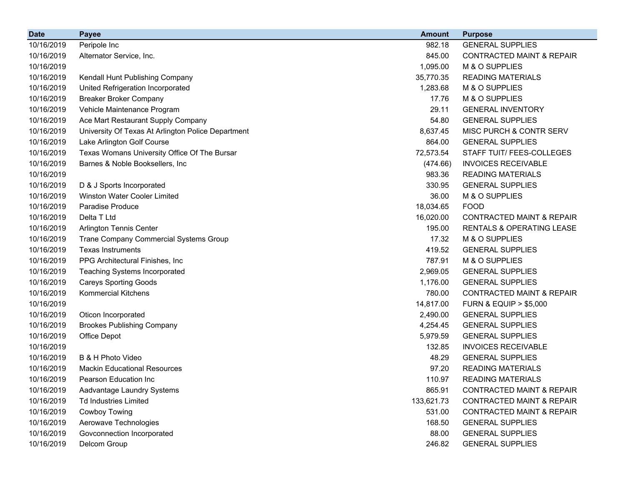| <b>Date</b> | <b>Payee</b>                                       | <b>Amount</b> | <b>Purpose</b>                       |
|-------------|----------------------------------------------------|---------------|--------------------------------------|
| 10/16/2019  | Peripole Inc                                       | 982.18        | <b>GENERAL SUPPLIES</b>              |
| 10/16/2019  | Alternator Service, Inc.                           | 845.00        | <b>CONTRACTED MAINT &amp; REPAIR</b> |
| 10/16/2019  |                                                    | 1,095.00      | M & O SUPPLIES                       |
| 10/16/2019  | Kendall Hunt Publishing Company                    | 35,770.35     | <b>READING MATERIALS</b>             |
| 10/16/2019  | United Refrigeration Incorporated                  | 1,283.68      | M & O SUPPLIES                       |
| 10/16/2019  | <b>Breaker Broker Company</b>                      | 17.76         | M & O SUPPLIES                       |
| 10/16/2019  | Vehicle Maintenance Program                        | 29.11         | <b>GENERAL INVENTORY</b>             |
| 10/16/2019  | Ace Mart Restaurant Supply Company                 | 54.80         | <b>GENERAL SUPPLIES</b>              |
| 10/16/2019  | University Of Texas At Arlington Police Department | 8,637.45      | MISC PURCH & CONTR SERV              |
| 10/16/2019  | Lake Arlington Golf Course                         | 864.00        | <b>GENERAL SUPPLIES</b>              |
| 10/16/2019  | Texas Womans University Office Of The Bursar       | 72,573.54     | STAFF TUIT/ FEES-COLLEGES            |
| 10/16/2019  | Barnes & Noble Booksellers, Inc                    | (474.66)      | <b>INVOICES RECEIVABLE</b>           |
| 10/16/2019  |                                                    | 983.36        | <b>READING MATERIALS</b>             |
| 10/16/2019  | D & J Sports Incorporated                          | 330.95        | <b>GENERAL SUPPLIES</b>              |
| 10/16/2019  | <b>Winston Water Cooler Limited</b>                | 36.00         | M & O SUPPLIES                       |
| 10/16/2019  | <b>Paradise Produce</b>                            | 18,034.65     | <b>FOOD</b>                          |
| 10/16/2019  | Delta T Ltd                                        | 16,020.00     | <b>CONTRACTED MAINT &amp; REPAIR</b> |
| 10/16/2019  | <b>Arlington Tennis Center</b>                     | 195.00        | RENTALS & OPERATING LEASE            |
| 10/16/2019  | Trane Company Commercial Systems Group             | 17.32         | M & O SUPPLIES                       |
| 10/16/2019  | <b>Texas Instruments</b>                           | 419.52        | <b>GENERAL SUPPLIES</b>              |
| 10/16/2019  | PPG Architectural Finishes, Inc                    | 787.91        | M & O SUPPLIES                       |
| 10/16/2019  | <b>Teaching Systems Incorporated</b>               | 2,969.05      | <b>GENERAL SUPPLIES</b>              |
| 10/16/2019  | <b>Careys Sporting Goods</b>                       | 1,176.00      | <b>GENERAL SUPPLIES</b>              |
| 10/16/2019  | <b>Kommercial Kitchens</b>                         | 780.00        | <b>CONTRACTED MAINT &amp; REPAIR</b> |
| 10/16/2019  |                                                    | 14,817.00     | <b>FURN &amp; EQUIP &gt; \$5,000</b> |
| 10/16/2019  | Oticon Incorporated                                | 2,490.00      | <b>GENERAL SUPPLIES</b>              |
| 10/16/2019  | <b>Brookes Publishing Company</b>                  | 4,254.45      | <b>GENERAL SUPPLIES</b>              |
| 10/16/2019  | Office Depot                                       | 5,979.59      | <b>GENERAL SUPPLIES</b>              |
| 10/16/2019  |                                                    | 132.85        | <b>INVOICES RECEIVABLE</b>           |
| 10/16/2019  | B & H Photo Video                                  | 48.29         | <b>GENERAL SUPPLIES</b>              |
| 10/16/2019  | <b>Mackin Educational Resources</b>                | 97.20         | <b>READING MATERIALS</b>             |
| 10/16/2019  | Pearson Education Inc                              | 110.97        | <b>READING MATERIALS</b>             |
| 10/16/2019  | Aadvantage Laundry Systems                         | 865.91        | <b>CONTRACTED MAINT &amp; REPAIR</b> |
| 10/16/2019  | <b>Td Industries Limited</b>                       | 133,621.73    | <b>CONTRACTED MAINT &amp; REPAIR</b> |
| 10/16/2019  | Cowboy Towing                                      | 531.00        | CONTRACTED MAINT & REPAIR            |
| 10/16/2019  | Aerowave Technologies                              | 168.50        | <b>GENERAL SUPPLIES</b>              |
| 10/16/2019  | Govconnection Incorporated                         | 88.00         | <b>GENERAL SUPPLIES</b>              |
| 10/16/2019  | Delcom Group                                       | 246.82        | <b>GENERAL SUPPLIES</b>              |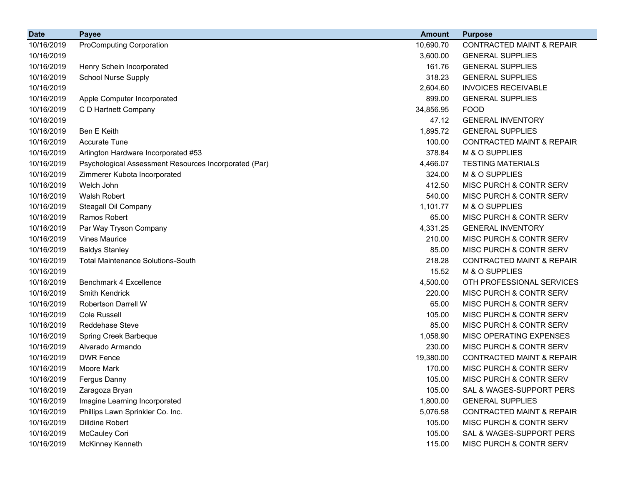| <b>Date</b> | <b>Payee</b>                                          | <b>Amount</b> | <b>Purpose</b>                       |
|-------------|-------------------------------------------------------|---------------|--------------------------------------|
| 10/16/2019  | <b>ProComputing Corporation</b>                       | 10,690.70     | <b>CONTRACTED MAINT &amp; REPAIR</b> |
| 10/16/2019  |                                                       | 3,600.00      | <b>GENERAL SUPPLIES</b>              |
| 10/16/2019  | Henry Schein Incorporated                             | 161.76        | <b>GENERAL SUPPLIES</b>              |
| 10/16/2019  | <b>School Nurse Supply</b>                            | 318.23        | <b>GENERAL SUPPLIES</b>              |
| 10/16/2019  |                                                       | 2,604.60      | <b>INVOICES RECEIVABLE</b>           |
| 10/16/2019  | Apple Computer Incorporated                           | 899.00        | <b>GENERAL SUPPLIES</b>              |
| 10/16/2019  | C D Hartnett Company                                  | 34,856.95     | <b>FOOD</b>                          |
| 10/16/2019  |                                                       | 47.12         | <b>GENERAL INVENTORY</b>             |
| 10/16/2019  | <b>Ben E Keith</b>                                    | 1,895.72      | <b>GENERAL SUPPLIES</b>              |
| 10/16/2019  | <b>Accurate Tune</b>                                  | 100.00        | <b>CONTRACTED MAINT &amp; REPAIR</b> |
| 10/16/2019  | Arlington Hardware Incorporated #53                   | 378.84        | M & O SUPPLIES                       |
| 10/16/2019  | Psychological Assessment Resources Incorporated (Par) | 4,466.07      | <b>TESTING MATERIALS</b>             |
| 10/16/2019  | Zimmerer Kubota Incorporated                          | 324.00        | M & O SUPPLIES                       |
| 10/16/2019  | Welch John                                            | 412.50        | MISC PURCH & CONTR SERV              |
| 10/16/2019  | Walsh Robert                                          | 540.00        | MISC PURCH & CONTR SERV              |
| 10/16/2019  | Steagall Oil Company                                  | 1,101.77      | M & O SUPPLIES                       |
| 10/16/2019  | Ramos Robert                                          | 65.00         | MISC PURCH & CONTR SERV              |
| 10/16/2019  | Par Way Tryson Company                                | 4,331.25      | <b>GENERAL INVENTORY</b>             |
| 10/16/2019  | <b>Vines Maurice</b>                                  | 210.00        | MISC PURCH & CONTR SERV              |
| 10/16/2019  | <b>Baldys Stanley</b>                                 | 85.00         | MISC PURCH & CONTR SERV              |
| 10/16/2019  | <b>Total Maintenance Solutions-South</b>              | 218.28        | <b>CONTRACTED MAINT &amp; REPAIR</b> |
| 10/16/2019  |                                                       | 15.52         | M & O SUPPLIES                       |
| 10/16/2019  | Benchmark 4 Excellence                                | 4,500.00      | OTH PROFESSIONAL SERVICES            |
| 10/16/2019  | <b>Smith Kendrick</b>                                 | 220.00        | MISC PURCH & CONTR SERV              |
| 10/16/2019  | <b>Robertson Darrell W</b>                            | 65.00         | MISC PURCH & CONTR SERV              |
| 10/16/2019  | <b>Cole Russell</b>                                   | 105.00        | MISC PURCH & CONTR SERV              |
| 10/16/2019  | Reddehase Steve                                       | 85.00         | MISC PURCH & CONTR SERV              |
| 10/16/2019  | Spring Creek Barbeque                                 | 1,058.90      | MISC OPERATING EXPENSES              |
| 10/16/2019  | Alvarado Armando                                      | 230.00        | MISC PURCH & CONTR SERV              |
| 10/16/2019  | <b>DWR Fence</b>                                      | 19,380.00     | <b>CONTRACTED MAINT &amp; REPAIR</b> |
| 10/16/2019  | Moore Mark                                            | 170.00        | MISC PURCH & CONTR SERV              |
| 10/16/2019  | <b>Fergus Danny</b>                                   | 105.00        | MISC PURCH & CONTR SERV              |
| 10/16/2019  | Zaragoza Bryan                                        | 105.00        | SAL & WAGES-SUPPORT PERS             |
| 10/16/2019  | Imagine Learning Incorporated                         | 1,800.00      | <b>GENERAL SUPPLIES</b>              |
| 10/16/2019  | Phillips Lawn Sprinkler Co. Inc.                      | 5,076.58      | <b>CONTRACTED MAINT &amp; REPAIR</b> |
| 10/16/2019  | Dilldine Robert                                       | 105.00        | MISC PURCH & CONTR SERV              |
| 10/16/2019  | McCauley Cori                                         | 105.00        | SAL & WAGES-SUPPORT PERS             |
| 10/16/2019  | McKinney Kenneth                                      | 115.00        | MISC PURCH & CONTR SERV              |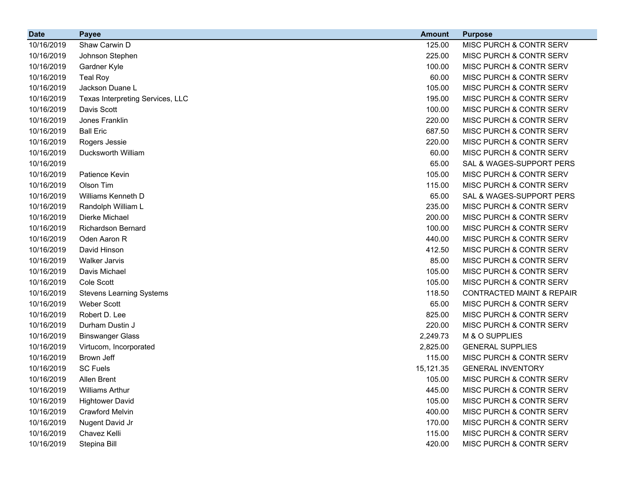| <b>Date</b> | <b>Payee</b>                     | <b>Amount</b> | <b>Purpose</b>                       |
|-------------|----------------------------------|---------------|--------------------------------------|
| 10/16/2019  | Shaw Carwin D                    | 125.00        | MISC PURCH & CONTR SERV              |
| 10/16/2019  | Johnson Stephen                  | 225.00        | MISC PURCH & CONTR SERV              |
| 10/16/2019  | Gardner Kyle                     | 100.00        | MISC PURCH & CONTR SERV              |
| 10/16/2019  | <b>Teal Roy</b>                  | 60.00         | MISC PURCH & CONTR SERV              |
| 10/16/2019  | Jackson Duane L                  | 105.00        | MISC PURCH & CONTR SERV              |
| 10/16/2019  | Texas Interpreting Services, LLC | 195.00        | MISC PURCH & CONTR SERV              |
| 10/16/2019  | Davis Scott                      | 100.00        | MISC PURCH & CONTR SERV              |
| 10/16/2019  | Jones Franklin                   | 220.00        | MISC PURCH & CONTR SERV              |
| 10/16/2019  | <b>Ball Eric</b>                 | 687.50        | MISC PURCH & CONTR SERV              |
| 10/16/2019  | Rogers Jessie                    | 220.00        | MISC PURCH & CONTR SERV              |
| 10/16/2019  | Ducksworth William               | 60.00         | MISC PURCH & CONTR SERV              |
| 10/16/2019  |                                  | 65.00         | SAL & WAGES-SUPPORT PERS             |
| 10/16/2019  | Patience Kevin                   | 105.00        | MISC PURCH & CONTR SERV              |
| 10/16/2019  | Olson Tim                        | 115.00        | MISC PURCH & CONTR SERV              |
| 10/16/2019  | Williams Kenneth D               | 65.00         | SAL & WAGES-SUPPORT PERS             |
| 10/16/2019  | Randolph William L               | 235.00        | MISC PURCH & CONTR SERV              |
| 10/16/2019  | Dierke Michael                   | 200.00        | MISC PURCH & CONTR SERV              |
| 10/16/2019  | <b>Richardson Bernard</b>        | 100.00        | MISC PURCH & CONTR SERV              |
| 10/16/2019  | Oden Aaron R                     | 440.00        | MISC PURCH & CONTR SERV              |
| 10/16/2019  | David Hinson                     | 412.50        | MISC PURCH & CONTR SERV              |
| 10/16/2019  | <b>Walker Jarvis</b>             | 85.00         | MISC PURCH & CONTR SERV              |
| 10/16/2019  | Davis Michael                    | 105.00        | MISC PURCH & CONTR SERV              |
| 10/16/2019  | Cole Scott                       | 105.00        | MISC PURCH & CONTR SERV              |
| 10/16/2019  | <b>Stevens Learning Systems</b>  | 118.50        | <b>CONTRACTED MAINT &amp; REPAIR</b> |
| 10/16/2019  | <b>Weber Scott</b>               | 65.00         | MISC PURCH & CONTR SERV              |
| 10/16/2019  | Robert D. Lee                    | 825.00        | MISC PURCH & CONTR SERV              |
| 10/16/2019  | Durham Dustin J                  | 220.00        | MISC PURCH & CONTR SERV              |
| 10/16/2019  | <b>Binswanger Glass</b>          | 2,249.73      | M & O SUPPLIES                       |
| 10/16/2019  | Virtucom, Incorporated           | 2,825.00      | <b>GENERAL SUPPLIES</b>              |
| 10/16/2019  | Brown Jeff                       | 115.00        | MISC PURCH & CONTR SERV              |
| 10/16/2019  | <b>SC Fuels</b>                  | 15,121.35     | <b>GENERAL INVENTORY</b>             |
| 10/16/2019  | Allen Brent                      | 105.00        | <b>MISC PURCH &amp; CONTR SERV</b>   |
| 10/16/2019  | <b>Williams Arthur</b>           | 445.00        | MISC PURCH & CONTR SERV              |
| 10/16/2019  | <b>Hightower David</b>           | 105.00        | MISC PURCH & CONTR SERV              |
| 10/16/2019  | <b>Crawford Melvin</b>           | 400.00        | MISC PURCH & CONTR SERV              |
| 10/16/2019  | Nugent David Jr                  | 170.00        | MISC PURCH & CONTR SERV              |
| 10/16/2019  | Chavez Kelli                     | 115.00        | MISC PURCH & CONTR SERV              |
| 10/16/2019  | Stepina Bill                     | 420.00        | MISC PURCH & CONTR SERV              |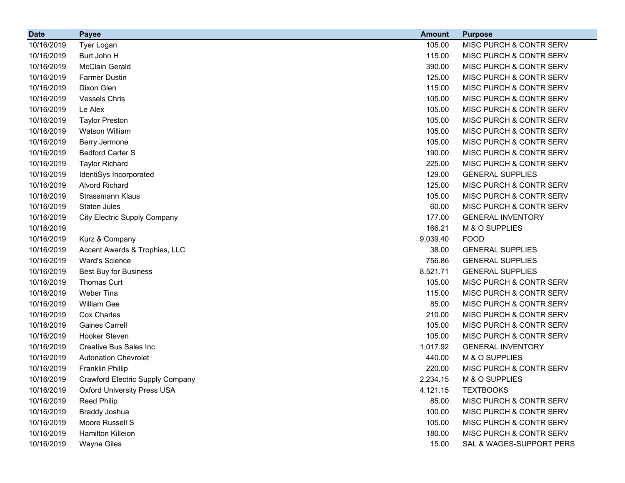| <b>Date</b> | <b>Payee</b>                            | <b>Amount</b> | <b>Purpose</b>                     |
|-------------|-----------------------------------------|---------------|------------------------------------|
| 10/16/2019  | Tyer Logan                              | 105.00        | MISC PURCH & CONTR SERV            |
| 10/16/2019  | Burt John H                             | 115.00        | MISC PURCH & CONTR SERV            |
| 10/16/2019  | <b>McClain Gerald</b>                   | 390.00        | MISC PURCH & CONTR SERV            |
| 10/16/2019  | <b>Farmer Dustin</b>                    | 125.00        | MISC PURCH & CONTR SERV            |
| 10/16/2019  | Dixon Glen                              | 115.00        | MISC PURCH & CONTR SERV            |
| 10/16/2019  | <b>Vessels Chris</b>                    | 105.00        | MISC PURCH & CONTR SERV            |
| 10/16/2019  | Le Alex                                 | 105.00        | MISC PURCH & CONTR SERV            |
| 10/16/2019  | <b>Taylor Preston</b>                   | 105.00        | MISC PURCH & CONTR SERV            |
| 10/16/2019  | <b>Watson William</b>                   | 105.00        | MISC PURCH & CONTR SERV            |
| 10/16/2019  | Berry Jermone                           | 105.00        | MISC PURCH & CONTR SERV            |
| 10/16/2019  | <b>Bedford Carter S</b>                 | 190.00        | MISC PURCH & CONTR SERV            |
| 10/16/2019  | <b>Taylor Richard</b>                   | 225.00        | MISC PURCH & CONTR SERV            |
| 10/16/2019  | IdentiSys Incorporated                  | 129.00        | <b>GENERAL SUPPLIES</b>            |
| 10/16/2019  | <b>Alvord Richard</b>                   | 125.00        | MISC PURCH & CONTR SERV            |
| 10/16/2019  | Strassmann Klaus                        | 105.00        | MISC PURCH & CONTR SERV            |
| 10/16/2019  | Staten Jules                            | 60.00         | MISC PURCH & CONTR SERV            |
| 10/16/2019  | City Electric Supply Company            | 177.00        | <b>GENERAL INVENTORY</b>           |
| 10/16/2019  |                                         | 166.21        | M & O SUPPLIES                     |
| 10/16/2019  | Kurz & Company                          | 9,039.40      | <b>FOOD</b>                        |
| 10/16/2019  | Accent Awards & Trophies, LLC           | 38.00         | <b>GENERAL SUPPLIES</b>            |
| 10/16/2019  | <b>Ward's Science</b>                   | 756.86        | <b>GENERAL SUPPLIES</b>            |
| 10/16/2019  | Best Buy for Business                   | 8,521.71      | <b>GENERAL SUPPLIES</b>            |
| 10/16/2019  | Thomas Curt                             | 105.00        | MISC PURCH & CONTR SERV            |
| 10/16/2019  | Weber Tina                              | 115.00        | MISC PURCH & CONTR SERV            |
| 10/16/2019  | William Gee                             | 85.00         | MISC PURCH & CONTR SERV            |
| 10/16/2019  | Cox Charles                             | 210.00        | MISC PURCH & CONTR SERV            |
| 10/16/2019  | <b>Gaines Carrell</b>                   | 105.00        | MISC PURCH & CONTR SERV            |
| 10/16/2019  | <b>Hooker Steven</b>                    | 105.00        | <b>MISC PURCH &amp; CONTR SERV</b> |
| 10/16/2019  | <b>Creative Bus Sales Inc</b>           | 1,017.92      | <b>GENERAL INVENTORY</b>           |
| 10/16/2019  | <b>Autonation Chevrolet</b>             | 440.00        | M & O SUPPLIES                     |
| 10/16/2019  | Franklin Phillip                        | 220.00        | MISC PURCH & CONTR SERV            |
| 10/16/2019  | <b>Crawford Electric Supply Company</b> | 2,234.15      | M & O SUPPLIES                     |
| 10/16/2019  | <b>Oxford University Press USA</b>      | 4,121.15      | <b>TEXTBOOKS</b>                   |
| 10/16/2019  | <b>Reed Philip</b>                      | 85.00         | MISC PURCH & CONTR SERV            |
| 10/16/2019  | <b>Braddy Joshua</b>                    | 100.00        | MISC PURCH & CONTR SERV            |
| 10/16/2019  | Moore Russell S                         | 105.00        | MISC PURCH & CONTR SERV            |
| 10/16/2019  | Hamilton Killeion                       | 180.00        | MISC PURCH & CONTR SERV            |
| 10/16/2019  | <b>Wayne Giles</b>                      | 15.00         | SAL & WAGES-SUPPORT PERS           |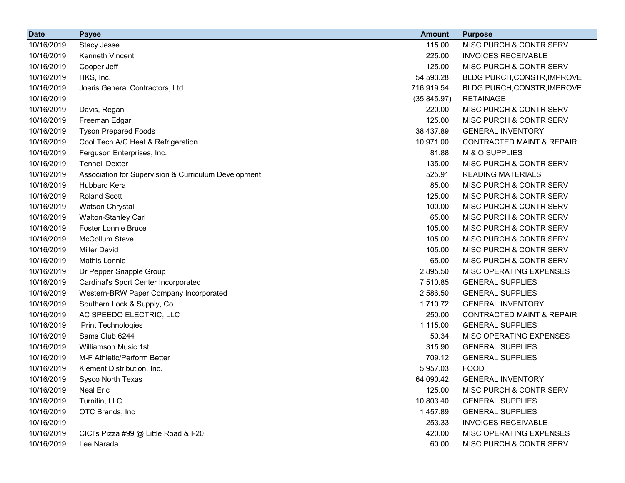| <b>Date</b> | <b>Payee</b>                                         | <b>Amount</b> | <b>Purpose</b>                       |
|-------------|------------------------------------------------------|---------------|--------------------------------------|
| 10/16/2019  | Stacy Jesse                                          | 115.00        | MISC PURCH & CONTR SERV              |
| 10/16/2019  | Kenneth Vincent                                      | 225.00        | <b>INVOICES RECEIVABLE</b>           |
| 10/16/2019  | Cooper Jeff                                          | 125.00        | MISC PURCH & CONTR SERV              |
| 10/16/2019  | HKS, Inc.                                            | 54,593.28     | BLDG PURCH, CONSTR, IMPROVE          |
| 10/16/2019  | Joeris General Contractors, Ltd.                     | 716,919.54    | BLDG PURCH, CONSTR, IMPROVE          |
| 10/16/2019  |                                                      | (35, 845.97)  | <b>RETAINAGE</b>                     |
| 10/16/2019  | Davis, Regan                                         | 220.00        | MISC PURCH & CONTR SERV              |
| 10/16/2019  | Freeman Edgar                                        | 125.00        | MISC PURCH & CONTR SERV              |
| 10/16/2019  | <b>Tyson Prepared Foods</b>                          | 38,437.89     | <b>GENERAL INVENTORY</b>             |
| 10/16/2019  | Cool Tech A/C Heat & Refrigeration                   | 10,971.00     | <b>CONTRACTED MAINT &amp; REPAIR</b> |
| 10/16/2019  | Ferguson Enterprises, Inc.                           | 81.88         | M & O SUPPLIES                       |
| 10/16/2019  | <b>Tennell Dexter</b>                                | 135.00        | MISC PURCH & CONTR SERV              |
| 10/16/2019  | Association for Supervision & Curriculum Development | 525.91        | <b>READING MATERIALS</b>             |
| 10/16/2019  | <b>Hubbard Kera</b>                                  | 85.00         | MISC PURCH & CONTR SERV              |
| 10/16/2019  | <b>Roland Scott</b>                                  | 125.00        | MISC PURCH & CONTR SERV              |
| 10/16/2019  | Watson Chrystal                                      | 100.00        | MISC PURCH & CONTR SERV              |
| 10/16/2019  | Walton-Stanley Carl                                  | 65.00         | MISC PURCH & CONTR SERV              |
| 10/16/2019  | <b>Foster Lonnie Bruce</b>                           | 105.00        | MISC PURCH & CONTR SERV              |
| 10/16/2019  | McCollum Steve                                       | 105.00        | MISC PURCH & CONTR SERV              |
| 10/16/2019  | <b>Miller David</b>                                  | 105.00        | MISC PURCH & CONTR SERV              |
| 10/16/2019  | Mathis Lonnie                                        | 65.00         | MISC PURCH & CONTR SERV              |
| 10/16/2019  | Dr Pepper Snapple Group                              | 2,895.50      | MISC OPERATING EXPENSES              |
| 10/16/2019  | Cardinal's Sport Center Incorporated                 | 7,510.85      | <b>GENERAL SUPPLIES</b>              |
| 10/16/2019  | Western-BRW Paper Company Incorporated               | 2,586.50      | <b>GENERAL SUPPLIES</b>              |
| 10/16/2019  | Southern Lock & Supply, Co                           | 1,710.72      | <b>GENERAL INVENTORY</b>             |
| 10/16/2019  | AC SPEEDO ELECTRIC, LLC                              | 250.00        | <b>CONTRACTED MAINT &amp; REPAIR</b> |
| 10/16/2019  | iPrint Technologies                                  | 1,115.00      | <b>GENERAL SUPPLIES</b>              |
| 10/16/2019  | Sams Club 6244                                       | 50.34         | MISC OPERATING EXPENSES              |
| 10/16/2019  | <b>Williamson Music 1st</b>                          | 315.90        | <b>GENERAL SUPPLIES</b>              |
| 10/16/2019  | M-F Athletic/Perform Better                          | 709.12        | <b>GENERAL SUPPLIES</b>              |
| 10/16/2019  | Klement Distribution, Inc.                           | 5,957.03      | <b>FOOD</b>                          |
| 10/16/2019  | Sysco North Texas                                    | 64,090.42     | <b>GENERAL INVENTORY</b>             |
| 10/16/2019  | Neal Eric                                            | 125.00        | MISC PURCH & CONTR SERV              |
| 10/16/2019  | Turnitin, LLC                                        | 10,803.40     | <b>GENERAL SUPPLIES</b>              |
| 10/16/2019  | OTC Brands, Inc                                      | 1,457.89      | <b>GENERAL SUPPLIES</b>              |
| 10/16/2019  |                                                      | 253.33        | <b>INVOICES RECEIVABLE</b>           |
| 10/16/2019  | CICI's Pizza #99 @ Little Road & I-20                | 420.00        | MISC OPERATING EXPENSES              |
| 10/16/2019  | Lee Narada                                           | 60.00         | MISC PURCH & CONTR SERV              |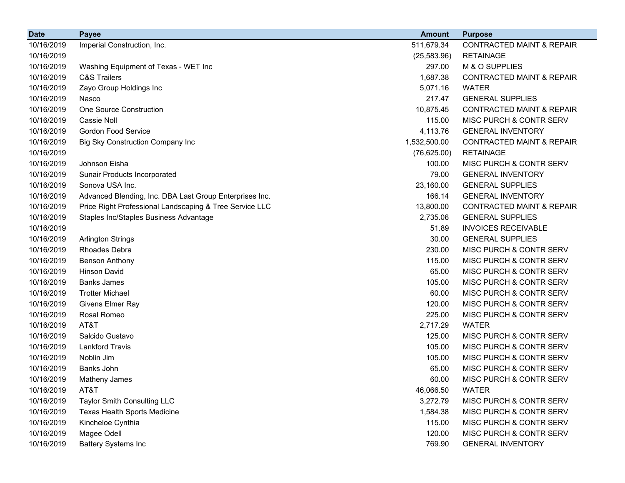| <b>Date</b> | <b>Payee</b>                                            | <b>Amount</b> | <b>Purpose</b>                       |
|-------------|---------------------------------------------------------|---------------|--------------------------------------|
| 10/16/2019  | Imperial Construction, Inc.                             | 511,679.34    | <b>CONTRACTED MAINT &amp; REPAIR</b> |
| 10/16/2019  |                                                         | (25, 583.96)  | <b>RETAINAGE</b>                     |
| 10/16/2019  | Washing Equipment of Texas - WET Inc                    | 297.00        | M & O SUPPLIES                       |
| 10/16/2019  | <b>C&amp;S Trailers</b>                                 | 1,687.38      | <b>CONTRACTED MAINT &amp; REPAIR</b> |
| 10/16/2019  | Zayo Group Holdings Inc                                 | 5,071.16      | <b>WATER</b>                         |
| 10/16/2019  | Nasco                                                   | 217.47        | <b>GENERAL SUPPLIES</b>              |
| 10/16/2019  | <b>One Source Construction</b>                          | 10,875.45     | <b>CONTRACTED MAINT &amp; REPAIR</b> |
| 10/16/2019  | Cassie Noll                                             | 115.00        | MISC PURCH & CONTR SERV              |
| 10/16/2019  | <b>Gordon Food Service</b>                              | 4,113.76      | <b>GENERAL INVENTORY</b>             |
| 10/16/2019  | Big Sky Construction Company Inc                        | 1,532,500.00  | <b>CONTRACTED MAINT &amp; REPAIR</b> |
| 10/16/2019  |                                                         | (76, 625.00)  | <b>RETAINAGE</b>                     |
| 10/16/2019  | Johnson Eisha                                           | 100.00        | MISC PURCH & CONTR SERV              |
| 10/16/2019  | Sunair Products Incorporated                            | 79.00         | <b>GENERAL INVENTORY</b>             |
| 10/16/2019  | Sonova USA Inc.                                         | 23,160.00     | <b>GENERAL SUPPLIES</b>              |
| 10/16/2019  | Advanced Blending, Inc. DBA Last Group Enterprises Inc. | 166.14        | <b>GENERAL INVENTORY</b>             |
| 10/16/2019  | Price Right Professional Landscaping & Tree Service LLC | 13,800.00     | <b>CONTRACTED MAINT &amp; REPAIR</b> |
| 10/16/2019  | Staples Inc/Staples Business Advantage                  | 2,735.06      | <b>GENERAL SUPPLIES</b>              |
| 10/16/2019  |                                                         | 51.89         | <b>INVOICES RECEIVABLE</b>           |
| 10/16/2019  | <b>Arlington Strings</b>                                | 30.00         | <b>GENERAL SUPPLIES</b>              |
| 10/16/2019  | Rhoades Debra                                           | 230.00        | MISC PURCH & CONTR SERV              |
| 10/16/2019  | <b>Benson Anthony</b>                                   | 115.00        | <b>MISC PURCH &amp; CONTR SERV</b>   |
| 10/16/2019  | <b>Hinson David</b>                                     | 65.00         | MISC PURCH & CONTR SERV              |
| 10/16/2019  | <b>Banks James</b>                                      | 105.00        | MISC PURCH & CONTR SERV              |
| 10/16/2019  | <b>Trotter Michael</b>                                  | 60.00         | MISC PURCH & CONTR SERV              |
| 10/16/2019  | Givens Elmer Ray                                        | 120.00        | MISC PURCH & CONTR SERV              |
| 10/16/2019  | Rosal Romeo                                             | 225.00        | MISC PURCH & CONTR SERV              |
| 10/16/2019  | AT&T                                                    | 2,717.29      | <b>WATER</b>                         |
| 10/16/2019  | Salcido Gustavo                                         | 125.00        | MISC PURCH & CONTR SERV              |
| 10/16/2019  | <b>Lankford Travis</b>                                  | 105.00        | MISC PURCH & CONTR SERV              |
| 10/16/2019  | Noblin Jim                                              | 105.00        | MISC PURCH & CONTR SERV              |
| 10/16/2019  | Banks John                                              | 65.00         | MISC PURCH & CONTR SERV              |
| 10/16/2019  | Matheny James                                           | 60.00         | MISC PURCH & CONTR SERV              |
| 10/16/2019  | AT&T                                                    | 46,066.50     | <b>WATER</b>                         |
| 10/16/2019  | Taylor Smith Consulting LLC                             | 3,272.79      | MISC PURCH & CONTR SERV              |
| 10/16/2019  | <b>Texas Health Sports Medicine</b>                     | 1,584.38      | MISC PURCH & CONTR SERV              |
| 10/16/2019  | Kincheloe Cynthia                                       | 115.00        | MISC PURCH & CONTR SERV              |
| 10/16/2019  | Magee Odell                                             | 120.00        | MISC PURCH & CONTR SERV              |
| 10/16/2019  | <b>Battery Systems Inc</b>                              | 769.90        | <b>GENERAL INVENTORY</b>             |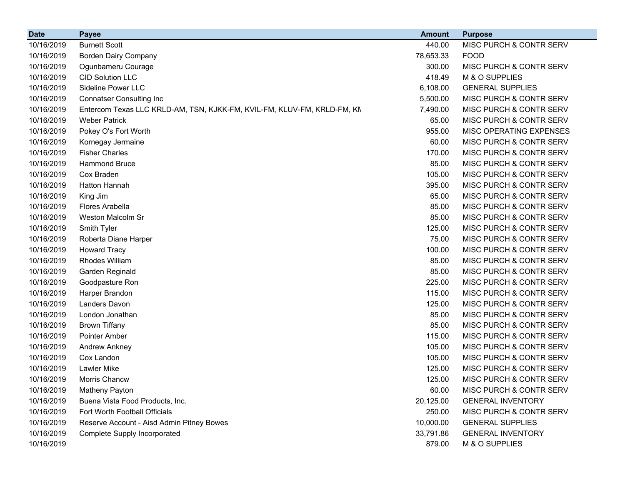| <b>Date</b> | <b>Payee</b>                                                            | <b>Amount</b> | <b>Purpose</b>                     |
|-------------|-------------------------------------------------------------------------|---------------|------------------------------------|
| 10/16/2019  | <b>Burnett Scott</b>                                                    | 440.00        | MISC PURCH & CONTR SERV            |
| 10/16/2019  | Borden Dairy Company                                                    | 78,653.33     | <b>FOOD</b>                        |
| 10/16/2019  | Ogunbameru Courage                                                      | 300.00        | MISC PURCH & CONTR SERV            |
| 10/16/2019  | <b>CID Solution LLC</b>                                                 | 418.49        | M & O SUPPLIES                     |
| 10/16/2019  | Sideline Power LLC                                                      | 6,108.00      | <b>GENERAL SUPPLIES</b>            |
| 10/16/2019  | <b>Connatser Consulting Inc</b>                                         | 5,500.00      | MISC PURCH & CONTR SERV            |
| 10/16/2019  | Entercom Texas LLC KRLD-AM, TSN, KJKK-FM, KVIL-FM, KLUV-FM, KRLD-FM, KN | 7,490.00      | MISC PURCH & CONTR SERV            |
| 10/16/2019  | <b>Weber Patrick</b>                                                    | 65.00         | MISC PURCH & CONTR SERV            |
| 10/16/2019  | Pokey O's Fort Worth                                                    | 955.00        | MISC OPERATING EXPENSES            |
| 10/16/2019  | Kornegay Jermaine                                                       | 60.00         | MISC PURCH & CONTR SERV            |
| 10/16/2019  | <b>Fisher Charles</b>                                                   | 170.00        | MISC PURCH & CONTR SERV            |
| 10/16/2019  | <b>Hammond Bruce</b>                                                    | 85.00         | MISC PURCH & CONTR SERV            |
| 10/16/2019  | Cox Braden                                                              | 105.00        | MISC PURCH & CONTR SERV            |
| 10/16/2019  | Hatton Hannah                                                           | 395.00        | MISC PURCH & CONTR SERV            |
| 10/16/2019  | King Jim                                                                | 65.00         | MISC PURCH & CONTR SERV            |
| 10/16/2019  | Flores Arabella                                                         | 85.00         | MISC PURCH & CONTR SERV            |
| 10/16/2019  | Weston Malcolm Sr                                                       | 85.00         | MISC PURCH & CONTR SERV            |
| 10/16/2019  | Smith Tyler                                                             | 125.00        | MISC PURCH & CONTR SERV            |
| 10/16/2019  | Roberta Diane Harper                                                    | 75.00         | MISC PURCH & CONTR SERV            |
| 10/16/2019  | <b>Howard Tracy</b>                                                     | 100.00        | MISC PURCH & CONTR SERV            |
| 10/16/2019  | Rhodes William                                                          | 85.00         | MISC PURCH & CONTR SERV            |
| 10/16/2019  | Garden Reginald                                                         | 85.00         | MISC PURCH & CONTR SERV            |
| 10/16/2019  | Goodpasture Ron                                                         | 225.00        | MISC PURCH & CONTR SERV            |
| 10/16/2019  | Harper Brandon                                                          | 115.00        | MISC PURCH & CONTR SERV            |
| 10/16/2019  | Landers Davon                                                           | 125.00        | MISC PURCH & CONTR SERV            |
| 10/16/2019  | London Jonathan                                                         | 85.00         | MISC PURCH & CONTR SERV            |
| 10/16/2019  | <b>Brown Tiffany</b>                                                    | 85.00         | MISC PURCH & CONTR SERV            |
| 10/16/2019  | <b>Pointer Amber</b>                                                    | 115.00        | MISC PURCH & CONTR SERV            |
| 10/16/2019  | <b>Andrew Ankney</b>                                                    | 105.00        | MISC PURCH & CONTR SERV            |
| 10/16/2019  | Cox Landon                                                              | 105.00        | <b>MISC PURCH &amp; CONTR SERV</b> |
| 10/16/2019  | <b>Lawler Mike</b>                                                      | 125.00        | MISC PURCH & CONTR SERV            |
| 10/16/2019  | Morris Chancw                                                           | 125.00        | MISC PURCH & CONTR SERV            |
| 10/16/2019  | Matheny Payton                                                          | 60.00         | MISC PURCH & CONTR SERV            |
| 10/16/2019  | Buena Vista Food Products, Inc.                                         | 20,125.00     | <b>GENERAL INVENTORY</b>           |
| 10/16/2019  | Fort Worth Football Officials                                           | 250.00        | MISC PURCH & CONTR SERV            |
| 10/16/2019  | Reserve Account - Aisd Admin Pitney Bowes                               | 10,000.00     | <b>GENERAL SUPPLIES</b>            |
| 10/16/2019  | Complete Supply Incorporated                                            | 33,791.86     | <b>GENERAL INVENTORY</b>           |
| 10/16/2019  |                                                                         | 879.00        | M & O SUPPLIES                     |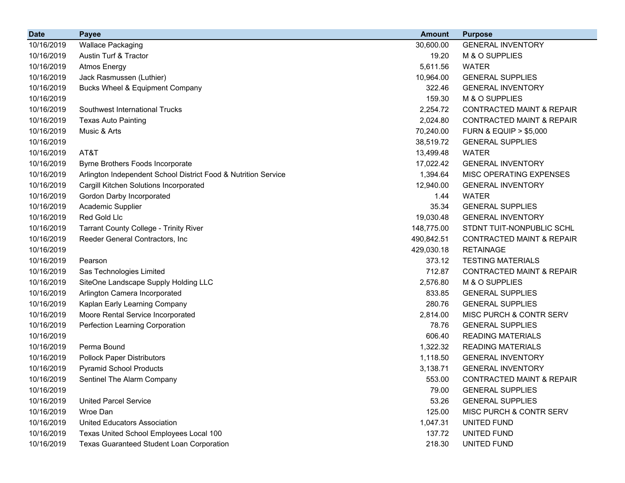| <b>Date</b> | <b>Payee</b>                                                   | <b>Amount</b> | <b>Purpose</b>                       |
|-------------|----------------------------------------------------------------|---------------|--------------------------------------|
| 10/16/2019  | <b>Wallace Packaging</b>                                       | 30,600.00     | <b>GENERAL INVENTORY</b>             |
| 10/16/2019  | Austin Turf & Tractor                                          | 19.20         | M & O SUPPLIES                       |
| 10/16/2019  | <b>Atmos Energy</b>                                            | 5,611.56      | <b>WATER</b>                         |
| 10/16/2019  | Jack Rasmussen (Luthier)                                       | 10,964.00     | <b>GENERAL SUPPLIES</b>              |
| 10/16/2019  | <b>Bucks Wheel &amp; Equipment Company</b>                     | 322.46        | <b>GENERAL INVENTORY</b>             |
| 10/16/2019  |                                                                | 159.30        | M & O SUPPLIES                       |
| 10/16/2019  | Southwest International Trucks                                 | 2,254.72      | <b>CONTRACTED MAINT &amp; REPAIR</b> |
| 10/16/2019  | <b>Texas Auto Painting</b>                                     | 2,024.80      | <b>CONTRACTED MAINT &amp; REPAIR</b> |
| 10/16/2019  | Music & Arts                                                   | 70,240.00     | <b>FURN &amp; EQUIP &gt; \$5,000</b> |
| 10/16/2019  |                                                                | 38,519.72     | <b>GENERAL SUPPLIES</b>              |
| 10/16/2019  | AT&T                                                           | 13,499.48     | <b>WATER</b>                         |
| 10/16/2019  | Byrne Brothers Foods Incorporate                               | 17,022.42     | <b>GENERAL INVENTORY</b>             |
| 10/16/2019  | Arlington Independent School District Food & Nutrition Service | 1,394.64      | MISC OPERATING EXPENSES              |
| 10/16/2019  | Cargill Kitchen Solutions Incorporated                         | 12,940.00     | <b>GENERAL INVENTORY</b>             |
| 10/16/2019  | Gordon Darby Incorporated                                      | 1.44          | <b>WATER</b>                         |
| 10/16/2019  | Academic Supplier                                              | 35.34         | <b>GENERAL SUPPLIES</b>              |
| 10/16/2019  | Red Gold Llc                                                   | 19,030.48     | <b>GENERAL INVENTORY</b>             |
| 10/16/2019  | Tarrant County College - Trinity River                         | 148,775.00    | STDNT TUIT-NONPUBLIC SCHL            |
| 10/16/2019  | Reeder General Contractors, Inc                                | 490,842.51    | <b>CONTRACTED MAINT &amp; REPAIR</b> |
| 10/16/2019  |                                                                | 429,030.18    | <b>RETAINAGE</b>                     |
| 10/16/2019  | Pearson                                                        | 373.12        | <b>TESTING MATERIALS</b>             |
| 10/16/2019  | Sas Technologies Limited                                       | 712.87        | <b>CONTRACTED MAINT &amp; REPAIR</b> |
| 10/16/2019  | SiteOne Landscape Supply Holding LLC                           | 2,576.80      | M & O SUPPLIES                       |
| 10/16/2019  | Arlington Camera Incorporated                                  | 833.85        | <b>GENERAL SUPPLIES</b>              |
| 10/16/2019  | Kaplan Early Learning Company                                  | 280.76        | <b>GENERAL SUPPLIES</b>              |
| 10/16/2019  | Moore Rental Service Incorporated                              | 2,814.00      | MISC PURCH & CONTR SERV              |
| 10/16/2019  | Perfection Learning Corporation                                | 78.76         | <b>GENERAL SUPPLIES</b>              |
| 10/16/2019  |                                                                | 606.40        | <b>READING MATERIALS</b>             |
| 10/16/2019  | Perma Bound                                                    | 1,322.32      | <b>READING MATERIALS</b>             |
| 10/16/2019  | <b>Pollock Paper Distributors</b>                              | 1,118.50      | <b>GENERAL INVENTORY</b>             |
| 10/16/2019  | <b>Pyramid School Products</b>                                 | 3,138.71      | <b>GENERAL INVENTORY</b>             |
| 10/16/2019  | Sentinel The Alarm Company                                     | 553.00        | <b>CONTRACTED MAINT &amp; REPAIR</b> |
| 10/16/2019  |                                                                | 79.00         | <b>GENERAL SUPPLIES</b>              |
| 10/16/2019  | <b>United Parcel Service</b>                                   | 53.26         | <b>GENERAL SUPPLIES</b>              |
| 10/16/2019  | Wroe Dan                                                       | 125.00        | MISC PURCH & CONTR SERV              |
| 10/16/2019  | United Educators Association                                   | 1,047.31      | UNITED FUND                          |
| 10/16/2019  | Texas United School Employees Local 100                        | 137.72        | UNITED FUND                          |
| 10/16/2019  | Texas Guaranteed Student Loan Corporation                      | 218.30        | UNITED FUND                          |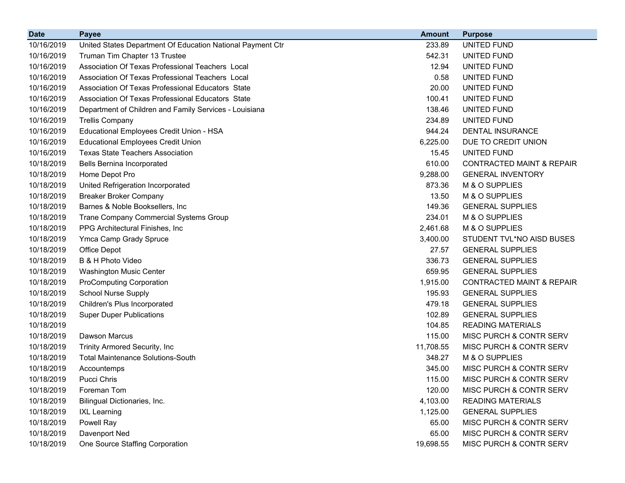| <b>Date</b> | <b>Payee</b>                                               | <b>Amount</b> | <b>Purpose</b>                       |
|-------------|------------------------------------------------------------|---------------|--------------------------------------|
| 10/16/2019  | United States Department Of Education National Payment Ctr | 233.89        | UNITED FUND                          |
| 10/16/2019  | Truman Tim Chapter 13 Trustee                              | 542.31        | UNITED FUND                          |
| 10/16/2019  | Association Of Texas Professional Teachers Local           | 12.94         | UNITED FUND                          |
| 10/16/2019  | Association Of Texas Professional Teachers Local           | 0.58          | UNITED FUND                          |
| 10/16/2019  | Association Of Texas Professional Educators State          | 20.00         | UNITED FUND                          |
| 10/16/2019  | Association Of Texas Professional Educators State          | 100.41        | UNITED FUND                          |
| 10/16/2019  | Department of Children and Family Services - Louisiana     | 138.46        | UNITED FUND                          |
| 10/16/2019  | <b>Trellis Company</b>                                     | 234.89        | UNITED FUND                          |
| 10/16/2019  | Educational Employees Credit Union - HSA                   | 944.24        | <b>DENTAL INSURANCE</b>              |
| 10/16/2019  | <b>Educational Employees Credit Union</b>                  | 6,225.00      | DUE TO CREDIT UNION                  |
| 10/16/2019  | <b>Texas State Teachers Association</b>                    | 15.45         | UNITED FUND                          |
| 10/18/2019  | Bells Bernina Incorporated                                 | 610.00        | <b>CONTRACTED MAINT &amp; REPAIR</b> |
| 10/18/2019  | Home Depot Pro                                             | 9,288.00      | <b>GENERAL INVENTORY</b>             |
| 10/18/2019  | United Refrigeration Incorporated                          | 873.36        | M & O SUPPLIES                       |
| 10/18/2019  | <b>Breaker Broker Company</b>                              | 13.50         | M & O SUPPLIES                       |
| 10/18/2019  | Barnes & Noble Booksellers, Inc                            | 149.36        | <b>GENERAL SUPPLIES</b>              |
| 10/18/2019  | <b>Trane Company Commercial Systems Group</b>              | 234.01        | M & O SUPPLIES                       |
| 10/18/2019  | PPG Architectural Finishes, Inc.                           | 2,461.68      | M & O SUPPLIES                       |
| 10/18/2019  | Ymca Camp Grady Spruce                                     | 3,400.00      | STUDENT TVL*NO AISD BUSES            |
| 10/18/2019  | Office Depot                                               | 27.57         | <b>GENERAL SUPPLIES</b>              |
| 10/18/2019  | B & H Photo Video                                          | 336.73        | <b>GENERAL SUPPLIES</b>              |
| 10/18/2019  | Washington Music Center                                    | 659.95        | <b>GENERAL SUPPLIES</b>              |
| 10/18/2019  | <b>ProComputing Corporation</b>                            | 1,915.00      | <b>CONTRACTED MAINT &amp; REPAIR</b> |
| 10/18/2019  | <b>School Nurse Supply</b>                                 | 195.93        | <b>GENERAL SUPPLIES</b>              |
| 10/18/2019  | Children's Plus Incorporated                               | 479.18        | <b>GENERAL SUPPLIES</b>              |
| 10/18/2019  | <b>Super Duper Publications</b>                            | 102.89        | <b>GENERAL SUPPLIES</b>              |
| 10/18/2019  |                                                            | 104.85        | <b>READING MATERIALS</b>             |
| 10/18/2019  | Dawson Marcus                                              | 115.00        | MISC PURCH & CONTR SERV              |
| 10/18/2019  | Trinity Armored Security, Inc                              | 11,708.55     | MISC PURCH & CONTR SERV              |
| 10/18/2019  | <b>Total Maintenance Solutions-South</b>                   | 348.27        | M & O SUPPLIES                       |
| 10/18/2019  | Accountemps                                                | 345.00        | MISC PURCH & CONTR SERV              |
| 10/18/2019  | <b>Pucci Chris</b>                                         | 115.00        | MISC PURCH & CONTR SERV              |
| 10/18/2019  | Foreman Tom                                                | 120.00        | MISC PURCH & CONTR SERV              |
| 10/18/2019  | Bilingual Dictionaries, Inc.                               | 4,103.00      | <b>READING MATERIALS</b>             |
| 10/18/2019  | <b>IXL Learning</b>                                        | 1,125.00      | <b>GENERAL SUPPLIES</b>              |
| 10/18/2019  | Powell Ray                                                 | 65.00         | MISC PURCH & CONTR SERV              |
| 10/18/2019  | Davenport Ned                                              | 65.00         | MISC PURCH & CONTR SERV              |
| 10/18/2019  | One Source Staffing Corporation                            | 19,698.55     | MISC PURCH & CONTR SERV              |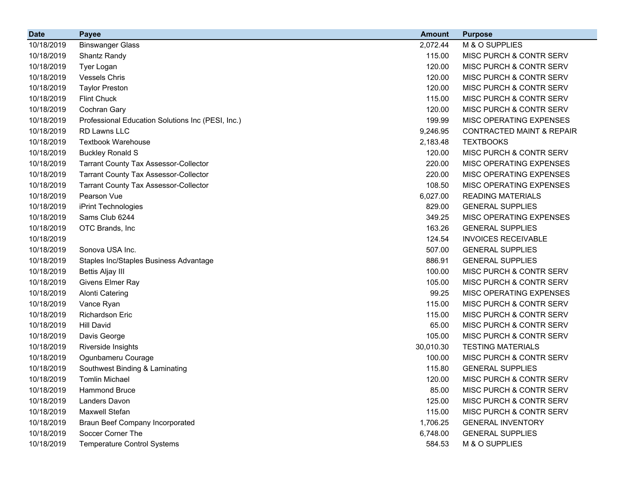| <b>Date</b> | <b>Payee</b>                                      | <b>Amount</b> | <b>Purpose</b>                       |
|-------------|---------------------------------------------------|---------------|--------------------------------------|
| 10/18/2019  | <b>Binswanger Glass</b>                           | 2,072.44      | M & O SUPPLIES                       |
| 10/18/2019  | <b>Shantz Randy</b>                               | 115.00        | MISC PURCH & CONTR SERV              |
| 10/18/2019  | Tyer Logan                                        | 120.00        | MISC PURCH & CONTR SERV              |
| 10/18/2019  | <b>Vessels Chris</b>                              | 120.00        | MISC PURCH & CONTR SERV              |
| 10/18/2019  | <b>Taylor Preston</b>                             | 120.00        | MISC PURCH & CONTR SERV              |
| 10/18/2019  | <b>Flint Chuck</b>                                | 115.00        | MISC PURCH & CONTR SERV              |
| 10/18/2019  | Cochran Gary                                      | 120.00        | MISC PURCH & CONTR SERV              |
| 10/18/2019  | Professional Education Solutions Inc (PESI, Inc.) | 199.99        | MISC OPERATING EXPENSES              |
| 10/18/2019  | RD Lawns LLC                                      | 9,246.95      | <b>CONTRACTED MAINT &amp; REPAIR</b> |
| 10/18/2019  | <b>Textbook Warehouse</b>                         | 2,183.48      | <b>TEXTBOOKS</b>                     |
| 10/18/2019  | <b>Buckley Ronald S</b>                           | 120.00        | MISC PURCH & CONTR SERV              |
| 10/18/2019  | <b>Tarrant County Tax Assessor-Collector</b>      | 220.00        | MISC OPERATING EXPENSES              |
| 10/18/2019  | <b>Tarrant County Tax Assessor-Collector</b>      | 220.00        | MISC OPERATING EXPENSES              |
| 10/18/2019  | <b>Tarrant County Tax Assessor-Collector</b>      | 108.50        | MISC OPERATING EXPENSES              |
| 10/18/2019  | Pearson Vue                                       | 6,027.00      | <b>READING MATERIALS</b>             |
| 10/18/2019  | iPrint Technologies                               | 829.00        | <b>GENERAL SUPPLIES</b>              |
| 10/18/2019  | Sams Club 6244                                    | 349.25        | MISC OPERATING EXPENSES              |
| 10/18/2019  | OTC Brands, Inc                                   | 163.26        | <b>GENERAL SUPPLIES</b>              |
| 10/18/2019  |                                                   | 124.54        | <b>INVOICES RECEIVABLE</b>           |
| 10/18/2019  | Sonova USA Inc.                                   | 507.00        | <b>GENERAL SUPPLIES</b>              |
| 10/18/2019  | Staples Inc/Staples Business Advantage            | 886.91        | <b>GENERAL SUPPLIES</b>              |
| 10/18/2019  | Bettis Aljay III                                  | 100.00        | MISC PURCH & CONTR SERV              |
| 10/18/2019  | Givens Elmer Ray                                  | 105.00        | MISC PURCH & CONTR SERV              |
| 10/18/2019  | <b>Alonti Catering</b>                            | 99.25         | MISC OPERATING EXPENSES              |
| 10/18/2019  | Vance Ryan                                        | 115.00        | MISC PURCH & CONTR SERV              |
| 10/18/2019  | <b>Richardson Eric</b>                            | 115.00        | MISC PURCH & CONTR SERV              |
| 10/18/2019  | <b>Hill David</b>                                 | 65.00         | MISC PURCH & CONTR SERV              |
| 10/18/2019  | Davis George                                      | 105.00        | MISC PURCH & CONTR SERV              |
| 10/18/2019  | Riverside Insights                                | 30,010.30     | <b>TESTING MATERIALS</b>             |
| 10/18/2019  | Ogunbameru Courage                                | 100.00        | MISC PURCH & CONTR SERV              |
| 10/18/2019  | Southwest Binding & Laminating                    | 115.80        | <b>GENERAL SUPPLIES</b>              |
| 10/18/2019  | <b>Tomlin Michael</b>                             | 120.00        | MISC PURCH & CONTR SERV              |
| 10/18/2019  | Hammond Bruce                                     | 85.00         | MISC PURCH & CONTR SERV              |
| 10/18/2019  | <b>Landers Davon</b>                              | 125.00        | MISC PURCH & CONTR SERV              |
| 10/18/2019  | <b>Maxwell Stefan</b>                             | 115.00        | MISC PURCH & CONTR SERV              |
| 10/18/2019  | <b>Braun Beef Company Incorporated</b>            | 1,706.25      | <b>GENERAL INVENTORY</b>             |
| 10/18/2019  | Soccer Corner The                                 | 6,748.00      | <b>GENERAL SUPPLIES</b>              |
| 10/18/2019  | <b>Temperature Control Systems</b>                | 584.53        | M & O SUPPLIES                       |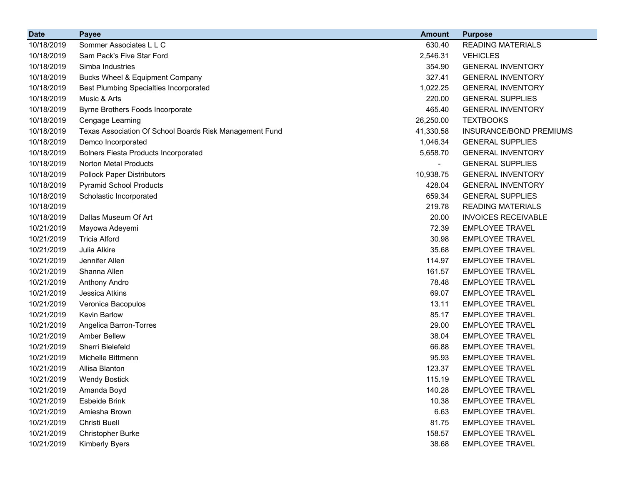| <b>Date</b> | <b>Payee</b>                                            | <b>Amount</b>  | <b>Purpose</b>             |
|-------------|---------------------------------------------------------|----------------|----------------------------|
| 10/18/2019  | Sommer Associates L L C                                 | 630.40         | <b>READING MATERIALS</b>   |
| 10/18/2019  | Sam Pack's Five Star Ford                               | 2,546.31       | <b>VEHICLES</b>            |
| 10/18/2019  | Simba Industries                                        | 354.90         | <b>GENERAL INVENTORY</b>   |
| 10/18/2019  | Bucks Wheel & Equipment Company                         | 327.41         | <b>GENERAL INVENTORY</b>   |
| 10/18/2019  | <b>Best Plumbing Specialties Incorporated</b>           | 1,022.25       | <b>GENERAL INVENTORY</b>   |
| 10/18/2019  | Music & Arts                                            | 220.00         | <b>GENERAL SUPPLIES</b>    |
| 10/18/2019  | Byrne Brothers Foods Incorporate                        | 465.40         | <b>GENERAL INVENTORY</b>   |
| 10/18/2019  | Cengage Learning                                        | 26,250.00      | <b>TEXTBOOKS</b>           |
| 10/18/2019  | Texas Association Of School Boards Risk Management Fund | 41,330.58      | INSURANCE/BOND PREMIUMS    |
| 10/18/2019  | Demco Incorporated                                      | 1,046.34       | <b>GENERAL SUPPLIES</b>    |
| 10/18/2019  | <b>Bolners Fiesta Products Incorporated</b>             | 5,658.70       | <b>GENERAL INVENTORY</b>   |
| 10/18/2019  | Norton Metal Products                                   | $\blacksquare$ | <b>GENERAL SUPPLIES</b>    |
| 10/18/2019  | <b>Pollock Paper Distributors</b>                       | 10,938.75      | <b>GENERAL INVENTORY</b>   |
| 10/18/2019  | <b>Pyramid School Products</b>                          | 428.04         | <b>GENERAL INVENTORY</b>   |
| 10/18/2019  | Scholastic Incorporated                                 | 659.34         | <b>GENERAL SUPPLIES</b>    |
| 10/18/2019  |                                                         | 219.78         | <b>READING MATERIALS</b>   |
| 10/18/2019  | Dallas Museum Of Art                                    | 20.00          | <b>INVOICES RECEIVABLE</b> |
| 10/21/2019  | Mayowa Adeyemi                                          | 72.39          | <b>EMPLOYEE TRAVEL</b>     |
| 10/21/2019  | <b>Tricia Alford</b>                                    | 30.98          | <b>EMPLOYEE TRAVEL</b>     |
| 10/21/2019  | Julia Alkire                                            | 35.68          | <b>EMPLOYEE TRAVEL</b>     |
| 10/21/2019  | Jennifer Allen                                          | 114.97         | <b>EMPLOYEE TRAVEL</b>     |
| 10/21/2019  | Shanna Allen                                            | 161.57         | <b>EMPLOYEE TRAVEL</b>     |
| 10/21/2019  | <b>Anthony Andro</b>                                    | 78.48          | <b>EMPLOYEE TRAVEL</b>     |
| 10/21/2019  | Jessica Atkins                                          | 69.07          | <b>EMPLOYEE TRAVEL</b>     |
| 10/21/2019  | Veronica Bacopulos                                      | 13.11          | <b>EMPLOYEE TRAVEL</b>     |
| 10/21/2019  | Kevin Barlow                                            | 85.17          | <b>EMPLOYEE TRAVEL</b>     |
| 10/21/2019  | Angelica Barron-Torres                                  | 29.00          | <b>EMPLOYEE TRAVEL</b>     |
| 10/21/2019  | <b>Amber Bellew</b>                                     | 38.04          | <b>EMPLOYEE TRAVEL</b>     |
| 10/21/2019  | Sherri Bielefeld                                        | 66.88          | <b>EMPLOYEE TRAVEL</b>     |
| 10/21/2019  | Michelle Bittmenn                                       | 95.93          | <b>EMPLOYEE TRAVEL</b>     |
| 10/21/2019  | Allisa Blanton                                          | 123.37         | <b>EMPLOYEE TRAVEL</b>     |
| 10/21/2019  | <b>Wendy Bostick</b>                                    | 115.19         | <b>EMPLOYEE TRAVEL</b>     |
| 10/21/2019  | Amanda Boyd                                             | 140.28         | <b>EMPLOYEE TRAVEL</b>     |
| 10/21/2019  | Esbeide Brink                                           | 10.38          | <b>EMPLOYEE TRAVEL</b>     |
| 10/21/2019  | Amiesha Brown                                           | 6.63           | <b>EMPLOYEE TRAVEL</b>     |
| 10/21/2019  | Christi Buell                                           | 81.75          | <b>EMPLOYEE TRAVEL</b>     |
| 10/21/2019  | Christopher Burke                                       | 158.57         | <b>EMPLOYEE TRAVEL</b>     |
| 10/21/2019  | Kimberly Byers                                          | 38.68          | <b>EMPLOYEE TRAVEL</b>     |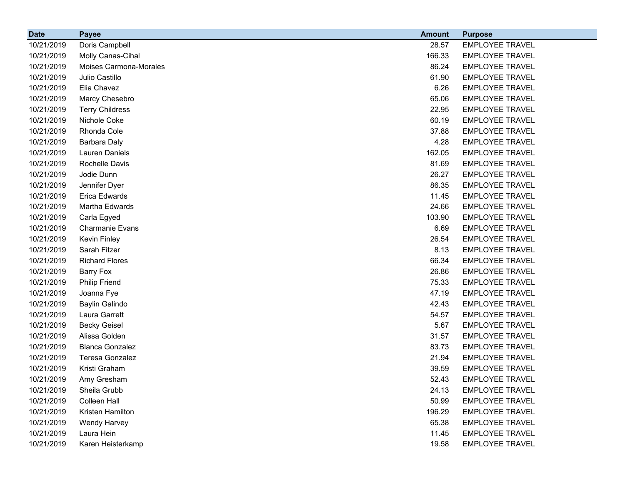| <b>Date</b> | <b>Payee</b>           | <b>Amount</b> | <b>Purpose</b>         |
|-------------|------------------------|---------------|------------------------|
| 10/21/2019  | Doris Campbell         | 28.57         | <b>EMPLOYEE TRAVEL</b> |
| 10/21/2019  | Molly Canas-Cihal      | 166.33        | <b>EMPLOYEE TRAVEL</b> |
| 10/21/2019  | Moises Carmona-Morales | 86.24         | <b>EMPLOYEE TRAVEL</b> |
| 10/21/2019  | Julio Castillo         | 61.90         | <b>EMPLOYEE TRAVEL</b> |
| 10/21/2019  | Elia Chavez            | 6.26          | <b>EMPLOYEE TRAVEL</b> |
| 10/21/2019  | Marcy Chesebro         | 65.06         | <b>EMPLOYEE TRAVEL</b> |
| 10/21/2019  | <b>Terry Childress</b> | 22.95         | <b>EMPLOYEE TRAVEL</b> |
| 10/21/2019  | Nichole Coke           | 60.19         | <b>EMPLOYEE TRAVEL</b> |
| 10/21/2019  | Rhonda Cole            | 37.88         | <b>EMPLOYEE TRAVEL</b> |
| 10/21/2019  | Barbara Daly           | 4.28          | <b>EMPLOYEE TRAVEL</b> |
| 10/21/2019  | <b>Lauren Daniels</b>  | 162.05        | <b>EMPLOYEE TRAVEL</b> |
| 10/21/2019  | Rochelle Davis         | 81.69         | <b>EMPLOYEE TRAVEL</b> |
| 10/21/2019  | Jodie Dunn             | 26.27         | <b>EMPLOYEE TRAVEL</b> |
| 10/21/2019  | Jennifer Dyer          | 86.35         | <b>EMPLOYEE TRAVEL</b> |
| 10/21/2019  | Erica Edwards          | 11.45         | <b>EMPLOYEE TRAVEL</b> |
| 10/21/2019  | Martha Edwards         | 24.66         | <b>EMPLOYEE TRAVEL</b> |
| 10/21/2019  | Carla Egyed            | 103.90        | <b>EMPLOYEE TRAVEL</b> |
| 10/21/2019  | <b>Charmanie Evans</b> | 6.69          | <b>EMPLOYEE TRAVEL</b> |
| 10/21/2019  | Kevin Finley           | 26.54         | <b>EMPLOYEE TRAVEL</b> |
| 10/21/2019  | Sarah Fitzer           | 8.13          | <b>EMPLOYEE TRAVEL</b> |
| 10/21/2019  | <b>Richard Flores</b>  | 66.34         | <b>EMPLOYEE TRAVEL</b> |
| 10/21/2019  | <b>Barry Fox</b>       | 26.86         | <b>EMPLOYEE TRAVEL</b> |
| 10/21/2019  | <b>Philip Friend</b>   | 75.33         | <b>EMPLOYEE TRAVEL</b> |
| 10/21/2019  | Joanna Fye             | 47.19         | <b>EMPLOYEE TRAVEL</b> |
| 10/21/2019  | <b>Baylin Galindo</b>  | 42.43         | <b>EMPLOYEE TRAVEL</b> |
| 10/21/2019  | Laura Garrett          | 54.57         | <b>EMPLOYEE TRAVEL</b> |
| 10/21/2019  | <b>Becky Geisel</b>    | 5.67          | <b>EMPLOYEE TRAVEL</b> |
| 10/21/2019  | Alissa Golden          | 31.57         | <b>EMPLOYEE TRAVEL</b> |
| 10/21/2019  | <b>Blanca Gonzalez</b> | 83.73         | <b>EMPLOYEE TRAVEL</b> |
| 10/21/2019  | <b>Teresa Gonzalez</b> | 21.94         | <b>EMPLOYEE TRAVEL</b> |
| 10/21/2019  | Kristi Graham          | 39.59         | <b>EMPLOYEE TRAVEL</b> |
| 10/21/2019  | Amy Gresham            | 52.43         | <b>EMPLOYEE TRAVEL</b> |
| 10/21/2019  | Sheila Grubb           | 24.13         | <b>EMPLOYEE TRAVEL</b> |
| 10/21/2019  | <b>Colleen Hall</b>    | 50.99         | <b>EMPLOYEE TRAVEL</b> |
| 10/21/2019  | Kristen Hamilton       | 196.29        | <b>EMPLOYEE TRAVEL</b> |
| 10/21/2019  | <b>Wendy Harvey</b>    | 65.38         | <b>EMPLOYEE TRAVEL</b> |
| 10/21/2019  | Laura Hein             | 11.45         | <b>EMPLOYEE TRAVEL</b> |
| 10/21/2019  | Karen Heisterkamp      | 19.58         | <b>EMPLOYEE TRAVEL</b> |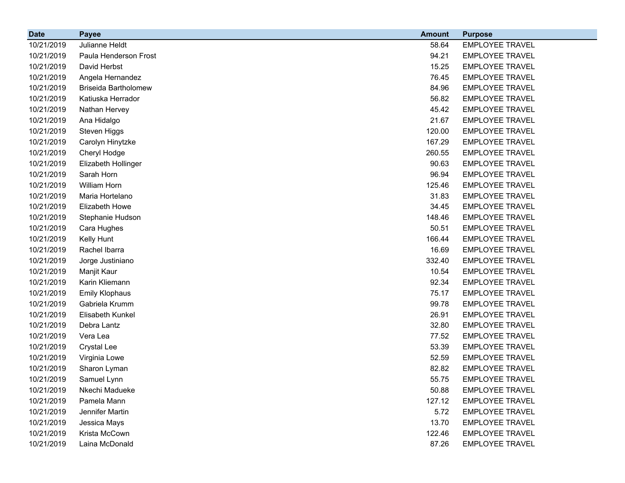| <b>Date</b> | <b>Payee</b>                | <b>Amount</b> | <b>Purpose</b>         |
|-------------|-----------------------------|---------------|------------------------|
| 10/21/2019  | Julianne Heldt              | 58.64         | <b>EMPLOYEE TRAVEL</b> |
| 10/21/2019  | Paula Henderson Frost       | 94.21         | <b>EMPLOYEE TRAVEL</b> |
| 10/21/2019  | David Herbst                | 15.25         | <b>EMPLOYEE TRAVEL</b> |
| 10/21/2019  | Angela Hernandez            | 76.45         | <b>EMPLOYEE TRAVEL</b> |
| 10/21/2019  | <b>Briseida Bartholomew</b> | 84.96         | <b>EMPLOYEE TRAVEL</b> |
| 10/21/2019  | Katiuska Herrador           | 56.82         | <b>EMPLOYEE TRAVEL</b> |
| 10/21/2019  | Nathan Hervey               | 45.42         | <b>EMPLOYEE TRAVEL</b> |
| 10/21/2019  | Ana Hidalgo                 | 21.67         | <b>EMPLOYEE TRAVEL</b> |
| 10/21/2019  | Steven Higgs                | 120.00        | <b>EMPLOYEE TRAVEL</b> |
| 10/21/2019  | Carolyn Hinytzke            | 167.29        | <b>EMPLOYEE TRAVEL</b> |
| 10/21/2019  | Cheryl Hodge                | 260.55        | <b>EMPLOYEE TRAVEL</b> |
| 10/21/2019  | Elizabeth Hollinger         | 90.63         | <b>EMPLOYEE TRAVEL</b> |
| 10/21/2019  | Sarah Horn                  | 96.94         | <b>EMPLOYEE TRAVEL</b> |
| 10/21/2019  | <b>William Horn</b>         | 125.46        | <b>EMPLOYEE TRAVEL</b> |
| 10/21/2019  | Maria Hortelano             | 31.83         | <b>EMPLOYEE TRAVEL</b> |
| 10/21/2019  | Elizabeth Howe              | 34.45         | <b>EMPLOYEE TRAVEL</b> |
| 10/21/2019  | Stephanie Hudson            | 148.46        | <b>EMPLOYEE TRAVEL</b> |
| 10/21/2019  | Cara Hughes                 | 50.51         | <b>EMPLOYEE TRAVEL</b> |
| 10/21/2019  | Kelly Hunt                  | 166.44        | <b>EMPLOYEE TRAVEL</b> |
| 10/21/2019  | Rachel Ibarra               | 16.69         | <b>EMPLOYEE TRAVEL</b> |
| 10/21/2019  | Jorge Justiniano            | 332.40        | <b>EMPLOYEE TRAVEL</b> |
| 10/21/2019  | Manjit Kaur                 | 10.54         | <b>EMPLOYEE TRAVEL</b> |
| 10/21/2019  | Karin Kliemann              | 92.34         | <b>EMPLOYEE TRAVEL</b> |
| 10/21/2019  | <b>Emily Klophaus</b>       | 75.17         | <b>EMPLOYEE TRAVEL</b> |
| 10/21/2019  | Gabriela Krumm              | 99.78         | <b>EMPLOYEE TRAVEL</b> |
| 10/21/2019  | Elisabeth Kunkel            | 26.91         | <b>EMPLOYEE TRAVEL</b> |
| 10/21/2019  | Debra Lantz                 | 32.80         | <b>EMPLOYEE TRAVEL</b> |
| 10/21/2019  | Vera Lea                    | 77.52         | <b>EMPLOYEE TRAVEL</b> |
| 10/21/2019  | <b>Crystal Lee</b>          | 53.39         | <b>EMPLOYEE TRAVEL</b> |
| 10/21/2019  | Virginia Lowe               | 52.59         | <b>EMPLOYEE TRAVEL</b> |
| 10/21/2019  | Sharon Lyman                | 82.82         | <b>EMPLOYEE TRAVEL</b> |
| 10/21/2019  | Samuel Lynn                 | 55.75         | <b>EMPLOYEE TRAVEL</b> |
| 10/21/2019  | Nkechi Madueke              | 50.88         | <b>EMPLOYEE TRAVEL</b> |
| 10/21/2019  | Pamela Mann                 | 127.12        | <b>EMPLOYEE TRAVEL</b> |
| 10/21/2019  | Jennifer Martin             | 5.72          | <b>EMPLOYEE TRAVEL</b> |
| 10/21/2019  | Jessica Mays                | 13.70         | <b>EMPLOYEE TRAVEL</b> |
| 10/21/2019  | Krista McCown               | 122.46        | <b>EMPLOYEE TRAVEL</b> |
| 10/21/2019  | Laina McDonald              | 87.26         | <b>EMPLOYEE TRAVEL</b> |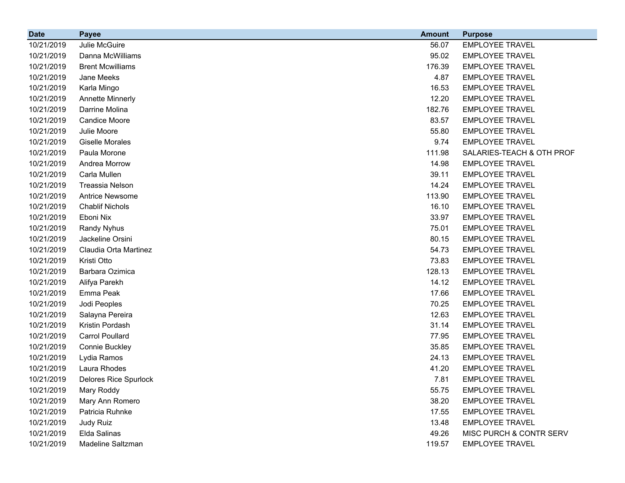| <b>Date</b> | <b>Payee</b>                 | <b>Amount</b> | <b>Purpose</b>            |
|-------------|------------------------------|---------------|---------------------------|
| 10/21/2019  | Julie McGuire                | 56.07         | <b>EMPLOYEE TRAVEL</b>    |
| 10/21/2019  | Danna McWilliams             | 95.02         | <b>EMPLOYEE TRAVEL</b>    |
| 10/21/2019  | <b>Brent Mcwilliams</b>      | 176.39        | <b>EMPLOYEE TRAVEL</b>    |
| 10/21/2019  | Jane Meeks                   | 4.87          | <b>EMPLOYEE TRAVEL</b>    |
| 10/21/2019  | Karla Mingo                  | 16.53         | <b>EMPLOYEE TRAVEL</b>    |
| 10/21/2019  | <b>Annette Minnerly</b>      | 12.20         | <b>EMPLOYEE TRAVEL</b>    |
| 10/21/2019  | Darrine Molina               | 182.76        | <b>EMPLOYEE TRAVEL</b>    |
| 10/21/2019  | <b>Candice Moore</b>         | 83.57         | <b>EMPLOYEE TRAVEL</b>    |
| 10/21/2019  | Julie Moore                  | 55.80         | <b>EMPLOYEE TRAVEL</b>    |
| 10/21/2019  | <b>Giselle Morales</b>       | 9.74          | <b>EMPLOYEE TRAVEL</b>    |
| 10/21/2019  | Paula Morone                 | 111.98        | SALARIES-TEACH & OTH PROF |
| 10/21/2019  | Andrea Morrow                | 14.98         | <b>EMPLOYEE TRAVEL</b>    |
| 10/21/2019  | Carla Mullen                 | 39.11         | <b>EMPLOYEE TRAVEL</b>    |
| 10/21/2019  | Treassia Nelson              | 14.24         | <b>EMPLOYEE TRAVEL</b>    |
| 10/21/2019  | <b>Antrice Newsome</b>       | 113.90        | <b>EMPLOYEE TRAVEL</b>    |
| 10/21/2019  | <b>Chablif Nichols</b>       | 16.10         | <b>EMPLOYEE TRAVEL</b>    |
| 10/21/2019  | Eboni Nix                    | 33.97         | <b>EMPLOYEE TRAVEL</b>    |
| 10/21/2019  | Randy Nyhus                  | 75.01         | <b>EMPLOYEE TRAVEL</b>    |
| 10/21/2019  | Jackeline Orsini             | 80.15         | <b>EMPLOYEE TRAVEL</b>    |
| 10/21/2019  | Claudia Orta Martinez        | 54.73         | <b>EMPLOYEE TRAVEL</b>    |
| 10/21/2019  | Kristi Otto                  | 73.83         | <b>EMPLOYEE TRAVEL</b>    |
| 10/21/2019  | Barbara Ozimica              | 128.13        | <b>EMPLOYEE TRAVEL</b>    |
| 10/21/2019  | Alifya Parekh                | 14.12         | <b>EMPLOYEE TRAVEL</b>    |
| 10/21/2019  | Emma Peak                    | 17.66         | <b>EMPLOYEE TRAVEL</b>    |
| 10/21/2019  | Jodi Peoples                 | 70.25         | <b>EMPLOYEE TRAVEL</b>    |
| 10/21/2019  | Salayna Pereira              | 12.63         | <b>EMPLOYEE TRAVEL</b>    |
| 10/21/2019  | Kristin Pordash              | 31.14         | <b>EMPLOYEE TRAVEL</b>    |
| 10/21/2019  | <b>Carrol Poullard</b>       | 77.95         | <b>EMPLOYEE TRAVEL</b>    |
| 10/21/2019  | Connie Buckley               | 35.85         | <b>EMPLOYEE TRAVEL</b>    |
| 10/21/2019  | Lydia Ramos                  | 24.13         | <b>EMPLOYEE TRAVEL</b>    |
| 10/21/2019  | Laura Rhodes                 | 41.20         | <b>EMPLOYEE TRAVEL</b>    |
| 10/21/2019  | <b>Delores Rice Spurlock</b> | 7.81          | <b>EMPLOYEE TRAVEL</b>    |
| 10/21/2019  | Mary Roddy                   | 55.75         | <b>EMPLOYEE TRAVEL</b>    |
| 10/21/2019  | Mary Ann Romero              | 38.20         | <b>EMPLOYEE TRAVEL</b>    |
| 10/21/2019  | Patricia Ruhnke              | 17.55         | <b>EMPLOYEE TRAVEL</b>    |
| 10/21/2019  | Judy Ruiz                    | 13.48         | <b>EMPLOYEE TRAVEL</b>    |
| 10/21/2019  | Elda Salinas                 | 49.26         | MISC PURCH & CONTR SERV   |
| 10/21/2019  | Madeline Saltzman            | 119.57        | <b>EMPLOYEE TRAVEL</b>    |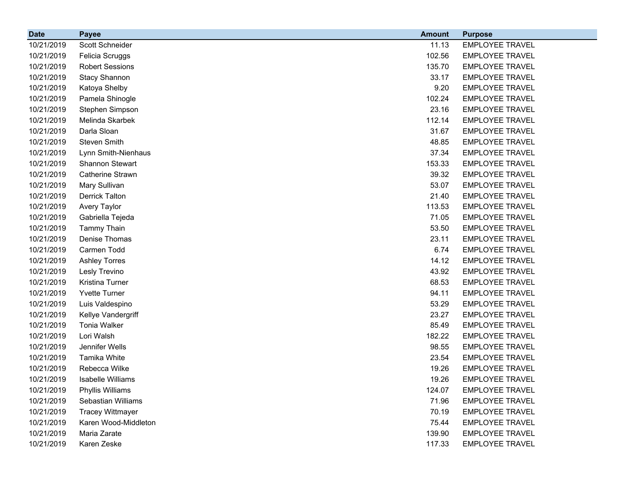| <b>Date</b> | <b>Payee</b>            | <b>Amount</b> | <b>Purpose</b>         |
|-------------|-------------------------|---------------|------------------------|
| 10/21/2019  | Scott Schneider         | 11.13         | <b>EMPLOYEE TRAVEL</b> |
| 10/21/2019  | Felicia Scruggs         | 102.56        | <b>EMPLOYEE TRAVEL</b> |
| 10/21/2019  | <b>Robert Sessions</b>  | 135.70        | <b>EMPLOYEE TRAVEL</b> |
| 10/21/2019  | <b>Stacy Shannon</b>    | 33.17         | <b>EMPLOYEE TRAVEL</b> |
| 10/21/2019  | Katoya Shelby           | 9.20          | <b>EMPLOYEE TRAVEL</b> |
| 10/21/2019  | Pamela Shinogle         | 102.24        | <b>EMPLOYEE TRAVEL</b> |
| 10/21/2019  | Stephen Simpson         | 23.16         | <b>EMPLOYEE TRAVEL</b> |
| 10/21/2019  | Melinda Skarbek         | 112.14        | <b>EMPLOYEE TRAVEL</b> |
| 10/21/2019  | Darla Sloan             | 31.67         | <b>EMPLOYEE TRAVEL</b> |
| 10/21/2019  | <b>Steven Smith</b>     | 48.85         | <b>EMPLOYEE TRAVEL</b> |
| 10/21/2019  | Lynn Smith-Nienhaus     | 37.34         | <b>EMPLOYEE TRAVEL</b> |
| 10/21/2019  | <b>Shannon Stewart</b>  | 153.33        | <b>EMPLOYEE TRAVEL</b> |
| 10/21/2019  | Catherine Strawn        | 39.32         | <b>EMPLOYEE TRAVEL</b> |
| 10/21/2019  | Mary Sullivan           | 53.07         | <b>EMPLOYEE TRAVEL</b> |
| 10/21/2019  | <b>Derrick Talton</b>   | 21.40         | <b>EMPLOYEE TRAVEL</b> |
| 10/21/2019  | Avery Taylor            | 113.53        | <b>EMPLOYEE TRAVEL</b> |
| 10/21/2019  | Gabriella Tejeda        | 71.05         | <b>EMPLOYEE TRAVEL</b> |
| 10/21/2019  | <b>Tammy Thain</b>      | 53.50         | <b>EMPLOYEE TRAVEL</b> |
| 10/21/2019  | Denise Thomas           | 23.11         | <b>EMPLOYEE TRAVEL</b> |
| 10/21/2019  | Carmen Todd             | 6.74          | <b>EMPLOYEE TRAVEL</b> |
| 10/21/2019  | <b>Ashley Torres</b>    | 14.12         | <b>EMPLOYEE TRAVEL</b> |
| 10/21/2019  | Lesly Trevino           | 43.92         | <b>EMPLOYEE TRAVEL</b> |
| 10/21/2019  | <b>Kristina Turner</b>  | 68.53         | <b>EMPLOYEE TRAVEL</b> |
| 10/21/2019  | <b>Yvette Turner</b>    | 94.11         | <b>EMPLOYEE TRAVEL</b> |
| 10/21/2019  | Luis Valdespino         | 53.29         | <b>EMPLOYEE TRAVEL</b> |
| 10/21/2019  | Kellye Vandergriff      | 23.27         | <b>EMPLOYEE TRAVEL</b> |
| 10/21/2019  | <b>Tonia Walker</b>     | 85.49         | <b>EMPLOYEE TRAVEL</b> |
| 10/21/2019  | Lori Walsh              | 182.22        | <b>EMPLOYEE TRAVEL</b> |
| 10/21/2019  | Jennifer Wells          | 98.55         | <b>EMPLOYEE TRAVEL</b> |
| 10/21/2019  | Tamika White            | 23.54         | <b>EMPLOYEE TRAVEL</b> |
| 10/21/2019  | Rebecca Wilke           | 19.26         | <b>EMPLOYEE TRAVEL</b> |
| 10/21/2019  | Isabelle Williams       | 19.26         | <b>EMPLOYEE TRAVEL</b> |
| 10/21/2019  | Phyllis Williams        | 124.07        | <b>EMPLOYEE TRAVEL</b> |
| 10/21/2019  | Sebastian Williams      | 71.96         | <b>EMPLOYEE TRAVEL</b> |
| 10/21/2019  | <b>Tracey Wittmayer</b> | 70.19         | <b>EMPLOYEE TRAVEL</b> |
| 10/21/2019  | Karen Wood-Middleton    | 75.44         | <b>EMPLOYEE TRAVEL</b> |
| 10/21/2019  | Maria Zarate            | 139.90        | <b>EMPLOYEE TRAVEL</b> |
| 10/21/2019  | Karen Zeske             | 117.33        | <b>EMPLOYEE TRAVEL</b> |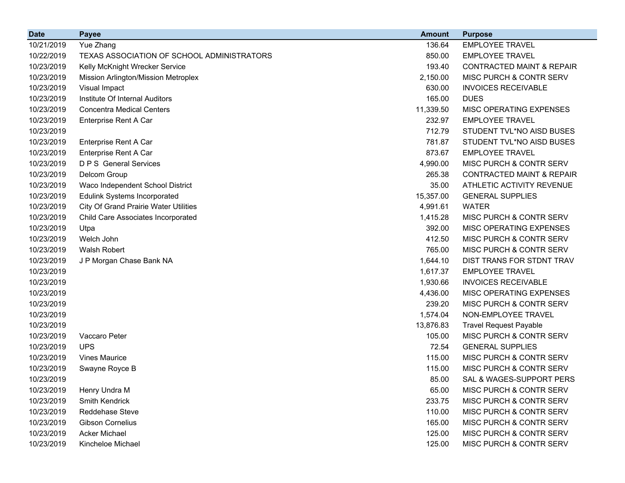| <b>Date</b> | <b>Payee</b>                                 | <b>Amount</b> | <b>Purpose</b>                       |
|-------------|----------------------------------------------|---------------|--------------------------------------|
| 10/21/2019  | Yue Zhang                                    | 136.64        | <b>EMPLOYEE TRAVEL</b>               |
| 10/22/2019  | TEXAS ASSOCIATION OF SCHOOL ADMINISTRATORS   | 850.00        | <b>EMPLOYEE TRAVEL</b>               |
| 10/23/2019  | Kelly McKnight Wrecker Service               | 193.40        | <b>CONTRACTED MAINT &amp; REPAIR</b> |
| 10/23/2019  | Mission Arlington/Mission Metroplex          | 2,150.00      | <b>MISC PURCH &amp; CONTR SERV</b>   |
| 10/23/2019  | Visual Impact                                | 630.00        | <b>INVOICES RECEIVABLE</b>           |
| 10/23/2019  | Institute Of Internal Auditors               | 165.00        | <b>DUES</b>                          |
| 10/23/2019  | <b>Concentra Medical Centers</b>             | 11,339.50     | MISC OPERATING EXPENSES              |
| 10/23/2019  | Enterprise Rent A Car                        | 232.97        | <b>EMPLOYEE TRAVEL</b>               |
| 10/23/2019  |                                              | 712.79        | STUDENT TVL*NO AISD BUSES            |
| 10/23/2019  | Enterprise Rent A Car                        | 781.87        | STUDENT TVL*NO AISD BUSES            |
| 10/23/2019  | Enterprise Rent A Car                        | 873.67        | <b>EMPLOYEE TRAVEL</b>               |
| 10/23/2019  | <b>D P S</b> General Services                | 4,990.00      | MISC PURCH & CONTR SERV              |
| 10/23/2019  | Delcom Group                                 | 265.38        | <b>CONTRACTED MAINT &amp; REPAIR</b> |
| 10/23/2019  | Waco Independent School District             | 35.00         | ATHLETIC ACTIVITY REVENUE            |
| 10/23/2019  | <b>Edulink Systems Incorporated</b>          | 15,357.00     | <b>GENERAL SUPPLIES</b>              |
| 10/23/2019  | <b>City Of Grand Prairie Water Utilities</b> | 4,991.61      | <b>WATER</b>                         |
| 10/23/2019  | Child Care Associates Incorporated           | 1,415.28      | MISC PURCH & CONTR SERV              |
| 10/23/2019  | Utpa                                         | 392.00        | MISC OPERATING EXPENSES              |
| 10/23/2019  | Welch John                                   | 412.50        | MISC PURCH & CONTR SERV              |
| 10/23/2019  | <b>Walsh Robert</b>                          | 765.00        | MISC PURCH & CONTR SERV              |
| 10/23/2019  | J P Morgan Chase Bank NA                     | 1,644.10      | DIST TRANS FOR STDNT TRAV            |
| 10/23/2019  |                                              | 1,617.37      | <b>EMPLOYEE TRAVEL</b>               |
| 10/23/2019  |                                              | 1,930.66      | <b>INVOICES RECEIVABLE</b>           |
| 10/23/2019  |                                              | 4,436.00      | MISC OPERATING EXPENSES              |
| 10/23/2019  |                                              | 239.20        | MISC PURCH & CONTR SERV              |
| 10/23/2019  |                                              | 1,574.04      | NON-EMPLOYEE TRAVEL                  |
| 10/23/2019  |                                              | 13,876.83     | <b>Travel Request Payable</b>        |
| 10/23/2019  | Vaccaro Peter                                | 105.00        | MISC PURCH & CONTR SERV              |
| 10/23/2019  | <b>UPS</b>                                   | 72.54         | <b>GENERAL SUPPLIES</b>              |
| 10/23/2019  | <b>Vines Maurice</b>                         | 115.00        | MISC PURCH & CONTR SERV              |
| 10/23/2019  | Swayne Royce B                               | 115.00        | MISC PURCH & CONTR SERV              |
| 10/23/2019  |                                              | 85.00         | SAL & WAGES-SUPPORT PERS             |
| 10/23/2019  | Henry Undra M                                | 65.00         | MISC PURCH & CONTR SERV              |
| 10/23/2019  | Smith Kendrick                               | 233.75        | MISC PURCH & CONTR SERV              |
| 10/23/2019  | Reddehase Steve                              | 110.00        | MISC PURCH & CONTR SERV              |
| 10/23/2019  | <b>Gibson Cornelius</b>                      | 165.00        | MISC PURCH & CONTR SERV              |
| 10/23/2019  | <b>Acker Michael</b>                         | 125.00        | MISC PURCH & CONTR SERV              |
| 10/23/2019  | Kincheloe Michael                            | 125.00        | MISC PURCH & CONTR SERV              |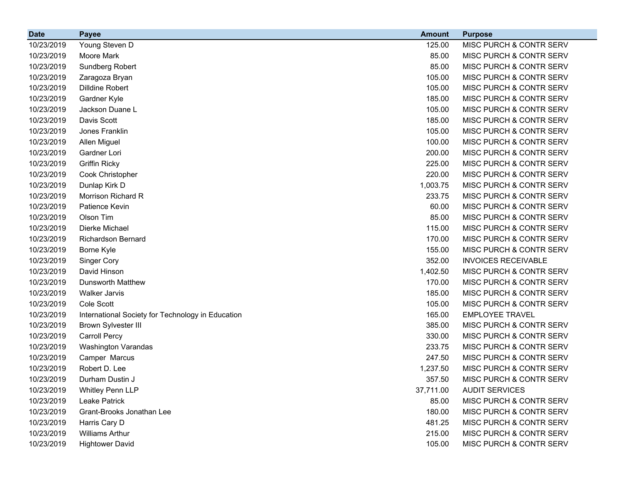| <b>Date</b> | <b>Payee</b>                                      | <b>Amount</b> | <b>Purpose</b>                     |
|-------------|---------------------------------------------------|---------------|------------------------------------|
| 10/23/2019  | Young Steven D                                    | 125.00        | MISC PURCH & CONTR SERV            |
| 10/23/2019  | Moore Mark                                        | 85.00         | MISC PURCH & CONTR SERV            |
| 10/23/2019  | Sundberg Robert                                   | 85.00         | MISC PURCH & CONTR SERV            |
| 10/23/2019  | Zaragoza Bryan                                    | 105.00        | MISC PURCH & CONTR SERV            |
| 10/23/2019  | <b>Dilldine Robert</b>                            | 105.00        | MISC PURCH & CONTR SERV            |
| 10/23/2019  | Gardner Kyle                                      | 185.00        | MISC PURCH & CONTR SERV            |
| 10/23/2019  | Jackson Duane L                                   | 105.00        | MISC PURCH & CONTR SERV            |
| 10/23/2019  | Davis Scott                                       | 185.00        | MISC PURCH & CONTR SERV            |
| 10/23/2019  | Jones Franklin                                    | 105.00        | MISC PURCH & CONTR SERV            |
| 10/23/2019  | Allen Miguel                                      | 100.00        | MISC PURCH & CONTR SERV            |
| 10/23/2019  | Gardner Lori                                      | 200.00        | MISC PURCH & CONTR SERV            |
| 10/23/2019  | <b>Griffin Ricky</b>                              | 225.00        | <b>MISC PURCH &amp; CONTR SERV</b> |
| 10/23/2019  | Cook Christopher                                  | 220.00        | MISC PURCH & CONTR SERV            |
| 10/23/2019  | Dunlap Kirk D                                     | 1,003.75      | MISC PURCH & CONTR SERV            |
| 10/23/2019  | Morrison Richard R                                | 233.75        | MISC PURCH & CONTR SERV            |
| 10/23/2019  | Patience Kevin                                    | 60.00         | MISC PURCH & CONTR SERV            |
| 10/23/2019  | Olson Tim                                         | 85.00         | MISC PURCH & CONTR SERV            |
| 10/23/2019  | Dierke Michael                                    | 115.00        | MISC PURCH & CONTR SERV            |
| 10/23/2019  | <b>Richardson Bernard</b>                         | 170.00        | MISC PURCH & CONTR SERV            |
| 10/23/2019  | Borne Kyle                                        | 155.00        | MISC PURCH & CONTR SERV            |
| 10/23/2019  | <b>Singer Cory</b>                                | 352.00        | <b>INVOICES RECEIVABLE</b>         |
| 10/23/2019  | David Hinson                                      | 1,402.50      | MISC PURCH & CONTR SERV            |
| 10/23/2019  | <b>Dunsworth Matthew</b>                          | 170.00        | MISC PURCH & CONTR SERV            |
| 10/23/2019  | <b>Walker Jarvis</b>                              | 185.00        | MISC PURCH & CONTR SERV            |
| 10/23/2019  | Cole Scott                                        | 105.00        | MISC PURCH & CONTR SERV            |
| 10/23/2019  | International Society for Technology in Education | 165.00        | <b>EMPLOYEE TRAVEL</b>             |
| 10/23/2019  | <b>Brown Sylvester III</b>                        | 385.00        | MISC PURCH & CONTR SERV            |
| 10/23/2019  | <b>Carroll Percy</b>                              | 330.00        | MISC PURCH & CONTR SERV            |
| 10/23/2019  | Washington Varandas                               | 233.75        | MISC PURCH & CONTR SERV            |
| 10/23/2019  | Camper Marcus                                     | 247.50        | MISC PURCH & CONTR SERV            |
| 10/23/2019  | Robert D. Lee                                     | 1,237.50      | MISC PURCH & CONTR SERV            |
| 10/23/2019  | Durham Dustin J                                   | 357.50        | MISC PURCH & CONTR SERV            |
| 10/23/2019  | <b>Whitley Penn LLP</b>                           | 37,711.00     | <b>AUDIT SERVICES</b>              |
| 10/23/2019  | Leake Patrick                                     | 85.00         | MISC PURCH & CONTR SERV            |
| 10/23/2019  | Grant-Brooks Jonathan Lee                         | 180.00        | MISC PURCH & CONTR SERV            |
| 10/23/2019  | Harris Cary D                                     | 481.25        | MISC PURCH & CONTR SERV            |
| 10/23/2019  | <b>Williams Arthur</b>                            | 215.00        | MISC PURCH & CONTR SERV            |
| 10/23/2019  | <b>Hightower David</b>                            | 105.00        | MISC PURCH & CONTR SERV            |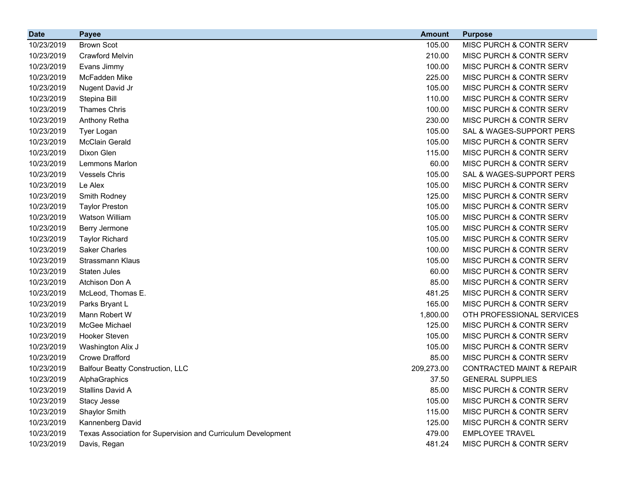| <b>Date</b> | <b>Payee</b>                                                 | <b>Amount</b> | <b>Purpose</b>                       |
|-------------|--------------------------------------------------------------|---------------|--------------------------------------|
| 10/23/2019  | <b>Brown Scot</b>                                            | 105.00        | MISC PURCH & CONTR SERV              |
| 10/23/2019  | <b>Crawford Melvin</b>                                       | 210.00        | MISC PURCH & CONTR SERV              |
| 10/23/2019  | Evans Jimmy                                                  | 100.00        | MISC PURCH & CONTR SERV              |
| 10/23/2019  | McFadden Mike                                                | 225.00        | MISC PURCH & CONTR SERV              |
| 10/23/2019  | Nugent David Jr                                              | 105.00        | MISC PURCH & CONTR SERV              |
| 10/23/2019  | Stepina Bill                                                 | 110.00        | MISC PURCH & CONTR SERV              |
| 10/23/2019  | <b>Thames Chris</b>                                          | 100.00        | MISC PURCH & CONTR SERV              |
| 10/23/2019  | Anthony Retha                                                | 230.00        | MISC PURCH & CONTR SERV              |
| 10/23/2019  | Tyer Logan                                                   | 105.00        | SAL & WAGES-SUPPORT PERS             |
| 10/23/2019  | <b>McClain Gerald</b>                                        | 105.00        | MISC PURCH & CONTR SERV              |
| 10/23/2019  | Dixon Glen                                                   | 115.00        | MISC PURCH & CONTR SERV              |
| 10/23/2019  | Lemmons Marlon                                               | 60.00         | MISC PURCH & CONTR SERV              |
| 10/23/2019  | <b>Vessels Chris</b>                                         | 105.00        | SAL & WAGES-SUPPORT PERS             |
| 10/23/2019  | Le Alex                                                      | 105.00        | MISC PURCH & CONTR SERV              |
| 10/23/2019  | Smith Rodney                                                 | 125.00        | MISC PURCH & CONTR SERV              |
| 10/23/2019  | <b>Taylor Preston</b>                                        | 105.00        | MISC PURCH & CONTR SERV              |
| 10/23/2019  | Watson William                                               | 105.00        | MISC PURCH & CONTR SERV              |
| 10/23/2019  | Berry Jermone                                                | 105.00        | MISC PURCH & CONTR SERV              |
| 10/23/2019  | <b>Taylor Richard</b>                                        | 105.00        | MISC PURCH & CONTR SERV              |
| 10/23/2019  | <b>Saker Charles</b>                                         | 100.00        | MISC PURCH & CONTR SERV              |
| 10/23/2019  | Strassmann Klaus                                             | 105.00        | MISC PURCH & CONTR SERV              |
| 10/23/2019  | <b>Staten Jules</b>                                          | 60.00         | MISC PURCH & CONTR SERV              |
| 10/23/2019  | Atchison Don A                                               | 85.00         | MISC PURCH & CONTR SERV              |
| 10/23/2019  | McLeod, Thomas E.                                            | 481.25        | MISC PURCH & CONTR SERV              |
| 10/23/2019  | Parks Bryant L                                               | 165.00        | MISC PURCH & CONTR SERV              |
| 10/23/2019  | Mann Robert W                                                | 1,800.00      | OTH PROFESSIONAL SERVICES            |
| 10/23/2019  | McGee Michael                                                | 125.00        | MISC PURCH & CONTR SERV              |
| 10/23/2019  | Hooker Steven                                                | 105.00        | MISC PURCH & CONTR SERV              |
| 10/23/2019  | Washington Alix J                                            | 105.00        | MISC PURCH & CONTR SERV              |
| 10/23/2019  | <b>Crowe Drafford</b>                                        | 85.00         | MISC PURCH & CONTR SERV              |
| 10/23/2019  | <b>Balfour Beatty Construction, LLC</b>                      | 209,273.00    | <b>CONTRACTED MAINT &amp; REPAIR</b> |
| 10/23/2019  | AlphaGraphics                                                | 37.50         | <b>GENERAL SUPPLIES</b>              |
| 10/23/2019  | Stallins David A                                             | 85.00         | MISC PURCH & CONTR SERV              |
| 10/23/2019  | Stacy Jesse                                                  | 105.00        | <b>MISC PURCH &amp; CONTR SERV</b>   |
| 10/23/2019  | Shaylor Smith                                                | 115.00        | MISC PURCH & CONTR SERV              |
| 10/23/2019  | Kannenberg David                                             | 125.00        | MISC PURCH & CONTR SERV              |
| 10/23/2019  | Texas Association for Supervision and Curriculum Development | 479.00        | <b>EMPLOYEE TRAVEL</b>               |
| 10/23/2019  | Davis, Regan                                                 | 481.24        | MISC PURCH & CONTR SERV              |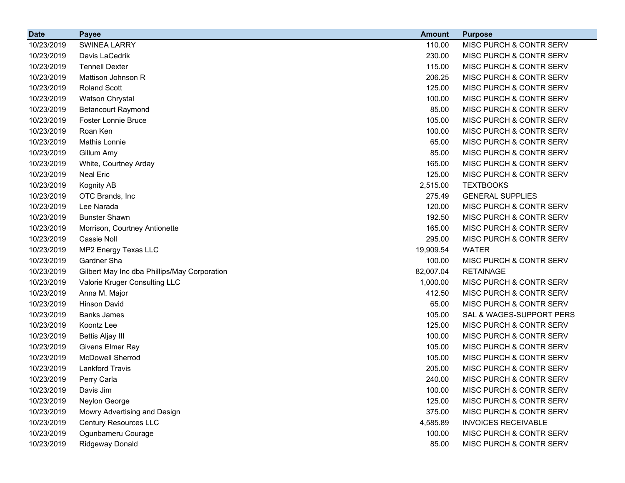| <b>Date</b> | <b>Payee</b>                                 | <b>Amount</b> | <b>Purpose</b>                     |
|-------------|----------------------------------------------|---------------|------------------------------------|
| 10/23/2019  | <b>SWINEA LARRY</b>                          | 110.00        | MISC PURCH & CONTR SERV            |
| 10/23/2019  | Davis LaCedrik                               | 230.00        | MISC PURCH & CONTR SERV            |
| 10/23/2019  | <b>Tennell Dexter</b>                        | 115.00        | MISC PURCH & CONTR SERV            |
| 10/23/2019  | Mattison Johnson R                           | 206.25        | MISC PURCH & CONTR SERV            |
| 10/23/2019  | <b>Roland Scott</b>                          | 125.00        | MISC PURCH & CONTR SERV            |
| 10/23/2019  | Watson Chrystal                              | 100.00        | MISC PURCH & CONTR SERV            |
| 10/23/2019  | <b>Betancourt Raymond</b>                    | 85.00         | MISC PURCH & CONTR SERV            |
| 10/23/2019  | <b>Foster Lonnie Bruce</b>                   | 105.00        | MISC PURCH & CONTR SERV            |
| 10/23/2019  | Roan Ken                                     | 100.00        | MISC PURCH & CONTR SERV            |
| 10/23/2019  | Mathis Lonnie                                | 65.00         | MISC PURCH & CONTR SERV            |
| 10/23/2019  | Gillum Amy                                   | 85.00         | MISC PURCH & CONTR SERV            |
| 10/23/2019  | White, Courtney Arday                        | 165.00        | MISC PURCH & CONTR SERV            |
| 10/23/2019  | <b>Neal Eric</b>                             | 125.00        | MISC PURCH & CONTR SERV            |
| 10/23/2019  | Kognity AB                                   | 2,515.00      | <b>TEXTBOOKS</b>                   |
| 10/23/2019  | OTC Brands, Inc                              | 275.49        | <b>GENERAL SUPPLIES</b>            |
| 10/23/2019  | Lee Narada                                   | 120.00        | MISC PURCH & CONTR SERV            |
| 10/23/2019  | <b>Bunster Shawn</b>                         | 192.50        | MISC PURCH & CONTR SERV            |
| 10/23/2019  | Morrison, Courtney Antionette                | 165.00        | MISC PURCH & CONTR SERV            |
| 10/23/2019  | Cassie Noll                                  | 295.00        | MISC PURCH & CONTR SERV            |
| 10/23/2019  | MP2 Energy Texas LLC                         | 19,909.54     | <b>WATER</b>                       |
| 10/23/2019  | Gardner Sha                                  | 100.00        | MISC PURCH & CONTR SERV            |
| 10/23/2019  | Gilbert May Inc dba Phillips/May Corporation | 82,007.04     | <b>RETAINAGE</b>                   |
| 10/23/2019  | Valorie Kruger Consulting LLC                | 1,000.00      | MISC PURCH & CONTR SERV            |
| 10/23/2019  | Anna M. Major                                | 412.50        | MISC PURCH & CONTR SERV            |
| 10/23/2019  | <b>Hinson David</b>                          | 65.00         | MISC PURCH & CONTR SERV            |
| 10/23/2019  | <b>Banks James</b>                           | 105.00        | SAL & WAGES-SUPPORT PERS           |
| 10/23/2019  | Koontz Lee                                   | 125.00        | MISC PURCH & CONTR SERV            |
| 10/23/2019  | <b>Bettis Aljay III</b>                      | 100.00        | <b>MISC PURCH &amp; CONTR SERV</b> |
| 10/23/2019  | Givens Elmer Ray                             | 105.00        | <b>MISC PURCH &amp; CONTR SERV</b> |
| 10/23/2019  | <b>McDowell Sherrod</b>                      | 105.00        | <b>MISC PURCH &amp; CONTR SERV</b> |
| 10/23/2019  | <b>Lankford Travis</b>                       | 205.00        | <b>MISC PURCH &amp; CONTR SERV</b> |
| 10/23/2019  | Perry Carla                                  | 240.00        | MISC PURCH & CONTR SERV            |
| 10/23/2019  | Davis Jim                                    | 100.00        | MISC PURCH & CONTR SERV            |
| 10/23/2019  | Neylon George                                | 125.00        | MISC PURCH & CONTR SERV            |
| 10/23/2019  | Mowry Advertising and Design                 | 375.00        | MISC PURCH & CONTR SERV            |
| 10/23/2019  | <b>Century Resources LLC</b>                 | 4,585.89      | <b>INVOICES RECEIVABLE</b>         |
| 10/23/2019  | Ogunbameru Courage                           | 100.00        | MISC PURCH & CONTR SERV            |
| 10/23/2019  | Ridgeway Donald                              | 85.00         | MISC PURCH & CONTR SERV            |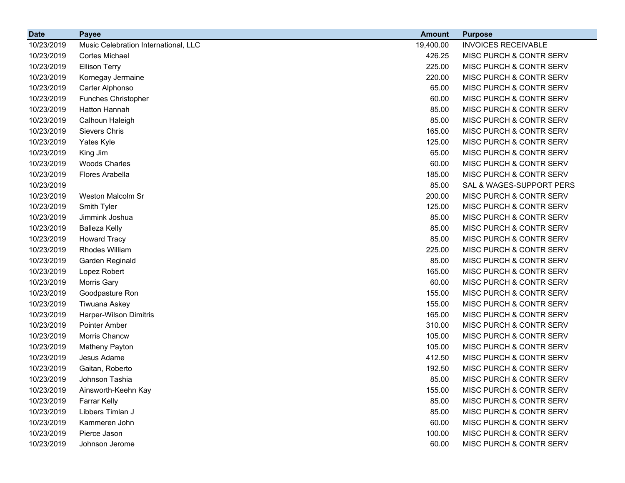| <b>Date</b> | <b>Payee</b>                         | <b>Amount</b> | <b>Purpose</b>                     |
|-------------|--------------------------------------|---------------|------------------------------------|
| 10/23/2019  | Music Celebration International, LLC | 19,400.00     | <b>INVOICES RECEIVABLE</b>         |
| 10/23/2019  | Cortes Michael                       | 426.25        | MISC PURCH & CONTR SERV            |
| 10/23/2019  | <b>Ellison Terry</b>                 | 225.00        | MISC PURCH & CONTR SERV            |
| 10/23/2019  | Kornegay Jermaine                    | 220.00        | MISC PURCH & CONTR SERV            |
| 10/23/2019  | Carter Alphonso                      | 65.00         | MISC PURCH & CONTR SERV            |
| 10/23/2019  | <b>Funches Christopher</b>           | 60.00         | MISC PURCH & CONTR SERV            |
| 10/23/2019  | Hatton Hannah                        | 85.00         | MISC PURCH & CONTR SERV            |
| 10/23/2019  | Calhoun Haleigh                      | 85.00         | MISC PURCH & CONTR SERV            |
| 10/23/2019  | <b>Sievers Chris</b>                 | 165.00        | MISC PURCH & CONTR SERV            |
| 10/23/2019  | Yates Kyle                           | 125.00        | MISC PURCH & CONTR SERV            |
| 10/23/2019  | King Jim                             | 65.00         | MISC PURCH & CONTR SERV            |
| 10/23/2019  | <b>Woods Charles</b>                 | 60.00         | MISC PURCH & CONTR SERV            |
| 10/23/2019  | Flores Arabella                      | 185.00        | MISC PURCH & CONTR SERV            |
| 10/23/2019  |                                      | 85.00         | SAL & WAGES-SUPPORT PERS           |
| 10/23/2019  | Weston Malcolm Sr                    | 200.00        | MISC PURCH & CONTR SERV            |
| 10/23/2019  | Smith Tyler                          | 125.00        | MISC PURCH & CONTR SERV            |
| 10/23/2019  | Jimmink Joshua                       | 85.00         | MISC PURCH & CONTR SERV            |
| 10/23/2019  | <b>Balleza Kelly</b>                 | 85.00         | MISC PURCH & CONTR SERV            |
| 10/23/2019  | <b>Howard Tracy</b>                  | 85.00         | MISC PURCH & CONTR SERV            |
| 10/23/2019  | Rhodes William                       | 225.00        | MISC PURCH & CONTR SERV            |
| 10/23/2019  | Garden Reginald                      | 85.00         | MISC PURCH & CONTR SERV            |
| 10/23/2019  | Lopez Robert                         | 165.00        | MISC PURCH & CONTR SERV            |
| 10/23/2019  | Morris Gary                          | 60.00         | MISC PURCH & CONTR SERV            |
| 10/23/2019  | Goodpasture Ron                      | 155.00        | MISC PURCH & CONTR SERV            |
| 10/23/2019  | Tiwuana Askey                        | 155.00        | MISC PURCH & CONTR SERV            |
| 10/23/2019  | Harper-Wilson Dimitris               | 165.00        | MISC PURCH & CONTR SERV            |
| 10/23/2019  | Pointer Amber                        | 310.00        | MISC PURCH & CONTR SERV            |
| 10/23/2019  | Morris Chancw                        | 105.00        | MISC PURCH & CONTR SERV            |
| 10/23/2019  | Matheny Payton                       | 105.00        | MISC PURCH & CONTR SERV            |
| 10/23/2019  | Jesus Adame                          | 412.50        | <b>MISC PURCH &amp; CONTR SERV</b> |
| 10/23/2019  | Gaitan, Roberto                      | 192.50        | MISC PURCH & CONTR SERV            |
| 10/23/2019  | Johnson Tashia                       | 85.00         | MISC PURCH & CONTR SERV            |
| 10/23/2019  | Ainsworth-Keehn Kay                  | 155.00        | MISC PURCH & CONTR SERV            |
| 10/23/2019  | Farrar Kelly                         | 85.00         | MISC PURCH & CONTR SERV            |
| 10/23/2019  | Libbers Timlan J                     | 85.00         | MISC PURCH & CONTR SERV            |
| 10/23/2019  | Kammeren John                        | 60.00         | <b>MISC PURCH &amp; CONTR SERV</b> |
| 10/23/2019  | Pierce Jason                         | 100.00        | MISC PURCH & CONTR SERV            |
| 10/23/2019  | Johnson Jerome                       | 60.00         | MISC PURCH & CONTR SERV            |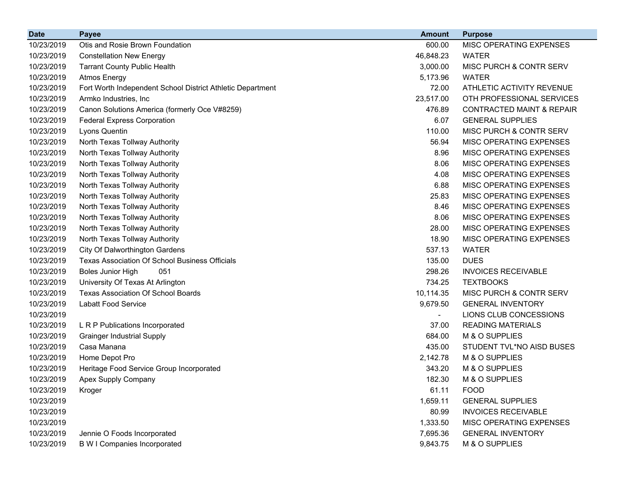| <b>Date</b> | <b>Payee</b>                                               | <b>Amount</b>            | <b>Purpose</b>                       |
|-------------|------------------------------------------------------------|--------------------------|--------------------------------------|
| 10/23/2019  | Otis and Rosie Brown Foundation                            | 600.00                   | MISC OPERATING EXPENSES              |
| 10/23/2019  | <b>Constellation New Energy</b>                            | 46,848.23                | <b>WATER</b>                         |
| 10/23/2019  | <b>Tarrant County Public Health</b>                        | 3,000.00                 | MISC PURCH & CONTR SERV              |
| 10/23/2019  | <b>Atmos Energy</b>                                        | 5,173.96                 | <b>WATER</b>                         |
| 10/23/2019  | Fort Worth Independent School District Athletic Department | 72.00                    | ATHLETIC ACTIVITY REVENUE            |
| 10/23/2019  | Armko Industries, Inc                                      | 23,517.00                | OTH PROFESSIONAL SERVICES            |
| 10/23/2019  | Canon Solutions America (formerly Oce V#8259)              | 476.89                   | <b>CONTRACTED MAINT &amp; REPAIR</b> |
| 10/23/2019  | <b>Federal Express Corporation</b>                         | 6.07                     | <b>GENERAL SUPPLIES</b>              |
| 10/23/2019  | Lyons Quentin                                              | 110.00                   | MISC PURCH & CONTR SERV              |
| 10/23/2019  | North Texas Tollway Authority                              | 56.94                    | MISC OPERATING EXPENSES              |
| 10/23/2019  | North Texas Tollway Authority                              | 8.96                     | MISC OPERATING EXPENSES              |
| 10/23/2019  | North Texas Tollway Authority                              | 8.06                     | MISC OPERATING EXPENSES              |
| 10/23/2019  | North Texas Tollway Authority                              | 4.08                     | MISC OPERATING EXPENSES              |
| 10/23/2019  | North Texas Tollway Authority                              | 6.88                     | MISC OPERATING EXPENSES              |
| 10/23/2019  | North Texas Tollway Authority                              | 25.83                    | MISC OPERATING EXPENSES              |
| 10/23/2019  | North Texas Tollway Authority                              | 8.46                     | MISC OPERATING EXPENSES              |
| 10/23/2019  | North Texas Tollway Authority                              | 8.06                     | MISC OPERATING EXPENSES              |
| 10/23/2019  | North Texas Tollway Authority                              | 28.00                    | MISC OPERATING EXPENSES              |
| 10/23/2019  | North Texas Tollway Authority                              | 18.90                    | MISC OPERATING EXPENSES              |
| 10/23/2019  | City Of Dalworthington Gardens                             | 537.13                   | <b>WATER</b>                         |
| 10/23/2019  | <b>Texas Association Of School Business Officials</b>      | 135.00                   | <b>DUES</b>                          |
| 10/23/2019  | <b>Boles Junior High</b><br>051                            | 298.26                   | <b>INVOICES RECEIVABLE</b>           |
| 10/23/2019  | University Of Texas At Arlington                           | 734.25                   | <b>TEXTBOOKS</b>                     |
| 10/23/2019  | <b>Texas Association Of School Boards</b>                  | 10,114.35                | MISC PURCH & CONTR SERV              |
| 10/23/2019  | <b>Labatt Food Service</b>                                 | 9,679.50                 | <b>GENERAL INVENTORY</b>             |
| 10/23/2019  |                                                            | $\overline{\phantom{a}}$ | LIONS CLUB CONCESSIONS               |
| 10/23/2019  | L R P Publications Incorporated                            | 37.00                    | <b>READING MATERIALS</b>             |
| 10/23/2019  | <b>Grainger Industrial Supply</b>                          | 684.00                   | M & O SUPPLIES                       |
| 10/23/2019  | Casa Manana                                                | 435.00                   | STUDENT TVL*NO AISD BUSES            |
| 10/23/2019  | Home Depot Pro                                             | 2,142.78                 | M & O SUPPLIES                       |
| 10/23/2019  | Heritage Food Service Group Incorporated                   | 343.20                   | M & O SUPPLIES                       |
| 10/23/2019  | Apex Supply Company                                        | 182.30                   | M & O SUPPLIES                       |
| 10/23/2019  | Kroger                                                     | 61.11                    | <b>FOOD</b>                          |
| 10/23/2019  |                                                            | 1,659.11                 | <b>GENERAL SUPPLIES</b>              |
| 10/23/2019  |                                                            | 80.99                    | <b>INVOICES RECEIVABLE</b>           |
| 10/23/2019  |                                                            | 1,333.50                 | MISC OPERATING EXPENSES              |
| 10/23/2019  | Jennie O Foods Incorporated                                | 7,695.36                 | <b>GENERAL INVENTORY</b>             |
| 10/23/2019  | <b>B W I Companies Incorporated</b>                        | 9,843.75                 | M & O SUPPLIES                       |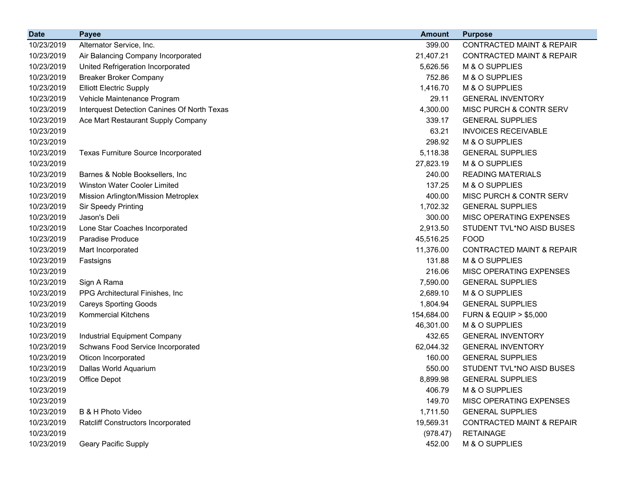| <b>Date</b> | <b>Payee</b>                                | <b>Amount</b> | <b>Purpose</b>                       |
|-------------|---------------------------------------------|---------------|--------------------------------------|
| 10/23/2019  | Alternator Service, Inc.                    | 399.00        | <b>CONTRACTED MAINT &amp; REPAIR</b> |
| 10/23/2019  | Air Balancing Company Incorporated          | 21,407.21     | <b>CONTRACTED MAINT &amp; REPAIR</b> |
| 10/23/2019  | United Refrigeration Incorporated           | 5,626.56      | M & O SUPPLIES                       |
| 10/23/2019  | <b>Breaker Broker Company</b>               | 752.86        | M & O SUPPLIES                       |
| 10/23/2019  | <b>Elliott Electric Supply</b>              | 1,416.70      | M & O SUPPLIES                       |
| 10/23/2019  | Vehicle Maintenance Program                 | 29.11         | <b>GENERAL INVENTORY</b>             |
| 10/23/2019  | Interquest Detection Canines Of North Texas | 4,300.00      | MISC PURCH & CONTR SERV              |
| 10/23/2019  | Ace Mart Restaurant Supply Company          | 339.17        | <b>GENERAL SUPPLIES</b>              |
| 10/23/2019  |                                             | 63.21         | <b>INVOICES RECEIVABLE</b>           |
| 10/23/2019  |                                             | 298.92        | M & O SUPPLIES                       |
| 10/23/2019  | <b>Texas Furniture Source Incorporated</b>  | 5,118.38      | <b>GENERAL SUPPLIES</b>              |
| 10/23/2019  |                                             | 27,823.19     | M & O SUPPLIES                       |
| 10/23/2019  | Barnes & Noble Booksellers, Inc.            | 240.00        | <b>READING MATERIALS</b>             |
| 10/23/2019  | Winston Water Cooler Limited                | 137.25        | M & O SUPPLIES                       |
| 10/23/2019  | Mission Arlington/Mission Metroplex         | 400.00        | MISC PURCH & CONTR SERV              |
| 10/23/2019  | <b>Sir Speedy Printing</b>                  | 1,702.32      | <b>GENERAL SUPPLIES</b>              |
| 10/23/2019  | Jason's Deli                                | 300.00        | MISC OPERATING EXPENSES              |
| 10/23/2019  | Lone Star Coaches Incorporated              | 2,913.50      | STUDENT TVL*NO AISD BUSES            |
| 10/23/2019  | Paradise Produce                            | 45,516.25     | <b>FOOD</b>                          |
| 10/23/2019  | Mart Incorporated                           | 11,376.00     | <b>CONTRACTED MAINT &amp; REPAIR</b> |
| 10/23/2019  | Fastsigns                                   | 131.88        | M & O SUPPLIES                       |
| 10/23/2019  |                                             | 216.06        | MISC OPERATING EXPENSES              |
| 10/23/2019  | Sign A Rama                                 | 7,590.00      | <b>GENERAL SUPPLIES</b>              |
| 10/23/2019  | PPG Architectural Finishes, Inc.            | 2,689.10      | M & O SUPPLIES                       |
| 10/23/2019  | <b>Careys Sporting Goods</b>                | 1,804.94      | <b>GENERAL SUPPLIES</b>              |
| 10/23/2019  | <b>Kommercial Kitchens</b>                  | 154,684.00    | <b>FURN &amp; EQUIP &gt; \$5,000</b> |
| 10/23/2019  |                                             | 46,301.00     | M & O SUPPLIES                       |
| 10/23/2019  | Industrial Equipment Company                | 432.65        | <b>GENERAL INVENTORY</b>             |
| 10/23/2019  | Schwans Food Service Incorporated           | 62,044.32     | <b>GENERAL INVENTORY</b>             |
| 10/23/2019  | Oticon Incorporated                         | 160.00        | <b>GENERAL SUPPLIES</b>              |
| 10/23/2019  | Dallas World Aquarium                       | 550.00        | STUDENT TVL*NO AISD BUSES            |
| 10/23/2019  | Office Depot                                | 8,899.98      | <b>GENERAL SUPPLIES</b>              |
| 10/23/2019  |                                             | 406.79        | M & O SUPPLIES                       |
| 10/23/2019  |                                             | 149.70        | MISC OPERATING EXPENSES              |
| 10/23/2019  | B & H Photo Video                           | 1,711.50      | <b>GENERAL SUPPLIES</b>              |
| 10/23/2019  | <b>Ratcliff Constructors Incorporated</b>   | 19,569.31     | <b>CONTRACTED MAINT &amp; REPAIR</b> |
| 10/23/2019  |                                             | (978.47)      | <b>RETAINAGE</b>                     |
| 10/23/2019  | Geary Pacific Supply                        | 452.00        | M & O SUPPLIES                       |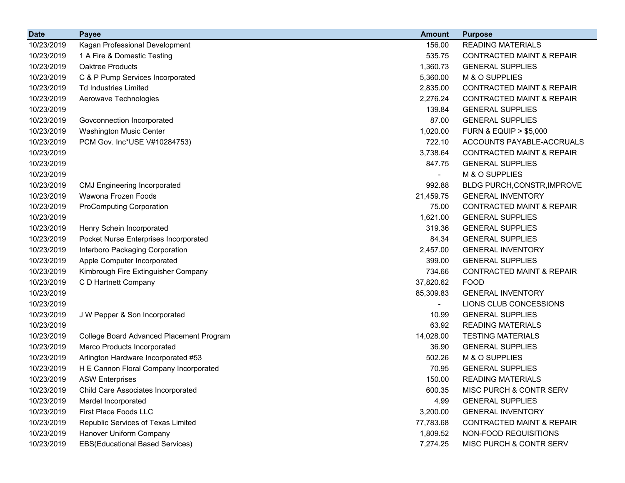| <b>Date</b> | <b>Payee</b>                             | <b>Amount</b>            | <b>Purpose</b>                       |
|-------------|------------------------------------------|--------------------------|--------------------------------------|
| 10/23/2019  | Kagan Professional Development           | 156.00                   | <b>READING MATERIALS</b>             |
| 10/23/2019  | 1 A Fire & Domestic Testing              | 535.75                   | <b>CONTRACTED MAINT &amp; REPAIR</b> |
| 10/23/2019  | Oaktree Products                         | 1,360.73                 | <b>GENERAL SUPPLIES</b>              |
| 10/23/2019  | C & P Pump Services Incorporated         | 5,360.00                 | M & O SUPPLIES                       |
| 10/23/2019  | <b>Td Industries Limited</b>             | 2,835.00                 | <b>CONTRACTED MAINT &amp; REPAIR</b> |
| 10/23/2019  | Aerowave Technologies                    | 2,276.24                 | <b>CONTRACTED MAINT &amp; REPAIR</b> |
| 10/23/2019  |                                          | 139.84                   | <b>GENERAL SUPPLIES</b>              |
| 10/23/2019  | Govconnection Incorporated               | 87.00                    | <b>GENERAL SUPPLIES</b>              |
| 10/23/2019  | <b>Washington Music Center</b>           | 1,020.00                 | <b>FURN &amp; EQUIP &gt; \$5,000</b> |
| 10/23/2019  | PCM Gov. Inc*USE V#10284753)             | 722.10                   | ACCOUNTS PAYABLE-ACCRUALS            |
| 10/23/2019  |                                          | 3,738.64                 | <b>CONTRACTED MAINT &amp; REPAIR</b> |
| 10/23/2019  |                                          | 847.75                   | <b>GENERAL SUPPLIES</b>              |
| 10/23/2019  |                                          | $\overline{\phantom{0}}$ | M & O SUPPLIES                       |
| 10/23/2019  | <b>CMJ Engineering Incorporated</b>      | 992.88                   | BLDG PURCH, CONSTR, IMPROVE          |
| 10/23/2019  | Wawona Frozen Foods                      | 21,459.75                | <b>GENERAL INVENTORY</b>             |
| 10/23/2019  | <b>ProComputing Corporation</b>          | 75.00                    | <b>CONTRACTED MAINT &amp; REPAIR</b> |
| 10/23/2019  |                                          | 1,621.00                 | <b>GENERAL SUPPLIES</b>              |
| 10/23/2019  | Henry Schein Incorporated                | 319.36                   | <b>GENERAL SUPPLIES</b>              |
| 10/23/2019  | Pocket Nurse Enterprises Incorporated    | 84.34                    | <b>GENERAL SUPPLIES</b>              |
| 10/23/2019  | Interboro Packaging Corporation          | 2,457.00                 | <b>GENERAL INVENTORY</b>             |
| 10/23/2019  | Apple Computer Incorporated              | 399.00                   | <b>GENERAL SUPPLIES</b>              |
| 10/23/2019  | Kimbrough Fire Extinguisher Company      | 734.66                   | <b>CONTRACTED MAINT &amp; REPAIR</b> |
| 10/23/2019  | C D Hartnett Company                     | 37,820.62                | <b>FOOD</b>                          |
| 10/23/2019  |                                          | 85,309.83                | <b>GENERAL INVENTORY</b>             |
| 10/23/2019  |                                          | ۰                        | LIONS CLUB CONCESSIONS               |
| 10/23/2019  | J W Pepper & Son Incorporated            | 10.99                    | <b>GENERAL SUPPLIES</b>              |
| 10/23/2019  |                                          | 63.92                    | <b>READING MATERIALS</b>             |
| 10/23/2019  | College Board Advanced Placement Program | 14,028.00                | <b>TESTING MATERIALS</b>             |
| 10/23/2019  | Marco Products Incorporated              | 36.90                    | <b>GENERAL SUPPLIES</b>              |
| 10/23/2019  | Arlington Hardware Incorporated #53      | 502.26                   | M & O SUPPLIES                       |
| 10/23/2019  | H E Cannon Floral Company Incorporated   | 70.95                    | <b>GENERAL SUPPLIES</b>              |
| 10/23/2019  | <b>ASW Enterprises</b>                   | 150.00                   | <b>READING MATERIALS</b>             |
| 10/23/2019  | Child Care Associates Incorporated       | 600.35                   | MISC PURCH & CONTR SERV              |
| 10/23/2019  | Mardel Incorporated                      | 4.99                     | <b>GENERAL SUPPLIES</b>              |
| 10/23/2019  | First Place Foods LLC                    | 3,200.00                 | <b>GENERAL INVENTORY</b>             |
| 10/23/2019  | Republic Services of Texas Limited       | 77,783.68                | <b>CONTRACTED MAINT &amp; REPAIR</b> |
| 10/23/2019  | Hanover Uniform Company                  | 1,809.52                 | NON-FOOD REQUISITIONS                |
| 10/23/2019  | <b>EBS(Educational Based Services)</b>   | 7,274.25                 | MISC PURCH & CONTR SERV              |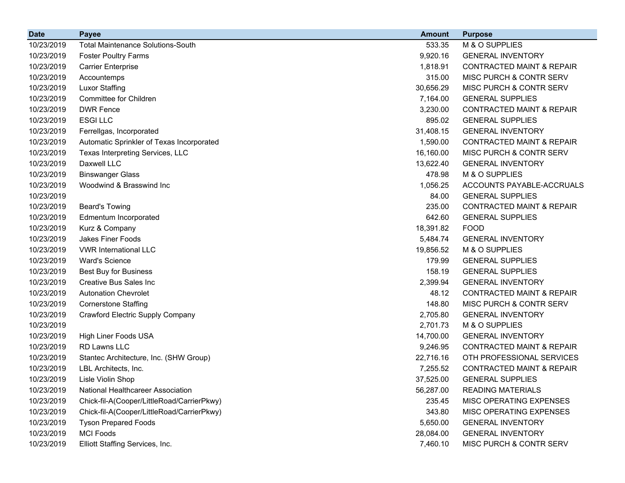| <b>Date</b> | <b>Payee</b>                               | <b>Amount</b> | <b>Purpose</b>                       |
|-------------|--------------------------------------------|---------------|--------------------------------------|
| 10/23/2019  | <b>Total Maintenance Solutions-South</b>   | 533.35        | M & O SUPPLIES                       |
| 10/23/2019  | <b>Foster Poultry Farms</b>                | 9,920.16      | <b>GENERAL INVENTORY</b>             |
| 10/23/2019  | <b>Carrier Enterprise</b>                  | 1,818.91      | <b>CONTRACTED MAINT &amp; REPAIR</b> |
| 10/23/2019  | Accountemps                                | 315.00        | MISC PURCH & CONTR SERV              |
| 10/23/2019  | <b>Luxor Staffing</b>                      | 30,656.29     | MISC PURCH & CONTR SERV              |
| 10/23/2019  | Committee for Children                     | 7,164.00      | <b>GENERAL SUPPLIES</b>              |
| 10/23/2019  | <b>DWR Fence</b>                           | 3,230.00      | <b>CONTRACTED MAINT &amp; REPAIR</b> |
| 10/23/2019  | <b>ESGILLC</b>                             | 895.02        | <b>GENERAL SUPPLIES</b>              |
| 10/23/2019  | Ferrellgas, Incorporated                   | 31,408.15     | <b>GENERAL INVENTORY</b>             |
| 10/23/2019  | Automatic Sprinkler of Texas Incorporated  | 1,590.00      | <b>CONTRACTED MAINT &amp; REPAIR</b> |
| 10/23/2019  | Texas Interpreting Services, LLC           | 16,160.00     | MISC PURCH & CONTR SERV              |
| 10/23/2019  | Daxwell LLC                                | 13,622.40     | <b>GENERAL INVENTORY</b>             |
| 10/23/2019  | <b>Binswanger Glass</b>                    | 478.98        | M & O SUPPLIES                       |
| 10/23/2019  | Woodwind & Brasswind Inc                   | 1,056.25      | ACCOUNTS PAYABLE-ACCRUALS            |
| 10/23/2019  |                                            | 84.00         | <b>GENERAL SUPPLIES</b>              |
| 10/23/2019  | <b>Beard's Towing</b>                      | 235.00        | <b>CONTRACTED MAINT &amp; REPAIR</b> |
| 10/23/2019  | Edmentum Incorporated                      | 642.60        | <b>GENERAL SUPPLIES</b>              |
| 10/23/2019  | Kurz & Company                             | 18,391.82     | <b>FOOD</b>                          |
| 10/23/2019  | <b>Jakes Finer Foods</b>                   | 5,484.74      | <b>GENERAL INVENTORY</b>             |
| 10/23/2019  | <b>VWR International LLC</b>               | 19,856.52     | M & O SUPPLIES                       |
| 10/23/2019  | <b>Ward's Science</b>                      | 179.99        | <b>GENERAL SUPPLIES</b>              |
| 10/23/2019  | <b>Best Buy for Business</b>               | 158.19        | <b>GENERAL SUPPLIES</b>              |
| 10/23/2019  | <b>Creative Bus Sales Inc.</b>             | 2,399.94      | <b>GENERAL INVENTORY</b>             |
| 10/23/2019  | <b>Autonation Chevrolet</b>                | 48.12         | <b>CONTRACTED MAINT &amp; REPAIR</b> |
| 10/23/2019  | <b>Cornerstone Staffing</b>                | 148.80        | MISC PURCH & CONTR SERV              |
| 10/23/2019  | <b>Crawford Electric Supply Company</b>    | 2,705.80      | <b>GENERAL INVENTORY</b>             |
| 10/23/2019  |                                            | 2,701.73      | M & O SUPPLIES                       |
| 10/23/2019  | High Liner Foods USA                       | 14,700.00     | <b>GENERAL INVENTORY</b>             |
| 10/23/2019  | RD Lawns LLC                               | 9,246.95      | <b>CONTRACTED MAINT &amp; REPAIR</b> |
| 10/23/2019  | Stantec Architecture, Inc. (SHW Group)     | 22,716.16     | OTH PROFESSIONAL SERVICES            |
| 10/23/2019  | LBL Architects, Inc.                       | 7,255.52      | <b>CONTRACTED MAINT &amp; REPAIR</b> |
| 10/23/2019  | Lisle Violin Shop                          | 37,525.00     | <b>GENERAL SUPPLIES</b>              |
| 10/23/2019  | National Healthcareer Association          | 56,287.00     | <b>READING MATERIALS</b>             |
| 10/23/2019  | Chick-fil-A(Cooper/LittleRoad/CarrierPkwy) | 235.45        | MISC OPERATING EXPENSES              |
| 10/23/2019  | Chick-fil-A(Cooper/LittleRoad/CarrierPkwy) | 343.80        | MISC OPERATING EXPENSES              |
| 10/23/2019  | <b>Tyson Prepared Foods</b>                | 5,650.00      | <b>GENERAL INVENTORY</b>             |
| 10/23/2019  | <b>MCI Foods</b>                           | 28,084.00     | <b>GENERAL INVENTORY</b>             |
| 10/23/2019  | Elliott Staffing Services, Inc.            | 7,460.10      | MISC PURCH & CONTR SERV              |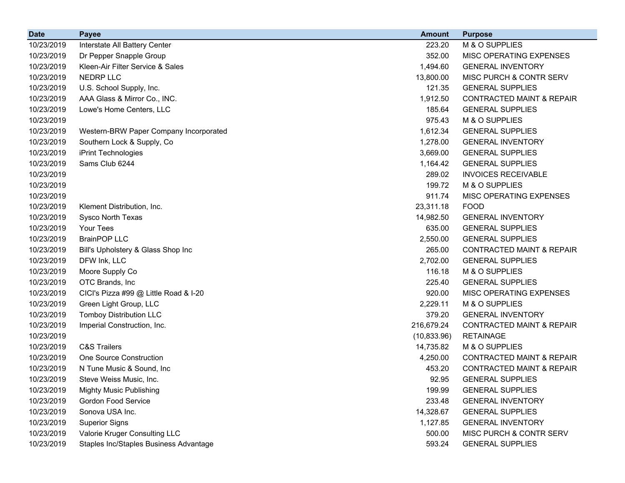| <b>Date</b> | <b>Payee</b>                           | <b>Amount</b> | <b>Purpose</b>                       |
|-------------|----------------------------------------|---------------|--------------------------------------|
| 10/23/2019  | Interstate All Battery Center          | 223.20        | M & O SUPPLIES                       |
| 10/23/2019  | Dr Pepper Snapple Group                | 352.00        | MISC OPERATING EXPENSES              |
| 10/23/2019  | Kleen-Air Filter Service & Sales       | 1,494.60      | <b>GENERAL INVENTORY</b>             |
| 10/23/2019  | NEDRP LLC                              | 13,800.00     | MISC PURCH & CONTR SERV              |
| 10/23/2019  | U.S. School Supply, Inc.               | 121.35        | <b>GENERAL SUPPLIES</b>              |
| 10/23/2019  | AAA Glass & Mirror Co., INC.           | 1,912.50      | <b>CONTRACTED MAINT &amp; REPAIR</b> |
| 10/23/2019  | Lowe's Home Centers, LLC               | 185.64        | <b>GENERAL SUPPLIES</b>              |
| 10/23/2019  |                                        | 975.43        | M & O SUPPLIES                       |
| 10/23/2019  | Western-BRW Paper Company Incorporated | 1,612.34      | <b>GENERAL SUPPLIES</b>              |
| 10/23/2019  | Southern Lock & Supply, Co             | 1,278.00      | <b>GENERAL INVENTORY</b>             |
| 10/23/2019  | iPrint Technologies                    | 3,669.00      | <b>GENERAL SUPPLIES</b>              |
| 10/23/2019  | Sams Club 6244                         | 1,164.42      | <b>GENERAL SUPPLIES</b>              |
| 10/23/2019  |                                        | 289.02        | <b>INVOICES RECEIVABLE</b>           |
| 10/23/2019  |                                        | 199.72        | M & O SUPPLIES                       |
| 10/23/2019  |                                        | 911.74        | MISC OPERATING EXPENSES              |
| 10/23/2019  | Klement Distribution, Inc.             | 23,311.18     | <b>FOOD</b>                          |
| 10/23/2019  | Sysco North Texas                      | 14,982.50     | <b>GENERAL INVENTORY</b>             |
| 10/23/2019  | Your Tees                              | 635.00        | <b>GENERAL SUPPLIES</b>              |
| 10/23/2019  | <b>BrainPOP LLC</b>                    | 2,550.00      | <b>GENERAL SUPPLIES</b>              |
| 10/23/2019  | Bill's Upholstery & Glass Shop Inc     | 265.00        | <b>CONTRACTED MAINT &amp; REPAIR</b> |
| 10/23/2019  | DFW Ink, LLC                           | 2,702.00      | <b>GENERAL SUPPLIES</b>              |
| 10/23/2019  | Moore Supply Co                        | 116.18        | M & O SUPPLIES                       |
| 10/23/2019  | OTC Brands, Inc                        | 225.40        | <b>GENERAL SUPPLIES</b>              |
| 10/23/2019  | CICI's Pizza #99 @ Little Road & I-20  | 920.00        | MISC OPERATING EXPENSES              |
| 10/23/2019  | Green Light Group, LLC                 | 2,229.11      | M & O SUPPLIES                       |
| 10/23/2019  | <b>Tomboy Distribution LLC</b>         | 379.20        | <b>GENERAL INVENTORY</b>             |
| 10/23/2019  | Imperial Construction, Inc.            | 216,679.24    | <b>CONTRACTED MAINT &amp; REPAIR</b> |
| 10/23/2019  |                                        | (10, 833.96)  | <b>RETAINAGE</b>                     |
| 10/23/2019  | <b>C&amp;S Trailers</b>                | 14,735.82     | M & O SUPPLIES                       |
| 10/23/2019  | One Source Construction                | 4,250.00      | <b>CONTRACTED MAINT &amp; REPAIR</b> |
| 10/23/2019  | N Tune Music & Sound, Inc              | 453.20        | <b>CONTRACTED MAINT &amp; REPAIR</b> |
| 10/23/2019  | Steve Weiss Music, Inc.                | 92.95         | <b>GENERAL SUPPLIES</b>              |
| 10/23/2019  | <b>Mighty Music Publishing</b>         | 199.99        | <b>GENERAL SUPPLIES</b>              |
| 10/23/2019  | <b>Gordon Food Service</b>             | 233.48        | <b>GENERAL INVENTORY</b>             |
| 10/23/2019  | Sonova USA Inc.                        | 14,328.67     | <b>GENERAL SUPPLIES</b>              |
| 10/23/2019  | <b>Superior Signs</b>                  | 1,127.85      | <b>GENERAL INVENTORY</b>             |
| 10/23/2019  | Valorie Kruger Consulting LLC          | 500.00        | MISC PURCH & CONTR SERV              |
| 10/23/2019  | Staples Inc/Staples Business Advantage | 593.24        | <b>GENERAL SUPPLIES</b>              |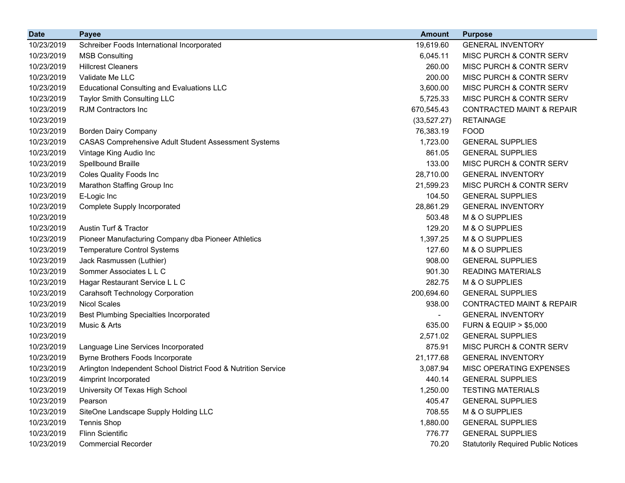| <b>Date</b> | <b>Payee</b>                                                   | <b>Amount</b> | <b>Purpose</b>                             |
|-------------|----------------------------------------------------------------|---------------|--------------------------------------------|
| 10/23/2019  | Schreiber Foods International Incorporated                     | 19,619.60     | <b>GENERAL INVENTORY</b>                   |
| 10/23/2019  | <b>MSB Consulting</b>                                          | 6,045.11      | MISC PURCH & CONTR SERV                    |
| 10/23/2019  | <b>Hillcrest Cleaners</b>                                      | 260.00        | MISC PURCH & CONTR SERV                    |
| 10/23/2019  | Validate Me LLC                                                | 200.00        | <b>MISC PURCH &amp; CONTR SERV</b>         |
| 10/23/2019  | <b>Educational Consulting and Evaluations LLC</b>              | 3,600.00      | <b>MISC PURCH &amp; CONTR SERV</b>         |
| 10/23/2019  | Taylor Smith Consulting LLC                                    | 5,725.33      | <b>MISC PURCH &amp; CONTR SERV</b>         |
| 10/23/2019  | RJM Contractors Inc                                            | 670,545.43    | <b>CONTRACTED MAINT &amp; REPAIR</b>       |
| 10/23/2019  |                                                                | (33, 527.27)  | <b>RETAINAGE</b>                           |
| 10/23/2019  | <b>Borden Dairy Company</b>                                    | 76,383.19     | <b>FOOD</b>                                |
| 10/23/2019  | <b>CASAS Comprehensive Adult Student Assessment Systems</b>    | 1,723.00      | <b>GENERAL SUPPLIES</b>                    |
| 10/23/2019  | Vintage King Audio Inc                                         | 861.05        | <b>GENERAL SUPPLIES</b>                    |
| 10/23/2019  | Spellbound Braille                                             | 133.00        | MISC PURCH & CONTR SERV                    |
| 10/23/2019  | <b>Coles Quality Foods Inc</b>                                 | 28,710.00     | <b>GENERAL INVENTORY</b>                   |
| 10/23/2019  | Marathon Staffing Group Inc                                    | 21,599.23     | <b>MISC PURCH &amp; CONTR SERV</b>         |
| 10/23/2019  | E-Logic Inc                                                    | 104.50        | <b>GENERAL SUPPLIES</b>                    |
| 10/23/2019  | <b>Complete Supply Incorporated</b>                            | 28,861.29     | <b>GENERAL INVENTORY</b>                   |
| 10/23/2019  |                                                                | 503.48        | M & O SUPPLIES                             |
| 10/23/2019  | Austin Turf & Tractor                                          | 129.20        | M & O SUPPLIES                             |
| 10/23/2019  | Pioneer Manufacturing Company dba Pioneer Athletics            | 1,397.25      | M & O SUPPLIES                             |
| 10/23/2019  | <b>Temperature Control Systems</b>                             | 127.60        | M & O SUPPLIES                             |
| 10/23/2019  | Jack Rasmussen (Luthier)                                       | 908.00        | <b>GENERAL SUPPLIES</b>                    |
| 10/23/2019  | Sommer Associates L L C                                        | 901.30        | <b>READING MATERIALS</b>                   |
| 10/23/2019  | Hagar Restaurant Service L L C                                 | 282.75        | M & O SUPPLIES                             |
| 10/23/2019  | <b>Carahsoft Technology Corporation</b>                        | 200,694.60    | <b>GENERAL SUPPLIES</b>                    |
| 10/23/2019  | <b>Nicol Scales</b>                                            | 938.00        | <b>CONTRACTED MAINT &amp; REPAIR</b>       |
| 10/23/2019  | <b>Best Plumbing Specialties Incorporated</b>                  |               | <b>GENERAL INVENTORY</b>                   |
| 10/23/2019  | Music & Arts                                                   | 635.00        | <b>FURN &amp; EQUIP &gt; \$5,000</b>       |
| 10/23/2019  |                                                                | 2,571.02      | <b>GENERAL SUPPLIES</b>                    |
| 10/23/2019  | Language Line Services Incorporated                            | 875.91        | MISC PURCH & CONTR SERV                    |
| 10/23/2019  | Byrne Brothers Foods Incorporate                               | 21,177.68     | <b>GENERAL INVENTORY</b>                   |
| 10/23/2019  | Arlington Independent School District Food & Nutrition Service | 3,087.94      | MISC OPERATING EXPENSES                    |
| 10/23/2019  | 4imprint Incorporated                                          | 440.14        | <b>GENERAL SUPPLIES</b>                    |
| 10/23/2019  | University Of Texas High School                                | 1,250.00      | <b>TESTING MATERIALS</b>                   |
| 10/23/2019  | Pearson                                                        | 405.47        | <b>GENERAL SUPPLIES</b>                    |
| 10/23/2019  | SiteOne Landscape Supply Holding LLC                           | 708.55        | M & O SUPPLIES                             |
| 10/23/2019  | Tennis Shop                                                    | 1,880.00      | <b>GENERAL SUPPLIES</b>                    |
| 10/23/2019  | <b>Flinn Scientific</b>                                        | 776.77        | <b>GENERAL SUPPLIES</b>                    |
| 10/23/2019  | <b>Commercial Recorder</b>                                     | 70.20         | <b>Statutorily Required Public Notices</b> |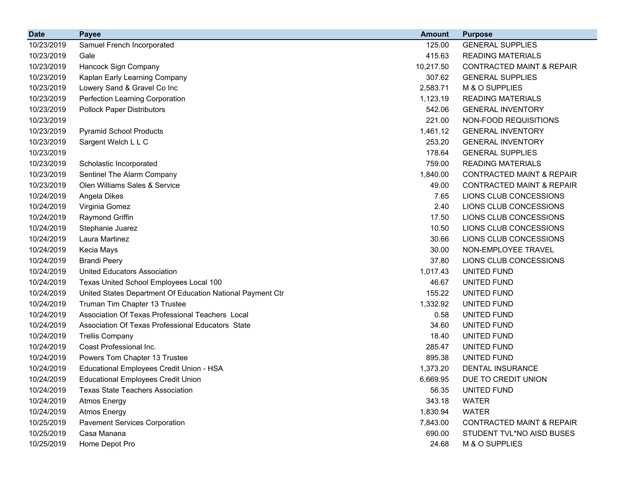| <b>Date</b> | <b>Payee</b>                                               | <b>Amount</b> | <b>Purpose</b>                       |
|-------------|------------------------------------------------------------|---------------|--------------------------------------|
| 10/23/2019  | Samuel French Incorporated                                 | 125.00        | <b>GENERAL SUPPLIES</b>              |
| 10/23/2019  | Gale                                                       | 415.63        | <b>READING MATERIALS</b>             |
| 10/23/2019  | Hancock Sign Company                                       | 10,217.50     | <b>CONTRACTED MAINT &amp; REPAIR</b> |
| 10/23/2019  | Kaplan Early Learning Company                              | 307.62        | <b>GENERAL SUPPLIES</b>              |
| 10/23/2019  | Lowery Sand & Gravel Co Inc                                | 2,583.71      | M & O SUPPLIES                       |
| 10/23/2019  | Perfection Learning Corporation                            | 1,123.19      | <b>READING MATERIALS</b>             |
| 10/23/2019  | <b>Pollock Paper Distributors</b>                          | 542.06        | <b>GENERAL INVENTORY</b>             |
| 10/23/2019  |                                                            | 221.00        | NON-FOOD REQUISITIONS                |
| 10/23/2019  | <b>Pyramid School Products</b>                             | 1,461.12      | <b>GENERAL INVENTORY</b>             |
| 10/23/2019  | Sargent Welch L L C                                        | 253.20        | <b>GENERAL INVENTORY</b>             |
| 10/23/2019  |                                                            | 178.64        | <b>GENERAL SUPPLIES</b>              |
| 10/23/2019  | Scholastic Incorporated                                    | 759.00        | <b>READING MATERIALS</b>             |
| 10/23/2019  | Sentinel The Alarm Company                                 | 1,840.00      | <b>CONTRACTED MAINT &amp; REPAIR</b> |
| 10/23/2019  | Olen Williams Sales & Service                              | 49.00         | <b>CONTRACTED MAINT &amp; REPAIR</b> |
| 10/24/2019  | Angela Dikes                                               | 7.65          | LIONS CLUB CONCESSIONS               |
| 10/24/2019  | Virginia Gomez                                             | 2.40          | LIONS CLUB CONCESSIONS               |
| 10/24/2019  | Raymond Griffin                                            | 17.50         | LIONS CLUB CONCESSIONS               |
| 10/24/2019  | Stephanie Juarez                                           | 10.50         | LIONS CLUB CONCESSIONS               |
| 10/24/2019  | Laura Martinez                                             | 30.66         | LIONS CLUB CONCESSIONS               |
| 10/24/2019  | Kecia Mays                                                 | 30.00         | NON-EMPLOYEE TRAVEL                  |
| 10/24/2019  | <b>Brandi Peery</b>                                        | 37.80         | LIONS CLUB CONCESSIONS               |
| 10/24/2019  | <b>United Educators Association</b>                        | 1,017.43      | UNITED FUND                          |
| 10/24/2019  | Texas United School Employees Local 100                    | 46.67         | UNITED FUND                          |
| 10/24/2019  | United States Department Of Education National Payment Ctr | 155.22        | UNITED FUND                          |
| 10/24/2019  | Truman Tim Chapter 13 Trustee                              | 1,332.92      | UNITED FUND                          |
| 10/24/2019  | Association Of Texas Professional Teachers Local           | 0.58          | UNITED FUND                          |
| 10/24/2019  | Association Of Texas Professional Educators State          | 34.60         | UNITED FUND                          |
| 10/24/2019  | <b>Trellis Company</b>                                     | 18.40         | UNITED FUND                          |
| 10/24/2019  | Coast Professional Inc.                                    | 285.47        | UNITED FUND                          |
| 10/24/2019  | Powers Tom Chapter 13 Trustee                              | 895.38        | UNITED FUND                          |
| 10/24/2019  | Educational Employees Credit Union - HSA                   | 1,373.20      | <b>DENTAL INSURANCE</b>              |
| 10/24/2019  | <b>Educational Employees Credit Union</b>                  | 6,669.95      | DUE TO CREDIT UNION                  |
| 10/24/2019  | <b>Texas State Teachers Association</b>                    | 56.35         | UNITED FUND                          |
| 10/24/2019  | <b>Atmos Energy</b>                                        | 343.18        | <b>WATER</b>                         |
| 10/24/2019  | <b>Atmos Energy</b>                                        | 1,830.94      | <b>WATER</b>                         |
| 10/25/2019  | <b>Pavement Services Corporation</b>                       | 7,843.00      | <b>CONTRACTED MAINT &amp; REPAIR</b> |
| 10/25/2019  | Casa Manana                                                | 690.00        | STUDENT TVL*NO AISD BUSES            |
| 10/25/2019  | Home Depot Pro                                             | 24.68         | M & O SUPPLIES                       |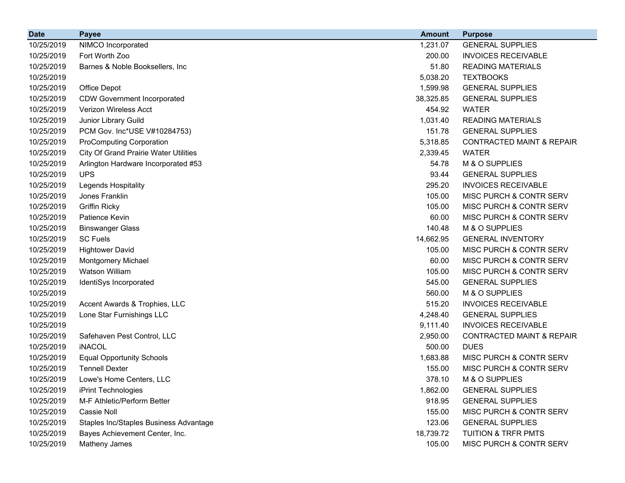| <b>Date</b> | <b>Payee</b>                                 | <b>Amount</b> | <b>Purpose</b>                       |
|-------------|----------------------------------------------|---------------|--------------------------------------|
| 10/25/2019  | NIMCO Incorporated                           | 1,231.07      | <b>GENERAL SUPPLIES</b>              |
| 10/25/2019  | Fort Worth Zoo                               | 200.00        | <b>INVOICES RECEIVABLE</b>           |
| 10/25/2019  | Barnes & Noble Booksellers, Inc              | 51.80         | <b>READING MATERIALS</b>             |
| 10/25/2019  |                                              | 5,038.20      | <b>TEXTBOOKS</b>                     |
| 10/25/2019  | Office Depot                                 | 1,599.98      | <b>GENERAL SUPPLIES</b>              |
| 10/25/2019  | <b>CDW Government Incorporated</b>           | 38,325.85     | <b>GENERAL SUPPLIES</b>              |
| 10/25/2019  | Verizon Wireless Acct                        | 454.92        | <b>WATER</b>                         |
| 10/25/2019  | Junior Library Guild                         | 1,031.40      | <b>READING MATERIALS</b>             |
| 10/25/2019  | PCM Gov. Inc*USE V#10284753)                 | 151.78        | <b>GENERAL SUPPLIES</b>              |
| 10/25/2019  | <b>ProComputing Corporation</b>              | 5,318.85      | <b>CONTRACTED MAINT &amp; REPAIR</b> |
| 10/25/2019  | <b>City Of Grand Prairie Water Utilities</b> | 2,339.45      | <b>WATER</b>                         |
| 10/25/2019  | Arlington Hardware Incorporated #53          | 54.78         | M & O SUPPLIES                       |
| 10/25/2019  | <b>UPS</b>                                   | 93.44         | <b>GENERAL SUPPLIES</b>              |
| 10/25/2019  | Legends Hospitality                          | 295.20        | <b>INVOICES RECEIVABLE</b>           |
| 10/25/2019  | Jones Franklin                               | 105.00        | MISC PURCH & CONTR SERV              |
| 10/25/2019  | <b>Griffin Ricky</b>                         | 105.00        | MISC PURCH & CONTR SERV              |
| 10/25/2019  | Patience Kevin                               | 60.00         | MISC PURCH & CONTR SERV              |
| 10/25/2019  | <b>Binswanger Glass</b>                      | 140.48        | M & O SUPPLIES                       |
| 10/25/2019  | <b>SC Fuels</b>                              | 14,662.95     | <b>GENERAL INVENTORY</b>             |
| 10/25/2019  | <b>Hightower David</b>                       | 105.00        | MISC PURCH & CONTR SERV              |
| 10/25/2019  | <b>Montgomery Michael</b>                    | 60.00         | MISC PURCH & CONTR SERV              |
| 10/25/2019  | <b>Watson William</b>                        | 105.00        | MISC PURCH & CONTR SERV              |
| 10/25/2019  | IdentiSys Incorporated                       | 545.00        | <b>GENERAL SUPPLIES</b>              |
| 10/25/2019  |                                              | 560.00        | M & O SUPPLIES                       |
| 10/25/2019  | Accent Awards & Trophies, LLC                | 515.20        | <b>INVOICES RECEIVABLE</b>           |
| 10/25/2019  | Lone Star Furnishings LLC                    | 4,248.40      | <b>GENERAL SUPPLIES</b>              |
| 10/25/2019  |                                              | 9,111.40      | <b>INVOICES RECEIVABLE</b>           |
| 10/25/2019  | Safehaven Pest Control, LLC                  | 2,950.00      | <b>CONTRACTED MAINT &amp; REPAIR</b> |
| 10/25/2019  | <b>iNACOL</b>                                | 500.00        | <b>DUES</b>                          |
| 10/25/2019  | <b>Equal Opportunity Schools</b>             | 1,683.88      | MISC PURCH & CONTR SERV              |
| 10/25/2019  | <b>Tennell Dexter</b>                        | 155.00        | MISC PURCH & CONTR SERV              |
| 10/25/2019  | Lowe's Home Centers, LLC                     | 378.10        | M & O SUPPLIES                       |
| 10/25/2019  | iPrint Technologies                          | 1,862.00      | <b>GENERAL SUPPLIES</b>              |
| 10/25/2019  | M-F Athletic/Perform Better                  | 918.95        | <b>GENERAL SUPPLIES</b>              |
| 10/25/2019  | Cassie Noll                                  | 155.00        | MISC PURCH & CONTR SERV              |
| 10/25/2019  | Staples Inc/Staples Business Advantage       | 123.06        | <b>GENERAL SUPPLIES</b>              |
| 10/25/2019  | Bayes Achievement Center, Inc.               | 18,739.72     | <b>TUITION &amp; TRFR PMTS</b>       |
| 10/25/2019  | Matheny James                                | 105.00        | MISC PURCH & CONTR SERV              |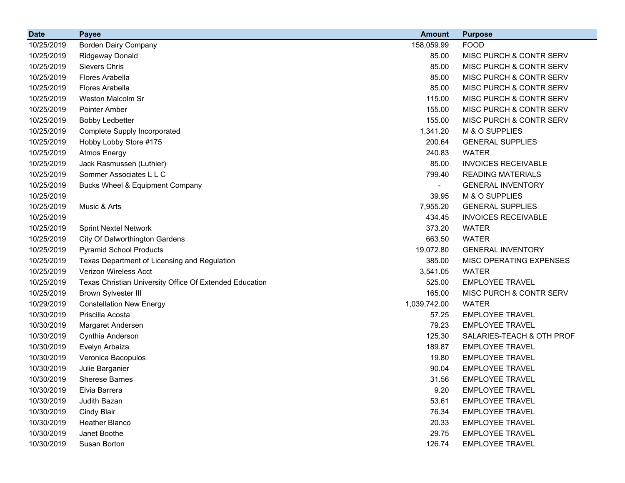| <b>Date</b> | <b>Payee</b>                                            | <b>Amount</b> | <b>Purpose</b>             |
|-------------|---------------------------------------------------------|---------------|----------------------------|
| 10/25/2019  | Borden Dairy Company                                    | 158,059.99    | <b>FOOD</b>                |
| 10/25/2019  | <b>Ridgeway Donald</b>                                  | 85.00         | MISC PURCH & CONTR SERV    |
| 10/25/2019  | Sievers Chris                                           | 85.00         | MISC PURCH & CONTR SERV    |
| 10/25/2019  | <b>Flores Arabella</b>                                  | 85.00         | MISC PURCH & CONTR SERV    |
| 10/25/2019  | Flores Arabella                                         | 85.00         | MISC PURCH & CONTR SERV    |
| 10/25/2019  | Weston Malcolm Sr                                       | 115.00        | MISC PURCH & CONTR SERV    |
| 10/25/2019  | Pointer Amber                                           | 155.00        | MISC PURCH & CONTR SERV    |
| 10/25/2019  | <b>Bobby Ledbetter</b>                                  | 155.00        | MISC PURCH & CONTR SERV    |
| 10/25/2019  | Complete Supply Incorporated                            | 1,341.20      | M & O SUPPLIES             |
| 10/25/2019  | Hobby Lobby Store #175                                  | 200.64        | <b>GENERAL SUPPLIES</b>    |
| 10/25/2019  | <b>Atmos Energy</b>                                     | 240.83        | <b>WATER</b>               |
| 10/25/2019  | Jack Rasmussen (Luthier)                                | 85.00         | <b>INVOICES RECEIVABLE</b> |
| 10/25/2019  | Sommer Associates L L C                                 | 799.40        | <b>READING MATERIALS</b>   |
| 10/25/2019  | Bucks Wheel & Equipment Company                         | ۰             | <b>GENERAL INVENTORY</b>   |
| 10/25/2019  |                                                         | 39.95         | M & O SUPPLIES             |
| 10/25/2019  | Music & Arts                                            | 7,955.20      | <b>GENERAL SUPPLIES</b>    |
| 10/25/2019  |                                                         | 434.45        | <b>INVOICES RECEIVABLE</b> |
| 10/25/2019  | <b>Sprint Nextel Network</b>                            | 373.20        | <b>WATER</b>               |
| 10/25/2019  | City Of Dalworthington Gardens                          | 663.50        | <b>WATER</b>               |
| 10/25/2019  | <b>Pyramid School Products</b>                          | 19,072.80     | <b>GENERAL INVENTORY</b>   |
| 10/25/2019  | Texas Department of Licensing and Regulation            | 385.00        | MISC OPERATING EXPENSES    |
| 10/25/2019  | Verizon Wireless Acct                                   | 3,541.05      | <b>WATER</b>               |
| 10/25/2019  | Texas Christian University Office Of Extended Education | 525.00        | <b>EMPLOYEE TRAVEL</b>     |
| 10/25/2019  | <b>Brown Sylvester III</b>                              | 165.00        | MISC PURCH & CONTR SERV    |
| 10/29/2019  | <b>Constellation New Energy</b>                         | 1,039,742.00  | <b>WATER</b>               |
| 10/30/2019  | Priscilla Acosta                                        | 57.25         | <b>EMPLOYEE TRAVEL</b>     |
| 10/30/2019  | Margaret Andersen                                       | 79.23         | <b>EMPLOYEE TRAVEL</b>     |
| 10/30/2019  | Cynthia Anderson                                        | 125.30        | SALARIES-TEACH & OTH PROF  |
| 10/30/2019  | Evelyn Arbaiza                                          | 189.87        | <b>EMPLOYEE TRAVEL</b>     |
| 10/30/2019  | Veronica Bacopulos                                      | 19.80         | <b>EMPLOYEE TRAVEL</b>     |
| 10/30/2019  | Julie Barganier                                         | 90.04         | <b>EMPLOYEE TRAVEL</b>     |
| 10/30/2019  | <b>Sherese Barnes</b>                                   | 31.56         | <b>EMPLOYEE TRAVEL</b>     |
| 10/30/2019  | Elvia Barrera                                           | 9.20          | <b>EMPLOYEE TRAVEL</b>     |
| 10/30/2019  | Judith Bazan                                            | 53.61         | <b>EMPLOYEE TRAVEL</b>     |
| 10/30/2019  | <b>Cindy Blair</b>                                      | 76.34         | <b>EMPLOYEE TRAVEL</b>     |
| 10/30/2019  | <b>Heather Blanco</b>                                   | 20.33         | <b>EMPLOYEE TRAVEL</b>     |
| 10/30/2019  | Janet Boothe                                            | 29.75         | <b>EMPLOYEE TRAVEL</b>     |
| 10/30/2019  | Susan Borton                                            | 126.74        | <b>EMPLOYEE TRAVEL</b>     |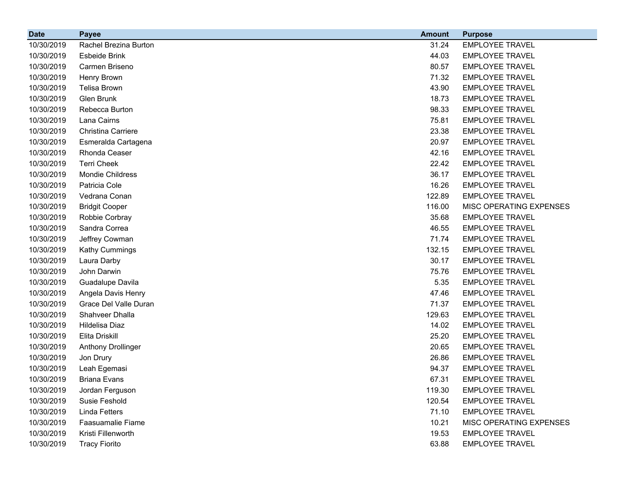| <b>Date</b> | <b>Payee</b>              | <b>Amount</b> | <b>Purpose</b>          |
|-------------|---------------------------|---------------|-------------------------|
| 10/30/2019  | Rachel Brezina Burton     | 31.24         | <b>EMPLOYEE TRAVEL</b>  |
| 10/30/2019  | Esbeide Brink             | 44.03         | <b>EMPLOYEE TRAVEL</b>  |
| 10/30/2019  | Carmen Briseno            | 80.57         | <b>EMPLOYEE TRAVEL</b>  |
| 10/30/2019  | Henry Brown               | 71.32         | <b>EMPLOYEE TRAVEL</b>  |
| 10/30/2019  | <b>Telisa Brown</b>       | 43.90         | <b>EMPLOYEE TRAVEL</b>  |
| 10/30/2019  | Glen Brunk                | 18.73         | <b>EMPLOYEE TRAVEL</b>  |
| 10/30/2019  | Rebecca Burton            | 98.33         | <b>EMPLOYEE TRAVEL</b>  |
| 10/30/2019  | Lana Cairns               | 75.81         | <b>EMPLOYEE TRAVEL</b>  |
| 10/30/2019  | Christina Carriere        | 23.38         | <b>EMPLOYEE TRAVEL</b>  |
| 10/30/2019  | Esmeralda Cartagena       | 20.97         | <b>EMPLOYEE TRAVEL</b>  |
| 10/30/2019  | Rhonda Ceaser             | 42.16         | <b>EMPLOYEE TRAVEL</b>  |
| 10/30/2019  | <b>Terri Cheek</b>        | 22.42         | <b>EMPLOYEE TRAVEL</b>  |
| 10/30/2019  | Mondie Childress          | 36.17         | <b>EMPLOYEE TRAVEL</b>  |
| 10/30/2019  | Patricia Cole             | 16.26         | <b>EMPLOYEE TRAVEL</b>  |
| 10/30/2019  | Vedrana Conan             | 122.89        | <b>EMPLOYEE TRAVEL</b>  |
| 10/30/2019  | <b>Bridgit Cooper</b>     | 116.00        | MISC OPERATING EXPENSES |
| 10/30/2019  | Robbie Corbray            | 35.68         | <b>EMPLOYEE TRAVEL</b>  |
| 10/30/2019  | Sandra Correa             | 46.55         | <b>EMPLOYEE TRAVEL</b>  |
| 10/30/2019  | Jeffrey Cowman            | 71.74         | <b>EMPLOYEE TRAVEL</b>  |
| 10/30/2019  | Kathy Cummings            | 132.15        | <b>EMPLOYEE TRAVEL</b>  |
| 10/30/2019  | Laura Darby               | 30.17         | <b>EMPLOYEE TRAVEL</b>  |
| 10/30/2019  | John Darwin               | 75.76         | <b>EMPLOYEE TRAVEL</b>  |
| 10/30/2019  | Guadalupe Davila          | 5.35          | <b>EMPLOYEE TRAVEL</b>  |
| 10/30/2019  | Angela Davis Henry        | 47.46         | <b>EMPLOYEE TRAVEL</b>  |
| 10/30/2019  | Grace Del Valle Duran     | 71.37         | <b>EMPLOYEE TRAVEL</b>  |
| 10/30/2019  | Shahveer Dhalla           | 129.63        | <b>EMPLOYEE TRAVEL</b>  |
| 10/30/2019  | Hildelisa Diaz            | 14.02         | <b>EMPLOYEE TRAVEL</b>  |
| 10/30/2019  | Elita Driskill            | 25.20         | <b>EMPLOYEE TRAVEL</b>  |
| 10/30/2019  | <b>Anthony Drollinger</b> | 20.65         | <b>EMPLOYEE TRAVEL</b>  |
| 10/30/2019  | Jon Drury                 | 26.86         | <b>EMPLOYEE TRAVEL</b>  |
| 10/30/2019  | Leah Egemasi              | 94.37         | <b>EMPLOYEE TRAVEL</b>  |
| 10/30/2019  | <b>Briana Evans</b>       | 67.31         | <b>EMPLOYEE TRAVEL</b>  |
| 10/30/2019  | Jordan Ferguson           | 119.30        | <b>EMPLOYEE TRAVEL</b>  |
| 10/30/2019  | Susie Feshold             | 120.54        | <b>EMPLOYEE TRAVEL</b>  |
| 10/30/2019  | Linda Fetters             | 71.10         | <b>EMPLOYEE TRAVEL</b>  |
| 10/30/2019  | Faasuamalie Fiame         | 10.21         | MISC OPERATING EXPENSES |
| 10/30/2019  | Kristi Fillenworth        | 19.53         | <b>EMPLOYEE TRAVEL</b>  |
| 10/30/2019  | <b>Tracy Fiorito</b>      | 63.88         | <b>EMPLOYEE TRAVEL</b>  |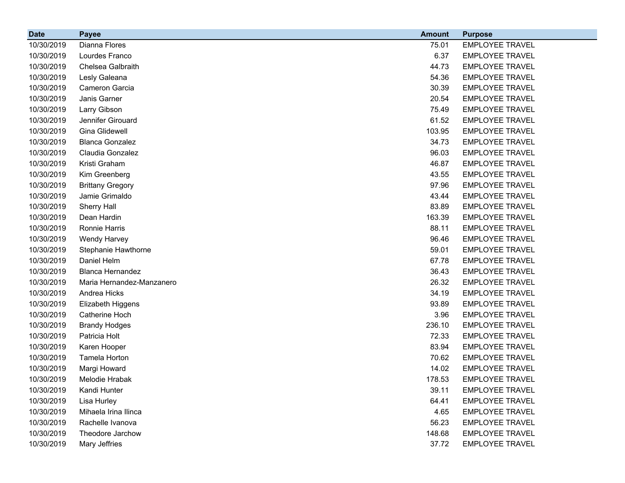| <b>Date</b> | <b>Payee</b>              | <b>Amount</b> | <b>Purpose</b>         |
|-------------|---------------------------|---------------|------------------------|
| 10/30/2019  | Dianna Flores             | 75.01         | <b>EMPLOYEE TRAVEL</b> |
| 10/30/2019  | Lourdes Franco            | 6.37          | <b>EMPLOYEE TRAVEL</b> |
| 10/30/2019  | Chelsea Galbraith         | 44.73         | <b>EMPLOYEE TRAVEL</b> |
| 10/30/2019  | Lesly Galeana             | 54.36         | <b>EMPLOYEE TRAVEL</b> |
| 10/30/2019  | Cameron Garcia            | 30.39         | <b>EMPLOYEE TRAVEL</b> |
| 10/30/2019  | Janis Garner              | 20.54         | <b>EMPLOYEE TRAVEL</b> |
| 10/30/2019  | Larry Gibson              | 75.49         | <b>EMPLOYEE TRAVEL</b> |
| 10/30/2019  | Jennifer Girouard         | 61.52         | <b>EMPLOYEE TRAVEL</b> |
| 10/30/2019  | <b>Gina Glidewell</b>     | 103.95        | <b>EMPLOYEE TRAVEL</b> |
| 10/30/2019  | <b>Blanca Gonzalez</b>    | 34.73         | <b>EMPLOYEE TRAVEL</b> |
| 10/30/2019  | Claudia Gonzalez          | 96.03         | <b>EMPLOYEE TRAVEL</b> |
| 10/30/2019  | Kristi Graham             | 46.87         | <b>EMPLOYEE TRAVEL</b> |
| 10/30/2019  | Kim Greenberg             | 43.55         | <b>EMPLOYEE TRAVEL</b> |
| 10/30/2019  | <b>Brittany Gregory</b>   | 97.96         | <b>EMPLOYEE TRAVEL</b> |
| 10/30/2019  | Jamie Grimaldo            | 43.44         | <b>EMPLOYEE TRAVEL</b> |
| 10/30/2019  | Sherry Hall               | 83.89         | <b>EMPLOYEE TRAVEL</b> |
| 10/30/2019  | Dean Hardin               | 163.39        | <b>EMPLOYEE TRAVEL</b> |
| 10/30/2019  | Ronnie Harris             | 88.11         | <b>EMPLOYEE TRAVEL</b> |
| 10/30/2019  | Wendy Harvey              | 96.46         | <b>EMPLOYEE TRAVEL</b> |
| 10/30/2019  | Stephanie Hawthorne       | 59.01         | <b>EMPLOYEE TRAVEL</b> |
| 10/30/2019  | Daniel Helm               | 67.78         | <b>EMPLOYEE TRAVEL</b> |
| 10/30/2019  | <b>Blanca Hernandez</b>   | 36.43         | <b>EMPLOYEE TRAVEL</b> |
| 10/30/2019  | Maria Hernandez-Manzanero | 26.32         | <b>EMPLOYEE TRAVEL</b> |
| 10/30/2019  | Andrea Hicks              | 34.19         | <b>EMPLOYEE TRAVEL</b> |
| 10/30/2019  | Elizabeth Higgens         | 93.89         | <b>EMPLOYEE TRAVEL</b> |
| 10/30/2019  | Catherine Hoch            | 3.96          | <b>EMPLOYEE TRAVEL</b> |
| 10/30/2019  | <b>Brandy Hodges</b>      | 236.10        | <b>EMPLOYEE TRAVEL</b> |
| 10/30/2019  | Patricia Holt             | 72.33         | <b>EMPLOYEE TRAVEL</b> |
| 10/30/2019  | Karen Hooper              | 83.94         | <b>EMPLOYEE TRAVEL</b> |
| 10/30/2019  | Tamela Horton             | 70.62         | <b>EMPLOYEE TRAVEL</b> |
| 10/30/2019  | Margi Howard              | 14.02         | <b>EMPLOYEE TRAVEL</b> |
| 10/30/2019  | Melodie Hrabak            | 178.53        | <b>EMPLOYEE TRAVEL</b> |
| 10/30/2019  | Kandi Hunter              | 39.11         | <b>EMPLOYEE TRAVEL</b> |
| 10/30/2019  | Lisa Hurley               | 64.41         | <b>EMPLOYEE TRAVEL</b> |
| 10/30/2019  | Mihaela Irina Ilinca      | 4.65          | <b>EMPLOYEE TRAVEL</b> |
| 10/30/2019  | Rachelle Ivanova          | 56.23         | <b>EMPLOYEE TRAVEL</b> |
| 10/30/2019  | Theodore Jarchow          | 148.68        | <b>EMPLOYEE TRAVEL</b> |
| 10/30/2019  | Mary Jeffries             | 37.72         | <b>EMPLOYEE TRAVEL</b> |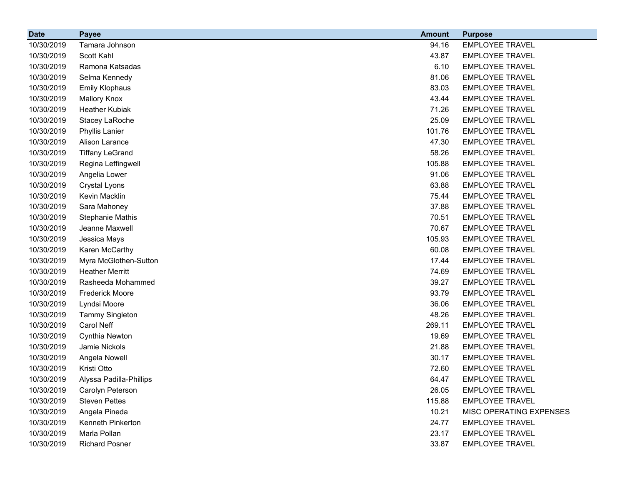| <b>Date</b> | <b>Payee</b>            | <b>Amount</b> | <b>Purpose</b>          |
|-------------|-------------------------|---------------|-------------------------|
| 10/30/2019  | Tamara Johnson          | 94.16         | <b>EMPLOYEE TRAVEL</b>  |
| 10/30/2019  | Scott Kahl              | 43.87         | <b>EMPLOYEE TRAVEL</b>  |
| 10/30/2019  | Ramona Katsadas         | 6.10          | <b>EMPLOYEE TRAVEL</b>  |
| 10/30/2019  | Selma Kennedy           | 81.06         | <b>EMPLOYEE TRAVEL</b>  |
| 10/30/2019  | <b>Emily Klophaus</b>   | 83.03         | <b>EMPLOYEE TRAVEL</b>  |
| 10/30/2019  | <b>Mallory Knox</b>     | 43.44         | <b>EMPLOYEE TRAVEL</b>  |
| 10/30/2019  | <b>Heather Kubiak</b>   | 71.26         | <b>EMPLOYEE TRAVEL</b>  |
| 10/30/2019  | Stacey LaRoche          | 25.09         | <b>EMPLOYEE TRAVEL</b>  |
| 10/30/2019  | Phyllis Lanier          | 101.76        | <b>EMPLOYEE TRAVEL</b>  |
| 10/30/2019  | Alison Larance          | 47.30         | <b>EMPLOYEE TRAVEL</b>  |
| 10/30/2019  | <b>Tiffany LeGrand</b>  | 58.26         | <b>EMPLOYEE TRAVEL</b>  |
| 10/30/2019  | Regina Leffingwell      | 105.88        | <b>EMPLOYEE TRAVEL</b>  |
| 10/30/2019  | Angelia Lower           | 91.06         | <b>EMPLOYEE TRAVEL</b>  |
| 10/30/2019  | <b>Crystal Lyons</b>    | 63.88         | <b>EMPLOYEE TRAVEL</b>  |
| 10/30/2019  | Kevin Macklin           | 75.44         | <b>EMPLOYEE TRAVEL</b>  |
| 10/30/2019  | Sara Mahoney            | 37.88         | <b>EMPLOYEE TRAVEL</b>  |
| 10/30/2019  | <b>Stephanie Mathis</b> | 70.51         | <b>EMPLOYEE TRAVEL</b>  |
| 10/30/2019  | Jeanne Maxwell          | 70.67         | <b>EMPLOYEE TRAVEL</b>  |
| 10/30/2019  | Jessica Mays            | 105.93        | <b>EMPLOYEE TRAVEL</b>  |
| 10/30/2019  | Karen McCarthy          | 60.08         | <b>EMPLOYEE TRAVEL</b>  |
| 10/30/2019  | Myra McGlothen-Sutton   | 17.44         | <b>EMPLOYEE TRAVEL</b>  |
| 10/30/2019  | <b>Heather Merritt</b>  | 74.69         | <b>EMPLOYEE TRAVEL</b>  |
| 10/30/2019  | Rasheeda Mohammed       | 39.27         | <b>EMPLOYEE TRAVEL</b>  |
| 10/30/2019  | <b>Frederick Moore</b>  | 93.79         | <b>EMPLOYEE TRAVEL</b>  |
| 10/30/2019  | Lyndsi Moore            | 36.06         | <b>EMPLOYEE TRAVEL</b>  |
| 10/30/2019  | <b>Tammy Singleton</b>  | 48.26         | <b>EMPLOYEE TRAVEL</b>  |
| 10/30/2019  | Carol Neff              | 269.11        | <b>EMPLOYEE TRAVEL</b>  |
| 10/30/2019  | Cynthia Newton          | 19.69         | <b>EMPLOYEE TRAVEL</b>  |
| 10/30/2019  | Jamie Nickols           | 21.88         | <b>EMPLOYEE TRAVEL</b>  |
| 10/30/2019  | Angela Nowell           | 30.17         | <b>EMPLOYEE TRAVEL</b>  |
| 10/30/2019  | Kristi Otto             | 72.60         | <b>EMPLOYEE TRAVEL</b>  |
| 10/30/2019  | Alyssa Padilla-Phillips | 64.47         | <b>EMPLOYEE TRAVEL</b>  |
| 10/30/2019  | Carolyn Peterson        | 26.05         | <b>EMPLOYEE TRAVEL</b>  |
| 10/30/2019  | <b>Steven Pettes</b>    | 115.88        | <b>EMPLOYEE TRAVEL</b>  |
| 10/30/2019  | Angela Pineda           | 10.21         | MISC OPERATING EXPENSES |
| 10/30/2019  | Kenneth Pinkerton       | 24.77         | <b>EMPLOYEE TRAVEL</b>  |
| 10/30/2019  | Marla Pollan            | 23.17         | <b>EMPLOYEE TRAVEL</b>  |
| 10/30/2019  | <b>Richard Posner</b>   | 33.87         | <b>EMPLOYEE TRAVEL</b>  |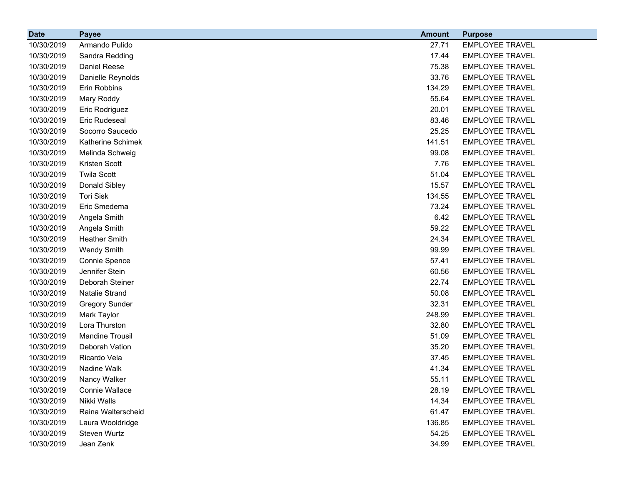| <b>Date</b> | <b>Payee</b>           | <b>Amount</b> | <b>Purpose</b>         |
|-------------|------------------------|---------------|------------------------|
| 10/30/2019  | Armando Pulido         | 27.71         | <b>EMPLOYEE TRAVEL</b> |
| 10/30/2019  | Sandra Redding         | 17.44         | <b>EMPLOYEE TRAVEL</b> |
| 10/30/2019  | Daniel Reese           | 75.38         | <b>EMPLOYEE TRAVEL</b> |
| 10/30/2019  | Danielle Reynolds      | 33.76         | <b>EMPLOYEE TRAVEL</b> |
| 10/30/2019  | Erin Robbins           | 134.29        | <b>EMPLOYEE TRAVEL</b> |
| 10/30/2019  | Mary Roddy             | 55.64         | <b>EMPLOYEE TRAVEL</b> |
| 10/30/2019  | Eric Rodriguez         | 20.01         | <b>EMPLOYEE TRAVEL</b> |
| 10/30/2019  | <b>Eric Rudeseal</b>   | 83.46         | <b>EMPLOYEE TRAVEL</b> |
| 10/30/2019  | Socorro Saucedo        | 25.25         | <b>EMPLOYEE TRAVEL</b> |
| 10/30/2019  | Katherine Schimek      | 141.51        | <b>EMPLOYEE TRAVEL</b> |
| 10/30/2019  | Melinda Schweig        | 99.08         | <b>EMPLOYEE TRAVEL</b> |
| 10/30/2019  | Kristen Scott          | 7.76          | <b>EMPLOYEE TRAVEL</b> |
| 10/30/2019  | <b>Twila Scott</b>     | 51.04         | <b>EMPLOYEE TRAVEL</b> |
| 10/30/2019  | Donald Sibley          | 15.57         | <b>EMPLOYEE TRAVEL</b> |
| 10/30/2019  | <b>Tori Sisk</b>       | 134.55        | <b>EMPLOYEE TRAVEL</b> |
| 10/30/2019  | Eric Smedema           | 73.24         | <b>EMPLOYEE TRAVEL</b> |
| 10/30/2019  | Angela Smith           | 6.42          | <b>EMPLOYEE TRAVEL</b> |
| 10/30/2019  | Angela Smith           | 59.22         | <b>EMPLOYEE TRAVEL</b> |
| 10/30/2019  | <b>Heather Smith</b>   | 24.34         | <b>EMPLOYEE TRAVEL</b> |
| 10/30/2019  | <b>Wendy Smith</b>     | 99.99         | <b>EMPLOYEE TRAVEL</b> |
| 10/30/2019  | Connie Spence          | 57.41         | <b>EMPLOYEE TRAVEL</b> |
| 10/30/2019  | Jennifer Stein         | 60.56         | <b>EMPLOYEE TRAVEL</b> |
| 10/30/2019  | Deborah Steiner        | 22.74         | <b>EMPLOYEE TRAVEL</b> |
| 10/30/2019  | Natalie Strand         | 50.08         | <b>EMPLOYEE TRAVEL</b> |
| 10/30/2019  | <b>Gregory Sunder</b>  | 32.31         | <b>EMPLOYEE TRAVEL</b> |
| 10/30/2019  | Mark Taylor            | 248.99        | <b>EMPLOYEE TRAVEL</b> |
| 10/30/2019  | Lora Thurston          | 32.80         | <b>EMPLOYEE TRAVEL</b> |
| 10/30/2019  | <b>Mandine Trousil</b> | 51.09         | <b>EMPLOYEE TRAVEL</b> |
| 10/30/2019  | Deborah Vation         | 35.20         | <b>EMPLOYEE TRAVEL</b> |
| 10/30/2019  | Ricardo Vela           | 37.45         | <b>EMPLOYEE TRAVEL</b> |
| 10/30/2019  | Nadine Walk            | 41.34         | <b>EMPLOYEE TRAVEL</b> |
| 10/30/2019  | Nancy Walker           | 55.11         | <b>EMPLOYEE TRAVEL</b> |
| 10/30/2019  | Connie Wallace         | 28.19         | <b>EMPLOYEE TRAVEL</b> |
| 10/30/2019  | Nikki Walls            | 14.34         | <b>EMPLOYEE TRAVEL</b> |
| 10/30/2019  | Raina Walterscheid     | 61.47         | <b>EMPLOYEE TRAVEL</b> |
| 10/30/2019  | Laura Wooldridge       | 136.85        | <b>EMPLOYEE TRAVEL</b> |
| 10/30/2019  | Steven Wurtz           | 54.25         | <b>EMPLOYEE TRAVEL</b> |
| 10/30/2019  | Jean Zenk              | 34.99         | <b>EMPLOYEE TRAVEL</b> |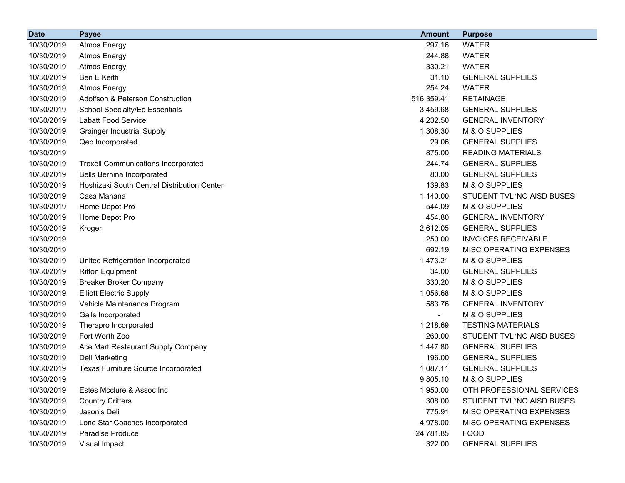| <b>Date</b> | <b>Payee</b>                                | <b>Amount</b>  | <b>Purpose</b>             |
|-------------|---------------------------------------------|----------------|----------------------------|
| 10/30/2019  | <b>Atmos Energy</b>                         | 297.16         | <b>WATER</b>               |
| 10/30/2019  | <b>Atmos Energy</b>                         | 244.88         | <b>WATER</b>               |
| 10/30/2019  | <b>Atmos Energy</b>                         | 330.21         | <b>WATER</b>               |
| 10/30/2019  | <b>Ben E Keith</b>                          | 31.10          | <b>GENERAL SUPPLIES</b>    |
| 10/30/2019  | <b>Atmos Energy</b>                         | 254.24         | <b>WATER</b>               |
| 10/30/2019  | Adolfson & Peterson Construction            | 516,359.41     | <b>RETAINAGE</b>           |
| 10/30/2019  | School Specialty/Ed Essentials              | 3,459.68       | <b>GENERAL SUPPLIES</b>    |
| 10/30/2019  | Labatt Food Service                         | 4,232.50       | <b>GENERAL INVENTORY</b>   |
| 10/30/2019  | <b>Grainger Industrial Supply</b>           | 1,308.30       | M & O SUPPLIES             |
| 10/30/2019  | Qep Incorporated                            | 29.06          | <b>GENERAL SUPPLIES</b>    |
| 10/30/2019  |                                             | 875.00         | <b>READING MATERIALS</b>   |
| 10/30/2019  | <b>Troxell Communications Incorporated</b>  | 244.74         | <b>GENERAL SUPPLIES</b>    |
| 10/30/2019  | <b>Bells Bernina Incorporated</b>           | 80.00          | <b>GENERAL SUPPLIES</b>    |
| 10/30/2019  | Hoshizaki South Central Distribution Center | 139.83         | M & O SUPPLIES             |
| 10/30/2019  | Casa Manana                                 | 1,140.00       | STUDENT TVL*NO AISD BUSES  |
| 10/30/2019  | Home Depot Pro                              | 544.09         | M & O SUPPLIES             |
| 10/30/2019  | Home Depot Pro                              | 454.80         | <b>GENERAL INVENTORY</b>   |
| 10/30/2019  | Kroger                                      | 2,612.05       | <b>GENERAL SUPPLIES</b>    |
| 10/30/2019  |                                             | 250.00         | <b>INVOICES RECEIVABLE</b> |
| 10/30/2019  |                                             | 692.19         | MISC OPERATING EXPENSES    |
| 10/30/2019  | United Refrigeration Incorporated           | 1,473.21       | M & O SUPPLIES             |
| 10/30/2019  | <b>Rifton Equipment</b>                     | 34.00          | <b>GENERAL SUPPLIES</b>    |
| 10/30/2019  | <b>Breaker Broker Company</b>               | 330.20         | M & O SUPPLIES             |
| 10/30/2019  | <b>Elliott Electric Supply</b>              | 1,056.68       | M & O SUPPLIES             |
| 10/30/2019  | Vehicle Maintenance Program                 | 583.76         | <b>GENERAL INVENTORY</b>   |
| 10/30/2019  | Galls Incorporated                          | $\blacksquare$ | M & O SUPPLIES             |
| 10/30/2019  | Therapro Incorporated                       | 1,218.69       | <b>TESTING MATERIALS</b>   |
| 10/30/2019  | Fort Worth Zoo                              | 260.00         | STUDENT TVL*NO AISD BUSES  |
| 10/30/2019  | Ace Mart Restaurant Supply Company          | 1,447.80       | <b>GENERAL SUPPLIES</b>    |
| 10/30/2019  | <b>Dell Marketing</b>                       | 196.00         | <b>GENERAL SUPPLIES</b>    |
| 10/30/2019  | <b>Texas Furniture Source Incorporated</b>  | 1,087.11       | <b>GENERAL SUPPLIES</b>    |
| 10/30/2019  |                                             | 9,805.10       | M & O SUPPLIES             |
| 10/30/2019  | Estes Mcclure & Assoc Inc                   | 1,950.00       | OTH PROFESSIONAL SERVICES  |
| 10/30/2019  | <b>Country Critters</b>                     | 308.00         | STUDENT TVL*NO AISD BUSES  |
| 10/30/2019  | Jason's Deli                                | 775.91         | MISC OPERATING EXPENSES    |
| 10/30/2019  | Lone Star Coaches Incorporated              | 4,978.00       | MISC OPERATING EXPENSES    |
| 10/30/2019  | <b>Paradise Produce</b>                     | 24,781.85      | <b>FOOD</b>                |
| 10/30/2019  | Visual Impact                               | 322.00         | <b>GENERAL SUPPLIES</b>    |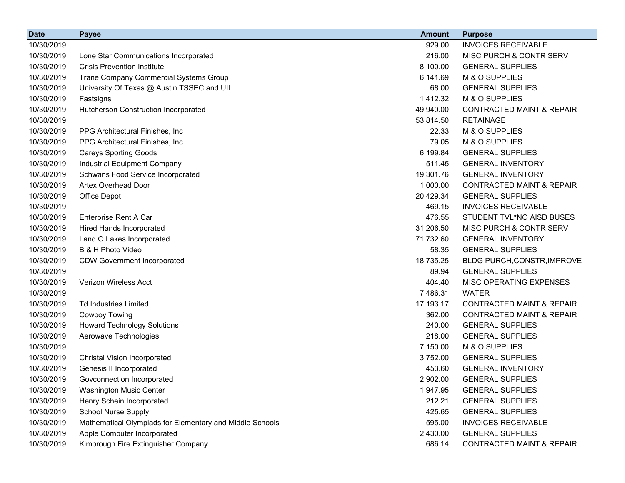| <b>Date</b> | <b>Payee</b>                                             | <b>Amount</b> | <b>Purpose</b>                       |
|-------------|----------------------------------------------------------|---------------|--------------------------------------|
| 10/30/2019  |                                                          | 929.00        | <b>INVOICES RECEIVABLE</b>           |
| 10/30/2019  | Lone Star Communications Incorporated                    | 216.00        | <b>MISC PURCH &amp; CONTR SERV</b>   |
| 10/30/2019  | <b>Crisis Prevention Institute</b>                       | 8,100.00      | <b>GENERAL SUPPLIES</b>              |
| 10/30/2019  | Trane Company Commercial Systems Group                   | 6,141.69      | M & O SUPPLIES                       |
| 10/30/2019  | University Of Texas @ Austin TSSEC and UIL               | 68.00         | <b>GENERAL SUPPLIES</b>              |
| 10/30/2019  | Fastsigns                                                | 1,412.32      | M & O SUPPLIES                       |
| 10/30/2019  | Hutcherson Construction Incorporated                     | 49,940.00     | <b>CONTRACTED MAINT &amp; REPAIR</b> |
| 10/30/2019  |                                                          | 53,814.50     | <b>RETAINAGE</b>                     |
| 10/30/2019  | PPG Architectural Finishes, Inc.                         | 22.33         | M & O SUPPLIES                       |
| 10/30/2019  | PPG Architectural Finishes, Inc.                         | 79.05         | M & O SUPPLIES                       |
| 10/30/2019  | <b>Careys Sporting Goods</b>                             | 6,199.84      | <b>GENERAL SUPPLIES</b>              |
| 10/30/2019  | Industrial Equipment Company                             | 511.45        | <b>GENERAL INVENTORY</b>             |
| 10/30/2019  | Schwans Food Service Incorporated                        | 19,301.76     | <b>GENERAL INVENTORY</b>             |
| 10/30/2019  | <b>Artex Overhead Door</b>                               | 1,000.00      | <b>CONTRACTED MAINT &amp; REPAIR</b> |
| 10/30/2019  | Office Depot                                             | 20,429.34     | <b>GENERAL SUPPLIES</b>              |
| 10/30/2019  |                                                          | 469.15        | <b>INVOICES RECEIVABLE</b>           |
| 10/30/2019  | Enterprise Rent A Car                                    | 476.55        | STUDENT TVL*NO AISD BUSES            |
| 10/30/2019  | Hired Hands Incorporated                                 | 31,206.50     | MISC PURCH & CONTR SERV              |
| 10/30/2019  | Land O Lakes Incorporated                                | 71,732.60     | <b>GENERAL INVENTORY</b>             |
| 10/30/2019  | B & H Photo Video                                        | 58.35         | <b>GENERAL SUPPLIES</b>              |
| 10/30/2019  | <b>CDW Government Incorporated</b>                       | 18,735.25     | BLDG PURCH, CONSTR, IMPROVE          |
| 10/30/2019  |                                                          | 89.94         | <b>GENERAL SUPPLIES</b>              |
| 10/30/2019  | Verizon Wireless Acct                                    | 404.40        | MISC OPERATING EXPENSES              |
| 10/30/2019  |                                                          | 7,486.31      | <b>WATER</b>                         |
| 10/30/2019  | <b>Td Industries Limited</b>                             | 17,193.17     | <b>CONTRACTED MAINT &amp; REPAIR</b> |
| 10/30/2019  | Cowboy Towing                                            | 362.00        | <b>CONTRACTED MAINT &amp; REPAIR</b> |
| 10/30/2019  | <b>Howard Technology Solutions</b>                       | 240.00        | <b>GENERAL SUPPLIES</b>              |
| 10/30/2019  | Aerowave Technologies                                    | 218.00        | <b>GENERAL SUPPLIES</b>              |
| 10/30/2019  |                                                          | 7,150.00      | M & O SUPPLIES                       |
| 10/30/2019  | <b>Christal Vision Incorporated</b>                      | 3,752.00      | <b>GENERAL SUPPLIES</b>              |
| 10/30/2019  | Genesis II Incorporated                                  | 453.60        | <b>GENERAL INVENTORY</b>             |
| 10/30/2019  | Govconnection Incorporated                               | 2,902.00      | <b>GENERAL SUPPLIES</b>              |
| 10/30/2019  | Washington Music Center                                  | 1,947.95      | <b>GENERAL SUPPLIES</b>              |
| 10/30/2019  | Henry Schein Incorporated                                | 212.21        | <b>GENERAL SUPPLIES</b>              |
| 10/30/2019  | <b>School Nurse Supply</b>                               | 425.65        | <b>GENERAL SUPPLIES</b>              |
| 10/30/2019  | Mathematical Olympiads for Elementary and Middle Schools | 595.00        | <b>INVOICES RECEIVABLE</b>           |
| 10/30/2019  | Apple Computer Incorporated                              | 2,430.00      | <b>GENERAL SUPPLIES</b>              |
| 10/30/2019  | Kimbrough Fire Extinguisher Company                      | 686.14        | <b>CONTRACTED MAINT &amp; REPAIR</b> |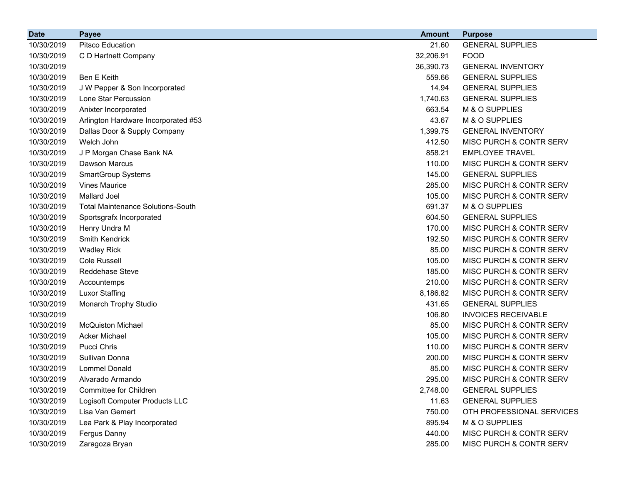| <b>Date</b> | <b>Payee</b>                             | <b>Amount</b> | <b>Purpose</b>             |
|-------------|------------------------------------------|---------------|----------------------------|
| 10/30/2019  | <b>Pitsco Education</b>                  | 21.60         | <b>GENERAL SUPPLIES</b>    |
| 10/30/2019  | C D Hartnett Company                     | 32,206.91     | <b>FOOD</b>                |
| 10/30/2019  |                                          | 36,390.73     | <b>GENERAL INVENTORY</b>   |
| 10/30/2019  | Ben E Keith                              | 559.66        | <b>GENERAL SUPPLIES</b>    |
| 10/30/2019  | J W Pepper & Son Incorporated            | 14.94         | <b>GENERAL SUPPLIES</b>    |
| 10/30/2019  | Lone Star Percussion                     | 1,740.63      | <b>GENERAL SUPPLIES</b>    |
| 10/30/2019  | Anixter Incorporated                     | 663.54        | M & O SUPPLIES             |
| 10/30/2019  | Arlington Hardware Incorporated #53      | 43.67         | M & O SUPPLIES             |
| 10/30/2019  | Dallas Door & Supply Company             | 1,399.75      | <b>GENERAL INVENTORY</b>   |
| 10/30/2019  | Welch John                               | 412.50        | MISC PURCH & CONTR SERV    |
| 10/30/2019  | J P Morgan Chase Bank NA                 | 858.21        | <b>EMPLOYEE TRAVEL</b>     |
| 10/30/2019  | Dawson Marcus                            | 110.00        | MISC PURCH & CONTR SERV    |
| 10/30/2019  | <b>SmartGroup Systems</b>                | 145.00        | <b>GENERAL SUPPLIES</b>    |
| 10/30/2019  | <b>Vines Maurice</b>                     | 285.00        | MISC PURCH & CONTR SERV    |
| 10/30/2019  | <b>Mallard Joel</b>                      | 105.00        | MISC PURCH & CONTR SERV    |
| 10/30/2019  | <b>Total Maintenance Solutions-South</b> | 691.37        | M & O SUPPLIES             |
| 10/30/2019  | Sportsgrafx Incorporated                 | 604.50        | <b>GENERAL SUPPLIES</b>    |
| 10/30/2019  | Henry Undra M                            | 170.00        | MISC PURCH & CONTR SERV    |
| 10/30/2019  | Smith Kendrick                           | 192.50        | MISC PURCH & CONTR SERV    |
| 10/30/2019  | <b>Wadley Rick</b>                       | 85.00         | MISC PURCH & CONTR SERV    |
| 10/30/2019  | <b>Cole Russell</b>                      | 105.00        | MISC PURCH & CONTR SERV    |
| 10/30/2019  | Reddehase Steve                          | 185.00        | MISC PURCH & CONTR SERV    |
| 10/30/2019  | Accountemps                              | 210.00        | MISC PURCH & CONTR SERV    |
| 10/30/2019  | <b>Luxor Staffing</b>                    | 8,186.82      | MISC PURCH & CONTR SERV    |
| 10/30/2019  | Monarch Trophy Studio                    | 431.65        | <b>GENERAL SUPPLIES</b>    |
| 10/30/2019  |                                          | 106.80        | <b>INVOICES RECEIVABLE</b> |
| 10/30/2019  | <b>McQuiston Michael</b>                 | 85.00         | MISC PURCH & CONTR SERV    |
| 10/30/2019  | <b>Acker Michael</b>                     | 105.00        | MISC PURCH & CONTR SERV    |
| 10/30/2019  | Pucci Chris                              | 110.00        | MISC PURCH & CONTR SERV    |
| 10/30/2019  | Sullivan Donna                           | 200.00        | MISC PURCH & CONTR SERV    |
| 10/30/2019  | <b>Lommel Donald</b>                     | 85.00         | MISC PURCH & CONTR SERV    |
| 10/30/2019  | Alvarado Armando                         | 295.00        | MISC PURCH & CONTR SERV    |
| 10/30/2019  | <b>Committee for Children</b>            | 2,748.00      | <b>GENERAL SUPPLIES</b>    |
| 10/30/2019  | Logisoft Computer Products LLC           | 11.63         | <b>GENERAL SUPPLIES</b>    |
| 10/30/2019  | Lisa Van Gemert                          | 750.00        | OTH PROFESSIONAL SERVICES  |
| 10/30/2019  | Lea Park & Play Incorporated             | 895.94        | M & O SUPPLIES             |
| 10/30/2019  | Fergus Danny                             | 440.00        | MISC PURCH & CONTR SERV    |
| 10/30/2019  | Zaragoza Bryan                           | 285.00        | MISC PURCH & CONTR SERV    |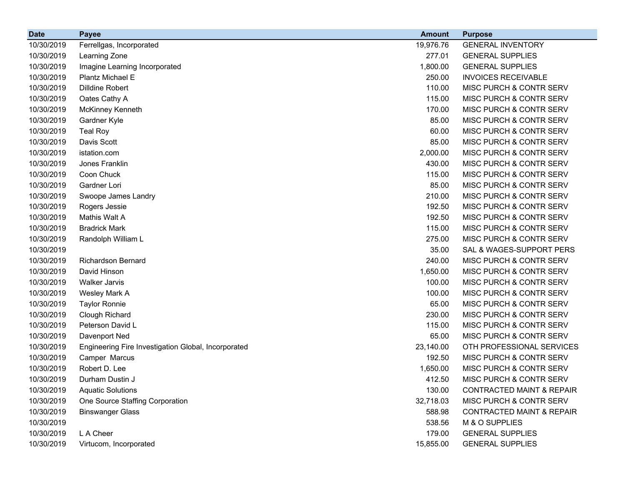| <b>Date</b> | <b>Payee</b>                                        | <b>Amount</b> | <b>Purpose</b>                       |
|-------------|-----------------------------------------------------|---------------|--------------------------------------|
| 10/30/2019  | Ferrellgas, Incorporated                            | 19,976.76     | <b>GENERAL INVENTORY</b>             |
| 10/30/2019  | Learning Zone                                       | 277.01        | <b>GENERAL SUPPLIES</b>              |
| 10/30/2019  | Imagine Learning Incorporated                       | 1,800.00      | <b>GENERAL SUPPLIES</b>              |
| 10/30/2019  | Plantz Michael E                                    | 250.00        | <b>INVOICES RECEIVABLE</b>           |
| 10/30/2019  | <b>Dilldine Robert</b>                              | 110.00        | MISC PURCH & CONTR SERV              |
| 10/30/2019  | Oates Cathy A                                       | 115.00        | MISC PURCH & CONTR SERV              |
| 10/30/2019  | <b>McKinney Kenneth</b>                             | 170.00        | MISC PURCH & CONTR SERV              |
| 10/30/2019  | Gardner Kyle                                        | 85.00         | MISC PURCH & CONTR SERV              |
| 10/30/2019  | <b>Teal Roy</b>                                     | 60.00         | MISC PURCH & CONTR SERV              |
| 10/30/2019  | Davis Scott                                         | 85.00         | MISC PURCH & CONTR SERV              |
| 10/30/2019  | istation.com                                        | 2,000.00      | MISC PURCH & CONTR SERV              |
| 10/30/2019  | Jones Franklin                                      | 430.00        | MISC PURCH & CONTR SERV              |
| 10/30/2019  | Coon Chuck                                          | 115.00        | MISC PURCH & CONTR SERV              |
| 10/30/2019  | Gardner Lori                                        | 85.00         | MISC PURCH & CONTR SERV              |
| 10/30/2019  | Swoope James Landry                                 | 210.00        | MISC PURCH & CONTR SERV              |
| 10/30/2019  | Rogers Jessie                                       | 192.50        | MISC PURCH & CONTR SERV              |
| 10/30/2019  | Mathis Walt A                                       | 192.50        | MISC PURCH & CONTR SERV              |
| 10/30/2019  | <b>Bradrick Mark</b>                                | 115.00        | MISC PURCH & CONTR SERV              |
| 10/30/2019  | Randolph William L                                  | 275.00        | MISC PURCH & CONTR SERV              |
| 10/30/2019  |                                                     | 35.00         | SAL & WAGES-SUPPORT PERS             |
| 10/30/2019  | <b>Richardson Bernard</b>                           | 240.00        | MISC PURCH & CONTR SERV              |
| 10/30/2019  | David Hinson                                        | 1,650.00      | MISC PURCH & CONTR SERV              |
| 10/30/2019  | <b>Walker Jarvis</b>                                | 100.00        | MISC PURCH & CONTR SERV              |
| 10/30/2019  | Wesley Mark A                                       | 100.00        | MISC PURCH & CONTR SERV              |
| 10/30/2019  | <b>Taylor Ronnie</b>                                | 65.00         | MISC PURCH & CONTR SERV              |
| 10/30/2019  | Clough Richard                                      | 230.00        | MISC PURCH & CONTR SERV              |
| 10/30/2019  | Peterson David L                                    | 115.00        | MISC PURCH & CONTR SERV              |
| 10/30/2019  | Davenport Ned                                       | 65.00         | MISC PURCH & CONTR SERV              |
| 10/30/2019  | Engineering Fire Investigation Global, Incorporated | 23,140.00     | OTH PROFESSIONAL SERVICES            |
| 10/30/2019  | Camper Marcus                                       | 192.50        | MISC PURCH & CONTR SERV              |
| 10/30/2019  | Robert D. Lee                                       | 1,650.00      | MISC PURCH & CONTR SERV              |
| 10/30/2019  | Durham Dustin J                                     | 412.50        | MISC PURCH & CONTR SERV              |
| 10/30/2019  | <b>Aquatic Solutions</b>                            | 130.00        | <b>CONTRACTED MAINT &amp; REPAIR</b> |
| 10/30/2019  | One Source Staffing Corporation                     | 32,718.03     | <b>MISC PURCH &amp; CONTR SERV</b>   |
| 10/30/2019  | <b>Binswanger Glass</b>                             | 588.98        | <b>CONTRACTED MAINT &amp; REPAIR</b> |
| 10/30/2019  |                                                     | 538.56        | M & O SUPPLIES                       |
| 10/30/2019  | L A Cheer                                           | 179.00        | <b>GENERAL SUPPLIES</b>              |
| 10/30/2019  | Virtucom, Incorporated                              | 15,855.00     | <b>GENERAL SUPPLIES</b>              |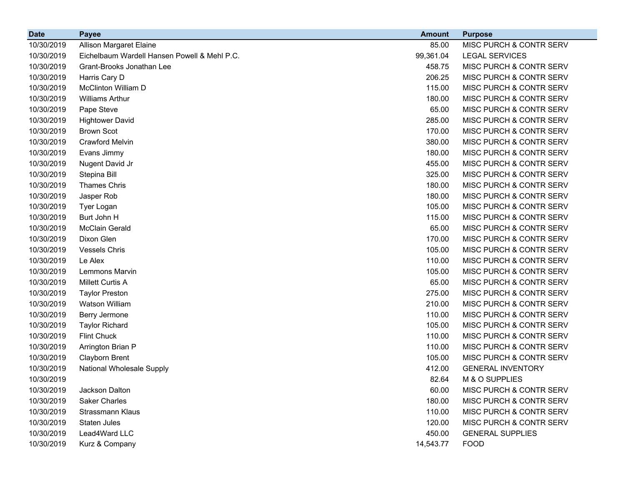| <b>Date</b> | <b>Payee</b>                                 | <b>Amount</b> | <b>Purpose</b>                     |
|-------------|----------------------------------------------|---------------|------------------------------------|
| 10/30/2019  | Allison Margaret Elaine                      | 85.00         | MISC PURCH & CONTR SERV            |
| 10/30/2019  | Eichelbaum Wardell Hansen Powell & Mehl P.C. | 99,361.04     | <b>LEGAL SERVICES</b>              |
| 10/30/2019  | Grant-Brooks Jonathan Lee                    | 458.75        | MISC PURCH & CONTR SERV            |
| 10/30/2019  | Harris Cary D                                | 206.25        | MISC PURCH & CONTR SERV            |
| 10/30/2019  | <b>McClinton William D</b>                   | 115.00        | MISC PURCH & CONTR SERV            |
| 10/30/2019  | <b>Williams Arthur</b>                       | 180.00        | MISC PURCH & CONTR SERV            |
| 10/30/2019  | Pape Steve                                   | 65.00         | MISC PURCH & CONTR SERV            |
| 10/30/2019  | <b>Hightower David</b>                       | 285.00        | MISC PURCH & CONTR SERV            |
| 10/30/2019  | <b>Brown Scot</b>                            | 170.00        | MISC PURCH & CONTR SERV            |
| 10/30/2019  | <b>Crawford Melvin</b>                       | 380.00        | MISC PURCH & CONTR SERV            |
| 10/30/2019  | Evans Jimmy                                  | 180.00        | MISC PURCH & CONTR SERV            |
| 10/30/2019  | Nugent David Jr                              | 455.00        | MISC PURCH & CONTR SERV            |
| 10/30/2019  | Stepina Bill                                 | 325.00        | MISC PURCH & CONTR SERV            |
| 10/30/2019  | <b>Thames Chris</b>                          | 180.00        | MISC PURCH & CONTR SERV            |
| 10/30/2019  | Jasper Rob                                   | 180.00        | MISC PURCH & CONTR SERV            |
| 10/30/2019  | Tyer Logan                                   | 105.00        | MISC PURCH & CONTR SERV            |
| 10/30/2019  | Burt John H                                  | 115.00        | MISC PURCH & CONTR SERV            |
| 10/30/2019  | <b>McClain Gerald</b>                        | 65.00         | MISC PURCH & CONTR SERV            |
| 10/30/2019  | Dixon Glen                                   | 170.00        | MISC PURCH & CONTR SERV            |
| 10/30/2019  | <b>Vessels Chris</b>                         | 105.00        | MISC PURCH & CONTR SERV            |
| 10/30/2019  | Le Alex                                      | 110.00        | MISC PURCH & CONTR SERV            |
| 10/30/2019  | Lemmons Marvin                               | 105.00        | MISC PURCH & CONTR SERV            |
| 10/30/2019  | Millett Curtis A                             | 65.00         | MISC PURCH & CONTR SERV            |
| 10/30/2019  | <b>Taylor Preston</b>                        | 275.00        | MISC PURCH & CONTR SERV            |
| 10/30/2019  | Watson William                               | 210.00        | MISC PURCH & CONTR SERV            |
| 10/30/2019  | Berry Jermone                                | 110.00        | MISC PURCH & CONTR SERV            |
| 10/30/2019  | <b>Taylor Richard</b>                        | 105.00        | MISC PURCH & CONTR SERV            |
| 10/30/2019  | <b>Flint Chuck</b>                           | 110.00        | MISC PURCH & CONTR SERV            |
| 10/30/2019  | Arrington Brian P                            | 110.00        | <b>MISC PURCH &amp; CONTR SERV</b> |
| 10/30/2019  | <b>Clayborn Brent</b>                        | 105.00        | MISC PURCH & CONTR SERV            |
| 10/30/2019  | <b>National Wholesale Supply</b>             | 412.00        | <b>GENERAL INVENTORY</b>           |
| 10/30/2019  |                                              | 82.64         | M & O SUPPLIES                     |
| 10/30/2019  | Jackson Dalton                               | 60.00         | MISC PURCH & CONTR SERV            |
| 10/30/2019  | <b>Saker Charles</b>                         | 180.00        | MISC PURCH & CONTR SERV            |
| 10/30/2019  | Strassmann Klaus                             | 110.00        | MISC PURCH & CONTR SERV            |
| 10/30/2019  | Staten Jules                                 | 120.00        | MISC PURCH & CONTR SERV            |
| 10/30/2019  | Lead4Ward LLC                                | 450.00        | <b>GENERAL SUPPLIES</b>            |
| 10/30/2019  | Kurz & Company                               | 14,543.77     | <b>FOOD</b>                        |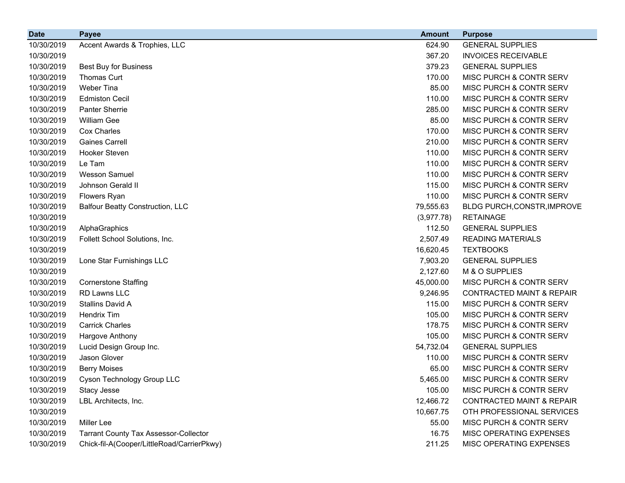| <b>Date</b> | <b>Payee</b>                                 | <b>Amount</b> | <b>Purpose</b>                       |
|-------------|----------------------------------------------|---------------|--------------------------------------|
| 10/30/2019  | Accent Awards & Trophies, LLC                | 624.90        | <b>GENERAL SUPPLIES</b>              |
| 10/30/2019  |                                              | 367.20        | <b>INVOICES RECEIVABLE</b>           |
| 10/30/2019  | <b>Best Buy for Business</b>                 | 379.23        | <b>GENERAL SUPPLIES</b>              |
| 10/30/2019  | Thomas Curt                                  | 170.00        | MISC PURCH & CONTR SERV              |
| 10/30/2019  | Weber Tina                                   | 85.00         | MISC PURCH & CONTR SERV              |
| 10/30/2019  | <b>Edmiston Cecil</b>                        | 110.00        | MISC PURCH & CONTR SERV              |
| 10/30/2019  | Panter Sherrie                               | 285.00        | MISC PURCH & CONTR SERV              |
| 10/30/2019  | William Gee                                  | 85.00         | MISC PURCH & CONTR SERV              |
| 10/30/2019  | Cox Charles                                  | 170.00        | MISC PURCH & CONTR SERV              |
| 10/30/2019  | <b>Gaines Carrell</b>                        | 210.00        | MISC PURCH & CONTR SERV              |
| 10/30/2019  | Hooker Steven                                | 110.00        | MISC PURCH & CONTR SERV              |
| 10/30/2019  | Le Tam                                       | 110.00        | MISC PURCH & CONTR SERV              |
| 10/30/2019  | <b>Wesson Samuel</b>                         | 110.00        | MISC PURCH & CONTR SERV              |
| 10/30/2019  | Johnson Gerald II                            | 115.00        | MISC PURCH & CONTR SERV              |
| 10/30/2019  | Flowers Ryan                                 | 110.00        | MISC PURCH & CONTR SERV              |
| 10/30/2019  | <b>Balfour Beatty Construction, LLC</b>      | 79,555.63     | BLDG PURCH, CONSTR, IMPROVE          |
| 10/30/2019  |                                              | (3,977.78)    | <b>RETAINAGE</b>                     |
| 10/30/2019  | AlphaGraphics                                | 112.50        | <b>GENERAL SUPPLIES</b>              |
| 10/30/2019  | Follett School Solutions, Inc.               | 2,507.49      | <b>READING MATERIALS</b>             |
| 10/30/2019  |                                              | 16,620.45     | <b>TEXTBOOKS</b>                     |
| 10/30/2019  | Lone Star Furnishings LLC                    | 7,903.20      | <b>GENERAL SUPPLIES</b>              |
| 10/30/2019  |                                              | 2,127.60      | M & O SUPPLIES                       |
| 10/30/2019  | <b>Cornerstone Staffing</b>                  | 45,000.00     | MISC PURCH & CONTR SERV              |
| 10/30/2019  | RD Lawns LLC                                 | 9,246.95      | <b>CONTRACTED MAINT &amp; REPAIR</b> |
| 10/30/2019  | Stallins David A                             | 115.00        | MISC PURCH & CONTR SERV              |
| 10/30/2019  | <b>Hendrix Tim</b>                           | 105.00        | MISC PURCH & CONTR SERV              |
| 10/30/2019  | <b>Carrick Charles</b>                       | 178.75        | MISC PURCH & CONTR SERV              |
| 10/30/2019  | Hargove Anthony                              | 105.00        | MISC PURCH & CONTR SERV              |
| 10/30/2019  | Lucid Design Group Inc.                      | 54,732.04     | <b>GENERAL SUPPLIES</b>              |
| 10/30/2019  | Jason Glover                                 | 110.00        | <b>MISC PURCH &amp; CONTR SERV</b>   |
| 10/30/2019  | <b>Berry Moises</b>                          | 65.00         | MISC PURCH & CONTR SERV              |
| 10/30/2019  | Cyson Technology Group LLC                   | 5,465.00      | MISC PURCH & CONTR SERV              |
| 10/30/2019  | Stacy Jesse                                  | 105.00        | MISC PURCH & CONTR SERV              |
| 10/30/2019  | LBL Architects, Inc.                         | 12,466.72     | <b>CONTRACTED MAINT &amp; REPAIR</b> |
| 10/30/2019  |                                              | 10,667.75     | OTH PROFESSIONAL SERVICES            |
| 10/30/2019  | <b>Miller Lee</b>                            | 55.00         | MISC PURCH & CONTR SERV              |
| 10/30/2019  | <b>Tarrant County Tax Assessor-Collector</b> | 16.75         | MISC OPERATING EXPENSES              |
| 10/30/2019  | Chick-fil-A(Cooper/LittleRoad/CarrierPkwy)   | 211.25        | MISC OPERATING EXPENSES              |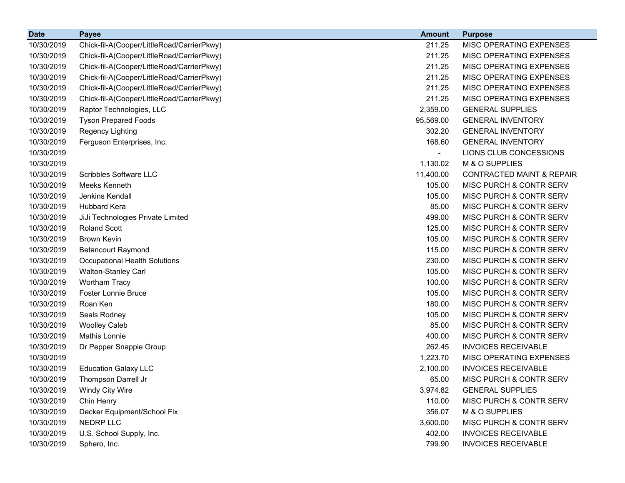| <b>Date</b> | <b>Payee</b>                               | <b>Amount</b> | <b>Purpose</b>                       |
|-------------|--------------------------------------------|---------------|--------------------------------------|
| 10/30/2019  | Chick-fil-A(Cooper/LittleRoad/CarrierPkwy) | 211.25        | MISC OPERATING EXPENSES              |
| 10/30/2019  | Chick-fil-A(Cooper/LittleRoad/CarrierPkwy) | 211.25        | MISC OPERATING EXPENSES              |
| 10/30/2019  | Chick-fil-A(Cooper/LittleRoad/CarrierPkwy) | 211.25        | MISC OPERATING EXPENSES              |
| 10/30/2019  | Chick-fil-A(Cooper/LittleRoad/CarrierPkwy) | 211.25        | MISC OPERATING EXPENSES              |
| 10/30/2019  | Chick-fil-A(Cooper/LittleRoad/CarrierPkwy) | 211.25        | MISC OPERATING EXPENSES              |
| 10/30/2019  | Chick-fil-A(Cooper/LittleRoad/CarrierPkwy) | 211.25        | MISC OPERATING EXPENSES              |
| 10/30/2019  | Raptor Technologies, LLC                   | 2,359.00      | <b>GENERAL SUPPLIES</b>              |
| 10/30/2019  | <b>Tyson Prepared Foods</b>                | 95,569.00     | <b>GENERAL INVENTORY</b>             |
| 10/30/2019  | Regency Lighting                           | 302.20        | <b>GENERAL INVENTORY</b>             |
| 10/30/2019  | Ferguson Enterprises, Inc.                 | 168.60        | <b>GENERAL INVENTORY</b>             |
| 10/30/2019  |                                            |               | LIONS CLUB CONCESSIONS               |
| 10/30/2019  |                                            | 1,130.02      | M & O SUPPLIES                       |
| 10/30/2019  | <b>Scribbles Software LLC</b>              | 11,400.00     | <b>CONTRACTED MAINT &amp; REPAIR</b> |
| 10/30/2019  | Meeks Kenneth                              | 105.00        | MISC PURCH & CONTR SERV              |
| 10/30/2019  | Jenkins Kendall                            | 105.00        | MISC PURCH & CONTR SERV              |
| 10/30/2019  | <b>Hubbard Kera</b>                        | 85.00         | MISC PURCH & CONTR SERV              |
| 10/30/2019  | JiJi Technologies Private Limited          | 499.00        | MISC PURCH & CONTR SERV              |
| 10/30/2019  | <b>Roland Scott</b>                        | 125.00        | MISC PURCH & CONTR SERV              |
| 10/30/2019  | <b>Brown Kevin</b>                         | 105.00        | MISC PURCH & CONTR SERV              |
| 10/30/2019  | <b>Betancourt Raymond</b>                  | 115.00        | MISC PURCH & CONTR SERV              |
| 10/30/2019  | Occupational Health Solutions              | 230.00        | MISC PURCH & CONTR SERV              |
| 10/30/2019  | Walton-Stanley Carl                        | 105.00        | MISC PURCH & CONTR SERV              |
| 10/30/2019  | Wortham Tracy                              | 100.00        | MISC PURCH & CONTR SERV              |
| 10/30/2019  | <b>Foster Lonnie Bruce</b>                 | 105.00        | MISC PURCH & CONTR SERV              |
| 10/30/2019  | Roan Ken                                   | 180.00        | MISC PURCH & CONTR SERV              |
| 10/30/2019  | Seals Rodney                               | 105.00        | MISC PURCH & CONTR SERV              |
| 10/30/2019  | <b>Woolley Caleb</b>                       | 85.00         | MISC PURCH & CONTR SERV              |
| 10/30/2019  | Mathis Lonnie                              | 400.00        | MISC PURCH & CONTR SERV              |
| 10/30/2019  | Dr Pepper Snapple Group                    | 262.45        | <b>INVOICES RECEIVABLE</b>           |
| 10/30/2019  |                                            | 1,223.70      | MISC OPERATING EXPENSES              |
| 10/30/2019  | <b>Education Galaxy LLC</b>                | 2,100.00      | <b>INVOICES RECEIVABLE</b>           |
| 10/30/2019  | Thompson Darrell Jr                        | 65.00         | MISC PURCH & CONTR SERV              |
| 10/30/2019  | Windy City Wire                            | 3,974.82      | <b>GENERAL SUPPLIES</b>              |
| 10/30/2019  | Chin Henry                                 | 110.00        | MISC PURCH & CONTR SERV              |
| 10/30/2019  | Decker Equipment/School Fix                | 356.07        | M & O SUPPLIES                       |
| 10/30/2019  | NEDRP LLC                                  | 3,600.00      | MISC PURCH & CONTR SERV              |
| 10/30/2019  | U.S. School Supply, Inc.                   | 402.00        | <b>INVOICES RECEIVABLE</b>           |
| 10/30/2019  | Sphero, Inc.                               | 799.90        | <b>INVOICES RECEIVABLE</b>           |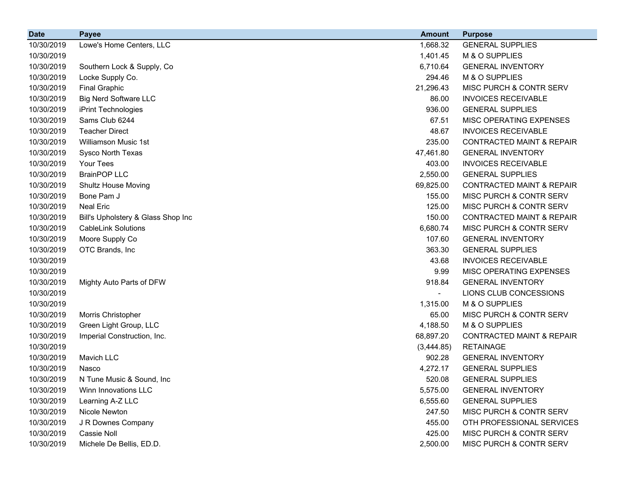| <b>Date</b> | <b>Payee</b>                       | <b>Amount</b> | <b>Purpose</b>                       |
|-------------|------------------------------------|---------------|--------------------------------------|
| 10/30/2019  | Lowe's Home Centers, LLC           | 1,668.32      | <b>GENERAL SUPPLIES</b>              |
| 10/30/2019  |                                    | 1,401.45      | M & O SUPPLIES                       |
| 10/30/2019  | Southern Lock & Supply, Co.        | 6,710.64      | <b>GENERAL INVENTORY</b>             |
| 10/30/2019  | Locke Supply Co.                   | 294.46        | M & O SUPPLIES                       |
| 10/30/2019  | <b>Final Graphic</b>               | 21,296.43     | MISC PURCH & CONTR SERV              |
| 10/30/2019  | <b>Big Nerd Software LLC</b>       | 86.00         | <b>INVOICES RECEIVABLE</b>           |
| 10/30/2019  | iPrint Technologies                | 936.00        | <b>GENERAL SUPPLIES</b>              |
| 10/30/2019  | Sams Club 6244                     | 67.51         | MISC OPERATING EXPENSES              |
| 10/30/2019  | <b>Teacher Direct</b>              | 48.67         | <b>INVOICES RECEIVABLE</b>           |
| 10/30/2019  | Williamson Music 1st               | 235.00        | <b>CONTRACTED MAINT &amp; REPAIR</b> |
| 10/30/2019  | Sysco North Texas                  | 47,461.80     | <b>GENERAL INVENTORY</b>             |
| 10/30/2019  | Your Tees                          | 403.00        | <b>INVOICES RECEIVABLE</b>           |
| 10/30/2019  | <b>BrainPOP LLC</b>                | 2,550.00      | <b>GENERAL SUPPLIES</b>              |
| 10/30/2019  | <b>Shultz House Moving</b>         | 69,825.00     | <b>CONTRACTED MAINT &amp; REPAIR</b> |
| 10/30/2019  | Bone Pam J                         | 155.00        | MISC PURCH & CONTR SERV              |
| 10/30/2019  | <b>Neal Eric</b>                   | 125.00        | MISC PURCH & CONTR SERV              |
| 10/30/2019  | Bill's Upholstery & Glass Shop Inc | 150.00        | <b>CONTRACTED MAINT &amp; REPAIR</b> |
| 10/30/2019  | <b>CableLink Solutions</b>         | 6,680.74      | MISC PURCH & CONTR SERV              |
| 10/30/2019  | Moore Supply Co                    | 107.60        | <b>GENERAL INVENTORY</b>             |
| 10/30/2019  | OTC Brands, Inc                    | 363.30        | <b>GENERAL SUPPLIES</b>              |
| 10/30/2019  |                                    | 43.68         | <b>INVOICES RECEIVABLE</b>           |
| 10/30/2019  |                                    | 9.99          | MISC OPERATING EXPENSES              |
| 10/30/2019  | Mighty Auto Parts of DFW           | 918.84        | <b>GENERAL INVENTORY</b>             |
| 10/30/2019  |                                    |               | LIONS CLUB CONCESSIONS               |
| 10/30/2019  |                                    | 1,315.00      | M & O SUPPLIES                       |
| 10/30/2019  | Morris Christopher                 | 65.00         | MISC PURCH & CONTR SERV              |
| 10/30/2019  | Green Light Group, LLC             | 4,188.50      | M & O SUPPLIES                       |
| 10/30/2019  | Imperial Construction, Inc.        | 68,897.20     | <b>CONTRACTED MAINT &amp; REPAIR</b> |
| 10/30/2019  |                                    | (3,444.85)    | <b>RETAINAGE</b>                     |
| 10/30/2019  | Mavich LLC                         | 902.28        | <b>GENERAL INVENTORY</b>             |
| 10/30/2019  | Nasco                              | 4,272.17      | <b>GENERAL SUPPLIES</b>              |
| 10/30/2019  | N Tune Music & Sound, Inc.         | 520.08        | <b>GENERAL SUPPLIES</b>              |
| 10/30/2019  | Winn Innovations LLC               | 5,575.00      | <b>GENERAL INVENTORY</b>             |
| 10/30/2019  | Learning A-Z LLC                   | 6,555.60      | <b>GENERAL SUPPLIES</b>              |
| 10/30/2019  | Nicole Newton                      | 247.50        | MISC PURCH & CONTR SERV              |
| 10/30/2019  | J R Downes Company                 | 455.00        | OTH PROFESSIONAL SERVICES            |
| 10/30/2019  | Cassie Noll                        | 425.00        | MISC PURCH & CONTR SERV              |
| 10/30/2019  | Michele De Bellis, ED.D.           | 2,500.00      | MISC PURCH & CONTR SERV              |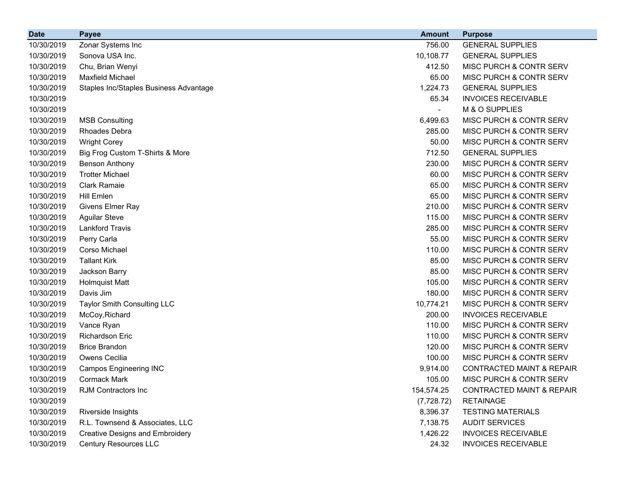| <b>Date</b> | <b>Payee</b>                           | <b>Amount</b> | <b>Purpose</b>                       |
|-------------|----------------------------------------|---------------|--------------------------------------|
| 10/30/2019  | Zonar Systems Inc                      | 756.00        | <b>GENERAL SUPPLIES</b>              |
| 10/30/2019  | Sonova USA Inc.                        | 10,108.77     | <b>GENERAL SUPPLIES</b>              |
| 10/30/2019  | Chu, Brian Wenyi                       | 412.50        | MISC PURCH & CONTR SERV              |
| 10/30/2019  | <b>Maxfield Michael</b>                | 65.00         | MISC PURCH & CONTR SERV              |
| 10/30/2019  | Staples Inc/Staples Business Advantage | 1,224.73      | <b>GENERAL SUPPLIES</b>              |
| 10/30/2019  |                                        | 65.34         | <b>INVOICES RECEIVABLE</b>           |
| 10/30/2019  |                                        |               | M & O SUPPLIES                       |
| 10/30/2019  | <b>MSB Consulting</b>                  | 6,499.63      | MISC PURCH & CONTR SERV              |
| 10/30/2019  | <b>Rhoades Debra</b>                   | 285.00        | MISC PURCH & CONTR SERV              |
| 10/30/2019  | <b>Wright Corey</b>                    | 50.00         | MISC PURCH & CONTR SERV              |
| 10/30/2019  | Big Frog Custom T-Shirts & More        | 712.50        | <b>GENERAL SUPPLIES</b>              |
| 10/30/2019  | <b>Benson Anthony</b>                  | 230.00        | MISC PURCH & CONTR SERV              |
| 10/30/2019  | <b>Trotter Michael</b>                 | 60.00         | MISC PURCH & CONTR SERV              |
| 10/30/2019  | <b>Clark Ramaie</b>                    | 65.00         | MISC PURCH & CONTR SERV              |
| 10/30/2019  | Hill Emlen                             | 65.00         | MISC PURCH & CONTR SERV              |
| 10/30/2019  | Givens Elmer Ray                       | 210.00        | MISC PURCH & CONTR SERV              |
| 10/30/2019  | <b>Aguilar Steve</b>                   | 115.00        | MISC PURCH & CONTR SERV              |
| 10/30/2019  | <b>Lankford Travis</b>                 | 285.00        | MISC PURCH & CONTR SERV              |
| 10/30/2019  | Perry Carla                            | 55.00         | MISC PURCH & CONTR SERV              |
| 10/30/2019  | Corso Michael                          | 110.00        | MISC PURCH & CONTR SERV              |
| 10/30/2019  | <b>Tallant Kirk</b>                    | 85.00         | MISC PURCH & CONTR SERV              |
| 10/30/2019  | Jackson Barry                          | 85.00         | MISC PURCH & CONTR SERV              |
| 10/30/2019  | <b>Holmquist Matt</b>                  | 105.00        | MISC PURCH & CONTR SERV              |
| 10/30/2019  | Davis Jim                              | 180.00        | MISC PURCH & CONTR SERV              |
| 10/30/2019  | Taylor Smith Consulting LLC            | 10,774.21     | MISC PURCH & CONTR SERV              |
| 10/30/2019  | McCoy, Richard                         | 200.00        | <b>INVOICES RECEIVABLE</b>           |
| 10/30/2019  | Vance Ryan                             | 110.00        | MISC PURCH & CONTR SERV              |
| 10/30/2019  | <b>Richardson Eric</b>                 | 110.00        | MISC PURCH & CONTR SERV              |
| 10/30/2019  | <b>Brice Brandon</b>                   | 120.00        | MISC PURCH & CONTR SERV              |
| 10/30/2019  | Owens Cecilia                          | 100.00        | MISC PURCH & CONTR SERV              |
| 10/30/2019  | <b>Campos Engineering INC</b>          | 9,914.00      | <b>CONTRACTED MAINT &amp; REPAIR</b> |
| 10/30/2019  | Cormack Mark                           | 105.00        | MISC PURCH & CONTR SERV              |
| 10/30/2019  | RJM Contractors Inc                    | 154,574.25    | <b>CONTRACTED MAINT &amp; REPAIR</b> |
| 10/30/2019  |                                        | (7, 728.72)   | <b>RETAINAGE</b>                     |
| 10/30/2019  | Riverside Insights                     | 8,396.37      | <b>TESTING MATERIALS</b>             |
| 10/30/2019  | R.L. Townsend & Associates, LLC        | 7,138.75      | <b>AUDIT SERVICES</b>                |
| 10/30/2019  | <b>Creative Designs and Embroidery</b> | 1,426.22      | <b>INVOICES RECEIVABLE</b>           |
| 10/30/2019  | <b>Century Resources LLC</b>           | 24.32         | <b>INVOICES RECEIVABLE</b>           |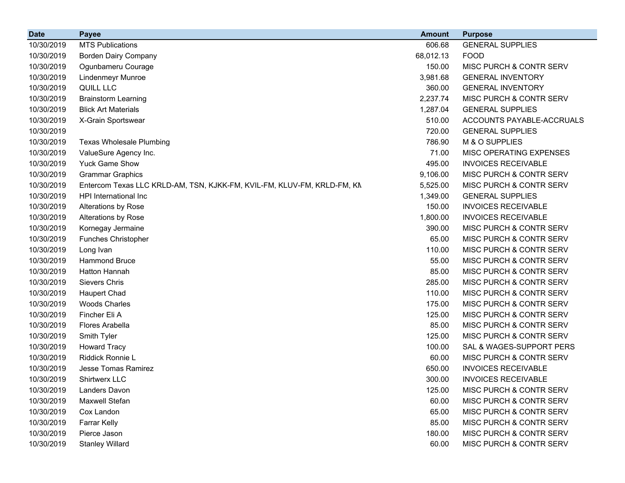| <b>Date</b> | <b>Payee</b>                                                            | <b>Amount</b> | <b>Purpose</b>             |
|-------------|-------------------------------------------------------------------------|---------------|----------------------------|
| 10/30/2019  | <b>MTS Publications</b>                                                 | 606.68        | <b>GENERAL SUPPLIES</b>    |
| 10/30/2019  | <b>Borden Dairy Company</b>                                             | 68,012.13     | <b>FOOD</b>                |
| 10/30/2019  | Ogunbameru Courage                                                      | 150.00        | MISC PURCH & CONTR SERV    |
| 10/30/2019  | Lindenmeyr Munroe                                                       | 3,981.68      | <b>GENERAL INVENTORY</b>   |
| 10/30/2019  | QUILL LLC                                                               | 360.00        | <b>GENERAL INVENTORY</b>   |
| 10/30/2019  | <b>Brainstorm Learning</b>                                              | 2,237.74      | MISC PURCH & CONTR SERV    |
| 10/30/2019  | <b>Blick Art Materials</b>                                              | 1,287.04      | <b>GENERAL SUPPLIES</b>    |
| 10/30/2019  | X-Grain Sportswear                                                      | 510.00        | ACCOUNTS PAYABLE-ACCRUALS  |
| 10/30/2019  |                                                                         | 720.00        | <b>GENERAL SUPPLIES</b>    |
| 10/30/2019  | <b>Texas Wholesale Plumbing</b>                                         | 786.90        | M & O SUPPLIES             |
| 10/30/2019  | ValueSure Agency Inc.                                                   | 71.00         | MISC OPERATING EXPENSES    |
| 10/30/2019  | <b>Yuck Game Show</b>                                                   | 495.00        | <b>INVOICES RECEIVABLE</b> |
| 10/30/2019  | <b>Grammar Graphics</b>                                                 | 9,106.00      | MISC PURCH & CONTR SERV    |
| 10/30/2019  | Entercom Texas LLC KRLD-AM, TSN, KJKK-FM, KVIL-FM, KLUV-FM, KRLD-FM, KN | 5,525.00      | MISC PURCH & CONTR SERV    |
| 10/30/2019  | HPI International Inc                                                   | 1,349.00      | <b>GENERAL SUPPLIES</b>    |
| 10/30/2019  | Alterations by Rose                                                     | 150.00        | <b>INVOICES RECEIVABLE</b> |
| 10/30/2019  | Alterations by Rose                                                     | 1,800.00      | <b>INVOICES RECEIVABLE</b> |
| 10/30/2019  | Kornegay Jermaine                                                       | 390.00        | MISC PURCH & CONTR SERV    |
| 10/30/2019  | <b>Funches Christopher</b>                                              | 65.00         | MISC PURCH & CONTR SERV    |
| 10/30/2019  | Long Ivan                                                               | 110.00        | MISC PURCH & CONTR SERV    |
| 10/30/2019  | <b>Hammond Bruce</b>                                                    | 55.00         | MISC PURCH & CONTR SERV    |
| 10/30/2019  | Hatton Hannah                                                           | 85.00         | MISC PURCH & CONTR SERV    |
| 10/30/2019  | <b>Sievers Chris</b>                                                    | 285.00        | MISC PURCH & CONTR SERV    |
| 10/30/2019  | <b>Haupert Chad</b>                                                     | 110.00        | MISC PURCH & CONTR SERV    |
| 10/30/2019  | <b>Woods Charles</b>                                                    | 175.00        | MISC PURCH & CONTR SERV    |
| 10/30/2019  | Fincher Eli A                                                           | 125.00        | MISC PURCH & CONTR SERV    |
| 10/30/2019  | Flores Arabella                                                         | 85.00         | MISC PURCH & CONTR SERV    |
| 10/30/2019  | Smith Tyler                                                             | 125.00        | MISC PURCH & CONTR SERV    |
| 10/30/2019  | <b>Howard Tracy</b>                                                     | 100.00        | SAL & WAGES-SUPPORT PERS   |
| 10/30/2019  | Riddick Ronnie L                                                        | 60.00         | MISC PURCH & CONTR SERV    |
| 10/30/2019  | Jesse Tomas Ramirez                                                     | 650.00        | <b>INVOICES RECEIVABLE</b> |
| 10/30/2019  | <b>Shirtwerx LLC</b>                                                    | 300.00        | <b>INVOICES RECEIVABLE</b> |
| 10/30/2019  | Landers Davon                                                           | 125.00        | MISC PURCH & CONTR SERV    |
| 10/30/2019  | Maxwell Stefan                                                          | 60.00         | MISC PURCH & CONTR SERV    |
| 10/30/2019  | Cox Landon                                                              | 65.00         | MISC PURCH & CONTR SERV    |
| 10/30/2019  | <b>Farrar Kelly</b>                                                     | 85.00         | MISC PURCH & CONTR SERV    |
| 10/30/2019  | Pierce Jason                                                            | 180.00        | MISC PURCH & CONTR SERV    |
| 10/30/2019  | <b>Stanley Willard</b>                                                  | 60.00         | MISC PURCH & CONTR SERV    |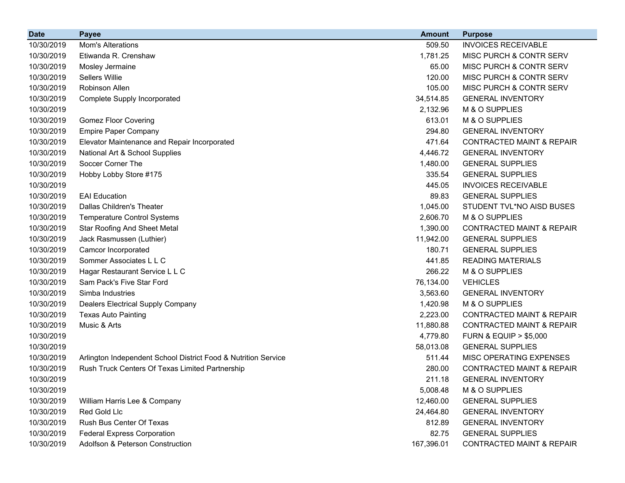| <b>Date</b> | <b>Payee</b>                                                   | <b>Amount</b> | <b>Purpose</b>                       |
|-------------|----------------------------------------------------------------|---------------|--------------------------------------|
| 10/30/2019  | Mom's Alterations                                              | 509.50        | <b>INVOICES RECEIVABLE</b>           |
| 10/30/2019  | Etiwanda R. Crenshaw                                           | 1,781.25      | MISC PURCH & CONTR SERV              |
| 10/30/2019  | Mosley Jermaine                                                | 65.00         | MISC PURCH & CONTR SERV              |
| 10/30/2019  | Sellers Willie                                                 | 120.00        | <b>MISC PURCH &amp; CONTR SERV</b>   |
| 10/30/2019  | Robinson Allen                                                 | 105.00        | <b>MISC PURCH &amp; CONTR SERV</b>   |
| 10/30/2019  | Complete Supply Incorporated                                   | 34,514.85     | <b>GENERAL INVENTORY</b>             |
| 10/30/2019  |                                                                | 2,132.96      | M & O SUPPLIES                       |
| 10/30/2019  | <b>Gomez Floor Covering</b>                                    | 613.01        | M & O SUPPLIES                       |
| 10/30/2019  | <b>Empire Paper Company</b>                                    | 294.80        | <b>GENERAL INVENTORY</b>             |
| 10/30/2019  | Elevator Maintenance and Repair Incorporated                   | 471.64        | <b>CONTRACTED MAINT &amp; REPAIR</b> |
| 10/30/2019  | National Art & School Supplies                                 | 4,446.72      | <b>GENERAL INVENTORY</b>             |
| 10/30/2019  | Soccer Corner The                                              | 1,480.00      | <b>GENERAL SUPPLIES</b>              |
| 10/30/2019  | Hobby Lobby Store #175                                         | 335.54        | <b>GENERAL SUPPLIES</b>              |
| 10/30/2019  |                                                                | 445.05        | <b>INVOICES RECEIVABLE</b>           |
| 10/30/2019  | <b>EAI Education</b>                                           | 89.83         | <b>GENERAL SUPPLIES</b>              |
| 10/30/2019  | Dallas Children's Theater                                      | 1,045.00      | STUDENT TVL*NO AISD BUSES            |
| 10/30/2019  | <b>Temperature Control Systems</b>                             | 2,606.70      | M & O SUPPLIES                       |
| 10/30/2019  | <b>Star Roofing And Sheet Metal</b>                            | 1,390.00      | <b>CONTRACTED MAINT &amp; REPAIR</b> |
| 10/30/2019  | Jack Rasmussen (Luthier)                                       | 11,942.00     | <b>GENERAL SUPPLIES</b>              |
| 10/30/2019  | Camcor Incorporated                                            | 180.71        | <b>GENERAL SUPPLIES</b>              |
| 10/30/2019  | Sommer Associates L L C                                        | 441.85        | <b>READING MATERIALS</b>             |
| 10/30/2019  | Hagar Restaurant Service L L C                                 | 266.22        | M & O SUPPLIES                       |
| 10/30/2019  | Sam Pack's Five Star Ford                                      | 76,134.00     | <b>VEHICLES</b>                      |
| 10/30/2019  | Simba Industries                                               | 3,563.60      | <b>GENERAL INVENTORY</b>             |
| 10/30/2019  | Dealers Electrical Supply Company                              | 1,420.98      | M & O SUPPLIES                       |
| 10/30/2019  | <b>Texas Auto Painting</b>                                     | 2,223.00      | <b>CONTRACTED MAINT &amp; REPAIR</b> |
| 10/30/2019  | Music & Arts                                                   | 11,880.88     | <b>CONTRACTED MAINT &amp; REPAIR</b> |
| 10/30/2019  |                                                                | 4,779.80      | <b>FURN &amp; EQUIP &gt; \$5,000</b> |
| 10/30/2019  |                                                                | 58,013.08     | <b>GENERAL SUPPLIES</b>              |
| 10/30/2019  | Arlington Independent School District Food & Nutrition Service | 511.44        | <b>MISC OPERATING EXPENSES</b>       |
| 10/30/2019  | Rush Truck Centers Of Texas Limited Partnership                | 280.00        | <b>CONTRACTED MAINT &amp; REPAIR</b> |
| 10/30/2019  |                                                                | 211.18        | <b>GENERAL INVENTORY</b>             |
| 10/30/2019  |                                                                | 5,008.48      | M & O SUPPLIES                       |
| 10/30/2019  | William Harris Lee & Company                                   | 12,460.00     | <b>GENERAL SUPPLIES</b>              |
| 10/30/2019  | Red Gold Llc                                                   | 24,464.80     | <b>GENERAL INVENTORY</b>             |
| 10/30/2019  | Rush Bus Center Of Texas                                       | 812.89        | <b>GENERAL INVENTORY</b>             |
| 10/30/2019  | <b>Federal Express Corporation</b>                             | 82.75         | <b>GENERAL SUPPLIES</b>              |
| 10/30/2019  | Adolfson & Peterson Construction                               | 167,396.01    | CONTRACTED MAINT & REPAIR            |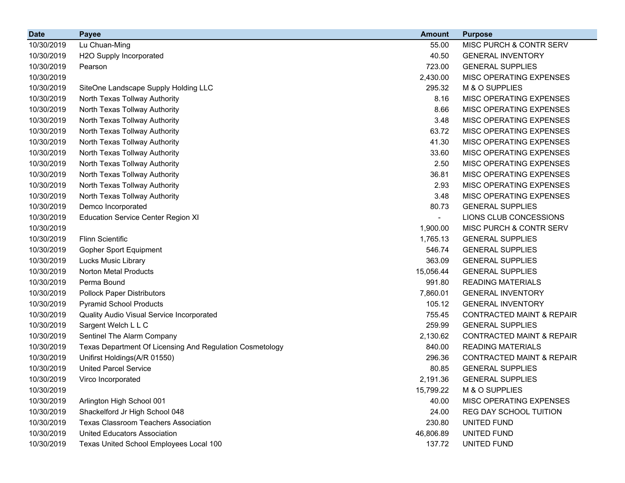| <b>Date</b> | <b>Payee</b>                                             | <b>Amount</b> | <b>Purpose</b>                       |
|-------------|----------------------------------------------------------|---------------|--------------------------------------|
| 10/30/2019  | Lu Chuan-Ming                                            | 55.00         | MISC PURCH & CONTR SERV              |
| 10/30/2019  | H2O Supply Incorporated                                  | 40.50         | <b>GENERAL INVENTORY</b>             |
| 10/30/2019  | Pearson                                                  | 723.00        | <b>GENERAL SUPPLIES</b>              |
| 10/30/2019  |                                                          | 2,430.00      | MISC OPERATING EXPENSES              |
| 10/30/2019  | SiteOne Landscape Supply Holding LLC                     | 295.32        | M & O SUPPLIES                       |
| 10/30/2019  | North Texas Tollway Authority                            | 8.16          | MISC OPERATING EXPENSES              |
| 10/30/2019  | North Texas Tollway Authority                            | 8.66          | MISC OPERATING EXPENSES              |
| 10/30/2019  | North Texas Tollway Authority                            | 3.48          | MISC OPERATING EXPENSES              |
| 10/30/2019  | North Texas Tollway Authority                            | 63.72         | MISC OPERATING EXPENSES              |
| 10/30/2019  | North Texas Tollway Authority                            | 41.30         | MISC OPERATING EXPENSES              |
| 10/30/2019  | North Texas Tollway Authority                            | 33.60         | MISC OPERATING EXPENSES              |
| 10/30/2019  | North Texas Tollway Authority                            | 2.50          | MISC OPERATING EXPENSES              |
| 10/30/2019  | North Texas Tollway Authority                            | 36.81         | MISC OPERATING EXPENSES              |
| 10/30/2019  | North Texas Tollway Authority                            | 2.93          | MISC OPERATING EXPENSES              |
| 10/30/2019  | North Texas Tollway Authority                            | 3.48          | MISC OPERATING EXPENSES              |
| 10/30/2019  | Demco Incorporated                                       | 80.73         | <b>GENERAL SUPPLIES</b>              |
| 10/30/2019  | <b>Education Service Center Region XI</b>                |               | LIONS CLUB CONCESSIONS               |
| 10/30/2019  |                                                          | 1,900.00      | MISC PURCH & CONTR SERV              |
| 10/30/2019  | <b>Flinn Scientific</b>                                  | 1,765.13      | <b>GENERAL SUPPLIES</b>              |
| 10/30/2019  | <b>Gopher Sport Equipment</b>                            | 546.74        | <b>GENERAL SUPPLIES</b>              |
| 10/30/2019  | <b>Lucks Music Library</b>                               | 363.09        | <b>GENERAL SUPPLIES</b>              |
| 10/30/2019  | <b>Norton Metal Products</b>                             | 15,056.44     | <b>GENERAL SUPPLIES</b>              |
| 10/30/2019  | Perma Bound                                              | 991.80        | <b>READING MATERIALS</b>             |
| 10/30/2019  | <b>Pollock Paper Distributors</b>                        | 7,860.01      | <b>GENERAL INVENTORY</b>             |
| 10/30/2019  | <b>Pyramid School Products</b>                           | 105.12        | <b>GENERAL INVENTORY</b>             |
| 10/30/2019  | Quality Audio Visual Service Incorporated                | 755.45        | <b>CONTRACTED MAINT &amp; REPAIR</b> |
| 10/30/2019  | Sargent Welch L L C                                      | 259.99        | <b>GENERAL SUPPLIES</b>              |
| 10/30/2019  | Sentinel The Alarm Company                               | 2,130.62      | <b>CONTRACTED MAINT &amp; REPAIR</b> |
| 10/30/2019  | Texas Department Of Licensing And Regulation Cosmetology | 840.00        | <b>READING MATERIALS</b>             |
| 10/30/2019  | Unifirst Holdings(A/R 01550)                             | 296.36        | <b>CONTRACTED MAINT &amp; REPAIR</b> |
| 10/30/2019  | <b>United Parcel Service</b>                             | 80.85         | <b>GENERAL SUPPLIES</b>              |
| 10/30/2019  | Virco Incorporated                                       | 2,191.36      | <b>GENERAL SUPPLIES</b>              |
| 10/30/2019  |                                                          | 15,799.22     | M & O SUPPLIES                       |
| 10/30/2019  | Arlington High School 001                                | 40.00         | MISC OPERATING EXPENSES              |
| 10/30/2019  | Shackelford Jr High School 048                           | 24.00         | REG DAY SCHOOL TUITION               |
| 10/30/2019  | <b>Texas Classroom Teachers Association</b>              | 230.80        | UNITED FUND                          |
| 10/30/2019  | <b>United Educators Association</b>                      | 46,806.89     | UNITED FUND                          |
| 10/30/2019  | Texas United School Employees Local 100                  | 137.72        | UNITED FUND                          |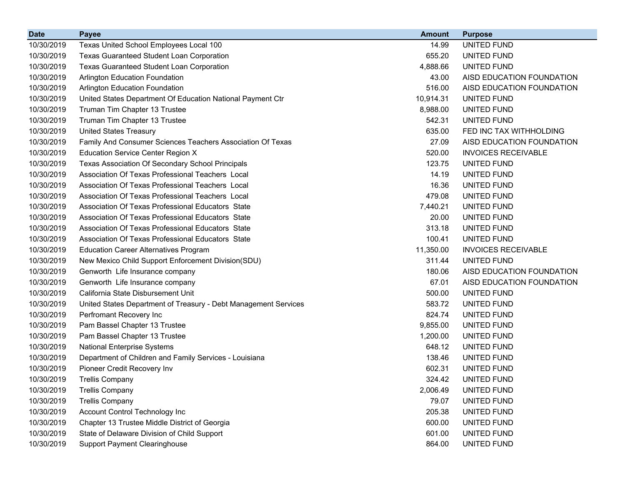| <b>Date</b> | <b>Payee</b>                                                    | <b>Amount</b> | <b>Purpose</b>             |
|-------------|-----------------------------------------------------------------|---------------|----------------------------|
| 10/30/2019  | Texas United School Employees Local 100                         | 14.99         | UNITED FUND                |
| 10/30/2019  | Texas Guaranteed Student Loan Corporation                       | 655.20        | UNITED FUND                |
| 10/30/2019  | Texas Guaranteed Student Loan Corporation                       | 4,888.66      | UNITED FUND                |
| 10/30/2019  | Arlington Education Foundation                                  | 43.00         | AISD EDUCATION FOUNDATION  |
| 10/30/2019  | <b>Arlington Education Foundation</b>                           | 516.00        | AISD EDUCATION FOUNDATION  |
| 10/30/2019  | United States Department Of Education National Payment Ctr      | 10,914.31     | UNITED FUND                |
| 10/30/2019  | Truman Tim Chapter 13 Trustee                                   | 8,988.00      | UNITED FUND                |
| 10/30/2019  | Truman Tim Chapter 13 Trustee                                   | 542.31        | UNITED FUND                |
| 10/30/2019  | <b>United States Treasury</b>                                   | 635.00        | FED INC TAX WITHHOLDING    |
| 10/30/2019  | Family And Consumer Sciences Teachers Association Of Texas      | 27.09         | AISD EDUCATION FOUNDATION  |
| 10/30/2019  | <b>Education Service Center Region X</b>                        | 520.00        | <b>INVOICES RECEIVABLE</b> |
| 10/30/2019  | Texas Association Of Secondary School Principals                | 123.75        | UNITED FUND                |
| 10/30/2019  | Association Of Texas Professional Teachers Local                | 14.19         | UNITED FUND                |
| 10/30/2019  | Association Of Texas Professional Teachers Local                | 16.36         | UNITED FUND                |
| 10/30/2019  | Association Of Texas Professional Teachers Local                | 479.08        | UNITED FUND                |
| 10/30/2019  | Association Of Texas Professional Educators State               | 7,440.21      | UNITED FUND                |
| 10/30/2019  | Association Of Texas Professional Educators State               | 20.00         | UNITED FUND                |
| 10/30/2019  | Association Of Texas Professional Educators State               | 313.18        | UNITED FUND                |
| 10/30/2019  | Association Of Texas Professional Educators State               | 100.41        | UNITED FUND                |
| 10/30/2019  | <b>Education Career Alternatives Program</b>                    | 11,350.00     | <b>INVOICES RECEIVABLE</b> |
| 10/30/2019  | New Mexico Child Support Enforcement Division(SDU)              | 311.44        | UNITED FUND                |
| 10/30/2019  | Genworth Life Insurance company                                 | 180.06        | AISD EDUCATION FOUNDATION  |
| 10/30/2019  | Genworth Life Insurance company                                 | 67.01         | AISD EDUCATION FOUNDATION  |
| 10/30/2019  | California State Disbursement Unit                              | 500.00        | UNITED FUND                |
| 10/30/2019  | United States Department of Treasury - Debt Management Services | 583.72        | UNITED FUND                |
| 10/30/2019  | Perfromant Recovery Inc                                         | 824.74        | UNITED FUND                |
| 10/30/2019  | Pam Bassel Chapter 13 Trustee                                   | 9,855.00      | UNITED FUND                |
| 10/30/2019  | Pam Bassel Chapter 13 Trustee                                   | 1,200.00      | UNITED FUND                |
| 10/30/2019  | National Enterprise Systems                                     | 648.12        | UNITED FUND                |
| 10/30/2019  | Department of Children and Family Services - Louisiana          | 138.46        | UNITED FUND                |
| 10/30/2019  | Pioneer Credit Recovery Inv                                     | 602.31        | UNITED FUND                |
| 10/30/2019  | <b>Trellis Company</b>                                          | 324.42        | UNITED FUND                |
| 10/30/2019  | <b>Trellis Company</b>                                          | 2,006.49      | UNITED FUND                |
| 10/30/2019  | <b>Trellis Company</b>                                          | 79.07         | UNITED FUND                |
| 10/30/2019  | Account Control Technology Inc                                  | 205.38        | UNITED FUND                |
| 10/30/2019  | Chapter 13 Trustee Middle District of Georgia                   | 600.00        | UNITED FUND                |
| 10/30/2019  | State of Delaware Division of Child Support                     | 601.00        | UNITED FUND                |
| 10/30/2019  | <b>Support Payment Clearinghouse</b>                            | 864.00        | UNITED FUND                |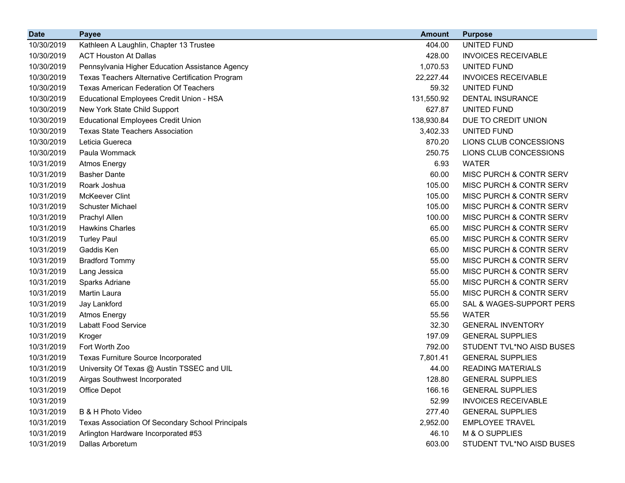| <b>Date</b> | <b>Payee</b>                                     | <b>Amount</b> | <b>Purpose</b>             |
|-------------|--------------------------------------------------|---------------|----------------------------|
| 10/30/2019  | Kathleen A Laughlin, Chapter 13 Trustee          | 404.00        | UNITED FUND                |
| 10/30/2019  | <b>ACT Houston At Dallas</b>                     | 428.00        | <b>INVOICES RECEIVABLE</b> |
| 10/30/2019  | Pennsylvania Higher Education Assistance Agency  | 1,070.53      | UNITED FUND                |
| 10/30/2019  | Texas Teachers Alternative Certification Program | 22,227.44     | <b>INVOICES RECEIVABLE</b> |
| 10/30/2019  | <b>Texas American Federation Of Teachers</b>     | 59.32         | UNITED FUND                |
| 10/30/2019  | Educational Employees Credit Union - HSA         | 131,550.92    | <b>DENTAL INSURANCE</b>    |
| 10/30/2019  | New York State Child Support                     | 627.87        | UNITED FUND                |
| 10/30/2019  | <b>Educational Employees Credit Union</b>        | 138,930.84    | DUE TO CREDIT UNION        |
| 10/30/2019  | <b>Texas State Teachers Association</b>          | 3,402.33      | UNITED FUND                |
| 10/30/2019  | Leticia Guereca                                  | 870.20        | LIONS CLUB CONCESSIONS     |
| 10/30/2019  | Paula Wommack                                    | 250.75        | LIONS CLUB CONCESSIONS     |
| 10/31/2019  | <b>Atmos Energy</b>                              | 6.93          | <b>WATER</b>               |
| 10/31/2019  | <b>Basher Dante</b>                              | 60.00         | MISC PURCH & CONTR SERV    |
| 10/31/2019  | Roark Joshua                                     | 105.00        | MISC PURCH & CONTR SERV    |
| 10/31/2019  | <b>McKeever Clint</b>                            | 105.00        | MISC PURCH & CONTR SERV    |
| 10/31/2019  | <b>Schuster Michael</b>                          | 105.00        | MISC PURCH & CONTR SERV    |
| 10/31/2019  | Prachyl Allen                                    | 100.00        | MISC PURCH & CONTR SERV    |
| 10/31/2019  | <b>Hawkins Charles</b>                           | 65.00         | MISC PURCH & CONTR SERV    |
| 10/31/2019  | <b>Turley Paul</b>                               | 65.00         | MISC PURCH & CONTR SERV    |
| 10/31/2019  | Gaddis Ken                                       | 65.00         | MISC PURCH & CONTR SERV    |
| 10/31/2019  | <b>Bradford Tommy</b>                            | 55.00         | MISC PURCH & CONTR SERV    |
| 10/31/2019  | Lang Jessica                                     | 55.00         | MISC PURCH & CONTR SERV    |
| 10/31/2019  | Sparks Adriane                                   | 55.00         | MISC PURCH & CONTR SERV    |
| 10/31/2019  | Martin Laura                                     | 55.00         | MISC PURCH & CONTR SERV    |
| 10/31/2019  | Jay Lankford                                     | 65.00         | SAL & WAGES-SUPPORT PERS   |
| 10/31/2019  | <b>Atmos Energy</b>                              | 55.56         | <b>WATER</b>               |
| 10/31/2019  | <b>Labatt Food Service</b>                       | 32.30         | <b>GENERAL INVENTORY</b>   |
| 10/31/2019  | Kroger                                           | 197.09        | <b>GENERAL SUPPLIES</b>    |
| 10/31/2019  | Fort Worth Zoo                                   | 792.00        | STUDENT TVL*NO AISD BUSES  |
| 10/31/2019  | <b>Texas Furniture Source Incorporated</b>       | 7,801.41      | <b>GENERAL SUPPLIES</b>    |
| 10/31/2019  | University Of Texas @ Austin TSSEC and UIL       | 44.00         | <b>READING MATERIALS</b>   |
| 10/31/2019  | Airgas Southwest Incorporated                    | 128.80        | <b>GENERAL SUPPLIES</b>    |
| 10/31/2019  | Office Depot                                     | 166.16        | <b>GENERAL SUPPLIES</b>    |
| 10/31/2019  |                                                  | 52.99         | <b>INVOICES RECEIVABLE</b> |
| 10/31/2019  | B & H Photo Video                                | 277.40        | <b>GENERAL SUPPLIES</b>    |
| 10/31/2019  | Texas Association Of Secondary School Principals | 2,952.00      | <b>EMPLOYEE TRAVEL</b>     |
| 10/31/2019  | Arlington Hardware Incorporated #53              | 46.10         | M & O SUPPLIES             |
| 10/31/2019  | Dallas Arboretum                                 | 603.00        | STUDENT TVL*NO AISD BUSES  |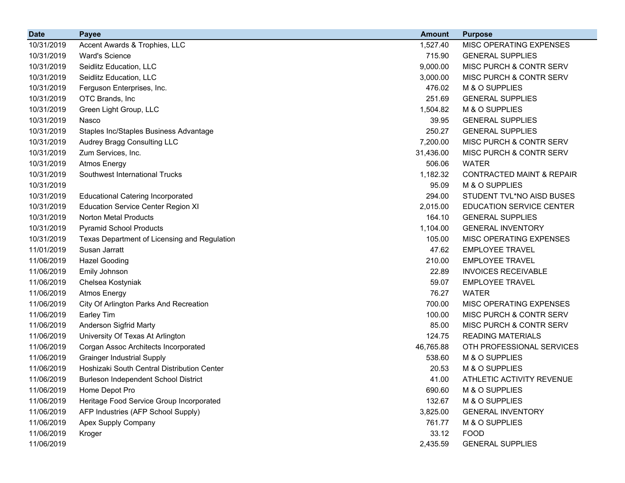| <b>Date</b> | <b>Payee</b>                                 | <b>Amount</b> | <b>Purpose</b>                       |
|-------------|----------------------------------------------|---------------|--------------------------------------|
| 10/31/2019  | Accent Awards & Trophies, LLC                | 1,527.40      | <b>MISC OPERATING EXPENSES</b>       |
| 10/31/2019  | <b>Ward's Science</b>                        | 715.90        | <b>GENERAL SUPPLIES</b>              |
| 10/31/2019  | Seidlitz Education, LLC                      | 9,000.00      | MISC PURCH & CONTR SERV              |
| 10/31/2019  | Seidlitz Education, LLC                      | 3,000.00      | MISC PURCH & CONTR SERV              |
| 10/31/2019  | Ferguson Enterprises, Inc.                   | 476.02        | M & O SUPPLIES                       |
| 10/31/2019  | OTC Brands, Inc                              | 251.69        | <b>GENERAL SUPPLIES</b>              |
| 10/31/2019  | Green Light Group, LLC                       | 1,504.82      | M & O SUPPLIES                       |
| 10/31/2019  | Nasco                                        | 39.95         | <b>GENERAL SUPPLIES</b>              |
| 10/31/2019  | Staples Inc/Staples Business Advantage       | 250.27        | <b>GENERAL SUPPLIES</b>              |
| 10/31/2019  | Audrey Bragg Consulting LLC                  | 7,200.00      | MISC PURCH & CONTR SERV              |
| 10/31/2019  | Zum Services, Inc.                           | 31,436.00     | MISC PURCH & CONTR SERV              |
| 10/31/2019  | <b>Atmos Energy</b>                          | 506.06        | <b>WATER</b>                         |
| 10/31/2019  | Southwest International Trucks               | 1,182.32      | <b>CONTRACTED MAINT &amp; REPAIR</b> |
| 10/31/2019  |                                              | 95.09         | M & O SUPPLIES                       |
| 10/31/2019  | <b>Educational Catering Incorporated</b>     | 294.00        | STUDENT TVL*NO AISD BUSES            |
| 10/31/2019  | <b>Education Service Center Region XI</b>    | 2,015.00      | <b>EDUCATION SERVICE CENTER</b>      |
| 10/31/2019  | <b>Norton Metal Products</b>                 | 164.10        | <b>GENERAL SUPPLIES</b>              |
| 10/31/2019  | <b>Pyramid School Products</b>               | 1,104.00      | <b>GENERAL INVENTORY</b>             |
| 10/31/2019  | Texas Department of Licensing and Regulation | 105.00        | MISC OPERATING EXPENSES              |
| 11/01/2019  | Susan Jarratt                                | 47.62         | <b>EMPLOYEE TRAVEL</b>               |
| 11/06/2019  | <b>Hazel Gooding</b>                         | 210.00        | <b>EMPLOYEE TRAVEL</b>               |
| 11/06/2019  | Emily Johnson                                | 22.89         | <b>INVOICES RECEIVABLE</b>           |
| 11/06/2019  | Chelsea Kostyniak                            | 59.07         | <b>EMPLOYEE TRAVEL</b>               |
| 11/06/2019  | <b>Atmos Energy</b>                          | 76.27         | <b>WATER</b>                         |
| 11/06/2019  | City Of Arlington Parks And Recreation       | 700.00        | <b>MISC OPERATING EXPENSES</b>       |
| 11/06/2019  | <b>Earley Tim</b>                            | 100.00        | MISC PURCH & CONTR SERV              |
| 11/06/2019  | Anderson Sigfrid Marty                       | 85.00         | MISC PURCH & CONTR SERV              |
| 11/06/2019  | University Of Texas At Arlington             | 124.75        | <b>READING MATERIALS</b>             |
| 11/06/2019  | Corgan Assoc Architects Incorporated         | 46,765.88     | OTH PROFESSIONAL SERVICES            |
| 11/06/2019  | <b>Grainger Industrial Supply</b>            | 538.60        | M & O SUPPLIES                       |
| 11/06/2019  | Hoshizaki South Central Distribution Center  | 20.53         | M & O SUPPLIES                       |
| 11/06/2019  | <b>Burleson Independent School District</b>  | 41.00         | ATHLETIC ACTIVITY REVENUE            |
| 11/06/2019  | Home Depot Pro                               | 690.60        | M & O SUPPLIES                       |
| 11/06/2019  | Heritage Food Service Group Incorporated     | 132.67        | M & O SUPPLIES                       |
| 11/06/2019  | AFP Industries (AFP School Supply)           | 3,825.00      | <b>GENERAL INVENTORY</b>             |
| 11/06/2019  | Apex Supply Company                          | 761.77        | M & O SUPPLIES                       |
| 11/06/2019  | Kroger                                       | 33.12         | <b>FOOD</b>                          |
| 11/06/2019  |                                              | 2,435.59      | <b>GENERAL SUPPLIES</b>              |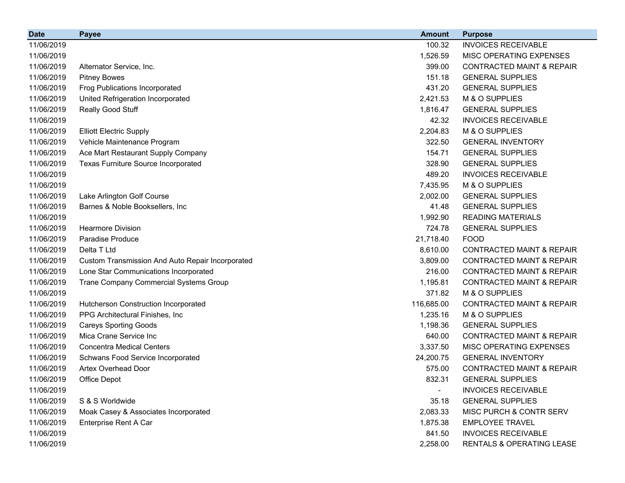| 11/06/2019<br>100.32<br><b>INVOICES RECEIVABLE</b>                                                                 |  |
|--------------------------------------------------------------------------------------------------------------------|--|
|                                                                                                                    |  |
| 11/06/2019<br>1,526.59<br>MISC OPERATING EXPENSES                                                                  |  |
| 399.00<br><b>CONTRACTED MAINT &amp; REPAIR</b><br>11/06/2019<br>Alternator Service, Inc.                           |  |
| 151.18<br><b>GENERAL SUPPLIES</b><br>11/06/2019<br><b>Pitney Bowes</b>                                             |  |
| 431.20<br><b>GENERAL SUPPLIES</b><br>11/06/2019<br><b>Frog Publications Incorporated</b>                           |  |
| 11/06/2019<br>2,421.53<br>M & O SUPPLIES<br>United Refrigeration Incorporated                                      |  |
| Really Good Stuff<br>1,816.47<br><b>GENERAL SUPPLIES</b><br>11/06/2019                                             |  |
| 42.32<br><b>INVOICES RECEIVABLE</b><br>11/06/2019                                                                  |  |
| 2,204.83<br>M & O SUPPLIES<br>11/06/2019<br><b>Elliott Electric Supply</b>                                         |  |
| Vehicle Maintenance Program<br>322.50<br>11/06/2019<br><b>GENERAL INVENTORY</b>                                    |  |
| Ace Mart Restaurant Supply Company<br>154.71<br>11/06/2019<br><b>GENERAL SUPPLIES</b>                              |  |
| 11/06/2019<br>328.90<br><b>GENERAL SUPPLIES</b><br><b>Texas Furniture Source Incorporated</b>                      |  |
| 11/06/2019<br>489.20<br><b>INVOICES RECEIVABLE</b>                                                                 |  |
| 11/06/2019<br>7,435.95<br>M & O SUPPLIES                                                                           |  |
| 2,002.00<br>11/06/2019<br>Lake Arlington Golf Course<br><b>GENERAL SUPPLIES</b>                                    |  |
| 41.48<br><b>GENERAL SUPPLIES</b><br>11/06/2019<br>Barnes & Noble Booksellers, Inc.                                 |  |
| 1,992.90<br><b>READING MATERIALS</b><br>11/06/2019                                                                 |  |
| 11/06/2019<br>724.78<br><b>Hearmore Division</b><br><b>GENERAL SUPPLIES</b>                                        |  |
| 11/06/2019<br><b>Paradise Produce</b><br>21,718.40<br><b>FOOD</b>                                                  |  |
| 11/06/2019<br>Delta T Ltd<br><b>CONTRACTED MAINT &amp; REPAIR</b><br>8,610.00                                      |  |
| 11/06/2019<br>3,809.00<br><b>CONTRACTED MAINT &amp; REPAIR</b><br>Custom Transmission And Auto Repair Incorporated |  |
| 216.00<br>11/06/2019<br>Lone Star Communications Incorporated<br><b>CONTRACTED MAINT &amp; REPAIR</b>              |  |
| 1,195.81<br><b>CONTRACTED MAINT &amp; REPAIR</b><br>11/06/2019<br>Trane Company Commercial Systems Group           |  |
| 371.82<br>M & O SUPPLIES<br>11/06/2019                                                                             |  |
| 116,685.00<br><b>CONTRACTED MAINT &amp; REPAIR</b><br>11/06/2019<br>Hutcherson Construction Incorporated           |  |
| 1,235.16<br>M & O SUPPLIES<br>11/06/2019<br>PPG Architectural Finishes, Inc.                                       |  |
| 11/06/2019<br><b>Careys Sporting Goods</b><br>1,198.36<br><b>GENERAL SUPPLIES</b>                                  |  |
| 11/06/2019<br>Mica Crane Service Inc<br>640.00<br><b>CONTRACTED MAINT &amp; REPAIR</b>                             |  |
| 11/06/2019<br>3,337.50<br>MISC OPERATING EXPENSES<br><b>Concentra Medical Centers</b>                              |  |
| 24,200.75<br><b>GENERAL INVENTORY</b><br>11/06/2019<br>Schwans Food Service Incorporated                           |  |
| 11/06/2019<br>575.00<br><b>CONTRACTED MAINT &amp; REPAIR</b><br><b>Artex Overhead Door</b>                         |  |
| 832.31<br>11/06/2019<br>Office Depot<br><b>GENERAL SUPPLIES</b>                                                    |  |
| 11/06/2019<br><b>INVOICES RECEIVABLE</b><br>$\overline{\phantom{a}}$                                               |  |
| 11/06/2019<br>35.18<br><b>GENERAL SUPPLIES</b><br>S & S Worldwide                                                  |  |
| Moak Casey & Associates Incorporated<br>2,083.33<br>MISC PURCH & CONTR SERV<br>11/06/2019                          |  |
| 11/06/2019<br>Enterprise Rent A Car<br>1,875.38<br><b>EMPLOYEE TRAVEL</b>                                          |  |
| 11/06/2019<br>841.50<br><b>INVOICES RECEIVABLE</b>                                                                 |  |
| 11/06/2019<br>2,258.00<br>RENTALS & OPERATING LEASE                                                                |  |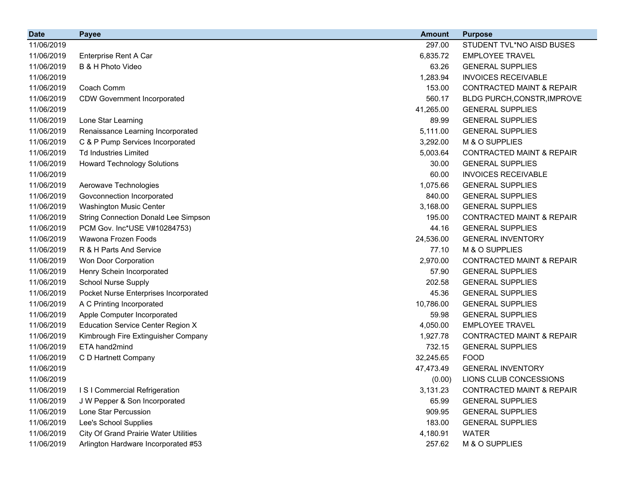| <b>Date</b> | <b>Payee</b>                                 | <b>Amount</b> | <b>Purpose</b>                       |
|-------------|----------------------------------------------|---------------|--------------------------------------|
| 11/06/2019  |                                              | 297.00        | STUDENT TVL*NO AISD BUSES            |
| 11/06/2019  | Enterprise Rent A Car                        | 6,835.72      | <b>EMPLOYEE TRAVEL</b>               |
| 11/06/2019  | B & H Photo Video                            | 63.26         | <b>GENERAL SUPPLIES</b>              |
| 11/06/2019  |                                              | 1,283.94      | <b>INVOICES RECEIVABLE</b>           |
| 11/06/2019  | Coach Comm                                   | 153.00        | <b>CONTRACTED MAINT &amp; REPAIR</b> |
| 11/06/2019  | <b>CDW Government Incorporated</b>           | 560.17        | BLDG PURCH, CONSTR, IMPROVE          |
| 11/06/2019  |                                              | 41,265.00     | <b>GENERAL SUPPLIES</b>              |
| 11/06/2019  | Lone Star Learning                           | 89.99         | <b>GENERAL SUPPLIES</b>              |
| 11/06/2019  | Renaissance Learning Incorporated            | 5,111.00      | <b>GENERAL SUPPLIES</b>              |
| 11/06/2019  | C & P Pump Services Incorporated             | 3,292.00      | M & O SUPPLIES                       |
| 11/06/2019  | <b>Td Industries Limited</b>                 | 5,003.64      | <b>CONTRACTED MAINT &amp; REPAIR</b> |
| 11/06/2019  | <b>Howard Technology Solutions</b>           | 30.00         | <b>GENERAL SUPPLIES</b>              |
| 11/06/2019  |                                              | 60.00         | <b>INVOICES RECEIVABLE</b>           |
| 11/06/2019  | Aerowave Technologies                        | 1,075.66      | <b>GENERAL SUPPLIES</b>              |
| 11/06/2019  | Govconnection Incorporated                   | 840.00        | <b>GENERAL SUPPLIES</b>              |
| 11/06/2019  | <b>Washington Music Center</b>               | 3,168.00      | <b>GENERAL SUPPLIES</b>              |
| 11/06/2019  | <b>String Connection Donald Lee Simpson</b>  | 195.00        | <b>CONTRACTED MAINT &amp; REPAIR</b> |
| 11/06/2019  | PCM Gov. Inc*USE V#10284753)                 | 44.16         | <b>GENERAL SUPPLIES</b>              |
| 11/06/2019  | Wawona Frozen Foods                          | 24,536.00     | <b>GENERAL INVENTORY</b>             |
| 11/06/2019  | R & H Parts And Service                      | 77.10         | M & O SUPPLIES                       |
| 11/06/2019  | Won Door Corporation                         | 2,970.00      | <b>CONTRACTED MAINT &amp; REPAIR</b> |
| 11/06/2019  | Henry Schein Incorporated                    | 57.90         | <b>GENERAL SUPPLIES</b>              |
| 11/06/2019  | <b>School Nurse Supply</b>                   | 202.58        | <b>GENERAL SUPPLIES</b>              |
| 11/06/2019  | Pocket Nurse Enterprises Incorporated        | 45.36         | <b>GENERAL SUPPLIES</b>              |
| 11/06/2019  | A C Printing Incorporated                    | 10,786.00     | <b>GENERAL SUPPLIES</b>              |
| 11/06/2019  | Apple Computer Incorporated                  | 59.98         | <b>GENERAL SUPPLIES</b>              |
| 11/06/2019  | <b>Education Service Center Region X</b>     | 4,050.00      | <b>EMPLOYEE TRAVEL</b>               |
| 11/06/2019  | Kimbrough Fire Extinguisher Company          | 1,927.78      | <b>CONTRACTED MAINT &amp; REPAIR</b> |
| 11/06/2019  | ETA hand2mind                                | 732.15        | <b>GENERAL SUPPLIES</b>              |
| 11/06/2019  | C D Hartnett Company                         | 32,245.65     | <b>FOOD</b>                          |
| 11/06/2019  |                                              | 47,473.49     | <b>GENERAL INVENTORY</b>             |
| 11/06/2019  |                                              | (0.00)        | LIONS CLUB CONCESSIONS               |
| 11/06/2019  | I S I Commercial Refrigeration               | 3,131.23      | <b>CONTRACTED MAINT &amp; REPAIR</b> |
| 11/06/2019  | J W Pepper & Son Incorporated                | 65.99         | <b>GENERAL SUPPLIES</b>              |
| 11/06/2019  | Lone Star Percussion                         | 909.95        | <b>GENERAL SUPPLIES</b>              |
| 11/06/2019  | Lee's School Supplies                        | 183.00        | <b>GENERAL SUPPLIES</b>              |
| 11/06/2019  | <b>City Of Grand Prairie Water Utilities</b> | 4,180.91      | <b>WATER</b>                         |
| 11/06/2019  | Arlington Hardware Incorporated #53          | 257.62        | M & O SUPPLIES                       |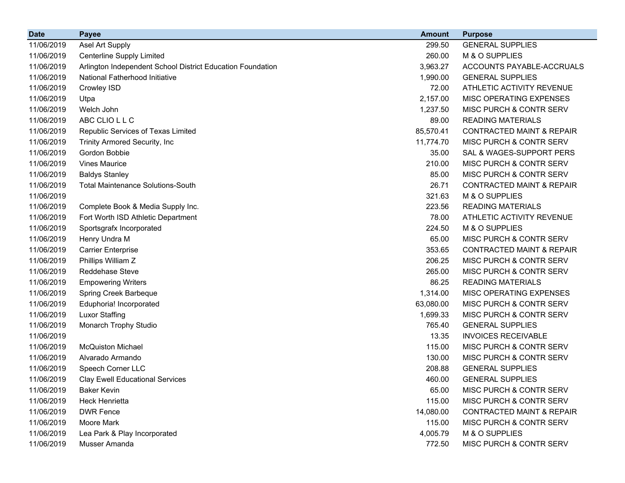| <b>Date</b> | <b>Payee</b>                                               | <b>Amount</b> | <b>Purpose</b>                       |
|-------------|------------------------------------------------------------|---------------|--------------------------------------|
| 11/06/2019  | Asel Art Supply                                            | 299.50        | <b>GENERAL SUPPLIES</b>              |
| 11/06/2019  | Centerline Supply Limited                                  | 260.00        | M & O SUPPLIES                       |
| 11/06/2019  | Arlington Independent School District Education Foundation | 3,963.27      | ACCOUNTS PAYABLE-ACCRUALS            |
| 11/06/2019  | National Fatherhood Initiative                             | 1,990.00      | <b>GENERAL SUPPLIES</b>              |
| 11/06/2019  | Crowley ISD                                                | 72.00         | ATHLETIC ACTIVITY REVENUE            |
| 11/06/2019  | Utpa                                                       | 2,157.00      | MISC OPERATING EXPENSES              |
| 11/06/2019  | Welch John                                                 | 1,237.50      | MISC PURCH & CONTR SERV              |
| 11/06/2019  | ABC CLIO L L C                                             | 89.00         | <b>READING MATERIALS</b>             |
| 11/06/2019  | Republic Services of Texas Limited                         | 85,570.41     | <b>CONTRACTED MAINT &amp; REPAIR</b> |
| 11/06/2019  | Trinity Armored Security, Inc                              | 11,774.70     | MISC PURCH & CONTR SERV              |
| 11/06/2019  | Gordon Bobbie                                              | 35.00         | SAL & WAGES-SUPPORT PERS             |
| 11/06/2019  | <b>Vines Maurice</b>                                       | 210.00        | MISC PURCH & CONTR SERV              |
| 11/06/2019  | <b>Baldys Stanley</b>                                      | 85.00         | MISC PURCH & CONTR SERV              |
| 11/06/2019  | <b>Total Maintenance Solutions-South</b>                   | 26.71         | <b>CONTRACTED MAINT &amp; REPAIR</b> |
| 11/06/2019  |                                                            | 321.63        | M & O SUPPLIES                       |
| 11/06/2019  | Complete Book & Media Supply Inc.                          | 223.56        | <b>READING MATERIALS</b>             |
| 11/06/2019  | Fort Worth ISD Athletic Department                         | 78.00         | ATHLETIC ACTIVITY REVENUE            |
| 11/06/2019  | Sportsgrafx Incorporated                                   | 224.50        | M & O SUPPLIES                       |
| 11/06/2019  | Henry Undra M                                              | 65.00         | MISC PURCH & CONTR SERV              |
| 11/06/2019  | <b>Carrier Enterprise</b>                                  | 353.65        | <b>CONTRACTED MAINT &amp; REPAIR</b> |
| 11/06/2019  | Phillips William Z                                         | 206.25        | MISC PURCH & CONTR SERV              |
| 11/06/2019  | Reddehase Steve                                            | 265.00        | MISC PURCH & CONTR SERV              |
| 11/06/2019  | <b>Empowering Writers</b>                                  | 86.25         | <b>READING MATERIALS</b>             |
| 11/06/2019  | Spring Creek Barbeque                                      | 1,314.00      | MISC OPERATING EXPENSES              |
| 11/06/2019  | Eduphoria! Incorporated                                    | 63,080.00     | MISC PURCH & CONTR SERV              |
| 11/06/2019  | <b>Luxor Staffing</b>                                      | 1,699.33      | MISC PURCH & CONTR SERV              |
| 11/06/2019  | Monarch Trophy Studio                                      | 765.40        | <b>GENERAL SUPPLIES</b>              |
| 11/06/2019  |                                                            | 13.35         | <b>INVOICES RECEIVABLE</b>           |
| 11/06/2019  | <b>McQuiston Michael</b>                                   | 115.00        | MISC PURCH & CONTR SERV              |
| 11/06/2019  | Alvarado Armando                                           | 130.00        | MISC PURCH & CONTR SERV              |
| 11/06/2019  | Speech Corner LLC                                          | 208.88        | <b>GENERAL SUPPLIES</b>              |
| 11/06/2019  | <b>Clay Ewell Educational Services</b>                     | 460.00        | <b>GENERAL SUPPLIES</b>              |
| 11/06/2019  | <b>Baker Kevin</b>                                         | 65.00         | MISC PURCH & CONTR SERV              |
| 11/06/2019  | Heck Henrietta                                             | 115.00        | MISC PURCH & CONTR SERV              |
| 11/06/2019  | <b>DWR Fence</b>                                           | 14,080.00     | <b>CONTRACTED MAINT &amp; REPAIR</b> |
| 11/06/2019  | Moore Mark                                                 | 115.00        | MISC PURCH & CONTR SERV              |
| 11/06/2019  | Lea Park & Play Incorporated                               | 4,005.79      | M & O SUPPLIES                       |
| 11/06/2019  | Musser Amanda                                              | 772.50        | MISC PURCH & CONTR SERV              |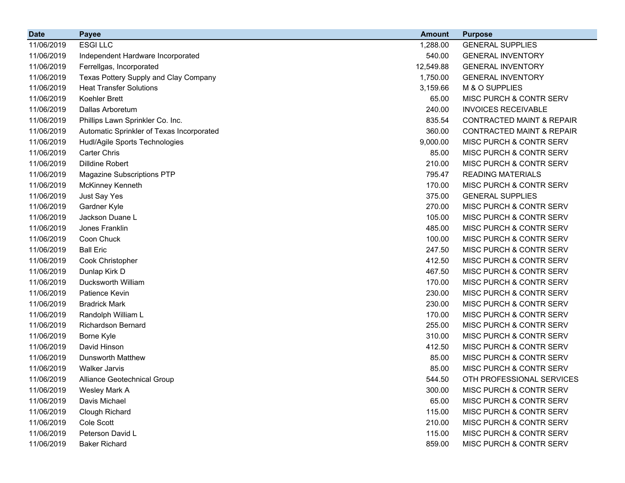| <b>Date</b> | <b>Payee</b>                              | <b>Amount</b> | <b>Purpose</b>                       |
|-------------|-------------------------------------------|---------------|--------------------------------------|
| 11/06/2019  | <b>ESGILLC</b>                            | 1,288.00      | <b>GENERAL SUPPLIES</b>              |
| 11/06/2019  | Independent Hardware Incorporated         | 540.00        | <b>GENERAL INVENTORY</b>             |
| 11/06/2019  | Ferrellgas, Incorporated                  | 12,549.88     | <b>GENERAL INVENTORY</b>             |
| 11/06/2019  | Texas Pottery Supply and Clay Company     | 1,750.00      | <b>GENERAL INVENTORY</b>             |
| 11/06/2019  | <b>Heat Transfer Solutions</b>            | 3,159.66      | M & O SUPPLIES                       |
| 11/06/2019  | Koehler Brett                             | 65.00         | MISC PURCH & CONTR SERV              |
| 11/06/2019  | Dallas Arboretum                          | 240.00        | <b>INVOICES RECEIVABLE</b>           |
| 11/06/2019  | Phillips Lawn Sprinkler Co. Inc.          | 835.54        | <b>CONTRACTED MAINT &amp; REPAIR</b> |
| 11/06/2019  | Automatic Sprinkler of Texas Incorporated | 360.00        | <b>CONTRACTED MAINT &amp; REPAIR</b> |
| 11/06/2019  | Hudl/Agile Sports Technologies            | 9,000.00      | MISC PURCH & CONTR SERV              |
| 11/06/2019  | <b>Carter Chris</b>                       | 85.00         | MISC PURCH & CONTR SERV              |
| 11/06/2019  | <b>Dilldine Robert</b>                    | 210.00        | MISC PURCH & CONTR SERV              |
| 11/06/2019  | <b>Magazine Subscriptions PTP</b>         | 795.47        | <b>READING MATERIALS</b>             |
| 11/06/2019  | McKinney Kenneth                          | 170.00        | MISC PURCH & CONTR SERV              |
| 11/06/2019  | Just Say Yes                              | 375.00        | <b>GENERAL SUPPLIES</b>              |
| 11/06/2019  | Gardner Kyle                              | 270.00        | MISC PURCH & CONTR SERV              |
| 11/06/2019  | Jackson Duane L                           | 105.00        | MISC PURCH & CONTR SERV              |
| 11/06/2019  | Jones Franklin                            | 485.00        | MISC PURCH & CONTR SERV              |
| 11/06/2019  | Coon Chuck                                | 100.00        | MISC PURCH & CONTR SERV              |
| 11/06/2019  | <b>Ball Eric</b>                          | 247.50        | MISC PURCH & CONTR SERV              |
| 11/06/2019  | Cook Christopher                          | 412.50        | MISC PURCH & CONTR SERV              |
| 11/06/2019  | Dunlap Kirk D                             | 467.50        | <b>MISC PURCH &amp; CONTR SERV</b>   |
| 11/06/2019  | Ducksworth William                        | 170.00        | MISC PURCH & CONTR SERV              |
| 11/06/2019  | Patience Kevin                            | 230.00        | MISC PURCH & CONTR SERV              |
| 11/06/2019  | <b>Bradrick Mark</b>                      | 230.00        | MISC PURCH & CONTR SERV              |
| 11/06/2019  | Randolph William L                        | 170.00        | MISC PURCH & CONTR SERV              |
| 11/06/2019  | <b>Richardson Bernard</b>                 | 255.00        | MISC PURCH & CONTR SERV              |
| 11/06/2019  | Borne Kyle                                | 310.00        | MISC PURCH & CONTR SERV              |
| 11/06/2019  | David Hinson                              | 412.50        | MISC PURCH & CONTR SERV              |
| 11/06/2019  | <b>Dunsworth Matthew</b>                  | 85.00         | <b>MISC PURCH &amp; CONTR SERV</b>   |
| 11/06/2019  | <b>Walker Jarvis</b>                      | 85.00         | MISC PURCH & CONTR SERV              |
| 11/06/2019  | Alliance Geotechnical Group               | 544.50        | OTH PROFESSIONAL SERVICES            |
| 11/06/2019  | Wesley Mark A                             | 300.00        | MISC PURCH & CONTR SERV              |
| 11/06/2019  | Davis Michael                             | 65.00         | MISC PURCH & CONTR SERV              |
| 11/06/2019  | Clough Richard                            | 115.00        | MISC PURCH & CONTR SERV              |
| 11/06/2019  | Cole Scott                                | 210.00        | MISC PURCH & CONTR SERV              |
| 11/06/2019  | Peterson David L                          | 115.00        | MISC PURCH & CONTR SERV              |
| 11/06/2019  | <b>Baker Richard</b>                      | 859.00        | MISC PURCH & CONTR SERV              |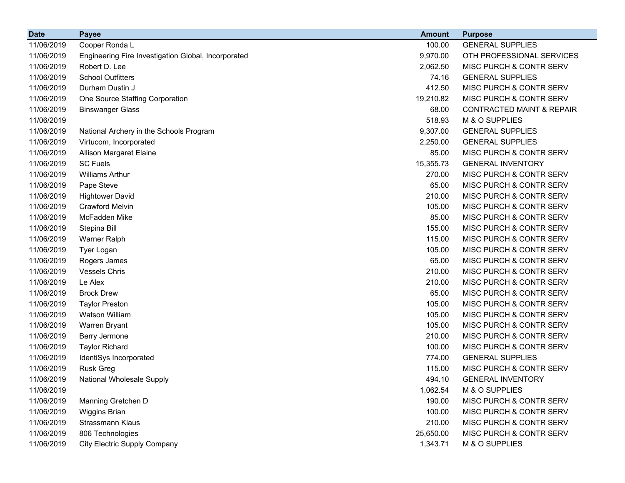| <b>Date</b> | <b>Payee</b>                                        | <b>Amount</b> | <b>Purpose</b>                       |
|-------------|-----------------------------------------------------|---------------|--------------------------------------|
| 11/06/2019  | Cooper Ronda L                                      | 100.00        | <b>GENERAL SUPPLIES</b>              |
| 11/06/2019  | Engineering Fire Investigation Global, Incorporated | 9,970.00      | OTH PROFESSIONAL SERVICES            |
| 11/06/2019  | Robert D. Lee                                       | 2,062.50      | MISC PURCH & CONTR SERV              |
| 11/06/2019  | <b>School Outfitters</b>                            | 74.16         | <b>GENERAL SUPPLIES</b>              |
| 11/06/2019  | Durham Dustin J                                     | 412.50        | MISC PURCH & CONTR SERV              |
| 11/06/2019  | One Source Staffing Corporation                     | 19,210.82     | MISC PURCH & CONTR SERV              |
| 11/06/2019  | <b>Binswanger Glass</b>                             | 68.00         | <b>CONTRACTED MAINT &amp; REPAIR</b> |
| 11/06/2019  |                                                     | 518.93        | M & O SUPPLIES                       |
| 11/06/2019  | National Archery in the Schools Program             | 9,307.00      | <b>GENERAL SUPPLIES</b>              |
| 11/06/2019  | Virtucom, Incorporated                              | 2,250.00      | <b>GENERAL SUPPLIES</b>              |
| 11/06/2019  | Allison Margaret Elaine                             | 85.00         | MISC PURCH & CONTR SERV              |
| 11/06/2019  | <b>SC Fuels</b>                                     | 15,355.73     | <b>GENERAL INVENTORY</b>             |
| 11/06/2019  | <b>Williams Arthur</b>                              | 270.00        | MISC PURCH & CONTR SERV              |
| 11/06/2019  | Pape Steve                                          | 65.00         | MISC PURCH & CONTR SERV              |
| 11/06/2019  | <b>Hightower David</b>                              | 210.00        | MISC PURCH & CONTR SERV              |
| 11/06/2019  | <b>Crawford Melvin</b>                              | 105.00        | MISC PURCH & CONTR SERV              |
| 11/06/2019  | McFadden Mike                                       | 85.00         | MISC PURCH & CONTR SERV              |
| 11/06/2019  | Stepina Bill                                        | 155.00        | MISC PURCH & CONTR SERV              |
| 11/06/2019  | <b>Warner Ralph</b>                                 | 115.00        | MISC PURCH & CONTR SERV              |
| 11/06/2019  | Tyer Logan                                          | 105.00        | MISC PURCH & CONTR SERV              |
| 11/06/2019  | Rogers James                                        | 65.00         | MISC PURCH & CONTR SERV              |
| 11/06/2019  | <b>Vessels Chris</b>                                | 210.00        | MISC PURCH & CONTR SERV              |
| 11/06/2019  | Le Alex                                             | 210.00        | MISC PURCH & CONTR SERV              |
| 11/06/2019  | <b>Brock Drew</b>                                   | 65.00         | MISC PURCH & CONTR SERV              |
| 11/06/2019  | <b>Taylor Preston</b>                               | 105.00        | MISC PURCH & CONTR SERV              |
| 11/06/2019  | Watson William                                      | 105.00        | MISC PURCH & CONTR SERV              |
| 11/06/2019  | Warren Bryant                                       | 105.00        | MISC PURCH & CONTR SERV              |
| 11/06/2019  | Berry Jermone                                       | 210.00        | MISC PURCH & CONTR SERV              |
| 11/06/2019  | <b>Taylor Richard</b>                               | 100.00        | MISC PURCH & CONTR SERV              |
| 11/06/2019  | IdentiSys Incorporated                              | 774.00        | <b>GENERAL SUPPLIES</b>              |
| 11/06/2019  | <b>Rusk Greg</b>                                    | 115.00        | MISC PURCH & CONTR SERV              |
| 11/06/2019  | National Wholesale Supply                           | 494.10        | <b>GENERAL INVENTORY</b>             |
| 11/06/2019  |                                                     | 1,062.54      | M & O SUPPLIES                       |
| 11/06/2019  | Manning Gretchen D                                  | 190.00        | MISC PURCH & CONTR SERV              |
| 11/06/2019  | Wiggins Brian                                       | 100.00        | MISC PURCH & CONTR SERV              |
| 11/06/2019  | Strassmann Klaus                                    | 210.00        | MISC PURCH & CONTR SERV              |
| 11/06/2019  | 806 Technologies                                    | 25,650.00     | MISC PURCH & CONTR SERV              |
| 11/06/2019  | <b>City Electric Supply Company</b>                 | 1,343.71      | M & O SUPPLIES                       |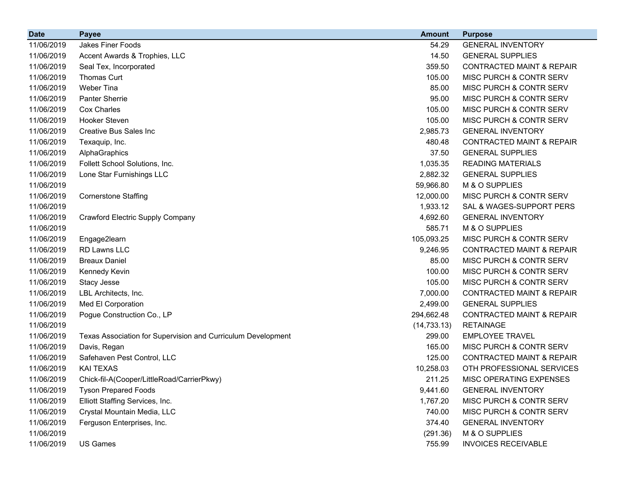| <b>Date</b> | <b>Payee</b>                                                 | <b>Amount</b> | <b>Purpose</b>                       |
|-------------|--------------------------------------------------------------|---------------|--------------------------------------|
| 11/06/2019  | Jakes Finer Foods                                            | 54.29         | <b>GENERAL INVENTORY</b>             |
| 11/06/2019  | Accent Awards & Trophies, LLC                                | 14.50         | <b>GENERAL SUPPLIES</b>              |
| 11/06/2019  | Seal Tex, Incorporated                                       | 359.50        | <b>CONTRACTED MAINT &amp; REPAIR</b> |
| 11/06/2019  | Thomas Curt                                                  | 105.00        | <b>MISC PURCH &amp; CONTR SERV</b>   |
| 11/06/2019  | <b>Weber Tina</b>                                            | 85.00         | MISC PURCH & CONTR SERV              |
| 11/06/2019  | <b>Panter Sherrie</b>                                        | 95.00         | <b>MISC PURCH &amp; CONTR SERV</b>   |
| 11/06/2019  | Cox Charles                                                  | 105.00        | <b>MISC PURCH &amp; CONTR SERV</b>   |
| 11/06/2019  | <b>Hooker Steven</b>                                         | 105.00        | MISC PURCH & CONTR SERV              |
| 11/06/2019  | <b>Creative Bus Sales Inc</b>                                | 2,985.73      | <b>GENERAL INVENTORY</b>             |
| 11/06/2019  | Texaquip, Inc.                                               | 480.48        | <b>CONTRACTED MAINT &amp; REPAIR</b> |
| 11/06/2019  | AlphaGraphics                                                | 37.50         | <b>GENERAL SUPPLIES</b>              |
| 11/06/2019  | Follett School Solutions, Inc.                               | 1,035.35      | <b>READING MATERIALS</b>             |
| 11/06/2019  | Lone Star Furnishings LLC                                    | 2,882.32      | <b>GENERAL SUPPLIES</b>              |
| 11/06/2019  |                                                              | 59,966.80     | M & O SUPPLIES                       |
| 11/06/2019  | <b>Cornerstone Staffing</b>                                  | 12,000.00     | MISC PURCH & CONTR SERV              |
| 11/06/2019  |                                                              | 1,933.12      | SAL & WAGES-SUPPORT PERS             |
| 11/06/2019  | <b>Crawford Electric Supply Company</b>                      | 4,692.60      | <b>GENERAL INVENTORY</b>             |
| 11/06/2019  |                                                              | 585.71        | M & O SUPPLIES                       |
| 11/06/2019  | Engage2learn                                                 | 105,093.25    | MISC PURCH & CONTR SERV              |
| 11/06/2019  | RD Lawns LLC                                                 | 9,246.95      | <b>CONTRACTED MAINT &amp; REPAIR</b> |
| 11/06/2019  | <b>Breaux Daniel</b>                                         | 85.00         | MISC PURCH & CONTR SERV              |
| 11/06/2019  | Kennedy Kevin                                                | 100.00        | MISC PURCH & CONTR SERV              |
| 11/06/2019  | Stacy Jesse                                                  | 105.00        | <b>MISC PURCH &amp; CONTR SERV</b>   |
| 11/06/2019  | LBL Architects, Inc.                                         | 7,000.00      | <b>CONTRACTED MAINT &amp; REPAIR</b> |
| 11/06/2019  | Med El Corporation                                           | 2,499.00      | <b>GENERAL SUPPLIES</b>              |
| 11/06/2019  | Pogue Construction Co., LP                                   | 294,662.48    | <b>CONTRACTED MAINT &amp; REPAIR</b> |
| 11/06/2019  |                                                              | (14, 733.13)  | <b>RETAINAGE</b>                     |
| 11/06/2019  | Texas Association for Supervision and Curriculum Development | 299.00        | <b>EMPLOYEE TRAVEL</b>               |
| 11/06/2019  | Davis, Regan                                                 | 165.00        | MISC PURCH & CONTR SERV              |
| 11/06/2019  | Safehaven Pest Control, LLC                                  | 125.00        | <b>CONTRACTED MAINT &amp; REPAIR</b> |
| 11/06/2019  | <b>KAI TEXAS</b>                                             | 10,258.03     | OTH PROFESSIONAL SERVICES            |
| 11/06/2019  | Chick-fil-A(Cooper/LittleRoad/CarrierPkwy)                   | 211.25        | <b>MISC OPERATING EXPENSES</b>       |
| 11/06/2019  | <b>Tyson Prepared Foods</b>                                  | 9,441.60      | <b>GENERAL INVENTORY</b>             |
| 11/06/2019  | Elliott Staffing Services, Inc.                              | 1,767.20      | MISC PURCH & CONTR SERV              |
| 11/06/2019  | Crystal Mountain Media, LLC                                  | 740.00        | MISC PURCH & CONTR SERV              |
| 11/06/2019  | Ferguson Enterprises, Inc.                                   | 374.40        | <b>GENERAL INVENTORY</b>             |
| 11/06/2019  |                                                              | (291.36)      | M & O SUPPLIES                       |
| 11/06/2019  | US Games                                                     | 755.99        | <b>INVOICES RECEIVABLE</b>           |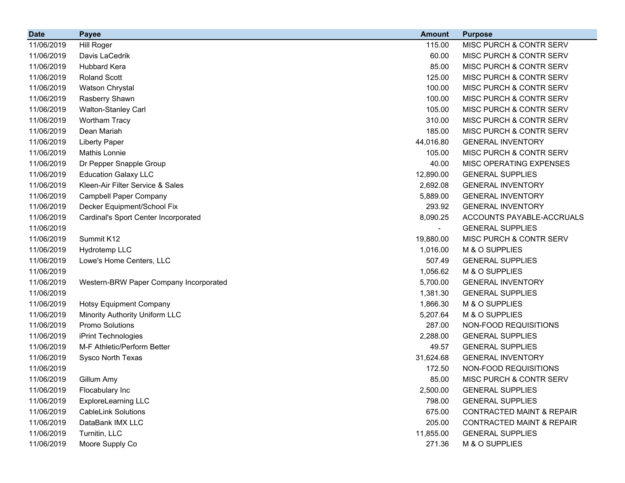| <b>Date</b> | <b>Payee</b>                           | <b>Amount</b>            | <b>Purpose</b>                       |
|-------------|----------------------------------------|--------------------------|--------------------------------------|
| 11/06/2019  | <b>Hill Roger</b>                      | 115.00                   | MISC PURCH & CONTR SERV              |
| 11/06/2019  | Davis LaCedrik                         | 60.00                    | MISC PURCH & CONTR SERV              |
| 11/06/2019  | <b>Hubbard Kera</b>                    | 85.00                    | MISC PURCH & CONTR SERV              |
| 11/06/2019  | <b>Roland Scott</b>                    | 125.00                   | MISC PURCH & CONTR SERV              |
| 11/06/2019  | Watson Chrystal                        | 100.00                   | MISC PURCH & CONTR SERV              |
| 11/06/2019  | Rasberry Shawn                         | 100.00                   | MISC PURCH & CONTR SERV              |
| 11/06/2019  | Walton-Stanley Carl                    | 105.00                   | MISC PURCH & CONTR SERV              |
| 11/06/2019  | <b>Wortham Tracy</b>                   | 310.00                   | MISC PURCH & CONTR SERV              |
| 11/06/2019  | Dean Mariah                            | 185.00                   | MISC PURCH & CONTR SERV              |
| 11/06/2019  | <b>Liberty Paper</b>                   | 44,016.80                | <b>GENERAL INVENTORY</b>             |
| 11/06/2019  | Mathis Lonnie                          | 105.00                   | MISC PURCH & CONTR SERV              |
| 11/06/2019  | Dr Pepper Snapple Group                | 40.00                    | MISC OPERATING EXPENSES              |
| 11/06/2019  | <b>Education Galaxy LLC</b>            | 12,890.00                | <b>GENERAL SUPPLIES</b>              |
| 11/06/2019  | Kleen-Air Filter Service & Sales       | 2,692.08                 | <b>GENERAL INVENTORY</b>             |
| 11/06/2019  | <b>Campbell Paper Company</b>          | 5,889.00                 | <b>GENERAL INVENTORY</b>             |
| 11/06/2019  | Decker Equipment/School Fix            | 293.92                   | <b>GENERAL INVENTORY</b>             |
| 11/06/2019  | Cardinal's Sport Center Incorporated   | 8,090.25                 | ACCOUNTS PAYABLE-ACCRUALS            |
| 11/06/2019  |                                        | $\overline{\phantom{a}}$ | <b>GENERAL SUPPLIES</b>              |
| 11/06/2019  | Summit K12                             | 19,880.00                | MISC PURCH & CONTR SERV              |
| 11/06/2019  | Hydrotemp LLC                          | 1,016.00                 | M & O SUPPLIES                       |
| 11/06/2019  | Lowe's Home Centers, LLC               | 507.49                   | <b>GENERAL SUPPLIES</b>              |
| 11/06/2019  |                                        | 1,056.62                 | M & O SUPPLIES                       |
| 11/06/2019  | Western-BRW Paper Company Incorporated | 5,700.00                 | <b>GENERAL INVENTORY</b>             |
| 11/06/2019  |                                        | 1,381.30                 | <b>GENERAL SUPPLIES</b>              |
| 11/06/2019  | <b>Hotsy Equipment Company</b>         | 1,866.30                 | M & O SUPPLIES                       |
| 11/06/2019  | Minority Authority Uniform LLC         | 5,207.64                 | M & O SUPPLIES                       |
| 11/06/2019  | Promo Solutions                        | 287.00                   | NON-FOOD REQUISITIONS                |
| 11/06/2019  | iPrint Technologies                    | 2,288.00                 | <b>GENERAL SUPPLIES</b>              |
| 11/06/2019  | M-F Athletic/Perform Better            | 49.57                    | <b>GENERAL SUPPLIES</b>              |
| 11/06/2019  | Sysco North Texas                      | 31,624.68                | <b>GENERAL INVENTORY</b>             |
| 11/06/2019  |                                        | 172.50                   | NON-FOOD REQUISITIONS                |
| 11/06/2019  | Gillum Amy                             | 85.00                    | MISC PURCH & CONTR SERV              |
| 11/06/2019  | Flocabulary Inc                        | 2,500.00                 | <b>GENERAL SUPPLIES</b>              |
| 11/06/2019  | <b>ExploreLearning LLC</b>             | 798.00                   | <b>GENERAL SUPPLIES</b>              |
| 11/06/2019  | <b>CableLink Solutions</b>             | 675.00                   | <b>CONTRACTED MAINT &amp; REPAIR</b> |
| 11/06/2019  | DataBank IMX LLC                       | 205.00                   | <b>CONTRACTED MAINT &amp; REPAIR</b> |
| 11/06/2019  | Turnitin, LLC                          | 11,855.00                | <b>GENERAL SUPPLIES</b>              |
| 11/06/2019  | Moore Supply Co                        | 271.36                   | M & O SUPPLIES                       |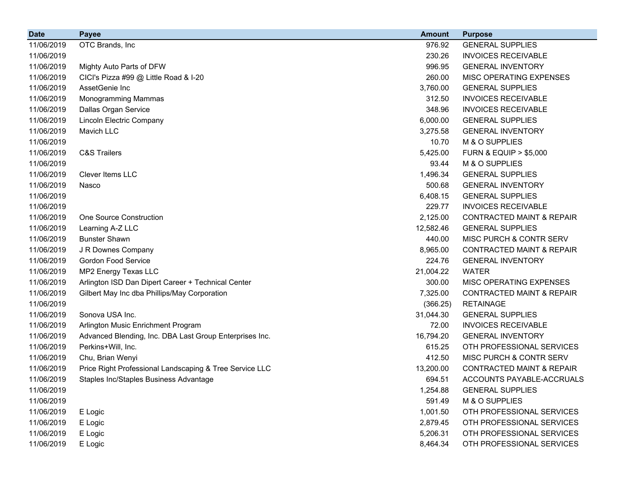| 976.92<br>11/06/2019<br>OTC Brands, Inc<br><b>GENERAL SUPPLIES</b><br>230.26<br>11/06/2019<br><b>INVOICES RECEIVABLE</b><br>996.95<br>11/06/2019<br>Mighty Auto Parts of DFW<br><b>GENERAL INVENTORY</b><br>11/06/2019<br>CICI's Pizza #99 @ Little Road & I-20<br>260.00<br>MISC OPERATING EXPENSES<br>AssetGenie Inc<br>11/06/2019<br>3,760.00<br><b>GENERAL SUPPLIES</b><br><b>INVOICES RECEIVABLE</b><br>11/06/2019<br><b>Monogramming Mammas</b><br>312.50<br>Dallas Organ Service<br>348.96<br><b>INVOICES RECEIVABLE</b><br>11/06/2019<br>11/06/2019<br><b>Lincoln Electric Company</b><br>6,000.00<br><b>GENERAL SUPPLIES</b><br>11/06/2019<br>Mavich LLC<br>3,275.58<br><b>GENERAL INVENTORY</b><br>10.70<br>11/06/2019<br>M & O SUPPLIES<br>11/06/2019<br><b>C&amp;S Trailers</b><br>5,425.00<br><b>FURN &amp; EQUIP &gt; \$5,000</b><br>93.44<br>11/06/2019<br>M & O SUPPLIES<br>1,496.34<br>11/06/2019<br>Clever Items LLC<br><b>GENERAL SUPPLIES</b><br>500.68<br>11/06/2019<br><b>GENERAL INVENTORY</b><br>Nasco<br>6,408.15<br><b>GENERAL SUPPLIES</b><br>11/06/2019<br>229.77<br>11/06/2019<br><b>INVOICES RECEIVABLE</b><br>2,125.00<br>11/06/2019<br><b>One Source Construction</b><br><b>CONTRACTED MAINT &amp; REPAIR</b><br>11/06/2019<br>Learning A-Z LLC<br>12,582.46<br><b>GENERAL SUPPLIES</b><br><b>Bunster Shawn</b><br>440.00<br>MISC PURCH & CONTR SERV<br>11/06/2019<br>11/06/2019<br>J R Downes Company<br>8,965.00<br><b>CONTRACTED MAINT &amp; REPAIR</b><br><b>Gordon Food Service</b><br>224.76<br>11/06/2019<br><b>GENERAL INVENTORY</b><br>MP2 Energy Texas LLC<br>11/06/2019<br>21,004.22<br><b>WATER</b><br>MISC OPERATING EXPENSES<br>11/06/2019<br>Arlington ISD Dan Dipert Career + Technical Center<br>300.00<br>11/06/2019<br>Gilbert May Inc dba Phillips/May Corporation<br>7,325.00<br><b>CONTRACTED MAINT &amp; REPAIR</b><br>11/06/2019<br>(366.25)<br><b>RETAINAGE</b><br>Sonova USA Inc.<br>11/06/2019<br>31,044.30<br><b>GENERAL SUPPLIES</b><br><b>INVOICES RECEIVABLE</b><br>11/06/2019<br>Arlington Music Enrichment Program<br>72.00<br>11/06/2019<br>Advanced Blending, Inc. DBA Last Group Enterprises Inc.<br>16,794.20<br><b>GENERAL INVENTORY</b><br>615.25<br>11/06/2019<br>Perkins+Will, Inc.<br>OTH PROFESSIONAL SERVICES<br>11/06/2019<br>Chu, Brian Wenyi<br>412.50<br>MISC PURCH & CONTR SERV<br>11/06/2019<br>Price Right Professional Landscaping & Tree Service LLC<br>13,200.00<br><b>CONTRACTED MAINT &amp; REPAIR</b><br>11/06/2019<br>Staples Inc/Staples Business Advantage<br>694.51<br>ACCOUNTS PAYABLE-ACCRUALS<br>11/06/2019<br>1,254.88<br><b>GENERAL SUPPLIES</b><br>591.49<br>11/06/2019<br>M & O SUPPLIES<br>11/06/2019<br>1,001.50<br>OTH PROFESSIONAL SERVICES<br>E Logic<br>11/06/2019<br>E Logic<br>2,879.45<br>OTH PROFESSIONAL SERVICES<br>11/06/2019<br>5,206.31<br>OTH PROFESSIONAL SERVICES<br>E Logic | <b>Date</b> | <b>Payee</b> | <b>Amount</b> | <b>Purpose</b> |
|----------------------------------------------------------------------------------------------------------------------------------------------------------------------------------------------------------------------------------------------------------------------------------------------------------------------------------------------------------------------------------------------------------------------------------------------------------------------------------------------------------------------------------------------------------------------------------------------------------------------------------------------------------------------------------------------------------------------------------------------------------------------------------------------------------------------------------------------------------------------------------------------------------------------------------------------------------------------------------------------------------------------------------------------------------------------------------------------------------------------------------------------------------------------------------------------------------------------------------------------------------------------------------------------------------------------------------------------------------------------------------------------------------------------------------------------------------------------------------------------------------------------------------------------------------------------------------------------------------------------------------------------------------------------------------------------------------------------------------------------------------------------------------------------------------------------------------------------------------------------------------------------------------------------------------------------------------------------------------------------------------------------------------------------------------------------------------------------------------------------------------------------------------------------------------------------------------------------------------------------------------------------------------------------------------------------------------------------------------------------------------------------------------------------------------------------------------------------------------------------------------------------------------------------------------------------------------------------------------------------------------------------------------------------------------------------------------------------------------------------------------------------------------------------------------------------------------------------------------------------------------------------------|-------------|--------------|---------------|----------------|
|                                                                                                                                                                                                                                                                                                                                                                                                                                                                                                                                                                                                                                                                                                                                                                                                                                                                                                                                                                                                                                                                                                                                                                                                                                                                                                                                                                                                                                                                                                                                                                                                                                                                                                                                                                                                                                                                                                                                                                                                                                                                                                                                                                                                                                                                                                                                                                                                                                                                                                                                                                                                                                                                                                                                                                                                                                                                                                    |             |              |               |                |
|                                                                                                                                                                                                                                                                                                                                                                                                                                                                                                                                                                                                                                                                                                                                                                                                                                                                                                                                                                                                                                                                                                                                                                                                                                                                                                                                                                                                                                                                                                                                                                                                                                                                                                                                                                                                                                                                                                                                                                                                                                                                                                                                                                                                                                                                                                                                                                                                                                                                                                                                                                                                                                                                                                                                                                                                                                                                                                    |             |              |               |                |
|                                                                                                                                                                                                                                                                                                                                                                                                                                                                                                                                                                                                                                                                                                                                                                                                                                                                                                                                                                                                                                                                                                                                                                                                                                                                                                                                                                                                                                                                                                                                                                                                                                                                                                                                                                                                                                                                                                                                                                                                                                                                                                                                                                                                                                                                                                                                                                                                                                                                                                                                                                                                                                                                                                                                                                                                                                                                                                    |             |              |               |                |
|                                                                                                                                                                                                                                                                                                                                                                                                                                                                                                                                                                                                                                                                                                                                                                                                                                                                                                                                                                                                                                                                                                                                                                                                                                                                                                                                                                                                                                                                                                                                                                                                                                                                                                                                                                                                                                                                                                                                                                                                                                                                                                                                                                                                                                                                                                                                                                                                                                                                                                                                                                                                                                                                                                                                                                                                                                                                                                    |             |              |               |                |
|                                                                                                                                                                                                                                                                                                                                                                                                                                                                                                                                                                                                                                                                                                                                                                                                                                                                                                                                                                                                                                                                                                                                                                                                                                                                                                                                                                                                                                                                                                                                                                                                                                                                                                                                                                                                                                                                                                                                                                                                                                                                                                                                                                                                                                                                                                                                                                                                                                                                                                                                                                                                                                                                                                                                                                                                                                                                                                    |             |              |               |                |
|                                                                                                                                                                                                                                                                                                                                                                                                                                                                                                                                                                                                                                                                                                                                                                                                                                                                                                                                                                                                                                                                                                                                                                                                                                                                                                                                                                                                                                                                                                                                                                                                                                                                                                                                                                                                                                                                                                                                                                                                                                                                                                                                                                                                                                                                                                                                                                                                                                                                                                                                                                                                                                                                                                                                                                                                                                                                                                    |             |              |               |                |
|                                                                                                                                                                                                                                                                                                                                                                                                                                                                                                                                                                                                                                                                                                                                                                                                                                                                                                                                                                                                                                                                                                                                                                                                                                                                                                                                                                                                                                                                                                                                                                                                                                                                                                                                                                                                                                                                                                                                                                                                                                                                                                                                                                                                                                                                                                                                                                                                                                                                                                                                                                                                                                                                                                                                                                                                                                                                                                    |             |              |               |                |
|                                                                                                                                                                                                                                                                                                                                                                                                                                                                                                                                                                                                                                                                                                                                                                                                                                                                                                                                                                                                                                                                                                                                                                                                                                                                                                                                                                                                                                                                                                                                                                                                                                                                                                                                                                                                                                                                                                                                                                                                                                                                                                                                                                                                                                                                                                                                                                                                                                                                                                                                                                                                                                                                                                                                                                                                                                                                                                    |             |              |               |                |
|                                                                                                                                                                                                                                                                                                                                                                                                                                                                                                                                                                                                                                                                                                                                                                                                                                                                                                                                                                                                                                                                                                                                                                                                                                                                                                                                                                                                                                                                                                                                                                                                                                                                                                                                                                                                                                                                                                                                                                                                                                                                                                                                                                                                                                                                                                                                                                                                                                                                                                                                                                                                                                                                                                                                                                                                                                                                                                    |             |              |               |                |
|                                                                                                                                                                                                                                                                                                                                                                                                                                                                                                                                                                                                                                                                                                                                                                                                                                                                                                                                                                                                                                                                                                                                                                                                                                                                                                                                                                                                                                                                                                                                                                                                                                                                                                                                                                                                                                                                                                                                                                                                                                                                                                                                                                                                                                                                                                                                                                                                                                                                                                                                                                                                                                                                                                                                                                                                                                                                                                    |             |              |               |                |
|                                                                                                                                                                                                                                                                                                                                                                                                                                                                                                                                                                                                                                                                                                                                                                                                                                                                                                                                                                                                                                                                                                                                                                                                                                                                                                                                                                                                                                                                                                                                                                                                                                                                                                                                                                                                                                                                                                                                                                                                                                                                                                                                                                                                                                                                                                                                                                                                                                                                                                                                                                                                                                                                                                                                                                                                                                                                                                    |             |              |               |                |
|                                                                                                                                                                                                                                                                                                                                                                                                                                                                                                                                                                                                                                                                                                                                                                                                                                                                                                                                                                                                                                                                                                                                                                                                                                                                                                                                                                                                                                                                                                                                                                                                                                                                                                                                                                                                                                                                                                                                                                                                                                                                                                                                                                                                                                                                                                                                                                                                                                                                                                                                                                                                                                                                                                                                                                                                                                                                                                    |             |              |               |                |
|                                                                                                                                                                                                                                                                                                                                                                                                                                                                                                                                                                                                                                                                                                                                                                                                                                                                                                                                                                                                                                                                                                                                                                                                                                                                                                                                                                                                                                                                                                                                                                                                                                                                                                                                                                                                                                                                                                                                                                                                                                                                                                                                                                                                                                                                                                                                                                                                                                                                                                                                                                                                                                                                                                                                                                                                                                                                                                    |             |              |               |                |
|                                                                                                                                                                                                                                                                                                                                                                                                                                                                                                                                                                                                                                                                                                                                                                                                                                                                                                                                                                                                                                                                                                                                                                                                                                                                                                                                                                                                                                                                                                                                                                                                                                                                                                                                                                                                                                                                                                                                                                                                                                                                                                                                                                                                                                                                                                                                                                                                                                                                                                                                                                                                                                                                                                                                                                                                                                                                                                    |             |              |               |                |
|                                                                                                                                                                                                                                                                                                                                                                                                                                                                                                                                                                                                                                                                                                                                                                                                                                                                                                                                                                                                                                                                                                                                                                                                                                                                                                                                                                                                                                                                                                                                                                                                                                                                                                                                                                                                                                                                                                                                                                                                                                                                                                                                                                                                                                                                                                                                                                                                                                                                                                                                                                                                                                                                                                                                                                                                                                                                                                    |             |              |               |                |
|                                                                                                                                                                                                                                                                                                                                                                                                                                                                                                                                                                                                                                                                                                                                                                                                                                                                                                                                                                                                                                                                                                                                                                                                                                                                                                                                                                                                                                                                                                                                                                                                                                                                                                                                                                                                                                                                                                                                                                                                                                                                                                                                                                                                                                                                                                                                                                                                                                                                                                                                                                                                                                                                                                                                                                                                                                                                                                    |             |              |               |                |
|                                                                                                                                                                                                                                                                                                                                                                                                                                                                                                                                                                                                                                                                                                                                                                                                                                                                                                                                                                                                                                                                                                                                                                                                                                                                                                                                                                                                                                                                                                                                                                                                                                                                                                                                                                                                                                                                                                                                                                                                                                                                                                                                                                                                                                                                                                                                                                                                                                                                                                                                                                                                                                                                                                                                                                                                                                                                                                    |             |              |               |                |
|                                                                                                                                                                                                                                                                                                                                                                                                                                                                                                                                                                                                                                                                                                                                                                                                                                                                                                                                                                                                                                                                                                                                                                                                                                                                                                                                                                                                                                                                                                                                                                                                                                                                                                                                                                                                                                                                                                                                                                                                                                                                                                                                                                                                                                                                                                                                                                                                                                                                                                                                                                                                                                                                                                                                                                                                                                                                                                    |             |              |               |                |
|                                                                                                                                                                                                                                                                                                                                                                                                                                                                                                                                                                                                                                                                                                                                                                                                                                                                                                                                                                                                                                                                                                                                                                                                                                                                                                                                                                                                                                                                                                                                                                                                                                                                                                                                                                                                                                                                                                                                                                                                                                                                                                                                                                                                                                                                                                                                                                                                                                                                                                                                                                                                                                                                                                                                                                                                                                                                                                    |             |              |               |                |
|                                                                                                                                                                                                                                                                                                                                                                                                                                                                                                                                                                                                                                                                                                                                                                                                                                                                                                                                                                                                                                                                                                                                                                                                                                                                                                                                                                                                                                                                                                                                                                                                                                                                                                                                                                                                                                                                                                                                                                                                                                                                                                                                                                                                                                                                                                                                                                                                                                                                                                                                                                                                                                                                                                                                                                                                                                                                                                    |             |              |               |                |
|                                                                                                                                                                                                                                                                                                                                                                                                                                                                                                                                                                                                                                                                                                                                                                                                                                                                                                                                                                                                                                                                                                                                                                                                                                                                                                                                                                                                                                                                                                                                                                                                                                                                                                                                                                                                                                                                                                                                                                                                                                                                                                                                                                                                                                                                                                                                                                                                                                                                                                                                                                                                                                                                                                                                                                                                                                                                                                    |             |              |               |                |
|                                                                                                                                                                                                                                                                                                                                                                                                                                                                                                                                                                                                                                                                                                                                                                                                                                                                                                                                                                                                                                                                                                                                                                                                                                                                                                                                                                                                                                                                                                                                                                                                                                                                                                                                                                                                                                                                                                                                                                                                                                                                                                                                                                                                                                                                                                                                                                                                                                                                                                                                                                                                                                                                                                                                                                                                                                                                                                    |             |              |               |                |
|                                                                                                                                                                                                                                                                                                                                                                                                                                                                                                                                                                                                                                                                                                                                                                                                                                                                                                                                                                                                                                                                                                                                                                                                                                                                                                                                                                                                                                                                                                                                                                                                                                                                                                                                                                                                                                                                                                                                                                                                                                                                                                                                                                                                                                                                                                                                                                                                                                                                                                                                                                                                                                                                                                                                                                                                                                                                                                    |             |              |               |                |
|                                                                                                                                                                                                                                                                                                                                                                                                                                                                                                                                                                                                                                                                                                                                                                                                                                                                                                                                                                                                                                                                                                                                                                                                                                                                                                                                                                                                                                                                                                                                                                                                                                                                                                                                                                                                                                                                                                                                                                                                                                                                                                                                                                                                                                                                                                                                                                                                                                                                                                                                                                                                                                                                                                                                                                                                                                                                                                    |             |              |               |                |
|                                                                                                                                                                                                                                                                                                                                                                                                                                                                                                                                                                                                                                                                                                                                                                                                                                                                                                                                                                                                                                                                                                                                                                                                                                                                                                                                                                                                                                                                                                                                                                                                                                                                                                                                                                                                                                                                                                                                                                                                                                                                                                                                                                                                                                                                                                                                                                                                                                                                                                                                                                                                                                                                                                                                                                                                                                                                                                    |             |              |               |                |
|                                                                                                                                                                                                                                                                                                                                                                                                                                                                                                                                                                                                                                                                                                                                                                                                                                                                                                                                                                                                                                                                                                                                                                                                                                                                                                                                                                                                                                                                                                                                                                                                                                                                                                                                                                                                                                                                                                                                                                                                                                                                                                                                                                                                                                                                                                                                                                                                                                                                                                                                                                                                                                                                                                                                                                                                                                                                                                    |             |              |               |                |
|                                                                                                                                                                                                                                                                                                                                                                                                                                                                                                                                                                                                                                                                                                                                                                                                                                                                                                                                                                                                                                                                                                                                                                                                                                                                                                                                                                                                                                                                                                                                                                                                                                                                                                                                                                                                                                                                                                                                                                                                                                                                                                                                                                                                                                                                                                                                                                                                                                                                                                                                                                                                                                                                                                                                                                                                                                                                                                    |             |              |               |                |
|                                                                                                                                                                                                                                                                                                                                                                                                                                                                                                                                                                                                                                                                                                                                                                                                                                                                                                                                                                                                                                                                                                                                                                                                                                                                                                                                                                                                                                                                                                                                                                                                                                                                                                                                                                                                                                                                                                                                                                                                                                                                                                                                                                                                                                                                                                                                                                                                                                                                                                                                                                                                                                                                                                                                                                                                                                                                                                    |             |              |               |                |
|                                                                                                                                                                                                                                                                                                                                                                                                                                                                                                                                                                                                                                                                                                                                                                                                                                                                                                                                                                                                                                                                                                                                                                                                                                                                                                                                                                                                                                                                                                                                                                                                                                                                                                                                                                                                                                                                                                                                                                                                                                                                                                                                                                                                                                                                                                                                                                                                                                                                                                                                                                                                                                                                                                                                                                                                                                                                                                    |             |              |               |                |
|                                                                                                                                                                                                                                                                                                                                                                                                                                                                                                                                                                                                                                                                                                                                                                                                                                                                                                                                                                                                                                                                                                                                                                                                                                                                                                                                                                                                                                                                                                                                                                                                                                                                                                                                                                                                                                                                                                                                                                                                                                                                                                                                                                                                                                                                                                                                                                                                                                                                                                                                                                                                                                                                                                                                                                                                                                                                                                    |             |              |               |                |
|                                                                                                                                                                                                                                                                                                                                                                                                                                                                                                                                                                                                                                                                                                                                                                                                                                                                                                                                                                                                                                                                                                                                                                                                                                                                                                                                                                                                                                                                                                                                                                                                                                                                                                                                                                                                                                                                                                                                                                                                                                                                                                                                                                                                                                                                                                                                                                                                                                                                                                                                                                                                                                                                                                                                                                                                                                                                                                    |             |              |               |                |
|                                                                                                                                                                                                                                                                                                                                                                                                                                                                                                                                                                                                                                                                                                                                                                                                                                                                                                                                                                                                                                                                                                                                                                                                                                                                                                                                                                                                                                                                                                                                                                                                                                                                                                                                                                                                                                                                                                                                                                                                                                                                                                                                                                                                                                                                                                                                                                                                                                                                                                                                                                                                                                                                                                                                                                                                                                                                                                    |             |              |               |                |
|                                                                                                                                                                                                                                                                                                                                                                                                                                                                                                                                                                                                                                                                                                                                                                                                                                                                                                                                                                                                                                                                                                                                                                                                                                                                                                                                                                                                                                                                                                                                                                                                                                                                                                                                                                                                                                                                                                                                                                                                                                                                                                                                                                                                                                                                                                                                                                                                                                                                                                                                                                                                                                                                                                                                                                                                                                                                                                    |             |              |               |                |
|                                                                                                                                                                                                                                                                                                                                                                                                                                                                                                                                                                                                                                                                                                                                                                                                                                                                                                                                                                                                                                                                                                                                                                                                                                                                                                                                                                                                                                                                                                                                                                                                                                                                                                                                                                                                                                                                                                                                                                                                                                                                                                                                                                                                                                                                                                                                                                                                                                                                                                                                                                                                                                                                                                                                                                                                                                                                                                    |             |              |               |                |
|                                                                                                                                                                                                                                                                                                                                                                                                                                                                                                                                                                                                                                                                                                                                                                                                                                                                                                                                                                                                                                                                                                                                                                                                                                                                                                                                                                                                                                                                                                                                                                                                                                                                                                                                                                                                                                                                                                                                                                                                                                                                                                                                                                                                                                                                                                                                                                                                                                                                                                                                                                                                                                                                                                                                                                                                                                                                                                    |             |              |               |                |
|                                                                                                                                                                                                                                                                                                                                                                                                                                                                                                                                                                                                                                                                                                                                                                                                                                                                                                                                                                                                                                                                                                                                                                                                                                                                                                                                                                                                                                                                                                                                                                                                                                                                                                                                                                                                                                                                                                                                                                                                                                                                                                                                                                                                                                                                                                                                                                                                                                                                                                                                                                                                                                                                                                                                                                                                                                                                                                    |             |              |               |                |
|                                                                                                                                                                                                                                                                                                                                                                                                                                                                                                                                                                                                                                                                                                                                                                                                                                                                                                                                                                                                                                                                                                                                                                                                                                                                                                                                                                                                                                                                                                                                                                                                                                                                                                                                                                                                                                                                                                                                                                                                                                                                                                                                                                                                                                                                                                                                                                                                                                                                                                                                                                                                                                                                                                                                                                                                                                                                                                    |             |              |               |                |
| 8,464.34<br>11/06/2019<br>OTH PROFESSIONAL SERVICES<br>E Logic                                                                                                                                                                                                                                                                                                                                                                                                                                                                                                                                                                                                                                                                                                                                                                                                                                                                                                                                                                                                                                                                                                                                                                                                                                                                                                                                                                                                                                                                                                                                                                                                                                                                                                                                                                                                                                                                                                                                                                                                                                                                                                                                                                                                                                                                                                                                                                                                                                                                                                                                                                                                                                                                                                                                                                                                                                     |             |              |               |                |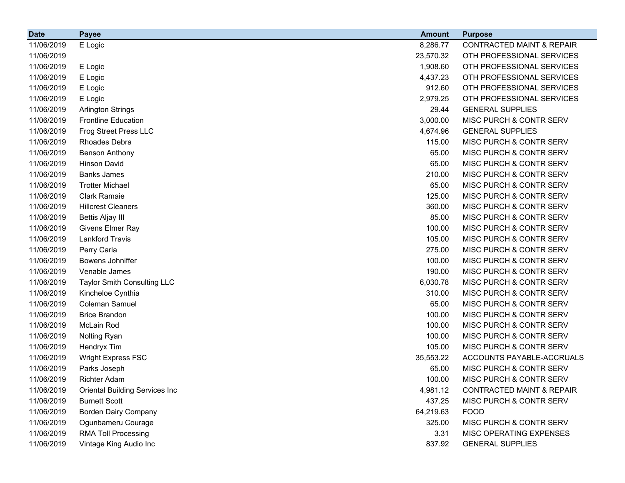| <b>Date</b> | <b>Payee</b>                          | <b>Amount</b> | <b>Purpose</b>                       |
|-------------|---------------------------------------|---------------|--------------------------------------|
| 11/06/2019  | E Logic                               | 8,286.77      | <b>CONTRACTED MAINT &amp; REPAIR</b> |
| 11/06/2019  |                                       | 23,570.32     | OTH PROFESSIONAL SERVICES            |
| 11/06/2019  | E Logic                               | 1,908.60      | OTH PROFESSIONAL SERVICES            |
| 11/06/2019  | E Logic                               | 4,437.23      | OTH PROFESSIONAL SERVICES            |
| 11/06/2019  | E Logic                               | 912.60        | OTH PROFESSIONAL SERVICES            |
| 11/06/2019  | E Logic                               | 2,979.25      | OTH PROFESSIONAL SERVICES            |
| 11/06/2019  | <b>Arlington Strings</b>              | 29.44         | <b>GENERAL SUPPLIES</b>              |
| 11/06/2019  | <b>Frontline Education</b>            | 3,000.00      | MISC PURCH & CONTR SERV              |
| 11/06/2019  | Frog Street Press LLC                 | 4,674.96      | <b>GENERAL SUPPLIES</b>              |
| 11/06/2019  | Rhoades Debra                         | 115.00        | MISC PURCH & CONTR SERV              |
| 11/06/2019  | <b>Benson Anthony</b>                 | 65.00         | MISC PURCH & CONTR SERV              |
| 11/06/2019  | <b>Hinson David</b>                   | 65.00         | MISC PURCH & CONTR SERV              |
| 11/06/2019  | <b>Banks James</b>                    | 210.00        | MISC PURCH & CONTR SERV              |
| 11/06/2019  | <b>Trotter Michael</b>                | 65.00         | MISC PURCH & CONTR SERV              |
| 11/06/2019  | <b>Clark Ramaie</b>                   | 125.00        | MISC PURCH & CONTR SERV              |
| 11/06/2019  | <b>Hillcrest Cleaners</b>             | 360.00        | MISC PURCH & CONTR SERV              |
| 11/06/2019  | <b>Bettis Aljay III</b>               | 85.00         | MISC PURCH & CONTR SERV              |
| 11/06/2019  | Givens Elmer Ray                      | 100.00        | MISC PURCH & CONTR SERV              |
| 11/06/2019  | <b>Lankford Travis</b>                | 105.00        | MISC PURCH & CONTR SERV              |
| 11/06/2019  | Perry Carla                           | 275.00        | MISC PURCH & CONTR SERV              |
| 11/06/2019  | Bowens Johniffer                      | 100.00        | MISC PURCH & CONTR SERV              |
| 11/06/2019  | Venable James                         | 190.00        | MISC PURCH & CONTR SERV              |
| 11/06/2019  | <b>Taylor Smith Consulting LLC</b>    | 6,030.78      | MISC PURCH & CONTR SERV              |
| 11/06/2019  | Kincheloe Cynthia                     | 310.00        | MISC PURCH & CONTR SERV              |
| 11/06/2019  | Coleman Samuel                        | 65.00         | MISC PURCH & CONTR SERV              |
| 11/06/2019  | <b>Brice Brandon</b>                  | 100.00        | MISC PURCH & CONTR SERV              |
| 11/06/2019  | McLain Rod                            | 100.00        | MISC PURCH & CONTR SERV              |
| 11/06/2019  | Nolting Ryan                          | 100.00        | MISC PURCH & CONTR SERV              |
| 11/06/2019  | Hendryx Tim                           | 105.00        | MISC PURCH & CONTR SERV              |
| 11/06/2019  | Wright Express FSC                    | 35,553.22     | ACCOUNTS PAYABLE-ACCRUALS            |
| 11/06/2019  | Parks Joseph                          | 65.00         | MISC PURCH & CONTR SERV              |
| 11/06/2019  | <b>Richter Adam</b>                   | 100.00        | MISC PURCH & CONTR SERV              |
| 11/06/2019  | <b>Oriental Building Services Inc</b> | 4,981.12      | <b>CONTRACTED MAINT &amp; REPAIR</b> |
| 11/06/2019  | <b>Burnett Scott</b>                  | 437.25        | MISC PURCH & CONTR SERV              |
| 11/06/2019  | <b>Borden Dairy Company</b>           | 64,219.63     | <b>FOOD</b>                          |
| 11/06/2019  | Ogunbameru Courage                    | 325.00        | MISC PURCH & CONTR SERV              |
| 11/06/2019  | <b>RMA Toll Processing</b>            | 3.31          | MISC OPERATING EXPENSES              |
| 11/06/2019  | Vintage King Audio Inc                | 837.92        | <b>GENERAL SUPPLIES</b>              |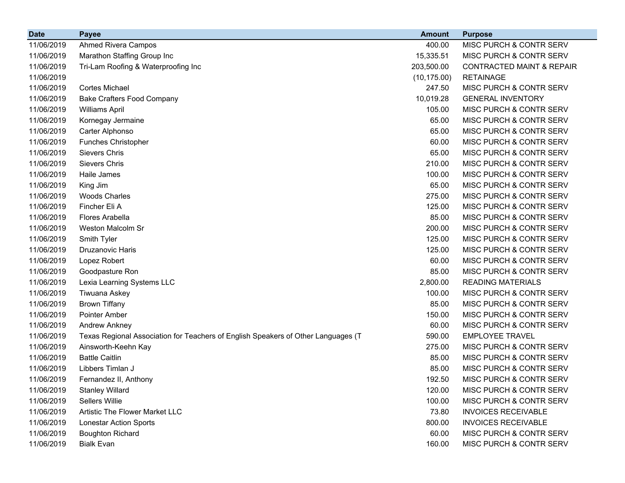| <b>Date</b> | <b>Payee</b>                                                                      | <b>Amount</b> | <b>Purpose</b>                       |
|-------------|-----------------------------------------------------------------------------------|---------------|--------------------------------------|
| 11/06/2019  | Ahmed Rivera Campos                                                               | 400.00        | MISC PURCH & CONTR SERV              |
| 11/06/2019  | Marathon Staffing Group Inc                                                       | 15,335.51     | MISC PURCH & CONTR SERV              |
| 11/06/2019  | Tri-Lam Roofing & Waterproofing Inc                                               | 203,500.00    | <b>CONTRACTED MAINT &amp; REPAIR</b> |
| 11/06/2019  |                                                                                   | (10, 175.00)  | <b>RETAINAGE</b>                     |
| 11/06/2019  | <b>Cortes Michael</b>                                                             | 247.50        | <b>MISC PURCH &amp; CONTR SERV</b>   |
| 11/06/2019  | <b>Bake Crafters Food Company</b>                                                 | 10,019.28     | <b>GENERAL INVENTORY</b>             |
| 11/06/2019  | <b>Williams April</b>                                                             | 105.00        | MISC PURCH & CONTR SERV              |
| 11/06/2019  | Kornegay Jermaine                                                                 | 65.00         | MISC PURCH & CONTR SERV              |
| 11/06/2019  | Carter Alphonso                                                                   | 65.00         | MISC PURCH & CONTR SERV              |
| 11/06/2019  | <b>Funches Christopher</b>                                                        | 60.00         | MISC PURCH & CONTR SERV              |
| 11/06/2019  | <b>Sievers Chris</b>                                                              | 65.00         | MISC PURCH & CONTR SERV              |
| 11/06/2019  | <b>Sievers Chris</b>                                                              | 210.00        | MISC PURCH & CONTR SERV              |
| 11/06/2019  | Haile James                                                                       | 100.00        | MISC PURCH & CONTR SERV              |
| 11/06/2019  | King Jim                                                                          | 65.00         | <b>MISC PURCH &amp; CONTR SERV</b>   |
| 11/06/2019  | <b>Woods Charles</b>                                                              | 275.00        | MISC PURCH & CONTR SERV              |
| 11/06/2019  | Fincher Eli A                                                                     | 125.00        | MISC PURCH & CONTR SERV              |
| 11/06/2019  | <b>Flores Arabella</b>                                                            | 85.00         | MISC PURCH & CONTR SERV              |
| 11/06/2019  | Weston Malcolm Sr                                                                 | 200.00        | MISC PURCH & CONTR SERV              |
| 11/06/2019  | Smith Tyler                                                                       | 125.00        | MISC PURCH & CONTR SERV              |
| 11/06/2019  | Druzanovic Haris                                                                  | 125.00        | MISC PURCH & CONTR SERV              |
| 11/06/2019  | Lopez Robert                                                                      | 60.00         | MISC PURCH & CONTR SERV              |
| 11/06/2019  | Goodpasture Ron                                                                   | 85.00         | MISC PURCH & CONTR SERV              |
| 11/06/2019  | Lexia Learning Systems LLC                                                        | 2,800.00      | <b>READING MATERIALS</b>             |
| 11/06/2019  | Tiwuana Askey                                                                     | 100.00        | MISC PURCH & CONTR SERV              |
| 11/06/2019  | <b>Brown Tiffany</b>                                                              | 85.00         | MISC PURCH & CONTR SERV              |
| 11/06/2019  | Pointer Amber                                                                     | 150.00        | MISC PURCH & CONTR SERV              |
| 11/06/2019  | Andrew Ankney                                                                     | 60.00         | MISC PURCH & CONTR SERV              |
| 11/06/2019  | Texas Regional Association for Teachers of English Speakers of Other Languages (T | 590.00        | <b>EMPLOYEE TRAVEL</b>               |
| 11/06/2019  | Ainsworth-Keehn Kay                                                               | 275.00        | MISC PURCH & CONTR SERV              |
| 11/06/2019  | <b>Battle Caitlin</b>                                                             | 85.00         | MISC PURCH & CONTR SERV              |
| 11/06/2019  | Libbers Timlan J                                                                  | 85.00         | MISC PURCH & CONTR SERV              |
| 11/06/2019  | Fernandez II, Anthony                                                             | 192.50        | MISC PURCH & CONTR SERV              |
| 11/06/2019  | <b>Stanley Willard</b>                                                            | 120.00        | MISC PURCH & CONTR SERV              |
| 11/06/2019  | Sellers Willie                                                                    | 100.00        | MISC PURCH & CONTR SERV              |
| 11/06/2019  | Artistic The Flower Market LLC                                                    | 73.80         | <b>INVOICES RECEIVABLE</b>           |
| 11/06/2019  | <b>Lonestar Action Sports</b>                                                     | 800.00        | <b>INVOICES RECEIVABLE</b>           |
| 11/06/2019  | <b>Boughton Richard</b>                                                           | 60.00         | MISC PURCH & CONTR SERV              |
| 11/06/2019  | <b>Bialk Evan</b>                                                                 | 160.00        | MISC PURCH & CONTR SERV              |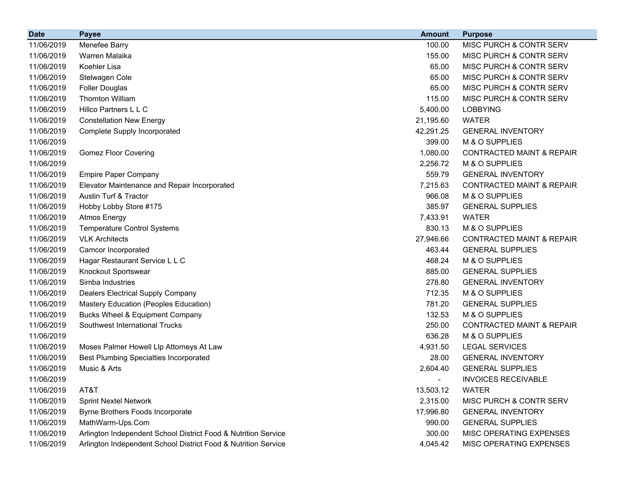| <b>Date</b> | <b>Payee</b>                                                   | <b>Amount</b> | <b>Purpose</b>                       |
|-------------|----------------------------------------------------------------|---------------|--------------------------------------|
| 11/06/2019  | Menefee Barry                                                  | 100.00        | MISC PURCH & CONTR SERV              |
| 11/06/2019  | Warren Malaika                                                 | 155.00        | <b>MISC PURCH &amp; CONTR SERV</b>   |
| 11/06/2019  | Koehler Lisa                                                   | 65.00         | MISC PURCH & CONTR SERV              |
| 11/06/2019  | Stelwagen Cole                                                 | 65.00         | <b>MISC PURCH &amp; CONTR SERV</b>   |
| 11/06/2019  | <b>Foller Douglas</b>                                          | 65.00         | MISC PURCH & CONTR SERV              |
| 11/06/2019  | <b>Thornton William</b>                                        | 115.00        | MISC PURCH & CONTR SERV              |
| 11/06/2019  | Hillco Partners L L C                                          | 5,400.00      | <b>LOBBYING</b>                      |
| 11/06/2019  | <b>Constellation New Energy</b>                                | 21,195.60     | <b>WATER</b>                         |
| 11/06/2019  | <b>Complete Supply Incorporated</b>                            | 42,291.25     | <b>GENERAL INVENTORY</b>             |
| 11/06/2019  |                                                                | 399.00        | M & O SUPPLIES                       |
| 11/06/2019  | <b>Gomez Floor Covering</b>                                    | 1,080.00      | <b>CONTRACTED MAINT &amp; REPAIR</b> |
| 11/06/2019  |                                                                | 2,256.72      | M & O SUPPLIES                       |
| 11/06/2019  | <b>Empire Paper Company</b>                                    | 559.79        | <b>GENERAL INVENTORY</b>             |
| 11/06/2019  | Elevator Maintenance and Repair Incorporated                   | 7,215.63      | <b>CONTRACTED MAINT &amp; REPAIR</b> |
| 11/06/2019  | Austin Turf & Tractor                                          | 966.08        | M & O SUPPLIES                       |
| 11/06/2019  | Hobby Lobby Store #175                                         | 385.97        | <b>GENERAL SUPPLIES</b>              |
| 11/06/2019  | <b>Atmos Energy</b>                                            | 7,433.91      | <b>WATER</b>                         |
| 11/06/2019  | <b>Temperature Control Systems</b>                             | 830.13        | M & O SUPPLIES                       |
| 11/06/2019  | <b>VLK Architects</b>                                          | 27,946.66     | <b>CONTRACTED MAINT &amp; REPAIR</b> |
| 11/06/2019  | Camcor Incorporated                                            | 463.44        | <b>GENERAL SUPPLIES</b>              |
| 11/06/2019  | Hagar Restaurant Service L L C                                 | 468.24        | M & O SUPPLIES                       |
| 11/06/2019  | Knockout Sportswear                                            | 885.00        | <b>GENERAL SUPPLIES</b>              |
| 11/06/2019  | Simba Industries                                               | 278.80        | <b>GENERAL INVENTORY</b>             |
| 11/06/2019  | Dealers Electrical Supply Company                              | 712.35        | M & O SUPPLIES                       |
| 11/06/2019  | Mastery Education (Peoples Education)                          | 781.20        | <b>GENERAL SUPPLIES</b>              |
| 11/06/2019  | <b>Bucks Wheel &amp; Equipment Company</b>                     | 132.53        | M & O SUPPLIES                       |
| 11/06/2019  | Southwest International Trucks                                 | 250.00        | <b>CONTRACTED MAINT &amp; REPAIR</b> |
| 11/06/2019  |                                                                | 636.28        | M & O SUPPLIES                       |
| 11/06/2019  | Moses Palmer Howell Llp Attorneys At Law                       | 4,931.50      | <b>LEGAL SERVICES</b>                |
| 11/06/2019  | <b>Best Plumbing Specialties Incorporated</b>                  | 28.00         | <b>GENERAL INVENTORY</b>             |
| 11/06/2019  | Music & Arts                                                   | 2,604.40      | <b>GENERAL SUPPLIES</b>              |
| 11/06/2019  |                                                                |               | <b>INVOICES RECEIVABLE</b>           |
| 11/06/2019  | AT&T                                                           | 13,503.12     | <b>WATER</b>                         |
| 11/06/2019  | <b>Sprint Nextel Network</b>                                   | 2,315.00      | MISC PURCH & CONTR SERV              |
| 11/06/2019  | Byrne Brothers Foods Incorporate                               | 17,996.80     | <b>GENERAL INVENTORY</b>             |
| 11/06/2019  | MathWarm-Ups.Com                                               | 990.00        | <b>GENERAL SUPPLIES</b>              |
| 11/06/2019  | Arlington Independent School District Food & Nutrition Service | 300.00        | MISC OPERATING EXPENSES              |
| 11/06/2019  | Arlington Independent School District Food & Nutrition Service | 4,045.42      | MISC OPERATING EXPENSES              |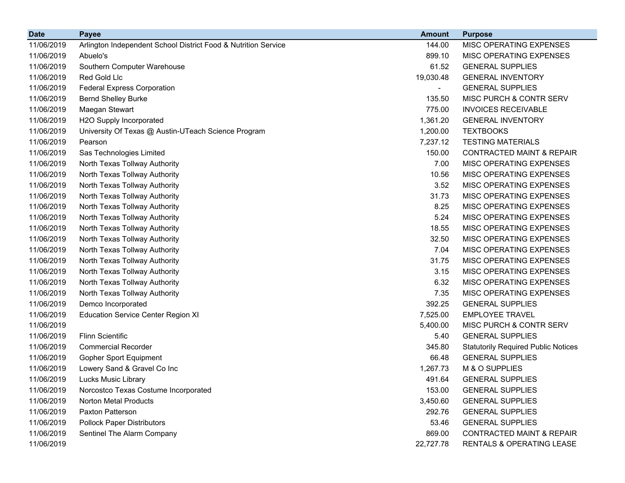| <b>Date</b> | <b>Payee</b>                                                   | <b>Amount</b> | <b>Purpose</b>                             |
|-------------|----------------------------------------------------------------|---------------|--------------------------------------------|
| 11/06/2019  | Arlington Independent School District Food & Nutrition Service | 144.00        | MISC OPERATING EXPENSES                    |
| 11/06/2019  | Abuelo's                                                       | 899.10        | MISC OPERATING EXPENSES                    |
| 11/06/2019  | Southern Computer Warehouse                                    | 61.52         | <b>GENERAL SUPPLIES</b>                    |
| 11/06/2019  | Red Gold Llc                                                   | 19,030.48     | <b>GENERAL INVENTORY</b>                   |
| 11/06/2019  | <b>Federal Express Corporation</b>                             | ۰.            | <b>GENERAL SUPPLIES</b>                    |
| 11/06/2019  | <b>Bernd Shelley Burke</b>                                     | 135.50        | MISC PURCH & CONTR SERV                    |
| 11/06/2019  | Maegan Stewart                                                 | 775.00        | <b>INVOICES RECEIVABLE</b>                 |
| 11/06/2019  | H2O Supply Incorporated                                        | 1,361.20      | <b>GENERAL INVENTORY</b>                   |
| 11/06/2019  | University Of Texas @ Austin-UTeach Science Program            | 1,200.00      | <b>TEXTBOOKS</b>                           |
| 11/06/2019  | Pearson                                                        | 7,237.12      | <b>TESTING MATERIALS</b>                   |
| 11/06/2019  | Sas Technologies Limited                                       | 150.00        | <b>CONTRACTED MAINT &amp; REPAIR</b>       |
| 11/06/2019  | North Texas Tollway Authority                                  | 7.00          | MISC OPERATING EXPENSES                    |
| 11/06/2019  | North Texas Tollway Authority                                  | 10.56         | MISC OPERATING EXPENSES                    |
| 11/06/2019  | North Texas Tollway Authority                                  | 3.52          | MISC OPERATING EXPENSES                    |
| 11/06/2019  | North Texas Tollway Authority                                  | 31.73         | MISC OPERATING EXPENSES                    |
| 11/06/2019  | North Texas Tollway Authority                                  | 8.25          | MISC OPERATING EXPENSES                    |
| 11/06/2019  | North Texas Tollway Authority                                  | 5.24          | MISC OPERATING EXPENSES                    |
| 11/06/2019  | North Texas Tollway Authority                                  | 18.55         | MISC OPERATING EXPENSES                    |
| 11/06/2019  | North Texas Tollway Authority                                  | 32.50         | MISC OPERATING EXPENSES                    |
| 11/06/2019  | North Texas Tollway Authority                                  | 7.04          | MISC OPERATING EXPENSES                    |
| 11/06/2019  | North Texas Tollway Authority                                  | 31.75         | MISC OPERATING EXPENSES                    |
| 11/06/2019  | North Texas Tollway Authority                                  | 3.15          | MISC OPERATING EXPENSES                    |
| 11/06/2019  | North Texas Tollway Authority                                  | 6.32          | MISC OPERATING EXPENSES                    |
| 11/06/2019  | North Texas Tollway Authority                                  | 7.35          | MISC OPERATING EXPENSES                    |
| 11/06/2019  | Demco Incorporated                                             | 392.25        | <b>GENERAL SUPPLIES</b>                    |
| 11/06/2019  | <b>Education Service Center Region XI</b>                      | 7,525.00      | <b>EMPLOYEE TRAVEL</b>                     |
| 11/06/2019  |                                                                | 5,400.00      | MISC PURCH & CONTR SERV                    |
| 11/06/2019  | <b>Flinn Scientific</b>                                        | 5.40          | <b>GENERAL SUPPLIES</b>                    |
| 11/06/2019  | <b>Commercial Recorder</b>                                     | 345.80        | <b>Statutorily Required Public Notices</b> |
| 11/06/2019  | <b>Gopher Sport Equipment</b>                                  | 66.48         | <b>GENERAL SUPPLIES</b>                    |
| 11/06/2019  | Lowery Sand & Gravel Co Inc                                    | 1,267.73      | M & O SUPPLIES                             |
| 11/06/2019  | Lucks Music Library                                            | 491.64        | <b>GENERAL SUPPLIES</b>                    |
| 11/06/2019  | Norcostco Texas Costume Incorporated                           | 153.00        | <b>GENERAL SUPPLIES</b>                    |
| 11/06/2019  | <b>Norton Metal Products</b>                                   | 3,450.60      | <b>GENERAL SUPPLIES</b>                    |
| 11/06/2019  | <b>Paxton Patterson</b>                                        | 292.76        | <b>GENERAL SUPPLIES</b>                    |
| 11/06/2019  | <b>Pollock Paper Distributors</b>                              | 53.46         | <b>GENERAL SUPPLIES</b>                    |
| 11/06/2019  | Sentinel The Alarm Company                                     | 869.00        | <b>CONTRACTED MAINT &amp; REPAIR</b>       |
| 11/06/2019  |                                                                | 22,727.78     | RENTALS & OPERATING LEASE                  |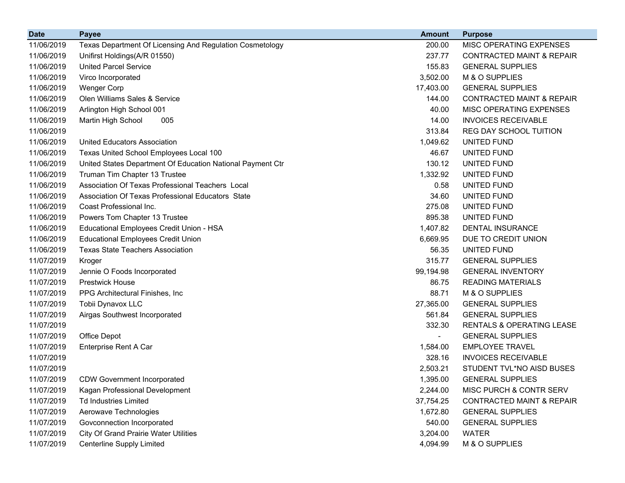| <b>Date</b> | <b>Payee</b>                                               | <b>Amount</b> | <b>Purpose</b>                       |
|-------------|------------------------------------------------------------|---------------|--------------------------------------|
| 11/06/2019  | Texas Department Of Licensing And Regulation Cosmetology   | 200.00        | MISC OPERATING EXPENSES              |
| 11/06/2019  | Unifirst Holdings(A/R 01550)                               | 237.77        | <b>CONTRACTED MAINT &amp; REPAIR</b> |
| 11/06/2019  | <b>United Parcel Service</b>                               | 155.83        | <b>GENERAL SUPPLIES</b>              |
| 11/06/2019  | Virco Incorporated                                         | 3,502.00      | M & O SUPPLIES                       |
| 11/06/2019  | <b>Wenger Corp</b>                                         | 17,403.00     | <b>GENERAL SUPPLIES</b>              |
| 11/06/2019  | Olen Williams Sales & Service                              | 144.00        | <b>CONTRACTED MAINT &amp; REPAIR</b> |
| 11/06/2019  | Arlington High School 001                                  | 40.00         | MISC OPERATING EXPENSES              |
| 11/06/2019  | Martin High School<br>005                                  | 14.00         | <b>INVOICES RECEIVABLE</b>           |
| 11/06/2019  |                                                            | 313.84        | REG DAY SCHOOL TUITION               |
| 11/06/2019  | <b>United Educators Association</b>                        | 1,049.62      | UNITED FUND                          |
| 11/06/2019  | Texas United School Employees Local 100                    | 46.67         | UNITED FUND                          |
| 11/06/2019  | United States Department Of Education National Payment Ctr | 130.12        | UNITED FUND                          |
| 11/06/2019  | Truman Tim Chapter 13 Trustee                              | 1,332.92      | UNITED FUND                          |
| 11/06/2019  | Association Of Texas Professional Teachers Local           | 0.58          | UNITED FUND                          |
| 11/06/2019  | Association Of Texas Professional Educators State          | 34.60         | UNITED FUND                          |
| 11/06/2019  | Coast Professional Inc.                                    | 275.08        | UNITED FUND                          |
| 11/06/2019  | Powers Tom Chapter 13 Trustee                              | 895.38        | UNITED FUND                          |
| 11/06/2019  | Educational Employees Credit Union - HSA                   | 1,407.82      | DENTAL INSURANCE                     |
| 11/06/2019  | <b>Educational Employees Credit Union</b>                  | 6,669.95      | DUE TO CREDIT UNION                  |
| 11/06/2019  | <b>Texas State Teachers Association</b>                    | 56.35         | UNITED FUND                          |
| 11/07/2019  | Kroger                                                     | 315.77        | <b>GENERAL SUPPLIES</b>              |
| 11/07/2019  | Jennie O Foods Incorporated                                | 99,194.98     | <b>GENERAL INVENTORY</b>             |
| 11/07/2019  | <b>Prestwick House</b>                                     | 86.75         | <b>READING MATERIALS</b>             |
| 11/07/2019  | PPG Architectural Finishes, Inc.                           | 88.71         | M & O SUPPLIES                       |
| 11/07/2019  | Tobii Dynavox LLC                                          | 27,365.00     | <b>GENERAL SUPPLIES</b>              |
| 11/07/2019  | Airgas Southwest Incorporated                              | 561.84        | <b>GENERAL SUPPLIES</b>              |
| 11/07/2019  |                                                            | 332.30        | RENTALS & OPERATING LEASE            |
| 11/07/2019  | Office Depot                                               |               | <b>GENERAL SUPPLIES</b>              |
| 11/07/2019  | <b>Enterprise Rent A Car</b>                               | 1,584.00      | <b>EMPLOYEE TRAVEL</b>               |
| 11/07/2019  |                                                            | 328.16        | <b>INVOICES RECEIVABLE</b>           |
| 11/07/2019  |                                                            | 2,503.21      | STUDENT TVL*NO AISD BUSES            |
| 11/07/2019  | <b>CDW Government Incorporated</b>                         | 1,395.00      | <b>GENERAL SUPPLIES</b>              |
| 11/07/2019  | Kagan Professional Development                             | 2,244.00      | MISC PURCH & CONTR SERV              |
| 11/07/2019  | <b>Td Industries Limited</b>                               | 37,754.25     | <b>CONTRACTED MAINT &amp; REPAIR</b> |
| 11/07/2019  | Aerowave Technologies                                      | 1,672.80      | <b>GENERAL SUPPLIES</b>              |
| 11/07/2019  | Govconnection Incorporated                                 | 540.00        | <b>GENERAL SUPPLIES</b>              |
| 11/07/2019  | <b>City Of Grand Prairie Water Utilities</b>               | 3,204.00      | <b>WATER</b>                         |
| 11/07/2019  | <b>Centerline Supply Limited</b>                           | 4,094.99      | M & O SUPPLIES                       |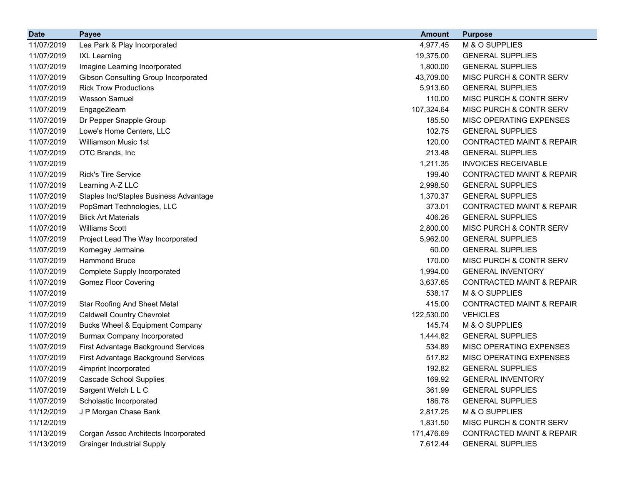| <b>Date</b> | <b>Payee</b>                               | <b>Amount</b> | <b>Purpose</b>                       |
|-------------|--------------------------------------------|---------------|--------------------------------------|
| 11/07/2019  | Lea Park & Play Incorporated               | 4,977.45      | M & O SUPPLIES                       |
| 11/07/2019  | <b>IXL Learning</b>                        | 19,375.00     | <b>GENERAL SUPPLIES</b>              |
| 11/07/2019  | Imagine Learning Incorporated              | 1,800.00      | <b>GENERAL SUPPLIES</b>              |
| 11/07/2019  | Gibson Consulting Group Incorporated       | 43,709.00     | MISC PURCH & CONTR SERV              |
| 11/07/2019  | <b>Rick Trow Productions</b>               | 5,913.60      | <b>GENERAL SUPPLIES</b>              |
| 11/07/2019  | <b>Wesson Samuel</b>                       | 110.00        | MISC PURCH & CONTR SERV              |
| 11/07/2019  | Engage2learn                               | 107,324.64    | MISC PURCH & CONTR SERV              |
| 11/07/2019  | Dr Pepper Snapple Group                    | 185.50        | MISC OPERATING EXPENSES              |
| 11/07/2019  | Lowe's Home Centers, LLC                   | 102.75        | <b>GENERAL SUPPLIES</b>              |
| 11/07/2019  | <b>Williamson Music 1st</b>                | 120.00        | <b>CONTRACTED MAINT &amp; REPAIR</b> |
| 11/07/2019  | OTC Brands, Inc                            | 213.48        | <b>GENERAL SUPPLIES</b>              |
| 11/07/2019  |                                            | 1,211.35      | <b>INVOICES RECEIVABLE</b>           |
| 11/07/2019  | <b>Rick's Tire Service</b>                 | 199.40        | <b>CONTRACTED MAINT &amp; REPAIR</b> |
| 11/07/2019  | Learning A-Z LLC                           | 2,998.50      | <b>GENERAL SUPPLIES</b>              |
| 11/07/2019  | Staples Inc/Staples Business Advantage     | 1,370.37      | <b>GENERAL SUPPLIES</b>              |
| 11/07/2019  | PopSmart Technologies, LLC                 | 373.01        | <b>CONTRACTED MAINT &amp; REPAIR</b> |
| 11/07/2019  | <b>Blick Art Materials</b>                 | 406.26        | <b>GENERAL SUPPLIES</b>              |
| 11/07/2019  | <b>Williams Scott</b>                      | 2,800.00      | MISC PURCH & CONTR SERV              |
| 11/07/2019  | Project Lead The Way Incorporated          | 5,962.00      | <b>GENERAL SUPPLIES</b>              |
| 11/07/2019  | Kornegay Jermaine                          | 60.00         | <b>GENERAL SUPPLIES</b>              |
| 11/07/2019  | <b>Hammond Bruce</b>                       | 170.00        | MISC PURCH & CONTR SERV              |
| 11/07/2019  | Complete Supply Incorporated               | 1,994.00      | <b>GENERAL INVENTORY</b>             |
| 11/07/2019  | <b>Gomez Floor Covering</b>                | 3,637.65      | <b>CONTRACTED MAINT &amp; REPAIR</b> |
| 11/07/2019  |                                            | 538.17        | M & O SUPPLIES                       |
| 11/07/2019  | <b>Star Roofing And Sheet Metal</b>        | 415.00        | <b>CONTRACTED MAINT &amp; REPAIR</b> |
| 11/07/2019  | <b>Caldwell Country Chevrolet</b>          | 122,530.00    | <b>VEHICLES</b>                      |
| 11/07/2019  | <b>Bucks Wheel &amp; Equipment Company</b> | 145.74        | M & O SUPPLIES                       |
| 11/07/2019  | <b>Burmax Company Incorporated</b>         | 1,444.82      | <b>GENERAL SUPPLIES</b>              |
| 11/07/2019  | First Advantage Background Services        | 534.89        | MISC OPERATING EXPENSES              |
| 11/07/2019  | First Advantage Background Services        | 517.82        | MISC OPERATING EXPENSES              |
| 11/07/2019  | 4imprint Incorporated                      | 192.82        | <b>GENERAL SUPPLIES</b>              |
| 11/07/2019  | <b>Cascade School Supplies</b>             | 169.92        | <b>GENERAL INVENTORY</b>             |
| 11/07/2019  | Sargent Welch L L C                        | 361.99        | <b>GENERAL SUPPLIES</b>              |
| 11/07/2019  | Scholastic Incorporated                    | 186.78        | <b>GENERAL SUPPLIES</b>              |
| 11/12/2019  | J P Morgan Chase Bank                      | 2,817.25      | M & O SUPPLIES                       |
| 11/12/2019  |                                            | 1,831.50      | MISC PURCH & CONTR SERV              |
| 11/13/2019  | Corgan Assoc Architects Incorporated       | 171,476.69    | <b>CONTRACTED MAINT &amp; REPAIR</b> |
| 11/13/2019  | <b>Grainger Industrial Supply</b>          | 7,612.44      | <b>GENERAL SUPPLIES</b>              |
|             |                                            |               |                                      |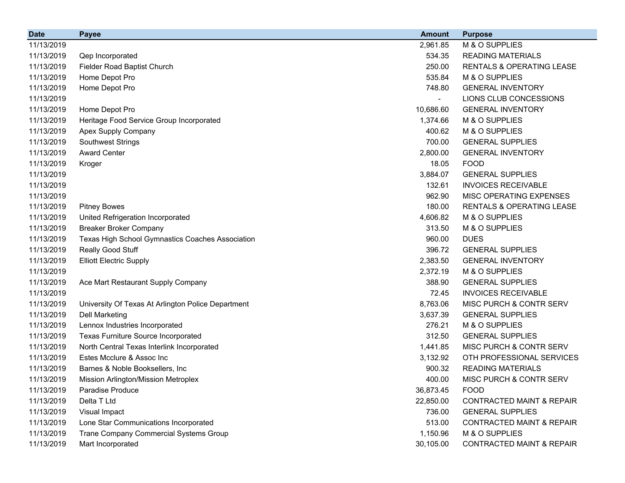| <b>Date</b> | <b>Payee</b>                                       | <b>Amount</b> | <b>Purpose</b>                       |
|-------------|----------------------------------------------------|---------------|--------------------------------------|
| 11/13/2019  |                                                    | 2,961.85      | M & O SUPPLIES                       |
| 11/13/2019  | Qep Incorporated                                   | 534.35        | <b>READING MATERIALS</b>             |
| 11/13/2019  | Fielder Road Baptist Church                        | 250.00        | RENTALS & OPERATING LEASE            |
| 11/13/2019  | Home Depot Pro                                     | 535.84        | M & O SUPPLIES                       |
| 11/13/2019  | Home Depot Pro                                     | 748.80        | <b>GENERAL INVENTORY</b>             |
| 11/13/2019  |                                                    |               | LIONS CLUB CONCESSIONS               |
| 11/13/2019  | Home Depot Pro                                     | 10,686.60     | <b>GENERAL INVENTORY</b>             |
| 11/13/2019  | Heritage Food Service Group Incorporated           | 1,374.66      | M & O SUPPLIES                       |
| 11/13/2019  | Apex Supply Company                                | 400.62        | M & O SUPPLIES                       |
| 11/13/2019  | <b>Southwest Strings</b>                           | 700.00        | <b>GENERAL SUPPLIES</b>              |
| 11/13/2019  | <b>Award Center</b>                                | 2,800.00      | <b>GENERAL INVENTORY</b>             |
| 11/13/2019  | Kroger                                             | 18.05         | <b>FOOD</b>                          |
| 11/13/2019  |                                                    | 3,884.07      | <b>GENERAL SUPPLIES</b>              |
| 11/13/2019  |                                                    | 132.61        | <b>INVOICES RECEIVABLE</b>           |
| 11/13/2019  |                                                    | 962.90        | MISC OPERATING EXPENSES              |
| 11/13/2019  | <b>Pitney Bowes</b>                                | 180.00        | <b>RENTALS &amp; OPERATING LEASE</b> |
| 11/13/2019  | United Refrigeration Incorporated                  | 4,606.82      | M & O SUPPLIES                       |
| 11/13/2019  | <b>Breaker Broker Company</b>                      | 313.50        | M & O SUPPLIES                       |
| 11/13/2019  | Texas High School Gymnastics Coaches Association   | 960.00        | <b>DUES</b>                          |
| 11/13/2019  | Really Good Stuff                                  | 396.72        | <b>GENERAL SUPPLIES</b>              |
| 11/13/2019  | <b>Elliott Electric Supply</b>                     | 2,383.50      | <b>GENERAL INVENTORY</b>             |
| 11/13/2019  |                                                    | 2,372.19      | M & O SUPPLIES                       |
| 11/13/2019  | Ace Mart Restaurant Supply Company                 | 388.90        | <b>GENERAL SUPPLIES</b>              |
| 11/13/2019  |                                                    | 72.45         | <b>INVOICES RECEIVABLE</b>           |
| 11/13/2019  | University Of Texas At Arlington Police Department | 8,763.06      | MISC PURCH & CONTR SERV              |
| 11/13/2019  | <b>Dell Marketing</b>                              | 3,637.39      | <b>GENERAL SUPPLIES</b>              |
| 11/13/2019  | Lennox Industries Incorporated                     | 276.21        | M & O SUPPLIES                       |
| 11/13/2019  | Texas Furniture Source Incorporated                | 312.50        | <b>GENERAL SUPPLIES</b>              |
| 11/13/2019  | North Central Texas Interlink Incorporated         | 1,441.85      | MISC PURCH & CONTR SERV              |
| 11/13/2019  | Estes Mcclure & Assoc Inc                          | 3,132.92      | OTH PROFESSIONAL SERVICES            |
| 11/13/2019  | Barnes & Noble Booksellers, Inc                    | 900.32        | <b>READING MATERIALS</b>             |
| 11/13/2019  | Mission Arlington/Mission Metroplex                | 400.00        | MISC PURCH & CONTR SERV              |
| 11/13/2019  | Paradise Produce                                   | 36,873.45     | <b>FOOD</b>                          |
| 11/13/2019  | Delta T Ltd                                        | 22,850.00     | <b>CONTRACTED MAINT &amp; REPAIR</b> |
| 11/13/2019  | Visual Impact                                      | 736.00        | <b>GENERAL SUPPLIES</b>              |
| 11/13/2019  | Lone Star Communications Incorporated              | 513.00        | <b>CONTRACTED MAINT &amp; REPAIR</b> |
| 11/13/2019  | Trane Company Commercial Systems Group             | 1,150.96      | M & O SUPPLIES                       |
| 11/13/2019  | Mart Incorporated                                  | 30,105.00     | CONTRACTED MAINT & REPAIR            |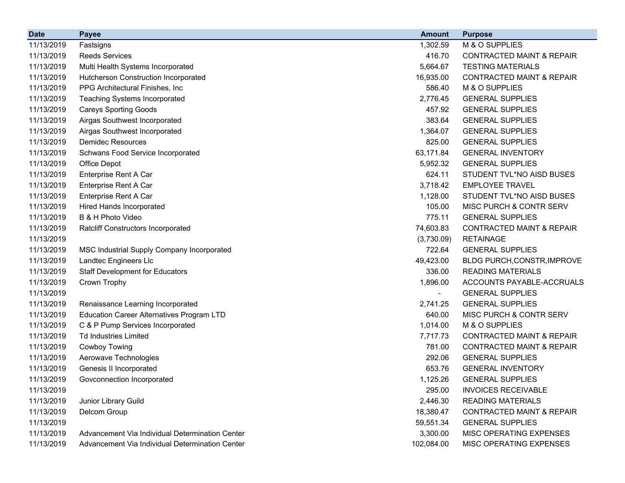| <b>Date</b> | Payee                                            | <b>Amount</b> | <b>Purpose</b>                       |
|-------------|--------------------------------------------------|---------------|--------------------------------------|
| 11/13/2019  | Fastsigns                                        | 1,302.59      | M & O SUPPLIES                       |
| 11/13/2019  | <b>Reeds Services</b>                            | 416.70        | <b>CONTRACTED MAINT &amp; REPAIR</b> |
| 11/13/2019  | Multi Health Systems Incorporated                | 5,664.67      | <b>TESTING MATERIALS</b>             |
| 11/13/2019  | <b>Hutcherson Construction Incorporated</b>      | 16,935.00     | <b>CONTRACTED MAINT &amp; REPAIR</b> |
| 11/13/2019  | PPG Architectural Finishes, Inc.                 | 586.40        | M & O SUPPLIES                       |
| 11/13/2019  | <b>Teaching Systems Incorporated</b>             | 2,776.45      | <b>GENERAL SUPPLIES</b>              |
| 11/13/2019  | <b>Careys Sporting Goods</b>                     | 457.92        | <b>GENERAL SUPPLIES</b>              |
| 11/13/2019  | Airgas Southwest Incorporated                    | 383.64        | <b>GENERAL SUPPLIES</b>              |
| 11/13/2019  | Airgas Southwest Incorporated                    | 1,364.07      | <b>GENERAL SUPPLIES</b>              |
| 11/13/2019  | <b>Demidec Resources</b>                         | 825.00        | <b>GENERAL SUPPLIES</b>              |
| 11/13/2019  | Schwans Food Service Incorporated                | 63,171.84     | <b>GENERAL INVENTORY</b>             |
| 11/13/2019  | Office Depot                                     | 5,952.32      | <b>GENERAL SUPPLIES</b>              |
| 11/13/2019  | Enterprise Rent A Car                            | 624.11        | STUDENT TVL*NO AISD BUSES            |
| 11/13/2019  | Enterprise Rent A Car                            | 3,718.42      | <b>EMPLOYEE TRAVEL</b>               |
| 11/13/2019  | Enterprise Rent A Car                            | 1,128.00      | STUDENT TVL*NO AISD BUSES            |
| 11/13/2019  | Hired Hands Incorporated                         | 105.00        | MISC PURCH & CONTR SERV              |
| 11/13/2019  | B & H Photo Video                                | 775.11        | <b>GENERAL SUPPLIES</b>              |
| 11/13/2019  | <b>Ratcliff Constructors Incorporated</b>        | 74,603.83     | <b>CONTRACTED MAINT &amp; REPAIR</b> |
| 11/13/2019  |                                                  | (3,730.09)    | <b>RETAINAGE</b>                     |
| 11/13/2019  | MSC Industrial Supply Company Incorporated       | 722.64        | <b>GENERAL SUPPLIES</b>              |
| 11/13/2019  | Landtec Engineers Llc                            | 49,423.00     | BLDG PURCH, CONSTR, IMPROVE          |
| 11/13/2019  | <b>Staff Development for Educators</b>           | 336.00        | <b>READING MATERIALS</b>             |
| 11/13/2019  | Crown Trophy                                     | 1,896.00      | ACCOUNTS PAYABLE-ACCRUALS            |
| 11/13/2019  |                                                  |               | <b>GENERAL SUPPLIES</b>              |
| 11/13/2019  | Renaissance Learning Incorporated                | 2,741.25      | <b>GENERAL SUPPLIES</b>              |
| 11/13/2019  | <b>Education Career Alternatives Program LTD</b> | 640.00        | MISC PURCH & CONTR SERV              |
| 11/13/2019  | C & P Pump Services Incorporated                 | 1,014.00      | M & O SUPPLIES                       |
| 11/13/2019  | <b>Td Industries Limited</b>                     | 7,717.73      | <b>CONTRACTED MAINT &amp; REPAIR</b> |
| 11/13/2019  | Cowboy Towing                                    | 781.00        | <b>CONTRACTED MAINT &amp; REPAIR</b> |
| 11/13/2019  | Aerowave Technologies                            | 292.06        | <b>GENERAL SUPPLIES</b>              |
| 11/13/2019  | Genesis II Incorporated                          | 653.76        | <b>GENERAL INVENTORY</b>             |
| 11/13/2019  | Govconnection Incorporated                       | 1,125.26      | <b>GENERAL SUPPLIES</b>              |
| 11/13/2019  |                                                  | 295.00        | <b>INVOICES RECEIVABLE</b>           |
| 11/13/2019  | Junior Library Guild                             | 2,446.30      | <b>READING MATERIALS</b>             |
| 11/13/2019  | Delcom Group                                     | 18,380.47     | <b>CONTRACTED MAINT &amp; REPAIR</b> |
| 11/13/2019  |                                                  | 59,551.34     | <b>GENERAL SUPPLIES</b>              |
| 11/13/2019  | Advancement Via Individual Determination Center  | 3,300.00      | MISC OPERATING EXPENSES              |
| 11/13/2019  | Advancement Via Individual Determination Center  | 102,084.00    | MISC OPERATING EXPENSES              |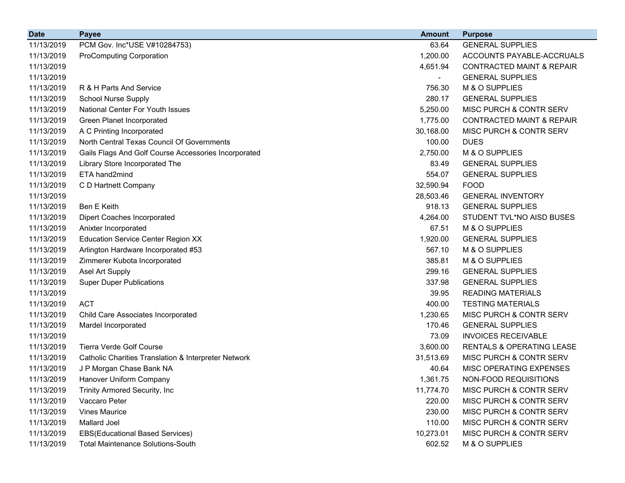| <b>Date</b> | <b>Payee</b>                                         | <b>Amount</b> | <b>Purpose</b>                       |
|-------------|------------------------------------------------------|---------------|--------------------------------------|
| 11/13/2019  | PCM Gov. Inc*USE V#10284753)                         | 63.64         | <b>GENERAL SUPPLIES</b>              |
| 11/13/2019  | <b>ProComputing Corporation</b>                      | 1,200.00      | ACCOUNTS PAYABLE-ACCRUALS            |
| 11/13/2019  |                                                      | 4,651.94      | <b>CONTRACTED MAINT &amp; REPAIR</b> |
| 11/13/2019  |                                                      | ۰             | <b>GENERAL SUPPLIES</b>              |
| 11/13/2019  | R & H Parts And Service                              | 756.30        | M & O SUPPLIES                       |
| 11/13/2019  | <b>School Nurse Supply</b>                           | 280.17        | <b>GENERAL SUPPLIES</b>              |
| 11/13/2019  | National Center For Youth Issues                     | 5,250.00      | MISC PURCH & CONTR SERV              |
| 11/13/2019  | Green Planet Incorporated                            | 1,775.00      | <b>CONTRACTED MAINT &amp; REPAIR</b> |
| 11/13/2019  | A C Printing Incorporated                            | 30,168.00     | MISC PURCH & CONTR SERV              |
| 11/13/2019  | North Central Texas Council Of Governments           | 100.00        | <b>DUES</b>                          |
| 11/13/2019  | Gails Flags And Golf Course Accessories Incorporated | 2,750.00      | M & O SUPPLIES                       |
| 11/13/2019  | Library Store Incorporated The                       | 83.49         | <b>GENERAL SUPPLIES</b>              |
| 11/13/2019  | ETA hand2mind                                        | 554.07        | <b>GENERAL SUPPLIES</b>              |
| 11/13/2019  | C D Hartnett Company                                 | 32,590.94     | <b>FOOD</b>                          |
| 11/13/2019  |                                                      | 28,503.46     | <b>GENERAL INVENTORY</b>             |
| 11/13/2019  | Ben E Keith                                          | 918.13        | <b>GENERAL SUPPLIES</b>              |
| 11/13/2019  | <b>Dipert Coaches Incorporated</b>                   | 4,264.00      | STUDENT TVL*NO AISD BUSES            |
| 11/13/2019  | Anixter Incorporated                                 | 67.51         | M & O SUPPLIES                       |
| 11/13/2019  | <b>Education Service Center Region XX</b>            | 1,920.00      | <b>GENERAL SUPPLIES</b>              |
| 11/13/2019  | Arlington Hardware Incorporated #53                  | 567.10        | M & O SUPPLIES                       |
| 11/13/2019  | Zimmerer Kubota Incorporated                         | 385.81        | M & O SUPPLIES                       |
| 11/13/2019  | Asel Art Supply                                      | 299.16        | <b>GENERAL SUPPLIES</b>              |
| 11/13/2019  | <b>Super Duper Publications</b>                      | 337.98        | <b>GENERAL SUPPLIES</b>              |
| 11/13/2019  |                                                      | 39.95         | <b>READING MATERIALS</b>             |
| 11/13/2019  | <b>ACT</b>                                           | 400.00        | <b>TESTING MATERIALS</b>             |
| 11/13/2019  | Child Care Associates Incorporated                   | 1,230.65      | MISC PURCH & CONTR SERV              |
| 11/13/2019  | Mardel Incorporated                                  | 170.46        | <b>GENERAL SUPPLIES</b>              |
| 11/13/2019  |                                                      | 73.09         | <b>INVOICES RECEIVABLE</b>           |
| 11/13/2019  | <b>Tierra Verde Golf Course</b>                      | 3,600.00      | RENTALS & OPERATING LEASE            |
| 11/13/2019  | Catholic Charities Translation & Interpreter Network | 31,513.69     | MISC PURCH & CONTR SERV              |
| 11/13/2019  | J P Morgan Chase Bank NA                             | 40.64         | MISC OPERATING EXPENSES              |
| 11/13/2019  | Hanover Uniform Company                              | 1,361.75      | NON-FOOD REQUISITIONS                |
| 11/13/2019  | Trinity Armored Security, Inc                        | 11,774.70     | MISC PURCH & CONTR SERV              |
| 11/13/2019  | Vaccaro Peter                                        | 220.00        | MISC PURCH & CONTR SERV              |
| 11/13/2019  | <b>Vines Maurice</b>                                 | 230.00        | MISC PURCH & CONTR SERV              |
| 11/13/2019  | Mallard Joel                                         | 110.00        | MISC PURCH & CONTR SERV              |
| 11/13/2019  | <b>EBS(Educational Based Services)</b>               | 10,273.01     | MISC PURCH & CONTR SERV              |
| 11/13/2019  | <b>Total Maintenance Solutions-South</b>             | 602.52        | M & O SUPPLIES                       |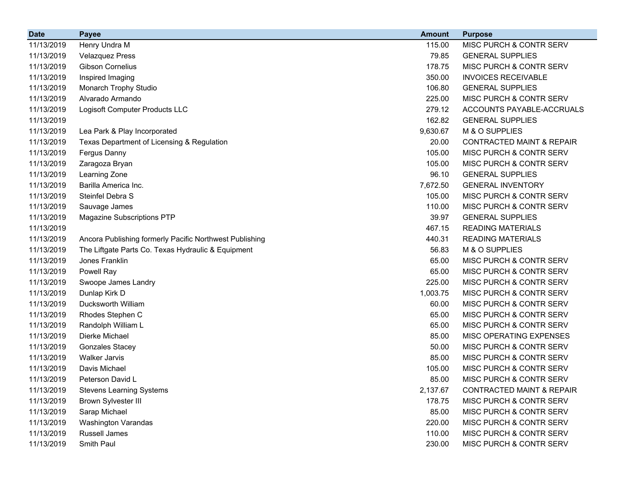| <b>Date</b> | <b>Payee</b>                                            | <b>Amount</b> | <b>Purpose</b>                       |
|-------------|---------------------------------------------------------|---------------|--------------------------------------|
| 11/13/2019  | Henry Undra M                                           | 115.00        | MISC PURCH & CONTR SERV              |
| 11/13/2019  | <b>Velazquez Press</b>                                  | 79.85         | <b>GENERAL SUPPLIES</b>              |
| 11/13/2019  | <b>Gibson Cornelius</b>                                 | 178.75        | <b>MISC PURCH &amp; CONTR SERV</b>   |
| 11/13/2019  | Inspired Imaging                                        | 350.00        | <b>INVOICES RECEIVABLE</b>           |
| 11/13/2019  | Monarch Trophy Studio                                   | 106.80        | <b>GENERAL SUPPLIES</b>              |
| 11/13/2019  | Alvarado Armando                                        | 225.00        | MISC PURCH & CONTR SERV              |
| 11/13/2019  | Logisoft Computer Products LLC                          | 279.12        | ACCOUNTS PAYABLE-ACCRUALS            |
| 11/13/2019  |                                                         | 162.82        | <b>GENERAL SUPPLIES</b>              |
| 11/13/2019  | Lea Park & Play Incorporated                            | 9,630.67      | M & O SUPPLIES                       |
| 11/13/2019  | Texas Department of Licensing & Regulation              | 20.00         | <b>CONTRACTED MAINT &amp; REPAIR</b> |
| 11/13/2019  | Fergus Danny                                            | 105.00        | MISC PURCH & CONTR SERV              |
| 11/13/2019  | Zaragoza Bryan                                          | 105.00        | MISC PURCH & CONTR SERV              |
| 11/13/2019  | Learning Zone                                           | 96.10         | <b>GENERAL SUPPLIES</b>              |
| 11/13/2019  | Barilla America Inc.                                    | 7,672.50      | <b>GENERAL INVENTORY</b>             |
| 11/13/2019  | Steinfel Debra S                                        | 105.00        | MISC PURCH & CONTR SERV              |
| 11/13/2019  | Sauvage James                                           | 110.00        | MISC PURCH & CONTR SERV              |
| 11/13/2019  | <b>Magazine Subscriptions PTP</b>                       | 39.97         | <b>GENERAL SUPPLIES</b>              |
| 11/13/2019  |                                                         | 467.15        | <b>READING MATERIALS</b>             |
| 11/13/2019  | Ancora Publishing formerly Pacific Northwest Publishing | 440.31        | <b>READING MATERIALS</b>             |
| 11/13/2019  | The Liftgate Parts Co. Texas Hydraulic & Equipment      | 56.83         | M & O SUPPLIES                       |
| 11/13/2019  | Jones Franklin                                          | 65.00         | MISC PURCH & CONTR SERV              |
| 11/13/2019  | Powell Ray                                              | 65.00         | MISC PURCH & CONTR SERV              |
| 11/13/2019  | Swoope James Landry                                     | 225.00        | MISC PURCH & CONTR SERV              |
| 11/13/2019  | Dunlap Kirk D                                           | 1,003.75      | MISC PURCH & CONTR SERV              |
| 11/13/2019  | Ducksworth William                                      | 60.00         | MISC PURCH & CONTR SERV              |
| 11/13/2019  | Rhodes Stephen C                                        | 65.00         | MISC PURCH & CONTR SERV              |
| 11/13/2019  | Randolph William L                                      | 65.00         | MISC PURCH & CONTR SERV              |
| 11/13/2019  | Dierke Michael                                          | 85.00         | MISC OPERATING EXPENSES              |
| 11/13/2019  | <b>Gonzales Stacey</b>                                  | 50.00         | MISC PURCH & CONTR SERV              |
| 11/13/2019  | <b>Walker Jarvis</b>                                    | 85.00         | <b>MISC PURCH &amp; CONTR SERV</b>   |
| 11/13/2019  | Davis Michael                                           | 105.00        | MISC PURCH & CONTR SERV              |
| 11/13/2019  | Peterson David L                                        | 85.00         | MISC PURCH & CONTR SERV              |
| 11/13/2019  | <b>Stevens Learning Systems</b>                         | 2,137.67      | <b>CONTRACTED MAINT &amp; REPAIR</b> |
| 11/13/2019  | <b>Brown Sylvester III</b>                              | 178.75        | MISC PURCH & CONTR SERV              |
| 11/13/2019  | Sarap Michael                                           | 85.00         | MISC PURCH & CONTR SERV              |
| 11/13/2019  | <b>Washington Varandas</b>                              | 220.00        | MISC PURCH & CONTR SERV              |
| 11/13/2019  | Russell James                                           | 110.00        | MISC PURCH & CONTR SERV              |
| 11/13/2019  | Smith Paul                                              | 230.00        | MISC PURCH & CONTR SERV              |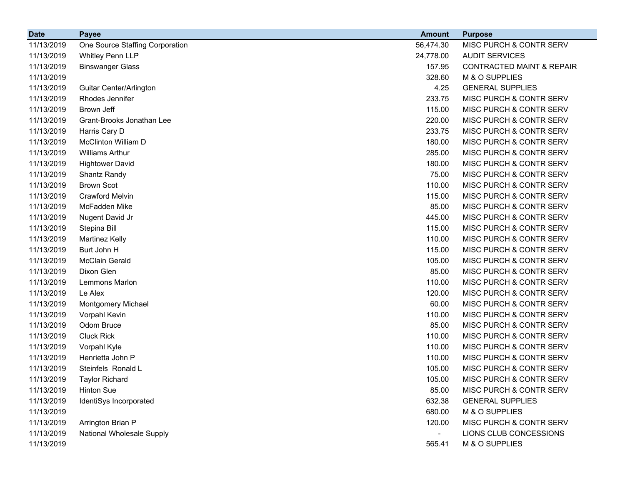| <b>Date</b> | <b>Payee</b>                    | <b>Amount</b>  | <b>Purpose</b>                       |
|-------------|---------------------------------|----------------|--------------------------------------|
| 11/13/2019  | One Source Staffing Corporation | 56,474.30      | MISC PURCH & CONTR SERV              |
| 11/13/2019  | <b>Whitley Penn LLP</b>         | 24,778.00      | <b>AUDIT SERVICES</b>                |
| 11/13/2019  | <b>Binswanger Glass</b>         | 157.95         | <b>CONTRACTED MAINT &amp; REPAIR</b> |
| 11/13/2019  |                                 | 328.60         | M & O SUPPLIES                       |
| 11/13/2019  | Guitar Center/Arlington         | 4.25           | <b>GENERAL SUPPLIES</b>              |
| 11/13/2019  | Rhodes Jennifer                 | 233.75         | MISC PURCH & CONTR SERV              |
| 11/13/2019  | Brown Jeff                      | 115.00         | MISC PURCH & CONTR SERV              |
| 11/13/2019  | Grant-Brooks Jonathan Lee       | 220.00         | MISC PURCH & CONTR SERV              |
| 11/13/2019  | Harris Cary D                   | 233.75         | MISC PURCH & CONTR SERV              |
| 11/13/2019  | McClinton William D             | 180.00         | MISC PURCH & CONTR SERV              |
| 11/13/2019  | <b>Williams Arthur</b>          | 285.00         | MISC PURCH & CONTR SERV              |
| 11/13/2019  | <b>Hightower David</b>          | 180.00         | MISC PURCH & CONTR SERV              |
| 11/13/2019  | Shantz Randy                    | 75.00          | MISC PURCH & CONTR SERV              |
| 11/13/2019  | <b>Brown Scot</b>               | 110.00         | MISC PURCH & CONTR SERV              |
| 11/13/2019  | <b>Crawford Melvin</b>          | 115.00         | MISC PURCH & CONTR SERV              |
| 11/13/2019  | McFadden Mike                   | 85.00          | MISC PURCH & CONTR SERV              |
| 11/13/2019  | Nugent David Jr                 | 445.00         | MISC PURCH & CONTR SERV              |
| 11/13/2019  | Stepina Bill                    | 115.00         | MISC PURCH & CONTR SERV              |
| 11/13/2019  | <b>Martinez Kelly</b>           | 110.00         | MISC PURCH & CONTR SERV              |
| 11/13/2019  | Burt John H                     | 115.00         | MISC PURCH & CONTR SERV              |
| 11/13/2019  | <b>McClain Gerald</b>           | 105.00         | MISC PURCH & CONTR SERV              |
| 11/13/2019  | Dixon Glen                      | 85.00          | MISC PURCH & CONTR SERV              |
| 11/13/2019  | Lemmons Marlon                  | 110.00         | MISC PURCH & CONTR SERV              |
| 11/13/2019  | Le Alex                         | 120.00         | MISC PURCH & CONTR SERV              |
| 11/13/2019  | Montgomery Michael              | 60.00          | MISC PURCH & CONTR SERV              |
| 11/13/2019  | Vorpahl Kevin                   | 110.00         | MISC PURCH & CONTR SERV              |
| 11/13/2019  | Odom Bruce                      | 85.00          | MISC PURCH & CONTR SERV              |
| 11/13/2019  | <b>Cluck Rick</b>               | 110.00         | MISC PURCH & CONTR SERV              |
| 11/13/2019  | Vorpahl Kyle                    | 110.00         | MISC PURCH & CONTR SERV              |
| 11/13/2019  | Henrietta John P                | 110.00         | MISC PURCH & CONTR SERV              |
| 11/13/2019  | Steinfels Ronald L              | 105.00         | MISC PURCH & CONTR SERV              |
| 11/13/2019  | <b>Taylor Richard</b>           | 105.00         | MISC PURCH & CONTR SERV              |
| 11/13/2019  | <b>Hinton Sue</b>               | 85.00          | MISC PURCH & CONTR SERV              |
| 11/13/2019  | IdentiSys Incorporated          | 632.38         | <b>GENERAL SUPPLIES</b>              |
| 11/13/2019  |                                 | 680.00         | M & O SUPPLIES                       |
| 11/13/2019  | Arrington Brian P               | 120.00         | MISC PURCH & CONTR SERV              |
| 11/13/2019  | National Wholesale Supply       | $\blacksquare$ | LIONS CLUB CONCESSIONS               |
| 11/13/2019  |                                 | 565.41         | M & O SUPPLIES                       |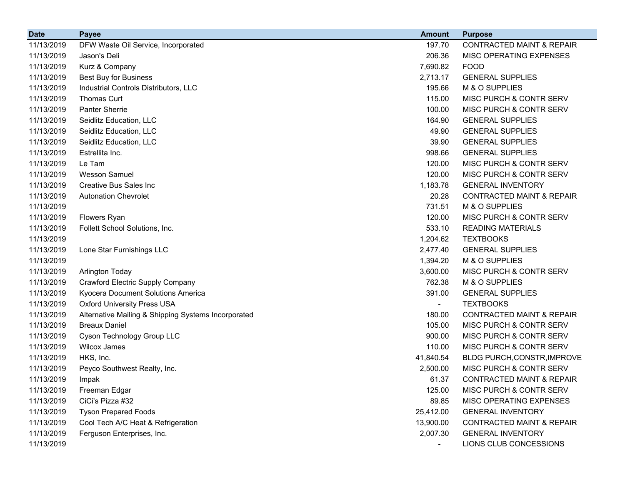| <b>Date</b> | <b>Payee</b>                                        | <b>Amount</b> | <b>Purpose</b>                       |
|-------------|-----------------------------------------------------|---------------|--------------------------------------|
| 11/13/2019  | DFW Waste Oil Service, Incorporated                 | 197.70        | <b>CONTRACTED MAINT &amp; REPAIR</b> |
| 11/13/2019  | Jason's Deli                                        | 206.36        | MISC OPERATING EXPENSES              |
| 11/13/2019  | Kurz & Company                                      | 7,690.82      | <b>FOOD</b>                          |
| 11/13/2019  | <b>Best Buy for Business</b>                        | 2,713.17      | <b>GENERAL SUPPLIES</b>              |
| 11/13/2019  | Industrial Controls Distributors, LLC               | 195.66        | M & O SUPPLIES                       |
| 11/13/2019  | <b>Thomas Curt</b>                                  | 115.00        | MISC PURCH & CONTR SERV              |
| 11/13/2019  | <b>Panter Sherrie</b>                               | 100.00        | MISC PURCH & CONTR SERV              |
| 11/13/2019  | Seidlitz Education, LLC                             | 164.90        | <b>GENERAL SUPPLIES</b>              |
| 11/13/2019  | Seidlitz Education, LLC                             | 49.90         | <b>GENERAL SUPPLIES</b>              |
| 11/13/2019  | Seidlitz Education, LLC                             | 39.90         | <b>GENERAL SUPPLIES</b>              |
| 11/13/2019  | Estrellita Inc.                                     | 998.66        | <b>GENERAL SUPPLIES</b>              |
| 11/13/2019  | Le Tam                                              | 120.00        | MISC PURCH & CONTR SERV              |
| 11/13/2019  | <b>Wesson Samuel</b>                                | 120.00        | MISC PURCH & CONTR SERV              |
| 11/13/2019  | Creative Bus Sales Inc                              | 1,183.78      | <b>GENERAL INVENTORY</b>             |
| 11/13/2019  | <b>Autonation Chevrolet</b>                         | 20.28         | <b>CONTRACTED MAINT &amp; REPAIR</b> |
| 11/13/2019  |                                                     | 731.51        | M & O SUPPLIES                       |
| 11/13/2019  | <b>Flowers Ryan</b>                                 | 120.00        | MISC PURCH & CONTR SERV              |
| 11/13/2019  | Follett School Solutions, Inc.                      | 533.10        | <b>READING MATERIALS</b>             |
| 11/13/2019  |                                                     | 1,204.62      | <b>TEXTBOOKS</b>                     |
| 11/13/2019  | Lone Star Furnishings LLC                           | 2,477.40      | <b>GENERAL SUPPLIES</b>              |
| 11/13/2019  |                                                     | 1,394.20      | M & O SUPPLIES                       |
| 11/13/2019  | <b>Arlington Today</b>                              | 3,600.00      | MISC PURCH & CONTR SERV              |
| 11/13/2019  | Crawford Electric Supply Company                    | 762.38        | M & O SUPPLIES                       |
| 11/13/2019  | Kyocera Document Solutions America                  | 391.00        | <b>GENERAL SUPPLIES</b>              |
| 11/13/2019  | <b>Oxford University Press USA</b>                  |               | <b>TEXTBOOKS</b>                     |
| 11/13/2019  | Alternative Mailing & Shipping Systems Incorporated | 180.00        | <b>CONTRACTED MAINT &amp; REPAIR</b> |
| 11/13/2019  | <b>Breaux Daniel</b>                                | 105.00        | MISC PURCH & CONTR SERV              |
| 11/13/2019  | Cyson Technology Group LLC                          | 900.00        | MISC PURCH & CONTR SERV              |
| 11/13/2019  | <b>Wilcox James</b>                                 | 110.00        | MISC PURCH & CONTR SERV              |
| 11/13/2019  | HKS, Inc.                                           | 41,840.54     | BLDG PURCH, CONSTR, IMPROVE          |
| 11/13/2019  | Peyco Southwest Realty, Inc.                        | 2,500.00      | MISC PURCH & CONTR SERV              |
| 11/13/2019  | Impak                                               | 61.37         | CONTRACTED MAINT & REPAIR            |
| 11/13/2019  | Freeman Edgar                                       | 125.00        | MISC PURCH & CONTR SERV              |
| 11/13/2019  | CiCi's Pizza #32                                    | 89.85         | MISC OPERATING EXPENSES              |
| 11/13/2019  | <b>Tyson Prepared Foods</b>                         | 25,412.00     | <b>GENERAL INVENTORY</b>             |
| 11/13/2019  | Cool Tech A/C Heat & Refrigeration                  | 13,900.00     | <b>CONTRACTED MAINT &amp; REPAIR</b> |
| 11/13/2019  | Ferguson Enterprises, Inc.                          | 2,007.30      | <b>GENERAL INVENTORY</b>             |
| 11/13/2019  |                                                     |               | LIONS CLUB CONCESSIONS               |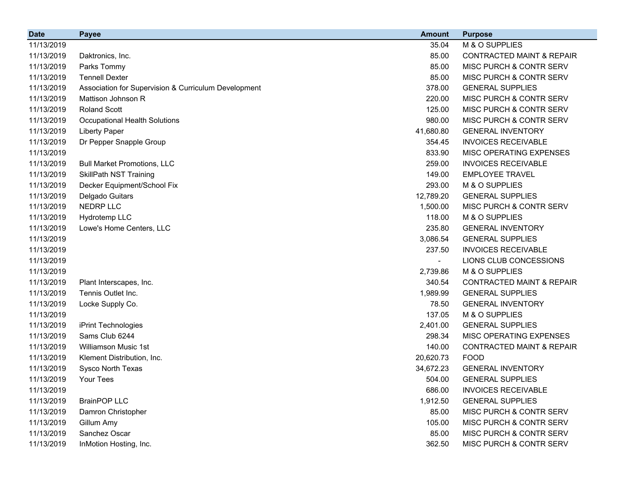| <b>Date</b> | <b>Payee</b>                                         | <b>Amount</b> | <b>Purpose</b>                       |
|-------------|------------------------------------------------------|---------------|--------------------------------------|
| 11/13/2019  |                                                      | 35.04         | M & O SUPPLIES                       |
| 11/13/2019  | Daktronics, Inc.                                     | 85.00         | <b>CONTRACTED MAINT &amp; REPAIR</b> |
| 11/13/2019  | Parks Tommy                                          | 85.00         | <b>MISC PURCH &amp; CONTR SERV</b>   |
| 11/13/2019  | <b>Tennell Dexter</b>                                | 85.00         | <b>MISC PURCH &amp; CONTR SERV</b>   |
| 11/13/2019  | Association for Supervision & Curriculum Development | 378.00        | <b>GENERAL SUPPLIES</b>              |
| 11/13/2019  | Mattison Johnson R                                   | 220.00        | <b>MISC PURCH &amp; CONTR SERV</b>   |
| 11/13/2019  | <b>Roland Scott</b>                                  | 125.00        | MISC PURCH & CONTR SERV              |
| 11/13/2019  | <b>Occupational Health Solutions</b>                 | 980.00        | <b>MISC PURCH &amp; CONTR SERV</b>   |
| 11/13/2019  | <b>Liberty Paper</b>                                 | 41,680.80     | <b>GENERAL INVENTORY</b>             |
| 11/13/2019  | Dr Pepper Snapple Group                              | 354.45        | <b>INVOICES RECEIVABLE</b>           |
| 11/13/2019  |                                                      | 833.90        | <b>MISC OPERATING EXPENSES</b>       |
| 11/13/2019  | <b>Bull Market Promotions, LLC</b>                   | 259.00        | <b>INVOICES RECEIVABLE</b>           |
| 11/13/2019  | <b>SkillPath NST Training</b>                        | 149.00        | <b>EMPLOYEE TRAVEL</b>               |
| 11/13/2019  | Decker Equipment/School Fix                          | 293.00        | M & O SUPPLIES                       |
| 11/13/2019  | Delgado Guitars                                      | 12,789.20     | <b>GENERAL SUPPLIES</b>              |
| 11/13/2019  | NEDRP LLC                                            | 1,500.00      | MISC PURCH & CONTR SERV              |
| 11/13/2019  | Hydrotemp LLC                                        | 118.00        | M & O SUPPLIES                       |
| 11/13/2019  | Lowe's Home Centers, LLC                             | 235.80        | <b>GENERAL INVENTORY</b>             |
| 11/13/2019  |                                                      | 3,086.54      | <b>GENERAL SUPPLIES</b>              |
| 11/13/2019  |                                                      | 237.50        | <b>INVOICES RECEIVABLE</b>           |
| 11/13/2019  |                                                      |               | LIONS CLUB CONCESSIONS               |
| 11/13/2019  |                                                      | 2,739.86      | M & O SUPPLIES                       |
| 11/13/2019  | Plant Interscapes, Inc.                              | 340.54        | <b>CONTRACTED MAINT &amp; REPAIR</b> |
| 11/13/2019  | Tennis Outlet Inc.                                   | 1,989.99      | <b>GENERAL SUPPLIES</b>              |
| 11/13/2019  | Locke Supply Co.                                     | 78.50         | <b>GENERAL INVENTORY</b>             |
| 11/13/2019  |                                                      | 137.05        | M & O SUPPLIES                       |
| 11/13/2019  | iPrint Technologies                                  | 2,401.00      | <b>GENERAL SUPPLIES</b>              |
| 11/13/2019  | Sams Club 6244                                       | 298.34        | MISC OPERATING EXPENSES              |
| 11/13/2019  | <b>Williamson Music 1st</b>                          | 140.00        | <b>CONTRACTED MAINT &amp; REPAIR</b> |
| 11/13/2019  | Klement Distribution, Inc.                           | 20,620.73     | <b>FOOD</b>                          |
| 11/13/2019  | Sysco North Texas                                    | 34,672.23     | <b>GENERAL INVENTORY</b>             |
| 11/13/2019  | Your Tees                                            | 504.00        | <b>GENERAL SUPPLIES</b>              |
| 11/13/2019  |                                                      | 686.00        | <b>INVOICES RECEIVABLE</b>           |
| 11/13/2019  | <b>BrainPOP LLC</b>                                  | 1,912.50      | <b>GENERAL SUPPLIES</b>              |
| 11/13/2019  | Damron Christopher                                   | 85.00         | MISC PURCH & CONTR SERV              |
| 11/13/2019  | Gillum Amy                                           | 105.00        | MISC PURCH & CONTR SERV              |
| 11/13/2019  | Sanchez Oscar                                        | 85.00         | MISC PURCH & CONTR SERV              |
| 11/13/2019  | InMotion Hosting, Inc.                               | 362.50        | MISC PURCH & CONTR SERV              |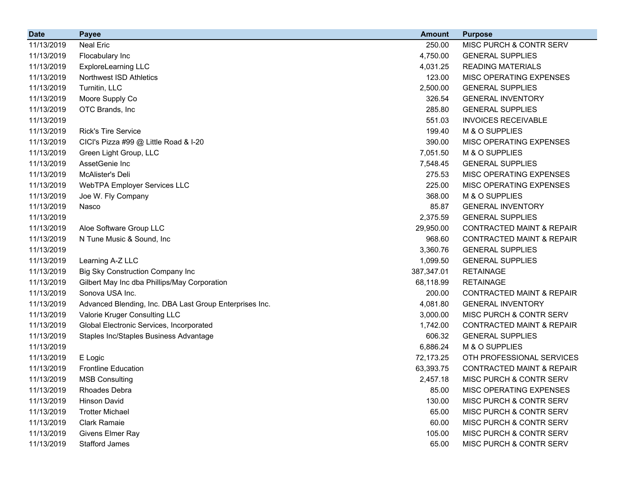| <b>Date</b> | <b>Payee</b>                                            | <b>Amount</b> | <b>Purpose</b>                       |
|-------------|---------------------------------------------------------|---------------|--------------------------------------|
| 11/13/2019  | <b>Neal Eric</b>                                        | 250.00        | MISC PURCH & CONTR SERV              |
| 11/13/2019  | Flocabulary Inc                                         | 4,750.00      | <b>GENERAL SUPPLIES</b>              |
| 11/13/2019  | ExploreLearning LLC                                     | 4,031.25      | <b>READING MATERIALS</b>             |
| 11/13/2019  | Northwest ISD Athletics                                 | 123.00        | MISC OPERATING EXPENSES              |
| 11/13/2019  | Turnitin, LLC                                           | 2,500.00      | <b>GENERAL SUPPLIES</b>              |
| 11/13/2019  | Moore Supply Co                                         | 326.54        | <b>GENERAL INVENTORY</b>             |
| 11/13/2019  | OTC Brands, Inc                                         | 285.80        | <b>GENERAL SUPPLIES</b>              |
| 11/13/2019  |                                                         | 551.03        | <b>INVOICES RECEIVABLE</b>           |
| 11/13/2019  | <b>Rick's Tire Service</b>                              | 199.40        | M & O SUPPLIES                       |
| 11/13/2019  | CICI's Pizza #99 @ Little Road & I-20                   | 390.00        | MISC OPERATING EXPENSES              |
| 11/13/2019  | Green Light Group, LLC                                  | 7,051.50      | M & O SUPPLIES                       |
| 11/13/2019  | AssetGenie Inc                                          | 7,548.45      | <b>GENERAL SUPPLIES</b>              |
| 11/13/2019  | McAlister's Deli                                        | 275.53        | MISC OPERATING EXPENSES              |
| 11/13/2019  | WebTPA Employer Services LLC                            | 225.00        | MISC OPERATING EXPENSES              |
| 11/13/2019  | Joe W. Fly Company                                      | 368.00        | M & O SUPPLIES                       |
| 11/13/2019  | Nasco                                                   | 85.87         | <b>GENERAL INVENTORY</b>             |
| 11/13/2019  |                                                         | 2,375.59      | <b>GENERAL SUPPLIES</b>              |
| 11/13/2019  | Aloe Software Group LLC                                 | 29,950.00     | <b>CONTRACTED MAINT &amp; REPAIR</b> |
| 11/13/2019  | N Tune Music & Sound, Inc                               | 968.60        | <b>CONTRACTED MAINT &amp; REPAIR</b> |
| 11/13/2019  |                                                         | 3,360.76      | <b>GENERAL SUPPLIES</b>              |
| 11/13/2019  | Learning A-Z LLC                                        | 1,099.50      | <b>GENERAL SUPPLIES</b>              |
| 11/13/2019  | <b>Big Sky Construction Company Inc</b>                 | 387,347.01    | <b>RETAINAGE</b>                     |
| 11/13/2019  | Gilbert May Inc dba Phillips/May Corporation            | 68,118.99     | <b>RETAINAGE</b>                     |
| 11/13/2019  | Sonova USA Inc.                                         | 200.00        | <b>CONTRACTED MAINT &amp; REPAIR</b> |
| 11/13/2019  | Advanced Blending, Inc. DBA Last Group Enterprises Inc. | 4,081.80      | <b>GENERAL INVENTORY</b>             |
| 11/13/2019  | Valorie Kruger Consulting LLC                           | 3,000.00      | MISC PURCH & CONTR SERV              |
| 11/13/2019  | Global Electronic Services, Incorporated                | 1,742.00      | <b>CONTRACTED MAINT &amp; REPAIR</b> |
| 11/13/2019  | Staples Inc/Staples Business Advantage                  | 606.32        | <b>GENERAL SUPPLIES</b>              |
| 11/13/2019  |                                                         | 6,886.24      | M & O SUPPLIES                       |
| 11/13/2019  | E Logic                                                 | 72,173.25     | OTH PROFESSIONAL SERVICES            |
| 11/13/2019  | <b>Frontline Education</b>                              | 63,393.75     | <b>CONTRACTED MAINT &amp; REPAIR</b> |
| 11/13/2019  | <b>MSB Consulting</b>                                   | 2,457.18      | MISC PURCH & CONTR SERV              |
| 11/13/2019  | Rhoades Debra                                           | 85.00         | MISC OPERATING EXPENSES              |
| 11/13/2019  | <b>Hinson David</b>                                     | 130.00        | MISC PURCH & CONTR SERV              |
| 11/13/2019  | <b>Trotter Michael</b>                                  | 65.00         | MISC PURCH & CONTR SERV              |
| 11/13/2019  | <b>Clark Ramaie</b>                                     | 60.00         | MISC PURCH & CONTR SERV              |
| 11/13/2019  | Givens Elmer Ray                                        | 105.00        | MISC PURCH & CONTR SERV              |
| 11/13/2019  | <b>Stafford James</b>                                   | 65.00         | MISC PURCH & CONTR SERV              |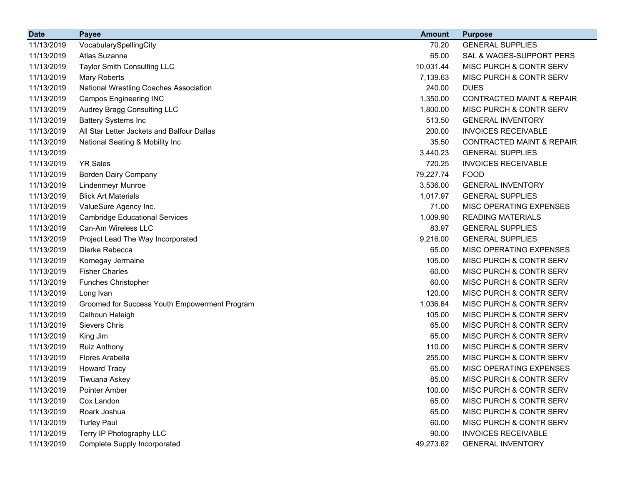| <b>Date</b> | <b>Payee</b>                                  | <b>Amount</b> | <b>Purpose</b>                       |
|-------------|-----------------------------------------------|---------------|--------------------------------------|
| 11/13/2019  | VocabularySpellingCity                        | 70.20         | <b>GENERAL SUPPLIES</b>              |
| 11/13/2019  | Atlas Suzanne                                 | 65.00         | SAL & WAGES-SUPPORT PERS             |
| 11/13/2019  | <b>Taylor Smith Consulting LLC</b>            | 10,031.44     | MISC PURCH & CONTR SERV              |
| 11/13/2019  | Mary Roberts                                  | 7,139.63      | MISC PURCH & CONTR SERV              |
| 11/13/2019  | National Wrestling Coaches Association        | 240.00        | <b>DUES</b>                          |
| 11/13/2019  | <b>Campos Engineering INC</b>                 | 1,350.00      | <b>CONTRACTED MAINT &amp; REPAIR</b> |
| 11/13/2019  | Audrey Bragg Consulting LLC                   | 1,800.00      | MISC PURCH & CONTR SERV              |
| 11/13/2019  | <b>Battery Systems Inc</b>                    | 513.50        | <b>GENERAL INVENTORY</b>             |
| 11/13/2019  | All Star Letter Jackets and Balfour Dallas    | 200.00        | <b>INVOICES RECEIVABLE</b>           |
| 11/13/2019  | National Seating & Mobility Inc               | 35.50         | <b>CONTRACTED MAINT &amp; REPAIR</b> |
| 11/13/2019  |                                               | 3,440.23      | <b>GENERAL SUPPLIES</b>              |
| 11/13/2019  | <b>YR Sales</b>                               | 720.25        | <b>INVOICES RECEIVABLE</b>           |
| 11/13/2019  | <b>Borden Dairy Company</b>                   | 79,227.74     | <b>FOOD</b>                          |
| 11/13/2019  | <b>Lindenmeyr Munroe</b>                      | 3,536.00      | <b>GENERAL INVENTORY</b>             |
| 11/13/2019  | <b>Blick Art Materials</b>                    | 1,017.97      | <b>GENERAL SUPPLIES</b>              |
| 11/13/2019  | ValueSure Agency Inc.                         | 71.00         | MISC OPERATING EXPENSES              |
| 11/13/2019  | <b>Cambridge Educational Services</b>         | 1,009.90      | <b>READING MATERIALS</b>             |
| 11/13/2019  | Can-Am Wireless LLC                           | 83.97         | <b>GENERAL SUPPLIES</b>              |
| 11/13/2019  | Project Lead The Way Incorporated             | 9,216.00      | <b>GENERAL SUPPLIES</b>              |
| 11/13/2019  | Dierke Rebecca                                | 65.00         | MISC OPERATING EXPENSES              |
| 11/13/2019  | Kornegay Jermaine                             | 105.00        | MISC PURCH & CONTR SERV              |
| 11/13/2019  | <b>Fisher Charles</b>                         | 60.00         | MISC PURCH & CONTR SERV              |
| 11/13/2019  | Funches Christopher                           | 60.00         | MISC PURCH & CONTR SERV              |
| 11/13/2019  | Long Ivan                                     | 120.00        | MISC PURCH & CONTR SERV              |
| 11/13/2019  | Groomed for Success Youth Empowerment Program | 1,036.64      | MISC PURCH & CONTR SERV              |
| 11/13/2019  | Calhoun Haleigh                               | 105.00        | MISC PURCH & CONTR SERV              |
| 11/13/2019  | <b>Sievers Chris</b>                          | 65.00         | MISC PURCH & CONTR SERV              |
| 11/13/2019  | King Jim                                      | 65.00         | MISC PURCH & CONTR SERV              |
| 11/13/2019  | <b>Ruiz Anthony</b>                           | 110.00        | MISC PURCH & CONTR SERV              |
| 11/13/2019  | Flores Arabella                               | 255.00        | MISC PURCH & CONTR SERV              |
| 11/13/2019  | <b>Howard Tracy</b>                           | 65.00         | MISC OPERATING EXPENSES              |
| 11/13/2019  | Tiwuana Askey                                 | 85.00         | MISC PURCH & CONTR SERV              |
| 11/13/2019  | <b>Pointer Amber</b>                          | 100.00        | MISC PURCH & CONTR SERV              |
| 11/13/2019  | Cox Landon                                    | 65.00         | MISC PURCH & CONTR SERV              |
| 11/13/2019  | Roark Joshua                                  | 65.00         | MISC PURCH & CONTR SERV              |
| 11/13/2019  | <b>Turley Paul</b>                            | 60.00         | MISC PURCH & CONTR SERV              |
| 11/13/2019  | Terry IP Photography LLC                      | 90.00         | <b>INVOICES RECEIVABLE</b>           |
| 11/13/2019  | Complete Supply Incorporated                  | 49,273.62     | <b>GENERAL INVENTORY</b>             |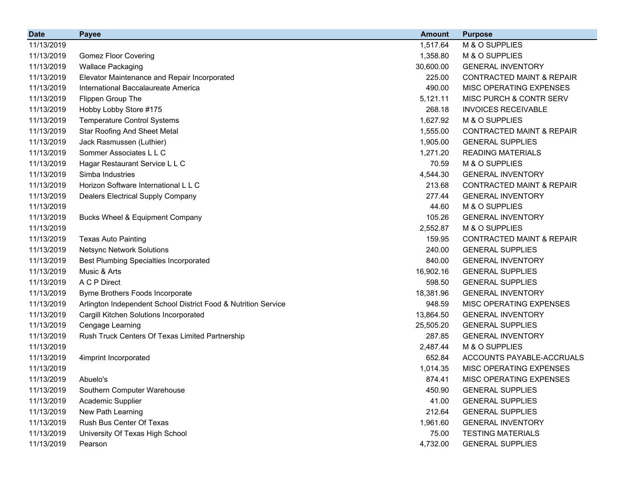| <b>Date</b> | <b>Payee</b>                                                   | <b>Amount</b> | <b>Purpose</b>                       |
|-------------|----------------------------------------------------------------|---------------|--------------------------------------|
| 11/13/2019  |                                                                | 1,517.64      | M & O SUPPLIES                       |
| 11/13/2019  | <b>Gomez Floor Covering</b>                                    | 1,358.80      | M & O SUPPLIES                       |
| 11/13/2019  | <b>Wallace Packaging</b>                                       | 30,600.00     | <b>GENERAL INVENTORY</b>             |
| 11/13/2019  | Elevator Maintenance and Repair Incorporated                   | 225.00        | <b>CONTRACTED MAINT &amp; REPAIR</b> |
| 11/13/2019  | International Baccalaureate America                            | 490.00        | MISC OPERATING EXPENSES              |
| 11/13/2019  | Flippen Group The                                              | 5,121.11      | MISC PURCH & CONTR SERV              |
| 11/13/2019  | Hobby Lobby Store #175                                         | 268.18        | <b>INVOICES RECEIVABLE</b>           |
| 11/13/2019  | <b>Temperature Control Systems</b>                             | 1,627.92      | M & O SUPPLIES                       |
| 11/13/2019  | <b>Star Roofing And Sheet Metal</b>                            | 1,555.00      | <b>CONTRACTED MAINT &amp; REPAIR</b> |
| 11/13/2019  | Jack Rasmussen (Luthier)                                       | 1,905.00      | <b>GENERAL SUPPLIES</b>              |
| 11/13/2019  | Sommer Associates L L C                                        | 1,271.20      | <b>READING MATERIALS</b>             |
| 11/13/2019  | Hagar Restaurant Service L L C                                 | 70.59         | M & O SUPPLIES                       |
| 11/13/2019  | Simba Industries                                               | 4,544.30      | <b>GENERAL INVENTORY</b>             |
| 11/13/2019  | Horizon Software International L L C                           | 213.68        | <b>CONTRACTED MAINT &amp; REPAIR</b> |
| 11/13/2019  | <b>Dealers Electrical Supply Company</b>                       | 277.44        | <b>GENERAL INVENTORY</b>             |
| 11/13/2019  |                                                                | 44.60         | M & O SUPPLIES                       |
| 11/13/2019  | Bucks Wheel & Equipment Company                                | 105.26        | <b>GENERAL INVENTORY</b>             |
| 11/13/2019  |                                                                | 2,552.87      | M & O SUPPLIES                       |
| 11/13/2019  | <b>Texas Auto Painting</b>                                     | 159.95        | <b>CONTRACTED MAINT &amp; REPAIR</b> |
| 11/13/2019  | <b>Netsync Network Solutions</b>                               | 240.00        | <b>GENERAL SUPPLIES</b>              |
| 11/13/2019  | <b>Best Plumbing Specialties Incorporated</b>                  | 840.00        | <b>GENERAL INVENTORY</b>             |
| 11/13/2019  | Music & Arts                                                   | 16,902.16     | <b>GENERAL SUPPLIES</b>              |
| 11/13/2019  | A C P Direct                                                   | 598.50        | <b>GENERAL SUPPLIES</b>              |
| 11/13/2019  | Byrne Brothers Foods Incorporate                               | 18,381.96     | <b>GENERAL INVENTORY</b>             |
| 11/13/2019  | Arlington Independent School District Food & Nutrition Service | 948.59        | MISC OPERATING EXPENSES              |
| 11/13/2019  | Cargill Kitchen Solutions Incorporated                         | 13,864.50     | <b>GENERAL INVENTORY</b>             |
| 11/13/2019  | Cengage Learning                                               | 25,505.20     | <b>GENERAL SUPPLIES</b>              |
| 11/13/2019  | Rush Truck Centers Of Texas Limited Partnership                | 287.85        | <b>GENERAL INVENTORY</b>             |
| 11/13/2019  |                                                                | 2,487.44      | M & O SUPPLIES                       |
| 11/13/2019  | 4imprint Incorporated                                          | 652.84        | ACCOUNTS PAYABLE-ACCRUALS            |
| 11/13/2019  |                                                                | 1,014.35      | MISC OPERATING EXPENSES              |
| 11/13/2019  | Abuelo's                                                       | 874.41        | <b>MISC OPERATING EXPENSES</b>       |
| 11/13/2019  | Southern Computer Warehouse                                    | 450.90        | <b>GENERAL SUPPLIES</b>              |
| 11/13/2019  | Academic Supplier                                              | 41.00         | <b>GENERAL SUPPLIES</b>              |
| 11/13/2019  | New Path Learning                                              | 212.64        | <b>GENERAL SUPPLIES</b>              |
| 11/13/2019  | Rush Bus Center Of Texas                                       | 1,961.60      | <b>GENERAL INVENTORY</b>             |
| 11/13/2019  | University Of Texas High School                                | 75.00         | <b>TESTING MATERIALS</b>             |
| 11/13/2019  | Pearson                                                        | 4,732.00      | <b>GENERAL SUPPLIES</b>              |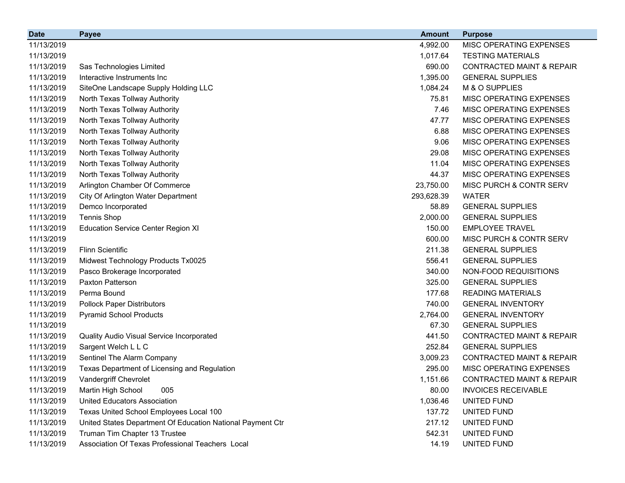| <b>Date</b> | <b>Payee</b>                                               | <b>Amount</b> | <b>Purpose</b>                       |
|-------------|------------------------------------------------------------|---------------|--------------------------------------|
| 11/13/2019  |                                                            | 4,992.00      | MISC OPERATING EXPENSES              |
| 11/13/2019  |                                                            | 1,017.64      | <b>TESTING MATERIALS</b>             |
| 11/13/2019  | Sas Technologies Limited                                   | 690.00        | <b>CONTRACTED MAINT &amp; REPAIR</b> |
| 11/13/2019  | Interactive Instruments Inc                                | 1,395.00      | <b>GENERAL SUPPLIES</b>              |
| 11/13/2019  | SiteOne Landscape Supply Holding LLC                       | 1,084.24      | M & O SUPPLIES                       |
| 11/13/2019  | North Texas Tollway Authority                              | 75.81         | <b>MISC OPERATING EXPENSES</b>       |
| 11/13/2019  | North Texas Tollway Authority                              | 7.46          | MISC OPERATING EXPENSES              |
| 11/13/2019  | North Texas Tollway Authority                              | 47.77         | <b>MISC OPERATING EXPENSES</b>       |
| 11/13/2019  | North Texas Tollway Authority                              | 6.88          | <b>MISC OPERATING EXPENSES</b>       |
| 11/13/2019  | North Texas Tollway Authority                              | 9.06          | MISC OPERATING EXPENSES              |
| 11/13/2019  | North Texas Tollway Authority                              | 29.08         | <b>MISC OPERATING EXPENSES</b>       |
| 11/13/2019  | North Texas Tollway Authority                              | 11.04         | MISC OPERATING EXPENSES              |
| 11/13/2019  | North Texas Tollway Authority                              | 44.37         | <b>MISC OPERATING EXPENSES</b>       |
| 11/13/2019  | Arlington Chamber Of Commerce                              | 23,750.00     | MISC PURCH & CONTR SERV              |
| 11/13/2019  | City Of Arlington Water Department                         | 293,628.39    | <b>WATER</b>                         |
| 11/13/2019  | Demco Incorporated                                         | 58.89         | <b>GENERAL SUPPLIES</b>              |
| 11/13/2019  | <b>Tennis Shop</b>                                         | 2,000.00      | <b>GENERAL SUPPLIES</b>              |
| 11/13/2019  | <b>Education Service Center Region XI</b>                  | 150.00        | <b>EMPLOYEE TRAVEL</b>               |
| 11/13/2019  |                                                            | 600.00        | MISC PURCH & CONTR SERV              |
| 11/13/2019  | <b>Flinn Scientific</b>                                    | 211.38        | <b>GENERAL SUPPLIES</b>              |
| 11/13/2019  | Midwest Technology Products Tx0025                         | 556.41        | <b>GENERAL SUPPLIES</b>              |
| 11/13/2019  | Pasco Brokerage Incorporated                               | 340.00        | NON-FOOD REQUISITIONS                |
| 11/13/2019  | Paxton Patterson                                           | 325.00        | <b>GENERAL SUPPLIES</b>              |
| 11/13/2019  | Perma Bound                                                | 177.68        | <b>READING MATERIALS</b>             |
| 11/13/2019  | <b>Pollock Paper Distributors</b>                          | 740.00        | <b>GENERAL INVENTORY</b>             |
| 11/13/2019  | <b>Pyramid School Products</b>                             | 2,764.00      | <b>GENERAL INVENTORY</b>             |
| 11/13/2019  |                                                            | 67.30         | <b>GENERAL SUPPLIES</b>              |
| 11/13/2019  | Quality Audio Visual Service Incorporated                  | 441.50        | <b>CONTRACTED MAINT &amp; REPAIR</b> |
| 11/13/2019  | Sargent Welch L L C                                        | 252.84        | <b>GENERAL SUPPLIES</b>              |
| 11/13/2019  | Sentinel The Alarm Company                                 | 3,009.23      | CONTRACTED MAINT & REPAIR            |
| 11/13/2019  | Texas Department of Licensing and Regulation               | 295.00        | MISC OPERATING EXPENSES              |
| 11/13/2019  | Vandergriff Chevrolet                                      | 1,151.66      | CONTRACTED MAINT & REPAIR            |
| 11/13/2019  | Martin High School<br>005                                  | 80.00         | <b>INVOICES RECEIVABLE</b>           |
| 11/13/2019  | United Educators Association                               | 1,036.46      | UNITED FUND                          |
| 11/13/2019  | Texas United School Employees Local 100                    | 137.72        | UNITED FUND                          |
| 11/13/2019  | United States Department Of Education National Payment Ctr | 217.12        | UNITED FUND                          |
| 11/13/2019  | Truman Tim Chapter 13 Trustee                              | 542.31        | UNITED FUND                          |
| 11/13/2019  | Association Of Texas Professional Teachers Local           | 14.19         | UNITED FUND                          |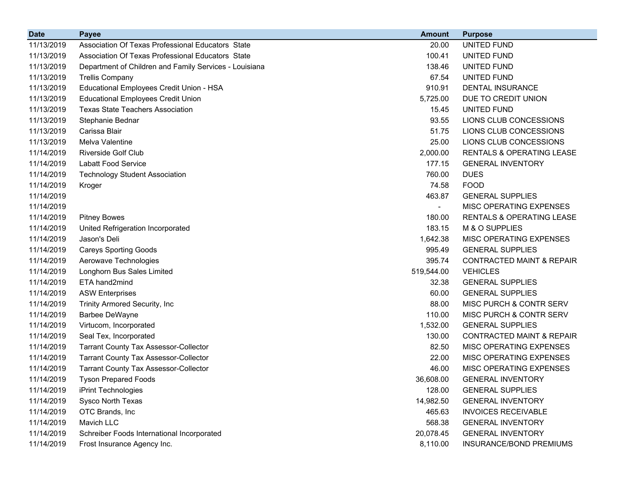| <b>Date</b> | <b>Payee</b>                                           | <b>Amount</b>            | <b>Purpose</b>                       |
|-------------|--------------------------------------------------------|--------------------------|--------------------------------------|
| 11/13/2019  | Association Of Texas Professional Educators State      | 20.00                    | UNITED FUND                          |
| 11/13/2019  | Association Of Texas Professional Educators State      | 100.41                   | UNITED FUND                          |
| 11/13/2019  | Department of Children and Family Services - Louisiana | 138.46                   | UNITED FUND                          |
| 11/13/2019  | <b>Trellis Company</b>                                 | 67.54                    | UNITED FUND                          |
| 11/13/2019  | Educational Employees Credit Union - HSA               | 910.91                   | <b>DENTAL INSURANCE</b>              |
| 11/13/2019  | <b>Educational Employees Credit Union</b>              | 5,725.00                 | DUE TO CREDIT UNION                  |
| 11/13/2019  | <b>Texas State Teachers Association</b>                | 15.45                    | UNITED FUND                          |
| 11/13/2019  | Stephanie Bednar                                       | 93.55                    | LIONS CLUB CONCESSIONS               |
| 11/13/2019  | Carissa Blair                                          | 51.75                    | LIONS CLUB CONCESSIONS               |
| 11/13/2019  | Melva Valentine                                        | 25.00                    | LIONS CLUB CONCESSIONS               |
| 11/14/2019  | <b>Riverside Golf Club</b>                             | 2,000.00                 | <b>RENTALS &amp; OPERATING LEASE</b> |
| 11/14/2019  | <b>Labatt Food Service</b>                             | 177.15                   | <b>GENERAL INVENTORY</b>             |
| 11/14/2019  | <b>Technology Student Association</b>                  | 760.00                   | <b>DUES</b>                          |
| 11/14/2019  | Kroger                                                 | 74.58                    | <b>FOOD</b>                          |
| 11/14/2019  |                                                        | 463.87                   | <b>GENERAL SUPPLIES</b>              |
| 11/14/2019  |                                                        | $\overline{\phantom{0}}$ | MISC OPERATING EXPENSES              |
| 11/14/2019  | <b>Pitney Bowes</b>                                    | 180.00                   | <b>RENTALS &amp; OPERATING LEASE</b> |
| 11/14/2019  | United Refrigeration Incorporated                      | 183.15                   | M & O SUPPLIES                       |
| 11/14/2019  | Jason's Deli                                           | 1,642.38                 | MISC OPERATING EXPENSES              |
| 11/14/2019  | <b>Careys Sporting Goods</b>                           | 995.49                   | <b>GENERAL SUPPLIES</b>              |
| 11/14/2019  | Aerowave Technologies                                  | 395.74                   | <b>CONTRACTED MAINT &amp; REPAIR</b> |
| 11/14/2019  | Longhorn Bus Sales Limited                             | 519,544.00               | <b>VEHICLES</b>                      |
| 11/14/2019  | ETA hand2mind                                          | 32.38                    | <b>GENERAL SUPPLIES</b>              |
| 11/14/2019  | <b>ASW Enterprises</b>                                 | 60.00                    | <b>GENERAL SUPPLIES</b>              |
| 11/14/2019  | <b>Trinity Armored Security, Inc.</b>                  | 88.00                    | MISC PURCH & CONTR SERV              |
| 11/14/2019  | Barbee DeWayne                                         | 110.00                   | MISC PURCH & CONTR SERV              |
| 11/14/2019  | Virtucom, Incorporated                                 | 1,532.00                 | <b>GENERAL SUPPLIES</b>              |
| 11/14/2019  | Seal Tex, Incorporated                                 | 130.00                   | <b>CONTRACTED MAINT &amp; REPAIR</b> |
| 11/14/2019  | <b>Tarrant County Tax Assessor-Collector</b>           | 82.50                    | MISC OPERATING EXPENSES              |
| 11/14/2019  | <b>Tarrant County Tax Assessor-Collector</b>           | 22.00                    | MISC OPERATING EXPENSES              |
| 11/14/2019  | <b>Tarrant County Tax Assessor-Collector</b>           | 46.00                    | MISC OPERATING EXPENSES              |
| 11/14/2019  | <b>Tyson Prepared Foods</b>                            | 36,608.00                | <b>GENERAL INVENTORY</b>             |
| 11/14/2019  | iPrint Technologies                                    | 128.00                   | <b>GENERAL SUPPLIES</b>              |
| 11/14/2019  | Sysco North Texas                                      | 14,982.50                | <b>GENERAL INVENTORY</b>             |
| 11/14/2019  | OTC Brands, Inc                                        | 465.63                   | <b>INVOICES RECEIVABLE</b>           |
| 11/14/2019  | Mavich LLC                                             | 568.38                   | <b>GENERAL INVENTORY</b>             |
| 11/14/2019  | Schreiber Foods International Incorporated             | 20,078.45                | <b>GENERAL INVENTORY</b>             |
| 11/14/2019  | Frost Insurance Agency Inc.                            | 8,110.00                 | INSURANCE/BOND PREMIUMS              |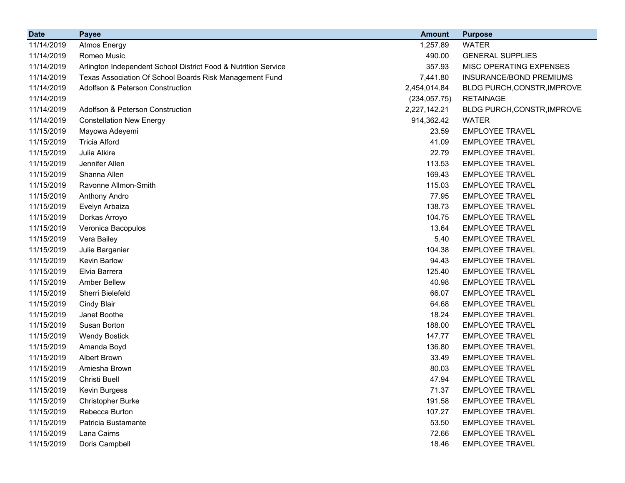| <b>Date</b> | <b>Payee</b>                                                   | <b>Amount</b> | <b>Purpose</b>              |
|-------------|----------------------------------------------------------------|---------------|-----------------------------|
| 11/14/2019  | <b>Atmos Energy</b>                                            | 1,257.89      | <b>WATER</b>                |
| 11/14/2019  | Romeo Music                                                    | 490.00        | <b>GENERAL SUPPLIES</b>     |
| 11/14/2019  | Arlington Independent School District Food & Nutrition Service | 357.93        | MISC OPERATING EXPENSES     |
| 11/14/2019  | Texas Association Of School Boards Risk Management Fund        | 7,441.80      | INSURANCE/BOND PREMIUMS     |
| 11/14/2019  | Adolfson & Peterson Construction                               | 2,454,014.84  | BLDG PURCH, CONSTR, IMPROVE |
| 11/14/2019  |                                                                | (234, 057.75) | <b>RETAINAGE</b>            |
| 11/14/2019  | Adolfson & Peterson Construction                               | 2,227,142.21  | BLDG PURCH, CONSTR, IMPROVE |
| 11/14/2019  | <b>Constellation New Energy</b>                                | 914,362.42    | <b>WATER</b>                |
| 11/15/2019  | Mayowa Adeyemi                                                 | 23.59         | <b>EMPLOYEE TRAVEL</b>      |
| 11/15/2019  | <b>Tricia Alford</b>                                           | 41.09         | <b>EMPLOYEE TRAVEL</b>      |
| 11/15/2019  | Julia Alkire                                                   | 22.79         | <b>EMPLOYEE TRAVEL</b>      |
| 11/15/2019  | Jennifer Allen                                                 | 113.53        | <b>EMPLOYEE TRAVEL</b>      |
| 11/15/2019  | Shanna Allen                                                   | 169.43        | <b>EMPLOYEE TRAVEL</b>      |
| 11/15/2019  | Ravonne Allmon-Smith                                           | 115.03        | <b>EMPLOYEE TRAVEL</b>      |
| 11/15/2019  | Anthony Andro                                                  | 77.95         | <b>EMPLOYEE TRAVEL</b>      |
| 11/15/2019  | Evelyn Arbaiza                                                 | 138.73        | <b>EMPLOYEE TRAVEL</b>      |
| 11/15/2019  | Dorkas Arroyo                                                  | 104.75        | <b>EMPLOYEE TRAVEL</b>      |
| 11/15/2019  | Veronica Bacopulos                                             | 13.64         | <b>EMPLOYEE TRAVEL</b>      |
| 11/15/2019  | Vera Bailey                                                    | 5.40          | <b>EMPLOYEE TRAVEL</b>      |
| 11/15/2019  | Julie Barganier                                                | 104.38        | <b>EMPLOYEE TRAVEL</b>      |
| 11/15/2019  | Kevin Barlow                                                   | 94.43         | <b>EMPLOYEE TRAVEL</b>      |
| 11/15/2019  | Elvia Barrera                                                  | 125.40        | <b>EMPLOYEE TRAVEL</b>      |
| 11/15/2019  | <b>Amber Bellew</b>                                            | 40.98         | <b>EMPLOYEE TRAVEL</b>      |
| 11/15/2019  | Sherri Bielefeld                                               | 66.07         | <b>EMPLOYEE TRAVEL</b>      |
| 11/15/2019  | <b>Cindy Blair</b>                                             | 64.68         | <b>EMPLOYEE TRAVEL</b>      |
| 11/15/2019  | Janet Boothe                                                   | 18.24         | <b>EMPLOYEE TRAVEL</b>      |
| 11/15/2019  | Susan Borton                                                   | 188.00        | <b>EMPLOYEE TRAVEL</b>      |
| 11/15/2019  | <b>Wendy Bostick</b>                                           | 147.77        | <b>EMPLOYEE TRAVEL</b>      |
| 11/15/2019  | Amanda Boyd                                                    | 136.80        | <b>EMPLOYEE TRAVEL</b>      |
| 11/15/2019  | <b>Albert Brown</b>                                            | 33.49         | <b>EMPLOYEE TRAVEL</b>      |
| 11/15/2019  | Amiesha Brown                                                  | 80.03         | <b>EMPLOYEE TRAVEL</b>      |
| 11/15/2019  | Christi Buell                                                  | 47.94         | <b>EMPLOYEE TRAVEL</b>      |
| 11/15/2019  | Kevin Burgess                                                  | 71.37         | <b>EMPLOYEE TRAVEL</b>      |
| 11/15/2019  | <b>Christopher Burke</b>                                       | 191.58        | <b>EMPLOYEE TRAVEL</b>      |
| 11/15/2019  | Rebecca Burton                                                 | 107.27        | <b>EMPLOYEE TRAVEL</b>      |
| 11/15/2019  | Patricia Bustamante                                            | 53.50         | <b>EMPLOYEE TRAVEL</b>      |
| 11/15/2019  | Lana Cairns                                                    | 72.66         | <b>EMPLOYEE TRAVEL</b>      |
| 11/15/2019  | Doris Campbell                                                 | 18.46         | <b>EMPLOYEE TRAVEL</b>      |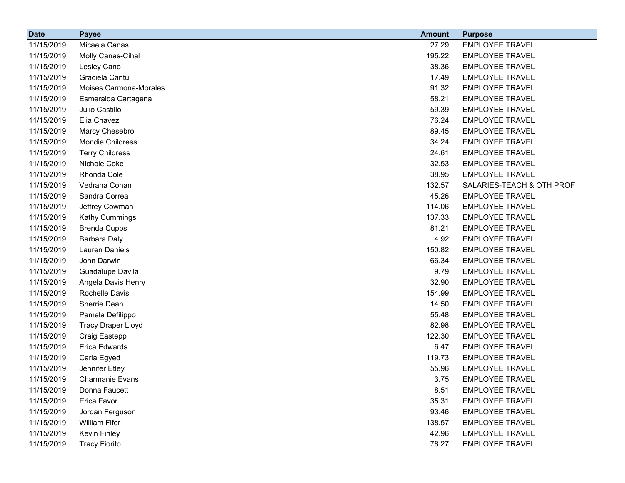| <b>Date</b> | <b>Payee</b>              | <b>Amount</b> | <b>Purpose</b>            |
|-------------|---------------------------|---------------|---------------------------|
| 11/15/2019  | Micaela Canas             | 27.29         | <b>EMPLOYEE TRAVEL</b>    |
| 11/15/2019  | Molly Canas-Cihal         | 195.22        | <b>EMPLOYEE TRAVEL</b>    |
| 11/15/2019  | Lesley Cano               | 38.36         | <b>EMPLOYEE TRAVEL</b>    |
| 11/15/2019  | Graciela Cantu            | 17.49         | <b>EMPLOYEE TRAVEL</b>    |
| 11/15/2019  | Moises Carmona-Morales    | 91.32         | <b>EMPLOYEE TRAVEL</b>    |
| 11/15/2019  | Esmeralda Cartagena       | 58.21         | <b>EMPLOYEE TRAVEL</b>    |
| 11/15/2019  | Julio Castillo            | 59.39         | <b>EMPLOYEE TRAVEL</b>    |
| 11/15/2019  | Elia Chavez               | 76.24         | <b>EMPLOYEE TRAVEL</b>    |
| 11/15/2019  | Marcy Chesebro            | 89.45         | <b>EMPLOYEE TRAVEL</b>    |
| 11/15/2019  | Mondie Childress          | 34.24         | <b>EMPLOYEE TRAVEL</b>    |
| 11/15/2019  | <b>Terry Childress</b>    | 24.61         | <b>EMPLOYEE TRAVEL</b>    |
| 11/15/2019  | Nichole Coke              | 32.53         | <b>EMPLOYEE TRAVEL</b>    |
| 11/15/2019  | Rhonda Cole               | 38.95         | <b>EMPLOYEE TRAVEL</b>    |
| 11/15/2019  | Vedrana Conan             | 132.57        | SALARIES-TEACH & OTH PROF |
| 11/15/2019  | Sandra Correa             | 45.26         | <b>EMPLOYEE TRAVEL</b>    |
| 11/15/2019  | Jeffrey Cowman            | 114.06        | <b>EMPLOYEE TRAVEL</b>    |
| 11/15/2019  | <b>Kathy Cummings</b>     | 137.33        | <b>EMPLOYEE TRAVEL</b>    |
| 11/15/2019  | <b>Brenda Cupps</b>       | 81.21         | <b>EMPLOYEE TRAVEL</b>    |
| 11/15/2019  | <b>Barbara Daly</b>       | 4.92          | <b>EMPLOYEE TRAVEL</b>    |
| 11/15/2019  | <b>Lauren Daniels</b>     | 150.82        | <b>EMPLOYEE TRAVEL</b>    |
| 11/15/2019  | John Darwin               | 66.34         | <b>EMPLOYEE TRAVEL</b>    |
| 11/15/2019  | Guadalupe Davila          | 9.79          | <b>EMPLOYEE TRAVEL</b>    |
| 11/15/2019  | Angela Davis Henry        | 32.90         | <b>EMPLOYEE TRAVEL</b>    |
| 11/15/2019  | Rochelle Davis            | 154.99        | <b>EMPLOYEE TRAVEL</b>    |
| 11/15/2019  | Sherrie Dean              | 14.50         | <b>EMPLOYEE TRAVEL</b>    |
| 11/15/2019  | Pamela Defilippo          | 55.48         | <b>EMPLOYEE TRAVEL</b>    |
| 11/15/2019  | <b>Tracy Draper Lloyd</b> | 82.98         | <b>EMPLOYEE TRAVEL</b>    |
| 11/15/2019  | Craig Eastepp             | 122.30        | <b>EMPLOYEE TRAVEL</b>    |
| 11/15/2019  | Erica Edwards             | 6.47          | <b>EMPLOYEE TRAVEL</b>    |
| 11/15/2019  | Carla Egyed               | 119.73        | <b>EMPLOYEE TRAVEL</b>    |
| 11/15/2019  | Jennifer Etley            | 55.96         | <b>EMPLOYEE TRAVEL</b>    |
| 11/15/2019  | <b>Charmanie Evans</b>    | 3.75          | <b>EMPLOYEE TRAVEL</b>    |
| 11/15/2019  | Donna Faucett             | 8.51          | <b>EMPLOYEE TRAVEL</b>    |
| 11/15/2019  | Erica Favor               | 35.31         | <b>EMPLOYEE TRAVEL</b>    |
| 11/15/2019  | Jordan Ferguson           | 93.46         | <b>EMPLOYEE TRAVEL</b>    |
| 11/15/2019  | <b>William Fifer</b>      | 138.57        | <b>EMPLOYEE TRAVEL</b>    |
| 11/15/2019  | Kevin Finley              | 42.96         | <b>EMPLOYEE TRAVEL</b>    |
| 11/15/2019  | <b>Tracy Fiorito</b>      | 78.27         | <b>EMPLOYEE TRAVEL</b>    |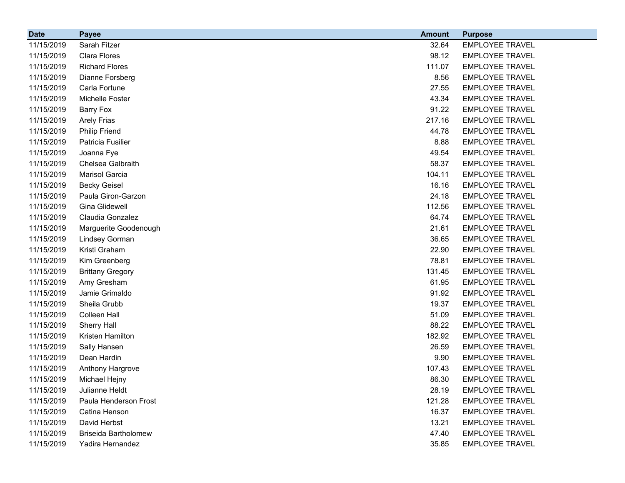| <b>Date</b> | <b>Payee</b>                | <b>Amount</b> | <b>Purpose</b>         |
|-------------|-----------------------------|---------------|------------------------|
| 11/15/2019  | Sarah Fitzer                | 32.64         | <b>EMPLOYEE TRAVEL</b> |
| 11/15/2019  | Clara Flores                | 98.12         | <b>EMPLOYEE TRAVEL</b> |
| 11/15/2019  | <b>Richard Flores</b>       | 111.07        | <b>EMPLOYEE TRAVEL</b> |
| 11/15/2019  | Dianne Forsberg             | 8.56          | <b>EMPLOYEE TRAVEL</b> |
| 11/15/2019  | Carla Fortune               | 27.55         | <b>EMPLOYEE TRAVEL</b> |
| 11/15/2019  | Michelle Foster             | 43.34         | <b>EMPLOYEE TRAVEL</b> |
| 11/15/2019  | <b>Barry Fox</b>            | 91.22         | <b>EMPLOYEE TRAVEL</b> |
| 11/15/2019  | <b>Arely Frias</b>          | 217.16        | <b>EMPLOYEE TRAVEL</b> |
| 11/15/2019  | <b>Philip Friend</b>        | 44.78         | <b>EMPLOYEE TRAVEL</b> |
| 11/15/2019  | Patricia Fusilier           | 8.88          | <b>EMPLOYEE TRAVEL</b> |
| 11/15/2019  | Joanna Fye                  | 49.54         | <b>EMPLOYEE TRAVEL</b> |
| 11/15/2019  | Chelsea Galbraith           | 58.37         | <b>EMPLOYEE TRAVEL</b> |
| 11/15/2019  | Marisol Garcia              | 104.11        | <b>EMPLOYEE TRAVEL</b> |
| 11/15/2019  | <b>Becky Geisel</b>         | 16.16         | <b>EMPLOYEE TRAVEL</b> |
| 11/15/2019  | Paula Giron-Garzon          | 24.18         | <b>EMPLOYEE TRAVEL</b> |
| 11/15/2019  | Gina Glidewell              | 112.56        | <b>EMPLOYEE TRAVEL</b> |
| 11/15/2019  | Claudia Gonzalez            | 64.74         | <b>EMPLOYEE TRAVEL</b> |
| 11/15/2019  | Marguerite Goodenough       | 21.61         | <b>EMPLOYEE TRAVEL</b> |
| 11/15/2019  | Lindsey Gorman              | 36.65         | <b>EMPLOYEE TRAVEL</b> |
| 11/15/2019  | Kristi Graham               | 22.90         | <b>EMPLOYEE TRAVEL</b> |
| 11/15/2019  | Kim Greenberg               | 78.81         | <b>EMPLOYEE TRAVEL</b> |
| 11/15/2019  | <b>Brittany Gregory</b>     | 131.45        | <b>EMPLOYEE TRAVEL</b> |
| 11/15/2019  | Amy Gresham                 | 61.95         | <b>EMPLOYEE TRAVEL</b> |
| 11/15/2019  | Jamie Grimaldo              | 91.92         | <b>EMPLOYEE TRAVEL</b> |
| 11/15/2019  | Sheila Grubb                | 19.37         | <b>EMPLOYEE TRAVEL</b> |
| 11/15/2019  | Colleen Hall                | 51.09         | <b>EMPLOYEE TRAVEL</b> |
| 11/15/2019  | Sherry Hall                 | 88.22         | <b>EMPLOYEE TRAVEL</b> |
| 11/15/2019  | Kristen Hamilton            | 182.92        | <b>EMPLOYEE TRAVEL</b> |
| 11/15/2019  | Sally Hansen                | 26.59         | <b>EMPLOYEE TRAVEL</b> |
| 11/15/2019  | Dean Hardin                 | 9.90          | <b>EMPLOYEE TRAVEL</b> |
| 11/15/2019  | Anthony Hargrove            | 107.43        | <b>EMPLOYEE TRAVEL</b> |
| 11/15/2019  | Michael Hejny               | 86.30         | <b>EMPLOYEE TRAVEL</b> |
| 11/15/2019  | Julianne Heldt              | 28.19         | <b>EMPLOYEE TRAVEL</b> |
| 11/15/2019  | Paula Henderson Frost       | 121.28        | <b>EMPLOYEE TRAVEL</b> |
| 11/15/2019  | Catina Henson               | 16.37         | <b>EMPLOYEE TRAVEL</b> |
| 11/15/2019  | David Herbst                | 13.21         | <b>EMPLOYEE TRAVEL</b> |
| 11/15/2019  | <b>Briseida Bartholomew</b> | 47.40         | <b>EMPLOYEE TRAVEL</b> |
| 11/15/2019  | Yadira Hernandez            | 35.85         | <b>EMPLOYEE TRAVEL</b> |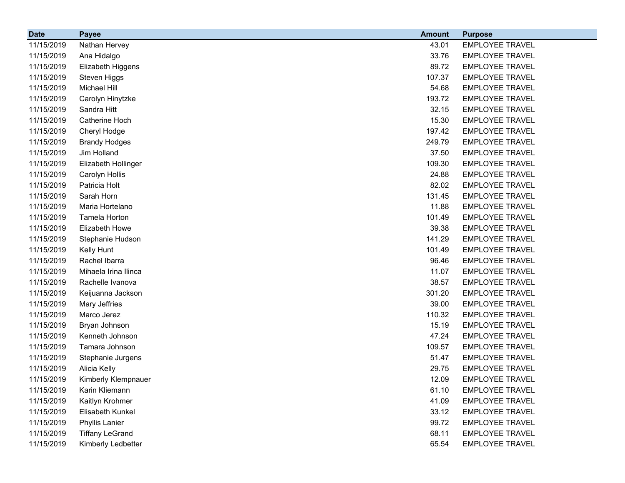| <b>Date</b> | <b>Payee</b>           | <b>Amount</b> | <b>Purpose</b>         |
|-------------|------------------------|---------------|------------------------|
| 11/15/2019  | Nathan Hervey          | 43.01         | <b>EMPLOYEE TRAVEL</b> |
| 11/15/2019  | Ana Hidalgo            | 33.76         | <b>EMPLOYEE TRAVEL</b> |
| 11/15/2019  | Elizabeth Higgens      | 89.72         | <b>EMPLOYEE TRAVEL</b> |
| 11/15/2019  | Steven Higgs           | 107.37        | <b>EMPLOYEE TRAVEL</b> |
| 11/15/2019  | Michael Hill           | 54.68         | <b>EMPLOYEE TRAVEL</b> |
| 11/15/2019  | Carolyn Hinytzke       | 193.72        | <b>EMPLOYEE TRAVEL</b> |
| 11/15/2019  | Sandra Hitt            | 32.15         | <b>EMPLOYEE TRAVEL</b> |
| 11/15/2019  | Catherine Hoch         | 15.30         | <b>EMPLOYEE TRAVEL</b> |
| 11/15/2019  | Cheryl Hodge           | 197.42        | <b>EMPLOYEE TRAVEL</b> |
| 11/15/2019  | <b>Brandy Hodges</b>   | 249.79        | <b>EMPLOYEE TRAVEL</b> |
| 11/15/2019  | Jim Holland            | 37.50         | <b>EMPLOYEE TRAVEL</b> |
| 11/15/2019  | Elizabeth Hollinger    | 109.30        | <b>EMPLOYEE TRAVEL</b> |
| 11/15/2019  | Carolyn Hollis         | 24.88         | <b>EMPLOYEE TRAVEL</b> |
| 11/15/2019  | Patricia Holt          | 82.02         | <b>EMPLOYEE TRAVEL</b> |
| 11/15/2019  | Sarah Horn             | 131.45        | <b>EMPLOYEE TRAVEL</b> |
| 11/15/2019  | Maria Hortelano        | 11.88         | <b>EMPLOYEE TRAVEL</b> |
| 11/15/2019  | Tamela Horton          | 101.49        | <b>EMPLOYEE TRAVEL</b> |
| 11/15/2019  | Elizabeth Howe         | 39.38         | <b>EMPLOYEE TRAVEL</b> |
| 11/15/2019  | Stephanie Hudson       | 141.29        | <b>EMPLOYEE TRAVEL</b> |
| 11/15/2019  | Kelly Hunt             | 101.49        | <b>EMPLOYEE TRAVEL</b> |
| 11/15/2019  | Rachel Ibarra          | 96.46         | <b>EMPLOYEE TRAVEL</b> |
| 11/15/2019  | Mihaela Irina Ilinca   | 11.07         | <b>EMPLOYEE TRAVEL</b> |
| 11/15/2019  | Rachelle Ivanova       | 38.57         | <b>EMPLOYEE TRAVEL</b> |
| 11/15/2019  | Keijuanna Jackson      | 301.20        | <b>EMPLOYEE TRAVEL</b> |
| 11/15/2019  | Mary Jeffries          | 39.00         | <b>EMPLOYEE TRAVEL</b> |
| 11/15/2019  | Marco Jerez            | 110.32        | <b>EMPLOYEE TRAVEL</b> |
| 11/15/2019  | Bryan Johnson          | 15.19         | <b>EMPLOYEE TRAVEL</b> |
| 11/15/2019  | Kenneth Johnson        | 47.24         | <b>EMPLOYEE TRAVEL</b> |
| 11/15/2019  | Tamara Johnson         | 109.57        | <b>EMPLOYEE TRAVEL</b> |
| 11/15/2019  | Stephanie Jurgens      | 51.47         | <b>EMPLOYEE TRAVEL</b> |
| 11/15/2019  | Alicia Kelly           | 29.75         | <b>EMPLOYEE TRAVEL</b> |
| 11/15/2019  | Kimberly Klempnauer    | 12.09         | <b>EMPLOYEE TRAVEL</b> |
| 11/15/2019  | Karin Kliemann         | 61.10         | <b>EMPLOYEE TRAVEL</b> |
| 11/15/2019  | Kaitlyn Krohmer        | 41.09         | <b>EMPLOYEE TRAVEL</b> |
| 11/15/2019  | Elisabeth Kunkel       | 33.12         | <b>EMPLOYEE TRAVEL</b> |
| 11/15/2019  | Phyllis Lanier         | 99.72         | <b>EMPLOYEE TRAVEL</b> |
| 11/15/2019  | <b>Tiffany LeGrand</b> | 68.11         | <b>EMPLOYEE TRAVEL</b> |
| 11/15/2019  | Kimberly Ledbetter     | 65.54         | <b>EMPLOYEE TRAVEL</b> |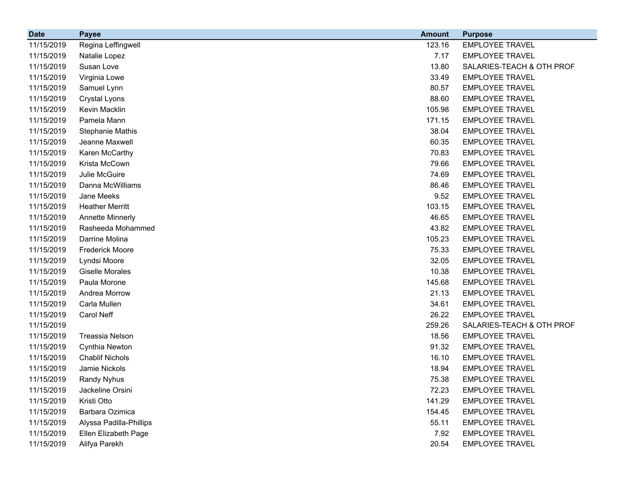| <b>Date</b> | <b>Payee</b>            | <b>Amount</b> | <b>Purpose</b>            |
|-------------|-------------------------|---------------|---------------------------|
| 11/15/2019  | Regina Leffingwell      | 123.16        | <b>EMPLOYEE TRAVEL</b>    |
| 11/15/2019  | Natalie Lopez           | 7.17          | <b>EMPLOYEE TRAVEL</b>    |
| 11/15/2019  | Susan Love              | 13.80         | SALARIES-TEACH & OTH PROF |
| 11/15/2019  | Virginia Lowe           | 33.49         | <b>EMPLOYEE TRAVEL</b>    |
| 11/15/2019  | Samuel Lynn             | 80.57         | <b>EMPLOYEE TRAVEL</b>    |
| 11/15/2019  | Crystal Lyons           | 88.60         | <b>EMPLOYEE TRAVEL</b>    |
| 11/15/2019  | Kevin Macklin           | 105.98        | <b>EMPLOYEE TRAVEL</b>    |
| 11/15/2019  | Pamela Mann             | 171.15        | <b>EMPLOYEE TRAVEL</b>    |
| 11/15/2019  | Stephanie Mathis        | 38.04         | <b>EMPLOYEE TRAVEL</b>    |
| 11/15/2019  | Jeanne Maxwell          | 60.35         | <b>EMPLOYEE TRAVEL</b>    |
| 11/15/2019  | Karen McCarthy          | 70.83         | <b>EMPLOYEE TRAVEL</b>    |
| 11/15/2019  | Krista McCown           | 79.66         | <b>EMPLOYEE TRAVEL</b>    |
| 11/15/2019  | Julie McGuire           | 74.69         | <b>EMPLOYEE TRAVEL</b>    |
| 11/15/2019  | Danna McWilliams        | 86.46         | <b>EMPLOYEE TRAVEL</b>    |
| 11/15/2019  | Jane Meeks              | 9.52          | <b>EMPLOYEE TRAVEL</b>    |
| 11/15/2019  | <b>Heather Merritt</b>  | 103.15        | <b>EMPLOYEE TRAVEL</b>    |
| 11/15/2019  | <b>Annette Minnerly</b> | 46.65         | <b>EMPLOYEE TRAVEL</b>    |
| 11/15/2019  | Rasheeda Mohammed       | 43.82         | <b>EMPLOYEE TRAVEL</b>    |
| 11/15/2019  | Darrine Molina          | 105.23        | <b>EMPLOYEE TRAVEL</b>    |
| 11/15/2019  | <b>Frederick Moore</b>  | 75.33         | <b>EMPLOYEE TRAVEL</b>    |
| 11/15/2019  | Lyndsi Moore            | 32.05         | <b>EMPLOYEE TRAVEL</b>    |
| 11/15/2019  | <b>Giselle Morales</b>  | 10.38         | <b>EMPLOYEE TRAVEL</b>    |
| 11/15/2019  | Paula Morone            | 145.68        | <b>EMPLOYEE TRAVEL</b>    |
| 11/15/2019  | Andrea Morrow           | 21.13         | <b>EMPLOYEE TRAVEL</b>    |
| 11/15/2019  | Carla Mullen            | 34.61         | <b>EMPLOYEE TRAVEL</b>    |
| 11/15/2019  | Carol Neff              | 26.22         | <b>EMPLOYEE TRAVEL</b>    |
| 11/15/2019  |                         | 259.26        | SALARIES-TEACH & OTH PROF |
| 11/15/2019  | Treassia Nelson         | 18.56         | <b>EMPLOYEE TRAVEL</b>    |
| 11/15/2019  | Cynthia Newton          | 91.32         | <b>EMPLOYEE TRAVEL</b>    |
| 11/15/2019  | <b>Chablif Nichols</b>  | 16.10         | <b>EMPLOYEE TRAVEL</b>    |
| 11/15/2019  | Jamie Nickols           | 18.94         | <b>EMPLOYEE TRAVEL</b>    |
| 11/15/2019  | Randy Nyhus             | 75.38         | <b>EMPLOYEE TRAVEL</b>    |
| 11/15/2019  | Jackeline Orsini        | 72.23         | <b>EMPLOYEE TRAVEL</b>    |
| 11/15/2019  | Kristi Otto             | 141.29        | <b>EMPLOYEE TRAVEL</b>    |
| 11/15/2019  | Barbara Ozimica         | 154.45        | <b>EMPLOYEE TRAVEL</b>    |
| 11/15/2019  | Alyssa Padilla-Phillips | 55.11         | <b>EMPLOYEE TRAVEL</b>    |
| 11/15/2019  | Ellen Elizabeth Page    | 7.92          | <b>EMPLOYEE TRAVEL</b>    |
| 11/15/2019  | Alifya Parekh           | 20.54         | <b>EMPLOYEE TRAVEL</b>    |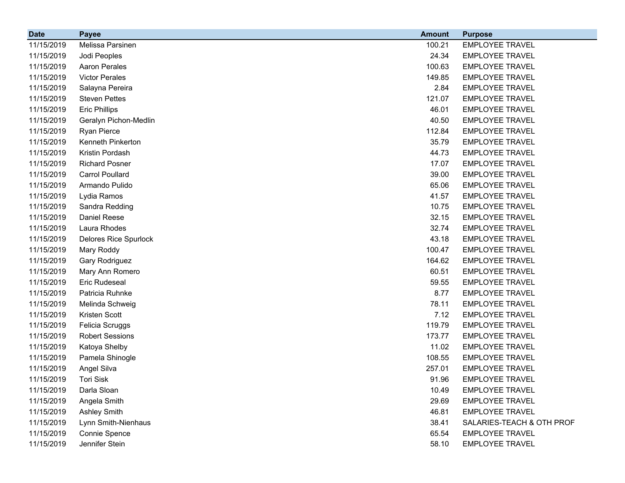| <b>Date</b> | <b>Payee</b>                 | <b>Amount</b> | <b>Purpose</b>            |
|-------------|------------------------------|---------------|---------------------------|
| 11/15/2019  | Melissa Parsinen             | 100.21        | <b>EMPLOYEE TRAVEL</b>    |
| 11/15/2019  | Jodi Peoples                 | 24.34         | <b>EMPLOYEE TRAVEL</b>    |
| 11/15/2019  | <b>Aaron Perales</b>         | 100.63        | <b>EMPLOYEE TRAVEL</b>    |
| 11/15/2019  | <b>Victor Perales</b>        | 149.85        | <b>EMPLOYEE TRAVEL</b>    |
| 11/15/2019  | Salayna Pereira              | 2.84          | <b>EMPLOYEE TRAVEL</b>    |
| 11/15/2019  | <b>Steven Pettes</b>         | 121.07        | <b>EMPLOYEE TRAVEL</b>    |
| 11/15/2019  | <b>Eric Phillips</b>         | 46.01         | <b>EMPLOYEE TRAVEL</b>    |
| 11/15/2019  | Geralyn Pichon-Medlin        | 40.50         | <b>EMPLOYEE TRAVEL</b>    |
| 11/15/2019  | Ryan Pierce                  | 112.84        | <b>EMPLOYEE TRAVEL</b>    |
| 11/15/2019  | Kenneth Pinkerton            | 35.79         | <b>EMPLOYEE TRAVEL</b>    |
| 11/15/2019  | Kristin Pordash              | 44.73         | <b>EMPLOYEE TRAVEL</b>    |
| 11/15/2019  | <b>Richard Posner</b>        | 17.07         | <b>EMPLOYEE TRAVEL</b>    |
| 11/15/2019  | <b>Carrol Poullard</b>       | 39.00         | <b>EMPLOYEE TRAVEL</b>    |
| 11/15/2019  | Armando Pulido               | 65.06         | <b>EMPLOYEE TRAVEL</b>    |
| 11/15/2019  | Lydia Ramos                  | 41.57         | <b>EMPLOYEE TRAVEL</b>    |
| 11/15/2019  | Sandra Redding               | 10.75         | <b>EMPLOYEE TRAVEL</b>    |
| 11/15/2019  | Daniel Reese                 | 32.15         | <b>EMPLOYEE TRAVEL</b>    |
| 11/15/2019  | Laura Rhodes                 | 32.74         | <b>EMPLOYEE TRAVEL</b>    |
| 11/15/2019  | <b>Delores Rice Spurlock</b> | 43.18         | <b>EMPLOYEE TRAVEL</b>    |
| 11/15/2019  | Mary Roddy                   | 100.47        | <b>EMPLOYEE TRAVEL</b>    |
| 11/15/2019  | Gary Rodriguez               | 164.62        | <b>EMPLOYEE TRAVEL</b>    |
| 11/15/2019  | Mary Ann Romero              | 60.51         | <b>EMPLOYEE TRAVEL</b>    |
| 11/15/2019  | Eric Rudeseal                | 59.55         | <b>EMPLOYEE TRAVEL</b>    |
| 11/15/2019  | Patricia Ruhnke              | 8.77          | <b>EMPLOYEE TRAVEL</b>    |
| 11/15/2019  | Melinda Schweig              | 78.11         | <b>EMPLOYEE TRAVEL</b>    |
| 11/15/2019  | Kristen Scott                | 7.12          | <b>EMPLOYEE TRAVEL</b>    |
| 11/15/2019  | Felicia Scruggs              | 119.79        | <b>EMPLOYEE TRAVEL</b>    |
| 11/15/2019  | <b>Robert Sessions</b>       | 173.77        | <b>EMPLOYEE TRAVEL</b>    |
| 11/15/2019  | Katoya Shelby                | 11.02         | <b>EMPLOYEE TRAVEL</b>    |
| 11/15/2019  | Pamela Shinogle              | 108.55        | <b>EMPLOYEE TRAVEL</b>    |
| 11/15/2019  | Angel Silva                  | 257.01        | <b>EMPLOYEE TRAVEL</b>    |
| 11/15/2019  | <b>Tori Sisk</b>             | 91.96         | <b>EMPLOYEE TRAVEL</b>    |
| 11/15/2019  | Darla Sloan                  | 10.49         | <b>EMPLOYEE TRAVEL</b>    |
| 11/15/2019  | Angela Smith                 | 29.69         | <b>EMPLOYEE TRAVEL</b>    |
| 11/15/2019  | <b>Ashley Smith</b>          | 46.81         | <b>EMPLOYEE TRAVEL</b>    |
| 11/15/2019  | Lynn Smith-Nienhaus          | 38.41         | SALARIES-TEACH & OTH PROF |
| 11/15/2019  | Connie Spence                | 65.54         | <b>EMPLOYEE TRAVEL</b>    |
| 11/15/2019  | Jennifer Stein               | 58.10         | <b>EMPLOYEE TRAVEL</b>    |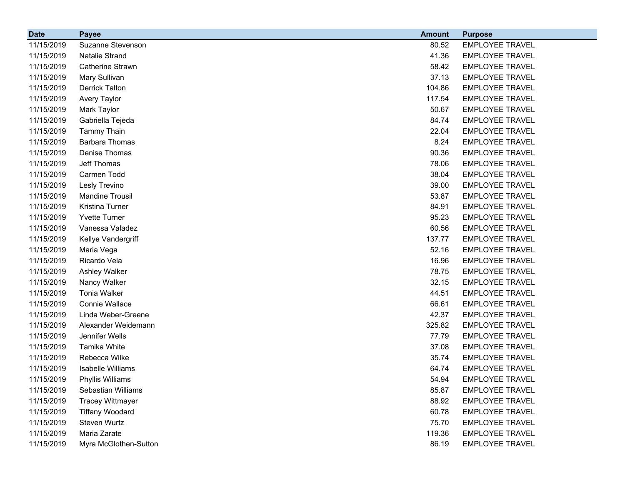| <b>Date</b> | <b>Payee</b>            | <b>Amount</b> | <b>Purpose</b>         |
|-------------|-------------------------|---------------|------------------------|
| 11/15/2019  | Suzanne Stevenson       | 80.52         | <b>EMPLOYEE TRAVEL</b> |
| 11/15/2019  | Natalie Strand          | 41.36         | <b>EMPLOYEE TRAVEL</b> |
| 11/15/2019  | <b>Catherine Strawn</b> | 58.42         | <b>EMPLOYEE TRAVEL</b> |
| 11/15/2019  | Mary Sullivan           | 37.13         | <b>EMPLOYEE TRAVEL</b> |
| 11/15/2019  | <b>Derrick Talton</b>   | 104.86        | <b>EMPLOYEE TRAVEL</b> |
| 11/15/2019  | <b>Avery Taylor</b>     | 117.54        | <b>EMPLOYEE TRAVEL</b> |
| 11/15/2019  | Mark Taylor             | 50.67         | <b>EMPLOYEE TRAVEL</b> |
| 11/15/2019  | Gabriella Tejeda        | 84.74         | <b>EMPLOYEE TRAVEL</b> |
| 11/15/2019  | <b>Tammy Thain</b>      | 22.04         | <b>EMPLOYEE TRAVEL</b> |
| 11/15/2019  | <b>Barbara Thomas</b>   | 8.24          | <b>EMPLOYEE TRAVEL</b> |
| 11/15/2019  | Denise Thomas           | 90.36         | <b>EMPLOYEE TRAVEL</b> |
| 11/15/2019  | Jeff Thomas             | 78.06         | <b>EMPLOYEE TRAVEL</b> |
| 11/15/2019  | Carmen Todd             | 38.04         | <b>EMPLOYEE TRAVEL</b> |
| 11/15/2019  | Lesly Trevino           | 39.00         | <b>EMPLOYEE TRAVEL</b> |
| 11/15/2019  | <b>Mandine Trousil</b>  | 53.87         | <b>EMPLOYEE TRAVEL</b> |
| 11/15/2019  | Kristina Turner         | 84.91         | <b>EMPLOYEE TRAVEL</b> |
| 11/15/2019  | <b>Yvette Turner</b>    | 95.23         | <b>EMPLOYEE TRAVEL</b> |
| 11/15/2019  | Vanessa Valadez         | 60.56         | <b>EMPLOYEE TRAVEL</b> |
| 11/15/2019  | Kellye Vandergriff      | 137.77        | <b>EMPLOYEE TRAVEL</b> |
| 11/15/2019  | Maria Vega              | 52.16         | <b>EMPLOYEE TRAVEL</b> |
| 11/15/2019  | Ricardo Vela            | 16.96         | <b>EMPLOYEE TRAVEL</b> |
| 11/15/2019  | Ashley Walker           | 78.75         | <b>EMPLOYEE TRAVEL</b> |
| 11/15/2019  | Nancy Walker            | 32.15         | <b>EMPLOYEE TRAVEL</b> |
| 11/15/2019  | <b>Tonia Walker</b>     | 44.51         | <b>EMPLOYEE TRAVEL</b> |
| 11/15/2019  | Connie Wallace          | 66.61         | <b>EMPLOYEE TRAVEL</b> |
| 11/15/2019  | Linda Weber-Greene      | 42.37         | <b>EMPLOYEE TRAVEL</b> |
| 11/15/2019  | Alexander Weidemann     | 325.82        | <b>EMPLOYEE TRAVEL</b> |
| 11/15/2019  | Jennifer Wells          | 77.79         | <b>EMPLOYEE TRAVEL</b> |
| 11/15/2019  | Tamika White            | 37.08         | <b>EMPLOYEE TRAVEL</b> |
| 11/15/2019  | Rebecca Wilke           | 35.74         | <b>EMPLOYEE TRAVEL</b> |
| 11/15/2019  | Isabelle Williams       | 64.74         | <b>EMPLOYEE TRAVEL</b> |
| 11/15/2019  | Phyllis Williams        | 54.94         | <b>EMPLOYEE TRAVEL</b> |
| 11/15/2019  | Sebastian Williams      | 85.87         | <b>EMPLOYEE TRAVEL</b> |
| 11/15/2019  | <b>Tracey Wittmayer</b> | 88.92         | <b>EMPLOYEE TRAVEL</b> |
| 11/15/2019  | <b>Tiffany Woodard</b>  | 60.78         | <b>EMPLOYEE TRAVEL</b> |
| 11/15/2019  | Steven Wurtz            | 75.70         | <b>EMPLOYEE TRAVEL</b> |
| 11/15/2019  | Maria Zarate            | 119.36        | <b>EMPLOYEE TRAVEL</b> |
| 11/15/2019  | Myra McGlothen-Sutton   | 86.19         | <b>EMPLOYEE TRAVEL</b> |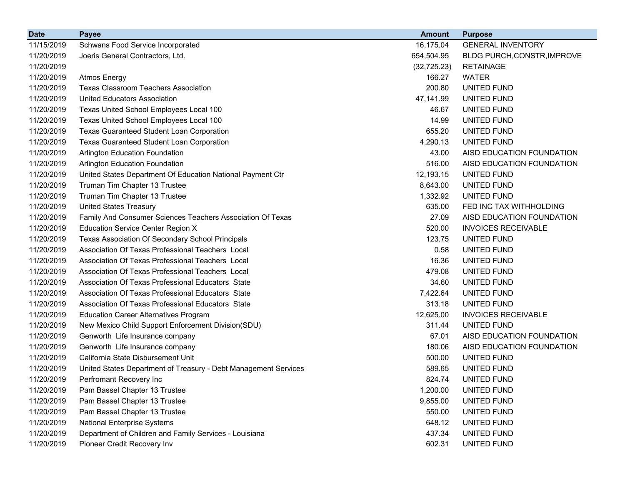| <b>Date</b> | <b>Payee</b>                                                    | <b>Amount</b> | <b>Purpose</b>              |
|-------------|-----------------------------------------------------------------|---------------|-----------------------------|
| 11/15/2019  | Schwans Food Service Incorporated                               | 16,175.04     | <b>GENERAL INVENTORY</b>    |
| 11/20/2019  | Joeris General Contractors, Ltd.                                | 654,504.95    | BLDG PURCH, CONSTR, IMPROVE |
| 11/20/2019  |                                                                 | (32, 725.23)  | <b>RETAINAGE</b>            |
| 11/20/2019  | <b>Atmos Energy</b>                                             | 166.27        | <b>WATER</b>                |
| 11/20/2019  | <b>Texas Classroom Teachers Association</b>                     | 200.80        | <b>UNITED FUND</b>          |
| 11/20/2019  | <b>United Educators Association</b>                             | 47,141.99     | UNITED FUND                 |
| 11/20/2019  | Texas United School Employees Local 100                         | 46.67         | UNITED FUND                 |
| 11/20/2019  | Texas United School Employees Local 100                         | 14.99         | UNITED FUND                 |
| 11/20/2019  | <b>Texas Guaranteed Student Loan Corporation</b>                | 655.20        | UNITED FUND                 |
| 11/20/2019  | Texas Guaranteed Student Loan Corporation                       | 4,290.13      | UNITED FUND                 |
| 11/20/2019  | <b>Arlington Education Foundation</b>                           | 43.00         | AISD EDUCATION FOUNDATION   |
| 11/20/2019  | <b>Arlington Education Foundation</b>                           | 516.00        | AISD EDUCATION FOUNDATION   |
| 11/20/2019  | United States Department Of Education National Payment Ctr      | 12,193.15     | UNITED FUND                 |
| 11/20/2019  | Truman Tim Chapter 13 Trustee                                   | 8,643.00      | UNITED FUND                 |
| 11/20/2019  | Truman Tim Chapter 13 Trustee                                   | 1,332.92      | UNITED FUND                 |
| 11/20/2019  | <b>United States Treasury</b>                                   | 635.00        | FED INC TAX WITHHOLDING     |
| 11/20/2019  | Family And Consumer Sciences Teachers Association Of Texas      | 27.09         | AISD EDUCATION FOUNDATION   |
| 11/20/2019  | <b>Education Service Center Region X</b>                        | 520.00        | <b>INVOICES RECEIVABLE</b>  |
| 11/20/2019  | Texas Association Of Secondary School Principals                | 123.75        | <b>UNITED FUND</b>          |
| 11/20/2019  | Association Of Texas Professional Teachers Local                | 0.58          | UNITED FUND                 |
| 11/20/2019  | Association Of Texas Professional Teachers Local                | 16.36         | UNITED FUND                 |
| 11/20/2019  | Association Of Texas Professional Teachers Local                | 479.08        | UNITED FUND                 |
| 11/20/2019  | Association Of Texas Professional Educators State               | 34.60         | UNITED FUND                 |
| 11/20/2019  | Association Of Texas Professional Educators State               | 7,422.64      | UNITED FUND                 |
| 11/20/2019  | Association Of Texas Professional Educators State               | 313.18        | UNITED FUND                 |
| 11/20/2019  | <b>Education Career Alternatives Program</b>                    | 12,625.00     | <b>INVOICES RECEIVABLE</b>  |
| 11/20/2019  | New Mexico Child Support Enforcement Division(SDU)              | 311.44        | UNITED FUND                 |
| 11/20/2019  | Genworth Life Insurance company                                 | 67.01         | AISD EDUCATION FOUNDATION   |
| 11/20/2019  | Genworth Life Insurance company                                 | 180.06        | AISD EDUCATION FOUNDATION   |
| 11/20/2019  | California State Disbursement Unit                              | 500.00        | UNITED FUND                 |
| 11/20/2019  | United States Department of Treasury - Debt Management Services | 589.65        | UNITED FUND                 |
| 11/20/2019  | Perfromant Recovery Inc                                         | 824.74        | UNITED FUND                 |
| 11/20/2019  | Pam Bassel Chapter 13 Trustee                                   | 1,200.00      | <b>UNITED FUND</b>          |
| 11/20/2019  | Pam Bassel Chapter 13 Trustee                                   | 9,855.00      | UNITED FUND                 |
| 11/20/2019  | Pam Bassel Chapter 13 Trustee                                   | 550.00        | UNITED FUND                 |
| 11/20/2019  | <b>National Enterprise Systems</b>                              | 648.12        | <b>UNITED FUND</b>          |
| 11/20/2019  | Department of Children and Family Services - Louisiana          | 437.34        | UNITED FUND                 |
| 11/20/2019  | Pioneer Credit Recovery Inv                                     | 602.31        | UNITED FUND                 |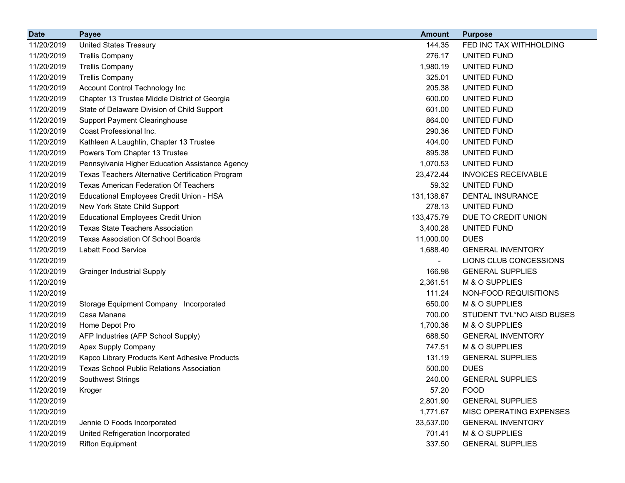| <b>Date</b> | <b>Payee</b>                                     | <b>Amount</b> | <b>Purpose</b>             |
|-------------|--------------------------------------------------|---------------|----------------------------|
| 11/20/2019  | <b>United States Treasury</b>                    | 144.35        | FED INC TAX WITHHOLDING    |
| 11/20/2019  | <b>Trellis Company</b>                           | 276.17        | UNITED FUND                |
| 11/20/2019  | <b>Trellis Company</b>                           | 1,980.19      | UNITED FUND                |
| 11/20/2019  | <b>Trellis Company</b>                           | 325.01        | UNITED FUND                |
| 11/20/2019  | Account Control Technology Inc                   | 205.38        | UNITED FUND                |
| 11/20/2019  | Chapter 13 Trustee Middle District of Georgia    | 600.00        | UNITED FUND                |
| 11/20/2019  | State of Delaware Division of Child Support      | 601.00        | <b>UNITED FUND</b>         |
| 11/20/2019  | <b>Support Payment Clearinghouse</b>             | 864.00        | UNITED FUND                |
| 11/20/2019  | Coast Professional Inc.                          | 290.36        | UNITED FUND                |
| 11/20/2019  | Kathleen A Laughlin, Chapter 13 Trustee          | 404.00        | UNITED FUND                |
| 11/20/2019  | Powers Tom Chapter 13 Trustee                    | 895.38        | UNITED FUND                |
| 11/20/2019  | Pennsylvania Higher Education Assistance Agency  | 1,070.53      | UNITED FUND                |
| 11/20/2019  | Texas Teachers Alternative Certification Program | 23,472.44     | <b>INVOICES RECEIVABLE</b> |
| 11/20/2019  | <b>Texas American Federation Of Teachers</b>     | 59.32         | UNITED FUND                |
| 11/20/2019  | Educational Employees Credit Union - HSA         | 131,138.67    | <b>DENTAL INSURANCE</b>    |
| 11/20/2019  | New York State Child Support                     | 278.13        | UNITED FUND                |
| 11/20/2019  | <b>Educational Employees Credit Union</b>        | 133,475.79    | DUE TO CREDIT UNION        |
| 11/20/2019  | <b>Texas State Teachers Association</b>          | 3,400.28      | UNITED FUND                |
| 11/20/2019  | Texas Association Of School Boards               | 11,000.00     | <b>DUES</b>                |
| 11/20/2019  | <b>Labatt Food Service</b>                       | 1,688.40      | <b>GENERAL INVENTORY</b>   |
| 11/20/2019  |                                                  |               | LIONS CLUB CONCESSIONS     |
| 11/20/2019  | <b>Grainger Industrial Supply</b>                | 166.98        | <b>GENERAL SUPPLIES</b>    |
| 11/20/2019  |                                                  | 2,361.51      | M & O SUPPLIES             |
| 11/20/2019  |                                                  | 111.24        | NON-FOOD REQUISITIONS      |
| 11/20/2019  | Storage Equipment Company Incorporated           | 650.00        | M & O SUPPLIES             |
| 11/20/2019  | Casa Manana                                      | 700.00        | STUDENT TVL*NO AISD BUSES  |
| 11/20/2019  | Home Depot Pro                                   | 1,700.36      | M & O SUPPLIES             |
| 11/20/2019  | AFP Industries (AFP School Supply)               | 688.50        | <b>GENERAL INVENTORY</b>   |
| 11/20/2019  | Apex Supply Company                              | 747.51        | M & O SUPPLIES             |
| 11/20/2019  | Kapco Library Products Kent Adhesive Products    | 131.19        | <b>GENERAL SUPPLIES</b>    |
| 11/20/2019  | <b>Texas School Public Relations Association</b> | 500.00        | <b>DUES</b>                |
| 11/20/2019  | Southwest Strings                                | 240.00        | <b>GENERAL SUPPLIES</b>    |
| 11/20/2019  | Kroger                                           | 57.20         | <b>FOOD</b>                |
| 11/20/2019  |                                                  | 2,801.90      | <b>GENERAL SUPPLIES</b>    |
| 11/20/2019  |                                                  | 1,771.67      | MISC OPERATING EXPENSES    |
| 11/20/2019  | Jennie O Foods Incorporated                      | 33,537.00     | <b>GENERAL INVENTORY</b>   |
| 11/20/2019  | United Refrigeration Incorporated                | 701.41        | M & O SUPPLIES             |
| 11/20/2019  | <b>Rifton Equipment</b>                          | 337.50        | <b>GENERAL SUPPLIES</b>    |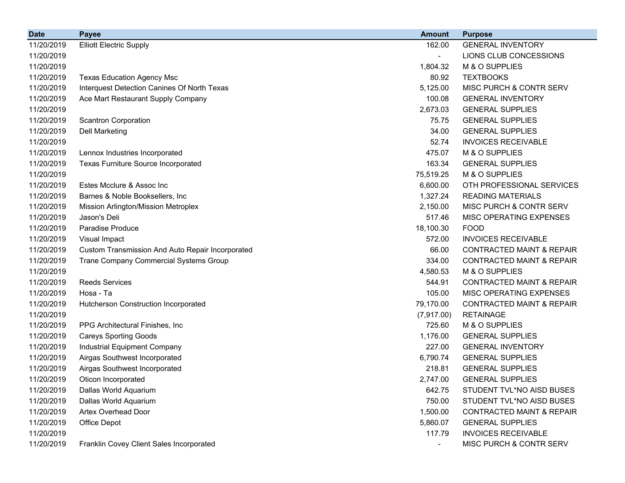| <b>Date</b> | <b>Payee</b>                                     | <b>Amount</b> | <b>Purpose</b>                       |
|-------------|--------------------------------------------------|---------------|--------------------------------------|
| 11/20/2019  | <b>Elliott Electric Supply</b>                   | 162.00        | <b>GENERAL INVENTORY</b>             |
| 11/20/2019  |                                                  |               | LIONS CLUB CONCESSIONS               |
| 11/20/2019  |                                                  | 1,804.32      | M & O SUPPLIES                       |
| 11/20/2019  | <b>Texas Education Agency Msc</b>                | 80.92         | <b>TEXTBOOKS</b>                     |
| 11/20/2019  | Interquest Detection Canines Of North Texas      | 5,125.00      | MISC PURCH & CONTR SERV              |
| 11/20/2019  | Ace Mart Restaurant Supply Company               | 100.08        | <b>GENERAL INVENTORY</b>             |
| 11/20/2019  |                                                  | 2,673.03      | <b>GENERAL SUPPLIES</b>              |
| 11/20/2019  | <b>Scantron Corporation</b>                      | 75.75         | <b>GENERAL SUPPLIES</b>              |
| 11/20/2019  | <b>Dell Marketing</b>                            | 34.00         | <b>GENERAL SUPPLIES</b>              |
| 11/20/2019  |                                                  | 52.74         | <b>INVOICES RECEIVABLE</b>           |
| 11/20/2019  | Lennox Industries Incorporated                   | 475.07        | M & O SUPPLIES                       |
| 11/20/2019  | Texas Furniture Source Incorporated              | 163.34        | <b>GENERAL SUPPLIES</b>              |
| 11/20/2019  |                                                  | 75,519.25     | M & O SUPPLIES                       |
| 11/20/2019  | Estes Mcclure & Assoc Inc                        | 6,600.00      | OTH PROFESSIONAL SERVICES            |
| 11/20/2019  | Barnes & Noble Booksellers, Inc.                 | 1,327.24      | <b>READING MATERIALS</b>             |
| 11/20/2019  | Mission Arlington/Mission Metroplex              | 2,150.00      | MISC PURCH & CONTR SERV              |
| 11/20/2019  | Jason's Deli                                     | 517.46        | MISC OPERATING EXPENSES              |
| 11/20/2019  | Paradise Produce                                 | 18,100.30     | <b>FOOD</b>                          |
| 11/20/2019  | Visual Impact                                    | 572.00        | <b>INVOICES RECEIVABLE</b>           |
| 11/20/2019  | Custom Transmission And Auto Repair Incorporated | 66.00         | <b>CONTRACTED MAINT &amp; REPAIR</b> |
| 11/20/2019  | Trane Company Commercial Systems Group           | 334.00        | <b>CONTRACTED MAINT &amp; REPAIR</b> |
| 11/20/2019  |                                                  | 4,580.53      | M & O SUPPLIES                       |
| 11/20/2019  | <b>Reeds Services</b>                            | 544.91        | <b>CONTRACTED MAINT &amp; REPAIR</b> |
| 11/20/2019  | Hosa - Ta                                        | 105.00        | MISC OPERATING EXPENSES              |
| 11/20/2019  | <b>Hutcherson Construction Incorporated</b>      | 79,170.00     | <b>CONTRACTED MAINT &amp; REPAIR</b> |
| 11/20/2019  |                                                  | (7,917.00)    | <b>RETAINAGE</b>                     |
| 11/20/2019  | PPG Architectural Finishes, Inc.                 | 725.60        | M & O SUPPLIES                       |
| 11/20/2019  | <b>Careys Sporting Goods</b>                     | 1,176.00      | <b>GENERAL SUPPLIES</b>              |
| 11/20/2019  | Industrial Equipment Company                     | 227.00        | <b>GENERAL INVENTORY</b>             |
| 11/20/2019  | Airgas Southwest Incorporated                    | 6,790.74      | <b>GENERAL SUPPLIES</b>              |
| 11/20/2019  | Airgas Southwest Incorporated                    | 218.81        | <b>GENERAL SUPPLIES</b>              |
| 11/20/2019  | Oticon Incorporated                              | 2,747.00      | <b>GENERAL SUPPLIES</b>              |
| 11/20/2019  | Dallas World Aquarium                            | 642.75        | STUDENT TVL*NO AISD BUSES            |
| 11/20/2019  | Dallas World Aquarium                            | 750.00        | STUDENT TVL*NO AISD BUSES            |
| 11/20/2019  | Artex Overhead Door                              | 1,500.00      | <b>CONTRACTED MAINT &amp; REPAIR</b> |
| 11/20/2019  | Office Depot                                     | 5,860.07      | <b>GENERAL SUPPLIES</b>              |
| 11/20/2019  |                                                  | 117.79        | <b>INVOICES RECEIVABLE</b>           |
| 11/20/2019  | Franklin Covey Client Sales Incorporated         |               | MISC PURCH & CONTR SERV              |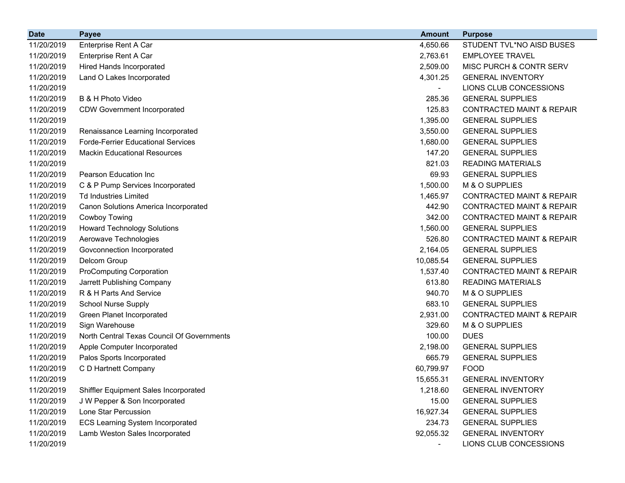| <b>Date</b> | <b>Payee</b>                               | <b>Amount</b>  | <b>Purpose</b>                       |
|-------------|--------------------------------------------|----------------|--------------------------------------|
| 11/20/2019  | Enterprise Rent A Car                      | 4,650.66       | STUDENT TVL*NO AISD BUSES            |
| 11/20/2019  | Enterprise Rent A Car                      | 2,763.61       | <b>EMPLOYEE TRAVEL</b>               |
| 11/20/2019  | <b>Hired Hands Incorporated</b>            | 2,509.00       | MISC PURCH & CONTR SERV              |
| 11/20/2019  | Land O Lakes Incorporated                  | 4,301.25       | <b>GENERAL INVENTORY</b>             |
| 11/20/2019  |                                            | $\blacksquare$ | LIONS CLUB CONCESSIONS               |
| 11/20/2019  | B & H Photo Video                          | 285.36         | <b>GENERAL SUPPLIES</b>              |
| 11/20/2019  | <b>CDW Government Incorporated</b>         | 125.83         | <b>CONTRACTED MAINT &amp; REPAIR</b> |
| 11/20/2019  |                                            | 1,395.00       | <b>GENERAL SUPPLIES</b>              |
| 11/20/2019  | Renaissance Learning Incorporated          | 3,550.00       | <b>GENERAL SUPPLIES</b>              |
| 11/20/2019  | <b>Forde-Ferrier Educational Services</b>  | 1,680.00       | <b>GENERAL SUPPLIES</b>              |
| 11/20/2019  | <b>Mackin Educational Resources</b>        | 147.20         | <b>GENERAL SUPPLIES</b>              |
| 11/20/2019  |                                            | 821.03         | <b>READING MATERIALS</b>             |
| 11/20/2019  | Pearson Education Inc                      | 69.93          | <b>GENERAL SUPPLIES</b>              |
| 11/20/2019  | C & P Pump Services Incorporated           | 1,500.00       | M & O SUPPLIES                       |
| 11/20/2019  | <b>Td Industries Limited</b>               | 1,465.97       | <b>CONTRACTED MAINT &amp; REPAIR</b> |
| 11/20/2019  | Canon Solutions America Incorporated       | 442.90         | <b>CONTRACTED MAINT &amp; REPAIR</b> |
| 11/20/2019  | Cowboy Towing                              | 342.00         | <b>CONTRACTED MAINT &amp; REPAIR</b> |
| 11/20/2019  | <b>Howard Technology Solutions</b>         | 1,560.00       | <b>GENERAL SUPPLIES</b>              |
| 11/20/2019  | Aerowave Technologies                      | 526.80         | <b>CONTRACTED MAINT &amp; REPAIR</b> |
| 11/20/2019  | Govconnection Incorporated                 | 2,164.05       | <b>GENERAL SUPPLIES</b>              |
| 11/20/2019  | Delcom Group                               | 10,085.54      | <b>GENERAL SUPPLIES</b>              |
| 11/20/2019  | <b>ProComputing Corporation</b>            | 1,537.40       | <b>CONTRACTED MAINT &amp; REPAIR</b> |
| 11/20/2019  | Jarrett Publishing Company                 | 613.80         | <b>READING MATERIALS</b>             |
| 11/20/2019  | R & H Parts And Service                    | 940.70         | M & O SUPPLIES                       |
| 11/20/2019  | <b>School Nurse Supply</b>                 | 683.10         | <b>GENERAL SUPPLIES</b>              |
| 11/20/2019  | Green Planet Incorporated                  | 2,931.00       | <b>CONTRACTED MAINT &amp; REPAIR</b> |
| 11/20/2019  | Sign Warehouse                             | 329.60         | M & O SUPPLIES                       |
| 11/20/2019  | North Central Texas Council Of Governments | 100.00         | <b>DUES</b>                          |
| 11/20/2019  | Apple Computer Incorporated                | 2,198.00       | <b>GENERAL SUPPLIES</b>              |
| 11/20/2019  | Palos Sports Incorporated                  | 665.79         | <b>GENERAL SUPPLIES</b>              |
| 11/20/2019  | C D Hartnett Company                       | 60,799.97      | <b>FOOD</b>                          |
| 11/20/2019  |                                            | 15,655.31      | <b>GENERAL INVENTORY</b>             |
| 11/20/2019  | Shiffler Equipment Sales Incorporated      | 1,218.60       | <b>GENERAL INVENTORY</b>             |
| 11/20/2019  | J W Pepper & Son Incorporated              | 15.00          | <b>GENERAL SUPPLIES</b>              |
| 11/20/2019  | Lone Star Percussion                       | 16,927.34      | <b>GENERAL SUPPLIES</b>              |
| 11/20/2019  | <b>ECS Learning System Incorporated</b>    | 234.73         | <b>GENERAL SUPPLIES</b>              |
| 11/20/2019  | Lamb Weston Sales Incorporated             | 92,055.32      | <b>GENERAL INVENTORY</b>             |
| 11/20/2019  |                                            |                | LIONS CLUB CONCESSIONS               |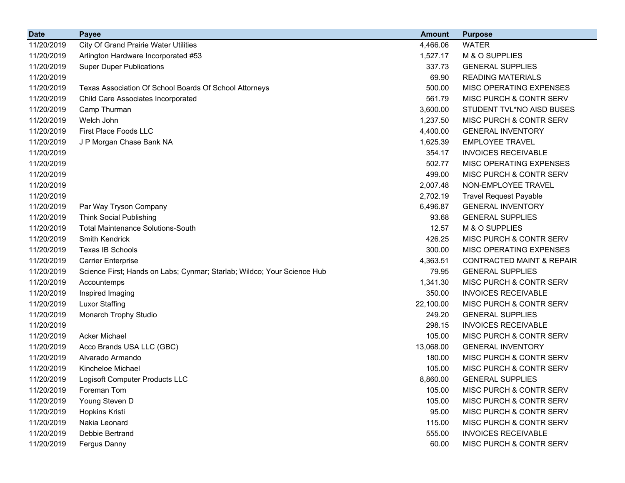| <b>Date</b> | <b>Payee</b>                                                            | <b>Amount</b> | <b>Purpose</b>                       |
|-------------|-------------------------------------------------------------------------|---------------|--------------------------------------|
| 11/20/2019  | <b>City Of Grand Prairie Water Utilities</b>                            | 4,466.06      | <b>WATER</b>                         |
| 11/20/2019  | Arlington Hardware Incorporated #53                                     | 1,527.17      | M & O SUPPLIES                       |
| 11/20/2019  | <b>Super Duper Publications</b>                                         | 337.73        | <b>GENERAL SUPPLIES</b>              |
| 11/20/2019  |                                                                         | 69.90         | <b>READING MATERIALS</b>             |
| 11/20/2019  | Texas Association Of School Boards Of School Attorneys                  | 500.00        | MISC OPERATING EXPENSES              |
| 11/20/2019  | Child Care Associates Incorporated                                      | 561.79        | MISC PURCH & CONTR SERV              |
| 11/20/2019  | Camp Thurman                                                            | 3,600.00      | STUDENT TVL*NO AISD BUSES            |
| 11/20/2019  | Welch John                                                              | 1,237.50      | MISC PURCH & CONTR SERV              |
| 11/20/2019  | First Place Foods LLC                                                   | 4,400.00      | <b>GENERAL INVENTORY</b>             |
| 11/20/2019  | J P Morgan Chase Bank NA                                                | 1,625.39      | <b>EMPLOYEE TRAVEL</b>               |
| 11/20/2019  |                                                                         | 354.17        | <b>INVOICES RECEIVABLE</b>           |
| 11/20/2019  |                                                                         | 502.77        | MISC OPERATING EXPENSES              |
| 11/20/2019  |                                                                         | 499.00        | MISC PURCH & CONTR SERV              |
| 11/20/2019  |                                                                         | 2,007.48      | NON-EMPLOYEE TRAVEL                  |
| 11/20/2019  |                                                                         | 2,702.19      | <b>Travel Request Payable</b>        |
| 11/20/2019  | Par Way Tryson Company                                                  | 6,496.87      | <b>GENERAL INVENTORY</b>             |
| 11/20/2019  | <b>Think Social Publishing</b>                                          | 93.68         | <b>GENERAL SUPPLIES</b>              |
| 11/20/2019  | <b>Total Maintenance Solutions-South</b>                                | 12.57         | M & O SUPPLIES                       |
| 11/20/2019  | <b>Smith Kendrick</b>                                                   | 426.25        | MISC PURCH & CONTR SERV              |
| 11/20/2019  | Texas IB Schools                                                        | 300.00        | MISC OPERATING EXPENSES              |
| 11/20/2019  | <b>Carrier Enterprise</b>                                               | 4,363.51      | <b>CONTRACTED MAINT &amp; REPAIR</b> |
| 11/20/2019  | Science First; Hands on Labs; Cynmar; Starlab; Wildco; Your Science Hub | 79.95         | <b>GENERAL SUPPLIES</b>              |
| 11/20/2019  | Accountemps                                                             | 1,341.30      | MISC PURCH & CONTR SERV              |
| 11/20/2019  | Inspired Imaging                                                        | 350.00        | <b>INVOICES RECEIVABLE</b>           |
| 11/20/2019  | <b>Luxor Staffing</b>                                                   | 22,100.00     | MISC PURCH & CONTR SERV              |
| 11/20/2019  | Monarch Trophy Studio                                                   | 249.20        | <b>GENERAL SUPPLIES</b>              |
| 11/20/2019  |                                                                         | 298.15        | <b>INVOICES RECEIVABLE</b>           |
| 11/20/2019  | <b>Acker Michael</b>                                                    | 105.00        | MISC PURCH & CONTR SERV              |
| 11/20/2019  | Acco Brands USA LLC (GBC)                                               | 13,068.00     | <b>GENERAL INVENTORY</b>             |
| 11/20/2019  | Alvarado Armando                                                        | 180.00        | MISC PURCH & CONTR SERV              |
| 11/20/2019  | Kincheloe Michael                                                       | 105.00        | MISC PURCH & CONTR SERV              |
| 11/20/2019  | Logisoft Computer Products LLC                                          | 8,860.00      | <b>GENERAL SUPPLIES</b>              |
| 11/20/2019  | Foreman Tom                                                             | 105.00        | MISC PURCH & CONTR SERV              |
| 11/20/2019  | Young Steven D                                                          | 105.00        | MISC PURCH & CONTR SERV              |
| 11/20/2019  | Hopkins Kristi                                                          | 95.00         | MISC PURCH & CONTR SERV              |
| 11/20/2019  | Nakia Leonard                                                           | 115.00        | MISC PURCH & CONTR SERV              |
| 11/20/2019  | Debbie Bertrand                                                         | 555.00        | <b>INVOICES RECEIVABLE</b>           |
| 11/20/2019  | Fergus Danny                                                            | 60.00         | MISC PURCH & CONTR SERV              |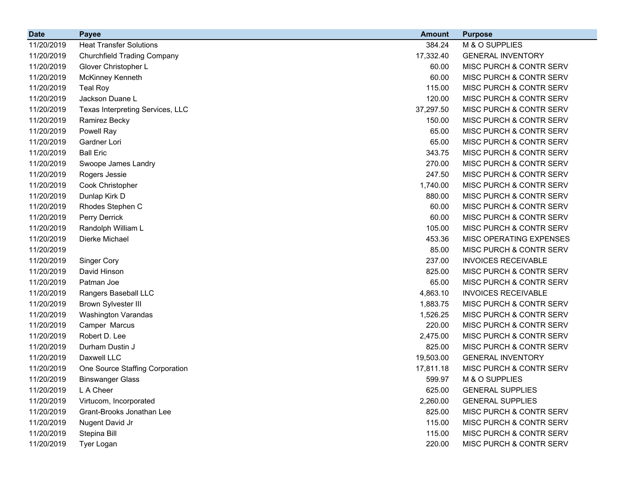| <b>Date</b> | <b>Payee</b>                       | <b>Amount</b> | <b>Purpose</b>                     |
|-------------|------------------------------------|---------------|------------------------------------|
| 11/20/2019  | <b>Heat Transfer Solutions</b>     | 384.24        | M & O SUPPLIES                     |
| 11/20/2019  | <b>Churchfield Trading Company</b> | 17,332.40     | <b>GENERAL INVENTORY</b>           |
| 11/20/2019  | Glover Christopher L               | 60.00         | MISC PURCH & CONTR SERV            |
| 11/20/2019  | McKinney Kenneth                   | 60.00         | MISC PURCH & CONTR SERV            |
| 11/20/2019  | <b>Teal Roy</b>                    | 115.00        | MISC PURCH & CONTR SERV            |
| 11/20/2019  | Jackson Duane L                    | 120.00        | MISC PURCH & CONTR SERV            |
| 11/20/2019  | Texas Interpreting Services, LLC   | 37,297.50     | MISC PURCH & CONTR SERV            |
| 11/20/2019  | Ramirez Becky                      | 150.00        | MISC PURCH & CONTR SERV            |
| 11/20/2019  | Powell Ray                         | 65.00         | MISC PURCH & CONTR SERV            |
| 11/20/2019  | Gardner Lori                       | 65.00         | MISC PURCH & CONTR SERV            |
| 11/20/2019  | <b>Ball Eric</b>                   | 343.75        | MISC PURCH & CONTR SERV            |
| 11/20/2019  | Swoope James Landry                | 270.00        | MISC PURCH & CONTR SERV            |
| 11/20/2019  | Rogers Jessie                      | 247.50        | MISC PURCH & CONTR SERV            |
| 11/20/2019  | Cook Christopher                   | 1,740.00      | MISC PURCH & CONTR SERV            |
| 11/20/2019  | Dunlap Kirk D                      | 880.00        | <b>MISC PURCH &amp; CONTR SERV</b> |
| 11/20/2019  | Rhodes Stephen C                   | 60.00         | MISC PURCH & CONTR SERV            |
| 11/20/2019  | Perry Derrick                      | 60.00         | MISC PURCH & CONTR SERV            |
| 11/20/2019  | Randolph William L                 | 105.00        | MISC PURCH & CONTR SERV            |
| 11/20/2019  | Dierke Michael                     | 453.36        | MISC OPERATING EXPENSES            |
| 11/20/2019  |                                    | 85.00         | <b>MISC PURCH &amp; CONTR SERV</b> |
| 11/20/2019  | <b>Singer Cory</b>                 | 237.00        | <b>INVOICES RECEIVABLE</b>         |
| 11/20/2019  | David Hinson                       | 825.00        | MISC PURCH & CONTR SERV            |
| 11/20/2019  | Patman Joe                         | 65.00         | MISC PURCH & CONTR SERV            |
| 11/20/2019  | Rangers Baseball LLC               | 4,863.10      | <b>INVOICES RECEIVABLE</b>         |
| 11/20/2019  | <b>Brown Sylvester III</b>         | 1,883.75      | MISC PURCH & CONTR SERV            |
| 11/20/2019  | Washington Varandas                | 1,526.25      | MISC PURCH & CONTR SERV            |
| 11/20/2019  | Camper Marcus                      | 220.00        | MISC PURCH & CONTR SERV            |
| 11/20/2019  | Robert D. Lee                      | 2,475.00      | MISC PURCH & CONTR SERV            |
| 11/20/2019  | Durham Dustin J                    | 825.00        | MISC PURCH & CONTR SERV            |
| 11/20/2019  | Daxwell LLC                        | 19,503.00     | <b>GENERAL INVENTORY</b>           |
| 11/20/2019  | One Source Staffing Corporation    | 17,811.18     | MISC PURCH & CONTR SERV            |
| 11/20/2019  | <b>Binswanger Glass</b>            | 599.97        | M & O SUPPLIES                     |
| 11/20/2019  | L A Cheer                          | 625.00        | <b>GENERAL SUPPLIES</b>            |
| 11/20/2019  | Virtucom, Incorporated             | 2,260.00      | <b>GENERAL SUPPLIES</b>            |
| 11/20/2019  | Grant-Brooks Jonathan Lee          | 825.00        | MISC PURCH & CONTR SERV            |
| 11/20/2019  | Nugent David Jr                    | 115.00        | MISC PURCH & CONTR SERV            |
| 11/20/2019  | Stepina Bill                       | 115.00        | MISC PURCH & CONTR SERV            |
| 11/20/2019  | Tyer Logan                         | 220.00        | MISC PURCH & CONTR SERV            |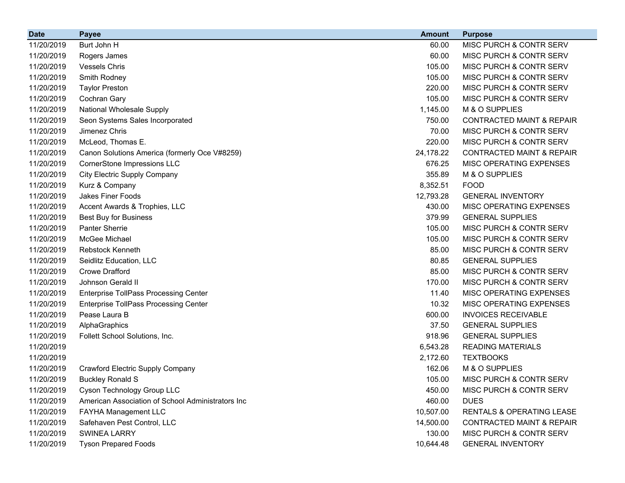| <b>Date</b> | <b>Payee</b>                                      | <b>Amount</b> | <b>Purpose</b>                       |
|-------------|---------------------------------------------------|---------------|--------------------------------------|
| 11/20/2019  | Burt John H                                       | 60.00         | MISC PURCH & CONTR SERV              |
| 11/20/2019  | Rogers James                                      | 60.00         | MISC PURCH & CONTR SERV              |
| 11/20/2019  | <b>Vessels Chris</b>                              | 105.00        | MISC PURCH & CONTR SERV              |
| 11/20/2019  | Smith Rodney                                      | 105.00        | MISC PURCH & CONTR SERV              |
| 11/20/2019  | <b>Taylor Preston</b>                             | 220.00        | MISC PURCH & CONTR SERV              |
| 11/20/2019  | Cochran Gary                                      | 105.00        | MISC PURCH & CONTR SERV              |
| 11/20/2019  | National Wholesale Supply                         | 1,145.00      | M & O SUPPLIES                       |
| 11/20/2019  | Seon Systems Sales Incorporated                   | 750.00        | <b>CONTRACTED MAINT &amp; REPAIR</b> |
| 11/20/2019  | Jimenez Chris                                     | 70.00         | MISC PURCH & CONTR SERV              |
| 11/20/2019  | McLeod, Thomas E.                                 | 220.00        | MISC PURCH & CONTR SERV              |
| 11/20/2019  | Canon Solutions America (formerly Oce V#8259)     | 24,178.22     | <b>CONTRACTED MAINT &amp; REPAIR</b> |
| 11/20/2019  | CornerStone Impressions LLC                       | 676.25        | MISC OPERATING EXPENSES              |
| 11/20/2019  | <b>City Electric Supply Company</b>               | 355.89        | M & O SUPPLIES                       |
| 11/20/2019  | Kurz & Company                                    | 8,352.51      | <b>FOOD</b>                          |
| 11/20/2019  | <b>Jakes Finer Foods</b>                          | 12,793.28     | <b>GENERAL INVENTORY</b>             |
| 11/20/2019  | Accent Awards & Trophies, LLC                     | 430.00        | MISC OPERATING EXPENSES              |
| 11/20/2019  | <b>Best Buy for Business</b>                      | 379.99        | <b>GENERAL SUPPLIES</b>              |
| 11/20/2019  | <b>Panter Sherrie</b>                             | 105.00        | MISC PURCH & CONTR SERV              |
| 11/20/2019  | McGee Michael                                     | 105.00        | MISC PURCH & CONTR SERV              |
| 11/20/2019  | Rebstock Kenneth                                  | 85.00         | MISC PURCH & CONTR SERV              |
| 11/20/2019  | Seidlitz Education, LLC                           | 80.85         | <b>GENERAL SUPPLIES</b>              |
| 11/20/2019  | <b>Crowe Drafford</b>                             | 85.00         | MISC PURCH & CONTR SERV              |
| 11/20/2019  | Johnson Gerald II                                 | 170.00        | MISC PURCH & CONTR SERV              |
| 11/20/2019  | <b>Enterprise TollPass Processing Center</b>      | 11.40         | MISC OPERATING EXPENSES              |
| 11/20/2019  | <b>Enterprise TollPass Processing Center</b>      | 10.32         | MISC OPERATING EXPENSES              |
| 11/20/2019  | Pease Laura B                                     | 600.00        | <b>INVOICES RECEIVABLE</b>           |
| 11/20/2019  | AlphaGraphics                                     | 37.50         | <b>GENERAL SUPPLIES</b>              |
| 11/20/2019  | Follett School Solutions, Inc.                    | 918.96        | <b>GENERAL SUPPLIES</b>              |
| 11/20/2019  |                                                   | 6,543.28      | <b>READING MATERIALS</b>             |
| 11/20/2019  |                                                   | 2,172.60      | <b>TEXTBOOKS</b>                     |
| 11/20/2019  | <b>Crawford Electric Supply Company</b>           | 162.06        | M & O SUPPLIES                       |
| 11/20/2019  | <b>Buckley Ronald S</b>                           | 105.00        | MISC PURCH & CONTR SERV              |
| 11/20/2019  | Cyson Technology Group LLC                        | 450.00        | MISC PURCH & CONTR SERV              |
| 11/20/2019  | American Association of School Administrators Inc | 460.00        | <b>DUES</b>                          |
| 11/20/2019  | FAYHA Management LLC                              | 10,507.00     | RENTALS & OPERATING LEASE            |
| 11/20/2019  | Safehaven Pest Control, LLC                       | 14,500.00     | <b>CONTRACTED MAINT &amp; REPAIR</b> |
| 11/20/2019  | <b>SWINEA LARRY</b>                               | 130.00        | MISC PURCH & CONTR SERV              |
| 11/20/2019  | <b>Tyson Prepared Foods</b>                       | 10,644.48     | <b>GENERAL INVENTORY</b>             |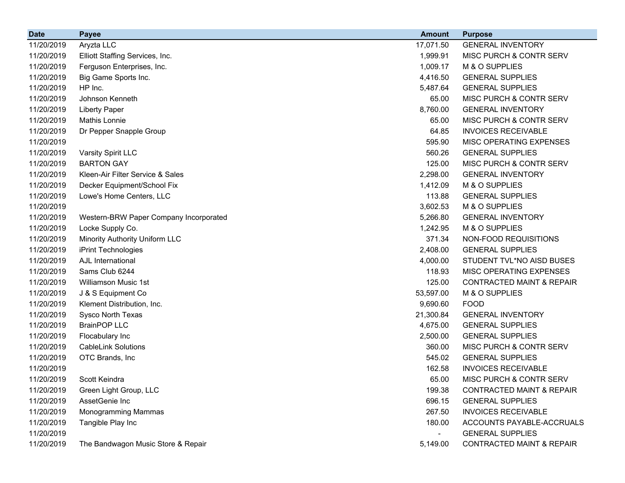| <b>Date</b> | <b>Payee</b>                           | <b>Amount</b>  | <b>Purpose</b>                       |
|-------------|----------------------------------------|----------------|--------------------------------------|
| 11/20/2019  | Aryzta LLC                             | 17,071.50      | <b>GENERAL INVENTORY</b>             |
| 11/20/2019  | Elliott Staffing Services, Inc.        | 1,999.91       | MISC PURCH & CONTR SERV              |
| 11/20/2019  | Ferguson Enterprises, Inc.             | 1,009.17       | M & O SUPPLIES                       |
| 11/20/2019  | Big Game Sports Inc.                   | 4,416.50       | <b>GENERAL SUPPLIES</b>              |
| 11/20/2019  | HP Inc.                                | 5,487.64       | <b>GENERAL SUPPLIES</b>              |
| 11/20/2019  | Johnson Kenneth                        | 65.00          | MISC PURCH & CONTR SERV              |
| 11/20/2019  | <b>Liberty Paper</b>                   | 8,760.00       | <b>GENERAL INVENTORY</b>             |
| 11/20/2019  | <b>Mathis Lonnie</b>                   | 65.00          | MISC PURCH & CONTR SERV              |
| 11/20/2019  | Dr Pepper Snapple Group                | 64.85          | <b>INVOICES RECEIVABLE</b>           |
| 11/20/2019  |                                        | 595.90         | MISC OPERATING EXPENSES              |
| 11/20/2019  | Varsity Spirit LLC                     | 560.26         | <b>GENERAL SUPPLIES</b>              |
| 11/20/2019  | <b>BARTON GAY</b>                      | 125.00         | MISC PURCH & CONTR SERV              |
| 11/20/2019  | Kleen-Air Filter Service & Sales       | 2,298.00       | <b>GENERAL INVENTORY</b>             |
| 11/20/2019  | Decker Equipment/School Fix            | 1,412.09       | M & O SUPPLIES                       |
| 11/20/2019  | Lowe's Home Centers, LLC               | 113.88         | <b>GENERAL SUPPLIES</b>              |
| 11/20/2019  |                                        | 3,602.53       | M & O SUPPLIES                       |
| 11/20/2019  | Western-BRW Paper Company Incorporated | 5,266.80       | <b>GENERAL INVENTORY</b>             |
| 11/20/2019  | Locke Supply Co.                       | 1,242.95       | M & O SUPPLIES                       |
| 11/20/2019  | Minority Authority Uniform LLC         | 371.34         | NON-FOOD REQUISITIONS                |
| 11/20/2019  | iPrint Technologies                    | 2,408.00       | <b>GENERAL SUPPLIES</b>              |
| 11/20/2019  | AJL International                      | 4,000.00       | STUDENT TVL*NO AISD BUSES            |
| 11/20/2019  | Sams Club 6244                         | 118.93         | MISC OPERATING EXPENSES              |
| 11/20/2019  | Williamson Music 1st                   | 125.00         | <b>CONTRACTED MAINT &amp; REPAIR</b> |
| 11/20/2019  | J & S Equipment Co                     | 53,597.00      | M & O SUPPLIES                       |
| 11/20/2019  | Klement Distribution, Inc.             | 9,690.60       | <b>FOOD</b>                          |
| 11/20/2019  | Sysco North Texas                      | 21,300.84      | <b>GENERAL INVENTORY</b>             |
| 11/20/2019  | <b>BrainPOP LLC</b>                    | 4,675.00       | <b>GENERAL SUPPLIES</b>              |
| 11/20/2019  | Flocabulary Inc                        | 2,500.00       | <b>GENERAL SUPPLIES</b>              |
| 11/20/2019  | <b>CableLink Solutions</b>             | 360.00         | MISC PURCH & CONTR SERV              |
| 11/20/2019  | OTC Brands, Inc                        | 545.02         | <b>GENERAL SUPPLIES</b>              |
| 11/20/2019  |                                        | 162.58         | <b>INVOICES RECEIVABLE</b>           |
| 11/20/2019  | Scott Keindra                          | 65.00          | MISC PURCH & CONTR SERV              |
| 11/20/2019  | Green Light Group, LLC                 | 199.38         | <b>CONTRACTED MAINT &amp; REPAIR</b> |
| 11/20/2019  | AssetGenie Inc                         | 696.15         | <b>GENERAL SUPPLIES</b>              |
| 11/20/2019  | Monogramming Mammas                    | 267.50         | <b>INVOICES RECEIVABLE</b>           |
| 11/20/2019  | Tangible Play Inc                      | 180.00         | ACCOUNTS PAYABLE-ACCRUALS            |
| 11/20/2019  |                                        | $\blacksquare$ | <b>GENERAL SUPPLIES</b>              |
| 11/20/2019  | The Bandwagon Music Store & Repair     | 5,149.00       | <b>CONTRACTED MAINT &amp; REPAIR</b> |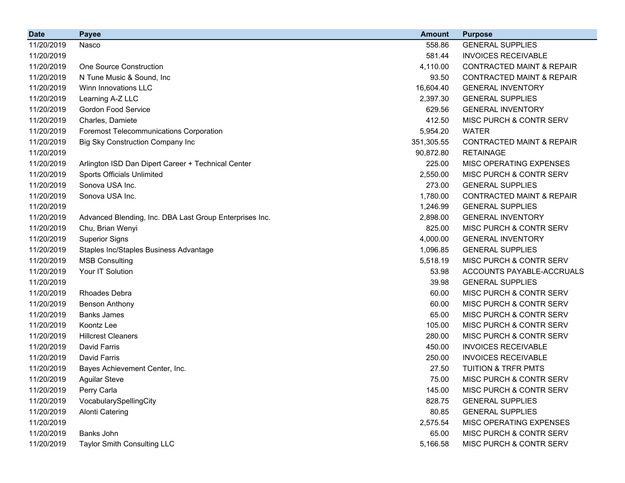| <b>Date</b> | <b>Payee</b>                                            | <b>Amount</b> | <b>Purpose</b>                       |
|-------------|---------------------------------------------------------|---------------|--------------------------------------|
| 11/20/2019  | Nasco                                                   | 558.86        | <b>GENERAL SUPPLIES</b>              |
| 11/20/2019  |                                                         | 581.44        | <b>INVOICES RECEIVABLE</b>           |
| 11/20/2019  | <b>One Source Construction</b>                          | 4,110.00      | <b>CONTRACTED MAINT &amp; REPAIR</b> |
| 11/20/2019  | N Tune Music & Sound, Inc.                              | 93.50         | <b>CONTRACTED MAINT &amp; REPAIR</b> |
| 11/20/2019  | Winn Innovations LLC                                    | 16,604.40     | <b>GENERAL INVENTORY</b>             |
| 11/20/2019  | Learning A-Z LLC                                        | 2,397.30      | <b>GENERAL SUPPLIES</b>              |
| 11/20/2019  | <b>Gordon Food Service</b>                              | 629.56        | <b>GENERAL INVENTORY</b>             |
| 11/20/2019  | Charles, Damiete                                        | 412.50        | MISC PURCH & CONTR SERV              |
| 11/20/2019  | <b>Foremost Telecommunications Corporation</b>          | 5,954.20      | <b>WATER</b>                         |
| 11/20/2019  | <b>Big Sky Construction Company Inc</b>                 | 351,305.55    | <b>CONTRACTED MAINT &amp; REPAIR</b> |
| 11/20/2019  |                                                         | 90,872.80     | <b>RETAINAGE</b>                     |
| 11/20/2019  | Arlington ISD Dan Dipert Career + Technical Center      | 225.00        | MISC OPERATING EXPENSES              |
| 11/20/2019  | Sports Officials Unlimited                              | 2,550.00      | MISC PURCH & CONTR SERV              |
| 11/20/2019  | Sonova USA Inc.                                         | 273.00        | <b>GENERAL SUPPLIES</b>              |
| 11/20/2019  | Sonova USA Inc.                                         | 1,780.00      | <b>CONTRACTED MAINT &amp; REPAIR</b> |
| 11/20/2019  |                                                         | 1,246.99      | <b>GENERAL SUPPLIES</b>              |
| 11/20/2019  | Advanced Blending, Inc. DBA Last Group Enterprises Inc. | 2,898.00      | <b>GENERAL INVENTORY</b>             |
| 11/20/2019  | Chu, Brian Wenyi                                        | 825.00        | MISC PURCH & CONTR SERV              |
| 11/20/2019  | <b>Superior Signs</b>                                   | 4,000.00      | <b>GENERAL INVENTORY</b>             |
| 11/20/2019  | Staples Inc/Staples Business Advantage                  | 1,096.85      | <b>GENERAL SUPPLIES</b>              |
| 11/20/2019  | <b>MSB Consulting</b>                                   | 5,518.19      | MISC PURCH & CONTR SERV              |
| 11/20/2019  | Your IT Solution                                        | 53.98         | ACCOUNTS PAYABLE-ACCRUALS            |
| 11/20/2019  |                                                         | 39.98         | <b>GENERAL SUPPLIES</b>              |
| 11/20/2019  | <b>Rhoades Debra</b>                                    | 60.00         | MISC PURCH & CONTR SERV              |
| 11/20/2019  | <b>Benson Anthony</b>                                   | 60.00         | MISC PURCH & CONTR SERV              |
| 11/20/2019  | <b>Banks James</b>                                      | 65.00         | MISC PURCH & CONTR SERV              |
| 11/20/2019  | Koontz Lee                                              | 105.00        | MISC PURCH & CONTR SERV              |
| 11/20/2019  | <b>Hillcrest Cleaners</b>                               | 280.00        | MISC PURCH & CONTR SERV              |
| 11/20/2019  | David Farris                                            | 450.00        | <b>INVOICES RECEIVABLE</b>           |
| 11/20/2019  | David Farris                                            | 250.00        | <b>INVOICES RECEIVABLE</b>           |
| 11/20/2019  | Bayes Achievement Center, Inc.                          | 27.50         | <b>TUITION &amp; TRFR PMTS</b>       |
| 11/20/2019  | <b>Aguilar Steve</b>                                    | 75.00         | MISC PURCH & CONTR SERV              |
| 11/20/2019  | Perry Carla                                             | 145.00        | MISC PURCH & CONTR SERV              |
| 11/20/2019  | VocabularySpellingCity                                  | 828.75        | <b>GENERAL SUPPLIES</b>              |
| 11/20/2019  | <b>Alonti Catering</b>                                  | 80.85         | <b>GENERAL SUPPLIES</b>              |
| 11/20/2019  |                                                         | 2,575.54      | MISC OPERATING EXPENSES              |
| 11/20/2019  | Banks John                                              | 65.00         | MISC PURCH & CONTR SERV              |
| 11/20/2019  | <b>Taylor Smith Consulting LLC</b>                      | 5,166.58      | MISC PURCH & CONTR SERV              |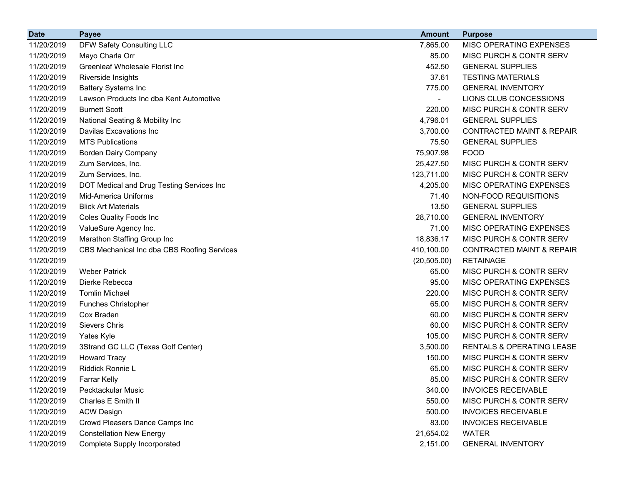| <b>Date</b> | <b>Payee</b>                                | <b>Amount</b> | <b>Purpose</b>                       |
|-------------|---------------------------------------------|---------------|--------------------------------------|
| 11/20/2019  | DFW Safety Consulting LLC                   | 7,865.00      | MISC OPERATING EXPENSES              |
| 11/20/2019  | Mayo Charla Orr                             | 85.00         | MISC PURCH & CONTR SERV              |
| 11/20/2019  | Greenleaf Wholesale Florist Inc             | 452.50        | <b>GENERAL SUPPLIES</b>              |
| 11/20/2019  | Riverside Insights                          | 37.61         | <b>TESTING MATERIALS</b>             |
| 11/20/2019  | <b>Battery Systems Inc</b>                  | 775.00        | <b>GENERAL INVENTORY</b>             |
| 11/20/2019  | Lawson Products Inc dba Kent Automotive     |               | LIONS CLUB CONCESSIONS               |
| 11/20/2019  | <b>Burnett Scott</b>                        | 220.00        | MISC PURCH & CONTR SERV              |
| 11/20/2019  | National Seating & Mobility Inc             | 4,796.01      | <b>GENERAL SUPPLIES</b>              |
| 11/20/2019  | Davilas Excavations Inc                     | 3,700.00      | CONTRACTED MAINT & REPAIR            |
| 11/20/2019  | <b>MTS Publications</b>                     | 75.50         | <b>GENERAL SUPPLIES</b>              |
| 11/20/2019  | <b>Borden Dairy Company</b>                 | 75,907.98     | <b>FOOD</b>                          |
| 11/20/2019  | Zum Services, Inc.                          | 25,427.50     | MISC PURCH & CONTR SERV              |
| 11/20/2019  | Zum Services, Inc.                          | 123,711.00    | MISC PURCH & CONTR SERV              |
| 11/20/2019  | DOT Medical and Drug Testing Services Inc   | 4,205.00      | MISC OPERATING EXPENSES              |
| 11/20/2019  | Mid-America Uniforms                        | 71.40         | NON-FOOD REQUISITIONS                |
| 11/20/2019  | <b>Blick Art Materials</b>                  | 13.50         | <b>GENERAL SUPPLIES</b>              |
| 11/20/2019  | <b>Coles Quality Foods Inc</b>              | 28,710.00     | <b>GENERAL INVENTORY</b>             |
| 11/20/2019  | ValueSure Agency Inc.                       | 71.00         | MISC OPERATING EXPENSES              |
| 11/20/2019  | Marathon Staffing Group Inc                 | 18,836.17     | MISC PURCH & CONTR SERV              |
| 11/20/2019  | CBS Mechanical Inc dba CBS Roofing Services | 410,100.00    | <b>CONTRACTED MAINT &amp; REPAIR</b> |
| 11/20/2019  |                                             | (20, 505.00)  | <b>RETAINAGE</b>                     |
| 11/20/2019  | <b>Weber Patrick</b>                        | 65.00         | MISC PURCH & CONTR SERV              |
| 11/20/2019  | Dierke Rebecca                              | 95.00         | <b>MISC OPERATING EXPENSES</b>       |
| 11/20/2019  | <b>Tomlin Michael</b>                       | 220.00        | MISC PURCH & CONTR SERV              |
| 11/20/2019  | <b>Funches Christopher</b>                  | 65.00         | MISC PURCH & CONTR SERV              |
| 11/20/2019  | Cox Braden                                  | 60.00         | MISC PURCH & CONTR SERV              |
| 11/20/2019  | Sievers Chris                               | 60.00         | MISC PURCH & CONTR SERV              |
| 11/20/2019  | Yates Kyle                                  | 105.00        | MISC PURCH & CONTR SERV              |
| 11/20/2019  | 3Strand GC LLC (Texas Golf Center)          | 3,500.00      | RENTALS & OPERATING LEASE            |
| 11/20/2019  | <b>Howard Tracy</b>                         | 150.00        | <b>MISC PURCH &amp; CONTR SERV</b>   |
| 11/20/2019  | Riddick Ronnie L                            | 65.00         | MISC PURCH & CONTR SERV              |
| 11/20/2019  | <b>Farrar Kelly</b>                         | 85.00         | MISC PURCH & CONTR SERV              |
| 11/20/2019  | Pecktackular Music                          | 340.00        | <b>INVOICES RECEIVABLE</b>           |
| 11/20/2019  | Charles E Smith II                          | 550.00        | MISC PURCH & CONTR SERV              |
| 11/20/2019  | <b>ACW Design</b>                           | 500.00        | <b>INVOICES RECEIVABLE</b>           |
| 11/20/2019  | Crowd Pleasers Dance Camps Inc              | 83.00         | <b>INVOICES RECEIVABLE</b>           |
| 11/20/2019  | <b>Constellation New Energy</b>             | 21,654.02     | <b>WATER</b>                         |
| 11/20/2019  | Complete Supply Incorporated                | 2,151.00      | <b>GENERAL INVENTORY</b>             |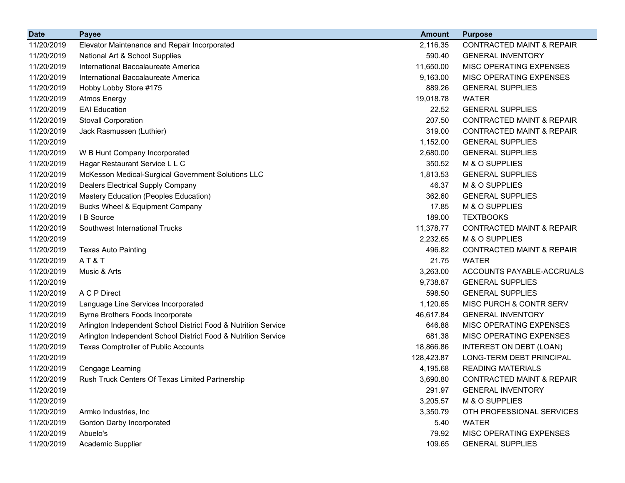| <b>Date</b> | <b>Payee</b>                                                   | <b>Amount</b> | <b>Purpose</b>                       |
|-------------|----------------------------------------------------------------|---------------|--------------------------------------|
| 11/20/2019  | Elevator Maintenance and Repair Incorporated                   | 2,116.35      | <b>CONTRACTED MAINT &amp; REPAIR</b> |
| 11/20/2019  | National Art & School Supplies                                 | 590.40        | <b>GENERAL INVENTORY</b>             |
| 11/20/2019  | International Baccalaureate America                            | 11,650.00     | MISC OPERATING EXPENSES              |
| 11/20/2019  | International Baccalaureate America                            | 9,163.00      | MISC OPERATING EXPENSES              |
| 11/20/2019  | Hobby Lobby Store #175                                         | 889.26        | <b>GENERAL SUPPLIES</b>              |
| 11/20/2019  | <b>Atmos Energy</b>                                            | 19,018.78     | <b>WATER</b>                         |
| 11/20/2019  | <b>EAI</b> Education                                           | 22.52         | <b>GENERAL SUPPLIES</b>              |
| 11/20/2019  | <b>Stovall Corporation</b>                                     | 207.50        | <b>CONTRACTED MAINT &amp; REPAIR</b> |
| 11/20/2019  | Jack Rasmussen (Luthier)                                       | 319.00        | <b>CONTRACTED MAINT &amp; REPAIR</b> |
| 11/20/2019  |                                                                | 1,152.00      | <b>GENERAL SUPPLIES</b>              |
| 11/20/2019  | W B Hunt Company Incorporated                                  | 2,680.00      | <b>GENERAL SUPPLIES</b>              |
| 11/20/2019  | Hagar Restaurant Service L L C                                 | 350.52        | M & O SUPPLIES                       |
| 11/20/2019  | McKesson Medical-Surgical Government Solutions LLC             | 1,813.53      | <b>GENERAL SUPPLIES</b>              |
| 11/20/2019  | Dealers Electrical Supply Company                              | 46.37         | M & O SUPPLIES                       |
| 11/20/2019  | Mastery Education (Peoples Education)                          | 362.60        | <b>GENERAL SUPPLIES</b>              |
| 11/20/2019  | <b>Bucks Wheel &amp; Equipment Company</b>                     | 17.85         | M & O SUPPLIES                       |
| 11/20/2019  | I B Source                                                     | 189.00        | <b>TEXTBOOKS</b>                     |
| 11/20/2019  | Southwest International Trucks                                 | 11,378.77     | <b>CONTRACTED MAINT &amp; REPAIR</b> |
| 11/20/2019  |                                                                | 2,232.65      | M & O SUPPLIES                       |
| 11/20/2019  | <b>Texas Auto Painting</b>                                     | 496.82        | <b>CONTRACTED MAINT &amp; REPAIR</b> |
| 11/20/2019  | AT&T                                                           | 21.75         | <b>WATER</b>                         |
| 11/20/2019  | Music & Arts                                                   | 3,263.00      | ACCOUNTS PAYABLE-ACCRUALS            |
| 11/20/2019  |                                                                | 9,738.87      | <b>GENERAL SUPPLIES</b>              |
| 11/20/2019  | A C P Direct                                                   | 598.50        | <b>GENERAL SUPPLIES</b>              |
| 11/20/2019  | Language Line Services Incorporated                            | 1,120.65      | MISC PURCH & CONTR SERV              |
| 11/20/2019  | Byrne Brothers Foods Incorporate                               | 46,617.84     | <b>GENERAL INVENTORY</b>             |
| 11/20/2019  | Arlington Independent School District Food & Nutrition Service | 646.88        | MISC OPERATING EXPENSES              |
| 11/20/2019  | Arlington Independent School District Food & Nutrition Service | 681.38        | MISC OPERATING EXPENSES              |
| 11/20/2019  | <b>Texas Comptroller of Public Accounts</b>                    | 18,866.86     | INTEREST ON DEBT (LOAN)              |
| 11/20/2019  |                                                                | 128,423.87    | LONG-TERM DEBT PRINCIPAL             |
| 11/20/2019  | Cengage Learning                                               | 4,195.68      | <b>READING MATERIALS</b>             |
| 11/20/2019  | Rush Truck Centers Of Texas Limited Partnership                | 3,690.80      | <b>CONTRACTED MAINT &amp; REPAIR</b> |
| 11/20/2019  |                                                                | 291.97        | <b>GENERAL INVENTORY</b>             |
| 11/20/2019  |                                                                | 3,205.57      | M & O SUPPLIES                       |
| 11/20/2019  | Armko Industries, Inc                                          | 3,350.79      | OTH PROFESSIONAL SERVICES            |
| 11/20/2019  | Gordon Darby Incorporated                                      | 5.40          | <b>WATER</b>                         |
| 11/20/2019  | Abuelo's                                                       | 79.92         | MISC OPERATING EXPENSES              |
| 11/20/2019  | Academic Supplier                                              | 109.65        | <b>GENERAL SUPPLIES</b>              |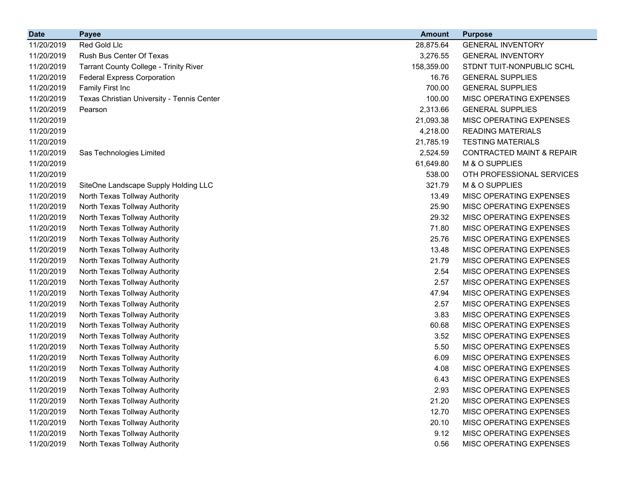| <b>Date</b> | <b>Payee</b>                               | <b>Amount</b> | <b>Purpose</b>                       |
|-------------|--------------------------------------------|---------------|--------------------------------------|
| 11/20/2019  | Red Gold Llc                               | 28,875.64     | <b>GENERAL INVENTORY</b>             |
| 11/20/2019  | Rush Bus Center Of Texas                   | 3,276.55      | <b>GENERAL INVENTORY</b>             |
| 11/20/2019  | Tarrant County College - Trinity River     | 158,359.00    | STDNT TUIT-NONPUBLIC SCHL            |
| 11/20/2019  | <b>Federal Express Corporation</b>         | 16.76         | <b>GENERAL SUPPLIES</b>              |
| 11/20/2019  | Family First Inc                           | 700.00        | <b>GENERAL SUPPLIES</b>              |
| 11/20/2019  | Texas Christian University - Tennis Center | 100.00        | MISC OPERATING EXPENSES              |
| 11/20/2019  | Pearson                                    | 2,313.66      | <b>GENERAL SUPPLIES</b>              |
| 11/20/2019  |                                            | 21,093.38     | MISC OPERATING EXPENSES              |
| 11/20/2019  |                                            | 4,218.00      | <b>READING MATERIALS</b>             |
| 11/20/2019  |                                            | 21,785.19     | <b>TESTING MATERIALS</b>             |
| 11/20/2019  | Sas Technologies Limited                   | 2,524.59      | <b>CONTRACTED MAINT &amp; REPAIR</b> |
| 11/20/2019  |                                            | 61,649.80     | M & O SUPPLIES                       |
| 11/20/2019  |                                            | 538.00        | OTH PROFESSIONAL SERVICES            |
| 11/20/2019  | SiteOne Landscape Supply Holding LLC       | 321.79        | M & O SUPPLIES                       |
| 11/20/2019  | North Texas Tollway Authority              | 13.49         | MISC OPERATING EXPENSES              |
| 11/20/2019  | North Texas Tollway Authority              | 25.90         | MISC OPERATING EXPENSES              |
| 11/20/2019  | North Texas Tollway Authority              | 29.32         | MISC OPERATING EXPENSES              |
| 11/20/2019  | North Texas Tollway Authority              | 71.80         | MISC OPERATING EXPENSES              |
| 11/20/2019  | North Texas Tollway Authority              | 25.76         | MISC OPERATING EXPENSES              |
| 11/20/2019  | North Texas Tollway Authority              | 13.48         | MISC OPERATING EXPENSES              |
| 11/20/2019  | North Texas Tollway Authority              | 21.79         | MISC OPERATING EXPENSES              |
| 11/20/2019  | North Texas Tollway Authority              | 2.54          | MISC OPERATING EXPENSES              |
| 11/20/2019  | North Texas Tollway Authority              | 2.57          | MISC OPERATING EXPENSES              |
| 11/20/2019  | North Texas Tollway Authority              | 47.94         | MISC OPERATING EXPENSES              |
| 11/20/2019  | North Texas Tollway Authority              | 2.57          | MISC OPERATING EXPENSES              |
| 11/20/2019  | North Texas Tollway Authority              | 3.83          | MISC OPERATING EXPENSES              |
| 11/20/2019  | North Texas Tollway Authority              | 60.68         | MISC OPERATING EXPENSES              |
| 11/20/2019  | North Texas Tollway Authority              | 3.52          | MISC OPERATING EXPENSES              |
| 11/20/2019  | North Texas Tollway Authority              | 5.50          | MISC OPERATING EXPENSES              |
| 11/20/2019  | North Texas Tollway Authority              | 6.09          | MISC OPERATING EXPENSES              |
| 11/20/2019  | North Texas Tollway Authority              | 4.08          | MISC OPERATING EXPENSES              |
| 11/20/2019  | North Texas Tollway Authority              | 6.43          | MISC OPERATING EXPENSES              |
| 11/20/2019  | North Texas Tollway Authority              | 2.93          | MISC OPERATING EXPENSES              |
| 11/20/2019  | North Texas Tollway Authority              | 21.20         | MISC OPERATING EXPENSES              |
| 11/20/2019  | North Texas Tollway Authority              | 12.70         | MISC OPERATING EXPENSES              |
| 11/20/2019  | North Texas Tollway Authority              | 20.10         | MISC OPERATING EXPENSES              |
| 11/20/2019  | North Texas Tollway Authority              | 9.12          | MISC OPERATING EXPENSES              |
| 11/20/2019  | North Texas Tollway Authority              | 0.56          | MISC OPERATING EXPENSES              |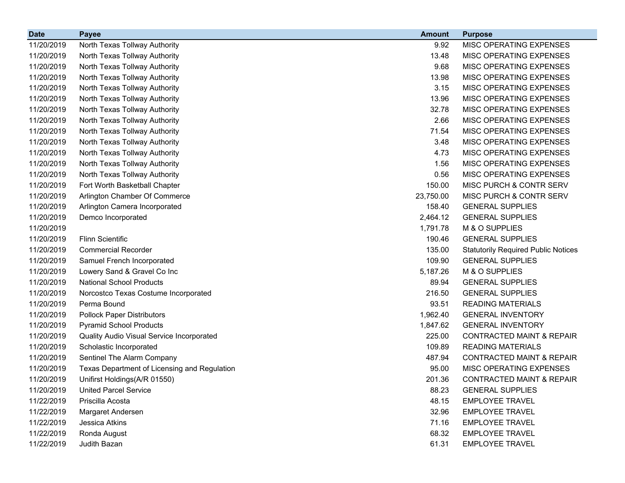| <b>Date</b> | <b>Payee</b>                                 | <b>Amount</b> | <b>Purpose</b>                             |
|-------------|----------------------------------------------|---------------|--------------------------------------------|
| 11/20/2019  | North Texas Tollway Authority                | 9.92          | MISC OPERATING EXPENSES                    |
| 11/20/2019  | North Texas Tollway Authority                | 13.48         | MISC OPERATING EXPENSES                    |
| 11/20/2019  | North Texas Tollway Authority                | 9.68          | MISC OPERATING EXPENSES                    |
| 11/20/2019  | North Texas Tollway Authority                | 13.98         | MISC OPERATING EXPENSES                    |
| 11/20/2019  | North Texas Tollway Authority                | 3.15          | MISC OPERATING EXPENSES                    |
| 11/20/2019  | North Texas Tollway Authority                | 13.96         | MISC OPERATING EXPENSES                    |
| 11/20/2019  | North Texas Tollway Authority                | 32.78         | MISC OPERATING EXPENSES                    |
| 11/20/2019  | North Texas Tollway Authority                | 2.66          | MISC OPERATING EXPENSES                    |
| 11/20/2019  | North Texas Tollway Authority                | 71.54         | MISC OPERATING EXPENSES                    |
| 11/20/2019  | North Texas Tollway Authority                | 3.48          | MISC OPERATING EXPENSES                    |
| 11/20/2019  | North Texas Tollway Authority                | 4.73          | MISC OPERATING EXPENSES                    |
| 11/20/2019  | North Texas Tollway Authority                | 1.56          | MISC OPERATING EXPENSES                    |
| 11/20/2019  | North Texas Tollway Authority                | 0.56          | MISC OPERATING EXPENSES                    |
| 11/20/2019  | Fort Worth Basketball Chapter                | 150.00        | MISC PURCH & CONTR SERV                    |
| 11/20/2019  | Arlington Chamber Of Commerce                | 23,750.00     | MISC PURCH & CONTR SERV                    |
| 11/20/2019  | Arlington Camera Incorporated                | 158.40        | <b>GENERAL SUPPLIES</b>                    |
| 11/20/2019  | Demco Incorporated                           | 2,464.12      | <b>GENERAL SUPPLIES</b>                    |
| 11/20/2019  |                                              | 1,791.78      | M & O SUPPLIES                             |
| 11/20/2019  | <b>Flinn Scientific</b>                      | 190.46        | <b>GENERAL SUPPLIES</b>                    |
| 11/20/2019  | <b>Commercial Recorder</b>                   | 135.00        | <b>Statutorily Required Public Notices</b> |
| 11/20/2019  | Samuel French Incorporated                   | 109.90        | <b>GENERAL SUPPLIES</b>                    |
| 11/20/2019  | Lowery Sand & Gravel Co Inc                  | 5,187.26      | M & O SUPPLIES                             |
| 11/20/2019  | <b>National School Products</b>              | 89.94         | <b>GENERAL SUPPLIES</b>                    |
| 11/20/2019  | Norcostco Texas Costume Incorporated         | 216.50        | <b>GENERAL SUPPLIES</b>                    |
| 11/20/2019  | Perma Bound                                  | 93.51         | <b>READING MATERIALS</b>                   |
| 11/20/2019  | <b>Pollock Paper Distributors</b>            | 1,962.40      | <b>GENERAL INVENTORY</b>                   |
| 11/20/2019  | <b>Pyramid School Products</b>               | 1,847.62      | <b>GENERAL INVENTORY</b>                   |
| 11/20/2019  | Quality Audio Visual Service Incorporated    | 225.00        | <b>CONTRACTED MAINT &amp; REPAIR</b>       |
| 11/20/2019  | Scholastic Incorporated                      | 109.89        | <b>READING MATERIALS</b>                   |
| 11/20/2019  | Sentinel The Alarm Company                   | 487.94        | <b>CONTRACTED MAINT &amp; REPAIR</b>       |
| 11/20/2019  | Texas Department of Licensing and Regulation | 95.00         | MISC OPERATING EXPENSES                    |
| 11/20/2019  | Unifirst Holdings(A/R 01550)                 | 201.36        | <b>CONTRACTED MAINT &amp; REPAIR</b>       |
| 11/20/2019  | <b>United Parcel Service</b>                 | 88.23         | <b>GENERAL SUPPLIES</b>                    |
| 11/22/2019  | Priscilla Acosta                             | 48.15         | <b>EMPLOYEE TRAVEL</b>                     |
| 11/22/2019  | Margaret Andersen                            | 32.96         | <b>EMPLOYEE TRAVEL</b>                     |
| 11/22/2019  | Jessica Atkins                               | 71.16         | <b>EMPLOYEE TRAVEL</b>                     |
| 11/22/2019  | Ronda August                                 | 68.32         | <b>EMPLOYEE TRAVEL</b>                     |
| 11/22/2019  | Judith Bazan                                 | 61.31         | <b>EMPLOYEE TRAVEL</b>                     |
|             |                                              |               |                                            |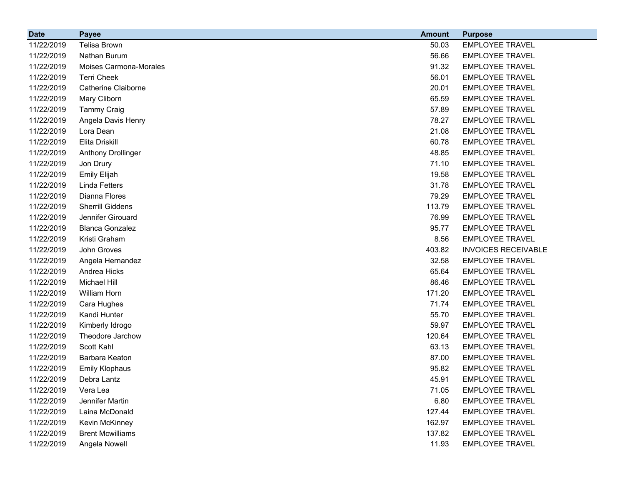| <b>Date</b> | <b>Payee</b>               | <b>Amount</b> | <b>Purpose</b>             |
|-------------|----------------------------|---------------|----------------------------|
| 11/22/2019  | <b>Telisa Brown</b>        | 50.03         | <b>EMPLOYEE TRAVEL</b>     |
| 11/22/2019  | Nathan Burum               | 56.66         | <b>EMPLOYEE TRAVEL</b>     |
| 11/22/2019  | Moises Carmona-Morales     | 91.32         | <b>EMPLOYEE TRAVEL</b>     |
| 11/22/2019  | <b>Terri Cheek</b>         | 56.01         | <b>EMPLOYEE TRAVEL</b>     |
| 11/22/2019  | <b>Catherine Claiborne</b> | 20.01         | <b>EMPLOYEE TRAVEL</b>     |
| 11/22/2019  | Mary Cliborn               | 65.59         | <b>EMPLOYEE TRAVEL</b>     |
| 11/22/2019  | <b>Tammy Craig</b>         | 57.89         | <b>EMPLOYEE TRAVEL</b>     |
| 11/22/2019  | Angela Davis Henry         | 78.27         | <b>EMPLOYEE TRAVEL</b>     |
| 11/22/2019  | Lora Dean                  | 21.08         | <b>EMPLOYEE TRAVEL</b>     |
| 11/22/2019  | Elita Driskill             | 60.78         | <b>EMPLOYEE TRAVEL</b>     |
| 11/22/2019  | Anthony Drollinger         | 48.85         | <b>EMPLOYEE TRAVEL</b>     |
| 11/22/2019  | Jon Drury                  | 71.10         | <b>EMPLOYEE TRAVEL</b>     |
| 11/22/2019  | Emily Elijah               | 19.58         | <b>EMPLOYEE TRAVEL</b>     |
| 11/22/2019  | <b>Linda Fetters</b>       | 31.78         | <b>EMPLOYEE TRAVEL</b>     |
| 11/22/2019  | Dianna Flores              | 79.29         | <b>EMPLOYEE TRAVEL</b>     |
| 11/22/2019  | <b>Sherrill Giddens</b>    | 113.79        | <b>EMPLOYEE TRAVEL</b>     |
| 11/22/2019  | Jennifer Girouard          | 76.99         | <b>EMPLOYEE TRAVEL</b>     |
| 11/22/2019  | <b>Blanca Gonzalez</b>     | 95.77         | <b>EMPLOYEE TRAVEL</b>     |
| 11/22/2019  | Kristi Graham              | 8.56          | <b>EMPLOYEE TRAVEL</b>     |
| 11/22/2019  | John Groves                | 403.82        | <b>INVOICES RECEIVABLE</b> |
| 11/22/2019  | Angela Hernandez           | 32.58         | <b>EMPLOYEE TRAVEL</b>     |
| 11/22/2019  | Andrea Hicks               | 65.64         | <b>EMPLOYEE TRAVEL</b>     |
| 11/22/2019  | Michael Hill               | 86.46         | <b>EMPLOYEE TRAVEL</b>     |
| 11/22/2019  | William Horn               | 171.20        | <b>EMPLOYEE TRAVEL</b>     |
| 11/22/2019  | Cara Hughes                | 71.74         | <b>EMPLOYEE TRAVEL</b>     |
| 11/22/2019  | Kandi Hunter               | 55.70         | <b>EMPLOYEE TRAVEL</b>     |
| 11/22/2019  | Kimberly Idrogo            | 59.97         | <b>EMPLOYEE TRAVEL</b>     |
| 11/22/2019  | Theodore Jarchow           | 120.64        | <b>EMPLOYEE TRAVEL</b>     |
| 11/22/2019  | Scott Kahl                 | 63.13         | <b>EMPLOYEE TRAVEL</b>     |
| 11/22/2019  | Barbara Keaton             | 87.00         | <b>EMPLOYEE TRAVEL</b>     |
| 11/22/2019  | <b>Emily Klophaus</b>      | 95.82         | <b>EMPLOYEE TRAVEL</b>     |
| 11/22/2019  | Debra Lantz                | 45.91         | <b>EMPLOYEE TRAVEL</b>     |
| 11/22/2019  | Vera Lea                   | 71.05         | <b>EMPLOYEE TRAVEL</b>     |
| 11/22/2019  | Jennifer Martin            | 6.80          | <b>EMPLOYEE TRAVEL</b>     |
| 11/22/2019  | Laina McDonald             | 127.44        | <b>EMPLOYEE TRAVEL</b>     |
| 11/22/2019  | Kevin McKinney             | 162.97        | <b>EMPLOYEE TRAVEL</b>     |
| 11/22/2019  | <b>Brent Mcwilliams</b>    | 137.82        | <b>EMPLOYEE TRAVEL</b>     |
| 11/22/2019  | Angela Nowell              | 11.93         | <b>EMPLOYEE TRAVEL</b>     |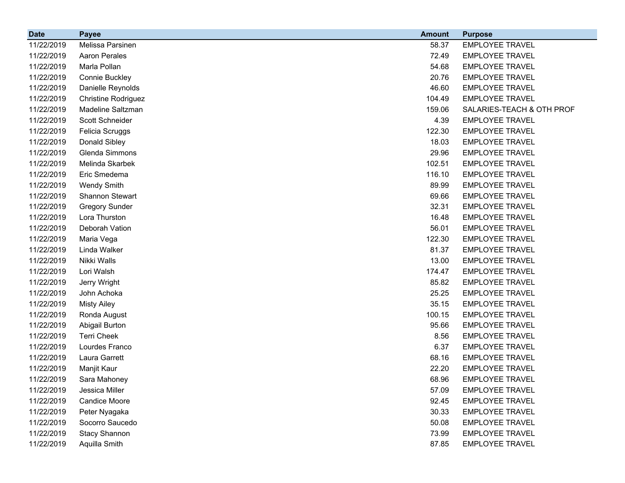| <b>Date</b> | <b>Payee</b>               | <b>Amount</b> | <b>Purpose</b>            |
|-------------|----------------------------|---------------|---------------------------|
| 11/22/2019  | Melissa Parsinen           | 58.37         | <b>EMPLOYEE TRAVEL</b>    |
| 11/22/2019  | <b>Aaron Perales</b>       | 72.49         | <b>EMPLOYEE TRAVEL</b>    |
| 11/22/2019  | Marla Pollan               | 54.68         | <b>EMPLOYEE TRAVEL</b>    |
| 11/22/2019  | Connie Buckley             | 20.76         | <b>EMPLOYEE TRAVEL</b>    |
| 11/22/2019  | Danielle Reynolds          | 46.60         | <b>EMPLOYEE TRAVEL</b>    |
| 11/22/2019  | <b>Christine Rodriguez</b> | 104.49        | <b>EMPLOYEE TRAVEL</b>    |
| 11/22/2019  | Madeline Saltzman          | 159.06        | SALARIES-TEACH & OTH PROF |
| 11/22/2019  | Scott Schneider            | 4.39          | <b>EMPLOYEE TRAVEL</b>    |
| 11/22/2019  | Felicia Scruggs            | 122.30        | <b>EMPLOYEE TRAVEL</b>    |
| 11/22/2019  | Donald Sibley              | 18.03         | <b>EMPLOYEE TRAVEL</b>    |
| 11/22/2019  | Glenda Simmons             | 29.96         | <b>EMPLOYEE TRAVEL</b>    |
| 11/22/2019  | Melinda Skarbek            | 102.51        | <b>EMPLOYEE TRAVEL</b>    |
| 11/22/2019  | Eric Smedema               | 116.10        | <b>EMPLOYEE TRAVEL</b>    |
| 11/22/2019  | <b>Wendy Smith</b>         | 89.99         | <b>EMPLOYEE TRAVEL</b>    |
| 11/22/2019  | Shannon Stewart            | 69.66         | <b>EMPLOYEE TRAVEL</b>    |
| 11/22/2019  | <b>Gregory Sunder</b>      | 32.31         | <b>EMPLOYEE TRAVEL</b>    |
| 11/22/2019  | Lora Thurston              | 16.48         | <b>EMPLOYEE TRAVEL</b>    |
| 11/22/2019  | Deborah Vation             | 56.01         | <b>EMPLOYEE TRAVEL</b>    |
| 11/22/2019  | Maria Vega                 | 122.30        | <b>EMPLOYEE TRAVEL</b>    |
| 11/22/2019  | Linda Walker               | 81.37         | <b>EMPLOYEE TRAVEL</b>    |
| 11/22/2019  | Nikki Walls                | 13.00         | <b>EMPLOYEE TRAVEL</b>    |
| 11/22/2019  | Lori Walsh                 | 174.47        | <b>EMPLOYEE TRAVEL</b>    |
| 11/22/2019  | Jerry Wright               | 85.82         | <b>EMPLOYEE TRAVEL</b>    |
| 11/22/2019  | John Achoka                | 25.25         | <b>EMPLOYEE TRAVEL</b>    |
| 11/22/2019  | <b>Misty Ailey</b>         | 35.15         | <b>EMPLOYEE TRAVEL</b>    |
| 11/22/2019  | Ronda August               | 100.15        | <b>EMPLOYEE TRAVEL</b>    |
| 11/22/2019  | Abigail Burton             | 95.66         | <b>EMPLOYEE TRAVEL</b>    |
| 11/22/2019  | <b>Terri Cheek</b>         | 8.56          | <b>EMPLOYEE TRAVEL</b>    |
| 11/22/2019  | Lourdes Franco             | 6.37          | <b>EMPLOYEE TRAVEL</b>    |
| 11/22/2019  | Laura Garrett              | 68.16         | <b>EMPLOYEE TRAVEL</b>    |
| 11/22/2019  | Manjit Kaur                | 22.20         | <b>EMPLOYEE TRAVEL</b>    |
| 11/22/2019  | Sara Mahoney               | 68.96         | <b>EMPLOYEE TRAVEL</b>    |
| 11/22/2019  | Jessica Miller             | 57.09         | <b>EMPLOYEE TRAVEL</b>    |
| 11/22/2019  | <b>Candice Moore</b>       | 92.45         | <b>EMPLOYEE TRAVEL</b>    |
| 11/22/2019  | Peter Nyagaka              | 30.33         | <b>EMPLOYEE TRAVEL</b>    |
| 11/22/2019  | Socorro Saucedo            | 50.08         | <b>EMPLOYEE TRAVEL</b>    |
| 11/22/2019  | <b>Stacy Shannon</b>       | 73.99         | <b>EMPLOYEE TRAVEL</b>    |
| 11/22/2019  | Aquilla Smith              | 87.85         | <b>EMPLOYEE TRAVEL</b>    |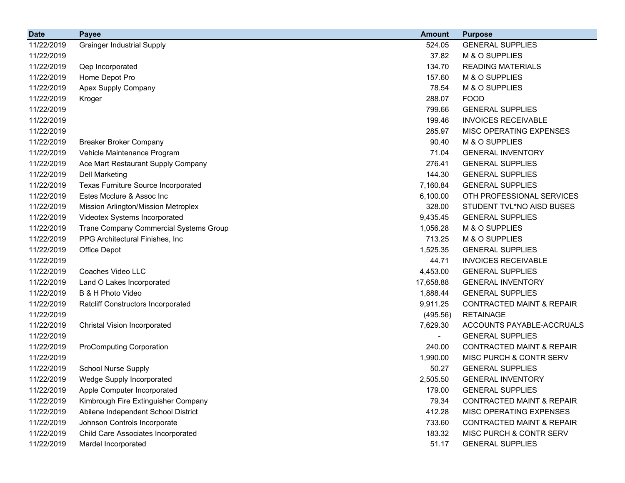| <b>Date</b> | <b>Payee</b>                               | <b>Amount</b> | <b>Purpose</b>                       |
|-------------|--------------------------------------------|---------------|--------------------------------------|
| 11/22/2019  | <b>Grainger Industrial Supply</b>          | 524.05        | <b>GENERAL SUPPLIES</b>              |
| 11/22/2019  |                                            | 37.82         | M & O SUPPLIES                       |
| 11/22/2019  | Qep Incorporated                           | 134.70        | <b>READING MATERIALS</b>             |
| 11/22/2019  | Home Depot Pro                             | 157.60        | M & O SUPPLIES                       |
| 11/22/2019  | Apex Supply Company                        | 78.54         | M & O SUPPLIES                       |
| 11/22/2019  | Kroger                                     | 288.07        | <b>FOOD</b>                          |
| 11/22/2019  |                                            | 799.66        | <b>GENERAL SUPPLIES</b>              |
| 11/22/2019  |                                            | 199.46        | <b>INVOICES RECEIVABLE</b>           |
| 11/22/2019  |                                            | 285.97        | MISC OPERATING EXPENSES              |
| 11/22/2019  | <b>Breaker Broker Company</b>              | 90.40         | M & O SUPPLIES                       |
| 11/22/2019  | Vehicle Maintenance Program                | 71.04         | <b>GENERAL INVENTORY</b>             |
| 11/22/2019  | Ace Mart Restaurant Supply Company         | 276.41        | <b>GENERAL SUPPLIES</b>              |
| 11/22/2019  | <b>Dell Marketing</b>                      | 144.30        | <b>GENERAL SUPPLIES</b>              |
| 11/22/2019  | <b>Texas Furniture Source Incorporated</b> | 7,160.84      | <b>GENERAL SUPPLIES</b>              |
| 11/22/2019  | Estes Mcclure & Assoc Inc                  | 6,100.00      | OTH PROFESSIONAL SERVICES            |
| 11/22/2019  | Mission Arlington/Mission Metroplex        | 328.00        | STUDENT TVL*NO AISD BUSES            |
| 11/22/2019  | Videotex Systems Incorporated              | 9,435.45      | <b>GENERAL SUPPLIES</b>              |
| 11/22/2019  | Trane Company Commercial Systems Group     | 1,056.28      | M & O SUPPLIES                       |
| 11/22/2019  | PPG Architectural Finishes, Inc            | 713.25        | M & O SUPPLIES                       |
| 11/22/2019  | Office Depot                               | 1,525.35      | <b>GENERAL SUPPLIES</b>              |
| 11/22/2019  |                                            | 44.71         | <b>INVOICES RECEIVABLE</b>           |
| 11/22/2019  | Coaches Video LLC                          | 4,453.00      | <b>GENERAL SUPPLIES</b>              |
| 11/22/2019  | Land O Lakes Incorporated                  | 17,658.88     | <b>GENERAL INVENTORY</b>             |
| 11/22/2019  | B & H Photo Video                          | 1,888.44      | <b>GENERAL SUPPLIES</b>              |
| 11/22/2019  | <b>Ratcliff Constructors Incorporated</b>  | 9,911.25      | <b>CONTRACTED MAINT &amp; REPAIR</b> |
| 11/22/2019  |                                            | (495.56)      | <b>RETAINAGE</b>                     |
| 11/22/2019  | <b>Christal Vision Incorporated</b>        | 7,629.30      | ACCOUNTS PAYABLE-ACCRUALS            |
| 11/22/2019  |                                            |               | <b>GENERAL SUPPLIES</b>              |
| 11/22/2019  | <b>ProComputing Corporation</b>            | 240.00        | <b>CONTRACTED MAINT &amp; REPAIR</b> |
| 11/22/2019  |                                            | 1,990.00      | MISC PURCH & CONTR SERV              |
| 11/22/2019  | <b>School Nurse Supply</b>                 | 50.27         | <b>GENERAL SUPPLIES</b>              |
| 11/22/2019  | Wedge Supply Incorporated                  | 2,505.50      | <b>GENERAL INVENTORY</b>             |
| 11/22/2019  | Apple Computer Incorporated                | 179.00        | <b>GENERAL SUPPLIES</b>              |
| 11/22/2019  | Kimbrough Fire Extinguisher Company        | 79.34         | <b>CONTRACTED MAINT &amp; REPAIR</b> |
| 11/22/2019  | Abilene Independent School District        | 412.28        | MISC OPERATING EXPENSES              |
| 11/22/2019  | Johnson Controls Incorporate               | 733.60        | <b>CONTRACTED MAINT &amp; REPAIR</b> |
| 11/22/2019  | Child Care Associates Incorporated         | 183.32        | MISC PURCH & CONTR SERV              |
| 11/22/2019  | Mardel Incorporated                        | 51.17         | <b>GENERAL SUPPLIES</b>              |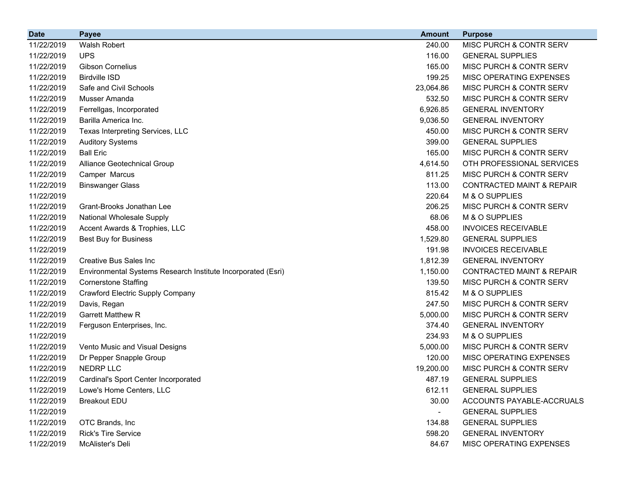| <b>Date</b> | <b>Payee</b>                                                 | <b>Amount</b>            | <b>Purpose</b>                       |
|-------------|--------------------------------------------------------------|--------------------------|--------------------------------------|
| 11/22/2019  | Walsh Robert                                                 | 240.00                   | MISC PURCH & CONTR SERV              |
| 11/22/2019  | <b>UPS</b>                                                   | 116.00                   | <b>GENERAL SUPPLIES</b>              |
| 11/22/2019  | <b>Gibson Cornelius</b>                                      | 165.00                   | MISC PURCH & CONTR SERV              |
| 11/22/2019  | <b>Birdville ISD</b>                                         | 199.25                   | MISC OPERATING EXPENSES              |
| 11/22/2019  | Safe and Civil Schools                                       | 23,064.86                | MISC PURCH & CONTR SERV              |
| 11/22/2019  | Musser Amanda                                                | 532.50                   | MISC PURCH & CONTR SERV              |
| 11/22/2019  | Ferrellgas, Incorporated                                     | 6,926.85                 | <b>GENERAL INVENTORY</b>             |
| 11/22/2019  | Barilla America Inc.                                         | 9,036.50                 | <b>GENERAL INVENTORY</b>             |
| 11/22/2019  | Texas Interpreting Services, LLC                             | 450.00                   | MISC PURCH & CONTR SERV              |
| 11/22/2019  | <b>Auditory Systems</b>                                      | 399.00                   | <b>GENERAL SUPPLIES</b>              |
| 11/22/2019  | <b>Ball Eric</b>                                             | 165.00                   | MISC PURCH & CONTR SERV              |
| 11/22/2019  | Alliance Geotechnical Group                                  | 4,614.50                 | OTH PROFESSIONAL SERVICES            |
| 11/22/2019  | Camper Marcus                                                | 811.25                   | MISC PURCH & CONTR SERV              |
| 11/22/2019  | <b>Binswanger Glass</b>                                      | 113.00                   | <b>CONTRACTED MAINT &amp; REPAIR</b> |
| 11/22/2019  |                                                              | 220.64                   | M & O SUPPLIES                       |
| 11/22/2019  | Grant-Brooks Jonathan Lee                                    | 206.25                   | MISC PURCH & CONTR SERV              |
| 11/22/2019  | National Wholesale Supply                                    | 68.06                    | M & O SUPPLIES                       |
| 11/22/2019  | Accent Awards & Trophies, LLC                                | 458.00                   | <b>INVOICES RECEIVABLE</b>           |
| 11/22/2019  | Best Buy for Business                                        | 1,529.80                 | <b>GENERAL SUPPLIES</b>              |
| 11/22/2019  |                                                              | 191.98                   | <b>INVOICES RECEIVABLE</b>           |
| 11/22/2019  | Creative Bus Sales Inc                                       | 1,812.39                 | <b>GENERAL INVENTORY</b>             |
| 11/22/2019  | Environmental Systems Research Institute Incorporated (Esri) | 1,150.00                 | <b>CONTRACTED MAINT &amp; REPAIR</b> |
| 11/22/2019  | <b>Cornerstone Staffing</b>                                  | 139.50                   | MISC PURCH & CONTR SERV              |
| 11/22/2019  | <b>Crawford Electric Supply Company</b>                      | 815.42                   | M & O SUPPLIES                       |
| 11/22/2019  | Davis, Regan                                                 | 247.50                   | MISC PURCH & CONTR SERV              |
| 11/22/2019  | <b>Garrett Matthew R</b>                                     | 5,000.00                 | MISC PURCH & CONTR SERV              |
| 11/22/2019  | Ferguson Enterprises, Inc.                                   | 374.40                   | <b>GENERAL INVENTORY</b>             |
| 11/22/2019  |                                                              | 234.93                   | M & O SUPPLIES                       |
| 11/22/2019  | Vento Music and Visual Designs                               | 5,000.00                 | MISC PURCH & CONTR SERV              |
| 11/22/2019  | Dr Pepper Snapple Group                                      | 120.00                   | <b>MISC OPERATING EXPENSES</b>       |
| 11/22/2019  | <b>NEDRP LLC</b>                                             | 19,200.00                | <b>MISC PURCH &amp; CONTR SERV</b>   |
| 11/22/2019  | Cardinal's Sport Center Incorporated                         | 487.19                   | <b>GENERAL SUPPLIES</b>              |
| 11/22/2019  | Lowe's Home Centers, LLC                                     | 612.11                   | <b>GENERAL SUPPLIES</b>              |
| 11/22/2019  | <b>Breakout EDU</b>                                          | 30.00                    | ACCOUNTS PAYABLE-ACCRUALS            |
| 11/22/2019  |                                                              | $\overline{\phantom{a}}$ | <b>GENERAL SUPPLIES</b>              |
| 11/22/2019  | OTC Brands, Inc.                                             | 134.88                   | <b>GENERAL SUPPLIES</b>              |
| 11/22/2019  | <b>Rick's Tire Service</b>                                   | 598.20                   | <b>GENERAL INVENTORY</b>             |
| 11/22/2019  | McAlister's Deli                                             | 84.67                    | MISC OPERATING EXPENSES              |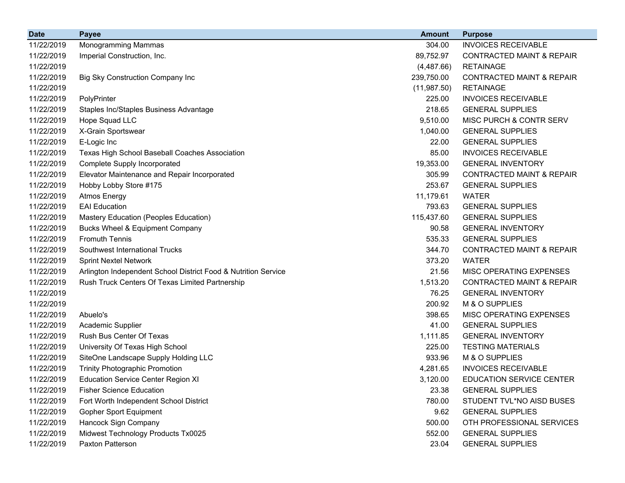| <b>Date</b> | <b>Payee</b>                                                   | <b>Amount</b> | <b>Purpose</b>                       |
|-------------|----------------------------------------------------------------|---------------|--------------------------------------|
| 11/22/2019  | Monogramming Mammas                                            | 304.00        | <b>INVOICES RECEIVABLE</b>           |
| 11/22/2019  | Imperial Construction, Inc.                                    | 89,752.97     | <b>CONTRACTED MAINT &amp; REPAIR</b> |
| 11/22/2019  |                                                                | (4,487.66)    | <b>RETAINAGE</b>                     |
| 11/22/2019  | Big Sky Construction Company Inc                               | 239,750.00    | <b>CONTRACTED MAINT &amp; REPAIR</b> |
| 11/22/2019  |                                                                | (11, 987.50)  | <b>RETAINAGE</b>                     |
| 11/22/2019  | PolyPrinter                                                    | 225.00        | <b>INVOICES RECEIVABLE</b>           |
| 11/22/2019  | Staples Inc/Staples Business Advantage                         | 218.65        | <b>GENERAL SUPPLIES</b>              |
| 11/22/2019  | Hope Squad LLC                                                 | 9,510.00      | MISC PURCH & CONTR SERV              |
| 11/22/2019  | X-Grain Sportswear                                             | 1,040.00      | <b>GENERAL SUPPLIES</b>              |
| 11/22/2019  | E-Logic Inc                                                    | 22.00         | <b>GENERAL SUPPLIES</b>              |
| 11/22/2019  | Texas High School Baseball Coaches Association                 | 85.00         | <b>INVOICES RECEIVABLE</b>           |
| 11/22/2019  | <b>Complete Supply Incorporated</b>                            | 19,353.00     | <b>GENERAL INVENTORY</b>             |
| 11/22/2019  | Elevator Maintenance and Repair Incorporated                   | 305.99        | <b>CONTRACTED MAINT &amp; REPAIR</b> |
| 11/22/2019  | Hobby Lobby Store #175                                         | 253.67        | <b>GENERAL SUPPLIES</b>              |
| 11/22/2019  | <b>Atmos Energy</b>                                            | 11,179.61     | <b>WATER</b>                         |
| 11/22/2019  | <b>EAI</b> Education                                           | 793.63        | <b>GENERAL SUPPLIES</b>              |
| 11/22/2019  | Mastery Education (Peoples Education)                          | 115,437.60    | <b>GENERAL SUPPLIES</b>              |
| 11/22/2019  | <b>Bucks Wheel &amp; Equipment Company</b>                     | 90.58         | <b>GENERAL INVENTORY</b>             |
| 11/22/2019  | <b>Fromuth Tennis</b>                                          | 535.33        | <b>GENERAL SUPPLIES</b>              |
| 11/22/2019  | Southwest International Trucks                                 | 344.70        | <b>CONTRACTED MAINT &amp; REPAIR</b> |
| 11/22/2019  | <b>Sprint Nextel Network</b>                                   | 373.20        | <b>WATER</b>                         |
| 11/22/2019  | Arlington Independent School District Food & Nutrition Service | 21.56         | MISC OPERATING EXPENSES              |
| 11/22/2019  | Rush Truck Centers Of Texas Limited Partnership                | 1,513.20      | <b>CONTRACTED MAINT &amp; REPAIR</b> |
| 11/22/2019  |                                                                | 76.25         | <b>GENERAL INVENTORY</b>             |
| 11/22/2019  |                                                                | 200.92        | M & O SUPPLIES                       |
| 11/22/2019  | Abuelo's                                                       | 398.65        | MISC OPERATING EXPENSES              |
| 11/22/2019  | <b>Academic Supplier</b>                                       | 41.00         | <b>GENERAL SUPPLIES</b>              |
| 11/22/2019  | Rush Bus Center Of Texas                                       | 1,111.85      | <b>GENERAL INVENTORY</b>             |
| 11/22/2019  | University Of Texas High School                                | 225.00        | <b>TESTING MATERIALS</b>             |
| 11/22/2019  | SiteOne Landscape Supply Holding LLC                           | 933.96        | M & O SUPPLIES                       |
| 11/22/2019  | <b>Trinity Photographic Promotion</b>                          | 4,281.65      | <b>INVOICES RECEIVABLE</b>           |
| 11/22/2019  | <b>Education Service Center Region XI</b>                      | 3,120.00      | EDUCATION SERVICE CENTER             |
| 11/22/2019  | <b>Fisher Science Education</b>                                | 23.38         | <b>GENERAL SUPPLIES</b>              |
| 11/22/2019  | Fort Worth Independent School District                         | 780.00        | STUDENT TVL*NO AISD BUSES            |
| 11/22/2019  | Gopher Sport Equipment                                         | 9.62          | <b>GENERAL SUPPLIES</b>              |
| 11/22/2019  | Hancock Sign Company                                           | 500.00        | OTH PROFESSIONAL SERVICES            |
| 11/22/2019  | Midwest Technology Products Tx0025                             | 552.00        | <b>GENERAL SUPPLIES</b>              |
| 11/22/2019  | Paxton Patterson                                               | 23.04         | <b>GENERAL SUPPLIES</b>              |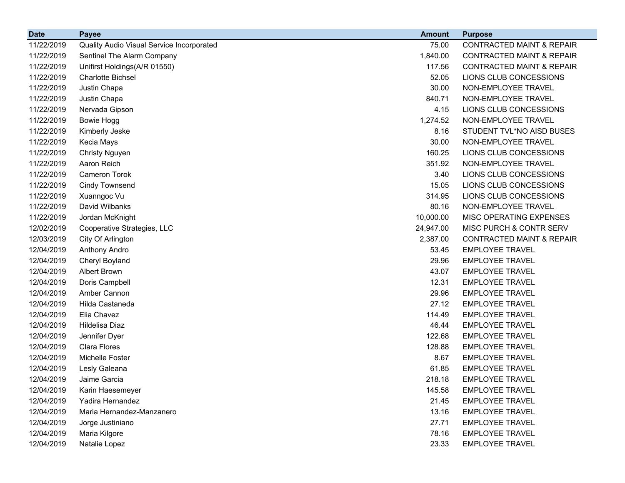| <b>Date</b> | <b>Payee</b>                              | <b>Amount</b> | <b>Purpose</b>                       |
|-------------|-------------------------------------------|---------------|--------------------------------------|
| 11/22/2019  | Quality Audio Visual Service Incorporated | 75.00         | <b>CONTRACTED MAINT &amp; REPAIR</b> |
| 11/22/2019  | Sentinel The Alarm Company                | 1,840.00      | <b>CONTRACTED MAINT &amp; REPAIR</b> |
| 11/22/2019  | Unifirst Holdings(A/R 01550)              | 117.56        | <b>CONTRACTED MAINT &amp; REPAIR</b> |
| 11/22/2019  | <b>Charlotte Bichsel</b>                  | 52.05         | LIONS CLUB CONCESSIONS               |
| 11/22/2019  | Justin Chapa                              | 30.00         | NON-EMPLOYEE TRAVEL                  |
| 11/22/2019  | Justin Chapa                              | 840.71        | NON-EMPLOYEE TRAVEL                  |
| 11/22/2019  | Nervada Gipson                            | 4.15          | LIONS CLUB CONCESSIONS               |
| 11/22/2019  | <b>Bowie Hogg</b>                         | 1,274.52      | NON-EMPLOYEE TRAVEL                  |
| 11/22/2019  | Kimberly Jeske                            | 8.16          | STUDENT TVL*NO AISD BUSES            |
| 11/22/2019  | Kecia Mays                                | 30.00         | NON-EMPLOYEE TRAVEL                  |
| 11/22/2019  | <b>Christy Nguyen</b>                     | 160.25        | LIONS CLUB CONCESSIONS               |
| 11/22/2019  | Aaron Reich                               | 351.92        | NON-EMPLOYEE TRAVEL                  |
| 11/22/2019  | <b>Cameron Torok</b>                      | 3.40          | LIONS CLUB CONCESSIONS               |
| 11/22/2019  | <b>Cindy Townsend</b>                     | 15.05         | LIONS CLUB CONCESSIONS               |
| 11/22/2019  | Xuanngoc Vu                               | 314.95        | LIONS CLUB CONCESSIONS               |
| 11/22/2019  | David Wilbanks                            | 80.16         | NON-EMPLOYEE TRAVEL                  |
| 11/22/2019  | Jordan McKnight                           | 10,000.00     | MISC OPERATING EXPENSES              |
| 12/02/2019  | Cooperative Strategies, LLC               | 24,947.00     | MISC PURCH & CONTR SERV              |
| 12/03/2019  | City Of Arlington                         | 2,387.00      | <b>CONTRACTED MAINT &amp; REPAIR</b> |
| 12/04/2019  | Anthony Andro                             | 53.45         | <b>EMPLOYEE TRAVEL</b>               |
| 12/04/2019  | Cheryl Boyland                            | 29.96         | <b>EMPLOYEE TRAVEL</b>               |
| 12/04/2019  | Albert Brown                              | 43.07         | <b>EMPLOYEE TRAVEL</b>               |
| 12/04/2019  | Doris Campbell                            | 12.31         | <b>EMPLOYEE TRAVEL</b>               |
| 12/04/2019  | Amber Cannon                              | 29.96         | <b>EMPLOYEE TRAVEL</b>               |
| 12/04/2019  | Hilda Castaneda                           | 27.12         | <b>EMPLOYEE TRAVEL</b>               |
| 12/04/2019  | Elia Chavez                               | 114.49        | <b>EMPLOYEE TRAVEL</b>               |
| 12/04/2019  | Hildelisa Diaz                            | 46.44         | <b>EMPLOYEE TRAVEL</b>               |
| 12/04/2019  | Jennifer Dyer                             | 122.68        | <b>EMPLOYEE TRAVEL</b>               |
| 12/04/2019  | Clara Flores                              | 128.88        | <b>EMPLOYEE TRAVEL</b>               |
| 12/04/2019  | Michelle Foster                           | 8.67          | <b>EMPLOYEE TRAVEL</b>               |
| 12/04/2019  | Lesly Galeana                             | 61.85         | <b>EMPLOYEE TRAVEL</b>               |
| 12/04/2019  | Jaime Garcia                              | 218.18        | <b>EMPLOYEE TRAVEL</b>               |
| 12/04/2019  | Karin Haesemeyer                          | 145.58        | <b>EMPLOYEE TRAVEL</b>               |
| 12/04/2019  | Yadira Hernandez                          | 21.45         | <b>EMPLOYEE TRAVEL</b>               |
| 12/04/2019  | Maria Hernandez-Manzanero                 | 13.16         | <b>EMPLOYEE TRAVEL</b>               |
| 12/04/2019  | Jorge Justiniano                          | 27.71         | <b>EMPLOYEE TRAVEL</b>               |
| 12/04/2019  | Maria Kilgore                             | 78.16         | <b>EMPLOYEE TRAVEL</b>               |
| 12/04/2019  | Natalie Lopez                             | 23.33         | <b>EMPLOYEE TRAVEL</b>               |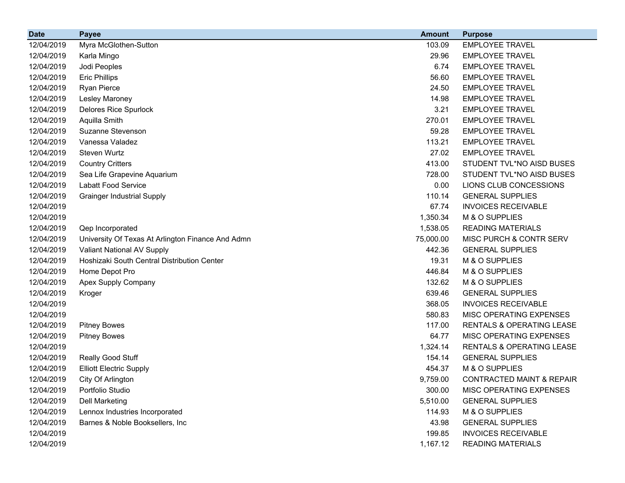| <b>Date</b> | <b>Payee</b>                                      | <b>Amount</b> | <b>Purpose</b>                       |
|-------------|---------------------------------------------------|---------------|--------------------------------------|
| 12/04/2019  | Myra McGlothen-Sutton                             | 103.09        | <b>EMPLOYEE TRAVEL</b>               |
| 12/04/2019  | Karla Mingo                                       | 29.96         | <b>EMPLOYEE TRAVEL</b>               |
| 12/04/2019  | Jodi Peoples                                      | 6.74          | <b>EMPLOYEE TRAVEL</b>               |
| 12/04/2019  | <b>Eric Phillips</b>                              | 56.60         | <b>EMPLOYEE TRAVEL</b>               |
| 12/04/2019  | Ryan Pierce                                       | 24.50         | <b>EMPLOYEE TRAVEL</b>               |
| 12/04/2019  | Lesley Maroney                                    | 14.98         | <b>EMPLOYEE TRAVEL</b>               |
| 12/04/2019  | <b>Delores Rice Spurlock</b>                      | 3.21          | <b>EMPLOYEE TRAVEL</b>               |
| 12/04/2019  | Aquilla Smith                                     | 270.01        | <b>EMPLOYEE TRAVEL</b>               |
| 12/04/2019  | Suzanne Stevenson                                 | 59.28         | <b>EMPLOYEE TRAVEL</b>               |
| 12/04/2019  | Vanessa Valadez                                   | 113.21        | <b>EMPLOYEE TRAVEL</b>               |
| 12/04/2019  | Steven Wurtz                                      | 27.02         | <b>EMPLOYEE TRAVEL</b>               |
| 12/04/2019  | <b>Country Critters</b>                           | 413.00        | STUDENT TVL*NO AISD BUSES            |
| 12/04/2019  | Sea Life Grapevine Aquarium                       | 728.00        | STUDENT TVL*NO AISD BUSES            |
| 12/04/2019  | Labatt Food Service                               | 0.00          | LIONS CLUB CONCESSIONS               |
| 12/04/2019  | <b>Grainger Industrial Supply</b>                 | 110.14        | <b>GENERAL SUPPLIES</b>              |
| 12/04/2019  |                                                   | 67.74         | <b>INVOICES RECEIVABLE</b>           |
| 12/04/2019  |                                                   | 1,350.34      | M & O SUPPLIES                       |
| 12/04/2019  | Qep Incorporated                                  | 1,538.05      | <b>READING MATERIALS</b>             |
| 12/04/2019  | University Of Texas At Arlington Finance And Admn | 75,000.00     | MISC PURCH & CONTR SERV              |
| 12/04/2019  | Valiant National AV Supply                        | 442.36        | <b>GENERAL SUPPLIES</b>              |
| 12/04/2019  | Hoshizaki South Central Distribution Center       | 19.31         | M & O SUPPLIES                       |
| 12/04/2019  | Home Depot Pro                                    | 446.84        | M & O SUPPLIES                       |
| 12/04/2019  | Apex Supply Company                               | 132.62        | M & O SUPPLIES                       |
| 12/04/2019  | Kroger                                            | 639.46        | <b>GENERAL SUPPLIES</b>              |
| 12/04/2019  |                                                   | 368.05        | <b>INVOICES RECEIVABLE</b>           |
| 12/04/2019  |                                                   | 580.83        | MISC OPERATING EXPENSES              |
| 12/04/2019  | <b>Pitney Bowes</b>                               | 117.00        | <b>RENTALS &amp; OPERATING LEASE</b> |
| 12/04/2019  | <b>Pitney Bowes</b>                               | 64.77         | MISC OPERATING EXPENSES              |
| 12/04/2019  |                                                   | 1,324.14      | RENTALS & OPERATING LEASE            |
| 12/04/2019  | Really Good Stuff                                 | 154.14        | <b>GENERAL SUPPLIES</b>              |
| 12/04/2019  | <b>Elliott Electric Supply</b>                    | 454.37        | M & O SUPPLIES                       |
| 12/04/2019  | City Of Arlington                                 | 9,759.00      | CONTRACTED MAINT & REPAIR            |
| 12/04/2019  | Portfolio Studio                                  | 300.00        | <b>MISC OPERATING EXPENSES</b>       |
| 12/04/2019  | <b>Dell Marketing</b>                             | 5,510.00      | <b>GENERAL SUPPLIES</b>              |
| 12/04/2019  | Lennox Industries Incorporated                    | 114.93        | M & O SUPPLIES                       |
| 12/04/2019  | Barnes & Noble Booksellers, Inc.                  | 43.98         | <b>GENERAL SUPPLIES</b>              |
| 12/04/2019  |                                                   | 199.85        | <b>INVOICES RECEIVABLE</b>           |
| 12/04/2019  |                                                   | 1,167.12      | <b>READING MATERIALS</b>             |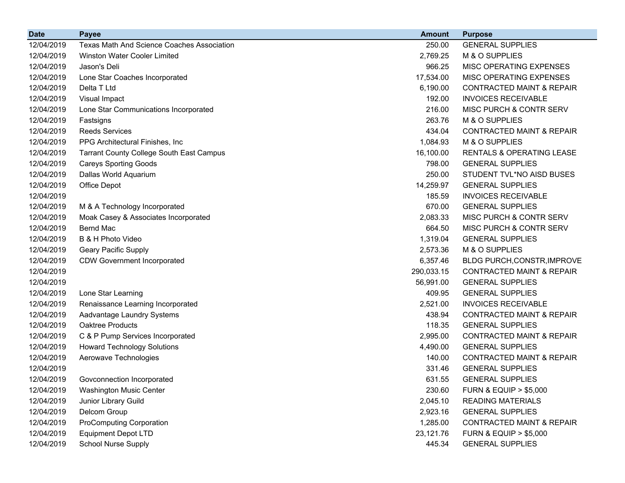| <b>Date</b> | <b>Payee</b>                                      | <b>Amount</b> | <b>Purpose</b>                       |
|-------------|---------------------------------------------------|---------------|--------------------------------------|
| 12/04/2019  | <b>Texas Math And Science Coaches Association</b> | 250.00        | <b>GENERAL SUPPLIES</b>              |
| 12/04/2019  | <b>Winston Water Cooler Limited</b>               | 2,769.25      | M & O SUPPLIES                       |
| 12/04/2019  | Jason's Deli                                      | 966.25        | MISC OPERATING EXPENSES              |
| 12/04/2019  | Lone Star Coaches Incorporated                    | 17,534.00     | MISC OPERATING EXPENSES              |
| 12/04/2019  | Delta T Ltd                                       | 6,190.00      | <b>CONTRACTED MAINT &amp; REPAIR</b> |
| 12/04/2019  | Visual Impact                                     | 192.00        | <b>INVOICES RECEIVABLE</b>           |
| 12/04/2019  | Lone Star Communications Incorporated             | 216.00        | <b>MISC PURCH &amp; CONTR SERV</b>   |
| 12/04/2019  | Fastsigns                                         | 263.76        | M & O SUPPLIES                       |
| 12/04/2019  | <b>Reeds Services</b>                             | 434.04        | <b>CONTRACTED MAINT &amp; REPAIR</b> |
| 12/04/2019  | PPG Architectural Finishes, Inc.                  | 1,084.93      | M & O SUPPLIES                       |
| 12/04/2019  | <b>Tarrant County College South East Campus</b>   | 16,100.00     | <b>RENTALS &amp; OPERATING LEASE</b> |
| 12/04/2019  | <b>Careys Sporting Goods</b>                      | 798.00        | <b>GENERAL SUPPLIES</b>              |
| 12/04/2019  | Dallas World Aquarium                             | 250.00        | STUDENT TVL*NO AISD BUSES            |
| 12/04/2019  | Office Depot                                      | 14,259.97     | <b>GENERAL SUPPLIES</b>              |
| 12/04/2019  |                                                   | 185.59        | <b>INVOICES RECEIVABLE</b>           |
| 12/04/2019  | M & A Technology Incorporated                     | 670.00        | <b>GENERAL SUPPLIES</b>              |
| 12/04/2019  | Moak Casey & Associates Incorporated              | 2,083.33      | MISC PURCH & CONTR SERV              |
| 12/04/2019  | <b>Bernd Mac</b>                                  | 664.50        | MISC PURCH & CONTR SERV              |
| 12/04/2019  | B & H Photo Video                                 | 1,319.04      | <b>GENERAL SUPPLIES</b>              |
| 12/04/2019  | Geary Pacific Supply                              | 2,573.36      | M & O SUPPLIES                       |
| 12/04/2019  | <b>CDW Government Incorporated</b>                | 6,357.46      | BLDG PURCH, CONSTR, IMPROVE          |
| 12/04/2019  |                                                   | 290,033.15    | <b>CONTRACTED MAINT &amp; REPAIR</b> |
| 12/04/2019  |                                                   | 56,991.00     | <b>GENERAL SUPPLIES</b>              |
| 12/04/2019  | Lone Star Learning                                | 409.95        | <b>GENERAL SUPPLIES</b>              |
| 12/04/2019  | Renaissance Learning Incorporated                 | 2,521.00      | <b>INVOICES RECEIVABLE</b>           |
| 12/04/2019  | Aadvantage Laundry Systems                        | 438.94        | <b>CONTRACTED MAINT &amp; REPAIR</b> |
| 12/04/2019  | Oaktree Products                                  | 118.35        | <b>GENERAL SUPPLIES</b>              |
| 12/04/2019  | C & P Pump Services Incorporated                  | 2,995.00      | <b>CONTRACTED MAINT &amp; REPAIR</b> |
| 12/04/2019  | <b>Howard Technology Solutions</b>                | 4,490.00      | <b>GENERAL SUPPLIES</b>              |
| 12/04/2019  | Aerowave Technologies                             | 140.00        | <b>CONTRACTED MAINT &amp; REPAIR</b> |
| 12/04/2019  |                                                   | 331.46        | <b>GENERAL SUPPLIES</b>              |
| 12/04/2019  | Govconnection Incorporated                        | 631.55        | <b>GENERAL SUPPLIES</b>              |
| 12/04/2019  | <b>Washington Music Center</b>                    | 230.60        | <b>FURN &amp; EQUIP &gt; \$5,000</b> |
| 12/04/2019  | Junior Library Guild                              | 2,045.10      | <b>READING MATERIALS</b>             |
| 12/04/2019  | Delcom Group                                      | 2,923.16      | <b>GENERAL SUPPLIES</b>              |
| 12/04/2019  | <b>ProComputing Corporation</b>                   | 1,285.00      | <b>CONTRACTED MAINT &amp; REPAIR</b> |
| 12/04/2019  | <b>Equipment Depot LTD</b>                        | 23,121.76     | <b>FURN &amp; EQUIP &gt; \$5,000</b> |
| 12/04/2019  | <b>School Nurse Supply</b>                        | 445.34        | <b>GENERAL SUPPLIES</b>              |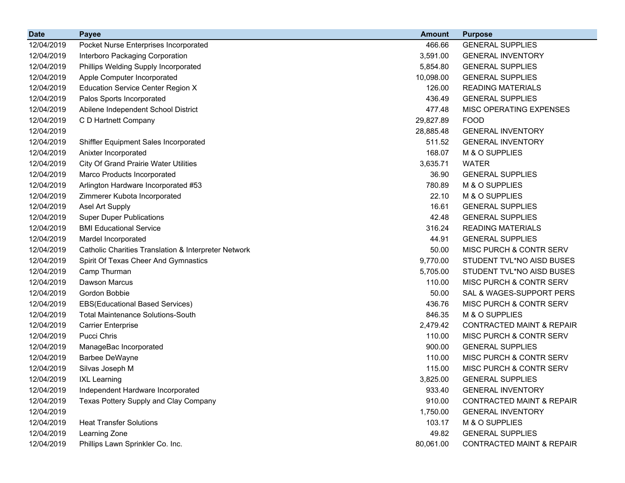| <b>Date</b> | <b>Payee</b>                                         | <b>Amount</b> | <b>Purpose</b>                       |
|-------------|------------------------------------------------------|---------------|--------------------------------------|
| 12/04/2019  | Pocket Nurse Enterprises Incorporated                | 466.66        | <b>GENERAL SUPPLIES</b>              |
| 12/04/2019  | Interboro Packaging Corporation                      | 3,591.00      | <b>GENERAL INVENTORY</b>             |
| 12/04/2019  | Phillips Welding Supply Incorporated                 | 5,854.80      | <b>GENERAL SUPPLIES</b>              |
| 12/04/2019  | Apple Computer Incorporated                          | 10,098.00     | <b>GENERAL SUPPLIES</b>              |
| 12/04/2019  | <b>Education Service Center Region X</b>             | 126.00        | <b>READING MATERIALS</b>             |
| 12/04/2019  | Palos Sports Incorporated                            | 436.49        | <b>GENERAL SUPPLIES</b>              |
| 12/04/2019  | Abilene Independent School District                  | 477.48        | MISC OPERATING EXPENSES              |
| 12/04/2019  | C D Hartnett Company                                 | 29,827.89     | <b>FOOD</b>                          |
| 12/04/2019  |                                                      | 28,885.48     | <b>GENERAL INVENTORY</b>             |
| 12/04/2019  | Shiffler Equipment Sales Incorporated                | 511.52        | <b>GENERAL INVENTORY</b>             |
| 12/04/2019  | Anixter Incorporated                                 | 168.07        | M & O SUPPLIES                       |
| 12/04/2019  | <b>City Of Grand Prairie Water Utilities</b>         | 3,635.71      | <b>WATER</b>                         |
| 12/04/2019  | Marco Products Incorporated                          | 36.90         | <b>GENERAL SUPPLIES</b>              |
| 12/04/2019  | Arlington Hardware Incorporated #53                  | 780.89        | M & O SUPPLIES                       |
| 12/04/2019  | Zimmerer Kubota Incorporated                         | 22.10         | M & O SUPPLIES                       |
| 12/04/2019  | Asel Art Supply                                      | 16.61         | <b>GENERAL SUPPLIES</b>              |
| 12/04/2019  | <b>Super Duper Publications</b>                      | 42.48         | <b>GENERAL SUPPLIES</b>              |
| 12/04/2019  | <b>BMI Educational Service</b>                       | 316.24        | <b>READING MATERIALS</b>             |
| 12/04/2019  | Mardel Incorporated                                  | 44.91         | <b>GENERAL SUPPLIES</b>              |
| 12/04/2019  | Catholic Charities Translation & Interpreter Network | 50.00         | MISC PURCH & CONTR SERV              |
| 12/04/2019  | Spirit Of Texas Cheer And Gymnastics                 | 9,770.00      | STUDENT TVL*NO AISD BUSES            |
| 12/04/2019  | Camp Thurman                                         | 5,705.00      | STUDENT TVL*NO AISD BUSES            |
| 12/04/2019  | <b>Dawson Marcus</b>                                 | 110.00        | MISC PURCH & CONTR SERV              |
| 12/04/2019  | Gordon Bobbie                                        | 50.00         | SAL & WAGES-SUPPORT PERS             |
| 12/04/2019  | <b>EBS(Educational Based Services)</b>               | 436.76        | MISC PURCH & CONTR SERV              |
| 12/04/2019  | <b>Total Maintenance Solutions-South</b>             | 846.35        | M & O SUPPLIES                       |
| 12/04/2019  | <b>Carrier Enterprise</b>                            | 2,479.42      | <b>CONTRACTED MAINT &amp; REPAIR</b> |
| 12/04/2019  | Pucci Chris                                          | 110.00        | MISC PURCH & CONTR SERV              |
| 12/04/2019  | ManageBac Incorporated                               | 900.00        | <b>GENERAL SUPPLIES</b>              |
| 12/04/2019  | Barbee DeWayne                                       | 110.00        | MISC PURCH & CONTR SERV              |
| 12/04/2019  | Silvas Joseph M                                      | 115.00        | MISC PURCH & CONTR SERV              |
| 12/04/2019  | <b>IXL Learning</b>                                  | 3,825.00      | <b>GENERAL SUPPLIES</b>              |
| 12/04/2019  | Independent Hardware Incorporated                    | 933.40        | <b>GENERAL INVENTORY</b>             |
| 12/04/2019  | Texas Pottery Supply and Clay Company                | 910.00        | <b>CONTRACTED MAINT &amp; REPAIR</b> |
| 12/04/2019  |                                                      | 1,750.00      | <b>GENERAL INVENTORY</b>             |
| 12/04/2019  | <b>Heat Transfer Solutions</b>                       | 103.17        | M & O SUPPLIES                       |
| 12/04/2019  | Learning Zone                                        | 49.82         | <b>GENERAL SUPPLIES</b>              |
| 12/04/2019  | Phillips Lawn Sprinkler Co. Inc.                     | 80,061.00     | CONTRACTED MAINT & REPAIR            |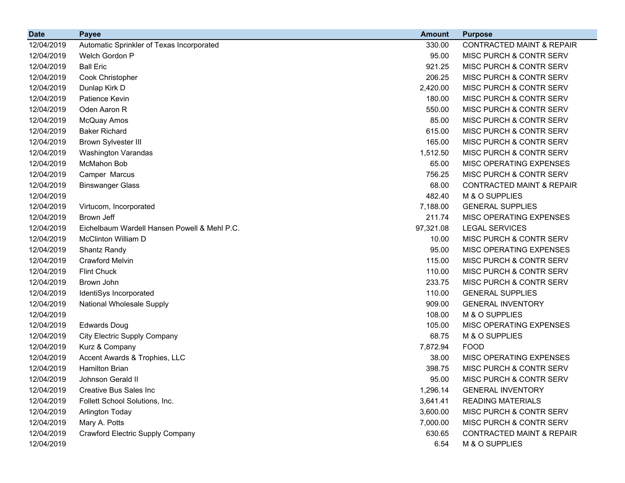| <b>Date</b> | <b>Payee</b>                                 | <b>Amount</b> | <b>Purpose</b>                       |
|-------------|----------------------------------------------|---------------|--------------------------------------|
| 12/04/2019  | Automatic Sprinkler of Texas Incorporated    | 330.00        | <b>CONTRACTED MAINT &amp; REPAIR</b> |
| 12/04/2019  | Welch Gordon P                               | 95.00         | MISC PURCH & CONTR SERV              |
| 12/04/2019  | <b>Ball Eric</b>                             | 921.25        | MISC PURCH & CONTR SERV              |
| 12/04/2019  | Cook Christopher                             | 206.25        | MISC PURCH & CONTR SERV              |
| 12/04/2019  | Dunlap Kirk D                                | 2,420.00      | MISC PURCH & CONTR SERV              |
| 12/04/2019  | Patience Kevin                               | 180.00        | MISC PURCH & CONTR SERV              |
| 12/04/2019  | Oden Aaron R                                 | 550.00        | MISC PURCH & CONTR SERV              |
| 12/04/2019  | McQuay Amos                                  | 85.00         | MISC PURCH & CONTR SERV              |
| 12/04/2019  | <b>Baker Richard</b>                         | 615.00        | MISC PURCH & CONTR SERV              |
| 12/04/2019  | <b>Brown Sylvester III</b>                   | 165.00        | MISC PURCH & CONTR SERV              |
| 12/04/2019  | <b>Washington Varandas</b>                   | 1,512.50      | MISC PURCH & CONTR SERV              |
| 12/04/2019  | McMahon Bob                                  | 65.00         | MISC OPERATING EXPENSES              |
| 12/04/2019  | Camper Marcus                                | 756.25        | MISC PURCH & CONTR SERV              |
| 12/04/2019  | <b>Binswanger Glass</b>                      | 68.00         | <b>CONTRACTED MAINT &amp; REPAIR</b> |
| 12/04/2019  |                                              | 482.40        | M & O SUPPLIES                       |
| 12/04/2019  | Virtucom, Incorporated                       | 7,188.00      | <b>GENERAL SUPPLIES</b>              |
| 12/04/2019  | Brown Jeff                                   | 211.74        | MISC OPERATING EXPENSES              |
| 12/04/2019  | Eichelbaum Wardell Hansen Powell & Mehl P.C. | 97,321.08     | <b>LEGAL SERVICES</b>                |
| 12/04/2019  | <b>McClinton William D</b>                   | 10.00         | MISC PURCH & CONTR SERV              |
| 12/04/2019  | Shantz Randy                                 | 95.00         | MISC OPERATING EXPENSES              |
| 12/04/2019  | <b>Crawford Melvin</b>                       | 115.00        | MISC PURCH & CONTR SERV              |
| 12/04/2019  | <b>Flint Chuck</b>                           | 110.00        | MISC PURCH & CONTR SERV              |
| 12/04/2019  | Brown John                                   | 233.75        | MISC PURCH & CONTR SERV              |
| 12/04/2019  | IdentiSys Incorporated                       | 110.00        | <b>GENERAL SUPPLIES</b>              |
| 12/04/2019  | National Wholesale Supply                    | 909.00        | <b>GENERAL INVENTORY</b>             |
| 12/04/2019  |                                              | 108.00        | M & O SUPPLIES                       |
| 12/04/2019  | <b>Edwards Doug</b>                          | 105.00        | MISC OPERATING EXPENSES              |
| 12/04/2019  | <b>City Electric Supply Company</b>          | 68.75         | M & O SUPPLIES                       |
| 12/04/2019  | Kurz & Company                               | 7,872.94      | <b>FOOD</b>                          |
| 12/04/2019  | Accent Awards & Trophies, LLC                | 38.00         | MISC OPERATING EXPENSES              |
| 12/04/2019  | <b>Hamilton Brian</b>                        | 398.75        | MISC PURCH & CONTR SERV              |
| 12/04/2019  | Johnson Gerald II                            | 95.00         | MISC PURCH & CONTR SERV              |
| 12/04/2019  | <b>Creative Bus Sales Inc</b>                | 1,296.14      | <b>GENERAL INVENTORY</b>             |
| 12/04/2019  | Follett School Solutions, Inc.               | 3,641.41      | <b>READING MATERIALS</b>             |
| 12/04/2019  | Arlington Today                              | 3,600.00      | MISC PURCH & CONTR SERV              |
| 12/04/2019  | Mary A. Potts                                | 7,000.00      | MISC PURCH & CONTR SERV              |
| 12/04/2019  | <b>Crawford Electric Supply Company</b>      | 630.65        | <b>CONTRACTED MAINT &amp; REPAIR</b> |
| 12/04/2019  |                                              | 6.54          | M & O SUPPLIES                       |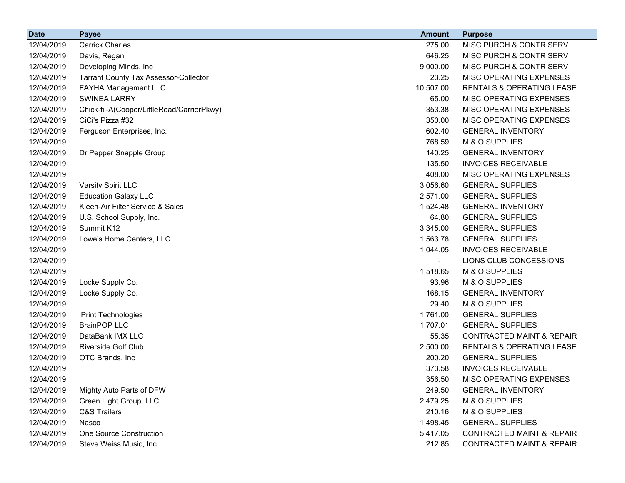| <b>Date</b> | <b>Payee</b>                                 | <b>Amount</b> | <b>Purpose</b>                       |
|-------------|----------------------------------------------|---------------|--------------------------------------|
| 12/04/2019  | <b>Carrick Charles</b>                       | 275.00        | MISC PURCH & CONTR SERV              |
| 12/04/2019  | Davis, Regan                                 | 646.25        | <b>MISC PURCH &amp; CONTR SERV</b>   |
| 12/04/2019  | Developing Minds, Inc                        | 9,000.00      | MISC PURCH & CONTR SERV              |
| 12/04/2019  | <b>Tarrant County Tax Assessor-Collector</b> | 23.25         | <b>MISC OPERATING EXPENSES</b>       |
| 12/04/2019  | <b>FAYHA Management LLC</b>                  | 10,507.00     | <b>RENTALS &amp; OPERATING LEASE</b> |
| 12/04/2019  | <b>SWINEA LARRY</b>                          | 65.00         | <b>MISC OPERATING EXPENSES</b>       |
| 12/04/2019  | Chick-fil-A(Cooper/LittleRoad/CarrierPkwy)   | 353.38        | MISC OPERATING EXPENSES              |
| 12/04/2019  | CiCi's Pizza #32                             | 350.00        | <b>MISC OPERATING EXPENSES</b>       |
| 12/04/2019  | Ferguson Enterprises, Inc.                   | 602.40        | <b>GENERAL INVENTORY</b>             |
| 12/04/2019  |                                              | 768.59        | M & O SUPPLIES                       |
| 12/04/2019  | Dr Pepper Snapple Group                      | 140.25        | <b>GENERAL INVENTORY</b>             |
| 12/04/2019  |                                              | 135.50        | <b>INVOICES RECEIVABLE</b>           |
| 12/04/2019  |                                              | 408.00        | <b>MISC OPERATING EXPENSES</b>       |
| 12/04/2019  | Varsity Spirit LLC                           | 3,056.60      | <b>GENERAL SUPPLIES</b>              |
| 12/04/2019  | <b>Education Galaxy LLC</b>                  | 2,571.00      | <b>GENERAL SUPPLIES</b>              |
| 12/04/2019  | Kleen-Air Filter Service & Sales             | 1,524.48      | <b>GENERAL INVENTORY</b>             |
| 12/04/2019  | U.S. School Supply, Inc.                     | 64.80         | <b>GENERAL SUPPLIES</b>              |
| 12/04/2019  | Summit K12                                   | 3,345.00      | <b>GENERAL SUPPLIES</b>              |
| 12/04/2019  | Lowe's Home Centers, LLC                     | 1,563.78      | <b>GENERAL SUPPLIES</b>              |
| 12/04/2019  |                                              | 1,044.05      | <b>INVOICES RECEIVABLE</b>           |
| 12/04/2019  |                                              |               | LIONS CLUB CONCESSIONS               |
| 12/04/2019  |                                              | 1,518.65      | M & O SUPPLIES                       |
| 12/04/2019  | Locke Supply Co.                             | 93.96         | M & O SUPPLIES                       |
| 12/04/2019  | Locke Supply Co.                             | 168.15        | <b>GENERAL INVENTORY</b>             |
| 12/04/2019  |                                              | 29.40         | M & O SUPPLIES                       |
| 12/04/2019  | iPrint Technologies                          | 1,761.00      | <b>GENERAL SUPPLIES</b>              |
| 12/04/2019  | <b>BrainPOP LLC</b>                          | 1,707.01      | <b>GENERAL SUPPLIES</b>              |
| 12/04/2019  | DataBank IMX LLC                             | 55.35         | <b>CONTRACTED MAINT &amp; REPAIR</b> |
| 12/04/2019  | <b>Riverside Golf Club</b>                   | 2,500.00      | RENTALS & OPERATING LEASE            |
| 12/04/2019  | OTC Brands, Inc                              | 200.20        | <b>GENERAL SUPPLIES</b>              |
| 12/04/2019  |                                              | 373.58        | <b>INVOICES RECEIVABLE</b>           |
| 12/04/2019  |                                              | 356.50        | MISC OPERATING EXPENSES              |
| 12/04/2019  | Mighty Auto Parts of DFW                     | 249.50        | <b>GENERAL INVENTORY</b>             |
| 12/04/2019  | Green Light Group, LLC                       | 2,479.25      | M & O SUPPLIES                       |
| 12/04/2019  | <b>C&amp;S Trailers</b>                      | 210.16        | M & O SUPPLIES                       |
| 12/04/2019  | Nasco                                        | 1,498.45      | <b>GENERAL SUPPLIES</b>              |
| 12/04/2019  | One Source Construction                      | 5,417.05      | CONTRACTED MAINT & REPAIR            |
| 12/04/2019  | Steve Weiss Music, Inc.                      | 212.85        | <b>CONTRACTED MAINT &amp; REPAIR</b> |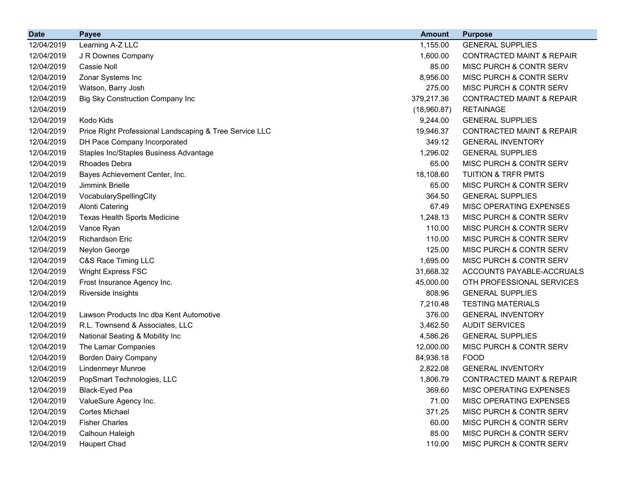| <b>Date</b> | <b>Payee</b>                                            | <b>Amount</b> | <b>Purpose</b>                       |
|-------------|---------------------------------------------------------|---------------|--------------------------------------|
| 12/04/2019  | Learning A-Z LLC                                        | 1,155.00      | <b>GENERAL SUPPLIES</b>              |
| 12/04/2019  | J R Downes Company                                      | 1,600.00      | <b>CONTRACTED MAINT &amp; REPAIR</b> |
| 12/04/2019  | Cassie Noll                                             | 85.00         | MISC PURCH & CONTR SERV              |
| 12/04/2019  | Zonar Systems Inc                                       | 8,956.00      | MISC PURCH & CONTR SERV              |
| 12/04/2019  | Watson, Barry Josh                                      | 275.00        | MISC PURCH & CONTR SERV              |
| 12/04/2019  | Big Sky Construction Company Inc                        | 379,217.36    | <b>CONTRACTED MAINT &amp; REPAIR</b> |
| 12/04/2019  |                                                         | (18,960.87)   | <b>RETAINAGE</b>                     |
| 12/04/2019  | Kodo Kids                                               | 9,244.00      | <b>GENERAL SUPPLIES</b>              |
| 12/04/2019  | Price Right Professional Landscaping & Tree Service LLC | 19,946.37     | <b>CONTRACTED MAINT &amp; REPAIR</b> |
| 12/04/2019  | DH Pace Company Incorporated                            | 349.12        | <b>GENERAL INVENTORY</b>             |
| 12/04/2019  | Staples Inc/Staples Business Advantage                  | 1,296.02      | <b>GENERAL SUPPLIES</b>              |
| 12/04/2019  | Rhoades Debra                                           | 65.00         | MISC PURCH & CONTR SERV              |
| 12/04/2019  | Bayes Achievement Center, Inc.                          | 18,108.60     | <b>TUITION &amp; TRFR PMTS</b>       |
| 12/04/2019  | Jimmink Brielle                                         | 65.00         | MISC PURCH & CONTR SERV              |
| 12/04/2019  | VocabularySpellingCity                                  | 364.50        | <b>GENERAL SUPPLIES</b>              |
| 12/04/2019  | <b>Alonti Catering</b>                                  | 67.49         | MISC OPERATING EXPENSES              |
| 12/04/2019  | Texas Health Sports Medicine                            | 1,248.13      | MISC PURCH & CONTR SERV              |
| 12/04/2019  | Vance Ryan                                              | 110.00        | MISC PURCH & CONTR SERV              |
| 12/04/2019  | <b>Richardson Eric</b>                                  | 110.00        | MISC PURCH & CONTR SERV              |
| 12/04/2019  | Neylon George                                           | 125.00        | MISC PURCH & CONTR SERV              |
| 12/04/2019  | C&S Race Timing LLC                                     | 1,695.00      | MISC PURCH & CONTR SERV              |
| 12/04/2019  | <b>Wright Express FSC</b>                               | 31,668.32     | ACCOUNTS PAYABLE-ACCRUALS            |
| 12/04/2019  | Frost Insurance Agency Inc.                             | 45,000.00     | OTH PROFESSIONAL SERVICES            |
| 12/04/2019  | Riverside Insights                                      | 808.96        | <b>GENERAL SUPPLIES</b>              |
| 12/04/2019  |                                                         | 7,210.48      | <b>TESTING MATERIALS</b>             |
| 12/04/2019  | Lawson Products Inc dba Kent Automotive                 | 376.00        | <b>GENERAL INVENTORY</b>             |
| 12/04/2019  | R.L. Townsend & Associates, LLC                         | 3,462.50      | <b>AUDIT SERVICES</b>                |
| 12/04/2019  | National Seating & Mobility Inc                         | 4,586.26      | <b>GENERAL SUPPLIES</b>              |
| 12/04/2019  | The Lamar Companies                                     | 12,000.00     | MISC PURCH & CONTR SERV              |
| 12/04/2019  | <b>Borden Dairy Company</b>                             | 84,936.18     | <b>FOOD</b>                          |
| 12/04/2019  | <b>Lindenmeyr Munroe</b>                                | 2,822.08      | <b>GENERAL INVENTORY</b>             |
| 12/04/2019  | PopSmart Technologies, LLC                              | 1,806.79      | <b>CONTRACTED MAINT &amp; REPAIR</b> |
| 12/04/2019  | Black-Eyed Pea                                          | 369.60        | MISC OPERATING EXPENSES              |
| 12/04/2019  | ValueSure Agency Inc.                                   | 71.00         | MISC OPERATING EXPENSES              |
| 12/04/2019  | <b>Cortes Michael</b>                                   | 371.25        | MISC PURCH & CONTR SERV              |
| 12/04/2019  | <b>Fisher Charles</b>                                   | 60.00         | MISC PURCH & CONTR SERV              |
| 12/04/2019  | Calhoun Haleigh                                         | 85.00         | MISC PURCH & CONTR SERV              |
| 12/04/2019  | <b>Haupert Chad</b>                                     | 110.00        | MISC PURCH & CONTR SERV              |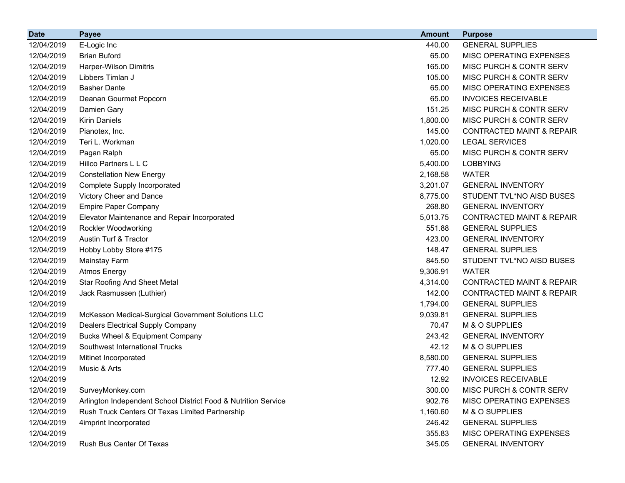| <b>Date</b> | <b>Payee</b>                                                   | <b>Amount</b> | <b>Purpose</b>                       |
|-------------|----------------------------------------------------------------|---------------|--------------------------------------|
| 12/04/2019  | E-Logic Inc                                                    | 440.00        | <b>GENERAL SUPPLIES</b>              |
| 12/04/2019  | <b>Brian Buford</b>                                            | 65.00         | MISC OPERATING EXPENSES              |
| 12/04/2019  | Harper-Wilson Dimitris                                         | 165.00        | MISC PURCH & CONTR SERV              |
| 12/04/2019  | Libbers Timlan J                                               | 105.00        | MISC PURCH & CONTR SERV              |
| 12/04/2019  | <b>Basher Dante</b>                                            | 65.00         | MISC OPERATING EXPENSES              |
| 12/04/2019  | Deanan Gourmet Popcorn                                         | 65.00         | <b>INVOICES RECEIVABLE</b>           |
| 12/04/2019  | Damien Gary                                                    | 151.25        | MISC PURCH & CONTR SERV              |
| 12/04/2019  | <b>Kirin Daniels</b>                                           | 1,800.00      | MISC PURCH & CONTR SERV              |
| 12/04/2019  | Pianotex, Inc.                                                 | 145.00        | <b>CONTRACTED MAINT &amp; REPAIR</b> |
| 12/04/2019  | Teri L. Workman                                                | 1,020.00      | <b>LEGAL SERVICES</b>                |
| 12/04/2019  | Pagan Ralph                                                    | 65.00         | MISC PURCH & CONTR SERV              |
| 12/04/2019  | Hillco Partners L L C                                          | 5,400.00      | <b>LOBBYING</b>                      |
| 12/04/2019  | <b>Constellation New Energy</b>                                | 2,168.58      | <b>WATER</b>                         |
| 12/04/2019  | Complete Supply Incorporated                                   | 3,201.07      | <b>GENERAL INVENTORY</b>             |
| 12/04/2019  | Victory Cheer and Dance                                        | 8,775.00      | STUDENT TVL*NO AISD BUSES            |
| 12/04/2019  | <b>Empire Paper Company</b>                                    | 268.80        | <b>GENERAL INVENTORY</b>             |
| 12/04/2019  | Elevator Maintenance and Repair Incorporated                   | 5,013.75      | <b>CONTRACTED MAINT &amp; REPAIR</b> |
| 12/04/2019  | Rockler Woodworking                                            | 551.88        | <b>GENERAL SUPPLIES</b>              |
| 12/04/2019  | Austin Turf & Tractor                                          | 423.00        | <b>GENERAL INVENTORY</b>             |
| 12/04/2019  | Hobby Lobby Store #175                                         | 148.47        | <b>GENERAL SUPPLIES</b>              |
| 12/04/2019  | Mainstay Farm                                                  | 845.50        | STUDENT TVL*NO AISD BUSES            |
| 12/04/2019  | <b>Atmos Energy</b>                                            | 9,306.91      | <b>WATER</b>                         |
| 12/04/2019  | <b>Star Roofing And Sheet Metal</b>                            | 4,314.00      | <b>CONTRACTED MAINT &amp; REPAIR</b> |
| 12/04/2019  | Jack Rasmussen (Luthier)                                       | 142.00        | <b>CONTRACTED MAINT &amp; REPAIR</b> |
| 12/04/2019  |                                                                | 1,794.00      | <b>GENERAL SUPPLIES</b>              |
| 12/04/2019  | McKesson Medical-Surgical Government Solutions LLC             | 9,039.81      | <b>GENERAL SUPPLIES</b>              |
| 12/04/2019  | <b>Dealers Electrical Supply Company</b>                       | 70.47         | M & O SUPPLIES                       |
| 12/04/2019  | <b>Bucks Wheel &amp; Equipment Company</b>                     | 243.42        | <b>GENERAL INVENTORY</b>             |
| 12/04/2019  | Southwest International Trucks                                 | 42.12         | M & O SUPPLIES                       |
| 12/04/2019  | Mitinet Incorporated                                           | 8,580.00      | <b>GENERAL SUPPLIES</b>              |
| 12/04/2019  | Music & Arts                                                   | 777.40        | <b>GENERAL SUPPLIES</b>              |
| 12/04/2019  |                                                                | 12.92         | <b>INVOICES RECEIVABLE</b>           |
| 12/04/2019  | SurveyMonkey.com                                               | 300.00        | MISC PURCH & CONTR SERV              |
| 12/04/2019  | Arlington Independent School District Food & Nutrition Service | 902.76        | MISC OPERATING EXPENSES              |
| 12/04/2019  | Rush Truck Centers Of Texas Limited Partnership                | 1,160.60      | M & O SUPPLIES                       |
| 12/04/2019  | 4imprint Incorporated                                          | 246.42        | <b>GENERAL SUPPLIES</b>              |
| 12/04/2019  |                                                                | 355.83        | MISC OPERATING EXPENSES              |
| 12/04/2019  | Rush Bus Center Of Texas                                       | 345.05        | <b>GENERAL INVENTORY</b>             |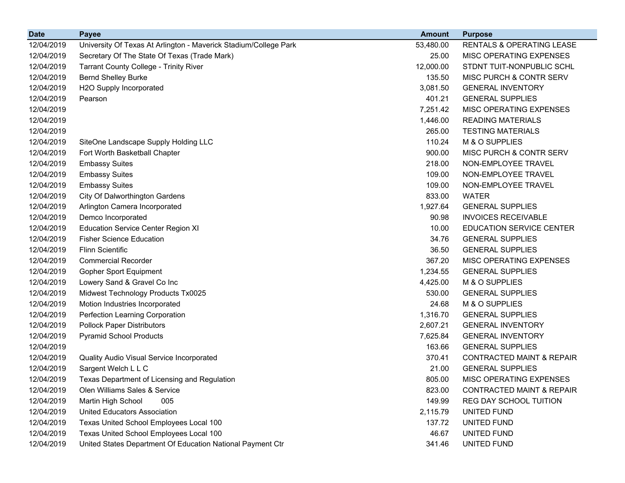| <b>Date</b> | <b>Payee</b>                                                     | <b>Amount</b> | <b>Purpose</b>                       |
|-------------|------------------------------------------------------------------|---------------|--------------------------------------|
| 12/04/2019  | University Of Texas At Arlington - Maverick Stadium/College Park | 53,480.00     | RENTALS & OPERATING LEASE            |
| 12/04/2019  | Secretary Of The State Of Texas (Trade Mark)                     | 25.00         | MISC OPERATING EXPENSES              |
| 12/04/2019  | <b>Tarrant County College - Trinity River</b>                    | 12,000.00     | STDNT TUIT-NONPUBLIC SCHL            |
| 12/04/2019  | <b>Bernd Shelley Burke</b>                                       | 135.50        | MISC PURCH & CONTR SERV              |
| 12/04/2019  | H2O Supply Incorporated                                          | 3,081.50      | <b>GENERAL INVENTORY</b>             |
| 12/04/2019  | Pearson                                                          | 401.21        | <b>GENERAL SUPPLIES</b>              |
| 12/04/2019  |                                                                  | 7,251.42      | MISC OPERATING EXPENSES              |
| 12/04/2019  |                                                                  | 1,446.00      | <b>READING MATERIALS</b>             |
| 12/04/2019  |                                                                  | 265.00        | <b>TESTING MATERIALS</b>             |
| 12/04/2019  | SiteOne Landscape Supply Holding LLC                             | 110.24        | M & O SUPPLIES                       |
| 12/04/2019  | Fort Worth Basketball Chapter                                    | 900.00        | MISC PURCH & CONTR SERV              |
| 12/04/2019  | <b>Embassy Suites</b>                                            | 218.00        | NON-EMPLOYEE TRAVEL                  |
| 12/04/2019  | <b>Embassy Suites</b>                                            | 109.00        | NON-EMPLOYEE TRAVEL                  |
| 12/04/2019  | <b>Embassy Suites</b>                                            | 109.00        | NON-EMPLOYEE TRAVEL                  |
| 12/04/2019  | <b>City Of Dalworthington Gardens</b>                            | 833.00        | <b>WATER</b>                         |
| 12/04/2019  | Arlington Camera Incorporated                                    | 1,927.64      | <b>GENERAL SUPPLIES</b>              |
| 12/04/2019  | Demco Incorporated                                               | 90.98         | <b>INVOICES RECEIVABLE</b>           |
| 12/04/2019  | <b>Education Service Center Region XI</b>                        | 10.00         | EDUCATION SERVICE CENTER             |
| 12/04/2019  | <b>Fisher Science Education</b>                                  | 34.76         | <b>GENERAL SUPPLIES</b>              |
| 12/04/2019  | <b>Flinn Scientific</b>                                          | 36.50         | <b>GENERAL SUPPLIES</b>              |
| 12/04/2019  | <b>Commercial Recorder</b>                                       | 367.20        | MISC OPERATING EXPENSES              |
| 12/04/2019  | <b>Gopher Sport Equipment</b>                                    | 1,234.55      | <b>GENERAL SUPPLIES</b>              |
| 12/04/2019  | Lowery Sand & Gravel Co Inc                                      | 4,425.00      | M & O SUPPLIES                       |
| 12/04/2019  | Midwest Technology Products Tx0025                               | 530.00        | <b>GENERAL SUPPLIES</b>              |
| 12/04/2019  | Motion Industries Incorporated                                   | 24.68         | M & O SUPPLIES                       |
| 12/04/2019  | Perfection Learning Corporation                                  | 1,316.70      | <b>GENERAL SUPPLIES</b>              |
| 12/04/2019  | <b>Pollock Paper Distributors</b>                                | 2,607.21      | <b>GENERAL INVENTORY</b>             |
| 12/04/2019  | <b>Pyramid School Products</b>                                   | 7,625.84      | <b>GENERAL INVENTORY</b>             |
| 12/04/2019  |                                                                  | 163.66        | <b>GENERAL SUPPLIES</b>              |
| 12/04/2019  | Quality Audio Visual Service Incorporated                        | 370.41        | <b>CONTRACTED MAINT &amp; REPAIR</b> |
| 12/04/2019  | Sargent Welch L L C                                              | 21.00         | <b>GENERAL SUPPLIES</b>              |
| 12/04/2019  | Texas Department of Licensing and Regulation                     | 805.00        | MISC OPERATING EXPENSES              |
| 12/04/2019  | Olen Williams Sales & Service                                    | 823.00        | <b>CONTRACTED MAINT &amp; REPAIR</b> |
| 12/04/2019  | Martin High School<br>005                                        | 149.99        | REG DAY SCHOOL TUITION               |
| 12/04/2019  | United Educators Association                                     | 2,115.79      | UNITED FUND                          |
| 12/04/2019  | Texas United School Employees Local 100                          | 137.72        | <b>UNITED FUND</b>                   |
| 12/04/2019  | Texas United School Employees Local 100                          | 46.67         | UNITED FUND                          |
| 12/04/2019  | United States Department Of Education National Payment Ctr       | 341.46        | UNITED FUND                          |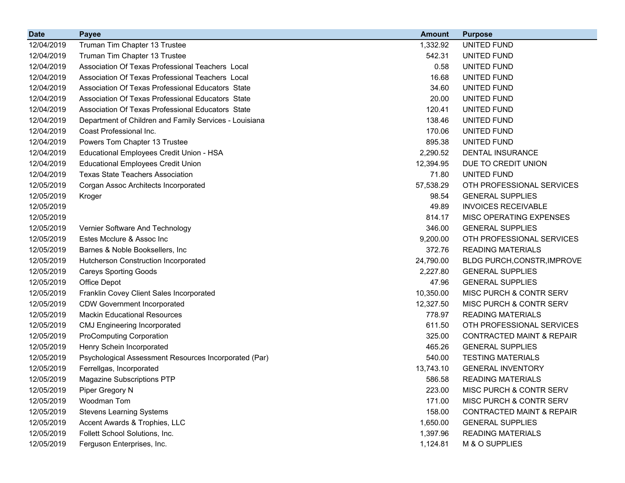| <b>Date</b> | <b>Payee</b>                                           | <b>Amount</b> | <b>Purpose</b>                       |
|-------------|--------------------------------------------------------|---------------|--------------------------------------|
| 12/04/2019  | Truman Tim Chapter 13 Trustee                          | 1,332.92      | UNITED FUND                          |
| 12/04/2019  | Truman Tim Chapter 13 Trustee                          | 542.31        | UNITED FUND                          |
| 12/04/2019  | Association Of Texas Professional Teachers Local       | 0.58          | UNITED FUND                          |
| 12/04/2019  | Association Of Texas Professional Teachers Local       | 16.68         | UNITED FUND                          |
| 12/04/2019  | Association Of Texas Professional Educators State      | 34.60         | <b>UNITED FUND</b>                   |
| 12/04/2019  | Association Of Texas Professional Educators State      | 20.00         | UNITED FUND                          |
| 12/04/2019  | Association Of Texas Professional Educators State      | 120.41        | UNITED FUND                          |
| 12/04/2019  | Department of Children and Family Services - Louisiana | 138.46        | UNITED FUND                          |
| 12/04/2019  | Coast Professional Inc.                                | 170.06        | UNITED FUND                          |
| 12/04/2019  | Powers Tom Chapter 13 Trustee                          | 895.38        | UNITED FUND                          |
| 12/04/2019  | Educational Employees Credit Union - HSA               | 2,290.52      | <b>DENTAL INSURANCE</b>              |
| 12/04/2019  | <b>Educational Employees Credit Union</b>              | 12,394.95     | DUE TO CREDIT UNION                  |
| 12/04/2019  | <b>Texas State Teachers Association</b>                | 71.80         | UNITED FUND                          |
| 12/05/2019  | Corgan Assoc Architects Incorporated                   | 57,538.29     | OTH PROFESSIONAL SERVICES            |
| 12/05/2019  | Kroger                                                 | 98.54         | <b>GENERAL SUPPLIES</b>              |
| 12/05/2019  |                                                        | 49.89         | <b>INVOICES RECEIVABLE</b>           |
| 12/05/2019  |                                                        | 814.17        | MISC OPERATING EXPENSES              |
| 12/05/2019  | Vernier Software And Technology                        | 346.00        | <b>GENERAL SUPPLIES</b>              |
| 12/05/2019  | Estes Mcclure & Assoc Inc                              | 9,200.00      | OTH PROFESSIONAL SERVICES            |
| 12/05/2019  | Barnes & Noble Booksellers, Inc.                       | 372.76        | <b>READING MATERIALS</b>             |
| 12/05/2019  | Hutcherson Construction Incorporated                   | 24,790.00     | <b>BLDG PURCH, CONSTR, IMPROVE</b>   |
| 12/05/2019  | <b>Careys Sporting Goods</b>                           | 2,227.80      | <b>GENERAL SUPPLIES</b>              |
| 12/05/2019  | Office Depot                                           | 47.96         | <b>GENERAL SUPPLIES</b>              |
| 12/05/2019  | Franklin Covey Client Sales Incorporated               | 10,350.00     | <b>MISC PURCH &amp; CONTR SERV</b>   |
| 12/05/2019  | <b>CDW Government Incorporated</b>                     | 12,327.50     | <b>MISC PURCH &amp; CONTR SERV</b>   |
| 12/05/2019  | <b>Mackin Educational Resources</b>                    | 778.97        | <b>READING MATERIALS</b>             |
| 12/05/2019  | <b>CMJ Engineering Incorporated</b>                    | 611.50        | OTH PROFESSIONAL SERVICES            |
| 12/05/2019  | <b>ProComputing Corporation</b>                        | 325.00        | <b>CONTRACTED MAINT &amp; REPAIR</b> |
| 12/05/2019  | Henry Schein Incorporated                              | 465.26        | <b>GENERAL SUPPLIES</b>              |
| 12/05/2019  | Psychological Assessment Resources Incorporated (Par)  | 540.00        | <b>TESTING MATERIALS</b>             |
| 12/05/2019  | Ferrellgas, Incorporated                               | 13,743.10     | <b>GENERAL INVENTORY</b>             |
| 12/05/2019  | <b>Magazine Subscriptions PTP</b>                      | 586.58        | <b>READING MATERIALS</b>             |
| 12/05/2019  | Piper Gregory N                                        | 223.00        | MISC PURCH & CONTR SERV              |
| 12/05/2019  | Woodman Tom                                            | 171.00        | MISC PURCH & CONTR SERV              |
| 12/05/2019  | <b>Stevens Learning Systems</b>                        | 158.00        | <b>CONTRACTED MAINT &amp; REPAIR</b> |
| 12/05/2019  | Accent Awards & Trophies, LLC                          | 1,650.00      | <b>GENERAL SUPPLIES</b>              |
| 12/05/2019  | Follett School Solutions, Inc.                         | 1,397.96      | <b>READING MATERIALS</b>             |
| 12/05/2019  | Ferguson Enterprises, Inc.                             | 1,124.81      | M & O SUPPLIES                       |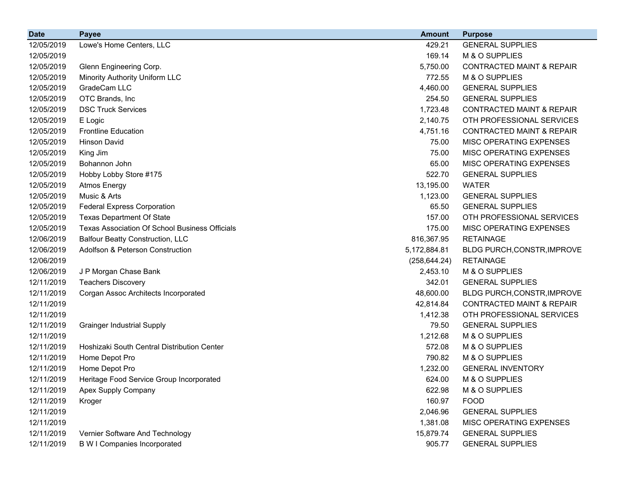| <b>Date</b> | <b>Payee</b>                                          | <b>Amount</b> | <b>Purpose</b>                       |
|-------------|-------------------------------------------------------|---------------|--------------------------------------|
| 12/05/2019  | Lowe's Home Centers, LLC                              | 429.21        | <b>GENERAL SUPPLIES</b>              |
| 12/05/2019  |                                                       | 169.14        | M & O SUPPLIES                       |
| 12/05/2019  | Glenn Engineering Corp.                               | 5,750.00      | <b>CONTRACTED MAINT &amp; REPAIR</b> |
| 12/05/2019  | Minority Authority Uniform LLC                        | 772.55        | M & O SUPPLIES                       |
| 12/05/2019  | GradeCam LLC                                          | 4,460.00      | <b>GENERAL SUPPLIES</b>              |
| 12/05/2019  | OTC Brands, Inc                                       | 254.50        | <b>GENERAL SUPPLIES</b>              |
| 12/05/2019  | <b>DSC Truck Services</b>                             | 1,723.48      | <b>CONTRACTED MAINT &amp; REPAIR</b> |
| 12/05/2019  | E Logic                                               | 2,140.75      | OTH PROFESSIONAL SERVICES            |
| 12/05/2019  | <b>Frontline Education</b>                            | 4,751.16      | <b>CONTRACTED MAINT &amp; REPAIR</b> |
| 12/05/2019  | <b>Hinson David</b>                                   | 75.00         | MISC OPERATING EXPENSES              |
| 12/05/2019  | King Jim                                              | 75.00         | MISC OPERATING EXPENSES              |
| 12/05/2019  | Bohannon John                                         | 65.00         | MISC OPERATING EXPENSES              |
| 12/05/2019  | Hobby Lobby Store #175                                | 522.70        | <b>GENERAL SUPPLIES</b>              |
| 12/05/2019  | <b>Atmos Energy</b>                                   | 13,195.00     | <b>WATER</b>                         |
| 12/05/2019  | Music & Arts                                          | 1,123.00      | <b>GENERAL SUPPLIES</b>              |
| 12/05/2019  | <b>Federal Express Corporation</b>                    | 65.50         | <b>GENERAL SUPPLIES</b>              |
| 12/05/2019  | <b>Texas Department Of State</b>                      | 157.00        | OTH PROFESSIONAL SERVICES            |
| 12/05/2019  | <b>Texas Association Of School Business Officials</b> | 175.00        | MISC OPERATING EXPENSES              |
| 12/06/2019  | <b>Balfour Beatty Construction, LLC</b>               | 816,367.95    | <b>RETAINAGE</b>                     |
| 12/06/2019  | Adolfson & Peterson Construction                      | 5,172,884.81  | BLDG PURCH, CONSTR, IMPROVE          |
| 12/06/2019  |                                                       | (258, 644.24) | <b>RETAINAGE</b>                     |
| 12/06/2019  | J P Morgan Chase Bank                                 | 2,453.10      | M & O SUPPLIES                       |
| 12/11/2019  | <b>Teachers Discovery</b>                             | 342.01        | <b>GENERAL SUPPLIES</b>              |
| 12/11/2019  | Corgan Assoc Architects Incorporated                  | 48,600.00     | BLDG PURCH, CONSTR, IMPROVE          |
| 12/11/2019  |                                                       | 42,814.84     | <b>CONTRACTED MAINT &amp; REPAIR</b> |
| 12/11/2019  |                                                       | 1,412.38      | OTH PROFESSIONAL SERVICES            |
| 12/11/2019  | <b>Grainger Industrial Supply</b>                     | 79.50         | <b>GENERAL SUPPLIES</b>              |
| 12/11/2019  |                                                       | 1,212.68      | M & O SUPPLIES                       |
| 12/11/2019  | Hoshizaki South Central Distribution Center           | 572.08        | M & O SUPPLIES                       |
| 12/11/2019  | Home Depot Pro                                        | 790.82        | M & O SUPPLIES                       |
| 12/11/2019  | Home Depot Pro                                        | 1,232.00      | <b>GENERAL INVENTORY</b>             |
| 12/11/2019  | Heritage Food Service Group Incorporated              | 624.00        | M & O SUPPLIES                       |
| 12/11/2019  | Apex Supply Company                                   | 622.98        | M & O SUPPLIES                       |
| 12/11/2019  | Kroger                                                | 160.97        | <b>FOOD</b>                          |
| 12/11/2019  |                                                       | 2,046.96      | <b>GENERAL SUPPLIES</b>              |
| 12/11/2019  |                                                       | 1,381.08      | MISC OPERATING EXPENSES              |
| 12/11/2019  | Vernier Software And Technology                       | 15,879.74     | <b>GENERAL SUPPLIES</b>              |
| 12/11/2019  | <b>B W I Companies Incorporated</b>                   | 905.77        | <b>GENERAL SUPPLIES</b>              |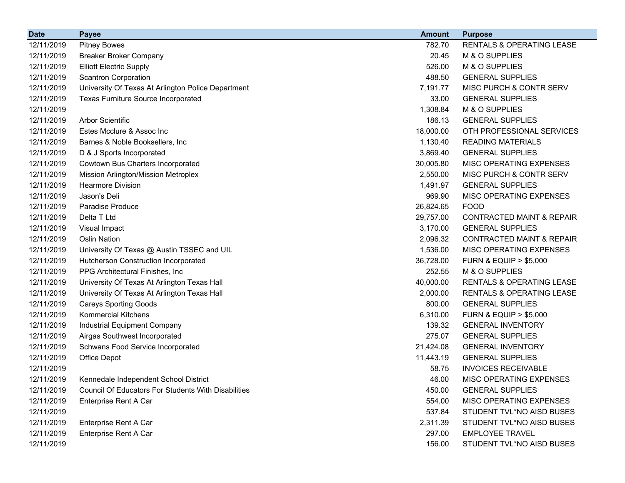| <b>Date</b> | <b>Payee</b>                                               | <b>Amount</b> | <b>Purpose</b>                       |
|-------------|------------------------------------------------------------|---------------|--------------------------------------|
| 12/11/2019  | <b>Pitney Bowes</b>                                        | 782.70        | <b>RENTALS &amp; OPERATING LEASE</b> |
| 12/11/2019  | <b>Breaker Broker Company</b>                              | 20.45         | M & O SUPPLIES                       |
| 12/11/2019  | <b>Elliott Electric Supply</b>                             | 526.00        | M & O SUPPLIES                       |
| 12/11/2019  | <b>Scantron Corporation</b>                                | 488.50        | <b>GENERAL SUPPLIES</b>              |
| 12/11/2019  | University Of Texas At Arlington Police Department         | 7,191.77      | MISC PURCH & CONTR SERV              |
| 12/11/2019  | <b>Texas Furniture Source Incorporated</b>                 | 33.00         | <b>GENERAL SUPPLIES</b>              |
| 12/11/2019  |                                                            | 1,308.84      | M & O SUPPLIES                       |
| 12/11/2019  | <b>Arbor Scientific</b>                                    | 186.13        | <b>GENERAL SUPPLIES</b>              |
| 12/11/2019  | Estes Mcclure & Assoc Inc                                  | 18,000.00     | OTH PROFESSIONAL SERVICES            |
| 12/11/2019  | Barnes & Noble Booksellers, Inc.                           | 1,130.40      | <b>READING MATERIALS</b>             |
| 12/11/2019  | D & J Sports Incorporated                                  | 3,869.40      | <b>GENERAL SUPPLIES</b>              |
| 12/11/2019  | Cowtown Bus Charters Incorporated                          | 30,005.80     | MISC OPERATING EXPENSES              |
| 12/11/2019  | Mission Arlington/Mission Metroplex                        | 2,550.00      | MISC PURCH & CONTR SERV              |
| 12/11/2019  | <b>Hearmore Division</b>                                   | 1,491.97      | <b>GENERAL SUPPLIES</b>              |
| 12/11/2019  | Jason's Deli                                               | 969.90        | MISC OPERATING EXPENSES              |
| 12/11/2019  | Paradise Produce                                           | 26,824.65     | <b>FOOD</b>                          |
| 12/11/2019  | Delta T Ltd                                                | 29,757.00     | <b>CONTRACTED MAINT &amp; REPAIR</b> |
| 12/11/2019  | Visual Impact                                              | 3,170.00      | <b>GENERAL SUPPLIES</b>              |
| 12/11/2019  | <b>Oslin Nation</b>                                        | 2,096.32      | <b>CONTRACTED MAINT &amp; REPAIR</b> |
| 12/11/2019  | University Of Texas @ Austin TSSEC and UIL                 | 1,536.00      | MISC OPERATING EXPENSES              |
| 12/11/2019  | Hutcherson Construction Incorporated                       | 36,728.00     | <b>FURN &amp; EQUIP &gt; \$5,000</b> |
| 12/11/2019  | PPG Architectural Finishes, Inc.                           | 252.55        | M & O SUPPLIES                       |
| 12/11/2019  | University Of Texas At Arlington Texas Hall                | 40,000.00     | <b>RENTALS &amp; OPERATING LEASE</b> |
| 12/11/2019  | University Of Texas At Arlington Texas Hall                | 2,000.00      | <b>RENTALS &amp; OPERATING LEASE</b> |
| 12/11/2019  | <b>Careys Sporting Goods</b>                               | 800.00        | <b>GENERAL SUPPLIES</b>              |
| 12/11/2019  | <b>Kommercial Kitchens</b>                                 | 6,310.00      | <b>FURN &amp; EQUIP &gt; \$5,000</b> |
| 12/11/2019  | Industrial Equipment Company                               | 139.32        | <b>GENERAL INVENTORY</b>             |
| 12/11/2019  | Airgas Southwest Incorporated                              | 275.07        | <b>GENERAL SUPPLIES</b>              |
| 12/11/2019  | Schwans Food Service Incorporated                          | 21,424.08     | <b>GENERAL INVENTORY</b>             |
| 12/11/2019  | Office Depot                                               | 11,443.19     | <b>GENERAL SUPPLIES</b>              |
| 12/11/2019  |                                                            | 58.75         | <b>INVOICES RECEIVABLE</b>           |
| 12/11/2019  | Kennedale Independent School District                      | 46.00         | <b>MISC OPERATING EXPENSES</b>       |
| 12/11/2019  | <b>Council Of Educators For Students With Disabilities</b> | 450.00        | <b>GENERAL SUPPLIES</b>              |
| 12/11/2019  | <b>Enterprise Rent A Car</b>                               | 554.00        | MISC OPERATING EXPENSES              |
| 12/11/2019  |                                                            | 537.84        | STUDENT TVL*NO AISD BUSES            |
| 12/11/2019  | <b>Enterprise Rent A Car</b>                               | 2,311.39      | STUDENT TVL*NO AISD BUSES            |
| 12/11/2019  | Enterprise Rent A Car                                      | 297.00        | <b>EMPLOYEE TRAVEL</b>               |
| 12/11/2019  |                                                            | 156.00        | STUDENT TVL*NO AISD BUSES            |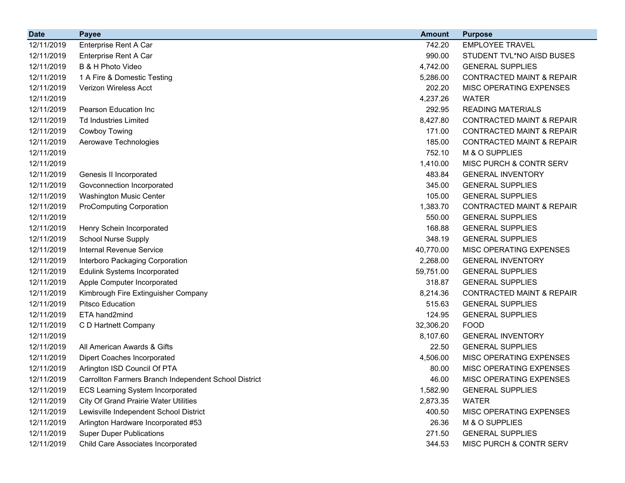| <b>Date</b> | <b>Payee</b>                                          | <b>Amount</b> | <b>Purpose</b>                       |
|-------------|-------------------------------------------------------|---------------|--------------------------------------|
| 12/11/2019  | Enterprise Rent A Car                                 | 742.20        | <b>EMPLOYEE TRAVEL</b>               |
| 12/11/2019  | Enterprise Rent A Car                                 | 990.00        | STUDENT TVL*NO AISD BUSES            |
| 12/11/2019  | B & H Photo Video                                     | 4,742.00      | <b>GENERAL SUPPLIES</b>              |
| 12/11/2019  | 1 A Fire & Domestic Testing                           | 5,286.00      | <b>CONTRACTED MAINT &amp; REPAIR</b> |
| 12/11/2019  | Verizon Wireless Acct                                 | 202.20        | MISC OPERATING EXPENSES              |
| 12/11/2019  |                                                       | 4,237.26      | <b>WATER</b>                         |
| 12/11/2019  | Pearson Education Inc                                 | 292.95        | <b>READING MATERIALS</b>             |
| 12/11/2019  | <b>Td Industries Limited</b>                          | 8,427.80      | <b>CONTRACTED MAINT &amp; REPAIR</b> |
| 12/11/2019  | Cowboy Towing                                         | 171.00        | <b>CONTRACTED MAINT &amp; REPAIR</b> |
| 12/11/2019  | Aerowave Technologies                                 | 185.00        | <b>CONTRACTED MAINT &amp; REPAIR</b> |
| 12/11/2019  |                                                       | 752.10        | M & O SUPPLIES                       |
| 12/11/2019  |                                                       | 1,410.00      | <b>MISC PURCH &amp; CONTR SERV</b>   |
| 12/11/2019  | Genesis II Incorporated                               | 483.84        | <b>GENERAL INVENTORY</b>             |
| 12/11/2019  | Govconnection Incorporated                            | 345.00        | <b>GENERAL SUPPLIES</b>              |
| 12/11/2019  | Washington Music Center                               | 105.00        | <b>GENERAL SUPPLIES</b>              |
| 12/11/2019  | <b>ProComputing Corporation</b>                       | 1,383.70      | <b>CONTRACTED MAINT &amp; REPAIR</b> |
| 12/11/2019  |                                                       | 550.00        | <b>GENERAL SUPPLIES</b>              |
| 12/11/2019  | Henry Schein Incorporated                             | 168.88        | <b>GENERAL SUPPLIES</b>              |
| 12/11/2019  | <b>School Nurse Supply</b>                            | 348.19        | <b>GENERAL SUPPLIES</b>              |
| 12/11/2019  | Internal Revenue Service                              | 40,770.00     | MISC OPERATING EXPENSES              |
| 12/11/2019  | Interboro Packaging Corporation                       | 2,268.00      | <b>GENERAL INVENTORY</b>             |
| 12/11/2019  | <b>Edulink Systems Incorporated</b>                   | 59,751.00     | <b>GENERAL SUPPLIES</b>              |
| 12/11/2019  | Apple Computer Incorporated                           | 318.87        | <b>GENERAL SUPPLIES</b>              |
| 12/11/2019  | Kimbrough Fire Extinguisher Company                   | 8,214.36      | <b>CONTRACTED MAINT &amp; REPAIR</b> |
| 12/11/2019  | <b>Pitsco Education</b>                               | 515.63        | <b>GENERAL SUPPLIES</b>              |
| 12/11/2019  | ETA hand2mind                                         | 124.95        | <b>GENERAL SUPPLIES</b>              |
| 12/11/2019  | C D Hartnett Company                                  | 32,306.20     | <b>FOOD</b>                          |
| 12/11/2019  |                                                       | 8,107.60      | <b>GENERAL INVENTORY</b>             |
| 12/11/2019  | All American Awards & Gifts                           | 22.50         | <b>GENERAL SUPPLIES</b>              |
| 12/11/2019  | <b>Dipert Coaches Incorporated</b>                    | 4,506.00      | MISC OPERATING EXPENSES              |
| 12/11/2019  | Arlington ISD Council Of PTA                          | 80.00         | MISC OPERATING EXPENSES              |
| 12/11/2019  | Carrollton Farmers Branch Independent School District | 46.00         | MISC OPERATING EXPENSES              |
| 12/11/2019  | <b>ECS Learning System Incorporated</b>               | 1,582.90      | <b>GENERAL SUPPLIES</b>              |
| 12/11/2019  | <b>City Of Grand Prairie Water Utilities</b>          | 2,873.35      | <b>WATER</b>                         |
| 12/11/2019  | Lewisville Independent School District                | 400.50        | MISC OPERATING EXPENSES              |
| 12/11/2019  | Arlington Hardware Incorporated #53                   | 26.36         | M & O SUPPLIES                       |
| 12/11/2019  | <b>Super Duper Publications</b>                       | 271.50        | <b>GENERAL SUPPLIES</b>              |
| 12/11/2019  | Child Care Associates Incorporated                    | 344.53        | MISC PURCH & CONTR SERV              |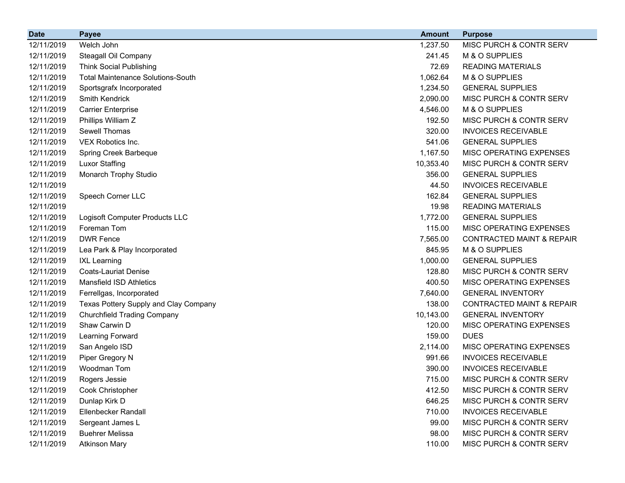| <b>Date</b> | <b>Payee</b>                             | <b>Amount</b> | <b>Purpose</b>                       |
|-------------|------------------------------------------|---------------|--------------------------------------|
| 12/11/2019  | Welch John                               | 1,237.50      | MISC PURCH & CONTR SERV              |
| 12/11/2019  | Steagall Oil Company                     | 241.45        | M & O SUPPLIES                       |
| 12/11/2019  | <b>Think Social Publishing</b>           | 72.69         | <b>READING MATERIALS</b>             |
| 12/11/2019  | <b>Total Maintenance Solutions-South</b> | 1,062.64      | M & O SUPPLIES                       |
| 12/11/2019  | Sportsgrafx Incorporated                 | 1,234.50      | <b>GENERAL SUPPLIES</b>              |
| 12/11/2019  | Smith Kendrick                           | 2,090.00      | MISC PURCH & CONTR SERV              |
| 12/11/2019  | <b>Carrier Enterprise</b>                | 4,546.00      | M & O SUPPLIES                       |
| 12/11/2019  | Phillips William Z                       | 192.50        | MISC PURCH & CONTR SERV              |
| 12/11/2019  | Sewell Thomas                            | 320.00        | <b>INVOICES RECEIVABLE</b>           |
| 12/11/2019  | VEX Robotics Inc.                        | 541.06        | <b>GENERAL SUPPLIES</b>              |
| 12/11/2019  | Spring Creek Barbeque                    | 1,167.50      | MISC OPERATING EXPENSES              |
| 12/11/2019  | <b>Luxor Staffing</b>                    | 10,353.40     | MISC PURCH & CONTR SERV              |
| 12/11/2019  | Monarch Trophy Studio                    | 356.00        | <b>GENERAL SUPPLIES</b>              |
| 12/11/2019  |                                          | 44.50         | <b>INVOICES RECEIVABLE</b>           |
| 12/11/2019  | Speech Corner LLC                        | 162.84        | <b>GENERAL SUPPLIES</b>              |
| 12/11/2019  |                                          | 19.98         | <b>READING MATERIALS</b>             |
| 12/11/2019  | Logisoft Computer Products LLC           | 1,772.00      | <b>GENERAL SUPPLIES</b>              |
| 12/11/2019  | Foreman Tom                              | 115.00        | MISC OPERATING EXPENSES              |
| 12/11/2019  | <b>DWR Fence</b>                         | 7,565.00      | <b>CONTRACTED MAINT &amp; REPAIR</b> |
| 12/11/2019  | Lea Park & Play Incorporated             | 845.95        | M & O SUPPLIES                       |
| 12/11/2019  | <b>IXL Learning</b>                      | 1,000.00      | <b>GENERAL SUPPLIES</b>              |
| 12/11/2019  | <b>Coats-Lauriat Denise</b>              | 128.80        | MISC PURCH & CONTR SERV              |
| 12/11/2019  | <b>Mansfield ISD Athletics</b>           | 400.50        | MISC OPERATING EXPENSES              |
| 12/11/2019  | Ferrellgas, Incorporated                 | 7,640.00      | <b>GENERAL INVENTORY</b>             |
| 12/11/2019  | Texas Pottery Supply and Clay Company    | 138.00        | <b>CONTRACTED MAINT &amp; REPAIR</b> |
| 12/11/2019  | <b>Churchfield Trading Company</b>       | 10,143.00     | <b>GENERAL INVENTORY</b>             |
| 12/11/2019  | Shaw Carwin D                            | 120.00        | MISC OPERATING EXPENSES              |
| 12/11/2019  | Learning Forward                         | 159.00        | <b>DUES</b>                          |
| 12/11/2019  | San Angelo ISD                           | 2,114.00      | MISC OPERATING EXPENSES              |
| 12/11/2019  | Piper Gregory N                          | 991.66        | <b>INVOICES RECEIVABLE</b>           |
| 12/11/2019  | Woodman Tom                              | 390.00        | <b>INVOICES RECEIVABLE</b>           |
| 12/11/2019  | Rogers Jessie                            | 715.00        | MISC PURCH & CONTR SERV              |
| 12/11/2019  | Cook Christopher                         | 412.50        | MISC PURCH & CONTR SERV              |
| 12/11/2019  | Dunlap Kirk D                            | 646.25        | MISC PURCH & CONTR SERV              |
| 12/11/2019  | Ellenbecker Randall                      | 710.00        | <b>INVOICES RECEIVABLE</b>           |
| 12/11/2019  | Sergeant James L                         | 99.00         | MISC PURCH & CONTR SERV              |
| 12/11/2019  | <b>Buehrer Melissa</b>                   | 98.00         | MISC PURCH & CONTR SERV              |
| 12/11/2019  | <b>Atkinson Mary</b>                     | 110.00        | MISC PURCH & CONTR SERV              |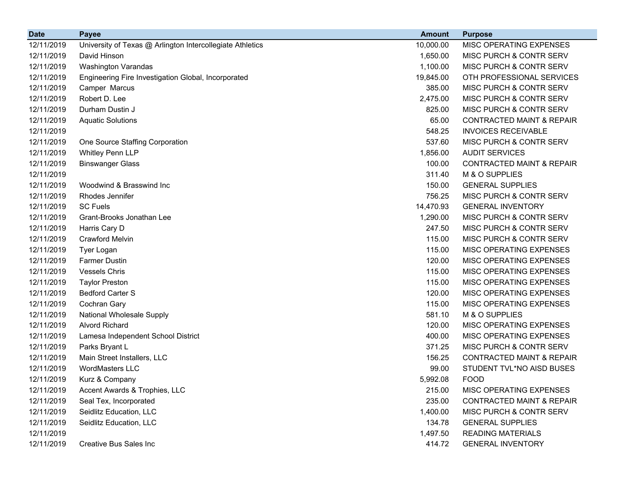| <b>Date</b> | <b>Payee</b>                                              | <b>Amount</b> | <b>Purpose</b>                       |
|-------------|-----------------------------------------------------------|---------------|--------------------------------------|
| 12/11/2019  | University of Texas @ Arlington Intercollegiate Athletics | 10,000.00     | MISC OPERATING EXPENSES              |
| 12/11/2019  | David Hinson                                              | 1,650.00      | MISC PURCH & CONTR SERV              |
| 12/11/2019  | Washington Varandas                                       | 1,100.00      | MISC PURCH & CONTR SERV              |
| 12/11/2019  | Engineering Fire Investigation Global, Incorporated       | 19,845.00     | OTH PROFESSIONAL SERVICES            |
| 12/11/2019  | Camper Marcus                                             | 385.00        | MISC PURCH & CONTR SERV              |
| 12/11/2019  | Robert D. Lee                                             | 2,475.00      | MISC PURCH & CONTR SERV              |
| 12/11/2019  | Durham Dustin J                                           | 825.00        | MISC PURCH & CONTR SERV              |
| 12/11/2019  | <b>Aquatic Solutions</b>                                  | 65.00         | <b>CONTRACTED MAINT &amp; REPAIR</b> |
| 12/11/2019  |                                                           | 548.25        | <b>INVOICES RECEIVABLE</b>           |
| 12/11/2019  | One Source Staffing Corporation                           | 537.60        | MISC PURCH & CONTR SERV              |
| 12/11/2019  | Whitley Penn LLP                                          | 1,856.00      | <b>AUDIT SERVICES</b>                |
| 12/11/2019  | <b>Binswanger Glass</b>                                   | 100.00        | <b>CONTRACTED MAINT &amp; REPAIR</b> |
| 12/11/2019  |                                                           | 311.40        | M & O SUPPLIES                       |
| 12/11/2019  | Woodwind & Brasswind Inc                                  | 150.00        | <b>GENERAL SUPPLIES</b>              |
| 12/11/2019  | Rhodes Jennifer                                           | 756.25        | MISC PURCH & CONTR SERV              |
| 12/11/2019  | <b>SC Fuels</b>                                           | 14,470.93     | <b>GENERAL INVENTORY</b>             |
| 12/11/2019  | Grant-Brooks Jonathan Lee                                 | 1,290.00      | MISC PURCH & CONTR SERV              |
| 12/11/2019  | Harris Cary D                                             | 247.50        | MISC PURCH & CONTR SERV              |
| 12/11/2019  | <b>Crawford Melvin</b>                                    | 115.00        | MISC PURCH & CONTR SERV              |
| 12/11/2019  | <b>Tyer Logan</b>                                         | 115.00        | MISC OPERATING EXPENSES              |
| 12/11/2019  | <b>Farmer Dustin</b>                                      | 120.00        | MISC OPERATING EXPENSES              |
| 12/11/2019  | <b>Vessels Chris</b>                                      | 115.00        | MISC OPERATING EXPENSES              |
| 12/11/2019  | <b>Taylor Preston</b>                                     | 115.00        | MISC OPERATING EXPENSES              |
| 12/11/2019  | <b>Bedford Carter S</b>                                   | 120.00        | MISC OPERATING EXPENSES              |
| 12/11/2019  | Cochran Gary                                              | 115.00        | MISC OPERATING EXPENSES              |
| 12/11/2019  | National Wholesale Supply                                 | 581.10        | M & O SUPPLIES                       |
| 12/11/2019  | <b>Alvord Richard</b>                                     | 120.00        | MISC OPERATING EXPENSES              |
| 12/11/2019  | Lamesa Independent School District                        | 400.00        | MISC OPERATING EXPENSES              |
| 12/11/2019  | Parks Bryant L                                            | 371.25        | MISC PURCH & CONTR SERV              |
| 12/11/2019  | Main Street Installers, LLC                               | 156.25        | <b>CONTRACTED MAINT &amp; REPAIR</b> |
| 12/11/2019  | WordMasters LLC                                           | 99.00         | STUDENT TVL*NO AISD BUSES            |
| 12/11/2019  | Kurz & Company                                            | 5,992.08      | <b>FOOD</b>                          |
| 12/11/2019  | Accent Awards & Trophies, LLC                             | 215.00        | MISC OPERATING EXPENSES              |
| 12/11/2019  | Seal Tex, Incorporated                                    | 235.00        | <b>CONTRACTED MAINT &amp; REPAIR</b> |
| 12/11/2019  | Seidlitz Education, LLC                                   | 1,400.00      | MISC PURCH & CONTR SERV              |
| 12/11/2019  | Seidlitz Education, LLC                                   | 134.78        | <b>GENERAL SUPPLIES</b>              |
| 12/11/2019  |                                                           | 1,497.50      | <b>READING MATERIALS</b>             |
| 12/11/2019  | <b>Creative Bus Sales Inc</b>                             | 414.72        | <b>GENERAL INVENTORY</b>             |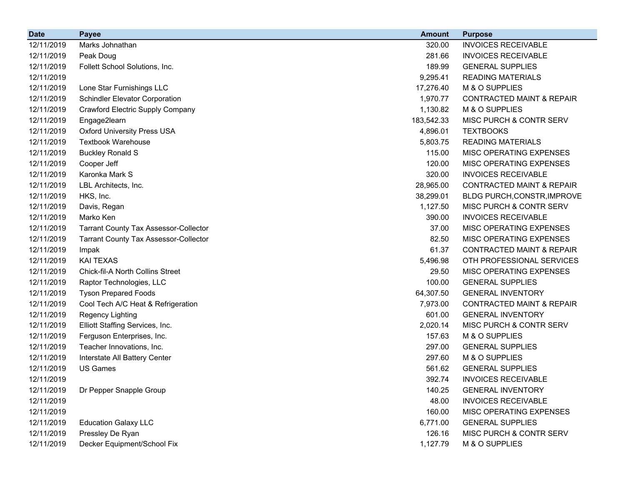| <b>Date</b> | <b>Payee</b>                                 | <b>Amount</b> | <b>Purpose</b>                       |
|-------------|----------------------------------------------|---------------|--------------------------------------|
| 12/11/2019  | Marks Johnathan                              | 320.00        | <b>INVOICES RECEIVABLE</b>           |
| 12/11/2019  | Peak Doug                                    | 281.66        | <b>INVOICES RECEIVABLE</b>           |
| 12/11/2019  | Follett School Solutions, Inc.               | 189.99        | <b>GENERAL SUPPLIES</b>              |
| 12/11/2019  |                                              | 9,295.41      | <b>READING MATERIALS</b>             |
| 12/11/2019  | Lone Star Furnishings LLC                    | 17,276.40     | M & O SUPPLIES                       |
| 12/11/2019  | <b>Schindler Elevator Corporation</b>        | 1,970.77      | <b>CONTRACTED MAINT &amp; REPAIR</b> |
| 12/11/2019  | Crawford Electric Supply Company             | 1,130.82      | M & O SUPPLIES                       |
| 12/11/2019  | Engage2learn                                 | 183,542.33    | MISC PURCH & CONTR SERV              |
| 12/11/2019  | <b>Oxford University Press USA</b>           | 4,896.01      | <b>TEXTBOOKS</b>                     |
| 12/11/2019  | <b>Textbook Warehouse</b>                    | 5,803.75      | <b>READING MATERIALS</b>             |
| 12/11/2019  | <b>Buckley Ronald S</b>                      | 115.00        | MISC OPERATING EXPENSES              |
| 12/11/2019  | Cooper Jeff                                  | 120.00        | MISC OPERATING EXPENSES              |
| 12/11/2019  | Karonka Mark S                               | 320.00        | <b>INVOICES RECEIVABLE</b>           |
| 12/11/2019  | LBL Architects, Inc.                         | 28,965.00     | <b>CONTRACTED MAINT &amp; REPAIR</b> |
| 12/11/2019  | HKS, Inc.                                    | 38,299.01     | BLDG PURCH, CONSTR, IMPROVE          |
| 12/11/2019  | Davis, Regan                                 | 1,127.50      | MISC PURCH & CONTR SERV              |
| 12/11/2019  | Marko Ken                                    | 390.00        | <b>INVOICES RECEIVABLE</b>           |
| 12/11/2019  | <b>Tarrant County Tax Assessor-Collector</b> | 37.00         | MISC OPERATING EXPENSES              |
| 12/11/2019  | <b>Tarrant County Tax Assessor-Collector</b> | 82.50         | MISC OPERATING EXPENSES              |
| 12/11/2019  | Impak                                        | 61.37         | <b>CONTRACTED MAINT &amp; REPAIR</b> |
| 12/11/2019  | <b>KAI TEXAS</b>                             | 5,496.98      | OTH PROFESSIONAL SERVICES            |
| 12/11/2019  | <b>Chick-fil-A North Collins Street</b>      | 29.50         | MISC OPERATING EXPENSES              |
| 12/11/2019  | Raptor Technologies, LLC                     | 100.00        | <b>GENERAL SUPPLIES</b>              |
| 12/11/2019  | <b>Tyson Prepared Foods</b>                  | 64,307.50     | <b>GENERAL INVENTORY</b>             |
| 12/11/2019  | Cool Tech A/C Heat & Refrigeration           | 7,973.00      | <b>CONTRACTED MAINT &amp; REPAIR</b> |
| 12/11/2019  | Regency Lighting                             | 601.00        | <b>GENERAL INVENTORY</b>             |
| 12/11/2019  | Elliott Staffing Services, Inc.              | 2,020.14      | MISC PURCH & CONTR SERV              |
| 12/11/2019  | Ferguson Enterprises, Inc.                   | 157.63        | M & O SUPPLIES                       |
| 12/11/2019  | Teacher Innovations, Inc.                    | 297.00        | <b>GENERAL SUPPLIES</b>              |
| 12/11/2019  | Interstate All Battery Center                | 297.60        | M & O SUPPLIES                       |
| 12/11/2019  | <b>US Games</b>                              | 561.62        | <b>GENERAL SUPPLIES</b>              |
| 12/11/2019  |                                              | 392.74        | <b>INVOICES RECEIVABLE</b>           |
| 12/11/2019  | Dr Pepper Snapple Group                      | 140.25        | <b>GENERAL INVENTORY</b>             |
| 12/11/2019  |                                              | 48.00         | <b>INVOICES RECEIVABLE</b>           |
| 12/11/2019  |                                              | 160.00        | MISC OPERATING EXPENSES              |
| 12/11/2019  | <b>Education Galaxy LLC</b>                  | 6,771.00      | <b>GENERAL SUPPLIES</b>              |
| 12/11/2019  | Pressley De Ryan                             | 126.16        | MISC PURCH & CONTR SERV              |
| 12/11/2019  | Decker Equipment/School Fix                  | 1,127.79      | M & O SUPPLIES                       |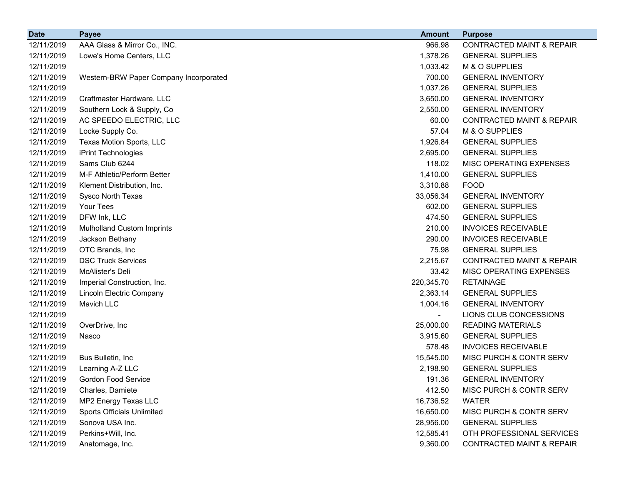| <b>Date</b> | Payee                                  | <b>Amount</b> | <b>Purpose</b>                       |
|-------------|----------------------------------------|---------------|--------------------------------------|
| 12/11/2019  | AAA Glass & Mirror Co., INC.           | 966.98        | <b>CONTRACTED MAINT &amp; REPAIR</b> |
| 12/11/2019  | Lowe's Home Centers, LLC               | 1,378.26      | <b>GENERAL SUPPLIES</b>              |
| 12/11/2019  |                                        | 1,033.42      | M & O SUPPLIES                       |
| 12/11/2019  | Western-BRW Paper Company Incorporated | 700.00        | <b>GENERAL INVENTORY</b>             |
| 12/11/2019  |                                        | 1,037.26      | <b>GENERAL SUPPLIES</b>              |
| 12/11/2019  | Craftmaster Hardware, LLC              | 3,650.00      | <b>GENERAL INVENTORY</b>             |
| 12/11/2019  | Southern Lock & Supply, Co             | 2,550.00      | <b>GENERAL INVENTORY</b>             |
| 12/11/2019  | AC SPEEDO ELECTRIC, LLC                | 60.00         | <b>CONTRACTED MAINT &amp; REPAIR</b> |
| 12/11/2019  | Locke Supply Co.                       | 57.04         | M & O SUPPLIES                       |
| 12/11/2019  | Texas Motion Sports, LLC               | 1,926.84      | <b>GENERAL SUPPLIES</b>              |
| 12/11/2019  | iPrint Technologies                    | 2,695.00      | <b>GENERAL SUPPLIES</b>              |
| 12/11/2019  | Sams Club 6244                         | 118.02        | MISC OPERATING EXPENSES              |
| 12/11/2019  | M-F Athletic/Perform Better            | 1,410.00      | <b>GENERAL SUPPLIES</b>              |
| 12/11/2019  | Klement Distribution, Inc.             | 3,310.88      | <b>FOOD</b>                          |
| 12/11/2019  | Sysco North Texas                      | 33,056.34     | <b>GENERAL INVENTORY</b>             |
| 12/11/2019  | Your Tees                              | 602.00        | <b>GENERAL SUPPLIES</b>              |
| 12/11/2019  | DFW Ink, LLC                           | 474.50        | <b>GENERAL SUPPLIES</b>              |
| 12/11/2019  | <b>Mulholland Custom Imprints</b>      | 210.00        | <b>INVOICES RECEIVABLE</b>           |
| 12/11/2019  | Jackson Bethany                        | 290.00        | <b>INVOICES RECEIVABLE</b>           |
| 12/11/2019  | OTC Brands, Inc.                       | 75.98         | <b>GENERAL SUPPLIES</b>              |
| 12/11/2019  | <b>DSC Truck Services</b>              | 2,215.67      | <b>CONTRACTED MAINT &amp; REPAIR</b> |
| 12/11/2019  | McAlister's Deli                       | 33.42         | MISC OPERATING EXPENSES              |
| 12/11/2019  | Imperial Construction, Inc.            | 220,345.70    | <b>RETAINAGE</b>                     |
| 12/11/2019  | Lincoln Electric Company               | 2,363.14      | <b>GENERAL SUPPLIES</b>              |
| 12/11/2019  | Mavich LLC                             | 1,004.16      | <b>GENERAL INVENTORY</b>             |
| 12/11/2019  |                                        |               | LIONS CLUB CONCESSIONS               |
| 12/11/2019  | OverDrive, Inc                         | 25,000.00     | <b>READING MATERIALS</b>             |
| 12/11/2019  | Nasco                                  | 3,915.60      | <b>GENERAL SUPPLIES</b>              |
| 12/11/2019  |                                        | 578.48        | <b>INVOICES RECEIVABLE</b>           |
| 12/11/2019  | Bus Bulletin, Inc.                     | 15,545.00     | MISC PURCH & CONTR SERV              |
| 12/11/2019  | Learning A-Z LLC                       | 2,198.90      | <b>GENERAL SUPPLIES</b>              |
| 12/11/2019  | <b>Gordon Food Service</b>             | 191.36        | <b>GENERAL INVENTORY</b>             |
| 12/11/2019  | Charles, Damiete                       | 412.50        | MISC PURCH & CONTR SERV              |
| 12/11/2019  | MP2 Energy Texas LLC                   | 16,736.52     | <b>WATER</b>                         |
| 12/11/2019  | Sports Officials Unlimited             | 16,650.00     | MISC PURCH & CONTR SERV              |
| 12/11/2019  | Sonova USA Inc.                        | 28,956.00     | <b>GENERAL SUPPLIES</b>              |
| 12/11/2019  | Perkins+Will, Inc.                     | 12,585.41     | OTH PROFESSIONAL SERVICES            |
| 12/11/2019  | Anatomage, Inc.                        | 9,360.00      | <b>CONTRACTED MAINT &amp; REPAIR</b> |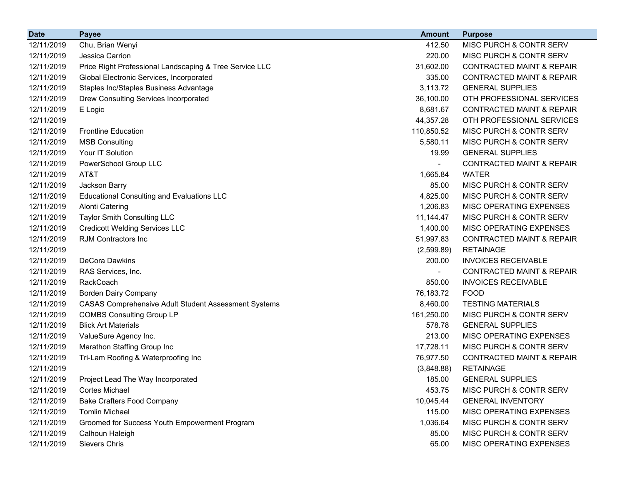| <b>Date</b> | <b>Payee</b>                                                | <b>Amount</b>  | <b>Purpose</b>                       |
|-------------|-------------------------------------------------------------|----------------|--------------------------------------|
| 12/11/2019  | Chu, Brian Wenyi                                            | 412.50         | MISC PURCH & CONTR SERV              |
| 12/11/2019  | Jessica Carrion                                             | 220.00         | MISC PURCH & CONTR SERV              |
| 12/11/2019  | Price Right Professional Landscaping & Tree Service LLC     | 31,602.00      | <b>CONTRACTED MAINT &amp; REPAIR</b> |
| 12/11/2019  | Global Electronic Services, Incorporated                    | 335.00         | <b>CONTRACTED MAINT &amp; REPAIR</b> |
| 12/11/2019  | Staples Inc/Staples Business Advantage                      | 3,113.72       | <b>GENERAL SUPPLIES</b>              |
| 12/11/2019  | Drew Consulting Services Incorporated                       | 36,100.00      | OTH PROFESSIONAL SERVICES            |
| 12/11/2019  | E Logic                                                     | 8,681.67       | <b>CONTRACTED MAINT &amp; REPAIR</b> |
| 12/11/2019  |                                                             | 44,357.28      | OTH PROFESSIONAL SERVICES            |
| 12/11/2019  | <b>Frontline Education</b>                                  | 110,850.52     | MISC PURCH & CONTR SERV              |
| 12/11/2019  | <b>MSB Consulting</b>                                       | 5,580.11       | MISC PURCH & CONTR SERV              |
| 12/11/2019  | Your IT Solution                                            | 19.99          | <b>GENERAL SUPPLIES</b>              |
| 12/11/2019  | PowerSchool Group LLC                                       | $\blacksquare$ | <b>CONTRACTED MAINT &amp; REPAIR</b> |
| 12/11/2019  | AT&T                                                        | 1,665.84       | <b>WATER</b>                         |
| 12/11/2019  | Jackson Barry                                               | 85.00          | MISC PURCH & CONTR SERV              |
| 12/11/2019  | <b>Educational Consulting and Evaluations LLC</b>           | 4,825.00       | MISC PURCH & CONTR SERV              |
| 12/11/2019  | <b>Alonti Catering</b>                                      | 1,206.83       | MISC OPERATING EXPENSES              |
| 12/11/2019  | <b>Taylor Smith Consulting LLC</b>                          | 11,144.47      | MISC PURCH & CONTR SERV              |
| 12/11/2019  | <b>Credicott Welding Services LLC</b>                       | 1,400.00       | MISC OPERATING EXPENSES              |
| 12/11/2019  | RJM Contractors Inc                                         | 51,997.83      | <b>CONTRACTED MAINT &amp; REPAIR</b> |
| 12/11/2019  |                                                             | (2,599.89)     | <b>RETAINAGE</b>                     |
| 12/11/2019  | DeCora Dawkins                                              | 200.00         | <b>INVOICES RECEIVABLE</b>           |
| 12/11/2019  | RAS Services, Inc.                                          |                | <b>CONTRACTED MAINT &amp; REPAIR</b> |
| 12/11/2019  | RackCoach                                                   | 850.00         | <b>INVOICES RECEIVABLE</b>           |
| 12/11/2019  | <b>Borden Dairy Company</b>                                 | 76,183.72      | <b>FOOD</b>                          |
| 12/11/2019  | <b>CASAS Comprehensive Adult Student Assessment Systems</b> | 8,460.00       | <b>TESTING MATERIALS</b>             |
| 12/11/2019  | <b>COMBS Consulting Group LP</b>                            | 161,250.00     | MISC PURCH & CONTR SERV              |
| 12/11/2019  | <b>Blick Art Materials</b>                                  | 578.78         | <b>GENERAL SUPPLIES</b>              |
| 12/11/2019  | ValueSure Agency Inc.                                       | 213.00         | MISC OPERATING EXPENSES              |
| 12/11/2019  | Marathon Staffing Group Inc                                 | 17,728.11      | MISC PURCH & CONTR SERV              |
| 12/11/2019  | Tri-Lam Roofing & Waterproofing Inc                         | 76,977.50      | <b>CONTRACTED MAINT &amp; REPAIR</b> |
| 12/11/2019  |                                                             | (3,848.88)     | <b>RETAINAGE</b>                     |
| 12/11/2019  | Project Lead The Way Incorporated                           | 185.00         | <b>GENERAL SUPPLIES</b>              |
| 12/11/2019  | Cortes Michael                                              | 453.75         | MISC PURCH & CONTR SERV              |
| 12/11/2019  | <b>Bake Crafters Food Company</b>                           | 10,045.44      | <b>GENERAL INVENTORY</b>             |
| 12/11/2019  | <b>Tomlin Michael</b>                                       | 115.00         | MISC OPERATING EXPENSES              |
| 12/11/2019  | Groomed for Success Youth Empowerment Program               | 1,036.64       | MISC PURCH & CONTR SERV              |
| 12/11/2019  | Calhoun Haleigh                                             | 85.00          | MISC PURCH & CONTR SERV              |
| 12/11/2019  | Sievers Chris                                               | 65.00          | MISC OPERATING EXPENSES              |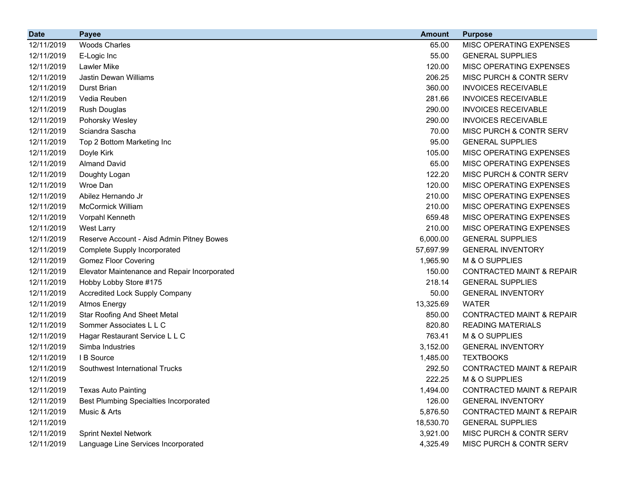| <b>Date</b> | <b>Payee</b>                                  | <b>Amount</b> | <b>Purpose</b>                       |
|-------------|-----------------------------------------------|---------------|--------------------------------------|
| 12/11/2019  | <b>Woods Charles</b>                          | 65.00         | MISC OPERATING EXPENSES              |
| 12/11/2019  | E-Logic Inc                                   | 55.00         | <b>GENERAL SUPPLIES</b>              |
| 12/11/2019  | Lawler Mike                                   | 120.00        | MISC OPERATING EXPENSES              |
| 12/11/2019  | <b>Jastin Dewan Williams</b>                  | 206.25        | MISC PURCH & CONTR SERV              |
| 12/11/2019  | Durst Brian                                   | 360.00        | <b>INVOICES RECEIVABLE</b>           |
| 12/11/2019  | Vedia Reuben                                  | 281.66        | <b>INVOICES RECEIVABLE</b>           |
| 12/11/2019  | <b>Rush Douglas</b>                           | 290.00        | <b>INVOICES RECEIVABLE</b>           |
| 12/11/2019  | Pohorsky Wesley                               | 290.00        | <b>INVOICES RECEIVABLE</b>           |
| 12/11/2019  | Sciandra Sascha                               | 70.00         | MISC PURCH & CONTR SERV              |
| 12/11/2019  | Top 2 Bottom Marketing Inc                    | 95.00         | <b>GENERAL SUPPLIES</b>              |
| 12/11/2019  | Doyle Kirk                                    | 105.00        | MISC OPERATING EXPENSES              |
| 12/11/2019  | <b>Almand David</b>                           | 65.00         | MISC OPERATING EXPENSES              |
| 12/11/2019  | Doughty Logan                                 | 122.20        | MISC PURCH & CONTR SERV              |
| 12/11/2019  | Wroe Dan                                      | 120.00        | MISC OPERATING EXPENSES              |
| 12/11/2019  | Abilez Hernando Jr                            | 210.00        | MISC OPERATING EXPENSES              |
| 12/11/2019  | <b>McCormick William</b>                      | 210.00        | <b>MISC OPERATING EXPENSES</b>       |
| 12/11/2019  | Vorpahl Kenneth                               | 659.48        | MISC OPERATING EXPENSES              |
| 12/11/2019  | West Larry                                    | 210.00        | MISC OPERATING EXPENSES              |
| 12/11/2019  | Reserve Account - Aisd Admin Pitney Bowes     | 6,000.00      | <b>GENERAL SUPPLIES</b>              |
| 12/11/2019  | Complete Supply Incorporated                  | 57,697.99     | <b>GENERAL INVENTORY</b>             |
| 12/11/2019  | <b>Gomez Floor Covering</b>                   | 1,965.90      | M & O SUPPLIES                       |
| 12/11/2019  | Elevator Maintenance and Repair Incorporated  | 150.00        | <b>CONTRACTED MAINT &amp; REPAIR</b> |
| 12/11/2019  | Hobby Lobby Store #175                        | 218.14        | <b>GENERAL SUPPLIES</b>              |
| 12/11/2019  | <b>Accredited Lock Supply Company</b>         | 50.00         | <b>GENERAL INVENTORY</b>             |
| 12/11/2019  | <b>Atmos Energy</b>                           | 13,325.69     | <b>WATER</b>                         |
| 12/11/2019  | <b>Star Roofing And Sheet Metal</b>           | 850.00        | <b>CONTRACTED MAINT &amp; REPAIR</b> |
| 12/11/2019  | Sommer Associates L L C                       | 820.80        | <b>READING MATERIALS</b>             |
| 12/11/2019  | Hagar Restaurant Service L L C                | 763.41        | M & O SUPPLIES                       |
| 12/11/2019  | Simba Industries                              | 3,152.00      | <b>GENERAL INVENTORY</b>             |
| 12/11/2019  | I B Source                                    | 1,485.00      | <b>TEXTBOOKS</b>                     |
| 12/11/2019  | Southwest International Trucks                | 292.50        | <b>CONTRACTED MAINT &amp; REPAIR</b> |
| 12/11/2019  |                                               | 222.25        | M & O SUPPLIES                       |
| 12/11/2019  | <b>Texas Auto Painting</b>                    | 1,494.00      | <b>CONTRACTED MAINT &amp; REPAIR</b> |
| 12/11/2019  | <b>Best Plumbing Specialties Incorporated</b> | 126.00        | <b>GENERAL INVENTORY</b>             |
| 12/11/2019  | Music & Arts                                  | 5,876.50      | <b>CONTRACTED MAINT &amp; REPAIR</b> |
| 12/11/2019  |                                               | 18,530.70     | <b>GENERAL SUPPLIES</b>              |
| 12/11/2019  | <b>Sprint Nextel Network</b>                  | 3,921.00      | MISC PURCH & CONTR SERV              |
| 12/11/2019  | Language Line Services Incorporated           | 4,325.49      | MISC PURCH & CONTR SERV              |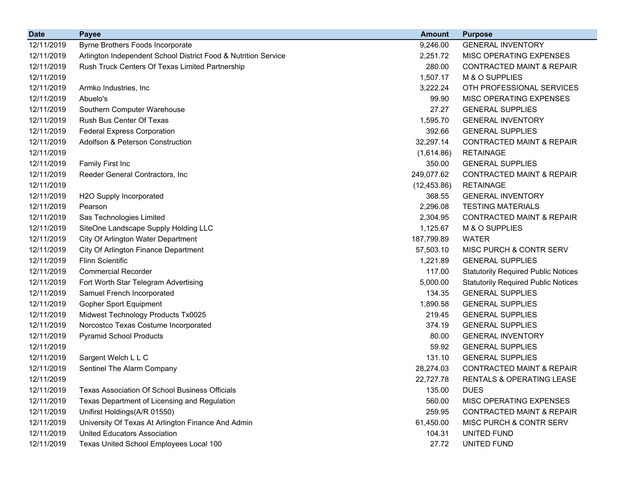| <b>Date</b> | <b>Payee</b>                                                   | <b>Amount</b> | <b>Purpose</b>                             |
|-------------|----------------------------------------------------------------|---------------|--------------------------------------------|
| 12/11/2019  | Byrne Brothers Foods Incorporate                               | 9,246.00      | <b>GENERAL INVENTORY</b>                   |
| 12/11/2019  | Arlington Independent School District Food & Nutrition Service | 2,251.72      | MISC OPERATING EXPENSES                    |
| 12/11/2019  | Rush Truck Centers Of Texas Limited Partnership                | 280.00        | <b>CONTRACTED MAINT &amp; REPAIR</b>       |
| 12/11/2019  |                                                                | 1,507.17      | M & O SUPPLIES                             |
| 12/11/2019  | Armko Industries, Inc.                                         | 3,222.24      | OTH PROFESSIONAL SERVICES                  |
| 12/11/2019  | Abuelo's                                                       | 99.90         | MISC OPERATING EXPENSES                    |
| 12/11/2019  | Southern Computer Warehouse                                    | 27.27         | <b>GENERAL SUPPLIES</b>                    |
| 12/11/2019  | Rush Bus Center Of Texas                                       | 1,595.70      | <b>GENERAL INVENTORY</b>                   |
| 12/11/2019  | <b>Federal Express Corporation</b>                             | 392.66        | <b>GENERAL SUPPLIES</b>                    |
| 12/11/2019  | <b>Adolfson &amp; Peterson Construction</b>                    | 32,297.14     | <b>CONTRACTED MAINT &amp; REPAIR</b>       |
| 12/11/2019  |                                                                | (1,614.86)    | <b>RETAINAGE</b>                           |
| 12/11/2019  | Family First Inc                                               | 350.00        | <b>GENERAL SUPPLIES</b>                    |
| 12/11/2019  | Reeder General Contractors, Inc                                | 249,077.62    | <b>CONTRACTED MAINT &amp; REPAIR</b>       |
| 12/11/2019  |                                                                | (12, 453.86)  | <b>RETAINAGE</b>                           |
| 12/11/2019  | H2O Supply Incorporated                                        | 368.55        | <b>GENERAL INVENTORY</b>                   |
| 12/11/2019  | Pearson                                                        | 2,296.08      | <b>TESTING MATERIALS</b>                   |
| 12/11/2019  | Sas Technologies Limited                                       | 2,304.95      | <b>CONTRACTED MAINT &amp; REPAIR</b>       |
| 12/11/2019  | SiteOne Landscape Supply Holding LLC                           | 1,125.67      | M & O SUPPLIES                             |
| 12/11/2019  | City Of Arlington Water Department                             | 187,799.89    | <b>WATER</b>                               |
| 12/11/2019  | City Of Arlington Finance Department                           | 57,503.10     | MISC PURCH & CONTR SERV                    |
| 12/11/2019  | <b>Flinn Scientific</b>                                        | 1,221.89      | <b>GENERAL SUPPLIES</b>                    |
| 12/11/2019  | <b>Commercial Recorder</b>                                     | 117.00        | <b>Statutorily Required Public Notices</b> |
| 12/11/2019  | Fort Worth Star Telegram Advertising                           | 5,000.00      | <b>Statutorily Required Public Notices</b> |
| 12/11/2019  | Samuel French Incorporated                                     | 134.35        | <b>GENERAL SUPPLIES</b>                    |
| 12/11/2019  | <b>Gopher Sport Equipment</b>                                  | 1,890.58      | <b>GENERAL SUPPLIES</b>                    |
| 12/11/2019  | Midwest Technology Products Tx0025                             | 219.45        | <b>GENERAL SUPPLIES</b>                    |
| 12/11/2019  | Norcostco Texas Costume Incorporated                           | 374.19        | <b>GENERAL SUPPLIES</b>                    |
| 12/11/2019  | <b>Pyramid School Products</b>                                 | 80.00         | <b>GENERAL INVENTORY</b>                   |
| 12/11/2019  |                                                                | 59.92         | <b>GENERAL SUPPLIES</b>                    |
| 12/11/2019  | Sargent Welch L L C                                            | 131.10        | <b>GENERAL SUPPLIES</b>                    |
| 12/11/2019  | Sentinel The Alarm Company                                     | 28,274.03     | <b>CONTRACTED MAINT &amp; REPAIR</b>       |
| 12/11/2019  |                                                                | 22,727.78     | RENTALS & OPERATING LEASE                  |
| 12/11/2019  | <b>Texas Association Of School Business Officials</b>          | 135.00        | <b>DUES</b>                                |
| 12/11/2019  | Texas Department of Licensing and Regulation                   | 560.00        | MISC OPERATING EXPENSES                    |
| 12/11/2019  | Unifirst Holdings(A/R 01550)                                   | 259.95        | <b>CONTRACTED MAINT &amp; REPAIR</b>       |
| 12/11/2019  | University Of Texas At Arlington Finance And Admin             | 61,450.00     | MISC PURCH & CONTR SERV                    |
| 12/11/2019  | <b>United Educators Association</b>                            | 104.31        | UNITED FUND                                |
| 12/11/2019  | Texas United School Employees Local 100                        | 27.72         | UNITED FUND                                |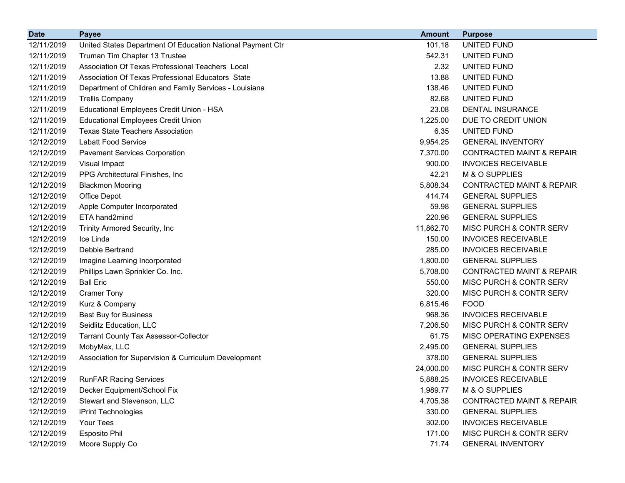| <b>Date</b> | <b>Payee</b>                                               | <b>Amount</b> | <b>Purpose</b>                       |
|-------------|------------------------------------------------------------|---------------|--------------------------------------|
| 12/11/2019  | United States Department Of Education National Payment Ctr | 101.18        | UNITED FUND                          |
| 12/11/2019  | Truman Tim Chapter 13 Trustee                              | 542.31        | UNITED FUND                          |
| 12/11/2019  | Association Of Texas Professional Teachers Local           | 2.32          | UNITED FUND                          |
| 12/11/2019  | Association Of Texas Professional Educators State          | 13.88         | <b>UNITED FUND</b>                   |
| 12/11/2019  | Department of Children and Family Services - Louisiana     | 138.46        | UNITED FUND                          |
| 12/11/2019  | <b>Trellis Company</b>                                     | 82.68         | UNITED FUND                          |
| 12/11/2019  | Educational Employees Credit Union - HSA                   | 23.08         | DENTAL INSURANCE                     |
| 12/11/2019  | <b>Educational Employees Credit Union</b>                  | 1,225.00      | DUE TO CREDIT UNION                  |
| 12/11/2019  | <b>Texas State Teachers Association</b>                    | 6.35          | <b>UNITED FUND</b>                   |
| 12/12/2019  | <b>Labatt Food Service</b>                                 | 9,954.25      | <b>GENERAL INVENTORY</b>             |
| 12/12/2019  | <b>Pavement Services Corporation</b>                       | 7,370.00      | <b>CONTRACTED MAINT &amp; REPAIR</b> |
| 12/12/2019  | Visual Impact                                              | 900.00        | <b>INVOICES RECEIVABLE</b>           |
| 12/12/2019  | PPG Architectural Finishes, Inc.                           | 42.21         | M & O SUPPLIES                       |
| 12/12/2019  | <b>Blackmon Mooring</b>                                    | 5,808.34      | <b>CONTRACTED MAINT &amp; REPAIR</b> |
| 12/12/2019  | Office Depot                                               | 414.74        | <b>GENERAL SUPPLIES</b>              |
| 12/12/2019  | Apple Computer Incorporated                                | 59.98         | <b>GENERAL SUPPLIES</b>              |
| 12/12/2019  | ETA hand2mind                                              | 220.96        | <b>GENERAL SUPPLIES</b>              |
| 12/12/2019  | Trinity Armored Security, Inc                              | 11,862.70     | MISC PURCH & CONTR SERV              |
| 12/12/2019  | Ice Linda                                                  | 150.00        | <b>INVOICES RECEIVABLE</b>           |
| 12/12/2019  | Debbie Bertrand                                            | 285.00        | <b>INVOICES RECEIVABLE</b>           |
| 12/12/2019  | Imagine Learning Incorporated                              | 1,800.00      | <b>GENERAL SUPPLIES</b>              |
| 12/12/2019  | Phillips Lawn Sprinkler Co. Inc.                           | 5,708.00      | <b>CONTRACTED MAINT &amp; REPAIR</b> |
| 12/12/2019  | <b>Ball Eric</b>                                           | 550.00        | MISC PURCH & CONTR SERV              |
| 12/12/2019  | <b>Cramer Tony</b>                                         | 320.00        | MISC PURCH & CONTR SERV              |
| 12/12/2019  | Kurz & Company                                             | 6,815.46      | <b>FOOD</b>                          |
| 12/12/2019  | <b>Best Buy for Business</b>                               | 968.36        | <b>INVOICES RECEIVABLE</b>           |
| 12/12/2019  | Seidlitz Education, LLC                                    | 7,206.50      | MISC PURCH & CONTR SERV              |
| 12/12/2019  | <b>Tarrant County Tax Assessor-Collector</b>               | 61.75         | MISC OPERATING EXPENSES              |
| 12/12/2019  | MobyMax, LLC                                               | 2,495.00      | <b>GENERAL SUPPLIES</b>              |
| 12/12/2019  | Association for Supervision & Curriculum Development       | 378.00        | <b>GENERAL SUPPLIES</b>              |
| 12/12/2019  |                                                            | 24,000.00     | MISC PURCH & CONTR SERV              |
| 12/12/2019  | <b>RunFAR Racing Services</b>                              | 5,888.25      | <b>INVOICES RECEIVABLE</b>           |
| 12/12/2019  | Decker Equipment/School Fix                                | 1,989.77      | M & O SUPPLIES                       |
| 12/12/2019  | Stewart and Stevenson, LLC                                 | 4,705.38      | <b>CONTRACTED MAINT &amp; REPAIR</b> |
| 12/12/2019  | iPrint Technologies                                        | 330.00        | <b>GENERAL SUPPLIES</b>              |
| 12/12/2019  | Your Tees                                                  | 302.00        | <b>INVOICES RECEIVABLE</b>           |
| 12/12/2019  | Esposito Phil                                              | 171.00        | MISC PURCH & CONTR SERV              |
| 12/12/2019  | Moore Supply Co                                            | 71.74         | <b>GENERAL INVENTORY</b>             |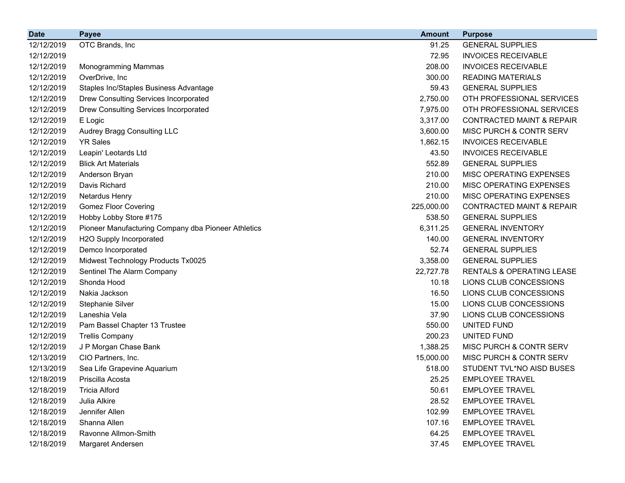| <b>Date</b> | <b>Payee</b>                                        | <b>Amount</b> | <b>Purpose</b>                       |
|-------------|-----------------------------------------------------|---------------|--------------------------------------|
| 12/12/2019  | OTC Brands, Inc                                     | 91.25         | <b>GENERAL SUPPLIES</b>              |
| 12/12/2019  |                                                     | 72.95         | <b>INVOICES RECEIVABLE</b>           |
| 12/12/2019  | Monogramming Mammas                                 | 208.00        | <b>INVOICES RECEIVABLE</b>           |
| 12/12/2019  | OverDrive, Inc                                      | 300.00        | <b>READING MATERIALS</b>             |
| 12/12/2019  | Staples Inc/Staples Business Advantage              | 59.43         | <b>GENERAL SUPPLIES</b>              |
| 12/12/2019  | Drew Consulting Services Incorporated               | 2,750.00      | OTH PROFESSIONAL SERVICES            |
| 12/12/2019  | Drew Consulting Services Incorporated               | 7,975.00      | OTH PROFESSIONAL SERVICES            |
| 12/12/2019  | E Logic                                             | 3,317.00      | <b>CONTRACTED MAINT &amp; REPAIR</b> |
| 12/12/2019  | Audrey Bragg Consulting LLC                         | 3,600.00      | MISC PURCH & CONTR SERV              |
| 12/12/2019  | <b>YR Sales</b>                                     | 1,862.15      | <b>INVOICES RECEIVABLE</b>           |
| 12/12/2019  | Leapin' Leotards Ltd                                | 43.50         | <b>INVOICES RECEIVABLE</b>           |
| 12/12/2019  | <b>Blick Art Materials</b>                          | 552.89        | <b>GENERAL SUPPLIES</b>              |
| 12/12/2019  | Anderson Bryan                                      | 210.00        | MISC OPERATING EXPENSES              |
| 12/12/2019  | Davis Richard                                       | 210.00        | MISC OPERATING EXPENSES              |
| 12/12/2019  | <b>Netardus Henry</b>                               | 210.00        | MISC OPERATING EXPENSES              |
| 12/12/2019  | <b>Gomez Floor Covering</b>                         | 225,000.00    | <b>CONTRACTED MAINT &amp; REPAIR</b> |
| 12/12/2019  | Hobby Lobby Store #175                              | 538.50        | <b>GENERAL SUPPLIES</b>              |
| 12/12/2019  | Pioneer Manufacturing Company dba Pioneer Athletics | 6,311.25      | <b>GENERAL INVENTORY</b>             |
| 12/12/2019  | H2O Supply Incorporated                             | 140.00        | <b>GENERAL INVENTORY</b>             |
| 12/12/2019  | Demco Incorporated                                  | 52.74         | <b>GENERAL SUPPLIES</b>              |
| 12/12/2019  | Midwest Technology Products Tx0025                  | 3,358.00      | <b>GENERAL SUPPLIES</b>              |
| 12/12/2019  | Sentinel The Alarm Company                          | 22,727.78     | <b>RENTALS &amp; OPERATING LEASE</b> |
| 12/12/2019  | Shonda Hood                                         | 10.18         | LIONS CLUB CONCESSIONS               |
| 12/12/2019  | Nakia Jackson                                       | 16.50         | LIONS CLUB CONCESSIONS               |
| 12/12/2019  | Stephanie Silver                                    | 15.00         | LIONS CLUB CONCESSIONS               |
| 12/12/2019  | Laneshia Vela                                       | 37.90         | LIONS CLUB CONCESSIONS               |
| 12/12/2019  | Pam Bassel Chapter 13 Trustee                       | 550.00        | UNITED FUND                          |
| 12/12/2019  | <b>Trellis Company</b>                              | 200.23        | UNITED FUND                          |
| 12/12/2019  | J P Morgan Chase Bank                               | 1,388.25      | MISC PURCH & CONTR SERV              |
| 12/13/2019  | CIO Partners, Inc.                                  | 15,000.00     | MISC PURCH & CONTR SERV              |
| 12/13/2019  | Sea Life Grapevine Aquarium                         | 518.00        | STUDENT TVL*NO AISD BUSES            |
| 12/18/2019  | Priscilla Acosta                                    | 25.25         | <b>EMPLOYEE TRAVEL</b>               |
| 12/18/2019  | <b>Tricia Alford</b>                                | 50.61         | <b>EMPLOYEE TRAVEL</b>               |
| 12/18/2019  | Julia Alkire                                        | 28.52         | <b>EMPLOYEE TRAVEL</b>               |
| 12/18/2019  | Jennifer Allen                                      | 102.99        | <b>EMPLOYEE TRAVEL</b>               |
| 12/18/2019  | Shanna Allen                                        | 107.16        | <b>EMPLOYEE TRAVEL</b>               |
| 12/18/2019  | Ravonne Allmon-Smith                                | 64.25         | <b>EMPLOYEE TRAVEL</b>               |
| 12/18/2019  | Margaret Andersen                                   | 37.45         | <b>EMPLOYEE TRAVEL</b>               |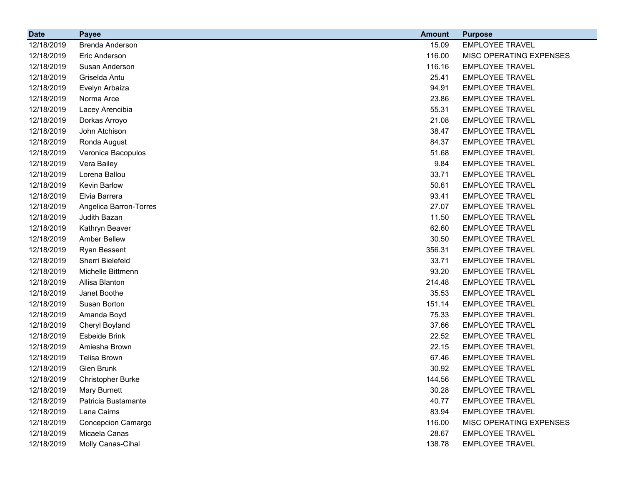| <b>Date</b> | <b>Payee</b>             | <b>Amount</b> | <b>Purpose</b>          |
|-------------|--------------------------|---------------|-------------------------|
| 12/18/2019  | Brenda Anderson          | 15.09         | <b>EMPLOYEE TRAVEL</b>  |
| 12/18/2019  | Eric Anderson            | 116.00        | MISC OPERATING EXPENSES |
| 12/18/2019  | Susan Anderson           | 116.16        | <b>EMPLOYEE TRAVEL</b>  |
| 12/18/2019  | Griselda Antu            | 25.41         | <b>EMPLOYEE TRAVEL</b>  |
| 12/18/2019  | Evelyn Arbaiza           | 94.91         | <b>EMPLOYEE TRAVEL</b>  |
| 12/18/2019  | Norma Arce               | 23.86         | <b>EMPLOYEE TRAVEL</b>  |
| 12/18/2019  | Lacey Arencibia          | 55.31         | <b>EMPLOYEE TRAVEL</b>  |
| 12/18/2019  | Dorkas Arroyo            | 21.08         | <b>EMPLOYEE TRAVEL</b>  |
| 12/18/2019  | John Atchison            | 38.47         | <b>EMPLOYEE TRAVEL</b>  |
| 12/18/2019  | Ronda August             | 84.37         | <b>EMPLOYEE TRAVEL</b>  |
| 12/18/2019  | Veronica Bacopulos       | 51.68         | <b>EMPLOYEE TRAVEL</b>  |
| 12/18/2019  | Vera Bailey              | 9.84          | <b>EMPLOYEE TRAVEL</b>  |
| 12/18/2019  | Lorena Ballou            | 33.71         | <b>EMPLOYEE TRAVEL</b>  |
| 12/18/2019  | Kevin Barlow             | 50.61         | <b>EMPLOYEE TRAVEL</b>  |
| 12/18/2019  | Elvia Barrera            | 93.41         | <b>EMPLOYEE TRAVEL</b>  |
| 12/18/2019  | Angelica Barron-Torres   | 27.07         | <b>EMPLOYEE TRAVEL</b>  |
| 12/18/2019  | Judith Bazan             | 11.50         | <b>EMPLOYEE TRAVEL</b>  |
| 12/18/2019  | Kathryn Beaver           | 62.60         | <b>EMPLOYEE TRAVEL</b>  |
| 12/18/2019  | <b>Amber Bellew</b>      | 30.50         | <b>EMPLOYEE TRAVEL</b>  |
| 12/18/2019  | Ryan Bessent             | 356.31        | <b>EMPLOYEE TRAVEL</b>  |
| 12/18/2019  | Sherri Bielefeld         | 33.71         | <b>EMPLOYEE TRAVEL</b>  |
| 12/18/2019  | Michelle Bittmenn        | 93.20         | <b>EMPLOYEE TRAVEL</b>  |
| 12/18/2019  | Allisa Blanton           | 214.48        | <b>EMPLOYEE TRAVEL</b>  |
| 12/18/2019  | Janet Boothe             | 35.53         | <b>EMPLOYEE TRAVEL</b>  |
| 12/18/2019  | Susan Borton             | 151.14        | <b>EMPLOYEE TRAVEL</b>  |
| 12/18/2019  | Amanda Boyd              | 75.33         | <b>EMPLOYEE TRAVEL</b>  |
| 12/18/2019  | Cheryl Boyland           | 37.66         | <b>EMPLOYEE TRAVEL</b>  |
| 12/18/2019  | Esbeide Brink            | 22.52         | <b>EMPLOYEE TRAVEL</b>  |
| 12/18/2019  | Amiesha Brown            | 22.15         | <b>EMPLOYEE TRAVEL</b>  |
| 12/18/2019  | Telisa Brown             | 67.46         | <b>EMPLOYEE TRAVEL</b>  |
| 12/18/2019  | Glen Brunk               | 30.92         | <b>EMPLOYEE TRAVEL</b>  |
| 12/18/2019  | <b>Christopher Burke</b> | 144.56        | <b>EMPLOYEE TRAVEL</b>  |
| 12/18/2019  | Mary Burnett             | 30.28         | <b>EMPLOYEE TRAVEL</b>  |
| 12/18/2019  | Patricia Bustamante      | 40.77         | <b>EMPLOYEE TRAVEL</b>  |
| 12/18/2019  | Lana Cairns              | 83.94         | <b>EMPLOYEE TRAVEL</b>  |
| 12/18/2019  | Concepcion Camargo       | 116.00        | MISC OPERATING EXPENSES |
| 12/18/2019  | Micaela Canas            | 28.67         | <b>EMPLOYEE TRAVEL</b>  |
| 12/18/2019  | Molly Canas-Cihal        | 138.78        | <b>EMPLOYEE TRAVEL</b>  |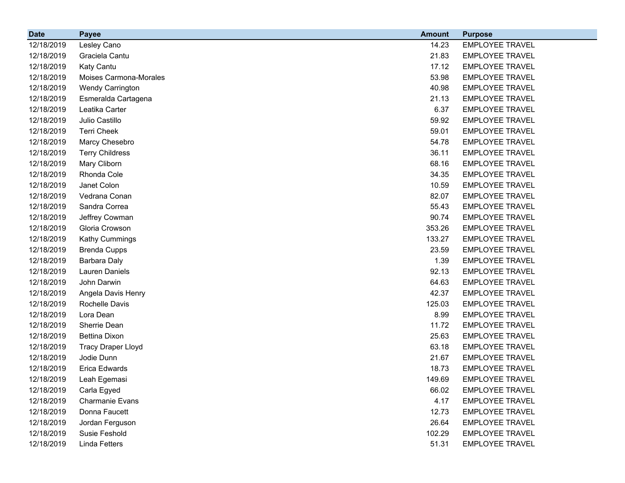| <b>Date</b> | <b>Payee</b>              | <b>Amount</b> | <b>Purpose</b>         |
|-------------|---------------------------|---------------|------------------------|
| 12/18/2019  | Lesley Cano               | 14.23         | <b>EMPLOYEE TRAVEL</b> |
| 12/18/2019  | Graciela Cantu            | 21.83         | <b>EMPLOYEE TRAVEL</b> |
| 12/18/2019  | Katy Cantu                | 17.12         | <b>EMPLOYEE TRAVEL</b> |
| 12/18/2019  | Moises Carmona-Morales    | 53.98         | <b>EMPLOYEE TRAVEL</b> |
| 12/18/2019  | Wendy Carrington          | 40.98         | <b>EMPLOYEE TRAVEL</b> |
| 12/18/2019  | Esmeralda Cartagena       | 21.13         | <b>EMPLOYEE TRAVEL</b> |
| 12/18/2019  | Leatika Carter            | 6.37          | <b>EMPLOYEE TRAVEL</b> |
| 12/18/2019  | Julio Castillo            | 59.92         | <b>EMPLOYEE TRAVEL</b> |
| 12/18/2019  | <b>Terri Cheek</b>        | 59.01         | <b>EMPLOYEE TRAVEL</b> |
| 12/18/2019  | Marcy Chesebro            | 54.78         | <b>EMPLOYEE TRAVEL</b> |
| 12/18/2019  | <b>Terry Childress</b>    | 36.11         | <b>EMPLOYEE TRAVEL</b> |
| 12/18/2019  | Mary Cliborn              | 68.16         | <b>EMPLOYEE TRAVEL</b> |
| 12/18/2019  | Rhonda Cole               | 34.35         | <b>EMPLOYEE TRAVEL</b> |
| 12/18/2019  | Janet Colon               | 10.59         | <b>EMPLOYEE TRAVEL</b> |
| 12/18/2019  | Vedrana Conan             | 82.07         | <b>EMPLOYEE TRAVEL</b> |
| 12/18/2019  | Sandra Correa             | 55.43         | <b>EMPLOYEE TRAVEL</b> |
| 12/18/2019  | Jeffrey Cowman            | 90.74         | <b>EMPLOYEE TRAVEL</b> |
| 12/18/2019  | Gloria Crowson            | 353.26        | <b>EMPLOYEE TRAVEL</b> |
| 12/18/2019  | Kathy Cummings            | 133.27        | <b>EMPLOYEE TRAVEL</b> |
| 12/18/2019  | <b>Brenda Cupps</b>       | 23.59         | <b>EMPLOYEE TRAVEL</b> |
| 12/18/2019  | <b>Barbara Daly</b>       | 1.39          | <b>EMPLOYEE TRAVEL</b> |
| 12/18/2019  | <b>Lauren Daniels</b>     | 92.13         | <b>EMPLOYEE TRAVEL</b> |
| 12/18/2019  | John Darwin               | 64.63         | <b>EMPLOYEE TRAVEL</b> |
| 12/18/2019  | Angela Davis Henry        | 42.37         | <b>EMPLOYEE TRAVEL</b> |
| 12/18/2019  | Rochelle Davis            | 125.03        | <b>EMPLOYEE TRAVEL</b> |
| 12/18/2019  | Lora Dean                 | 8.99          | <b>EMPLOYEE TRAVEL</b> |
| 12/18/2019  | Sherrie Dean              | 11.72         | <b>EMPLOYEE TRAVEL</b> |
| 12/18/2019  | <b>Bettina Dixon</b>      | 25.63         | <b>EMPLOYEE TRAVEL</b> |
| 12/18/2019  | <b>Tracy Draper Lloyd</b> | 63.18         | <b>EMPLOYEE TRAVEL</b> |
| 12/18/2019  | Jodie Dunn                | 21.67         | <b>EMPLOYEE TRAVEL</b> |
| 12/18/2019  | Erica Edwards             | 18.73         | <b>EMPLOYEE TRAVEL</b> |
| 12/18/2019  | Leah Egemasi              | 149.69        | <b>EMPLOYEE TRAVEL</b> |
| 12/18/2019  | Carla Egyed               | 66.02         | <b>EMPLOYEE TRAVEL</b> |
| 12/18/2019  | Charmanie Evans           | 4.17          | <b>EMPLOYEE TRAVEL</b> |
| 12/18/2019  | Donna Faucett             | 12.73         | <b>EMPLOYEE TRAVEL</b> |
| 12/18/2019  | Jordan Ferguson           | 26.64         | <b>EMPLOYEE TRAVEL</b> |
| 12/18/2019  | Susie Feshold             | 102.29        | <b>EMPLOYEE TRAVEL</b> |
| 12/18/2019  | <b>Linda Fetters</b>      | 51.31         | <b>EMPLOYEE TRAVEL</b> |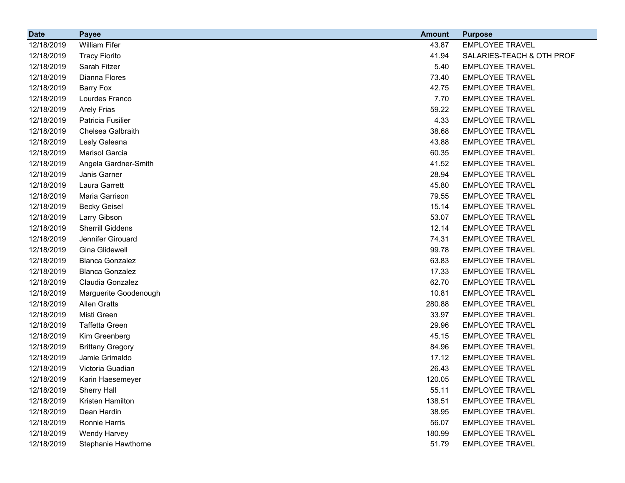| <b>Date</b> | <b>Payee</b>            | <b>Amount</b> | <b>Purpose</b>            |
|-------------|-------------------------|---------------|---------------------------|
| 12/18/2019  | <b>William Fifer</b>    | 43.87         | <b>EMPLOYEE TRAVEL</b>    |
| 12/18/2019  | <b>Tracy Fiorito</b>    | 41.94         | SALARIES-TEACH & OTH PROF |
| 12/18/2019  | Sarah Fitzer            | 5.40          | <b>EMPLOYEE TRAVEL</b>    |
| 12/18/2019  | Dianna Flores           | 73.40         | <b>EMPLOYEE TRAVEL</b>    |
| 12/18/2019  | <b>Barry Fox</b>        | 42.75         | <b>EMPLOYEE TRAVEL</b>    |
| 12/18/2019  | Lourdes Franco          | 7.70          | <b>EMPLOYEE TRAVEL</b>    |
| 12/18/2019  | <b>Arely Frias</b>      | 59.22         | <b>EMPLOYEE TRAVEL</b>    |
| 12/18/2019  | Patricia Fusilier       | 4.33          | <b>EMPLOYEE TRAVEL</b>    |
| 12/18/2019  | Chelsea Galbraith       | 38.68         | <b>EMPLOYEE TRAVEL</b>    |
| 12/18/2019  | Lesly Galeana           | 43.88         | <b>EMPLOYEE TRAVEL</b>    |
| 12/18/2019  | Marisol Garcia          | 60.35         | <b>EMPLOYEE TRAVEL</b>    |
| 12/18/2019  | Angela Gardner-Smith    | 41.52         | <b>EMPLOYEE TRAVEL</b>    |
| 12/18/2019  | Janis Garner            | 28.94         | <b>EMPLOYEE TRAVEL</b>    |
| 12/18/2019  | Laura Garrett           | 45.80         | <b>EMPLOYEE TRAVEL</b>    |
| 12/18/2019  | Maria Garrison          | 79.55         | <b>EMPLOYEE TRAVEL</b>    |
| 12/18/2019  | <b>Becky Geisel</b>     | 15.14         | <b>EMPLOYEE TRAVEL</b>    |
| 12/18/2019  | Larry Gibson            | 53.07         | <b>EMPLOYEE TRAVEL</b>    |
| 12/18/2019  | Sherrill Giddens        | 12.14         | <b>EMPLOYEE TRAVEL</b>    |
| 12/18/2019  | Jennifer Girouard       | 74.31         | <b>EMPLOYEE TRAVEL</b>    |
| 12/18/2019  | Gina Glidewell          | 99.78         | <b>EMPLOYEE TRAVEL</b>    |
| 12/18/2019  | <b>Blanca Gonzalez</b>  | 63.83         | <b>EMPLOYEE TRAVEL</b>    |
| 12/18/2019  | <b>Blanca Gonzalez</b>  | 17.33         | <b>EMPLOYEE TRAVEL</b>    |
| 12/18/2019  | Claudia Gonzalez        | 62.70         | <b>EMPLOYEE TRAVEL</b>    |
| 12/18/2019  | Marguerite Goodenough   | 10.81         | <b>EMPLOYEE TRAVEL</b>    |
| 12/18/2019  | <b>Allen Gratts</b>     | 280.88        | <b>EMPLOYEE TRAVEL</b>    |
| 12/18/2019  | Misti Green             | 33.97         | <b>EMPLOYEE TRAVEL</b>    |
| 12/18/2019  | <b>Taffetta Green</b>   | 29.96         | <b>EMPLOYEE TRAVEL</b>    |
| 12/18/2019  | Kim Greenberg           | 45.15         | <b>EMPLOYEE TRAVEL</b>    |
| 12/18/2019  | <b>Brittany Gregory</b> | 84.96         | <b>EMPLOYEE TRAVEL</b>    |
| 12/18/2019  | Jamie Grimaldo          | 17.12         | <b>EMPLOYEE TRAVEL</b>    |
| 12/18/2019  | Victoria Guadian        | 26.43         | <b>EMPLOYEE TRAVEL</b>    |
| 12/18/2019  | Karin Haesemeyer        | 120.05        | <b>EMPLOYEE TRAVEL</b>    |
| 12/18/2019  | <b>Sherry Hall</b>      | 55.11         | <b>EMPLOYEE TRAVEL</b>    |
| 12/18/2019  | Kristen Hamilton        | 138.51        | <b>EMPLOYEE TRAVEL</b>    |
| 12/18/2019  | Dean Hardin             | 38.95         | <b>EMPLOYEE TRAVEL</b>    |
| 12/18/2019  | Ronnie Harris           | 56.07         | <b>EMPLOYEE TRAVEL</b>    |
| 12/18/2019  | Wendy Harvey            | 180.99        | <b>EMPLOYEE TRAVEL</b>    |
| 12/18/2019  | Stephanie Hawthorne     | 51.79         | <b>EMPLOYEE TRAVEL</b>    |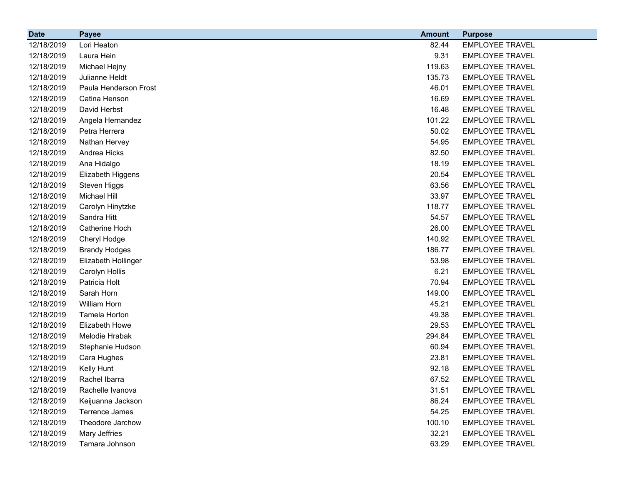| <b>Date</b> | <b>Payee</b>          | <b>Amount</b> | <b>Purpose</b>         |
|-------------|-----------------------|---------------|------------------------|
| 12/18/2019  | Lori Heaton           | 82.44         | <b>EMPLOYEE TRAVEL</b> |
| 12/18/2019  | Laura Hein            | 9.31          | <b>EMPLOYEE TRAVEL</b> |
| 12/18/2019  | Michael Hejny         | 119.63        | <b>EMPLOYEE TRAVEL</b> |
| 12/18/2019  | Julianne Heldt        | 135.73        | <b>EMPLOYEE TRAVEL</b> |
| 12/18/2019  | Paula Henderson Frost | 46.01         | <b>EMPLOYEE TRAVEL</b> |
| 12/18/2019  | Catina Henson         | 16.69         | <b>EMPLOYEE TRAVEL</b> |
| 12/18/2019  | David Herbst          | 16.48         | <b>EMPLOYEE TRAVEL</b> |
| 12/18/2019  | Angela Hernandez      | 101.22        | <b>EMPLOYEE TRAVEL</b> |
| 12/18/2019  | Petra Herrera         | 50.02         | <b>EMPLOYEE TRAVEL</b> |
| 12/18/2019  | Nathan Hervey         | 54.95         | <b>EMPLOYEE TRAVEL</b> |
| 12/18/2019  | Andrea Hicks          | 82.50         | <b>EMPLOYEE TRAVEL</b> |
| 12/18/2019  | Ana Hidalgo           | 18.19         | <b>EMPLOYEE TRAVEL</b> |
| 12/18/2019  | Elizabeth Higgens     | 20.54         | <b>EMPLOYEE TRAVEL</b> |
| 12/18/2019  | Steven Higgs          | 63.56         | <b>EMPLOYEE TRAVEL</b> |
| 12/18/2019  | Michael Hill          | 33.97         | <b>EMPLOYEE TRAVEL</b> |
| 12/18/2019  | Carolyn Hinytzke      | 118.77        | <b>EMPLOYEE TRAVEL</b> |
| 12/18/2019  | Sandra Hitt           | 54.57         | <b>EMPLOYEE TRAVEL</b> |
| 12/18/2019  | Catherine Hoch        | 26.00         | <b>EMPLOYEE TRAVEL</b> |
| 12/18/2019  | Cheryl Hodge          | 140.92        | <b>EMPLOYEE TRAVEL</b> |
| 12/18/2019  | <b>Brandy Hodges</b>  | 186.77        | <b>EMPLOYEE TRAVEL</b> |
| 12/18/2019  | Elizabeth Hollinger   | 53.98         | <b>EMPLOYEE TRAVEL</b> |
| 12/18/2019  | Carolyn Hollis        | 6.21          | <b>EMPLOYEE TRAVEL</b> |
| 12/18/2019  | Patricia Holt         | 70.94         | <b>EMPLOYEE TRAVEL</b> |
| 12/18/2019  | Sarah Horn            | 149.00        | <b>EMPLOYEE TRAVEL</b> |
| 12/18/2019  | William Horn          | 45.21         | <b>EMPLOYEE TRAVEL</b> |
| 12/18/2019  | Tamela Horton         | 49.38         | <b>EMPLOYEE TRAVEL</b> |
| 12/18/2019  | Elizabeth Howe        | 29.53         | <b>EMPLOYEE TRAVEL</b> |
| 12/18/2019  | Melodie Hrabak        | 294.84        | <b>EMPLOYEE TRAVEL</b> |
| 12/18/2019  | Stephanie Hudson      | 60.94         | <b>EMPLOYEE TRAVEL</b> |
| 12/18/2019  | Cara Hughes           | 23.81         | <b>EMPLOYEE TRAVEL</b> |
| 12/18/2019  | Kelly Hunt            | 92.18         | <b>EMPLOYEE TRAVEL</b> |
| 12/18/2019  | Rachel Ibarra         | 67.52         | <b>EMPLOYEE TRAVEL</b> |
| 12/18/2019  | Rachelle Ivanova      | 31.51         | <b>EMPLOYEE TRAVEL</b> |
| 12/18/2019  | Keijuanna Jackson     | 86.24         | <b>EMPLOYEE TRAVEL</b> |
| 12/18/2019  | Terrence James        | 54.25         | <b>EMPLOYEE TRAVEL</b> |
| 12/18/2019  | Theodore Jarchow      | 100.10        | <b>EMPLOYEE TRAVEL</b> |
| 12/18/2019  | Mary Jeffries         | 32.21         | <b>EMPLOYEE TRAVEL</b> |
| 12/18/2019  | Tamara Johnson        | 63.29         | <b>EMPLOYEE TRAVEL</b> |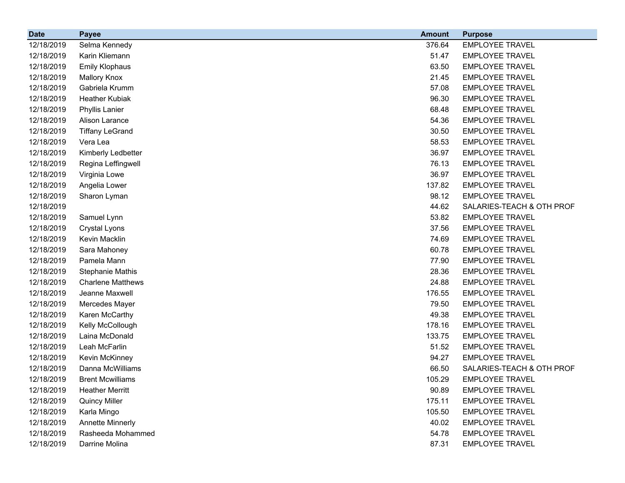| <b>Date</b> | <b>Payee</b>             | <b>Amount</b> | <b>Purpose</b>            |
|-------------|--------------------------|---------------|---------------------------|
| 12/18/2019  | Selma Kennedy            | 376.64        | <b>EMPLOYEE TRAVEL</b>    |
| 12/18/2019  | Karin Kliemann           | 51.47         | <b>EMPLOYEE TRAVEL</b>    |
| 12/18/2019  | <b>Emily Klophaus</b>    | 63.50         | <b>EMPLOYEE TRAVEL</b>    |
| 12/18/2019  | <b>Mallory Knox</b>      | 21.45         | <b>EMPLOYEE TRAVEL</b>    |
| 12/18/2019  | Gabriela Krumm           | 57.08         | <b>EMPLOYEE TRAVEL</b>    |
| 12/18/2019  | <b>Heather Kubiak</b>    | 96.30         | <b>EMPLOYEE TRAVEL</b>    |
| 12/18/2019  | <b>Phyllis Lanier</b>    | 68.48         | <b>EMPLOYEE TRAVEL</b>    |
| 12/18/2019  | Alison Larance           | 54.36         | <b>EMPLOYEE TRAVEL</b>    |
| 12/18/2019  | <b>Tiffany LeGrand</b>   | 30.50         | <b>EMPLOYEE TRAVEL</b>    |
| 12/18/2019  | Vera Lea                 | 58.53         | <b>EMPLOYEE TRAVEL</b>    |
| 12/18/2019  | Kimberly Ledbetter       | 36.97         | <b>EMPLOYEE TRAVEL</b>    |
| 12/18/2019  | Regina Leffingwell       | 76.13         | <b>EMPLOYEE TRAVEL</b>    |
| 12/18/2019  | Virginia Lowe            | 36.97         | <b>EMPLOYEE TRAVEL</b>    |
| 12/18/2019  | Angelia Lower            | 137.82        | <b>EMPLOYEE TRAVEL</b>    |
| 12/18/2019  | Sharon Lyman             | 98.12         | <b>EMPLOYEE TRAVEL</b>    |
| 12/18/2019  |                          | 44.62         | SALARIES-TEACH & OTH PROF |
| 12/18/2019  | Samuel Lynn              | 53.82         | <b>EMPLOYEE TRAVEL</b>    |
| 12/18/2019  | <b>Crystal Lyons</b>     | 37.56         | <b>EMPLOYEE TRAVEL</b>    |
| 12/18/2019  | Kevin Macklin            | 74.69         | <b>EMPLOYEE TRAVEL</b>    |
| 12/18/2019  | Sara Mahoney             | 60.78         | <b>EMPLOYEE TRAVEL</b>    |
| 12/18/2019  | Pamela Mann              | 77.90         | <b>EMPLOYEE TRAVEL</b>    |
| 12/18/2019  | <b>Stephanie Mathis</b>  | 28.36         | <b>EMPLOYEE TRAVEL</b>    |
| 12/18/2019  | <b>Charlene Matthews</b> | 24.88         | <b>EMPLOYEE TRAVEL</b>    |
| 12/18/2019  | Jeanne Maxwell           | 176.55        | <b>EMPLOYEE TRAVEL</b>    |
| 12/18/2019  | Mercedes Mayer           | 79.50         | <b>EMPLOYEE TRAVEL</b>    |
| 12/18/2019  | Karen McCarthy           | 49.38         | <b>EMPLOYEE TRAVEL</b>    |
| 12/18/2019  | Kelly McCollough         | 178.16        | <b>EMPLOYEE TRAVEL</b>    |
| 12/18/2019  | Laina McDonald           | 133.75        | <b>EMPLOYEE TRAVEL</b>    |
| 12/18/2019  | Leah McFarlin            | 51.52         | <b>EMPLOYEE TRAVEL</b>    |
| 12/18/2019  | Kevin McKinney           | 94.27         | <b>EMPLOYEE TRAVEL</b>    |
| 12/18/2019  | Danna McWilliams         | 66.50         | SALARIES-TEACH & OTH PROF |
| 12/18/2019  | <b>Brent Mcwilliams</b>  | 105.29        | <b>EMPLOYEE TRAVEL</b>    |
| 12/18/2019  | <b>Heather Merritt</b>   | 90.89         | <b>EMPLOYEE TRAVEL</b>    |
| 12/18/2019  | <b>Quincy Miller</b>     | 175.11        | <b>EMPLOYEE TRAVEL</b>    |
| 12/18/2019  | Karla Mingo              | 105.50        | <b>EMPLOYEE TRAVEL</b>    |
| 12/18/2019  | <b>Annette Minnerly</b>  | 40.02         | <b>EMPLOYEE TRAVEL</b>    |
| 12/18/2019  | Rasheeda Mohammed        | 54.78         | <b>EMPLOYEE TRAVEL</b>    |
| 12/18/2019  | Darrine Molina           | 87.31         | <b>EMPLOYEE TRAVEL</b>    |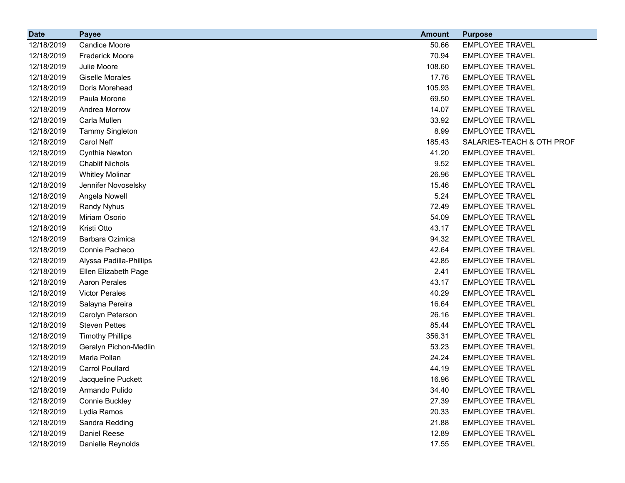| <b>Date</b> | <b>Payee</b>            | <b>Amount</b> | <b>Purpose</b>            |
|-------------|-------------------------|---------------|---------------------------|
| 12/18/2019  | <b>Candice Moore</b>    | 50.66         | <b>EMPLOYEE TRAVEL</b>    |
| 12/18/2019  | <b>Frederick Moore</b>  | 70.94         | <b>EMPLOYEE TRAVEL</b>    |
| 12/18/2019  | Julie Moore             | 108.60        | <b>EMPLOYEE TRAVEL</b>    |
| 12/18/2019  | <b>Giselle Morales</b>  | 17.76         | <b>EMPLOYEE TRAVEL</b>    |
| 12/18/2019  | Doris Morehead          | 105.93        | <b>EMPLOYEE TRAVEL</b>    |
| 12/18/2019  | Paula Morone            | 69.50         | <b>EMPLOYEE TRAVEL</b>    |
| 12/18/2019  | Andrea Morrow           | 14.07         | <b>EMPLOYEE TRAVEL</b>    |
| 12/18/2019  | Carla Mullen            | 33.92         | <b>EMPLOYEE TRAVEL</b>    |
| 12/18/2019  | <b>Tammy Singleton</b>  | 8.99          | <b>EMPLOYEE TRAVEL</b>    |
| 12/18/2019  | Carol Neff              | 185.43        | SALARIES-TEACH & OTH PROF |
| 12/18/2019  | Cynthia Newton          | 41.20         | <b>EMPLOYEE TRAVEL</b>    |
| 12/18/2019  | <b>Chablif Nichols</b>  | 9.52          | <b>EMPLOYEE TRAVEL</b>    |
| 12/18/2019  | <b>Whitley Molinar</b>  | 26.96         | <b>EMPLOYEE TRAVEL</b>    |
| 12/18/2019  | Jennifer Novoselsky     | 15.46         | <b>EMPLOYEE TRAVEL</b>    |
| 12/18/2019  | Angela Nowell           | 5.24          | <b>EMPLOYEE TRAVEL</b>    |
| 12/18/2019  | Randy Nyhus             | 72.49         | <b>EMPLOYEE TRAVEL</b>    |
| 12/18/2019  | Miriam Osorio           | 54.09         | <b>EMPLOYEE TRAVEL</b>    |
| 12/18/2019  | Kristi Otto             | 43.17         | <b>EMPLOYEE TRAVEL</b>    |
| 12/18/2019  | Barbara Ozimica         | 94.32         | <b>EMPLOYEE TRAVEL</b>    |
| 12/18/2019  | Connie Pacheco          | 42.64         | <b>EMPLOYEE TRAVEL</b>    |
| 12/18/2019  | Alyssa Padilla-Phillips | 42.85         | <b>EMPLOYEE TRAVEL</b>    |
| 12/18/2019  | Ellen Elizabeth Page    | 2.41          | <b>EMPLOYEE TRAVEL</b>    |
| 12/18/2019  | <b>Aaron Perales</b>    | 43.17         | <b>EMPLOYEE TRAVEL</b>    |
| 12/18/2019  | <b>Victor Perales</b>   | 40.29         | <b>EMPLOYEE TRAVEL</b>    |
| 12/18/2019  | Salayna Pereira         | 16.64         | <b>EMPLOYEE TRAVEL</b>    |
| 12/18/2019  | Carolyn Peterson        | 26.16         | <b>EMPLOYEE TRAVEL</b>    |
| 12/18/2019  | <b>Steven Pettes</b>    | 85.44         | <b>EMPLOYEE TRAVEL</b>    |
| 12/18/2019  | <b>Timothy Phillips</b> | 356.31        | <b>EMPLOYEE TRAVEL</b>    |
| 12/18/2019  | Geralyn Pichon-Medlin   | 53.23         | <b>EMPLOYEE TRAVEL</b>    |
| 12/18/2019  | Marla Pollan            | 24.24         | <b>EMPLOYEE TRAVEL</b>    |
| 12/18/2019  | <b>Carrol Poullard</b>  | 44.19         | <b>EMPLOYEE TRAVEL</b>    |
| 12/18/2019  | Jacqueline Puckett      | 16.96         | <b>EMPLOYEE TRAVEL</b>    |
| 12/18/2019  | Armando Pulido          | 34.40         | <b>EMPLOYEE TRAVEL</b>    |
| 12/18/2019  | Connie Buckley          | 27.39         | <b>EMPLOYEE TRAVEL</b>    |
| 12/18/2019  | Lydia Ramos             | 20.33         | <b>EMPLOYEE TRAVEL</b>    |
| 12/18/2019  | Sandra Redding          | 21.88         | <b>EMPLOYEE TRAVEL</b>    |
| 12/18/2019  | Daniel Reese            | 12.89         | <b>EMPLOYEE TRAVEL</b>    |
| 12/18/2019  | Danielle Reynolds       | 17.55         | <b>EMPLOYEE TRAVEL</b>    |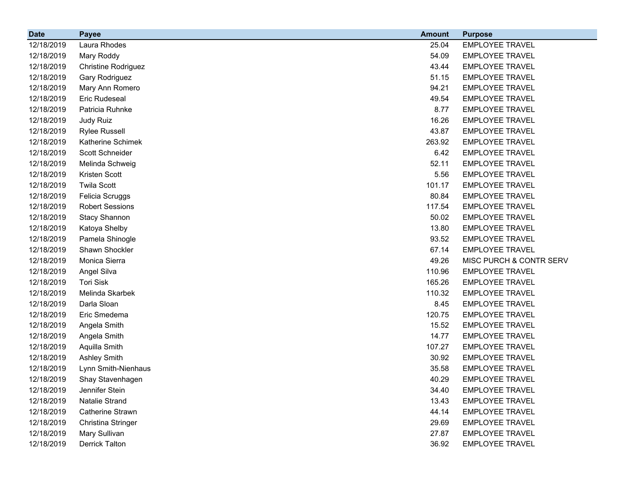| <b>Date</b> | <b>Payee</b>               | <b>Amount</b> | <b>Purpose</b>          |
|-------------|----------------------------|---------------|-------------------------|
| 12/18/2019  | Laura Rhodes               | 25.04         | <b>EMPLOYEE TRAVEL</b>  |
| 12/18/2019  | Mary Roddy                 | 54.09         | <b>EMPLOYEE TRAVEL</b>  |
| 12/18/2019  | <b>Christine Rodriguez</b> | 43.44         | <b>EMPLOYEE TRAVEL</b>  |
| 12/18/2019  | Gary Rodriguez             | 51.15         | <b>EMPLOYEE TRAVEL</b>  |
| 12/18/2019  | Mary Ann Romero            | 94.21         | <b>EMPLOYEE TRAVEL</b>  |
| 12/18/2019  | Eric Rudeseal              | 49.54         | <b>EMPLOYEE TRAVEL</b>  |
| 12/18/2019  | Patricia Ruhnke            | 8.77          | <b>EMPLOYEE TRAVEL</b>  |
| 12/18/2019  | Judy Ruiz                  | 16.26         | <b>EMPLOYEE TRAVEL</b>  |
| 12/18/2019  | <b>Rylee Russell</b>       | 43.87         | <b>EMPLOYEE TRAVEL</b>  |
| 12/18/2019  | Katherine Schimek          | 263.92        | <b>EMPLOYEE TRAVEL</b>  |
| 12/18/2019  | Scott Schneider            | 6.42          | <b>EMPLOYEE TRAVEL</b>  |
| 12/18/2019  | Melinda Schweig            | 52.11         | <b>EMPLOYEE TRAVEL</b>  |
| 12/18/2019  | Kristen Scott              | 5.56          | <b>EMPLOYEE TRAVEL</b>  |
| 12/18/2019  | <b>Twila Scott</b>         | 101.17        | <b>EMPLOYEE TRAVEL</b>  |
| 12/18/2019  | Felicia Scruggs            | 80.84         | <b>EMPLOYEE TRAVEL</b>  |
| 12/18/2019  | <b>Robert Sessions</b>     | 117.54        | <b>EMPLOYEE TRAVEL</b>  |
| 12/18/2019  | <b>Stacy Shannon</b>       | 50.02         | <b>EMPLOYEE TRAVEL</b>  |
| 12/18/2019  | Katoya Shelby              | 13.80         | <b>EMPLOYEE TRAVEL</b>  |
| 12/18/2019  | Pamela Shinogle            | 93.52         | <b>EMPLOYEE TRAVEL</b>  |
| 12/18/2019  | Shawn Shockler             | 67.14         | <b>EMPLOYEE TRAVEL</b>  |
| 12/18/2019  | Monica Sierra              | 49.26         | MISC PURCH & CONTR SERV |
| 12/18/2019  | Angel Silva                | 110.96        | <b>EMPLOYEE TRAVEL</b>  |
| 12/18/2019  | <b>Tori Sisk</b>           | 165.26        | <b>EMPLOYEE TRAVEL</b>  |
| 12/18/2019  | Melinda Skarbek            | 110.32        | <b>EMPLOYEE TRAVEL</b>  |
| 12/18/2019  | Darla Sloan                | 8.45          | <b>EMPLOYEE TRAVEL</b>  |
| 12/18/2019  | Eric Smedema               | 120.75        | <b>EMPLOYEE TRAVEL</b>  |
| 12/18/2019  | Angela Smith               | 15.52         | <b>EMPLOYEE TRAVEL</b>  |
| 12/18/2019  | Angela Smith               | 14.77         | <b>EMPLOYEE TRAVEL</b>  |
| 12/18/2019  | Aquilla Smith              | 107.27        | <b>EMPLOYEE TRAVEL</b>  |
| 12/18/2019  | <b>Ashley Smith</b>        | 30.92         | <b>EMPLOYEE TRAVEL</b>  |
| 12/18/2019  | Lynn Smith-Nienhaus        | 35.58         | <b>EMPLOYEE TRAVEL</b>  |
| 12/18/2019  | Shay Stavenhagen           | 40.29         | <b>EMPLOYEE TRAVEL</b>  |
| 12/18/2019  | Jennifer Stein             | 34.40         | <b>EMPLOYEE TRAVEL</b>  |
| 12/18/2019  | Natalie Strand             | 13.43         | <b>EMPLOYEE TRAVEL</b>  |
| 12/18/2019  | Catherine Strawn           | 44.14         | <b>EMPLOYEE TRAVEL</b>  |
| 12/18/2019  | Christina Stringer         | 29.69         | <b>EMPLOYEE TRAVEL</b>  |
| 12/18/2019  | Mary Sullivan              | 27.87         | <b>EMPLOYEE TRAVEL</b>  |
| 12/18/2019  | <b>Derrick Talton</b>      | 36.92         | <b>EMPLOYEE TRAVEL</b>  |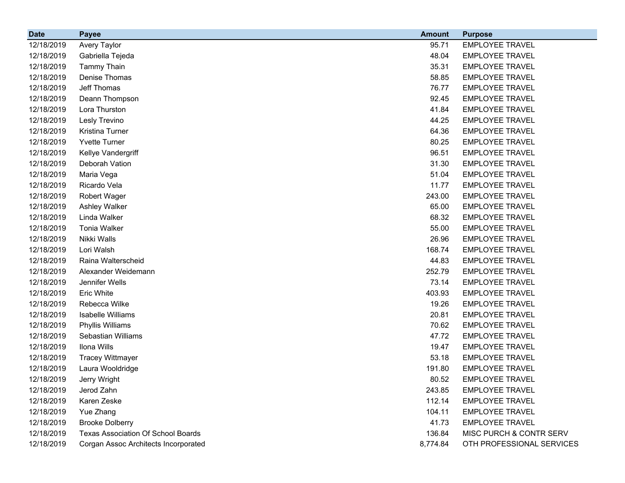| <b>Date</b> | <b>Payee</b>                              | <b>Amount</b> | <b>Purpose</b>            |
|-------------|-------------------------------------------|---------------|---------------------------|
| 12/18/2019  | Avery Taylor                              | 95.71         | <b>EMPLOYEE TRAVEL</b>    |
| 12/18/2019  | Gabriella Tejeda                          | 48.04         | <b>EMPLOYEE TRAVEL</b>    |
| 12/18/2019  | <b>Tammy Thain</b>                        | 35.31         | <b>EMPLOYEE TRAVEL</b>    |
| 12/18/2019  | Denise Thomas                             | 58.85         | <b>EMPLOYEE TRAVEL</b>    |
| 12/18/2019  | Jeff Thomas                               | 76.77         | <b>EMPLOYEE TRAVEL</b>    |
| 12/18/2019  | Deann Thompson                            | 92.45         | <b>EMPLOYEE TRAVEL</b>    |
| 12/18/2019  | Lora Thurston                             | 41.84         | <b>EMPLOYEE TRAVEL</b>    |
| 12/18/2019  | Lesly Trevino                             | 44.25         | <b>EMPLOYEE TRAVEL</b>    |
| 12/18/2019  | Kristina Turner                           | 64.36         | <b>EMPLOYEE TRAVEL</b>    |
| 12/18/2019  | <b>Yvette Turner</b>                      | 80.25         | <b>EMPLOYEE TRAVEL</b>    |
| 12/18/2019  | Kellye Vandergriff                        | 96.51         | <b>EMPLOYEE TRAVEL</b>    |
| 12/18/2019  | Deborah Vation                            | 31.30         | <b>EMPLOYEE TRAVEL</b>    |
| 12/18/2019  | Maria Vega                                | 51.04         | <b>EMPLOYEE TRAVEL</b>    |
| 12/18/2019  | Ricardo Vela                              | 11.77         | <b>EMPLOYEE TRAVEL</b>    |
| 12/18/2019  | Robert Wager                              | 243.00        | <b>EMPLOYEE TRAVEL</b>    |
| 12/18/2019  | Ashley Walker                             | 65.00         | <b>EMPLOYEE TRAVEL</b>    |
| 12/18/2019  | Linda Walker                              | 68.32         | <b>EMPLOYEE TRAVEL</b>    |
| 12/18/2019  | <b>Tonia Walker</b>                       | 55.00         | <b>EMPLOYEE TRAVEL</b>    |
| 12/18/2019  | Nikki Walls                               | 26.96         | <b>EMPLOYEE TRAVEL</b>    |
| 12/18/2019  | Lori Walsh                                | 168.74        | <b>EMPLOYEE TRAVEL</b>    |
| 12/18/2019  | Raina Walterscheid                        | 44.83         | <b>EMPLOYEE TRAVEL</b>    |
| 12/18/2019  | Alexander Weidemann                       | 252.79        | <b>EMPLOYEE TRAVEL</b>    |
| 12/18/2019  | Jennifer Wells                            | 73.14         | <b>EMPLOYEE TRAVEL</b>    |
| 12/18/2019  | Eric White                                | 403.93        | <b>EMPLOYEE TRAVEL</b>    |
| 12/18/2019  | Rebecca Wilke                             | 19.26         | <b>EMPLOYEE TRAVEL</b>    |
| 12/18/2019  | Isabelle Williams                         | 20.81         | <b>EMPLOYEE TRAVEL</b>    |
| 12/18/2019  | Phyllis Williams                          | 70.62         | <b>EMPLOYEE TRAVEL</b>    |
| 12/18/2019  | Sebastian Williams                        | 47.72         | <b>EMPLOYEE TRAVEL</b>    |
| 12/18/2019  | Ilona Wills                               | 19.47         | <b>EMPLOYEE TRAVEL</b>    |
| 12/18/2019  | <b>Tracey Wittmayer</b>                   | 53.18         | <b>EMPLOYEE TRAVEL</b>    |
| 12/18/2019  | Laura Wooldridge                          | 191.80        | <b>EMPLOYEE TRAVEL</b>    |
| 12/18/2019  | Jerry Wright                              | 80.52         | <b>EMPLOYEE TRAVEL</b>    |
| 12/18/2019  | Jerod Zahn                                | 243.85        | <b>EMPLOYEE TRAVEL</b>    |
| 12/18/2019  | Karen Zeske                               | 112.14        | <b>EMPLOYEE TRAVEL</b>    |
| 12/18/2019  | Yue Zhang                                 | 104.11        | <b>EMPLOYEE TRAVEL</b>    |
| 12/18/2019  | <b>Brooke Dolberry</b>                    | 41.73         | <b>EMPLOYEE TRAVEL</b>    |
| 12/18/2019  | <b>Texas Association Of School Boards</b> | 136.84        | MISC PURCH & CONTR SERV   |
| 12/18/2019  | Corgan Assoc Architects Incorporated      | 8,774.84      | OTH PROFESSIONAL SERVICES |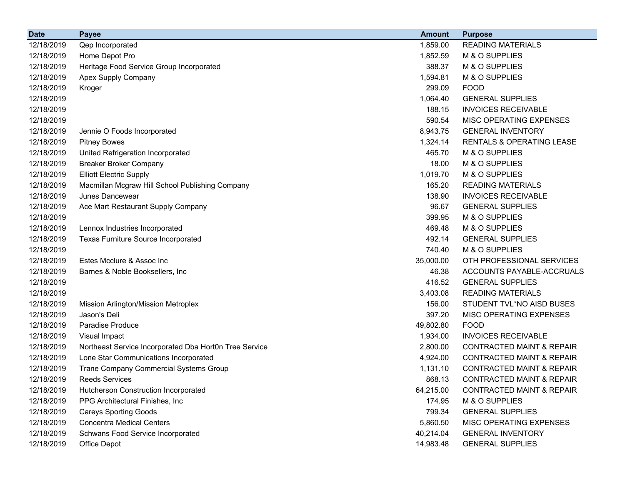| <b>Date</b> | <b>Payee</b>                                           | <b>Amount</b> | <b>Purpose</b>                       |
|-------------|--------------------------------------------------------|---------------|--------------------------------------|
| 12/18/2019  | Qep Incorporated                                       | 1,859.00      | <b>READING MATERIALS</b>             |
| 12/18/2019  | Home Depot Pro                                         | 1,852.59      | M & O SUPPLIES                       |
| 12/18/2019  | Heritage Food Service Group Incorporated               | 388.37        | M & O SUPPLIES                       |
| 12/18/2019  | Apex Supply Company                                    | 1,594.81      | M & O SUPPLIES                       |
| 12/18/2019  | Kroger                                                 | 299.09        | <b>FOOD</b>                          |
| 12/18/2019  |                                                        | 1,064.40      | <b>GENERAL SUPPLIES</b>              |
| 12/18/2019  |                                                        | 188.15        | <b>INVOICES RECEIVABLE</b>           |
| 12/18/2019  |                                                        | 590.54        | MISC OPERATING EXPENSES              |
| 12/18/2019  | Jennie O Foods Incorporated                            | 8,943.75      | <b>GENERAL INVENTORY</b>             |
| 12/18/2019  | <b>Pitney Bowes</b>                                    | 1,324.14      | RENTALS & OPERATING LEASE            |
| 12/18/2019  | United Refrigeration Incorporated                      | 465.70        | M & O SUPPLIES                       |
| 12/18/2019  | <b>Breaker Broker Company</b>                          | 18.00         | M & O SUPPLIES                       |
| 12/18/2019  | <b>Elliott Electric Supply</b>                         | 1,019.70      | M & O SUPPLIES                       |
| 12/18/2019  | Macmillan Mcgraw Hill School Publishing Company        | 165.20        | <b>READING MATERIALS</b>             |
| 12/18/2019  | <b>Junes Dancewear</b>                                 | 138.90        | <b>INVOICES RECEIVABLE</b>           |
| 12/18/2019  | Ace Mart Restaurant Supply Company                     | 96.67         | <b>GENERAL SUPPLIES</b>              |
| 12/18/2019  |                                                        | 399.95        | M & O SUPPLIES                       |
| 12/18/2019  | Lennox Industries Incorporated                         | 469.48        | M & O SUPPLIES                       |
| 12/18/2019  | Texas Furniture Source Incorporated                    | 492.14        | <b>GENERAL SUPPLIES</b>              |
| 12/18/2019  |                                                        | 740.40        | M & O SUPPLIES                       |
| 12/18/2019  | Estes Mcclure & Assoc Inc                              | 35,000.00     | OTH PROFESSIONAL SERVICES            |
| 12/18/2019  | Barnes & Noble Booksellers, Inc.                       | 46.38         | ACCOUNTS PAYABLE-ACCRUALS            |
| 12/18/2019  |                                                        | 416.52        | <b>GENERAL SUPPLIES</b>              |
| 12/18/2019  |                                                        | 3,403.08      | <b>READING MATERIALS</b>             |
| 12/18/2019  | Mission Arlington/Mission Metroplex                    | 156.00        | STUDENT TVL*NO AISD BUSES            |
| 12/18/2019  | Jason's Deli                                           | 397.20        | MISC OPERATING EXPENSES              |
| 12/18/2019  | Paradise Produce                                       | 49,802.80     | <b>FOOD</b>                          |
| 12/18/2019  | Visual Impact                                          | 1,934.00      | <b>INVOICES RECEIVABLE</b>           |
| 12/18/2019  | Northeast Service Incorporated Dba Hort0n Tree Service | 2,800.00      | <b>CONTRACTED MAINT &amp; REPAIR</b> |
| 12/18/2019  | Lone Star Communications Incorporated                  | 4,924.00      | <b>CONTRACTED MAINT &amp; REPAIR</b> |
| 12/18/2019  | Trane Company Commercial Systems Group                 | 1,131.10      | <b>CONTRACTED MAINT &amp; REPAIR</b> |
| 12/18/2019  | <b>Reeds Services</b>                                  | 868.13        | <b>CONTRACTED MAINT &amp; REPAIR</b> |
| 12/18/2019  | Hutcherson Construction Incorporated                   | 64,215.00     | <b>CONTRACTED MAINT &amp; REPAIR</b> |
| 12/18/2019  | PPG Architectural Finishes, Inc                        | 174.95        | M & O SUPPLIES                       |
| 12/18/2019  | <b>Careys Sporting Goods</b>                           | 799.34        | <b>GENERAL SUPPLIES</b>              |
| 12/18/2019  | <b>Concentra Medical Centers</b>                       | 5,860.50      | MISC OPERATING EXPENSES              |
| 12/18/2019  | Schwans Food Service Incorporated                      | 40,214.04     | <b>GENERAL INVENTORY</b>             |
| 12/18/2019  | Office Depot                                           | 14,983.48     | <b>GENERAL SUPPLIES</b>              |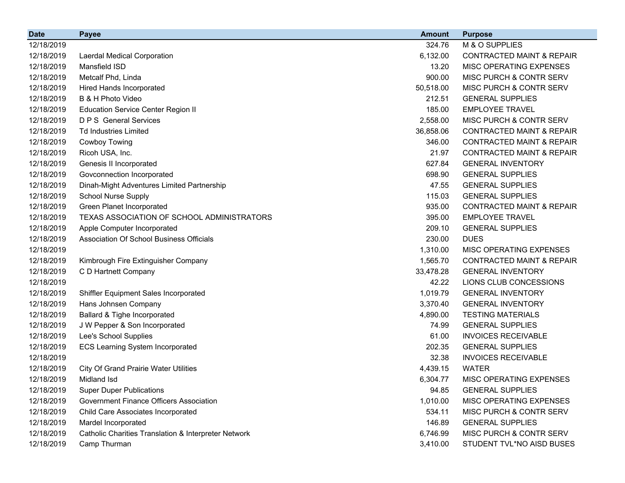| <b>Date</b> | <b>Payee</b>                                         | <b>Amount</b> | <b>Purpose</b>                       |
|-------------|------------------------------------------------------|---------------|--------------------------------------|
| 12/18/2019  |                                                      | 324.76        | M & O SUPPLIES                       |
| 12/18/2019  | Laerdal Medical Corporation                          | 6,132.00      | <b>CONTRACTED MAINT &amp; REPAIR</b> |
| 12/18/2019  | Mansfield ISD                                        | 13.20         | MISC OPERATING EXPENSES              |
| 12/18/2019  | Metcalf Phd, Linda                                   | 900.00        | MISC PURCH & CONTR SERV              |
| 12/18/2019  | Hired Hands Incorporated                             | 50,518.00     | MISC PURCH & CONTR SERV              |
| 12/18/2019  | B & H Photo Video                                    | 212.51        | <b>GENERAL SUPPLIES</b>              |
| 12/18/2019  | <b>Education Service Center Region II</b>            | 185.00        | <b>EMPLOYEE TRAVEL</b>               |
| 12/18/2019  | <b>D P S</b> General Services                        | 2,558.00      | MISC PURCH & CONTR SERV              |
| 12/18/2019  | <b>Td Industries Limited</b>                         | 36,858.06     | <b>CONTRACTED MAINT &amp; REPAIR</b> |
| 12/18/2019  | <b>Cowboy Towing</b>                                 | 346.00        | <b>CONTRACTED MAINT &amp; REPAIR</b> |
| 12/18/2019  | Ricoh USA, Inc.                                      | 21.97         | <b>CONTRACTED MAINT &amp; REPAIR</b> |
| 12/18/2019  | Genesis II Incorporated                              | 627.84        | <b>GENERAL INVENTORY</b>             |
| 12/18/2019  | Govconnection Incorporated                           | 698.90        | <b>GENERAL SUPPLIES</b>              |
| 12/18/2019  | Dinah-Might Adventures Limited Partnership           | 47.55         | <b>GENERAL SUPPLIES</b>              |
| 12/18/2019  | <b>School Nurse Supply</b>                           | 115.03        | <b>GENERAL SUPPLIES</b>              |
| 12/18/2019  | <b>Green Planet Incorporated</b>                     | 935.00        | <b>CONTRACTED MAINT &amp; REPAIR</b> |
| 12/18/2019  | TEXAS ASSOCIATION OF SCHOOL ADMINISTRATORS           | 395.00        | <b>EMPLOYEE TRAVEL</b>               |
| 12/18/2019  | Apple Computer Incorporated                          | 209.10        | <b>GENERAL SUPPLIES</b>              |
| 12/18/2019  | Association Of School Business Officials             | 230.00        | <b>DUES</b>                          |
| 12/18/2019  |                                                      | 1,310.00      | MISC OPERATING EXPENSES              |
| 12/18/2019  | Kimbrough Fire Extinguisher Company                  | 1,565.70      | <b>CONTRACTED MAINT &amp; REPAIR</b> |
| 12/18/2019  | C D Hartnett Company                                 | 33,478.28     | <b>GENERAL INVENTORY</b>             |
| 12/18/2019  |                                                      | 42.22         | LIONS CLUB CONCESSIONS               |
| 12/18/2019  | Shiffler Equipment Sales Incorporated                | 1,019.79      | <b>GENERAL INVENTORY</b>             |
| 12/18/2019  | Hans Johnsen Company                                 | 3,370.40      | <b>GENERAL INVENTORY</b>             |
| 12/18/2019  | Ballard & Tighe Incorporated                         | 4,890.00      | <b>TESTING MATERIALS</b>             |
| 12/18/2019  | J W Pepper & Son Incorporated                        | 74.99         | <b>GENERAL SUPPLIES</b>              |
| 12/18/2019  | Lee's School Supplies                                | 61.00         | <b>INVOICES RECEIVABLE</b>           |
| 12/18/2019  | <b>ECS Learning System Incorporated</b>              | 202.35        | <b>GENERAL SUPPLIES</b>              |
| 12/18/2019  |                                                      | 32.38         | <b>INVOICES RECEIVABLE</b>           |
| 12/18/2019  | <b>City Of Grand Prairie Water Utilities</b>         | 4,439.15      | <b>WATER</b>                         |
| 12/18/2019  | Midland Isd                                          | 6,304.77      | MISC OPERATING EXPENSES              |
| 12/18/2019  | <b>Super Duper Publications</b>                      | 94.85         | <b>GENERAL SUPPLIES</b>              |
| 12/18/2019  | <b>Government Finance Officers Association</b>       | 1,010.00      | MISC OPERATING EXPENSES              |
| 12/18/2019  | Child Care Associates Incorporated                   | 534.11        | MISC PURCH & CONTR SERV              |
| 12/18/2019  | Mardel Incorporated                                  | 146.89        | <b>GENERAL SUPPLIES</b>              |
| 12/18/2019  | Catholic Charities Translation & Interpreter Network | 6,746.99      | MISC PURCH & CONTR SERV              |
| 12/18/2019  | Camp Thurman                                         | 3,410.00      | STUDENT TVL*NO AISD BUSES            |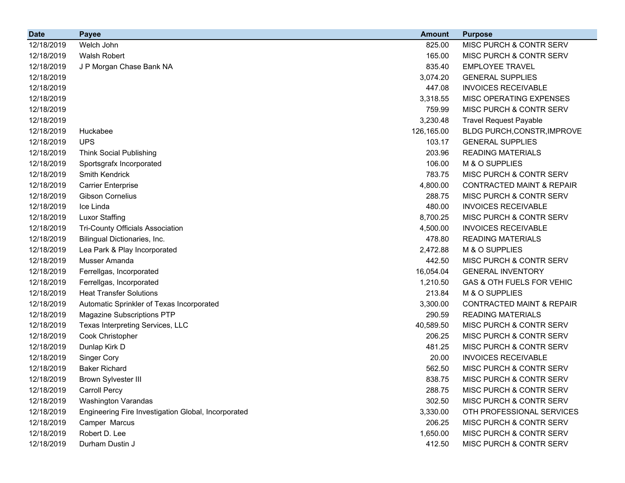| <b>Date</b> | <b>Payee</b>                                        | <b>Amount</b> | <b>Purpose</b>                       |
|-------------|-----------------------------------------------------|---------------|--------------------------------------|
| 12/18/2019  | Welch John                                          | 825.00        | MISC PURCH & CONTR SERV              |
| 12/18/2019  | <b>Walsh Robert</b>                                 | 165.00        | <b>MISC PURCH &amp; CONTR SERV</b>   |
| 12/18/2019  | J P Morgan Chase Bank NA                            | 835.40        | <b>EMPLOYEE TRAVEL</b>               |
| 12/18/2019  |                                                     | 3,074.20      | <b>GENERAL SUPPLIES</b>              |
| 12/18/2019  |                                                     | 447.08        | <b>INVOICES RECEIVABLE</b>           |
| 12/18/2019  |                                                     | 3,318.55      | <b>MISC OPERATING EXPENSES</b>       |
| 12/18/2019  |                                                     | 759.99        | <b>MISC PURCH &amp; CONTR SERV</b>   |
| 12/18/2019  |                                                     | 3,230.48      | <b>Travel Request Payable</b>        |
| 12/18/2019  | Huckabee                                            | 126,165.00    | BLDG PURCH, CONSTR, IMPROVE          |
| 12/18/2019  | <b>UPS</b>                                          | 103.17        | <b>GENERAL SUPPLIES</b>              |
| 12/18/2019  | <b>Think Social Publishing</b>                      | 203.96        | <b>READING MATERIALS</b>             |
| 12/18/2019  | Sportsgrafx Incorporated                            | 106.00        | M & O SUPPLIES                       |
| 12/18/2019  | Smith Kendrick                                      | 783.75        | <b>MISC PURCH &amp; CONTR SERV</b>   |
| 12/18/2019  | <b>Carrier Enterprise</b>                           | 4,800.00      | <b>CONTRACTED MAINT &amp; REPAIR</b> |
| 12/18/2019  | <b>Gibson Cornelius</b>                             | 288.75        | MISC PURCH & CONTR SERV              |
| 12/18/2019  | Ice Linda                                           | 480.00        | <b>INVOICES RECEIVABLE</b>           |
| 12/18/2019  | <b>Luxor Staffing</b>                               | 8,700.25      | <b>MISC PURCH &amp; CONTR SERV</b>   |
| 12/18/2019  | <b>Tri-County Officials Association</b>             | 4,500.00      | <b>INVOICES RECEIVABLE</b>           |
| 12/18/2019  | Bilingual Dictionaries, Inc.                        | 478.80        | <b>READING MATERIALS</b>             |
| 12/18/2019  | Lea Park & Play Incorporated                        | 2,472.88      | M & O SUPPLIES                       |
| 12/18/2019  | Musser Amanda                                       | 442.50        | <b>MISC PURCH &amp; CONTR SERV</b>   |
| 12/18/2019  | Ferrellgas, Incorporated                            | 16,054.04     | <b>GENERAL INVENTORY</b>             |
| 12/18/2019  | Ferrellgas, Incorporated                            | 1,210.50      | GAS & OTH FUELS FOR VEHIC            |
| 12/18/2019  | <b>Heat Transfer Solutions</b>                      | 213.84        | M & O SUPPLIES                       |
| 12/18/2019  | Automatic Sprinkler of Texas Incorporated           | 3,300.00      | <b>CONTRACTED MAINT &amp; REPAIR</b> |
| 12/18/2019  | Magazine Subscriptions PTP                          | 290.59        | <b>READING MATERIALS</b>             |
| 12/18/2019  | Texas Interpreting Services, LLC                    | 40,589.50     | MISC PURCH & CONTR SERV              |
| 12/18/2019  | Cook Christopher                                    | 206.25        | MISC PURCH & CONTR SERV              |
| 12/18/2019  | Dunlap Kirk D                                       | 481.25        | MISC PURCH & CONTR SERV              |
| 12/18/2019  | <b>Singer Cory</b>                                  | 20.00         | <b>INVOICES RECEIVABLE</b>           |
| 12/18/2019  | <b>Baker Richard</b>                                | 562.50        | MISC PURCH & CONTR SERV              |
| 12/18/2019  | <b>Brown Sylvester III</b>                          | 838.75        | MISC PURCH & CONTR SERV              |
| 12/18/2019  | <b>Carroll Percy</b>                                | 288.75        | MISC PURCH & CONTR SERV              |
| 12/18/2019  | <b>Washington Varandas</b>                          | 302.50        | <b>MISC PURCH &amp; CONTR SERV</b>   |
| 12/18/2019  | Engineering Fire Investigation Global, Incorporated | 3,330.00      | OTH PROFESSIONAL SERVICES            |
| 12/18/2019  | Camper Marcus                                       | 206.25        | MISC PURCH & CONTR SERV              |
| 12/18/2019  | Robert D. Lee                                       | 1,650.00      | MISC PURCH & CONTR SERV              |
| 12/18/2019  | Durham Dustin J                                     | 412.50        | MISC PURCH & CONTR SERV              |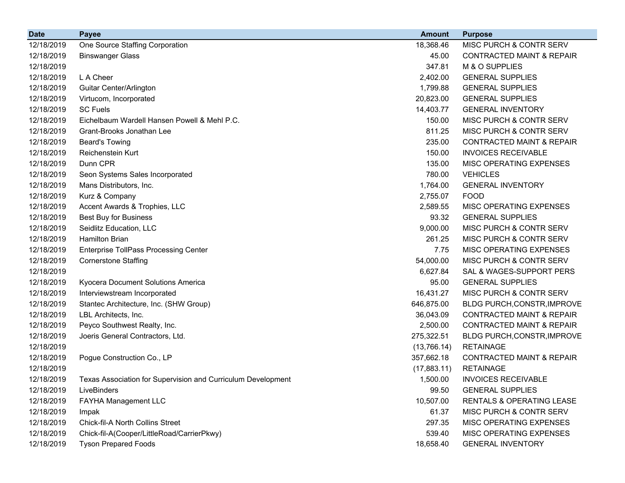| <b>Date</b> | <b>Payee</b>                                                 | <b>Amount</b> | <b>Purpose</b>                       |
|-------------|--------------------------------------------------------------|---------------|--------------------------------------|
| 12/18/2019  | One Source Staffing Corporation                              | 18,368.46     | MISC PURCH & CONTR SERV              |
| 12/18/2019  | <b>Binswanger Glass</b>                                      | 45.00         | <b>CONTRACTED MAINT &amp; REPAIR</b> |
| 12/18/2019  |                                                              | 347.81        | M & O SUPPLIES                       |
| 12/18/2019  | L A Cheer                                                    | 2,402.00      | <b>GENERAL SUPPLIES</b>              |
| 12/18/2019  | <b>Guitar Center/Arlington</b>                               | 1,799.88      | <b>GENERAL SUPPLIES</b>              |
| 12/18/2019  | Virtucom, Incorporated                                       | 20,823.00     | <b>GENERAL SUPPLIES</b>              |
| 12/18/2019  | <b>SC Fuels</b>                                              | 14,403.77     | <b>GENERAL INVENTORY</b>             |
| 12/18/2019  | Eichelbaum Wardell Hansen Powell & Mehl P.C.                 | 150.00        | MISC PURCH & CONTR SERV              |
| 12/18/2019  | Grant-Brooks Jonathan Lee                                    | 811.25        | MISC PURCH & CONTR SERV              |
| 12/18/2019  | <b>Beard's Towing</b>                                        | 235.00        | <b>CONTRACTED MAINT &amp; REPAIR</b> |
| 12/18/2019  | Reichenstein Kurt                                            | 150.00        | <b>INVOICES RECEIVABLE</b>           |
| 12/18/2019  | Dunn CPR                                                     | 135.00        | MISC OPERATING EXPENSES              |
| 12/18/2019  | Seon Systems Sales Incorporated                              | 780.00        | <b>VEHICLES</b>                      |
| 12/18/2019  | Mans Distributors, Inc.                                      | 1,764.00      | <b>GENERAL INVENTORY</b>             |
| 12/18/2019  | Kurz & Company                                               | 2,755.07      | <b>FOOD</b>                          |
| 12/18/2019  | Accent Awards & Trophies, LLC                                | 2,589.55      | <b>MISC OPERATING EXPENSES</b>       |
| 12/18/2019  | Best Buy for Business                                        | 93.32         | <b>GENERAL SUPPLIES</b>              |
| 12/18/2019  | Seidlitz Education, LLC                                      | 9,000.00      | MISC PURCH & CONTR SERV              |
| 12/18/2019  | <b>Hamilton Brian</b>                                        | 261.25        | MISC PURCH & CONTR SERV              |
| 12/18/2019  | <b>Enterprise TollPass Processing Center</b>                 | 7.75          | MISC OPERATING EXPENSES              |
| 12/18/2019  | <b>Cornerstone Staffing</b>                                  | 54,000.00     | <b>MISC PURCH &amp; CONTR SERV</b>   |
| 12/18/2019  |                                                              | 6,627.84      | SAL & WAGES-SUPPORT PERS             |
| 12/18/2019  | Kyocera Document Solutions America                           | 95.00         | <b>GENERAL SUPPLIES</b>              |
| 12/18/2019  | Interviewstream Incorporated                                 | 16,431.27     | <b>MISC PURCH &amp; CONTR SERV</b>   |
| 12/18/2019  | Stantec Architecture, Inc. (SHW Group)                       | 646,875.00    | BLDG PURCH, CONSTR, IMPROVE          |
| 12/18/2019  | LBL Architects, Inc.                                         | 36,043.09     | <b>CONTRACTED MAINT &amp; REPAIR</b> |
| 12/18/2019  | Peyco Southwest Realty, Inc.                                 | 2,500.00      | <b>CONTRACTED MAINT &amp; REPAIR</b> |
| 12/18/2019  | Joeris General Contractors, Ltd.                             | 275,322.51    | BLDG PURCH, CONSTR, IMPROVE          |
| 12/18/2019  |                                                              | (13,766.14)   | <b>RETAINAGE</b>                     |
| 12/18/2019  | Pogue Construction Co., LP                                   | 357,662.18    | <b>CONTRACTED MAINT &amp; REPAIR</b> |
| 12/18/2019  |                                                              | (17,883.11)   | <b>RETAINAGE</b>                     |
| 12/18/2019  | Texas Association for Supervision and Curriculum Development | 1,500.00      | <b>INVOICES RECEIVABLE</b>           |
| 12/18/2019  | LiveBinders                                                  | 99.50         | <b>GENERAL SUPPLIES</b>              |
| 12/18/2019  | FAYHA Management LLC                                         | 10,507.00     | <b>RENTALS &amp; OPERATING LEASE</b> |
| 12/18/2019  | Impak                                                        | 61.37         | MISC PURCH & CONTR SERV              |
| 12/18/2019  | Chick-fil-A North Collins Street                             | 297.35        | MISC OPERATING EXPENSES              |
| 12/18/2019  | Chick-fil-A(Cooper/LittleRoad/CarrierPkwy)                   | 539.40        | MISC OPERATING EXPENSES              |
| 12/18/2019  | <b>Tyson Prepared Foods</b>                                  | 18,658.40     | <b>GENERAL INVENTORY</b>             |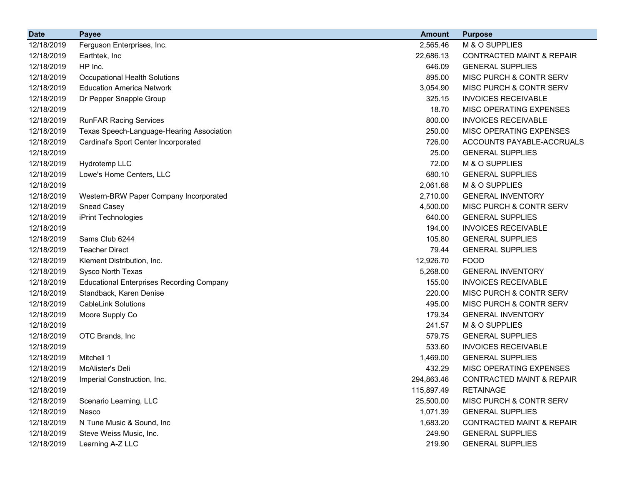| <b>Date</b> | <b>Payee</b>                                     | <b>Amount</b> | <b>Purpose</b>                       |
|-------------|--------------------------------------------------|---------------|--------------------------------------|
| 12/18/2019  | Ferguson Enterprises, Inc.                       | 2,565.46      | M & O SUPPLIES                       |
| 12/18/2019  | Earthtek, Inc                                    | 22,686.13     | <b>CONTRACTED MAINT &amp; REPAIR</b> |
| 12/18/2019  | HP Inc.                                          | 646.09        | <b>GENERAL SUPPLIES</b>              |
| 12/18/2019  | Occupational Health Solutions                    | 895.00        | MISC PURCH & CONTR SERV              |
| 12/18/2019  | <b>Education America Network</b>                 | 3,054.90      | MISC PURCH & CONTR SERV              |
| 12/18/2019  | Dr Pepper Snapple Group                          | 325.15        | <b>INVOICES RECEIVABLE</b>           |
| 12/18/2019  |                                                  | 18.70         | MISC OPERATING EXPENSES              |
| 12/18/2019  | <b>RunFAR Racing Services</b>                    | 800.00        | <b>INVOICES RECEIVABLE</b>           |
| 12/18/2019  | Texas Speech-Language-Hearing Association        | 250.00        | MISC OPERATING EXPENSES              |
| 12/18/2019  | Cardinal's Sport Center Incorporated             | 726.00        | ACCOUNTS PAYABLE-ACCRUALS            |
| 12/18/2019  |                                                  | 25.00         | <b>GENERAL SUPPLIES</b>              |
| 12/18/2019  | Hydrotemp LLC                                    | 72.00         | M & O SUPPLIES                       |
| 12/18/2019  | Lowe's Home Centers, LLC                         | 680.10        | <b>GENERAL SUPPLIES</b>              |
| 12/18/2019  |                                                  | 2,061.68      | M & O SUPPLIES                       |
| 12/18/2019  | Western-BRW Paper Company Incorporated           | 2,710.00      | <b>GENERAL INVENTORY</b>             |
| 12/18/2019  | <b>Snead Casey</b>                               | 4,500.00      | MISC PURCH & CONTR SERV              |
| 12/18/2019  | iPrint Technologies                              | 640.00        | <b>GENERAL SUPPLIES</b>              |
| 12/18/2019  |                                                  | 194.00        | <b>INVOICES RECEIVABLE</b>           |
| 12/18/2019  | Sams Club 6244                                   | 105.80        | <b>GENERAL SUPPLIES</b>              |
| 12/18/2019  | <b>Teacher Direct</b>                            | 79.44         | <b>GENERAL SUPPLIES</b>              |
| 12/18/2019  | Klement Distribution, Inc.                       | 12,926.70     | <b>FOOD</b>                          |
| 12/18/2019  | Sysco North Texas                                | 5,268.00      | <b>GENERAL INVENTORY</b>             |
| 12/18/2019  | <b>Educational Enterprises Recording Company</b> | 155.00        | <b>INVOICES RECEIVABLE</b>           |
| 12/18/2019  | Standback, Karen Denise                          | 220.00        | MISC PURCH & CONTR SERV              |
| 12/18/2019  | <b>CableLink Solutions</b>                       | 495.00        | MISC PURCH & CONTR SERV              |
| 12/18/2019  | Moore Supply Co                                  | 179.34        | <b>GENERAL INVENTORY</b>             |
| 12/18/2019  |                                                  | 241.57        | M & O SUPPLIES                       |
| 12/18/2019  | OTC Brands, Inc                                  | 579.75        | <b>GENERAL SUPPLIES</b>              |
| 12/18/2019  |                                                  | 533.60        | <b>INVOICES RECEIVABLE</b>           |
| 12/18/2019  | Mitchell 1                                       | 1,469.00      | <b>GENERAL SUPPLIES</b>              |
| 12/18/2019  | McAlister's Deli                                 | 432.29        | MISC OPERATING EXPENSES              |
| 12/18/2019  | Imperial Construction, Inc.                      | 294,863.46    | <b>CONTRACTED MAINT &amp; REPAIR</b> |
| 12/18/2019  |                                                  | 115,897.49    | <b>RETAINAGE</b>                     |
| 12/18/2019  | Scenario Learning, LLC                           | 25,500.00     | MISC PURCH & CONTR SERV              |
| 12/18/2019  | Nasco                                            | 1,071.39      | <b>GENERAL SUPPLIES</b>              |
| 12/18/2019  | N Tune Music & Sound, Inc.                       | 1,683.20      | <b>CONTRACTED MAINT &amp; REPAIR</b> |
| 12/18/2019  | Steve Weiss Music, Inc.                          | 249.90        | <b>GENERAL SUPPLIES</b>              |
| 12/18/2019  | Learning A-Z LLC                                 | 219.90        | <b>GENERAL SUPPLIES</b>              |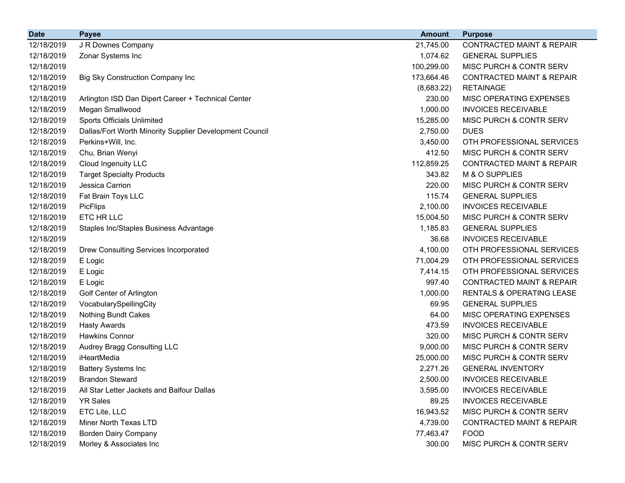| <b>Date</b> | <b>Payee</b>                                            | <b>Amount</b> | <b>Purpose</b>                       |
|-------------|---------------------------------------------------------|---------------|--------------------------------------|
| 12/18/2019  | J R Downes Company                                      | 21,745.00     | <b>CONTRACTED MAINT &amp; REPAIR</b> |
| 12/18/2019  | Zonar Systems Inc                                       | 1,074.62      | <b>GENERAL SUPPLIES</b>              |
| 12/18/2019  |                                                         | 100,299.00    | MISC PURCH & CONTR SERV              |
| 12/18/2019  | Big Sky Construction Company Inc                        | 173,664.46    | <b>CONTRACTED MAINT &amp; REPAIR</b> |
| 12/18/2019  |                                                         | (8,683.22)    | <b>RETAINAGE</b>                     |
| 12/18/2019  | Arlington ISD Dan Dipert Career + Technical Center      | 230.00        | MISC OPERATING EXPENSES              |
| 12/18/2019  | Megan Smallwood                                         | 1,000.00      | <b>INVOICES RECEIVABLE</b>           |
| 12/18/2019  | Sports Officials Unlimited                              | 15,285.00     | MISC PURCH & CONTR SERV              |
| 12/18/2019  | Dallas/Fort Worth Minority Supplier Development Council | 2,750.00      | <b>DUES</b>                          |
| 12/18/2019  | Perkins+Will, Inc.                                      | 3,450.00      | OTH PROFESSIONAL SERVICES            |
| 12/18/2019  | Chu, Brian Wenyi                                        | 412.50        | MISC PURCH & CONTR SERV              |
| 12/18/2019  | Cloud Ingenuity LLC                                     | 112,859.25    | <b>CONTRACTED MAINT &amp; REPAIR</b> |
| 12/18/2019  | <b>Target Specialty Products</b>                        | 343.82        | M & O SUPPLIES                       |
| 12/18/2019  | Jessica Carrion                                         | 220.00        | MISC PURCH & CONTR SERV              |
| 12/18/2019  | Fat Brain Toys LLC                                      | 115.74        | <b>GENERAL SUPPLIES</b>              |
| 12/18/2019  | <b>PicFlips</b>                                         | 2,100.00      | <b>INVOICES RECEIVABLE</b>           |
| 12/18/2019  | ETC HR LLC                                              | 15,004.50     | MISC PURCH & CONTR SERV              |
| 12/18/2019  | Staples Inc/Staples Business Advantage                  | 1,185.83      | <b>GENERAL SUPPLIES</b>              |
| 12/18/2019  |                                                         | 36.68         | <b>INVOICES RECEIVABLE</b>           |
| 12/18/2019  | Drew Consulting Services Incorporated                   | 4,100.00      | OTH PROFESSIONAL SERVICES            |
| 12/18/2019  | E Logic                                                 | 71,004.29     | OTH PROFESSIONAL SERVICES            |
| 12/18/2019  | E Logic                                                 | 7,414.15      | OTH PROFESSIONAL SERVICES            |
| 12/18/2019  | E Logic                                                 | 997.40        | <b>CONTRACTED MAINT &amp; REPAIR</b> |
| 12/18/2019  | Golf Center of Arlington                                | 1,000.00      | <b>RENTALS &amp; OPERATING LEASE</b> |
| 12/18/2019  | VocabularySpellingCity                                  | 69.95         | <b>GENERAL SUPPLIES</b>              |
| 12/18/2019  | Nothing Bundt Cakes                                     | 64.00         | MISC OPERATING EXPENSES              |
| 12/18/2019  | <b>Hasty Awards</b>                                     | 473.59        | <b>INVOICES RECEIVABLE</b>           |
| 12/18/2019  | <b>Hawkins Connor</b>                                   | 320.00        | MISC PURCH & CONTR SERV              |
| 12/18/2019  | Audrey Bragg Consulting LLC                             | 9,000.00      | MISC PURCH & CONTR SERV              |
| 12/18/2019  | iHeartMedia                                             | 25,000.00     | MISC PURCH & CONTR SERV              |
| 12/18/2019  | <b>Battery Systems Inc</b>                              | 2,271.26      | <b>GENERAL INVENTORY</b>             |
| 12/18/2019  | <b>Brandon Steward</b>                                  | 2,500.00      | <b>INVOICES RECEIVABLE</b>           |
| 12/18/2019  | All Star Letter Jackets and Balfour Dallas              | 3,595.00      | <b>INVOICES RECEIVABLE</b>           |
| 12/18/2019  | <b>YR Sales</b>                                         | 89.25         | <b>INVOICES RECEIVABLE</b>           |
| 12/18/2019  | ETC Lite, LLC                                           | 16,943.52     | MISC PURCH & CONTR SERV              |
| 12/18/2019  | Miner North Texas LTD                                   | 4,739.00      | <b>CONTRACTED MAINT &amp; REPAIR</b> |
| 12/18/2019  | <b>Borden Dairy Company</b>                             | 77,463.47     | <b>FOOD</b>                          |
| 12/18/2019  | Morley & Associates Inc                                 | 300.00        | MISC PURCH & CONTR SERV              |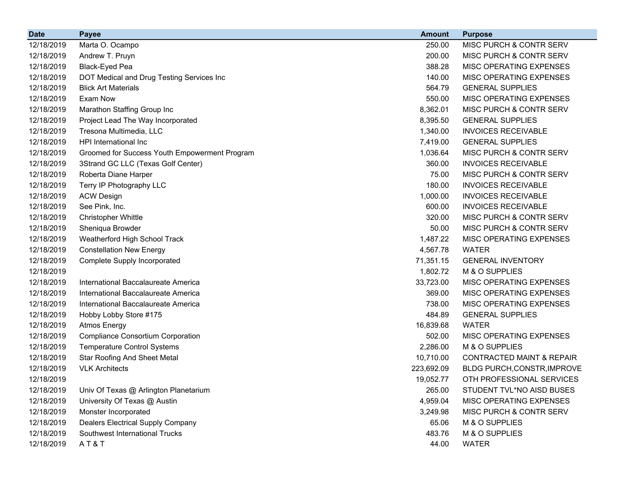| <b>Date</b> | <b>Payee</b>                                  | <b>Amount</b> | <b>Purpose</b>                       |
|-------------|-----------------------------------------------|---------------|--------------------------------------|
| 12/18/2019  | Marta O. Ocampo                               | 250.00        | MISC PURCH & CONTR SERV              |
| 12/18/2019  | Andrew T. Pruyn                               | 200.00        | MISC PURCH & CONTR SERV              |
| 12/18/2019  | Black-Eyed Pea                                | 388.28        | MISC OPERATING EXPENSES              |
| 12/18/2019  | DOT Medical and Drug Testing Services Inc     | 140.00        | MISC OPERATING EXPENSES              |
| 12/18/2019  | <b>Blick Art Materials</b>                    | 564.79        | <b>GENERAL SUPPLIES</b>              |
| 12/18/2019  | Exam Now                                      | 550.00        | MISC OPERATING EXPENSES              |
| 12/18/2019  | Marathon Staffing Group Inc                   | 8,362.01      | MISC PURCH & CONTR SERV              |
| 12/18/2019  | Project Lead The Way Incorporated             | 8,395.50      | <b>GENERAL SUPPLIES</b>              |
| 12/18/2019  | Tresona Multimedia, LLC                       | 1,340.00      | <b>INVOICES RECEIVABLE</b>           |
| 12/18/2019  | HPI International Inc.                        | 7,419.00      | <b>GENERAL SUPPLIES</b>              |
| 12/18/2019  | Groomed for Success Youth Empowerment Program | 1,036.64      | MISC PURCH & CONTR SERV              |
| 12/18/2019  | 3Strand GC LLC (Texas Golf Center)            | 360.00        | <b>INVOICES RECEIVABLE</b>           |
| 12/18/2019  | Roberta Diane Harper                          | 75.00         | MISC PURCH & CONTR SERV              |
| 12/18/2019  | Terry IP Photography LLC                      | 180.00        | <b>INVOICES RECEIVABLE</b>           |
| 12/18/2019  | <b>ACW Design</b>                             | 1,000.00      | <b>INVOICES RECEIVABLE</b>           |
| 12/18/2019  | See Pink, Inc.                                | 600.00        | <b>INVOICES RECEIVABLE</b>           |
| 12/18/2019  | <b>Christopher Whittle</b>                    | 320.00        | MISC PURCH & CONTR SERV              |
| 12/18/2019  | Sheniqua Browder                              | 50.00         | MISC PURCH & CONTR SERV              |
| 12/18/2019  | Weatherford High School Track                 | 1,487.22      | MISC OPERATING EXPENSES              |
| 12/18/2019  | <b>Constellation New Energy</b>               | 4,567.78      | <b>WATER</b>                         |
| 12/18/2019  | <b>Complete Supply Incorporated</b>           | 71,351.15     | <b>GENERAL INVENTORY</b>             |
| 12/18/2019  |                                               | 1,802.72      | M & O SUPPLIES                       |
| 12/18/2019  | International Baccalaureate America           | 33,723.00     | MISC OPERATING EXPENSES              |
| 12/18/2019  | International Baccalaureate America           | 369.00        | MISC OPERATING EXPENSES              |
| 12/18/2019  | International Baccalaureate America           | 738.00        | MISC OPERATING EXPENSES              |
| 12/18/2019  | Hobby Lobby Store #175                        | 484.89        | <b>GENERAL SUPPLIES</b>              |
| 12/18/2019  | <b>Atmos Energy</b>                           | 16,839.68     | <b>WATER</b>                         |
| 12/18/2019  | <b>Compliance Consortium Corporation</b>      | 502.00        | MISC OPERATING EXPENSES              |
| 12/18/2019  | <b>Temperature Control Systems</b>            | 2,286.00      | M & O SUPPLIES                       |
| 12/18/2019  | <b>Star Roofing And Sheet Metal</b>           | 10,710.00     | <b>CONTRACTED MAINT &amp; REPAIR</b> |
| 12/18/2019  | <b>VLK Architects</b>                         | 223,692.09    | BLDG PURCH, CONSTR, IMPROVE          |
| 12/18/2019  |                                               | 19,052.77     | OTH PROFESSIONAL SERVICES            |
| 12/18/2019  | Univ Of Texas @ Arlington Planetarium         | 265.00        | STUDENT TVL*NO AISD BUSES            |
| 12/18/2019  | University Of Texas @ Austin                  | 4,959.04      | MISC OPERATING EXPENSES              |
| 12/18/2019  | Monster Incorporated                          | 3,249.98      | MISC PURCH & CONTR SERV              |
| 12/18/2019  | <b>Dealers Electrical Supply Company</b>      | 65.06         | M & O SUPPLIES                       |
| 12/18/2019  | Southwest International Trucks                | 483.76        | M & O SUPPLIES                       |
| 12/18/2019  | AT&T                                          | 44.00         | <b>WATER</b>                         |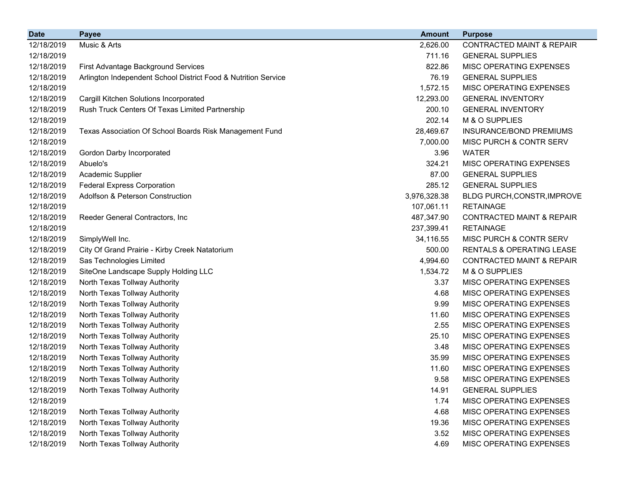| <b>Date</b> | <b>Payee</b>                                                   | <b>Amount</b> | <b>Purpose</b>                       |
|-------------|----------------------------------------------------------------|---------------|--------------------------------------|
| 12/18/2019  | Music & Arts                                                   | 2,626.00      | CONTRACTED MAINT & REPAIR            |
| 12/18/2019  |                                                                | 711.16        | <b>GENERAL SUPPLIES</b>              |
| 12/18/2019  | First Advantage Background Services                            | 822.86        | MISC OPERATING EXPENSES              |
| 12/18/2019  | Arlington Independent School District Food & Nutrition Service | 76.19         | <b>GENERAL SUPPLIES</b>              |
| 12/18/2019  |                                                                | 1,572.15      | MISC OPERATING EXPENSES              |
| 12/18/2019  | Cargill Kitchen Solutions Incorporated                         | 12,293.00     | <b>GENERAL INVENTORY</b>             |
| 12/18/2019  | Rush Truck Centers Of Texas Limited Partnership                | 200.10        | <b>GENERAL INVENTORY</b>             |
| 12/18/2019  |                                                                | 202.14        | M & O SUPPLIES                       |
| 12/18/2019  | Texas Association Of School Boards Risk Management Fund        | 28,469.67     | INSURANCE/BOND PREMIUMS              |
| 12/18/2019  |                                                                | 7,000.00      | MISC PURCH & CONTR SERV              |
| 12/18/2019  | Gordon Darby Incorporated                                      | 3.96          | <b>WATER</b>                         |
| 12/18/2019  | Abuelo's                                                       | 324.21        | MISC OPERATING EXPENSES              |
| 12/18/2019  | Academic Supplier                                              | 87.00         | <b>GENERAL SUPPLIES</b>              |
| 12/18/2019  | <b>Federal Express Corporation</b>                             | 285.12        | <b>GENERAL SUPPLIES</b>              |
| 12/18/2019  | Adolfson & Peterson Construction                               | 3,976,328.38  | BLDG PURCH, CONSTR, IMPROVE          |
| 12/18/2019  |                                                                | 107,061.11    | <b>RETAINAGE</b>                     |
| 12/18/2019  | Reeder General Contractors, Inc                                | 487,347.90    | <b>CONTRACTED MAINT &amp; REPAIR</b> |
| 12/18/2019  |                                                                | 237,399.41    | <b>RETAINAGE</b>                     |
| 12/18/2019  | SimplyWell Inc.                                                | 34,116.55     | MISC PURCH & CONTR SERV              |
| 12/18/2019  | City Of Grand Prairie - Kirby Creek Natatorium                 | 500.00        | RENTALS & OPERATING LEASE            |
| 12/18/2019  | Sas Technologies Limited                                       | 4,994.60      | <b>CONTRACTED MAINT &amp; REPAIR</b> |
| 12/18/2019  | SiteOne Landscape Supply Holding LLC                           | 1,534.72      | M & O SUPPLIES                       |
| 12/18/2019  | North Texas Tollway Authority                                  | 3.37          | MISC OPERATING EXPENSES              |
| 12/18/2019  | North Texas Tollway Authority                                  | 4.68          | MISC OPERATING EXPENSES              |
| 12/18/2019  | North Texas Tollway Authority                                  | 9.99          | MISC OPERATING EXPENSES              |
| 12/18/2019  | North Texas Tollway Authority                                  | 11.60         | MISC OPERATING EXPENSES              |
| 12/18/2019  | North Texas Tollway Authority                                  | 2.55          | MISC OPERATING EXPENSES              |
| 12/18/2019  | North Texas Tollway Authority                                  | 25.10         | MISC OPERATING EXPENSES              |
| 12/18/2019  | North Texas Tollway Authority                                  | 3.48          | MISC OPERATING EXPENSES              |
| 12/18/2019  | North Texas Tollway Authority                                  | 35.99         | MISC OPERATING EXPENSES              |
| 12/18/2019  | North Texas Tollway Authority                                  | 11.60         | MISC OPERATING EXPENSES              |
| 12/18/2019  | North Texas Tollway Authority                                  | 9.58          | MISC OPERATING EXPENSES              |
| 12/18/2019  | North Texas Tollway Authority                                  | 14.91         | <b>GENERAL SUPPLIES</b>              |
| 12/18/2019  |                                                                | 1.74          | MISC OPERATING EXPENSES              |
| 12/18/2019  | North Texas Tollway Authority                                  | 4.68          | MISC OPERATING EXPENSES              |
| 12/18/2019  | North Texas Tollway Authority                                  | 19.36         | MISC OPERATING EXPENSES              |
| 12/18/2019  | North Texas Tollway Authority                                  | 3.52          | MISC OPERATING EXPENSES              |
| 12/18/2019  | North Texas Tollway Authority                                  | 4.69          | MISC OPERATING EXPENSES              |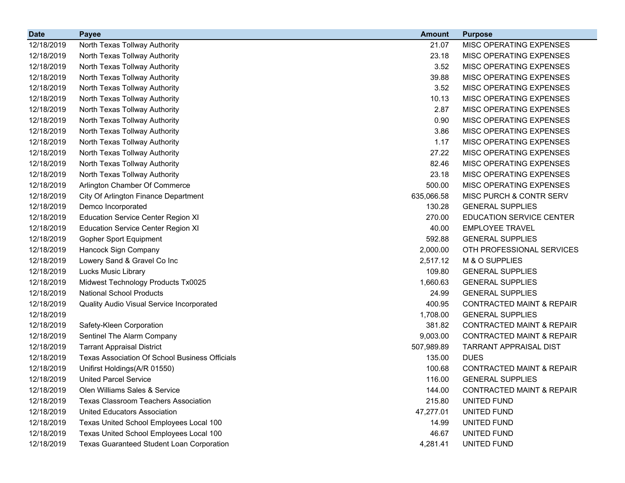| <b>Date</b> | <b>Payee</b>                                          | <b>Amount</b> | <b>Purpose</b>                       |
|-------------|-------------------------------------------------------|---------------|--------------------------------------|
| 12/18/2019  | North Texas Tollway Authority                         | 21.07         | MISC OPERATING EXPENSES              |
| 12/18/2019  | North Texas Tollway Authority                         | 23.18         | MISC OPERATING EXPENSES              |
| 12/18/2019  | North Texas Tollway Authority                         | 3.52          | MISC OPERATING EXPENSES              |
| 12/18/2019  | North Texas Tollway Authority                         | 39.88         | MISC OPERATING EXPENSES              |
| 12/18/2019  | North Texas Tollway Authority                         | 3.52          | MISC OPERATING EXPENSES              |
| 12/18/2019  | North Texas Tollway Authority                         | 10.13         | MISC OPERATING EXPENSES              |
| 12/18/2019  | North Texas Tollway Authority                         | 2.87          | MISC OPERATING EXPENSES              |
| 12/18/2019  | North Texas Tollway Authority                         | 0.90          | MISC OPERATING EXPENSES              |
| 12/18/2019  | North Texas Tollway Authority                         | 3.86          | MISC OPERATING EXPENSES              |
| 12/18/2019  | North Texas Tollway Authority                         | 1.17          | MISC OPERATING EXPENSES              |
| 12/18/2019  | North Texas Tollway Authority                         | 27.22         | MISC OPERATING EXPENSES              |
| 12/18/2019  | North Texas Tollway Authority                         | 82.46         | MISC OPERATING EXPENSES              |
| 12/18/2019  | North Texas Tollway Authority                         | 23.18         | MISC OPERATING EXPENSES              |
| 12/18/2019  | Arlington Chamber Of Commerce                         | 500.00        | MISC OPERATING EXPENSES              |
| 12/18/2019  | City Of Arlington Finance Department                  | 635,066.58    | MISC PURCH & CONTR SERV              |
| 12/18/2019  | Demco Incorporated                                    | 130.28        | <b>GENERAL SUPPLIES</b>              |
| 12/18/2019  | <b>Education Service Center Region XI</b>             | 270.00        | <b>EDUCATION SERVICE CENTER</b>      |
| 12/18/2019  | <b>Education Service Center Region XI</b>             | 40.00         | <b>EMPLOYEE TRAVEL</b>               |
| 12/18/2019  | <b>Gopher Sport Equipment</b>                         | 592.88        | <b>GENERAL SUPPLIES</b>              |
| 12/18/2019  | Hancock Sign Company                                  | 2,000.00      | OTH PROFESSIONAL SERVICES            |
| 12/18/2019  | Lowery Sand & Gravel Co Inc                           | 2,517.12      | M & O SUPPLIES                       |
| 12/18/2019  | Lucks Music Library                                   | 109.80        | <b>GENERAL SUPPLIES</b>              |
| 12/18/2019  | Midwest Technology Products Tx0025                    | 1,660.63      | <b>GENERAL SUPPLIES</b>              |
| 12/18/2019  | <b>National School Products</b>                       | 24.99         | <b>GENERAL SUPPLIES</b>              |
| 12/18/2019  | Quality Audio Visual Service Incorporated             | 400.95        | <b>CONTRACTED MAINT &amp; REPAIR</b> |
| 12/18/2019  |                                                       | 1,708.00      | <b>GENERAL SUPPLIES</b>              |
| 12/18/2019  | Safety-Kleen Corporation                              | 381.82        | <b>CONTRACTED MAINT &amp; REPAIR</b> |
| 12/18/2019  | Sentinel The Alarm Company                            | 9,003.00      | <b>CONTRACTED MAINT &amp; REPAIR</b> |
| 12/18/2019  | <b>Tarrant Appraisal District</b>                     | 507,989.89    | <b>TARRANT APPRAISAL DIST</b>        |
| 12/18/2019  | <b>Texas Association Of School Business Officials</b> | 135.00        | <b>DUES</b>                          |
| 12/18/2019  | Unifirst Holdings(A/R 01550)                          | 100.68        | <b>CONTRACTED MAINT &amp; REPAIR</b> |
| 12/18/2019  | <b>United Parcel Service</b>                          | 116.00        | <b>GENERAL SUPPLIES</b>              |
| 12/18/2019  | Olen Williams Sales & Service                         | 144.00        | <b>CONTRACTED MAINT &amp; REPAIR</b> |
| 12/18/2019  | <b>Texas Classroom Teachers Association</b>           | 215.80        | UNITED FUND                          |
| 12/18/2019  | <b>United Educators Association</b>                   | 47,277.01     | UNITED FUND                          |
| 12/18/2019  | Texas United School Employees Local 100               | 14.99         | UNITED FUND                          |
| 12/18/2019  | Texas United School Employees Local 100               | 46.67         | UNITED FUND                          |
| 12/18/2019  | <b>Texas Guaranteed Student Loan Corporation</b>      | 4,281.41      | UNITED FUND                          |
|             |                                                       |               |                                      |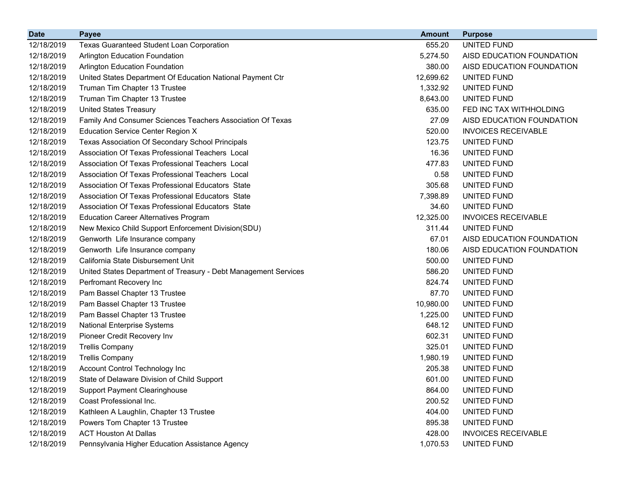| <b>Date</b> | <b>Payee</b>                                                    | Amount    | <b>Purpose</b>             |
|-------------|-----------------------------------------------------------------|-----------|----------------------------|
| 12/18/2019  | <b>Texas Guaranteed Student Loan Corporation</b>                | 655.20    | UNITED FUND                |
| 12/18/2019  | Arlington Education Foundation                                  | 5,274.50  | AISD EDUCATION FOUNDATION  |
| 12/18/2019  | <b>Arlington Education Foundation</b>                           | 380.00    | AISD EDUCATION FOUNDATION  |
| 12/18/2019  | United States Department Of Education National Payment Ctr      | 12,699.62 | UNITED FUND                |
| 12/18/2019  | Truman Tim Chapter 13 Trustee                                   | 1,332.92  | UNITED FUND                |
| 12/18/2019  | Truman Tim Chapter 13 Trustee                                   | 8,643.00  | UNITED FUND                |
| 12/18/2019  | <b>United States Treasury</b>                                   | 635.00    | FED INC TAX WITHHOLDING    |
| 12/18/2019  | Family And Consumer Sciences Teachers Association Of Texas      | 27.09     | AISD EDUCATION FOUNDATION  |
| 12/18/2019  | Education Service Center Region X                               | 520.00    | <b>INVOICES RECEIVABLE</b> |
| 12/18/2019  | Texas Association Of Secondary School Principals                | 123.75    | UNITED FUND                |
| 12/18/2019  | Association Of Texas Professional Teachers Local                | 16.36     | UNITED FUND                |
| 12/18/2019  | Association Of Texas Professional Teachers Local                | 477.83    | UNITED FUND                |
| 12/18/2019  | Association Of Texas Professional Teachers Local                | 0.58      | UNITED FUND                |
| 12/18/2019  | Association Of Texas Professional Educators State               | 305.68    | UNITED FUND                |
| 12/18/2019  | Association Of Texas Professional Educators State               | 7,398.89  | UNITED FUND                |
| 12/18/2019  | Association Of Texas Professional Educators State               | 34.60     | UNITED FUND                |
| 12/18/2019  | <b>Education Career Alternatives Program</b>                    | 12,325.00 | <b>INVOICES RECEIVABLE</b> |
| 12/18/2019  | New Mexico Child Support Enforcement Division(SDU)              | 311.44    | UNITED FUND                |
| 12/18/2019  | Genworth Life Insurance company                                 | 67.01     | AISD EDUCATION FOUNDATION  |
| 12/18/2019  | Genworth Life Insurance company                                 | 180.06    | AISD EDUCATION FOUNDATION  |
| 12/18/2019  | California State Disbursement Unit                              | 500.00    | UNITED FUND                |
| 12/18/2019  | United States Department of Treasury - Debt Management Services | 586.20    | UNITED FUND                |
| 12/18/2019  | Perfromant Recovery Inc                                         | 824.74    | UNITED FUND                |
| 12/18/2019  | Pam Bassel Chapter 13 Trustee                                   | 87.70     | UNITED FUND                |
| 12/18/2019  | Pam Bassel Chapter 13 Trustee                                   | 10,980.00 | UNITED FUND                |
| 12/18/2019  | Pam Bassel Chapter 13 Trustee                                   | 1,225.00  | UNITED FUND                |
| 12/18/2019  | <b>National Enterprise Systems</b>                              | 648.12    | UNITED FUND                |
| 12/18/2019  | Pioneer Credit Recovery Inv                                     | 602.31    | UNITED FUND                |
| 12/18/2019  | <b>Trellis Company</b>                                          | 325.01    | UNITED FUND                |
| 12/18/2019  | <b>Trellis Company</b>                                          | 1,980.19  | UNITED FUND                |
| 12/18/2019  | Account Control Technology Inc                                  | 205.38    | UNITED FUND                |
| 12/18/2019  | State of Delaware Division of Child Support                     | 601.00    | UNITED FUND                |
| 12/18/2019  | <b>Support Payment Clearinghouse</b>                            | 864.00    | UNITED FUND                |
| 12/18/2019  | Coast Professional Inc.                                         | 200.52    | UNITED FUND                |
| 12/18/2019  | Kathleen A Laughlin, Chapter 13 Trustee                         | 404.00    | UNITED FUND                |
| 12/18/2019  | Powers Tom Chapter 13 Trustee                                   | 895.38    | UNITED FUND                |
| 12/18/2019  | <b>ACT Houston At Dallas</b>                                    | 428.00    | <b>INVOICES RECEIVABLE</b> |
| 12/18/2019  | Pennsylvania Higher Education Assistance Agency                 | 1,070.53  | UNITED FUND                |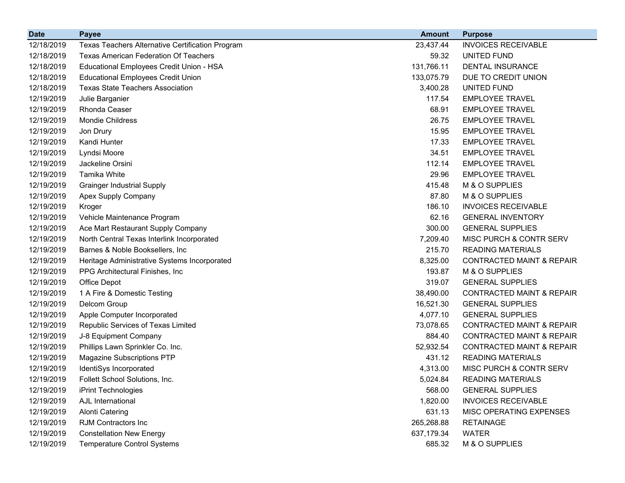| <b>Date</b> | <b>Payee</b>                                     | <b>Amount</b> | <b>Purpose</b>                       |
|-------------|--------------------------------------------------|---------------|--------------------------------------|
| 12/18/2019  | Texas Teachers Alternative Certification Program | 23,437.44     | <b>INVOICES RECEIVABLE</b>           |
| 12/18/2019  | <b>Texas American Federation Of Teachers</b>     | 59.32         | UNITED FUND                          |
| 12/18/2019  | Educational Employees Credit Union - HSA         | 131,766.11    | <b>DENTAL INSURANCE</b>              |
| 12/18/2019  | <b>Educational Employees Credit Union</b>        | 133,075.79    | DUE TO CREDIT UNION                  |
| 12/18/2019  | <b>Texas State Teachers Association</b>          | 3,400.28      | UNITED FUND                          |
| 12/19/2019  | Julie Barganier                                  | 117.54        | <b>EMPLOYEE TRAVEL</b>               |
| 12/19/2019  | Rhonda Ceaser                                    | 68.91         | <b>EMPLOYEE TRAVEL</b>               |
| 12/19/2019  | <b>Mondie Childress</b>                          | 26.75         | <b>EMPLOYEE TRAVEL</b>               |
| 12/19/2019  | Jon Drury                                        | 15.95         | <b>EMPLOYEE TRAVEL</b>               |
| 12/19/2019  | Kandi Hunter                                     | 17.33         | <b>EMPLOYEE TRAVEL</b>               |
| 12/19/2019  | Lyndsi Moore                                     | 34.51         | <b>EMPLOYEE TRAVEL</b>               |
| 12/19/2019  | Jackeline Orsini                                 | 112.14        | <b>EMPLOYEE TRAVEL</b>               |
| 12/19/2019  | Tamika White                                     | 29.96         | <b>EMPLOYEE TRAVEL</b>               |
| 12/19/2019  | <b>Grainger Industrial Supply</b>                | 415.48        | M & O SUPPLIES                       |
| 12/19/2019  | Apex Supply Company                              | 87.80         | M & O SUPPLIES                       |
| 12/19/2019  | Kroger                                           | 186.10        | <b>INVOICES RECEIVABLE</b>           |
| 12/19/2019  | Vehicle Maintenance Program                      | 62.16         | <b>GENERAL INVENTORY</b>             |
| 12/19/2019  | Ace Mart Restaurant Supply Company               | 300.00        | <b>GENERAL SUPPLIES</b>              |
| 12/19/2019  | North Central Texas Interlink Incorporated       | 7,209.40      | MISC PURCH & CONTR SERV              |
| 12/19/2019  | Barnes & Noble Booksellers, Inc.                 | 215.70        | <b>READING MATERIALS</b>             |
| 12/19/2019  | Heritage Administrative Systems Incorporated     | 8,325.00      | <b>CONTRACTED MAINT &amp; REPAIR</b> |
| 12/19/2019  | PPG Architectural Finishes, Inc.                 | 193.87        | M & O SUPPLIES                       |
| 12/19/2019  | Office Depot                                     | 319.07        | <b>GENERAL SUPPLIES</b>              |
| 12/19/2019  | 1 A Fire & Domestic Testing                      | 38,490.00     | <b>CONTRACTED MAINT &amp; REPAIR</b> |
| 12/19/2019  | Delcom Group                                     | 16,521.30     | <b>GENERAL SUPPLIES</b>              |
| 12/19/2019  | Apple Computer Incorporated                      | 4,077.10      | <b>GENERAL SUPPLIES</b>              |
| 12/19/2019  | Republic Services of Texas Limited               | 73,078.65     | <b>CONTRACTED MAINT &amp; REPAIR</b> |
| 12/19/2019  | J-8 Equipment Company                            | 884.40        | <b>CONTRACTED MAINT &amp; REPAIR</b> |
| 12/19/2019  | Phillips Lawn Sprinkler Co. Inc.                 | 52,932.54     | <b>CONTRACTED MAINT &amp; REPAIR</b> |
| 12/19/2019  | <b>Magazine Subscriptions PTP</b>                | 431.12        | <b>READING MATERIALS</b>             |
| 12/19/2019  | IdentiSys Incorporated                           | 4,313.00      | MISC PURCH & CONTR SERV              |
| 12/19/2019  | Follett School Solutions, Inc.                   | 5,024.84      | <b>READING MATERIALS</b>             |
| 12/19/2019  | iPrint Technologies                              | 568.00        | <b>GENERAL SUPPLIES</b>              |
| 12/19/2019  | AJL International                                | 1,820.00      | <b>INVOICES RECEIVABLE</b>           |
| 12/19/2019  | <b>Alonti Catering</b>                           | 631.13        | MISC OPERATING EXPENSES              |
| 12/19/2019  | RJM Contractors Inc                              | 265,268.88    | <b>RETAINAGE</b>                     |
| 12/19/2019  | <b>Constellation New Energy</b>                  | 637,179.34    | <b>WATER</b>                         |
| 12/19/2019  | <b>Temperature Control Systems</b>               | 685.32        | M & O SUPPLIES                       |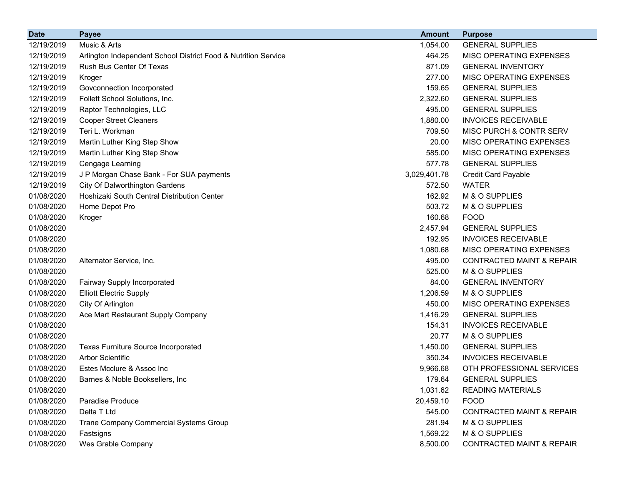| <b>Date</b> | <b>Payee</b>                                                   | <b>Amount</b> | <b>Purpose</b>                       |
|-------------|----------------------------------------------------------------|---------------|--------------------------------------|
| 12/19/2019  | Music & Arts                                                   | 1,054.00      | <b>GENERAL SUPPLIES</b>              |
| 12/19/2019  | Arlington Independent School District Food & Nutrition Service | 464.25        | MISC OPERATING EXPENSES              |
| 12/19/2019  | Rush Bus Center Of Texas                                       | 871.09        | <b>GENERAL INVENTORY</b>             |
| 12/19/2019  | Kroger                                                         | 277.00        | MISC OPERATING EXPENSES              |
| 12/19/2019  | Govconnection Incorporated                                     | 159.65        | <b>GENERAL SUPPLIES</b>              |
| 12/19/2019  | Follett School Solutions, Inc.                                 | 2,322.60      | <b>GENERAL SUPPLIES</b>              |
| 12/19/2019  | Raptor Technologies, LLC                                       | 495.00        | <b>GENERAL SUPPLIES</b>              |
| 12/19/2019  | <b>Cooper Street Cleaners</b>                                  | 1,880.00      | <b>INVOICES RECEIVABLE</b>           |
| 12/19/2019  | Teri L. Workman                                                | 709.50        | MISC PURCH & CONTR SERV              |
| 12/19/2019  | Martin Luther King Step Show                                   | 20.00         | MISC OPERATING EXPENSES              |
| 12/19/2019  | Martin Luther King Step Show                                   | 585.00        | MISC OPERATING EXPENSES              |
| 12/19/2019  | Cengage Learning                                               | 577.78        | <b>GENERAL SUPPLIES</b>              |
| 12/19/2019  | J P Morgan Chase Bank - For SUA payments                       | 3,029,401.78  | <b>Credit Card Payable</b>           |
| 12/19/2019  | City Of Dalworthington Gardens                                 | 572.50        | <b>WATER</b>                         |
| 01/08/2020  | Hoshizaki South Central Distribution Center                    | 162.92        | M & O SUPPLIES                       |
| 01/08/2020  | Home Depot Pro                                                 | 503.72        | M & O SUPPLIES                       |
| 01/08/2020  | Kroger                                                         | 160.68        | <b>FOOD</b>                          |
| 01/08/2020  |                                                                | 2,457.94      | <b>GENERAL SUPPLIES</b>              |
| 01/08/2020  |                                                                | 192.95        | <b>INVOICES RECEIVABLE</b>           |
| 01/08/2020  |                                                                | 1,080.68      | MISC OPERATING EXPENSES              |
| 01/08/2020  | Alternator Service, Inc.                                       | 495.00        | <b>CONTRACTED MAINT &amp; REPAIR</b> |
| 01/08/2020  |                                                                | 525.00        | M & O SUPPLIES                       |
| 01/08/2020  | Fairway Supply Incorporated                                    | 84.00         | <b>GENERAL INVENTORY</b>             |
| 01/08/2020  | <b>Elliott Electric Supply</b>                                 | 1,206.59      | M & O SUPPLIES                       |
| 01/08/2020  | City Of Arlington                                              | 450.00        | MISC OPERATING EXPENSES              |
| 01/08/2020  | Ace Mart Restaurant Supply Company                             | 1,416.29      | <b>GENERAL SUPPLIES</b>              |
| 01/08/2020  |                                                                | 154.31        | <b>INVOICES RECEIVABLE</b>           |
| 01/08/2020  |                                                                | 20.77         | M & O SUPPLIES                       |
| 01/08/2020  | <b>Texas Furniture Source Incorporated</b>                     | 1,450.00      | <b>GENERAL SUPPLIES</b>              |
| 01/08/2020  | <b>Arbor Scientific</b>                                        | 350.34        | <b>INVOICES RECEIVABLE</b>           |
| 01/08/2020  | Estes Mcclure & Assoc Inc                                      | 9,966.68      | OTH PROFESSIONAL SERVICES            |
| 01/08/2020  | Barnes & Noble Booksellers, Inc                                | 179.64        | <b>GENERAL SUPPLIES</b>              |
| 01/08/2020  |                                                                | 1,031.62      | <b>READING MATERIALS</b>             |
| 01/08/2020  | Paradise Produce                                               | 20,459.10     | <b>FOOD</b>                          |
| 01/08/2020  | Delta T Ltd                                                    | 545.00        | <b>CONTRACTED MAINT &amp; REPAIR</b> |
| 01/08/2020  | Trane Company Commercial Systems Group                         | 281.94        | M & O SUPPLIES                       |
| 01/08/2020  | Fastsigns                                                      | 1,569.22      | M & O SUPPLIES                       |
| 01/08/2020  | Wes Grable Company                                             | 8,500.00      | <b>CONTRACTED MAINT &amp; REPAIR</b> |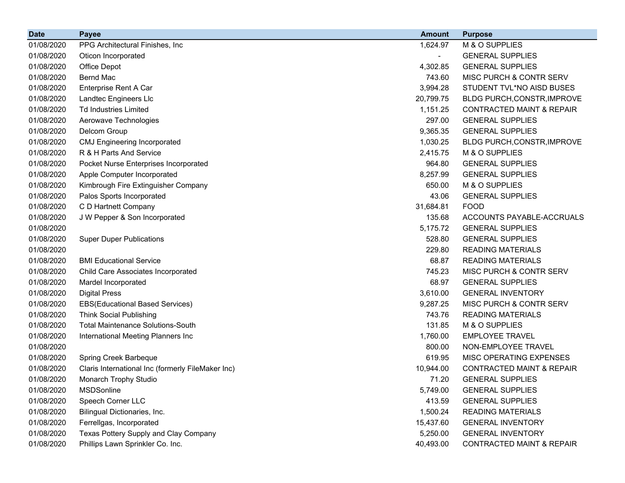| <b>Date</b> | <b>Payee</b>                                      | <b>Amount</b> | <b>Purpose</b>                       |
|-------------|---------------------------------------------------|---------------|--------------------------------------|
| 01/08/2020  | PPG Architectural Finishes, Inc.                  | 1,624.97      | M & O SUPPLIES                       |
| 01/08/2020  | Oticon Incorporated                               |               | <b>GENERAL SUPPLIES</b>              |
| 01/08/2020  | Office Depot                                      | 4,302.85      | <b>GENERAL SUPPLIES</b>              |
| 01/08/2020  | <b>Bernd Mac</b>                                  | 743.60        | MISC PURCH & CONTR SERV              |
| 01/08/2020  | Enterprise Rent A Car                             | 3,994.28      | STUDENT TVL*NO AISD BUSES            |
| 01/08/2020  | Landtec Engineers Llc                             | 20,799.75     | BLDG PURCH, CONSTR, IMPROVE          |
| 01/08/2020  | <b>Td Industries Limited</b>                      | 1,151.25      | <b>CONTRACTED MAINT &amp; REPAIR</b> |
| 01/08/2020  | Aerowave Technologies                             | 297.00        | <b>GENERAL SUPPLIES</b>              |
| 01/08/2020  | Delcom Group                                      | 9,365.35      | <b>GENERAL SUPPLIES</b>              |
| 01/08/2020  | <b>CMJ Engineering Incorporated</b>               | 1,030.25      | BLDG PURCH, CONSTR, IMPROVE          |
| 01/08/2020  | R & H Parts And Service                           | 2,415.75      | M & O SUPPLIES                       |
| 01/08/2020  | Pocket Nurse Enterprises Incorporated             | 964.80        | <b>GENERAL SUPPLIES</b>              |
| 01/08/2020  | Apple Computer Incorporated                       | 8,257.99      | <b>GENERAL SUPPLIES</b>              |
| 01/08/2020  | Kimbrough Fire Extinguisher Company               | 650.00        | M & O SUPPLIES                       |
| 01/08/2020  | Palos Sports Incorporated                         | 43.06         | <b>GENERAL SUPPLIES</b>              |
| 01/08/2020  | C D Hartnett Company                              | 31,684.81     | <b>FOOD</b>                          |
| 01/08/2020  | J W Pepper & Son Incorporated                     | 135.68        | ACCOUNTS PAYABLE-ACCRUALS            |
| 01/08/2020  |                                                   | 5,175.72      | <b>GENERAL SUPPLIES</b>              |
| 01/08/2020  | <b>Super Duper Publications</b>                   | 528.80        | <b>GENERAL SUPPLIES</b>              |
| 01/08/2020  |                                                   | 229.80        | <b>READING MATERIALS</b>             |
| 01/08/2020  | <b>BMI Educational Service</b>                    | 68.87         | <b>READING MATERIALS</b>             |
| 01/08/2020  | Child Care Associates Incorporated                | 745.23        | MISC PURCH & CONTR SERV              |
| 01/08/2020  | Mardel Incorporated                               | 68.97         | <b>GENERAL SUPPLIES</b>              |
| 01/08/2020  | <b>Digital Press</b>                              | 3,610.00      | <b>GENERAL INVENTORY</b>             |
| 01/08/2020  | EBS(Educational Based Services)                   | 9,287.25      | MISC PURCH & CONTR SERV              |
| 01/08/2020  | <b>Think Social Publishing</b>                    | 743.76        | <b>READING MATERIALS</b>             |
| 01/08/2020  | <b>Total Maintenance Solutions-South</b>          | 131.85        | M & O SUPPLIES                       |
| 01/08/2020  | International Meeting Planners Inc                | 1,760.00      | <b>EMPLOYEE TRAVEL</b>               |
| 01/08/2020  |                                                   | 800.00        | NON-EMPLOYEE TRAVEL                  |
| 01/08/2020  | Spring Creek Barbeque                             | 619.95        | MISC OPERATING EXPENSES              |
| 01/08/2020  | Claris International Inc (formerly FileMaker Inc) | 10,944.00     | <b>CONTRACTED MAINT &amp; REPAIR</b> |
| 01/08/2020  | Monarch Trophy Studio                             | 71.20         | <b>GENERAL SUPPLIES</b>              |
| 01/08/2020  | MSDSonline                                        | 5,749.00      | <b>GENERAL SUPPLIES</b>              |
| 01/08/2020  | Speech Corner LLC                                 | 413.59        | <b>GENERAL SUPPLIES</b>              |
| 01/08/2020  | Bilingual Dictionaries, Inc.                      | 1,500.24      | <b>READING MATERIALS</b>             |
| 01/08/2020  | Ferrellgas, Incorporated                          | 15,437.60     | <b>GENERAL INVENTORY</b>             |
| 01/08/2020  | Texas Pottery Supply and Clay Company             | 5,250.00      | <b>GENERAL INVENTORY</b>             |
| 01/08/2020  | Phillips Lawn Sprinkler Co. Inc.                  | 40,493.00     | <b>CONTRACTED MAINT &amp; REPAIR</b> |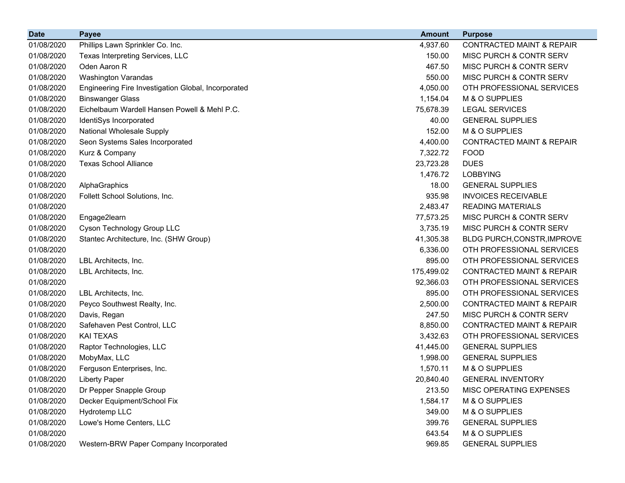| <b>Date</b> | <b>Payee</b>                                        | <b>Amount</b> | <b>Purpose</b>                       |
|-------------|-----------------------------------------------------|---------------|--------------------------------------|
| 01/08/2020  | Phillips Lawn Sprinkler Co. Inc.                    | 4,937.60      | <b>CONTRACTED MAINT &amp; REPAIR</b> |
| 01/08/2020  | Texas Interpreting Services, LLC                    | 150.00        | MISC PURCH & CONTR SERV              |
| 01/08/2020  | Oden Aaron R                                        | 467.50        | <b>MISC PURCH &amp; CONTR SERV</b>   |
| 01/08/2020  | Washington Varandas                                 | 550.00        | <b>MISC PURCH &amp; CONTR SERV</b>   |
| 01/08/2020  | Engineering Fire Investigation Global, Incorporated | 4,050.00      | OTH PROFESSIONAL SERVICES            |
| 01/08/2020  | <b>Binswanger Glass</b>                             | 1,154.04      | M & O SUPPLIES                       |
| 01/08/2020  | Eichelbaum Wardell Hansen Powell & Mehl P.C.        | 75,678.39     | <b>LEGAL SERVICES</b>                |
| 01/08/2020  | IdentiSys Incorporated                              | 40.00         | <b>GENERAL SUPPLIES</b>              |
| 01/08/2020  | National Wholesale Supply                           | 152.00        | M & O SUPPLIES                       |
| 01/08/2020  | Seon Systems Sales Incorporated                     | 4,400.00      | <b>CONTRACTED MAINT &amp; REPAIR</b> |
| 01/08/2020  | Kurz & Company                                      | 7,322.72      | <b>FOOD</b>                          |
| 01/08/2020  | <b>Texas School Alliance</b>                        | 23,723.28     | <b>DUES</b>                          |
| 01/08/2020  |                                                     | 1,476.72      | <b>LOBBYING</b>                      |
| 01/08/2020  | AlphaGraphics                                       | 18.00         | <b>GENERAL SUPPLIES</b>              |
| 01/08/2020  | Follett School Solutions, Inc.                      | 935.98        | <b>INVOICES RECEIVABLE</b>           |
| 01/08/2020  |                                                     | 2,483.47      | <b>READING MATERIALS</b>             |
| 01/08/2020  | Engage2learn                                        | 77,573.25     | MISC PURCH & CONTR SERV              |
| 01/08/2020  | Cyson Technology Group LLC                          | 3,735.19      | MISC PURCH & CONTR SERV              |
| 01/08/2020  | Stantec Architecture, Inc. (SHW Group)              | 41,305.38     | BLDG PURCH, CONSTR, IMPROVE          |
| 01/08/2020  |                                                     | 6,336.00      | OTH PROFESSIONAL SERVICES            |
| 01/08/2020  | LBL Architects, Inc.                                | 895.00        | OTH PROFESSIONAL SERVICES            |
| 01/08/2020  | LBL Architects, Inc.                                | 175,499.02    | <b>CONTRACTED MAINT &amp; REPAIR</b> |
| 01/08/2020  |                                                     | 92,366.03     | OTH PROFESSIONAL SERVICES            |
| 01/08/2020  | LBL Architects, Inc.                                | 895.00        | OTH PROFESSIONAL SERVICES            |
| 01/08/2020  | Peyco Southwest Realty, Inc.                        | 2,500.00      | <b>CONTRACTED MAINT &amp; REPAIR</b> |
| 01/08/2020  | Davis, Regan                                        | 247.50        | MISC PURCH & CONTR SERV              |
| 01/08/2020  | Safehaven Pest Control, LLC                         | 8,850.00      | <b>CONTRACTED MAINT &amp; REPAIR</b> |
| 01/08/2020  | <b>KAI TEXAS</b>                                    | 3,432.63      | OTH PROFESSIONAL SERVICES            |
| 01/08/2020  | Raptor Technologies, LLC                            | 41,445.00     | <b>GENERAL SUPPLIES</b>              |
| 01/08/2020  | MobyMax, LLC                                        | 1,998.00      | <b>GENERAL SUPPLIES</b>              |
| 01/08/2020  | Ferguson Enterprises, Inc.                          | 1,570.11      | M & O SUPPLIES                       |
| 01/08/2020  | <b>Liberty Paper</b>                                | 20,840.40     | <b>GENERAL INVENTORY</b>             |
| 01/08/2020  | Dr Pepper Snapple Group                             | 213.50        | MISC OPERATING EXPENSES              |
| 01/08/2020  | Decker Equipment/School Fix                         | 1,584.17      | M & O SUPPLIES                       |
| 01/08/2020  | Hydrotemp LLC                                       | 349.00        | M & O SUPPLIES                       |
| 01/08/2020  | Lowe's Home Centers, LLC                            | 399.76        | <b>GENERAL SUPPLIES</b>              |
| 01/08/2020  |                                                     | 643.54        | M & O SUPPLIES                       |
| 01/08/2020  | Western-BRW Paper Company Incorporated              | 969.85        | <b>GENERAL SUPPLIES</b>              |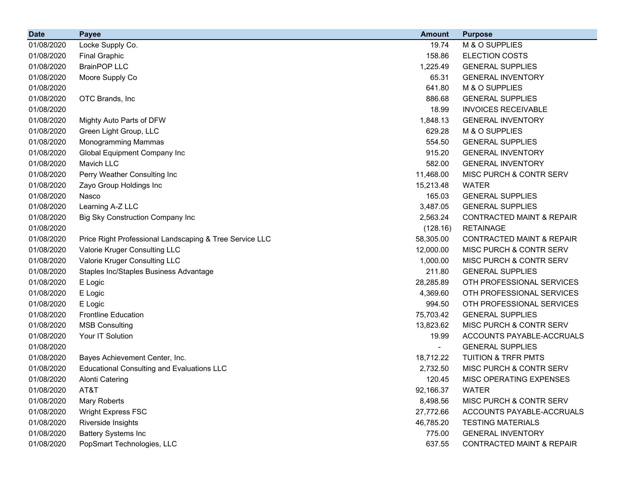| <b>Date</b> | <b>Payee</b>                                            | <b>Amount</b> | <b>Purpose</b>                       |
|-------------|---------------------------------------------------------|---------------|--------------------------------------|
| 01/08/2020  | Locke Supply Co.                                        | 19.74         | M & O SUPPLIES                       |
| 01/08/2020  | <b>Final Graphic</b>                                    | 158.86        | <b>ELECTION COSTS</b>                |
| 01/08/2020  | <b>BrainPOP LLC</b>                                     | 1,225.49      | <b>GENERAL SUPPLIES</b>              |
| 01/08/2020  | Moore Supply Co                                         | 65.31         | <b>GENERAL INVENTORY</b>             |
| 01/08/2020  |                                                         | 641.80        | M & O SUPPLIES                       |
| 01/08/2020  | OTC Brands, Inc                                         | 886.68        | <b>GENERAL SUPPLIES</b>              |
| 01/08/2020  |                                                         | 18.99         | <b>INVOICES RECEIVABLE</b>           |
| 01/08/2020  | Mighty Auto Parts of DFW                                | 1,848.13      | <b>GENERAL INVENTORY</b>             |
| 01/08/2020  | Green Light Group, LLC                                  | 629.28        | M & O SUPPLIES                       |
| 01/08/2020  | Monogramming Mammas                                     | 554.50        | <b>GENERAL SUPPLIES</b>              |
| 01/08/2020  | Global Equipment Company Inc                            | 915.20        | <b>GENERAL INVENTORY</b>             |
| 01/08/2020  | Mavich LLC                                              | 582.00        | <b>GENERAL INVENTORY</b>             |
| 01/08/2020  | Perry Weather Consulting Inc                            | 11,468.00     | MISC PURCH & CONTR SERV              |
| 01/08/2020  | Zayo Group Holdings Inc                                 | 15,213.48     | <b>WATER</b>                         |
| 01/08/2020  | Nasco                                                   | 165.03        | <b>GENERAL SUPPLIES</b>              |
| 01/08/2020  | Learning A-Z LLC                                        | 3,487.05      | <b>GENERAL SUPPLIES</b>              |
| 01/08/2020  | <b>Big Sky Construction Company Inc</b>                 | 2,563.24      | <b>CONTRACTED MAINT &amp; REPAIR</b> |
| 01/08/2020  |                                                         | (128.16)      | <b>RETAINAGE</b>                     |
| 01/08/2020  | Price Right Professional Landscaping & Tree Service LLC | 58,305.00     | <b>CONTRACTED MAINT &amp; REPAIR</b> |
| 01/08/2020  | Valorie Kruger Consulting LLC                           | 12,000.00     | MISC PURCH & CONTR SERV              |
| 01/08/2020  | Valorie Kruger Consulting LLC                           | 1,000.00      | MISC PURCH & CONTR SERV              |
| 01/08/2020  | Staples Inc/Staples Business Advantage                  | 211.80        | <b>GENERAL SUPPLIES</b>              |
| 01/08/2020  | E Logic                                                 | 28,285.89     | OTH PROFESSIONAL SERVICES            |
| 01/08/2020  | E Logic                                                 | 4,369.60      | OTH PROFESSIONAL SERVICES            |
| 01/08/2020  | E Logic                                                 | 994.50        | OTH PROFESSIONAL SERVICES            |
| 01/08/2020  | <b>Frontline Education</b>                              | 75,703.42     | <b>GENERAL SUPPLIES</b>              |
| 01/08/2020  | <b>MSB Consulting</b>                                   | 13,823.62     | MISC PURCH & CONTR SERV              |
| 01/08/2020  | Your IT Solution                                        | 19.99         | ACCOUNTS PAYABLE-ACCRUALS            |
| 01/08/2020  |                                                         |               | <b>GENERAL SUPPLIES</b>              |
| 01/08/2020  | Bayes Achievement Center, Inc.                          | 18,712.22     | <b>TUITION &amp; TRFR PMTS</b>       |
| 01/08/2020  | <b>Educational Consulting and Evaluations LLC</b>       | 2,732.50      | MISC PURCH & CONTR SERV              |
| 01/08/2020  | <b>Alonti Catering</b>                                  | 120.45        | MISC OPERATING EXPENSES              |
| 01/08/2020  | AT&T                                                    | 92,166.37     | <b>WATER</b>                         |
| 01/08/2020  | Mary Roberts                                            | 8,498.56      | MISC PURCH & CONTR SERV              |
| 01/08/2020  | <b>Wright Express FSC</b>                               | 27,772.66     | ACCOUNTS PAYABLE-ACCRUALS            |
| 01/08/2020  | Riverside Insights                                      | 46,785.20     | <b>TESTING MATERIALS</b>             |
| 01/08/2020  | <b>Battery Systems Inc</b>                              | 775.00        | <b>GENERAL INVENTORY</b>             |
| 01/08/2020  | PopSmart Technologies, LLC                              | 637.55        | CONTRACTED MAINT & REPAIR            |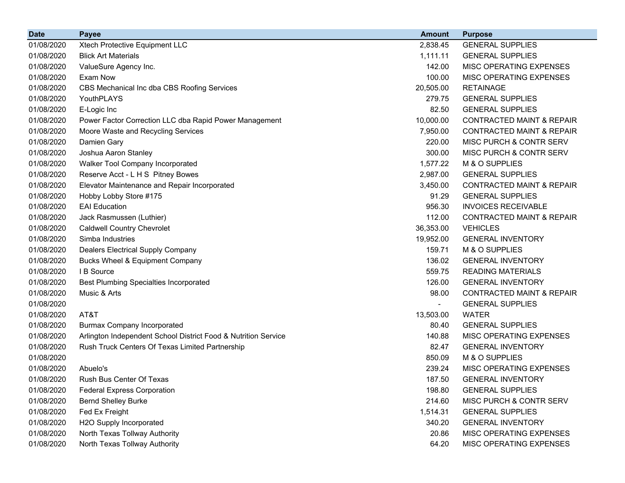| <b>Date</b> | <b>Payee</b>                                                   | <b>Amount</b> | <b>Purpose</b>                       |
|-------------|----------------------------------------------------------------|---------------|--------------------------------------|
| 01/08/2020  | Xtech Protective Equipment LLC                                 | 2,838.45      | <b>GENERAL SUPPLIES</b>              |
| 01/08/2020  | <b>Blick Art Materials</b>                                     | 1,111.11      | <b>GENERAL SUPPLIES</b>              |
| 01/08/2020  | ValueSure Agency Inc.                                          | 142.00        | MISC OPERATING EXPENSES              |
| 01/08/2020  | Exam Now                                                       | 100.00        | MISC OPERATING EXPENSES              |
| 01/08/2020  | CBS Mechanical Inc dba CBS Roofing Services                    | 20,505.00     | <b>RETAINAGE</b>                     |
| 01/08/2020  | YouthPLAYS                                                     | 279.75        | <b>GENERAL SUPPLIES</b>              |
| 01/08/2020  | E-Logic Inc                                                    | 82.50         | <b>GENERAL SUPPLIES</b>              |
| 01/08/2020  | Power Factor Correction LLC dba Rapid Power Management         | 10,000.00     | <b>CONTRACTED MAINT &amp; REPAIR</b> |
| 01/08/2020  | Moore Waste and Recycling Services                             | 7,950.00      | <b>CONTRACTED MAINT &amp; REPAIR</b> |
| 01/08/2020  | Damien Gary                                                    | 220.00        | <b>MISC PURCH &amp; CONTR SERV</b>   |
| 01/08/2020  | Joshua Aaron Stanley                                           | 300.00        | MISC PURCH & CONTR SERV              |
| 01/08/2020  | Walker Tool Company Incorporated                               | 1,577.22      | M & O SUPPLIES                       |
| 01/08/2020  | Reserve Acct - L H S Pitney Bowes                              | 2,987.00      | <b>GENERAL SUPPLIES</b>              |
| 01/08/2020  | Elevator Maintenance and Repair Incorporated                   | 3,450.00      | <b>CONTRACTED MAINT &amp; REPAIR</b> |
| 01/08/2020  | Hobby Lobby Store #175                                         | 91.29         | <b>GENERAL SUPPLIES</b>              |
| 01/08/2020  | <b>EAI Education</b>                                           | 956.30        | <b>INVOICES RECEIVABLE</b>           |
| 01/08/2020  | Jack Rasmussen (Luthier)                                       | 112.00        | <b>CONTRACTED MAINT &amp; REPAIR</b> |
| 01/08/2020  | <b>Caldwell Country Chevrolet</b>                              | 36,353.00     | <b>VEHICLES</b>                      |
| 01/08/2020  | Simba Industries                                               | 19,952.00     | <b>GENERAL INVENTORY</b>             |
| 01/08/2020  | Dealers Electrical Supply Company                              | 159.71        | M & O SUPPLIES                       |
| 01/08/2020  | Bucks Wheel & Equipment Company                                | 136.02        | <b>GENERAL INVENTORY</b>             |
| 01/08/2020  | I B Source                                                     | 559.75        | <b>READING MATERIALS</b>             |
| 01/08/2020  | <b>Best Plumbing Specialties Incorporated</b>                  | 126.00        | <b>GENERAL INVENTORY</b>             |
| 01/08/2020  | Music & Arts                                                   | 98.00         | <b>CONTRACTED MAINT &amp; REPAIR</b> |
| 01/08/2020  |                                                                | Ξ.            | <b>GENERAL SUPPLIES</b>              |
| 01/08/2020  | AT&T                                                           | 13,503.00     | <b>WATER</b>                         |
| 01/08/2020  | <b>Burmax Company Incorporated</b>                             | 80.40         | <b>GENERAL SUPPLIES</b>              |
| 01/08/2020  | Arlington Independent School District Food & Nutrition Service | 140.88        | MISC OPERATING EXPENSES              |
| 01/08/2020  | Rush Truck Centers Of Texas Limited Partnership                | 82.47         | <b>GENERAL INVENTORY</b>             |
| 01/08/2020  |                                                                | 850.09        | M & O SUPPLIES                       |
| 01/08/2020  | Abuelo's                                                       | 239.24        | MISC OPERATING EXPENSES              |
| 01/08/2020  | Rush Bus Center Of Texas                                       | 187.50        | <b>GENERAL INVENTORY</b>             |
| 01/08/2020  | <b>Federal Express Corporation</b>                             | 198.80        | <b>GENERAL SUPPLIES</b>              |
| 01/08/2020  | <b>Bernd Shelley Burke</b>                                     | 214.60        | <b>MISC PURCH &amp; CONTR SERV</b>   |
| 01/08/2020  | Fed Ex Freight                                                 | 1,514.31      | <b>GENERAL SUPPLIES</b>              |
| 01/08/2020  | H2O Supply Incorporated                                        | 340.20        | <b>GENERAL INVENTORY</b>             |
| 01/08/2020  | North Texas Tollway Authority                                  | 20.86         | MISC OPERATING EXPENSES              |
| 01/08/2020  | North Texas Tollway Authority                                  | 64.20         | MISC OPERATING EXPENSES              |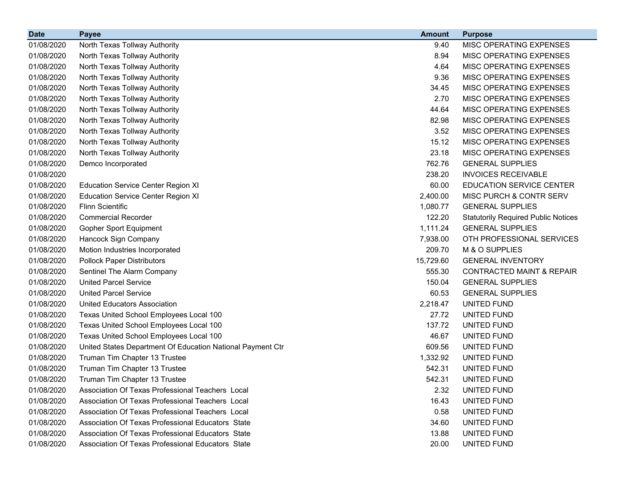| <b>Date</b> | <b>Payee</b>                                               | <b>Amount</b> | <b>Purpose</b>                             |
|-------------|------------------------------------------------------------|---------------|--------------------------------------------|
| 01/08/2020  | North Texas Tollway Authority                              | 9.40          | <b>MISC OPERATING EXPENSES</b>             |
| 01/08/2020  | North Texas Tollway Authority                              | 8.94          | MISC OPERATING EXPENSES                    |
| 01/08/2020  | North Texas Tollway Authority                              | 4.64          | MISC OPERATING EXPENSES                    |
| 01/08/2020  | North Texas Tollway Authority                              | 9.36          | MISC OPERATING EXPENSES                    |
| 01/08/2020  | North Texas Tollway Authority                              | 34.45         | MISC OPERATING EXPENSES                    |
| 01/08/2020  | North Texas Tollway Authority                              | 2.70          | MISC OPERATING EXPENSES                    |
| 01/08/2020  | North Texas Tollway Authority                              | 44.64         | MISC OPERATING EXPENSES                    |
| 01/08/2020  | North Texas Tollway Authority                              | 82.98         | MISC OPERATING EXPENSES                    |
| 01/08/2020  | North Texas Tollway Authority                              | 3.52          | MISC OPERATING EXPENSES                    |
| 01/08/2020  | North Texas Tollway Authority                              | 15.12         | MISC OPERATING EXPENSES                    |
| 01/08/2020  | North Texas Tollway Authority                              | 23.18         | MISC OPERATING EXPENSES                    |
| 01/08/2020  | Demco Incorporated                                         | 762.76        | <b>GENERAL SUPPLIES</b>                    |
| 01/08/2020  |                                                            | 238.20        | <b>INVOICES RECEIVABLE</b>                 |
| 01/08/2020  | <b>Education Service Center Region XI</b>                  | 60.00         | EDUCATION SERVICE CENTER                   |
| 01/08/2020  | <b>Education Service Center Region XI</b>                  | 2,400.00      | MISC PURCH & CONTR SERV                    |
| 01/08/2020  | <b>Flinn Scientific</b>                                    | 1,080.77      | <b>GENERAL SUPPLIES</b>                    |
| 01/08/2020  | <b>Commercial Recorder</b>                                 | 122.20        | <b>Statutorily Required Public Notices</b> |
| 01/08/2020  | <b>Gopher Sport Equipment</b>                              | 1,111.24      | <b>GENERAL SUPPLIES</b>                    |
| 01/08/2020  | Hancock Sign Company                                       | 7,938.00      | OTH PROFESSIONAL SERVICES                  |
| 01/08/2020  | Motion Industries Incorporated                             | 209.70        | M & O SUPPLIES                             |
| 01/08/2020  | <b>Pollock Paper Distributors</b>                          | 15,729.60     | <b>GENERAL INVENTORY</b>                   |
| 01/08/2020  | Sentinel The Alarm Company                                 | 555.30        | <b>CONTRACTED MAINT &amp; REPAIR</b>       |
| 01/08/2020  | <b>United Parcel Service</b>                               | 150.04        | <b>GENERAL SUPPLIES</b>                    |
| 01/08/2020  | <b>United Parcel Service</b>                               | 60.53         | <b>GENERAL SUPPLIES</b>                    |
| 01/08/2020  | United Educators Association                               | 2,218.47      | UNITED FUND                                |
| 01/08/2020  | Texas United School Employees Local 100                    | 27.72         | UNITED FUND                                |
| 01/08/2020  | Texas United School Employees Local 100                    | 137.72        | UNITED FUND                                |
| 01/08/2020  | Texas United School Employees Local 100                    | 46.67         | UNITED FUND                                |
| 01/08/2020  | United States Department Of Education National Payment Ctr | 609.56        | UNITED FUND                                |
| 01/08/2020  | Truman Tim Chapter 13 Trustee                              | 1,332.92      | UNITED FUND                                |
| 01/08/2020  | Truman Tim Chapter 13 Trustee                              | 542.31        | UNITED FUND                                |
| 01/08/2020  | Truman Tim Chapter 13 Trustee                              | 542.31        | UNITED FUND                                |
| 01/08/2020  | Association Of Texas Professional Teachers Local           | 2.32          | UNITED FUND                                |
| 01/08/2020  | Association Of Texas Professional Teachers Local           | 16.43         | UNITED FUND                                |
| 01/08/2020  | Association Of Texas Professional Teachers Local           | 0.58          | UNITED FUND                                |
| 01/08/2020  | Association Of Texas Professional Educators State          | 34.60         | <b>UNITED FUND</b>                         |
| 01/08/2020  | Association Of Texas Professional Educators State          | 13.88         | UNITED FUND                                |
| 01/08/2020  | Association Of Texas Professional Educators State          | 20.00         | UNITED FUND                                |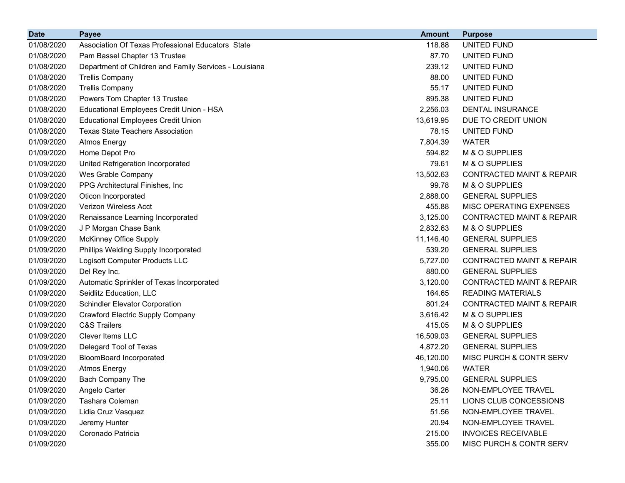| <b>Date</b> | <b>Payee</b>                                           | <b>Amount</b> | <b>Purpose</b>                       |
|-------------|--------------------------------------------------------|---------------|--------------------------------------|
| 01/08/2020  | Association Of Texas Professional Educators State      | 118.88        | UNITED FUND                          |
| 01/08/2020  | Pam Bassel Chapter 13 Trustee                          | 87.70         | UNITED FUND                          |
| 01/08/2020  | Department of Children and Family Services - Louisiana | 239.12        | UNITED FUND                          |
| 01/08/2020  | <b>Trellis Company</b>                                 | 88.00         | UNITED FUND                          |
| 01/08/2020  | <b>Trellis Company</b>                                 | 55.17         | UNITED FUND                          |
| 01/08/2020  | Powers Tom Chapter 13 Trustee                          | 895.38        | UNITED FUND                          |
| 01/08/2020  | Educational Employees Credit Union - HSA               | 2,256.03      | <b>DENTAL INSURANCE</b>              |
| 01/08/2020  | <b>Educational Employees Credit Union</b>              | 13,619.95     | DUE TO CREDIT UNION                  |
| 01/08/2020  | <b>Texas State Teachers Association</b>                | 78.15         | UNITED FUND                          |
| 01/09/2020  | <b>Atmos Energy</b>                                    | 7,804.39      | <b>WATER</b>                         |
| 01/09/2020  | Home Depot Pro                                         | 594.82        | M & O SUPPLIES                       |
| 01/09/2020  | United Refrigeration Incorporated                      | 79.61         | M & O SUPPLIES                       |
| 01/09/2020  | Wes Grable Company                                     | 13,502.63     | <b>CONTRACTED MAINT &amp; REPAIR</b> |
| 01/09/2020  | PPG Architectural Finishes, Inc.                       | 99.78         | M & O SUPPLIES                       |
| 01/09/2020  | Oticon Incorporated                                    | 2,888.00      | <b>GENERAL SUPPLIES</b>              |
| 01/09/2020  | Verizon Wireless Acct                                  | 455.88        | MISC OPERATING EXPENSES              |
| 01/09/2020  | Renaissance Learning Incorporated                      | 3,125.00      | <b>CONTRACTED MAINT &amp; REPAIR</b> |
| 01/09/2020  | J P Morgan Chase Bank                                  | 2,832.63      | M & O SUPPLIES                       |
| 01/09/2020  | <b>McKinney Office Supply</b>                          | 11,146.40     | <b>GENERAL SUPPLIES</b>              |
| 01/09/2020  | Phillips Welding Supply Incorporated                   | 539.20        | <b>GENERAL SUPPLIES</b>              |
| 01/09/2020  | Logisoft Computer Products LLC                         | 5,727.00      | <b>CONTRACTED MAINT &amp; REPAIR</b> |
| 01/09/2020  | Del Rey Inc.                                           | 880.00        | <b>GENERAL SUPPLIES</b>              |
| 01/09/2020  | Automatic Sprinkler of Texas Incorporated              | 3,120.00      | <b>CONTRACTED MAINT &amp; REPAIR</b> |
| 01/09/2020  | Seidlitz Education, LLC                                | 164.65        | <b>READING MATERIALS</b>             |
| 01/09/2020  | <b>Schindler Elevator Corporation</b>                  | 801.24        | <b>CONTRACTED MAINT &amp; REPAIR</b> |
| 01/09/2020  | <b>Crawford Electric Supply Company</b>                | 3,616.42      | M & O SUPPLIES                       |
| 01/09/2020  | <b>C&amp;S Trailers</b>                                | 415.05        | M & O SUPPLIES                       |
| 01/09/2020  | Clever Items LLC                                       | 16,509.03     | <b>GENERAL SUPPLIES</b>              |
| 01/09/2020  | Delegard Tool of Texas                                 | 4,872.20      | <b>GENERAL SUPPLIES</b>              |
| 01/09/2020  | <b>BloomBoard Incorporated</b>                         | 46,120.00     | MISC PURCH & CONTR SERV              |
| 01/09/2020  | <b>Atmos Energy</b>                                    | 1,940.06      | <b>WATER</b>                         |
| 01/09/2020  | Bach Company The                                       | 9,795.00      | <b>GENERAL SUPPLIES</b>              |
| 01/09/2020  | Angelo Carter                                          | 36.26         | NON-EMPLOYEE TRAVEL                  |
| 01/09/2020  | Tashara Coleman                                        | 25.11         | LIONS CLUB CONCESSIONS               |
| 01/09/2020  | Lidia Cruz Vasquez                                     | 51.56         | NON-EMPLOYEE TRAVEL                  |
| 01/09/2020  | Jeremy Hunter                                          | 20.94         | NON-EMPLOYEE TRAVEL                  |
| 01/09/2020  | Coronado Patricia                                      | 215.00        | <b>INVOICES RECEIVABLE</b>           |
| 01/09/2020  |                                                        | 355.00        | MISC PURCH & CONTR SERV              |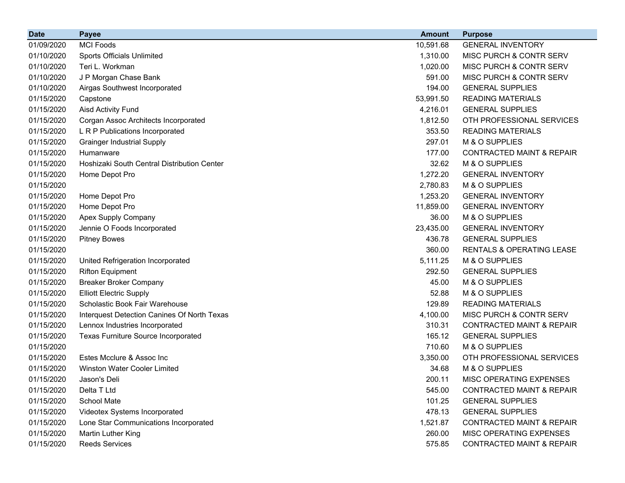| <b>Date</b> | <b>Payee</b>                                | <b>Amount</b> | <b>Purpose</b>                       |
|-------------|---------------------------------------------|---------------|--------------------------------------|
| 01/09/2020  | <b>MCI Foods</b>                            | 10,591.68     | <b>GENERAL INVENTORY</b>             |
| 01/10/2020  | Sports Officials Unlimited                  | 1,310.00      | MISC PURCH & CONTR SERV              |
| 01/10/2020  | Teri L. Workman                             | 1,020.00      | MISC PURCH & CONTR SERV              |
| 01/10/2020  | J P Morgan Chase Bank                       | 591.00        | MISC PURCH & CONTR SERV              |
| 01/10/2020  | Airgas Southwest Incorporated               | 194.00        | <b>GENERAL SUPPLIES</b>              |
| 01/15/2020  | Capstone                                    | 53,991.50     | <b>READING MATERIALS</b>             |
| 01/15/2020  | <b>Aisd Activity Fund</b>                   | 4,216.01      | <b>GENERAL SUPPLIES</b>              |
| 01/15/2020  | Corgan Assoc Architects Incorporated        | 1,812.50      | OTH PROFESSIONAL SERVICES            |
| 01/15/2020  | L R P Publications Incorporated             | 353.50        | <b>READING MATERIALS</b>             |
| 01/15/2020  | <b>Grainger Industrial Supply</b>           | 297.01        | M & O SUPPLIES                       |
| 01/15/2020  | Humanware                                   | 177.00        | <b>CONTRACTED MAINT &amp; REPAIR</b> |
| 01/15/2020  | Hoshizaki South Central Distribution Center | 32.62         | M & O SUPPLIES                       |
| 01/15/2020  | Home Depot Pro                              | 1,272.20      | <b>GENERAL INVENTORY</b>             |
| 01/15/2020  |                                             | 2,780.83      | M & O SUPPLIES                       |
| 01/15/2020  | Home Depot Pro                              | 1,253.20      | <b>GENERAL INVENTORY</b>             |
| 01/15/2020  | Home Depot Pro                              | 11,859.00     | <b>GENERAL INVENTORY</b>             |
| 01/15/2020  | Apex Supply Company                         | 36.00         | M & O SUPPLIES                       |
| 01/15/2020  | Jennie O Foods Incorporated                 | 23,435.00     | <b>GENERAL INVENTORY</b>             |
| 01/15/2020  | <b>Pitney Bowes</b>                         | 436.78        | <b>GENERAL SUPPLIES</b>              |
| 01/15/2020  |                                             | 360.00        | RENTALS & OPERATING LEASE            |
| 01/15/2020  | United Refrigeration Incorporated           | 5,111.25      | M & O SUPPLIES                       |
| 01/15/2020  | <b>Rifton Equipment</b>                     | 292.50        | <b>GENERAL SUPPLIES</b>              |
| 01/15/2020  | <b>Breaker Broker Company</b>               | 45.00         | M & O SUPPLIES                       |
| 01/15/2020  | <b>Elliott Electric Supply</b>              | 52.88         | M & O SUPPLIES                       |
| 01/15/2020  | Scholastic Book Fair Warehouse              | 129.89        | <b>READING MATERIALS</b>             |
| 01/15/2020  | Interquest Detection Canines Of North Texas | 4,100.00      | MISC PURCH & CONTR SERV              |
| 01/15/2020  | Lennox Industries Incorporated              | 310.31        | <b>CONTRACTED MAINT &amp; REPAIR</b> |
| 01/15/2020  | <b>Texas Furniture Source Incorporated</b>  | 165.12        | <b>GENERAL SUPPLIES</b>              |
| 01/15/2020  |                                             | 710.60        | M & O SUPPLIES                       |
| 01/15/2020  | Estes Mcclure & Assoc Inc                   | 3,350.00      | OTH PROFESSIONAL SERVICES            |
| 01/15/2020  | <b>Winston Water Cooler Limited</b>         | 34.68         | M & O SUPPLIES                       |
| 01/15/2020  | Jason's Deli                                | 200.11        | MISC OPERATING EXPENSES              |
| 01/15/2020  | Delta T Ltd                                 | 545.00        | <b>CONTRACTED MAINT &amp; REPAIR</b> |
| 01/15/2020  | School Mate                                 | 101.25        | <b>GENERAL SUPPLIES</b>              |
| 01/15/2020  | Videotex Systems Incorporated               | 478.13        | <b>GENERAL SUPPLIES</b>              |
| 01/15/2020  | Lone Star Communications Incorporated       | 1,521.87      | <b>CONTRACTED MAINT &amp; REPAIR</b> |
| 01/15/2020  | Martin Luther King                          | 260.00        | MISC OPERATING EXPENSES              |
| 01/15/2020  | <b>Reeds Services</b>                       | 575.85        | <b>CONTRACTED MAINT &amp; REPAIR</b> |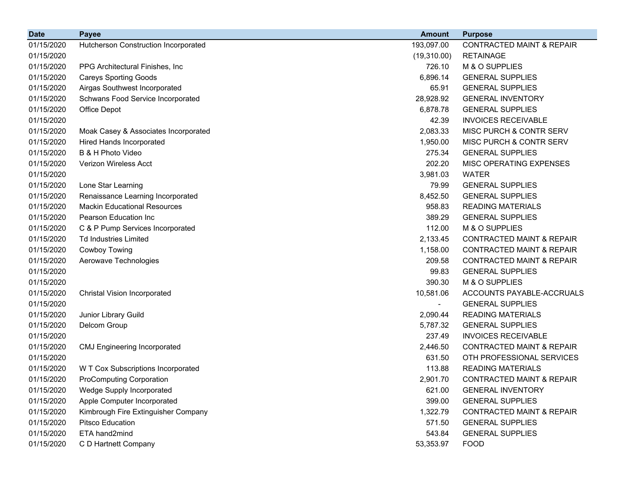| <b>Date</b> | <b>Payee</b>                         | <b>Amount</b>            | <b>Purpose</b>                       |
|-------------|--------------------------------------|--------------------------|--------------------------------------|
| 01/15/2020  | Hutcherson Construction Incorporated | 193,097.00               | <b>CONTRACTED MAINT &amp; REPAIR</b> |
| 01/15/2020  |                                      | (19,310.00)              | <b>RETAINAGE</b>                     |
| 01/15/2020  | PPG Architectural Finishes, Inc.     | 726.10                   | M & O SUPPLIES                       |
| 01/15/2020  | <b>Careys Sporting Goods</b>         | 6,896.14                 | <b>GENERAL SUPPLIES</b>              |
| 01/15/2020  | Airgas Southwest Incorporated        | 65.91                    | <b>GENERAL SUPPLIES</b>              |
| 01/15/2020  | Schwans Food Service Incorporated    | 28,928.92                | <b>GENERAL INVENTORY</b>             |
| 01/15/2020  | Office Depot                         | 6,878.78                 | <b>GENERAL SUPPLIES</b>              |
| 01/15/2020  |                                      | 42.39                    | <b>INVOICES RECEIVABLE</b>           |
| 01/15/2020  | Moak Casey & Associates Incorporated | 2,083.33                 | MISC PURCH & CONTR SERV              |
| 01/15/2020  | Hired Hands Incorporated             | 1,950.00                 | MISC PURCH & CONTR SERV              |
| 01/15/2020  | B & H Photo Video                    | 275.34                   | <b>GENERAL SUPPLIES</b>              |
| 01/15/2020  | Verizon Wireless Acct                | 202.20                   | MISC OPERATING EXPENSES              |
| 01/15/2020  |                                      | 3,981.03                 | <b>WATER</b>                         |
| 01/15/2020  | Lone Star Learning                   | 79.99                    | <b>GENERAL SUPPLIES</b>              |
| 01/15/2020  | Renaissance Learning Incorporated    | 8,452.50                 | <b>GENERAL SUPPLIES</b>              |
| 01/15/2020  | <b>Mackin Educational Resources</b>  | 958.83                   | <b>READING MATERIALS</b>             |
| 01/15/2020  | Pearson Education Inc                | 389.29                   | <b>GENERAL SUPPLIES</b>              |
| 01/15/2020  | C & P Pump Services Incorporated     | 112.00                   | M & O SUPPLIES                       |
| 01/15/2020  | <b>Td Industries Limited</b>         | 2,133.45                 | <b>CONTRACTED MAINT &amp; REPAIR</b> |
| 01/15/2020  | Cowboy Towing                        | 1,158.00                 | <b>CONTRACTED MAINT &amp; REPAIR</b> |
| 01/15/2020  | Aerowave Technologies                | 209.58                   | <b>CONTRACTED MAINT &amp; REPAIR</b> |
| 01/15/2020  |                                      | 99.83                    | <b>GENERAL SUPPLIES</b>              |
| 01/15/2020  |                                      | 390.30                   | M & O SUPPLIES                       |
| 01/15/2020  | <b>Christal Vision Incorporated</b>  | 10,581.06                | ACCOUNTS PAYABLE-ACCRUALS            |
| 01/15/2020  |                                      | $\overline{\phantom{a}}$ | <b>GENERAL SUPPLIES</b>              |
| 01/15/2020  | Junior Library Guild                 | 2,090.44                 | <b>READING MATERIALS</b>             |
| 01/15/2020  | Delcom Group                         | 5,787.32                 | <b>GENERAL SUPPLIES</b>              |
| 01/15/2020  |                                      | 237.49                   | <b>INVOICES RECEIVABLE</b>           |
| 01/15/2020  | <b>CMJ Engineering Incorporated</b>  | 2,446.50                 | <b>CONTRACTED MAINT &amp; REPAIR</b> |
| 01/15/2020  |                                      | 631.50                   | OTH PROFESSIONAL SERVICES            |
| 01/15/2020  | W T Cox Subscriptions Incorporated   | 113.88                   | <b>READING MATERIALS</b>             |
| 01/15/2020  | <b>ProComputing Corporation</b>      | 2,901.70                 | <b>CONTRACTED MAINT &amp; REPAIR</b> |
| 01/15/2020  | Wedge Supply Incorporated            | 621.00                   | <b>GENERAL INVENTORY</b>             |
| 01/15/2020  | Apple Computer Incorporated          | 399.00                   | <b>GENERAL SUPPLIES</b>              |
| 01/15/2020  | Kimbrough Fire Extinguisher Company  | 1,322.79                 | <b>CONTRACTED MAINT &amp; REPAIR</b> |
| 01/15/2020  | Pitsco Education                     | 571.50                   | <b>GENERAL SUPPLIES</b>              |
| 01/15/2020  | ETA hand2mind                        | 543.84                   | <b>GENERAL SUPPLIES</b>              |
| 01/15/2020  | C D Hartnett Company                 | 53,353.97                | <b>FOOD</b>                          |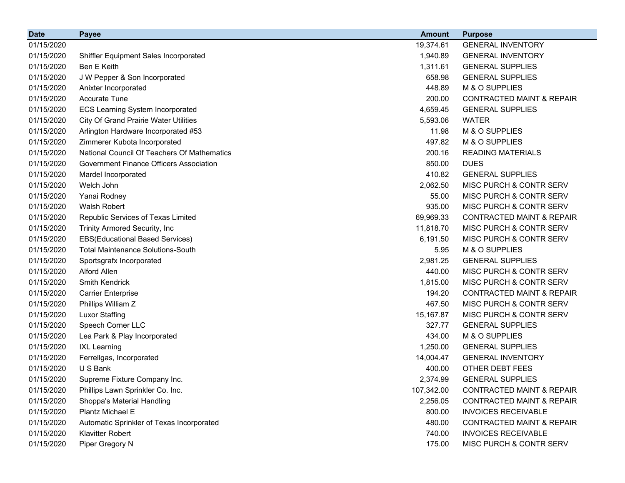| <b>Date</b> | <b>Payee</b>                                 | <b>Amount</b> | <b>Purpose</b>                       |
|-------------|----------------------------------------------|---------------|--------------------------------------|
| 01/15/2020  |                                              | 19,374.61     | <b>GENERAL INVENTORY</b>             |
| 01/15/2020  | Shiffler Equipment Sales Incorporated        | 1,940.89      | <b>GENERAL INVENTORY</b>             |
| 01/15/2020  | Ben E Keith                                  | 1,311.61      | <b>GENERAL SUPPLIES</b>              |
| 01/15/2020  | J W Pepper & Son Incorporated                | 658.98        | <b>GENERAL SUPPLIES</b>              |
| 01/15/2020  | Anixter Incorporated                         | 448.89        | M & O SUPPLIES                       |
| 01/15/2020  | <b>Accurate Tune</b>                         | 200.00        | <b>CONTRACTED MAINT &amp; REPAIR</b> |
| 01/15/2020  | <b>ECS Learning System Incorporated</b>      | 4,659.45      | <b>GENERAL SUPPLIES</b>              |
| 01/15/2020  | <b>City Of Grand Prairie Water Utilities</b> | 5,593.06      | <b>WATER</b>                         |
| 01/15/2020  | Arlington Hardware Incorporated #53          | 11.98         | M & O SUPPLIES                       |
| 01/15/2020  | Zimmerer Kubota Incorporated                 | 497.82        | M & O SUPPLIES                       |
| 01/15/2020  | National Council Of Teachers Of Mathematics  | 200.16        | <b>READING MATERIALS</b>             |
| 01/15/2020  | Government Finance Officers Association      | 850.00        | <b>DUES</b>                          |
| 01/15/2020  | Mardel Incorporated                          | 410.82        | <b>GENERAL SUPPLIES</b>              |
| 01/15/2020  | Welch John                                   | 2,062.50      | MISC PURCH & CONTR SERV              |
| 01/15/2020  | Yanai Rodney                                 | 55.00         | <b>MISC PURCH &amp; CONTR SERV</b>   |
| 01/15/2020  | Walsh Robert                                 | 935.00        | MISC PURCH & CONTR SERV              |
| 01/15/2020  | Republic Services of Texas Limited           | 69,969.33     | <b>CONTRACTED MAINT &amp; REPAIR</b> |
| 01/15/2020  | Trinity Armored Security, Inc                | 11,818.70     | MISC PURCH & CONTR SERV              |
| 01/15/2020  | <b>EBS(Educational Based Services)</b>       | 6,191.50      | MISC PURCH & CONTR SERV              |
| 01/15/2020  | <b>Total Maintenance Solutions-South</b>     | 5.95          | M & O SUPPLIES                       |
| 01/15/2020  | Sportsgrafx Incorporated                     | 2,981.25      | <b>GENERAL SUPPLIES</b>              |
| 01/15/2020  | Alford Allen                                 | 440.00        | MISC PURCH & CONTR SERV              |
| 01/15/2020  | Smith Kendrick                               | 1,815.00      | MISC PURCH & CONTR SERV              |
| 01/15/2020  | <b>Carrier Enterprise</b>                    | 194.20        | <b>CONTRACTED MAINT &amp; REPAIR</b> |
| 01/15/2020  | Phillips William Z                           | 467.50        | MISC PURCH & CONTR SERV              |
| 01/15/2020  | <b>Luxor Staffing</b>                        | 15,167.87     | <b>MISC PURCH &amp; CONTR SERV</b>   |
| 01/15/2020  | Speech Corner LLC                            | 327.77        | <b>GENERAL SUPPLIES</b>              |
| 01/15/2020  | Lea Park & Play Incorporated                 | 434.00        | M & O SUPPLIES                       |
| 01/15/2020  | <b>IXL Learning</b>                          | 1,250.00      | <b>GENERAL SUPPLIES</b>              |
| 01/15/2020  | Ferrellgas, Incorporated                     | 14,004.47     | <b>GENERAL INVENTORY</b>             |
| 01/15/2020  | U S Bank                                     | 400.00        | OTHER DEBT FEES                      |
| 01/15/2020  | Supreme Fixture Company Inc.                 | 2,374.99      | <b>GENERAL SUPPLIES</b>              |
| 01/15/2020  | Phillips Lawn Sprinkler Co. Inc.             | 107,342.00    | <b>CONTRACTED MAINT &amp; REPAIR</b> |
| 01/15/2020  | Shoppa's Material Handling                   | 2,256.05      | <b>CONTRACTED MAINT &amp; REPAIR</b> |
| 01/15/2020  | Plantz Michael E                             | 800.00        | <b>INVOICES RECEIVABLE</b>           |
| 01/15/2020  | Automatic Sprinkler of Texas Incorporated    | 480.00        | <b>CONTRACTED MAINT &amp; REPAIR</b> |
| 01/15/2020  | <b>Klavitter Robert</b>                      | 740.00        | <b>INVOICES RECEIVABLE</b>           |
| 01/15/2020  | Piper Gregory N                              | 175.00        | MISC PURCH & CONTR SERV              |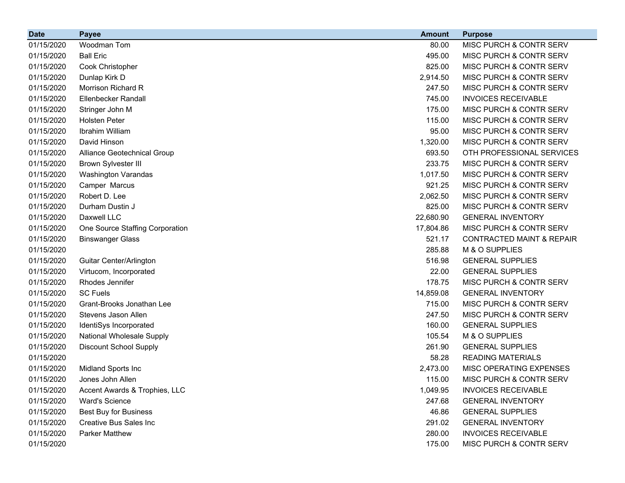| <b>Date</b> | <b>Payee</b>                    | <b>Amount</b> | <b>Purpose</b>                       |
|-------------|---------------------------------|---------------|--------------------------------------|
| 01/15/2020  | Woodman Tom                     | 80.00         | MISC PURCH & CONTR SERV              |
| 01/15/2020  | <b>Ball Eric</b>                | 495.00        | MISC PURCH & CONTR SERV              |
| 01/15/2020  | Cook Christopher                | 825.00        | MISC PURCH & CONTR SERV              |
| 01/15/2020  | Dunlap Kirk D                   | 2,914.50      | MISC PURCH & CONTR SERV              |
| 01/15/2020  | Morrison Richard R              | 247.50        | MISC PURCH & CONTR SERV              |
| 01/15/2020  | <b>Ellenbecker Randall</b>      | 745.00        | <b>INVOICES RECEIVABLE</b>           |
| 01/15/2020  | Stringer John M                 | 175.00        | MISC PURCH & CONTR SERV              |
| 01/15/2020  | <b>Holsten Peter</b>            | 115.00        | MISC PURCH & CONTR SERV              |
| 01/15/2020  | Ibrahim William                 | 95.00         | MISC PURCH & CONTR SERV              |
| 01/15/2020  | David Hinson                    | 1,320.00      | MISC PURCH & CONTR SERV              |
| 01/15/2020  | Alliance Geotechnical Group     | 693.50        | OTH PROFESSIONAL SERVICES            |
| 01/15/2020  | <b>Brown Sylvester III</b>      | 233.75        | MISC PURCH & CONTR SERV              |
| 01/15/2020  | Washington Varandas             | 1,017.50      | MISC PURCH & CONTR SERV              |
| 01/15/2020  | Camper Marcus                   | 921.25        | MISC PURCH & CONTR SERV              |
| 01/15/2020  | Robert D. Lee                   | 2,062.50      | MISC PURCH & CONTR SERV              |
| 01/15/2020  | Durham Dustin J                 | 825.00        | MISC PURCH & CONTR SERV              |
| 01/15/2020  | Daxwell LLC                     | 22,680.90     | <b>GENERAL INVENTORY</b>             |
| 01/15/2020  | One Source Staffing Corporation | 17,804.86     | MISC PURCH & CONTR SERV              |
| 01/15/2020  | <b>Binswanger Glass</b>         | 521.17        | <b>CONTRACTED MAINT &amp; REPAIR</b> |
| 01/15/2020  |                                 | 285.88        | M & O SUPPLIES                       |
| 01/15/2020  | Guitar Center/Arlington         | 516.98        | <b>GENERAL SUPPLIES</b>              |
| 01/15/2020  | Virtucom, Incorporated          | 22.00         | <b>GENERAL SUPPLIES</b>              |
| 01/15/2020  | Rhodes Jennifer                 | 178.75        | MISC PURCH & CONTR SERV              |
| 01/15/2020  | <b>SC Fuels</b>                 | 14,859.08     | <b>GENERAL INVENTORY</b>             |
| 01/15/2020  | Grant-Brooks Jonathan Lee       | 715.00        | MISC PURCH & CONTR SERV              |
| 01/15/2020  | Stevens Jason Allen             | 247.50        | MISC PURCH & CONTR SERV              |
| 01/15/2020  | IdentiSys Incorporated          | 160.00        | <b>GENERAL SUPPLIES</b>              |
| 01/15/2020  | National Wholesale Supply       | 105.54        | M & O SUPPLIES                       |
| 01/15/2020  | <b>Discount School Supply</b>   | 261.90        | <b>GENERAL SUPPLIES</b>              |
| 01/15/2020  |                                 | 58.28         | <b>READING MATERIALS</b>             |
| 01/15/2020  | Midland Sports Inc              | 2,473.00      | MISC OPERATING EXPENSES              |
| 01/15/2020  | Jones John Allen                | 115.00        | MISC PURCH & CONTR SERV              |
| 01/15/2020  | Accent Awards & Trophies, LLC   | 1,049.95      | <b>INVOICES RECEIVABLE</b>           |
| 01/15/2020  | <b>Ward's Science</b>           | 247.68        | <b>GENERAL INVENTORY</b>             |
| 01/15/2020  | <b>Best Buy for Business</b>    | 46.86         | <b>GENERAL SUPPLIES</b>              |
| 01/15/2020  | <b>Creative Bus Sales Inc</b>   | 291.02        | <b>GENERAL INVENTORY</b>             |
| 01/15/2020  | <b>Parker Matthew</b>           | 280.00        | <b>INVOICES RECEIVABLE</b>           |
| 01/15/2020  |                                 | 175.00        | MISC PURCH & CONTR SERV              |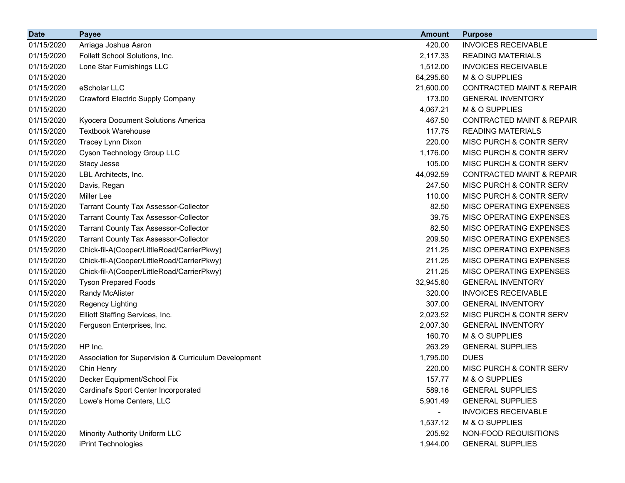| <b>Date</b> | Payee                                                | <b>Amount</b>            | <b>Purpose</b>                       |
|-------------|------------------------------------------------------|--------------------------|--------------------------------------|
| 01/15/2020  | Arriaga Joshua Aaron                                 | 420.00                   | <b>INVOICES RECEIVABLE</b>           |
| 01/15/2020  | Follett School Solutions, Inc.                       | 2,117.33                 | <b>READING MATERIALS</b>             |
| 01/15/2020  | Lone Star Furnishings LLC                            | 1,512.00                 | <b>INVOICES RECEIVABLE</b>           |
| 01/15/2020  |                                                      | 64,295.60                | M & O SUPPLIES                       |
| 01/15/2020  | eScholar LLC                                         | 21,600.00                | <b>CONTRACTED MAINT &amp; REPAIR</b> |
| 01/15/2020  | <b>Crawford Electric Supply Company</b>              | 173.00                   | <b>GENERAL INVENTORY</b>             |
| 01/15/2020  |                                                      | 4,067.21                 | M & O SUPPLIES                       |
| 01/15/2020  | Kyocera Document Solutions America                   | 467.50                   | <b>CONTRACTED MAINT &amp; REPAIR</b> |
| 01/15/2020  | <b>Textbook Warehouse</b>                            | 117.75                   | <b>READING MATERIALS</b>             |
| 01/15/2020  | Tracey Lynn Dixon                                    | 220.00                   | MISC PURCH & CONTR SERV              |
| 01/15/2020  | Cyson Technology Group LLC                           | 1,176.00                 | MISC PURCH & CONTR SERV              |
| 01/15/2020  | Stacy Jesse                                          | 105.00                   | MISC PURCH & CONTR SERV              |
| 01/15/2020  | LBL Architects, Inc.                                 | 44,092.59                | <b>CONTRACTED MAINT &amp; REPAIR</b> |
| 01/15/2020  | Davis, Regan                                         | 247.50                   | MISC PURCH & CONTR SERV              |
| 01/15/2020  | Miller Lee                                           | 110.00                   | MISC PURCH & CONTR SERV              |
| 01/15/2020  | <b>Tarrant County Tax Assessor-Collector</b>         | 82.50                    | MISC OPERATING EXPENSES              |
| 01/15/2020  | <b>Tarrant County Tax Assessor-Collector</b>         | 39.75                    | MISC OPERATING EXPENSES              |
| 01/15/2020  | <b>Tarrant County Tax Assessor-Collector</b>         | 82.50                    | MISC OPERATING EXPENSES              |
| 01/15/2020  | <b>Tarrant County Tax Assessor-Collector</b>         | 209.50                   | MISC OPERATING EXPENSES              |
| 01/15/2020  | Chick-fil-A(Cooper/LittleRoad/CarrierPkwy)           | 211.25                   | MISC OPERATING EXPENSES              |
| 01/15/2020  | Chick-fil-A(Cooper/LittleRoad/CarrierPkwy)           | 211.25                   | MISC OPERATING EXPENSES              |
| 01/15/2020  | Chick-fil-A(Cooper/LittleRoad/CarrierPkwy)           | 211.25                   | MISC OPERATING EXPENSES              |
| 01/15/2020  | <b>Tyson Prepared Foods</b>                          | 32,945.60                | <b>GENERAL INVENTORY</b>             |
| 01/15/2020  | <b>Randy McAlister</b>                               | 320.00                   | <b>INVOICES RECEIVABLE</b>           |
| 01/15/2020  | <b>Regency Lighting</b>                              | 307.00                   | <b>GENERAL INVENTORY</b>             |
| 01/15/2020  | Elliott Staffing Services, Inc.                      | 2,023.52                 | MISC PURCH & CONTR SERV              |
| 01/15/2020  | Ferguson Enterprises, Inc.                           | 2,007.30                 | <b>GENERAL INVENTORY</b>             |
| 01/15/2020  |                                                      | 160.70                   | M & O SUPPLIES                       |
| 01/15/2020  | HP Inc.                                              | 263.29                   | <b>GENERAL SUPPLIES</b>              |
| 01/15/2020  | Association for Supervision & Curriculum Development | 1,795.00                 | <b>DUES</b>                          |
| 01/15/2020  | Chin Henry                                           | 220.00                   | MISC PURCH & CONTR SERV              |
| 01/15/2020  | Decker Equipment/School Fix                          | 157.77                   | M & O SUPPLIES                       |
| 01/15/2020  | Cardinal's Sport Center Incorporated                 | 589.16                   | <b>GENERAL SUPPLIES</b>              |
| 01/15/2020  | Lowe's Home Centers, LLC                             | 5,901.49                 | <b>GENERAL SUPPLIES</b>              |
| 01/15/2020  |                                                      | $\overline{\phantom{0}}$ | <b>INVOICES RECEIVABLE</b>           |
| 01/15/2020  |                                                      | 1,537.12                 | M & O SUPPLIES                       |
| 01/15/2020  | Minority Authority Uniform LLC                       | 205.92                   | NON-FOOD REQUISITIONS                |
| 01/15/2020  | iPrint Technologies                                  | 1,944.00                 | <b>GENERAL SUPPLIES</b>              |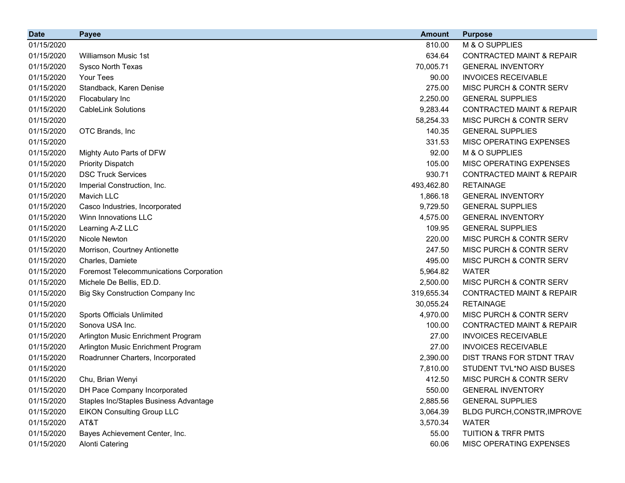| <b>Date</b> | <b>Payee</b>                                   | <b>Amount</b> | <b>Purpose</b>                       |
|-------------|------------------------------------------------|---------------|--------------------------------------|
| 01/15/2020  |                                                | 810.00        | M & O SUPPLIES                       |
| 01/15/2020  | Williamson Music 1st                           | 634.64        | <b>CONTRACTED MAINT &amp; REPAIR</b> |
| 01/15/2020  | Sysco North Texas                              | 70,005.71     | <b>GENERAL INVENTORY</b>             |
| 01/15/2020  | Your Tees                                      | 90.00         | <b>INVOICES RECEIVABLE</b>           |
| 01/15/2020  | Standback, Karen Denise                        | 275.00        | MISC PURCH & CONTR SERV              |
| 01/15/2020  | Flocabulary Inc                                | 2,250.00      | <b>GENERAL SUPPLIES</b>              |
| 01/15/2020  | <b>CableLink Solutions</b>                     | 9,283.44      | <b>CONTRACTED MAINT &amp; REPAIR</b> |
| 01/15/2020  |                                                | 58,254.33     | MISC PURCH & CONTR SERV              |
| 01/15/2020  | OTC Brands, Inc                                | 140.35        | <b>GENERAL SUPPLIES</b>              |
| 01/15/2020  |                                                | 331.53        | MISC OPERATING EXPENSES              |
| 01/15/2020  | Mighty Auto Parts of DFW                       | 92.00         | M & O SUPPLIES                       |
| 01/15/2020  | <b>Priority Dispatch</b>                       | 105.00        | MISC OPERATING EXPENSES              |
| 01/15/2020  | <b>DSC Truck Services</b>                      | 930.71        | <b>CONTRACTED MAINT &amp; REPAIR</b> |
| 01/15/2020  | Imperial Construction, Inc.                    | 493,462.80    | <b>RETAINAGE</b>                     |
| 01/15/2020  | Mavich LLC                                     | 1,866.18      | <b>GENERAL INVENTORY</b>             |
| 01/15/2020  | Casco Industries, Incorporated                 | 9,729.50      | <b>GENERAL SUPPLIES</b>              |
| 01/15/2020  | Winn Innovations LLC                           | 4,575.00      | <b>GENERAL INVENTORY</b>             |
| 01/15/2020  | Learning A-Z LLC                               | 109.95        | <b>GENERAL SUPPLIES</b>              |
| 01/15/2020  | Nicole Newton                                  | 220.00        | MISC PURCH & CONTR SERV              |
| 01/15/2020  | Morrison, Courtney Antionette                  | 247.50        | MISC PURCH & CONTR SERV              |
| 01/15/2020  | Charles, Damiete                               | 495.00        | MISC PURCH & CONTR SERV              |
| 01/15/2020  | <b>Foremost Telecommunications Corporation</b> | 5,964.82      | <b>WATER</b>                         |
| 01/15/2020  | Michele De Bellis, ED.D.                       | 2,500.00      | MISC PURCH & CONTR SERV              |
| 01/15/2020  | <b>Big Sky Construction Company Inc</b>        | 319,655.34    | <b>CONTRACTED MAINT &amp; REPAIR</b> |
| 01/15/2020  |                                                | 30,055.24     | <b>RETAINAGE</b>                     |
| 01/15/2020  | <b>Sports Officials Unlimited</b>              | 4,970.00      | MISC PURCH & CONTR SERV              |
| 01/15/2020  | Sonova USA Inc.                                | 100.00        | <b>CONTRACTED MAINT &amp; REPAIR</b> |
| 01/15/2020  | Arlington Music Enrichment Program             | 27.00         | <b>INVOICES RECEIVABLE</b>           |
| 01/15/2020  | Arlington Music Enrichment Program             | 27.00         | <b>INVOICES RECEIVABLE</b>           |
| 01/15/2020  | Roadrunner Charters, Incorporated              | 2,390.00      | DIST TRANS FOR STDNT TRAV            |
| 01/15/2020  |                                                | 7,810.00      | STUDENT TVL*NO AISD BUSES            |
| 01/15/2020  | Chu, Brian Wenyi                               | 412.50        | MISC PURCH & CONTR SERV              |
| 01/15/2020  | DH Pace Company Incorporated                   | 550.00        | <b>GENERAL INVENTORY</b>             |
| 01/15/2020  | Staples Inc/Staples Business Advantage         | 2,885.56      | <b>GENERAL SUPPLIES</b>              |
| 01/15/2020  | <b>EIKON Consulting Group LLC</b>              | 3,064.39      | BLDG PURCH, CONSTR, IMPROVE          |
| 01/15/2020  | AT&T                                           | 3,570.34      | <b>WATER</b>                         |
| 01/15/2020  | Bayes Achievement Center, Inc.                 | 55.00         | <b>TUITION &amp; TRFR PMTS</b>       |
| 01/15/2020  | <b>Alonti Catering</b>                         | 60.06         | MISC OPERATING EXPENSES              |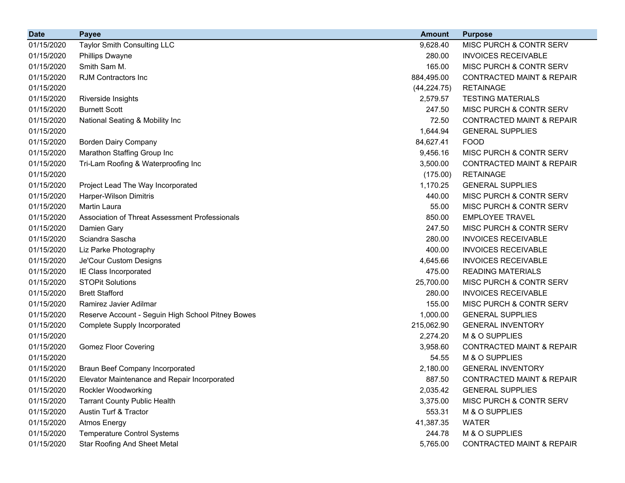| <b>Date</b> | <b>Payee</b>                                      | <b>Amount</b> | <b>Purpose</b>                       |
|-------------|---------------------------------------------------|---------------|--------------------------------------|
| 01/15/2020  | <b>Taylor Smith Consulting LLC</b>                | 9,628.40      | MISC PURCH & CONTR SERV              |
| 01/15/2020  | <b>Phillips Dwayne</b>                            | 280.00        | <b>INVOICES RECEIVABLE</b>           |
| 01/15/2020  | Smith Sam M.                                      | 165.00        | MISC PURCH & CONTR SERV              |
| 01/15/2020  | <b>RJM Contractors Inc</b>                        | 884,495.00    | <b>CONTRACTED MAINT &amp; REPAIR</b> |
| 01/15/2020  |                                                   | (44, 224.75)  | <b>RETAINAGE</b>                     |
| 01/15/2020  | Riverside Insights                                | 2,579.57      | <b>TESTING MATERIALS</b>             |
| 01/15/2020  | <b>Burnett Scott</b>                              | 247.50        | MISC PURCH & CONTR SERV              |
| 01/15/2020  | National Seating & Mobility Inc                   | 72.50         | <b>CONTRACTED MAINT &amp; REPAIR</b> |
| 01/15/2020  |                                                   | 1,644.94      | <b>GENERAL SUPPLIES</b>              |
| 01/15/2020  | <b>Borden Dairy Company</b>                       | 84,627.41     | <b>FOOD</b>                          |
| 01/15/2020  | Marathon Staffing Group Inc                       | 9,456.16      | MISC PURCH & CONTR SERV              |
| 01/15/2020  | Tri-Lam Roofing & Waterproofing Inc               | 3,500.00      | <b>CONTRACTED MAINT &amp; REPAIR</b> |
| 01/15/2020  |                                                   | (175.00)      | <b>RETAINAGE</b>                     |
| 01/15/2020  | Project Lead The Way Incorporated                 | 1,170.25      | <b>GENERAL SUPPLIES</b>              |
| 01/15/2020  | Harper-Wilson Dimitris                            | 440.00        | MISC PURCH & CONTR SERV              |
| 01/15/2020  | <b>Martin Laura</b>                               | 55.00         | MISC PURCH & CONTR SERV              |
| 01/15/2020  | Association of Threat Assessment Professionals    | 850.00        | <b>EMPLOYEE TRAVEL</b>               |
| 01/15/2020  | Damien Gary                                       | 247.50        | MISC PURCH & CONTR SERV              |
| 01/15/2020  | Sciandra Sascha                                   | 280.00        | <b>INVOICES RECEIVABLE</b>           |
| 01/15/2020  | Liz Parke Photography                             | 400.00        | <b>INVOICES RECEIVABLE</b>           |
| 01/15/2020  | Je'Cour Custom Designs                            | 4,645.66      | <b>INVOICES RECEIVABLE</b>           |
| 01/15/2020  | IE Class Incorporated                             | 475.00        | <b>READING MATERIALS</b>             |
| 01/15/2020  | <b>STOPit Solutions</b>                           | 25,700.00     | MISC PURCH & CONTR SERV              |
| 01/15/2020  | <b>Brett Stafford</b>                             | 280.00        | <b>INVOICES RECEIVABLE</b>           |
| 01/15/2020  | Ramirez Javier Adilmar                            | 155.00        | MISC PURCH & CONTR SERV              |
| 01/15/2020  | Reserve Account - Seguin High School Pitney Bowes | 1,000.00      | <b>GENERAL SUPPLIES</b>              |
| 01/15/2020  | <b>Complete Supply Incorporated</b>               | 215,062.90    | <b>GENERAL INVENTORY</b>             |
| 01/15/2020  |                                                   | 2,274.20      | M & O SUPPLIES                       |
| 01/15/2020  | <b>Gomez Floor Covering</b>                       | 3,958.60      | <b>CONTRACTED MAINT &amp; REPAIR</b> |
| 01/15/2020  |                                                   | 54.55         | M & O SUPPLIES                       |
| 01/15/2020  | <b>Braun Beef Company Incorporated</b>            | 2,180.00      | <b>GENERAL INVENTORY</b>             |
| 01/15/2020  | Elevator Maintenance and Repair Incorporated      | 887.50        | CONTRACTED MAINT & REPAIR            |
| 01/15/2020  | Rockler Woodworking                               | 2,035.42      | <b>GENERAL SUPPLIES</b>              |
| 01/15/2020  | <b>Tarrant County Public Health</b>               | 3,375.00      | MISC PURCH & CONTR SERV              |
| 01/15/2020  | Austin Turf & Tractor                             | 553.31        | M & O SUPPLIES                       |
| 01/15/2020  | <b>Atmos Energy</b>                               | 41,387.35     | <b>WATER</b>                         |
| 01/15/2020  | <b>Temperature Control Systems</b>                | 244.78        | M & O SUPPLIES                       |
| 01/15/2020  | <b>Star Roofing And Sheet Metal</b>               | 5,765.00      | CONTRACTED MAINT & REPAIR            |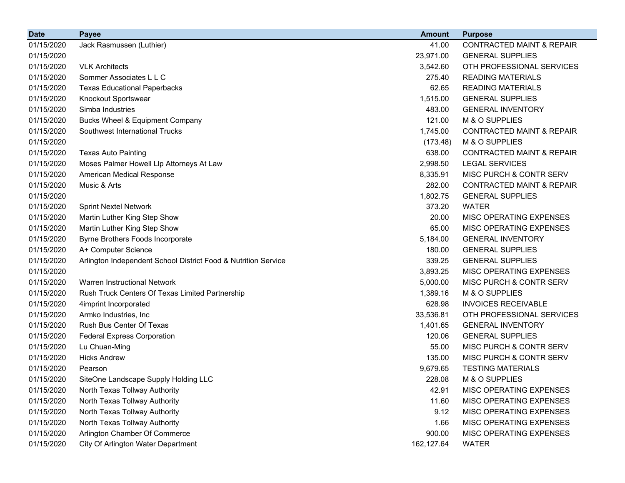| <b>Date</b> | <b>Payee</b>                                                   | <b>Amount</b> | <b>Purpose</b>                       |
|-------------|----------------------------------------------------------------|---------------|--------------------------------------|
| 01/15/2020  | Jack Rasmussen (Luthier)                                       | 41.00         | <b>CONTRACTED MAINT &amp; REPAIR</b> |
| 01/15/2020  |                                                                | 23,971.00     | <b>GENERAL SUPPLIES</b>              |
| 01/15/2020  | <b>VLK Architects</b>                                          | 3,542.60      | OTH PROFESSIONAL SERVICES            |
| 01/15/2020  | Sommer Associates L L C                                        | 275.40        | <b>READING MATERIALS</b>             |
| 01/15/2020  | <b>Texas Educational Paperbacks</b>                            | 62.65         | <b>READING MATERIALS</b>             |
| 01/15/2020  | Knockout Sportswear                                            | 1,515.00      | <b>GENERAL SUPPLIES</b>              |
| 01/15/2020  | Simba Industries                                               | 483.00        | <b>GENERAL INVENTORY</b>             |
| 01/15/2020  | Bucks Wheel & Equipment Company                                | 121.00        | M & O SUPPLIES                       |
| 01/15/2020  | Southwest International Trucks                                 | 1,745.00      | <b>CONTRACTED MAINT &amp; REPAIR</b> |
| 01/15/2020  |                                                                | (173.48)      | M & O SUPPLIES                       |
| 01/15/2020  | <b>Texas Auto Painting</b>                                     | 638.00        | <b>CONTRACTED MAINT &amp; REPAIR</b> |
| 01/15/2020  | Moses Palmer Howell Llp Attorneys At Law                       | 2,998.50      | <b>LEGAL SERVICES</b>                |
| 01/15/2020  | American Medical Response                                      | 8,335.91      | MISC PURCH & CONTR SERV              |
| 01/15/2020  | Music & Arts                                                   | 282.00        | <b>CONTRACTED MAINT &amp; REPAIR</b> |
| 01/15/2020  |                                                                | 1,802.75      | <b>GENERAL SUPPLIES</b>              |
| 01/15/2020  | <b>Sprint Nextel Network</b>                                   | 373.20        | <b>WATER</b>                         |
| 01/15/2020  | Martin Luther King Step Show                                   | 20.00         | MISC OPERATING EXPENSES              |
| 01/15/2020  | Martin Luther King Step Show                                   | 65.00         | MISC OPERATING EXPENSES              |
| 01/15/2020  | Byrne Brothers Foods Incorporate                               | 5,184.00      | <b>GENERAL INVENTORY</b>             |
| 01/15/2020  | A+ Computer Science                                            | 180.00        | <b>GENERAL SUPPLIES</b>              |
| 01/15/2020  | Arlington Independent School District Food & Nutrition Service | 339.25        | <b>GENERAL SUPPLIES</b>              |
| 01/15/2020  |                                                                | 3,893.25      | <b>MISC OPERATING EXPENSES</b>       |
| 01/15/2020  | Warren Instructional Network                                   | 5,000.00      | MISC PURCH & CONTR SERV              |
| 01/15/2020  | Rush Truck Centers Of Texas Limited Partnership                | 1,389.16      | M & O SUPPLIES                       |
| 01/15/2020  | 4imprint Incorporated                                          | 628.98        | <b>INVOICES RECEIVABLE</b>           |
| 01/15/2020  | Armko Industries, Inc.                                         | 33,536.81     | OTH PROFESSIONAL SERVICES            |
| 01/15/2020  | Rush Bus Center Of Texas                                       | 1,401.65      | <b>GENERAL INVENTORY</b>             |
| 01/15/2020  | <b>Federal Express Corporation</b>                             | 120.06        | <b>GENERAL SUPPLIES</b>              |
| 01/15/2020  | Lu Chuan-Ming                                                  | 55.00         | MISC PURCH & CONTR SERV              |
| 01/15/2020  | <b>Hicks Andrew</b>                                            | 135.00        | MISC PURCH & CONTR SERV              |
| 01/15/2020  | Pearson                                                        | 9,679.65      | <b>TESTING MATERIALS</b>             |
| 01/15/2020  | SiteOne Landscape Supply Holding LLC                           | 228.08        | M & O SUPPLIES                       |
| 01/15/2020  | North Texas Tollway Authority                                  | 42.91         | MISC OPERATING EXPENSES              |
| 01/15/2020  | North Texas Tollway Authority                                  | 11.60         | MISC OPERATING EXPENSES              |
| 01/15/2020  | North Texas Tollway Authority                                  | 9.12          | MISC OPERATING EXPENSES              |
| 01/15/2020  | North Texas Tollway Authority                                  | 1.66          | MISC OPERATING EXPENSES              |
| 01/15/2020  | Arlington Chamber Of Commerce                                  | 900.00        | MISC OPERATING EXPENSES              |
| 01/15/2020  | City Of Arlington Water Department                             | 162,127.64    | <b>WATER</b>                         |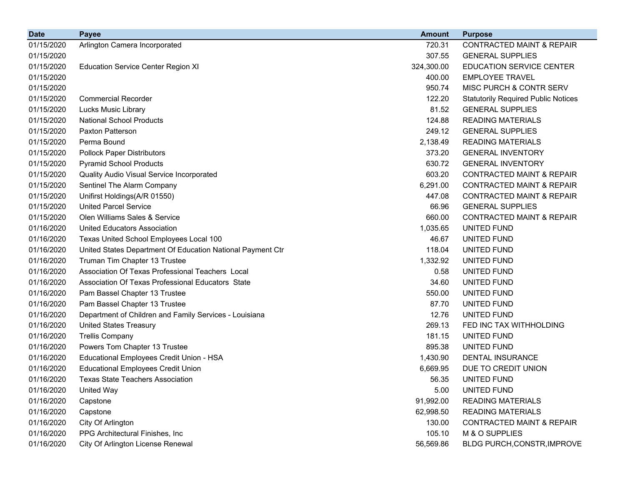| <b>Date</b> | <b>Payee</b>                                               | <b>Amount</b> | <b>Purpose</b>                             |
|-------------|------------------------------------------------------------|---------------|--------------------------------------------|
| 01/15/2020  | Arlington Camera Incorporated                              | 720.31        | <b>CONTRACTED MAINT &amp; REPAIR</b>       |
| 01/15/2020  |                                                            | 307.55        | <b>GENERAL SUPPLIES</b>                    |
| 01/15/2020  | <b>Education Service Center Region XI</b>                  | 324,300.00    | <b>EDUCATION SERVICE CENTER</b>            |
| 01/15/2020  |                                                            | 400.00        | <b>EMPLOYEE TRAVEL</b>                     |
| 01/15/2020  |                                                            | 950.74        | MISC PURCH & CONTR SERV                    |
| 01/15/2020  | <b>Commercial Recorder</b>                                 | 122.20        | <b>Statutorily Required Public Notices</b> |
| 01/15/2020  | <b>Lucks Music Library</b>                                 | 81.52         | <b>GENERAL SUPPLIES</b>                    |
| 01/15/2020  | <b>National School Products</b>                            | 124.88        | <b>READING MATERIALS</b>                   |
| 01/15/2020  | <b>Paxton Patterson</b>                                    | 249.12        | <b>GENERAL SUPPLIES</b>                    |
| 01/15/2020  | Perma Bound                                                | 2,138.49      | <b>READING MATERIALS</b>                   |
| 01/15/2020  | <b>Pollock Paper Distributors</b>                          | 373.20        | <b>GENERAL INVENTORY</b>                   |
| 01/15/2020  | <b>Pyramid School Products</b>                             | 630.72        | <b>GENERAL INVENTORY</b>                   |
| 01/15/2020  | Quality Audio Visual Service Incorporated                  | 603.20        | <b>CONTRACTED MAINT &amp; REPAIR</b>       |
| 01/15/2020  | Sentinel The Alarm Company                                 | 6,291.00      | <b>CONTRACTED MAINT &amp; REPAIR</b>       |
| 01/15/2020  | Unifirst Holdings(A/R 01550)                               | 447.08        | <b>CONTRACTED MAINT &amp; REPAIR</b>       |
| 01/15/2020  | <b>United Parcel Service</b>                               | 66.96         | <b>GENERAL SUPPLIES</b>                    |
| 01/15/2020  | Olen Williams Sales & Service                              | 660.00        | <b>CONTRACTED MAINT &amp; REPAIR</b>       |
| 01/16/2020  | <b>United Educators Association</b>                        | 1,035.65      | UNITED FUND                                |
| 01/16/2020  | Texas United School Employees Local 100                    | 46.67         | UNITED FUND                                |
| 01/16/2020  | United States Department Of Education National Payment Ctr | 118.04        | UNITED FUND                                |
| 01/16/2020  | Truman Tim Chapter 13 Trustee                              | 1,332.92      | UNITED FUND                                |
| 01/16/2020  | Association Of Texas Professional Teachers Local           | 0.58          | UNITED FUND                                |
| 01/16/2020  | Association Of Texas Professional Educators State          | 34.60         | UNITED FUND                                |
| 01/16/2020  | Pam Bassel Chapter 13 Trustee                              | 550.00        | UNITED FUND                                |
| 01/16/2020  | Pam Bassel Chapter 13 Trustee                              | 87.70         | UNITED FUND                                |
| 01/16/2020  | Department of Children and Family Services - Louisiana     | 12.76         | UNITED FUND                                |
| 01/16/2020  | <b>United States Treasury</b>                              | 269.13        | FED INC TAX WITHHOLDING                    |
| 01/16/2020  | <b>Trellis Company</b>                                     | 181.15        | UNITED FUND                                |
| 01/16/2020  | Powers Tom Chapter 13 Trustee                              | 895.38        | UNITED FUND                                |
| 01/16/2020  | Educational Employees Credit Union - HSA                   | 1,430.90      | <b>DENTAL INSURANCE</b>                    |
| 01/16/2020  | <b>Educational Employees Credit Union</b>                  | 6,669.95      | DUE TO CREDIT UNION                        |
| 01/16/2020  | <b>Texas State Teachers Association</b>                    | 56.35         | UNITED FUND                                |
| 01/16/2020  | <b>United Way</b>                                          | 5.00          | UNITED FUND                                |
| 01/16/2020  | Capstone                                                   | 91,992.00     | <b>READING MATERIALS</b>                   |
| 01/16/2020  | Capstone                                                   | 62,998.50     | <b>READING MATERIALS</b>                   |
| 01/16/2020  | City Of Arlington                                          | 130.00        | <b>CONTRACTED MAINT &amp; REPAIR</b>       |
| 01/16/2020  | PPG Architectural Finishes, Inc                            | 105.10        | M & O SUPPLIES                             |
| 01/16/2020  | City Of Arlington License Renewal                          | 56,569.86     | BLDG PURCH, CONSTR, IMPROVE                |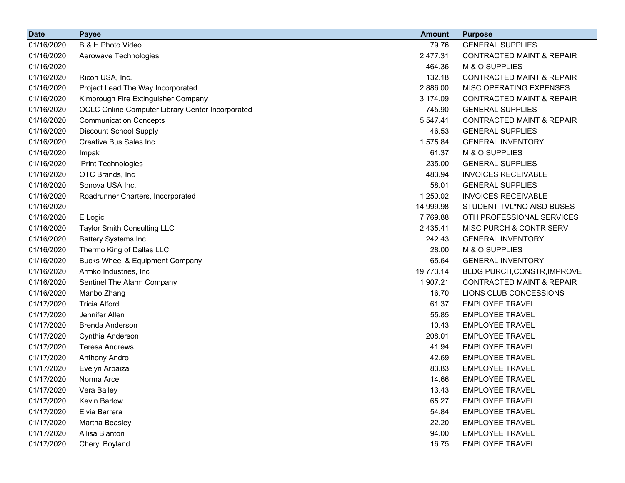| <b>Date</b> | <b>Payee</b>                                     | <b>Amount</b> | <b>Purpose</b>                       |
|-------------|--------------------------------------------------|---------------|--------------------------------------|
| 01/16/2020  | B & H Photo Video                                | 79.76         | <b>GENERAL SUPPLIES</b>              |
| 01/16/2020  | Aerowave Technologies                            | 2,477.31      | CONTRACTED MAINT & REPAIR            |
| 01/16/2020  |                                                  | 464.36        | M & O SUPPLIES                       |
| 01/16/2020  | Ricoh USA, Inc.                                  | 132.18        | <b>CONTRACTED MAINT &amp; REPAIR</b> |
| 01/16/2020  | Project Lead The Way Incorporated                | 2,886.00      | MISC OPERATING EXPENSES              |
| 01/16/2020  | Kimbrough Fire Extinguisher Company              | 3,174.09      | <b>CONTRACTED MAINT &amp; REPAIR</b> |
| 01/16/2020  | OCLC Online Computer Library Center Incorporated | 745.90        | <b>GENERAL SUPPLIES</b>              |
| 01/16/2020  | <b>Communication Concepts</b>                    | 5,547.41      | CONTRACTED MAINT & REPAIR            |
| 01/16/2020  | <b>Discount School Supply</b>                    | 46.53         | <b>GENERAL SUPPLIES</b>              |
| 01/16/2020  | Creative Bus Sales Inc                           | 1,575.84      | <b>GENERAL INVENTORY</b>             |
| 01/16/2020  | Impak                                            | 61.37         | M & O SUPPLIES                       |
| 01/16/2020  | iPrint Technologies                              | 235.00        | <b>GENERAL SUPPLIES</b>              |
| 01/16/2020  | OTC Brands, Inc.                                 | 483.94        | <b>INVOICES RECEIVABLE</b>           |
| 01/16/2020  | Sonova USA Inc.                                  | 58.01         | <b>GENERAL SUPPLIES</b>              |
| 01/16/2020  | Roadrunner Charters, Incorporated                | 1,250.02      | <b>INVOICES RECEIVABLE</b>           |
| 01/16/2020  |                                                  | 14,999.98     | STUDENT TVL*NO AISD BUSES            |
| 01/16/2020  | E Logic                                          | 7,769.88      | OTH PROFESSIONAL SERVICES            |
| 01/16/2020  | <b>Taylor Smith Consulting LLC</b>               | 2,435.41      | MISC PURCH & CONTR SERV              |
| 01/16/2020  | <b>Battery Systems Inc</b>                       | 242.43        | <b>GENERAL INVENTORY</b>             |
| 01/16/2020  | Thermo King of Dallas LLC                        | 28.00         | M & O SUPPLIES                       |
| 01/16/2020  | Bucks Wheel & Equipment Company                  | 65.64         | <b>GENERAL INVENTORY</b>             |
| 01/16/2020  | Armko Industries, Inc.                           | 19,773.14     | BLDG PURCH, CONSTR, IMPROVE          |
| 01/16/2020  | Sentinel The Alarm Company                       | 1,907.21      | <b>CONTRACTED MAINT &amp; REPAIR</b> |
| 01/16/2020  | Manbo Zhang                                      | 16.70         | LIONS CLUB CONCESSIONS               |
| 01/17/2020  | <b>Tricia Alford</b>                             | 61.37         | <b>EMPLOYEE TRAVEL</b>               |
| 01/17/2020  | Jennifer Allen                                   | 55.85         | <b>EMPLOYEE TRAVEL</b>               |
| 01/17/2020  | Brenda Anderson                                  | 10.43         | <b>EMPLOYEE TRAVEL</b>               |
| 01/17/2020  | Cynthia Anderson                                 | 208.01        | <b>EMPLOYEE TRAVEL</b>               |
| 01/17/2020  | <b>Teresa Andrews</b>                            | 41.94         | <b>EMPLOYEE TRAVEL</b>               |
| 01/17/2020  | Anthony Andro                                    | 42.69         | <b>EMPLOYEE TRAVEL</b>               |
| 01/17/2020  | Evelyn Arbaiza                                   | 83.83         | <b>EMPLOYEE TRAVEL</b>               |
| 01/17/2020  | Norma Arce                                       | 14.66         | <b>EMPLOYEE TRAVEL</b>               |
| 01/17/2020  | Vera Bailey                                      | 13.43         | <b>EMPLOYEE TRAVEL</b>               |
| 01/17/2020  | Kevin Barlow                                     | 65.27         | <b>EMPLOYEE TRAVEL</b>               |
| 01/17/2020  | Elvia Barrera                                    | 54.84         | <b>EMPLOYEE TRAVEL</b>               |
| 01/17/2020  | Martha Beasley                                   | 22.20         | <b>EMPLOYEE TRAVEL</b>               |
| 01/17/2020  | Allisa Blanton                                   | 94.00         | <b>EMPLOYEE TRAVEL</b>               |
| 01/17/2020  | Cheryl Boyland                                   | 16.75         | <b>EMPLOYEE TRAVEL</b>               |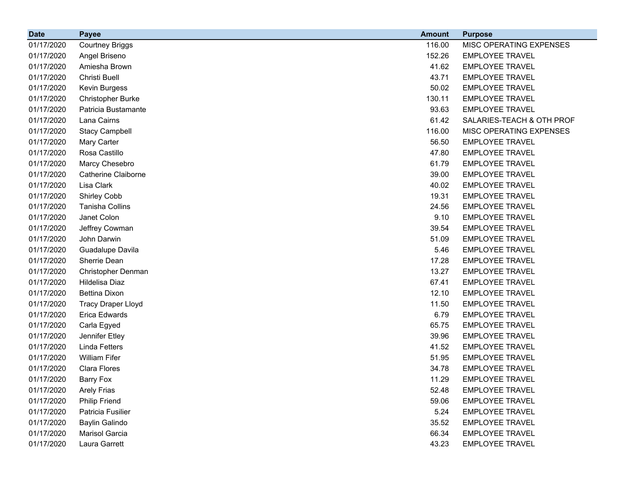| <b>Date</b> | <b>Payee</b>               | <b>Amount</b> | <b>Purpose</b>            |
|-------------|----------------------------|---------------|---------------------------|
| 01/17/2020  | <b>Courtney Briggs</b>     | 116.00        | MISC OPERATING EXPENSES   |
| 01/17/2020  | Angel Briseno              | 152.26        | <b>EMPLOYEE TRAVEL</b>    |
| 01/17/2020  | Amiesha Brown              | 41.62         | <b>EMPLOYEE TRAVEL</b>    |
| 01/17/2020  | Christi Buell              | 43.71         | <b>EMPLOYEE TRAVEL</b>    |
| 01/17/2020  | <b>Kevin Burgess</b>       | 50.02         | <b>EMPLOYEE TRAVEL</b>    |
| 01/17/2020  | <b>Christopher Burke</b>   | 130.11        | <b>EMPLOYEE TRAVEL</b>    |
| 01/17/2020  | Patricia Bustamante        | 93.63         | <b>EMPLOYEE TRAVEL</b>    |
| 01/17/2020  | Lana Cairns                | 61.42         | SALARIES-TEACH & OTH PROF |
| 01/17/2020  | <b>Stacy Campbell</b>      | 116.00        | MISC OPERATING EXPENSES   |
| 01/17/2020  | Mary Carter                | 56.50         | <b>EMPLOYEE TRAVEL</b>    |
| 01/17/2020  | Rosa Castillo              | 47.80         | <b>EMPLOYEE TRAVEL</b>    |
| 01/17/2020  | Marcy Chesebro             | 61.79         | <b>EMPLOYEE TRAVEL</b>    |
| 01/17/2020  | <b>Catherine Claiborne</b> | 39.00         | <b>EMPLOYEE TRAVEL</b>    |
| 01/17/2020  | Lisa Clark                 | 40.02         | <b>EMPLOYEE TRAVEL</b>    |
| 01/17/2020  | <b>Shirley Cobb</b>        | 19.31         | <b>EMPLOYEE TRAVEL</b>    |
| 01/17/2020  | <b>Tanisha Collins</b>     | 24.56         | <b>EMPLOYEE TRAVEL</b>    |
| 01/17/2020  | Janet Colon                | 9.10          | <b>EMPLOYEE TRAVEL</b>    |
| 01/17/2020  | Jeffrey Cowman             | 39.54         | <b>EMPLOYEE TRAVEL</b>    |
| 01/17/2020  | John Darwin                | 51.09         | <b>EMPLOYEE TRAVEL</b>    |
| 01/17/2020  | Guadalupe Davila           | 5.46          | <b>EMPLOYEE TRAVEL</b>    |
| 01/17/2020  | Sherrie Dean               | 17.28         | <b>EMPLOYEE TRAVEL</b>    |
| 01/17/2020  | Christopher Denman         | 13.27         | <b>EMPLOYEE TRAVEL</b>    |
| 01/17/2020  | Hildelisa Diaz             | 67.41         | <b>EMPLOYEE TRAVEL</b>    |
| 01/17/2020  | <b>Bettina Dixon</b>       | 12.10         | <b>EMPLOYEE TRAVEL</b>    |
| 01/17/2020  | <b>Tracy Draper Lloyd</b>  | 11.50         | <b>EMPLOYEE TRAVEL</b>    |
| 01/17/2020  | Erica Edwards              | 6.79          | <b>EMPLOYEE TRAVEL</b>    |
| 01/17/2020  | Carla Egyed                | 65.75         | <b>EMPLOYEE TRAVEL</b>    |
| 01/17/2020  | Jennifer Etley             | 39.96         | <b>EMPLOYEE TRAVEL</b>    |
| 01/17/2020  | <b>Linda Fetters</b>       | 41.52         | <b>EMPLOYEE TRAVEL</b>    |
| 01/17/2020  | <b>William Fifer</b>       | 51.95         | <b>EMPLOYEE TRAVEL</b>    |
| 01/17/2020  | <b>Clara Flores</b>        | 34.78         | <b>EMPLOYEE TRAVEL</b>    |
| 01/17/2020  | Barry Fox                  | 11.29         | <b>EMPLOYEE TRAVEL</b>    |
| 01/17/2020  | <b>Arely Frias</b>         | 52.48         | <b>EMPLOYEE TRAVEL</b>    |
| 01/17/2020  | <b>Philip Friend</b>       | 59.06         | <b>EMPLOYEE TRAVEL</b>    |
| 01/17/2020  | Patricia Fusilier          | 5.24          | <b>EMPLOYEE TRAVEL</b>    |
| 01/17/2020  | <b>Baylin Galindo</b>      | 35.52         | <b>EMPLOYEE TRAVEL</b>    |
| 01/17/2020  | Marisol Garcia             | 66.34         | <b>EMPLOYEE TRAVEL</b>    |
| 01/17/2020  | Laura Garrett              | 43.23         | <b>EMPLOYEE TRAVEL</b>    |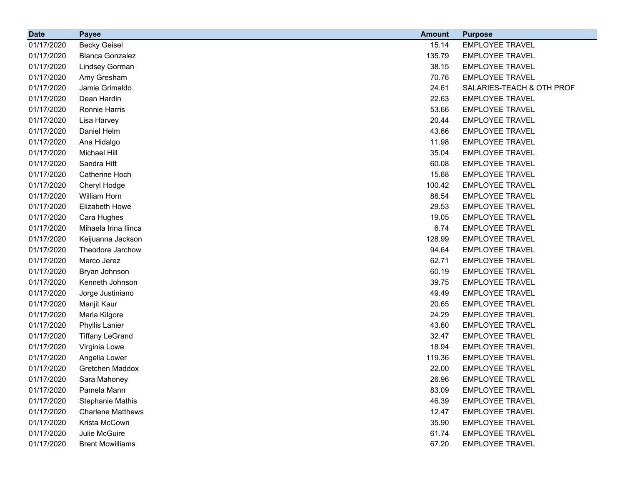| <b>Date</b> | <b>Payee</b>             | <b>Amount</b> | <b>Purpose</b>            |
|-------------|--------------------------|---------------|---------------------------|
| 01/17/2020  | <b>Becky Geisel</b>      | 15.14         | <b>EMPLOYEE TRAVEL</b>    |
| 01/17/2020  | <b>Blanca Gonzalez</b>   | 135.79        | <b>EMPLOYEE TRAVEL</b>    |
| 01/17/2020  | <b>Lindsey Gorman</b>    | 38.15         | <b>EMPLOYEE TRAVEL</b>    |
| 01/17/2020  | Amy Gresham              | 70.76         | <b>EMPLOYEE TRAVEL</b>    |
| 01/17/2020  | Jamie Grimaldo           | 24.61         | SALARIES-TEACH & OTH PROF |
| 01/17/2020  | Dean Hardin              | 22.63         | <b>EMPLOYEE TRAVEL</b>    |
| 01/17/2020  | Ronnie Harris            | 53.66         | <b>EMPLOYEE TRAVEL</b>    |
| 01/17/2020  | Lisa Harvey              | 20.44         | <b>EMPLOYEE TRAVEL</b>    |
| 01/17/2020  | Daniel Helm              | 43.66         | <b>EMPLOYEE TRAVEL</b>    |
| 01/17/2020  | Ana Hidalgo              | 11.98         | <b>EMPLOYEE TRAVEL</b>    |
| 01/17/2020  | Michael Hill             | 35.04         | <b>EMPLOYEE TRAVEL</b>    |
| 01/17/2020  | Sandra Hitt              | 60.08         | <b>EMPLOYEE TRAVEL</b>    |
| 01/17/2020  | Catherine Hoch           | 15.68         | <b>EMPLOYEE TRAVEL</b>    |
| 01/17/2020  | Cheryl Hodge             | 100.42        | <b>EMPLOYEE TRAVEL</b>    |
| 01/17/2020  | <b>William Horn</b>      | 88.54         | <b>EMPLOYEE TRAVEL</b>    |
| 01/17/2020  | Elizabeth Howe           | 29.53         | <b>EMPLOYEE TRAVEL</b>    |
| 01/17/2020  | Cara Hughes              | 19.05         | <b>EMPLOYEE TRAVEL</b>    |
| 01/17/2020  | Mihaela Irina Ilinca     | 6.74          | <b>EMPLOYEE TRAVEL</b>    |
| 01/17/2020  | Keijuanna Jackson        | 128.99        | <b>EMPLOYEE TRAVEL</b>    |
| 01/17/2020  | Theodore Jarchow         | 94.64         | <b>EMPLOYEE TRAVEL</b>    |
| 01/17/2020  | Marco Jerez              | 62.71         | <b>EMPLOYEE TRAVEL</b>    |
| 01/17/2020  | Bryan Johnson            | 60.19         | <b>EMPLOYEE TRAVEL</b>    |
| 01/17/2020  | Kenneth Johnson          | 39.75         | <b>EMPLOYEE TRAVEL</b>    |
| 01/17/2020  | Jorge Justiniano         | 49.49         | <b>EMPLOYEE TRAVEL</b>    |
| 01/17/2020  | Manjit Kaur              | 20.65         | <b>EMPLOYEE TRAVEL</b>    |
| 01/17/2020  | Maria Kilgore            | 24.29         | <b>EMPLOYEE TRAVEL</b>    |
| 01/17/2020  | <b>Phyllis Lanier</b>    | 43.60         | <b>EMPLOYEE TRAVEL</b>    |
| 01/17/2020  | <b>Tiffany LeGrand</b>   | 32.47         | <b>EMPLOYEE TRAVEL</b>    |
| 01/17/2020  | Virginia Lowe            | 18.94         | <b>EMPLOYEE TRAVEL</b>    |
| 01/17/2020  | Angelia Lower            | 119.36        | <b>EMPLOYEE TRAVEL</b>    |
| 01/17/2020  | Gretchen Maddox          | 22.00         | <b>EMPLOYEE TRAVEL</b>    |
| 01/17/2020  | Sara Mahoney             | 26.96         | <b>EMPLOYEE TRAVEL</b>    |
| 01/17/2020  | Pamela Mann              | 83.09         | <b>EMPLOYEE TRAVEL</b>    |
| 01/17/2020  | <b>Stephanie Mathis</b>  | 46.39         | <b>EMPLOYEE TRAVEL</b>    |
| 01/17/2020  | <b>Charlene Matthews</b> | 12.47         | <b>EMPLOYEE TRAVEL</b>    |
| 01/17/2020  | Krista McCown            | 35.90         | <b>EMPLOYEE TRAVEL</b>    |
| 01/17/2020  | Julie McGuire            | 61.74         | <b>EMPLOYEE TRAVEL</b>    |
| 01/17/2020  | <b>Brent Mcwilliams</b>  | 67.20         | <b>EMPLOYEE TRAVEL</b>    |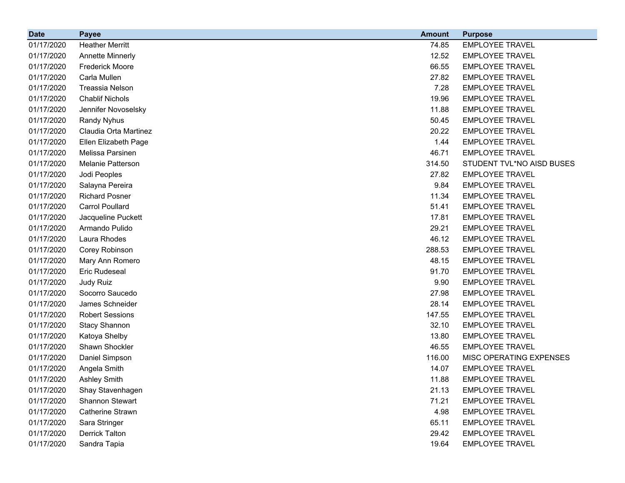| <b>Date</b> | <b>Payee</b>            | <b>Amount</b> | <b>Purpose</b>            |
|-------------|-------------------------|---------------|---------------------------|
| 01/17/2020  | <b>Heather Merritt</b>  | 74.85         | <b>EMPLOYEE TRAVEL</b>    |
| 01/17/2020  | <b>Annette Minnerly</b> | 12.52         | <b>EMPLOYEE TRAVEL</b>    |
| 01/17/2020  | <b>Frederick Moore</b>  | 66.55         | <b>EMPLOYEE TRAVEL</b>    |
| 01/17/2020  | Carla Mullen            | 27.82         | <b>EMPLOYEE TRAVEL</b>    |
| 01/17/2020  | <b>Treassia Nelson</b>  | 7.28          | <b>EMPLOYEE TRAVEL</b>    |
| 01/17/2020  | <b>Chablif Nichols</b>  | 19.96         | <b>EMPLOYEE TRAVEL</b>    |
| 01/17/2020  | Jennifer Novoselsky     | 11.88         | <b>EMPLOYEE TRAVEL</b>    |
| 01/17/2020  | Randy Nyhus             | 50.45         | <b>EMPLOYEE TRAVEL</b>    |
| 01/17/2020  | Claudia Orta Martinez   | 20.22         | <b>EMPLOYEE TRAVEL</b>    |
| 01/17/2020  | Ellen Elizabeth Page    | 1.44          | <b>EMPLOYEE TRAVEL</b>    |
| 01/17/2020  | Melissa Parsinen        | 46.71         | <b>EMPLOYEE TRAVEL</b>    |
| 01/17/2020  | Melanie Patterson       | 314.50        | STUDENT TVL*NO AISD BUSES |
| 01/17/2020  | Jodi Peoples            | 27.82         | <b>EMPLOYEE TRAVEL</b>    |
| 01/17/2020  | Salayna Pereira         | 9.84          | <b>EMPLOYEE TRAVEL</b>    |
| 01/17/2020  | <b>Richard Posner</b>   | 11.34         | <b>EMPLOYEE TRAVEL</b>    |
| 01/17/2020  | <b>Carrol Poullard</b>  | 51.41         | <b>EMPLOYEE TRAVEL</b>    |
| 01/17/2020  | Jacqueline Puckett      | 17.81         | <b>EMPLOYEE TRAVEL</b>    |
| 01/17/2020  | Armando Pulido          | 29.21         | <b>EMPLOYEE TRAVEL</b>    |
| 01/17/2020  | Laura Rhodes            | 46.12         | <b>EMPLOYEE TRAVEL</b>    |
| 01/17/2020  | Corey Robinson          | 288.53        | <b>EMPLOYEE TRAVEL</b>    |
| 01/17/2020  | Mary Ann Romero         | 48.15         | <b>EMPLOYEE TRAVEL</b>    |
| 01/17/2020  | <b>Eric Rudeseal</b>    | 91.70         | <b>EMPLOYEE TRAVEL</b>    |
| 01/17/2020  | Judy Ruiz               | 9.90          | <b>EMPLOYEE TRAVEL</b>    |
| 01/17/2020  | Socorro Saucedo         | 27.98         | <b>EMPLOYEE TRAVEL</b>    |
| 01/17/2020  | James Schneider         | 28.14         | <b>EMPLOYEE TRAVEL</b>    |
| 01/17/2020  | <b>Robert Sessions</b>  | 147.55        | <b>EMPLOYEE TRAVEL</b>    |
| 01/17/2020  | <b>Stacy Shannon</b>    | 32.10         | <b>EMPLOYEE TRAVEL</b>    |
| 01/17/2020  | Katoya Shelby           | 13.80         | <b>EMPLOYEE TRAVEL</b>    |
| 01/17/2020  | Shawn Shockler          | 46.55         | <b>EMPLOYEE TRAVEL</b>    |
| 01/17/2020  | Daniel Simpson          | 116.00        | MISC OPERATING EXPENSES   |
| 01/17/2020  | Angela Smith            | 14.07         | <b>EMPLOYEE TRAVEL</b>    |
| 01/17/2020  | <b>Ashley Smith</b>     | 11.88         | <b>EMPLOYEE TRAVEL</b>    |
| 01/17/2020  | Shay Stavenhagen        | 21.13         | <b>EMPLOYEE TRAVEL</b>    |
| 01/17/2020  | Shannon Stewart         | 71.21         | <b>EMPLOYEE TRAVEL</b>    |
| 01/17/2020  | <b>Catherine Strawn</b> | 4.98          | <b>EMPLOYEE TRAVEL</b>    |
| 01/17/2020  | Sara Stringer           | 65.11         | <b>EMPLOYEE TRAVEL</b>    |
| 01/17/2020  | <b>Derrick Talton</b>   | 29.42         | <b>EMPLOYEE TRAVEL</b>    |
| 01/17/2020  | Sandra Tapia            | 19.64         | <b>EMPLOYEE TRAVEL</b>    |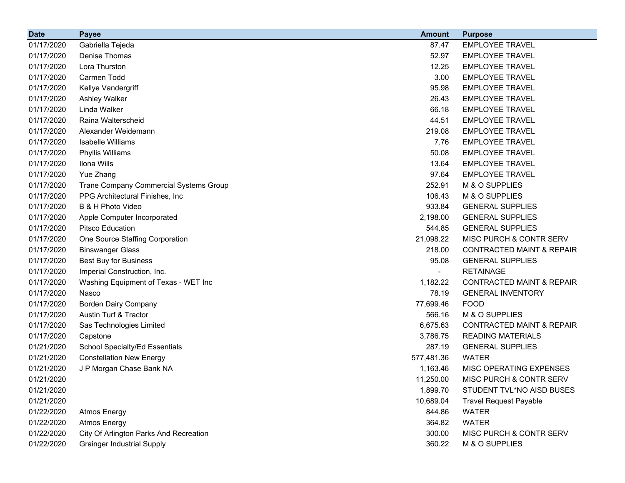| <b>Date</b> | <b>Payee</b>                           | <b>Amount</b> | <b>Purpose</b>                       |
|-------------|----------------------------------------|---------------|--------------------------------------|
| 01/17/2020  | Gabriella Tejeda                       | 87.47         | <b>EMPLOYEE TRAVEL</b>               |
| 01/17/2020  | Denise Thomas                          | 52.97         | <b>EMPLOYEE TRAVEL</b>               |
| 01/17/2020  | Lora Thurston                          | 12.25         | <b>EMPLOYEE TRAVEL</b>               |
| 01/17/2020  | Carmen Todd                            | 3.00          | <b>EMPLOYEE TRAVEL</b>               |
| 01/17/2020  | Kellye Vandergriff                     | 95.98         | <b>EMPLOYEE TRAVEL</b>               |
| 01/17/2020  | Ashley Walker                          | 26.43         | <b>EMPLOYEE TRAVEL</b>               |
| 01/17/2020  | Linda Walker                           | 66.18         | <b>EMPLOYEE TRAVEL</b>               |
| 01/17/2020  | Raina Walterscheid                     | 44.51         | <b>EMPLOYEE TRAVEL</b>               |
| 01/17/2020  | Alexander Weidemann                    | 219.08        | <b>EMPLOYEE TRAVEL</b>               |
| 01/17/2020  | Isabelle Williams                      | 7.76          | <b>EMPLOYEE TRAVEL</b>               |
| 01/17/2020  | Phyllis Williams                       | 50.08         | <b>EMPLOYEE TRAVEL</b>               |
| 01/17/2020  | Ilona Wills                            | 13.64         | <b>EMPLOYEE TRAVEL</b>               |
| 01/17/2020  | Yue Zhang                              | 97.64         | <b>EMPLOYEE TRAVEL</b>               |
| 01/17/2020  | Trane Company Commercial Systems Group | 252.91        | M & O SUPPLIES                       |
| 01/17/2020  | PPG Architectural Finishes, Inc.       | 106.43        | M & O SUPPLIES                       |
| 01/17/2020  | B & H Photo Video                      | 933.84        | <b>GENERAL SUPPLIES</b>              |
| 01/17/2020  | Apple Computer Incorporated            | 2,198.00      | <b>GENERAL SUPPLIES</b>              |
| 01/17/2020  | <b>Pitsco Education</b>                | 544.85        | <b>GENERAL SUPPLIES</b>              |
| 01/17/2020  | One Source Staffing Corporation        | 21,098.22     | MISC PURCH & CONTR SERV              |
| 01/17/2020  | <b>Binswanger Glass</b>                | 218.00        | <b>CONTRACTED MAINT &amp; REPAIR</b> |
| 01/17/2020  | <b>Best Buy for Business</b>           | 95.08         | <b>GENERAL SUPPLIES</b>              |
| 01/17/2020  | Imperial Construction, Inc.            |               | <b>RETAINAGE</b>                     |
| 01/17/2020  | Washing Equipment of Texas - WET Inc   | 1,182.22      | <b>CONTRACTED MAINT &amp; REPAIR</b> |
| 01/17/2020  | Nasco                                  | 78.19         | <b>GENERAL INVENTORY</b>             |
| 01/17/2020  | <b>Borden Dairy Company</b>            | 77,699.46     | <b>FOOD</b>                          |
| 01/17/2020  | Austin Turf & Tractor                  | 566.16        | M & O SUPPLIES                       |
| 01/17/2020  | Sas Technologies Limited               | 6,675.63      | <b>CONTRACTED MAINT &amp; REPAIR</b> |
| 01/17/2020  | Capstone                               | 3,786.75      | <b>READING MATERIALS</b>             |
| 01/21/2020  | School Specialty/Ed Essentials         | 287.19        | <b>GENERAL SUPPLIES</b>              |
| 01/21/2020  | <b>Constellation New Energy</b>        | 577,481.36    | <b>WATER</b>                         |
| 01/21/2020  | J P Morgan Chase Bank NA               | 1,163.46      | MISC OPERATING EXPENSES              |
| 01/21/2020  |                                        | 11,250.00     | MISC PURCH & CONTR SERV              |
| 01/21/2020  |                                        | 1,899.70      | STUDENT TVL*NO AISD BUSES            |
| 01/21/2020  |                                        | 10,689.04     | <b>Travel Request Payable</b>        |
| 01/22/2020  | <b>Atmos Energy</b>                    | 844.86        | <b>WATER</b>                         |
| 01/22/2020  | <b>Atmos Energy</b>                    | 364.82        | <b>WATER</b>                         |
| 01/22/2020  | City Of Arlington Parks And Recreation | 300.00        | MISC PURCH & CONTR SERV              |
| 01/22/2020  | <b>Grainger Industrial Supply</b>      | 360.22        | M & O SUPPLIES                       |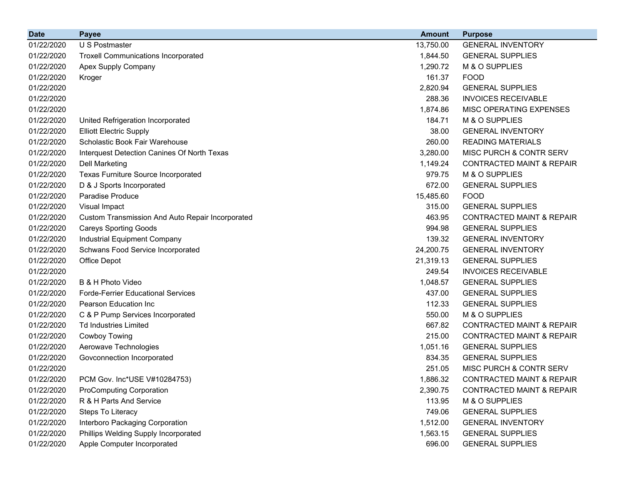| <b>Date</b> | <b>Payee</b>                                     | <b>Amount</b> | <b>Purpose</b>                       |
|-------------|--------------------------------------------------|---------------|--------------------------------------|
| 01/22/2020  | U S Postmaster                                   | 13,750.00     | <b>GENERAL INVENTORY</b>             |
| 01/22/2020  | <b>Troxell Communications Incorporated</b>       | 1,844.50      | <b>GENERAL SUPPLIES</b>              |
| 01/22/2020  | Apex Supply Company                              | 1,290.72      | M & O SUPPLIES                       |
| 01/22/2020  | Kroger                                           | 161.37        | <b>FOOD</b>                          |
| 01/22/2020  |                                                  | 2,820.94      | <b>GENERAL SUPPLIES</b>              |
| 01/22/2020  |                                                  | 288.36        | <b>INVOICES RECEIVABLE</b>           |
| 01/22/2020  |                                                  | 1,874.86      | MISC OPERATING EXPENSES              |
| 01/22/2020  | United Refrigeration Incorporated                | 184.71        | M & O SUPPLIES                       |
| 01/22/2020  | <b>Elliott Electric Supply</b>                   | 38.00         | <b>GENERAL INVENTORY</b>             |
| 01/22/2020  | Scholastic Book Fair Warehouse                   | 260.00        | <b>READING MATERIALS</b>             |
| 01/22/2020  | Interquest Detection Canines Of North Texas      | 3,280.00      | MISC PURCH & CONTR SERV              |
| 01/22/2020  | <b>Dell Marketing</b>                            | 1,149.24      | <b>CONTRACTED MAINT &amp; REPAIR</b> |
| 01/22/2020  | Texas Furniture Source Incorporated              | 979.75        | M & O SUPPLIES                       |
| 01/22/2020  | D & J Sports Incorporated                        | 672.00        | <b>GENERAL SUPPLIES</b>              |
| 01/22/2020  | Paradise Produce                                 | 15,485.60     | <b>FOOD</b>                          |
| 01/22/2020  | Visual Impact                                    | 315.00        | <b>GENERAL SUPPLIES</b>              |
| 01/22/2020  | Custom Transmission And Auto Repair Incorporated | 463.95        | <b>CONTRACTED MAINT &amp; REPAIR</b> |
| 01/22/2020  | <b>Careys Sporting Goods</b>                     | 994.98        | <b>GENERAL SUPPLIES</b>              |
| 01/22/2020  | Industrial Equipment Company                     | 139.32        | <b>GENERAL INVENTORY</b>             |
| 01/22/2020  | Schwans Food Service Incorporated                | 24,200.75     | <b>GENERAL INVENTORY</b>             |
| 01/22/2020  | Office Depot                                     | 21,319.13     | <b>GENERAL SUPPLIES</b>              |
| 01/22/2020  |                                                  | 249.54        | <b>INVOICES RECEIVABLE</b>           |
| 01/22/2020  | B & H Photo Video                                | 1,048.57      | <b>GENERAL SUPPLIES</b>              |
| 01/22/2020  | <b>Forde-Ferrier Educational Services</b>        | 437.00        | <b>GENERAL SUPPLIES</b>              |
| 01/22/2020  | Pearson Education Inc                            | 112.33        | <b>GENERAL SUPPLIES</b>              |
| 01/22/2020  | C & P Pump Services Incorporated                 | 550.00        | M & O SUPPLIES                       |
| 01/22/2020  | <b>Td Industries Limited</b>                     | 667.82        | <b>CONTRACTED MAINT &amp; REPAIR</b> |
| 01/22/2020  | Cowboy Towing                                    | 215.00        | <b>CONTRACTED MAINT &amp; REPAIR</b> |
| 01/22/2020  | Aerowave Technologies                            | 1,051.16      | <b>GENERAL SUPPLIES</b>              |
| 01/22/2020  | Govconnection Incorporated                       | 834.35        | <b>GENERAL SUPPLIES</b>              |
| 01/22/2020  |                                                  | 251.05        | MISC PURCH & CONTR SERV              |
| 01/22/2020  | PCM Gov. Inc*USE V#10284753)                     | 1,886.32      | CONTRACTED MAINT & REPAIR            |
| 01/22/2020  | <b>ProComputing Corporation</b>                  | 2,390.75      | <b>CONTRACTED MAINT &amp; REPAIR</b> |
| 01/22/2020  | R & H Parts And Service                          | 113.95        | M & O SUPPLIES                       |
| 01/22/2020  | Steps To Literacy                                | 749.06        | <b>GENERAL SUPPLIES</b>              |
| 01/22/2020  | Interboro Packaging Corporation                  | 1,512.00      | <b>GENERAL INVENTORY</b>             |
| 01/22/2020  | Phillips Welding Supply Incorporated             | 1,563.15      | <b>GENERAL SUPPLIES</b>              |
| 01/22/2020  | Apple Computer Incorporated                      | 696.00        | <b>GENERAL SUPPLIES</b>              |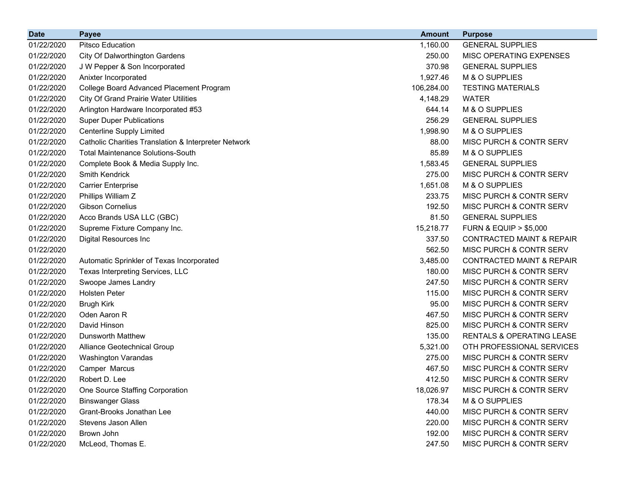| <b>Date</b> | <b>Payee</b>                                                    | <b>Amount</b> | <b>Purpose</b>                       |
|-------------|-----------------------------------------------------------------|---------------|--------------------------------------|
| 01/22/2020  | Pitsco Education                                                | 1,160.00      | <b>GENERAL SUPPLIES</b>              |
| 01/22/2020  | <b>City Of Dalworthington Gardens</b>                           | 250.00        | MISC OPERATING EXPENSES              |
| 01/22/2020  | J W Pepper & Son Incorporated                                   | 370.98        | <b>GENERAL SUPPLIES</b>              |
| 01/22/2020  | Anixter Incorporated                                            | 1,927.46      | M & O SUPPLIES                       |
| 01/22/2020  | College Board Advanced Placement Program                        | 106,284.00    | <b>TESTING MATERIALS</b>             |
| 01/22/2020  | <b>City Of Grand Prairie Water Utilities</b>                    | 4,148.29      | <b>WATER</b>                         |
| 01/22/2020  | Arlington Hardware Incorporated #53                             | 644.14        | M & O SUPPLIES                       |
| 01/22/2020  | <b>Super Duper Publications</b>                                 | 256.29        | <b>GENERAL SUPPLIES</b>              |
| 01/22/2020  | <b>Centerline Supply Limited</b>                                | 1,998.90      | M & O SUPPLIES                       |
| 01/22/2020  | <b>Catholic Charities Translation &amp; Interpreter Network</b> | 88.00         | MISC PURCH & CONTR SERV              |
| 01/22/2020  | <b>Total Maintenance Solutions-South</b>                        | 85.89         | M & O SUPPLIES                       |
| 01/22/2020  | Complete Book & Media Supply Inc.                               | 1,583.45      | <b>GENERAL SUPPLIES</b>              |
| 01/22/2020  | <b>Smith Kendrick</b>                                           | 275.00        | MISC PURCH & CONTR SERV              |
| 01/22/2020  | <b>Carrier Enterprise</b>                                       | 1,651.08      | M & O SUPPLIES                       |
| 01/22/2020  | Phillips William Z                                              | 233.75        | MISC PURCH & CONTR SERV              |
| 01/22/2020  | <b>Gibson Cornelius</b>                                         | 192.50        | MISC PURCH & CONTR SERV              |
| 01/22/2020  | Acco Brands USA LLC (GBC)                                       | 81.50         | <b>GENERAL SUPPLIES</b>              |
| 01/22/2020  | Supreme Fixture Company Inc.                                    | 15,218.77     | <b>FURN &amp; EQUIP &gt; \$5,000</b> |
| 01/22/2020  | Digital Resources Inc                                           | 337.50        | <b>CONTRACTED MAINT &amp; REPAIR</b> |
| 01/22/2020  |                                                                 | 562.50        | MISC PURCH & CONTR SERV              |
| 01/22/2020  | Automatic Sprinkler of Texas Incorporated                       | 3,485.00      | <b>CONTRACTED MAINT &amp; REPAIR</b> |
| 01/22/2020  | Texas Interpreting Services, LLC                                | 180.00        | MISC PURCH & CONTR SERV              |
| 01/22/2020  | Swoope James Landry                                             | 247.50        | MISC PURCH & CONTR SERV              |
| 01/22/2020  | <b>Holsten Peter</b>                                            | 115.00        | MISC PURCH & CONTR SERV              |
| 01/22/2020  | <b>Brugh Kirk</b>                                               | 95.00         | MISC PURCH & CONTR SERV              |
| 01/22/2020  | Oden Aaron R                                                    | 467.50        | MISC PURCH & CONTR SERV              |
| 01/22/2020  | David Hinson                                                    | 825.00        | MISC PURCH & CONTR SERV              |
| 01/22/2020  | <b>Dunsworth Matthew</b>                                        | 135.00        | RENTALS & OPERATING LEASE            |
| 01/22/2020  | Alliance Geotechnical Group                                     | 5,321.00      | OTH PROFESSIONAL SERVICES            |
| 01/22/2020  | Washington Varandas                                             | 275.00        | MISC PURCH & CONTR SERV              |
| 01/22/2020  | Camper Marcus                                                   | 467.50        | MISC PURCH & CONTR SERV              |
| 01/22/2020  | Robert D. Lee                                                   | 412.50        | MISC PURCH & CONTR SERV              |
| 01/22/2020  | One Source Staffing Corporation                                 | 18,026.97     | MISC PURCH & CONTR SERV              |
| 01/22/2020  | <b>Binswanger Glass</b>                                         | 178.34        | M & O SUPPLIES                       |
| 01/22/2020  | Grant-Brooks Jonathan Lee                                       | 440.00        | MISC PURCH & CONTR SERV              |
| 01/22/2020  | Stevens Jason Allen                                             | 220.00        | MISC PURCH & CONTR SERV              |
| 01/22/2020  | Brown John                                                      | 192.00        | MISC PURCH & CONTR SERV              |
| 01/22/2020  | McLeod, Thomas E.                                               | 247.50        | MISC PURCH & CONTR SERV              |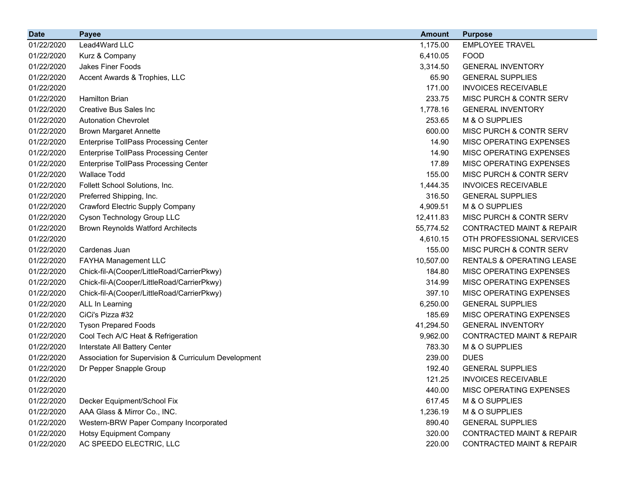| <b>Date</b> | <b>Payee</b>                                         | <b>Amount</b> | <b>Purpose</b>                       |
|-------------|------------------------------------------------------|---------------|--------------------------------------|
| 01/22/2020  | Lead4Ward LLC                                        | 1,175.00      | <b>EMPLOYEE TRAVEL</b>               |
| 01/22/2020  | Kurz & Company                                       | 6,410.05      | <b>FOOD</b>                          |
| 01/22/2020  | Jakes Finer Foods                                    | 3,314.50      | <b>GENERAL INVENTORY</b>             |
| 01/22/2020  | Accent Awards & Trophies, LLC                        | 65.90         | <b>GENERAL SUPPLIES</b>              |
| 01/22/2020  |                                                      | 171.00        | <b>INVOICES RECEIVABLE</b>           |
| 01/22/2020  | <b>Hamilton Brian</b>                                | 233.75        | MISC PURCH & CONTR SERV              |
| 01/22/2020  | <b>Creative Bus Sales Inc.</b>                       | 1,778.16      | <b>GENERAL INVENTORY</b>             |
| 01/22/2020  | <b>Autonation Chevrolet</b>                          | 253.65        | M & O SUPPLIES                       |
| 01/22/2020  | <b>Brown Margaret Annette</b>                        | 600.00        | MISC PURCH & CONTR SERV              |
| 01/22/2020  | <b>Enterprise TollPass Processing Center</b>         | 14.90         | MISC OPERATING EXPENSES              |
| 01/22/2020  | <b>Enterprise TollPass Processing Center</b>         | 14.90         | MISC OPERATING EXPENSES              |
| 01/22/2020  | <b>Enterprise TollPass Processing Center</b>         | 17.89         | MISC OPERATING EXPENSES              |
| 01/22/2020  | <b>Wallace Todd</b>                                  | 155.00        | MISC PURCH & CONTR SERV              |
| 01/22/2020  | Follett School Solutions, Inc.                       | 1,444.35      | <b>INVOICES RECEIVABLE</b>           |
| 01/22/2020  | Preferred Shipping, Inc.                             | 316.50        | <b>GENERAL SUPPLIES</b>              |
| 01/22/2020  | Crawford Electric Supply Company                     | 4,909.51      | M & O SUPPLIES                       |
| 01/22/2020  | Cyson Technology Group LLC                           | 12,411.83     | MISC PURCH & CONTR SERV              |
| 01/22/2020  | <b>Brown Reynolds Watford Architects</b>             | 55,774.52     | <b>CONTRACTED MAINT &amp; REPAIR</b> |
| 01/22/2020  |                                                      | 4,610.15      | OTH PROFESSIONAL SERVICES            |
| 01/22/2020  | Cardenas Juan                                        | 155.00        | MISC PURCH & CONTR SERV              |
| 01/22/2020  | FAYHA Management LLC                                 | 10,507.00     | <b>RENTALS &amp; OPERATING LEASE</b> |
| 01/22/2020  | Chick-fil-A(Cooper/LittleRoad/CarrierPkwy)           | 184.80        | MISC OPERATING EXPENSES              |
| 01/22/2020  | Chick-fil-A(Cooper/LittleRoad/CarrierPkwy)           | 314.99        | MISC OPERATING EXPENSES              |
| 01/22/2020  | Chick-fil-A(Cooper/LittleRoad/CarrierPkwy)           | 397.10        | MISC OPERATING EXPENSES              |
| 01/22/2020  | ALL In Learning                                      | 6,250.00      | <b>GENERAL SUPPLIES</b>              |
| 01/22/2020  | CiCi's Pizza #32                                     | 185.69        | MISC OPERATING EXPENSES              |
| 01/22/2020  | <b>Tyson Prepared Foods</b>                          | 41,294.50     | <b>GENERAL INVENTORY</b>             |
| 01/22/2020  | Cool Tech A/C Heat & Refrigeration                   | 9,962.00      | <b>CONTRACTED MAINT &amp; REPAIR</b> |
| 01/22/2020  | Interstate All Battery Center                        | 783.30        | M & O SUPPLIES                       |
| 01/22/2020  | Association for Supervision & Curriculum Development | 239.00        | <b>DUES</b>                          |
| 01/22/2020  | Dr Pepper Snapple Group                              | 192.40        | <b>GENERAL SUPPLIES</b>              |
| 01/22/2020  |                                                      | 121.25        | <b>INVOICES RECEIVABLE</b>           |
| 01/22/2020  |                                                      | 440.00        | MISC OPERATING EXPENSES              |
| 01/22/2020  | Decker Equipment/School Fix                          | 617.45        | M & O SUPPLIES                       |
| 01/22/2020  | AAA Glass & Mirror Co., INC.                         | 1,236.19      | M & O SUPPLIES                       |
| 01/22/2020  | Western-BRW Paper Company Incorporated               | 890.40        | <b>GENERAL SUPPLIES</b>              |
| 01/22/2020  | <b>Hotsy Equipment Company</b>                       | 320.00        | <b>CONTRACTED MAINT &amp; REPAIR</b> |
| 01/22/2020  | AC SPEEDO ELECTRIC, LLC                              | 220.00        | <b>CONTRACTED MAINT &amp; REPAIR</b> |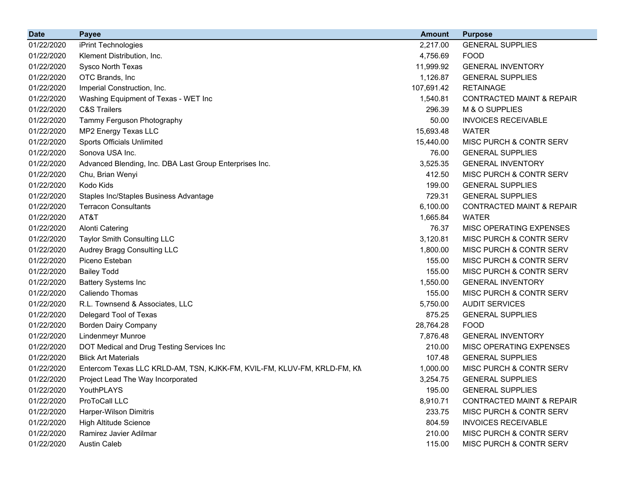| <b>Date</b> | <b>Payee</b>                                                            | <b>Amount</b> | <b>Purpose</b>                       |
|-------------|-------------------------------------------------------------------------|---------------|--------------------------------------|
| 01/22/2020  | iPrint Technologies                                                     | 2,217.00      | <b>GENERAL SUPPLIES</b>              |
| 01/22/2020  | Klement Distribution, Inc.                                              | 4,756.69      | <b>FOOD</b>                          |
| 01/22/2020  | Sysco North Texas                                                       | 11,999.92     | <b>GENERAL INVENTORY</b>             |
| 01/22/2020  | OTC Brands, Inc                                                         | 1,126.87      | <b>GENERAL SUPPLIES</b>              |
| 01/22/2020  | Imperial Construction, Inc.                                             | 107,691.42    | <b>RETAINAGE</b>                     |
| 01/22/2020  | Washing Equipment of Texas - WET Inc                                    | 1,540.81      | <b>CONTRACTED MAINT &amp; REPAIR</b> |
| 01/22/2020  | <b>C&amp;S Trailers</b>                                                 | 296.39        | M & O SUPPLIES                       |
| 01/22/2020  | Tammy Ferguson Photography                                              | 50.00         | <b>INVOICES RECEIVABLE</b>           |
| 01/22/2020  | MP2 Energy Texas LLC                                                    | 15,693.48     | <b>WATER</b>                         |
| 01/22/2020  | Sports Officials Unlimited                                              | 15,440.00     | MISC PURCH & CONTR SERV              |
| 01/22/2020  | Sonova USA Inc.                                                         | 76.00         | <b>GENERAL SUPPLIES</b>              |
| 01/22/2020  | Advanced Blending, Inc. DBA Last Group Enterprises Inc.                 | 3,525.35      | <b>GENERAL INVENTORY</b>             |
| 01/22/2020  | Chu, Brian Wenyi                                                        | 412.50        | MISC PURCH & CONTR SERV              |
| 01/22/2020  | Kodo Kids                                                               | 199.00        | <b>GENERAL SUPPLIES</b>              |
| 01/22/2020  | Staples Inc/Staples Business Advantage                                  | 729.31        | <b>GENERAL SUPPLIES</b>              |
| 01/22/2020  | <b>Terracon Consultants</b>                                             | 6,100.00      | <b>CONTRACTED MAINT &amp; REPAIR</b> |
| 01/22/2020  | AT&T                                                                    | 1,665.84      | <b>WATER</b>                         |
| 01/22/2020  | <b>Alonti Catering</b>                                                  | 76.37         | MISC OPERATING EXPENSES              |
| 01/22/2020  | Taylor Smith Consulting LLC                                             | 3,120.81      | MISC PURCH & CONTR SERV              |
| 01/22/2020  | Audrey Bragg Consulting LLC                                             | 1,800.00      | MISC PURCH & CONTR SERV              |
| 01/22/2020  | Piceno Esteban                                                          | 155.00        | MISC PURCH & CONTR SERV              |
| 01/22/2020  | <b>Bailey Todd</b>                                                      | 155.00        | MISC PURCH & CONTR SERV              |
| 01/22/2020  | <b>Battery Systems Inc</b>                                              | 1,550.00      | <b>GENERAL INVENTORY</b>             |
| 01/22/2020  | Caliendo Thomas                                                         | 155.00        | MISC PURCH & CONTR SERV              |
| 01/22/2020  | R.L. Townsend & Associates, LLC                                         | 5,750.00      | <b>AUDIT SERVICES</b>                |
| 01/22/2020  | Delegard Tool of Texas                                                  | 875.25        | <b>GENERAL SUPPLIES</b>              |
| 01/22/2020  | <b>Borden Dairy Company</b>                                             | 28,764.28     | <b>FOOD</b>                          |
| 01/22/2020  | Lindenmeyr Munroe                                                       | 7,876.48      | <b>GENERAL INVENTORY</b>             |
| 01/22/2020  | DOT Medical and Drug Testing Services Inc                               | 210.00        | MISC OPERATING EXPENSES              |
| 01/22/2020  | <b>Blick Art Materials</b>                                              | 107.48        | <b>GENERAL SUPPLIES</b>              |
| 01/22/2020  | Entercom Texas LLC KRLD-AM, TSN, KJKK-FM, KVIL-FM, KLUV-FM, KRLD-FM, KN | 1,000.00      | MISC PURCH & CONTR SERV              |
| 01/22/2020  | Project Lead The Way Incorporated                                       | 3,254.75      | <b>GENERAL SUPPLIES</b>              |
| 01/22/2020  | YouthPLAYS                                                              | 195.00        | <b>GENERAL SUPPLIES</b>              |
| 01/22/2020  | ProToCall LLC                                                           | 8,910.71      | <b>CONTRACTED MAINT &amp; REPAIR</b> |
| 01/22/2020  | Harper-Wilson Dimitris                                                  | 233.75        | <b>MISC PURCH &amp; CONTR SERV</b>   |
| 01/22/2020  | <b>High Altitude Science</b>                                            | 804.59        | <b>INVOICES RECEIVABLE</b>           |
| 01/22/2020  | Ramirez Javier Adilmar                                                  | 210.00        | MISC PURCH & CONTR SERV              |
| 01/22/2020  | <b>Austin Caleb</b>                                                     | 115.00        | MISC PURCH & CONTR SERV              |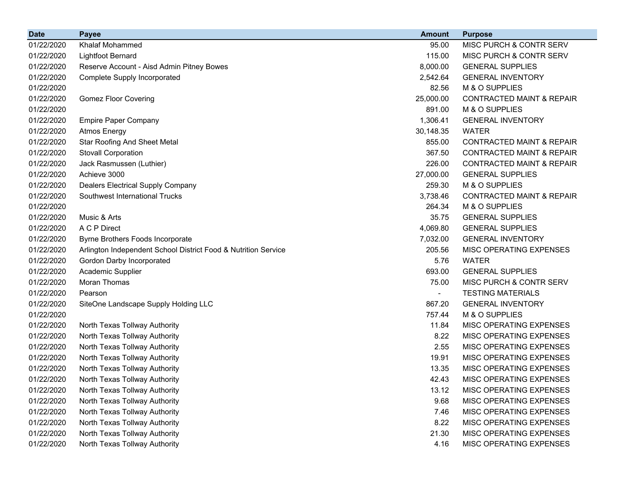| <b>Date</b> | <b>Payee</b>                                                   | <b>Amount</b>            | <b>Purpose</b>                       |
|-------------|----------------------------------------------------------------|--------------------------|--------------------------------------|
| 01/22/2020  | <b>Khalaf Mohammed</b>                                         | 95.00                    | <b>MISC PURCH &amp; CONTR SERV</b>   |
| 01/22/2020  | <b>Lightfoot Bernard</b>                                       | 115.00                   | MISC PURCH & CONTR SERV              |
| 01/22/2020  | Reserve Account - Aisd Admin Pitney Bowes                      | 8,000.00                 | <b>GENERAL SUPPLIES</b>              |
| 01/22/2020  | <b>Complete Supply Incorporated</b>                            | 2,542.64                 | <b>GENERAL INVENTORY</b>             |
| 01/22/2020  |                                                                | 82.56                    | M & O SUPPLIES                       |
| 01/22/2020  | <b>Gomez Floor Covering</b>                                    | 25,000.00                | <b>CONTRACTED MAINT &amp; REPAIR</b> |
| 01/22/2020  |                                                                | 891.00                   | M & O SUPPLIES                       |
| 01/22/2020  | <b>Empire Paper Company</b>                                    | 1,306.41                 | <b>GENERAL INVENTORY</b>             |
| 01/22/2020  | <b>Atmos Energy</b>                                            | 30,148.35                | <b>WATER</b>                         |
| 01/22/2020  | <b>Star Roofing And Sheet Metal</b>                            | 855.00                   | <b>CONTRACTED MAINT &amp; REPAIR</b> |
| 01/22/2020  | <b>Stovall Corporation</b>                                     | 367.50                   | <b>CONTRACTED MAINT &amp; REPAIR</b> |
| 01/22/2020  | Jack Rasmussen (Luthier)                                       | 226.00                   | <b>CONTRACTED MAINT &amp; REPAIR</b> |
| 01/22/2020  | Achieve 3000                                                   | 27,000.00                | <b>GENERAL SUPPLIES</b>              |
| 01/22/2020  | <b>Dealers Electrical Supply Company</b>                       | 259.30                   | M & O SUPPLIES                       |
| 01/22/2020  | Southwest International Trucks                                 | 3,738.46                 | <b>CONTRACTED MAINT &amp; REPAIR</b> |
| 01/22/2020  |                                                                | 264.34                   | M & O SUPPLIES                       |
| 01/22/2020  | Music & Arts                                                   | 35.75                    | <b>GENERAL SUPPLIES</b>              |
| 01/22/2020  | A C P Direct                                                   | 4,069.80                 | <b>GENERAL SUPPLIES</b>              |
| 01/22/2020  | Byrne Brothers Foods Incorporate                               | 7,032.00                 | <b>GENERAL INVENTORY</b>             |
| 01/22/2020  | Arlington Independent School District Food & Nutrition Service | 205.56                   | MISC OPERATING EXPENSES              |
| 01/22/2020  | Gordon Darby Incorporated                                      | 5.76                     | <b>WATER</b>                         |
| 01/22/2020  | Academic Supplier                                              | 693.00                   | <b>GENERAL SUPPLIES</b>              |
| 01/22/2020  | Moran Thomas                                                   | 75.00                    | <b>MISC PURCH &amp; CONTR SERV</b>   |
| 01/22/2020  | Pearson                                                        | $\overline{\phantom{0}}$ | <b>TESTING MATERIALS</b>             |
| 01/22/2020  | SiteOne Landscape Supply Holding LLC                           | 867.20                   | <b>GENERAL INVENTORY</b>             |
| 01/22/2020  |                                                                | 757.44                   | M & O SUPPLIES                       |
| 01/22/2020  | North Texas Tollway Authority                                  | 11.84                    | MISC OPERATING EXPENSES              |
| 01/22/2020  | North Texas Tollway Authority                                  | 8.22                     | MISC OPERATING EXPENSES              |
| 01/22/2020  | North Texas Tollway Authority                                  | 2.55                     | MISC OPERATING EXPENSES              |
| 01/22/2020  | North Texas Tollway Authority                                  | 19.91                    | MISC OPERATING EXPENSES              |
| 01/22/2020  | North Texas Tollway Authority                                  | 13.35                    | MISC OPERATING EXPENSES              |
| 01/22/2020  | North Texas Tollway Authority                                  | 42.43                    | <b>MISC OPERATING EXPENSES</b>       |
| 01/22/2020  | North Texas Tollway Authority                                  | 13.12                    | MISC OPERATING EXPENSES              |
| 01/22/2020  | North Texas Tollway Authority                                  | 9.68                     | MISC OPERATING EXPENSES              |
| 01/22/2020  | North Texas Tollway Authority                                  | 7.46                     | MISC OPERATING EXPENSES              |
| 01/22/2020  | North Texas Tollway Authority                                  | 8.22                     | MISC OPERATING EXPENSES              |
| 01/22/2020  | North Texas Tollway Authority                                  | 21.30                    | MISC OPERATING EXPENSES              |
| 01/22/2020  | North Texas Tollway Authority                                  | 4.16                     | MISC OPERATING EXPENSES              |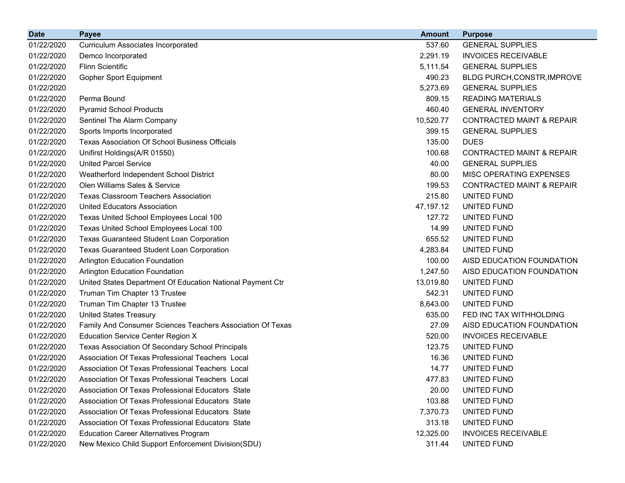| <b>Date</b> | <b>Payee</b>                                               | <b>Amount</b> | <b>Purpose</b>                       |
|-------------|------------------------------------------------------------|---------------|--------------------------------------|
| 01/22/2020  | <b>Curriculum Associates Incorporated</b>                  | 537.60        | <b>GENERAL SUPPLIES</b>              |
| 01/22/2020  | Demco Incorporated                                         | 2,291.19      | <b>INVOICES RECEIVABLE</b>           |
| 01/22/2020  | <b>Flinn Scientific</b>                                    | 5,111.54      | <b>GENERAL SUPPLIES</b>              |
| 01/22/2020  | <b>Gopher Sport Equipment</b>                              | 490.23        | BLDG PURCH, CONSTR, IMPROVE          |
| 01/22/2020  |                                                            | 5,273.69      | <b>GENERAL SUPPLIES</b>              |
| 01/22/2020  | Perma Bound                                                | 809.15        | <b>READING MATERIALS</b>             |
| 01/22/2020  | <b>Pyramid School Products</b>                             | 460.40        | <b>GENERAL INVENTORY</b>             |
| 01/22/2020  | Sentinel The Alarm Company                                 | 10,520.77     | <b>CONTRACTED MAINT &amp; REPAIR</b> |
| 01/22/2020  | Sports Imports Incorporated                                | 399.15        | <b>GENERAL SUPPLIES</b>              |
| 01/22/2020  | <b>Texas Association Of School Business Officials</b>      | 135.00        | <b>DUES</b>                          |
| 01/22/2020  | Unifirst Holdings(A/R 01550)                               | 100.68        | <b>CONTRACTED MAINT &amp; REPAIR</b> |
| 01/22/2020  | <b>United Parcel Service</b>                               | 40.00         | <b>GENERAL SUPPLIES</b>              |
| 01/22/2020  | Weatherford Independent School District                    | 80.00         | MISC OPERATING EXPENSES              |
| 01/22/2020  | Olen Williams Sales & Service                              | 199.53        | <b>CONTRACTED MAINT &amp; REPAIR</b> |
| 01/22/2020  | <b>Texas Classroom Teachers Association</b>                | 215.80        | UNITED FUND                          |
| 01/22/2020  | <b>United Educators Association</b>                        | 47,197.12     | UNITED FUND                          |
| 01/22/2020  | Texas United School Employees Local 100                    | 127.72        | UNITED FUND                          |
| 01/22/2020  | Texas United School Employees Local 100                    | 14.99         | UNITED FUND                          |
| 01/22/2020  | <b>Texas Guaranteed Student Loan Corporation</b>           | 655.52        | UNITED FUND                          |
| 01/22/2020  | Texas Guaranteed Student Loan Corporation                  | 4,283.84      | UNITED FUND                          |
| 01/22/2020  | <b>Arlington Education Foundation</b>                      | 100.00        | AISD EDUCATION FOUNDATION            |
| 01/22/2020  | Arlington Education Foundation                             | 1,247.50      | AISD EDUCATION FOUNDATION            |
| 01/22/2020  | United States Department Of Education National Payment Ctr | 13,019.80     | UNITED FUND                          |
| 01/22/2020  | Truman Tim Chapter 13 Trustee                              | 542.31        | UNITED FUND                          |
| 01/22/2020  | Truman Tim Chapter 13 Trustee                              | 8,643.00      | UNITED FUND                          |
| 01/22/2020  | <b>United States Treasury</b>                              | 635.00        | FED INC TAX WITHHOLDING              |
| 01/22/2020  | Family And Consumer Sciences Teachers Association Of Texas | 27.09         | AISD EDUCATION FOUNDATION            |
| 01/22/2020  | <b>Education Service Center Region X</b>                   | 520.00        | <b>INVOICES RECEIVABLE</b>           |
| 01/22/2020  | Texas Association Of Secondary School Principals           | 123.75        | UNITED FUND                          |
| 01/22/2020  | Association Of Texas Professional Teachers Local           | 16.36         | UNITED FUND                          |
| 01/22/2020  | Association Of Texas Professional Teachers Local           | 14.77         | UNITED FUND                          |
| 01/22/2020  | Association Of Texas Professional Teachers Local           | 477.83        | <b>UNITED FUND</b>                   |
| 01/22/2020  | Association Of Texas Professional Educators State          | 20.00         | UNITED FUND                          |
| 01/22/2020  | Association Of Texas Professional Educators State          | 103.88        | UNITED FUND                          |
| 01/22/2020  | Association Of Texas Professional Educators State          | 7,370.73      | UNITED FUND                          |
| 01/22/2020  | Association Of Texas Professional Educators State          | 313.18        | UNITED FUND                          |
| 01/22/2020  | <b>Education Career Alternatives Program</b>               | 12,325.00     | <b>INVOICES RECEIVABLE</b>           |
| 01/22/2020  | New Mexico Child Support Enforcement Division(SDU)         | 311.44        | UNITED FUND                          |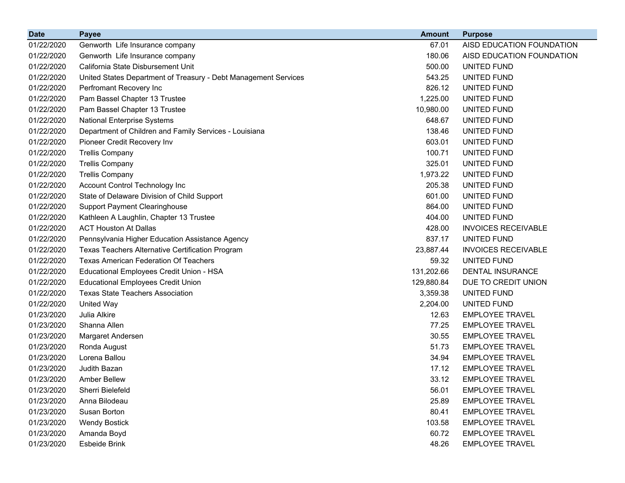| <b>Date</b> | <b>Payee</b>                                                    | <b>Amount</b> | <b>Purpose</b>             |
|-------------|-----------------------------------------------------------------|---------------|----------------------------|
| 01/22/2020  | Genworth Life Insurance company                                 | 67.01         | AISD EDUCATION FOUNDATION  |
| 01/22/2020  | Genworth Life Insurance company                                 | 180.06        | AISD EDUCATION FOUNDATION  |
| 01/22/2020  | California State Disbursement Unit                              | 500.00        | UNITED FUND                |
| 01/22/2020  | United States Department of Treasury - Debt Management Services | 543.25        | UNITED FUND                |
| 01/22/2020  | Perfromant Recovery Inc                                         | 826.12        | UNITED FUND                |
| 01/22/2020  | Pam Bassel Chapter 13 Trustee                                   | 1,225.00      | UNITED FUND                |
| 01/22/2020  | Pam Bassel Chapter 13 Trustee                                   | 10,980.00     | <b>UNITED FUND</b>         |
| 01/22/2020  | <b>National Enterprise Systems</b>                              | 648.67        | UNITED FUND                |
| 01/22/2020  | Department of Children and Family Services - Louisiana          | 138.46        | UNITED FUND                |
| 01/22/2020  | Pioneer Credit Recovery Inv                                     | 603.01        | UNITED FUND                |
| 01/22/2020  | <b>Trellis Company</b>                                          | 100.71        | UNITED FUND                |
| 01/22/2020  | <b>Trellis Company</b>                                          | 325.01        | UNITED FUND                |
| 01/22/2020  | <b>Trellis Company</b>                                          | 1,973.22      | <b>UNITED FUND</b>         |
| 01/22/2020  | Account Control Technology Inc                                  | 205.38        | UNITED FUND                |
| 01/22/2020  | State of Delaware Division of Child Support                     | 601.00        | UNITED FUND                |
| 01/22/2020  | <b>Support Payment Clearinghouse</b>                            | 864.00        | UNITED FUND                |
| 01/22/2020  | Kathleen A Laughlin, Chapter 13 Trustee                         | 404.00        | UNITED FUND                |
| 01/22/2020  | <b>ACT Houston At Dallas</b>                                    | 428.00        | <b>INVOICES RECEIVABLE</b> |
| 01/22/2020  | Pennsylvania Higher Education Assistance Agency                 | 837.17        | UNITED FUND                |
| 01/22/2020  | Texas Teachers Alternative Certification Program                | 23,887.44     | <b>INVOICES RECEIVABLE</b> |
| 01/22/2020  | <b>Texas American Federation Of Teachers</b>                    | 59.32         | <b>UNITED FUND</b>         |
| 01/22/2020  | Educational Employees Credit Union - HSA                        | 131,202.66    | <b>DENTAL INSURANCE</b>    |
| 01/22/2020  | <b>Educational Employees Credit Union</b>                       | 129,880.84    | DUE TO CREDIT UNION        |
| 01/22/2020  | <b>Texas State Teachers Association</b>                         | 3,359.38      | UNITED FUND                |
| 01/22/2020  | <b>United Way</b>                                               | 2,204.00      | UNITED FUND                |
| 01/23/2020  | Julia Alkire                                                    | 12.63         | <b>EMPLOYEE TRAVEL</b>     |
| 01/23/2020  | Shanna Allen                                                    | 77.25         | <b>EMPLOYEE TRAVEL</b>     |
| 01/23/2020  | Margaret Andersen                                               | 30.55         | <b>EMPLOYEE TRAVEL</b>     |
| 01/23/2020  | Ronda August                                                    | 51.73         | <b>EMPLOYEE TRAVEL</b>     |
| 01/23/2020  | Lorena Ballou                                                   | 34.94         | <b>EMPLOYEE TRAVEL</b>     |
| 01/23/2020  | Judith Bazan                                                    | 17.12         | <b>EMPLOYEE TRAVEL</b>     |
| 01/23/2020  | <b>Amber Bellew</b>                                             | 33.12         | <b>EMPLOYEE TRAVEL</b>     |
| 01/23/2020  | Sherri Bielefeld                                                | 56.01         | <b>EMPLOYEE TRAVEL</b>     |
| 01/23/2020  | Anna Bilodeau                                                   | 25.89         | <b>EMPLOYEE TRAVEL</b>     |
| 01/23/2020  | Susan Borton                                                    | 80.41         | <b>EMPLOYEE TRAVEL</b>     |
| 01/23/2020  | <b>Wendy Bostick</b>                                            | 103.58        | <b>EMPLOYEE TRAVEL</b>     |
| 01/23/2020  | Amanda Boyd                                                     | 60.72         | <b>EMPLOYEE TRAVEL</b>     |
| 01/23/2020  | Esbeide Brink                                                   | 48.26         | <b>EMPLOYEE TRAVEL</b>     |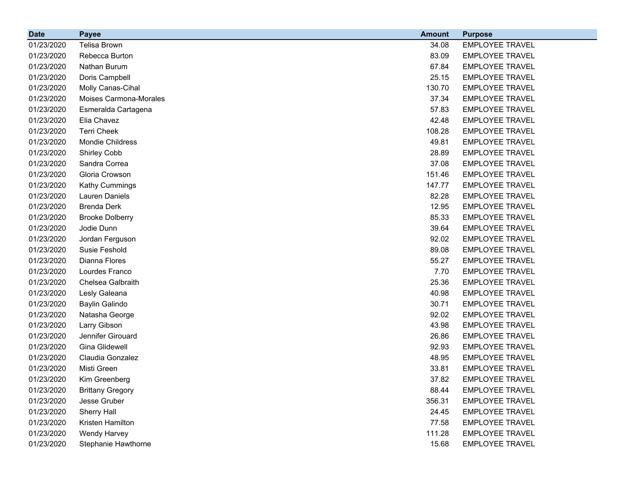| <b>Date</b> | <b>Payee</b>            | <b>Amount</b> | <b>Purpose</b>         |
|-------------|-------------------------|---------------|------------------------|
| 01/23/2020  | Telisa Brown            | 34.08         | <b>EMPLOYEE TRAVEL</b> |
| 01/23/2020  | Rebecca Burton          | 83.09         | <b>EMPLOYEE TRAVEL</b> |
| 01/23/2020  | Nathan Burum            | 67.84         | <b>EMPLOYEE TRAVEL</b> |
| 01/23/2020  | Doris Campbell          | 25.15         | <b>EMPLOYEE TRAVEL</b> |
| 01/23/2020  | Molly Canas-Cihal       | 130.70        | <b>EMPLOYEE TRAVEL</b> |
| 01/23/2020  | Moises Carmona-Morales  | 37.34         | <b>EMPLOYEE TRAVEL</b> |
| 01/23/2020  | Esmeralda Cartagena     | 57.83         | <b>EMPLOYEE TRAVEL</b> |
| 01/23/2020  | Elia Chavez             | 42.48         | <b>EMPLOYEE TRAVEL</b> |
| 01/23/2020  | <b>Terri Cheek</b>      | 108.28        | <b>EMPLOYEE TRAVEL</b> |
| 01/23/2020  | Mondie Childress        | 49.81         | <b>EMPLOYEE TRAVEL</b> |
| 01/23/2020  | Shirley Cobb            | 28.89         | <b>EMPLOYEE TRAVEL</b> |
| 01/23/2020  | Sandra Correa           | 37.08         | <b>EMPLOYEE TRAVEL</b> |
| 01/23/2020  | Gloria Crowson          | 151.46        | <b>EMPLOYEE TRAVEL</b> |
| 01/23/2020  | Kathy Cummings          | 147.77        | <b>EMPLOYEE TRAVEL</b> |
| 01/23/2020  | Lauren Daniels          | 82.28         | <b>EMPLOYEE TRAVEL</b> |
| 01/23/2020  | <b>Brenda Derk</b>      | 12.95         | <b>EMPLOYEE TRAVEL</b> |
| 01/23/2020  | <b>Brooke Dolberry</b>  | 85.33         | <b>EMPLOYEE TRAVEL</b> |
| 01/23/2020  | Jodie Dunn              | 39.64         | <b>EMPLOYEE TRAVEL</b> |
| 01/23/2020  | Jordan Ferguson         | 92.02         | <b>EMPLOYEE TRAVEL</b> |
| 01/23/2020  | Susie Feshold           | 89.08         | <b>EMPLOYEE TRAVEL</b> |
| 01/23/2020  | Dianna Flores           | 55.27         | <b>EMPLOYEE TRAVEL</b> |
| 01/23/2020  | Lourdes Franco          | 7.70          | <b>EMPLOYEE TRAVEL</b> |
| 01/23/2020  | Chelsea Galbraith       | 25.36         | <b>EMPLOYEE TRAVEL</b> |
| 01/23/2020  | Lesly Galeana           | 40.98         | <b>EMPLOYEE TRAVEL</b> |
| 01/23/2020  | Baylin Galindo          | 30.71         | <b>EMPLOYEE TRAVEL</b> |
| 01/23/2020  | Natasha George          | 92.02         | <b>EMPLOYEE TRAVEL</b> |
| 01/23/2020  | Larry Gibson            | 43.98         | <b>EMPLOYEE TRAVEL</b> |
| 01/23/2020  | Jennifer Girouard       | 26.86         | <b>EMPLOYEE TRAVEL</b> |
| 01/23/2020  | Gina Glidewell          | 92.93         | <b>EMPLOYEE TRAVEL</b> |
| 01/23/2020  | Claudia Gonzalez        | 48.95         | <b>EMPLOYEE TRAVEL</b> |
| 01/23/2020  | Misti Green             | 33.81         | <b>EMPLOYEE TRAVEL</b> |
| 01/23/2020  | Kim Greenberg           | 37.82         | <b>EMPLOYEE TRAVEL</b> |
| 01/23/2020  | <b>Brittany Gregory</b> | 88.44         | <b>EMPLOYEE TRAVEL</b> |
| 01/23/2020  | Jesse Gruber            | 356.31        | <b>EMPLOYEE TRAVEL</b> |
| 01/23/2020  | Sherry Hall             | 24.45         | <b>EMPLOYEE TRAVEL</b> |
| 01/23/2020  | Kristen Hamilton        | 77.58         | <b>EMPLOYEE TRAVEL</b> |
| 01/23/2020  | Wendy Harvey            | 111.28        | <b>EMPLOYEE TRAVEL</b> |
| 01/23/2020  | Stephanie Hawthorne     | 15.68         | <b>EMPLOYEE TRAVEL</b> |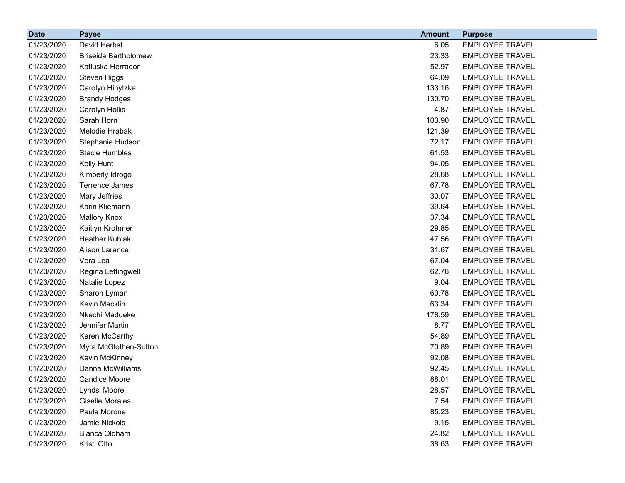| <b>Date</b> | <b>Payee</b>                | <b>Amount</b> | <b>Purpose</b>         |
|-------------|-----------------------------|---------------|------------------------|
| 01/23/2020  | David Herbst                | 6.05          | <b>EMPLOYEE TRAVEL</b> |
| 01/23/2020  | <b>Briseida Bartholomew</b> | 23.33         | <b>EMPLOYEE TRAVEL</b> |
| 01/23/2020  | Katiuska Herrador           | 52.97         | <b>EMPLOYEE TRAVEL</b> |
| 01/23/2020  | Steven Higgs                | 64.09         | <b>EMPLOYEE TRAVEL</b> |
| 01/23/2020  | Carolyn Hinytzke            | 133.16        | <b>EMPLOYEE TRAVEL</b> |
| 01/23/2020  | <b>Brandy Hodges</b>        | 130.70        | <b>EMPLOYEE TRAVEL</b> |
| 01/23/2020  | <b>Carolyn Hollis</b>       | 4.87          | <b>EMPLOYEE TRAVEL</b> |
| 01/23/2020  | Sarah Horn                  | 103.90        | <b>EMPLOYEE TRAVEL</b> |
| 01/23/2020  | Melodie Hrabak              | 121.39        | <b>EMPLOYEE TRAVEL</b> |
| 01/23/2020  | Stephanie Hudson            | 72.17         | <b>EMPLOYEE TRAVEL</b> |
| 01/23/2020  | <b>Stacie Humbles</b>       | 61.53         | <b>EMPLOYEE TRAVEL</b> |
| 01/23/2020  | Kelly Hunt                  | 94.05         | <b>EMPLOYEE TRAVEL</b> |
| 01/23/2020  | Kimberly Idrogo             | 28.68         | <b>EMPLOYEE TRAVEL</b> |
| 01/23/2020  | Terrence James              | 67.78         | <b>EMPLOYEE TRAVEL</b> |
| 01/23/2020  | <b>Mary Jeffries</b>        | 30.07         | <b>EMPLOYEE TRAVEL</b> |
| 01/23/2020  | Karin Kliemann              | 39.64         | <b>EMPLOYEE TRAVEL</b> |
| 01/23/2020  | <b>Mallory Knox</b>         | 37.34         | <b>EMPLOYEE TRAVEL</b> |
| 01/23/2020  | Kaitlyn Krohmer             | 29.85         | <b>EMPLOYEE TRAVEL</b> |
| 01/23/2020  | <b>Heather Kubiak</b>       | 47.56         | <b>EMPLOYEE TRAVEL</b> |
| 01/23/2020  | Alison Larance              | 31.67         | <b>EMPLOYEE TRAVEL</b> |
| 01/23/2020  | Vera Lea                    | 67.04         | <b>EMPLOYEE TRAVEL</b> |
| 01/23/2020  | Regina Leffingwell          | 62.76         | <b>EMPLOYEE TRAVEL</b> |
| 01/23/2020  | Natalie Lopez               | 9.04          | <b>EMPLOYEE TRAVEL</b> |
| 01/23/2020  | Sharon Lyman                | 60.78         | <b>EMPLOYEE TRAVEL</b> |
| 01/23/2020  | Kevin Macklin               | 63.34         | <b>EMPLOYEE TRAVEL</b> |
| 01/23/2020  | Nkechi Madueke              | 178.59        | <b>EMPLOYEE TRAVEL</b> |
| 01/23/2020  | Jennifer Martin             | 8.77          | <b>EMPLOYEE TRAVEL</b> |
| 01/23/2020  | Karen McCarthy              | 54.89         | <b>EMPLOYEE TRAVEL</b> |
| 01/23/2020  | Myra McGlothen-Sutton       | 70.89         | <b>EMPLOYEE TRAVEL</b> |
| 01/23/2020  | Kevin McKinney              | 92.08         | <b>EMPLOYEE TRAVEL</b> |
| 01/23/2020  | Danna McWilliams            | 92.45         | <b>EMPLOYEE TRAVEL</b> |
| 01/23/2020  | <b>Candice Moore</b>        | 88.01         | <b>EMPLOYEE TRAVEL</b> |
| 01/23/2020  | Lyndsi Moore                | 28.57         | <b>EMPLOYEE TRAVEL</b> |
| 01/23/2020  | <b>Giselle Morales</b>      | 7.54          | <b>EMPLOYEE TRAVEL</b> |
| 01/23/2020  | Paula Morone                | 85.23         | <b>EMPLOYEE TRAVEL</b> |
| 01/23/2020  | Jamie Nickols               | 9.15          | <b>EMPLOYEE TRAVEL</b> |
| 01/23/2020  | <b>Blanca Oldham</b>        | 24.82         | <b>EMPLOYEE TRAVEL</b> |
| 01/23/2020  | Kristi Otto                 | 38.63         | <b>EMPLOYEE TRAVEL</b> |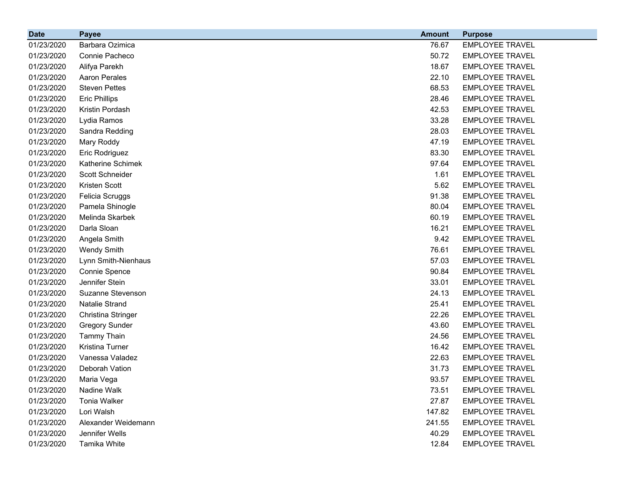| <b>Date</b> | <b>Payee</b>          | <b>Amount</b> | <b>Purpose</b>         |
|-------------|-----------------------|---------------|------------------------|
| 01/23/2020  | Barbara Ozimica       | 76.67         | <b>EMPLOYEE TRAVEL</b> |
| 01/23/2020  | Connie Pacheco        | 50.72         | <b>EMPLOYEE TRAVEL</b> |
| 01/23/2020  | Alifya Parekh         | 18.67         | <b>EMPLOYEE TRAVEL</b> |
| 01/23/2020  | Aaron Perales         | 22.10         | <b>EMPLOYEE TRAVEL</b> |
| 01/23/2020  | <b>Steven Pettes</b>  | 68.53         | <b>EMPLOYEE TRAVEL</b> |
| 01/23/2020  | <b>Eric Phillips</b>  | 28.46         | <b>EMPLOYEE TRAVEL</b> |
| 01/23/2020  | Kristin Pordash       | 42.53         | <b>EMPLOYEE TRAVEL</b> |
| 01/23/2020  | Lydia Ramos           | 33.28         | <b>EMPLOYEE TRAVEL</b> |
| 01/23/2020  | Sandra Redding        | 28.03         | <b>EMPLOYEE TRAVEL</b> |
| 01/23/2020  | Mary Roddy            | 47.19         | <b>EMPLOYEE TRAVEL</b> |
| 01/23/2020  | Eric Rodriguez        | 83.30         | <b>EMPLOYEE TRAVEL</b> |
| 01/23/2020  | Katherine Schimek     | 97.64         | <b>EMPLOYEE TRAVEL</b> |
| 01/23/2020  | Scott Schneider       | 1.61          | <b>EMPLOYEE TRAVEL</b> |
| 01/23/2020  | Kristen Scott         | 5.62          | <b>EMPLOYEE TRAVEL</b> |
| 01/23/2020  | Felicia Scruggs       | 91.38         | <b>EMPLOYEE TRAVEL</b> |
| 01/23/2020  | Pamela Shinogle       | 80.04         | <b>EMPLOYEE TRAVEL</b> |
| 01/23/2020  | Melinda Skarbek       | 60.19         | <b>EMPLOYEE TRAVEL</b> |
| 01/23/2020  | Darla Sloan           | 16.21         | <b>EMPLOYEE TRAVEL</b> |
| 01/23/2020  | Angela Smith          | 9.42          | <b>EMPLOYEE TRAVEL</b> |
| 01/23/2020  | <b>Wendy Smith</b>    | 76.61         | <b>EMPLOYEE TRAVEL</b> |
| 01/23/2020  | Lynn Smith-Nienhaus   | 57.03         | <b>EMPLOYEE TRAVEL</b> |
| 01/23/2020  | Connie Spence         | 90.84         | <b>EMPLOYEE TRAVEL</b> |
| 01/23/2020  | Jennifer Stein        | 33.01         | <b>EMPLOYEE TRAVEL</b> |
| 01/23/2020  | Suzanne Stevenson     | 24.13         | <b>EMPLOYEE TRAVEL</b> |
| 01/23/2020  | Natalie Strand        | 25.41         | <b>EMPLOYEE TRAVEL</b> |
| 01/23/2020  | Christina Stringer    | 22.26         | <b>EMPLOYEE TRAVEL</b> |
| 01/23/2020  | <b>Gregory Sunder</b> | 43.60         | <b>EMPLOYEE TRAVEL</b> |
| 01/23/2020  | <b>Tammy Thain</b>    | 24.56         | <b>EMPLOYEE TRAVEL</b> |
| 01/23/2020  | Kristina Turner       | 16.42         | <b>EMPLOYEE TRAVEL</b> |
| 01/23/2020  | Vanessa Valadez       | 22.63         | <b>EMPLOYEE TRAVEL</b> |
| 01/23/2020  | Deborah Vation        | 31.73         | <b>EMPLOYEE TRAVEL</b> |
| 01/23/2020  | Maria Vega            | 93.57         | <b>EMPLOYEE TRAVEL</b> |
| 01/23/2020  | Nadine Walk           | 73.51         | <b>EMPLOYEE TRAVEL</b> |
| 01/23/2020  | Tonia Walker          | 27.87         | <b>EMPLOYEE TRAVEL</b> |
| 01/23/2020  | Lori Walsh            | 147.82        | <b>EMPLOYEE TRAVEL</b> |
| 01/23/2020  | Alexander Weidemann   | 241.55        | <b>EMPLOYEE TRAVEL</b> |
| 01/23/2020  | Jennifer Wells        | 40.29         | <b>EMPLOYEE TRAVEL</b> |
| 01/23/2020  | Tamika White          | 12.84         | <b>EMPLOYEE TRAVEL</b> |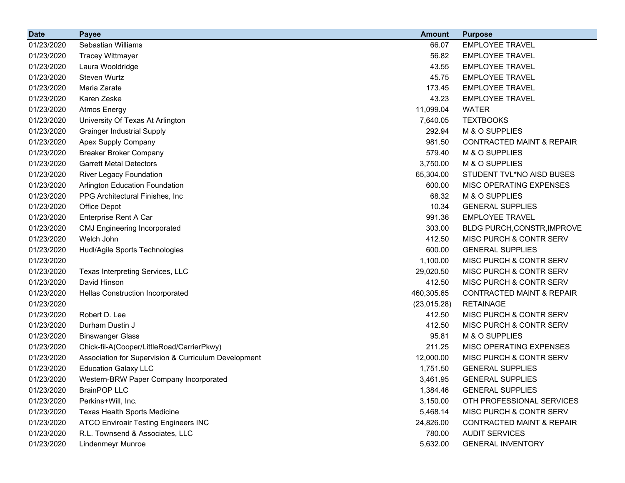| <b>Date</b> | <b>Payee</b>                                         | <b>Amount</b> | <b>Purpose</b>                       |
|-------------|------------------------------------------------------|---------------|--------------------------------------|
| 01/23/2020  | Sebastian Williams                                   | 66.07         | <b>EMPLOYEE TRAVEL</b>               |
| 01/23/2020  | <b>Tracey Wittmayer</b>                              | 56.82         | <b>EMPLOYEE TRAVEL</b>               |
| 01/23/2020  | Laura Wooldridge                                     | 43.55         | <b>EMPLOYEE TRAVEL</b>               |
| 01/23/2020  | <b>Steven Wurtz</b>                                  | 45.75         | <b>EMPLOYEE TRAVEL</b>               |
| 01/23/2020  | Maria Zarate                                         | 173.45        | <b>EMPLOYEE TRAVEL</b>               |
| 01/23/2020  | Karen Zeske                                          | 43.23         | <b>EMPLOYEE TRAVEL</b>               |
| 01/23/2020  | <b>Atmos Energy</b>                                  | 11,099.04     | <b>WATER</b>                         |
| 01/23/2020  | University Of Texas At Arlington                     | 7,640.05      | <b>TEXTBOOKS</b>                     |
| 01/23/2020  | <b>Grainger Industrial Supply</b>                    | 292.94        | M & O SUPPLIES                       |
| 01/23/2020  | Apex Supply Company                                  | 981.50        | <b>CONTRACTED MAINT &amp; REPAIR</b> |
| 01/23/2020  | <b>Breaker Broker Company</b>                        | 579.40        | M & O SUPPLIES                       |
| 01/23/2020  | <b>Garrett Metal Detectors</b>                       | 3,750.00      | M & O SUPPLIES                       |
| 01/23/2020  | River Legacy Foundation                              | 65,304.00     | STUDENT TVL*NO AISD BUSES            |
| 01/23/2020  | Arlington Education Foundation                       | 600.00        | MISC OPERATING EXPENSES              |
| 01/23/2020  | PPG Architectural Finishes, Inc.                     | 68.32         | M & O SUPPLIES                       |
| 01/23/2020  | Office Depot                                         | 10.34         | <b>GENERAL SUPPLIES</b>              |
| 01/23/2020  | Enterprise Rent A Car                                | 991.36        | <b>EMPLOYEE TRAVEL</b>               |
| 01/23/2020  | <b>CMJ Engineering Incorporated</b>                  | 303.00        | BLDG PURCH, CONSTR, IMPROVE          |
| 01/23/2020  | Welch John                                           | 412.50        | MISC PURCH & CONTR SERV              |
| 01/23/2020  | Hudl/Agile Sports Technologies                       | 600.00        | <b>GENERAL SUPPLIES</b>              |
| 01/23/2020  |                                                      | 1,100.00      | MISC PURCH & CONTR SERV              |
| 01/23/2020  | Texas Interpreting Services, LLC                     | 29,020.50     | <b>MISC PURCH &amp; CONTR SERV</b>   |
| 01/23/2020  | David Hinson                                         | 412.50        | MISC PURCH & CONTR SERV              |
| 01/23/2020  | Hellas Construction Incorporated                     | 460,305.65    | <b>CONTRACTED MAINT &amp; REPAIR</b> |
| 01/23/2020  |                                                      | (23,015.28)   | <b>RETAINAGE</b>                     |
| 01/23/2020  | Robert D. Lee                                        | 412.50        | MISC PURCH & CONTR SERV              |
| 01/23/2020  | Durham Dustin J                                      | 412.50        | MISC PURCH & CONTR SERV              |
| 01/23/2020  | <b>Binswanger Glass</b>                              | 95.81         | M & O SUPPLIES                       |
| 01/23/2020  | Chick-fil-A(Cooper/LittleRoad/CarrierPkwy)           | 211.25        | MISC OPERATING EXPENSES              |
| 01/23/2020  | Association for Supervision & Curriculum Development | 12,000.00     | MISC PURCH & CONTR SERV              |
| 01/23/2020  | <b>Education Galaxy LLC</b>                          | 1,751.50      | <b>GENERAL SUPPLIES</b>              |
| 01/23/2020  | Western-BRW Paper Company Incorporated               | 3,461.95      | <b>GENERAL SUPPLIES</b>              |
| 01/23/2020  | <b>BrainPOP LLC</b>                                  | 1,384.46      | <b>GENERAL SUPPLIES</b>              |
| 01/23/2020  | Perkins+Will, Inc.                                   | 3,150.00      | OTH PROFESSIONAL SERVICES            |
| 01/23/2020  | Texas Health Sports Medicine                         | 5,468.14      | MISC PURCH & CONTR SERV              |
| 01/23/2020  | <b>ATCO Enviroair Testing Engineers INC</b>          | 24,826.00     | <b>CONTRACTED MAINT &amp; REPAIR</b> |
| 01/23/2020  | R.L. Townsend & Associates, LLC                      | 780.00        | <b>AUDIT SERVICES</b>                |
| 01/23/2020  | <b>Lindenmeyr Munroe</b>                             | 5,632.00      | <b>GENERAL INVENTORY</b>             |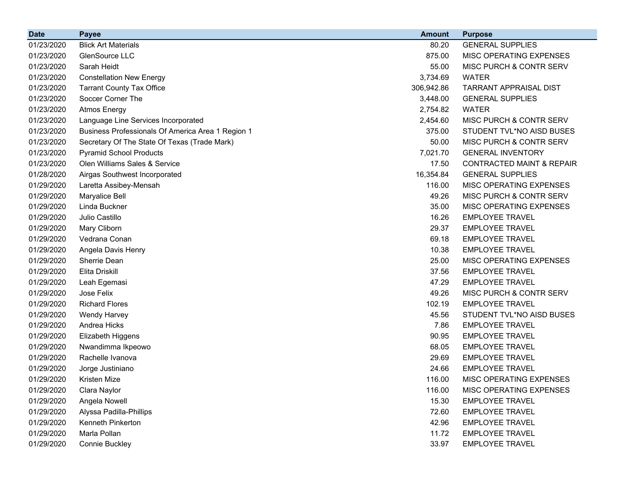| <b>Date</b> | <b>Payee</b>                                      | <b>Amount</b> | <b>Purpose</b>                       |
|-------------|---------------------------------------------------|---------------|--------------------------------------|
| 01/23/2020  | <b>Blick Art Materials</b>                        | 80.20         | <b>GENERAL SUPPLIES</b>              |
| 01/23/2020  | GlenSource LLC                                    | 875.00        | MISC OPERATING EXPENSES              |
| 01/23/2020  | Sarah Heidt                                       | 55.00         | MISC PURCH & CONTR SERV              |
| 01/23/2020  | <b>Constellation New Energy</b>                   | 3,734.69      | <b>WATER</b>                         |
| 01/23/2020  | <b>Tarrant County Tax Office</b>                  | 306,942.86    | <b>TARRANT APPRAISAL DIST</b>        |
| 01/23/2020  | Soccer Corner The                                 | 3,448.00      | <b>GENERAL SUPPLIES</b>              |
| 01/23/2020  | <b>Atmos Energy</b>                               | 2,754.82      | <b>WATER</b>                         |
| 01/23/2020  | Language Line Services Incorporated               | 2,454.60      | MISC PURCH & CONTR SERV              |
| 01/23/2020  | Business Professionals Of America Area 1 Region 1 | 375.00        | STUDENT TVL*NO AISD BUSES            |
| 01/23/2020  | Secretary Of The State Of Texas (Trade Mark)      | 50.00         | MISC PURCH & CONTR SERV              |
| 01/23/2020  | <b>Pyramid School Products</b>                    | 7,021.70      | <b>GENERAL INVENTORY</b>             |
| 01/23/2020  | Olen Williams Sales & Service                     | 17.50         | <b>CONTRACTED MAINT &amp; REPAIR</b> |
| 01/28/2020  | Airgas Southwest Incorporated                     | 16,354.84     | <b>GENERAL SUPPLIES</b>              |
| 01/29/2020  | Laretta Assibey-Mensah                            | 116.00        | MISC OPERATING EXPENSES              |
| 01/29/2020  | Maryalice Bell                                    | 49.26         | MISC PURCH & CONTR SERV              |
| 01/29/2020  | Linda Buckner                                     | 35.00         | <b>MISC OPERATING EXPENSES</b>       |
| 01/29/2020  | Julio Castillo                                    | 16.26         | <b>EMPLOYEE TRAVEL</b>               |
| 01/29/2020  | Mary Cliborn                                      | 29.37         | <b>EMPLOYEE TRAVEL</b>               |
| 01/29/2020  | Vedrana Conan                                     | 69.18         | <b>EMPLOYEE TRAVEL</b>               |
| 01/29/2020  | Angela Davis Henry                                | 10.38         | <b>EMPLOYEE TRAVEL</b>               |
| 01/29/2020  | Sherrie Dean                                      | 25.00         | MISC OPERATING EXPENSES              |
| 01/29/2020  | Elita Driskill                                    | 37.56         | <b>EMPLOYEE TRAVEL</b>               |
| 01/29/2020  | Leah Egemasi                                      | 47.29         | <b>EMPLOYEE TRAVEL</b>               |
| 01/29/2020  | Jose Felix                                        | 49.26         | MISC PURCH & CONTR SERV              |
| 01/29/2020  | <b>Richard Flores</b>                             | 102.19        | <b>EMPLOYEE TRAVEL</b>               |
| 01/29/2020  | <b>Wendy Harvey</b>                               | 45.56         | STUDENT TVL*NO AISD BUSES            |
| 01/29/2020  | Andrea Hicks                                      | 7.86          | <b>EMPLOYEE TRAVEL</b>               |
| 01/29/2020  | Elizabeth Higgens                                 | 90.95         | <b>EMPLOYEE TRAVEL</b>               |
| 01/29/2020  | Nwandimma Ikpeowo                                 | 68.05         | <b>EMPLOYEE TRAVEL</b>               |
| 01/29/2020  | Rachelle Ivanova                                  | 29.69         | <b>EMPLOYEE TRAVEL</b>               |
| 01/29/2020  | Jorge Justiniano                                  | 24.66         | <b>EMPLOYEE TRAVEL</b>               |
| 01/29/2020  | Kristen Mize                                      | 116.00        | MISC OPERATING EXPENSES              |
| 01/29/2020  | Clara Naylor                                      | 116.00        | MISC OPERATING EXPENSES              |
| 01/29/2020  | Angela Nowell                                     | 15.30         | <b>EMPLOYEE TRAVEL</b>               |
| 01/29/2020  | Alyssa Padilla-Phillips                           | 72.60         | <b>EMPLOYEE TRAVEL</b>               |
| 01/29/2020  | Kenneth Pinkerton                                 | 42.96         | <b>EMPLOYEE TRAVEL</b>               |
| 01/29/2020  | Marla Pollan                                      | 11.72         | <b>EMPLOYEE TRAVEL</b>               |
| 01/29/2020  | <b>Connie Buckley</b>                             | 33.97         | <b>EMPLOYEE TRAVEL</b>               |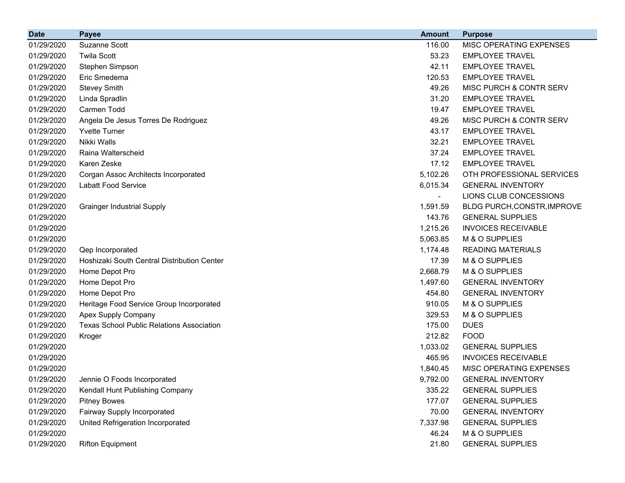| <b>Date</b> | <b>Payee</b>                                     | <b>Amount</b> | <b>Purpose</b>              |
|-------------|--------------------------------------------------|---------------|-----------------------------|
| 01/29/2020  | Suzanne Scott                                    | 116.00        | MISC OPERATING EXPENSES     |
| 01/29/2020  | <b>Twila Scott</b>                               | 53.23         | <b>EMPLOYEE TRAVEL</b>      |
| 01/29/2020  | Stephen Simpson                                  | 42.11         | <b>EMPLOYEE TRAVEL</b>      |
| 01/29/2020  | Eric Smedema                                     | 120.53        | <b>EMPLOYEE TRAVEL</b>      |
| 01/29/2020  | <b>Stevey Smith</b>                              | 49.26         | MISC PURCH & CONTR SERV     |
| 01/29/2020  | Linda Spradlin                                   | 31.20         | <b>EMPLOYEE TRAVEL</b>      |
| 01/29/2020  | Carmen Todd                                      | 19.47         | <b>EMPLOYEE TRAVEL</b>      |
| 01/29/2020  | Angela De Jesus Torres De Rodriguez              | 49.26         | MISC PURCH & CONTR SERV     |
| 01/29/2020  | <b>Yvette Turner</b>                             | 43.17         | <b>EMPLOYEE TRAVEL</b>      |
| 01/29/2020  | Nikki Walls                                      | 32.21         | <b>EMPLOYEE TRAVEL</b>      |
| 01/29/2020  | Raina Walterscheid                               | 37.24         | <b>EMPLOYEE TRAVEL</b>      |
| 01/29/2020  | Karen Zeske                                      | 17.12         | <b>EMPLOYEE TRAVEL</b>      |
| 01/29/2020  | Corgan Assoc Architects Incorporated             | 5,102.26      | OTH PROFESSIONAL SERVICES   |
| 01/29/2020  | Labatt Food Service                              | 6,015.34      | <b>GENERAL INVENTORY</b>    |
| 01/29/2020  |                                                  |               | LIONS CLUB CONCESSIONS      |
| 01/29/2020  | <b>Grainger Industrial Supply</b>                | 1,591.59      | BLDG PURCH, CONSTR, IMPROVE |
| 01/29/2020  |                                                  | 143.76        | <b>GENERAL SUPPLIES</b>     |
| 01/29/2020  |                                                  | 1,215.26      | <b>INVOICES RECEIVABLE</b>  |
| 01/29/2020  |                                                  | 5,063.85      | M & O SUPPLIES              |
| 01/29/2020  | Qep Incorporated                                 | 1,174.48      | <b>READING MATERIALS</b>    |
| 01/29/2020  | Hoshizaki South Central Distribution Center      | 17.39         | M & O SUPPLIES              |
| 01/29/2020  | Home Depot Pro                                   | 2,668.79      | M & O SUPPLIES              |
| 01/29/2020  | Home Depot Pro                                   | 1,497.60      | <b>GENERAL INVENTORY</b>    |
| 01/29/2020  | Home Depot Pro                                   | 454.80        | <b>GENERAL INVENTORY</b>    |
| 01/29/2020  | Heritage Food Service Group Incorporated         | 910.05        | M & O SUPPLIES              |
| 01/29/2020  | Apex Supply Company                              | 329.53        | M & O SUPPLIES              |
| 01/29/2020  | <b>Texas School Public Relations Association</b> | 175.00        | <b>DUES</b>                 |
| 01/29/2020  | Kroger                                           | 212.82        | <b>FOOD</b>                 |
| 01/29/2020  |                                                  | 1,033.02      | <b>GENERAL SUPPLIES</b>     |
| 01/29/2020  |                                                  | 465.95        | <b>INVOICES RECEIVABLE</b>  |
| 01/29/2020  |                                                  | 1,840.45      | MISC OPERATING EXPENSES     |
| 01/29/2020  | Jennie O Foods Incorporated                      | 9,792.00      | <b>GENERAL INVENTORY</b>    |
| 01/29/2020  | Kendall Hunt Publishing Company                  | 335.22        | <b>GENERAL SUPPLIES</b>     |
| 01/29/2020  | <b>Pitney Bowes</b>                              | 177.07        | <b>GENERAL SUPPLIES</b>     |
| 01/29/2020  | Fairway Supply Incorporated                      | 70.00         | <b>GENERAL INVENTORY</b>    |
| 01/29/2020  | United Refrigeration Incorporated                | 7,337.98      | <b>GENERAL SUPPLIES</b>     |
| 01/29/2020  |                                                  | 46.24         | M & O SUPPLIES              |
| 01/29/2020  | <b>Rifton Equipment</b>                          | 21.80         | <b>GENERAL SUPPLIES</b>     |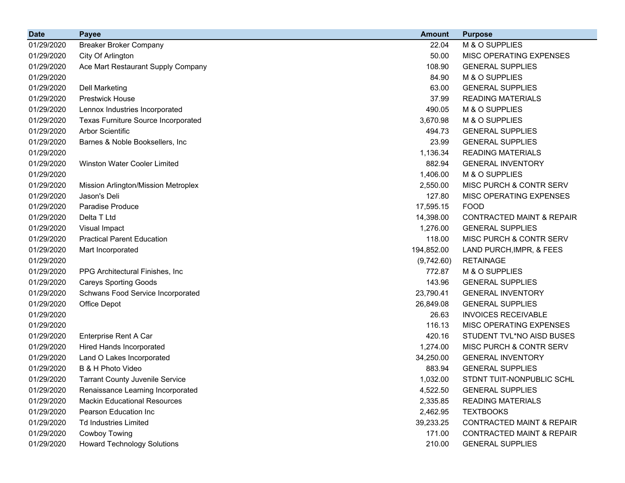| <b>Date</b> | <b>Payee</b>                               | <b>Amount</b> | <b>Purpose</b>                       |
|-------------|--------------------------------------------|---------------|--------------------------------------|
| 01/29/2020  | <b>Breaker Broker Company</b>              | 22.04         | M & O SUPPLIES                       |
| 01/29/2020  | City Of Arlington                          | 50.00         | MISC OPERATING EXPENSES              |
| 01/29/2020  | Ace Mart Restaurant Supply Company         | 108.90        | <b>GENERAL SUPPLIES</b>              |
| 01/29/2020  |                                            | 84.90         | M & O SUPPLIES                       |
| 01/29/2020  | <b>Dell Marketing</b>                      | 63.00         | <b>GENERAL SUPPLIES</b>              |
| 01/29/2020  | <b>Prestwick House</b>                     | 37.99         | <b>READING MATERIALS</b>             |
| 01/29/2020  | Lennox Industries Incorporated             | 490.05        | M & O SUPPLIES                       |
| 01/29/2020  | <b>Texas Furniture Source Incorporated</b> | 3,670.98      | M & O SUPPLIES                       |
| 01/29/2020  | <b>Arbor Scientific</b>                    | 494.73        | <b>GENERAL SUPPLIES</b>              |
| 01/29/2020  | Barnes & Noble Booksellers, Inc            | 23.99         | <b>GENERAL SUPPLIES</b>              |
| 01/29/2020  |                                            | 1,136.34      | <b>READING MATERIALS</b>             |
| 01/29/2020  | <b>Winston Water Cooler Limited</b>        | 882.94        | <b>GENERAL INVENTORY</b>             |
| 01/29/2020  |                                            | 1,406.00      | M & O SUPPLIES                       |
| 01/29/2020  | Mission Arlington/Mission Metroplex        | 2,550.00      | MISC PURCH & CONTR SERV              |
| 01/29/2020  | Jason's Deli                               | 127.80        | MISC OPERATING EXPENSES              |
| 01/29/2020  | Paradise Produce                           | 17,595.15     | <b>FOOD</b>                          |
| 01/29/2020  | Delta T Ltd                                | 14,398.00     | <b>CONTRACTED MAINT &amp; REPAIR</b> |
| 01/29/2020  | Visual Impact                              | 1,276.00      | <b>GENERAL SUPPLIES</b>              |
| 01/29/2020  | <b>Practical Parent Education</b>          | 118.00        | MISC PURCH & CONTR SERV              |
| 01/29/2020  | Mart Incorporated                          | 194,852.00    | LAND PURCH, IMPR, & FEES             |
| 01/29/2020  |                                            | (9,742.60)    | <b>RETAINAGE</b>                     |
| 01/29/2020  | PPG Architectural Finishes, Inc.           | 772.87        | M & O SUPPLIES                       |
| 01/29/2020  | <b>Careys Sporting Goods</b>               | 143.96        | <b>GENERAL SUPPLIES</b>              |
| 01/29/2020  | Schwans Food Service Incorporated          | 23,790.41     | <b>GENERAL INVENTORY</b>             |
| 01/29/2020  | Office Depot                               | 26,849.08     | <b>GENERAL SUPPLIES</b>              |
| 01/29/2020  |                                            | 26.63         | <b>INVOICES RECEIVABLE</b>           |
| 01/29/2020  |                                            | 116.13        | MISC OPERATING EXPENSES              |
| 01/29/2020  | <b>Enterprise Rent A Car</b>               | 420.16        | STUDENT TVL*NO AISD BUSES            |
| 01/29/2020  | <b>Hired Hands Incorporated</b>            | 1,274.00      | <b>MISC PURCH &amp; CONTR SERV</b>   |
| 01/29/2020  | Land O Lakes Incorporated                  | 34,250.00     | <b>GENERAL INVENTORY</b>             |
| 01/29/2020  | B & H Photo Video                          | 883.94        | <b>GENERAL SUPPLIES</b>              |
| 01/29/2020  | <b>Tarrant County Juvenile Service</b>     | 1,032.00      | STDNT TUIT-NONPUBLIC SCHL            |
| 01/29/2020  | Renaissance Learning Incorporated          | 4,522.50      | <b>GENERAL SUPPLIES</b>              |
| 01/29/2020  | <b>Mackin Educational Resources</b>        | 2,335.85      | <b>READING MATERIALS</b>             |
| 01/29/2020  | Pearson Education Inc                      | 2,462.95      | <b>TEXTBOOKS</b>                     |
| 01/29/2020  | <b>Td Industries Limited</b>               | 39,233.25     | <b>CONTRACTED MAINT &amp; REPAIR</b> |
| 01/29/2020  | Cowboy Towing                              | 171.00        | <b>CONTRACTED MAINT &amp; REPAIR</b> |
| 01/29/2020  | <b>Howard Technology Solutions</b>         | 210.00        | <b>GENERAL SUPPLIES</b>              |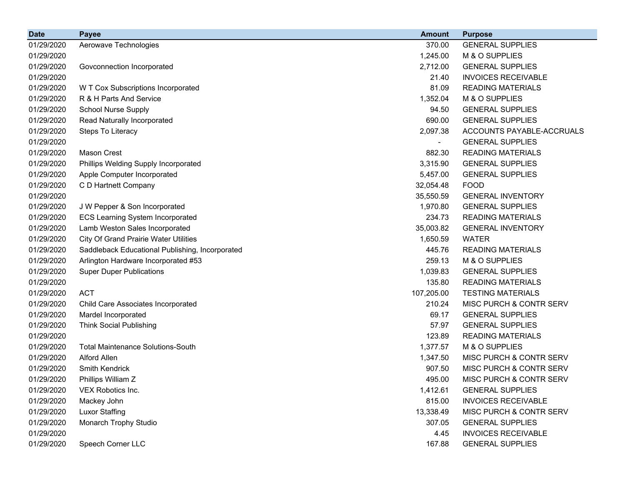| <b>Date</b> | <b>Payee</b>                                    | <b>Amount</b> | <b>Purpose</b>             |
|-------------|-------------------------------------------------|---------------|----------------------------|
| 01/29/2020  | Aerowave Technologies                           | 370.00        | <b>GENERAL SUPPLIES</b>    |
| 01/29/2020  |                                                 | 1,245.00      | M & O SUPPLIES             |
| 01/29/2020  | Govconnection Incorporated                      | 2,712.00      | <b>GENERAL SUPPLIES</b>    |
| 01/29/2020  |                                                 | 21.40         | <b>INVOICES RECEIVABLE</b> |
| 01/29/2020  | W T Cox Subscriptions Incorporated              | 81.09         | <b>READING MATERIALS</b>   |
| 01/29/2020  | R & H Parts And Service                         | 1,352.04      | M & O SUPPLIES             |
| 01/29/2020  | <b>School Nurse Supply</b>                      | 94.50         | <b>GENERAL SUPPLIES</b>    |
| 01/29/2020  | Read Naturally Incorporated                     | 690.00        | <b>GENERAL SUPPLIES</b>    |
| 01/29/2020  | Steps To Literacy                               | 2,097.38      | ACCOUNTS PAYABLE-ACCRUALS  |
| 01/29/2020  |                                                 |               | <b>GENERAL SUPPLIES</b>    |
| 01/29/2020  | <b>Mason Crest</b>                              | 882.30        | <b>READING MATERIALS</b>   |
| 01/29/2020  | Phillips Welding Supply Incorporated            | 3,315.90      | <b>GENERAL SUPPLIES</b>    |
| 01/29/2020  | Apple Computer Incorporated                     | 5,457.00      | <b>GENERAL SUPPLIES</b>    |
| 01/29/2020  | C D Hartnett Company                            | 32,054.48     | <b>FOOD</b>                |
| 01/29/2020  |                                                 | 35,550.59     | <b>GENERAL INVENTORY</b>   |
| 01/29/2020  | J W Pepper & Son Incorporated                   | 1,970.80      | <b>GENERAL SUPPLIES</b>    |
| 01/29/2020  | <b>ECS Learning System Incorporated</b>         | 234.73        | <b>READING MATERIALS</b>   |
| 01/29/2020  | Lamb Weston Sales Incorporated                  | 35,003.82     | <b>GENERAL INVENTORY</b>   |
| 01/29/2020  | <b>City Of Grand Prairie Water Utilities</b>    | 1,650.59      | <b>WATER</b>               |
| 01/29/2020  | Saddleback Educational Publishing, Incorporated | 445.76        | <b>READING MATERIALS</b>   |
| 01/29/2020  | Arlington Hardware Incorporated #53             | 259.13        | M & O SUPPLIES             |
| 01/29/2020  | <b>Super Duper Publications</b>                 | 1,039.83      | <b>GENERAL SUPPLIES</b>    |
| 01/29/2020  |                                                 | 135.80        | <b>READING MATERIALS</b>   |
| 01/29/2020  | <b>ACT</b>                                      | 107,205.00    | <b>TESTING MATERIALS</b>   |
| 01/29/2020  | Child Care Associates Incorporated              | 210.24        | MISC PURCH & CONTR SERV    |
| 01/29/2020  | Mardel Incorporated                             | 69.17         | <b>GENERAL SUPPLIES</b>    |
| 01/29/2020  | <b>Think Social Publishing</b>                  | 57.97         | <b>GENERAL SUPPLIES</b>    |
| 01/29/2020  |                                                 | 123.89        | <b>READING MATERIALS</b>   |
| 01/29/2020  | <b>Total Maintenance Solutions-South</b>        | 1,377.57      | M & O SUPPLIES             |
| 01/29/2020  | Alford Allen                                    | 1,347.50      | MISC PURCH & CONTR SERV    |
| 01/29/2020  | Smith Kendrick                                  | 907.50        | MISC PURCH & CONTR SERV    |
| 01/29/2020  | Phillips William Z                              | 495.00        | MISC PURCH & CONTR SERV    |
| 01/29/2020  | VEX Robotics Inc.                               | 1,412.61      | <b>GENERAL SUPPLIES</b>    |
| 01/29/2020  | Mackey John                                     | 815.00        | <b>INVOICES RECEIVABLE</b> |
| 01/29/2020  | <b>Luxor Staffing</b>                           | 13,338.49     | MISC PURCH & CONTR SERV    |
| 01/29/2020  | Monarch Trophy Studio                           | 307.05        | <b>GENERAL SUPPLIES</b>    |
| 01/29/2020  |                                                 | 4.45          | <b>INVOICES RECEIVABLE</b> |
| 01/29/2020  | Speech Corner LLC                               | 167.88        | <b>GENERAL SUPPLIES</b>    |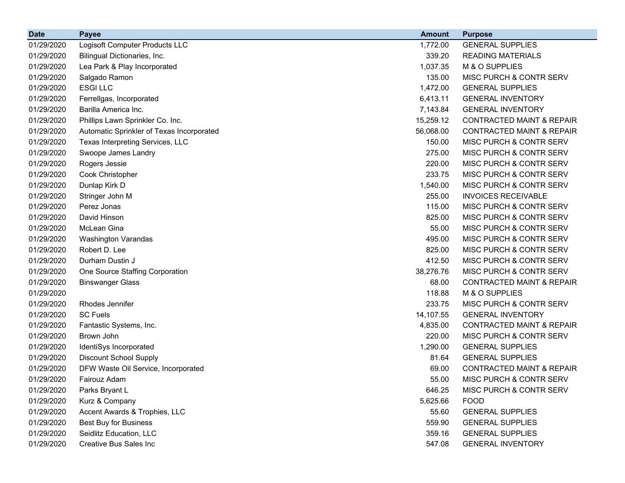| <b>Date</b> | <b>Payee</b>                              | <b>Amount</b> | <b>Purpose</b>                       |
|-------------|-------------------------------------------|---------------|--------------------------------------|
| 01/29/2020  | Logisoft Computer Products LLC            | 1,772.00      | <b>GENERAL SUPPLIES</b>              |
| 01/29/2020  | Bilingual Dictionaries, Inc.              | 339.20        | <b>READING MATERIALS</b>             |
| 01/29/2020  | Lea Park & Play Incorporated              | 1,037.35      | M & O SUPPLIES                       |
| 01/29/2020  | Salgado Ramon                             | 135.00        | MISC PURCH & CONTR SERV              |
| 01/29/2020  | <b>ESGILLC</b>                            | 1,472.00      | <b>GENERAL SUPPLIES</b>              |
| 01/29/2020  | Ferrellgas, Incorporated                  | 6,413.11      | <b>GENERAL INVENTORY</b>             |
| 01/29/2020  | Barilla America Inc.                      | 7,143.84      | <b>GENERAL INVENTORY</b>             |
| 01/29/2020  | Phillips Lawn Sprinkler Co. Inc.          | 15,259.12     | <b>CONTRACTED MAINT &amp; REPAIR</b> |
| 01/29/2020  | Automatic Sprinkler of Texas Incorporated | 56,068.00     | <b>CONTRACTED MAINT &amp; REPAIR</b> |
| 01/29/2020  | Texas Interpreting Services, LLC          | 150.00        | MISC PURCH & CONTR SERV              |
| 01/29/2020  | Swoope James Landry                       | 275.00        | MISC PURCH & CONTR SERV              |
| 01/29/2020  | Rogers Jessie                             | 220.00        | MISC PURCH & CONTR SERV              |
| 01/29/2020  | Cook Christopher                          | 233.75        | MISC PURCH & CONTR SERV              |
| 01/29/2020  | Dunlap Kirk D                             | 1,540.00      | MISC PURCH & CONTR SERV              |
| 01/29/2020  | Stringer John M                           | 255.00        | <b>INVOICES RECEIVABLE</b>           |
| 01/29/2020  | Perez Jonas                               | 115.00        | MISC PURCH & CONTR SERV              |
| 01/29/2020  | David Hinson                              | 825.00        | MISC PURCH & CONTR SERV              |
| 01/29/2020  | McLean Gina                               | 55.00         | MISC PURCH & CONTR SERV              |
| 01/29/2020  | Washington Varandas                       | 495.00        | MISC PURCH & CONTR SERV              |
| 01/29/2020  | Robert D. Lee                             | 825.00        | MISC PURCH & CONTR SERV              |
| 01/29/2020  | Durham Dustin J                           | 412.50        | MISC PURCH & CONTR SERV              |
| 01/29/2020  | One Source Staffing Corporation           | 38,276.76     | MISC PURCH & CONTR SERV              |
| 01/29/2020  | <b>Binswanger Glass</b>                   | 68.00         | <b>CONTRACTED MAINT &amp; REPAIR</b> |
| 01/29/2020  |                                           | 118.88        | M & O SUPPLIES                       |
| 01/29/2020  | Rhodes Jennifer                           | 233.75        | MISC PURCH & CONTR SERV              |
| 01/29/2020  | <b>SC Fuels</b>                           | 14,107.55     | <b>GENERAL INVENTORY</b>             |
| 01/29/2020  | Fantastic Systems, Inc.                   | 4,835.00      | <b>CONTRACTED MAINT &amp; REPAIR</b> |
| 01/29/2020  | Brown John                                | 220.00        | MISC PURCH & CONTR SERV              |
| 01/29/2020  | IdentiSys Incorporated                    | 1,290.00      | <b>GENERAL SUPPLIES</b>              |
| 01/29/2020  | <b>Discount School Supply</b>             | 81.64         | <b>GENERAL SUPPLIES</b>              |
| 01/29/2020  | DFW Waste Oil Service, Incorporated       | 69.00         | CONTRACTED MAINT & REPAIR            |
| 01/29/2020  | Fairouz Adam                              | 55.00         | MISC PURCH & CONTR SERV              |
| 01/29/2020  | Parks Bryant L                            | 646.25        | MISC PURCH & CONTR SERV              |
| 01/29/2020  | Kurz & Company                            | 5,625.66      | <b>FOOD</b>                          |
| 01/29/2020  | Accent Awards & Trophies, LLC             | 55.60         | <b>GENERAL SUPPLIES</b>              |
| 01/29/2020  | <b>Best Buy for Business</b>              | 559.90        | <b>GENERAL SUPPLIES</b>              |
| 01/29/2020  | Seidlitz Education, LLC                   | 359.16        | <b>GENERAL SUPPLIES</b>              |
| 01/29/2020  | <b>Creative Bus Sales Inc</b>             | 547.08        | <b>GENERAL INVENTORY</b>             |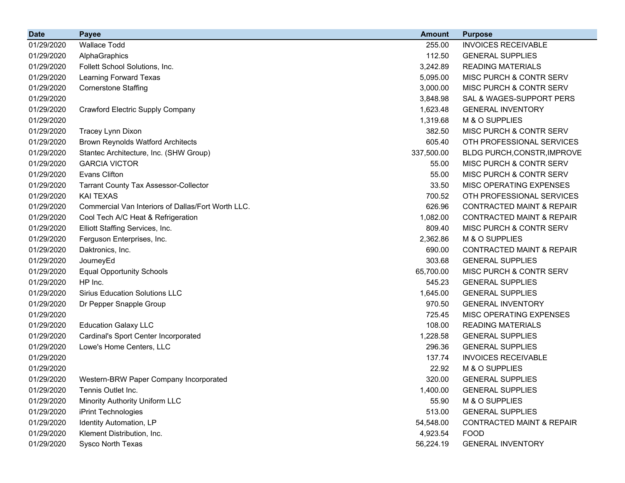| <b>Date</b> | <b>Payee</b>                                       | <b>Amount</b> | <b>Purpose</b>                       |
|-------------|----------------------------------------------------|---------------|--------------------------------------|
| 01/29/2020  | <b>Wallace Todd</b>                                | 255.00        | <b>INVOICES RECEIVABLE</b>           |
| 01/29/2020  | AlphaGraphics                                      | 112.50        | <b>GENERAL SUPPLIES</b>              |
| 01/29/2020  | Follett School Solutions, Inc.                     | 3,242.89      | <b>READING MATERIALS</b>             |
| 01/29/2020  | Learning Forward Texas                             | 5,095.00      | MISC PURCH & CONTR SERV              |
| 01/29/2020  | <b>Cornerstone Staffing</b>                        | 3,000.00      | MISC PURCH & CONTR SERV              |
| 01/29/2020  |                                                    | 3,848.98      | SAL & WAGES-SUPPORT PERS             |
| 01/29/2020  | <b>Crawford Electric Supply Company</b>            | 1,623.48      | <b>GENERAL INVENTORY</b>             |
| 01/29/2020  |                                                    | 1,319.68      | M & O SUPPLIES                       |
| 01/29/2020  | Tracey Lynn Dixon                                  | 382.50        | MISC PURCH & CONTR SERV              |
| 01/29/2020  | <b>Brown Reynolds Watford Architects</b>           | 605.40        | OTH PROFESSIONAL SERVICES            |
| 01/29/2020  | Stantec Architecture, Inc. (SHW Group)             | 337,500.00    | BLDG PURCH, CONSTR, IMPROVE          |
| 01/29/2020  | <b>GARCIA VICTOR</b>                               | 55.00         | MISC PURCH & CONTR SERV              |
| 01/29/2020  | <b>Evans Clifton</b>                               | 55.00         | MISC PURCH & CONTR SERV              |
| 01/29/2020  | <b>Tarrant County Tax Assessor-Collector</b>       | 33.50         | MISC OPERATING EXPENSES              |
| 01/29/2020  | <b>KAI TEXAS</b>                                   | 700.52        | OTH PROFESSIONAL SERVICES            |
| 01/29/2020  | Commercial Van Interiors of Dallas/Fort Worth LLC. | 626.96        | <b>CONTRACTED MAINT &amp; REPAIR</b> |
| 01/29/2020  | Cool Tech A/C Heat & Refrigeration                 | 1,082.00      | <b>CONTRACTED MAINT &amp; REPAIR</b> |
| 01/29/2020  | Elliott Staffing Services, Inc.                    | 809.40        | MISC PURCH & CONTR SERV              |
| 01/29/2020  | Ferguson Enterprises, Inc.                         | 2,362.86      | M & O SUPPLIES                       |
| 01/29/2020  | Daktronics, Inc.                                   | 690.00        | <b>CONTRACTED MAINT &amp; REPAIR</b> |
| 01/29/2020  | JourneyEd                                          | 303.68        | <b>GENERAL SUPPLIES</b>              |
| 01/29/2020  | <b>Equal Opportunity Schools</b>                   | 65,700.00     | MISC PURCH & CONTR SERV              |
| 01/29/2020  | HP Inc.                                            | 545.23        | <b>GENERAL SUPPLIES</b>              |
| 01/29/2020  | <b>Sirius Education Solutions LLC</b>              | 1,645.00      | <b>GENERAL SUPPLIES</b>              |
| 01/29/2020  | Dr Pepper Snapple Group                            | 970.50        | <b>GENERAL INVENTORY</b>             |
| 01/29/2020  |                                                    | 725.45        | MISC OPERATING EXPENSES              |
| 01/29/2020  | <b>Education Galaxy LLC</b>                        | 108.00        | <b>READING MATERIALS</b>             |
| 01/29/2020  | Cardinal's Sport Center Incorporated               | 1,228.58      | <b>GENERAL SUPPLIES</b>              |
| 01/29/2020  | Lowe's Home Centers, LLC                           | 296.36        | <b>GENERAL SUPPLIES</b>              |
| 01/29/2020  |                                                    | 137.74        | <b>INVOICES RECEIVABLE</b>           |
| 01/29/2020  |                                                    | 22.92         | M & O SUPPLIES                       |
| 01/29/2020  | Western-BRW Paper Company Incorporated             | 320.00        | <b>GENERAL SUPPLIES</b>              |
| 01/29/2020  | Tennis Outlet Inc.                                 | 1,400.00      | <b>GENERAL SUPPLIES</b>              |
| 01/29/2020  | <b>Minority Authority Uniform LLC</b>              | 55.90         | M & O SUPPLIES                       |
| 01/29/2020  | iPrint Technologies                                | 513.00        | <b>GENERAL SUPPLIES</b>              |
| 01/29/2020  | Identity Automation, LP                            | 54,548.00     | <b>CONTRACTED MAINT &amp; REPAIR</b> |
| 01/29/2020  | Klement Distribution, Inc.                         | 4,923.54      | <b>FOOD</b>                          |
| 01/29/2020  | Sysco North Texas                                  | 56,224.19     | <b>GENERAL INVENTORY</b>             |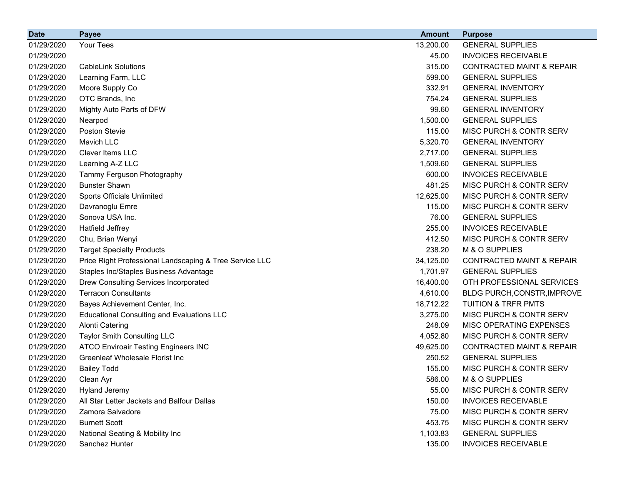| <b>Date</b> | <b>Payee</b>                                            | <b>Amount</b> | <b>Purpose</b>                       |
|-------------|---------------------------------------------------------|---------------|--------------------------------------|
| 01/29/2020  | Your Tees                                               | 13,200.00     | <b>GENERAL SUPPLIES</b>              |
| 01/29/2020  |                                                         | 45.00         | <b>INVOICES RECEIVABLE</b>           |
| 01/29/2020  | <b>CableLink Solutions</b>                              | 315.00        | <b>CONTRACTED MAINT &amp; REPAIR</b> |
| 01/29/2020  | Learning Farm, LLC                                      | 599.00        | <b>GENERAL SUPPLIES</b>              |
| 01/29/2020  | Moore Supply Co                                         | 332.91        | <b>GENERAL INVENTORY</b>             |
| 01/29/2020  | OTC Brands, Inc                                         | 754.24        | <b>GENERAL SUPPLIES</b>              |
| 01/29/2020  | Mighty Auto Parts of DFW                                | 99.60         | <b>GENERAL INVENTORY</b>             |
| 01/29/2020  | Nearpod                                                 | 1,500.00      | <b>GENERAL SUPPLIES</b>              |
| 01/29/2020  | Poston Stevie                                           | 115.00        | MISC PURCH & CONTR SERV              |
| 01/29/2020  | Mavich LLC                                              | 5,320.70      | <b>GENERAL INVENTORY</b>             |
| 01/29/2020  | Clever Items LLC                                        | 2,717.00      | <b>GENERAL SUPPLIES</b>              |
| 01/29/2020  | Learning A-Z LLC                                        | 1,509.60      | <b>GENERAL SUPPLIES</b>              |
| 01/29/2020  | Tammy Ferguson Photography                              | 600.00        | <b>INVOICES RECEIVABLE</b>           |
| 01/29/2020  | <b>Bunster Shawn</b>                                    | 481.25        | MISC PURCH & CONTR SERV              |
| 01/29/2020  | Sports Officials Unlimited                              | 12,625.00     | MISC PURCH & CONTR SERV              |
| 01/29/2020  | Davranoglu Emre                                         | 115.00        | MISC PURCH & CONTR SERV              |
| 01/29/2020  | Sonova USA Inc.                                         | 76.00         | <b>GENERAL SUPPLIES</b>              |
| 01/29/2020  | <b>Hatfield Jeffrey</b>                                 | 255.00        | <b>INVOICES RECEIVABLE</b>           |
| 01/29/2020  | Chu, Brian Wenyi                                        | 412.50        | MISC PURCH & CONTR SERV              |
| 01/29/2020  | <b>Target Specialty Products</b>                        | 238.20        | M & O SUPPLIES                       |
| 01/29/2020  | Price Right Professional Landscaping & Tree Service LLC | 34,125.00     | <b>CONTRACTED MAINT &amp; REPAIR</b> |
| 01/29/2020  | Staples Inc/Staples Business Advantage                  | 1,701.97      | <b>GENERAL SUPPLIES</b>              |
| 01/29/2020  | Drew Consulting Services Incorporated                   | 16,400.00     | OTH PROFESSIONAL SERVICES            |
| 01/29/2020  | <b>Terracon Consultants</b>                             | 4,610.00      | BLDG PURCH, CONSTR, IMPROVE          |
| 01/29/2020  | Bayes Achievement Center, Inc.                          | 18,712.22     | <b>TUITION &amp; TRFR PMTS</b>       |
| 01/29/2020  | <b>Educational Consulting and Evaluations LLC</b>       | 3,275.00      | MISC PURCH & CONTR SERV              |
| 01/29/2020  | <b>Alonti Catering</b>                                  | 248.09        | MISC OPERATING EXPENSES              |
| 01/29/2020  | Taylor Smith Consulting LLC                             | 4,052.80      | MISC PURCH & CONTR SERV              |
| 01/29/2020  | <b>ATCO Enviroair Testing Engineers INC</b>             | 49,625.00     | <b>CONTRACTED MAINT &amp; REPAIR</b> |
| 01/29/2020  | <b>Greenleaf Wholesale Florist Inc</b>                  | 250.52        | <b>GENERAL SUPPLIES</b>              |
| 01/29/2020  | <b>Bailey Todd</b>                                      | 155.00        | MISC PURCH & CONTR SERV              |
| 01/29/2020  | Clean Ayr                                               | 586.00        | M & O SUPPLIES                       |
| 01/29/2020  | <b>Hyland Jeremy</b>                                    | 55.00         | MISC PURCH & CONTR SERV              |
| 01/29/2020  | All Star Letter Jackets and Balfour Dallas              | 150.00        | <b>INVOICES RECEIVABLE</b>           |
| 01/29/2020  | Zamora Salvadore                                        | 75.00         | MISC PURCH & CONTR SERV              |
| 01/29/2020  | <b>Burnett Scott</b>                                    | 453.75        | MISC PURCH & CONTR SERV              |
| 01/29/2020  | National Seating & Mobility Inc                         | 1,103.83      | <b>GENERAL SUPPLIES</b>              |
| 01/29/2020  | Sanchez Hunter                                          | 135.00        | <b>INVOICES RECEIVABLE</b>           |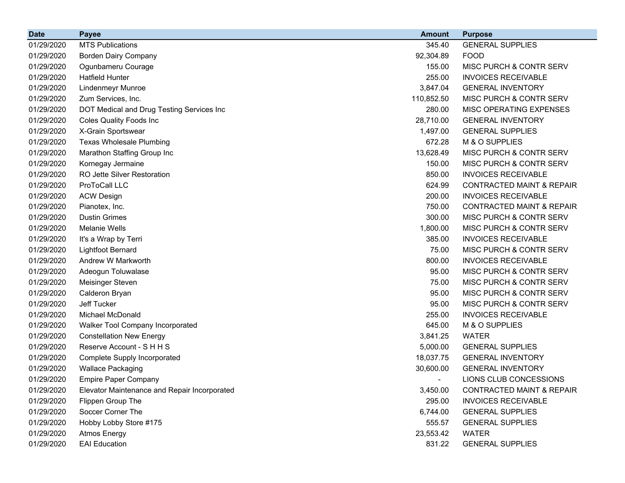| <b>Date</b> | <b>Payee</b>                                 | <b>Amount</b> | <b>Purpose</b>                       |
|-------------|----------------------------------------------|---------------|--------------------------------------|
| 01/29/2020  | <b>MTS Publications</b>                      | 345.40        | <b>GENERAL SUPPLIES</b>              |
| 01/29/2020  | <b>Borden Dairy Company</b>                  | 92,304.89     | <b>FOOD</b>                          |
| 01/29/2020  | Ogunbameru Courage                           | 155.00        | MISC PURCH & CONTR SERV              |
| 01/29/2020  | <b>Hatfield Hunter</b>                       | 255.00        | <b>INVOICES RECEIVABLE</b>           |
| 01/29/2020  | <b>Lindenmeyr Munroe</b>                     | 3,847.04      | <b>GENERAL INVENTORY</b>             |
| 01/29/2020  | Zum Services, Inc.                           | 110,852.50    | MISC PURCH & CONTR SERV              |
| 01/29/2020  | DOT Medical and Drug Testing Services Inc    | 280.00        | MISC OPERATING EXPENSES              |
| 01/29/2020  | <b>Coles Quality Foods Inc</b>               | 28,710.00     | <b>GENERAL INVENTORY</b>             |
| 01/29/2020  | X-Grain Sportswear                           | 1,497.00      | <b>GENERAL SUPPLIES</b>              |
| 01/29/2020  | <b>Texas Wholesale Plumbing</b>              | 672.28        | M & O SUPPLIES                       |
| 01/29/2020  | Marathon Staffing Group Inc                  | 13,628.49     | MISC PURCH & CONTR SERV              |
| 01/29/2020  | Kornegay Jermaine                            | 150.00        | MISC PURCH & CONTR SERV              |
| 01/29/2020  | RO Jette Silver Restoration                  | 850.00        | <b>INVOICES RECEIVABLE</b>           |
| 01/29/2020  | ProToCall LLC                                | 624.99        | <b>CONTRACTED MAINT &amp; REPAIR</b> |
| 01/29/2020  | <b>ACW Design</b>                            | 200.00        | <b>INVOICES RECEIVABLE</b>           |
| 01/29/2020  | Pianotex, Inc.                               | 750.00        | <b>CONTRACTED MAINT &amp; REPAIR</b> |
| 01/29/2020  | <b>Dustin Grimes</b>                         | 300.00        | MISC PURCH & CONTR SERV              |
| 01/29/2020  | <b>Melanie Wells</b>                         | 1,800.00      | MISC PURCH & CONTR SERV              |
| 01/29/2020  | It's a Wrap by Terri                         | 385.00        | <b>INVOICES RECEIVABLE</b>           |
| 01/29/2020  | <b>Lightfoot Bernard</b>                     | 75.00         | <b>MISC PURCH &amp; CONTR SERV</b>   |
| 01/29/2020  | Andrew W Markworth                           | 800.00        | <b>INVOICES RECEIVABLE</b>           |
| 01/29/2020  | Adeogun Toluwalase                           | 95.00         | MISC PURCH & CONTR SERV              |
| 01/29/2020  | <b>Meisinger Steven</b>                      | 75.00         | MISC PURCH & CONTR SERV              |
| 01/29/2020  | Calderon Bryan                               | 95.00         | MISC PURCH & CONTR SERV              |
| 01/29/2020  | Jeff Tucker                                  | 95.00         | <b>MISC PURCH &amp; CONTR SERV</b>   |
| 01/29/2020  | Michael McDonald                             | 255.00        | <b>INVOICES RECEIVABLE</b>           |
| 01/29/2020  | Walker Tool Company Incorporated             | 645.00        | M & O SUPPLIES                       |
| 01/29/2020  | <b>Constellation New Energy</b>              | 3,841.25      | <b>WATER</b>                         |
| 01/29/2020  | Reserve Account - S H H S                    | 5,000.00      | <b>GENERAL SUPPLIES</b>              |
| 01/29/2020  | Complete Supply Incorporated                 | 18,037.75     | <b>GENERAL INVENTORY</b>             |
| 01/29/2020  | <b>Wallace Packaging</b>                     | 30,600.00     | <b>GENERAL INVENTORY</b>             |
| 01/29/2020  | <b>Empire Paper Company</b>                  |               | LIONS CLUB CONCESSIONS               |
| 01/29/2020  | Elevator Maintenance and Repair Incorporated | 3,450.00      | <b>CONTRACTED MAINT &amp; REPAIR</b> |
| 01/29/2020  | Flippen Group The                            | 295.00        | <b>INVOICES RECEIVABLE</b>           |
| 01/29/2020  | Soccer Corner The                            | 6,744.00      | <b>GENERAL SUPPLIES</b>              |
| 01/29/2020  | Hobby Lobby Store #175                       | 555.57        | <b>GENERAL SUPPLIES</b>              |
| 01/29/2020  | <b>Atmos Energy</b>                          | 23,553.42     | <b>WATER</b>                         |
| 01/29/2020  | <b>EAI Education</b>                         | 831.22        | <b>GENERAL SUPPLIES</b>              |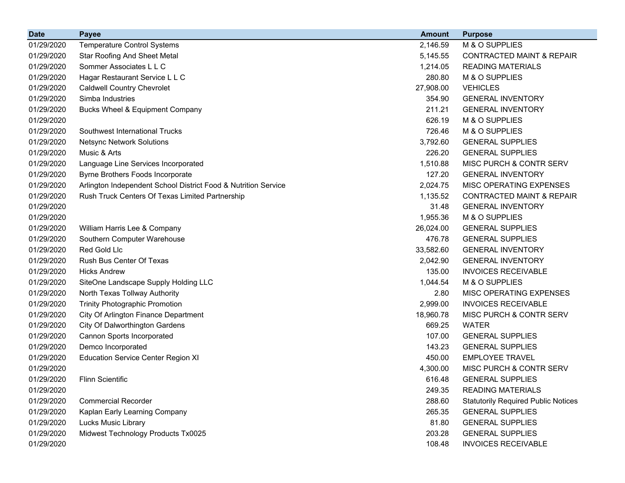| <b>Date</b> | <b>Payee</b>                                                   | <b>Amount</b> | <b>Purpose</b>                             |
|-------------|----------------------------------------------------------------|---------------|--------------------------------------------|
| 01/29/2020  | <b>Temperature Control Systems</b>                             | 2,146.59      | M & O SUPPLIES                             |
| 01/29/2020  | <b>Star Roofing And Sheet Metal</b>                            | 5,145.55      | <b>CONTRACTED MAINT &amp; REPAIR</b>       |
| 01/29/2020  | Sommer Associates L L C                                        | 1,214.05      | <b>READING MATERIALS</b>                   |
| 01/29/2020  | Hagar Restaurant Service L L C                                 | 280.80        | M & O SUPPLIES                             |
| 01/29/2020  | <b>Caldwell Country Chevrolet</b>                              | 27,908.00     | <b>VEHICLES</b>                            |
| 01/29/2020  | Simba Industries                                               | 354.90        | <b>GENERAL INVENTORY</b>                   |
| 01/29/2020  | <b>Bucks Wheel &amp; Equipment Company</b>                     | 211.21        | <b>GENERAL INVENTORY</b>                   |
| 01/29/2020  |                                                                | 626.19        | M & O SUPPLIES                             |
| 01/29/2020  | Southwest International Trucks                                 | 726.46        | M & O SUPPLIES                             |
| 01/29/2020  | <b>Netsync Network Solutions</b>                               | 3,792.60      | <b>GENERAL SUPPLIES</b>                    |
| 01/29/2020  | Music & Arts                                                   | 226.20        | <b>GENERAL SUPPLIES</b>                    |
| 01/29/2020  | Language Line Services Incorporated                            | 1,510.88      | MISC PURCH & CONTR SERV                    |
| 01/29/2020  | Byrne Brothers Foods Incorporate                               | 127.20        | <b>GENERAL INVENTORY</b>                   |
| 01/29/2020  | Arlington Independent School District Food & Nutrition Service | 2,024.75      | MISC OPERATING EXPENSES                    |
| 01/29/2020  | Rush Truck Centers Of Texas Limited Partnership                | 1,135.52      | <b>CONTRACTED MAINT &amp; REPAIR</b>       |
| 01/29/2020  |                                                                | 31.48         | <b>GENERAL INVENTORY</b>                   |
| 01/29/2020  |                                                                | 1,955.36      | M & O SUPPLIES                             |
| 01/29/2020  | William Harris Lee & Company                                   | 26,024.00     | <b>GENERAL SUPPLIES</b>                    |
| 01/29/2020  | Southern Computer Warehouse                                    | 476.78        | <b>GENERAL SUPPLIES</b>                    |
| 01/29/2020  | Red Gold Llc                                                   | 33,582.60     | <b>GENERAL INVENTORY</b>                   |
| 01/29/2020  | Rush Bus Center Of Texas                                       | 2,042.90      | <b>GENERAL INVENTORY</b>                   |
| 01/29/2020  | <b>Hicks Andrew</b>                                            | 135.00        | <b>INVOICES RECEIVABLE</b>                 |
| 01/29/2020  | SiteOne Landscape Supply Holding LLC                           | 1,044.54      | M & O SUPPLIES                             |
| 01/29/2020  | North Texas Tollway Authority                                  | 2.80          | MISC OPERATING EXPENSES                    |
| 01/29/2020  | <b>Trinity Photographic Promotion</b>                          | 2,999.00      | <b>INVOICES RECEIVABLE</b>                 |
| 01/29/2020  | City Of Arlington Finance Department                           | 18,960.78     | MISC PURCH & CONTR SERV                    |
| 01/29/2020  | <b>City Of Dalworthington Gardens</b>                          | 669.25        | <b>WATER</b>                               |
| 01/29/2020  | Cannon Sports Incorporated                                     | 107.00        | <b>GENERAL SUPPLIES</b>                    |
| 01/29/2020  | Demco Incorporated                                             | 143.23        | <b>GENERAL SUPPLIES</b>                    |
| 01/29/2020  | <b>Education Service Center Region XI</b>                      | 450.00        | <b>EMPLOYEE TRAVEL</b>                     |
| 01/29/2020  |                                                                | 4,300.00      | MISC PURCH & CONTR SERV                    |
| 01/29/2020  | <b>Flinn Scientific</b>                                        | 616.48        | <b>GENERAL SUPPLIES</b>                    |
| 01/29/2020  |                                                                | 249.35        | <b>READING MATERIALS</b>                   |
| 01/29/2020  | <b>Commercial Recorder</b>                                     | 288.60        | <b>Statutorily Required Public Notices</b> |
| 01/29/2020  | Kaplan Early Learning Company                                  | 265.35        | <b>GENERAL SUPPLIES</b>                    |
| 01/29/2020  | Lucks Music Library                                            | 81.80         | <b>GENERAL SUPPLIES</b>                    |
| 01/29/2020  | Midwest Technology Products Tx0025                             | 203.28        | <b>GENERAL SUPPLIES</b>                    |
| 01/29/2020  |                                                                | 108.48        | <b>INVOICES RECEIVABLE</b>                 |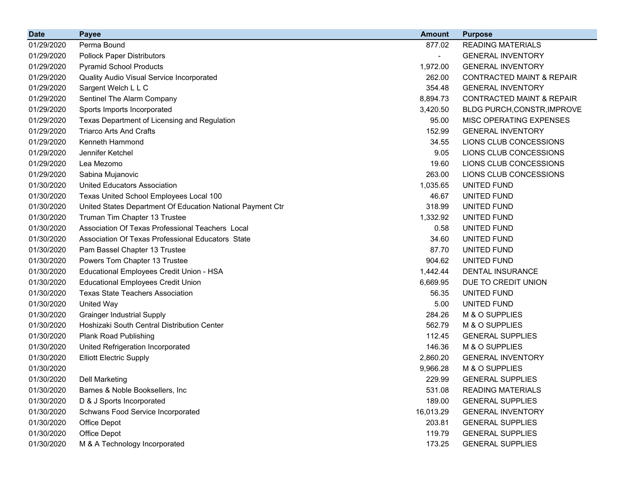| <b>Date</b> | <b>Payee</b>                                               | <b>Amount</b>            | <b>Purpose</b>                       |
|-------------|------------------------------------------------------------|--------------------------|--------------------------------------|
| 01/29/2020  | Perma Bound                                                | 877.02                   | <b>READING MATERIALS</b>             |
| 01/29/2020  | <b>Pollock Paper Distributors</b>                          | $\overline{\phantom{0}}$ | <b>GENERAL INVENTORY</b>             |
| 01/29/2020  | <b>Pyramid School Products</b>                             | 1,972.00                 | <b>GENERAL INVENTORY</b>             |
| 01/29/2020  | Quality Audio Visual Service Incorporated                  | 262.00                   | <b>CONTRACTED MAINT &amp; REPAIR</b> |
| 01/29/2020  | Sargent Welch L L C                                        | 354.48                   | <b>GENERAL INVENTORY</b>             |
| 01/29/2020  | Sentinel The Alarm Company                                 | 8,894.73                 | <b>CONTRACTED MAINT &amp; REPAIR</b> |
| 01/29/2020  | Sports Imports Incorporated                                | 3,420.50                 | BLDG PURCH, CONSTR, IMPROVE          |
| 01/29/2020  | Texas Department of Licensing and Regulation               | 95.00                    | MISC OPERATING EXPENSES              |
| 01/29/2020  | <b>Triarco Arts And Crafts</b>                             | 152.99                   | <b>GENERAL INVENTORY</b>             |
| 01/29/2020  | Kenneth Hammond                                            | 34.55                    | LIONS CLUB CONCESSIONS               |
| 01/29/2020  | Jennifer Ketchel                                           | 9.05                     | LIONS CLUB CONCESSIONS               |
| 01/29/2020  | Lea Mezomo                                                 | 19.60                    | LIONS CLUB CONCESSIONS               |
| 01/29/2020  | Sabina Mujanovic                                           | 263.00                   | LIONS CLUB CONCESSIONS               |
| 01/30/2020  | <b>United Educators Association</b>                        | 1,035.65                 | UNITED FUND                          |
| 01/30/2020  | Texas United School Employees Local 100                    | 46.67                    | UNITED FUND                          |
| 01/30/2020  | United States Department Of Education National Payment Ctr | 318.99                   | UNITED FUND                          |
| 01/30/2020  | Truman Tim Chapter 13 Trustee                              | 1,332.92                 | UNITED FUND                          |
| 01/30/2020  | Association Of Texas Professional Teachers Local           | 0.58                     | UNITED FUND                          |
| 01/30/2020  | Association Of Texas Professional Educators State          | 34.60                    | UNITED FUND                          |
| 01/30/2020  | Pam Bassel Chapter 13 Trustee                              | 87.70                    | UNITED FUND                          |
| 01/30/2020  | Powers Tom Chapter 13 Trustee                              | 904.62                   | UNITED FUND                          |
| 01/30/2020  | Educational Employees Credit Union - HSA                   | 1,442.44                 | <b>DENTAL INSURANCE</b>              |
| 01/30/2020  | <b>Educational Employees Credit Union</b>                  | 6,669.95                 | DUE TO CREDIT UNION                  |
| 01/30/2020  | <b>Texas State Teachers Association</b>                    | 56.35                    | UNITED FUND                          |
| 01/30/2020  | <b>United Way</b>                                          | 5.00                     | UNITED FUND                          |
| 01/30/2020  | <b>Grainger Industrial Supply</b>                          | 284.26                   | M & O SUPPLIES                       |
| 01/30/2020  | Hoshizaki South Central Distribution Center                | 562.79                   | M & O SUPPLIES                       |
| 01/30/2020  | <b>Plank Road Publishing</b>                               | 112.45                   | <b>GENERAL SUPPLIES</b>              |
| 01/30/2020  | United Refrigeration Incorporated                          | 146.36                   | M & O SUPPLIES                       |
| 01/30/2020  | <b>Elliott Electric Supply</b>                             | 2,860.20                 | <b>GENERAL INVENTORY</b>             |
| 01/30/2020  |                                                            | 9,966.28                 | M & O SUPPLIES                       |
| 01/30/2020  | <b>Dell Marketing</b>                                      | 229.99                   | <b>GENERAL SUPPLIES</b>              |
| 01/30/2020  | Barnes & Noble Booksellers, Inc.                           | 531.08                   | <b>READING MATERIALS</b>             |
| 01/30/2020  | D & J Sports Incorporated                                  | 189.00                   | <b>GENERAL SUPPLIES</b>              |
| 01/30/2020  | Schwans Food Service Incorporated                          | 16,013.29                | <b>GENERAL INVENTORY</b>             |
| 01/30/2020  | Office Depot                                               | 203.81                   | <b>GENERAL SUPPLIES</b>              |
| 01/30/2020  | Office Depot                                               | 119.79                   | <b>GENERAL SUPPLIES</b>              |
| 01/30/2020  | M & A Technology Incorporated                              | 173.25                   | <b>GENERAL SUPPLIES</b>              |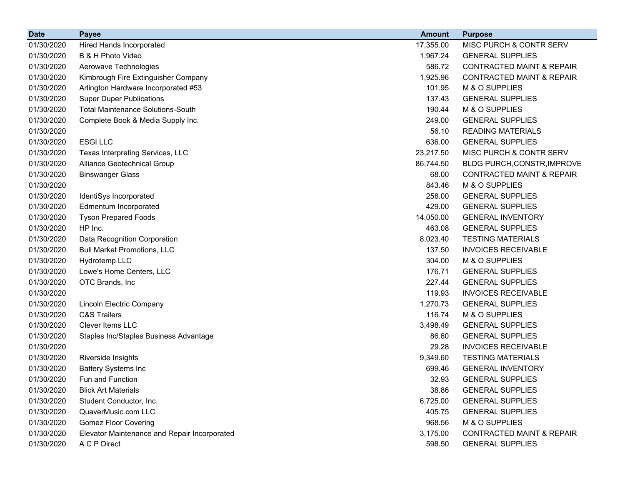| <b>Date</b> | <b>Payee</b>                                 | <b>Amount</b> | <b>Purpose</b>                       |
|-------------|----------------------------------------------|---------------|--------------------------------------|
| 01/30/2020  | <b>Hired Hands Incorporated</b>              | 17,355.00     | MISC PURCH & CONTR SERV              |
| 01/30/2020  | B & H Photo Video                            | 1,967.24      | <b>GENERAL SUPPLIES</b>              |
| 01/30/2020  | Aerowave Technologies                        | 586.72        | <b>CONTRACTED MAINT &amp; REPAIR</b> |
| 01/30/2020  | Kimbrough Fire Extinguisher Company          | 1,925.96      | <b>CONTRACTED MAINT &amp; REPAIR</b> |
| 01/30/2020  | Arlington Hardware Incorporated #53          | 101.95        | M & O SUPPLIES                       |
| 01/30/2020  | <b>Super Duper Publications</b>              | 137.43        | <b>GENERAL SUPPLIES</b>              |
| 01/30/2020  | <b>Total Maintenance Solutions-South</b>     | 190.44        | M & O SUPPLIES                       |
| 01/30/2020  | Complete Book & Media Supply Inc.            | 249.00        | <b>GENERAL SUPPLIES</b>              |
| 01/30/2020  |                                              | 56.10         | <b>READING MATERIALS</b>             |
| 01/30/2020  | <b>ESGILLC</b>                               | 636.00        | <b>GENERAL SUPPLIES</b>              |
| 01/30/2020  | Texas Interpreting Services, LLC             | 23,217.50     | MISC PURCH & CONTR SERV              |
| 01/30/2020  | Alliance Geotechnical Group                  | 86,744.50     | BLDG PURCH, CONSTR, IMPROVE          |
| 01/30/2020  | <b>Binswanger Glass</b>                      | 68.00         | <b>CONTRACTED MAINT &amp; REPAIR</b> |
| 01/30/2020  |                                              | 843.46        | M & O SUPPLIES                       |
| 01/30/2020  | IdentiSys Incorporated                       | 258.00        | <b>GENERAL SUPPLIES</b>              |
| 01/30/2020  | Edmentum Incorporated                        | 429.00        | <b>GENERAL SUPPLIES</b>              |
| 01/30/2020  | <b>Tyson Prepared Foods</b>                  | 14,050.00     | <b>GENERAL INVENTORY</b>             |
| 01/30/2020  | HP Inc.                                      | 463.08        | <b>GENERAL SUPPLIES</b>              |
| 01/30/2020  | Data Recognition Corporation                 | 8,023.40      | <b>TESTING MATERIALS</b>             |
| 01/30/2020  | <b>Bull Market Promotions, LLC</b>           | 137.50        | <b>INVOICES RECEIVABLE</b>           |
| 01/30/2020  | Hydrotemp LLC                                | 304.00        | M & O SUPPLIES                       |
| 01/30/2020  | Lowe's Home Centers, LLC                     | 176.71        | <b>GENERAL SUPPLIES</b>              |
| 01/30/2020  | OTC Brands, Inc                              | 227.44        | <b>GENERAL SUPPLIES</b>              |
| 01/30/2020  |                                              | 119.93        | <b>INVOICES RECEIVABLE</b>           |
| 01/30/2020  | Lincoln Electric Company                     | 1,270.73      | <b>GENERAL SUPPLIES</b>              |
| 01/30/2020  | <b>C&amp;S Trailers</b>                      | 116.74        | M & O SUPPLIES                       |
| 01/30/2020  | Clever Items LLC                             | 3,498.49      | <b>GENERAL SUPPLIES</b>              |
| 01/30/2020  | Staples Inc/Staples Business Advantage       | 86.60         | <b>GENERAL SUPPLIES</b>              |
| 01/30/2020  |                                              | 29.28         | <b>INVOICES RECEIVABLE</b>           |
| 01/30/2020  | Riverside Insights                           | 9,349.60      | <b>TESTING MATERIALS</b>             |
| 01/30/2020  | <b>Battery Systems Inc</b>                   | 699.46        | <b>GENERAL INVENTORY</b>             |
| 01/30/2020  | Fun and Function                             | 32.93         | <b>GENERAL SUPPLIES</b>              |
| 01/30/2020  | <b>Blick Art Materials</b>                   | 38.86         | <b>GENERAL SUPPLIES</b>              |
| 01/30/2020  | Student Conductor, Inc.                      | 6,725.00      | <b>GENERAL SUPPLIES</b>              |
| 01/30/2020  | QuaverMusic.com LLC                          | 405.75        | <b>GENERAL SUPPLIES</b>              |
| 01/30/2020  | <b>Gomez Floor Covering</b>                  | 968.56        | M & O SUPPLIES                       |
| 01/30/2020  | Elevator Maintenance and Repair Incorporated | 3,175.00      | <b>CONTRACTED MAINT &amp; REPAIR</b> |
| 01/30/2020  | A C P Direct                                 | 598.50        | <b>GENERAL SUPPLIES</b>              |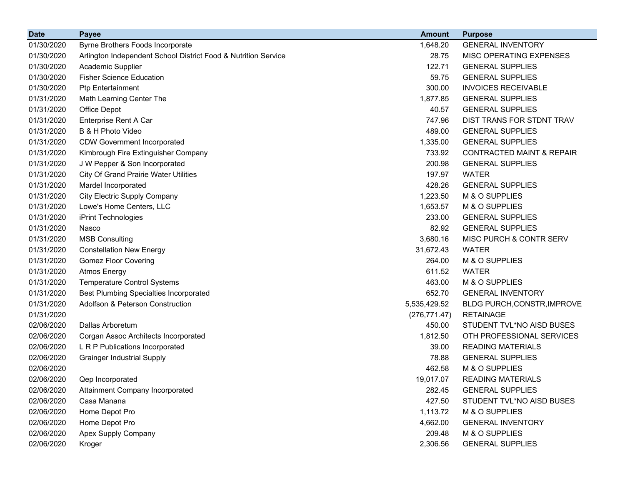| <b>Date</b> | <b>Payee</b>                                                   | <b>Amount</b> | <b>Purpose</b>                       |
|-------------|----------------------------------------------------------------|---------------|--------------------------------------|
| 01/30/2020  | Byrne Brothers Foods Incorporate                               | 1,648.20      | <b>GENERAL INVENTORY</b>             |
| 01/30/2020  | Arlington Independent School District Food & Nutrition Service | 28.75         | MISC OPERATING EXPENSES              |
| 01/30/2020  | Academic Supplier                                              | 122.71        | <b>GENERAL SUPPLIES</b>              |
| 01/30/2020  | <b>Fisher Science Education</b>                                | 59.75         | <b>GENERAL SUPPLIES</b>              |
| 01/30/2020  | <b>Ptp Entertainment</b>                                       | 300.00        | <b>INVOICES RECEIVABLE</b>           |
| 01/31/2020  | Math Learning Center The                                       | 1,877.85      | <b>GENERAL SUPPLIES</b>              |
| 01/31/2020  | Office Depot                                                   | 40.57         | <b>GENERAL SUPPLIES</b>              |
| 01/31/2020  | Enterprise Rent A Car                                          | 747.96        | DIST TRANS FOR STDNT TRAV            |
| 01/31/2020  | B & H Photo Video                                              | 489.00        | <b>GENERAL SUPPLIES</b>              |
| 01/31/2020  | <b>CDW Government Incorporated</b>                             | 1,335.00      | <b>GENERAL SUPPLIES</b>              |
| 01/31/2020  | Kimbrough Fire Extinguisher Company                            | 733.92        | <b>CONTRACTED MAINT &amp; REPAIR</b> |
| 01/31/2020  | J W Pepper & Son Incorporated                                  | 200.98        | <b>GENERAL SUPPLIES</b>              |
| 01/31/2020  | <b>City Of Grand Prairie Water Utilities</b>                   | 197.97        | <b>WATER</b>                         |
| 01/31/2020  | Mardel Incorporated                                            | 428.26        | <b>GENERAL SUPPLIES</b>              |
| 01/31/2020  | <b>City Electric Supply Company</b>                            | 1,223.50      | M & O SUPPLIES                       |
| 01/31/2020  | Lowe's Home Centers, LLC                                       | 1,653.57      | M & O SUPPLIES                       |
| 01/31/2020  | iPrint Technologies                                            | 233.00        | <b>GENERAL SUPPLIES</b>              |
| 01/31/2020  | Nasco                                                          | 82.92         | <b>GENERAL SUPPLIES</b>              |
| 01/31/2020  | <b>MSB Consulting</b>                                          | 3,680.16      | MISC PURCH & CONTR SERV              |
| 01/31/2020  | <b>Constellation New Energy</b>                                | 31,672.43     | <b>WATER</b>                         |
| 01/31/2020  | <b>Gomez Floor Covering</b>                                    | 264.00        | M & O SUPPLIES                       |
| 01/31/2020  | <b>Atmos Energy</b>                                            | 611.52        | <b>WATER</b>                         |
| 01/31/2020  | <b>Temperature Control Systems</b>                             | 463.00        | M & O SUPPLIES                       |
| 01/31/2020  | <b>Best Plumbing Specialties Incorporated</b>                  | 652.70        | <b>GENERAL INVENTORY</b>             |
| 01/31/2020  | Adolfson & Peterson Construction                               | 5,535,429.52  | BLDG PURCH, CONSTR, IMPROVE          |
| 01/31/2020  |                                                                | (276, 771.47) | <b>RETAINAGE</b>                     |
| 02/06/2020  | Dallas Arboretum                                               | 450.00        | STUDENT TVL*NO AISD BUSES            |
| 02/06/2020  | Corgan Assoc Architects Incorporated                           | 1,812.50      | OTH PROFESSIONAL SERVICES            |
| 02/06/2020  | L R P Publications Incorporated                                | 39.00         | <b>READING MATERIALS</b>             |
| 02/06/2020  | <b>Grainger Industrial Supply</b>                              | 78.88         | <b>GENERAL SUPPLIES</b>              |
| 02/06/2020  |                                                                | 462.58        | M & O SUPPLIES                       |
| 02/06/2020  | <b>Qep Incorporated</b>                                        | 19,017.07     | <b>READING MATERIALS</b>             |
| 02/06/2020  | Attainment Company Incorporated                                | 282.45        | <b>GENERAL SUPPLIES</b>              |
| 02/06/2020  | Casa Manana                                                    | 427.50        | STUDENT TVL*NO AISD BUSES            |
| 02/06/2020  | Home Depot Pro                                                 | 1,113.72      | M & O SUPPLIES                       |
| 02/06/2020  | Home Depot Pro                                                 | 4,662.00      | <b>GENERAL INVENTORY</b>             |
| 02/06/2020  | Apex Supply Company                                            | 209.48        | M & O SUPPLIES                       |
| 02/06/2020  | Kroger                                                         | 2,306.56      | <b>GENERAL SUPPLIES</b>              |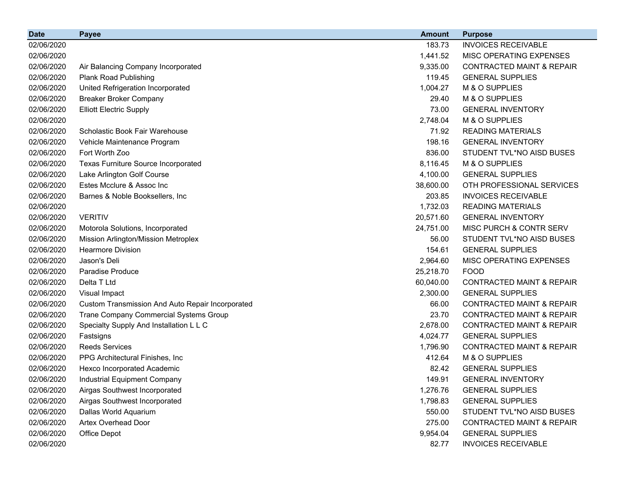| <b>Date</b> | <b>Payee</b>                                     | <b>Amount</b> | <b>Purpose</b>                       |
|-------------|--------------------------------------------------|---------------|--------------------------------------|
| 02/06/2020  |                                                  | 183.73        | <b>INVOICES RECEIVABLE</b>           |
| 02/06/2020  |                                                  | 1,441.52      | MISC OPERATING EXPENSES              |
| 02/06/2020  | Air Balancing Company Incorporated               | 9,335.00      | <b>CONTRACTED MAINT &amp; REPAIR</b> |
| 02/06/2020  | <b>Plank Road Publishing</b>                     | 119.45        | <b>GENERAL SUPPLIES</b>              |
| 02/06/2020  | United Refrigeration Incorporated                | 1,004.27      | M & O SUPPLIES                       |
| 02/06/2020  | <b>Breaker Broker Company</b>                    | 29.40         | M & O SUPPLIES                       |
| 02/06/2020  | <b>Elliott Electric Supply</b>                   | 73.00         | <b>GENERAL INVENTORY</b>             |
| 02/06/2020  |                                                  | 2,748.04      | M & O SUPPLIES                       |
| 02/06/2020  | Scholastic Book Fair Warehouse                   | 71.92         | <b>READING MATERIALS</b>             |
| 02/06/2020  | Vehicle Maintenance Program                      | 198.16        | <b>GENERAL INVENTORY</b>             |
| 02/06/2020  | Fort Worth Zoo                                   | 836.00        | STUDENT TVL*NO AISD BUSES            |
| 02/06/2020  | <b>Texas Furniture Source Incorporated</b>       | 8,116.45      | M & O SUPPLIES                       |
| 02/06/2020  | Lake Arlington Golf Course                       | 4,100.00      | <b>GENERAL SUPPLIES</b>              |
| 02/06/2020  | Estes Mcclure & Assoc Inc                        | 38,600.00     | OTH PROFESSIONAL SERVICES            |
| 02/06/2020  | Barnes & Noble Booksellers, Inc.                 | 203.85        | <b>INVOICES RECEIVABLE</b>           |
| 02/06/2020  |                                                  | 1,732.03      | <b>READING MATERIALS</b>             |
| 02/06/2020  | <b>VERITIV</b>                                   | 20,571.60     | <b>GENERAL INVENTORY</b>             |
| 02/06/2020  | Motorola Solutions, Incorporated                 | 24,751.00     | MISC PURCH & CONTR SERV              |
| 02/06/2020  | Mission Arlington/Mission Metroplex              | 56.00         | STUDENT TVL*NO AISD BUSES            |
| 02/06/2020  | <b>Hearmore Division</b>                         | 154.61        | <b>GENERAL SUPPLIES</b>              |
| 02/06/2020  | Jason's Deli                                     | 2,964.60      | MISC OPERATING EXPENSES              |
| 02/06/2020  | <b>Paradise Produce</b>                          | 25,218.70     | <b>FOOD</b>                          |
| 02/06/2020  | Delta T Ltd                                      | 60,040.00     | <b>CONTRACTED MAINT &amp; REPAIR</b> |
| 02/06/2020  | Visual Impact                                    | 2,300.00      | <b>GENERAL SUPPLIES</b>              |
| 02/06/2020  | Custom Transmission And Auto Repair Incorporated | 66.00         | <b>CONTRACTED MAINT &amp; REPAIR</b> |
| 02/06/2020  | Trane Company Commercial Systems Group           | 23.70         | <b>CONTRACTED MAINT &amp; REPAIR</b> |
| 02/06/2020  | Specialty Supply And Installation L L C          | 2,678.00      | <b>CONTRACTED MAINT &amp; REPAIR</b> |
| 02/06/2020  | Fastsigns                                        | 4,024.77      | <b>GENERAL SUPPLIES</b>              |
| 02/06/2020  | <b>Reeds Services</b>                            | 1,796.90      | <b>CONTRACTED MAINT &amp; REPAIR</b> |
| 02/06/2020  | PPG Architectural Finishes, Inc.                 | 412.64        | M & O SUPPLIES                       |
| 02/06/2020  | Hexco Incorporated Academic                      | 82.42         | <b>GENERAL SUPPLIES</b>              |
| 02/06/2020  | Industrial Equipment Company                     | 149.91        | <b>GENERAL INVENTORY</b>             |
| 02/06/2020  | Airgas Southwest Incorporated                    | 1,276.76      | <b>GENERAL SUPPLIES</b>              |
| 02/06/2020  | Airgas Southwest Incorporated                    | 1,798.83      | <b>GENERAL SUPPLIES</b>              |
| 02/06/2020  | Dallas World Aquarium                            | 550.00        | STUDENT TVL*NO AISD BUSES            |
| 02/06/2020  | Artex Overhead Door                              | 275.00        | <b>CONTRACTED MAINT &amp; REPAIR</b> |
| 02/06/2020  | Office Depot                                     | 9,954.04      | <b>GENERAL SUPPLIES</b>              |
| 02/06/2020  |                                                  | 82.77         | <b>INVOICES RECEIVABLE</b>           |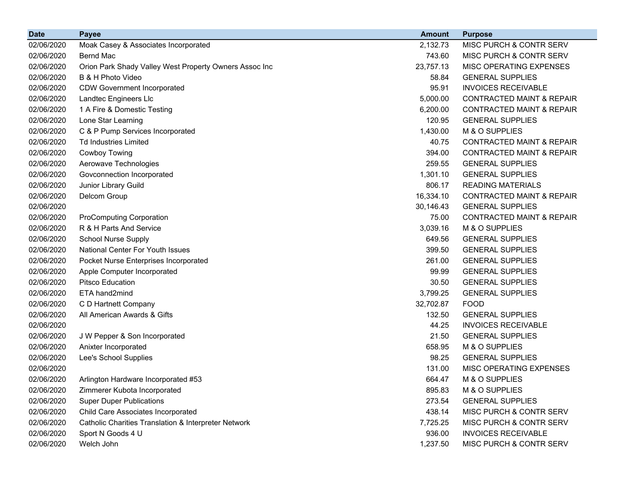| <b>Date</b> | <b>Payee</b>                                           | <b>Amount</b> | <b>Purpose</b>                       |
|-------------|--------------------------------------------------------|---------------|--------------------------------------|
| 02/06/2020  | Moak Casey & Associates Incorporated                   | 2,132.73      | MISC PURCH & CONTR SERV              |
| 02/06/2020  | <b>Bernd Mac</b>                                       | 743.60        | MISC PURCH & CONTR SERV              |
| 02/06/2020  | Orion Park Shady Valley West Property Owners Assoc Inc | 23,757.13     | MISC OPERATING EXPENSES              |
| 02/06/2020  | B & H Photo Video                                      | 58.84         | <b>GENERAL SUPPLIES</b>              |
| 02/06/2020  | <b>CDW Government Incorporated</b>                     | 95.91         | <b>INVOICES RECEIVABLE</b>           |
| 02/06/2020  | Landtec Engineers Llc                                  | 5,000.00      | <b>CONTRACTED MAINT &amp; REPAIR</b> |
| 02/06/2020  | 1 A Fire & Domestic Testing                            | 6,200.00      | <b>CONTRACTED MAINT &amp; REPAIR</b> |
| 02/06/2020  | Lone Star Learning                                     | 120.95        | <b>GENERAL SUPPLIES</b>              |
| 02/06/2020  | C & P Pump Services Incorporated                       | 1,430.00      | M & O SUPPLIES                       |
| 02/06/2020  | <b>Td Industries Limited</b>                           | 40.75         | <b>CONTRACTED MAINT &amp; REPAIR</b> |
| 02/06/2020  | Cowboy Towing                                          | 394.00        | <b>CONTRACTED MAINT &amp; REPAIR</b> |
| 02/06/2020  | Aerowave Technologies                                  | 259.55        | <b>GENERAL SUPPLIES</b>              |
| 02/06/2020  | Govconnection Incorporated                             | 1,301.10      | <b>GENERAL SUPPLIES</b>              |
| 02/06/2020  | Junior Library Guild                                   | 806.17        | <b>READING MATERIALS</b>             |
| 02/06/2020  | Delcom Group                                           | 16,334.10     | <b>CONTRACTED MAINT &amp; REPAIR</b> |
| 02/06/2020  |                                                        | 30,146.43     | <b>GENERAL SUPPLIES</b>              |
| 02/06/2020  | <b>ProComputing Corporation</b>                        | 75.00         | <b>CONTRACTED MAINT &amp; REPAIR</b> |
| 02/06/2020  | R & H Parts And Service                                | 3,039.16      | M & O SUPPLIES                       |
| 02/06/2020  | <b>School Nurse Supply</b>                             | 649.56        | <b>GENERAL SUPPLIES</b>              |
| 02/06/2020  | National Center For Youth Issues                       | 399.50        | <b>GENERAL SUPPLIES</b>              |
| 02/06/2020  | Pocket Nurse Enterprises Incorporated                  | 261.00        | <b>GENERAL SUPPLIES</b>              |
| 02/06/2020  | Apple Computer Incorporated                            | 99.99         | <b>GENERAL SUPPLIES</b>              |
| 02/06/2020  | <b>Pitsco Education</b>                                | 30.50         | <b>GENERAL SUPPLIES</b>              |
| 02/06/2020  | ETA hand2mind                                          | 3,799.25      | <b>GENERAL SUPPLIES</b>              |
| 02/06/2020  | C D Hartnett Company                                   | 32,702.87     | <b>FOOD</b>                          |
| 02/06/2020  | All American Awards & Gifts                            | 132.50        | <b>GENERAL SUPPLIES</b>              |
| 02/06/2020  |                                                        | 44.25         | <b>INVOICES RECEIVABLE</b>           |
| 02/06/2020  | J W Pepper & Son Incorporated                          | 21.50         | <b>GENERAL SUPPLIES</b>              |
| 02/06/2020  | Anixter Incorporated                                   | 658.95        | M & O SUPPLIES                       |
| 02/06/2020  | Lee's School Supplies                                  | 98.25         | <b>GENERAL SUPPLIES</b>              |
| 02/06/2020  |                                                        | 131.00        | MISC OPERATING EXPENSES              |
| 02/06/2020  | Arlington Hardware Incorporated #53                    | 664.47        | M & O SUPPLIES                       |
| 02/06/2020  | Zimmerer Kubota Incorporated                           | 895.83        | M & O SUPPLIES                       |
| 02/06/2020  | <b>Super Duper Publications</b>                        | 273.54        | <b>GENERAL SUPPLIES</b>              |
| 02/06/2020  | Child Care Associates Incorporated                     | 438.14        | MISC PURCH & CONTR SERV              |
| 02/06/2020  | Catholic Charities Translation & Interpreter Network   | 7,725.25      | MISC PURCH & CONTR SERV              |
| 02/06/2020  | Sport N Goods 4 U                                      | 936.00        | <b>INVOICES RECEIVABLE</b>           |
| 02/06/2020  | Welch John                                             | 1,237.50      | MISC PURCH & CONTR SERV              |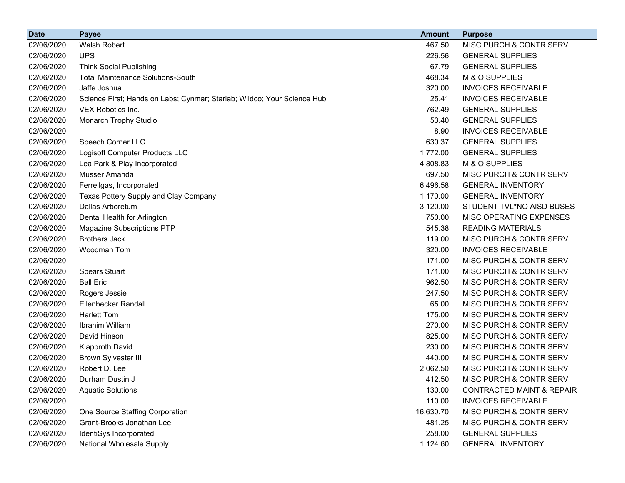| <b>Date</b> | <b>Payee</b>                                                            | <b>Amount</b> | <b>Purpose</b>                       |
|-------------|-------------------------------------------------------------------------|---------------|--------------------------------------|
| 02/06/2020  | Walsh Robert                                                            | 467.50        | MISC PURCH & CONTR SERV              |
| 02/06/2020  | <b>UPS</b>                                                              | 226.56        | <b>GENERAL SUPPLIES</b>              |
| 02/06/2020  | <b>Think Social Publishing</b>                                          | 67.79         | <b>GENERAL SUPPLIES</b>              |
| 02/06/2020  | <b>Total Maintenance Solutions-South</b>                                | 468.34        | M & O SUPPLIES                       |
| 02/06/2020  | Jaffe Joshua                                                            | 320.00        | <b>INVOICES RECEIVABLE</b>           |
| 02/06/2020  | Science First; Hands on Labs; Cynmar; Starlab; Wildco; Your Science Hub | 25.41         | <b>INVOICES RECEIVABLE</b>           |
| 02/06/2020  | VEX Robotics Inc.                                                       | 762.49        | <b>GENERAL SUPPLIES</b>              |
| 02/06/2020  | Monarch Trophy Studio                                                   | 53.40         | <b>GENERAL SUPPLIES</b>              |
| 02/06/2020  |                                                                         | 8.90          | <b>INVOICES RECEIVABLE</b>           |
| 02/06/2020  | Speech Corner LLC                                                       | 630.37        | <b>GENERAL SUPPLIES</b>              |
| 02/06/2020  | Logisoft Computer Products LLC                                          | 1,772.00      | <b>GENERAL SUPPLIES</b>              |
| 02/06/2020  | Lea Park & Play Incorporated                                            | 4,808.83      | M & O SUPPLIES                       |
| 02/06/2020  | Musser Amanda                                                           | 697.50        | MISC PURCH & CONTR SERV              |
| 02/06/2020  | Ferrellgas, Incorporated                                                | 6,496.58      | <b>GENERAL INVENTORY</b>             |
| 02/06/2020  | Texas Pottery Supply and Clay Company                                   | 1,170.00      | <b>GENERAL INVENTORY</b>             |
| 02/06/2020  | Dallas Arboretum                                                        | 3,120.00      | STUDENT TVL*NO AISD BUSES            |
| 02/06/2020  | Dental Health for Arlington                                             | 750.00        | MISC OPERATING EXPENSES              |
| 02/06/2020  | <b>Magazine Subscriptions PTP</b>                                       | 545.38        | <b>READING MATERIALS</b>             |
| 02/06/2020  | <b>Brothers Jack</b>                                                    | 119.00        | MISC PURCH & CONTR SERV              |
| 02/06/2020  | Woodman Tom                                                             | 320.00        | <b>INVOICES RECEIVABLE</b>           |
| 02/06/2020  |                                                                         | 171.00        | MISC PURCH & CONTR SERV              |
| 02/06/2020  | <b>Spears Stuart</b>                                                    | 171.00        | MISC PURCH & CONTR SERV              |
| 02/06/2020  | <b>Ball Eric</b>                                                        | 962.50        | MISC PURCH & CONTR SERV              |
| 02/06/2020  | Rogers Jessie                                                           | 247.50        | MISC PURCH & CONTR SERV              |
| 02/06/2020  | Ellenbecker Randall                                                     | 65.00         | MISC PURCH & CONTR SERV              |
| 02/06/2020  | <b>Harlett Tom</b>                                                      | 175.00        | MISC PURCH & CONTR SERV              |
| 02/06/2020  | Ibrahim William                                                         | 270.00        | MISC PURCH & CONTR SERV              |
| 02/06/2020  | David Hinson                                                            | 825.00        | MISC PURCH & CONTR SERV              |
| 02/06/2020  | <b>Klapproth David</b>                                                  | 230.00        | MISC PURCH & CONTR SERV              |
| 02/06/2020  | <b>Brown Sylvester III</b>                                              | 440.00        | MISC PURCH & CONTR SERV              |
| 02/06/2020  | Robert D. Lee                                                           | 2,062.50      | MISC PURCH & CONTR SERV              |
| 02/06/2020  | Durham Dustin J                                                         | 412.50        | MISC PURCH & CONTR SERV              |
| 02/06/2020  | <b>Aquatic Solutions</b>                                                | 130.00        | <b>CONTRACTED MAINT &amp; REPAIR</b> |
| 02/06/2020  |                                                                         | 110.00        | <b>INVOICES RECEIVABLE</b>           |
| 02/06/2020  | One Source Staffing Corporation                                         | 16,630.70     | MISC PURCH & CONTR SERV              |
| 02/06/2020  | Grant-Brooks Jonathan Lee                                               | 481.25        | MISC PURCH & CONTR SERV              |
| 02/06/2020  | IdentiSys Incorporated                                                  | 258.00        | <b>GENERAL SUPPLIES</b>              |
| 02/06/2020  | National Wholesale Supply                                               | 1,124.60      | <b>GENERAL INVENTORY</b>             |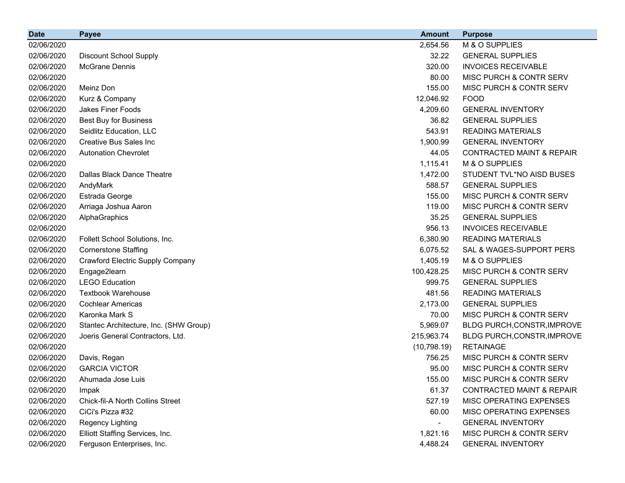| <b>Date</b> | <b>Payee</b>                           | <b>Amount</b> | <b>Purpose</b>                       |
|-------------|----------------------------------------|---------------|--------------------------------------|
| 02/06/2020  |                                        | 2,654.56      | M & O SUPPLIES                       |
| 02/06/2020  | <b>Discount School Supply</b>          | 32.22         | <b>GENERAL SUPPLIES</b>              |
| 02/06/2020  | <b>McGrane Dennis</b>                  | 320.00        | <b>INVOICES RECEIVABLE</b>           |
| 02/06/2020  |                                        | 80.00         | MISC PURCH & CONTR SERV              |
| 02/06/2020  | Meinz Don                              | 155.00        | MISC PURCH & CONTR SERV              |
| 02/06/2020  | Kurz & Company                         | 12,046.92     | <b>FOOD</b>                          |
| 02/06/2020  | Jakes Finer Foods                      | 4,209.60      | <b>GENERAL INVENTORY</b>             |
| 02/06/2020  | Best Buy for Business                  | 36.82         | <b>GENERAL SUPPLIES</b>              |
| 02/06/2020  | Seidlitz Education, LLC                | 543.91        | <b>READING MATERIALS</b>             |
| 02/06/2020  | <b>Creative Bus Sales Inc.</b>         | 1,900.99      | <b>GENERAL INVENTORY</b>             |
| 02/06/2020  | <b>Autonation Chevrolet</b>            | 44.05         | <b>CONTRACTED MAINT &amp; REPAIR</b> |
| 02/06/2020  |                                        | 1,115.41      | M & O SUPPLIES                       |
| 02/06/2020  | Dallas Black Dance Theatre             | 1,472.00      | STUDENT TVL*NO AISD BUSES            |
| 02/06/2020  | AndyMark                               | 588.57        | <b>GENERAL SUPPLIES</b>              |
| 02/06/2020  | Estrada George                         | 155.00        | MISC PURCH & CONTR SERV              |
| 02/06/2020  | Arriaga Joshua Aaron                   | 119.00        | MISC PURCH & CONTR SERV              |
| 02/06/2020  | AlphaGraphics                          | 35.25         | <b>GENERAL SUPPLIES</b>              |
| 02/06/2020  |                                        | 956.13        | <b>INVOICES RECEIVABLE</b>           |
| 02/06/2020  | Follett School Solutions, Inc.         | 6,380.90      | <b>READING MATERIALS</b>             |
| 02/06/2020  | <b>Cornerstone Staffing</b>            | 6,075.52      | SAL & WAGES-SUPPORT PERS             |
| 02/06/2020  | Crawford Electric Supply Company       | 1,405.19      | M & O SUPPLIES                       |
| 02/06/2020  | Engage2learn                           | 100,428.25    | <b>MISC PURCH &amp; CONTR SERV</b>   |
| 02/06/2020  | <b>LEGO Education</b>                  | 999.75        | <b>GENERAL SUPPLIES</b>              |
| 02/06/2020  | <b>Textbook Warehouse</b>              | 481.56        | <b>READING MATERIALS</b>             |
| 02/06/2020  | <b>Cochlear Americas</b>               | 2,173.00      | <b>GENERAL SUPPLIES</b>              |
| 02/06/2020  | Karonka Mark S                         | 70.00         | MISC PURCH & CONTR SERV              |
| 02/06/2020  | Stantec Architecture, Inc. (SHW Group) | 5,969.07      | BLDG PURCH, CONSTR, IMPROVE          |
| 02/06/2020  | Joeris General Contractors, Ltd.       | 215,963.74    | BLDG PURCH, CONSTR, IMPROVE          |
| 02/06/2020  |                                        | (10, 798.19)  | <b>RETAINAGE</b>                     |
| 02/06/2020  | Davis, Regan                           | 756.25        | <b>MISC PURCH &amp; CONTR SERV</b>   |
| 02/06/2020  | <b>GARCIA VICTOR</b>                   | 95.00         | MISC PURCH & CONTR SERV              |
| 02/06/2020  | Ahumada Jose Luis                      | 155.00        | MISC PURCH & CONTR SERV              |
| 02/06/2020  | Impak                                  | 61.37         | <b>CONTRACTED MAINT &amp; REPAIR</b> |
| 02/06/2020  | Chick-fil-A North Collins Street       | 527.19        | MISC OPERATING EXPENSES              |
| 02/06/2020  | CiCi's Pizza #32                       | 60.00         | MISC OPERATING EXPENSES              |
| 02/06/2020  | <b>Regency Lighting</b>                |               | <b>GENERAL INVENTORY</b>             |
| 02/06/2020  | Elliott Staffing Services, Inc.        | 1,821.16      | MISC PURCH & CONTR SERV              |
| 02/06/2020  | Ferguson Enterprises, Inc.             | 4,488.24      | <b>GENERAL INVENTORY</b>             |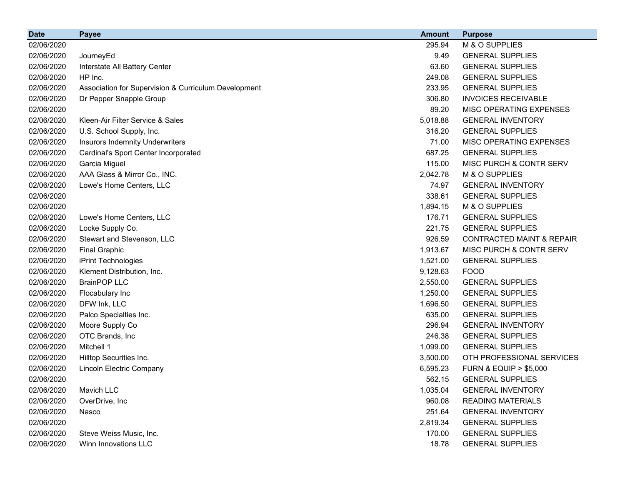| <b>Date</b> | <b>Payee</b>                                         | <b>Amount</b> | <b>Purpose</b>                       |
|-------------|------------------------------------------------------|---------------|--------------------------------------|
| 02/06/2020  |                                                      | 295.94        | M & O SUPPLIES                       |
| 02/06/2020  | JourneyEd                                            | 9.49          | <b>GENERAL SUPPLIES</b>              |
| 02/06/2020  | Interstate All Battery Center                        | 63.60         | <b>GENERAL SUPPLIES</b>              |
| 02/06/2020  | HP Inc.                                              | 249.08        | <b>GENERAL SUPPLIES</b>              |
| 02/06/2020  | Association for Supervision & Curriculum Development | 233.95        | <b>GENERAL SUPPLIES</b>              |
| 02/06/2020  | Dr Pepper Snapple Group                              | 306.80        | <b>INVOICES RECEIVABLE</b>           |
| 02/06/2020  |                                                      | 89.20         | MISC OPERATING EXPENSES              |
| 02/06/2020  | Kleen-Air Filter Service & Sales                     | 5,018.88      | <b>GENERAL INVENTORY</b>             |
| 02/06/2020  | U.S. School Supply, Inc.                             | 316.20        | <b>GENERAL SUPPLIES</b>              |
| 02/06/2020  | <b>Insurors Indemnity Underwriters</b>               | 71.00         | MISC OPERATING EXPENSES              |
| 02/06/2020  | Cardinal's Sport Center Incorporated                 | 687.25        | <b>GENERAL SUPPLIES</b>              |
| 02/06/2020  | Garcia Miguel                                        | 115.00        | MISC PURCH & CONTR SERV              |
| 02/06/2020  | AAA Glass & Mirror Co., INC.                         | 2,042.78      | M & O SUPPLIES                       |
| 02/06/2020  | Lowe's Home Centers, LLC                             | 74.97         | <b>GENERAL INVENTORY</b>             |
| 02/06/2020  |                                                      | 338.61        | <b>GENERAL SUPPLIES</b>              |
| 02/06/2020  |                                                      | 1,894.15      | M & O SUPPLIES                       |
| 02/06/2020  | Lowe's Home Centers, LLC                             | 176.71        | <b>GENERAL SUPPLIES</b>              |
| 02/06/2020  | Locke Supply Co.                                     | 221.75        | <b>GENERAL SUPPLIES</b>              |
| 02/06/2020  | Stewart and Stevenson, LLC                           | 926.59        | <b>CONTRACTED MAINT &amp; REPAIR</b> |
| 02/06/2020  | <b>Final Graphic</b>                                 | 1,913.67      | MISC PURCH & CONTR SERV              |
| 02/06/2020  | iPrint Technologies                                  | 1,521.00      | <b>GENERAL SUPPLIES</b>              |
| 02/06/2020  | Klement Distribution, Inc.                           | 9,128.63      | <b>FOOD</b>                          |
| 02/06/2020  | <b>BrainPOP LLC</b>                                  | 2,550.00      | <b>GENERAL SUPPLIES</b>              |
| 02/06/2020  | Flocabulary Inc                                      | 1,250.00      | <b>GENERAL SUPPLIES</b>              |
| 02/06/2020  | DFW Ink, LLC                                         | 1,696.50      | <b>GENERAL SUPPLIES</b>              |
| 02/06/2020  | Palco Specialties Inc.                               | 635.00        | <b>GENERAL SUPPLIES</b>              |
| 02/06/2020  | Moore Supply Co                                      | 296.94        | <b>GENERAL INVENTORY</b>             |
| 02/06/2020  | OTC Brands, Inc                                      | 246.38        | <b>GENERAL SUPPLIES</b>              |
| 02/06/2020  | Mitchell 1                                           | 1,099.00      | <b>GENERAL SUPPLIES</b>              |
| 02/06/2020  | Hilltop Securities Inc.                              | 3,500.00      | OTH PROFESSIONAL SERVICES            |
| 02/06/2020  | Lincoln Electric Company                             | 6,595.23      | <b>FURN &amp; EQUIP &gt; \$5,000</b> |
| 02/06/2020  |                                                      | 562.15        | <b>GENERAL SUPPLIES</b>              |
| 02/06/2020  | Mavich LLC                                           | 1,035.04      | <b>GENERAL INVENTORY</b>             |
| 02/06/2020  | OverDrive, Inc                                       | 960.08        | <b>READING MATERIALS</b>             |
| 02/06/2020  | Nasco                                                | 251.64        | <b>GENERAL INVENTORY</b>             |
| 02/06/2020  |                                                      | 2,819.34      | <b>GENERAL SUPPLIES</b>              |
| 02/06/2020  | Steve Weiss Music, Inc.                              | 170.00        | <b>GENERAL SUPPLIES</b>              |
| 02/06/2020  | Winn Innovations LLC                                 | 18.78         | <b>GENERAL SUPPLIES</b>              |
|             |                                                      |               |                                      |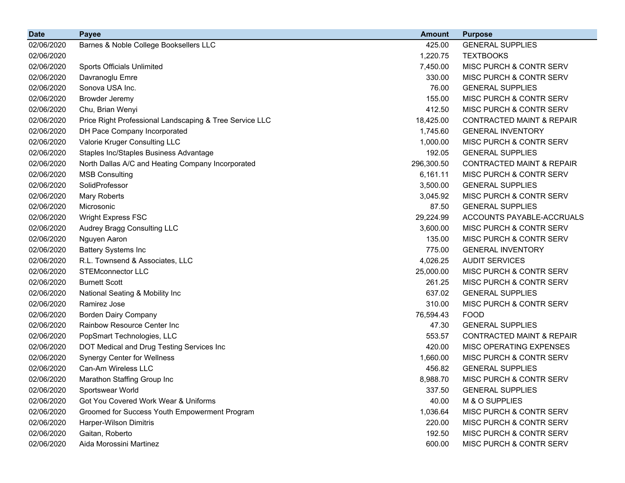| <b>Date</b> | <b>Payee</b>                                            | <b>Amount</b> | <b>Purpose</b>                       |
|-------------|---------------------------------------------------------|---------------|--------------------------------------|
| 02/06/2020  | Barnes & Noble College Booksellers LLC                  | 425.00        | <b>GENERAL SUPPLIES</b>              |
| 02/06/2020  |                                                         | 1,220.75      | <b>TEXTBOOKS</b>                     |
| 02/06/2020  | <b>Sports Officials Unlimited</b>                       | 7,450.00      | MISC PURCH & CONTR SERV              |
| 02/06/2020  | Davranoglu Emre                                         | 330.00        | MISC PURCH & CONTR SERV              |
| 02/06/2020  | Sonova USA Inc.                                         | 76.00         | <b>GENERAL SUPPLIES</b>              |
| 02/06/2020  | <b>Browder Jeremy</b>                                   | 155.00        | MISC PURCH & CONTR SERV              |
| 02/06/2020  | Chu, Brian Wenyi                                        | 412.50        | MISC PURCH & CONTR SERV              |
| 02/06/2020  | Price Right Professional Landscaping & Tree Service LLC | 18,425.00     | <b>CONTRACTED MAINT &amp; REPAIR</b> |
| 02/06/2020  | DH Pace Company Incorporated                            | 1,745.60      | <b>GENERAL INVENTORY</b>             |
| 02/06/2020  | Valorie Kruger Consulting LLC                           | 1,000.00      | MISC PURCH & CONTR SERV              |
| 02/06/2020  | Staples Inc/Staples Business Advantage                  | 192.05        | <b>GENERAL SUPPLIES</b>              |
| 02/06/2020  | North Dallas A/C and Heating Company Incorporated       | 296,300.50    | <b>CONTRACTED MAINT &amp; REPAIR</b> |
| 02/06/2020  | <b>MSB Consulting</b>                                   | 6,161.11      | MISC PURCH & CONTR SERV              |
| 02/06/2020  | SolidProfessor                                          | 3,500.00      | <b>GENERAL SUPPLIES</b>              |
| 02/06/2020  | <b>Mary Roberts</b>                                     | 3,045.92      | MISC PURCH & CONTR SERV              |
| 02/06/2020  | Microsonic                                              | 87.50         | <b>GENERAL SUPPLIES</b>              |
| 02/06/2020  | <b>Wright Express FSC</b>                               | 29,224.99     | ACCOUNTS PAYABLE-ACCRUALS            |
| 02/06/2020  | Audrey Bragg Consulting LLC                             | 3,600.00      | MISC PURCH & CONTR SERV              |
| 02/06/2020  | Nguyen Aaron                                            | 135.00        | MISC PURCH & CONTR SERV              |
| 02/06/2020  | <b>Battery Systems Inc</b>                              | 775.00        | <b>GENERAL INVENTORY</b>             |
| 02/06/2020  | R.L. Townsend & Associates, LLC                         | 4,026.25      | <b>AUDIT SERVICES</b>                |
| 02/06/2020  | <b>STEMconnector LLC</b>                                | 25,000.00     | MISC PURCH & CONTR SERV              |
| 02/06/2020  | <b>Burnett Scott</b>                                    | 261.25        | MISC PURCH & CONTR SERV              |
| 02/06/2020  | National Seating & Mobility Inc                         | 637.02        | <b>GENERAL SUPPLIES</b>              |
| 02/06/2020  | Ramirez Jose                                            | 310.00        | MISC PURCH & CONTR SERV              |
| 02/06/2020  | <b>Borden Dairy Company</b>                             | 76,594.43     | <b>FOOD</b>                          |
| 02/06/2020  | Rainbow Resource Center Inc                             | 47.30         | <b>GENERAL SUPPLIES</b>              |
| 02/06/2020  | PopSmart Technologies, LLC                              | 553.57        | <b>CONTRACTED MAINT &amp; REPAIR</b> |
| 02/06/2020  | DOT Medical and Drug Testing Services Inc               | 420.00        | MISC OPERATING EXPENSES              |
| 02/06/2020  | <b>Synergy Center for Wellness</b>                      | 1,660.00      | MISC PURCH & CONTR SERV              |
| 02/06/2020  | Can-Am Wireless LLC                                     | 456.82        | <b>GENERAL SUPPLIES</b>              |
| 02/06/2020  | Marathon Staffing Group Inc                             | 8,988.70      | MISC PURCH & CONTR SERV              |
| 02/06/2020  | Sportswear World                                        | 337.50        | <b>GENERAL SUPPLIES</b>              |
| 02/06/2020  | Got You Covered Work Wear & Uniforms                    | 40.00         | M & O SUPPLIES                       |
| 02/06/2020  | Groomed for Success Youth Empowerment Program           | 1,036.64      | MISC PURCH & CONTR SERV              |
| 02/06/2020  | Harper-Wilson Dimitris                                  | 220.00        | MISC PURCH & CONTR SERV              |
| 02/06/2020  | Gaitan, Roberto                                         | 192.50        | MISC PURCH & CONTR SERV              |
| 02/06/2020  | Aida Morossini Martinez                                 | 600.00        | MISC PURCH & CONTR SERV              |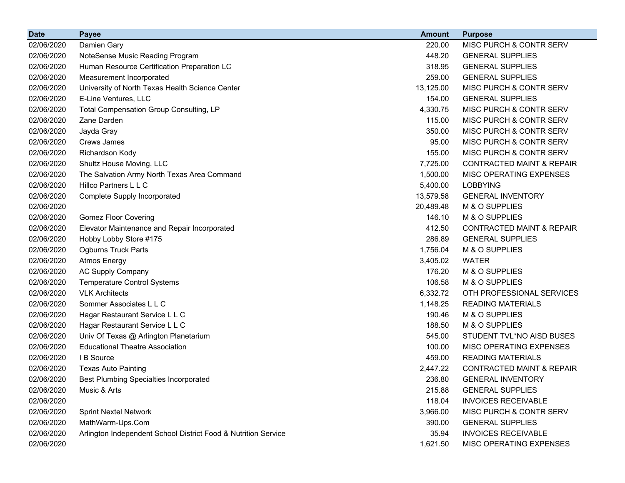| <b>Date</b> | <b>Payee</b>                                                   | <b>Amount</b> | <b>Purpose</b>                       |
|-------------|----------------------------------------------------------------|---------------|--------------------------------------|
| 02/06/2020  | Damien Gary                                                    | 220.00        | MISC PURCH & CONTR SERV              |
| 02/06/2020  | NoteSense Music Reading Program                                | 448.20        | <b>GENERAL SUPPLIES</b>              |
| 02/06/2020  | Human Resource Certification Preparation LC                    | 318.95        | <b>GENERAL SUPPLIES</b>              |
| 02/06/2020  | Measurement Incorporated                                       | 259.00        | <b>GENERAL SUPPLIES</b>              |
| 02/06/2020  | University of North Texas Health Science Center                | 13,125.00     | MISC PURCH & CONTR SERV              |
| 02/06/2020  | E-Line Ventures, LLC                                           | 154.00        | <b>GENERAL SUPPLIES</b>              |
| 02/06/2020  | Total Compensation Group Consulting, LP                        | 4,330.75      | MISC PURCH & CONTR SERV              |
| 02/06/2020  | Zane Darden                                                    | 115.00        | MISC PURCH & CONTR SERV              |
| 02/06/2020  | Jayda Gray                                                     | 350.00        | MISC PURCH & CONTR SERV              |
| 02/06/2020  | Crews James                                                    | 95.00         | MISC PURCH & CONTR SERV              |
| 02/06/2020  | Richardson Kody                                                | 155.00        | MISC PURCH & CONTR SERV              |
| 02/06/2020  | Shultz House Moving, LLC                                       | 7,725.00      | <b>CONTRACTED MAINT &amp; REPAIR</b> |
| 02/06/2020  | The Salvation Army North Texas Area Command                    | 1,500.00      | MISC OPERATING EXPENSES              |
| 02/06/2020  | Hillco Partners L L C                                          | 5,400.00      | <b>LOBBYING</b>                      |
| 02/06/2020  | Complete Supply Incorporated                                   | 13,579.58     | <b>GENERAL INVENTORY</b>             |
| 02/06/2020  |                                                                | 20,489.48     | M & O SUPPLIES                       |
| 02/06/2020  | <b>Gomez Floor Covering</b>                                    | 146.10        | M & O SUPPLIES                       |
| 02/06/2020  | Elevator Maintenance and Repair Incorporated                   | 412.50        | <b>CONTRACTED MAINT &amp; REPAIR</b> |
| 02/06/2020  | Hobby Lobby Store #175                                         | 286.89        | <b>GENERAL SUPPLIES</b>              |
| 02/06/2020  | <b>Ogburns Truck Parts</b>                                     | 1,756.04      | M & O SUPPLIES                       |
| 02/06/2020  | <b>Atmos Energy</b>                                            | 3,405.02      | <b>WATER</b>                         |
| 02/06/2020  | <b>AC Supply Company</b>                                       | 176.20        | M & O SUPPLIES                       |
| 02/06/2020  | <b>Temperature Control Systems</b>                             | 106.58        | M & O SUPPLIES                       |
| 02/06/2020  | <b>VLK Architects</b>                                          | 6,332.72      | OTH PROFESSIONAL SERVICES            |
| 02/06/2020  | Sommer Associates L L C                                        | 1,148.25      | <b>READING MATERIALS</b>             |
| 02/06/2020  | Hagar Restaurant Service L L C                                 | 190.46        | M & O SUPPLIES                       |
| 02/06/2020  | Hagar Restaurant Service L L C                                 | 188.50        | M & O SUPPLIES                       |
| 02/06/2020  | Univ Of Texas @ Arlington Planetarium                          | 545.00        | STUDENT TVL*NO AISD BUSES            |
| 02/06/2020  | <b>Educational Theatre Association</b>                         | 100.00        | MISC OPERATING EXPENSES              |
| 02/06/2020  | I B Source                                                     | 459.00        | <b>READING MATERIALS</b>             |
| 02/06/2020  | <b>Texas Auto Painting</b>                                     | 2,447.22      | <b>CONTRACTED MAINT &amp; REPAIR</b> |
| 02/06/2020  | <b>Best Plumbing Specialties Incorporated</b>                  | 236.80        | <b>GENERAL INVENTORY</b>             |
| 02/06/2020  | Music & Arts                                                   | 215.88        | <b>GENERAL SUPPLIES</b>              |
| 02/06/2020  |                                                                | 118.04        | <b>INVOICES RECEIVABLE</b>           |
| 02/06/2020  | <b>Sprint Nextel Network</b>                                   | 3,966.00      | MISC PURCH & CONTR SERV              |
| 02/06/2020  | MathWarm-Ups.Com                                               | 390.00        | <b>GENERAL SUPPLIES</b>              |
| 02/06/2020  | Arlington Independent School District Food & Nutrition Service | 35.94         | <b>INVOICES RECEIVABLE</b>           |
| 02/06/2020  |                                                                | 1,621.50      | MISC OPERATING EXPENSES              |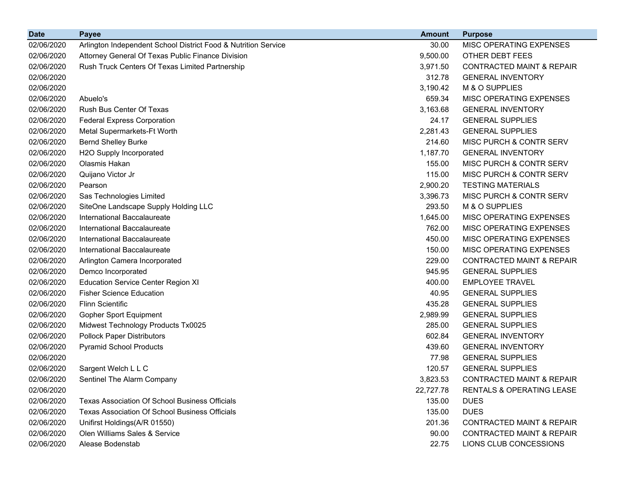| <b>Date</b> | <b>Payee</b>                                                   | <b>Amount</b> | <b>Purpose</b>                       |
|-------------|----------------------------------------------------------------|---------------|--------------------------------------|
| 02/06/2020  | Arlington Independent School District Food & Nutrition Service | 30.00         | MISC OPERATING EXPENSES              |
| 02/06/2020  | Attorney General Of Texas Public Finance Division              | 9,500.00      | OTHER DEBT FEES                      |
| 02/06/2020  | Rush Truck Centers Of Texas Limited Partnership                | 3,971.50      | <b>CONTRACTED MAINT &amp; REPAIR</b> |
| 02/06/2020  |                                                                | 312.78        | <b>GENERAL INVENTORY</b>             |
| 02/06/2020  |                                                                | 3,190.42      | M & O SUPPLIES                       |
| 02/06/2020  | Abuelo's                                                       | 659.34        | MISC OPERATING EXPENSES              |
| 02/06/2020  | Rush Bus Center Of Texas                                       | 3,163.68      | <b>GENERAL INVENTORY</b>             |
| 02/06/2020  | <b>Federal Express Corporation</b>                             | 24.17         | <b>GENERAL SUPPLIES</b>              |
| 02/06/2020  | Metal Supermarkets-Ft Worth                                    | 2,281.43      | <b>GENERAL SUPPLIES</b>              |
| 02/06/2020  | <b>Bernd Shelley Burke</b>                                     | 214.60        | MISC PURCH & CONTR SERV              |
| 02/06/2020  | H2O Supply Incorporated                                        | 1,187.70      | <b>GENERAL INVENTORY</b>             |
| 02/06/2020  | Olasmis Hakan                                                  | 155.00        | MISC PURCH & CONTR SERV              |
| 02/06/2020  | Quijano Victor Jr                                              | 115.00        | MISC PURCH & CONTR SERV              |
| 02/06/2020  | Pearson                                                        | 2,900.20      | <b>TESTING MATERIALS</b>             |
| 02/06/2020  | Sas Technologies Limited                                       | 3,396.73      | MISC PURCH & CONTR SERV              |
| 02/06/2020  | SiteOne Landscape Supply Holding LLC                           | 293.50        | M & O SUPPLIES                       |
| 02/06/2020  | International Baccalaureate                                    | 1,645.00      | MISC OPERATING EXPENSES              |
| 02/06/2020  | International Baccalaureate                                    | 762.00        | MISC OPERATING EXPENSES              |
| 02/06/2020  | International Baccalaureate                                    | 450.00        | MISC OPERATING EXPENSES              |
| 02/06/2020  | International Baccalaureate                                    | 150.00        | MISC OPERATING EXPENSES              |
| 02/06/2020  | Arlington Camera Incorporated                                  | 229.00        | <b>CONTRACTED MAINT &amp; REPAIR</b> |
| 02/06/2020  | Demco Incorporated                                             | 945.95        | <b>GENERAL SUPPLIES</b>              |
| 02/06/2020  | <b>Education Service Center Region XI</b>                      | 400.00        | <b>EMPLOYEE TRAVEL</b>               |
| 02/06/2020  | <b>Fisher Science Education</b>                                | 40.95         | <b>GENERAL SUPPLIES</b>              |
| 02/06/2020  | <b>Flinn Scientific</b>                                        | 435.28        | <b>GENERAL SUPPLIES</b>              |
| 02/06/2020  | <b>Gopher Sport Equipment</b>                                  | 2,989.99      | <b>GENERAL SUPPLIES</b>              |
| 02/06/2020  | Midwest Technology Products Tx0025                             | 285.00        | <b>GENERAL SUPPLIES</b>              |
| 02/06/2020  | <b>Pollock Paper Distributors</b>                              | 602.84        | <b>GENERAL INVENTORY</b>             |
| 02/06/2020  | <b>Pyramid School Products</b>                                 | 439.60        | <b>GENERAL INVENTORY</b>             |
| 02/06/2020  |                                                                | 77.98         | <b>GENERAL SUPPLIES</b>              |
| 02/06/2020  | Sargent Welch L L C                                            | 120.57        | <b>GENERAL SUPPLIES</b>              |
| 02/06/2020  | Sentinel The Alarm Company                                     | 3,823.53      | CONTRACTED MAINT & REPAIR            |
| 02/06/2020  |                                                                | 22,727.78     | <b>RENTALS &amp; OPERATING LEASE</b> |
| 02/06/2020  | <b>Texas Association Of School Business Officials</b>          | 135.00        | <b>DUES</b>                          |
| 02/06/2020  | <b>Texas Association Of School Business Officials</b>          | 135.00        | <b>DUES</b>                          |
| 02/06/2020  | Unifirst Holdings(A/R 01550)                                   | 201.36        | <b>CONTRACTED MAINT &amp; REPAIR</b> |
| 02/06/2020  | Olen Williams Sales & Service                                  | 90.00         | <b>CONTRACTED MAINT &amp; REPAIR</b> |
| 02/06/2020  | Alease Bodenstab                                               | 22.75         | LIONS CLUB CONCESSIONS               |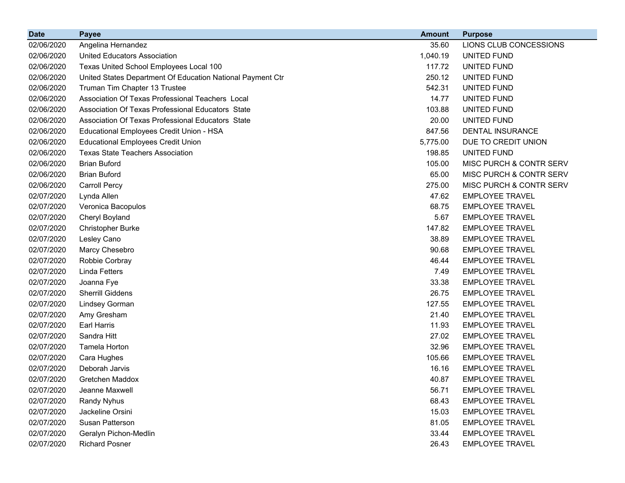| <b>Date</b> | <b>Payee</b>                                               | <b>Amount</b> | <b>Purpose</b>                     |
|-------------|------------------------------------------------------------|---------------|------------------------------------|
| 02/06/2020  | Angelina Hernandez                                         | 35.60         | LIONS CLUB CONCESSIONS             |
| 02/06/2020  | United Educators Association                               | 1,040.19      | UNITED FUND                        |
| 02/06/2020  | Texas United School Employees Local 100                    | 117.72        | UNITED FUND                        |
| 02/06/2020  | United States Department Of Education National Payment Ctr | 250.12        | UNITED FUND                        |
| 02/06/2020  | Truman Tim Chapter 13 Trustee                              | 542.31        | UNITED FUND                        |
| 02/06/2020  | Association Of Texas Professional Teachers Local           | 14.77         | UNITED FUND                        |
| 02/06/2020  | Association Of Texas Professional Educators State          | 103.88        | UNITED FUND                        |
| 02/06/2020  | Association Of Texas Professional Educators State          | 20.00         | UNITED FUND                        |
| 02/06/2020  | Educational Employees Credit Union - HSA                   | 847.56        | DENTAL INSURANCE                   |
| 02/06/2020  | <b>Educational Employees Credit Union</b>                  | 5,775.00      | DUE TO CREDIT UNION                |
| 02/06/2020  | <b>Texas State Teachers Association</b>                    | 198.85        | UNITED FUND                        |
| 02/06/2020  | <b>Brian Buford</b>                                        | 105.00        | MISC PURCH & CONTR SERV            |
| 02/06/2020  | <b>Brian Buford</b>                                        | 65.00         | MISC PURCH & CONTR SERV            |
| 02/06/2020  | <b>Carroll Percy</b>                                       | 275.00        | <b>MISC PURCH &amp; CONTR SERV</b> |
| 02/07/2020  | Lynda Allen                                                | 47.62         | <b>EMPLOYEE TRAVEL</b>             |
| 02/07/2020  | Veronica Bacopulos                                         | 68.75         | <b>EMPLOYEE TRAVEL</b>             |
| 02/07/2020  | Cheryl Boyland                                             | 5.67          | <b>EMPLOYEE TRAVEL</b>             |
| 02/07/2020  | <b>Christopher Burke</b>                                   | 147.82        | <b>EMPLOYEE TRAVEL</b>             |
| 02/07/2020  | Lesley Cano                                                | 38.89         | <b>EMPLOYEE TRAVEL</b>             |
| 02/07/2020  | Marcy Chesebro                                             | 90.68         | <b>EMPLOYEE TRAVEL</b>             |
| 02/07/2020  | Robbie Corbray                                             | 46.44         | <b>EMPLOYEE TRAVEL</b>             |
| 02/07/2020  | <b>Linda Fetters</b>                                       | 7.49          | <b>EMPLOYEE TRAVEL</b>             |
| 02/07/2020  | Joanna Fye                                                 | 33.38         | <b>EMPLOYEE TRAVEL</b>             |
| 02/07/2020  | Sherrill Giddens                                           | 26.75         | <b>EMPLOYEE TRAVEL</b>             |
| 02/07/2020  | Lindsey Gorman                                             | 127.55        | <b>EMPLOYEE TRAVEL</b>             |
| 02/07/2020  | Amy Gresham                                                | 21.40         | <b>EMPLOYEE TRAVEL</b>             |
| 02/07/2020  | Earl Harris                                                | 11.93         | <b>EMPLOYEE TRAVEL</b>             |
| 02/07/2020  | Sandra Hitt                                                | 27.02         | <b>EMPLOYEE TRAVEL</b>             |
| 02/07/2020  | Tamela Horton                                              | 32.96         | <b>EMPLOYEE TRAVEL</b>             |
| 02/07/2020  | Cara Hughes                                                | 105.66        | <b>EMPLOYEE TRAVEL</b>             |
| 02/07/2020  | Deborah Jarvis                                             | 16.16         | <b>EMPLOYEE TRAVEL</b>             |
| 02/07/2020  | Gretchen Maddox                                            | 40.87         | <b>EMPLOYEE TRAVEL</b>             |
| 02/07/2020  | Jeanne Maxwell                                             | 56.71         | <b>EMPLOYEE TRAVEL</b>             |
| 02/07/2020  | <b>Randy Nyhus</b>                                         | 68.43         | <b>EMPLOYEE TRAVEL</b>             |
| 02/07/2020  | Jackeline Orsini                                           | 15.03         | <b>EMPLOYEE TRAVEL</b>             |
| 02/07/2020  | Susan Patterson                                            | 81.05         | <b>EMPLOYEE TRAVEL</b>             |
| 02/07/2020  | Geralyn Pichon-Medlin                                      | 33.44         | <b>EMPLOYEE TRAVEL</b>             |
| 02/07/2020  | <b>Richard Posner</b>                                      | 26.43         | <b>EMPLOYEE TRAVEL</b>             |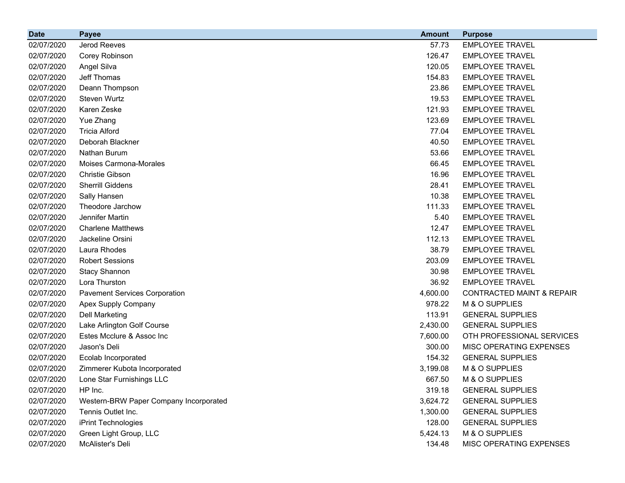| <b>Date</b> | <b>Payee</b>                           | <b>Amount</b> | <b>Purpose</b>                       |
|-------------|----------------------------------------|---------------|--------------------------------------|
| 02/07/2020  | Jerod Reeves                           | 57.73         | <b>EMPLOYEE TRAVEL</b>               |
| 02/07/2020  | Corey Robinson                         | 126.47        | <b>EMPLOYEE TRAVEL</b>               |
| 02/07/2020  | Angel Silva                            | 120.05        | <b>EMPLOYEE TRAVEL</b>               |
| 02/07/2020  | Jeff Thomas                            | 154.83        | <b>EMPLOYEE TRAVEL</b>               |
| 02/07/2020  | Deann Thompson                         | 23.86         | <b>EMPLOYEE TRAVEL</b>               |
| 02/07/2020  | Steven Wurtz                           | 19.53         | <b>EMPLOYEE TRAVEL</b>               |
| 02/07/2020  | Karen Zeske                            | 121.93        | <b>EMPLOYEE TRAVEL</b>               |
| 02/07/2020  | Yue Zhang                              | 123.69        | <b>EMPLOYEE TRAVEL</b>               |
| 02/07/2020  | <b>Tricia Alford</b>                   | 77.04         | <b>EMPLOYEE TRAVEL</b>               |
| 02/07/2020  | Deborah Blackner                       | 40.50         | <b>EMPLOYEE TRAVEL</b>               |
| 02/07/2020  | Nathan Burum                           | 53.66         | <b>EMPLOYEE TRAVEL</b>               |
| 02/07/2020  | Moises Carmona-Morales                 | 66.45         | <b>EMPLOYEE TRAVEL</b>               |
| 02/07/2020  | Christie Gibson                        | 16.96         | <b>EMPLOYEE TRAVEL</b>               |
| 02/07/2020  | <b>Sherrill Giddens</b>                | 28.41         | <b>EMPLOYEE TRAVEL</b>               |
| 02/07/2020  | Sally Hansen                           | 10.38         | <b>EMPLOYEE TRAVEL</b>               |
| 02/07/2020  | Theodore Jarchow                       | 111.33        | <b>EMPLOYEE TRAVEL</b>               |
| 02/07/2020  | Jennifer Martin                        | 5.40          | <b>EMPLOYEE TRAVEL</b>               |
| 02/07/2020  | <b>Charlene Matthews</b>               | 12.47         | <b>EMPLOYEE TRAVEL</b>               |
| 02/07/2020  | Jackeline Orsini                       | 112.13        | <b>EMPLOYEE TRAVEL</b>               |
| 02/07/2020  | Laura Rhodes                           | 38.79         | <b>EMPLOYEE TRAVEL</b>               |
| 02/07/2020  | <b>Robert Sessions</b>                 | 203.09        | <b>EMPLOYEE TRAVEL</b>               |
| 02/07/2020  | <b>Stacy Shannon</b>                   | 30.98         | <b>EMPLOYEE TRAVEL</b>               |
| 02/07/2020  | Lora Thurston                          | 36.92         | <b>EMPLOYEE TRAVEL</b>               |
| 02/07/2020  | <b>Pavement Services Corporation</b>   | 4,600.00      | <b>CONTRACTED MAINT &amp; REPAIR</b> |
| 02/07/2020  | Apex Supply Company                    | 978.22        | M & O SUPPLIES                       |
| 02/07/2020  | <b>Dell Marketing</b>                  | 113.91        | <b>GENERAL SUPPLIES</b>              |
| 02/07/2020  | Lake Arlington Golf Course             | 2,430.00      | <b>GENERAL SUPPLIES</b>              |
| 02/07/2020  | Estes Mcclure & Assoc Inc              | 7,600.00      | OTH PROFESSIONAL SERVICES            |
| 02/07/2020  | Jason's Deli                           | 300.00        | MISC OPERATING EXPENSES              |
| 02/07/2020  | Ecolab Incorporated                    | 154.32        | <b>GENERAL SUPPLIES</b>              |
| 02/07/2020  | Zimmerer Kubota Incorporated           | 3,199.08      | M & O SUPPLIES                       |
| 02/07/2020  | Lone Star Furnishings LLC              | 667.50        | M & O SUPPLIES                       |
| 02/07/2020  | HP Inc.                                | 319.18        | <b>GENERAL SUPPLIES</b>              |
| 02/07/2020  | Western-BRW Paper Company Incorporated | 3,624.72      | <b>GENERAL SUPPLIES</b>              |
| 02/07/2020  | Tennis Outlet Inc.                     | 1,300.00      | <b>GENERAL SUPPLIES</b>              |
| 02/07/2020  | iPrint Technologies                    | 128.00        | <b>GENERAL SUPPLIES</b>              |
| 02/07/2020  | Green Light Group, LLC                 | 5,424.13      | M & O SUPPLIES                       |
| 02/07/2020  | McAlister's Deli                       | 134.48        | MISC OPERATING EXPENSES              |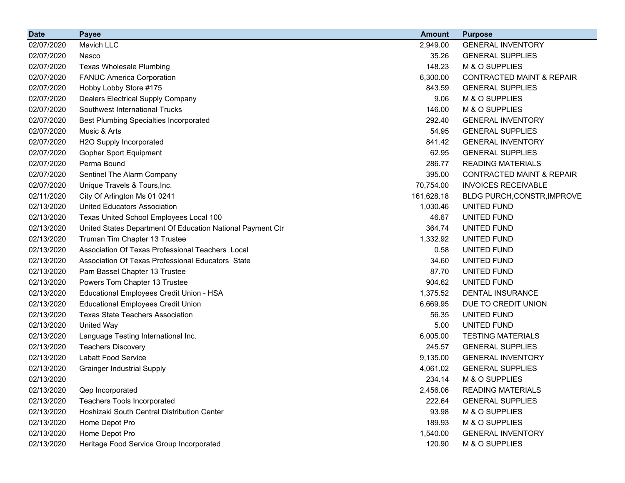| <b>Date</b> | <b>Payee</b>                                               | <b>Amount</b> | <b>Purpose</b>                       |
|-------------|------------------------------------------------------------|---------------|--------------------------------------|
| 02/07/2020  | Mavich LLC                                                 | 2,949.00      | <b>GENERAL INVENTORY</b>             |
| 02/07/2020  | Nasco                                                      | 35.26         | <b>GENERAL SUPPLIES</b>              |
| 02/07/2020  | <b>Texas Wholesale Plumbing</b>                            | 148.23        | M & O SUPPLIES                       |
| 02/07/2020  | <b>FANUC America Corporation</b>                           | 6,300.00      | <b>CONTRACTED MAINT &amp; REPAIR</b> |
| 02/07/2020  | Hobby Lobby Store #175                                     | 843.59        | <b>GENERAL SUPPLIES</b>              |
| 02/07/2020  | <b>Dealers Electrical Supply Company</b>                   | 9.06          | M & O SUPPLIES                       |
| 02/07/2020  | Southwest International Trucks                             | 146.00        | M & O SUPPLIES                       |
| 02/07/2020  | <b>Best Plumbing Specialties Incorporated</b>              | 292.40        | <b>GENERAL INVENTORY</b>             |
| 02/07/2020  | Music & Arts                                               | 54.95         | <b>GENERAL SUPPLIES</b>              |
| 02/07/2020  | H2O Supply Incorporated                                    | 841.42        | <b>GENERAL INVENTORY</b>             |
| 02/07/2020  | <b>Gopher Sport Equipment</b>                              | 62.95         | <b>GENERAL SUPPLIES</b>              |
| 02/07/2020  | Perma Bound                                                | 286.77        | <b>READING MATERIALS</b>             |
| 02/07/2020  | Sentinel The Alarm Company                                 | 395.00        | <b>CONTRACTED MAINT &amp; REPAIR</b> |
| 02/07/2020  | Unique Travels & Tours, Inc.                               | 70,754.00     | <b>INVOICES RECEIVABLE</b>           |
| 02/11/2020  | City Of Arlington Ms 01 0241                               | 161,628.18    | BLDG PURCH, CONSTR, IMPROVE          |
| 02/13/2020  | <b>United Educators Association</b>                        | 1,030.46      | UNITED FUND                          |
| 02/13/2020  | Texas United School Employees Local 100                    | 46.67         | UNITED FUND                          |
| 02/13/2020  | United States Department Of Education National Payment Ctr | 364.74        | UNITED FUND                          |
| 02/13/2020  | Truman Tim Chapter 13 Trustee                              | 1,332.92      | UNITED FUND                          |
| 02/13/2020  | Association Of Texas Professional Teachers Local           | 0.58          | UNITED FUND                          |
| 02/13/2020  | Association Of Texas Professional Educators State          | 34.60         | UNITED FUND                          |
| 02/13/2020  | Pam Bassel Chapter 13 Trustee                              | 87.70         | UNITED FUND                          |
| 02/13/2020  | Powers Tom Chapter 13 Trustee                              | 904.62        | UNITED FUND                          |
| 02/13/2020  | Educational Employees Credit Union - HSA                   | 1,375.52      | DENTAL INSURANCE                     |
| 02/13/2020  | <b>Educational Employees Credit Union</b>                  | 6,669.95      | DUE TO CREDIT UNION                  |
| 02/13/2020  | <b>Texas State Teachers Association</b>                    | 56.35         | UNITED FUND                          |
| 02/13/2020  | <b>United Way</b>                                          | 5.00          | UNITED FUND                          |
| 02/13/2020  | Language Testing International Inc.                        | 6,005.00      | <b>TESTING MATERIALS</b>             |
| 02/13/2020  | <b>Teachers Discovery</b>                                  | 245.57        | <b>GENERAL SUPPLIES</b>              |
| 02/13/2020  | <b>Labatt Food Service</b>                                 | 9,135.00      | <b>GENERAL INVENTORY</b>             |
| 02/13/2020  | <b>Grainger Industrial Supply</b>                          | 4,061.02      | <b>GENERAL SUPPLIES</b>              |
| 02/13/2020  |                                                            | 234.14        | M & O SUPPLIES                       |
| 02/13/2020  | Qep Incorporated                                           | 2,456.06      | <b>READING MATERIALS</b>             |
| 02/13/2020  | <b>Teachers Tools Incorporated</b>                         | 222.64        | <b>GENERAL SUPPLIES</b>              |
| 02/13/2020  | Hoshizaki South Central Distribution Center                | 93.98         | M & O SUPPLIES                       |
| 02/13/2020  | Home Depot Pro                                             | 189.93        | M & O SUPPLIES                       |
| 02/13/2020  | Home Depot Pro                                             | 1,540.00      | <b>GENERAL INVENTORY</b>             |
| 02/13/2020  | Heritage Food Service Group Incorporated                   | 120.90        | M & O SUPPLIES                       |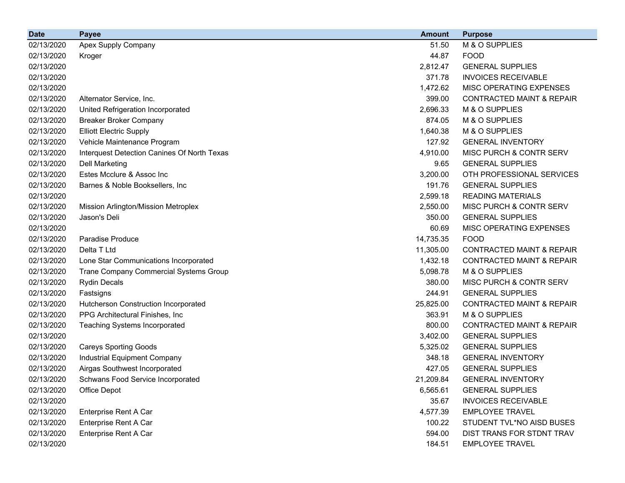| <b>Date</b> | <b>Payee</b>                                | <b>Amount</b> | <b>Purpose</b>                       |
|-------------|---------------------------------------------|---------------|--------------------------------------|
| 02/13/2020  | Apex Supply Company                         | 51.50         | M & O SUPPLIES                       |
| 02/13/2020  | Kroger                                      | 44.87         | <b>FOOD</b>                          |
| 02/13/2020  |                                             | 2,812.47      | <b>GENERAL SUPPLIES</b>              |
| 02/13/2020  |                                             | 371.78        | <b>INVOICES RECEIVABLE</b>           |
| 02/13/2020  |                                             | 1,472.62      | MISC OPERATING EXPENSES              |
| 02/13/2020  | Alternator Service, Inc.                    | 399.00        | <b>CONTRACTED MAINT &amp; REPAIR</b> |
| 02/13/2020  | United Refrigeration Incorporated           | 2,696.33      | M & O SUPPLIES                       |
| 02/13/2020  | <b>Breaker Broker Company</b>               | 874.05        | M & O SUPPLIES                       |
| 02/13/2020  | <b>Elliott Electric Supply</b>              | 1,640.38      | M & O SUPPLIES                       |
| 02/13/2020  | Vehicle Maintenance Program                 | 127.92        | <b>GENERAL INVENTORY</b>             |
| 02/13/2020  | Interquest Detection Canines Of North Texas | 4,910.00      | MISC PURCH & CONTR SERV              |
| 02/13/2020  | <b>Dell Marketing</b>                       | 9.65          | <b>GENERAL SUPPLIES</b>              |
| 02/13/2020  | Estes Mcclure & Assoc Inc                   | 3,200.00      | OTH PROFESSIONAL SERVICES            |
| 02/13/2020  | Barnes & Noble Booksellers, Inc.            | 191.76        | <b>GENERAL SUPPLIES</b>              |
| 02/13/2020  |                                             | 2,599.18      | <b>READING MATERIALS</b>             |
| 02/13/2020  | Mission Arlington/Mission Metroplex         | 2,550.00      | MISC PURCH & CONTR SERV              |
| 02/13/2020  | Jason's Deli                                | 350.00        | <b>GENERAL SUPPLIES</b>              |
| 02/13/2020  |                                             | 60.69         | MISC OPERATING EXPENSES              |
| 02/13/2020  | Paradise Produce                            | 14,735.35     | <b>FOOD</b>                          |
| 02/13/2020  | Delta T Ltd                                 | 11,305.00     | <b>CONTRACTED MAINT &amp; REPAIR</b> |
| 02/13/2020  | Lone Star Communications Incorporated       | 1,432.18      | <b>CONTRACTED MAINT &amp; REPAIR</b> |
| 02/13/2020  | Trane Company Commercial Systems Group      | 5,098.78      | M & O SUPPLIES                       |
| 02/13/2020  | <b>Rydin Decals</b>                         | 380.00        | MISC PURCH & CONTR SERV              |
| 02/13/2020  | Fastsigns                                   | 244.91        | <b>GENERAL SUPPLIES</b>              |
| 02/13/2020  | Hutcherson Construction Incorporated        | 25,825.00     | <b>CONTRACTED MAINT &amp; REPAIR</b> |
| 02/13/2020  | PPG Architectural Finishes, Inc             | 363.91        | M & O SUPPLIES                       |
| 02/13/2020  | <b>Teaching Systems Incorporated</b>        | 800.00        | <b>CONTRACTED MAINT &amp; REPAIR</b> |
| 02/13/2020  |                                             | 3,402.00      | <b>GENERAL SUPPLIES</b>              |
| 02/13/2020  | <b>Careys Sporting Goods</b>                | 5,325.02      | <b>GENERAL SUPPLIES</b>              |
| 02/13/2020  | Industrial Equipment Company                | 348.18        | <b>GENERAL INVENTORY</b>             |
| 02/13/2020  | Airgas Southwest Incorporated               | 427.05        | <b>GENERAL SUPPLIES</b>              |
| 02/13/2020  | Schwans Food Service Incorporated           | 21,209.84     | <b>GENERAL INVENTORY</b>             |
| 02/13/2020  | Office Depot                                | 6,565.61      | <b>GENERAL SUPPLIES</b>              |
| 02/13/2020  |                                             | 35.67         | <b>INVOICES RECEIVABLE</b>           |
| 02/13/2020  | Enterprise Rent A Car                       | 4,577.39      | <b>EMPLOYEE TRAVEL</b>               |
| 02/13/2020  | Enterprise Rent A Car                       | 100.22        | STUDENT TVL*NO AISD BUSES            |
| 02/13/2020  | Enterprise Rent A Car                       | 594.00        | DIST TRANS FOR STDNT TRAV            |
| 02/13/2020  |                                             | 184.51        | <b>EMPLOYEE TRAVEL</b>               |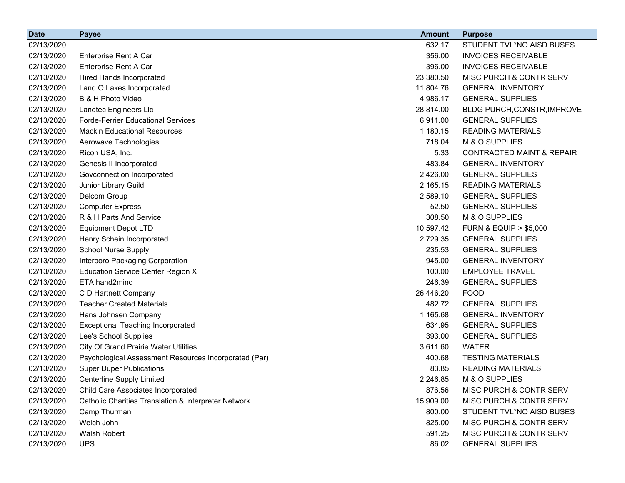| <b>Date</b> | <b>Payee</b>                                          | <b>Amount</b> | <b>Purpose</b>                       |
|-------------|-------------------------------------------------------|---------------|--------------------------------------|
| 02/13/2020  |                                                       | 632.17        | STUDENT TVL*NO AISD BUSES            |
| 02/13/2020  | Enterprise Rent A Car                                 | 356.00        | <b>INVOICES RECEIVABLE</b>           |
| 02/13/2020  | Enterprise Rent A Car                                 | 396.00        | <b>INVOICES RECEIVABLE</b>           |
| 02/13/2020  | Hired Hands Incorporated                              | 23,380.50     | MISC PURCH & CONTR SERV              |
| 02/13/2020  | Land O Lakes Incorporated                             | 11,804.76     | <b>GENERAL INVENTORY</b>             |
| 02/13/2020  | B & H Photo Video                                     | 4,986.17      | <b>GENERAL SUPPLIES</b>              |
| 02/13/2020  | Landtec Engineers Llc                                 | 28,814.00     | BLDG PURCH, CONSTR, IMPROVE          |
| 02/13/2020  | <b>Forde-Ferrier Educational Services</b>             | 6,911.00      | <b>GENERAL SUPPLIES</b>              |
| 02/13/2020  | <b>Mackin Educational Resources</b>                   | 1,180.15      | <b>READING MATERIALS</b>             |
| 02/13/2020  | Aerowave Technologies                                 | 718.04        | M & O SUPPLIES                       |
| 02/13/2020  | Ricoh USA, Inc.                                       | 5.33          | <b>CONTRACTED MAINT &amp; REPAIR</b> |
| 02/13/2020  | Genesis II Incorporated                               | 483.84        | <b>GENERAL INVENTORY</b>             |
| 02/13/2020  | Govconnection Incorporated                            | 2,426.00      | <b>GENERAL SUPPLIES</b>              |
| 02/13/2020  | Junior Library Guild                                  | 2,165.15      | <b>READING MATERIALS</b>             |
| 02/13/2020  | Delcom Group                                          | 2,589.10      | <b>GENERAL SUPPLIES</b>              |
| 02/13/2020  | <b>Computer Express</b>                               | 52.50         | <b>GENERAL SUPPLIES</b>              |
| 02/13/2020  | R & H Parts And Service                               | 308.50        | M & O SUPPLIES                       |
| 02/13/2020  | <b>Equipment Depot LTD</b>                            | 10,597.42     | <b>FURN &amp; EQUIP &gt; \$5,000</b> |
| 02/13/2020  | Henry Schein Incorporated                             | 2,729.35      | <b>GENERAL SUPPLIES</b>              |
| 02/13/2020  | <b>School Nurse Supply</b>                            | 235.53        | <b>GENERAL SUPPLIES</b>              |
| 02/13/2020  | Interboro Packaging Corporation                       | 945.00        | <b>GENERAL INVENTORY</b>             |
| 02/13/2020  | <b>Education Service Center Region X</b>              | 100.00        | <b>EMPLOYEE TRAVEL</b>               |
| 02/13/2020  | ETA hand2mind                                         | 246.39        | <b>GENERAL SUPPLIES</b>              |
| 02/13/2020  | C D Hartnett Company                                  | 26,446.20     | <b>FOOD</b>                          |
| 02/13/2020  | <b>Teacher Created Materials</b>                      | 482.72        | <b>GENERAL SUPPLIES</b>              |
| 02/13/2020  | Hans Johnsen Company                                  | 1,165.68      | <b>GENERAL INVENTORY</b>             |
| 02/13/2020  | <b>Exceptional Teaching Incorporated</b>              | 634.95        | <b>GENERAL SUPPLIES</b>              |
| 02/13/2020  | Lee's School Supplies                                 | 393.00        | <b>GENERAL SUPPLIES</b>              |
| 02/13/2020  | <b>City Of Grand Prairie Water Utilities</b>          | 3,611.60      | <b>WATER</b>                         |
| 02/13/2020  | Psychological Assessment Resources Incorporated (Par) | 400.68        | <b>TESTING MATERIALS</b>             |
| 02/13/2020  | <b>Super Duper Publications</b>                       | 83.85         | <b>READING MATERIALS</b>             |
| 02/13/2020  | <b>Centerline Supply Limited</b>                      | 2,246.85      | M & O SUPPLIES                       |
| 02/13/2020  | Child Care Associates Incorporated                    | 876.56        | MISC PURCH & CONTR SERV              |
| 02/13/2020  | Catholic Charities Translation & Interpreter Network  | 15,909.00     | MISC PURCH & CONTR SERV              |
| 02/13/2020  | Camp Thurman                                          | 800.00        | STUDENT TVL*NO AISD BUSES            |
| 02/13/2020  | Welch John                                            | 825.00        | MISC PURCH & CONTR SERV              |
| 02/13/2020  | <b>Walsh Robert</b>                                   | 591.25        | MISC PURCH & CONTR SERV              |
| 02/13/2020  | <b>UPS</b>                                            | 86.02         | <b>GENERAL SUPPLIES</b>              |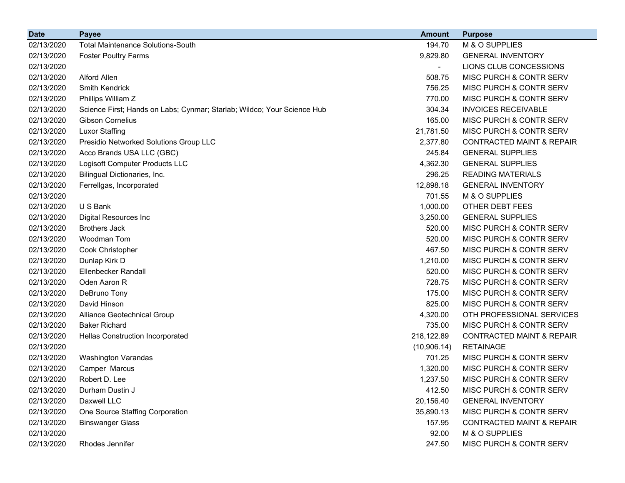| <b>Date</b> | <b>Payee</b>                                                            | <b>Amount</b> | <b>Purpose</b>                       |
|-------------|-------------------------------------------------------------------------|---------------|--------------------------------------|
| 02/13/2020  | <b>Total Maintenance Solutions-South</b>                                | 194.70        | M & O SUPPLIES                       |
| 02/13/2020  | <b>Foster Poultry Farms</b>                                             | 9,829.80      | <b>GENERAL INVENTORY</b>             |
| 02/13/2020  |                                                                         |               | LIONS CLUB CONCESSIONS               |
| 02/13/2020  | Alford Allen                                                            | 508.75        | MISC PURCH & CONTR SERV              |
| 02/13/2020  | <b>Smith Kendrick</b>                                                   | 756.25        | MISC PURCH & CONTR SERV              |
| 02/13/2020  | Phillips William Z                                                      | 770.00        | MISC PURCH & CONTR SERV              |
| 02/13/2020  | Science First; Hands on Labs; Cynmar; Starlab; Wildco; Your Science Hub | 304.34        | <b>INVOICES RECEIVABLE</b>           |
| 02/13/2020  | <b>Gibson Cornelius</b>                                                 | 165.00        | MISC PURCH & CONTR SERV              |
| 02/13/2020  | <b>Luxor Staffing</b>                                                   | 21,781.50     | MISC PURCH & CONTR SERV              |
| 02/13/2020  | Presidio Networked Solutions Group LLC                                  | 2,377.80      | <b>CONTRACTED MAINT &amp; REPAIR</b> |
| 02/13/2020  | Acco Brands USA LLC (GBC)                                               | 245.84        | <b>GENERAL SUPPLIES</b>              |
| 02/13/2020  | Logisoft Computer Products LLC                                          | 4,362.30      | <b>GENERAL SUPPLIES</b>              |
| 02/13/2020  | Bilingual Dictionaries, Inc.                                            | 296.25        | <b>READING MATERIALS</b>             |
| 02/13/2020  | Ferrellgas, Incorporated                                                | 12,898.18     | <b>GENERAL INVENTORY</b>             |
| 02/13/2020  |                                                                         | 701.55        | M & O SUPPLIES                       |
| 02/13/2020  | U S Bank                                                                | 1,000.00      | OTHER DEBT FEES                      |
| 02/13/2020  | <b>Digital Resources Inc</b>                                            | 3,250.00      | <b>GENERAL SUPPLIES</b>              |
| 02/13/2020  | <b>Brothers Jack</b>                                                    | 520.00        | MISC PURCH & CONTR SERV              |
| 02/13/2020  | Woodman Tom                                                             | 520.00        | MISC PURCH & CONTR SERV              |
| 02/13/2020  | Cook Christopher                                                        | 467.50        | MISC PURCH & CONTR SERV              |
| 02/13/2020  | Dunlap Kirk D                                                           | 1,210.00      | MISC PURCH & CONTR SERV              |
| 02/13/2020  | <b>Ellenbecker Randall</b>                                              | 520.00        | MISC PURCH & CONTR SERV              |
| 02/13/2020  | Oden Aaron R                                                            | 728.75        | MISC PURCH & CONTR SERV              |
| 02/13/2020  | DeBruno Tony                                                            | 175.00        | MISC PURCH & CONTR SERV              |
| 02/13/2020  | David Hinson                                                            | 825.00        | MISC PURCH & CONTR SERV              |
| 02/13/2020  | Alliance Geotechnical Group                                             | 4,320.00      | OTH PROFESSIONAL SERVICES            |
| 02/13/2020  | <b>Baker Richard</b>                                                    | 735.00        | MISC PURCH & CONTR SERV              |
| 02/13/2020  | Hellas Construction Incorporated                                        | 218,122.89    | <b>CONTRACTED MAINT &amp; REPAIR</b> |
| 02/13/2020  |                                                                         | (10,906.14)   | <b>RETAINAGE</b>                     |
| 02/13/2020  | <b>Washington Varandas</b>                                              | 701.25        | MISC PURCH & CONTR SERV              |
| 02/13/2020  | Camper Marcus                                                           | 1,320.00      | MISC PURCH & CONTR SERV              |
| 02/13/2020  | Robert D. Lee                                                           | 1,237.50      | MISC PURCH & CONTR SERV              |
| 02/13/2020  | Durham Dustin J                                                         | 412.50        | MISC PURCH & CONTR SERV              |
| 02/13/2020  | Daxwell LLC                                                             | 20,156.40     | <b>GENERAL INVENTORY</b>             |
| 02/13/2020  | One Source Staffing Corporation                                         | 35,890.13     | MISC PURCH & CONTR SERV              |
| 02/13/2020  | <b>Binswanger Glass</b>                                                 | 157.95        | <b>CONTRACTED MAINT &amp; REPAIR</b> |
| 02/13/2020  |                                                                         | 92.00         | M & O SUPPLIES                       |
| 02/13/2020  | Rhodes Jennifer                                                         | 247.50        | MISC PURCH & CONTR SERV              |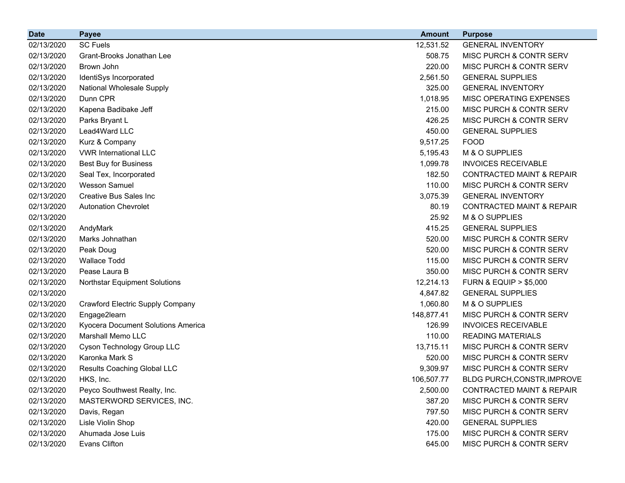| <b>Date</b> | <b>Payee</b>                       | <b>Amount</b> | <b>Purpose</b>                       |
|-------------|------------------------------------|---------------|--------------------------------------|
| 02/13/2020  | <b>SC Fuels</b>                    | 12,531.52     | <b>GENERAL INVENTORY</b>             |
| 02/13/2020  | Grant-Brooks Jonathan Lee          | 508.75        | MISC PURCH & CONTR SERV              |
| 02/13/2020  | Brown John                         | 220.00        | MISC PURCH & CONTR SERV              |
| 02/13/2020  | IdentiSys Incorporated             | 2,561.50      | <b>GENERAL SUPPLIES</b>              |
| 02/13/2020  | <b>National Wholesale Supply</b>   | 325.00        | <b>GENERAL INVENTORY</b>             |
| 02/13/2020  | Dunn CPR                           | 1,018.95      | MISC OPERATING EXPENSES              |
| 02/13/2020  | Kapena Badibake Jeff               | 215.00        | MISC PURCH & CONTR SERV              |
| 02/13/2020  | Parks Bryant L                     | 426.25        | MISC PURCH & CONTR SERV              |
| 02/13/2020  | Lead4Ward LLC                      | 450.00        | <b>GENERAL SUPPLIES</b>              |
| 02/13/2020  | Kurz & Company                     | 9,517.25      | <b>FOOD</b>                          |
| 02/13/2020  | <b>VWR International LLC</b>       | 5,195.43      | M & O SUPPLIES                       |
| 02/13/2020  | <b>Best Buy for Business</b>       | 1,099.78      | <b>INVOICES RECEIVABLE</b>           |
| 02/13/2020  | Seal Tex, Incorporated             | 182.50        | <b>CONTRACTED MAINT &amp; REPAIR</b> |
| 02/13/2020  | <b>Wesson Samuel</b>               | 110.00        | MISC PURCH & CONTR SERV              |
| 02/13/2020  | <b>Creative Bus Sales Inc.</b>     | 3,075.39      | <b>GENERAL INVENTORY</b>             |
| 02/13/2020  | <b>Autonation Chevrolet</b>        | 80.19         | <b>CONTRACTED MAINT &amp; REPAIR</b> |
| 02/13/2020  |                                    | 25.92         | M & O SUPPLIES                       |
| 02/13/2020  | AndyMark                           | 415.25        | <b>GENERAL SUPPLIES</b>              |
| 02/13/2020  | Marks Johnathan                    | 520.00        | MISC PURCH & CONTR SERV              |
| 02/13/2020  | Peak Doug                          | 520.00        | MISC PURCH & CONTR SERV              |
| 02/13/2020  | <b>Wallace Todd</b>                | 115.00        | MISC PURCH & CONTR SERV              |
| 02/13/2020  | Pease Laura B                      | 350.00        | MISC PURCH & CONTR SERV              |
| 02/13/2020  | Northstar Equipment Solutions      | 12,214.13     | <b>FURN &amp; EQUIP &gt; \$5,000</b> |
| 02/13/2020  |                                    | 4,847.82      | <b>GENERAL SUPPLIES</b>              |
| 02/13/2020  | Crawford Electric Supply Company   | 1,060.80      | M & O SUPPLIES                       |
| 02/13/2020  | Engage2learn                       | 148,877.41    | MISC PURCH & CONTR SERV              |
| 02/13/2020  | Kyocera Document Solutions America | 126.99        | <b>INVOICES RECEIVABLE</b>           |
| 02/13/2020  | Marshall Memo LLC                  | 110.00        | <b>READING MATERIALS</b>             |
| 02/13/2020  | Cyson Technology Group LLC         | 13,715.11     | MISC PURCH & CONTR SERV              |
| 02/13/2020  | Karonka Mark S                     | 520.00        | MISC PURCH & CONTR SERV              |
| 02/13/2020  | Results Coaching Global LLC        | 9,309.97      | <b>MISC PURCH &amp; CONTR SERV</b>   |
| 02/13/2020  | HKS, Inc.                          | 106,507.77    | BLDG PURCH, CONSTR, IMPROVE          |
| 02/13/2020  | Peyco Southwest Realty, Inc.       | 2,500.00      | <b>CONTRACTED MAINT &amp; REPAIR</b> |
| 02/13/2020  | MASTERWORD SERVICES, INC.          | 387.20        | <b>MISC PURCH &amp; CONTR SERV</b>   |
| 02/13/2020  | Davis, Regan                       | 797.50        | MISC PURCH & CONTR SERV              |
| 02/13/2020  | Lisle Violin Shop                  | 420.00        | <b>GENERAL SUPPLIES</b>              |
| 02/13/2020  | Ahumada Jose Luis                  | 175.00        | MISC PURCH & CONTR SERV              |
| 02/13/2020  | Evans Clifton                      | 645.00        | MISC PURCH & CONTR SERV              |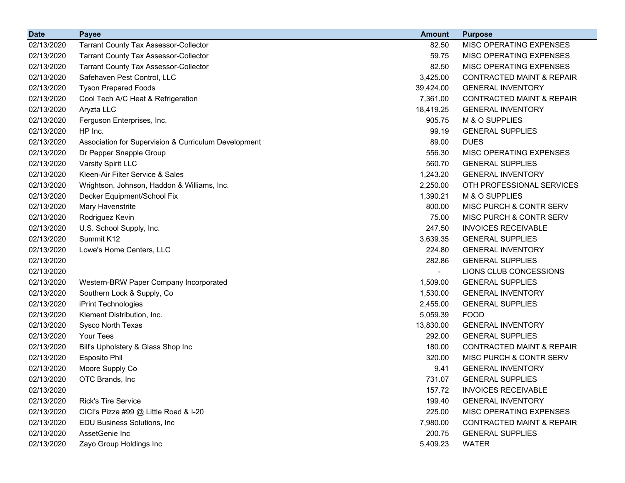| <b>Date</b> | <b>Payee</b>                                         | <b>Amount</b> | <b>Purpose</b>                       |
|-------------|------------------------------------------------------|---------------|--------------------------------------|
| 02/13/2020  | <b>Tarrant County Tax Assessor-Collector</b>         | 82.50         | MISC OPERATING EXPENSES              |
| 02/13/2020  | <b>Tarrant County Tax Assessor-Collector</b>         | 59.75         | MISC OPERATING EXPENSES              |
| 02/13/2020  | <b>Tarrant County Tax Assessor-Collector</b>         | 82.50         | MISC OPERATING EXPENSES              |
| 02/13/2020  | Safehaven Pest Control, LLC                          | 3,425.00      | <b>CONTRACTED MAINT &amp; REPAIR</b> |
| 02/13/2020  | <b>Tyson Prepared Foods</b>                          | 39,424.00     | <b>GENERAL INVENTORY</b>             |
| 02/13/2020  | Cool Tech A/C Heat & Refrigeration                   | 7,361.00      | <b>CONTRACTED MAINT &amp; REPAIR</b> |
| 02/13/2020  | Aryzta LLC                                           | 18,419.25     | <b>GENERAL INVENTORY</b>             |
| 02/13/2020  | Ferguson Enterprises, Inc.                           | 905.75        | M & O SUPPLIES                       |
| 02/13/2020  | HP Inc.                                              | 99.19         | <b>GENERAL SUPPLIES</b>              |
| 02/13/2020  | Association for Supervision & Curriculum Development | 89.00         | <b>DUES</b>                          |
| 02/13/2020  | Dr Pepper Snapple Group                              | 556.30        | MISC OPERATING EXPENSES              |
| 02/13/2020  | Varsity Spirit LLC                                   | 560.70        | <b>GENERAL SUPPLIES</b>              |
| 02/13/2020  | Kleen-Air Filter Service & Sales                     | 1,243.20      | <b>GENERAL INVENTORY</b>             |
| 02/13/2020  | Wrightson, Johnson, Haddon & Williams, Inc.          | 2,250.00      | OTH PROFESSIONAL SERVICES            |
| 02/13/2020  | Decker Equipment/School Fix                          | 1,390.21      | M & O SUPPLIES                       |
| 02/13/2020  | Mary Havenstrite                                     | 800.00        | MISC PURCH & CONTR SERV              |
| 02/13/2020  | Rodriguez Kevin                                      | 75.00         | MISC PURCH & CONTR SERV              |
| 02/13/2020  | U.S. School Supply, Inc.                             | 247.50        | <b>INVOICES RECEIVABLE</b>           |
| 02/13/2020  | Summit K12                                           | 3,639.35      | <b>GENERAL SUPPLIES</b>              |
| 02/13/2020  | Lowe's Home Centers, LLC                             | 224.80        | <b>GENERAL INVENTORY</b>             |
| 02/13/2020  |                                                      | 282.86        | <b>GENERAL SUPPLIES</b>              |
| 02/13/2020  |                                                      |               | LIONS CLUB CONCESSIONS               |
| 02/13/2020  | Western-BRW Paper Company Incorporated               | 1,509.00      | <b>GENERAL SUPPLIES</b>              |
| 02/13/2020  | Southern Lock & Supply, Co                           | 1,530.00      | <b>GENERAL INVENTORY</b>             |
| 02/13/2020  | iPrint Technologies                                  | 2,455.00      | <b>GENERAL SUPPLIES</b>              |
| 02/13/2020  | Klement Distribution, Inc.                           | 5,059.39      | <b>FOOD</b>                          |
| 02/13/2020  | Sysco North Texas                                    | 13,830.00     | <b>GENERAL INVENTORY</b>             |
| 02/13/2020  | Your Tees                                            | 292.00        | <b>GENERAL SUPPLIES</b>              |
| 02/13/2020  | Bill's Upholstery & Glass Shop Inc                   | 180.00        | <b>CONTRACTED MAINT &amp; REPAIR</b> |
| 02/13/2020  | <b>Esposito Phil</b>                                 | 320.00        | MISC PURCH & CONTR SERV              |
| 02/13/2020  | Moore Supply Co                                      | 9.41          | <b>GENERAL INVENTORY</b>             |
| 02/13/2020  | OTC Brands, Inc                                      | 731.07        | <b>GENERAL SUPPLIES</b>              |
| 02/13/2020  |                                                      | 157.72        | <b>INVOICES RECEIVABLE</b>           |
| 02/13/2020  | Rick's Tire Service                                  | 199.40        | <b>GENERAL INVENTORY</b>             |
| 02/13/2020  | CICI's Pizza #99 @ Little Road & I-20                | 225.00        | MISC OPERATING EXPENSES              |
| 02/13/2020  | EDU Business Solutions, Inc.                         | 7,980.00      | <b>CONTRACTED MAINT &amp; REPAIR</b> |
| 02/13/2020  | AssetGenie Inc                                       | 200.75        | <b>GENERAL SUPPLIES</b>              |
| 02/13/2020  | Zayo Group Holdings Inc                              | 5,409.23      | <b>WATER</b>                         |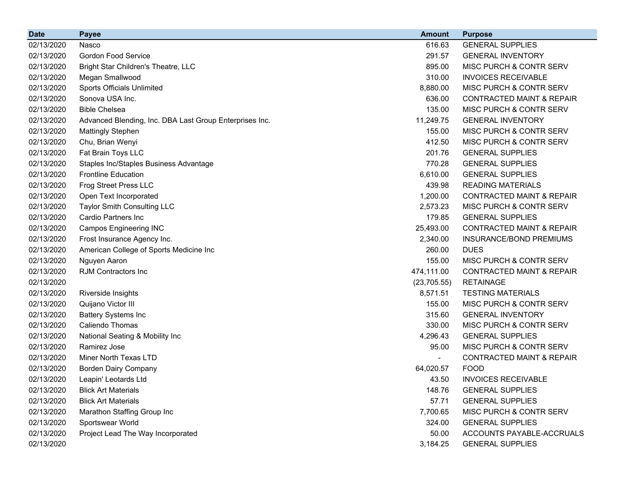| <b>Date</b> | <b>Payee</b>                                            | <b>Amount</b> | <b>Purpose</b>                       |
|-------------|---------------------------------------------------------|---------------|--------------------------------------|
| 02/13/2020  | Nasco                                                   | 616.63        | <b>GENERAL SUPPLIES</b>              |
| 02/13/2020  | <b>Gordon Food Service</b>                              | 291.57        | <b>GENERAL INVENTORY</b>             |
| 02/13/2020  | Bright Star Children's Theatre, LLC                     | 895.00        | MISC PURCH & CONTR SERV              |
| 02/13/2020  | Megan Smallwood                                         | 310.00        | <b>INVOICES RECEIVABLE</b>           |
| 02/13/2020  | <b>Sports Officials Unlimited</b>                       | 8,880.00      | MISC PURCH & CONTR SERV              |
| 02/13/2020  | Sonova USA Inc.                                         | 636.00        | <b>CONTRACTED MAINT &amp; REPAIR</b> |
| 02/13/2020  | <b>Bible Chelsea</b>                                    | 135.00        | MISC PURCH & CONTR SERV              |
| 02/13/2020  | Advanced Blending, Inc. DBA Last Group Enterprises Inc. | 11,249.75     | <b>GENERAL INVENTORY</b>             |
| 02/13/2020  | <b>Mattingly Stephen</b>                                | 155.00        | MISC PURCH & CONTR SERV              |
| 02/13/2020  | Chu, Brian Wenyi                                        | 412.50        | MISC PURCH & CONTR SERV              |
| 02/13/2020  | Fat Brain Toys LLC                                      | 201.76        | <b>GENERAL SUPPLIES</b>              |
| 02/13/2020  | Staples Inc/Staples Business Advantage                  | 770.28        | <b>GENERAL SUPPLIES</b>              |
| 02/13/2020  | <b>Frontline Education</b>                              | 6,610.00      | <b>GENERAL SUPPLIES</b>              |
| 02/13/2020  | Frog Street Press LLC                                   | 439.98        | <b>READING MATERIALS</b>             |
| 02/13/2020  | Open Text Incorporated                                  | 1,200.00      | <b>CONTRACTED MAINT &amp; REPAIR</b> |
| 02/13/2020  | <b>Taylor Smith Consulting LLC</b>                      | 2,573.23      | MISC PURCH & CONTR SERV              |
| 02/13/2020  | Cardio Partners Inc                                     | 179.85        | <b>GENERAL SUPPLIES</b>              |
| 02/13/2020  | <b>Campos Engineering INC</b>                           | 25,493.00     | <b>CONTRACTED MAINT &amp; REPAIR</b> |
| 02/13/2020  | Frost Insurance Agency Inc.                             | 2,340.00      | INSURANCE/BOND PREMIUMS              |
| 02/13/2020  | American College of Sports Medicine Inc                 | 260.00        | <b>DUES</b>                          |
| 02/13/2020  | Nguyen Aaron                                            | 155.00        | MISC PURCH & CONTR SERV              |
| 02/13/2020  | <b>RJM Contractors Inc</b>                              | 474,111.00    | <b>CONTRACTED MAINT &amp; REPAIR</b> |
| 02/13/2020  |                                                         | (23, 705.55)  | <b>RETAINAGE</b>                     |
| 02/13/2020  | Riverside Insights                                      | 8,571.51      | <b>TESTING MATERIALS</b>             |
| 02/13/2020  | Quijano Victor III                                      | 155.00        | MISC PURCH & CONTR SERV              |
| 02/13/2020  | <b>Battery Systems Inc</b>                              | 315.60        | <b>GENERAL INVENTORY</b>             |
| 02/13/2020  | Caliendo Thomas                                         | 330.00        | MISC PURCH & CONTR SERV              |
| 02/13/2020  | National Seating & Mobility Inc                         | 4,296.43      | <b>GENERAL SUPPLIES</b>              |
| 02/13/2020  | Ramirez Jose                                            | 95.00         | MISC PURCH & CONTR SERV              |
| 02/13/2020  | Miner North Texas LTD                                   |               | <b>CONTRACTED MAINT &amp; REPAIR</b> |
| 02/13/2020  | <b>Borden Dairy Company</b>                             | 64,020.57     | <b>FOOD</b>                          |
| 02/13/2020  | Leapin' Leotards Ltd                                    | 43.50         | <b>INVOICES RECEIVABLE</b>           |
| 02/13/2020  | <b>Blick Art Materials</b>                              | 148.76        | <b>GENERAL SUPPLIES</b>              |
| 02/13/2020  | <b>Blick Art Materials</b>                              | 57.71         | <b>GENERAL SUPPLIES</b>              |
| 02/13/2020  | Marathon Staffing Group Inc                             | 7,700.65      | MISC PURCH & CONTR SERV              |
| 02/13/2020  | Sportswear World                                        | 324.00        | <b>GENERAL SUPPLIES</b>              |
| 02/13/2020  | Project Lead The Way Incorporated                       | 50.00         | ACCOUNTS PAYABLE-ACCRUALS            |
| 02/13/2020  |                                                         | 3,184.25      | <b>GENERAL SUPPLIES</b>              |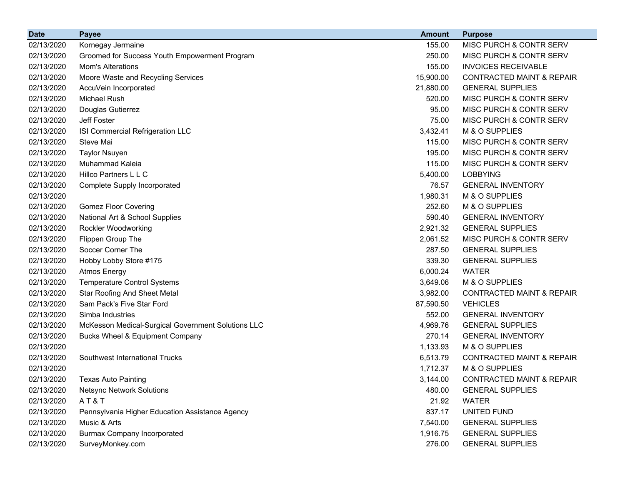| <b>Date</b> | <b>Payee</b>                                       | <b>Amount</b> | <b>Purpose</b>                       |
|-------------|----------------------------------------------------|---------------|--------------------------------------|
| 02/13/2020  | Kornegay Jermaine                                  | 155.00        | MISC PURCH & CONTR SERV              |
| 02/13/2020  | Groomed for Success Youth Empowerment Program      | 250.00        | MISC PURCH & CONTR SERV              |
| 02/13/2020  | <b>Mom's Alterations</b>                           | 155.00        | <b>INVOICES RECEIVABLE</b>           |
| 02/13/2020  | Moore Waste and Recycling Services                 | 15,900.00     | <b>CONTRACTED MAINT &amp; REPAIR</b> |
| 02/13/2020  | AccuVein Incorporated                              | 21,880.00     | <b>GENERAL SUPPLIES</b>              |
| 02/13/2020  | Michael Rush                                       | 520.00        | MISC PURCH & CONTR SERV              |
| 02/13/2020  | Douglas Gutierrez                                  | 95.00         | MISC PURCH & CONTR SERV              |
| 02/13/2020  | Jeff Foster                                        | 75.00         | MISC PURCH & CONTR SERV              |
| 02/13/2020  | ISI Commercial Refrigeration LLC                   | 3,432.41      | M & O SUPPLIES                       |
| 02/13/2020  | Steve Mai                                          | 115.00        | MISC PURCH & CONTR SERV              |
| 02/13/2020  | <b>Taylor Nsuyen</b>                               | 195.00        | MISC PURCH & CONTR SERV              |
| 02/13/2020  | Muhammad Kaleia                                    | 115.00        | MISC PURCH & CONTR SERV              |
| 02/13/2020  | Hillco Partners L L C                              | 5,400.00      | <b>LOBBYING</b>                      |
| 02/13/2020  | Complete Supply Incorporated                       | 76.57         | <b>GENERAL INVENTORY</b>             |
| 02/13/2020  |                                                    | 1,980.31      | M & O SUPPLIES                       |
| 02/13/2020  | <b>Gomez Floor Covering</b>                        | 252.60        | M & O SUPPLIES                       |
| 02/13/2020  | National Art & School Supplies                     | 590.40        | <b>GENERAL INVENTORY</b>             |
| 02/13/2020  | Rockler Woodworking                                | 2,921.32      | <b>GENERAL SUPPLIES</b>              |
| 02/13/2020  | Flippen Group The                                  | 2,061.52      | MISC PURCH & CONTR SERV              |
| 02/13/2020  | Soccer Corner The                                  | 287.50        | <b>GENERAL SUPPLIES</b>              |
| 02/13/2020  | Hobby Lobby Store #175                             | 339.30        | <b>GENERAL SUPPLIES</b>              |
| 02/13/2020  | <b>Atmos Energy</b>                                | 6,000.24      | <b>WATER</b>                         |
| 02/13/2020  | <b>Temperature Control Systems</b>                 | 3,649.06      | M & O SUPPLIES                       |
| 02/13/2020  | <b>Star Roofing And Sheet Metal</b>                | 3,982.00      | <b>CONTRACTED MAINT &amp; REPAIR</b> |
| 02/13/2020  | Sam Pack's Five Star Ford                          | 87,590.50     | <b>VEHICLES</b>                      |
| 02/13/2020  | Simba Industries                                   | 552.00        | <b>GENERAL INVENTORY</b>             |
| 02/13/2020  | McKesson Medical-Surgical Government Solutions LLC | 4,969.76      | <b>GENERAL SUPPLIES</b>              |
| 02/13/2020  | Bucks Wheel & Equipment Company                    | 270.14        | <b>GENERAL INVENTORY</b>             |
| 02/13/2020  |                                                    | 1,133.93      | M & O SUPPLIES                       |
| 02/13/2020  | Southwest International Trucks                     | 6,513.79      | <b>CONTRACTED MAINT &amp; REPAIR</b> |
| 02/13/2020  |                                                    | 1,712.37      | M & O SUPPLIES                       |
| 02/13/2020  | <b>Texas Auto Painting</b>                         | 3,144.00      | CONTRACTED MAINT & REPAIR            |
| 02/13/2020  | <b>Netsync Network Solutions</b>                   | 480.00        | <b>GENERAL SUPPLIES</b>              |
| 02/13/2020  | AT&T                                               | 21.92         | <b>WATER</b>                         |
| 02/13/2020  | Pennsylvania Higher Education Assistance Agency    | 837.17        | UNITED FUND                          |
| 02/13/2020  | Music & Arts                                       | 7,540.00      | <b>GENERAL SUPPLIES</b>              |
| 02/13/2020  | <b>Burmax Company Incorporated</b>                 | 1,916.75      | <b>GENERAL SUPPLIES</b>              |
| 02/13/2020  | SurveyMonkey.com                                   | 276.00        | <b>GENERAL SUPPLIES</b>              |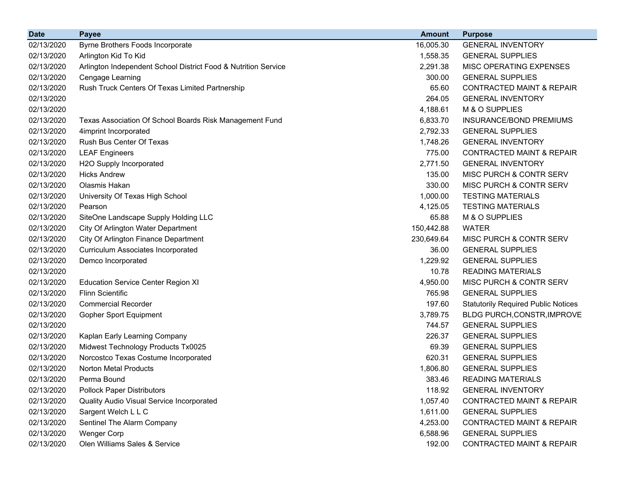| <b>Date</b> | <b>Payee</b>                                                   | <b>Amount</b> | <b>Purpose</b>                             |
|-------------|----------------------------------------------------------------|---------------|--------------------------------------------|
| 02/13/2020  | Byrne Brothers Foods Incorporate                               | 16,005.30     | <b>GENERAL INVENTORY</b>                   |
| 02/13/2020  | Arlington Kid To Kid                                           | 1,558.35      | <b>GENERAL SUPPLIES</b>                    |
| 02/13/2020  | Arlington Independent School District Food & Nutrition Service | 2,291.38      | MISC OPERATING EXPENSES                    |
| 02/13/2020  | Cengage Learning                                               | 300.00        | <b>GENERAL SUPPLIES</b>                    |
| 02/13/2020  | Rush Truck Centers Of Texas Limited Partnership                | 65.60         | <b>CONTRACTED MAINT &amp; REPAIR</b>       |
| 02/13/2020  |                                                                | 264.05        | <b>GENERAL INVENTORY</b>                   |
| 02/13/2020  |                                                                | 4,188.61      | M & O SUPPLIES                             |
| 02/13/2020  | Texas Association Of School Boards Risk Management Fund        | 6,833.70      | <b>INSURANCE/BOND PREMIUMS</b>             |
| 02/13/2020  | 4imprint Incorporated                                          | 2,792.33      | <b>GENERAL SUPPLIES</b>                    |
| 02/13/2020  | Rush Bus Center Of Texas                                       | 1,748.26      | <b>GENERAL INVENTORY</b>                   |
| 02/13/2020  | <b>LEAF Engineers</b>                                          | 775.00        | <b>CONTRACTED MAINT &amp; REPAIR</b>       |
| 02/13/2020  | H2O Supply Incorporated                                        | 2,771.50      | <b>GENERAL INVENTORY</b>                   |
| 02/13/2020  | <b>Hicks Andrew</b>                                            | 135.00        | MISC PURCH & CONTR SERV                    |
| 02/13/2020  | Olasmis Hakan                                                  | 330.00        | <b>MISC PURCH &amp; CONTR SERV</b>         |
| 02/13/2020  | University Of Texas High School                                | 1,000.00      | <b>TESTING MATERIALS</b>                   |
| 02/13/2020  | Pearson                                                        | 4,125.05      | <b>TESTING MATERIALS</b>                   |
| 02/13/2020  | SiteOne Landscape Supply Holding LLC                           | 65.88         | M & O SUPPLIES                             |
| 02/13/2020  | City Of Arlington Water Department                             | 150,442.88    | <b>WATER</b>                               |
| 02/13/2020  | City Of Arlington Finance Department                           | 230,649.64    | MISC PURCH & CONTR SERV                    |
| 02/13/2020  | <b>Curriculum Associates Incorporated</b>                      | 36.00         | <b>GENERAL SUPPLIES</b>                    |
| 02/13/2020  | Demco Incorporated                                             | 1,229.92      | <b>GENERAL SUPPLIES</b>                    |
| 02/13/2020  |                                                                | 10.78         | <b>READING MATERIALS</b>                   |
| 02/13/2020  | <b>Education Service Center Region XI</b>                      | 4,950.00      | MISC PURCH & CONTR SERV                    |
| 02/13/2020  | <b>Flinn Scientific</b>                                        | 765.98        | <b>GENERAL SUPPLIES</b>                    |
| 02/13/2020  | <b>Commercial Recorder</b>                                     | 197.60        | <b>Statutorily Required Public Notices</b> |
| 02/13/2020  | <b>Gopher Sport Equipment</b>                                  | 3,789.75      | BLDG PURCH, CONSTR, IMPROVE                |
| 02/13/2020  |                                                                | 744.57        | <b>GENERAL SUPPLIES</b>                    |
| 02/13/2020  | Kaplan Early Learning Company                                  | 226.37        | <b>GENERAL SUPPLIES</b>                    |
| 02/13/2020  | Midwest Technology Products Tx0025                             | 69.39         | <b>GENERAL SUPPLIES</b>                    |
| 02/13/2020  | Norcostco Texas Costume Incorporated                           | 620.31        | <b>GENERAL SUPPLIES</b>                    |
| 02/13/2020  | <b>Norton Metal Products</b>                                   | 1,806.80      | <b>GENERAL SUPPLIES</b>                    |
| 02/13/2020  | Perma Bound                                                    | 383.46        | <b>READING MATERIALS</b>                   |
| 02/13/2020  | <b>Pollock Paper Distributors</b>                              | 118.92        | <b>GENERAL INVENTORY</b>                   |
| 02/13/2020  | Quality Audio Visual Service Incorporated                      | 1,057.40      | <b>CONTRACTED MAINT &amp; REPAIR</b>       |
| 02/13/2020  | Sargent Welch L L C                                            | 1,611.00      | <b>GENERAL SUPPLIES</b>                    |
| 02/13/2020  | Sentinel The Alarm Company                                     | 4,253.00      | <b>CONTRACTED MAINT &amp; REPAIR</b>       |
| 02/13/2020  | <b>Wenger Corp</b>                                             | 6,588.96      | <b>GENERAL SUPPLIES</b>                    |
| 02/13/2020  | Olen Williams Sales & Service                                  | 192.00        | <b>CONTRACTED MAINT &amp; REPAIR</b>       |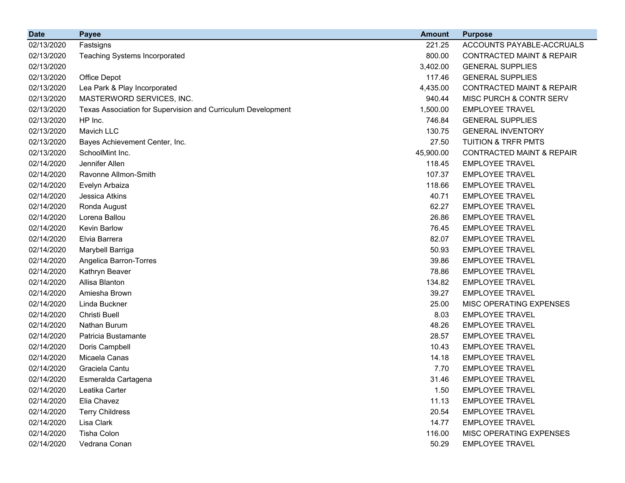| <b>Date</b> | <b>Payee</b>                                                 | <b>Amount</b> | <b>Purpose</b>                       |
|-------------|--------------------------------------------------------------|---------------|--------------------------------------|
| 02/13/2020  | Fastsigns                                                    | 221.25        | ACCOUNTS PAYABLE-ACCRUALS            |
| 02/13/2020  | <b>Teaching Systems Incorporated</b>                         | 800.00        | <b>CONTRACTED MAINT &amp; REPAIR</b> |
| 02/13/2020  |                                                              | 3,402.00      | <b>GENERAL SUPPLIES</b>              |
| 02/13/2020  | Office Depot                                                 | 117.46        | <b>GENERAL SUPPLIES</b>              |
| 02/13/2020  | Lea Park & Play Incorporated                                 | 4,435.00      | <b>CONTRACTED MAINT &amp; REPAIR</b> |
| 02/13/2020  | MASTERWORD SERVICES, INC.                                    | 940.44        | MISC PURCH & CONTR SERV              |
| 02/13/2020  | Texas Association for Supervision and Curriculum Development | 1,500.00      | <b>EMPLOYEE TRAVEL</b>               |
| 02/13/2020  | HP Inc.                                                      | 746.84        | <b>GENERAL SUPPLIES</b>              |
| 02/13/2020  | Mavich LLC                                                   | 130.75        | <b>GENERAL INVENTORY</b>             |
| 02/13/2020  | Bayes Achievement Center, Inc.                               | 27.50         | <b>TUITION &amp; TRFR PMTS</b>       |
| 02/13/2020  | SchoolMint Inc.                                              | 45,900.00     | <b>CONTRACTED MAINT &amp; REPAIR</b> |
| 02/14/2020  | Jennifer Allen                                               | 118.45        | <b>EMPLOYEE TRAVEL</b>               |
| 02/14/2020  | Ravonne Allmon-Smith                                         | 107.37        | <b>EMPLOYEE TRAVEL</b>               |
| 02/14/2020  | Evelyn Arbaiza                                               | 118.66        | <b>EMPLOYEE TRAVEL</b>               |
| 02/14/2020  | Jessica Atkins                                               | 40.71         | <b>EMPLOYEE TRAVEL</b>               |
| 02/14/2020  | Ronda August                                                 | 62.27         | <b>EMPLOYEE TRAVEL</b>               |
| 02/14/2020  | Lorena Ballou                                                | 26.86         | <b>EMPLOYEE TRAVEL</b>               |
| 02/14/2020  | Kevin Barlow                                                 | 76.45         | <b>EMPLOYEE TRAVEL</b>               |
| 02/14/2020  | Elvia Barrera                                                | 82.07         | <b>EMPLOYEE TRAVEL</b>               |
| 02/14/2020  | Marybell Barriga                                             | 50.93         | <b>EMPLOYEE TRAVEL</b>               |
| 02/14/2020  | Angelica Barron-Torres                                       | 39.86         | <b>EMPLOYEE TRAVEL</b>               |
| 02/14/2020  | Kathryn Beaver                                               | 78.86         | <b>EMPLOYEE TRAVEL</b>               |
| 02/14/2020  | Allisa Blanton                                               | 134.82        | <b>EMPLOYEE TRAVEL</b>               |
| 02/14/2020  | Amiesha Brown                                                | 39.27         | <b>EMPLOYEE TRAVEL</b>               |
| 02/14/2020  | Linda Buckner                                                | 25.00         | MISC OPERATING EXPENSES              |
| 02/14/2020  | Christi Buell                                                | 8.03          | <b>EMPLOYEE TRAVEL</b>               |
| 02/14/2020  | Nathan Burum                                                 | 48.26         | <b>EMPLOYEE TRAVEL</b>               |
| 02/14/2020  | Patricia Bustamante                                          | 28.57         | <b>EMPLOYEE TRAVEL</b>               |
| 02/14/2020  | Doris Campbell                                               | 10.43         | <b>EMPLOYEE TRAVEL</b>               |
| 02/14/2020  | Micaela Canas                                                | 14.18         | <b>EMPLOYEE TRAVEL</b>               |
| 02/14/2020  | Graciela Cantu                                               | 7.70          | <b>EMPLOYEE TRAVEL</b>               |
| 02/14/2020  | Esmeralda Cartagena                                          | 31.46         | <b>EMPLOYEE TRAVEL</b>               |
| 02/14/2020  | Leatika Carter                                               | 1.50          | <b>EMPLOYEE TRAVEL</b>               |
| 02/14/2020  | Elia Chavez                                                  | 11.13         | <b>EMPLOYEE TRAVEL</b>               |
| 02/14/2020  | <b>Terry Childress</b>                                       | 20.54         | <b>EMPLOYEE TRAVEL</b>               |
| 02/14/2020  | Lisa Clark                                                   | 14.77         | <b>EMPLOYEE TRAVEL</b>               |
| 02/14/2020  | Tisha Colon                                                  | 116.00        | MISC OPERATING EXPENSES              |
| 02/14/2020  | Vedrana Conan                                                | 50.29         | <b>EMPLOYEE TRAVEL</b>               |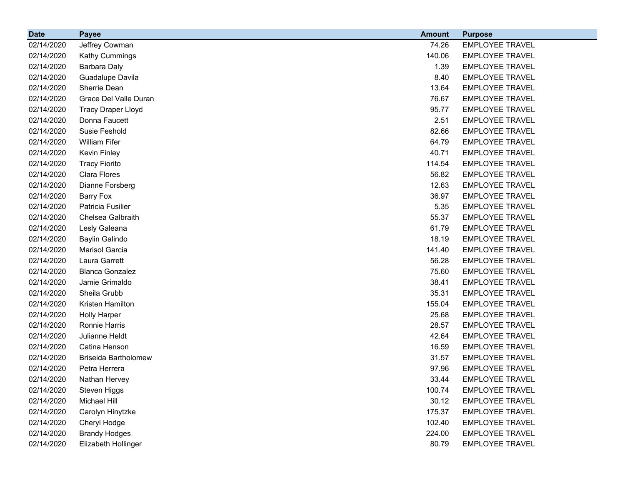| <b>Date</b> | <b>Payee</b>                | <b>Amount</b> | <b>Purpose</b>         |
|-------------|-----------------------------|---------------|------------------------|
| 02/14/2020  | Jeffrey Cowman              | 74.26         | <b>EMPLOYEE TRAVEL</b> |
| 02/14/2020  | Kathy Cummings              | 140.06        | <b>EMPLOYEE TRAVEL</b> |
| 02/14/2020  | Barbara Daly                | 1.39          | <b>EMPLOYEE TRAVEL</b> |
| 02/14/2020  | Guadalupe Davila            | 8.40          | <b>EMPLOYEE TRAVEL</b> |
| 02/14/2020  | Sherrie Dean                | 13.64         | <b>EMPLOYEE TRAVEL</b> |
| 02/14/2020  | Grace Del Valle Duran       | 76.67         | <b>EMPLOYEE TRAVEL</b> |
| 02/14/2020  | <b>Tracy Draper Lloyd</b>   | 95.77         | <b>EMPLOYEE TRAVEL</b> |
| 02/14/2020  | Donna Faucett               | 2.51          | <b>EMPLOYEE TRAVEL</b> |
| 02/14/2020  | Susie Feshold               | 82.66         | <b>EMPLOYEE TRAVEL</b> |
| 02/14/2020  | <b>William Fifer</b>        | 64.79         | <b>EMPLOYEE TRAVEL</b> |
| 02/14/2020  | Kevin Finley                | 40.71         | <b>EMPLOYEE TRAVEL</b> |
| 02/14/2020  | <b>Tracy Fiorito</b>        | 114.54        | <b>EMPLOYEE TRAVEL</b> |
| 02/14/2020  | Clara Flores                | 56.82         | <b>EMPLOYEE TRAVEL</b> |
| 02/14/2020  | Dianne Forsberg             | 12.63         | <b>EMPLOYEE TRAVEL</b> |
| 02/14/2020  | <b>Barry Fox</b>            | 36.97         | <b>EMPLOYEE TRAVEL</b> |
| 02/14/2020  | Patricia Fusilier           | 5.35          | <b>EMPLOYEE TRAVEL</b> |
| 02/14/2020  | Chelsea Galbraith           | 55.37         | <b>EMPLOYEE TRAVEL</b> |
| 02/14/2020  | Lesly Galeana               | 61.79         | <b>EMPLOYEE TRAVEL</b> |
| 02/14/2020  | <b>Baylin Galindo</b>       | 18.19         | <b>EMPLOYEE TRAVEL</b> |
| 02/14/2020  | Marisol Garcia              | 141.40        | <b>EMPLOYEE TRAVEL</b> |
| 02/14/2020  | Laura Garrett               | 56.28         | <b>EMPLOYEE TRAVEL</b> |
| 02/14/2020  | <b>Blanca Gonzalez</b>      | 75.60         | <b>EMPLOYEE TRAVEL</b> |
| 02/14/2020  | Jamie Grimaldo              | 38.41         | <b>EMPLOYEE TRAVEL</b> |
| 02/14/2020  | Sheila Grubb                | 35.31         | <b>EMPLOYEE TRAVEL</b> |
| 02/14/2020  | Kristen Hamilton            | 155.04        | <b>EMPLOYEE TRAVEL</b> |
| 02/14/2020  | <b>Holly Harper</b>         | 25.68         | <b>EMPLOYEE TRAVEL</b> |
| 02/14/2020  | Ronnie Harris               | 28.57         | <b>EMPLOYEE TRAVEL</b> |
| 02/14/2020  | Julianne Heldt              | 42.64         | <b>EMPLOYEE TRAVEL</b> |
| 02/14/2020  | Catina Henson               | 16.59         | <b>EMPLOYEE TRAVEL</b> |
| 02/14/2020  | <b>Briseida Bartholomew</b> | 31.57         | <b>EMPLOYEE TRAVEL</b> |
| 02/14/2020  | Petra Herrera               | 97.96         | <b>EMPLOYEE TRAVEL</b> |
| 02/14/2020  | Nathan Hervey               | 33.44         | <b>EMPLOYEE TRAVEL</b> |
| 02/14/2020  | Steven Higgs                | 100.74        | <b>EMPLOYEE TRAVEL</b> |
| 02/14/2020  | Michael Hill                | 30.12         | <b>EMPLOYEE TRAVEL</b> |
| 02/14/2020  | Carolyn Hinytzke            | 175.37        | <b>EMPLOYEE TRAVEL</b> |
| 02/14/2020  | Cheryl Hodge                | 102.40        | <b>EMPLOYEE TRAVEL</b> |
| 02/14/2020  | <b>Brandy Hodges</b>        | 224.00        | <b>EMPLOYEE TRAVEL</b> |
| 02/14/2020  | Elizabeth Hollinger         | 80.79         | <b>EMPLOYEE TRAVEL</b> |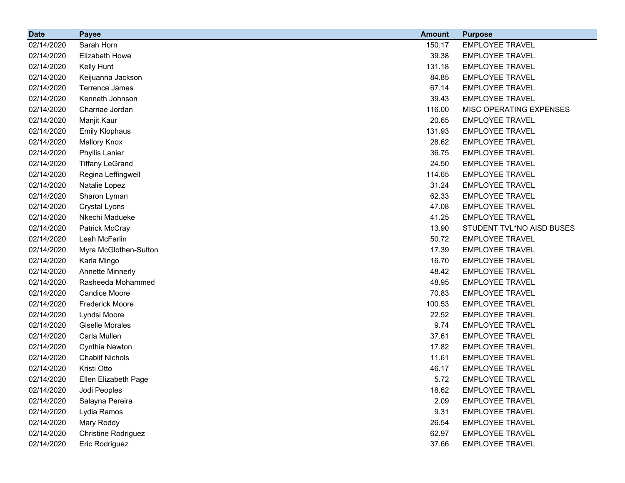| <b>Date</b> | <b>Payee</b>               | <b>Amount</b> | <b>Purpose</b>            |
|-------------|----------------------------|---------------|---------------------------|
| 02/14/2020  | Sarah Horn                 | 150.17        | <b>EMPLOYEE TRAVEL</b>    |
| 02/14/2020  | Elizabeth Howe             | 39.38         | <b>EMPLOYEE TRAVEL</b>    |
| 02/14/2020  | Kelly Hunt                 | 131.18        | <b>EMPLOYEE TRAVEL</b>    |
| 02/14/2020  | Keijuanna Jackson          | 84.85         | <b>EMPLOYEE TRAVEL</b>    |
| 02/14/2020  | Terrence James             | 67.14         | <b>EMPLOYEE TRAVEL</b>    |
| 02/14/2020  | Kenneth Johnson            | 39.43         | <b>EMPLOYEE TRAVEL</b>    |
| 02/14/2020  | Charnae Jordan             | 116.00        | MISC OPERATING EXPENSES   |
| 02/14/2020  | Manjit Kaur                | 20.65         | <b>EMPLOYEE TRAVEL</b>    |
| 02/14/2020  | <b>Emily Klophaus</b>      | 131.93        | <b>EMPLOYEE TRAVEL</b>    |
| 02/14/2020  | <b>Mallory Knox</b>        | 28.62         | <b>EMPLOYEE TRAVEL</b>    |
| 02/14/2020  | <b>Phyllis Lanier</b>      | 36.75         | <b>EMPLOYEE TRAVEL</b>    |
| 02/14/2020  | <b>Tiffany LeGrand</b>     | 24.50         | <b>EMPLOYEE TRAVEL</b>    |
| 02/14/2020  | Regina Leffingwell         | 114.65        | <b>EMPLOYEE TRAVEL</b>    |
| 02/14/2020  | Natalie Lopez              | 31.24         | <b>EMPLOYEE TRAVEL</b>    |
| 02/14/2020  | Sharon Lyman               | 62.33         | <b>EMPLOYEE TRAVEL</b>    |
| 02/14/2020  | <b>Crystal Lyons</b>       | 47.08         | <b>EMPLOYEE TRAVEL</b>    |
| 02/14/2020  | Nkechi Madueke             | 41.25         | <b>EMPLOYEE TRAVEL</b>    |
| 02/14/2020  | Patrick McCray             | 13.90         | STUDENT TVL*NO AISD BUSES |
| 02/14/2020  | Leah McFarlin              | 50.72         | <b>EMPLOYEE TRAVEL</b>    |
| 02/14/2020  | Myra McGlothen-Sutton      | 17.39         | <b>EMPLOYEE TRAVEL</b>    |
| 02/14/2020  | Karla Mingo                | 16.70         | <b>EMPLOYEE TRAVEL</b>    |
| 02/14/2020  | <b>Annette Minnerly</b>    | 48.42         | <b>EMPLOYEE TRAVEL</b>    |
| 02/14/2020  | Rasheeda Mohammed          | 48.95         | <b>EMPLOYEE TRAVEL</b>    |
| 02/14/2020  | <b>Candice Moore</b>       | 70.83         | <b>EMPLOYEE TRAVEL</b>    |
| 02/14/2020  | <b>Frederick Moore</b>     | 100.53        | <b>EMPLOYEE TRAVEL</b>    |
| 02/14/2020  | Lyndsi Moore               | 22.52         | <b>EMPLOYEE TRAVEL</b>    |
| 02/14/2020  | <b>Giselle Morales</b>     | 9.74          | <b>EMPLOYEE TRAVEL</b>    |
| 02/14/2020  | Carla Mullen               | 37.61         | <b>EMPLOYEE TRAVEL</b>    |
| 02/14/2020  | Cynthia Newton             | 17.82         | <b>EMPLOYEE TRAVEL</b>    |
| 02/14/2020  | <b>Chablif Nichols</b>     | 11.61         | <b>EMPLOYEE TRAVEL</b>    |
| 02/14/2020  | Kristi Otto                | 46.17         | <b>EMPLOYEE TRAVEL</b>    |
| 02/14/2020  | Ellen Elizabeth Page       | 5.72          | <b>EMPLOYEE TRAVEL</b>    |
| 02/14/2020  | Jodi Peoples               | 18.62         | <b>EMPLOYEE TRAVEL</b>    |
| 02/14/2020  | Salayna Pereira            | 2.09          | <b>EMPLOYEE TRAVEL</b>    |
| 02/14/2020  | Lydia Ramos                | 9.31          | <b>EMPLOYEE TRAVEL</b>    |
| 02/14/2020  | Mary Roddy                 | 26.54         | <b>EMPLOYEE TRAVEL</b>    |
| 02/14/2020  | <b>Christine Rodriguez</b> | 62.97         | <b>EMPLOYEE TRAVEL</b>    |
| 02/14/2020  | Eric Rodriguez             | 37.66         | <b>EMPLOYEE TRAVEL</b>    |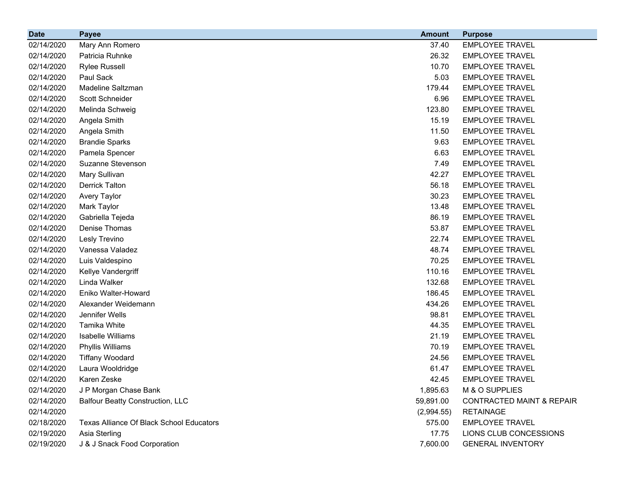| <b>Date</b> | <b>Payee</b>                                    | <b>Amount</b> | <b>Purpose</b>                       |
|-------------|-------------------------------------------------|---------------|--------------------------------------|
| 02/14/2020  | Mary Ann Romero                                 | 37.40         | <b>EMPLOYEE TRAVEL</b>               |
| 02/14/2020  | Patricia Ruhnke                                 | 26.32         | <b>EMPLOYEE TRAVEL</b>               |
| 02/14/2020  | <b>Rylee Russell</b>                            | 10.70         | <b>EMPLOYEE TRAVEL</b>               |
| 02/14/2020  | Paul Sack                                       | 5.03          | <b>EMPLOYEE TRAVEL</b>               |
| 02/14/2020  | Madeline Saltzman                               | 179.44        | <b>EMPLOYEE TRAVEL</b>               |
| 02/14/2020  | Scott Schneider                                 | 6.96          | <b>EMPLOYEE TRAVEL</b>               |
| 02/14/2020  | Melinda Schweig                                 | 123.80        | <b>EMPLOYEE TRAVEL</b>               |
| 02/14/2020  | Angela Smith                                    | 15.19         | <b>EMPLOYEE TRAVEL</b>               |
| 02/14/2020  | Angela Smith                                    | 11.50         | <b>EMPLOYEE TRAVEL</b>               |
| 02/14/2020  | <b>Brandie Sparks</b>                           | 9.63          | <b>EMPLOYEE TRAVEL</b>               |
| 02/14/2020  | Pamela Spencer                                  | 6.63          | <b>EMPLOYEE TRAVEL</b>               |
| 02/14/2020  | Suzanne Stevenson                               | 7.49          | <b>EMPLOYEE TRAVEL</b>               |
| 02/14/2020  | Mary Sullivan                                   | 42.27         | <b>EMPLOYEE TRAVEL</b>               |
| 02/14/2020  | <b>Derrick Talton</b>                           | 56.18         | <b>EMPLOYEE TRAVEL</b>               |
| 02/14/2020  | Avery Taylor                                    | 30.23         | <b>EMPLOYEE TRAVEL</b>               |
| 02/14/2020  | Mark Taylor                                     | 13.48         | <b>EMPLOYEE TRAVEL</b>               |
| 02/14/2020  | Gabriella Tejeda                                | 86.19         | <b>EMPLOYEE TRAVEL</b>               |
| 02/14/2020  | Denise Thomas                                   | 53.87         | <b>EMPLOYEE TRAVEL</b>               |
| 02/14/2020  | Lesly Trevino                                   | 22.74         | <b>EMPLOYEE TRAVEL</b>               |
| 02/14/2020  | Vanessa Valadez                                 | 48.74         | <b>EMPLOYEE TRAVEL</b>               |
| 02/14/2020  | Luis Valdespino                                 | 70.25         | <b>EMPLOYEE TRAVEL</b>               |
| 02/14/2020  | Kellye Vandergriff                              | 110.16        | <b>EMPLOYEE TRAVEL</b>               |
| 02/14/2020  | Linda Walker                                    | 132.68        | <b>EMPLOYEE TRAVEL</b>               |
| 02/14/2020  | Eniko Walter-Howard                             | 186.45        | <b>EMPLOYEE TRAVEL</b>               |
| 02/14/2020  | Alexander Weidemann                             | 434.26        | <b>EMPLOYEE TRAVEL</b>               |
| 02/14/2020  | Jennifer Wells                                  | 98.81         | <b>EMPLOYEE TRAVEL</b>               |
| 02/14/2020  | Tamika White                                    | 44.35         | <b>EMPLOYEE TRAVEL</b>               |
| 02/14/2020  | Isabelle Williams                               | 21.19         | <b>EMPLOYEE TRAVEL</b>               |
| 02/14/2020  | Phyllis Williams                                | 70.19         | <b>EMPLOYEE TRAVEL</b>               |
| 02/14/2020  | <b>Tiffany Woodard</b>                          | 24.56         | <b>EMPLOYEE TRAVEL</b>               |
| 02/14/2020  | Laura Wooldridge                                | 61.47         | <b>EMPLOYEE TRAVEL</b>               |
| 02/14/2020  | Karen Zeske                                     | 42.45         | <b>EMPLOYEE TRAVEL</b>               |
| 02/14/2020  | J P Morgan Chase Bank                           | 1,895.63      | M & O SUPPLIES                       |
| 02/14/2020  | <b>Balfour Beatty Construction, LLC</b>         | 59,891.00     | <b>CONTRACTED MAINT &amp; REPAIR</b> |
| 02/14/2020  |                                                 | (2,994.55)    | <b>RETAINAGE</b>                     |
| 02/18/2020  | <b>Texas Alliance Of Black School Educators</b> | 575.00        | <b>EMPLOYEE TRAVEL</b>               |
| 02/19/2020  | Asia Sterling                                   | 17.75         | LIONS CLUB CONCESSIONS               |
| 02/19/2020  | J & J Snack Food Corporation                    | 7,600.00      | <b>GENERAL INVENTORY</b>             |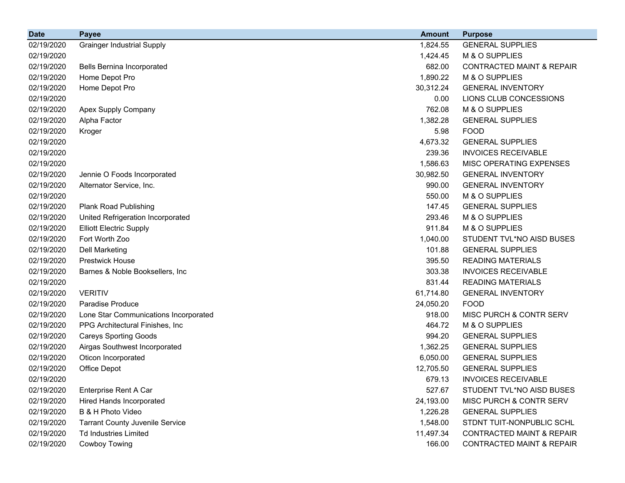| <b>Date</b> | <b>Payee</b>                           | <b>Amount</b> | <b>Purpose</b>                       |
|-------------|----------------------------------------|---------------|--------------------------------------|
| 02/19/2020  | <b>Grainger Industrial Supply</b>      | 1,824.55      | <b>GENERAL SUPPLIES</b>              |
| 02/19/2020  |                                        | 1,424.45      | M & O SUPPLIES                       |
| 02/19/2020  | <b>Bells Bernina Incorporated</b>      | 682.00        | <b>CONTRACTED MAINT &amp; REPAIR</b> |
| 02/19/2020  | Home Depot Pro                         | 1,890.22      | M & O SUPPLIES                       |
| 02/19/2020  | Home Depot Pro                         | 30,312.24     | <b>GENERAL INVENTORY</b>             |
| 02/19/2020  |                                        | 0.00          | LIONS CLUB CONCESSIONS               |
| 02/19/2020  | Apex Supply Company                    | 762.08        | M & O SUPPLIES                       |
| 02/19/2020  | Alpha Factor                           | 1,382.28      | <b>GENERAL SUPPLIES</b>              |
| 02/19/2020  | Kroger                                 | 5.98          | <b>FOOD</b>                          |
| 02/19/2020  |                                        | 4,673.32      | <b>GENERAL SUPPLIES</b>              |
| 02/19/2020  |                                        | 239.36        | <b>INVOICES RECEIVABLE</b>           |
| 02/19/2020  |                                        | 1,586.63      | MISC OPERATING EXPENSES              |
| 02/19/2020  | Jennie O Foods Incorporated            | 30,982.50     | <b>GENERAL INVENTORY</b>             |
| 02/19/2020  | Alternator Service, Inc.               | 990.00        | <b>GENERAL INVENTORY</b>             |
| 02/19/2020  |                                        | 550.00        | M & O SUPPLIES                       |
| 02/19/2020  | <b>Plank Road Publishing</b>           | 147.45        | <b>GENERAL SUPPLIES</b>              |
| 02/19/2020  | United Refrigeration Incorporated      | 293.46        | M & O SUPPLIES                       |
| 02/19/2020  | <b>Elliott Electric Supply</b>         | 911.84        | M & O SUPPLIES                       |
| 02/19/2020  | Fort Worth Zoo                         | 1,040.00      | STUDENT TVL*NO AISD BUSES            |
| 02/19/2020  | Dell Marketing                         | 101.88        | <b>GENERAL SUPPLIES</b>              |
| 02/19/2020  | <b>Prestwick House</b>                 | 395.50        | <b>READING MATERIALS</b>             |
| 02/19/2020  | Barnes & Noble Booksellers, Inc.       | 303.38        | <b>INVOICES RECEIVABLE</b>           |
| 02/19/2020  |                                        | 831.44        | <b>READING MATERIALS</b>             |
| 02/19/2020  | <b>VERITIV</b>                         | 61,714.80     | <b>GENERAL INVENTORY</b>             |
| 02/19/2020  | <b>Paradise Produce</b>                | 24,050.20     | <b>FOOD</b>                          |
| 02/19/2020  | Lone Star Communications Incorporated  | 918.00        | MISC PURCH & CONTR SERV              |
| 02/19/2020  | PPG Architectural Finishes, Inc.       | 464.72        | M & O SUPPLIES                       |
| 02/19/2020  | <b>Careys Sporting Goods</b>           | 994.20        | <b>GENERAL SUPPLIES</b>              |
| 02/19/2020  | Airgas Southwest Incorporated          | 1,362.25      | <b>GENERAL SUPPLIES</b>              |
| 02/19/2020  | Oticon Incorporated                    | 6,050.00      | <b>GENERAL SUPPLIES</b>              |
| 02/19/2020  | Office Depot                           | 12,705.50     | <b>GENERAL SUPPLIES</b>              |
| 02/19/2020  |                                        | 679.13        | <b>INVOICES RECEIVABLE</b>           |
| 02/19/2020  | Enterprise Rent A Car                  | 527.67        | STUDENT TVL*NO AISD BUSES            |
| 02/19/2020  | <b>Hired Hands Incorporated</b>        | 24,193.00     | MISC PURCH & CONTR SERV              |
| 02/19/2020  | B & H Photo Video                      | 1,226.28      | <b>GENERAL SUPPLIES</b>              |
| 02/19/2020  | <b>Tarrant County Juvenile Service</b> | 1,548.00      | STDNT TUIT-NONPUBLIC SCHL            |
| 02/19/2020  | <b>Td Industries Limited</b>           | 11,497.34     | <b>CONTRACTED MAINT &amp; REPAIR</b> |
| 02/19/2020  | Cowboy Towing                          | 166.00        | <b>CONTRACTED MAINT &amp; REPAIR</b> |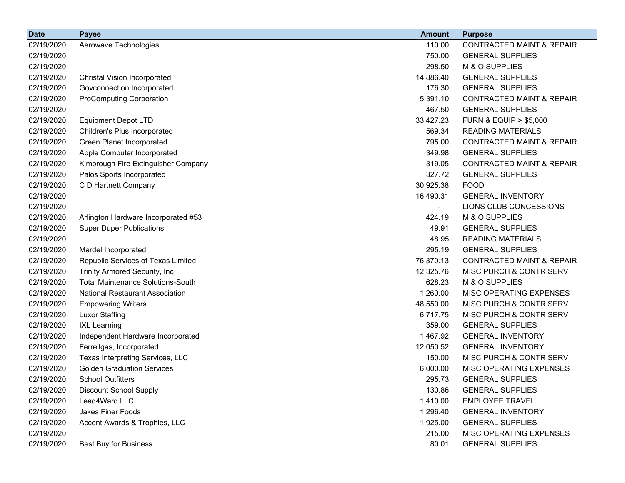| <b>Date</b> | <b>Payee</b>                             | <b>Amount</b> | <b>Purpose</b>                       |
|-------------|------------------------------------------|---------------|--------------------------------------|
| 02/19/2020  | Aerowave Technologies                    | 110.00        | <b>CONTRACTED MAINT &amp; REPAIR</b> |
| 02/19/2020  |                                          | 750.00        | <b>GENERAL SUPPLIES</b>              |
| 02/19/2020  |                                          | 298.50        | M & O SUPPLIES                       |
| 02/19/2020  | <b>Christal Vision Incorporated</b>      | 14,886.40     | <b>GENERAL SUPPLIES</b>              |
| 02/19/2020  | Govconnection Incorporated               | 176.30        | <b>GENERAL SUPPLIES</b>              |
| 02/19/2020  | <b>ProComputing Corporation</b>          | 5,391.10      | <b>CONTRACTED MAINT &amp; REPAIR</b> |
| 02/19/2020  |                                          | 467.50        | <b>GENERAL SUPPLIES</b>              |
| 02/19/2020  | <b>Equipment Depot LTD</b>               | 33,427.23     | <b>FURN &amp; EQUIP &gt; \$5,000</b> |
| 02/19/2020  | Children's Plus Incorporated             | 569.34        | <b>READING MATERIALS</b>             |
| 02/19/2020  | Green Planet Incorporated                | 795.00        | <b>CONTRACTED MAINT &amp; REPAIR</b> |
| 02/19/2020  | Apple Computer Incorporated              | 349.98        | <b>GENERAL SUPPLIES</b>              |
| 02/19/2020  | Kimbrough Fire Extinguisher Company      | 319.05        | <b>CONTRACTED MAINT &amp; REPAIR</b> |
| 02/19/2020  | Palos Sports Incorporated                | 327.72        | <b>GENERAL SUPPLIES</b>              |
| 02/19/2020  | C D Hartnett Company                     | 30,925.38     | <b>FOOD</b>                          |
| 02/19/2020  |                                          | 16,490.31     | <b>GENERAL INVENTORY</b>             |
| 02/19/2020  |                                          |               | LIONS CLUB CONCESSIONS               |
| 02/19/2020  | Arlington Hardware Incorporated #53      | 424.19        | M & O SUPPLIES                       |
| 02/19/2020  | <b>Super Duper Publications</b>          | 49.91         | <b>GENERAL SUPPLIES</b>              |
| 02/19/2020  |                                          | 48.95         | <b>READING MATERIALS</b>             |
| 02/19/2020  | Mardel Incorporated                      | 295.19        | <b>GENERAL SUPPLIES</b>              |
| 02/19/2020  | Republic Services of Texas Limited       | 76,370.13     | <b>CONTRACTED MAINT &amp; REPAIR</b> |
| 02/19/2020  | Trinity Armored Security, Inc            | 12,325.76     | MISC PURCH & CONTR SERV              |
| 02/19/2020  | <b>Total Maintenance Solutions-South</b> | 628.23        | M & O SUPPLIES                       |
| 02/19/2020  | <b>National Restaurant Association</b>   | 1,260.00      | MISC OPERATING EXPENSES              |
| 02/19/2020  | <b>Empowering Writers</b>                | 48,550.00     | MISC PURCH & CONTR SERV              |
| 02/19/2020  | <b>Luxor Staffing</b>                    | 6,717.75      | MISC PURCH & CONTR SERV              |
| 02/19/2020  | <b>IXL Learning</b>                      | 359.00        | <b>GENERAL SUPPLIES</b>              |
| 02/19/2020  | Independent Hardware Incorporated        | 1,467.92      | <b>GENERAL INVENTORY</b>             |
| 02/19/2020  | Ferrellgas, Incorporated                 | 12,050.52     | <b>GENERAL INVENTORY</b>             |
| 02/19/2020  | Texas Interpreting Services, LLC         | 150.00        | MISC PURCH & CONTR SERV              |
| 02/19/2020  | <b>Golden Graduation Services</b>        | 6,000.00      | MISC OPERATING EXPENSES              |
| 02/19/2020  | <b>School Outfitters</b>                 | 295.73        | <b>GENERAL SUPPLIES</b>              |
| 02/19/2020  | <b>Discount School Supply</b>            | 130.86        | <b>GENERAL SUPPLIES</b>              |
| 02/19/2020  | Lead4Ward LLC                            | 1,410.00      | <b>EMPLOYEE TRAVEL</b>               |
| 02/19/2020  | <b>Jakes Finer Foods</b>                 | 1,296.40      | <b>GENERAL INVENTORY</b>             |
| 02/19/2020  | Accent Awards & Trophies, LLC            | 1,925.00      | <b>GENERAL SUPPLIES</b>              |
| 02/19/2020  |                                          | 215.00        | MISC OPERATING EXPENSES              |
| 02/19/2020  | <b>Best Buy for Business</b>             | 80.01         | <b>GENERAL SUPPLIES</b>              |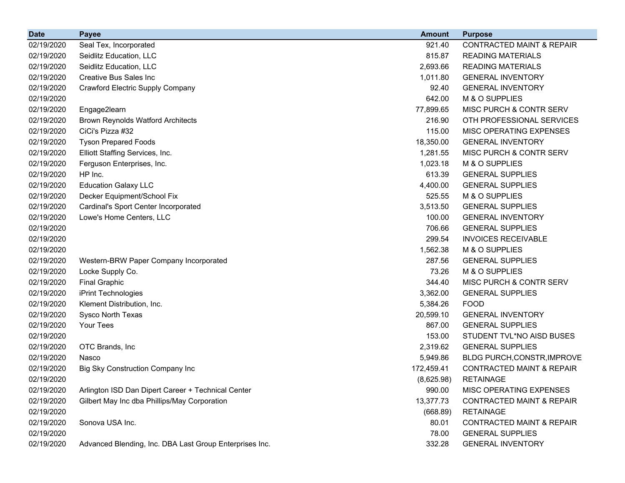| <b>Date</b> | <b>Payee</b>                                            | <b>Amount</b> | <b>Purpose</b>                       |
|-------------|---------------------------------------------------------|---------------|--------------------------------------|
| 02/19/2020  | Seal Tex, Incorporated                                  | 921.40        | <b>CONTRACTED MAINT &amp; REPAIR</b> |
| 02/19/2020  | Seidlitz Education, LLC                                 | 815.87        | <b>READING MATERIALS</b>             |
| 02/19/2020  | Seidlitz Education, LLC                                 | 2,693.66      | <b>READING MATERIALS</b>             |
| 02/19/2020  | <b>Creative Bus Sales Inc.</b>                          | 1,011.80      | <b>GENERAL INVENTORY</b>             |
| 02/19/2020  | <b>Crawford Electric Supply Company</b>                 | 92.40         | <b>GENERAL INVENTORY</b>             |
| 02/19/2020  |                                                         | 642.00        | M & O SUPPLIES                       |
| 02/19/2020  | Engage2learn                                            | 77,899.65     | MISC PURCH & CONTR SERV              |
| 02/19/2020  | <b>Brown Reynolds Watford Architects</b>                | 216.90        | OTH PROFESSIONAL SERVICES            |
| 02/19/2020  | CiCi's Pizza #32                                        | 115.00        | MISC OPERATING EXPENSES              |
| 02/19/2020  | <b>Tyson Prepared Foods</b>                             | 18,350.00     | <b>GENERAL INVENTORY</b>             |
| 02/19/2020  | Elliott Staffing Services, Inc.                         | 1,281.55      | MISC PURCH & CONTR SERV              |
| 02/19/2020  | Ferguson Enterprises, Inc.                              | 1,023.18      | M & O SUPPLIES                       |
| 02/19/2020  | HP Inc.                                                 | 613.39        | <b>GENERAL SUPPLIES</b>              |
| 02/19/2020  | <b>Education Galaxy LLC</b>                             | 4,400.00      | <b>GENERAL SUPPLIES</b>              |
| 02/19/2020  | Decker Equipment/School Fix                             | 525.55        | M & O SUPPLIES                       |
| 02/19/2020  | Cardinal's Sport Center Incorporated                    | 3,513.50      | <b>GENERAL SUPPLIES</b>              |
| 02/19/2020  | Lowe's Home Centers, LLC                                | 100.00        | <b>GENERAL INVENTORY</b>             |
| 02/19/2020  |                                                         | 706.66        | <b>GENERAL SUPPLIES</b>              |
| 02/19/2020  |                                                         | 299.54        | <b>INVOICES RECEIVABLE</b>           |
| 02/19/2020  |                                                         | 1,562.38      | M & O SUPPLIES                       |
| 02/19/2020  | Western-BRW Paper Company Incorporated                  | 287.56        | <b>GENERAL SUPPLIES</b>              |
| 02/19/2020  | Locke Supply Co.                                        | 73.26         | M & O SUPPLIES                       |
| 02/19/2020  | <b>Final Graphic</b>                                    | 344.40        | MISC PURCH & CONTR SERV              |
| 02/19/2020  | iPrint Technologies                                     | 3,362.00      | <b>GENERAL SUPPLIES</b>              |
| 02/19/2020  | Klement Distribution, Inc.                              | 5,384.26      | <b>FOOD</b>                          |
| 02/19/2020  | Sysco North Texas                                       | 20,599.10     | <b>GENERAL INVENTORY</b>             |
| 02/19/2020  | Your Tees                                               | 867.00        | <b>GENERAL SUPPLIES</b>              |
| 02/19/2020  |                                                         | 153.00        | STUDENT TVL*NO AISD BUSES            |
| 02/19/2020  | OTC Brands, Inc                                         | 2,319.62      | <b>GENERAL SUPPLIES</b>              |
| 02/19/2020  | Nasco                                                   | 5,949.86      | BLDG PURCH, CONSTR, IMPROVE          |
| 02/19/2020  | Big Sky Construction Company Inc                        | 172,459.41    | <b>CONTRACTED MAINT &amp; REPAIR</b> |
| 02/19/2020  |                                                         | (8,625.98)    | <b>RETAINAGE</b>                     |
| 02/19/2020  | Arlington ISD Dan Dipert Career + Technical Center      | 990.00        | MISC OPERATING EXPENSES              |
| 02/19/2020  | Gilbert May Inc dba Phillips/May Corporation            | 13,377.73     | <b>CONTRACTED MAINT &amp; REPAIR</b> |
| 02/19/2020  |                                                         | (668.89)      | <b>RETAINAGE</b>                     |
| 02/19/2020  | Sonova USA Inc.                                         | 80.01         | CONTRACTED MAINT & REPAIR            |
| 02/19/2020  |                                                         | 78.00         | <b>GENERAL SUPPLIES</b>              |
| 02/19/2020  | Advanced Blending, Inc. DBA Last Group Enterprises Inc. | 332.28        | <b>GENERAL INVENTORY</b>             |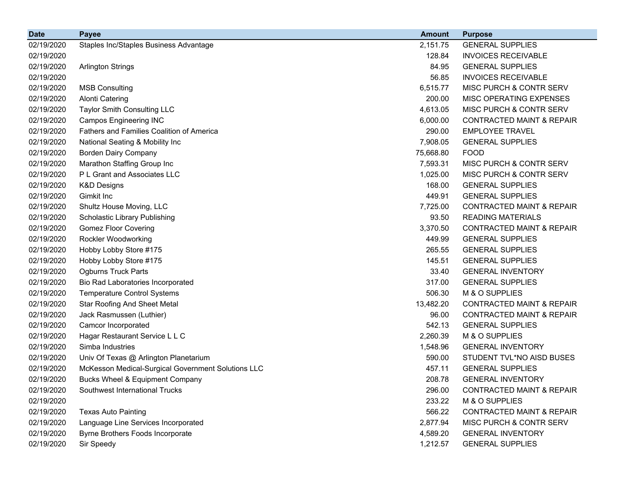| <b>Date</b> | <b>Payee</b>                                       | <b>Amount</b> | <b>Purpose</b>                       |
|-------------|----------------------------------------------------|---------------|--------------------------------------|
| 02/19/2020  | Staples Inc/Staples Business Advantage             | 2,151.75      | <b>GENERAL SUPPLIES</b>              |
| 02/19/2020  |                                                    | 128.84        | <b>INVOICES RECEIVABLE</b>           |
| 02/19/2020  | <b>Arlington Strings</b>                           | 84.95         | <b>GENERAL SUPPLIES</b>              |
| 02/19/2020  |                                                    | 56.85         | <b>INVOICES RECEIVABLE</b>           |
| 02/19/2020  | <b>MSB Consulting</b>                              | 6,515.77      | MISC PURCH & CONTR SERV              |
| 02/19/2020  | <b>Alonti Catering</b>                             | 200.00        | MISC OPERATING EXPENSES              |
| 02/19/2020  | Taylor Smith Consulting LLC                        | 4,613.05      | MISC PURCH & CONTR SERV              |
| 02/19/2020  | <b>Campos Engineering INC</b>                      | 6,000.00      | <b>CONTRACTED MAINT &amp; REPAIR</b> |
| 02/19/2020  | <b>Fathers and Families Coalition of America</b>   | 290.00        | <b>EMPLOYEE TRAVEL</b>               |
| 02/19/2020  | National Seating & Mobility Inc                    | 7,908.05      | <b>GENERAL SUPPLIES</b>              |
| 02/19/2020  | <b>Borden Dairy Company</b>                        | 75,668.80     | <b>FOOD</b>                          |
| 02/19/2020  | Marathon Staffing Group Inc                        | 7,593.31      | MISC PURCH & CONTR SERV              |
| 02/19/2020  | P L Grant and Associates LLC                       | 1,025.00      | MISC PURCH & CONTR SERV              |
| 02/19/2020  | <b>K&amp;D Designs</b>                             | 168.00        | <b>GENERAL SUPPLIES</b>              |
| 02/19/2020  | Gimkit Inc                                         | 449.91        | <b>GENERAL SUPPLIES</b>              |
| 02/19/2020  | Shultz House Moving, LLC                           | 7,725.00      | <b>CONTRACTED MAINT &amp; REPAIR</b> |
| 02/19/2020  | Scholastic Library Publishing                      | 93.50         | <b>READING MATERIALS</b>             |
| 02/19/2020  | <b>Gomez Floor Covering</b>                        | 3,370.50      | <b>CONTRACTED MAINT &amp; REPAIR</b> |
| 02/19/2020  | Rockler Woodworking                                | 449.99        | <b>GENERAL SUPPLIES</b>              |
| 02/19/2020  | Hobby Lobby Store #175                             | 265.55        | <b>GENERAL SUPPLIES</b>              |
| 02/19/2020  | Hobby Lobby Store #175                             | 145.51        | <b>GENERAL SUPPLIES</b>              |
| 02/19/2020  | <b>Ogburns Truck Parts</b>                         | 33.40         | <b>GENERAL INVENTORY</b>             |
| 02/19/2020  | Bio Rad Laboratories Incorporated                  | 317.00        | <b>GENERAL SUPPLIES</b>              |
| 02/19/2020  | <b>Temperature Control Systems</b>                 | 506.30        | M & O SUPPLIES                       |
| 02/19/2020  | <b>Star Roofing And Sheet Metal</b>                | 13,482.20     | <b>CONTRACTED MAINT &amp; REPAIR</b> |
| 02/19/2020  | Jack Rasmussen (Luthier)                           | 96.00         | <b>CONTRACTED MAINT &amp; REPAIR</b> |
| 02/19/2020  | Camcor Incorporated                                | 542.13        | <b>GENERAL SUPPLIES</b>              |
| 02/19/2020  | Hagar Restaurant Service L L C                     | 2,260.39      | M & O SUPPLIES                       |
| 02/19/2020  | Simba Industries                                   | 1,548.96      | <b>GENERAL INVENTORY</b>             |
| 02/19/2020  | Univ Of Texas @ Arlington Planetarium              | 590.00        | STUDENT TVL*NO AISD BUSES            |
| 02/19/2020  | McKesson Medical-Surgical Government Solutions LLC | 457.11        | <b>GENERAL SUPPLIES</b>              |
| 02/19/2020  | <b>Bucks Wheel &amp; Equipment Company</b>         | 208.78        | <b>GENERAL INVENTORY</b>             |
| 02/19/2020  | Southwest International Trucks                     | 296.00        | <b>CONTRACTED MAINT &amp; REPAIR</b> |
| 02/19/2020  |                                                    | 233.22        | M & O SUPPLIES                       |
| 02/19/2020  | <b>Texas Auto Painting</b>                         | 566.22        | <b>CONTRACTED MAINT &amp; REPAIR</b> |
| 02/19/2020  | Language Line Services Incorporated                | 2,877.94      | MISC PURCH & CONTR SERV              |
| 02/19/2020  | Byrne Brothers Foods Incorporate                   | 4,589.20      | <b>GENERAL INVENTORY</b>             |
| 02/19/2020  | Sir Speedy                                         | 1,212.57      | <b>GENERAL SUPPLIES</b>              |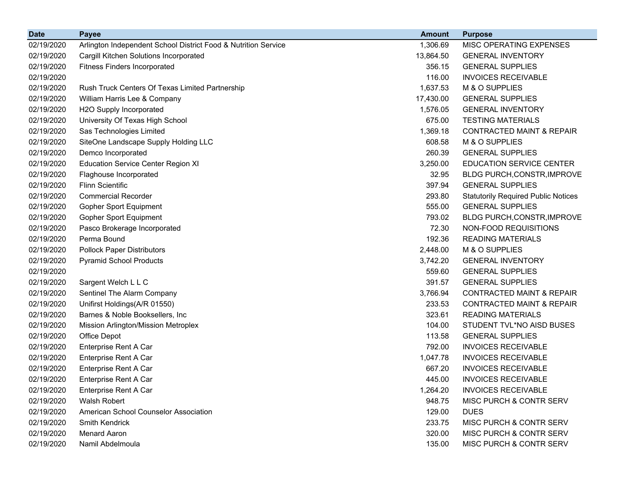| <b>Date</b> | <b>Payee</b>                                                   | <b>Amount</b> | <b>Purpose</b>                             |
|-------------|----------------------------------------------------------------|---------------|--------------------------------------------|
| 02/19/2020  | Arlington Independent School District Food & Nutrition Service | 1,306.69      | MISC OPERATING EXPENSES                    |
| 02/19/2020  | Cargill Kitchen Solutions Incorporated                         | 13,864.50     | <b>GENERAL INVENTORY</b>                   |
| 02/19/2020  | <b>Fitness Finders Incorporated</b>                            | 356.15        | <b>GENERAL SUPPLIES</b>                    |
| 02/19/2020  |                                                                | 116.00        | <b>INVOICES RECEIVABLE</b>                 |
| 02/19/2020  | Rush Truck Centers Of Texas Limited Partnership                | 1,637.53      | M & O SUPPLIES                             |
| 02/19/2020  | William Harris Lee & Company                                   | 17,430.00     | <b>GENERAL SUPPLIES</b>                    |
| 02/19/2020  | H2O Supply Incorporated                                        | 1,576.05      | <b>GENERAL INVENTORY</b>                   |
| 02/19/2020  | University Of Texas High School                                | 675.00        | <b>TESTING MATERIALS</b>                   |
| 02/19/2020  | Sas Technologies Limited                                       | 1,369.18      | <b>CONTRACTED MAINT &amp; REPAIR</b>       |
| 02/19/2020  | SiteOne Landscape Supply Holding LLC                           | 608.58        | M & O SUPPLIES                             |
| 02/19/2020  | Demco Incorporated                                             | 260.39        | <b>GENERAL SUPPLIES</b>                    |
| 02/19/2020  | <b>Education Service Center Region XI</b>                      | 3,250.00      | <b>EDUCATION SERVICE CENTER</b>            |
| 02/19/2020  | Flaghouse Incorporated                                         | 32.95         | BLDG PURCH, CONSTR, IMPROVE                |
| 02/19/2020  | <b>Flinn Scientific</b>                                        | 397.94        | <b>GENERAL SUPPLIES</b>                    |
| 02/19/2020  | <b>Commercial Recorder</b>                                     | 293.80        | <b>Statutorily Required Public Notices</b> |
| 02/19/2020  | Gopher Sport Equipment                                         | 555.00        | <b>GENERAL SUPPLIES</b>                    |
| 02/19/2020  | <b>Gopher Sport Equipment</b>                                  | 793.02        | BLDG PURCH, CONSTR, IMPROVE                |
| 02/19/2020  | Pasco Brokerage Incorporated                                   | 72.30         | NON-FOOD REQUISITIONS                      |
| 02/19/2020  | Perma Bound                                                    | 192.36        | <b>READING MATERIALS</b>                   |
| 02/19/2020  | <b>Pollock Paper Distributors</b>                              | 2,448.00      | M & O SUPPLIES                             |
| 02/19/2020  | <b>Pyramid School Products</b>                                 | 3,742.20      | <b>GENERAL INVENTORY</b>                   |
| 02/19/2020  |                                                                | 559.60        | <b>GENERAL SUPPLIES</b>                    |
| 02/19/2020  | Sargent Welch L L C                                            | 391.57        | <b>GENERAL SUPPLIES</b>                    |
| 02/19/2020  | Sentinel The Alarm Company                                     | 3,766.94      | <b>CONTRACTED MAINT &amp; REPAIR</b>       |
| 02/19/2020  | Unifirst Holdings(A/R 01550)                                   | 233.53        | <b>CONTRACTED MAINT &amp; REPAIR</b>       |
| 02/19/2020  | Barnes & Noble Booksellers, Inc.                               | 323.61        | <b>READING MATERIALS</b>                   |
| 02/19/2020  | Mission Arlington/Mission Metroplex                            | 104.00        | STUDENT TVL*NO AISD BUSES                  |
| 02/19/2020  | Office Depot                                                   | 113.58        | <b>GENERAL SUPPLIES</b>                    |
| 02/19/2020  | Enterprise Rent A Car                                          | 792.00        | <b>INVOICES RECEIVABLE</b>                 |
| 02/19/2020  | Enterprise Rent A Car                                          | 1,047.78      | <b>INVOICES RECEIVABLE</b>                 |
| 02/19/2020  | Enterprise Rent A Car                                          | 667.20        | <b>INVOICES RECEIVABLE</b>                 |
| 02/19/2020  | Enterprise Rent A Car                                          | 445.00        | <b>INVOICES RECEIVABLE</b>                 |
| 02/19/2020  | Enterprise Rent A Car                                          | 1,264.20      | <b>INVOICES RECEIVABLE</b>                 |
| 02/19/2020  | Walsh Robert                                                   | 948.75        | MISC PURCH & CONTR SERV                    |
| 02/19/2020  | American School Counselor Association                          | 129.00        | <b>DUES</b>                                |
| 02/19/2020  | <b>Smith Kendrick</b>                                          | 233.75        | MISC PURCH & CONTR SERV                    |
| 02/19/2020  | <b>Menard Aaron</b>                                            | 320.00        | MISC PURCH & CONTR SERV                    |
| 02/19/2020  | Namil Abdelmoula                                               | 135.00        | MISC PURCH & CONTR SERV                    |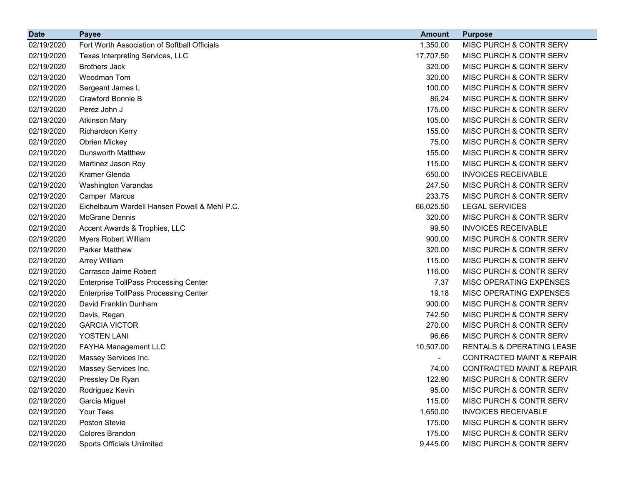| <b>Date</b> | <b>Payee</b>                                 | <b>Amount</b> | <b>Purpose</b>                       |
|-------------|----------------------------------------------|---------------|--------------------------------------|
| 02/19/2020  | Fort Worth Association of Softball Officials | 1,350.00      | MISC PURCH & CONTR SERV              |
| 02/19/2020  | Texas Interpreting Services, LLC             | 17,707.50     | MISC PURCH & CONTR SERV              |
| 02/19/2020  | <b>Brothers Jack</b>                         | 320.00        | MISC PURCH & CONTR SERV              |
| 02/19/2020  | Woodman Tom                                  | 320.00        | MISC PURCH & CONTR SERV              |
| 02/19/2020  | Sergeant James L                             | 100.00        | MISC PURCH & CONTR SERV              |
| 02/19/2020  | Crawford Bonnie B                            | 86.24         | MISC PURCH & CONTR SERV              |
| 02/19/2020  | Perez John J                                 | 175.00        | MISC PURCH & CONTR SERV              |
| 02/19/2020  | <b>Atkinson Mary</b>                         | 105.00        | MISC PURCH & CONTR SERV              |
| 02/19/2020  | <b>Richardson Kerry</b>                      | 155.00        | MISC PURCH & CONTR SERV              |
| 02/19/2020  | <b>Obrien Mickey</b>                         | 75.00         | MISC PURCH & CONTR SERV              |
| 02/19/2020  | <b>Dunsworth Matthew</b>                     | 155.00        | MISC PURCH & CONTR SERV              |
| 02/19/2020  | Martinez Jason Roy                           | 115.00        | MISC PURCH & CONTR SERV              |
| 02/19/2020  | Kramer Glenda                                | 650.00        | <b>INVOICES RECEIVABLE</b>           |
| 02/19/2020  | Washington Varandas                          | 247.50        | MISC PURCH & CONTR SERV              |
| 02/19/2020  | Camper Marcus                                | 233.75        | MISC PURCH & CONTR SERV              |
| 02/19/2020  | Eichelbaum Wardell Hansen Powell & Mehl P.C. | 66,025.50     | <b>LEGAL SERVICES</b>                |
| 02/19/2020  | <b>McGrane Dennis</b>                        | 320.00        | MISC PURCH & CONTR SERV              |
| 02/19/2020  | Accent Awards & Trophies, LLC                | 99.50         | <b>INVOICES RECEIVABLE</b>           |
| 02/19/2020  | <b>Myers Robert William</b>                  | 900.00        | MISC PURCH & CONTR SERV              |
| 02/19/2020  | <b>Parker Matthew</b>                        | 320.00        | MISC PURCH & CONTR SERV              |
| 02/19/2020  | <b>Arrey William</b>                         | 115.00        | MISC PURCH & CONTR SERV              |
| 02/19/2020  | Carrasco Jaime Robert                        | 116.00        | MISC PURCH & CONTR SERV              |
| 02/19/2020  | <b>Enterprise TollPass Processing Center</b> | 7.37          | MISC OPERATING EXPENSES              |
| 02/19/2020  | <b>Enterprise TollPass Processing Center</b> | 19.18         | MISC OPERATING EXPENSES              |
| 02/19/2020  | David Franklin Dunham                        | 900.00        | MISC PURCH & CONTR SERV              |
| 02/19/2020  | Davis, Regan                                 | 742.50        | MISC PURCH & CONTR SERV              |
| 02/19/2020  | <b>GARCIA VICTOR</b>                         | 270.00        | MISC PURCH & CONTR SERV              |
| 02/19/2020  | YOSTEN LANI                                  | 96.66         | MISC PURCH & CONTR SERV              |
| 02/19/2020  | FAYHA Management LLC                         | 10,507.00     | <b>RENTALS &amp; OPERATING LEASE</b> |
| 02/19/2020  | Massey Services Inc.                         | $\sim$        | <b>CONTRACTED MAINT &amp; REPAIR</b> |
| 02/19/2020  | Massey Services Inc.                         | 74.00         | <b>CONTRACTED MAINT &amp; REPAIR</b> |
| 02/19/2020  | Pressley De Ryan                             | 122.90        | MISC PURCH & CONTR SERV              |
| 02/19/2020  | Rodriguez Kevin                              | 95.00         | MISC PURCH & CONTR SERV              |
| 02/19/2020  | Garcia Miguel                                | 115.00        | MISC PURCH & CONTR SERV              |
| 02/19/2020  | Your Tees                                    | 1,650.00      | <b>INVOICES RECEIVABLE</b>           |
| 02/19/2020  | Poston Stevie                                | 175.00        | MISC PURCH & CONTR SERV              |
| 02/19/2020  | Colores Brandon                              | 175.00        | MISC PURCH & CONTR SERV              |
| 02/19/2020  | Sports Officials Unlimited                   | 9,445.00      | MISC PURCH & CONTR SERV              |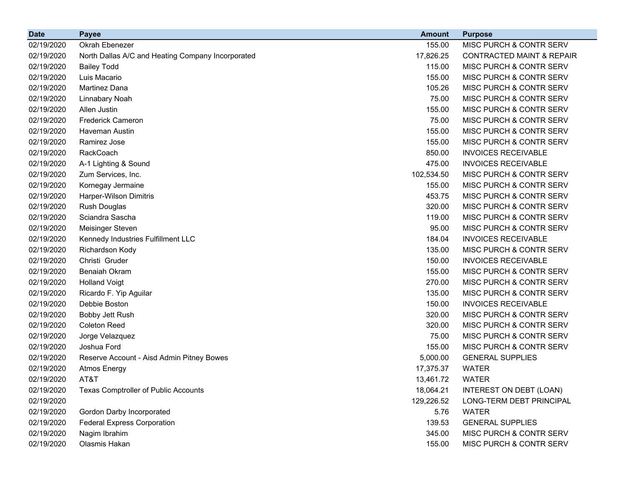| <b>Date</b> | <b>Payee</b>                                      | <b>Amount</b> | <b>Purpose</b>                       |
|-------------|---------------------------------------------------|---------------|--------------------------------------|
| 02/19/2020  | Okrah Ebenezer                                    | 155.00        | MISC PURCH & CONTR SERV              |
| 02/19/2020  | North Dallas A/C and Heating Company Incorporated | 17,826.25     | <b>CONTRACTED MAINT &amp; REPAIR</b> |
| 02/19/2020  | <b>Bailey Todd</b>                                | 115.00        | MISC PURCH & CONTR SERV              |
| 02/19/2020  | Luis Macario                                      | 155.00        | MISC PURCH & CONTR SERV              |
| 02/19/2020  | <b>Martinez Dana</b>                              | 105.26        | MISC PURCH & CONTR SERV              |
| 02/19/2020  | Linnabary Noah                                    | 75.00         | MISC PURCH & CONTR SERV              |
| 02/19/2020  | Allen Justin                                      | 155.00        | MISC PURCH & CONTR SERV              |
| 02/19/2020  | <b>Frederick Cameron</b>                          | 75.00         | MISC PURCH & CONTR SERV              |
| 02/19/2020  | Haveman Austin                                    | 155.00        | MISC PURCH & CONTR SERV              |
| 02/19/2020  | Ramirez Jose                                      | 155.00        | MISC PURCH & CONTR SERV              |
| 02/19/2020  | RackCoach                                         | 850.00        | <b>INVOICES RECEIVABLE</b>           |
| 02/19/2020  | A-1 Lighting & Sound                              | 475.00        | <b>INVOICES RECEIVABLE</b>           |
| 02/19/2020  | Zum Services, Inc.                                | 102,534.50    | MISC PURCH & CONTR SERV              |
| 02/19/2020  | Kornegay Jermaine                                 | 155.00        | MISC PURCH & CONTR SERV              |
| 02/19/2020  | Harper-Wilson Dimitris                            | 453.75        | MISC PURCH & CONTR SERV              |
| 02/19/2020  | Rush Douglas                                      | 320.00        | MISC PURCH & CONTR SERV              |
| 02/19/2020  | Sciandra Sascha                                   | 119.00        | MISC PURCH & CONTR SERV              |
| 02/19/2020  | Meisinger Steven                                  | 95.00         | MISC PURCH & CONTR SERV              |
| 02/19/2020  | Kennedy Industries Fulfillment LLC                | 184.04        | <b>INVOICES RECEIVABLE</b>           |
| 02/19/2020  | Richardson Kody                                   | 135.00        | MISC PURCH & CONTR SERV              |
| 02/19/2020  | Christi Gruder                                    | 150.00        | <b>INVOICES RECEIVABLE</b>           |
| 02/19/2020  | <b>Benaiah Okram</b>                              | 155.00        | MISC PURCH & CONTR SERV              |
| 02/19/2020  | <b>Holland Voigt</b>                              | 270.00        | MISC PURCH & CONTR SERV              |
| 02/19/2020  | Ricardo F. Yip Aguilar                            | 135.00        | MISC PURCH & CONTR SERV              |
| 02/19/2020  | Debbie Boston                                     | 150.00        | <b>INVOICES RECEIVABLE</b>           |
| 02/19/2020  | Bobby Jett Rush                                   | 320.00        | MISC PURCH & CONTR SERV              |
| 02/19/2020  | <b>Coleton Reed</b>                               | 320.00        | MISC PURCH & CONTR SERV              |
| 02/19/2020  | Jorge Velazquez                                   | 75.00         | MISC PURCH & CONTR SERV              |
| 02/19/2020  | Joshua Ford                                       | 155.00        | MISC PURCH & CONTR SERV              |
| 02/19/2020  | Reserve Account - Aisd Admin Pitney Bowes         | 5,000.00      | <b>GENERAL SUPPLIES</b>              |
| 02/19/2020  | <b>Atmos Energy</b>                               | 17,375.37     | <b>WATER</b>                         |
| 02/19/2020  | AT&T                                              | 13,461.72     | <b>WATER</b>                         |
| 02/19/2020  | Texas Comptroller of Public Accounts              | 18,064.21     | INTEREST ON DEBT (LOAN)              |
| 02/19/2020  |                                                   | 129,226.52    | LONG-TERM DEBT PRINCIPAL             |
| 02/19/2020  | Gordon Darby Incorporated                         | 5.76          | <b>WATER</b>                         |
| 02/19/2020  | <b>Federal Express Corporation</b>                | 139.53        | <b>GENERAL SUPPLIES</b>              |
| 02/19/2020  | Nagim Ibrahim                                     | 345.00        | MISC PURCH & CONTR SERV              |
| 02/19/2020  | Olasmis Hakan                                     | 155.00        | MISC PURCH & CONTR SERV              |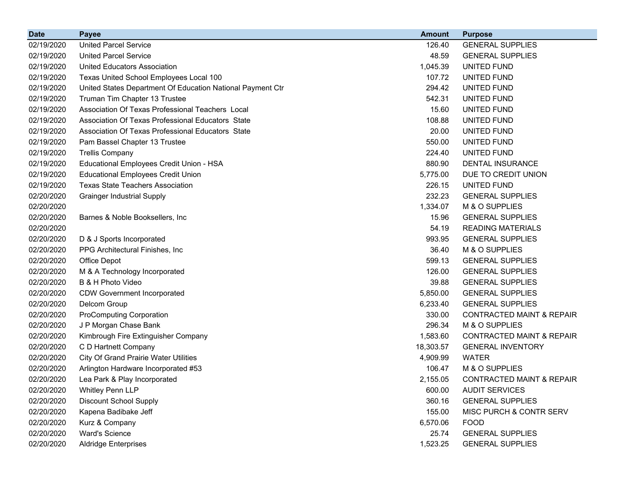| <b>Date</b> | <b>Payee</b>                                               | <b>Amount</b> | <b>Purpose</b>                       |
|-------------|------------------------------------------------------------|---------------|--------------------------------------|
| 02/19/2020  | <b>United Parcel Service</b>                               | 126.40        | <b>GENERAL SUPPLIES</b>              |
| 02/19/2020  | <b>United Parcel Service</b>                               | 48.59         | <b>GENERAL SUPPLIES</b>              |
| 02/19/2020  | United Educators Association                               | 1,045.39      | UNITED FUND                          |
| 02/19/2020  | Texas United School Employees Local 100                    | 107.72        | UNITED FUND                          |
| 02/19/2020  | United States Department Of Education National Payment Ctr | 294.42        | UNITED FUND                          |
| 02/19/2020  | Truman Tim Chapter 13 Trustee                              | 542.31        | UNITED FUND                          |
| 02/19/2020  | Association Of Texas Professional Teachers Local           | 15.60         | UNITED FUND                          |
| 02/19/2020  | Association Of Texas Professional Educators State          | 108.88        | UNITED FUND                          |
| 02/19/2020  | Association Of Texas Professional Educators State          | 20.00         | <b>UNITED FUND</b>                   |
| 02/19/2020  | Pam Bassel Chapter 13 Trustee                              | 550.00        | UNITED FUND                          |
| 02/19/2020  | <b>Trellis Company</b>                                     | 224.40        | UNITED FUND                          |
| 02/19/2020  | Educational Employees Credit Union - HSA                   | 880.90        | <b>DENTAL INSURANCE</b>              |
| 02/19/2020  | <b>Educational Employees Credit Union</b>                  | 5,775.00      | DUE TO CREDIT UNION                  |
| 02/19/2020  | <b>Texas State Teachers Association</b>                    | 226.15        | UNITED FUND                          |
| 02/20/2020  | <b>Grainger Industrial Supply</b>                          | 232.23        | <b>GENERAL SUPPLIES</b>              |
| 02/20/2020  |                                                            | 1,334.07      | M & O SUPPLIES                       |
| 02/20/2020  | Barnes & Noble Booksellers, Inc.                           | 15.96         | <b>GENERAL SUPPLIES</b>              |
| 02/20/2020  |                                                            | 54.19         | <b>READING MATERIALS</b>             |
| 02/20/2020  | D & J Sports Incorporated                                  | 993.95        | <b>GENERAL SUPPLIES</b>              |
| 02/20/2020  | PPG Architectural Finishes, Inc                            | 36.40         | M & O SUPPLIES                       |
| 02/20/2020  | Office Depot                                               | 599.13        | <b>GENERAL SUPPLIES</b>              |
| 02/20/2020  | M & A Technology Incorporated                              | 126.00        | <b>GENERAL SUPPLIES</b>              |
| 02/20/2020  | B & H Photo Video                                          | 39.88         | <b>GENERAL SUPPLIES</b>              |
| 02/20/2020  | <b>CDW Government Incorporated</b>                         | 5,850.00      | <b>GENERAL SUPPLIES</b>              |
| 02/20/2020  | Delcom Group                                               | 6,233.40      | <b>GENERAL SUPPLIES</b>              |
| 02/20/2020  | <b>ProComputing Corporation</b>                            | 330.00        | <b>CONTRACTED MAINT &amp; REPAIR</b> |
| 02/20/2020  | J P Morgan Chase Bank                                      | 296.34        | M & O SUPPLIES                       |
| 02/20/2020  | Kimbrough Fire Extinguisher Company                        | 1,583.60      | <b>CONTRACTED MAINT &amp; REPAIR</b> |
| 02/20/2020  | C D Hartnett Company                                       | 18,303.57     | <b>GENERAL INVENTORY</b>             |
| 02/20/2020  | <b>City Of Grand Prairie Water Utilities</b>               | 4,909.99      | <b>WATER</b>                         |
| 02/20/2020  | Arlington Hardware Incorporated #53                        | 106.47        | M & O SUPPLIES                       |
| 02/20/2020  | Lea Park & Play Incorporated                               | 2,155.05      | <b>CONTRACTED MAINT &amp; REPAIR</b> |
| 02/20/2020  | <b>Whitley Penn LLP</b>                                    | 600.00        | <b>AUDIT SERVICES</b>                |
| 02/20/2020  | <b>Discount School Supply</b>                              | 360.16        | <b>GENERAL SUPPLIES</b>              |
| 02/20/2020  | Kapena Badibake Jeff                                       | 155.00        | MISC PURCH & CONTR SERV              |
| 02/20/2020  | Kurz & Company                                             | 6,570.06      | <b>FOOD</b>                          |
| 02/20/2020  | <b>Ward's Science</b>                                      | 25.74         | <b>GENERAL SUPPLIES</b>              |
| 02/20/2020  | <b>Aldridge Enterprises</b>                                | 1,523.25      | <b>GENERAL SUPPLIES</b>              |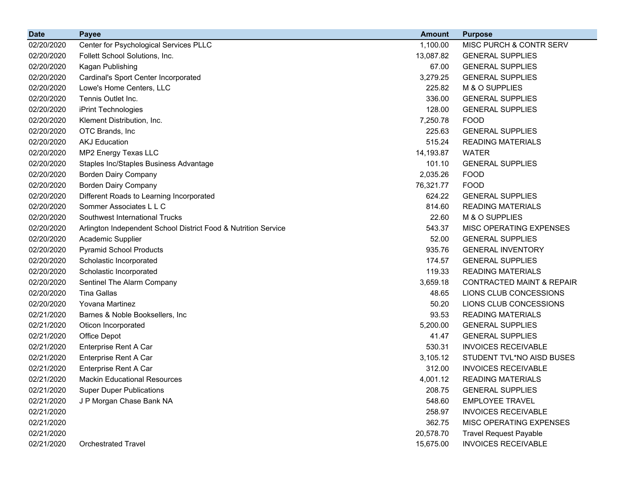| <b>Date</b> | <b>Payee</b>                                                   | <b>Amount</b> | <b>Purpose</b>                       |
|-------------|----------------------------------------------------------------|---------------|--------------------------------------|
| 02/20/2020  | Center for Psychological Services PLLC                         | 1,100.00      | MISC PURCH & CONTR SERV              |
| 02/20/2020  | Follett School Solutions, Inc.                                 | 13,087.82     | <b>GENERAL SUPPLIES</b>              |
| 02/20/2020  | Kagan Publishing                                               | 67.00         | <b>GENERAL SUPPLIES</b>              |
| 02/20/2020  | Cardinal's Sport Center Incorporated                           | 3,279.25      | <b>GENERAL SUPPLIES</b>              |
| 02/20/2020  | Lowe's Home Centers, LLC                                       | 225.82        | M & O SUPPLIES                       |
| 02/20/2020  | Tennis Outlet Inc.                                             | 336.00        | <b>GENERAL SUPPLIES</b>              |
| 02/20/2020  | iPrint Technologies                                            | 128.00        | <b>GENERAL SUPPLIES</b>              |
| 02/20/2020  | Klement Distribution, Inc.                                     | 7,250.78      | <b>FOOD</b>                          |
| 02/20/2020  | OTC Brands, Inc                                                | 225.63        | <b>GENERAL SUPPLIES</b>              |
| 02/20/2020  | <b>AKJ Education</b>                                           | 515.24        | <b>READING MATERIALS</b>             |
| 02/20/2020  | MP2 Energy Texas LLC                                           | 14,193.87     | <b>WATER</b>                         |
| 02/20/2020  | Staples Inc/Staples Business Advantage                         | 101.10        | <b>GENERAL SUPPLIES</b>              |
| 02/20/2020  | <b>Borden Dairy Company</b>                                    | 2,035.26      | <b>FOOD</b>                          |
| 02/20/2020  | <b>Borden Dairy Company</b>                                    | 76,321.77     | <b>FOOD</b>                          |
| 02/20/2020  | Different Roads to Learning Incorporated                       | 624.22        | <b>GENERAL SUPPLIES</b>              |
| 02/20/2020  | Sommer Associates L L C                                        | 814.60        | <b>READING MATERIALS</b>             |
| 02/20/2020  | Southwest International Trucks                                 | 22.60         | M & O SUPPLIES                       |
| 02/20/2020  | Arlington Independent School District Food & Nutrition Service | 543.37        | MISC OPERATING EXPENSES              |
| 02/20/2020  | Academic Supplier                                              | 52.00         | <b>GENERAL SUPPLIES</b>              |
| 02/20/2020  | <b>Pyramid School Products</b>                                 | 935.76        | <b>GENERAL INVENTORY</b>             |
| 02/20/2020  | Scholastic Incorporated                                        | 174.57        | <b>GENERAL SUPPLIES</b>              |
| 02/20/2020  | Scholastic Incorporated                                        | 119.33        | <b>READING MATERIALS</b>             |
| 02/20/2020  | Sentinel The Alarm Company                                     | 3,659.18      | <b>CONTRACTED MAINT &amp; REPAIR</b> |
| 02/20/2020  | <b>Tina Gallas</b>                                             | 48.65         | LIONS CLUB CONCESSIONS               |
| 02/20/2020  | <b>Yovana Martinez</b>                                         | 50.20         | LIONS CLUB CONCESSIONS               |
| 02/21/2020  | Barnes & Noble Booksellers, Inc.                               | 93.53         | <b>READING MATERIALS</b>             |
| 02/21/2020  | Oticon Incorporated                                            | 5,200.00      | <b>GENERAL SUPPLIES</b>              |
| 02/21/2020  | Office Depot                                                   | 41.47         | <b>GENERAL SUPPLIES</b>              |
| 02/21/2020  | Enterprise Rent A Car                                          | 530.31        | <b>INVOICES RECEIVABLE</b>           |
| 02/21/2020  | <b>Enterprise Rent A Car</b>                                   | 3,105.12      | STUDENT TVL*NO AISD BUSES            |
| 02/21/2020  | Enterprise Rent A Car                                          | 312.00        | <b>INVOICES RECEIVABLE</b>           |
| 02/21/2020  | <b>Mackin Educational Resources</b>                            | 4,001.12      | <b>READING MATERIALS</b>             |
| 02/21/2020  | <b>Super Duper Publications</b>                                | 208.75        | <b>GENERAL SUPPLIES</b>              |
| 02/21/2020  | J P Morgan Chase Bank NA                                       | 548.60        | <b>EMPLOYEE TRAVEL</b>               |
| 02/21/2020  |                                                                | 258.97        | <b>INVOICES RECEIVABLE</b>           |
| 02/21/2020  |                                                                | 362.75        | MISC OPERATING EXPENSES              |
| 02/21/2020  |                                                                | 20,578.70     | <b>Travel Request Payable</b>        |
| 02/21/2020  | <b>Orchestrated Travel</b>                                     | 15,675.00     | <b>INVOICES RECEIVABLE</b>           |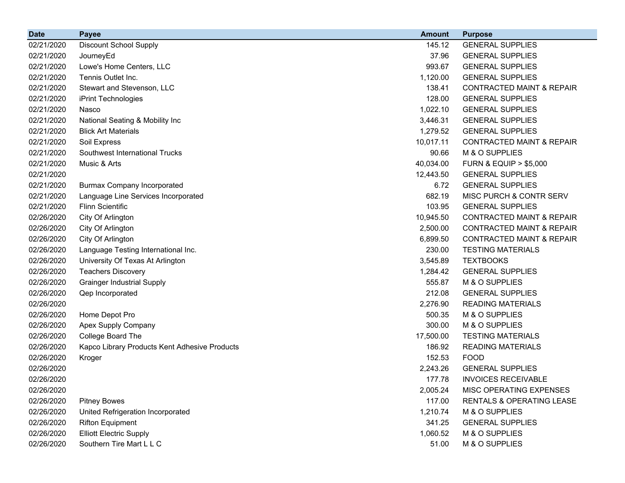| <b>Date</b> | <b>Payee</b>                                  | <b>Amount</b> | <b>Purpose</b>                       |
|-------------|-----------------------------------------------|---------------|--------------------------------------|
| 02/21/2020  | <b>Discount School Supply</b>                 | 145.12        | <b>GENERAL SUPPLIES</b>              |
| 02/21/2020  | JourneyEd                                     | 37.96         | <b>GENERAL SUPPLIES</b>              |
| 02/21/2020  | Lowe's Home Centers, LLC                      | 993.67        | <b>GENERAL SUPPLIES</b>              |
| 02/21/2020  | Tennis Outlet Inc.                            | 1,120.00      | <b>GENERAL SUPPLIES</b>              |
| 02/21/2020  | Stewart and Stevenson, LLC                    | 138.41        | <b>CONTRACTED MAINT &amp; REPAIR</b> |
| 02/21/2020  | iPrint Technologies                           | 128.00        | <b>GENERAL SUPPLIES</b>              |
| 02/21/2020  | Nasco                                         | 1,022.10      | <b>GENERAL SUPPLIES</b>              |
| 02/21/2020  | National Seating & Mobility Inc               | 3,446.31      | <b>GENERAL SUPPLIES</b>              |
| 02/21/2020  | <b>Blick Art Materials</b>                    | 1,279.52      | <b>GENERAL SUPPLIES</b>              |
| 02/21/2020  | Soil Express                                  | 10,017.11     | <b>CONTRACTED MAINT &amp; REPAIR</b> |
| 02/21/2020  | Southwest International Trucks                | 90.66         | M & O SUPPLIES                       |
| 02/21/2020  | Music & Arts                                  | 40,034.00     | <b>FURN &amp; EQUIP &gt; \$5,000</b> |
| 02/21/2020  |                                               | 12,443.50     | <b>GENERAL SUPPLIES</b>              |
| 02/21/2020  | <b>Burmax Company Incorporated</b>            | 6.72          | <b>GENERAL SUPPLIES</b>              |
| 02/21/2020  | Language Line Services Incorporated           | 682.19        | MISC PURCH & CONTR SERV              |
| 02/21/2020  | <b>Flinn Scientific</b>                       | 103.95        | <b>GENERAL SUPPLIES</b>              |
| 02/26/2020  | City Of Arlington                             | 10,945.50     | <b>CONTRACTED MAINT &amp; REPAIR</b> |
| 02/26/2020  | City Of Arlington                             | 2,500.00      | <b>CONTRACTED MAINT &amp; REPAIR</b> |
| 02/26/2020  | City Of Arlington                             | 6,899.50      | <b>CONTRACTED MAINT &amp; REPAIR</b> |
| 02/26/2020  | Language Testing International Inc.           | 230.00        | <b>TESTING MATERIALS</b>             |
| 02/26/2020  | University Of Texas At Arlington              | 3,545.89      | <b>TEXTBOOKS</b>                     |
| 02/26/2020  | <b>Teachers Discovery</b>                     | 1,284.42      | <b>GENERAL SUPPLIES</b>              |
| 02/26/2020  | <b>Grainger Industrial Supply</b>             | 555.87        | M & O SUPPLIES                       |
| 02/26/2020  | Qep Incorporated                              | 212.08        | <b>GENERAL SUPPLIES</b>              |
| 02/26/2020  |                                               | 2,276.90      | <b>READING MATERIALS</b>             |
| 02/26/2020  | Home Depot Pro                                | 500.35        | M & O SUPPLIES                       |
| 02/26/2020  | Apex Supply Company                           | 300.00        | M & O SUPPLIES                       |
| 02/26/2020  | College Board The                             | 17,500.00     | <b>TESTING MATERIALS</b>             |
| 02/26/2020  | Kapco Library Products Kent Adhesive Products | 186.92        | <b>READING MATERIALS</b>             |
| 02/26/2020  | Kroger                                        | 152.53        | <b>FOOD</b>                          |
| 02/26/2020  |                                               | 2,243.26      | <b>GENERAL SUPPLIES</b>              |
| 02/26/2020  |                                               | 177.78        | <b>INVOICES RECEIVABLE</b>           |
| 02/26/2020  |                                               | 2,005.24      | MISC OPERATING EXPENSES              |
| 02/26/2020  | <b>Pitney Bowes</b>                           | 117.00        | RENTALS & OPERATING LEASE            |
| 02/26/2020  | United Refrigeration Incorporated             | 1,210.74      | M & O SUPPLIES                       |
| 02/26/2020  | <b>Rifton Equipment</b>                       | 341.25        | <b>GENERAL SUPPLIES</b>              |
| 02/26/2020  | <b>Elliott Electric Supply</b>                | 1,060.52      | M & O SUPPLIES                       |
| 02/26/2020  | Southern Tire Mart L L C                      | 51.00         | M & O SUPPLIES                       |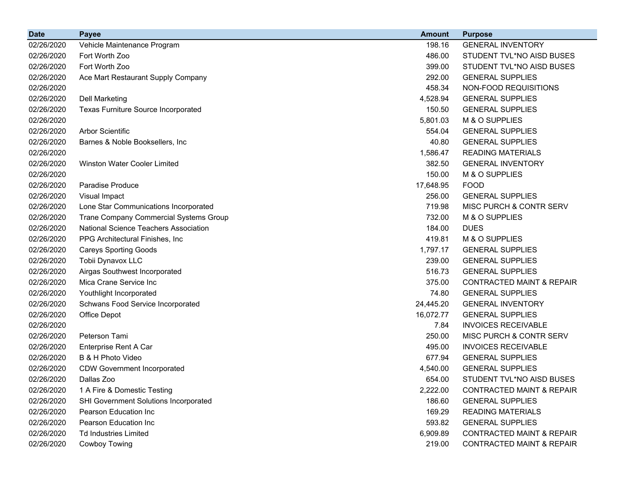| <b>Date</b> | <b>Payee</b>                                 | <b>Amount</b> | <b>Purpose</b>                       |
|-------------|----------------------------------------------|---------------|--------------------------------------|
| 02/26/2020  | Vehicle Maintenance Program                  | 198.16        | <b>GENERAL INVENTORY</b>             |
| 02/26/2020  | Fort Worth Zoo                               | 486.00        | STUDENT TVL*NO AISD BUSES            |
| 02/26/2020  | Fort Worth Zoo                               | 399.00        | STUDENT TVL*NO AISD BUSES            |
| 02/26/2020  | Ace Mart Restaurant Supply Company           | 292.00        | <b>GENERAL SUPPLIES</b>              |
| 02/26/2020  |                                              | 458.34        | NON-FOOD REQUISITIONS                |
| 02/26/2020  | <b>Dell Marketing</b>                        | 4,528.94      | <b>GENERAL SUPPLIES</b>              |
| 02/26/2020  | <b>Texas Furniture Source Incorporated</b>   | 150.50        | <b>GENERAL SUPPLIES</b>              |
| 02/26/2020  |                                              | 5,801.03      | M & O SUPPLIES                       |
| 02/26/2020  | <b>Arbor Scientific</b>                      | 554.04        | <b>GENERAL SUPPLIES</b>              |
| 02/26/2020  | Barnes & Noble Booksellers, Inc              | 40.80         | <b>GENERAL SUPPLIES</b>              |
| 02/26/2020  |                                              | 1,586.47      | <b>READING MATERIALS</b>             |
| 02/26/2020  | Winston Water Cooler Limited                 | 382.50        | <b>GENERAL INVENTORY</b>             |
| 02/26/2020  |                                              | 150.00        | M & O SUPPLIES                       |
| 02/26/2020  | <b>Paradise Produce</b>                      | 17,648.95     | <b>FOOD</b>                          |
| 02/26/2020  | Visual Impact                                | 256.00        | <b>GENERAL SUPPLIES</b>              |
| 02/26/2020  | Lone Star Communications Incorporated        | 719.98        | MISC PURCH & CONTR SERV              |
| 02/26/2020  | Trane Company Commercial Systems Group       | 732.00        | M & O SUPPLIES                       |
| 02/26/2020  | <b>National Science Teachers Association</b> | 184.00        | <b>DUES</b>                          |
| 02/26/2020  | PPG Architectural Finishes, Inc.             | 419.81        | M & O SUPPLIES                       |
| 02/26/2020  | <b>Careys Sporting Goods</b>                 | 1,797.17      | <b>GENERAL SUPPLIES</b>              |
| 02/26/2020  | Tobii Dynavox LLC                            | 239.00        | <b>GENERAL SUPPLIES</b>              |
| 02/26/2020  | Airgas Southwest Incorporated                | 516.73        | <b>GENERAL SUPPLIES</b>              |
| 02/26/2020  | Mica Crane Service Inc                       | 375.00        | <b>CONTRACTED MAINT &amp; REPAIR</b> |
| 02/26/2020  | Youthlight Incorporated                      | 74.80         | <b>GENERAL SUPPLIES</b>              |
| 02/26/2020  | Schwans Food Service Incorporated            | 24,445.20     | <b>GENERAL INVENTORY</b>             |
| 02/26/2020  | Office Depot                                 | 16,072.77     | <b>GENERAL SUPPLIES</b>              |
| 02/26/2020  |                                              | 7.84          | <b>INVOICES RECEIVABLE</b>           |
| 02/26/2020  | Peterson Tami                                | 250.00        | MISC PURCH & CONTR SERV              |
| 02/26/2020  | Enterprise Rent A Car                        | 495.00        | <b>INVOICES RECEIVABLE</b>           |
| 02/26/2020  | B & H Photo Video                            | 677.94        | <b>GENERAL SUPPLIES</b>              |
| 02/26/2020  | <b>CDW Government Incorporated</b>           | 4,540.00      | <b>GENERAL SUPPLIES</b>              |
| 02/26/2020  | Dallas Zoo                                   | 654.00        | STUDENT TVL*NO AISD BUSES            |
| 02/26/2020  | 1 A Fire & Domestic Testing                  | 2,222.00      | <b>CONTRACTED MAINT &amp; REPAIR</b> |
| 02/26/2020  | SHI Government Solutions Incorporated        | 186.60        | <b>GENERAL SUPPLIES</b>              |
| 02/26/2020  | Pearson Education Inc                        | 169.29        | <b>READING MATERIALS</b>             |
| 02/26/2020  | Pearson Education Inc                        | 593.82        | <b>GENERAL SUPPLIES</b>              |
| 02/26/2020  | <b>Td Industries Limited</b>                 | 6,909.89      | <b>CONTRACTED MAINT &amp; REPAIR</b> |
| 02/26/2020  | Cowboy Towing                                | 219.00        | <b>CONTRACTED MAINT &amp; REPAIR</b> |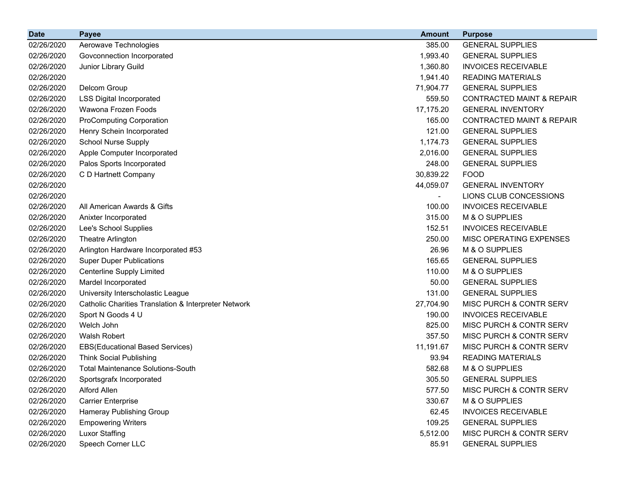| <b>Date</b> | <b>Payee</b>                                         | <b>Amount</b> | <b>Purpose</b>                       |
|-------------|------------------------------------------------------|---------------|--------------------------------------|
| 02/26/2020  | Aerowave Technologies                                | 385.00        | <b>GENERAL SUPPLIES</b>              |
| 02/26/2020  | Govconnection Incorporated                           | 1,993.40      | <b>GENERAL SUPPLIES</b>              |
| 02/26/2020  | Junior Library Guild                                 | 1,360.80      | <b>INVOICES RECEIVABLE</b>           |
| 02/26/2020  |                                                      | 1,941.40      | <b>READING MATERIALS</b>             |
| 02/26/2020  | Delcom Group                                         | 71,904.77     | <b>GENERAL SUPPLIES</b>              |
| 02/26/2020  | <b>LSS Digital Incorporated</b>                      | 559.50        | <b>CONTRACTED MAINT &amp; REPAIR</b> |
| 02/26/2020  | Wawona Frozen Foods                                  | 17,175.20     | <b>GENERAL INVENTORY</b>             |
| 02/26/2020  | <b>ProComputing Corporation</b>                      | 165.00        | <b>CONTRACTED MAINT &amp; REPAIR</b> |
| 02/26/2020  | Henry Schein Incorporated                            | 121.00        | <b>GENERAL SUPPLIES</b>              |
| 02/26/2020  | <b>School Nurse Supply</b>                           | 1,174.73      | <b>GENERAL SUPPLIES</b>              |
| 02/26/2020  | Apple Computer Incorporated                          | 2,016.00      | <b>GENERAL SUPPLIES</b>              |
| 02/26/2020  | Palos Sports Incorporated                            | 248.00        | <b>GENERAL SUPPLIES</b>              |
| 02/26/2020  | C D Hartnett Company                                 | 30,839.22     | <b>FOOD</b>                          |
| 02/26/2020  |                                                      | 44,059.07     | <b>GENERAL INVENTORY</b>             |
| 02/26/2020  |                                                      |               | LIONS CLUB CONCESSIONS               |
| 02/26/2020  | All American Awards & Gifts                          | 100.00        | <b>INVOICES RECEIVABLE</b>           |
| 02/26/2020  | Anixter Incorporated                                 | 315.00        | M & O SUPPLIES                       |
| 02/26/2020  | Lee's School Supplies                                | 152.51        | <b>INVOICES RECEIVABLE</b>           |
| 02/26/2020  | Theatre Arlington                                    | 250.00        | MISC OPERATING EXPENSES              |
| 02/26/2020  | Arlington Hardware Incorporated #53                  | 26.96         | M & O SUPPLIES                       |
| 02/26/2020  | <b>Super Duper Publications</b>                      | 165.65        | <b>GENERAL SUPPLIES</b>              |
| 02/26/2020  | <b>Centerline Supply Limited</b>                     | 110.00        | M & O SUPPLIES                       |
| 02/26/2020  | Mardel Incorporated                                  | 50.00         | <b>GENERAL SUPPLIES</b>              |
| 02/26/2020  | University Interscholastic League                    | 131.00        | <b>GENERAL SUPPLIES</b>              |
| 02/26/2020  | Catholic Charities Translation & Interpreter Network | 27,704.90     | MISC PURCH & CONTR SERV              |
| 02/26/2020  | Sport N Goods 4 U                                    | 190.00        | <b>INVOICES RECEIVABLE</b>           |
| 02/26/2020  | Welch John                                           | 825.00        | MISC PURCH & CONTR SERV              |
| 02/26/2020  | Walsh Robert                                         | 357.50        | MISC PURCH & CONTR SERV              |
| 02/26/2020  | <b>EBS(Educational Based Services)</b>               | 11,191.67     | <b>MISC PURCH &amp; CONTR SERV</b>   |
| 02/26/2020  | <b>Think Social Publishing</b>                       | 93.94         | <b>READING MATERIALS</b>             |
| 02/26/2020  | <b>Total Maintenance Solutions-South</b>             | 582.68        | M & O SUPPLIES                       |
| 02/26/2020  | Sportsgrafx Incorporated                             | 305.50        | <b>GENERAL SUPPLIES</b>              |
| 02/26/2020  | <b>Alford Allen</b>                                  | 577.50        | MISC PURCH & CONTR SERV              |
| 02/26/2020  | <b>Carrier Enterprise</b>                            | 330.67        | M & O SUPPLIES                       |
| 02/26/2020  | Hameray Publishing Group                             | 62.45         | <b>INVOICES RECEIVABLE</b>           |
| 02/26/2020  | <b>Empowering Writers</b>                            | 109.25        | <b>GENERAL SUPPLIES</b>              |
| 02/26/2020  | <b>Luxor Staffing</b>                                | 5,512.00      | MISC PURCH & CONTR SERV              |
| 02/26/2020  | Speech Corner LLC                                    | 85.91         | <b>GENERAL SUPPLIES</b>              |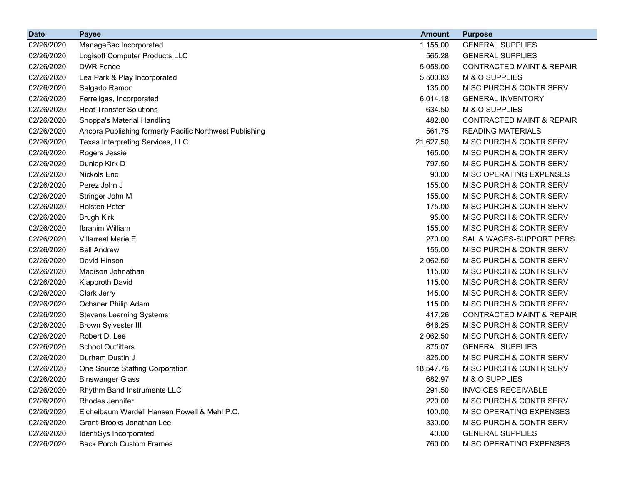| <b>Date</b> | <b>Payee</b>                                            | <b>Amount</b> | <b>Purpose</b>                       |
|-------------|---------------------------------------------------------|---------------|--------------------------------------|
| 02/26/2020  | ManageBac Incorporated                                  | 1,155.00      | <b>GENERAL SUPPLIES</b>              |
| 02/26/2020  | Logisoft Computer Products LLC                          | 565.28        | <b>GENERAL SUPPLIES</b>              |
| 02/26/2020  | <b>DWR Fence</b>                                        | 5,058.00      | <b>CONTRACTED MAINT &amp; REPAIR</b> |
| 02/26/2020  | Lea Park & Play Incorporated                            | 5,500.83      | M & O SUPPLIES                       |
| 02/26/2020  | Salgado Ramon                                           | 135.00        | MISC PURCH & CONTR SERV              |
| 02/26/2020  | Ferrellgas, Incorporated                                | 6,014.18      | <b>GENERAL INVENTORY</b>             |
| 02/26/2020  | <b>Heat Transfer Solutions</b>                          | 634.50        | M & O SUPPLIES                       |
| 02/26/2020  | Shoppa's Material Handling                              | 482.80        | <b>CONTRACTED MAINT &amp; REPAIR</b> |
| 02/26/2020  | Ancora Publishing formerly Pacific Northwest Publishing | 561.75        | <b>READING MATERIALS</b>             |
| 02/26/2020  | Texas Interpreting Services, LLC                        | 21,627.50     | MISC PURCH & CONTR SERV              |
| 02/26/2020  | Rogers Jessie                                           | 165.00        | MISC PURCH & CONTR SERV              |
| 02/26/2020  | Dunlap Kirk D                                           | 797.50        | MISC PURCH & CONTR SERV              |
| 02/26/2020  | Nickols Eric                                            | 90.00         | MISC OPERATING EXPENSES              |
| 02/26/2020  | Perez John J                                            | 155.00        | MISC PURCH & CONTR SERV              |
| 02/26/2020  | Stringer John M                                         | 155.00        | MISC PURCH & CONTR SERV              |
| 02/26/2020  | <b>Holsten Peter</b>                                    | 175.00        | MISC PURCH & CONTR SERV              |
| 02/26/2020  | <b>Brugh Kirk</b>                                       | 95.00         | MISC PURCH & CONTR SERV              |
| 02/26/2020  | Ibrahim William                                         | 155.00        | MISC PURCH & CONTR SERV              |
| 02/26/2020  | <b>Villarreal Marie E</b>                               | 270.00        | SAL & WAGES-SUPPORT PERS             |
| 02/26/2020  | <b>Bell Andrew</b>                                      | 155.00        | MISC PURCH & CONTR SERV              |
| 02/26/2020  | David Hinson                                            | 2,062.50      | MISC PURCH & CONTR SERV              |
| 02/26/2020  | Madison Johnathan                                       | 115.00        | MISC PURCH & CONTR SERV              |
| 02/26/2020  | <b>Klapproth David</b>                                  | 115.00        | MISC PURCH & CONTR SERV              |
| 02/26/2020  | Clark Jerry                                             | 145.00        | MISC PURCH & CONTR SERV              |
| 02/26/2020  | Ochsner Philip Adam                                     | 115.00        | MISC PURCH & CONTR SERV              |
| 02/26/2020  | <b>Stevens Learning Systems</b>                         | 417.26        | <b>CONTRACTED MAINT &amp; REPAIR</b> |
| 02/26/2020  | <b>Brown Sylvester III</b>                              | 646.25        | MISC PURCH & CONTR SERV              |
| 02/26/2020  | Robert D. Lee                                           | 2,062.50      | MISC PURCH & CONTR SERV              |
| 02/26/2020  | <b>School Outfitters</b>                                | 875.07        | <b>GENERAL SUPPLIES</b>              |
| 02/26/2020  | Durham Dustin J                                         | 825.00        | MISC PURCH & CONTR SERV              |
| 02/26/2020  | One Source Staffing Corporation                         | 18,547.76     | MISC PURCH & CONTR SERV              |
| 02/26/2020  | <b>Binswanger Glass</b>                                 | 682.97        | M & O SUPPLIES                       |
| 02/26/2020  | Rhythm Band Instruments LLC                             | 291.50        | <b>INVOICES RECEIVABLE</b>           |
| 02/26/2020  | Rhodes Jennifer                                         | 220.00        | MISC PURCH & CONTR SERV              |
| 02/26/2020  | Eichelbaum Wardell Hansen Powell & Mehl P.C.            | 100.00        | MISC OPERATING EXPENSES              |
| 02/26/2020  | Grant-Brooks Jonathan Lee                               | 330.00        | MISC PURCH & CONTR SERV              |
| 02/26/2020  | IdentiSys Incorporated                                  | 40.00         | <b>GENERAL SUPPLIES</b>              |
| 02/26/2020  | <b>Back Porch Custom Frames</b>                         | 760.00        | MISC OPERATING EXPENSES              |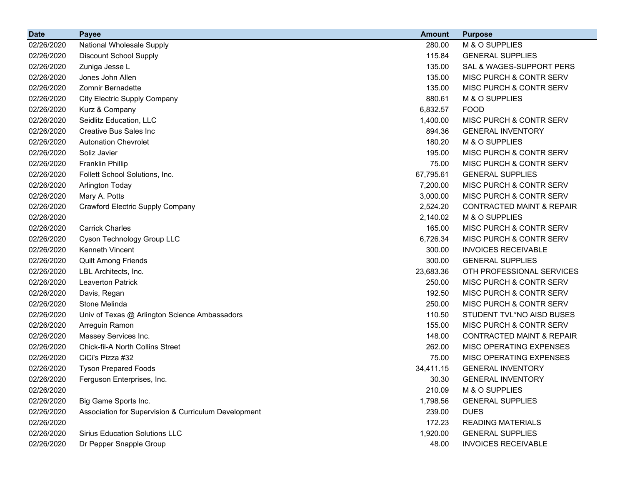| <b>Date</b> | <b>Payee</b>                                         | <b>Amount</b> | <b>Purpose</b>                       |
|-------------|------------------------------------------------------|---------------|--------------------------------------|
| 02/26/2020  | National Wholesale Supply                            | 280.00        | M & O SUPPLIES                       |
| 02/26/2020  | <b>Discount School Supply</b>                        | 115.84        | <b>GENERAL SUPPLIES</b>              |
| 02/26/2020  | Zuniga Jesse L                                       | 135.00        | SAL & WAGES-SUPPORT PERS             |
| 02/26/2020  | Jones John Allen                                     | 135.00        | MISC PURCH & CONTR SERV              |
| 02/26/2020  | Zomnir Bernadette                                    | 135.00        | MISC PURCH & CONTR SERV              |
| 02/26/2020  | <b>City Electric Supply Company</b>                  | 880.61        | M & O SUPPLIES                       |
| 02/26/2020  | Kurz & Company                                       | 6,832.57      | <b>FOOD</b>                          |
| 02/26/2020  | Seidlitz Education, LLC                              | 1,400.00      | <b>MISC PURCH &amp; CONTR SERV</b>   |
| 02/26/2020  | <b>Creative Bus Sales Inc.</b>                       | 894.36        | <b>GENERAL INVENTORY</b>             |
| 02/26/2020  | <b>Autonation Chevrolet</b>                          | 180.20        | M & O SUPPLIES                       |
| 02/26/2020  | Soliz Javier                                         | 195.00        | MISC PURCH & CONTR SERV              |
| 02/26/2020  | <b>Franklin Phillip</b>                              | 75.00         | MISC PURCH & CONTR SERV              |
| 02/26/2020  | Follett School Solutions, Inc.                       | 67,795.61     | <b>GENERAL SUPPLIES</b>              |
| 02/26/2020  | <b>Arlington Today</b>                               | 7,200.00      | MISC PURCH & CONTR SERV              |
| 02/26/2020  | Mary A. Potts                                        | 3,000.00      | MISC PURCH & CONTR SERV              |
| 02/26/2020  | <b>Crawford Electric Supply Company</b>              | 2,524.20      | <b>CONTRACTED MAINT &amp; REPAIR</b> |
| 02/26/2020  |                                                      | 2,140.02      | M & O SUPPLIES                       |
| 02/26/2020  | <b>Carrick Charles</b>                               | 165.00        | MISC PURCH & CONTR SERV              |
| 02/26/2020  | Cyson Technology Group LLC                           | 6,726.34      | MISC PURCH & CONTR SERV              |
| 02/26/2020  | Kenneth Vincent                                      | 300.00        | <b>INVOICES RECEIVABLE</b>           |
| 02/26/2020  | Quilt Among Friends                                  | 300.00        | <b>GENERAL SUPPLIES</b>              |
| 02/26/2020  | LBL Architects, Inc.                                 | 23,683.36     | OTH PROFESSIONAL SERVICES            |
| 02/26/2020  | <b>Leaverton Patrick</b>                             | 250.00        | MISC PURCH & CONTR SERV              |
| 02/26/2020  | Davis, Regan                                         | 192.50        | MISC PURCH & CONTR SERV              |
| 02/26/2020  | Stone Melinda                                        | 250.00        | MISC PURCH & CONTR SERV              |
| 02/26/2020  | Univ of Texas @ Arlington Science Ambassadors        | 110.50        | STUDENT TVL*NO AISD BUSES            |
| 02/26/2020  | Arreguin Ramon                                       | 155.00        | MISC PURCH & CONTR SERV              |
| 02/26/2020  | Massey Services Inc.                                 | 148.00        | <b>CONTRACTED MAINT &amp; REPAIR</b> |
| 02/26/2020  | <b>Chick-fil-A North Collins Street</b>              | 262.00        | MISC OPERATING EXPENSES              |
| 02/26/2020  | CiCi's Pizza #32                                     | 75.00         | MISC OPERATING EXPENSES              |
| 02/26/2020  | <b>Tyson Prepared Foods</b>                          | 34,411.15     | <b>GENERAL INVENTORY</b>             |
| 02/26/2020  | Ferguson Enterprises, Inc.                           | 30.30         | <b>GENERAL INVENTORY</b>             |
| 02/26/2020  |                                                      | 210.09        | M & O SUPPLIES                       |
| 02/26/2020  | Big Game Sports Inc.                                 | 1,798.56      | <b>GENERAL SUPPLIES</b>              |
| 02/26/2020  | Association for Supervision & Curriculum Development | 239.00        | <b>DUES</b>                          |
| 02/26/2020  |                                                      | 172.23        | <b>READING MATERIALS</b>             |
| 02/26/2020  | <b>Sirius Education Solutions LLC</b>                | 1,920.00      | <b>GENERAL SUPPLIES</b>              |
| 02/26/2020  | Dr Pepper Snapple Group                              | 48.00         | <b>INVOICES RECEIVABLE</b>           |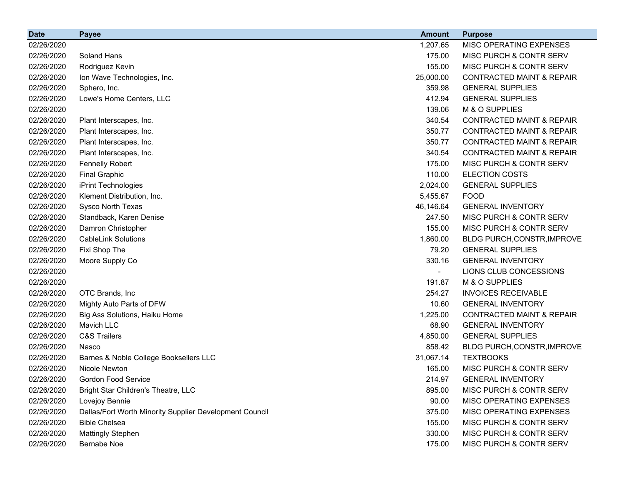| <b>Date</b> | <b>Payee</b>                                            | <b>Amount</b> | <b>Purpose</b>                       |
|-------------|---------------------------------------------------------|---------------|--------------------------------------|
| 02/26/2020  |                                                         | 1,207.65      | MISC OPERATING EXPENSES              |
| 02/26/2020  | Soland Hans                                             | 175.00        | MISC PURCH & CONTR SERV              |
| 02/26/2020  | Rodriguez Kevin                                         | 155.00        | MISC PURCH & CONTR SERV              |
| 02/26/2020  | Ion Wave Technologies, Inc.                             | 25,000.00     | <b>CONTRACTED MAINT &amp; REPAIR</b> |
| 02/26/2020  | Sphero, Inc.                                            | 359.98        | <b>GENERAL SUPPLIES</b>              |
| 02/26/2020  | Lowe's Home Centers, LLC                                | 412.94        | <b>GENERAL SUPPLIES</b>              |
| 02/26/2020  |                                                         | 139.06        | M & O SUPPLIES                       |
| 02/26/2020  | Plant Interscapes, Inc.                                 | 340.54        | <b>CONTRACTED MAINT &amp; REPAIR</b> |
| 02/26/2020  | Plant Interscapes, Inc.                                 | 350.77        | CONTRACTED MAINT & REPAIR            |
| 02/26/2020  | Plant Interscapes, Inc.                                 | 350.77        | <b>CONTRACTED MAINT &amp; REPAIR</b> |
| 02/26/2020  | Plant Interscapes, Inc.                                 | 340.54        | <b>CONTRACTED MAINT &amp; REPAIR</b> |
| 02/26/2020  | <b>Fennelly Robert</b>                                  | 175.00        | MISC PURCH & CONTR SERV              |
| 02/26/2020  | <b>Final Graphic</b>                                    | 110.00        | <b>ELECTION COSTS</b>                |
| 02/26/2020  | iPrint Technologies                                     | 2,024.00      | <b>GENERAL SUPPLIES</b>              |
| 02/26/2020  | Klement Distribution, Inc.                              | 5,455.67      | <b>FOOD</b>                          |
| 02/26/2020  | Sysco North Texas                                       | 46,146.64     | <b>GENERAL INVENTORY</b>             |
| 02/26/2020  | Standback, Karen Denise                                 | 247.50        | MISC PURCH & CONTR SERV              |
| 02/26/2020  | Damron Christopher                                      | 155.00        | MISC PURCH & CONTR SERV              |
| 02/26/2020  | <b>CableLink Solutions</b>                              | 1,860.00      | BLDG PURCH, CONSTR, IMPROVE          |
| 02/26/2020  | Fixi Shop The                                           | 79.20         | <b>GENERAL SUPPLIES</b>              |
| 02/26/2020  | Moore Supply Co                                         | 330.16        | <b>GENERAL INVENTORY</b>             |
| 02/26/2020  |                                                         |               | LIONS CLUB CONCESSIONS               |
| 02/26/2020  |                                                         | 191.87        | M & O SUPPLIES                       |
| 02/26/2020  | OTC Brands, Inc                                         | 254.27        | <b>INVOICES RECEIVABLE</b>           |
| 02/26/2020  | Mighty Auto Parts of DFW                                | 10.60         | <b>GENERAL INVENTORY</b>             |
| 02/26/2020  | Big Ass Solutions, Haiku Home                           | 1,225.00      | <b>CONTRACTED MAINT &amp; REPAIR</b> |
| 02/26/2020  | Mavich LLC                                              | 68.90         | <b>GENERAL INVENTORY</b>             |
| 02/26/2020  | <b>C&amp;S Trailers</b>                                 | 4,850.00      | <b>GENERAL SUPPLIES</b>              |
| 02/26/2020  | Nasco                                                   | 858.42        | BLDG PURCH, CONSTR, IMPROVE          |
| 02/26/2020  | Barnes & Noble College Booksellers LLC                  | 31,067.14     | <b>TEXTBOOKS</b>                     |
| 02/26/2020  | Nicole Newton                                           | 165.00        | MISC PURCH & CONTR SERV              |
| 02/26/2020  | Gordon Food Service                                     | 214.97        | <b>GENERAL INVENTORY</b>             |
| 02/26/2020  | Bright Star Children's Theatre, LLC                     | 895.00        | MISC PURCH & CONTR SERV              |
| 02/26/2020  | Lovejoy Bennie                                          | 90.00         | MISC OPERATING EXPENSES              |
| 02/26/2020  | Dallas/Fort Worth Minority Supplier Development Council | 375.00        | MISC OPERATING EXPENSES              |
| 02/26/2020  | <b>Bible Chelsea</b>                                    | 155.00        | MISC PURCH & CONTR SERV              |
| 02/26/2020  | <b>Mattingly Stephen</b>                                | 330.00        | MISC PURCH & CONTR SERV              |
| 02/26/2020  | <b>Bernabe Noe</b>                                      | 175.00        | MISC PURCH & CONTR SERV              |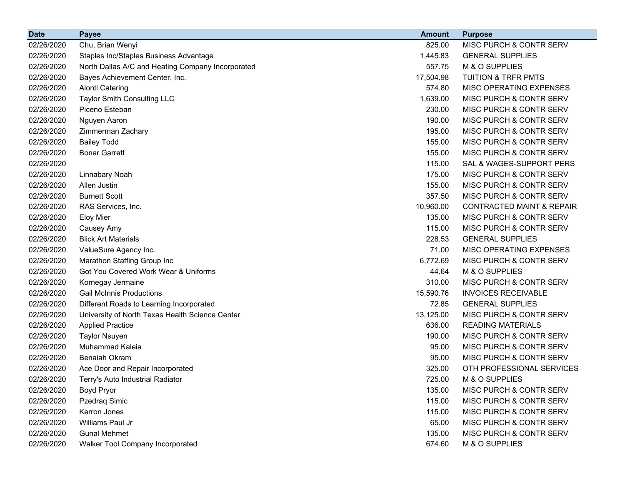| <b>Date</b> | <b>Payee</b>                                      | <b>Amount</b> | <b>Purpose</b>                       |
|-------------|---------------------------------------------------|---------------|--------------------------------------|
| 02/26/2020  | Chu, Brian Wenyi                                  | 825.00        | MISC PURCH & CONTR SERV              |
| 02/26/2020  | Staples Inc/Staples Business Advantage            | 1,445.83      | <b>GENERAL SUPPLIES</b>              |
| 02/26/2020  | North Dallas A/C and Heating Company Incorporated | 557.75        | M & O SUPPLIES                       |
| 02/26/2020  | Bayes Achievement Center, Inc.                    | 17,504.98     | <b>TUITION &amp; TRFR PMTS</b>       |
| 02/26/2020  | <b>Alonti Catering</b>                            | 574.80        | MISC OPERATING EXPENSES              |
| 02/26/2020  | Taylor Smith Consulting LLC                       | 1,639.00      | MISC PURCH & CONTR SERV              |
| 02/26/2020  | Piceno Esteban                                    | 230.00        | MISC PURCH & CONTR SERV              |
| 02/26/2020  | Nguyen Aaron                                      | 190.00        | MISC PURCH & CONTR SERV              |
| 02/26/2020  | Zimmerman Zachary                                 | 195.00        | MISC PURCH & CONTR SERV              |
| 02/26/2020  | <b>Bailey Todd</b>                                | 155.00        | MISC PURCH & CONTR SERV              |
| 02/26/2020  | <b>Bonar Garrett</b>                              | 155.00        | MISC PURCH & CONTR SERV              |
| 02/26/2020  |                                                   | 115.00        | SAL & WAGES-SUPPORT PERS             |
| 02/26/2020  | Linnabary Noah                                    | 175.00        | MISC PURCH & CONTR SERV              |
| 02/26/2020  | Allen Justin                                      | 155.00        | MISC PURCH & CONTR SERV              |
| 02/26/2020  | <b>Burnett Scott</b>                              | 357.50        | MISC PURCH & CONTR SERV              |
| 02/26/2020  | RAS Services, Inc.                                | 10,960.00     | <b>CONTRACTED MAINT &amp; REPAIR</b> |
| 02/26/2020  | <b>Eloy Mier</b>                                  | 135.00        | MISC PURCH & CONTR SERV              |
| 02/26/2020  | Causey Amy                                        | 115.00        | MISC PURCH & CONTR SERV              |
| 02/26/2020  | <b>Blick Art Materials</b>                        | 228.53        | <b>GENERAL SUPPLIES</b>              |
| 02/26/2020  | ValueSure Agency Inc.                             | 71.00         | MISC OPERATING EXPENSES              |
| 02/26/2020  | Marathon Staffing Group Inc                       | 6,772.69      | MISC PURCH & CONTR SERV              |
| 02/26/2020  | Got You Covered Work Wear & Uniforms              | 44.64         | M & O SUPPLIES                       |
| 02/26/2020  | Kornegay Jermaine                                 | 310.00        | MISC PURCH & CONTR SERV              |
| 02/26/2020  | <b>Gail McInnis Productions</b>                   | 15,590.76     | <b>INVOICES RECEIVABLE</b>           |
| 02/26/2020  | Different Roads to Learning Incorporated          | 72.85         | <b>GENERAL SUPPLIES</b>              |
| 02/26/2020  | University of North Texas Health Science Center   | 13,125.00     | MISC PURCH & CONTR SERV              |
| 02/26/2020  | <b>Applied Practice</b>                           | 636.00        | <b>READING MATERIALS</b>             |
| 02/26/2020  | <b>Taylor Nsuyen</b>                              | 190.00        | MISC PURCH & CONTR SERV              |
| 02/26/2020  | <b>Muhammad Kaleia</b>                            | 95.00         | MISC PURCH & CONTR SERV              |
| 02/26/2020  | <b>Benaiah Okram</b>                              | 95.00         | MISC PURCH & CONTR SERV              |
| 02/26/2020  | Ace Door and Repair Incorporated                  | 325.00        | OTH PROFESSIONAL SERVICES            |
| 02/26/2020  | Terry's Auto Industrial Radiator                  | 725.00        | M & O SUPPLIES                       |
| 02/26/2020  | Boyd Pryor                                        | 135.00        | MISC PURCH & CONTR SERV              |
| 02/26/2020  | Pzedraq Simic                                     | 115.00        | MISC PURCH & CONTR SERV              |
| 02/26/2020  | Kerron Jones                                      | 115.00        | MISC PURCH & CONTR SERV              |
| 02/26/2020  | Williams Paul Jr                                  | 65.00         | MISC PURCH & CONTR SERV              |
| 02/26/2020  | <b>Gunal Mehmet</b>                               | 135.00        | MISC PURCH & CONTR SERV              |
| 02/26/2020  | Walker Tool Company Incorporated                  | 674.60        | M & O SUPPLIES                       |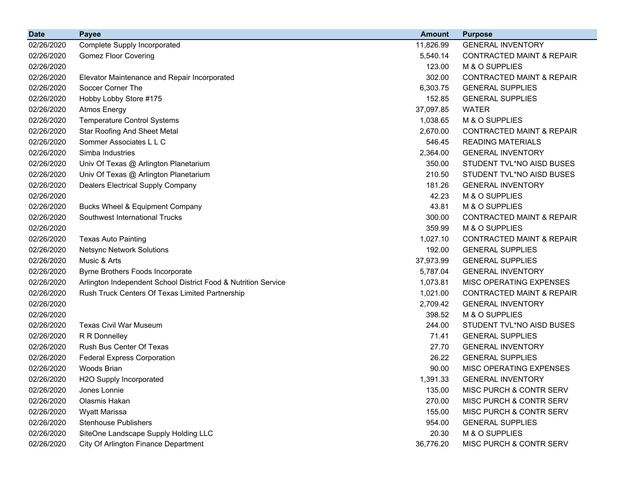| <b>Date</b> | <b>Payee</b>                                                   | <b>Amount</b> | <b>Purpose</b>                       |
|-------------|----------------------------------------------------------------|---------------|--------------------------------------|
| 02/26/2020  | Complete Supply Incorporated                                   | 11,826.99     | <b>GENERAL INVENTORY</b>             |
| 02/26/2020  | <b>Gomez Floor Covering</b>                                    | 5,540.14      | <b>CONTRACTED MAINT &amp; REPAIR</b> |
| 02/26/2020  |                                                                | 123.00        | M & O SUPPLIES                       |
| 02/26/2020  | Elevator Maintenance and Repair Incorporated                   | 302.00        | <b>CONTRACTED MAINT &amp; REPAIR</b> |
| 02/26/2020  | Soccer Corner The                                              | 6,303.75      | <b>GENERAL SUPPLIES</b>              |
| 02/26/2020  | Hobby Lobby Store #175                                         | 152.85        | <b>GENERAL SUPPLIES</b>              |
| 02/26/2020  | <b>Atmos Energy</b>                                            | 37,097.85     | <b>WATER</b>                         |
| 02/26/2020  | <b>Temperature Control Systems</b>                             | 1,038.65      | M & O SUPPLIES                       |
| 02/26/2020  | <b>Star Roofing And Sheet Metal</b>                            | 2,670.00      | <b>CONTRACTED MAINT &amp; REPAIR</b> |
| 02/26/2020  | Sommer Associates L L C                                        | 546.45        | <b>READING MATERIALS</b>             |
| 02/26/2020  | Simba Industries                                               | 2,364.00      | <b>GENERAL INVENTORY</b>             |
| 02/26/2020  | Univ Of Texas @ Arlington Planetarium                          | 350.00        | STUDENT TVL*NO AISD BUSES            |
| 02/26/2020  | Univ Of Texas @ Arlington Planetarium                          | 210.50        | STUDENT TVL*NO AISD BUSES            |
| 02/26/2020  | <b>Dealers Electrical Supply Company</b>                       | 181.26        | <b>GENERAL INVENTORY</b>             |
| 02/26/2020  |                                                                | 42.23         | M & O SUPPLIES                       |
| 02/26/2020  | <b>Bucks Wheel &amp; Equipment Company</b>                     | 43.81         | M & O SUPPLIES                       |
| 02/26/2020  | Southwest International Trucks                                 | 300.00        | <b>CONTRACTED MAINT &amp; REPAIR</b> |
| 02/26/2020  |                                                                | 359.99        | M & O SUPPLIES                       |
| 02/26/2020  | <b>Texas Auto Painting</b>                                     | 1,027.10      | <b>CONTRACTED MAINT &amp; REPAIR</b> |
| 02/26/2020  | <b>Netsync Network Solutions</b>                               | 192.00        | <b>GENERAL SUPPLIES</b>              |
| 02/26/2020  | Music & Arts                                                   | 37,973.99     | <b>GENERAL SUPPLIES</b>              |
| 02/26/2020  | Byrne Brothers Foods Incorporate                               | 5,787.04      | <b>GENERAL INVENTORY</b>             |
| 02/26/2020  | Arlington Independent School District Food & Nutrition Service | 1,073.81      | MISC OPERATING EXPENSES              |
| 02/26/2020  | Rush Truck Centers Of Texas Limited Partnership                | 1,021.00      | <b>CONTRACTED MAINT &amp; REPAIR</b> |
| 02/26/2020  |                                                                | 2,709.42      | <b>GENERAL INVENTORY</b>             |
| 02/26/2020  |                                                                | 398.52        | M & O SUPPLIES                       |
| 02/26/2020  | <b>Texas Civil War Museum</b>                                  | 244.00        | STUDENT TVL*NO AISD BUSES            |
| 02/26/2020  | R R Donnelley                                                  | 71.41         | <b>GENERAL SUPPLIES</b>              |
| 02/26/2020  | Rush Bus Center Of Texas                                       | 27.70         | <b>GENERAL INVENTORY</b>             |
| 02/26/2020  | <b>Federal Express Corporation</b>                             | 26.22         | <b>GENERAL SUPPLIES</b>              |
| 02/26/2020  | Woods Brian                                                    | 90.00         | MISC OPERATING EXPENSES              |
| 02/26/2020  | H2O Supply Incorporated                                        | 1,391.33      | <b>GENERAL INVENTORY</b>             |
| 02/26/2020  | Jones Lonnie                                                   | 135.00        | MISC PURCH & CONTR SERV              |
| 02/26/2020  | Olasmis Hakan                                                  | 270.00        | MISC PURCH & CONTR SERV              |
| 02/26/2020  | <b>Wyatt Marissa</b>                                           | 155.00        | MISC PURCH & CONTR SERV              |
| 02/26/2020  | <b>Stenhouse Publishers</b>                                    | 954.00        | <b>GENERAL SUPPLIES</b>              |
| 02/26/2020  | SiteOne Landscape Supply Holding LLC                           | 20.30         | M & O SUPPLIES                       |
| 02/26/2020  | City Of Arlington Finance Department                           | 36,776.20     | MISC PURCH & CONTR SERV              |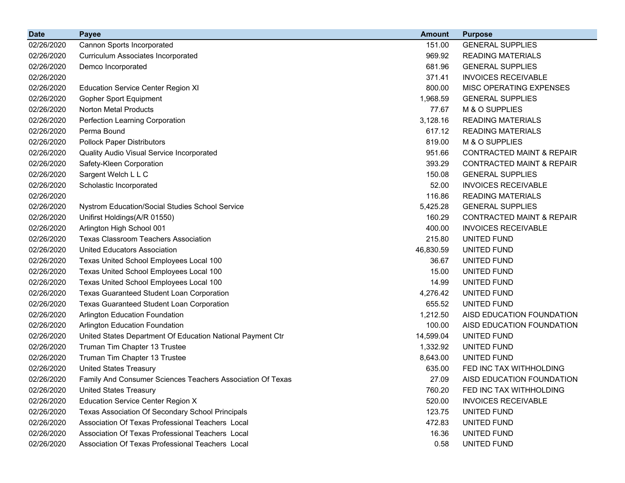| <b>Date</b> | <b>Payee</b>                                                      | <b>Amount</b> | <b>Purpose</b>                       |
|-------------|-------------------------------------------------------------------|---------------|--------------------------------------|
| 02/26/2020  | Cannon Sports Incorporated                                        | 151.00        | <b>GENERAL SUPPLIES</b>              |
| 02/26/2020  | <b>Curriculum Associates Incorporated</b>                         | 969.92        | <b>READING MATERIALS</b>             |
| 02/26/2020  | Demco Incorporated                                                | 681.96        | <b>GENERAL SUPPLIES</b>              |
| 02/26/2020  |                                                                   | 371.41        | <b>INVOICES RECEIVABLE</b>           |
| 02/26/2020  | <b>Education Service Center Region XI</b>                         | 800.00        | MISC OPERATING EXPENSES              |
| 02/26/2020  | <b>Gopher Sport Equipment</b>                                     | 1,968.59      | <b>GENERAL SUPPLIES</b>              |
| 02/26/2020  | <b>Norton Metal Products</b>                                      | 77.67         | M & O SUPPLIES                       |
| 02/26/2020  | Perfection Learning Corporation                                   | 3,128.16      | <b>READING MATERIALS</b>             |
| 02/26/2020  | Perma Bound                                                       | 617.12        | <b>READING MATERIALS</b>             |
| 02/26/2020  | <b>Pollock Paper Distributors</b>                                 | 819.00        | M & O SUPPLIES                       |
| 02/26/2020  | Quality Audio Visual Service Incorporated                         | 951.66        | <b>CONTRACTED MAINT &amp; REPAIR</b> |
| 02/26/2020  | Safety-Kleen Corporation                                          | 393.29        | <b>CONTRACTED MAINT &amp; REPAIR</b> |
| 02/26/2020  | Sargent Welch L L C                                               | 150.08        | <b>GENERAL SUPPLIES</b>              |
| 02/26/2020  | Scholastic Incorporated                                           | 52.00         | <b>INVOICES RECEIVABLE</b>           |
| 02/26/2020  |                                                                   | 116.86        | <b>READING MATERIALS</b>             |
| 02/26/2020  | Nystrom Education/Social Studies School Service                   | 5,425.28      | <b>GENERAL SUPPLIES</b>              |
| 02/26/2020  | Unifirst Holdings(A/R 01550)                                      | 160.29        | <b>CONTRACTED MAINT &amp; REPAIR</b> |
| 02/26/2020  | Arlington High School 001                                         | 400.00        | <b>INVOICES RECEIVABLE</b>           |
| 02/26/2020  | <b>Texas Classroom Teachers Association</b>                       | 215.80        | UNITED FUND                          |
| 02/26/2020  | <b>United Educators Association</b>                               | 46,830.59     | UNITED FUND                          |
| 02/26/2020  | Texas United School Employees Local 100                           | 36.67         | UNITED FUND                          |
| 02/26/2020  | Texas United School Employees Local 100                           | 15.00         | UNITED FUND                          |
| 02/26/2020  | Texas United School Employees Local 100                           | 14.99         | UNITED FUND                          |
| 02/26/2020  | <b>Texas Guaranteed Student Loan Corporation</b>                  | 4,276.42      | UNITED FUND                          |
| 02/26/2020  | <b>Texas Guaranteed Student Loan Corporation</b>                  | 655.52        | UNITED FUND                          |
| 02/26/2020  | Arlington Education Foundation                                    | 1,212.50      | AISD EDUCATION FOUNDATION            |
| 02/26/2020  | Arlington Education Foundation                                    | 100.00        | AISD EDUCATION FOUNDATION            |
| 02/26/2020  | United States Department Of Education National Payment Ctr        | 14,599.04     | UNITED FUND                          |
| 02/26/2020  | Truman Tim Chapter 13 Trustee                                     | 1,332.92      | UNITED FUND                          |
| 02/26/2020  | Truman Tim Chapter 13 Trustee                                     | 8,643.00      | UNITED FUND                          |
| 02/26/2020  | <b>United States Treasury</b>                                     | 635.00        | FED INC TAX WITHHOLDING              |
| 02/26/2020  | <b>Family And Consumer Sciences Teachers Association Of Texas</b> | 27.09         | AISD EDUCATION FOUNDATION            |
| 02/26/2020  | <b>United States Treasury</b>                                     | 760.20        | FED INC TAX WITHHOLDING              |
| 02/26/2020  | <b>Education Service Center Region X</b>                          | 520.00        | <b>INVOICES RECEIVABLE</b>           |
| 02/26/2020  | Texas Association Of Secondary School Principals                  | 123.75        | UNITED FUND                          |
| 02/26/2020  | Association Of Texas Professional Teachers Local                  | 472.83        | UNITED FUND                          |
| 02/26/2020  | Association Of Texas Professional Teachers Local                  | 16.36         | UNITED FUND                          |
| 02/26/2020  | Association Of Texas Professional Teachers Local                  | 0.58          | UNITED FUND                          |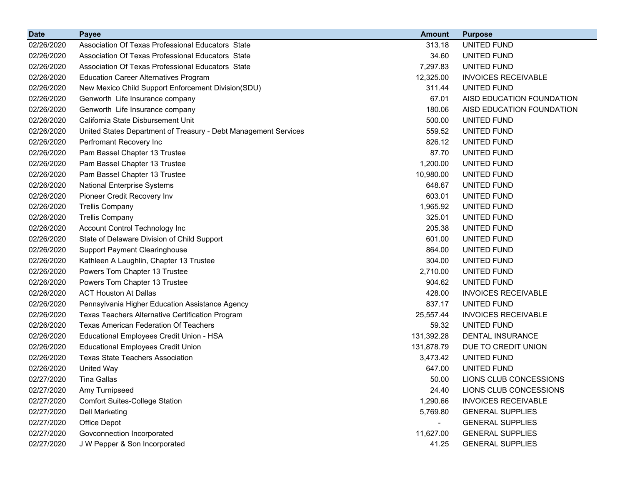| <b>Date</b> | <b>Payee</b>                                                    | <b>Amount</b> | <b>Purpose</b>             |
|-------------|-----------------------------------------------------------------|---------------|----------------------------|
| 02/26/2020  | Association Of Texas Professional Educators State               | 313.18        | UNITED FUND                |
| 02/26/2020  | Association Of Texas Professional Educators State               | 34.60         | UNITED FUND                |
| 02/26/2020  | Association Of Texas Professional Educators State               | 7,297.83      | UNITED FUND                |
| 02/26/2020  | <b>Education Career Alternatives Program</b>                    | 12,325.00     | <b>INVOICES RECEIVABLE</b> |
| 02/26/2020  | New Mexico Child Support Enforcement Division(SDU)              | 311.44        | UNITED FUND                |
| 02/26/2020  | Genworth Life Insurance company                                 | 67.01         | AISD EDUCATION FOUNDATION  |
| 02/26/2020  | Genworth Life Insurance company                                 | 180.06        | AISD EDUCATION FOUNDATION  |
| 02/26/2020  | California State Disbursement Unit                              | 500.00        | UNITED FUND                |
| 02/26/2020  | United States Department of Treasury - Debt Management Services | 559.52        | <b>UNITED FUND</b>         |
| 02/26/2020  | Perfromant Recovery Inc                                         | 826.12        | UNITED FUND                |
| 02/26/2020  | Pam Bassel Chapter 13 Trustee                                   | 87.70         | UNITED FUND                |
| 02/26/2020  | Pam Bassel Chapter 13 Trustee                                   | 1,200.00      | UNITED FUND                |
| 02/26/2020  | Pam Bassel Chapter 13 Trustee                                   | 10,980.00     | UNITED FUND                |
| 02/26/2020  | <b>National Enterprise Systems</b>                              | 648.67        | UNITED FUND                |
| 02/26/2020  | Pioneer Credit Recovery Inv                                     | 603.01        | UNITED FUND                |
| 02/26/2020  | <b>Trellis Company</b>                                          | 1,965.92      | UNITED FUND                |
| 02/26/2020  | <b>Trellis Company</b>                                          | 325.01        | UNITED FUND                |
| 02/26/2020  | Account Control Technology Inc                                  | 205.38        | UNITED FUND                |
| 02/26/2020  | State of Delaware Division of Child Support                     | 601.00        | <b>UNITED FUND</b>         |
| 02/26/2020  | <b>Support Payment Clearinghouse</b>                            | 864.00        | UNITED FUND                |
| 02/26/2020  | Kathleen A Laughlin, Chapter 13 Trustee                         | 304.00        | UNITED FUND                |
| 02/26/2020  | Powers Tom Chapter 13 Trustee                                   | 2,710.00      | UNITED FUND                |
| 02/26/2020  | Powers Tom Chapter 13 Trustee                                   | 904.62        | UNITED FUND                |
| 02/26/2020  | <b>ACT Houston At Dallas</b>                                    | 428.00        | <b>INVOICES RECEIVABLE</b> |
| 02/26/2020  | Pennsylvania Higher Education Assistance Agency                 | 837.17        | UNITED FUND                |
| 02/26/2020  | Texas Teachers Alternative Certification Program                | 25,557.44     | <b>INVOICES RECEIVABLE</b> |
| 02/26/2020  | <b>Texas American Federation Of Teachers</b>                    | 59.32         | UNITED FUND                |
| 02/26/2020  | Educational Employees Credit Union - HSA                        | 131,392.28    | <b>DENTAL INSURANCE</b>    |
| 02/26/2020  | <b>Educational Employees Credit Union</b>                       | 131,878.79    | DUE TO CREDIT UNION        |
| 02/26/2020  | <b>Texas State Teachers Association</b>                         | 3,473.42      | UNITED FUND                |
| 02/26/2020  | United Way                                                      | 647.00        | UNITED FUND                |
| 02/27/2020  | <b>Tina Gallas</b>                                              | 50.00         | LIONS CLUB CONCESSIONS     |
| 02/27/2020  | Amy Turnipseed                                                  | 24.40         | LIONS CLUB CONCESSIONS     |
| 02/27/2020  | <b>Comfort Suites-College Station</b>                           | 1,290.66      | <b>INVOICES RECEIVABLE</b> |
| 02/27/2020  | <b>Dell Marketing</b>                                           | 5,769.80      | <b>GENERAL SUPPLIES</b>    |
| 02/27/2020  | Office Depot                                                    |               | <b>GENERAL SUPPLIES</b>    |
| 02/27/2020  | Govconnection Incorporated                                      | 11,627.00     | <b>GENERAL SUPPLIES</b>    |
| 02/27/2020  | J W Pepper & Son Incorporated                                   | 41.25         | <b>GENERAL SUPPLIES</b>    |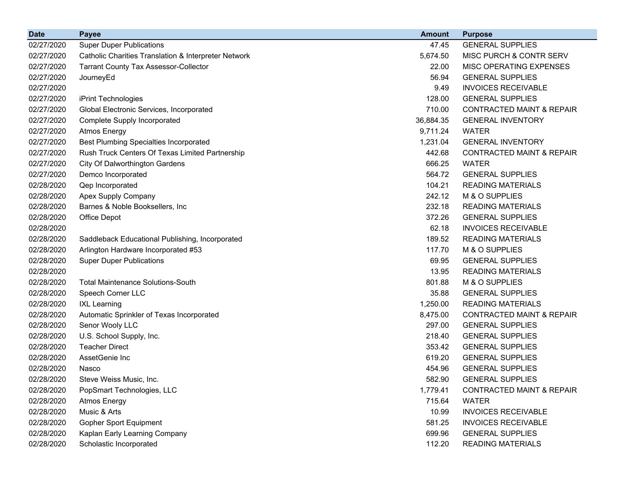| <b>Date</b> | <b>Payee</b>                                         | <b>Amount</b> | <b>Purpose</b>                       |
|-------------|------------------------------------------------------|---------------|--------------------------------------|
| 02/27/2020  | <b>Super Duper Publications</b>                      | 47.45         | <b>GENERAL SUPPLIES</b>              |
| 02/27/2020  | Catholic Charities Translation & Interpreter Network | 5,674.50      | MISC PURCH & CONTR SERV              |
| 02/27/2020  | <b>Tarrant County Tax Assessor-Collector</b>         | 22.00         | MISC OPERATING EXPENSES              |
| 02/27/2020  | JourneyEd                                            | 56.94         | <b>GENERAL SUPPLIES</b>              |
| 02/27/2020  |                                                      | 9.49          | <b>INVOICES RECEIVABLE</b>           |
| 02/27/2020  | iPrint Technologies                                  | 128.00        | <b>GENERAL SUPPLIES</b>              |
| 02/27/2020  | Global Electronic Services, Incorporated             | 710.00        | <b>CONTRACTED MAINT &amp; REPAIR</b> |
| 02/27/2020  | <b>Complete Supply Incorporated</b>                  | 36,884.35     | <b>GENERAL INVENTORY</b>             |
| 02/27/2020  | <b>Atmos Energy</b>                                  | 9,711.24      | <b>WATER</b>                         |
| 02/27/2020  | <b>Best Plumbing Specialties Incorporated</b>        | 1,231.04      | <b>GENERAL INVENTORY</b>             |
| 02/27/2020  | Rush Truck Centers Of Texas Limited Partnership      | 442.68        | <b>CONTRACTED MAINT &amp; REPAIR</b> |
| 02/27/2020  | <b>City Of Dalworthington Gardens</b>                | 666.25        | <b>WATER</b>                         |
| 02/27/2020  | Demco Incorporated                                   | 564.72        | <b>GENERAL SUPPLIES</b>              |
| 02/28/2020  | Qep Incorporated                                     | 104.21        | <b>READING MATERIALS</b>             |
| 02/28/2020  | <b>Apex Supply Company</b>                           | 242.12        | M & O SUPPLIES                       |
| 02/28/2020  | Barnes & Noble Booksellers, Inc.                     | 232.18        | <b>READING MATERIALS</b>             |
| 02/28/2020  | Office Depot                                         | 372.26        | <b>GENERAL SUPPLIES</b>              |
| 02/28/2020  |                                                      | 62.18         | <b>INVOICES RECEIVABLE</b>           |
| 02/28/2020  | Saddleback Educational Publishing, Incorporated      | 189.52        | <b>READING MATERIALS</b>             |
| 02/28/2020  | Arlington Hardware Incorporated #53                  | 117.70        | M & O SUPPLIES                       |
| 02/28/2020  | <b>Super Duper Publications</b>                      | 69.95         | <b>GENERAL SUPPLIES</b>              |
| 02/28/2020  |                                                      | 13.95         | <b>READING MATERIALS</b>             |
| 02/28/2020  | <b>Total Maintenance Solutions-South</b>             | 801.88        | M & O SUPPLIES                       |
| 02/28/2020  | Speech Corner LLC                                    | 35.88         | <b>GENERAL SUPPLIES</b>              |
| 02/28/2020  | <b>IXL Learning</b>                                  | 1,250.00      | <b>READING MATERIALS</b>             |
| 02/28/2020  | Automatic Sprinkler of Texas Incorporated            | 8,475.00      | <b>CONTRACTED MAINT &amp; REPAIR</b> |
| 02/28/2020  | Senor Wooly LLC                                      | 297.00        | <b>GENERAL SUPPLIES</b>              |
| 02/28/2020  | U.S. School Supply, Inc.                             | 218.40        | <b>GENERAL SUPPLIES</b>              |
| 02/28/2020  | <b>Teacher Direct</b>                                | 353.42        | <b>GENERAL SUPPLIES</b>              |
| 02/28/2020  | AssetGenie Inc                                       | 619.20        | <b>GENERAL SUPPLIES</b>              |
| 02/28/2020  | Nasco                                                | 454.96        | <b>GENERAL SUPPLIES</b>              |
| 02/28/2020  | Steve Weiss Music, Inc.                              | 582.90        | <b>GENERAL SUPPLIES</b>              |
| 02/28/2020  | PopSmart Technologies, LLC                           | 1,779.41      | <b>CONTRACTED MAINT &amp; REPAIR</b> |
| 02/28/2020  | <b>Atmos Energy</b>                                  | 715.64        | <b>WATER</b>                         |
| 02/28/2020  | Music & Arts                                         | 10.99         | <b>INVOICES RECEIVABLE</b>           |
| 02/28/2020  | <b>Gopher Sport Equipment</b>                        | 581.25        | <b>INVOICES RECEIVABLE</b>           |
| 02/28/2020  | Kaplan Early Learning Company                        | 699.96        | <b>GENERAL SUPPLIES</b>              |
| 02/28/2020  | Scholastic Incorporated                              | 112.20        | <b>READING MATERIALS</b>             |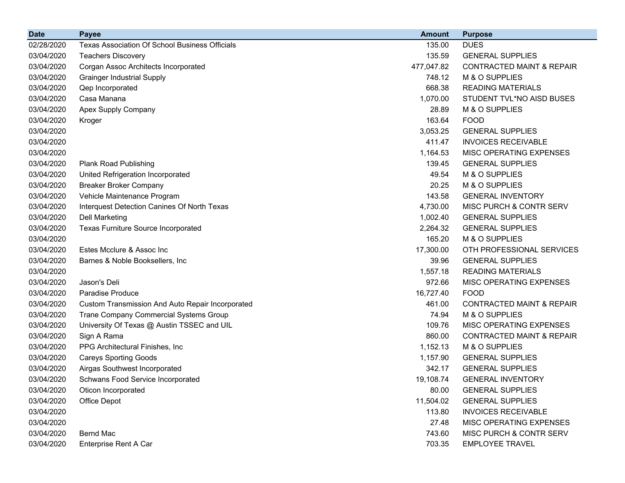| <b>Date</b> | <b>Payee</b>                                          | <b>Amount</b> | <b>Purpose</b>                       |
|-------------|-------------------------------------------------------|---------------|--------------------------------------|
| 02/28/2020  | <b>Texas Association Of School Business Officials</b> | 135.00        | <b>DUES</b>                          |
| 03/04/2020  | <b>Teachers Discovery</b>                             | 135.59        | <b>GENERAL SUPPLIES</b>              |
| 03/04/2020  | Corgan Assoc Architects Incorporated                  | 477,047.82    | <b>CONTRACTED MAINT &amp; REPAIR</b> |
| 03/04/2020  | <b>Grainger Industrial Supply</b>                     | 748.12        | M & O SUPPLIES                       |
| 03/04/2020  | Qep Incorporated                                      | 668.38        | <b>READING MATERIALS</b>             |
| 03/04/2020  | Casa Manana                                           | 1,070.00      | STUDENT TVL*NO AISD BUSES            |
| 03/04/2020  | Apex Supply Company                                   | 28.89         | M & O SUPPLIES                       |
| 03/04/2020  | Kroger                                                | 163.64        | <b>FOOD</b>                          |
| 03/04/2020  |                                                       | 3,053.25      | <b>GENERAL SUPPLIES</b>              |
| 03/04/2020  |                                                       | 411.47        | <b>INVOICES RECEIVABLE</b>           |
| 03/04/2020  |                                                       | 1,164.53      | MISC OPERATING EXPENSES              |
| 03/04/2020  | <b>Plank Road Publishing</b>                          | 139.45        | <b>GENERAL SUPPLIES</b>              |
| 03/04/2020  | United Refrigeration Incorporated                     | 49.54         | M & O SUPPLIES                       |
| 03/04/2020  | <b>Breaker Broker Company</b>                         | 20.25         | M & O SUPPLIES                       |
| 03/04/2020  | Vehicle Maintenance Program                           | 143.58        | <b>GENERAL INVENTORY</b>             |
| 03/04/2020  | Interquest Detection Canines Of North Texas           | 4,730.00      | MISC PURCH & CONTR SERV              |
| 03/04/2020  | <b>Dell Marketing</b>                                 | 1,002.40      | <b>GENERAL SUPPLIES</b>              |
| 03/04/2020  | Texas Furniture Source Incorporated                   | 2,264.32      | <b>GENERAL SUPPLIES</b>              |
| 03/04/2020  |                                                       | 165.20        | M & O SUPPLIES                       |
| 03/04/2020  | Estes Mcclure & Assoc Inc                             | 17,300.00     | OTH PROFESSIONAL SERVICES            |
| 03/04/2020  | Barnes & Noble Booksellers, Inc.                      | 39.96         | <b>GENERAL SUPPLIES</b>              |
| 03/04/2020  |                                                       | 1,557.18      | <b>READING MATERIALS</b>             |
| 03/04/2020  | Jason's Deli                                          | 972.66        | MISC OPERATING EXPENSES              |
| 03/04/2020  | Paradise Produce                                      | 16,727.40     | <b>FOOD</b>                          |
| 03/04/2020  | Custom Transmission And Auto Repair Incorporated      | 461.00        | <b>CONTRACTED MAINT &amp; REPAIR</b> |
| 03/04/2020  | Trane Company Commercial Systems Group                | 74.94         | M & O SUPPLIES                       |
| 03/04/2020  | University Of Texas @ Austin TSSEC and UIL            | 109.76        | MISC OPERATING EXPENSES              |
| 03/04/2020  | Sign A Rama                                           | 860.00        | <b>CONTRACTED MAINT &amp; REPAIR</b> |
| 03/04/2020  | PPG Architectural Finishes, Inc.                      | 1,152.13      | M & O SUPPLIES                       |
| 03/04/2020  | <b>Careys Sporting Goods</b>                          | 1,157.90      | <b>GENERAL SUPPLIES</b>              |
| 03/04/2020  | Airgas Southwest Incorporated                         | 342.17        | <b>GENERAL SUPPLIES</b>              |
| 03/04/2020  | Schwans Food Service Incorporated                     | 19,108.74     | <b>GENERAL INVENTORY</b>             |
| 03/04/2020  | Oticon Incorporated                                   | 80.00         | <b>GENERAL SUPPLIES</b>              |
| 03/04/2020  | Office Depot                                          | 11,504.02     | <b>GENERAL SUPPLIES</b>              |
| 03/04/2020  |                                                       | 113.80        | <b>INVOICES RECEIVABLE</b>           |
| 03/04/2020  |                                                       | 27.48         | MISC OPERATING EXPENSES              |
| 03/04/2020  | <b>Bernd Mac</b>                                      | 743.60        | MISC PURCH & CONTR SERV              |
| 03/04/2020  | Enterprise Rent A Car                                 | 703.35        | <b>EMPLOYEE TRAVEL</b>               |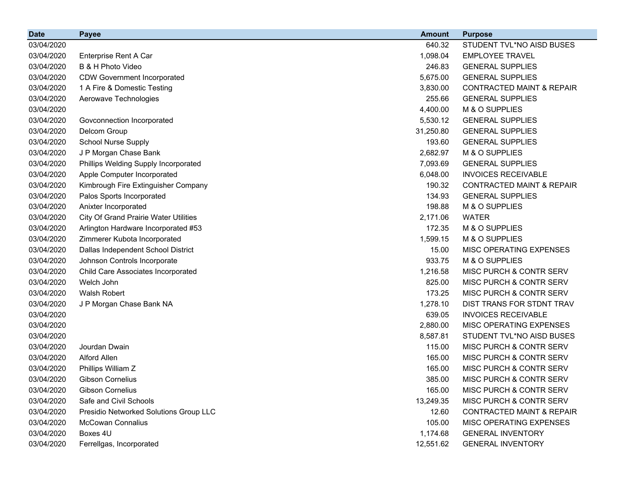| <b>Date</b> | <b>Payee</b>                                 | <b>Amount</b> | <b>Purpose</b>                       |
|-------------|----------------------------------------------|---------------|--------------------------------------|
| 03/04/2020  |                                              | 640.32        | STUDENT TVL*NO AISD BUSES            |
| 03/04/2020  | Enterprise Rent A Car                        | 1,098.04      | <b>EMPLOYEE TRAVEL</b>               |
| 03/04/2020  | B & H Photo Video                            | 246.83        | <b>GENERAL SUPPLIES</b>              |
| 03/04/2020  | <b>CDW Government Incorporated</b>           | 5,675.00      | <b>GENERAL SUPPLIES</b>              |
| 03/04/2020  | 1 A Fire & Domestic Testing                  | 3,830.00      | <b>CONTRACTED MAINT &amp; REPAIR</b> |
| 03/04/2020  | Aerowave Technologies                        | 255.66        | <b>GENERAL SUPPLIES</b>              |
| 03/04/2020  |                                              | 4,400.00      | M & O SUPPLIES                       |
| 03/04/2020  | Govconnection Incorporated                   | 5,530.12      | <b>GENERAL SUPPLIES</b>              |
| 03/04/2020  | Delcom Group                                 | 31,250.80     | <b>GENERAL SUPPLIES</b>              |
| 03/04/2020  | School Nurse Supply                          | 193.60        | <b>GENERAL SUPPLIES</b>              |
| 03/04/2020  | J P Morgan Chase Bank                        | 2,682.97      | M & O SUPPLIES                       |
| 03/04/2020  | Phillips Welding Supply Incorporated         | 7,093.69      | <b>GENERAL SUPPLIES</b>              |
| 03/04/2020  | Apple Computer Incorporated                  | 6,048.00      | <b>INVOICES RECEIVABLE</b>           |
| 03/04/2020  | Kimbrough Fire Extinguisher Company          | 190.32        | <b>CONTRACTED MAINT &amp; REPAIR</b> |
| 03/04/2020  | Palos Sports Incorporated                    | 134.93        | <b>GENERAL SUPPLIES</b>              |
| 03/04/2020  | Anixter Incorporated                         | 198.88        | M & O SUPPLIES                       |
| 03/04/2020  | <b>City Of Grand Prairie Water Utilities</b> | 2,171.06      | <b>WATER</b>                         |
| 03/04/2020  | Arlington Hardware Incorporated #53          | 172.35        | M & O SUPPLIES                       |
| 03/04/2020  | Zimmerer Kubota Incorporated                 | 1,599.15      | M & O SUPPLIES                       |
| 03/04/2020  | Dallas Independent School District           | 15.00         | MISC OPERATING EXPENSES              |
| 03/04/2020  | Johnson Controls Incorporate                 | 933.75        | M & O SUPPLIES                       |
| 03/04/2020  | Child Care Associates Incorporated           | 1,216.58      | MISC PURCH & CONTR SERV              |
| 03/04/2020  | Welch John                                   | 825.00        | MISC PURCH & CONTR SERV              |
| 03/04/2020  | Walsh Robert                                 | 173.25        | MISC PURCH & CONTR SERV              |
| 03/04/2020  | J P Morgan Chase Bank NA                     | 1,278.10      | DIST TRANS FOR STDNT TRAV            |
| 03/04/2020  |                                              | 639.05        | <b>INVOICES RECEIVABLE</b>           |
| 03/04/2020  |                                              | 2,880.00      | MISC OPERATING EXPENSES              |
| 03/04/2020  |                                              | 8,587.81      | STUDENT TVL*NO AISD BUSES            |
| 03/04/2020  | Jourdan Dwain                                | 115.00        | MISC PURCH & CONTR SERV              |
| 03/04/2020  | Alford Allen                                 | 165.00        | MISC PURCH & CONTR SERV              |
| 03/04/2020  | Phillips William Z                           | 165.00        | MISC PURCH & CONTR SERV              |
| 03/04/2020  | <b>Gibson Cornelius</b>                      | 385.00        | MISC PURCH & CONTR SERV              |
| 03/04/2020  | <b>Gibson Cornelius</b>                      | 165.00        | MISC PURCH & CONTR SERV              |
| 03/04/2020  | Safe and Civil Schools                       | 13,249.35     | MISC PURCH & CONTR SERV              |
| 03/04/2020  | Presidio Networked Solutions Group LLC       | 12.60         | <b>CONTRACTED MAINT &amp; REPAIR</b> |
| 03/04/2020  | <b>McCowan Connalius</b>                     | 105.00        | MISC OPERATING EXPENSES              |
| 03/04/2020  | Boxes 4U                                     | 1,174.68      | <b>GENERAL INVENTORY</b>             |
| 03/04/2020  | Ferrellgas, Incorporated                     | 12,551.62     | <b>GENERAL INVENTORY</b>             |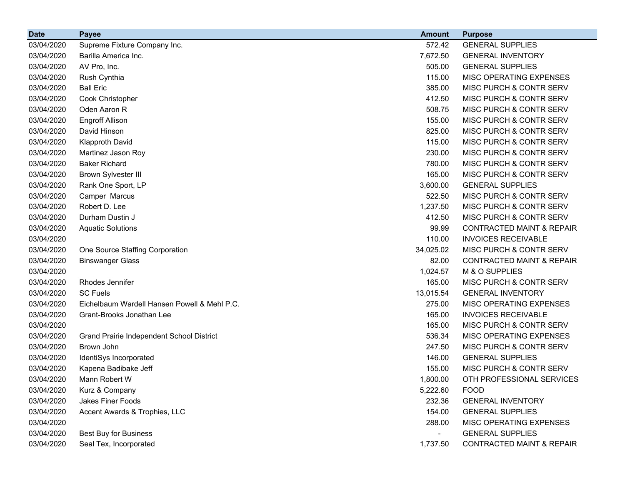| <b>Date</b> | <b>Payee</b>                                 | <b>Amount</b> | <b>Purpose</b>                       |
|-------------|----------------------------------------------|---------------|--------------------------------------|
| 03/04/2020  | Supreme Fixture Company Inc.                 | 572.42        | <b>GENERAL SUPPLIES</b>              |
| 03/04/2020  | Barilla America Inc.                         | 7,672.50      | <b>GENERAL INVENTORY</b>             |
| 03/04/2020  | AV Pro, Inc.                                 | 505.00        | <b>GENERAL SUPPLIES</b>              |
| 03/04/2020  | Rush Cynthia                                 | 115.00        | MISC OPERATING EXPENSES              |
| 03/04/2020  | <b>Ball Eric</b>                             | 385.00        | MISC PURCH & CONTR SERV              |
| 03/04/2020  | Cook Christopher                             | 412.50        | MISC PURCH & CONTR SERV              |
| 03/04/2020  | Oden Aaron R                                 | 508.75        | MISC PURCH & CONTR SERV              |
| 03/04/2020  | <b>Engroff Allison</b>                       | 155.00        | MISC PURCH & CONTR SERV              |
| 03/04/2020  | David Hinson                                 | 825.00        | MISC PURCH & CONTR SERV              |
| 03/04/2020  | <b>Klapproth David</b>                       | 115.00        | MISC PURCH & CONTR SERV              |
| 03/04/2020  | Martinez Jason Roy                           | 230.00        | MISC PURCH & CONTR SERV              |
| 03/04/2020  | <b>Baker Richard</b>                         | 780.00        | MISC PURCH & CONTR SERV              |
| 03/04/2020  | <b>Brown Sylvester III</b>                   | 165.00        | MISC PURCH & CONTR SERV              |
| 03/04/2020  | Rank One Sport, LP                           | 3,600.00      | <b>GENERAL SUPPLIES</b>              |
| 03/04/2020  | Camper Marcus                                | 522.50        | MISC PURCH & CONTR SERV              |
| 03/04/2020  | Robert D. Lee                                | 1,237.50      | MISC PURCH & CONTR SERV              |
| 03/04/2020  | Durham Dustin J                              | 412.50        | MISC PURCH & CONTR SERV              |
| 03/04/2020  | <b>Aquatic Solutions</b>                     | 99.99         | <b>CONTRACTED MAINT &amp; REPAIR</b> |
| 03/04/2020  |                                              | 110.00        | <b>INVOICES RECEIVABLE</b>           |
| 03/04/2020  | One Source Staffing Corporation              | 34,025.02     | MISC PURCH & CONTR SERV              |
| 03/04/2020  | <b>Binswanger Glass</b>                      | 82.00         | <b>CONTRACTED MAINT &amp; REPAIR</b> |
| 03/04/2020  |                                              | 1,024.57      | M & O SUPPLIES                       |
| 03/04/2020  | Rhodes Jennifer                              | 165.00        | MISC PURCH & CONTR SERV              |
| 03/04/2020  | <b>SC Fuels</b>                              | 13,015.54     | <b>GENERAL INVENTORY</b>             |
| 03/04/2020  | Eichelbaum Wardell Hansen Powell & Mehl P.C. | 275.00        | MISC OPERATING EXPENSES              |
| 03/04/2020  | Grant-Brooks Jonathan Lee                    | 165.00        | <b>INVOICES RECEIVABLE</b>           |
| 03/04/2020  |                                              | 165.00        | MISC PURCH & CONTR SERV              |
| 03/04/2020  | Grand Prairie Independent School District    | 536.34        | MISC OPERATING EXPENSES              |
| 03/04/2020  | Brown John                                   | 247.50        | MISC PURCH & CONTR SERV              |
| 03/04/2020  | IdentiSys Incorporated                       | 146.00        | <b>GENERAL SUPPLIES</b>              |
| 03/04/2020  | Kapena Badibake Jeff                         | 155.00        | MISC PURCH & CONTR SERV              |
| 03/04/2020  | Mann Robert W                                | 1,800.00      | OTH PROFESSIONAL SERVICES            |
| 03/04/2020  | Kurz & Company                               | 5,222.60      | <b>FOOD</b>                          |
| 03/04/2020  | Jakes Finer Foods                            | 232.36        | <b>GENERAL INVENTORY</b>             |
| 03/04/2020  | Accent Awards & Trophies, LLC                | 154.00        | <b>GENERAL SUPPLIES</b>              |
| 03/04/2020  |                                              | 288.00        | MISC OPERATING EXPENSES              |
| 03/04/2020  | <b>Best Buy for Business</b>                 | -             | <b>GENERAL SUPPLIES</b>              |
| 03/04/2020  | Seal Tex, Incorporated                       | 1,737.50      | CONTRACTED MAINT & REPAIR            |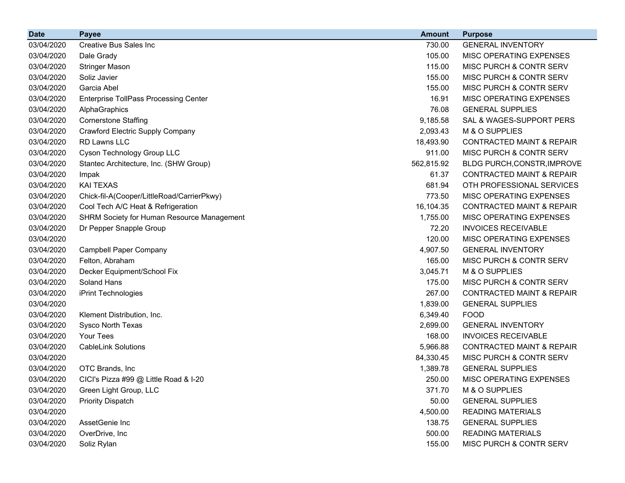| <b>Date</b> | <b>Payee</b>                                      | <b>Amount</b> | <b>Purpose</b>                       |
|-------------|---------------------------------------------------|---------------|--------------------------------------|
| 03/04/2020  | <b>Creative Bus Sales Inc</b>                     | 730.00        | <b>GENERAL INVENTORY</b>             |
| 03/04/2020  | Dale Grady                                        | 105.00        | MISC OPERATING EXPENSES              |
| 03/04/2020  | <b>Stringer Mason</b>                             | 115.00        | MISC PURCH & CONTR SERV              |
| 03/04/2020  | Soliz Javier                                      | 155.00        | <b>MISC PURCH &amp; CONTR SERV</b>   |
| 03/04/2020  | Garcia Abel                                       | 155.00        | MISC PURCH & CONTR SERV              |
| 03/04/2020  | <b>Enterprise TollPass Processing Center</b>      | 16.91         | MISC OPERATING EXPENSES              |
| 03/04/2020  | AlphaGraphics                                     | 76.08         | <b>GENERAL SUPPLIES</b>              |
| 03/04/2020  | <b>Cornerstone Staffing</b>                       | 9,185.58      | SAL & WAGES-SUPPORT PERS             |
| 03/04/2020  | <b>Crawford Electric Supply Company</b>           | 2,093.43      | M & O SUPPLIES                       |
| 03/04/2020  | <b>RD Lawns LLC</b>                               | 18,493.90     | <b>CONTRACTED MAINT &amp; REPAIR</b> |
| 03/04/2020  | Cyson Technology Group LLC                        | 911.00        | <b>MISC PURCH &amp; CONTR SERV</b>   |
| 03/04/2020  | Stantec Architecture, Inc. (SHW Group)            | 562,815.92    | BLDG PURCH, CONSTR, IMPROVE          |
| 03/04/2020  | Impak                                             | 61.37         | <b>CONTRACTED MAINT &amp; REPAIR</b> |
| 03/04/2020  | <b>KAI TEXAS</b>                                  | 681.94        | OTH PROFESSIONAL SERVICES            |
| 03/04/2020  | Chick-fil-A(Cooper/LittleRoad/CarrierPkwy)        | 773.50        | MISC OPERATING EXPENSES              |
| 03/04/2020  | Cool Tech A/C Heat & Refrigeration                | 16,104.35     | <b>CONTRACTED MAINT &amp; REPAIR</b> |
| 03/04/2020  | <b>SHRM Society for Human Resource Management</b> | 1,755.00      | MISC OPERATING EXPENSES              |
| 03/04/2020  | Dr Pepper Snapple Group                           | 72.20         | <b>INVOICES RECEIVABLE</b>           |
| 03/04/2020  |                                                   | 120.00        | MISC OPERATING EXPENSES              |
| 03/04/2020  | <b>Campbell Paper Company</b>                     | 4,907.50      | <b>GENERAL INVENTORY</b>             |
| 03/04/2020  | Felton, Abraham                                   | 165.00        | MISC PURCH & CONTR SERV              |
| 03/04/2020  | Decker Equipment/School Fix                       | 3,045.71      | M & O SUPPLIES                       |
| 03/04/2020  | <b>Soland Hans</b>                                | 175.00        | MISC PURCH & CONTR SERV              |
| 03/04/2020  | iPrint Technologies                               | 267.00        | <b>CONTRACTED MAINT &amp; REPAIR</b> |
| 03/04/2020  |                                                   | 1,839.00      | <b>GENERAL SUPPLIES</b>              |
| 03/04/2020  | Klement Distribution, Inc.                        | 6,349.40      | <b>FOOD</b>                          |
| 03/04/2020  | Sysco North Texas                                 | 2,699.00      | <b>GENERAL INVENTORY</b>             |
| 03/04/2020  | Your Tees                                         | 168.00        | <b>INVOICES RECEIVABLE</b>           |
| 03/04/2020  | <b>CableLink Solutions</b>                        | 5,966.88      | <b>CONTRACTED MAINT &amp; REPAIR</b> |
| 03/04/2020  |                                                   | 84,330.45     | MISC PURCH & CONTR SERV              |
| 03/04/2020  | OTC Brands, Inc.                                  | 1,389.78      | <b>GENERAL SUPPLIES</b>              |
| 03/04/2020  | CICI's Pizza #99 $@$ Little Road & I-20           | 250.00        | MISC OPERATING EXPENSES              |
| 03/04/2020  | Green Light Group, LLC                            | 371.70        | M & O SUPPLIES                       |
| 03/04/2020  | <b>Priority Dispatch</b>                          | 50.00         | <b>GENERAL SUPPLIES</b>              |
| 03/04/2020  |                                                   | 4,500.00      | <b>READING MATERIALS</b>             |
| 03/04/2020  | AssetGenie Inc                                    | 138.75        | <b>GENERAL SUPPLIES</b>              |
| 03/04/2020  | OverDrive, Inc                                    | 500.00        | <b>READING MATERIALS</b>             |
| 03/04/2020  | Soliz Rylan                                       | 155.00        | MISC PURCH & CONTR SERV              |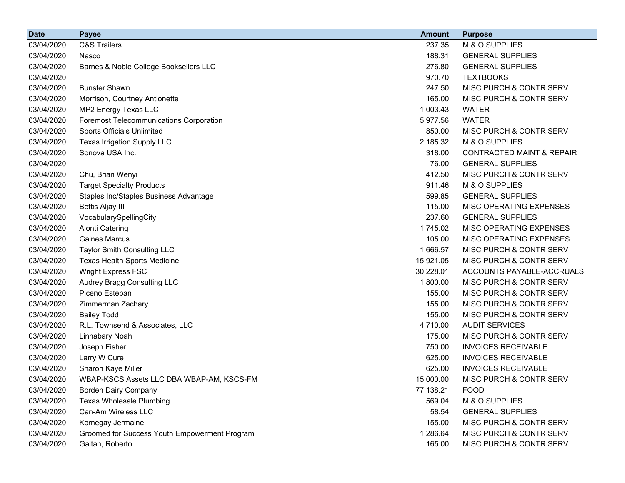| <b>Date</b> | <b>Payee</b>                                   | <b>Amount</b> | <b>Purpose</b>                       |
|-------------|------------------------------------------------|---------------|--------------------------------------|
| 03/04/2020  | <b>C&amp;S Trailers</b>                        | 237.35        | M & O SUPPLIES                       |
| 03/04/2020  | Nasco                                          | 188.31        | <b>GENERAL SUPPLIES</b>              |
| 03/04/2020  | Barnes & Noble College Booksellers LLC         | 276.80        | <b>GENERAL SUPPLIES</b>              |
| 03/04/2020  |                                                | 970.70        | <b>TEXTBOOKS</b>                     |
| 03/04/2020  | <b>Bunster Shawn</b>                           | 247.50        | MISC PURCH & CONTR SERV              |
| 03/04/2020  | Morrison, Courtney Antionette                  | 165.00        | MISC PURCH & CONTR SERV              |
| 03/04/2020  | MP2 Energy Texas LLC                           | 1,003.43      | <b>WATER</b>                         |
| 03/04/2020  | <b>Foremost Telecommunications Corporation</b> | 5,977.56      | <b>WATER</b>                         |
| 03/04/2020  | Sports Officials Unlimited                     | 850.00        | MISC PURCH & CONTR SERV              |
| 03/04/2020  | Texas Irrigation Supply LLC                    | 2,185.32      | M & O SUPPLIES                       |
| 03/04/2020  | Sonova USA Inc.                                | 318.00        | <b>CONTRACTED MAINT &amp; REPAIR</b> |
| 03/04/2020  |                                                | 76.00         | <b>GENERAL SUPPLIES</b>              |
| 03/04/2020  | Chu, Brian Wenyi                               | 412.50        | MISC PURCH & CONTR SERV              |
| 03/04/2020  | <b>Target Specialty Products</b>               | 911.46        | M & O SUPPLIES                       |
| 03/04/2020  | Staples Inc/Staples Business Advantage         | 599.85        | <b>GENERAL SUPPLIES</b>              |
| 03/04/2020  | <b>Bettis Aljay III</b>                        | 115.00        | MISC OPERATING EXPENSES              |
| 03/04/2020  | VocabularySpellingCity                         | 237.60        | <b>GENERAL SUPPLIES</b>              |
| 03/04/2020  | <b>Alonti Catering</b>                         | 1,745.02      | MISC OPERATING EXPENSES              |
| 03/04/2020  | <b>Gaines Marcus</b>                           | 105.00        | MISC OPERATING EXPENSES              |
| 03/04/2020  | Taylor Smith Consulting LLC                    | 1,666.57      | MISC PURCH & CONTR SERV              |
| 03/04/2020  | <b>Texas Health Sports Medicine</b>            | 15,921.05     | MISC PURCH & CONTR SERV              |
| 03/04/2020  | <b>Wright Express FSC</b>                      | 30,228.01     | ACCOUNTS PAYABLE-ACCRUALS            |
| 03/04/2020  | Audrey Bragg Consulting LLC                    | 1,800.00      | MISC PURCH & CONTR SERV              |
| 03/04/2020  | Piceno Esteban                                 | 155.00        | MISC PURCH & CONTR SERV              |
| 03/04/2020  | Zimmerman Zachary                              | 155.00        | MISC PURCH & CONTR SERV              |
| 03/04/2020  | <b>Bailey Todd</b>                             | 155.00        | MISC PURCH & CONTR SERV              |
| 03/04/2020  | R.L. Townsend & Associates, LLC                | 4,710.00      | <b>AUDIT SERVICES</b>                |
| 03/04/2020  | Linnabary Noah                                 | 175.00        | MISC PURCH & CONTR SERV              |
| 03/04/2020  | Joseph Fisher                                  | 750.00        | <b>INVOICES RECEIVABLE</b>           |
| 03/04/2020  | Larry W Cure                                   | 625.00        | <b>INVOICES RECEIVABLE</b>           |
| 03/04/2020  | Sharon Kaye Miller                             | 625.00        | <b>INVOICES RECEIVABLE</b>           |
| 03/04/2020  | WBAP-KSCS Assets LLC DBA WBAP-AM, KSCS-FM      | 15,000.00     | MISC PURCH & CONTR SERV              |
| 03/04/2020  | <b>Borden Dairy Company</b>                    | 77,138.21     | <b>FOOD</b>                          |
| 03/04/2020  | <b>Texas Wholesale Plumbing</b>                | 569.04        | M & O SUPPLIES                       |
| 03/04/2020  | Can-Am Wireless LLC                            | 58.54         | <b>GENERAL SUPPLIES</b>              |
| 03/04/2020  | Kornegay Jermaine                              | 155.00        | MISC PURCH & CONTR SERV              |
| 03/04/2020  | Groomed for Success Youth Empowerment Program  | 1,286.64      | MISC PURCH & CONTR SERV              |
| 03/04/2020  | Gaitan, Roberto                                | 165.00        | MISC PURCH & CONTR SERV              |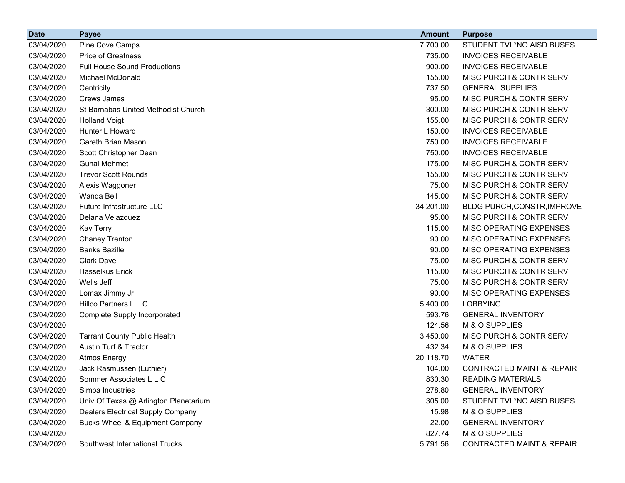| <b>Date</b> | <b>Payee</b>                               | <b>Amount</b> | <b>Purpose</b>                       |
|-------------|--------------------------------------------|---------------|--------------------------------------|
| 03/04/2020  | Pine Cove Camps                            | 7,700.00      | STUDENT TVL*NO AISD BUSES            |
| 03/04/2020  | <b>Price of Greatness</b>                  | 735.00        | <b>INVOICES RECEIVABLE</b>           |
| 03/04/2020  | <b>Full House Sound Productions</b>        | 900.00        | <b>INVOICES RECEIVABLE</b>           |
| 03/04/2020  | Michael McDonald                           | 155.00        | MISC PURCH & CONTR SERV              |
| 03/04/2020  | Centricity                                 | 737.50        | <b>GENERAL SUPPLIES</b>              |
| 03/04/2020  | <b>Crews James</b>                         | 95.00         | MISC PURCH & CONTR SERV              |
| 03/04/2020  | St Barnabas United Methodist Church        | 300.00        | MISC PURCH & CONTR SERV              |
| 03/04/2020  | <b>Holland Voigt</b>                       | 155.00        | <b>MISC PURCH &amp; CONTR SERV</b>   |
| 03/04/2020  | Hunter L Howard                            | 150.00        | <b>INVOICES RECEIVABLE</b>           |
| 03/04/2020  | Gareth Brian Mason                         | 750.00        | <b>INVOICES RECEIVABLE</b>           |
| 03/04/2020  | Scott Christopher Dean                     | 750.00        | <b>INVOICES RECEIVABLE</b>           |
| 03/04/2020  | <b>Gunal Mehmet</b>                        | 175.00        | MISC PURCH & CONTR SERV              |
| 03/04/2020  | <b>Trevor Scott Rounds</b>                 | 155.00        | MISC PURCH & CONTR SERV              |
| 03/04/2020  | Alexis Waggoner                            | 75.00         | MISC PURCH & CONTR SERV              |
| 03/04/2020  | Wanda Bell                                 | 145.00        | MISC PURCH & CONTR SERV              |
| 03/04/2020  | Future Infrastructure LLC                  | 34,201.00     | BLDG PURCH, CONSTR, IMPROVE          |
| 03/04/2020  | Delana Velazquez                           | 95.00         | MISC PURCH & CONTR SERV              |
| 03/04/2020  | Kay Terry                                  | 115.00        | MISC OPERATING EXPENSES              |
| 03/04/2020  | <b>Chaney Trenton</b>                      | 90.00         | MISC OPERATING EXPENSES              |
| 03/04/2020  | <b>Banks Bazille</b>                       | 90.00         | MISC OPERATING EXPENSES              |
| 03/04/2020  | <b>Clark Dave</b>                          | 75.00         | MISC PURCH & CONTR SERV              |
| 03/04/2020  | <b>Hasselkus Erick</b>                     | 115.00        | MISC PURCH & CONTR SERV              |
| 03/04/2020  | Wells Jeff                                 | 75.00         | MISC PURCH & CONTR SERV              |
| 03/04/2020  | Lomax Jimmy Jr                             | 90.00         | MISC OPERATING EXPENSES              |
| 03/04/2020  | Hillco Partners L L C                      | 5,400.00      | <b>LOBBYING</b>                      |
| 03/04/2020  | <b>Complete Supply Incorporated</b>        | 593.76        | <b>GENERAL INVENTORY</b>             |
| 03/04/2020  |                                            | 124.56        | M & O SUPPLIES                       |
| 03/04/2020  | <b>Tarrant County Public Health</b>        | 3,450.00      | MISC PURCH & CONTR SERV              |
| 03/04/2020  | Austin Turf & Tractor                      | 432.34        | M & O SUPPLIES                       |
| 03/04/2020  | <b>Atmos Energy</b>                        | 20,118.70     | <b>WATER</b>                         |
| 03/04/2020  | Jack Rasmussen (Luthier)                   | 104.00        | <b>CONTRACTED MAINT &amp; REPAIR</b> |
| 03/04/2020  | Sommer Associates L L C                    | 830.30        | <b>READING MATERIALS</b>             |
| 03/04/2020  | Simba Industries                           | 278.80        | <b>GENERAL INVENTORY</b>             |
| 03/04/2020  | Univ Of Texas @ Arlington Planetarium      | 305.00        | STUDENT TVL*NO AISD BUSES            |
| 03/04/2020  | <b>Dealers Electrical Supply Company</b>   | 15.98         | M & O SUPPLIES                       |
| 03/04/2020  | <b>Bucks Wheel &amp; Equipment Company</b> | 22.00         | <b>GENERAL INVENTORY</b>             |
| 03/04/2020  |                                            | 827.74        | M & O SUPPLIES                       |
| 03/04/2020  | Southwest International Trucks             | 5,791.56      | CONTRACTED MAINT & REPAIR            |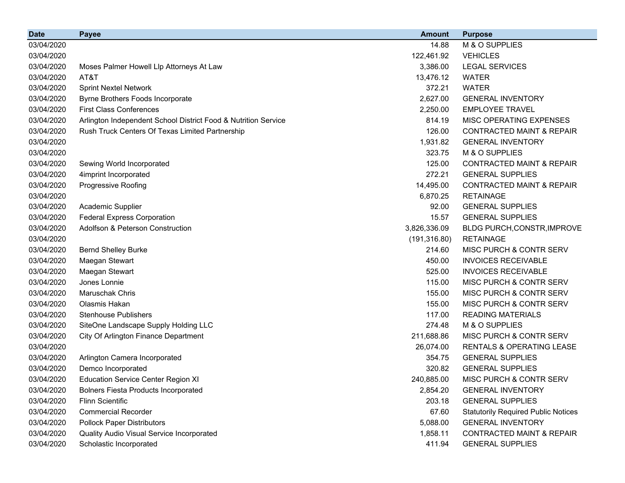| <b>Date</b> | <b>Payee</b>                                                   | <b>Amount</b> | <b>Purpose</b>                             |
|-------------|----------------------------------------------------------------|---------------|--------------------------------------------|
| 03/04/2020  |                                                                | 14.88         | M & O SUPPLIES                             |
| 03/04/2020  |                                                                | 122,461.92    | <b>VEHICLES</b>                            |
| 03/04/2020  | Moses Palmer Howell Llp Attorneys At Law                       | 3,386.00      | <b>LEGAL SERVICES</b>                      |
| 03/04/2020  | AT&T                                                           | 13,476.12     | <b>WATER</b>                               |
| 03/04/2020  | <b>Sprint Nextel Network</b>                                   | 372.21        | <b>WATER</b>                               |
| 03/04/2020  | Byrne Brothers Foods Incorporate                               | 2,627.00      | <b>GENERAL INVENTORY</b>                   |
| 03/04/2020  | <b>First Class Conferences</b>                                 | 2,250.00      | <b>EMPLOYEE TRAVEL</b>                     |
| 03/04/2020  | Arlington Independent School District Food & Nutrition Service | 814.19        | MISC OPERATING EXPENSES                    |
| 03/04/2020  | Rush Truck Centers Of Texas Limited Partnership                | 126.00        | <b>CONTRACTED MAINT &amp; REPAIR</b>       |
| 03/04/2020  |                                                                | 1,931.82      | <b>GENERAL INVENTORY</b>                   |
| 03/04/2020  |                                                                | 323.75        | M & O SUPPLIES                             |
| 03/04/2020  | Sewing World Incorporated                                      | 125.00        | <b>CONTRACTED MAINT &amp; REPAIR</b>       |
| 03/04/2020  | 4imprint Incorporated                                          | 272.21        | <b>GENERAL SUPPLIES</b>                    |
| 03/04/2020  | Progressive Roofing                                            | 14,495.00     | <b>CONTRACTED MAINT &amp; REPAIR</b>       |
| 03/04/2020  |                                                                | 6,870.25      | <b>RETAINAGE</b>                           |
| 03/04/2020  | Academic Supplier                                              | 92.00         | <b>GENERAL SUPPLIES</b>                    |
| 03/04/2020  | <b>Federal Express Corporation</b>                             | 15.57         | <b>GENERAL SUPPLIES</b>                    |
| 03/04/2020  | Adolfson & Peterson Construction                               | 3,826,336.09  | BLDG PURCH, CONSTR, IMPROVE                |
| 03/04/2020  |                                                                | (191, 316.80) | <b>RETAINAGE</b>                           |
| 03/04/2020  | <b>Bernd Shelley Burke</b>                                     | 214.60        | MISC PURCH & CONTR SERV                    |
| 03/04/2020  | Maegan Stewart                                                 | 450.00        | <b>INVOICES RECEIVABLE</b>                 |
| 03/04/2020  | Maegan Stewart                                                 | 525.00        | <b>INVOICES RECEIVABLE</b>                 |
| 03/04/2020  | Jones Lonnie                                                   | 115.00        | MISC PURCH & CONTR SERV                    |
| 03/04/2020  | Maruschak Chris                                                | 155.00        | MISC PURCH & CONTR SERV                    |
| 03/04/2020  | Olasmis Hakan                                                  | 155.00        | MISC PURCH & CONTR SERV                    |
| 03/04/2020  | <b>Stenhouse Publishers</b>                                    | 117.00        | <b>READING MATERIALS</b>                   |
| 03/04/2020  | SiteOne Landscape Supply Holding LLC                           | 274.48        | M & O SUPPLIES                             |
| 03/04/2020  | City Of Arlington Finance Department                           | 211,688.86    | MISC PURCH & CONTR SERV                    |
| 03/04/2020  |                                                                | 26,074.00     | <b>RENTALS &amp; OPERATING LEASE</b>       |
| 03/04/2020  | Arlington Camera Incorporated                                  | 354.75        | <b>GENERAL SUPPLIES</b>                    |
| 03/04/2020  | Demco Incorporated                                             | 320.82        | <b>GENERAL SUPPLIES</b>                    |
| 03/04/2020  | <b>Education Service Center Region XI</b>                      | 240,885.00    | MISC PURCH & CONTR SERV                    |
| 03/04/2020  | <b>Bolners Fiesta Products Incorporated</b>                    | 2,854.20      | <b>GENERAL INVENTORY</b>                   |
| 03/04/2020  | Flinn Scientific                                               | 203.18        | <b>GENERAL SUPPLIES</b>                    |
| 03/04/2020  | <b>Commercial Recorder</b>                                     | 67.60         | <b>Statutorily Required Public Notices</b> |
| 03/04/2020  | <b>Pollock Paper Distributors</b>                              | 5,088.00      | <b>GENERAL INVENTORY</b>                   |
| 03/04/2020  | Quality Audio Visual Service Incorporated                      | 1,858.11      | <b>CONTRACTED MAINT &amp; REPAIR</b>       |
| 03/04/2020  | Scholastic Incorporated                                        | 411.94        | <b>GENERAL SUPPLIES</b>                    |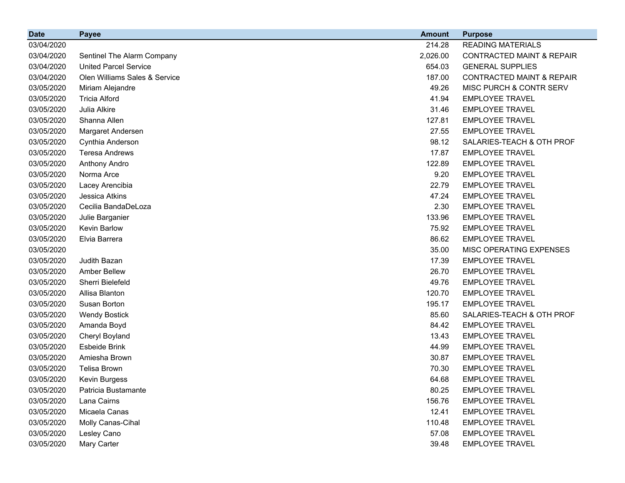| <b>Date</b> | <b>Payee</b>                  | <b>Amount</b> | <b>Purpose</b>                       |
|-------------|-------------------------------|---------------|--------------------------------------|
| 03/04/2020  |                               | 214.28        | <b>READING MATERIALS</b>             |
| 03/04/2020  | Sentinel The Alarm Company    | 2,026.00      | <b>CONTRACTED MAINT &amp; REPAIR</b> |
| 03/04/2020  | <b>United Parcel Service</b>  | 654.03        | <b>GENERAL SUPPLIES</b>              |
| 03/04/2020  | Olen Williams Sales & Service | 187.00        | <b>CONTRACTED MAINT &amp; REPAIR</b> |
| 03/05/2020  | Miriam Alejandre              | 49.26         | MISC PURCH & CONTR SERV              |
| 03/05/2020  | <b>Tricia Alford</b>          | 41.94         | <b>EMPLOYEE TRAVEL</b>               |
| 03/05/2020  | Julia Alkire                  | 31.46         | <b>EMPLOYEE TRAVEL</b>               |
| 03/05/2020  | Shanna Allen                  | 127.81        | <b>EMPLOYEE TRAVEL</b>               |
| 03/05/2020  | Margaret Andersen             | 27.55         | <b>EMPLOYEE TRAVEL</b>               |
| 03/05/2020  | Cynthia Anderson              | 98.12         | SALARIES-TEACH & OTH PROF            |
| 03/05/2020  | <b>Teresa Andrews</b>         | 17.87         | <b>EMPLOYEE TRAVEL</b>               |
| 03/05/2020  | Anthony Andro                 | 122.89        | <b>EMPLOYEE TRAVEL</b>               |
| 03/05/2020  | Norma Arce                    | 9.20          | <b>EMPLOYEE TRAVEL</b>               |
| 03/05/2020  | Lacey Arencibia               | 22.79         | <b>EMPLOYEE TRAVEL</b>               |
| 03/05/2020  | Jessica Atkins                | 47.24         | <b>EMPLOYEE TRAVEL</b>               |
| 03/05/2020  | Cecilia BandaDeLoza           | 2.30          | <b>EMPLOYEE TRAVEL</b>               |
| 03/05/2020  | Julie Barganier               | 133.96        | <b>EMPLOYEE TRAVEL</b>               |
| 03/05/2020  | Kevin Barlow                  | 75.92         | <b>EMPLOYEE TRAVEL</b>               |
| 03/05/2020  | Elvia Barrera                 | 86.62         | <b>EMPLOYEE TRAVEL</b>               |
| 03/05/2020  |                               | 35.00         | MISC OPERATING EXPENSES              |
| 03/05/2020  | Judith Bazan                  | 17.39         | <b>EMPLOYEE TRAVEL</b>               |
| 03/05/2020  | <b>Amber Bellew</b>           | 26.70         | <b>EMPLOYEE TRAVEL</b>               |
| 03/05/2020  | Sherri Bielefeld              | 49.76         | <b>EMPLOYEE TRAVEL</b>               |
| 03/05/2020  | Allisa Blanton                | 120.70        | <b>EMPLOYEE TRAVEL</b>               |
| 03/05/2020  | Susan Borton                  | 195.17        | <b>EMPLOYEE TRAVEL</b>               |
| 03/05/2020  | <b>Wendy Bostick</b>          | 85.60         | SALARIES-TEACH & OTH PROF            |
| 03/05/2020  | Amanda Boyd                   | 84.42         | <b>EMPLOYEE TRAVEL</b>               |
| 03/05/2020  | Cheryl Boyland                | 13.43         | <b>EMPLOYEE TRAVEL</b>               |
| 03/05/2020  | Esbeide Brink                 | 44.99         | <b>EMPLOYEE TRAVEL</b>               |
| 03/05/2020  | Amiesha Brown                 | 30.87         | <b>EMPLOYEE TRAVEL</b>               |
| 03/05/2020  | <b>Telisa Brown</b>           | 70.30         | <b>EMPLOYEE TRAVEL</b>               |
| 03/05/2020  | Kevin Burgess                 | 64.68         | <b>EMPLOYEE TRAVEL</b>               |
| 03/05/2020  | Patricia Bustamante           | 80.25         | <b>EMPLOYEE TRAVEL</b>               |
| 03/05/2020  | Lana Cairns                   | 156.76        | <b>EMPLOYEE TRAVEL</b>               |
| 03/05/2020  | Micaela Canas                 | 12.41         | <b>EMPLOYEE TRAVEL</b>               |
| 03/05/2020  | Molly Canas-Cihal             | 110.48        | <b>EMPLOYEE TRAVEL</b>               |
| 03/05/2020  | Lesley Cano                   | 57.08         | <b>EMPLOYEE TRAVEL</b>               |
| 03/05/2020  | Mary Carter                   | 39.48         | <b>EMPLOYEE TRAVEL</b>               |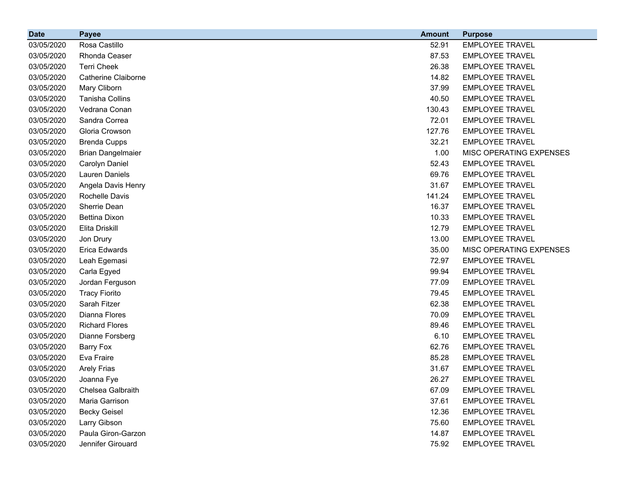| <b>Date</b> | <b>Payee</b>               | <b>Amount</b> | <b>Purpose</b>          |
|-------------|----------------------------|---------------|-------------------------|
| 03/05/2020  | Rosa Castillo              | 52.91         | <b>EMPLOYEE TRAVEL</b>  |
| 03/05/2020  | Rhonda Ceaser              | 87.53         | <b>EMPLOYEE TRAVEL</b>  |
| 03/05/2020  | <b>Terri Cheek</b>         | 26.38         | <b>EMPLOYEE TRAVEL</b>  |
| 03/05/2020  | <b>Catherine Claiborne</b> | 14.82         | <b>EMPLOYEE TRAVEL</b>  |
| 03/05/2020  | Mary Cliborn               | 37.99         | <b>EMPLOYEE TRAVEL</b>  |
| 03/05/2020  | Tanisha Collins            | 40.50         | <b>EMPLOYEE TRAVEL</b>  |
| 03/05/2020  | Vedrana Conan              | 130.43        | <b>EMPLOYEE TRAVEL</b>  |
| 03/05/2020  | Sandra Correa              | 72.01         | <b>EMPLOYEE TRAVEL</b>  |
| 03/05/2020  | Gloria Crowson             | 127.76        | <b>EMPLOYEE TRAVEL</b>  |
| 03/05/2020  | <b>Brenda Cupps</b>        | 32.21         | <b>EMPLOYEE TRAVEL</b>  |
| 03/05/2020  | <b>Brian Dangelmaier</b>   | 1.00          | MISC OPERATING EXPENSES |
| 03/05/2020  | Carolyn Daniel             | 52.43         | <b>EMPLOYEE TRAVEL</b>  |
| 03/05/2020  | Lauren Daniels             | 69.76         | <b>EMPLOYEE TRAVEL</b>  |
| 03/05/2020  | Angela Davis Henry         | 31.67         | <b>EMPLOYEE TRAVEL</b>  |
| 03/05/2020  | Rochelle Davis             | 141.24        | <b>EMPLOYEE TRAVEL</b>  |
| 03/05/2020  | Sherrie Dean               | 16.37         | <b>EMPLOYEE TRAVEL</b>  |
| 03/05/2020  | <b>Bettina Dixon</b>       | 10.33         | <b>EMPLOYEE TRAVEL</b>  |
| 03/05/2020  | Elita Driskill             | 12.79         | <b>EMPLOYEE TRAVEL</b>  |
| 03/05/2020  | Jon Drury                  | 13.00         | <b>EMPLOYEE TRAVEL</b>  |
| 03/05/2020  | Erica Edwards              | 35.00         | MISC OPERATING EXPENSES |
| 03/05/2020  | Leah Egemasi               | 72.97         | <b>EMPLOYEE TRAVEL</b>  |
| 03/05/2020  | Carla Egyed                | 99.94         | <b>EMPLOYEE TRAVEL</b>  |
| 03/05/2020  | Jordan Ferguson            | 77.09         | <b>EMPLOYEE TRAVEL</b>  |
| 03/05/2020  | <b>Tracy Fiorito</b>       | 79.45         | <b>EMPLOYEE TRAVEL</b>  |
| 03/05/2020  | Sarah Fitzer               | 62.38         | <b>EMPLOYEE TRAVEL</b>  |
| 03/05/2020  | Dianna Flores              | 70.09         | <b>EMPLOYEE TRAVEL</b>  |
| 03/05/2020  | <b>Richard Flores</b>      | 89.46         | <b>EMPLOYEE TRAVEL</b>  |
| 03/05/2020  | Dianne Forsberg            | 6.10          | <b>EMPLOYEE TRAVEL</b>  |
| 03/05/2020  | Barry Fox                  | 62.76         | <b>EMPLOYEE TRAVEL</b>  |
| 03/05/2020  | Eva Fraire                 | 85.28         | <b>EMPLOYEE TRAVEL</b>  |
| 03/05/2020  | <b>Arely Frias</b>         | 31.67         | <b>EMPLOYEE TRAVEL</b>  |
| 03/05/2020  | Joanna Fye                 | 26.27         | <b>EMPLOYEE TRAVEL</b>  |
| 03/05/2020  | Chelsea Galbraith          | 67.09         | <b>EMPLOYEE TRAVEL</b>  |
| 03/05/2020  | Maria Garrison             | 37.61         | <b>EMPLOYEE TRAVEL</b>  |
| 03/05/2020  | <b>Becky Geisel</b>        | 12.36         | <b>EMPLOYEE TRAVEL</b>  |
| 03/05/2020  | Larry Gibson               | 75.60         | <b>EMPLOYEE TRAVEL</b>  |
| 03/05/2020  | Paula Giron-Garzon         | 14.87         | <b>EMPLOYEE TRAVEL</b>  |
| 03/05/2020  | Jennifer Girouard          | 75.92         | <b>EMPLOYEE TRAVEL</b>  |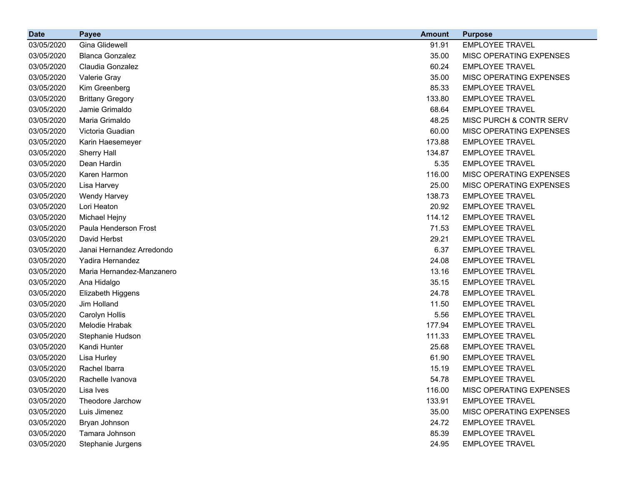| <b>Date</b> | <b>Payee</b>              | <b>Amount</b> | <b>Purpose</b>          |
|-------------|---------------------------|---------------|-------------------------|
| 03/05/2020  | Gina Glidewell            | 91.91         | <b>EMPLOYEE TRAVEL</b>  |
| 03/05/2020  | <b>Blanca Gonzalez</b>    | 35.00         | MISC OPERATING EXPENSES |
| 03/05/2020  | Claudia Gonzalez          | 60.24         | <b>EMPLOYEE TRAVEL</b>  |
| 03/05/2020  | Valerie Gray              | 35.00         | MISC OPERATING EXPENSES |
| 03/05/2020  | Kim Greenberg             | 85.33         | <b>EMPLOYEE TRAVEL</b>  |
| 03/05/2020  | <b>Brittany Gregory</b>   | 133.80        | <b>EMPLOYEE TRAVEL</b>  |
| 03/05/2020  | Jamie Grimaldo            | 68.64         | <b>EMPLOYEE TRAVEL</b>  |
| 03/05/2020  | Maria Grimaldo            | 48.25         | MISC PURCH & CONTR SERV |
| 03/05/2020  | Victoria Guadian          | 60.00         | MISC OPERATING EXPENSES |
| 03/05/2020  | Karin Haesemeyer          | 173.88        | <b>EMPLOYEE TRAVEL</b>  |
| 03/05/2020  | Sherry Hall               | 134.87        | <b>EMPLOYEE TRAVEL</b>  |
| 03/05/2020  | Dean Hardin               | 5.35          | <b>EMPLOYEE TRAVEL</b>  |
| 03/05/2020  | Karen Harmon              | 116.00        | MISC OPERATING EXPENSES |
| 03/05/2020  | Lisa Harvey               | 25.00         | MISC OPERATING EXPENSES |
| 03/05/2020  | <b>Wendy Harvey</b>       | 138.73        | <b>EMPLOYEE TRAVEL</b>  |
| 03/05/2020  | Lori Heaton               | 20.92         | <b>EMPLOYEE TRAVEL</b>  |
| 03/05/2020  | Michael Hejny             | 114.12        | <b>EMPLOYEE TRAVEL</b>  |
| 03/05/2020  | Paula Henderson Frost     | 71.53         | <b>EMPLOYEE TRAVEL</b>  |
| 03/05/2020  | David Herbst              | 29.21         | <b>EMPLOYEE TRAVEL</b>  |
| 03/05/2020  | Janai Hernandez Arredondo | 6.37          | <b>EMPLOYEE TRAVEL</b>  |
| 03/05/2020  | Yadira Hernandez          | 24.08         | <b>EMPLOYEE TRAVEL</b>  |
| 03/05/2020  | Maria Hernandez-Manzanero | 13.16         | <b>EMPLOYEE TRAVEL</b>  |
| 03/05/2020  | Ana Hidalgo               | 35.15         | <b>EMPLOYEE TRAVEL</b>  |
| 03/05/2020  | Elizabeth Higgens         | 24.78         | <b>EMPLOYEE TRAVEL</b>  |
| 03/05/2020  | Jim Holland               | 11.50         | <b>EMPLOYEE TRAVEL</b>  |
| 03/05/2020  | Carolyn Hollis            | 5.56          | <b>EMPLOYEE TRAVEL</b>  |
| 03/05/2020  | Melodie Hrabak            | 177.94        | <b>EMPLOYEE TRAVEL</b>  |
| 03/05/2020  | Stephanie Hudson          | 111.33        | <b>EMPLOYEE TRAVEL</b>  |
| 03/05/2020  | Kandi Hunter              | 25.68         | <b>EMPLOYEE TRAVEL</b>  |
| 03/05/2020  | Lisa Hurley               | 61.90         | <b>EMPLOYEE TRAVEL</b>  |
| 03/05/2020  | Rachel Ibarra             | 15.19         | <b>EMPLOYEE TRAVEL</b>  |
| 03/05/2020  | Rachelle Ivanova          | 54.78         | <b>EMPLOYEE TRAVEL</b>  |
| 03/05/2020  | Lisa Ives                 | 116.00        | MISC OPERATING EXPENSES |
| 03/05/2020  | Theodore Jarchow          | 133.91        | <b>EMPLOYEE TRAVEL</b>  |
| 03/05/2020  | Luis Jimenez              | 35.00         | MISC OPERATING EXPENSES |
| 03/05/2020  | Bryan Johnson             | 24.72         | <b>EMPLOYEE TRAVEL</b>  |
| 03/05/2020  | Tamara Johnson            | 85.39         | <b>EMPLOYEE TRAVEL</b>  |
| 03/05/2020  | Stephanie Jurgens         | 24.95         | <b>EMPLOYEE TRAVEL</b>  |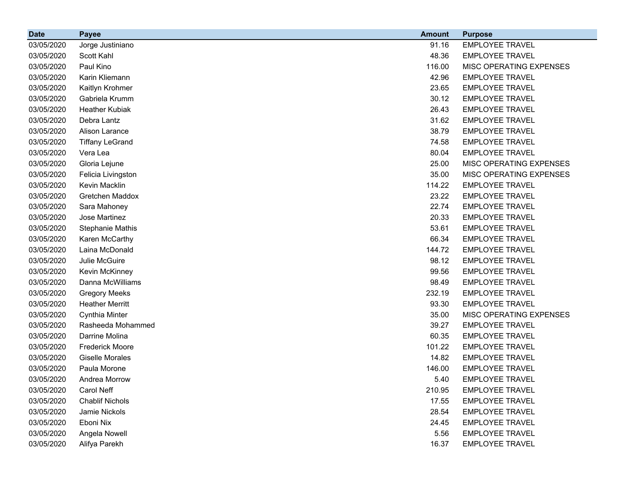| <b>Date</b> | <b>Payee</b>           | <b>Amount</b> | <b>Purpose</b>          |
|-------------|------------------------|---------------|-------------------------|
| 03/05/2020  | Jorge Justiniano       | 91.16         | <b>EMPLOYEE TRAVEL</b>  |
| 03/05/2020  | Scott Kahl             | 48.36         | <b>EMPLOYEE TRAVEL</b>  |
| 03/05/2020  | Paul Kino              | 116.00        | MISC OPERATING EXPENSES |
| 03/05/2020  | Karin Kliemann         | 42.96         | <b>EMPLOYEE TRAVEL</b>  |
| 03/05/2020  | Kaitlyn Krohmer        | 23.65         | <b>EMPLOYEE TRAVEL</b>  |
| 03/05/2020  | Gabriela Krumm         | 30.12         | <b>EMPLOYEE TRAVEL</b>  |
| 03/05/2020  | <b>Heather Kubiak</b>  | 26.43         | <b>EMPLOYEE TRAVEL</b>  |
| 03/05/2020  | Debra Lantz            | 31.62         | <b>EMPLOYEE TRAVEL</b>  |
| 03/05/2020  | Alison Larance         | 38.79         | <b>EMPLOYEE TRAVEL</b>  |
| 03/05/2020  | <b>Tiffany LeGrand</b> | 74.58         | <b>EMPLOYEE TRAVEL</b>  |
| 03/05/2020  | Vera Lea               | 80.04         | <b>EMPLOYEE TRAVEL</b>  |
| 03/05/2020  | Gloria Lejune          | 25.00         | MISC OPERATING EXPENSES |
| 03/05/2020  | Felicia Livingston     | 35.00         | MISC OPERATING EXPENSES |
| 03/05/2020  | Kevin Macklin          | 114.22        | <b>EMPLOYEE TRAVEL</b>  |
| 03/05/2020  | Gretchen Maddox        | 23.22         | <b>EMPLOYEE TRAVEL</b>  |
| 03/05/2020  | Sara Mahoney           | 22.74         | <b>EMPLOYEE TRAVEL</b>  |
| 03/05/2020  | Jose Martinez          | 20.33         | <b>EMPLOYEE TRAVEL</b>  |
| 03/05/2020  | Stephanie Mathis       | 53.61         | <b>EMPLOYEE TRAVEL</b>  |
| 03/05/2020  | Karen McCarthy         | 66.34         | <b>EMPLOYEE TRAVEL</b>  |
| 03/05/2020  | Laina McDonald         | 144.72        | <b>EMPLOYEE TRAVEL</b>  |
| 03/05/2020  | Julie McGuire          | 98.12         | <b>EMPLOYEE TRAVEL</b>  |
| 03/05/2020  | Kevin McKinney         | 99.56         | <b>EMPLOYEE TRAVEL</b>  |
| 03/05/2020  | Danna McWilliams       | 98.49         | <b>EMPLOYEE TRAVEL</b>  |
| 03/05/2020  | <b>Gregory Meeks</b>   | 232.19        | <b>EMPLOYEE TRAVEL</b>  |
| 03/05/2020  | <b>Heather Merritt</b> | 93.30         | <b>EMPLOYEE TRAVEL</b>  |
| 03/05/2020  | Cynthia Minter         | 35.00         | MISC OPERATING EXPENSES |
| 03/05/2020  | Rasheeda Mohammed      | 39.27         | <b>EMPLOYEE TRAVEL</b>  |
| 03/05/2020  | Darrine Molina         | 60.35         | <b>EMPLOYEE TRAVEL</b>  |
| 03/05/2020  | <b>Frederick Moore</b> | 101.22        | <b>EMPLOYEE TRAVEL</b>  |
| 03/05/2020  | <b>Giselle Morales</b> | 14.82         | <b>EMPLOYEE TRAVEL</b>  |
| 03/05/2020  | Paula Morone           | 146.00        | <b>EMPLOYEE TRAVEL</b>  |
| 03/05/2020  | Andrea Morrow          | 5.40          | <b>EMPLOYEE TRAVEL</b>  |
| 03/05/2020  | Carol Neff             | 210.95        | <b>EMPLOYEE TRAVEL</b>  |
| 03/05/2020  | <b>Chablif Nichols</b> | 17.55         | <b>EMPLOYEE TRAVEL</b>  |
| 03/05/2020  | Jamie Nickols          | 28.54         | <b>EMPLOYEE TRAVEL</b>  |
| 03/05/2020  | Eboni Nix              | 24.45         | <b>EMPLOYEE TRAVEL</b>  |
| 03/05/2020  | Angela Nowell          | 5.56          | <b>EMPLOYEE TRAVEL</b>  |
| 03/05/2020  | Alifya Parekh          | 16.37         | <b>EMPLOYEE TRAVEL</b>  |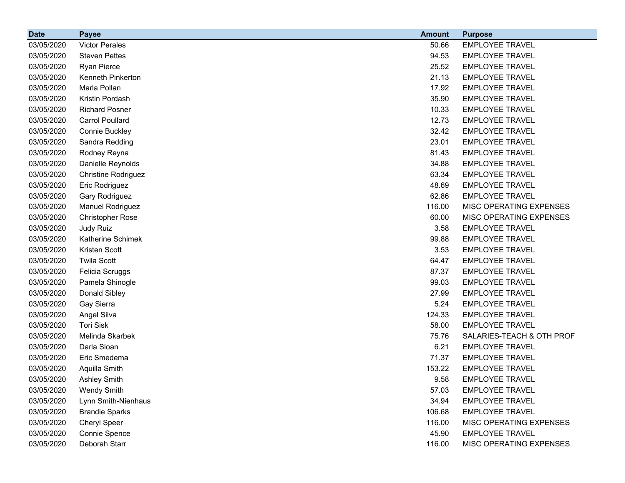| <b>Date</b> | <b>Payee</b>            | <b>Amount</b> | <b>Purpose</b>                 |
|-------------|-------------------------|---------------|--------------------------------|
| 03/05/2020  | <b>Victor Perales</b>   | 50.66         | <b>EMPLOYEE TRAVEL</b>         |
| 03/05/2020  | <b>Steven Pettes</b>    | 94.53         | <b>EMPLOYEE TRAVEL</b>         |
| 03/05/2020  | Ryan Pierce             | 25.52         | <b>EMPLOYEE TRAVEL</b>         |
| 03/05/2020  | Kenneth Pinkerton       | 21.13         | <b>EMPLOYEE TRAVEL</b>         |
| 03/05/2020  | Marla Pollan            | 17.92         | <b>EMPLOYEE TRAVEL</b>         |
| 03/05/2020  | Kristin Pordash         | 35.90         | <b>EMPLOYEE TRAVEL</b>         |
| 03/05/2020  | <b>Richard Posner</b>   | 10.33         | <b>EMPLOYEE TRAVEL</b>         |
| 03/05/2020  | <b>Carrol Poullard</b>  | 12.73         | <b>EMPLOYEE TRAVEL</b>         |
| 03/05/2020  | Connie Buckley          | 32.42         | <b>EMPLOYEE TRAVEL</b>         |
| 03/05/2020  | Sandra Redding          | 23.01         | <b>EMPLOYEE TRAVEL</b>         |
| 03/05/2020  | Rodney Reyna            | 81.43         | <b>EMPLOYEE TRAVEL</b>         |
| 03/05/2020  | Danielle Reynolds       | 34.88         | <b>EMPLOYEE TRAVEL</b>         |
| 03/05/2020  | Christine Rodriguez     | 63.34         | <b>EMPLOYEE TRAVEL</b>         |
| 03/05/2020  | Eric Rodriguez          | 48.69         | <b>EMPLOYEE TRAVEL</b>         |
| 03/05/2020  | Gary Rodriguez          | 62.86         | <b>EMPLOYEE TRAVEL</b>         |
| 03/05/2020  | <b>Manuel Rodriguez</b> | 116.00        | MISC OPERATING EXPENSES        |
| 03/05/2020  | <b>Christopher Rose</b> | 60.00         | MISC OPERATING EXPENSES        |
| 03/05/2020  | Judy Ruiz               | 3.58          | <b>EMPLOYEE TRAVEL</b>         |
| 03/05/2020  | Katherine Schimek       | 99.88         | <b>EMPLOYEE TRAVEL</b>         |
| 03/05/2020  | Kristen Scott           | 3.53          | <b>EMPLOYEE TRAVEL</b>         |
| 03/05/2020  | <b>Twila Scott</b>      | 64.47         | <b>EMPLOYEE TRAVEL</b>         |
| 03/05/2020  | Felicia Scruggs         | 87.37         | <b>EMPLOYEE TRAVEL</b>         |
| 03/05/2020  | Pamela Shinogle         | 99.03         | <b>EMPLOYEE TRAVEL</b>         |
| 03/05/2020  | Donald Sibley           | 27.99         | <b>EMPLOYEE TRAVEL</b>         |
| 03/05/2020  | Gay Sierra              | 5.24          | <b>EMPLOYEE TRAVEL</b>         |
| 03/05/2020  | Angel Silva             | 124.33        | <b>EMPLOYEE TRAVEL</b>         |
| 03/05/2020  | <b>Tori Sisk</b>        | 58.00         | <b>EMPLOYEE TRAVEL</b>         |
| 03/05/2020  | Melinda Skarbek         | 75.76         | SALARIES-TEACH & OTH PROF      |
| 03/05/2020  | Darla Sloan             | 6.21          | <b>EMPLOYEE TRAVEL</b>         |
| 03/05/2020  | Eric Smedema            | 71.37         | <b>EMPLOYEE TRAVEL</b>         |
| 03/05/2020  | Aquilla Smith           | 153.22        | <b>EMPLOYEE TRAVEL</b>         |
| 03/05/2020  | <b>Ashley Smith</b>     | 9.58          | <b>EMPLOYEE TRAVEL</b>         |
| 03/05/2020  | <b>Wendy Smith</b>      | 57.03         | <b>EMPLOYEE TRAVEL</b>         |
| 03/05/2020  | Lynn Smith-Nienhaus     | 34.94         | <b>EMPLOYEE TRAVEL</b>         |
| 03/05/2020  | <b>Brandie Sparks</b>   | 106.68        | <b>EMPLOYEE TRAVEL</b>         |
| 03/05/2020  | Cheryl Speer            | 116.00        | <b>MISC OPERATING EXPENSES</b> |
| 03/05/2020  | Connie Spence           | 45.90         | <b>EMPLOYEE TRAVEL</b>         |
| 03/05/2020  | Deborah Starr           | 116.00        | MISC OPERATING EXPENSES        |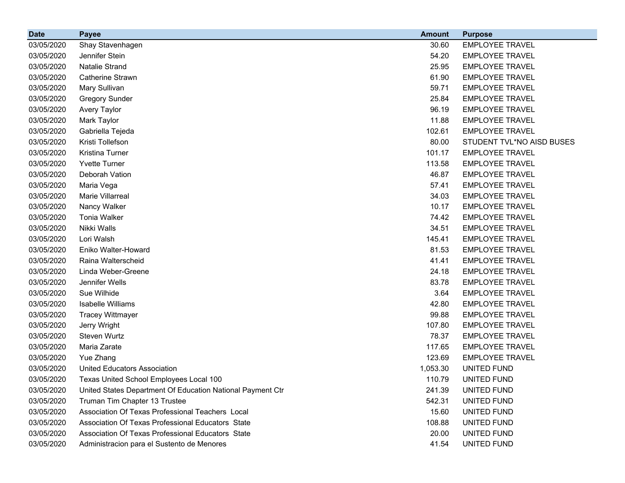| <b>Date</b> | <b>Payee</b>                                               | <b>Amount</b> | <b>Purpose</b>            |
|-------------|------------------------------------------------------------|---------------|---------------------------|
| 03/05/2020  | Shay Stavenhagen                                           | 30.60         | <b>EMPLOYEE TRAVEL</b>    |
| 03/05/2020  | Jennifer Stein                                             | 54.20         | <b>EMPLOYEE TRAVEL</b>    |
| 03/05/2020  | <b>Natalie Strand</b>                                      | 25.95         | <b>EMPLOYEE TRAVEL</b>    |
| 03/05/2020  | <b>Catherine Strawn</b>                                    | 61.90         | <b>EMPLOYEE TRAVEL</b>    |
| 03/05/2020  | Mary Sullivan                                              | 59.71         | <b>EMPLOYEE TRAVEL</b>    |
| 03/05/2020  | <b>Gregory Sunder</b>                                      | 25.84         | <b>EMPLOYEE TRAVEL</b>    |
| 03/05/2020  | <b>Avery Taylor</b>                                        | 96.19         | <b>EMPLOYEE TRAVEL</b>    |
| 03/05/2020  | Mark Taylor                                                | 11.88         | <b>EMPLOYEE TRAVEL</b>    |
| 03/05/2020  | Gabriella Tejeda                                           | 102.61        | <b>EMPLOYEE TRAVEL</b>    |
| 03/05/2020  | Kristi Tollefson                                           | 80.00         | STUDENT TVL*NO AISD BUSES |
| 03/05/2020  | Kristina Turner                                            | 101.17        | <b>EMPLOYEE TRAVEL</b>    |
| 03/05/2020  | <b>Yvette Turner</b>                                       | 113.58        | <b>EMPLOYEE TRAVEL</b>    |
| 03/05/2020  | Deborah Vation                                             | 46.87         | <b>EMPLOYEE TRAVEL</b>    |
| 03/05/2020  | Maria Vega                                                 | 57.41         | <b>EMPLOYEE TRAVEL</b>    |
| 03/05/2020  | Marie Villarreal                                           | 34.03         | <b>EMPLOYEE TRAVEL</b>    |
| 03/05/2020  | Nancy Walker                                               | 10.17         | <b>EMPLOYEE TRAVEL</b>    |
| 03/05/2020  | <b>Tonia Walker</b>                                        | 74.42         | <b>EMPLOYEE TRAVEL</b>    |
| 03/05/2020  | Nikki Walls                                                | 34.51         | <b>EMPLOYEE TRAVEL</b>    |
| 03/05/2020  | Lori Walsh                                                 | 145.41        | <b>EMPLOYEE TRAVEL</b>    |
| 03/05/2020  | Eniko Walter-Howard                                        | 81.53         | <b>EMPLOYEE TRAVEL</b>    |
| 03/05/2020  | Raina Walterscheid                                         | 41.41         | <b>EMPLOYEE TRAVEL</b>    |
| 03/05/2020  | Linda Weber-Greene                                         | 24.18         | <b>EMPLOYEE TRAVEL</b>    |
| 03/05/2020  | Jennifer Wells                                             | 83.78         | <b>EMPLOYEE TRAVEL</b>    |
| 03/05/2020  | Sue Wilhide                                                | 3.64          | <b>EMPLOYEE TRAVEL</b>    |
| 03/05/2020  | Isabelle Williams                                          | 42.80         | <b>EMPLOYEE TRAVEL</b>    |
| 03/05/2020  | <b>Tracey Wittmayer</b>                                    | 99.88         | <b>EMPLOYEE TRAVEL</b>    |
| 03/05/2020  | Jerry Wright                                               | 107.80        | <b>EMPLOYEE TRAVEL</b>    |
| 03/05/2020  | Steven Wurtz                                               | 78.37         | <b>EMPLOYEE TRAVEL</b>    |
| 03/05/2020  | Maria Zarate                                               | 117.65        | <b>EMPLOYEE TRAVEL</b>    |
| 03/05/2020  | Yue Zhang                                                  | 123.69        | <b>EMPLOYEE TRAVEL</b>    |
| 03/05/2020  | <b>United Educators Association</b>                        | 1,053.30      | UNITED FUND               |
| 03/05/2020  | Texas United School Employees Local 100                    | 110.79        | UNITED FUND               |
| 03/05/2020  | United States Department Of Education National Payment Ctr | 241.39        | UNITED FUND               |
| 03/05/2020  | Truman Tim Chapter 13 Trustee                              | 542.31        | UNITED FUND               |
| 03/05/2020  | Association Of Texas Professional Teachers Local           | 15.60         | UNITED FUND               |
| 03/05/2020  | Association Of Texas Professional Educators State          | 108.88        | UNITED FUND               |
| 03/05/2020  | Association Of Texas Professional Educators State          | 20.00         | UNITED FUND               |
| 03/05/2020  | Administracion para el Sustento de Menores                 | 41.54         | UNITED FUND               |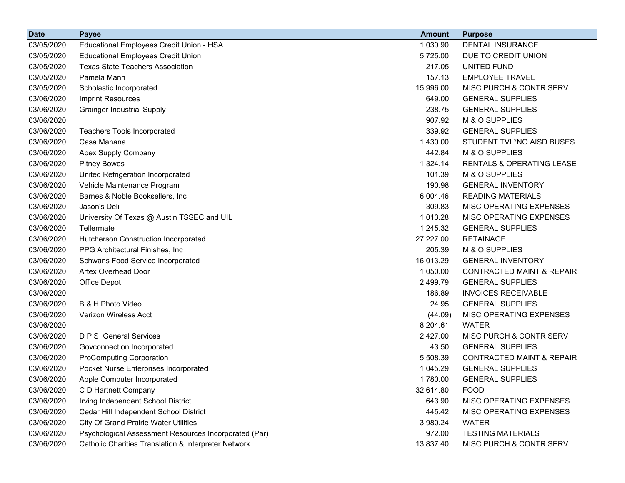| <b>Date</b> | <b>Payee</b>                                                    | <b>Amount</b> | <b>Purpose</b>                       |
|-------------|-----------------------------------------------------------------|---------------|--------------------------------------|
| 03/05/2020  | Educational Employees Credit Union - HSA                        | 1,030.90      | <b>DENTAL INSURANCE</b>              |
| 03/05/2020  | <b>Educational Employees Credit Union</b>                       | 5,725.00      | DUE TO CREDIT UNION                  |
| 03/05/2020  | <b>Texas State Teachers Association</b>                         | 217.05        | UNITED FUND                          |
| 03/05/2020  | Pamela Mann                                                     | 157.13        | <b>EMPLOYEE TRAVEL</b>               |
| 03/05/2020  | Scholastic Incorporated                                         | 15,996.00     | <b>MISC PURCH &amp; CONTR SERV</b>   |
| 03/06/2020  | <b>Imprint Resources</b>                                        | 649.00        | <b>GENERAL SUPPLIES</b>              |
| 03/06/2020  | <b>Grainger Industrial Supply</b>                               | 238.75        | <b>GENERAL SUPPLIES</b>              |
| 03/06/2020  |                                                                 | 907.92        | M & O SUPPLIES                       |
| 03/06/2020  | <b>Teachers Tools Incorporated</b>                              | 339.92        | <b>GENERAL SUPPLIES</b>              |
| 03/06/2020  | Casa Manana                                                     | 1,430.00      | STUDENT TVL*NO AISD BUSES            |
| 03/06/2020  | Apex Supply Company                                             | 442.84        | M & O SUPPLIES                       |
| 03/06/2020  | <b>Pitney Bowes</b>                                             | 1,324.14      | RENTALS & OPERATING LEASE            |
| 03/06/2020  | United Refrigeration Incorporated                               | 101.39        | M & O SUPPLIES                       |
| 03/06/2020  | Vehicle Maintenance Program                                     | 190.98        | <b>GENERAL INVENTORY</b>             |
| 03/06/2020  | Barnes & Noble Booksellers, Inc                                 | 6,004.46      | <b>READING MATERIALS</b>             |
| 03/06/2020  | Jason's Deli                                                    | 309.83        | MISC OPERATING EXPENSES              |
| 03/06/2020  | University Of Texas @ Austin TSSEC and UIL                      | 1,013.28      | MISC OPERATING EXPENSES              |
| 03/06/2020  | Tellermate                                                      | 1,245.32      | <b>GENERAL SUPPLIES</b>              |
| 03/06/2020  | Hutcherson Construction Incorporated                            | 27,227.00     | <b>RETAINAGE</b>                     |
| 03/06/2020  | PPG Architectural Finishes, Inc.                                | 205.39        | M & O SUPPLIES                       |
| 03/06/2020  | Schwans Food Service Incorporated                               | 16,013.29     | <b>GENERAL INVENTORY</b>             |
| 03/06/2020  | <b>Artex Overhead Door</b>                                      | 1,050.00      | <b>CONTRACTED MAINT &amp; REPAIR</b> |
| 03/06/2020  | Office Depot                                                    | 2,499.79      | <b>GENERAL SUPPLIES</b>              |
| 03/06/2020  |                                                                 | 186.89        | <b>INVOICES RECEIVABLE</b>           |
| 03/06/2020  | B & H Photo Video                                               | 24.95         | <b>GENERAL SUPPLIES</b>              |
| 03/06/2020  | Verizon Wireless Acct                                           | (44.09)       | MISC OPERATING EXPENSES              |
| 03/06/2020  |                                                                 | 8,204.61      | <b>WATER</b>                         |
| 03/06/2020  | <b>D P S</b> General Services                                   | 2,427.00      | MISC PURCH & CONTR SERV              |
| 03/06/2020  | Govconnection Incorporated                                      | 43.50         | <b>GENERAL SUPPLIES</b>              |
| 03/06/2020  | <b>ProComputing Corporation</b>                                 | 5,508.39      | <b>CONTRACTED MAINT &amp; REPAIR</b> |
| 03/06/2020  | Pocket Nurse Enterprises Incorporated                           | 1,045.29      | <b>GENERAL SUPPLIES</b>              |
| 03/06/2020  | Apple Computer Incorporated                                     | 1,780.00      | <b>GENERAL SUPPLIES</b>              |
| 03/06/2020  | C D Hartnett Company                                            | 32,614.80     | <b>FOOD</b>                          |
| 03/06/2020  | Irving Independent School District                              | 643.90        | MISC OPERATING EXPENSES              |
| 03/06/2020  | Cedar Hill Independent School District                          | 445.42        | MISC OPERATING EXPENSES              |
| 03/06/2020  | <b>City Of Grand Prairie Water Utilities</b>                    | 3,980.24      | <b>WATER</b>                         |
| 03/06/2020  | Psychological Assessment Resources Incorporated (Par)           | 972.00        | <b>TESTING MATERIALS</b>             |
| 03/06/2020  | <b>Catholic Charities Translation &amp; Interpreter Network</b> | 13,837.40     | MISC PURCH & CONTR SERV              |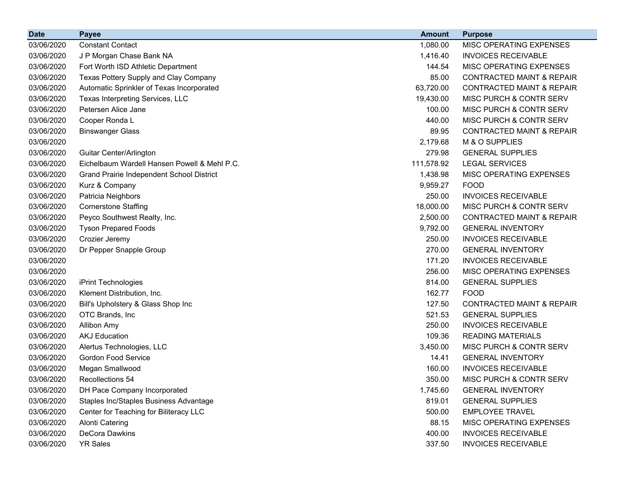| <b>Date</b> | <b>Payee</b>                                 | <b>Amount</b> | <b>Purpose</b>                       |
|-------------|----------------------------------------------|---------------|--------------------------------------|
| 03/06/2020  | <b>Constant Contact</b>                      | 1,080.00      | MISC OPERATING EXPENSES              |
| 03/06/2020  | J P Morgan Chase Bank NA                     | 1,416.40      | <b>INVOICES RECEIVABLE</b>           |
| 03/06/2020  | Fort Worth ISD Athletic Department           | 144.54        | MISC OPERATING EXPENSES              |
| 03/06/2020  | Texas Pottery Supply and Clay Company        | 85.00         | <b>CONTRACTED MAINT &amp; REPAIR</b> |
| 03/06/2020  | Automatic Sprinkler of Texas Incorporated    | 63,720.00     | <b>CONTRACTED MAINT &amp; REPAIR</b> |
| 03/06/2020  | Texas Interpreting Services, LLC             | 19,430.00     | MISC PURCH & CONTR SERV              |
| 03/06/2020  | Petersen Alice Jane                          | 100.00        | MISC PURCH & CONTR SERV              |
| 03/06/2020  | Cooper Ronda L                               | 440.00        | MISC PURCH & CONTR SERV              |
| 03/06/2020  | <b>Binswanger Glass</b>                      | 89.95         | <b>CONTRACTED MAINT &amp; REPAIR</b> |
| 03/06/2020  |                                              | 2,179.68      | M & O SUPPLIES                       |
| 03/06/2020  | Guitar Center/Arlington                      | 279.98        | <b>GENERAL SUPPLIES</b>              |
| 03/06/2020  | Eichelbaum Wardell Hansen Powell & Mehl P.C. | 111,578.92    | <b>LEGAL SERVICES</b>                |
| 03/06/2020  | Grand Prairie Independent School District    | 1,438.98      | MISC OPERATING EXPENSES              |
| 03/06/2020  | Kurz & Company                               | 9,959.27      | <b>FOOD</b>                          |
| 03/06/2020  | Patricia Neighbors                           | 250.00        | <b>INVOICES RECEIVABLE</b>           |
| 03/06/2020  | <b>Cornerstone Staffing</b>                  | 18,000.00     | MISC PURCH & CONTR SERV              |
| 03/06/2020  | Peyco Southwest Realty, Inc.                 | 2,500.00      | <b>CONTRACTED MAINT &amp; REPAIR</b> |
| 03/06/2020  | <b>Tyson Prepared Foods</b>                  | 9,792.00      | <b>GENERAL INVENTORY</b>             |
| 03/06/2020  | Crozier Jeremy                               | 250.00        | <b>INVOICES RECEIVABLE</b>           |
| 03/06/2020  | Dr Pepper Snapple Group                      | 270.00        | <b>GENERAL INVENTORY</b>             |
| 03/06/2020  |                                              | 171.20        | <b>INVOICES RECEIVABLE</b>           |
| 03/06/2020  |                                              | 256.00        | MISC OPERATING EXPENSES              |
| 03/06/2020  | iPrint Technologies                          | 814.00        | <b>GENERAL SUPPLIES</b>              |
| 03/06/2020  | Klement Distribution, Inc.                   | 162.77        | <b>FOOD</b>                          |
| 03/06/2020  | Bill's Upholstery & Glass Shop Inc           | 127.50        | <b>CONTRACTED MAINT &amp; REPAIR</b> |
| 03/06/2020  | OTC Brands, Inc                              | 521.53        | <b>GENERAL SUPPLIES</b>              |
| 03/06/2020  | <b>Allibon Amy</b>                           | 250.00        | <b>INVOICES RECEIVABLE</b>           |
| 03/06/2020  | <b>AKJ Education</b>                         | 109.36        | <b>READING MATERIALS</b>             |
| 03/06/2020  | Alertus Technologies, LLC                    | 3,450.00      | MISC PURCH & CONTR SERV              |
| 03/06/2020  | <b>Gordon Food Service</b>                   | 14.41         | <b>GENERAL INVENTORY</b>             |
| 03/06/2020  | Megan Smallwood                              | 160.00        | <b>INVOICES RECEIVABLE</b>           |
| 03/06/2020  | Recollections 54                             | 350.00        | MISC PURCH & CONTR SERV              |
| 03/06/2020  | DH Pace Company Incorporated                 | 1,745.60      | <b>GENERAL INVENTORY</b>             |
| 03/06/2020  | Staples Inc/Staples Business Advantage       | 819.01        | <b>GENERAL SUPPLIES</b>              |
| 03/06/2020  | Center for Teaching for Biliteracy LLC       | 500.00        | <b>EMPLOYEE TRAVEL</b>               |
| 03/06/2020  | <b>Alonti Catering</b>                       | 88.15         | MISC OPERATING EXPENSES              |
| 03/06/2020  | DeCora Dawkins                               | 400.00        | <b>INVOICES RECEIVABLE</b>           |
| 03/06/2020  | <b>YR Sales</b>                              | 337.50        | <b>INVOICES RECEIVABLE</b>           |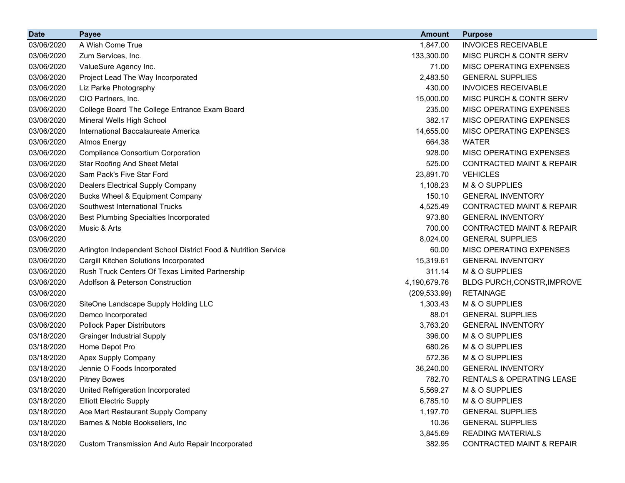| <b>Date</b> | <b>Payee</b>                                                   | <b>Amount</b> | <b>Purpose</b>                       |
|-------------|----------------------------------------------------------------|---------------|--------------------------------------|
| 03/06/2020  | A Wish Come True                                               | 1,847.00      | <b>INVOICES RECEIVABLE</b>           |
| 03/06/2020  | Zum Services, Inc.                                             | 133,300.00    | <b>MISC PURCH &amp; CONTR SERV</b>   |
| 03/06/2020  | ValueSure Agency Inc.                                          | 71.00         | <b>MISC OPERATING EXPENSES</b>       |
| 03/06/2020  | Project Lead The Way Incorporated                              | 2,483.50      | <b>GENERAL SUPPLIES</b>              |
| 03/06/2020  | Liz Parke Photography                                          | 430.00        | <b>INVOICES RECEIVABLE</b>           |
| 03/06/2020  | CIO Partners, Inc.                                             | 15,000.00     | <b>MISC PURCH &amp; CONTR SERV</b>   |
| 03/06/2020  | College Board The College Entrance Exam Board                  | 235.00        | MISC OPERATING EXPENSES              |
| 03/06/2020  | Mineral Wells High School                                      | 382.17        | MISC OPERATING EXPENSES              |
| 03/06/2020  | International Baccalaureate America                            | 14,655.00     | MISC OPERATING EXPENSES              |
| 03/06/2020  | <b>Atmos Energy</b>                                            | 664.38        | <b>WATER</b>                         |
| 03/06/2020  | <b>Compliance Consortium Corporation</b>                       | 928.00        | MISC OPERATING EXPENSES              |
| 03/06/2020  | <b>Star Roofing And Sheet Metal</b>                            | 525.00        | <b>CONTRACTED MAINT &amp; REPAIR</b> |
| 03/06/2020  | Sam Pack's Five Star Ford                                      | 23,891.70     | <b>VEHICLES</b>                      |
| 03/06/2020  | Dealers Electrical Supply Company                              | 1,108.23      | M & O SUPPLIES                       |
| 03/06/2020  | Bucks Wheel & Equipment Company                                | 150.10        | <b>GENERAL INVENTORY</b>             |
| 03/06/2020  | Southwest International Trucks                                 | 4,525.49      | <b>CONTRACTED MAINT &amp; REPAIR</b> |
| 03/06/2020  | <b>Best Plumbing Specialties Incorporated</b>                  | 973.80        | <b>GENERAL INVENTORY</b>             |
| 03/06/2020  | Music & Arts                                                   | 700.00        | <b>CONTRACTED MAINT &amp; REPAIR</b> |
| 03/06/2020  |                                                                | 8,024.00      | <b>GENERAL SUPPLIES</b>              |
| 03/06/2020  | Arlington Independent School District Food & Nutrition Service | 60.00         | MISC OPERATING EXPENSES              |
| 03/06/2020  | Cargill Kitchen Solutions Incorporated                         | 15,319.61     | <b>GENERAL INVENTORY</b>             |
| 03/06/2020  | Rush Truck Centers Of Texas Limited Partnership                | 311.14        | M & O SUPPLIES                       |
| 03/06/2020  | Adolfson & Peterson Construction                               | 4,190,679.76  | BLDG PURCH, CONSTR, IMPROVE          |
| 03/06/2020  |                                                                | (209, 533.99) | <b>RETAINAGE</b>                     |
| 03/06/2020  | SiteOne Landscape Supply Holding LLC                           | 1,303.43      | M & O SUPPLIES                       |
| 03/06/2020  | Demco Incorporated                                             | 88.01         | <b>GENERAL SUPPLIES</b>              |
| 03/06/2020  | <b>Pollock Paper Distributors</b>                              | 3,763.20      | <b>GENERAL INVENTORY</b>             |
| 03/18/2020  | <b>Grainger Industrial Supply</b>                              | 396.00        | M & O SUPPLIES                       |
| 03/18/2020  | Home Depot Pro                                                 | 680.26        | M & O SUPPLIES                       |
| 03/18/2020  | Apex Supply Company                                            | 572.36        | M & O SUPPLIES                       |
| 03/18/2020  | Jennie O Foods Incorporated                                    | 36,240.00     | <b>GENERAL INVENTORY</b>             |
| 03/18/2020  | <b>Pitney Bowes</b>                                            | 782.70        | RENTALS & OPERATING LEASE            |
| 03/18/2020  | United Refrigeration Incorporated                              | 5,569.27      | M & O SUPPLIES                       |
| 03/18/2020  | <b>Elliott Electric Supply</b>                                 | 6,785.10      | M & O SUPPLIES                       |
| 03/18/2020  | Ace Mart Restaurant Supply Company                             | 1,197.70      | <b>GENERAL SUPPLIES</b>              |
| 03/18/2020  | Barnes & Noble Booksellers, Inc.                               | 10.36         | <b>GENERAL SUPPLIES</b>              |
| 03/18/2020  |                                                                | 3,845.69      | <b>READING MATERIALS</b>             |
| 03/18/2020  | Custom Transmission And Auto Repair Incorporated               | 382.95        | CONTRACTED MAINT & REPAIR            |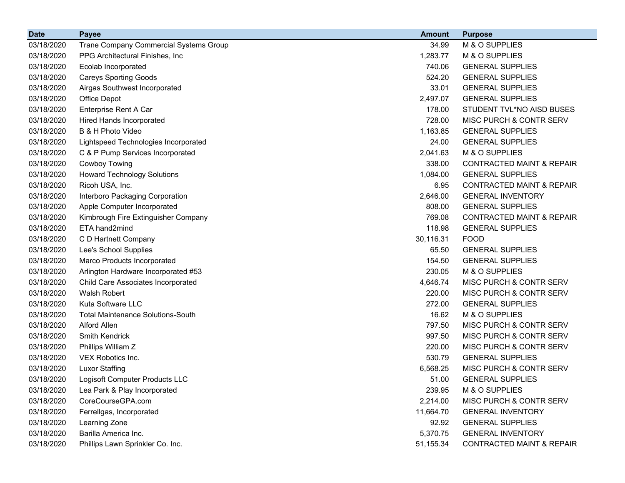| <b>Date</b> | <b>Payee</b>                             | <b>Amount</b> | <b>Purpose</b>                       |
|-------------|------------------------------------------|---------------|--------------------------------------|
| 03/18/2020  | Trane Company Commercial Systems Group   | 34.99         | M & O SUPPLIES                       |
| 03/18/2020  | PPG Architectural Finishes, Inc.         | 1,283.77      | M & O SUPPLIES                       |
| 03/18/2020  | <b>Ecolab Incorporated</b>               | 740.06        | <b>GENERAL SUPPLIES</b>              |
| 03/18/2020  | <b>Careys Sporting Goods</b>             | 524.20        | <b>GENERAL SUPPLIES</b>              |
| 03/18/2020  | Airgas Southwest Incorporated            | 33.01         | <b>GENERAL SUPPLIES</b>              |
| 03/18/2020  | Office Depot                             | 2,497.07      | <b>GENERAL SUPPLIES</b>              |
| 03/18/2020  | Enterprise Rent A Car                    | 178.00        | STUDENT TVL*NO AISD BUSES            |
| 03/18/2020  | <b>Hired Hands Incorporated</b>          | 728.00        | MISC PURCH & CONTR SERV              |
| 03/18/2020  | B & H Photo Video                        | 1,163.85      | <b>GENERAL SUPPLIES</b>              |
| 03/18/2020  | Lightspeed Technologies Incorporated     | 24.00         | <b>GENERAL SUPPLIES</b>              |
| 03/18/2020  | C & P Pump Services Incorporated         | 2,041.63      | M & O SUPPLIES                       |
| 03/18/2020  | <b>Cowboy Towing</b>                     | 338.00        | <b>CONTRACTED MAINT &amp; REPAIR</b> |
| 03/18/2020  | <b>Howard Technology Solutions</b>       | 1,084.00      | <b>GENERAL SUPPLIES</b>              |
| 03/18/2020  | Ricoh USA, Inc.                          | 6.95          | <b>CONTRACTED MAINT &amp; REPAIR</b> |
| 03/18/2020  | Interboro Packaging Corporation          | 2,646.00      | <b>GENERAL INVENTORY</b>             |
| 03/18/2020  | Apple Computer Incorporated              | 808.00        | <b>GENERAL SUPPLIES</b>              |
| 03/18/2020  | Kimbrough Fire Extinguisher Company      | 769.08        | <b>CONTRACTED MAINT &amp; REPAIR</b> |
| 03/18/2020  | ETA hand2mind                            | 118.98        | <b>GENERAL SUPPLIES</b>              |
| 03/18/2020  | C D Hartnett Company                     | 30,116.31     | <b>FOOD</b>                          |
| 03/18/2020  | Lee's School Supplies                    | 65.50         | <b>GENERAL SUPPLIES</b>              |
| 03/18/2020  | Marco Products Incorporated              | 154.50        | <b>GENERAL SUPPLIES</b>              |
| 03/18/2020  | Arlington Hardware Incorporated #53      | 230.05        | M & O SUPPLIES                       |
| 03/18/2020  | Child Care Associates Incorporated       | 4,646.74      | MISC PURCH & CONTR SERV              |
| 03/18/2020  | Walsh Robert                             | 220.00        | MISC PURCH & CONTR SERV              |
| 03/18/2020  | Kuta Software LLC                        | 272.00        | <b>GENERAL SUPPLIES</b>              |
| 03/18/2020  | <b>Total Maintenance Solutions-South</b> | 16.62         | M & O SUPPLIES                       |
| 03/18/2020  | <b>Alford Allen</b>                      | 797.50        | MISC PURCH & CONTR SERV              |
| 03/18/2020  | <b>Smith Kendrick</b>                    | 997.50        | MISC PURCH & CONTR SERV              |
| 03/18/2020  | Phillips William Z                       | 220.00        | MISC PURCH & CONTR SERV              |
| 03/18/2020  | VEX Robotics Inc.                        | 530.79        | <b>GENERAL SUPPLIES</b>              |
| 03/18/2020  | <b>Luxor Staffing</b>                    | 6,568.25      | MISC PURCH & CONTR SERV              |
| 03/18/2020  | Logisoft Computer Products LLC           | 51.00         | <b>GENERAL SUPPLIES</b>              |
| 03/18/2020  | Lea Park & Play Incorporated             | 239.95        | M & O SUPPLIES                       |
| 03/18/2020  | CoreCourseGPA.com                        | 2,214.00      | MISC PURCH & CONTR SERV              |
| 03/18/2020  | Ferrellgas, Incorporated                 | 11,664.70     | <b>GENERAL INVENTORY</b>             |
| 03/18/2020  | Learning Zone                            | 92.92         | <b>GENERAL SUPPLIES</b>              |
| 03/18/2020  | Barilla America Inc.                     | 5,370.75      | <b>GENERAL INVENTORY</b>             |
| 03/18/2020  | Phillips Lawn Sprinkler Co. Inc.         | 51,155.34     | <b>CONTRACTED MAINT &amp; REPAIR</b> |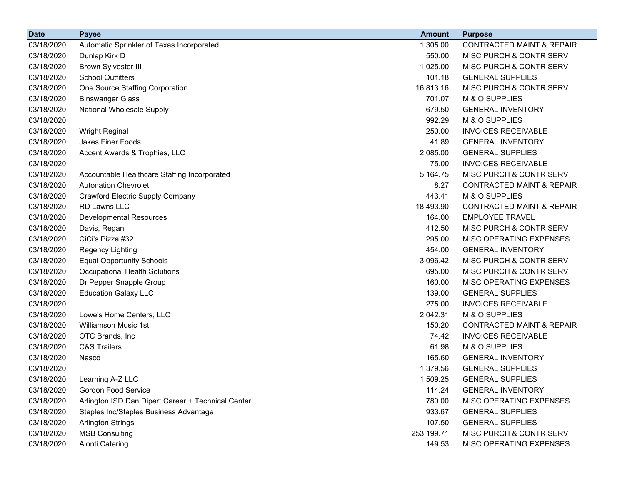| <b>Date</b> | <b>Payee</b>                                       | <b>Amount</b> | <b>Purpose</b>                       |
|-------------|----------------------------------------------------|---------------|--------------------------------------|
| 03/18/2020  | Automatic Sprinkler of Texas Incorporated          | 1,305.00      | <b>CONTRACTED MAINT &amp; REPAIR</b> |
| 03/18/2020  | Dunlap Kirk D                                      | 550.00        | MISC PURCH & CONTR SERV              |
| 03/18/2020  | <b>Brown Sylvester III</b>                         | 1,025.00      | MISC PURCH & CONTR SERV              |
| 03/18/2020  | <b>School Outfitters</b>                           | 101.18        | <b>GENERAL SUPPLIES</b>              |
| 03/18/2020  | One Source Staffing Corporation                    | 16,813.16     | MISC PURCH & CONTR SERV              |
| 03/18/2020  | <b>Binswanger Glass</b>                            | 701.07        | M & O SUPPLIES                       |
| 03/18/2020  | National Wholesale Supply                          | 679.50        | <b>GENERAL INVENTORY</b>             |
| 03/18/2020  |                                                    | 992.29        | M & O SUPPLIES                       |
| 03/18/2020  | <b>Wright Reginal</b>                              | 250.00        | <b>INVOICES RECEIVABLE</b>           |
| 03/18/2020  | Jakes Finer Foods                                  | 41.89         | <b>GENERAL INVENTORY</b>             |
| 03/18/2020  | Accent Awards & Trophies, LLC                      | 2,085.00      | <b>GENERAL SUPPLIES</b>              |
| 03/18/2020  |                                                    | 75.00         | <b>INVOICES RECEIVABLE</b>           |
| 03/18/2020  | Accountable Healthcare Staffing Incorporated       | 5,164.75      | MISC PURCH & CONTR SERV              |
| 03/18/2020  | <b>Autonation Chevrolet</b>                        | 8.27          | <b>CONTRACTED MAINT &amp; REPAIR</b> |
| 03/18/2020  | Crawford Electric Supply Company                   | 443.41        | M & O SUPPLIES                       |
| 03/18/2020  | RD Lawns LLC                                       | 18,493.90     | <b>CONTRACTED MAINT &amp; REPAIR</b> |
| 03/18/2020  | Developmental Resources                            | 164.00        | <b>EMPLOYEE TRAVEL</b>               |
| 03/18/2020  | Davis, Regan                                       | 412.50        | MISC PURCH & CONTR SERV              |
| 03/18/2020  | CiCi's Pizza #32                                   | 295.00        | MISC OPERATING EXPENSES              |
| 03/18/2020  | <b>Regency Lighting</b>                            | 454.00        | <b>GENERAL INVENTORY</b>             |
| 03/18/2020  | <b>Equal Opportunity Schools</b>                   | 3,096.42      | MISC PURCH & CONTR SERV              |
| 03/18/2020  | Occupational Health Solutions                      | 695.00        | <b>MISC PURCH &amp; CONTR SERV</b>   |
| 03/18/2020  | Dr Pepper Snapple Group                            | 160.00        | <b>MISC OPERATING EXPENSES</b>       |
| 03/18/2020  | <b>Education Galaxy LLC</b>                        | 139.00        | <b>GENERAL SUPPLIES</b>              |
| 03/18/2020  |                                                    | 275.00        | <b>INVOICES RECEIVABLE</b>           |
| 03/18/2020  | Lowe's Home Centers, LLC                           | 2,042.31      | M & O SUPPLIES                       |
| 03/18/2020  | Williamson Music 1st                               | 150.20        | <b>CONTRACTED MAINT &amp; REPAIR</b> |
| 03/18/2020  | OTC Brands, Inc                                    | 74.42         | <b>INVOICES RECEIVABLE</b>           |
| 03/18/2020  | <b>C&amp;S Trailers</b>                            | 61.98         | M & O SUPPLIES                       |
| 03/18/2020  | Nasco                                              | 165.60        | <b>GENERAL INVENTORY</b>             |
| 03/18/2020  |                                                    | 1,379.56      | <b>GENERAL SUPPLIES</b>              |
| 03/18/2020  | Learning A-Z LLC                                   | 1,509.25      | <b>GENERAL SUPPLIES</b>              |
| 03/18/2020  | <b>Gordon Food Service</b>                         | 114.24        | <b>GENERAL INVENTORY</b>             |
| 03/18/2020  | Arlington ISD Dan Dipert Career + Technical Center | 780.00        | <b>MISC OPERATING EXPENSES</b>       |
| 03/18/2020  | Staples Inc/Staples Business Advantage             | 933.67        | <b>GENERAL SUPPLIES</b>              |
| 03/18/2020  | <b>Arlington Strings</b>                           | 107.50        | <b>GENERAL SUPPLIES</b>              |
| 03/18/2020  | <b>MSB Consulting</b>                              | 253,199.71    | MISC PURCH & CONTR SERV              |
| 03/18/2020  | <b>Alonti Catering</b>                             | 149.53        | MISC OPERATING EXPENSES              |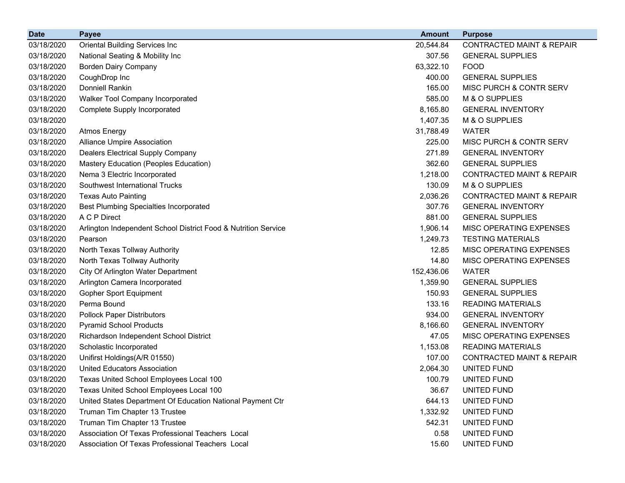| <b>Date</b> | <b>Payee</b>                                                   | <b>Amount</b> | <b>Purpose</b>                       |
|-------------|----------------------------------------------------------------|---------------|--------------------------------------|
| 03/18/2020  | <b>Oriental Building Services Inc</b>                          | 20,544.84     | <b>CONTRACTED MAINT &amp; REPAIR</b> |
| 03/18/2020  | National Seating & Mobility Inc                                | 307.56        | <b>GENERAL SUPPLIES</b>              |
| 03/18/2020  | <b>Borden Dairy Company</b>                                    | 63,322.10     | <b>FOOD</b>                          |
| 03/18/2020  | CoughDrop Inc                                                  | 400.00        | <b>GENERAL SUPPLIES</b>              |
| 03/18/2020  | <b>Donniell Rankin</b>                                         | 165.00        | MISC PURCH & CONTR SERV              |
| 03/18/2020  | Walker Tool Company Incorporated                               | 585.00        | M & O SUPPLIES                       |
| 03/18/2020  | <b>Complete Supply Incorporated</b>                            | 8,165.80      | <b>GENERAL INVENTORY</b>             |
| 03/18/2020  |                                                                | 1,407.35      | M & O SUPPLIES                       |
| 03/18/2020  | <b>Atmos Energy</b>                                            | 31,788.49     | <b>WATER</b>                         |
| 03/18/2020  | <b>Alliance Umpire Association</b>                             | 225.00        | MISC PURCH & CONTR SERV              |
| 03/18/2020  | Dealers Electrical Supply Company                              | 271.89        | <b>GENERAL INVENTORY</b>             |
| 03/18/2020  | Mastery Education (Peoples Education)                          | 362.60        | <b>GENERAL SUPPLIES</b>              |
| 03/18/2020  | Nema 3 Electric Incorporated                                   | 1,218.00      | <b>CONTRACTED MAINT &amp; REPAIR</b> |
| 03/18/2020  | Southwest International Trucks                                 | 130.09        | M & O SUPPLIES                       |
| 03/18/2020  | <b>Texas Auto Painting</b>                                     | 2,036.26      | <b>CONTRACTED MAINT &amp; REPAIR</b> |
| 03/18/2020  | <b>Best Plumbing Specialties Incorporated</b>                  | 307.76        | <b>GENERAL INVENTORY</b>             |
| 03/18/2020  | A C P Direct                                                   | 881.00        | <b>GENERAL SUPPLIES</b>              |
| 03/18/2020  | Arlington Independent School District Food & Nutrition Service | 1,906.14      | MISC OPERATING EXPENSES              |
| 03/18/2020  | Pearson                                                        | 1,249.73      | <b>TESTING MATERIALS</b>             |
| 03/18/2020  | North Texas Tollway Authority                                  | 12.85         | MISC OPERATING EXPENSES              |
| 03/18/2020  | North Texas Tollway Authority                                  | 14.80         | MISC OPERATING EXPENSES              |
| 03/18/2020  | City Of Arlington Water Department                             | 152,436.06    | <b>WATER</b>                         |
| 03/18/2020  | Arlington Camera Incorporated                                  | 1,359.90      | <b>GENERAL SUPPLIES</b>              |
| 03/18/2020  | <b>Gopher Sport Equipment</b>                                  | 150.93        | <b>GENERAL SUPPLIES</b>              |
| 03/18/2020  | Perma Bound                                                    | 133.16        | <b>READING MATERIALS</b>             |
| 03/18/2020  | <b>Pollock Paper Distributors</b>                              | 934.00        | <b>GENERAL INVENTORY</b>             |
| 03/18/2020  | <b>Pyramid School Products</b>                                 | 8,166.60      | <b>GENERAL INVENTORY</b>             |
| 03/18/2020  | Richardson Independent School District                         | 47.05         | MISC OPERATING EXPENSES              |
| 03/18/2020  | Scholastic Incorporated                                        | 1,153.08      | <b>READING MATERIALS</b>             |
| 03/18/2020  | Unifirst Holdings(A/R 01550)                                   | 107.00        | <b>CONTRACTED MAINT &amp; REPAIR</b> |
| 03/18/2020  | <b>United Educators Association</b>                            | 2,064.30      | UNITED FUND                          |
| 03/18/2020  | Texas United School Employees Local 100                        | 100.79        | UNITED FUND                          |
| 03/18/2020  | Texas United School Employees Local 100                        | 36.67         | UNITED FUND                          |
| 03/18/2020  | United States Department Of Education National Payment Ctr     | 644.13        | UNITED FUND                          |
| 03/18/2020  | Truman Tim Chapter 13 Trustee                                  | 1,332.92      | UNITED FUND                          |
| 03/18/2020  | Truman Tim Chapter 13 Trustee                                  | 542.31        | UNITED FUND                          |
| 03/18/2020  | Association Of Texas Professional Teachers Local               | 0.58          | UNITED FUND                          |
| 03/18/2020  | Association Of Texas Professional Teachers Local               | 15.60         | UNITED FUND                          |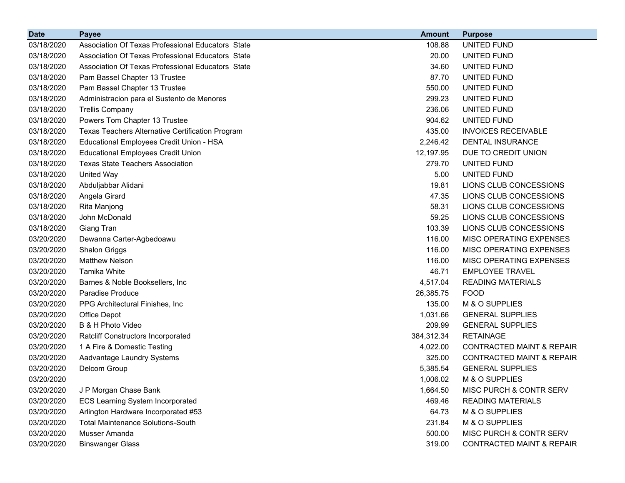| <b>Date</b> | <b>Payee</b>                                      | <b>Amount</b> | <b>Purpose</b>                       |
|-------------|---------------------------------------------------|---------------|--------------------------------------|
| 03/18/2020  | Association Of Texas Professional Educators State | 108.88        | <b>UNITED FUND</b>                   |
| 03/18/2020  | Association Of Texas Professional Educators State | 20.00         | UNITED FUND                          |
| 03/18/2020  | Association Of Texas Professional Educators State | 34.60         | UNITED FUND                          |
| 03/18/2020  | Pam Bassel Chapter 13 Trustee                     | 87.70         | UNITED FUND                          |
| 03/18/2020  | Pam Bassel Chapter 13 Trustee                     | 550.00        | UNITED FUND                          |
| 03/18/2020  | Administracion para el Sustento de Menores        | 299.23        | <b>UNITED FUND</b>                   |
| 03/18/2020  | <b>Trellis Company</b>                            | 236.06        | UNITED FUND                          |
| 03/18/2020  | Powers Tom Chapter 13 Trustee                     | 904.62        | <b>UNITED FUND</b>                   |
| 03/18/2020  | Texas Teachers Alternative Certification Program  | 435.00        | <b>INVOICES RECEIVABLE</b>           |
| 03/18/2020  | Educational Employees Credit Union - HSA          | 2,246.42      | <b>DENTAL INSURANCE</b>              |
| 03/18/2020  | <b>Educational Employees Credit Union</b>         | 12,197.95     | DUE TO CREDIT UNION                  |
| 03/18/2020  | <b>Texas State Teachers Association</b>           | 279.70        | UNITED FUND                          |
| 03/18/2020  | United Way                                        | 5.00          | <b>UNITED FUND</b>                   |
| 03/18/2020  | Abduljabbar Alidani                               | 19.81         | LIONS CLUB CONCESSIONS               |
| 03/18/2020  | Angela Girard                                     | 47.35         | LIONS CLUB CONCESSIONS               |
| 03/18/2020  | Rita Manjong                                      | 58.31         | LIONS CLUB CONCESSIONS               |
| 03/18/2020  | John McDonald                                     | 59.25         | LIONS CLUB CONCESSIONS               |
| 03/18/2020  | Giang Tran                                        | 103.39        | LIONS CLUB CONCESSIONS               |
| 03/20/2020  | Dewanna Carter-Agbedoawu                          | 116.00        | MISC OPERATING EXPENSES              |
| 03/20/2020  | <b>Shalon Griggs</b>                              | 116.00        | MISC OPERATING EXPENSES              |
| 03/20/2020  | <b>Matthew Nelson</b>                             | 116.00        | MISC OPERATING EXPENSES              |
| 03/20/2020  | Tamika White                                      | 46.71         | <b>EMPLOYEE TRAVEL</b>               |
| 03/20/2020  | Barnes & Noble Booksellers, Inc.                  | 4,517.04      | <b>READING MATERIALS</b>             |
| 03/20/2020  | Paradise Produce                                  | 26,385.75     | <b>FOOD</b>                          |
| 03/20/2020  | PPG Architectural Finishes, Inc.                  | 135.00        | M & O SUPPLIES                       |
| 03/20/2020  | Office Depot                                      | 1,031.66      | <b>GENERAL SUPPLIES</b>              |
| 03/20/2020  | B & H Photo Video                                 | 209.99        | <b>GENERAL SUPPLIES</b>              |
| 03/20/2020  | <b>Ratcliff Constructors Incorporated</b>         | 384,312.34    | <b>RETAINAGE</b>                     |
| 03/20/2020  | 1 A Fire & Domestic Testing                       | 4,022.00      | <b>CONTRACTED MAINT &amp; REPAIR</b> |
| 03/20/2020  | Aadvantage Laundry Systems                        | 325.00        | <b>CONTRACTED MAINT &amp; REPAIR</b> |
| 03/20/2020  | Delcom Group                                      | 5,385.54      | <b>GENERAL SUPPLIES</b>              |
| 03/20/2020  |                                                   | 1,006.02      | M & O SUPPLIES                       |
| 03/20/2020  | J P Morgan Chase Bank                             | 1,664.50      | MISC PURCH & CONTR SERV              |
| 03/20/2020  | <b>ECS Learning System Incorporated</b>           | 469.46        | <b>READING MATERIALS</b>             |
| 03/20/2020  | Arlington Hardware Incorporated #53               | 64.73         | M & O SUPPLIES                       |
| 03/20/2020  | <b>Total Maintenance Solutions-South</b>          | 231.84        | M & O SUPPLIES                       |
| 03/20/2020  | Musser Amanda                                     | 500.00        | MISC PURCH & CONTR SERV              |
| 03/20/2020  | <b>Binswanger Glass</b>                           | 319.00        | <b>CONTRACTED MAINT &amp; REPAIR</b> |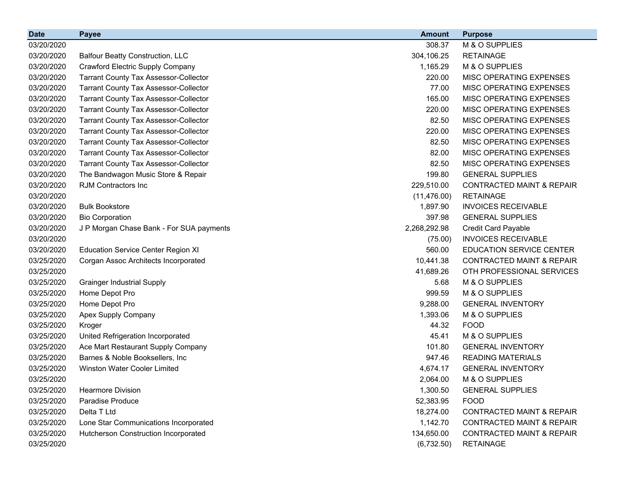| <b>Date</b> | <b>Payee</b>                                 | <b>Amount</b> | <b>Purpose</b>                       |
|-------------|----------------------------------------------|---------------|--------------------------------------|
| 03/20/2020  |                                              | 308.37        | M & O SUPPLIES                       |
| 03/20/2020  | <b>Balfour Beatty Construction, LLC</b>      | 304,106.25    | <b>RETAINAGE</b>                     |
| 03/20/2020  | <b>Crawford Electric Supply Company</b>      | 1,165.29      | M & O SUPPLIES                       |
| 03/20/2020  | <b>Tarrant County Tax Assessor-Collector</b> | 220.00        | MISC OPERATING EXPENSES              |
| 03/20/2020  | <b>Tarrant County Tax Assessor-Collector</b> | 77.00         | MISC OPERATING EXPENSES              |
| 03/20/2020  | <b>Tarrant County Tax Assessor-Collector</b> | 165.00        | MISC OPERATING EXPENSES              |
| 03/20/2020  | <b>Tarrant County Tax Assessor-Collector</b> | 220.00        | MISC OPERATING EXPENSES              |
| 03/20/2020  | <b>Tarrant County Tax Assessor-Collector</b> | 82.50         | MISC OPERATING EXPENSES              |
| 03/20/2020  | <b>Tarrant County Tax Assessor-Collector</b> | 220.00        | MISC OPERATING EXPENSES              |
| 03/20/2020  | <b>Tarrant County Tax Assessor-Collector</b> | 82.50         | MISC OPERATING EXPENSES              |
| 03/20/2020  | <b>Tarrant County Tax Assessor-Collector</b> | 82.00         | MISC OPERATING EXPENSES              |
| 03/20/2020  | <b>Tarrant County Tax Assessor-Collector</b> | 82.50         | MISC OPERATING EXPENSES              |
| 03/20/2020  | The Bandwagon Music Store & Repair           | 199.80        | <b>GENERAL SUPPLIES</b>              |
| 03/20/2020  | <b>RJM Contractors Inc</b>                   | 229,510.00    | <b>CONTRACTED MAINT &amp; REPAIR</b> |
| 03/20/2020  |                                              | (11, 476.00)  | <b>RETAINAGE</b>                     |
| 03/20/2020  | <b>Bulk Bookstore</b>                        | 1,897.90      | <b>INVOICES RECEIVABLE</b>           |
| 03/20/2020  | <b>Bio Corporation</b>                       | 397.98        | <b>GENERAL SUPPLIES</b>              |
| 03/20/2020  | J P Morgan Chase Bank - For SUA payments     | 2,268,292.98  | <b>Credit Card Payable</b>           |
| 03/20/2020  |                                              | (75.00)       | <b>INVOICES RECEIVABLE</b>           |
| 03/20/2020  | <b>Education Service Center Region XI</b>    | 560.00        | <b>EDUCATION SERVICE CENTER</b>      |
| 03/25/2020  | Corgan Assoc Architects Incorporated         | 10,441.38     | <b>CONTRACTED MAINT &amp; REPAIR</b> |
| 03/25/2020  |                                              | 41,689.26     | OTH PROFESSIONAL SERVICES            |
| 03/25/2020  | <b>Grainger Industrial Supply</b>            | 5.68          | M & O SUPPLIES                       |
| 03/25/2020  | Home Depot Pro                               | 999.59        | M & O SUPPLIES                       |
| 03/25/2020  | Home Depot Pro                               | 9,288.00      | <b>GENERAL INVENTORY</b>             |
| 03/25/2020  | Apex Supply Company                          | 1,393.06      | M & O SUPPLIES                       |
| 03/25/2020  | Kroger                                       | 44.32         | <b>FOOD</b>                          |
| 03/25/2020  | United Refrigeration Incorporated            | 45.41         | M & O SUPPLIES                       |
| 03/25/2020  | Ace Mart Restaurant Supply Company           | 101.80        | <b>GENERAL INVENTORY</b>             |
| 03/25/2020  | Barnes & Noble Booksellers, Inc              | 947.46        | <b>READING MATERIALS</b>             |
| 03/25/2020  | Winston Water Cooler Limited                 | 4,674.17      | <b>GENERAL INVENTORY</b>             |
| 03/25/2020  |                                              | 2,064.00      | M & O SUPPLIES                       |
| 03/25/2020  | <b>Hearmore Division</b>                     | 1,300.50      | <b>GENERAL SUPPLIES</b>              |
| 03/25/2020  | Paradise Produce                             | 52,383.95     | <b>FOOD</b>                          |
| 03/25/2020  | Delta T Ltd                                  | 18,274.00     | <b>CONTRACTED MAINT &amp; REPAIR</b> |
| 03/25/2020  | Lone Star Communications Incorporated        | 1,142.70      | <b>CONTRACTED MAINT &amp; REPAIR</b> |
| 03/25/2020  | Hutcherson Construction Incorporated         | 134,650.00    | <b>CONTRACTED MAINT &amp; REPAIR</b> |
| 03/25/2020  |                                              | (6,732.50)    | <b>RETAINAGE</b>                     |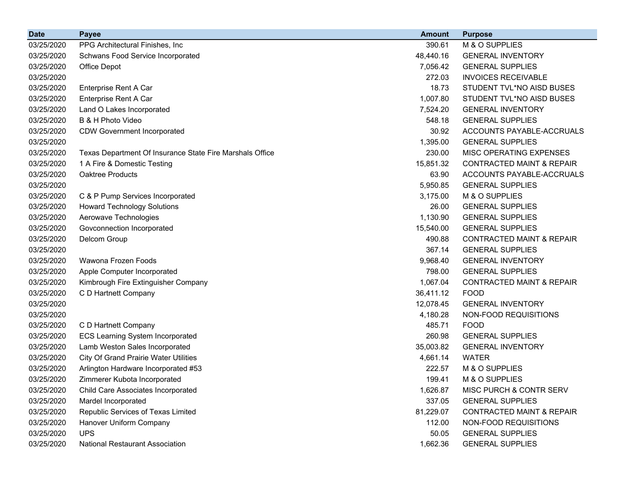| <b>Date</b> | <b>Payee</b>                                             | <b>Amount</b> | <b>Purpose</b>                       |
|-------------|----------------------------------------------------------|---------------|--------------------------------------|
| 03/25/2020  | PPG Architectural Finishes, Inc.                         | 390.61        | M & O SUPPLIES                       |
| 03/25/2020  | Schwans Food Service Incorporated                        | 48,440.16     | <b>GENERAL INVENTORY</b>             |
| 03/25/2020  | Office Depot                                             | 7,056.42      | <b>GENERAL SUPPLIES</b>              |
| 03/25/2020  |                                                          | 272.03        | <b>INVOICES RECEIVABLE</b>           |
| 03/25/2020  | Enterprise Rent A Car                                    | 18.73         | STUDENT TVL*NO AISD BUSES            |
| 03/25/2020  | Enterprise Rent A Car                                    | 1,007.80      | STUDENT TVL*NO AISD BUSES            |
| 03/25/2020  | Land O Lakes Incorporated                                | 7,524.20      | <b>GENERAL INVENTORY</b>             |
| 03/25/2020  | B & H Photo Video                                        | 548.18        | <b>GENERAL SUPPLIES</b>              |
| 03/25/2020  | <b>CDW Government Incorporated</b>                       | 30.92         | ACCOUNTS PAYABLE-ACCRUALS            |
| 03/25/2020  |                                                          | 1,395.00      | <b>GENERAL SUPPLIES</b>              |
| 03/25/2020  | Texas Department Of Insurance State Fire Marshals Office | 230.00        | MISC OPERATING EXPENSES              |
| 03/25/2020  | 1 A Fire & Domestic Testing                              | 15,851.32     | <b>CONTRACTED MAINT &amp; REPAIR</b> |
| 03/25/2020  | Oaktree Products                                         | 63.90         | ACCOUNTS PAYABLE-ACCRUALS            |
| 03/25/2020  |                                                          | 5,950.85      | <b>GENERAL SUPPLIES</b>              |
| 03/25/2020  | C & P Pump Services Incorporated                         | 3,175.00      | M & O SUPPLIES                       |
| 03/25/2020  | <b>Howard Technology Solutions</b>                       | 26.00         | <b>GENERAL SUPPLIES</b>              |
| 03/25/2020  | Aerowave Technologies                                    | 1,130.90      | <b>GENERAL SUPPLIES</b>              |
| 03/25/2020  | Govconnection Incorporated                               | 15,540.00     | <b>GENERAL SUPPLIES</b>              |
| 03/25/2020  | Delcom Group                                             | 490.88        | <b>CONTRACTED MAINT &amp; REPAIR</b> |
| 03/25/2020  |                                                          | 367.14        | <b>GENERAL SUPPLIES</b>              |
| 03/25/2020  | Wawona Frozen Foods                                      | 9,968.40      | <b>GENERAL INVENTORY</b>             |
| 03/25/2020  | Apple Computer Incorporated                              | 798.00        | <b>GENERAL SUPPLIES</b>              |
| 03/25/2020  | Kimbrough Fire Extinguisher Company                      | 1,067.04      | <b>CONTRACTED MAINT &amp; REPAIR</b> |
| 03/25/2020  | C D Hartnett Company                                     | 36,411.12     | <b>FOOD</b>                          |
| 03/25/2020  |                                                          | 12,078.45     | <b>GENERAL INVENTORY</b>             |
| 03/25/2020  |                                                          | 4,180.28      | NON-FOOD REQUISITIONS                |
| 03/25/2020  | C D Hartnett Company                                     | 485.71        | <b>FOOD</b>                          |
| 03/25/2020  | <b>ECS Learning System Incorporated</b>                  | 260.98        | <b>GENERAL SUPPLIES</b>              |
| 03/25/2020  | Lamb Weston Sales Incorporated                           | 35,003.82     | <b>GENERAL INVENTORY</b>             |
| 03/25/2020  | <b>City Of Grand Prairie Water Utilities</b>             | 4,661.14      | <b>WATER</b>                         |
| 03/25/2020  | Arlington Hardware Incorporated #53                      | 222.57        | M & O SUPPLIES                       |
| 03/25/2020  | Zimmerer Kubota Incorporated                             | 199.41        | M & O SUPPLIES                       |
| 03/25/2020  | Child Care Associates Incorporated                       | 1,626.87      | MISC PURCH & CONTR SERV              |
| 03/25/2020  | Mardel Incorporated                                      | 337.05        | <b>GENERAL SUPPLIES</b>              |
| 03/25/2020  | Republic Services of Texas Limited                       | 81,229.07     | <b>CONTRACTED MAINT &amp; REPAIR</b> |
| 03/25/2020  | Hanover Uniform Company                                  | 112.00        | NON-FOOD REQUISITIONS                |
| 03/25/2020  | <b>UPS</b>                                               | 50.05         | <b>GENERAL SUPPLIES</b>              |
| 03/25/2020  | <b>National Restaurant Association</b>                   | 1,662.36      | <b>GENERAL SUPPLIES</b>              |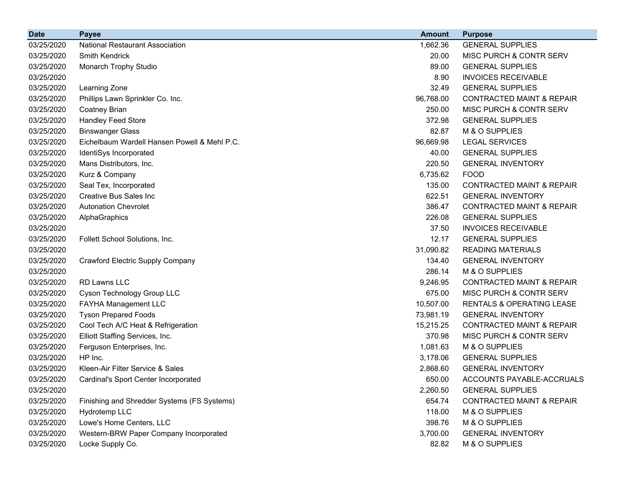| <b>Date</b> | <b>Payee</b>                                 | <b>Amount</b> | <b>Purpose</b>                       |
|-------------|----------------------------------------------|---------------|--------------------------------------|
| 03/25/2020  | <b>National Restaurant Association</b>       | 1,662.36      | <b>GENERAL SUPPLIES</b>              |
| 03/25/2020  | <b>Smith Kendrick</b>                        | 20.00         | MISC PURCH & CONTR SERV              |
| 03/25/2020  | Monarch Trophy Studio                        | 89.00         | <b>GENERAL SUPPLIES</b>              |
| 03/25/2020  |                                              | 8.90          | <b>INVOICES RECEIVABLE</b>           |
| 03/25/2020  | Learning Zone                                | 32.49         | <b>GENERAL SUPPLIES</b>              |
| 03/25/2020  | Phillips Lawn Sprinkler Co. Inc.             | 96,768.00     | <b>CONTRACTED MAINT &amp; REPAIR</b> |
| 03/25/2020  | <b>Coatney Brian</b>                         | 250.00        | MISC PURCH & CONTR SERV              |
| 03/25/2020  | Handley Feed Store                           | 372.98        | <b>GENERAL SUPPLIES</b>              |
| 03/25/2020  | <b>Binswanger Glass</b>                      | 82.87         | M & O SUPPLIES                       |
| 03/25/2020  | Eichelbaum Wardell Hansen Powell & Mehl P.C. | 96,669.98     | <b>LEGAL SERVICES</b>                |
| 03/25/2020  | IdentiSys Incorporated                       | 40.00         | <b>GENERAL SUPPLIES</b>              |
| 03/25/2020  | Mans Distributors, Inc.                      | 220.50        | <b>GENERAL INVENTORY</b>             |
| 03/25/2020  | Kurz & Company                               | 6,735.62      | <b>FOOD</b>                          |
| 03/25/2020  | Seal Tex, Incorporated                       | 135.00        | <b>CONTRACTED MAINT &amp; REPAIR</b> |
| 03/25/2020  | <b>Creative Bus Sales Inc.</b>               | 622.51        | <b>GENERAL INVENTORY</b>             |
| 03/25/2020  | <b>Autonation Chevrolet</b>                  | 386.47        | <b>CONTRACTED MAINT &amp; REPAIR</b> |
| 03/25/2020  | AlphaGraphics                                | 226.08        | <b>GENERAL SUPPLIES</b>              |
| 03/25/2020  |                                              | 37.50         | <b>INVOICES RECEIVABLE</b>           |
| 03/25/2020  | Follett School Solutions, Inc.               | 12.17         | <b>GENERAL SUPPLIES</b>              |
| 03/25/2020  |                                              | 31,090.82     | <b>READING MATERIALS</b>             |
| 03/25/2020  | <b>Crawford Electric Supply Company</b>      | 134.40        | <b>GENERAL INVENTORY</b>             |
| 03/25/2020  |                                              | 286.14        | M & O SUPPLIES                       |
| 03/25/2020  | <b>RD Lawns LLC</b>                          | 9,246.95      | <b>CONTRACTED MAINT &amp; REPAIR</b> |
| 03/25/2020  | Cyson Technology Group LLC                   | 675.00        | MISC PURCH & CONTR SERV              |
| 03/25/2020  | FAYHA Management LLC                         | 10,507.00     | <b>RENTALS &amp; OPERATING LEASE</b> |
| 03/25/2020  | <b>Tyson Prepared Foods</b>                  | 73,981.19     | <b>GENERAL INVENTORY</b>             |
| 03/25/2020  | Cool Tech A/C Heat & Refrigeration           | 15,215.25     | <b>CONTRACTED MAINT &amp; REPAIR</b> |
| 03/25/2020  | Elliott Staffing Services, Inc.              | 370.98        | MISC PURCH & CONTR SERV              |
| 03/25/2020  | Ferguson Enterprises, Inc.                   | 1,081.63      | M & O SUPPLIES                       |
| 03/25/2020  | HP Inc.                                      | 3,178.06      | <b>GENERAL SUPPLIES</b>              |
| 03/25/2020  | Kleen-Air Filter Service & Sales             | 2,868.60      | <b>GENERAL INVENTORY</b>             |
| 03/25/2020  | Cardinal's Sport Center Incorporated         | 650.00        | ACCOUNTS PAYABLE-ACCRUALS            |
| 03/25/2020  |                                              | 2,260.50      | <b>GENERAL SUPPLIES</b>              |
| 03/25/2020  | Finishing and Shredder Systems (FS Systems)  | 654.74        | <b>CONTRACTED MAINT &amp; REPAIR</b> |
| 03/25/2020  | Hydrotemp LLC                                | 118.00        | M & O SUPPLIES                       |
| 03/25/2020  | Lowe's Home Centers, LLC                     | 398.76        | M & O SUPPLIES                       |
| 03/25/2020  | Western-BRW Paper Company Incorporated       | 3,700.00      | <b>GENERAL INVENTORY</b>             |
| 03/25/2020  | Locke Supply Co.                             | 82.82         | M & O SUPPLIES                       |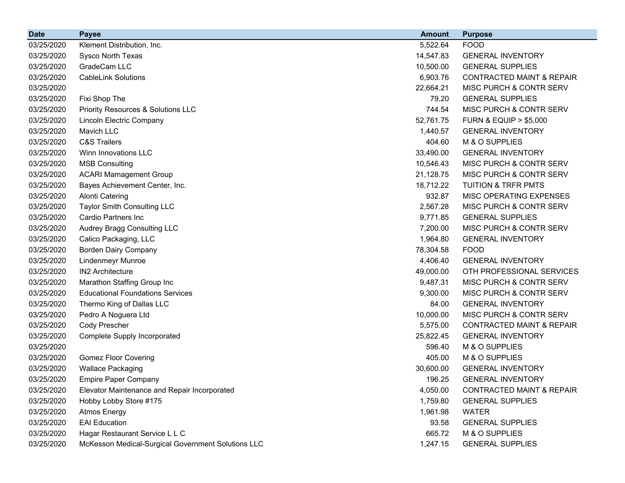| <b>Date</b> | <b>Payee</b>                                       | <b>Amount</b> | <b>Purpose</b>                       |
|-------------|----------------------------------------------------|---------------|--------------------------------------|
| 03/25/2020  | Klement Distribution, Inc.                         | 5,522.64      | <b>FOOD</b>                          |
| 03/25/2020  | Sysco North Texas                                  | 14,547.83     | <b>GENERAL INVENTORY</b>             |
| 03/25/2020  | GradeCam LLC                                       | 10,500.00     | <b>GENERAL SUPPLIES</b>              |
| 03/25/2020  | <b>CableLink Solutions</b>                         | 6,903.76      | <b>CONTRACTED MAINT &amp; REPAIR</b> |
| 03/25/2020  |                                                    | 22,664.21     | MISC PURCH & CONTR SERV              |
| 03/25/2020  | Fixi Shop The                                      | 79.20         | <b>GENERAL SUPPLIES</b>              |
| 03/25/2020  | <b>Priority Resources &amp; Solutions LLC</b>      | 744.54        | MISC PURCH & CONTR SERV              |
| 03/25/2020  | Lincoln Electric Company                           | 52,761.75     | <b>FURN &amp; EQUIP &gt; \$5,000</b> |
| 03/25/2020  | Mavich LLC                                         | 1,440.57      | <b>GENERAL INVENTORY</b>             |
| 03/25/2020  | <b>C&amp;S Trailers</b>                            | 404.60        | M & O SUPPLIES                       |
| 03/25/2020  | Winn Innovations LLC                               | 33,490.00     | <b>GENERAL INVENTORY</b>             |
| 03/25/2020  | <b>MSB Consulting</b>                              | 10,546.43     | MISC PURCH & CONTR SERV              |
| 03/25/2020  | <b>ACARI Mamagement Group</b>                      | 21,128.75     | MISC PURCH & CONTR SERV              |
| 03/25/2020  | Bayes Achievement Center, Inc.                     | 18,712.22     | <b>TUITION &amp; TRFR PMTS</b>       |
| 03/25/2020  | <b>Alonti Catering</b>                             | 932.87        | MISC OPERATING EXPENSES              |
| 03/25/2020  | Taylor Smith Consulting LLC                        | 2,567.28      | MISC PURCH & CONTR SERV              |
| 03/25/2020  | Cardio Partners Inc                                | 9,771.85      | <b>GENERAL SUPPLIES</b>              |
| 03/25/2020  | Audrey Bragg Consulting LLC                        | 7,200.00      | MISC PURCH & CONTR SERV              |
| 03/25/2020  | Calico Packaging, LLC                              | 1,964.80      | <b>GENERAL INVENTORY</b>             |
| 03/25/2020  | <b>Borden Dairy Company</b>                        | 78,304.58     | <b>FOOD</b>                          |
| 03/25/2020  | <b>Lindenmeyr Munroe</b>                           | 4,406.40      | <b>GENERAL INVENTORY</b>             |
| 03/25/2020  | <b>IN2 Architecture</b>                            | 49,000.00     | OTH PROFESSIONAL SERVICES            |
| 03/25/2020  | Marathon Staffing Group Inc                        | 9,487.31      | MISC PURCH & CONTR SERV              |
| 03/25/2020  | <b>Educational Foundations Services</b>            | 9,300.00      | MISC PURCH & CONTR SERV              |
| 03/25/2020  | Thermo King of Dallas LLC                          | 84.00         | <b>GENERAL INVENTORY</b>             |
| 03/25/2020  | Pedro A Noguera Ltd                                | 10,000.00     | MISC PURCH & CONTR SERV              |
| 03/25/2020  | Cody Prescher                                      | 5,575.00      | <b>CONTRACTED MAINT &amp; REPAIR</b> |
| 03/25/2020  | Complete Supply Incorporated                       | 25,822.45     | <b>GENERAL INVENTORY</b>             |
| 03/25/2020  |                                                    | 596.40        | M & O SUPPLIES                       |
| 03/25/2020  | <b>Gomez Floor Covering</b>                        | 405.00        | M & O SUPPLIES                       |
| 03/25/2020  | <b>Wallace Packaging</b>                           | 30,600.00     | <b>GENERAL INVENTORY</b>             |
| 03/25/2020  | <b>Empire Paper Company</b>                        | 196.25        | <b>GENERAL INVENTORY</b>             |
| 03/25/2020  | Elevator Maintenance and Repair Incorporated       | 4,050.00      | <b>CONTRACTED MAINT &amp; REPAIR</b> |
| 03/25/2020  | Hobby Lobby Store #175                             | 1,759.80      | <b>GENERAL SUPPLIES</b>              |
| 03/25/2020  | <b>Atmos Energy</b>                                | 1,961.98      | <b>WATER</b>                         |
| 03/25/2020  | <b>EAI</b> Education                               | 93.58         | <b>GENERAL SUPPLIES</b>              |
| 03/25/2020  | Hagar Restaurant Service L L C                     | 665.72        | M & O SUPPLIES                       |
| 03/25/2020  | McKesson Medical-Surgical Government Solutions LLC | 1,247.15      | <b>GENERAL SUPPLIES</b>              |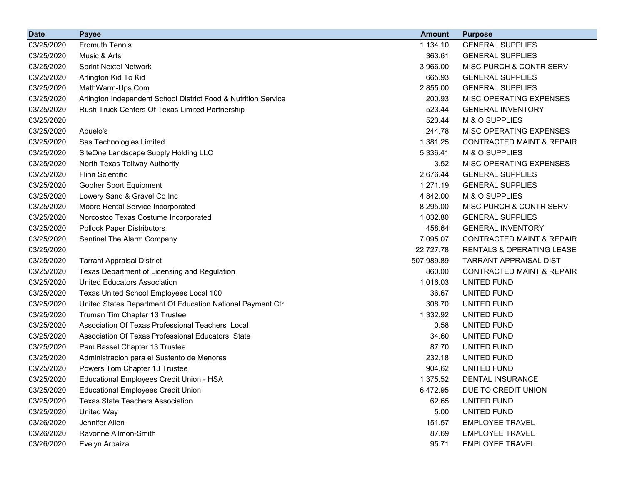| <b>Date</b> | <b>Payee</b>                                                   | <b>Amount</b> | <b>Purpose</b>                       |
|-------------|----------------------------------------------------------------|---------------|--------------------------------------|
| 03/25/2020  | <b>Fromuth Tennis</b>                                          | 1,134.10      | <b>GENERAL SUPPLIES</b>              |
| 03/25/2020  | Music & Arts                                                   | 363.61        | <b>GENERAL SUPPLIES</b>              |
| 03/25/2020  | <b>Sprint Nextel Network</b>                                   | 3,966.00      | MISC PURCH & CONTR SERV              |
| 03/25/2020  | Arlington Kid To Kid                                           | 665.93        | <b>GENERAL SUPPLIES</b>              |
| 03/25/2020  | MathWarm-Ups.Com                                               | 2,855.00      | <b>GENERAL SUPPLIES</b>              |
| 03/25/2020  | Arlington Independent School District Food & Nutrition Service | 200.93        | MISC OPERATING EXPENSES              |
| 03/25/2020  | Rush Truck Centers Of Texas Limited Partnership                | 523.44        | <b>GENERAL INVENTORY</b>             |
| 03/25/2020  |                                                                | 523.44        | M & O SUPPLIES                       |
| 03/25/2020  | Abuelo's                                                       | 244.78        | MISC OPERATING EXPENSES              |
| 03/25/2020  | Sas Technologies Limited                                       | 1,381.25      | <b>CONTRACTED MAINT &amp; REPAIR</b> |
| 03/25/2020  | SiteOne Landscape Supply Holding LLC                           | 5,336.41      | M & O SUPPLIES                       |
| 03/25/2020  | North Texas Tollway Authority                                  | 3.52          | MISC OPERATING EXPENSES              |
| 03/25/2020  | <b>Flinn Scientific</b>                                        | 2,676.44      | <b>GENERAL SUPPLIES</b>              |
| 03/25/2020  | Gopher Sport Equipment                                         | 1,271.19      | <b>GENERAL SUPPLIES</b>              |
| 03/25/2020  | Lowery Sand & Gravel Co Inc                                    | 4,842.00      | M & O SUPPLIES                       |
| 03/25/2020  | Moore Rental Service Incorporated                              | 8,295.00      | MISC PURCH & CONTR SERV              |
| 03/25/2020  | Norcostco Texas Costume Incorporated                           | 1,032.80      | <b>GENERAL SUPPLIES</b>              |
| 03/25/2020  | <b>Pollock Paper Distributors</b>                              | 458.64        | <b>GENERAL INVENTORY</b>             |
| 03/25/2020  | Sentinel The Alarm Company                                     | 7,095.07      | <b>CONTRACTED MAINT &amp; REPAIR</b> |
| 03/25/2020  |                                                                | 22,727.78     | <b>RENTALS &amp; OPERATING LEASE</b> |
| 03/25/2020  | <b>Tarrant Appraisal District</b>                              | 507,989.89    | <b>TARRANT APPRAISAL DIST</b>        |
| 03/25/2020  | Texas Department of Licensing and Regulation                   | 860.00        | <b>CONTRACTED MAINT &amp; REPAIR</b> |
| 03/25/2020  | <b>United Educators Association</b>                            | 1,016.03      | UNITED FUND                          |
| 03/25/2020  | Texas United School Employees Local 100                        | 36.67         | UNITED FUND                          |
| 03/25/2020  | United States Department Of Education National Payment Ctr     | 308.70        | UNITED FUND                          |
| 03/25/2020  | Truman Tim Chapter 13 Trustee                                  | 1,332.92      | UNITED FUND                          |
| 03/25/2020  | Association Of Texas Professional Teachers Local               | 0.58          | UNITED FUND                          |
| 03/25/2020  | Association Of Texas Professional Educators State              | 34.60         | UNITED FUND                          |
| 03/25/2020  | Pam Bassel Chapter 13 Trustee                                  | 87.70         | UNITED FUND                          |
| 03/25/2020  | Administracion para el Sustento de Menores                     | 232.18        | UNITED FUND                          |
| 03/25/2020  | Powers Tom Chapter 13 Trustee                                  | 904.62        | UNITED FUND                          |
| 03/25/2020  | Educational Employees Credit Union - HSA                       | 1,375.52      | DENTAL INSURANCE                     |
| 03/25/2020  | <b>Educational Employees Credit Union</b>                      | 6,472.95      | DUE TO CREDIT UNION                  |
| 03/25/2020  | <b>Texas State Teachers Association</b>                        | 62.65         | UNITED FUND                          |
| 03/25/2020  | United Way                                                     | 5.00          | UNITED FUND                          |
| 03/26/2020  | Jennifer Allen                                                 | 151.57        | <b>EMPLOYEE TRAVEL</b>               |
| 03/26/2020  | Ravonne Allmon-Smith                                           | 87.69         | <b>EMPLOYEE TRAVEL</b>               |
| 03/26/2020  | Evelyn Arbaiza                                                 | 95.71         | <b>EMPLOYEE TRAVEL</b>               |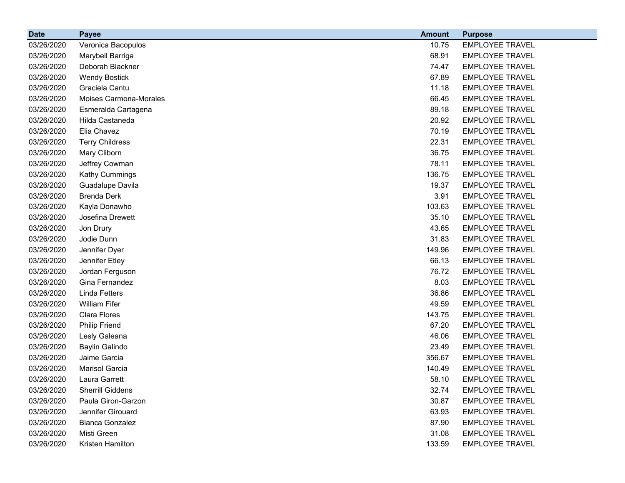| <b>Date</b> | <b>Payee</b>            | <b>Amount</b> | <b>Purpose</b>         |
|-------------|-------------------------|---------------|------------------------|
| 03/26/2020  | Veronica Bacopulos      | 10.75         | <b>EMPLOYEE TRAVEL</b> |
| 03/26/2020  | Marybell Barriga        | 68.91         | <b>EMPLOYEE TRAVEL</b> |
| 03/26/2020  | Deborah Blackner        | 74.47         | <b>EMPLOYEE TRAVEL</b> |
| 03/26/2020  | <b>Wendy Bostick</b>    | 67.89         | <b>EMPLOYEE TRAVEL</b> |
| 03/26/2020  | Graciela Cantu          | 11.18         | <b>EMPLOYEE TRAVEL</b> |
| 03/26/2020  | Moises Carmona-Morales  | 66.45         | <b>EMPLOYEE TRAVEL</b> |
| 03/26/2020  | Esmeralda Cartagena     | 89.18         | <b>EMPLOYEE TRAVEL</b> |
| 03/26/2020  | Hilda Castaneda         | 20.92         | <b>EMPLOYEE TRAVEL</b> |
| 03/26/2020  | Elia Chavez             | 70.19         | <b>EMPLOYEE TRAVEL</b> |
| 03/26/2020  | <b>Terry Childress</b>  | 22.31         | <b>EMPLOYEE TRAVEL</b> |
| 03/26/2020  | Mary Cliborn            | 36.75         | <b>EMPLOYEE TRAVEL</b> |
| 03/26/2020  | Jeffrey Cowman          | 78.11         | <b>EMPLOYEE TRAVEL</b> |
| 03/26/2020  | Kathy Cummings          | 136.75        | <b>EMPLOYEE TRAVEL</b> |
| 03/26/2020  | Guadalupe Davila        | 19.37         | <b>EMPLOYEE TRAVEL</b> |
| 03/26/2020  | <b>Brenda Derk</b>      | 3.91          | <b>EMPLOYEE TRAVEL</b> |
| 03/26/2020  | Kayla Donawho           | 103.63        | <b>EMPLOYEE TRAVEL</b> |
| 03/26/2020  | Josefina Drewett        | 35.10         | <b>EMPLOYEE TRAVEL</b> |
| 03/26/2020  | Jon Drury               | 43.65         | <b>EMPLOYEE TRAVEL</b> |
| 03/26/2020  | Jodie Dunn              | 31.83         | <b>EMPLOYEE TRAVEL</b> |
| 03/26/2020  | Jennifer Dyer           | 149.96        | <b>EMPLOYEE TRAVEL</b> |
| 03/26/2020  | Jennifer Etley          | 66.13         | <b>EMPLOYEE TRAVEL</b> |
| 03/26/2020  | Jordan Ferguson         | 76.72         | <b>EMPLOYEE TRAVEL</b> |
| 03/26/2020  | Gina Fernandez          | 8.03          | <b>EMPLOYEE TRAVEL</b> |
| 03/26/2020  | <b>Linda Fetters</b>    | 36.86         | <b>EMPLOYEE TRAVEL</b> |
| 03/26/2020  | <b>William Fifer</b>    | 49.59         | <b>EMPLOYEE TRAVEL</b> |
| 03/26/2020  | Clara Flores            | 143.75        | <b>EMPLOYEE TRAVEL</b> |
| 03/26/2020  | <b>Philip Friend</b>    | 67.20         | <b>EMPLOYEE TRAVEL</b> |
| 03/26/2020  | Lesly Galeana           | 46.06         | <b>EMPLOYEE TRAVEL</b> |
| 03/26/2020  | <b>Baylin Galindo</b>   | 23.49         | <b>EMPLOYEE TRAVEL</b> |
| 03/26/2020  | Jaime Garcia            | 356.67        | <b>EMPLOYEE TRAVEL</b> |
| 03/26/2020  | Marisol Garcia          | 140.49        | <b>EMPLOYEE TRAVEL</b> |
| 03/26/2020  | Laura Garrett           | 58.10         | <b>EMPLOYEE TRAVEL</b> |
| 03/26/2020  | <b>Sherrill Giddens</b> | 32.74         | <b>EMPLOYEE TRAVEL</b> |
| 03/26/2020  | Paula Giron-Garzon      | 30.87         | <b>EMPLOYEE TRAVEL</b> |
| 03/26/2020  | Jennifer Girouard       | 63.93         | <b>EMPLOYEE TRAVEL</b> |
| 03/26/2020  | <b>Blanca Gonzalez</b>  | 87.90         | <b>EMPLOYEE TRAVEL</b> |
| 03/26/2020  | Misti Green             | 31.08         | <b>EMPLOYEE TRAVEL</b> |
| 03/26/2020  | Kristen Hamilton        | 133.59        | <b>EMPLOYEE TRAVEL</b> |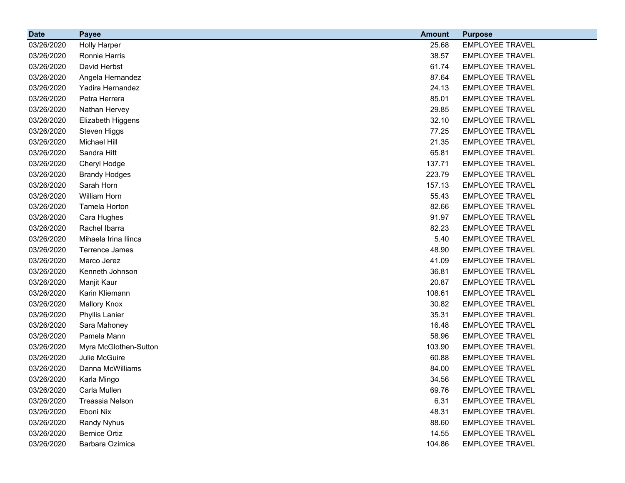| <b>Date</b> | <b>Payee</b>          | <b>Amount</b> | <b>Purpose</b>         |
|-------------|-----------------------|---------------|------------------------|
| 03/26/2020  | <b>Holly Harper</b>   | 25.68         | <b>EMPLOYEE TRAVEL</b> |
| 03/26/2020  | Ronnie Harris         | 38.57         | <b>EMPLOYEE TRAVEL</b> |
| 03/26/2020  | David Herbst          | 61.74         | <b>EMPLOYEE TRAVEL</b> |
| 03/26/2020  | Angela Hernandez      | 87.64         | <b>EMPLOYEE TRAVEL</b> |
| 03/26/2020  | Yadira Hernandez      | 24.13         | <b>EMPLOYEE TRAVEL</b> |
| 03/26/2020  | Petra Herrera         | 85.01         | <b>EMPLOYEE TRAVEL</b> |
| 03/26/2020  | Nathan Hervey         | 29.85         | <b>EMPLOYEE TRAVEL</b> |
| 03/26/2020  | Elizabeth Higgens     | 32.10         | <b>EMPLOYEE TRAVEL</b> |
| 03/26/2020  | Steven Higgs          | 77.25         | <b>EMPLOYEE TRAVEL</b> |
| 03/26/2020  | <b>Michael Hill</b>   | 21.35         | <b>EMPLOYEE TRAVEL</b> |
| 03/26/2020  | Sandra Hitt           | 65.81         | <b>EMPLOYEE TRAVEL</b> |
| 03/26/2020  | Cheryl Hodge          | 137.71        | <b>EMPLOYEE TRAVEL</b> |
| 03/26/2020  | <b>Brandy Hodges</b>  | 223.79        | <b>EMPLOYEE TRAVEL</b> |
| 03/26/2020  | Sarah Horn            | 157.13        | <b>EMPLOYEE TRAVEL</b> |
| 03/26/2020  | William Horn          | 55.43         | <b>EMPLOYEE TRAVEL</b> |
| 03/26/2020  | Tamela Horton         | 82.66         | <b>EMPLOYEE TRAVEL</b> |
| 03/26/2020  | Cara Hughes           | 91.97         | <b>EMPLOYEE TRAVEL</b> |
| 03/26/2020  | Rachel Ibarra         | 82.23         | <b>EMPLOYEE TRAVEL</b> |
| 03/26/2020  | Mihaela Irina Ilinca  | 5.40          | <b>EMPLOYEE TRAVEL</b> |
| 03/26/2020  | <b>Terrence James</b> | 48.90         | <b>EMPLOYEE TRAVEL</b> |
| 03/26/2020  | Marco Jerez           | 41.09         | <b>EMPLOYEE TRAVEL</b> |
| 03/26/2020  | Kenneth Johnson       | 36.81         | <b>EMPLOYEE TRAVEL</b> |
| 03/26/2020  | Manjit Kaur           | 20.87         | <b>EMPLOYEE TRAVEL</b> |
| 03/26/2020  | Karin Kliemann        | 108.61        | <b>EMPLOYEE TRAVEL</b> |
| 03/26/2020  | <b>Mallory Knox</b>   | 30.82         | <b>EMPLOYEE TRAVEL</b> |
| 03/26/2020  | Phyllis Lanier        | 35.31         | <b>EMPLOYEE TRAVEL</b> |
| 03/26/2020  | Sara Mahoney          | 16.48         | <b>EMPLOYEE TRAVEL</b> |
| 03/26/2020  | Pamela Mann           | 58.96         | <b>EMPLOYEE TRAVEL</b> |
| 03/26/2020  | Myra McGlothen-Sutton | 103.90        | <b>EMPLOYEE TRAVEL</b> |
| 03/26/2020  | Julie McGuire         | 60.88         | <b>EMPLOYEE TRAVEL</b> |
| 03/26/2020  | Danna McWilliams      | 84.00         | <b>EMPLOYEE TRAVEL</b> |
| 03/26/2020  | Karla Mingo           | 34.56         | <b>EMPLOYEE TRAVEL</b> |
| 03/26/2020  | Carla Mullen          | 69.76         | <b>EMPLOYEE TRAVEL</b> |
| 03/26/2020  | Treassia Nelson       | 6.31          | <b>EMPLOYEE TRAVEL</b> |
| 03/26/2020  | Eboni Nix             | 48.31         | <b>EMPLOYEE TRAVEL</b> |
| 03/26/2020  | Randy Nyhus           | 88.60         | <b>EMPLOYEE TRAVEL</b> |
| 03/26/2020  | <b>Bernice Ortiz</b>  | 14.55         | <b>EMPLOYEE TRAVEL</b> |
| 03/26/2020  | Barbara Ozimica       | 104.86        | <b>EMPLOYEE TRAVEL</b> |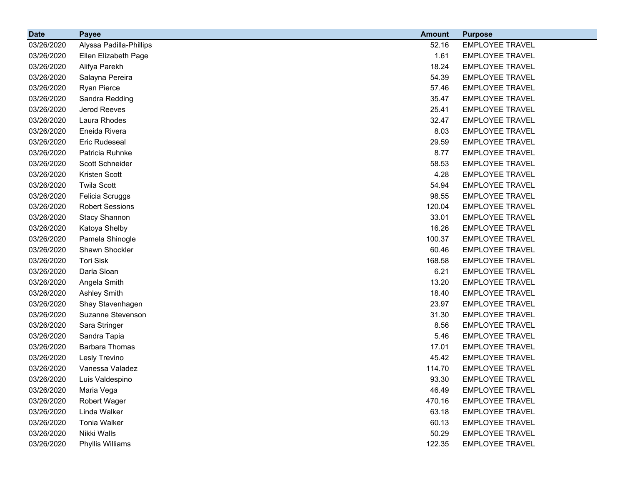| <b>Date</b> | <b>Payee</b>            | <b>Amount</b> | <b>Purpose</b>         |
|-------------|-------------------------|---------------|------------------------|
| 03/26/2020  | Alyssa Padilla-Phillips | 52.16         | <b>EMPLOYEE TRAVEL</b> |
| 03/26/2020  | Ellen Elizabeth Page    | 1.61          | EMPLOYEE TRAVEL        |
| 03/26/2020  | Alifya Parekh           | 18.24         | <b>EMPLOYEE TRAVEL</b> |
| 03/26/2020  | Salayna Pereira         | 54.39         | <b>EMPLOYEE TRAVEL</b> |
| 03/26/2020  | Ryan Pierce             | 57.46         | <b>EMPLOYEE TRAVEL</b> |
| 03/26/2020  | Sandra Redding          | 35.47         | <b>EMPLOYEE TRAVEL</b> |
| 03/26/2020  | Jerod Reeves            | 25.41         | <b>EMPLOYEE TRAVEL</b> |
| 03/26/2020  | Laura Rhodes            | 32.47         | <b>EMPLOYEE TRAVEL</b> |
| 03/26/2020  | Eneida Rivera           | 8.03          | <b>EMPLOYEE TRAVEL</b> |
| 03/26/2020  | <b>Eric Rudeseal</b>    | 29.59         | <b>EMPLOYEE TRAVEL</b> |
| 03/26/2020  | Patricia Ruhnke         | 8.77          | <b>EMPLOYEE TRAVEL</b> |
| 03/26/2020  | Scott Schneider         | 58.53         | <b>EMPLOYEE TRAVEL</b> |
| 03/26/2020  | Kristen Scott           | 4.28          | <b>EMPLOYEE TRAVEL</b> |
| 03/26/2020  | <b>Twila Scott</b>      | 54.94         | <b>EMPLOYEE TRAVEL</b> |
| 03/26/2020  | Felicia Scruggs         | 98.55         | <b>EMPLOYEE TRAVEL</b> |
| 03/26/2020  | <b>Robert Sessions</b>  | 120.04        | <b>EMPLOYEE TRAVEL</b> |
| 03/26/2020  | <b>Stacy Shannon</b>    | 33.01         | <b>EMPLOYEE TRAVEL</b> |
| 03/26/2020  | Katoya Shelby           | 16.26         | <b>EMPLOYEE TRAVEL</b> |
| 03/26/2020  | Pamela Shinogle         | 100.37        | <b>EMPLOYEE TRAVEL</b> |
| 03/26/2020  | Shawn Shockler          | 60.46         | EMPLOYEE TRAVEL        |
| 03/26/2020  | <b>Tori Sisk</b>        | 168.58        | <b>EMPLOYEE TRAVEL</b> |
| 03/26/2020  | Darla Sloan             | 6.21          | <b>EMPLOYEE TRAVEL</b> |
| 03/26/2020  | Angela Smith            | 13.20         | <b>EMPLOYEE TRAVEL</b> |
| 03/26/2020  | <b>Ashley Smith</b>     | 18.40         | <b>EMPLOYEE TRAVEL</b> |
| 03/26/2020  | Shay Stavenhagen        | 23.97         | <b>EMPLOYEE TRAVEL</b> |
| 03/26/2020  | Suzanne Stevenson       | 31.30         | <b>EMPLOYEE TRAVEL</b> |
| 03/26/2020  | Sara Stringer           | 8.56          | <b>EMPLOYEE TRAVEL</b> |
| 03/26/2020  | Sandra Tapia            | 5.46          | <b>EMPLOYEE TRAVEL</b> |
| 03/26/2020  | <b>Barbara Thomas</b>   | 17.01         | <b>EMPLOYEE TRAVEL</b> |
| 03/26/2020  | Lesly Trevino           | 45.42         | <b>EMPLOYEE TRAVEL</b> |
| 03/26/2020  | Vanessa Valadez         | 114.70        | <b>EMPLOYEE TRAVEL</b> |
| 03/26/2020  | Luis Valdespino         | 93.30         | <b>EMPLOYEE TRAVEL</b> |
| 03/26/2020  | Maria Vega              | 46.49         | <b>EMPLOYEE TRAVEL</b> |
| 03/26/2020  | Robert Wager            | 470.16        | <b>EMPLOYEE TRAVEL</b> |
| 03/26/2020  | Linda Walker            | 63.18         | <b>EMPLOYEE TRAVEL</b> |
| 03/26/2020  | <b>Tonia Walker</b>     | 60.13         | <b>EMPLOYEE TRAVEL</b> |
| 03/26/2020  | Nikki Walls             | 50.29         | <b>EMPLOYEE TRAVEL</b> |
| 03/26/2020  | Phyllis Williams        | 122.35        | <b>EMPLOYEE TRAVEL</b> |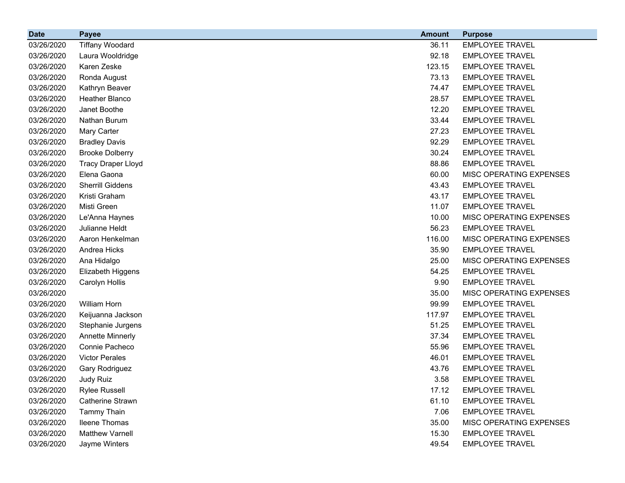| <b>Date</b> | <b>Payee</b>              | <b>Amount</b> | <b>Purpose</b>          |
|-------------|---------------------------|---------------|-------------------------|
| 03/26/2020  | <b>Tiffany Woodard</b>    | 36.11         | <b>EMPLOYEE TRAVEL</b>  |
| 03/26/2020  | Laura Wooldridge          | 92.18         | <b>EMPLOYEE TRAVEL</b>  |
| 03/26/2020  | Karen Zeske               | 123.15        | <b>EMPLOYEE TRAVEL</b>  |
| 03/26/2020  | Ronda August              | 73.13         | <b>EMPLOYEE TRAVEL</b>  |
| 03/26/2020  | Kathryn Beaver            | 74.47         | <b>EMPLOYEE TRAVEL</b>  |
| 03/26/2020  | Heather Blanco            | 28.57         | <b>EMPLOYEE TRAVEL</b>  |
| 03/26/2020  | Janet Boothe              | 12.20         | <b>EMPLOYEE TRAVEL</b>  |
| 03/26/2020  | Nathan Burum              | 33.44         | <b>EMPLOYEE TRAVEL</b>  |
| 03/26/2020  | Mary Carter               | 27.23         | <b>EMPLOYEE TRAVEL</b>  |
| 03/26/2020  | <b>Bradley Davis</b>      | 92.29         | <b>EMPLOYEE TRAVEL</b>  |
| 03/26/2020  | <b>Brooke Dolberry</b>    | 30.24         | <b>EMPLOYEE TRAVEL</b>  |
| 03/26/2020  | <b>Tracy Draper Lloyd</b> | 88.86         | <b>EMPLOYEE TRAVEL</b>  |
| 03/26/2020  | Elena Gaona               | 60.00         | MISC OPERATING EXPENSES |
| 03/26/2020  | <b>Sherrill Giddens</b>   | 43.43         | <b>EMPLOYEE TRAVEL</b>  |
| 03/26/2020  | Kristi Graham             | 43.17         | <b>EMPLOYEE TRAVEL</b>  |
| 03/26/2020  | Misti Green               | 11.07         | <b>EMPLOYEE TRAVEL</b>  |
| 03/26/2020  | Le'Anna Haynes            | 10.00         | MISC OPERATING EXPENSES |
| 03/26/2020  | Julianne Heldt            | 56.23         | <b>EMPLOYEE TRAVEL</b>  |
| 03/26/2020  | Aaron Henkelman           | 116.00        | MISC OPERATING EXPENSES |
| 03/26/2020  | Andrea Hicks              | 35.90         | <b>EMPLOYEE TRAVEL</b>  |
| 03/26/2020  | Ana Hidalgo               | 25.00         | MISC OPERATING EXPENSES |
| 03/26/2020  | Elizabeth Higgens         | 54.25         | <b>EMPLOYEE TRAVEL</b>  |
| 03/26/2020  | Carolyn Hollis            | 9.90          | <b>EMPLOYEE TRAVEL</b>  |
| 03/26/2020  |                           | 35.00         | MISC OPERATING EXPENSES |
| 03/26/2020  | <b>William Horn</b>       | 99.99         | <b>EMPLOYEE TRAVEL</b>  |
| 03/26/2020  | Keijuanna Jackson         | 117.97        | <b>EMPLOYEE TRAVEL</b>  |
| 03/26/2020  | Stephanie Jurgens         | 51.25         | <b>EMPLOYEE TRAVEL</b>  |
| 03/26/2020  | <b>Annette Minnerly</b>   | 37.34         | <b>EMPLOYEE TRAVEL</b>  |
| 03/26/2020  | Connie Pacheco            | 55.96         | <b>EMPLOYEE TRAVEL</b>  |
| 03/26/2020  | <b>Victor Perales</b>     | 46.01         | <b>EMPLOYEE TRAVEL</b>  |
| 03/26/2020  | Gary Rodriguez            | 43.76         | <b>EMPLOYEE TRAVEL</b>  |
| 03/26/2020  | Judy Ruiz                 | 3.58          | <b>EMPLOYEE TRAVEL</b>  |
| 03/26/2020  | <b>Rylee Russell</b>      | 17.12         | <b>EMPLOYEE TRAVEL</b>  |
| 03/26/2020  | Catherine Strawn          | 61.10         | <b>EMPLOYEE TRAVEL</b>  |
| 03/26/2020  | <b>Tammy Thain</b>        | 7.06          | <b>EMPLOYEE TRAVEL</b>  |
| 03/26/2020  | <b>Ileene Thomas</b>      | 35.00         | MISC OPERATING EXPENSES |
| 03/26/2020  | <b>Matthew Varnell</b>    | 15.30         | <b>EMPLOYEE TRAVEL</b>  |
| 03/26/2020  | Jayme Winters             | 49.54         | <b>EMPLOYEE TRAVEL</b>  |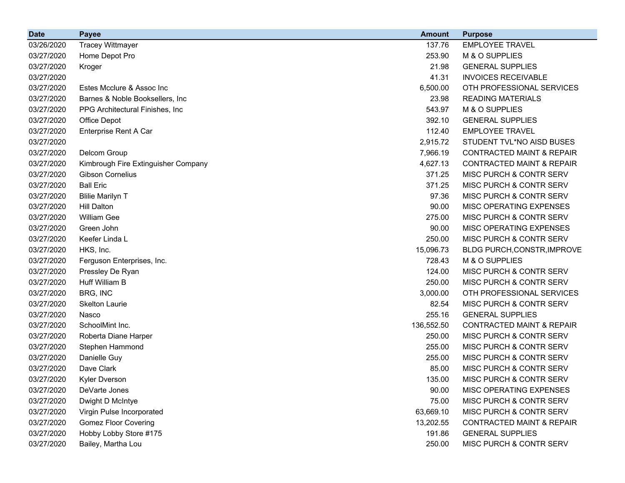| <b>Date</b> | <b>Payee</b>                        | <b>Amount</b> | <b>Purpose</b>                       |
|-------------|-------------------------------------|---------------|--------------------------------------|
| 03/26/2020  | <b>Tracey Wittmayer</b>             | 137.76        | <b>EMPLOYEE TRAVEL</b>               |
| 03/27/2020  | Home Depot Pro                      | 253.90        | M & O SUPPLIES                       |
| 03/27/2020  | Kroger                              | 21.98         | <b>GENERAL SUPPLIES</b>              |
| 03/27/2020  |                                     | 41.31         | <b>INVOICES RECEIVABLE</b>           |
| 03/27/2020  | Estes Mcclure & Assoc Inc           | 6,500.00      | OTH PROFESSIONAL SERVICES            |
| 03/27/2020  | Barnes & Noble Booksellers, Inc.    | 23.98         | <b>READING MATERIALS</b>             |
| 03/27/2020  | PPG Architectural Finishes, Inc.    | 543.97        | M & O SUPPLIES                       |
| 03/27/2020  | Office Depot                        | 392.10        | <b>GENERAL SUPPLIES</b>              |
| 03/27/2020  | Enterprise Rent A Car               | 112.40        | <b>EMPLOYEE TRAVEL</b>               |
| 03/27/2020  |                                     | 2,915.72      | STUDENT TVL*NO AISD BUSES            |
| 03/27/2020  | Delcom Group                        | 7,966.19      | <b>CONTRACTED MAINT &amp; REPAIR</b> |
| 03/27/2020  | Kimbrough Fire Extinguisher Company | 4,627.13      | <b>CONTRACTED MAINT &amp; REPAIR</b> |
| 03/27/2020  | <b>Gibson Cornelius</b>             | 371.25        | MISC PURCH & CONTR SERV              |
| 03/27/2020  | <b>Ball Eric</b>                    | 371.25        | MISC PURCH & CONTR SERV              |
| 03/27/2020  | <b>Blilie Marilyn T</b>             | 97.36         | MISC PURCH & CONTR SERV              |
| 03/27/2020  | <b>Hill Dalton</b>                  | 90.00         | MISC OPERATING EXPENSES              |
| 03/27/2020  | <b>William Gee</b>                  | 275.00        | MISC PURCH & CONTR SERV              |
| 03/27/2020  | Green John                          | 90.00         | MISC OPERATING EXPENSES              |
| 03/27/2020  | Keefer Linda L                      | 250.00        | MISC PURCH & CONTR SERV              |
| 03/27/2020  | HKS, Inc.                           | 15,096.73     | BLDG PURCH, CONSTR, IMPROVE          |
| 03/27/2020  | Ferguson Enterprises, Inc.          | 728.43        | M & O SUPPLIES                       |
| 03/27/2020  | Pressley De Ryan                    | 124.00        | MISC PURCH & CONTR SERV              |
| 03/27/2020  | Huff William B                      | 250.00        | MISC PURCH & CONTR SERV              |
| 03/27/2020  | BRG, INC                            | 3,000.00      | OTH PROFESSIONAL SERVICES            |
| 03/27/2020  | <b>Skelton Laurie</b>               | 82.54         | MISC PURCH & CONTR SERV              |
| 03/27/2020  | Nasco                               | 255.16        | <b>GENERAL SUPPLIES</b>              |
| 03/27/2020  | SchoolMint Inc.                     | 136,552.50    | <b>CONTRACTED MAINT &amp; REPAIR</b> |
| 03/27/2020  | Roberta Diane Harper                | 250.00        | MISC PURCH & CONTR SERV              |
| 03/27/2020  | Stephen Hammond                     | 255.00        | MISC PURCH & CONTR SERV              |
| 03/27/2020  | Danielle Guy                        | 255.00        | MISC PURCH & CONTR SERV              |
| 03/27/2020  | Dave Clark                          | 85.00         | MISC PURCH & CONTR SERV              |
| 03/27/2020  | Kyler Dverson                       | 135.00        | MISC PURCH & CONTR SERV              |
| 03/27/2020  | DeVarte Jones                       | 90.00         | MISC OPERATING EXPENSES              |
| 03/27/2020  | Dwight D McIntye                    | 75.00         | MISC PURCH & CONTR SERV              |
| 03/27/2020  | Virgin Pulse Incorporated           | 63,669.10     | MISC PURCH & CONTR SERV              |
| 03/27/2020  | <b>Gomez Floor Covering</b>         | 13,202.55     | <b>CONTRACTED MAINT &amp; REPAIR</b> |
| 03/27/2020  | Hobby Lobby Store #175              | 191.86        | <b>GENERAL SUPPLIES</b>              |
| 03/27/2020  | Bailey, Martha Lou                  | 250.00        | MISC PURCH & CONTR SERV              |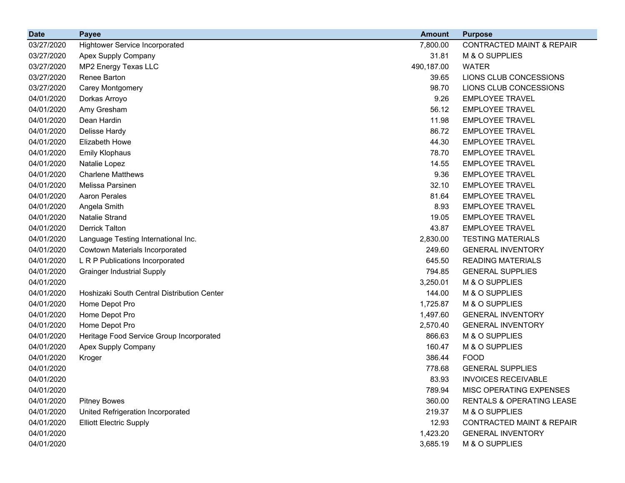| <b>Date</b> | <b>Payee</b>                                | <b>Amount</b> | <b>Purpose</b>                       |
|-------------|---------------------------------------------|---------------|--------------------------------------|
| 03/27/2020  | <b>Hightower Service Incorporated</b>       | 7,800.00      | CONTRACTED MAINT & REPAIR            |
| 03/27/2020  | Apex Supply Company                         | 31.81         | M & O SUPPLIES                       |
| 03/27/2020  | MP2 Energy Texas LLC                        | 490,187.00    | <b>WATER</b>                         |
| 03/27/2020  | Renee Barton                                | 39.65         | LIONS CLUB CONCESSIONS               |
| 03/27/2020  | Carey Montgomery                            | 98.70         | LIONS CLUB CONCESSIONS               |
| 04/01/2020  | Dorkas Arroyo                               | 9.26          | <b>EMPLOYEE TRAVEL</b>               |
| 04/01/2020  | Amy Gresham                                 | 56.12         | <b>EMPLOYEE TRAVEL</b>               |
| 04/01/2020  | Dean Hardin                                 | 11.98         | <b>EMPLOYEE TRAVEL</b>               |
| 04/01/2020  | Delisse Hardy                               | 86.72         | <b>EMPLOYEE TRAVEL</b>               |
| 04/01/2020  | Elizabeth Howe                              | 44.30         | <b>EMPLOYEE TRAVEL</b>               |
| 04/01/2020  | <b>Emily Klophaus</b>                       | 78.70         | <b>EMPLOYEE TRAVEL</b>               |
| 04/01/2020  | Natalie Lopez                               | 14.55         | <b>EMPLOYEE TRAVEL</b>               |
| 04/01/2020  | <b>Charlene Matthews</b>                    | 9.36          | <b>EMPLOYEE TRAVEL</b>               |
| 04/01/2020  | Melissa Parsinen                            | 32.10         | <b>EMPLOYEE TRAVEL</b>               |
| 04/01/2020  | <b>Aaron Perales</b>                        | 81.64         | <b>EMPLOYEE TRAVEL</b>               |
| 04/01/2020  | Angela Smith                                | 8.93          | <b>EMPLOYEE TRAVEL</b>               |
| 04/01/2020  | Natalie Strand                              | 19.05         | <b>EMPLOYEE TRAVEL</b>               |
| 04/01/2020  | <b>Derrick Talton</b>                       | 43.87         | <b>EMPLOYEE TRAVEL</b>               |
| 04/01/2020  | Language Testing International Inc.         | 2,830.00      | <b>TESTING MATERIALS</b>             |
| 04/01/2020  | Cowtown Materials Incorporated              | 249.60        | <b>GENERAL INVENTORY</b>             |
| 04/01/2020  | L R P Publications Incorporated             | 645.50        | <b>READING MATERIALS</b>             |
| 04/01/2020  | <b>Grainger Industrial Supply</b>           | 794.85        | <b>GENERAL SUPPLIES</b>              |
| 04/01/2020  |                                             | 3,250.01      | M & O SUPPLIES                       |
| 04/01/2020  | Hoshizaki South Central Distribution Center | 144.00        | M & O SUPPLIES                       |
| 04/01/2020  | Home Depot Pro                              | 1,725.87      | M & O SUPPLIES                       |
| 04/01/2020  | Home Depot Pro                              | 1,497.60      | <b>GENERAL INVENTORY</b>             |
| 04/01/2020  | Home Depot Pro                              | 2,570.40      | <b>GENERAL INVENTORY</b>             |
| 04/01/2020  | Heritage Food Service Group Incorporated    | 866.63        | M & O SUPPLIES                       |
| 04/01/2020  | Apex Supply Company                         | 160.47        | M & O SUPPLIES                       |
| 04/01/2020  | Kroger                                      | 386.44        | <b>FOOD</b>                          |
| 04/01/2020  |                                             | 778.68        | <b>GENERAL SUPPLIES</b>              |
| 04/01/2020  |                                             | 83.93         | <b>INVOICES RECEIVABLE</b>           |
| 04/01/2020  |                                             | 789.94        | MISC OPERATING EXPENSES              |
| 04/01/2020  | <b>Pitney Bowes</b>                         | 360.00        | <b>RENTALS &amp; OPERATING LEASE</b> |
| 04/01/2020  | United Refrigeration Incorporated           | 219.37        | M & O SUPPLIES                       |
| 04/01/2020  | <b>Elliott Electric Supply</b>              | 12.93         | <b>CONTRACTED MAINT &amp; REPAIR</b> |
| 04/01/2020  |                                             | 1,423.20      | <b>GENERAL INVENTORY</b>             |
| 04/01/2020  |                                             | 3,685.19      | M & O SUPPLIES                       |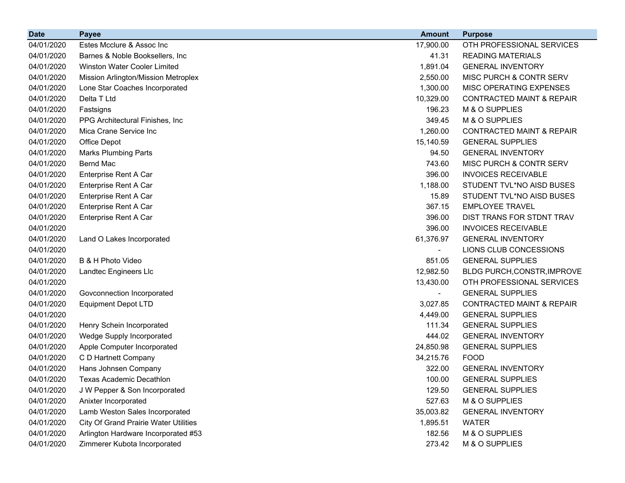| <b>Date</b> | <b>Payee</b>                          | <b>Amount</b>  | <b>Purpose</b>                       |
|-------------|---------------------------------------|----------------|--------------------------------------|
| 04/01/2020  | Estes Mcclure & Assoc Inc             | 17,900.00      | OTH PROFESSIONAL SERVICES            |
| 04/01/2020  | Barnes & Noble Booksellers, Inc.      | 41.31          | <b>READING MATERIALS</b>             |
| 04/01/2020  | <b>Winston Water Cooler Limited</b>   | 1,891.04       | <b>GENERAL INVENTORY</b>             |
| 04/01/2020  | Mission Arlington/Mission Metroplex   | 2,550.00       | MISC PURCH & CONTR SERV              |
| 04/01/2020  | Lone Star Coaches Incorporated        | 1,300.00       | MISC OPERATING EXPENSES              |
| 04/01/2020  | Delta T Ltd                           | 10,329.00      | <b>CONTRACTED MAINT &amp; REPAIR</b> |
| 04/01/2020  | Fastsigns                             | 196.23         | M & O SUPPLIES                       |
| 04/01/2020  | PPG Architectural Finishes, Inc.      | 349.45         | M & O SUPPLIES                       |
| 04/01/2020  | Mica Crane Service Inc                | 1,260.00       | <b>CONTRACTED MAINT &amp; REPAIR</b> |
| 04/01/2020  | <b>Office Depot</b>                   | 15,140.59      | <b>GENERAL SUPPLIES</b>              |
| 04/01/2020  | <b>Marks Plumbing Parts</b>           | 94.50          | <b>GENERAL INVENTORY</b>             |
| 04/01/2020  | <b>Bernd Mac</b>                      | 743.60         | MISC PURCH & CONTR SERV              |
| 04/01/2020  | Enterprise Rent A Car                 | 396.00         | <b>INVOICES RECEIVABLE</b>           |
| 04/01/2020  | Enterprise Rent A Car                 | 1,188.00       | STUDENT TVL*NO AISD BUSES            |
| 04/01/2020  | Enterprise Rent A Car                 | 15.89          | STUDENT TVL*NO AISD BUSES            |
| 04/01/2020  | Enterprise Rent A Car                 | 367.15         | <b>EMPLOYEE TRAVEL</b>               |
| 04/01/2020  | Enterprise Rent A Car                 | 396.00         | DIST TRANS FOR STDNT TRAV            |
| 04/01/2020  |                                       | 396.00         | <b>INVOICES RECEIVABLE</b>           |
| 04/01/2020  | Land O Lakes Incorporated             | 61,376.97      | <b>GENERAL INVENTORY</b>             |
| 04/01/2020  |                                       |                | LIONS CLUB CONCESSIONS               |
| 04/01/2020  | B & H Photo Video                     | 851.05         | <b>GENERAL SUPPLIES</b>              |
| 04/01/2020  | Landtec Engineers Llc                 | 12,982.50      | BLDG PURCH, CONSTR, IMPROVE          |
| 04/01/2020  |                                       | 13,430.00      | OTH PROFESSIONAL SERVICES            |
| 04/01/2020  | Govconnection Incorporated            | $\blacksquare$ | <b>GENERAL SUPPLIES</b>              |
| 04/01/2020  | <b>Equipment Depot LTD</b>            | 3,027.85       | <b>CONTRACTED MAINT &amp; REPAIR</b> |
| 04/01/2020  |                                       | 4,449.00       | <b>GENERAL SUPPLIES</b>              |
| 04/01/2020  | Henry Schein Incorporated             | 111.34         | <b>GENERAL SUPPLIES</b>              |
| 04/01/2020  | Wedge Supply Incorporated             | 444.02         | <b>GENERAL INVENTORY</b>             |
| 04/01/2020  | Apple Computer Incorporated           | 24,850.98      | <b>GENERAL SUPPLIES</b>              |
| 04/01/2020  | C D Hartnett Company                  | 34,215.76      | <b>FOOD</b>                          |
| 04/01/2020  | Hans Johnsen Company                  | 322.00         | <b>GENERAL INVENTORY</b>             |
| 04/01/2020  | Texas Academic Decathlon              | 100.00         | <b>GENERAL SUPPLIES</b>              |
| 04/01/2020  | J W Pepper & Son Incorporated         | 129.50         | <b>GENERAL SUPPLIES</b>              |
| 04/01/2020  | Anixter Incorporated                  | 527.63         | M & O SUPPLIES                       |
| 04/01/2020  | Lamb Weston Sales Incorporated        | 35,003.82      | <b>GENERAL INVENTORY</b>             |
| 04/01/2020  | City Of Grand Prairie Water Utilities | 1,895.51       | <b>WATER</b>                         |
| 04/01/2020  | Arlington Hardware Incorporated #53   | 182.56         | M & O SUPPLIES                       |
| 04/01/2020  | Zimmerer Kubota Incorporated          | 273.42         | M & O SUPPLIES                       |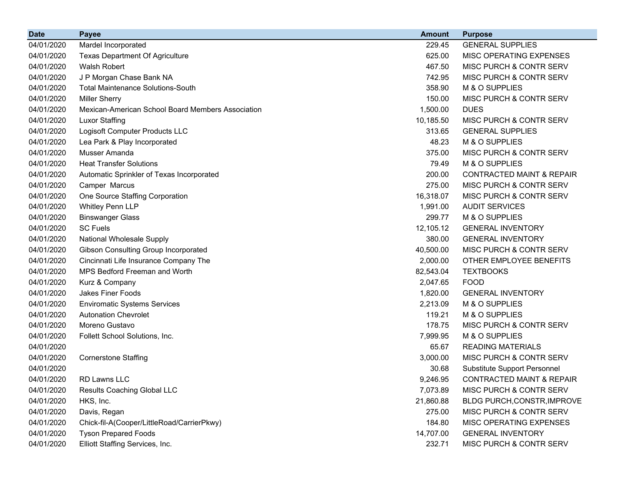| <b>Date</b> | <b>Payee</b>                                      | <b>Amount</b> | <b>Purpose</b>                       |
|-------------|---------------------------------------------------|---------------|--------------------------------------|
| 04/01/2020  | Mardel Incorporated                               | 229.45        | <b>GENERAL SUPPLIES</b>              |
| 04/01/2020  | <b>Texas Department Of Agriculture</b>            | 625.00        | MISC OPERATING EXPENSES              |
| 04/01/2020  | <b>Walsh Robert</b>                               | 467.50        | MISC PURCH & CONTR SERV              |
| 04/01/2020  | J P Morgan Chase Bank NA                          | 742.95        | MISC PURCH & CONTR SERV              |
| 04/01/2020  | <b>Total Maintenance Solutions-South</b>          | 358.90        | M & O SUPPLIES                       |
| 04/01/2020  | <b>Miller Sherry</b>                              | 150.00        | MISC PURCH & CONTR SERV              |
| 04/01/2020  | Mexican-American School Board Members Association | 1,500.00      | <b>DUES</b>                          |
| 04/01/2020  | <b>Luxor Staffing</b>                             | 10,185.50     | MISC PURCH & CONTR SERV              |
| 04/01/2020  | Logisoft Computer Products LLC                    | 313.65        | <b>GENERAL SUPPLIES</b>              |
| 04/01/2020  | Lea Park & Play Incorporated                      | 48.23         | M & O SUPPLIES                       |
| 04/01/2020  | Musser Amanda                                     | 375.00        | MISC PURCH & CONTR SERV              |
| 04/01/2020  | <b>Heat Transfer Solutions</b>                    | 79.49         | M & O SUPPLIES                       |
| 04/01/2020  | Automatic Sprinkler of Texas Incorporated         | 200.00        | <b>CONTRACTED MAINT &amp; REPAIR</b> |
| 04/01/2020  | Camper Marcus                                     | 275.00        | MISC PURCH & CONTR SERV              |
| 04/01/2020  | One Source Staffing Corporation                   | 16,318.07     | MISC PURCH & CONTR SERV              |
| 04/01/2020  | Whitley Penn LLP                                  | 1,991.00      | <b>AUDIT SERVICES</b>                |
| 04/01/2020  | <b>Binswanger Glass</b>                           | 299.77        | M & O SUPPLIES                       |
| 04/01/2020  | <b>SC Fuels</b>                                   | 12,105.12     | <b>GENERAL INVENTORY</b>             |
| 04/01/2020  | National Wholesale Supply                         | 380.00        | <b>GENERAL INVENTORY</b>             |
| 04/01/2020  | Gibson Consulting Group Incorporated              | 40,500.00     | MISC PURCH & CONTR SERV              |
| 04/01/2020  | Cincinnati Life Insurance Company The             | 2,000.00      | OTHER EMPLOYEE BENEFITS              |
| 04/01/2020  | MPS Bedford Freeman and Worth                     | 82,543.04     | <b>TEXTBOOKS</b>                     |
| 04/01/2020  | Kurz & Company                                    | 2,047.65      | <b>FOOD</b>                          |
| 04/01/2020  | <b>Jakes Finer Foods</b>                          | 1,820.00      | <b>GENERAL INVENTORY</b>             |
| 04/01/2020  | <b>Enviromatic Systems Services</b>               | 2,213.09      | M & O SUPPLIES                       |
| 04/01/2020  | <b>Autonation Chevrolet</b>                       | 119.21        | M & O SUPPLIES                       |
| 04/01/2020  | Moreno Gustavo                                    | 178.75        | MISC PURCH & CONTR SERV              |
| 04/01/2020  | Follett School Solutions, Inc.                    | 7,999.95      | M & O SUPPLIES                       |
| 04/01/2020  |                                                   | 65.67         | <b>READING MATERIALS</b>             |
| 04/01/2020  | <b>Cornerstone Staffing</b>                       | 3,000.00      | MISC PURCH & CONTR SERV              |
| 04/01/2020  |                                                   | 30.68         | Substitute Support Personnel         |
| 04/01/2020  | RD Lawns LLC                                      | 9,246.95      | CONTRACTED MAINT & REPAIR            |
| 04/01/2020  | Results Coaching Global LLC                       | 7,073.89      | MISC PURCH & CONTR SERV              |
| 04/01/2020  | HKS, Inc.                                         | 21,860.88     | BLDG PURCH, CONSTR, IMPROVE          |
| 04/01/2020  | Davis, Regan                                      | 275.00        | MISC PURCH & CONTR SERV              |
| 04/01/2020  | Chick-fil-A(Cooper/LittleRoad/CarrierPkwy)        | 184.80        | MISC OPERATING EXPENSES              |
| 04/01/2020  | <b>Tyson Prepared Foods</b>                       | 14,707.00     | <b>GENERAL INVENTORY</b>             |
| 04/01/2020  | Elliott Staffing Services, Inc.                   | 232.71        | MISC PURCH & CONTR SERV              |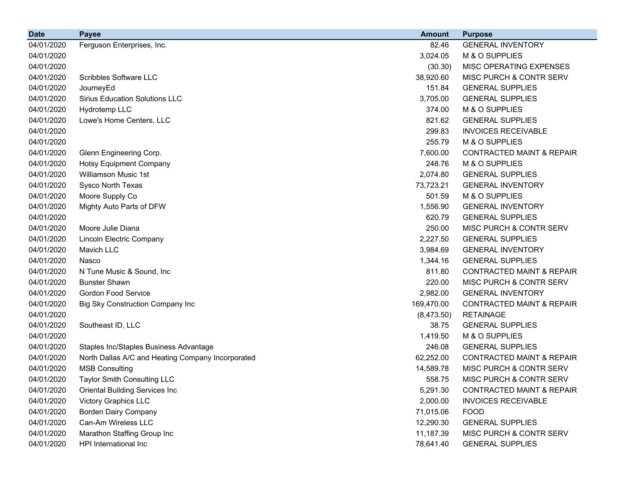| <b>Date</b> | <b>Payee</b>                                      | <b>Amount</b> | <b>Purpose</b>                       |
|-------------|---------------------------------------------------|---------------|--------------------------------------|
| 04/01/2020  | Ferguson Enterprises, Inc.                        | 82.46         | <b>GENERAL INVENTORY</b>             |
| 04/01/2020  |                                                   | 3,024.05      | M & O SUPPLIES                       |
| 04/01/2020  |                                                   | (30.30)       | MISC OPERATING EXPENSES              |
| 04/01/2020  | <b>Scribbles Software LLC</b>                     | 38,920.60     | MISC PURCH & CONTR SERV              |
| 04/01/2020  | JourneyEd                                         | 151.84        | <b>GENERAL SUPPLIES</b>              |
| 04/01/2020  | <b>Sirius Education Solutions LLC</b>             | 3,705.00      | <b>GENERAL SUPPLIES</b>              |
| 04/01/2020  | Hydrotemp LLC                                     | 374.00        | M & O SUPPLIES                       |
| 04/01/2020  | Lowe's Home Centers, LLC                          | 821.62        | <b>GENERAL SUPPLIES</b>              |
| 04/01/2020  |                                                   | 299.83        | <b>INVOICES RECEIVABLE</b>           |
| 04/01/2020  |                                                   | 255.79        | M & O SUPPLIES                       |
| 04/01/2020  | Glenn Engineering Corp.                           | 7,600.00      | <b>CONTRACTED MAINT &amp; REPAIR</b> |
| 04/01/2020  | <b>Hotsy Equipment Company</b>                    | 248.76        | M & O SUPPLIES                       |
| 04/01/2020  | Williamson Music 1st                              | 2,074.80      | <b>GENERAL SUPPLIES</b>              |
| 04/01/2020  | Sysco North Texas                                 | 73,723.21     | <b>GENERAL INVENTORY</b>             |
| 04/01/2020  | Moore Supply Co                                   | 501.59        | M & O SUPPLIES                       |
| 04/01/2020  | Mighty Auto Parts of DFW                          | 1,556.90      | <b>GENERAL INVENTORY</b>             |
| 04/01/2020  |                                                   | 620.79        | <b>GENERAL SUPPLIES</b>              |
| 04/01/2020  | Moore Julie Diana                                 | 250.00        | MISC PURCH & CONTR SERV              |
| 04/01/2020  | <b>Lincoln Electric Company</b>                   | 2,227.50      | <b>GENERAL SUPPLIES</b>              |
| 04/01/2020  | Mavich LLC                                        | 3,984.69      | <b>GENERAL INVENTORY</b>             |
| 04/01/2020  | Nasco                                             | 1,344.16      | <b>GENERAL SUPPLIES</b>              |
| 04/01/2020  | N Tune Music & Sound, Inc.                        | 811.80        | <b>CONTRACTED MAINT &amp; REPAIR</b> |
| 04/01/2020  | <b>Bunster Shawn</b>                              | 220.00        | MISC PURCH & CONTR SERV              |
| 04/01/2020  | <b>Gordon Food Service</b>                        | 2,982.00      | <b>GENERAL INVENTORY</b>             |
| 04/01/2020  | <b>Big Sky Construction Company Inc</b>           | 169,470.00    | <b>CONTRACTED MAINT &amp; REPAIR</b> |
| 04/01/2020  |                                                   | (8,473.50)    | <b>RETAINAGE</b>                     |
| 04/01/2020  | Southeast ID, LLC                                 | 38.75         | <b>GENERAL SUPPLIES</b>              |
| 04/01/2020  |                                                   | 1,419.50      | M & O SUPPLIES                       |
| 04/01/2020  | Staples Inc/Staples Business Advantage            | 246.08        | <b>GENERAL SUPPLIES</b>              |
| 04/01/2020  | North Dallas A/C and Heating Company Incorporated | 62,252.00     | <b>CONTRACTED MAINT &amp; REPAIR</b> |
| 04/01/2020  | <b>MSB Consulting</b>                             | 14,589.78     | MISC PURCH & CONTR SERV              |
| 04/01/2020  | <b>Taylor Smith Consulting LLC</b>                | 558.75        | MISC PURCH & CONTR SERV              |
| 04/01/2020  | <b>Oriental Building Services Inc</b>             | 5,291.30      | <b>CONTRACTED MAINT &amp; REPAIR</b> |
| 04/01/2020  | <b>Victory Graphics LLC</b>                       | 2,000.00      | <b>INVOICES RECEIVABLE</b>           |
| 04/01/2020  | <b>Borden Dairy Company</b>                       | 71,015.06     | <b>FOOD</b>                          |
| 04/01/2020  | Can-Am Wireless LLC                               | 12,290.30     | <b>GENERAL SUPPLIES</b>              |
| 04/01/2020  | Marathon Staffing Group Inc                       | 11,187.39     | MISC PURCH & CONTR SERV              |
| 04/01/2020  | HPI International Inc                             | 78,641.40     | <b>GENERAL SUPPLIES</b>              |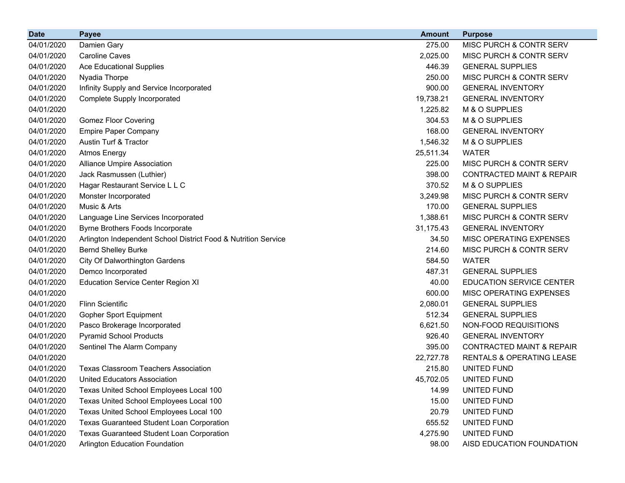| <b>Date</b> | <b>Payee</b>                                                   | <b>Amount</b> | <b>Purpose</b>                       |
|-------------|----------------------------------------------------------------|---------------|--------------------------------------|
| 04/01/2020  | Damien Gary                                                    | 275.00        | MISC PURCH & CONTR SERV              |
| 04/01/2020  | <b>Caroline Caves</b>                                          | 2,025.00      | MISC PURCH & CONTR SERV              |
| 04/01/2020  | <b>Ace Educational Supplies</b>                                | 446.39        | <b>GENERAL SUPPLIES</b>              |
| 04/01/2020  | Nyadia Thorpe                                                  | 250.00        | MISC PURCH & CONTR SERV              |
| 04/01/2020  | Infinity Supply and Service Incorporated                       | 900.00        | <b>GENERAL INVENTORY</b>             |
| 04/01/2020  | <b>Complete Supply Incorporated</b>                            | 19,738.21     | <b>GENERAL INVENTORY</b>             |
| 04/01/2020  |                                                                | 1,225.82      | M & O SUPPLIES                       |
| 04/01/2020  | <b>Gomez Floor Covering</b>                                    | 304.53        | M & O SUPPLIES                       |
| 04/01/2020  | <b>Empire Paper Company</b>                                    | 168.00        | <b>GENERAL INVENTORY</b>             |
| 04/01/2020  | Austin Turf & Tractor                                          | 1,546.32      | M & O SUPPLIES                       |
| 04/01/2020  | <b>Atmos Energy</b>                                            | 25,511.34     | <b>WATER</b>                         |
| 04/01/2020  | <b>Alliance Umpire Association</b>                             | 225.00        | MISC PURCH & CONTR SERV              |
| 04/01/2020  | Jack Rasmussen (Luthier)                                       | 398.00        | <b>CONTRACTED MAINT &amp; REPAIR</b> |
| 04/01/2020  | Hagar Restaurant Service L L C                                 | 370.52        | M & O SUPPLIES                       |
| 04/01/2020  | Monster Incorporated                                           | 3,249.98      | MISC PURCH & CONTR SERV              |
| 04/01/2020  | Music & Arts                                                   | 170.00        | <b>GENERAL SUPPLIES</b>              |
| 04/01/2020  | Language Line Services Incorporated                            | 1,388.61      | MISC PURCH & CONTR SERV              |
| 04/01/2020  | Byrne Brothers Foods Incorporate                               | 31,175.43     | <b>GENERAL INVENTORY</b>             |
| 04/01/2020  | Arlington Independent School District Food & Nutrition Service | 34.50         | MISC OPERATING EXPENSES              |
| 04/01/2020  | <b>Bernd Shelley Burke</b>                                     | 214.60        | MISC PURCH & CONTR SERV              |
| 04/01/2020  | <b>City Of Dalworthington Gardens</b>                          | 584.50        | <b>WATER</b>                         |
| 04/01/2020  | Demco Incorporated                                             | 487.31        | <b>GENERAL SUPPLIES</b>              |
| 04/01/2020  | <b>Education Service Center Region XI</b>                      | 40.00         | <b>EDUCATION SERVICE CENTER</b>      |
| 04/01/2020  |                                                                | 600.00        | MISC OPERATING EXPENSES              |
| 04/01/2020  | <b>Flinn Scientific</b>                                        | 2,080.01      | <b>GENERAL SUPPLIES</b>              |
| 04/01/2020  | <b>Gopher Sport Equipment</b>                                  | 512.34        | <b>GENERAL SUPPLIES</b>              |
| 04/01/2020  | Pasco Brokerage Incorporated                                   | 6,621.50      | NON-FOOD REQUISITIONS                |
| 04/01/2020  | <b>Pyramid School Products</b>                                 | 926.40        | <b>GENERAL INVENTORY</b>             |
| 04/01/2020  | Sentinel The Alarm Company                                     | 395.00        | <b>CONTRACTED MAINT &amp; REPAIR</b> |
| 04/01/2020  |                                                                | 22,727.78     | <b>RENTALS &amp; OPERATING LEASE</b> |
| 04/01/2020  | <b>Texas Classroom Teachers Association</b>                    | 215.80        | UNITED FUND                          |
| 04/01/2020  | United Educators Association                                   | 45,702.05     | UNITED FUND                          |
| 04/01/2020  | Texas United School Employees Local 100                        | 14.99         | UNITED FUND                          |
| 04/01/2020  | Texas United School Employees Local 100                        | 15.00         | UNITED FUND                          |
| 04/01/2020  | Texas United School Employees Local 100                        | 20.79         | UNITED FUND                          |
| 04/01/2020  | <b>Texas Guaranteed Student Loan Corporation</b>               | 655.52        | UNITED FUND                          |
| 04/01/2020  | Texas Guaranteed Student Loan Corporation                      | 4,275.90      | UNITED FUND                          |
| 04/01/2020  | Arlington Education Foundation                                 | 98.00         | AISD EDUCATION FOUNDATION            |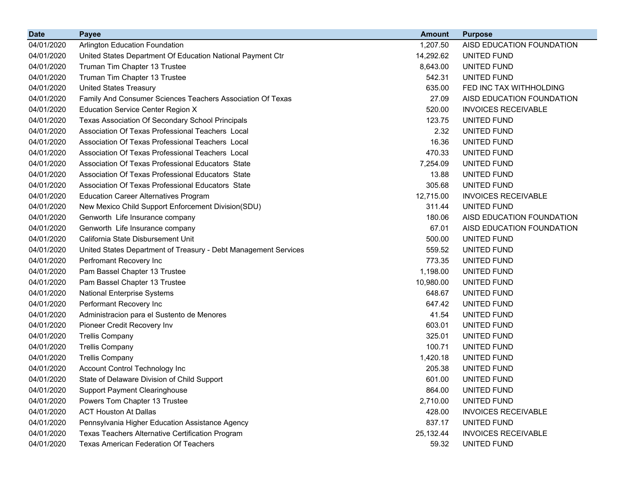| <b>Date</b> | <b>Payee</b>                                                    | <b>Amount</b> | <b>Purpose</b>             |
|-------------|-----------------------------------------------------------------|---------------|----------------------------|
| 04/01/2020  | <b>Arlington Education Foundation</b>                           | 1,207.50      | AISD EDUCATION FOUNDATION  |
| 04/01/2020  | United States Department Of Education National Payment Ctr      | 14,292.62     | UNITED FUND                |
| 04/01/2020  | Truman Tim Chapter 13 Trustee                                   | 8,643.00      | UNITED FUND                |
| 04/01/2020  | Truman Tim Chapter 13 Trustee                                   | 542.31        | UNITED FUND                |
| 04/01/2020  | <b>United States Treasury</b>                                   | 635.00        | FED INC TAX WITHHOLDING    |
| 04/01/2020  | Family And Consumer Sciences Teachers Association Of Texas      | 27.09         | AISD EDUCATION FOUNDATION  |
| 04/01/2020  | <b>Education Service Center Region X</b>                        | 520.00        | <b>INVOICES RECEIVABLE</b> |
| 04/01/2020  | Texas Association Of Secondary School Principals                | 123.75        | UNITED FUND                |
| 04/01/2020  | Association Of Texas Professional Teachers Local                | 2.32          | UNITED FUND                |
| 04/01/2020  | Association Of Texas Professional Teachers Local                | 16.36         | UNITED FUND                |
| 04/01/2020  | Association Of Texas Professional Teachers Local                | 470.33        | UNITED FUND                |
| 04/01/2020  | Association Of Texas Professional Educators State               | 7,254.09      | UNITED FUND                |
| 04/01/2020  | Association Of Texas Professional Educators State               | 13.88         | UNITED FUND                |
| 04/01/2020  | Association Of Texas Professional Educators State               | 305.68        | UNITED FUND                |
| 04/01/2020  | <b>Education Career Alternatives Program</b>                    | 12,715.00     | <b>INVOICES RECEIVABLE</b> |
| 04/01/2020  | New Mexico Child Support Enforcement Division(SDU)              | 311.44        | UNITED FUND                |
| 04/01/2020  | Genworth Life Insurance company                                 | 180.06        | AISD EDUCATION FOUNDATION  |
| 04/01/2020  | Genworth Life Insurance company                                 | 67.01         | AISD EDUCATION FOUNDATION  |
| 04/01/2020  | California State Disbursement Unit                              | 500.00        | UNITED FUND                |
| 04/01/2020  | United States Department of Treasury - Debt Management Services | 559.52        | UNITED FUND                |
| 04/01/2020  | Perfromant Recovery Inc                                         | 773.35        | UNITED FUND                |
| 04/01/2020  | Pam Bassel Chapter 13 Trustee                                   | 1,198.00      | UNITED FUND                |
| 04/01/2020  | Pam Bassel Chapter 13 Trustee                                   | 10,980.00     | UNITED FUND                |
| 04/01/2020  | <b>National Enterprise Systems</b>                              | 648.67        | UNITED FUND                |
| 04/01/2020  | Performant Recovery Inc                                         | 647.42        | UNITED FUND                |
| 04/01/2020  | Administracion para el Sustento de Menores                      | 41.54         | UNITED FUND                |
| 04/01/2020  | Pioneer Credit Recovery Inv                                     | 603.01        | UNITED FUND                |
| 04/01/2020  | <b>Trellis Company</b>                                          | 325.01        | UNITED FUND                |
| 04/01/2020  | <b>Trellis Company</b>                                          | 100.71        | UNITED FUND                |
| 04/01/2020  | <b>Trellis Company</b>                                          | 1,420.18      | UNITED FUND                |
| 04/01/2020  | Account Control Technology Inc                                  | 205.38        | UNITED FUND                |
| 04/01/2020  | State of Delaware Division of Child Support                     | 601.00        | UNITED FUND                |
| 04/01/2020  | <b>Support Payment Clearinghouse</b>                            | 864.00        | UNITED FUND                |
| 04/01/2020  | Powers Tom Chapter 13 Trustee                                   | 2,710.00      | UNITED FUND                |
| 04/01/2020  | <b>ACT Houston At Dallas</b>                                    | 428.00        | <b>INVOICES RECEIVABLE</b> |
| 04/01/2020  | Pennsylvania Higher Education Assistance Agency                 | 837.17        | UNITED FUND                |
| 04/01/2020  | Texas Teachers Alternative Certification Program                | 25, 132. 44   | <b>INVOICES RECEIVABLE</b> |
| 04/01/2020  | Texas American Federation Of Teachers                           | 59.32         | UNITED FUND                |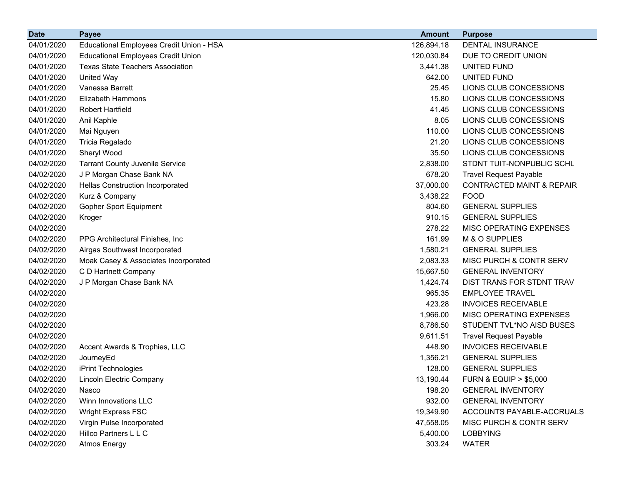| <b>Date</b> | <b>Payee</b>                              | <b>Amount</b> | <b>Purpose</b>                       |
|-------------|-------------------------------------------|---------------|--------------------------------------|
| 04/01/2020  | Educational Employees Credit Union - HSA  | 126,894.18    | <b>DENTAL INSURANCE</b>              |
| 04/01/2020  | <b>Educational Employees Credit Union</b> | 120,030.84    | DUE TO CREDIT UNION                  |
| 04/01/2020  | <b>Texas State Teachers Association</b>   | 3,441.38      | UNITED FUND                          |
| 04/01/2020  | <b>United Way</b>                         | 642.00        | UNITED FUND                          |
| 04/01/2020  | Vanessa Barrett                           | 25.45         | LIONS CLUB CONCESSIONS               |
| 04/01/2020  | <b>Elizabeth Hammons</b>                  | 15.80         | LIONS CLUB CONCESSIONS               |
| 04/01/2020  | <b>Robert Hartfield</b>                   | 41.45         | LIONS CLUB CONCESSIONS               |
| 04/01/2020  | Anil Kaphle                               | 8.05          | LIONS CLUB CONCESSIONS               |
| 04/01/2020  | Mai Nguyen                                | 110.00        | LIONS CLUB CONCESSIONS               |
| 04/01/2020  | Tricia Regalado                           | 21.20         | LIONS CLUB CONCESSIONS               |
| 04/01/2020  | Sheryl Wood                               | 35.50         | LIONS CLUB CONCESSIONS               |
| 04/02/2020  | <b>Tarrant County Juvenile Service</b>    | 2,838.00      | STDNT TUIT-NONPUBLIC SCHL            |
| 04/02/2020  | J P Morgan Chase Bank NA                  | 678.20        | <b>Travel Request Payable</b>        |
| 04/02/2020  | <b>Hellas Construction Incorporated</b>   | 37,000.00     | <b>CONTRACTED MAINT &amp; REPAIR</b> |
| 04/02/2020  | Kurz & Company                            | 3,438.22      | <b>FOOD</b>                          |
| 04/02/2020  | Gopher Sport Equipment                    | 804.60        | <b>GENERAL SUPPLIES</b>              |
| 04/02/2020  | Kroger                                    | 910.15        | <b>GENERAL SUPPLIES</b>              |
| 04/02/2020  |                                           | 278.22        | MISC OPERATING EXPENSES              |
| 04/02/2020  | PPG Architectural Finishes, Inc.          | 161.99        | M & O SUPPLIES                       |
| 04/02/2020  | Airgas Southwest Incorporated             | 1,580.21      | <b>GENERAL SUPPLIES</b>              |
| 04/02/2020  | Moak Casey & Associates Incorporated      | 2,083.33      | MISC PURCH & CONTR SERV              |
| 04/02/2020  | C D Hartnett Company                      | 15,667.50     | <b>GENERAL INVENTORY</b>             |
| 04/02/2020  | J P Morgan Chase Bank NA                  | 1,424.74      | DIST TRANS FOR STDNT TRAV            |
| 04/02/2020  |                                           | 965.35        | <b>EMPLOYEE TRAVEL</b>               |
| 04/02/2020  |                                           | 423.28        | <b>INVOICES RECEIVABLE</b>           |
| 04/02/2020  |                                           | 1,966.00      | MISC OPERATING EXPENSES              |
| 04/02/2020  |                                           | 8,786.50      | STUDENT TVL*NO AISD BUSES            |
| 04/02/2020  |                                           | 9,611.51      | <b>Travel Request Payable</b>        |
| 04/02/2020  | Accent Awards & Trophies, LLC             | 448.90        | <b>INVOICES RECEIVABLE</b>           |
| 04/02/2020  | JourneyEd                                 | 1,356.21      | <b>GENERAL SUPPLIES</b>              |
| 04/02/2020  | iPrint Technologies                       | 128.00        | <b>GENERAL SUPPLIES</b>              |
| 04/02/2020  | Lincoln Electric Company                  | 13,190.44     | <b>FURN &amp; EQUIP &gt; \$5,000</b> |
| 04/02/2020  | Nasco                                     | 198.20        | <b>GENERAL INVENTORY</b>             |
| 04/02/2020  | Winn Innovations LLC                      | 932.00        | <b>GENERAL INVENTORY</b>             |
| 04/02/2020  | <b>Wright Express FSC</b>                 | 19,349.90     | ACCOUNTS PAYABLE-ACCRUALS            |
| 04/02/2020  | Virgin Pulse Incorporated                 | 47,558.05     | MISC PURCH & CONTR SERV              |
| 04/02/2020  | Hillco Partners L L C                     | 5,400.00      | <b>LOBBYING</b>                      |
| 04/02/2020  | <b>Atmos Energy</b>                       | 303.24        | <b>WATER</b>                         |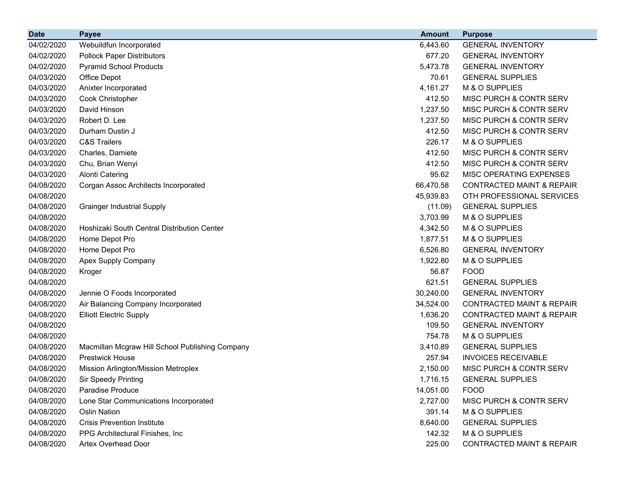| <b>Date</b> | <b>Payee</b>                                    | <b>Amount</b> | <b>Purpose</b>                       |
|-------------|-------------------------------------------------|---------------|--------------------------------------|
| 04/02/2020  | Webuildfun Incorporated                         | 6,443.60      | <b>GENERAL INVENTORY</b>             |
| 04/02/2020  | <b>Pollock Paper Distributors</b>               | 677.20        | <b>GENERAL INVENTORY</b>             |
| 04/02/2020  | <b>Pyramid School Products</b>                  | 5,473.78      | <b>GENERAL INVENTORY</b>             |
| 04/03/2020  | Office Depot                                    | 70.61         | <b>GENERAL SUPPLIES</b>              |
| 04/03/2020  | Anixter Incorporated                            | 4,161.27      | M & O SUPPLIES                       |
| 04/03/2020  | Cook Christopher                                | 412.50        | MISC PURCH & CONTR SERV              |
| 04/03/2020  | David Hinson                                    | 1,237.50      | MISC PURCH & CONTR SERV              |
| 04/03/2020  | Robert D. Lee                                   | 1,237.50      | MISC PURCH & CONTR SERV              |
| 04/03/2020  | Durham Dustin J                                 | 412.50        | MISC PURCH & CONTR SERV              |
| 04/03/2020  | <b>C&amp;S Trailers</b>                         | 226.17        | M & O SUPPLIES                       |
| 04/03/2020  | Charles, Damiete                                | 412.50        | MISC PURCH & CONTR SERV              |
| 04/03/2020  | Chu, Brian Wenyi                                | 412.50        | MISC PURCH & CONTR SERV              |
| 04/03/2020  | <b>Alonti Catering</b>                          | 95.62         | MISC OPERATING EXPENSES              |
| 04/08/2020  | Corgan Assoc Architects Incorporated            | 66,470.58     | <b>CONTRACTED MAINT &amp; REPAIR</b> |
| 04/08/2020  |                                                 | 45,939.83     | OTH PROFESSIONAL SERVICES            |
| 04/08/2020  | <b>Grainger Industrial Supply</b>               | (11.09)       | <b>GENERAL SUPPLIES</b>              |
| 04/08/2020  |                                                 | 3,703.99      | M & O SUPPLIES                       |
| 04/08/2020  | Hoshizaki South Central Distribution Center     | 4,342.50      | M & O SUPPLIES                       |
| 04/08/2020  | Home Depot Pro                                  | 1,877.51      | M & O SUPPLIES                       |
| 04/08/2020  | Home Depot Pro                                  | 6,526.80      | <b>GENERAL INVENTORY</b>             |
| 04/08/2020  | Apex Supply Company                             | 1,922.80      | M & O SUPPLIES                       |
| 04/08/2020  | Kroger                                          | 56.87         | <b>FOOD</b>                          |
| 04/08/2020  |                                                 | 621.51        | <b>GENERAL SUPPLIES</b>              |
| 04/08/2020  | Jennie O Foods Incorporated                     | 30,240.00     | <b>GENERAL INVENTORY</b>             |
| 04/08/2020  | Air Balancing Company Incorporated              | 34,524.00     | <b>CONTRACTED MAINT &amp; REPAIR</b> |
| 04/08/2020  | <b>Elliott Electric Supply</b>                  | 1,636.20      | <b>CONTRACTED MAINT &amp; REPAIR</b> |
| 04/08/2020  |                                                 | 109.50        | <b>GENERAL INVENTORY</b>             |
| 04/08/2020  |                                                 | 754.78        | M & O SUPPLIES                       |
| 04/08/2020  | Macmillan Mcgraw Hill School Publishing Company | 3,410.89      | <b>GENERAL SUPPLIES</b>              |
| 04/08/2020  | <b>Prestwick House</b>                          | 257.94        | <b>INVOICES RECEIVABLE</b>           |
| 04/08/2020  | Mission Arlington/Mission Metroplex             | 2,150.00      | MISC PURCH & CONTR SERV              |
| 04/08/2020  | <b>Sir Speedy Printing</b>                      | 1,716.15      | <b>GENERAL SUPPLIES</b>              |
| 04/08/2020  | Paradise Produce                                | 14,051.00     | <b>FOOD</b>                          |
| 04/08/2020  | Lone Star Communications Incorporated           | 2,727.00      | MISC PURCH & CONTR SERV              |
| 04/08/2020  | Oslin Nation                                    | 391.14        | M & O SUPPLIES                       |
| 04/08/2020  | <b>Crisis Prevention Institute</b>              | 8,640.00      | <b>GENERAL SUPPLIES</b>              |
| 04/08/2020  | PPG Architectural Finishes, Inc.                | 142.32        | M & O SUPPLIES                       |
| 04/08/2020  | Artex Overhead Door                             | 225.00        | <b>CONTRACTED MAINT &amp; REPAIR</b> |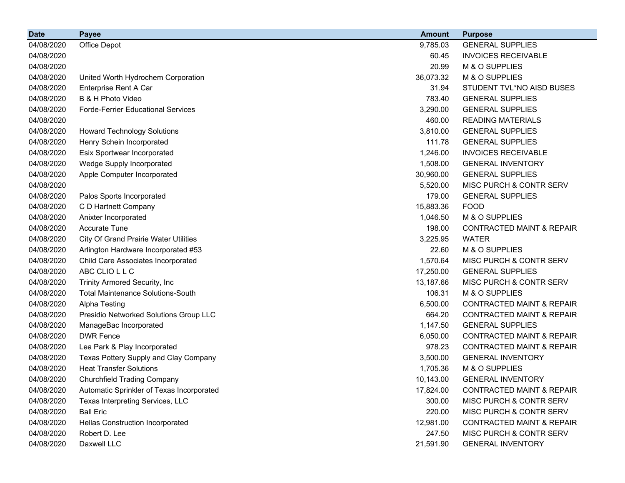| <b>Date</b> | <b>Payee</b>                                 | <b>Amount</b> | <b>Purpose</b>                       |
|-------------|----------------------------------------------|---------------|--------------------------------------|
| 04/08/2020  | Office Depot                                 | 9,785.03      | <b>GENERAL SUPPLIES</b>              |
| 04/08/2020  |                                              | 60.45         | <b>INVOICES RECEIVABLE</b>           |
| 04/08/2020  |                                              | 20.99         | M & O SUPPLIES                       |
| 04/08/2020  | United Worth Hydrochem Corporation           | 36,073.32     | M & O SUPPLIES                       |
| 04/08/2020  | Enterprise Rent A Car                        | 31.94         | STUDENT TVL*NO AISD BUSES            |
| 04/08/2020  | B & H Photo Video                            | 783.40        | <b>GENERAL SUPPLIES</b>              |
| 04/08/2020  | <b>Forde-Ferrier Educational Services</b>    | 3,290.00      | <b>GENERAL SUPPLIES</b>              |
| 04/08/2020  |                                              | 460.00        | <b>READING MATERIALS</b>             |
| 04/08/2020  | <b>Howard Technology Solutions</b>           | 3,810.00      | <b>GENERAL SUPPLIES</b>              |
| 04/08/2020  | Henry Schein Incorporated                    | 111.78        | <b>GENERAL SUPPLIES</b>              |
| 04/08/2020  | Esix Sportwear Incorporated                  | 1,246.00      | <b>INVOICES RECEIVABLE</b>           |
| 04/08/2020  | Wedge Supply Incorporated                    | 1,508.00      | <b>GENERAL INVENTORY</b>             |
| 04/08/2020  | Apple Computer Incorporated                  | 30,960.00     | <b>GENERAL SUPPLIES</b>              |
| 04/08/2020  |                                              | 5,520.00      | MISC PURCH & CONTR SERV              |
| 04/08/2020  | Palos Sports Incorporated                    | 179.00        | <b>GENERAL SUPPLIES</b>              |
| 04/08/2020  | C D Hartnett Company                         | 15,883.36     | <b>FOOD</b>                          |
| 04/08/2020  | Anixter Incorporated                         | 1,046.50      | M & O SUPPLIES                       |
| 04/08/2020  | <b>Accurate Tune</b>                         | 198.00        | <b>CONTRACTED MAINT &amp; REPAIR</b> |
| 04/08/2020  | <b>City Of Grand Prairie Water Utilities</b> | 3,225.95      | <b>WATER</b>                         |
| 04/08/2020  | Arlington Hardware Incorporated #53          | 22.60         | M & O SUPPLIES                       |
| 04/08/2020  | Child Care Associates Incorporated           | 1,570.64      | MISC PURCH & CONTR SERV              |
| 04/08/2020  | ABC CLIO L L C                               | 17,250.00     | <b>GENERAL SUPPLIES</b>              |
| 04/08/2020  | Trinity Armored Security, Inc                | 13,187.66     | MISC PURCH & CONTR SERV              |
| 04/08/2020  | <b>Total Maintenance Solutions-South</b>     | 106.31        | M & O SUPPLIES                       |
| 04/08/2020  | Alpha Testing                                | 6,500.00      | <b>CONTRACTED MAINT &amp; REPAIR</b> |
| 04/08/2020  | Presidio Networked Solutions Group LLC       | 664.20        | <b>CONTRACTED MAINT &amp; REPAIR</b> |
| 04/08/2020  | ManageBac Incorporated                       | 1,147.50      | <b>GENERAL SUPPLIES</b>              |
| 04/08/2020  | <b>DWR Fence</b>                             | 6,050.00      | <b>CONTRACTED MAINT &amp; REPAIR</b> |
| 04/08/2020  | Lea Park & Play Incorporated                 | 978.23        | <b>CONTRACTED MAINT &amp; REPAIR</b> |
| 04/08/2020  | Texas Pottery Supply and Clay Company        | 3,500.00      | <b>GENERAL INVENTORY</b>             |
| 04/08/2020  | <b>Heat Transfer Solutions</b>               | 1,705.36      | M & O SUPPLIES                       |
| 04/08/2020  | <b>Churchfield Trading Company</b>           | 10,143.00     | <b>GENERAL INVENTORY</b>             |
| 04/08/2020  | Automatic Sprinkler of Texas Incorporated    | 17,824.00     | <b>CONTRACTED MAINT &amp; REPAIR</b> |
| 04/08/2020  | Texas Interpreting Services, LLC             | 300.00        | MISC PURCH & CONTR SERV              |
| 04/08/2020  | <b>Ball Eric</b>                             | 220.00        | MISC PURCH & CONTR SERV              |
| 04/08/2020  | Hellas Construction Incorporated             | 12,981.00     | <b>CONTRACTED MAINT &amp; REPAIR</b> |
| 04/08/2020  | Robert D. Lee                                | 247.50        | MISC PURCH & CONTR SERV              |
| 04/08/2020  | Daxwell LLC                                  | 21,591.90     | <b>GENERAL INVENTORY</b>             |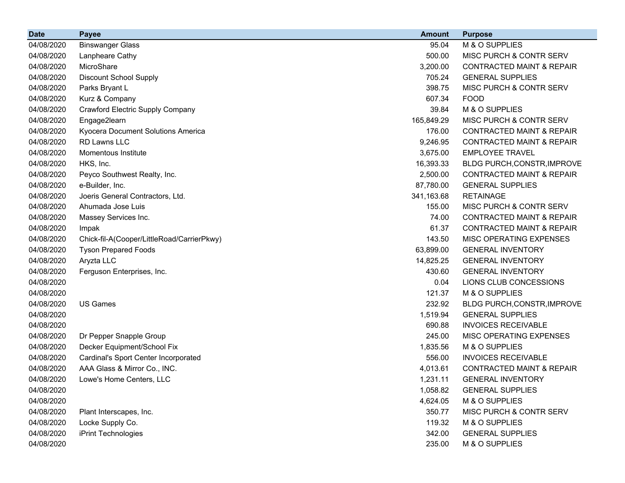| <b>Date</b> | <b>Payee</b>                               | <b>Amount</b> | <b>Purpose</b>                       |
|-------------|--------------------------------------------|---------------|--------------------------------------|
| 04/08/2020  | <b>Binswanger Glass</b>                    | 95.04         | M & O SUPPLIES                       |
| 04/08/2020  | Lanpheare Cathy                            | 500.00        | MISC PURCH & CONTR SERV              |
| 04/08/2020  | MicroShare                                 | 3,200.00      | <b>CONTRACTED MAINT &amp; REPAIR</b> |
| 04/08/2020  | <b>Discount School Supply</b>              | 705.24        | <b>GENERAL SUPPLIES</b>              |
| 04/08/2020  | Parks Bryant L                             | 398.75        | MISC PURCH & CONTR SERV              |
| 04/08/2020  | Kurz & Company                             | 607.34        | <b>FOOD</b>                          |
| 04/08/2020  | Crawford Electric Supply Company           | 39.84         | M & O SUPPLIES                       |
| 04/08/2020  | Engage2learn                               | 165,849.29    | <b>MISC PURCH &amp; CONTR SERV</b>   |
| 04/08/2020  | Kyocera Document Solutions America         | 176.00        | <b>CONTRACTED MAINT &amp; REPAIR</b> |
| 04/08/2020  | <b>RD Lawns LLC</b>                        | 9,246.95      | <b>CONTRACTED MAINT &amp; REPAIR</b> |
| 04/08/2020  | Momentous Institute                        | 3,675.00      | <b>EMPLOYEE TRAVEL</b>               |
| 04/08/2020  | HKS, Inc.                                  | 16,393.33     | BLDG PURCH, CONSTR, IMPROVE          |
| 04/08/2020  | Peyco Southwest Realty, Inc.               | 2,500.00      | <b>CONTRACTED MAINT &amp; REPAIR</b> |
| 04/08/2020  | e-Builder, Inc.                            | 87,780.00     | <b>GENERAL SUPPLIES</b>              |
| 04/08/2020  | Joeris General Contractors, Ltd.           | 341,163.68    | <b>RETAINAGE</b>                     |
| 04/08/2020  | Ahumada Jose Luis                          | 155.00        | MISC PURCH & CONTR SERV              |
| 04/08/2020  | Massey Services Inc.                       | 74.00         | <b>CONTRACTED MAINT &amp; REPAIR</b> |
| 04/08/2020  | Impak                                      | 61.37         | <b>CONTRACTED MAINT &amp; REPAIR</b> |
| 04/08/2020  | Chick-fil-A(Cooper/LittleRoad/CarrierPkwy) | 143.50        | <b>MISC OPERATING EXPENSES</b>       |
| 04/08/2020  | <b>Tyson Prepared Foods</b>                | 63,899.00     | <b>GENERAL INVENTORY</b>             |
| 04/08/2020  | Aryzta LLC                                 | 14,825.25     | <b>GENERAL INVENTORY</b>             |
| 04/08/2020  | Ferguson Enterprises, Inc.                 | 430.60        | <b>GENERAL INVENTORY</b>             |
| 04/08/2020  |                                            | 0.04          | LIONS CLUB CONCESSIONS               |
| 04/08/2020  |                                            | 121.37        | M & O SUPPLIES                       |
| 04/08/2020  | <b>US Games</b>                            | 232.92        | BLDG PURCH, CONSTR, IMPROVE          |
| 04/08/2020  |                                            | 1,519.94      | <b>GENERAL SUPPLIES</b>              |
| 04/08/2020  |                                            | 690.88        | <b>INVOICES RECEIVABLE</b>           |
| 04/08/2020  | Dr Pepper Snapple Group                    | 245.00        | MISC OPERATING EXPENSES              |
| 04/08/2020  | Decker Equipment/School Fix                | 1,835.56      | M & O SUPPLIES                       |
| 04/08/2020  | Cardinal's Sport Center Incorporated       | 556.00        | <b>INVOICES RECEIVABLE</b>           |
| 04/08/2020  | AAA Glass & Mirror Co., INC.               | 4,013.61      | <b>CONTRACTED MAINT &amp; REPAIR</b> |
| 04/08/2020  | Lowe's Home Centers, LLC                   | 1,231.11      | <b>GENERAL INVENTORY</b>             |
| 04/08/2020  |                                            | 1,058.82      | <b>GENERAL SUPPLIES</b>              |
| 04/08/2020  |                                            | 4,624.05      | M & O SUPPLIES                       |
| 04/08/2020  | Plant Interscapes, Inc.                    | 350.77        | MISC PURCH & CONTR SERV              |
| 04/08/2020  | Locke Supply Co.                           | 119.32        | M & O SUPPLIES                       |
| 04/08/2020  | iPrint Technologies                        | 342.00        | <b>GENERAL SUPPLIES</b>              |
| 04/08/2020  |                                            | 235.00        | M & O SUPPLIES                       |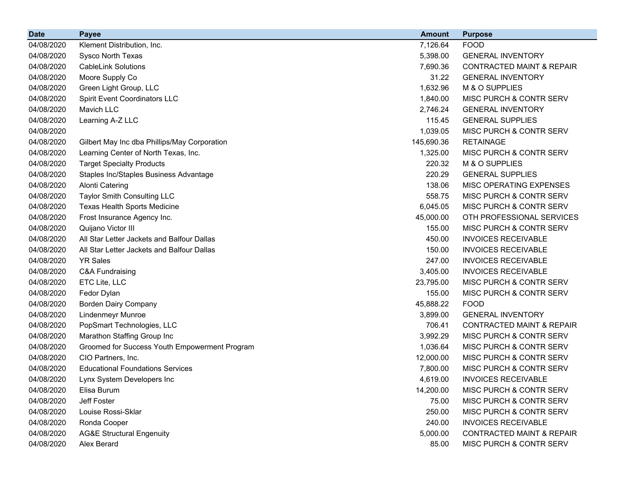| <b>Date</b> | <b>Payee</b>                                  | <b>Amount</b> | <b>Purpose</b>                       |
|-------------|-----------------------------------------------|---------------|--------------------------------------|
| 04/08/2020  | Klement Distribution, Inc.                    | 7,126.64      | <b>FOOD</b>                          |
| 04/08/2020  | Sysco North Texas                             | 5,398.00      | <b>GENERAL INVENTORY</b>             |
| 04/08/2020  | <b>CableLink Solutions</b>                    | 7,690.36      | <b>CONTRACTED MAINT &amp; REPAIR</b> |
| 04/08/2020  | Moore Supply Co                               | 31.22         | <b>GENERAL INVENTORY</b>             |
| 04/08/2020  | Green Light Group, LLC                        | 1,632.96      | M & O SUPPLIES                       |
| 04/08/2020  | <b>Spirit Event Coordinators LLC</b>          | 1,840.00      | MISC PURCH & CONTR SERV              |
| 04/08/2020  | Mavich LLC                                    | 2,746.24      | <b>GENERAL INVENTORY</b>             |
| 04/08/2020  | Learning A-Z LLC                              | 115.45        | <b>GENERAL SUPPLIES</b>              |
| 04/08/2020  |                                               | 1,039.05      | MISC PURCH & CONTR SERV              |
| 04/08/2020  | Gilbert May Inc dba Phillips/May Corporation  | 145,690.36    | <b>RETAINAGE</b>                     |
| 04/08/2020  | Learning Center of North Texas, Inc.          | 1,325.00      | MISC PURCH & CONTR SERV              |
| 04/08/2020  | <b>Target Specialty Products</b>              | 220.32        | M & O SUPPLIES                       |
| 04/08/2020  | Staples Inc/Staples Business Advantage        | 220.29        | <b>GENERAL SUPPLIES</b>              |
| 04/08/2020  | <b>Alonti Catering</b>                        | 138.06        | MISC OPERATING EXPENSES              |
| 04/08/2020  | <b>Taylor Smith Consulting LLC</b>            | 558.75        | MISC PURCH & CONTR SERV              |
| 04/08/2020  | Texas Health Sports Medicine                  | 6,045.05      | MISC PURCH & CONTR SERV              |
| 04/08/2020  | Frost Insurance Agency Inc.                   | 45,000.00     | OTH PROFESSIONAL SERVICES            |
| 04/08/2020  | Quijano Victor III                            | 155.00        | MISC PURCH & CONTR SERV              |
| 04/08/2020  | All Star Letter Jackets and Balfour Dallas    | 450.00        | <b>INVOICES RECEIVABLE</b>           |
| 04/08/2020  | All Star Letter Jackets and Balfour Dallas    | 150.00        | <b>INVOICES RECEIVABLE</b>           |
| 04/08/2020  | <b>YR Sales</b>                               | 247.00        | <b>INVOICES RECEIVABLE</b>           |
| 04/08/2020  | <b>C&amp;A Fundraising</b>                    | 3,405.00      | <b>INVOICES RECEIVABLE</b>           |
| 04/08/2020  | ETC Lite, LLC                                 | 23,795.00     | MISC PURCH & CONTR SERV              |
| 04/08/2020  | Fedor Dylan                                   | 155.00        | MISC PURCH & CONTR SERV              |
| 04/08/2020  | <b>Borden Dairy Company</b>                   | 45,888.22     | <b>FOOD</b>                          |
| 04/08/2020  | <b>Lindenmeyr Munroe</b>                      | 3,899.00      | <b>GENERAL INVENTORY</b>             |
| 04/08/2020  | PopSmart Technologies, LLC                    | 706.41        | <b>CONTRACTED MAINT &amp; REPAIR</b> |
| 04/08/2020  | Marathon Staffing Group Inc                   | 3,992.29      | MISC PURCH & CONTR SERV              |
| 04/08/2020  | Groomed for Success Youth Empowerment Program | 1,036.64      | MISC PURCH & CONTR SERV              |
| 04/08/2020  | CIO Partners, Inc.                            | 12,000.00     | MISC PURCH & CONTR SERV              |
| 04/08/2020  | <b>Educational Foundations Services</b>       | 7,800.00      | MISC PURCH & CONTR SERV              |
| 04/08/2020  | Lynx System Developers Inc                    | 4,619.00      | <b>INVOICES RECEIVABLE</b>           |
| 04/08/2020  | Elisa Burum                                   | 14,200.00     | MISC PURCH & CONTR SERV              |
| 04/08/2020  | Jeff Foster                                   | 75.00         | MISC PURCH & CONTR SERV              |
| 04/08/2020  | Louise Rossi-Sklar                            | 250.00        | MISC PURCH & CONTR SERV              |
| 04/08/2020  | Ronda Cooper                                  | 240.00        | <b>INVOICES RECEIVABLE</b>           |
| 04/08/2020  | <b>AG&amp;E Structural Engenuity</b>          | 5,000.00      | <b>CONTRACTED MAINT &amp; REPAIR</b> |
| 04/08/2020  | Alex Berard                                   | 85.00         | MISC PURCH & CONTR SERV              |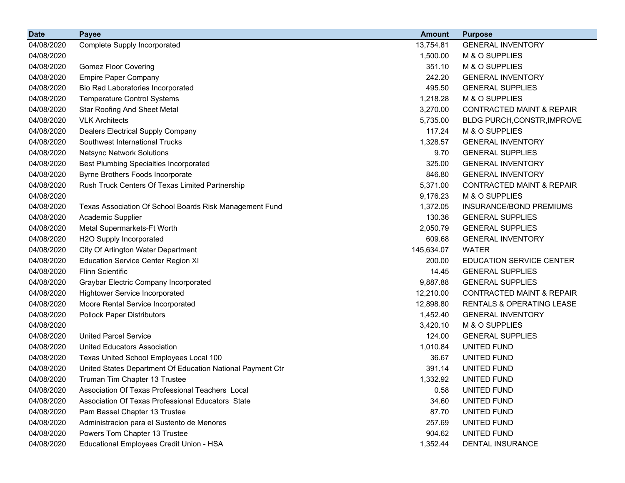| <b>Date</b> | <b>Payee</b>                                               | <b>Amount</b> | <b>Purpose</b>                       |
|-------------|------------------------------------------------------------|---------------|--------------------------------------|
| 04/08/2020  | Complete Supply Incorporated                               | 13,754.81     | <b>GENERAL INVENTORY</b>             |
| 04/08/2020  |                                                            | 1,500.00      | M & O SUPPLIES                       |
| 04/08/2020  | <b>Gomez Floor Covering</b>                                | 351.10        | M & O SUPPLIES                       |
| 04/08/2020  | <b>Empire Paper Company</b>                                | 242.20        | <b>GENERAL INVENTORY</b>             |
| 04/08/2020  | Bio Rad Laboratories Incorporated                          | 495.50        | <b>GENERAL SUPPLIES</b>              |
| 04/08/2020  | <b>Temperature Control Systems</b>                         | 1,218.28      | M & O SUPPLIES                       |
| 04/08/2020  | <b>Star Roofing And Sheet Metal</b>                        | 3,270.00      | <b>CONTRACTED MAINT &amp; REPAIR</b> |
| 04/08/2020  | <b>VLK Architects</b>                                      | 5,735.00      | BLDG PURCH, CONSTR, IMPROVE          |
| 04/08/2020  | <b>Dealers Electrical Supply Company</b>                   | 117.24        | M & O SUPPLIES                       |
| 04/08/2020  | Southwest International Trucks                             | 1,328.57      | <b>GENERAL INVENTORY</b>             |
| 04/08/2020  | <b>Netsync Network Solutions</b>                           | 9.70          | <b>GENERAL SUPPLIES</b>              |
| 04/08/2020  | <b>Best Plumbing Specialties Incorporated</b>              | 325.00        | <b>GENERAL INVENTORY</b>             |
| 04/08/2020  | Byrne Brothers Foods Incorporate                           | 846.80        | <b>GENERAL INVENTORY</b>             |
| 04/08/2020  | Rush Truck Centers Of Texas Limited Partnership            | 5,371.00      | <b>CONTRACTED MAINT &amp; REPAIR</b> |
| 04/08/2020  |                                                            | 9,176.23      | M & O SUPPLIES                       |
| 04/08/2020  | Texas Association Of School Boards Risk Management Fund    | 1,372.05      | INSURANCE/BOND PREMIUMS              |
| 04/08/2020  | Academic Supplier                                          | 130.36        | <b>GENERAL SUPPLIES</b>              |
| 04/08/2020  | Metal Supermarkets-Ft Worth                                | 2,050.79      | <b>GENERAL SUPPLIES</b>              |
| 04/08/2020  | H2O Supply Incorporated                                    | 609.68        | <b>GENERAL INVENTORY</b>             |
| 04/08/2020  | City Of Arlington Water Department                         | 145,634.07    | <b>WATER</b>                         |
| 04/08/2020  | <b>Education Service Center Region XI</b>                  | 200.00        | <b>EDUCATION SERVICE CENTER</b>      |
| 04/08/2020  | <b>Flinn Scientific</b>                                    | 14.45         | <b>GENERAL SUPPLIES</b>              |
| 04/08/2020  | Graybar Electric Company Incorporated                      | 9,887.88      | <b>GENERAL SUPPLIES</b>              |
| 04/08/2020  | <b>Hightower Service Incorporated</b>                      | 12,210.00     | <b>CONTRACTED MAINT &amp; REPAIR</b> |
| 04/08/2020  | Moore Rental Service Incorporated                          | 12,898.80     | <b>RENTALS &amp; OPERATING LEASE</b> |
| 04/08/2020  | <b>Pollock Paper Distributors</b>                          | 1,452.40      | <b>GENERAL INVENTORY</b>             |
| 04/08/2020  |                                                            | 3,420.10      | M & O SUPPLIES                       |
| 04/08/2020  | <b>United Parcel Service</b>                               | 124.00        | <b>GENERAL SUPPLIES</b>              |
| 04/08/2020  | <b>United Educators Association</b>                        | 1,010.84      | UNITED FUND                          |
| 04/08/2020  | Texas United School Employees Local 100                    | 36.67         | UNITED FUND                          |
| 04/08/2020  | United States Department Of Education National Payment Ctr | 391.14        | UNITED FUND                          |
| 04/08/2020  | Truman Tim Chapter 13 Trustee                              | 1,332.92      | UNITED FUND                          |
| 04/08/2020  | Association Of Texas Professional Teachers Local           | 0.58          | UNITED FUND                          |
| 04/08/2020  | Association Of Texas Professional Educators State          | 34.60         | UNITED FUND                          |
| 04/08/2020  | Pam Bassel Chapter 13 Trustee                              | 87.70         | UNITED FUND                          |
| 04/08/2020  | Administracion para el Sustento de Menores                 | 257.69        | UNITED FUND                          |
| 04/08/2020  | Powers Tom Chapter 13 Trustee                              | 904.62        | UNITED FUND                          |
| 04/08/2020  | Educational Employees Credit Union - HSA                   | 1,352.44      | <b>DENTAL INSURANCE</b>              |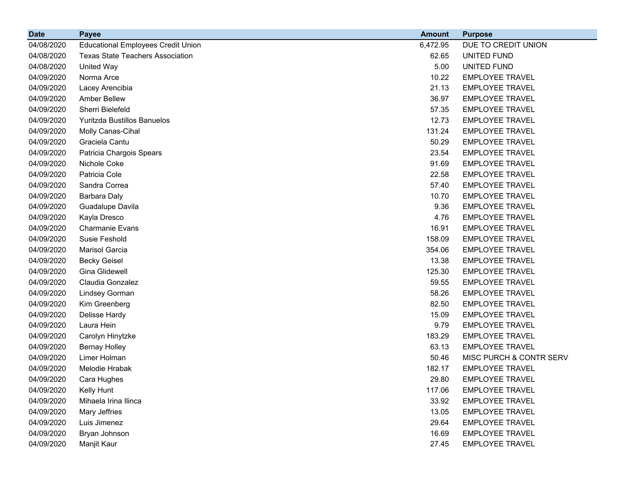| <b>Date</b> | <b>Payee</b>                              | <b>Amount</b> | <b>Purpose</b>          |
|-------------|-------------------------------------------|---------------|-------------------------|
| 04/08/2020  | <b>Educational Employees Credit Union</b> | 6,472.95      | DUE TO CREDIT UNION     |
| 04/08/2020  | <b>Texas State Teachers Association</b>   | 62.65         | UNITED FUND             |
| 04/08/2020  | United Way                                | 5.00          | UNITED FUND             |
| 04/09/2020  | Norma Arce                                | 10.22         | <b>EMPLOYEE TRAVEL</b>  |
| 04/09/2020  | Lacey Arencibia                           | 21.13         | <b>EMPLOYEE TRAVEL</b>  |
| 04/09/2020  | <b>Amber Bellew</b>                       | 36.97         | <b>EMPLOYEE TRAVEL</b>  |
| 04/09/2020  | Sherri Bielefeld                          | 57.35         | <b>EMPLOYEE TRAVEL</b>  |
| 04/09/2020  | Yuritzda Bustillos Banuelos               | 12.73         | <b>EMPLOYEE TRAVEL</b>  |
| 04/09/2020  | Molly Canas-Cihal                         | 131.24        | <b>EMPLOYEE TRAVEL</b>  |
| 04/09/2020  | Graciela Cantu                            | 50.29         | <b>EMPLOYEE TRAVEL</b>  |
| 04/09/2020  | Patricia Chargois Spears                  | 23.54         | <b>EMPLOYEE TRAVEL</b>  |
| 04/09/2020  | Nichole Coke                              | 91.69         | <b>EMPLOYEE TRAVEL</b>  |
| 04/09/2020  | Patricia Cole                             | 22.58         | <b>EMPLOYEE TRAVEL</b>  |
| 04/09/2020  | Sandra Correa                             | 57.40         | <b>EMPLOYEE TRAVEL</b>  |
| 04/09/2020  | <b>Barbara Daly</b>                       | 10.70         | <b>EMPLOYEE TRAVEL</b>  |
| 04/09/2020  | Guadalupe Davila                          | 9.36          | <b>EMPLOYEE TRAVEL</b>  |
| 04/09/2020  | Kayla Dresco                              | 4.76          | <b>EMPLOYEE TRAVEL</b>  |
| 04/09/2020  | <b>Charmanie Evans</b>                    | 16.91         | <b>EMPLOYEE TRAVEL</b>  |
| 04/09/2020  | Susie Feshold                             | 158.09        | <b>EMPLOYEE TRAVEL</b>  |
| 04/09/2020  | Marisol Garcia                            | 354.06        | <b>EMPLOYEE TRAVEL</b>  |
| 04/09/2020  | <b>Becky Geisel</b>                       | 13.38         | <b>EMPLOYEE TRAVEL</b>  |
| 04/09/2020  | Gina Glidewell                            | 125.30        | <b>EMPLOYEE TRAVEL</b>  |
| 04/09/2020  | Claudia Gonzalez                          | 59.55         | <b>EMPLOYEE TRAVEL</b>  |
| 04/09/2020  | Lindsey Gorman                            | 58.26         | <b>EMPLOYEE TRAVEL</b>  |
| 04/09/2020  | Kim Greenberg                             | 82.50         | <b>EMPLOYEE TRAVEL</b>  |
| 04/09/2020  | Delisse Hardy                             | 15.09         | <b>EMPLOYEE TRAVEL</b>  |
| 04/09/2020  | Laura Hein                                | 9.79          | <b>EMPLOYEE TRAVEL</b>  |
| 04/09/2020  | Carolyn Hinytzke                          | 183.29        | <b>EMPLOYEE TRAVEL</b>  |
| 04/09/2020  | <b>Bernay Holley</b>                      | 63.13         | <b>EMPLOYEE TRAVEL</b>  |
| 04/09/2020  | Limer Holman                              | 50.46         | MISC PURCH & CONTR SERV |
| 04/09/2020  | Melodie Hrabak                            | 182.17        | <b>EMPLOYEE TRAVEL</b>  |
| 04/09/2020  | Cara Hughes                               | 29.80         | <b>EMPLOYEE TRAVEL</b>  |
| 04/09/2020  | Kelly Hunt                                | 117.06        | <b>EMPLOYEE TRAVEL</b>  |
| 04/09/2020  | Mihaela Irina Ilinca                      | 33.92         | <b>EMPLOYEE TRAVEL</b>  |
| 04/09/2020  | Mary Jeffries                             | 13.05         | <b>EMPLOYEE TRAVEL</b>  |
| 04/09/2020  | Luis Jimenez                              | 29.64         | <b>EMPLOYEE TRAVEL</b>  |
| 04/09/2020  | Bryan Johnson                             | 16.69         | <b>EMPLOYEE TRAVEL</b>  |
| 04/09/2020  | Manjit Kaur                               | 27.45         | <b>EMPLOYEE TRAVEL</b>  |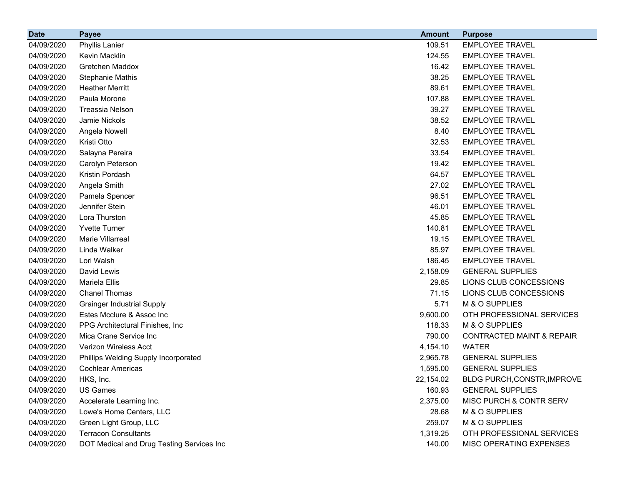| <b>Date</b> | <b>Payee</b>                              | <b>Amount</b> | <b>Purpose</b>                       |
|-------------|-------------------------------------------|---------------|--------------------------------------|
| 04/09/2020  | <b>Phyllis Lanier</b>                     | 109.51        | <b>EMPLOYEE TRAVEL</b>               |
| 04/09/2020  | Kevin Macklin                             | 124.55        | <b>EMPLOYEE TRAVEL</b>               |
| 04/09/2020  | Gretchen Maddox                           | 16.42         | <b>EMPLOYEE TRAVEL</b>               |
| 04/09/2020  | <b>Stephanie Mathis</b>                   | 38.25         | <b>EMPLOYEE TRAVEL</b>               |
| 04/09/2020  | <b>Heather Merritt</b>                    | 89.61         | <b>EMPLOYEE TRAVEL</b>               |
| 04/09/2020  | Paula Morone                              | 107.88        | <b>EMPLOYEE TRAVEL</b>               |
| 04/09/2020  | <b>Treassia Nelson</b>                    | 39.27         | <b>EMPLOYEE TRAVEL</b>               |
| 04/09/2020  | Jamie Nickols                             | 38.52         | <b>EMPLOYEE TRAVEL</b>               |
| 04/09/2020  | Angela Nowell                             | 8.40          | <b>EMPLOYEE TRAVEL</b>               |
| 04/09/2020  | Kristi Otto                               | 32.53         | <b>EMPLOYEE TRAVEL</b>               |
| 04/09/2020  | Salayna Pereira                           | 33.54         | <b>EMPLOYEE TRAVEL</b>               |
| 04/09/2020  | Carolyn Peterson                          | 19.42         | <b>EMPLOYEE TRAVEL</b>               |
| 04/09/2020  | Kristin Pordash                           | 64.57         | <b>EMPLOYEE TRAVEL</b>               |
| 04/09/2020  | Angela Smith                              | 27.02         | <b>EMPLOYEE TRAVEL</b>               |
| 04/09/2020  | Pamela Spencer                            | 96.51         | <b>EMPLOYEE TRAVEL</b>               |
| 04/09/2020  | Jennifer Stein                            | 46.01         | <b>EMPLOYEE TRAVEL</b>               |
| 04/09/2020  | Lora Thurston                             | 45.85         | <b>EMPLOYEE TRAVEL</b>               |
| 04/09/2020  | <b>Yvette Turner</b>                      | 140.81        | <b>EMPLOYEE TRAVEL</b>               |
| 04/09/2020  | Marie Villarreal                          | 19.15         | <b>EMPLOYEE TRAVEL</b>               |
| 04/09/2020  | Linda Walker                              | 85.97         | <b>EMPLOYEE TRAVEL</b>               |
| 04/09/2020  | Lori Walsh                                | 186.45        | <b>EMPLOYEE TRAVEL</b>               |
| 04/09/2020  | David Lewis                               | 2,158.09      | <b>GENERAL SUPPLIES</b>              |
| 04/09/2020  | Mariela Ellis                             | 29.85         | LIONS CLUB CONCESSIONS               |
| 04/09/2020  | <b>Chanel Thomas</b>                      | 71.15         | LIONS CLUB CONCESSIONS               |
| 04/09/2020  | <b>Grainger Industrial Supply</b>         | 5.71          | M & O SUPPLIES                       |
| 04/09/2020  | Estes Mcclure & Assoc Inc                 | 9,600.00      | OTH PROFESSIONAL SERVICES            |
| 04/09/2020  | PPG Architectural Finishes, Inc.          | 118.33        | M & O SUPPLIES                       |
| 04/09/2020  | Mica Crane Service Inc                    | 790.00        | <b>CONTRACTED MAINT &amp; REPAIR</b> |
| 04/09/2020  | Verizon Wireless Acct                     | 4,154.10      | <b>WATER</b>                         |
| 04/09/2020  | Phillips Welding Supply Incorporated      | 2,965.78      | <b>GENERAL SUPPLIES</b>              |
| 04/09/2020  | <b>Cochlear Americas</b>                  | 1,595.00      | <b>GENERAL SUPPLIES</b>              |
| 04/09/2020  | HKS, Inc.                                 | 22,154.02     | BLDG PURCH, CONSTR, IMPROVE          |
| 04/09/2020  | <b>US Games</b>                           | 160.93        | <b>GENERAL SUPPLIES</b>              |
| 04/09/2020  | Accelerate Learning Inc.                  | 2,375.00      | MISC PURCH & CONTR SERV              |
| 04/09/2020  | Lowe's Home Centers, LLC                  | 28.68         | M & O SUPPLIES                       |
| 04/09/2020  | Green Light Group, LLC                    | 259.07        | M & O SUPPLIES                       |
| 04/09/2020  | <b>Terracon Consultants</b>               | 1,319.25      | OTH PROFESSIONAL SERVICES            |
| 04/09/2020  | DOT Medical and Drug Testing Services Inc | 140.00        | MISC OPERATING EXPENSES              |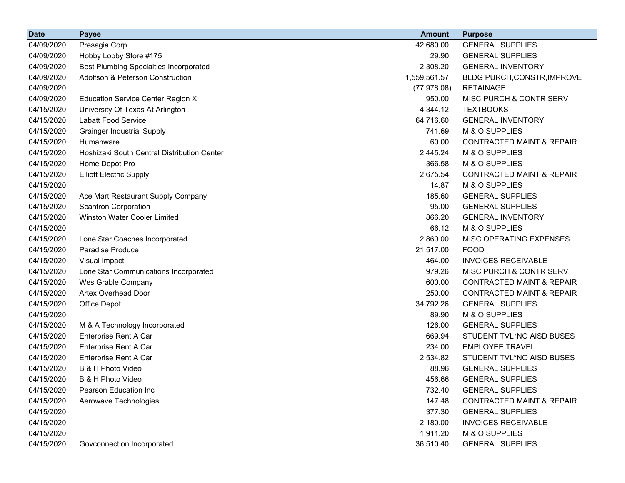| <b>Date</b> | <b>Payee</b>                                  | <b>Amount</b> | <b>Purpose</b>                       |
|-------------|-----------------------------------------------|---------------|--------------------------------------|
| 04/09/2020  | Presagia Corp                                 | 42,680.00     | <b>GENERAL SUPPLIES</b>              |
| 04/09/2020  | Hobby Lobby Store #175                        | 29.90         | <b>GENERAL SUPPLIES</b>              |
| 04/09/2020  | <b>Best Plumbing Specialties Incorporated</b> | 2,308.20      | <b>GENERAL INVENTORY</b>             |
| 04/09/2020  | <b>Adolfson &amp; Peterson Construction</b>   | 1,559,561.57  | BLDG PURCH, CONSTR, IMPROVE          |
| 04/09/2020  |                                               | (77, 978.08)  | <b>RETAINAGE</b>                     |
| 04/09/2020  | <b>Education Service Center Region XI</b>     | 950.00        | MISC PURCH & CONTR SERV              |
| 04/15/2020  | University Of Texas At Arlington              | 4,344.12      | <b>TEXTBOOKS</b>                     |
| 04/15/2020  | <b>Labatt Food Service</b>                    | 64,716.60     | <b>GENERAL INVENTORY</b>             |
| 04/15/2020  | <b>Grainger Industrial Supply</b>             | 741.69        | M & O SUPPLIES                       |
| 04/15/2020  | Humanware                                     | 60.00         | <b>CONTRACTED MAINT &amp; REPAIR</b> |
| 04/15/2020  | Hoshizaki South Central Distribution Center   | 2,445.24      | M & O SUPPLIES                       |
| 04/15/2020  | Home Depot Pro                                | 366.58        | M & O SUPPLIES                       |
| 04/15/2020  | <b>Elliott Electric Supply</b>                | 2,675.54      | <b>CONTRACTED MAINT &amp; REPAIR</b> |
| 04/15/2020  |                                               | 14.87         | M & O SUPPLIES                       |
| 04/15/2020  | Ace Mart Restaurant Supply Company            | 185.60        | <b>GENERAL SUPPLIES</b>              |
| 04/15/2020  | <b>Scantron Corporation</b>                   | 95.00         | <b>GENERAL SUPPLIES</b>              |
| 04/15/2020  | <b>Winston Water Cooler Limited</b>           | 866.20        | <b>GENERAL INVENTORY</b>             |
| 04/15/2020  |                                               | 66.12         | M & O SUPPLIES                       |
| 04/15/2020  | Lone Star Coaches Incorporated                | 2,860.00      | MISC OPERATING EXPENSES              |
| 04/15/2020  | Paradise Produce                              | 21,517.00     | <b>FOOD</b>                          |
| 04/15/2020  | Visual Impact                                 | 464.00        | <b>INVOICES RECEIVABLE</b>           |
| 04/15/2020  | Lone Star Communications Incorporated         | 979.26        | MISC PURCH & CONTR SERV              |
| 04/15/2020  | Wes Grable Company                            | 600.00        | <b>CONTRACTED MAINT &amp; REPAIR</b> |
| 04/15/2020  | Artex Overhead Door                           | 250.00        | <b>CONTRACTED MAINT &amp; REPAIR</b> |
| 04/15/2020  | Office Depot                                  | 34,792.26     | <b>GENERAL SUPPLIES</b>              |
| 04/15/2020  |                                               | 89.90         | M & O SUPPLIES                       |
| 04/15/2020  | M & A Technology Incorporated                 | 126.00        | <b>GENERAL SUPPLIES</b>              |
| 04/15/2020  | Enterprise Rent A Car                         | 669.94        | STUDENT TVL*NO AISD BUSES            |
| 04/15/2020  | Enterprise Rent A Car                         | 234.00        | <b>EMPLOYEE TRAVEL</b>               |
| 04/15/2020  | Enterprise Rent A Car                         | 2,534.82      | STUDENT TVL*NO AISD BUSES            |
| 04/15/2020  | B & H Photo Video                             | 88.96         | <b>GENERAL SUPPLIES</b>              |
| 04/15/2020  | B & H Photo Video                             | 456.66        | <b>GENERAL SUPPLIES</b>              |
| 04/15/2020  | Pearson Education Inc                         | 732.40        | <b>GENERAL SUPPLIES</b>              |
| 04/15/2020  | Aerowave Technologies                         | 147.48        | <b>CONTRACTED MAINT &amp; REPAIR</b> |
| 04/15/2020  |                                               | 377.30        | <b>GENERAL SUPPLIES</b>              |
| 04/15/2020  |                                               | 2,180.00      | <b>INVOICES RECEIVABLE</b>           |
| 04/15/2020  |                                               | 1,911.20      | M & O SUPPLIES                       |
| 04/15/2020  | Govconnection Incorporated                    | 36,510.40     | <b>GENERAL SUPPLIES</b>              |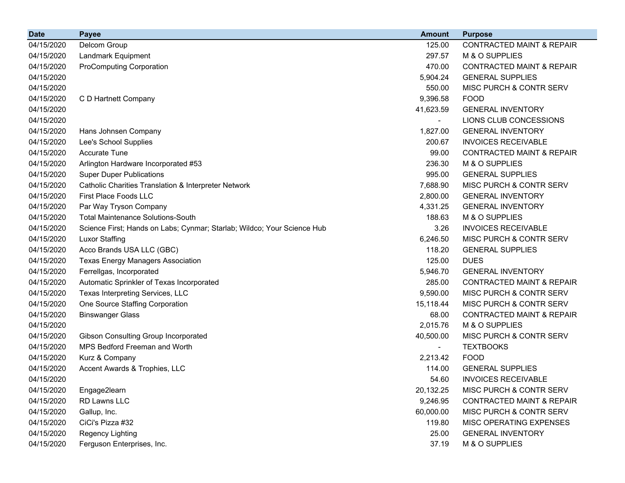| <b>Date</b> | <b>Payee</b>                                                            | <b>Amount</b> | <b>Purpose</b>                       |
|-------------|-------------------------------------------------------------------------|---------------|--------------------------------------|
| 04/15/2020  | Delcom Group                                                            | 125.00        | <b>CONTRACTED MAINT &amp; REPAIR</b> |
| 04/15/2020  | Landmark Equipment                                                      | 297.57        | M & O SUPPLIES                       |
| 04/15/2020  | <b>ProComputing Corporation</b>                                         | 470.00        | <b>CONTRACTED MAINT &amp; REPAIR</b> |
| 04/15/2020  |                                                                         | 5,904.24      | <b>GENERAL SUPPLIES</b>              |
| 04/15/2020  |                                                                         | 550.00        | MISC PURCH & CONTR SERV              |
| 04/15/2020  | C D Hartnett Company                                                    | 9,396.58      | <b>FOOD</b>                          |
| 04/15/2020  |                                                                         | 41,623.59     | <b>GENERAL INVENTORY</b>             |
| 04/15/2020  |                                                                         |               | LIONS CLUB CONCESSIONS               |
| 04/15/2020  | Hans Johnsen Company                                                    | 1,827.00      | <b>GENERAL INVENTORY</b>             |
| 04/15/2020  | Lee's School Supplies                                                   | 200.67        | <b>INVOICES RECEIVABLE</b>           |
| 04/15/2020  | <b>Accurate Tune</b>                                                    | 99.00         | <b>CONTRACTED MAINT &amp; REPAIR</b> |
| 04/15/2020  | Arlington Hardware Incorporated #53                                     | 236.30        | M & O SUPPLIES                       |
| 04/15/2020  | <b>Super Duper Publications</b>                                         | 995.00        | <b>GENERAL SUPPLIES</b>              |
| 04/15/2020  | Catholic Charities Translation & Interpreter Network                    | 7,688.90      | MISC PURCH & CONTR SERV              |
| 04/15/2020  | <b>First Place Foods LLC</b>                                            | 2,800.00      | <b>GENERAL INVENTORY</b>             |
| 04/15/2020  | Par Way Tryson Company                                                  | 4,331.25      | <b>GENERAL INVENTORY</b>             |
| 04/15/2020  | <b>Total Maintenance Solutions-South</b>                                | 188.63        | M & O SUPPLIES                       |
| 04/15/2020  | Science First; Hands on Labs; Cynmar; Starlab; Wildco; Your Science Hub | 3.26          | <b>INVOICES RECEIVABLE</b>           |
| 04/15/2020  | <b>Luxor Staffing</b>                                                   | 6,246.50      | MISC PURCH & CONTR SERV              |
| 04/15/2020  | Acco Brands USA LLC (GBC)                                               | 118.20        | <b>GENERAL SUPPLIES</b>              |
| 04/15/2020  | <b>Texas Energy Managers Association</b>                                | 125.00        | <b>DUES</b>                          |
| 04/15/2020  | Ferrellgas, Incorporated                                                | 5,946.70      | <b>GENERAL INVENTORY</b>             |
| 04/15/2020  | Automatic Sprinkler of Texas Incorporated                               | 285.00        | <b>CONTRACTED MAINT &amp; REPAIR</b> |
| 04/15/2020  | Texas Interpreting Services, LLC                                        | 9,590.00      | MISC PURCH & CONTR SERV              |
| 04/15/2020  | One Source Staffing Corporation                                         | 15,118.44     | MISC PURCH & CONTR SERV              |
| 04/15/2020  | <b>Binswanger Glass</b>                                                 | 68.00         | <b>CONTRACTED MAINT &amp; REPAIR</b> |
| 04/15/2020  |                                                                         | 2,015.76      | M & O SUPPLIES                       |
| 04/15/2020  | Gibson Consulting Group Incorporated                                    | 40,500.00     | MISC PURCH & CONTR SERV              |
| 04/15/2020  | MPS Bedford Freeman and Worth                                           |               | <b>TEXTBOOKS</b>                     |
| 04/15/2020  | Kurz & Company                                                          | 2,213.42      | <b>FOOD</b>                          |
| 04/15/2020  | Accent Awards & Trophies, LLC                                           | 114.00        | <b>GENERAL SUPPLIES</b>              |
| 04/15/2020  |                                                                         | 54.60         | <b>INVOICES RECEIVABLE</b>           |
| 04/15/2020  | Engage2learn                                                            | 20,132.25     | MISC PURCH & CONTR SERV              |
| 04/15/2020  | RD Lawns LLC                                                            | 9,246.95      | <b>CONTRACTED MAINT &amp; REPAIR</b> |
| 04/15/2020  | Gallup, Inc.                                                            | 60,000.00     | MISC PURCH & CONTR SERV              |
| 04/15/2020  | CiCi's Pizza #32                                                        | 119.80        | MISC OPERATING EXPENSES              |
| 04/15/2020  | Regency Lighting                                                        | 25.00         | <b>GENERAL INVENTORY</b>             |
| 04/15/2020  | Ferguson Enterprises, Inc.                                              | 37.19         | M & O SUPPLIES                       |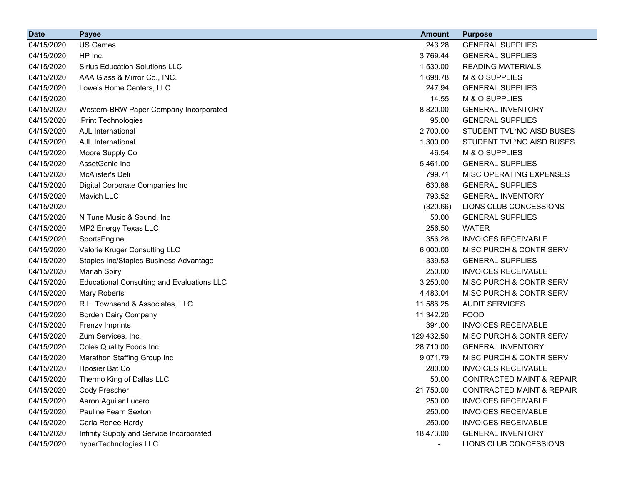| <b>Date</b> | <b>Payee</b>                                      | <b>Amount</b>  | <b>Purpose</b>                       |
|-------------|---------------------------------------------------|----------------|--------------------------------------|
| 04/15/2020  | <b>US Games</b>                                   | 243.28         | <b>GENERAL SUPPLIES</b>              |
| 04/15/2020  | HP Inc.                                           | 3,769.44       | <b>GENERAL SUPPLIES</b>              |
| 04/15/2020  | <b>Sirius Education Solutions LLC</b>             | 1,530.00       | <b>READING MATERIALS</b>             |
| 04/15/2020  | AAA Glass & Mirror Co., INC.                      | 1,698.78       | M & O SUPPLIES                       |
| 04/15/2020  | Lowe's Home Centers, LLC                          | 247.94         | <b>GENERAL SUPPLIES</b>              |
| 04/15/2020  |                                                   | 14.55          | M & O SUPPLIES                       |
| 04/15/2020  | Western-BRW Paper Company Incorporated            | 8,820.00       | <b>GENERAL INVENTORY</b>             |
| 04/15/2020  | iPrint Technologies                               | 95.00          | <b>GENERAL SUPPLIES</b>              |
| 04/15/2020  | <b>AJL</b> International                          | 2,700.00       | STUDENT TVL*NO AISD BUSES            |
| 04/15/2020  | AJL International                                 | 1,300.00       | STUDENT TVL*NO AISD BUSES            |
| 04/15/2020  | Moore Supply Co                                   | 46.54          | M & O SUPPLIES                       |
| 04/15/2020  | AssetGenie Inc                                    | 5,461.00       | <b>GENERAL SUPPLIES</b>              |
| 04/15/2020  | McAlister's Deli                                  | 799.71         | MISC OPERATING EXPENSES              |
| 04/15/2020  | Digital Corporate Companies Inc                   | 630.88         | <b>GENERAL SUPPLIES</b>              |
| 04/15/2020  | Mavich LLC                                        | 793.52         | <b>GENERAL INVENTORY</b>             |
| 04/15/2020  |                                                   | (320.66)       | LIONS CLUB CONCESSIONS               |
| 04/15/2020  | N Tune Music & Sound, Inc.                        | 50.00          | <b>GENERAL SUPPLIES</b>              |
| 04/15/2020  | MP2 Energy Texas LLC                              | 256.50         | <b>WATER</b>                         |
| 04/15/2020  | SportsEngine                                      | 356.28         | <b>INVOICES RECEIVABLE</b>           |
| 04/15/2020  | Valorie Kruger Consulting LLC                     | 6,000.00       | MISC PURCH & CONTR SERV              |
| 04/15/2020  | Staples Inc/Staples Business Advantage            | 339.53         | <b>GENERAL SUPPLIES</b>              |
| 04/15/2020  | <b>Mariah Spiry</b>                               | 250.00         | <b>INVOICES RECEIVABLE</b>           |
| 04/15/2020  | <b>Educational Consulting and Evaluations LLC</b> | 3,250.00       | MISC PURCH & CONTR SERV              |
| 04/15/2020  | Mary Roberts                                      | 4,483.04       | MISC PURCH & CONTR SERV              |
| 04/15/2020  | R.L. Townsend & Associates, LLC                   | 11,586.25      | <b>AUDIT SERVICES</b>                |
| 04/15/2020  | <b>Borden Dairy Company</b>                       | 11,342.20      | <b>FOOD</b>                          |
| 04/15/2020  | <b>Frenzy Imprints</b>                            | 394.00         | <b>INVOICES RECEIVABLE</b>           |
| 04/15/2020  | Zum Services, Inc.                                | 129,432.50     | MISC PURCH & CONTR SERV              |
| 04/15/2020  | Coles Quality Foods Inc                           | 28,710.00      | <b>GENERAL INVENTORY</b>             |
| 04/15/2020  | Marathon Staffing Group Inc                       | 9,071.79       | MISC PURCH & CONTR SERV              |
| 04/15/2020  | Hoosier Bat Co                                    | 280.00         | <b>INVOICES RECEIVABLE</b>           |
| 04/15/2020  | Thermo King of Dallas LLC                         | 50.00          | <b>CONTRACTED MAINT &amp; REPAIR</b> |
| 04/15/2020  | Cody Prescher                                     | 21,750.00      | <b>CONTRACTED MAINT &amp; REPAIR</b> |
| 04/15/2020  | Aaron Aguilar Lucero                              | 250.00         | <b>INVOICES RECEIVABLE</b>           |
| 04/15/2020  | Pauline Fearn Sexton                              | 250.00         | <b>INVOICES RECEIVABLE</b>           |
| 04/15/2020  | Carla Renee Hardy                                 | 250.00         | <b>INVOICES RECEIVABLE</b>           |
| 04/15/2020  | Infinity Supply and Service Incorporated          | 18,473.00      | <b>GENERAL INVENTORY</b>             |
| 04/15/2020  | hyperTechnologies LLC                             | $\blacksquare$ | LIONS CLUB CONCESSIONS               |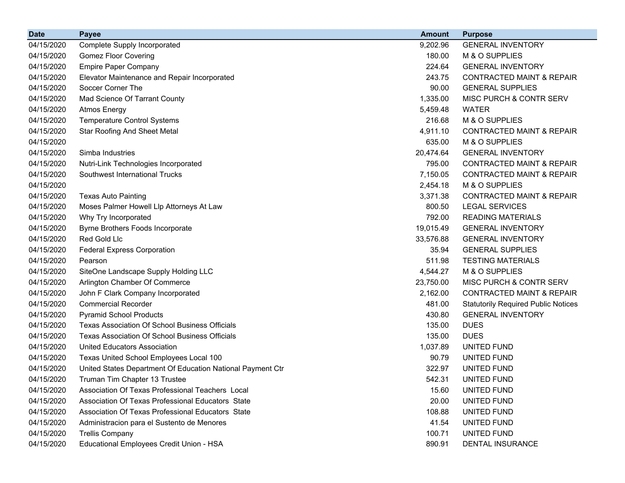| <b>Date</b> | <b>Payee</b>                                               | <b>Amount</b> | <b>Purpose</b>                             |
|-------------|------------------------------------------------------------|---------------|--------------------------------------------|
| 04/15/2020  | <b>Complete Supply Incorporated</b>                        | 9,202.96      | <b>GENERAL INVENTORY</b>                   |
| 04/15/2020  | <b>Gomez Floor Covering</b>                                | 180.00        | M & O SUPPLIES                             |
| 04/15/2020  | <b>Empire Paper Company</b>                                | 224.64        | <b>GENERAL INVENTORY</b>                   |
| 04/15/2020  | Elevator Maintenance and Repair Incorporated               | 243.75        | <b>CONTRACTED MAINT &amp; REPAIR</b>       |
| 04/15/2020  | Soccer Corner The                                          | 90.00         | <b>GENERAL SUPPLIES</b>                    |
| 04/15/2020  | Mad Science Of Tarrant County                              | 1,335.00      | MISC PURCH & CONTR SERV                    |
| 04/15/2020  | <b>Atmos Energy</b>                                        | 5,459.48      | <b>WATER</b>                               |
| 04/15/2020  | <b>Temperature Control Systems</b>                         | 216.68        | M & O SUPPLIES                             |
| 04/15/2020  | <b>Star Roofing And Sheet Metal</b>                        | 4,911.10      | <b>CONTRACTED MAINT &amp; REPAIR</b>       |
| 04/15/2020  |                                                            | 635.00        | M & O SUPPLIES                             |
| 04/15/2020  | Simba Industries                                           | 20,474.64     | <b>GENERAL INVENTORY</b>                   |
| 04/15/2020  | Nutri-Link Technologies Incorporated                       | 795.00        | <b>CONTRACTED MAINT &amp; REPAIR</b>       |
| 04/15/2020  | Southwest International Trucks                             | 7,150.05      | <b>CONTRACTED MAINT &amp; REPAIR</b>       |
| 04/15/2020  |                                                            | 2,454.18      | M & O SUPPLIES                             |
| 04/15/2020  | <b>Texas Auto Painting</b>                                 | 3,371.38      | <b>CONTRACTED MAINT &amp; REPAIR</b>       |
| 04/15/2020  | Moses Palmer Howell Llp Attorneys At Law                   | 800.50        | <b>LEGAL SERVICES</b>                      |
| 04/15/2020  | Why Try Incorporated                                       | 792.00        | <b>READING MATERIALS</b>                   |
| 04/15/2020  | Byrne Brothers Foods Incorporate                           | 19,015.49     | <b>GENERAL INVENTORY</b>                   |
| 04/15/2020  | <b>Red Gold Llc</b>                                        | 33,576.88     | <b>GENERAL INVENTORY</b>                   |
| 04/15/2020  | <b>Federal Express Corporation</b>                         | 35.94         | <b>GENERAL SUPPLIES</b>                    |
| 04/15/2020  | Pearson                                                    | 511.98        | <b>TESTING MATERIALS</b>                   |
| 04/15/2020  | SiteOne Landscape Supply Holding LLC                       | 4,544.27      | M & O SUPPLIES                             |
| 04/15/2020  | Arlington Chamber Of Commerce                              | 23,750.00     | MISC PURCH & CONTR SERV                    |
| 04/15/2020  | John F Clark Company Incorporated                          | 2,162.00      | <b>CONTRACTED MAINT &amp; REPAIR</b>       |
| 04/15/2020  | <b>Commercial Recorder</b>                                 | 481.00        | <b>Statutorily Required Public Notices</b> |
| 04/15/2020  | <b>Pyramid School Products</b>                             | 430.80        | <b>GENERAL INVENTORY</b>                   |
| 04/15/2020  | <b>Texas Association Of School Business Officials</b>      | 135.00        | <b>DUES</b>                                |
| 04/15/2020  | <b>Texas Association Of School Business Officials</b>      | 135.00        | <b>DUES</b>                                |
| 04/15/2020  | <b>United Educators Association</b>                        | 1,037.89      | UNITED FUND                                |
| 04/15/2020  | Texas United School Employees Local 100                    | 90.79         | UNITED FUND                                |
| 04/15/2020  | United States Department Of Education National Payment Ctr | 322.97        | UNITED FUND                                |
| 04/15/2020  | Truman Tim Chapter 13 Trustee                              | 542.31        | UNITED FUND                                |
| 04/15/2020  | Association Of Texas Professional Teachers Local           | 15.60         | UNITED FUND                                |
| 04/15/2020  | Association Of Texas Professional Educators State          | 20.00         | UNITED FUND                                |
| 04/15/2020  | Association Of Texas Professional Educators State          | 108.88        | UNITED FUND                                |
| 04/15/2020  | Administracion para el Sustento de Menores                 | 41.54         | UNITED FUND                                |
| 04/15/2020  | <b>Trellis Company</b>                                     | 100.71        | UNITED FUND                                |
| 04/15/2020  | Educational Employees Credit Union - HSA                   | 890.91        | DENTAL INSURANCE                           |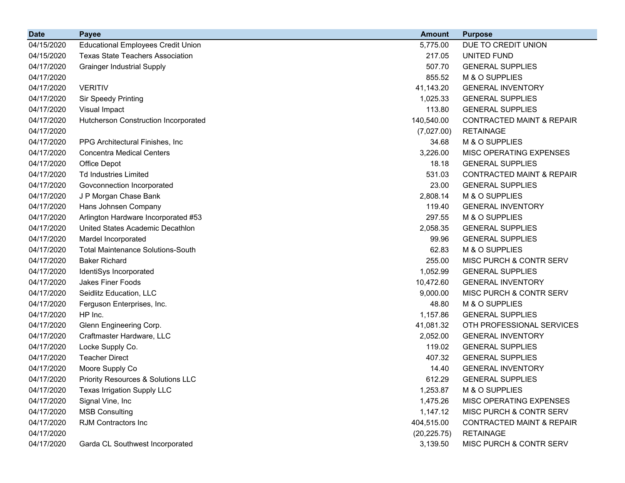| <b>Date</b> | <b>Payee</b>                                  | <b>Amount</b> | <b>Purpose</b>                       |
|-------------|-----------------------------------------------|---------------|--------------------------------------|
| 04/15/2020  | <b>Educational Employees Credit Union</b>     | 5,775.00      | DUE TO CREDIT UNION                  |
| 04/15/2020  | <b>Texas State Teachers Association</b>       | 217.05        | UNITED FUND                          |
| 04/17/2020  | <b>Grainger Industrial Supply</b>             | 507.70        | <b>GENERAL SUPPLIES</b>              |
| 04/17/2020  |                                               | 855.52        | M & O SUPPLIES                       |
| 04/17/2020  | <b>VERITIV</b>                                | 41,143.20     | <b>GENERAL INVENTORY</b>             |
| 04/17/2020  | Sir Speedy Printing                           | 1,025.33      | <b>GENERAL SUPPLIES</b>              |
| 04/17/2020  | Visual Impact                                 | 113.80        | <b>GENERAL SUPPLIES</b>              |
| 04/17/2020  | Hutcherson Construction Incorporated          | 140,540.00    | <b>CONTRACTED MAINT &amp; REPAIR</b> |
| 04/17/2020  |                                               | (7,027.00)    | <b>RETAINAGE</b>                     |
| 04/17/2020  | PPG Architectural Finishes, Inc.              | 34.68         | M & O SUPPLIES                       |
| 04/17/2020  | <b>Concentra Medical Centers</b>              | 3,226.00      | MISC OPERATING EXPENSES              |
| 04/17/2020  | Office Depot                                  | 18.18         | <b>GENERAL SUPPLIES</b>              |
| 04/17/2020  | <b>Td Industries Limited</b>                  | 531.03        | <b>CONTRACTED MAINT &amp; REPAIR</b> |
| 04/17/2020  | Govconnection Incorporated                    | 23.00         | <b>GENERAL SUPPLIES</b>              |
| 04/17/2020  | J P Morgan Chase Bank                         | 2,808.14      | M & O SUPPLIES                       |
| 04/17/2020  | Hans Johnsen Company                          | 119.40        | <b>GENERAL INVENTORY</b>             |
| 04/17/2020  | Arlington Hardware Incorporated #53           | 297.55        | M & O SUPPLIES                       |
| 04/17/2020  | United States Academic Decathlon              | 2,058.35      | <b>GENERAL SUPPLIES</b>              |
| 04/17/2020  | Mardel Incorporated                           | 99.96         | <b>GENERAL SUPPLIES</b>              |
| 04/17/2020  | <b>Total Maintenance Solutions-South</b>      | 62.83         | M & O SUPPLIES                       |
| 04/17/2020  | <b>Baker Richard</b>                          | 255.00        | MISC PURCH & CONTR SERV              |
| 04/17/2020  | IdentiSys Incorporated                        | 1,052.99      | <b>GENERAL SUPPLIES</b>              |
| 04/17/2020  | Jakes Finer Foods                             | 10,472.60     | <b>GENERAL INVENTORY</b>             |
| 04/17/2020  | Seidlitz Education, LLC                       | 9,000.00      | MISC PURCH & CONTR SERV              |
| 04/17/2020  | Ferguson Enterprises, Inc.                    | 48.80         | M & O SUPPLIES                       |
| 04/17/2020  | HP Inc.                                       | 1,157.86      | <b>GENERAL SUPPLIES</b>              |
| 04/17/2020  | Glenn Engineering Corp.                       | 41,081.32     | OTH PROFESSIONAL SERVICES            |
| 04/17/2020  | Craftmaster Hardware, LLC                     | 2,052.00      | <b>GENERAL INVENTORY</b>             |
| 04/17/2020  | Locke Supply Co.                              | 119.02        | <b>GENERAL SUPPLIES</b>              |
| 04/17/2020  | <b>Teacher Direct</b>                         | 407.32        | <b>GENERAL SUPPLIES</b>              |
| 04/17/2020  | Moore Supply Co                               | 14.40         | <b>GENERAL INVENTORY</b>             |
| 04/17/2020  | <b>Priority Resources &amp; Solutions LLC</b> | 612.29        | <b>GENERAL SUPPLIES</b>              |
| 04/17/2020  | Texas Irrigation Supply LLC                   | 1,253.87      | M & O SUPPLIES                       |
| 04/17/2020  | Signal Vine, Inc                              | 1,475.26      | MISC OPERATING EXPENSES              |
| 04/17/2020  | <b>MSB Consulting</b>                         | 1,147.12      | MISC PURCH & CONTR SERV              |
| 04/17/2020  | RJM Contractors Inc                           | 404,515.00    | <b>CONTRACTED MAINT &amp; REPAIR</b> |
| 04/17/2020  |                                               | (20, 225.75)  | <b>RETAINAGE</b>                     |
| 04/17/2020  | Garda CL Southwest Incorporated               | 3,139.50      | MISC PURCH & CONTR SERV              |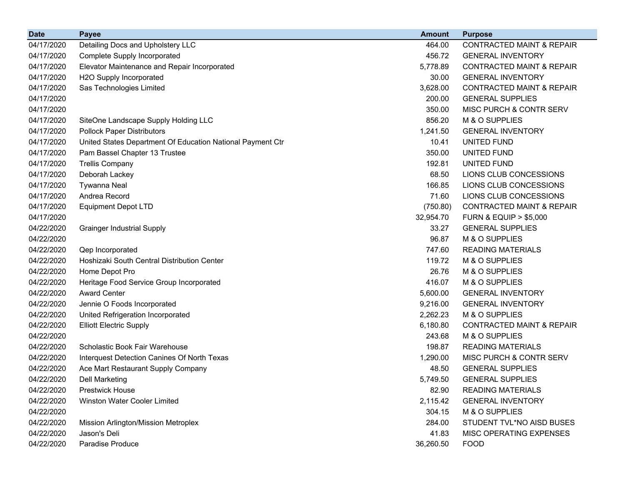| <b>Date</b> | <b>Payee</b>                                               | <b>Amount</b> | <b>Purpose</b>                       |
|-------------|------------------------------------------------------------|---------------|--------------------------------------|
| 04/17/2020  | Detailing Docs and Upholstery LLC                          | 464.00        | <b>CONTRACTED MAINT &amp; REPAIR</b> |
| 04/17/2020  | <b>Complete Supply Incorporated</b>                        | 456.72        | <b>GENERAL INVENTORY</b>             |
| 04/17/2020  | Elevator Maintenance and Repair Incorporated               | 5,778.89      | <b>CONTRACTED MAINT &amp; REPAIR</b> |
| 04/17/2020  | H2O Supply Incorporated                                    | 30.00         | <b>GENERAL INVENTORY</b>             |
| 04/17/2020  | Sas Technologies Limited                                   | 3,628.00      | <b>CONTRACTED MAINT &amp; REPAIR</b> |
| 04/17/2020  |                                                            | 200.00        | <b>GENERAL SUPPLIES</b>              |
| 04/17/2020  |                                                            | 350.00        | MISC PURCH & CONTR SERV              |
| 04/17/2020  | SiteOne Landscape Supply Holding LLC                       | 856.20        | M & O SUPPLIES                       |
| 04/17/2020  | <b>Pollock Paper Distributors</b>                          | 1,241.50      | <b>GENERAL INVENTORY</b>             |
| 04/17/2020  | United States Department Of Education National Payment Ctr | 10.41         | UNITED FUND                          |
| 04/17/2020  | Pam Bassel Chapter 13 Trustee                              | 350.00        | UNITED FUND                          |
| 04/17/2020  | <b>Trellis Company</b>                                     | 192.81        | UNITED FUND                          |
| 04/17/2020  | Deborah Lackey                                             | 68.50         | LIONS CLUB CONCESSIONS               |
| 04/17/2020  | <b>Tywanna Neal</b>                                        | 166.85        | LIONS CLUB CONCESSIONS               |
| 04/17/2020  | Andrea Record                                              | 71.60         | LIONS CLUB CONCESSIONS               |
| 04/17/2020  | <b>Equipment Depot LTD</b>                                 | (750.80)      | <b>CONTRACTED MAINT &amp; REPAIR</b> |
| 04/17/2020  |                                                            | 32,954.70     | <b>FURN &amp; EQUIP &gt; \$5,000</b> |
| 04/22/2020  | <b>Grainger Industrial Supply</b>                          | 33.27         | <b>GENERAL SUPPLIES</b>              |
| 04/22/2020  |                                                            | 96.87         | M & O SUPPLIES                       |
| 04/22/2020  | Qep Incorporated                                           | 747.60        | <b>READING MATERIALS</b>             |
| 04/22/2020  | Hoshizaki South Central Distribution Center                | 119.72        | M & O SUPPLIES                       |
| 04/22/2020  | Home Depot Pro                                             | 26.76         | M & O SUPPLIES                       |
| 04/22/2020  | Heritage Food Service Group Incorporated                   | 416.07        | M & O SUPPLIES                       |
| 04/22/2020  | <b>Award Center</b>                                        | 5,600.00      | <b>GENERAL INVENTORY</b>             |
| 04/22/2020  | Jennie O Foods Incorporated                                | 9,216.00      | <b>GENERAL INVENTORY</b>             |
| 04/22/2020  | United Refrigeration Incorporated                          | 2,262.23      | M & O SUPPLIES                       |
| 04/22/2020  | <b>Elliott Electric Supply</b>                             | 6,180.80      | <b>CONTRACTED MAINT &amp; REPAIR</b> |
| 04/22/2020  |                                                            | 243.68        | M & O SUPPLIES                       |
| 04/22/2020  | Scholastic Book Fair Warehouse                             | 198.87        | <b>READING MATERIALS</b>             |
| 04/22/2020  | Interquest Detection Canines Of North Texas                | 1,290.00      | MISC PURCH & CONTR SERV              |
| 04/22/2020  | Ace Mart Restaurant Supply Company                         | 48.50         | <b>GENERAL SUPPLIES</b>              |
| 04/22/2020  | <b>Dell Marketing</b>                                      | 5,749.50      | <b>GENERAL SUPPLIES</b>              |
| 04/22/2020  | <b>Prestwick House</b>                                     | 82.90         | <b>READING MATERIALS</b>             |
| 04/22/2020  | Winston Water Cooler Limited                               | 2,115.42      | <b>GENERAL INVENTORY</b>             |
| 04/22/2020  |                                                            | 304.15        | M & O SUPPLIES                       |
| 04/22/2020  | Mission Arlington/Mission Metroplex                        | 284.00        | STUDENT TVL*NO AISD BUSES            |
| 04/22/2020  | Jason's Deli                                               | 41.83         | MISC OPERATING EXPENSES              |
| 04/22/2020  | Paradise Produce                                           | 36,260.50     | <b>FOOD</b>                          |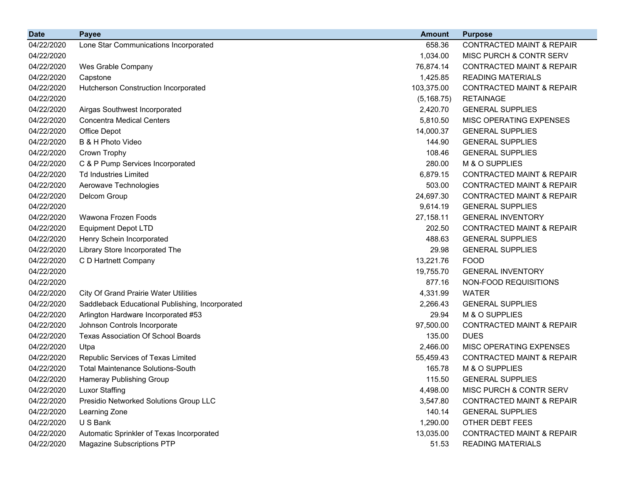| <b>Date</b> | <b>Payee</b>                                    | <b>Amount</b> | <b>Purpose</b>                       |
|-------------|-------------------------------------------------|---------------|--------------------------------------|
| 04/22/2020  | Lone Star Communications Incorporated           | 658.36        | <b>CONTRACTED MAINT &amp; REPAIR</b> |
| 04/22/2020  |                                                 | 1,034.00      | MISC PURCH & CONTR SERV              |
| 04/22/2020  | Wes Grable Company                              | 76,874.14     | <b>CONTRACTED MAINT &amp; REPAIR</b> |
| 04/22/2020  | Capstone                                        | 1,425.85      | <b>READING MATERIALS</b>             |
| 04/22/2020  | Hutcherson Construction Incorporated            | 103,375.00    | <b>CONTRACTED MAINT &amp; REPAIR</b> |
| 04/22/2020  |                                                 | (5, 168.75)   | <b>RETAINAGE</b>                     |
| 04/22/2020  | Airgas Southwest Incorporated                   | 2,420.70      | <b>GENERAL SUPPLIES</b>              |
| 04/22/2020  | <b>Concentra Medical Centers</b>                | 5,810.50      | MISC OPERATING EXPENSES              |
| 04/22/2020  | Office Depot                                    | 14,000.37     | <b>GENERAL SUPPLIES</b>              |
| 04/22/2020  | B & H Photo Video                               | 144.90        | <b>GENERAL SUPPLIES</b>              |
| 04/22/2020  | Crown Trophy                                    | 108.46        | <b>GENERAL SUPPLIES</b>              |
| 04/22/2020  | C & P Pump Services Incorporated                | 280.00        | M & O SUPPLIES                       |
| 04/22/2020  | <b>Td Industries Limited</b>                    | 6,879.15      | <b>CONTRACTED MAINT &amp; REPAIR</b> |
| 04/22/2020  | Aerowave Technologies                           | 503.00        | <b>CONTRACTED MAINT &amp; REPAIR</b> |
| 04/22/2020  | Delcom Group                                    | 24,697.30     | <b>CONTRACTED MAINT &amp; REPAIR</b> |
| 04/22/2020  |                                                 | 9,614.19      | <b>GENERAL SUPPLIES</b>              |
| 04/22/2020  | Wawona Frozen Foods                             | 27,158.11     | <b>GENERAL INVENTORY</b>             |
| 04/22/2020  | <b>Equipment Depot LTD</b>                      | 202.50        | <b>CONTRACTED MAINT &amp; REPAIR</b> |
| 04/22/2020  | Henry Schein Incorporated                       | 488.63        | <b>GENERAL SUPPLIES</b>              |
| 04/22/2020  | Library Store Incorporated The                  | 29.98         | <b>GENERAL SUPPLIES</b>              |
| 04/22/2020  | C D Hartnett Company                            | 13,221.76     | <b>FOOD</b>                          |
| 04/22/2020  |                                                 | 19,755.70     | <b>GENERAL INVENTORY</b>             |
| 04/22/2020  |                                                 | 877.16        | NON-FOOD REQUISITIONS                |
| 04/22/2020  | <b>City Of Grand Prairie Water Utilities</b>    | 4,331.99      | <b>WATER</b>                         |
| 04/22/2020  | Saddleback Educational Publishing, Incorporated | 2,266.43      | <b>GENERAL SUPPLIES</b>              |
| 04/22/2020  | Arlington Hardware Incorporated #53             | 29.94         | M & O SUPPLIES                       |
| 04/22/2020  | Johnson Controls Incorporate                    | 97,500.00     | <b>CONTRACTED MAINT &amp; REPAIR</b> |
| 04/22/2020  | <b>Texas Association Of School Boards</b>       | 135.00        | <b>DUES</b>                          |
| 04/22/2020  | Utpa                                            | 2,466.00      | MISC OPERATING EXPENSES              |
| 04/22/2020  | Republic Services of Texas Limited              | 55,459.43     | <b>CONTRACTED MAINT &amp; REPAIR</b> |
| 04/22/2020  | <b>Total Maintenance Solutions-South</b>        | 165.78        | M & O SUPPLIES                       |
| 04/22/2020  | Hameray Publishing Group                        | 115.50        | <b>GENERAL SUPPLIES</b>              |
| 04/22/2020  | <b>Luxor Staffing</b>                           | 4,498.00      | MISC PURCH & CONTR SERV              |
| 04/22/2020  | Presidio Networked Solutions Group LLC          | 3,547.80      | <b>CONTRACTED MAINT &amp; REPAIR</b> |
| 04/22/2020  | Learning Zone                                   | 140.14        | <b>GENERAL SUPPLIES</b>              |
| 04/22/2020  | U S Bank                                        | 1,290.00      | OTHER DEBT FEES                      |
| 04/22/2020  | Automatic Sprinkler of Texas Incorporated       | 13,035.00     | <b>CONTRACTED MAINT &amp; REPAIR</b> |
| 04/22/2020  | <b>Magazine Subscriptions PTP</b>               | 51.53         | <b>READING MATERIALS</b>             |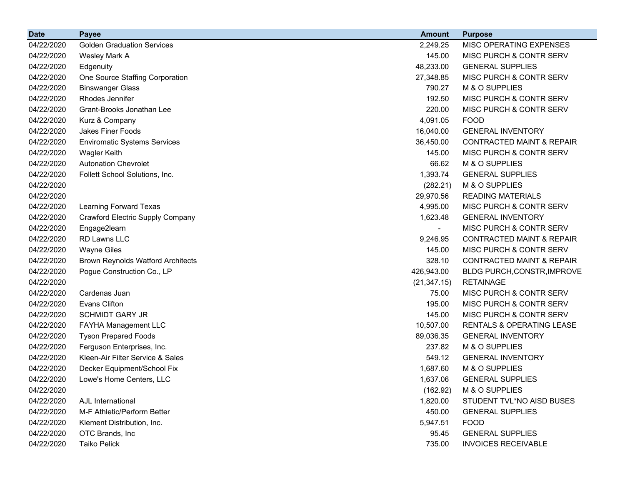| <b>Date</b> | <b>Payee</b>                             | <b>Amount</b>            | <b>Purpose</b>                       |
|-------------|------------------------------------------|--------------------------|--------------------------------------|
| 04/22/2020  | <b>Golden Graduation Services</b>        | 2,249.25                 | MISC OPERATING EXPENSES              |
| 04/22/2020  | Wesley Mark A                            | 145.00                   | MISC PURCH & CONTR SERV              |
| 04/22/2020  | Edgenuity                                | 48,233.00                | <b>GENERAL SUPPLIES</b>              |
| 04/22/2020  | One Source Staffing Corporation          | 27,348.85                | MISC PURCH & CONTR SERV              |
| 04/22/2020  | <b>Binswanger Glass</b>                  | 790.27                   | M & O SUPPLIES                       |
| 04/22/2020  | Rhodes Jennifer                          | 192.50                   | MISC PURCH & CONTR SERV              |
| 04/22/2020  | Grant-Brooks Jonathan Lee                | 220.00                   | MISC PURCH & CONTR SERV              |
| 04/22/2020  | Kurz & Company                           | 4,091.05                 | <b>FOOD</b>                          |
| 04/22/2020  | Jakes Finer Foods                        | 16,040.00                | <b>GENERAL INVENTORY</b>             |
| 04/22/2020  | <b>Enviromatic Systems Services</b>      | 36,450.00                | <b>CONTRACTED MAINT &amp; REPAIR</b> |
| 04/22/2020  | <b>Wagler Keith</b>                      | 145.00                   | <b>MISC PURCH &amp; CONTR SERV</b>   |
| 04/22/2020  | <b>Autonation Chevrolet</b>              | 66.62                    | M & O SUPPLIES                       |
| 04/22/2020  | Follett School Solutions, Inc.           | 1,393.74                 | <b>GENERAL SUPPLIES</b>              |
| 04/22/2020  |                                          | (282.21)                 | M & O SUPPLIES                       |
| 04/22/2020  |                                          | 29,970.56                | <b>READING MATERIALS</b>             |
| 04/22/2020  | Learning Forward Texas                   | 4,995.00                 | MISC PURCH & CONTR SERV              |
| 04/22/2020  | <b>Crawford Electric Supply Company</b>  | 1,623.48                 | <b>GENERAL INVENTORY</b>             |
| 04/22/2020  | Engage2learn                             | $\overline{\phantom{a}}$ | MISC PURCH & CONTR SERV              |
| 04/22/2020  | RD Lawns LLC                             | 9,246.95                 | <b>CONTRACTED MAINT &amp; REPAIR</b> |
| 04/22/2020  | <b>Wayne Giles</b>                       | 145.00                   | <b>MISC PURCH &amp; CONTR SERV</b>   |
| 04/22/2020  | <b>Brown Reynolds Watford Architects</b> | 328.10                   | <b>CONTRACTED MAINT &amp; REPAIR</b> |
| 04/22/2020  | Pogue Construction Co., LP               | 426,943.00               | BLDG PURCH, CONSTR, IMPROVE          |
| 04/22/2020  |                                          | (21, 347.15)             | <b>RETAINAGE</b>                     |
| 04/22/2020  | Cardenas Juan                            | 75.00                    | MISC PURCH & CONTR SERV              |
| 04/22/2020  | <b>Evans Clifton</b>                     | 195.00                   | <b>MISC PURCH &amp; CONTR SERV</b>   |
| 04/22/2020  | <b>SCHMIDT GARY JR</b>                   | 145.00                   | MISC PURCH & CONTR SERV              |
| 04/22/2020  | FAYHA Management LLC                     | 10,507.00                | RENTALS & OPERATING LEASE            |
| 04/22/2020  | <b>Tyson Prepared Foods</b>              | 89,036.35                | <b>GENERAL INVENTORY</b>             |
| 04/22/2020  | Ferguson Enterprises, Inc.               | 237.82                   | M & O SUPPLIES                       |
| 04/22/2020  | Kleen-Air Filter Service & Sales         | 549.12                   | <b>GENERAL INVENTORY</b>             |
| 04/22/2020  | Decker Equipment/School Fix              | 1,687.60                 | M & O SUPPLIES                       |
| 04/22/2020  | Lowe's Home Centers, LLC                 | 1,637.06                 | <b>GENERAL SUPPLIES</b>              |
| 04/22/2020  |                                          | (162.92)                 | M & O SUPPLIES                       |
| 04/22/2020  | AJL International                        | 1,820.00                 | STUDENT TVL*NO AISD BUSES            |
| 04/22/2020  | M-F Athletic/Perform Better              | 450.00                   | <b>GENERAL SUPPLIES</b>              |
| 04/22/2020  | Klement Distribution, Inc.               | 5,947.51                 | <b>FOOD</b>                          |
| 04/22/2020  | OTC Brands, Inc                          | 95.45                    | <b>GENERAL SUPPLIES</b>              |
| 04/22/2020  | Taiko Pelick                             | 735.00                   | <b>INVOICES RECEIVABLE</b>           |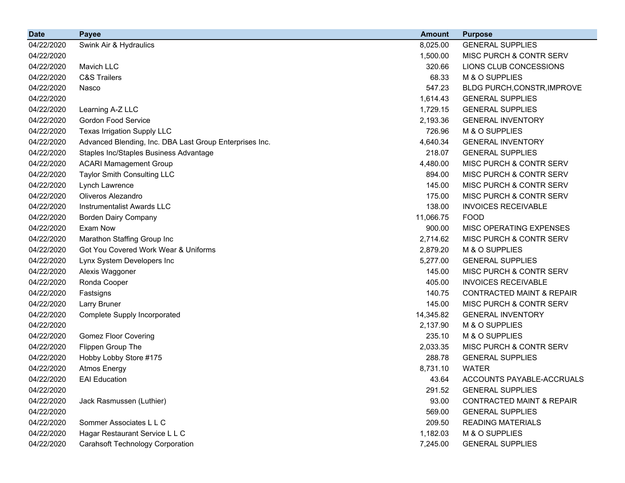| <b>Date</b> | <b>Payee</b>                                            | <b>Amount</b> | <b>Purpose</b>                       |
|-------------|---------------------------------------------------------|---------------|--------------------------------------|
| 04/22/2020  | Swink Air & Hydraulics                                  | 8,025.00      | <b>GENERAL SUPPLIES</b>              |
| 04/22/2020  |                                                         | 1,500.00      | MISC PURCH & CONTR SERV              |
| 04/22/2020  | Mavich LLC                                              | 320.66        | LIONS CLUB CONCESSIONS               |
| 04/22/2020  | <b>C&amp;S Trailers</b>                                 | 68.33         | M & O SUPPLIES                       |
| 04/22/2020  | Nasco                                                   | 547.23        | BLDG PURCH, CONSTR, IMPROVE          |
| 04/22/2020  |                                                         | 1,614.43      | <b>GENERAL SUPPLIES</b>              |
| 04/22/2020  | Learning A-Z LLC                                        | 1,729.15      | <b>GENERAL SUPPLIES</b>              |
| 04/22/2020  | <b>Gordon Food Service</b>                              | 2,193.36      | <b>GENERAL INVENTORY</b>             |
| 04/22/2020  | <b>Texas Irrigation Supply LLC</b>                      | 726.96        | M & O SUPPLIES                       |
| 04/22/2020  | Advanced Blending, Inc. DBA Last Group Enterprises Inc. | 4,640.34      | <b>GENERAL INVENTORY</b>             |
| 04/22/2020  | Staples Inc/Staples Business Advantage                  | 218.07        | <b>GENERAL SUPPLIES</b>              |
| 04/22/2020  | <b>ACARI Mamagement Group</b>                           | 4,480.00      | MISC PURCH & CONTR SERV              |
| 04/22/2020  | <b>Taylor Smith Consulting LLC</b>                      | 894.00        | MISC PURCH & CONTR SERV              |
| 04/22/2020  | Lynch Lawrence                                          | 145.00        | MISC PURCH & CONTR SERV              |
| 04/22/2020  | Oliveros Alezandro                                      | 175.00        | MISC PURCH & CONTR SERV              |
| 04/22/2020  | <b>Instrumentalist Awards LLC</b>                       | 138.00        | <b>INVOICES RECEIVABLE</b>           |
| 04/22/2020  | <b>Borden Dairy Company</b>                             | 11,066.75     | <b>FOOD</b>                          |
| 04/22/2020  | Exam Now                                                | 900.00        | MISC OPERATING EXPENSES              |
| 04/22/2020  | Marathon Staffing Group Inc                             | 2,714.62      | MISC PURCH & CONTR SERV              |
| 04/22/2020  | Got You Covered Work Wear & Uniforms                    | 2,879.20      | M & O SUPPLIES                       |
| 04/22/2020  | Lynx System Developers Inc                              | 5,277.00      | <b>GENERAL SUPPLIES</b>              |
| 04/22/2020  | Alexis Waggoner                                         | 145.00        | MISC PURCH & CONTR SERV              |
| 04/22/2020  | Ronda Cooper                                            | 405.00        | <b>INVOICES RECEIVABLE</b>           |
| 04/22/2020  | Fastsigns                                               | 140.75        | <b>CONTRACTED MAINT &amp; REPAIR</b> |
| 04/22/2020  | Larry Bruner                                            | 145.00        | MISC PURCH & CONTR SERV              |
| 04/22/2020  | Complete Supply Incorporated                            | 14,345.82     | <b>GENERAL INVENTORY</b>             |
| 04/22/2020  |                                                         | 2,137.90      | M & O SUPPLIES                       |
| 04/22/2020  | <b>Gomez Floor Covering</b>                             | 235.10        | M & O SUPPLIES                       |
| 04/22/2020  | Flippen Group The                                       | 2,033.35      | MISC PURCH & CONTR SERV              |
| 04/22/2020  | Hobby Lobby Store #175                                  | 288.78        | <b>GENERAL SUPPLIES</b>              |
| 04/22/2020  | <b>Atmos Energy</b>                                     | 8,731.10      | <b>WATER</b>                         |
| 04/22/2020  | <b>EAI</b> Education                                    | 43.64         | ACCOUNTS PAYABLE-ACCRUALS            |
| 04/22/2020  |                                                         | 291.52        | <b>GENERAL SUPPLIES</b>              |
| 04/22/2020  | Jack Rasmussen (Luthier)                                | 93.00         | <b>CONTRACTED MAINT &amp; REPAIR</b> |
| 04/22/2020  |                                                         | 569.00        | <b>GENERAL SUPPLIES</b>              |
| 04/22/2020  | Sommer Associates L L C                                 | 209.50        | <b>READING MATERIALS</b>             |
| 04/22/2020  | Hagar Restaurant Service L L C                          | 1,182.03      | M & O SUPPLIES                       |
| 04/22/2020  | <b>Carahsoft Technology Corporation</b>                 | 7,245.00      | <b>GENERAL SUPPLIES</b>              |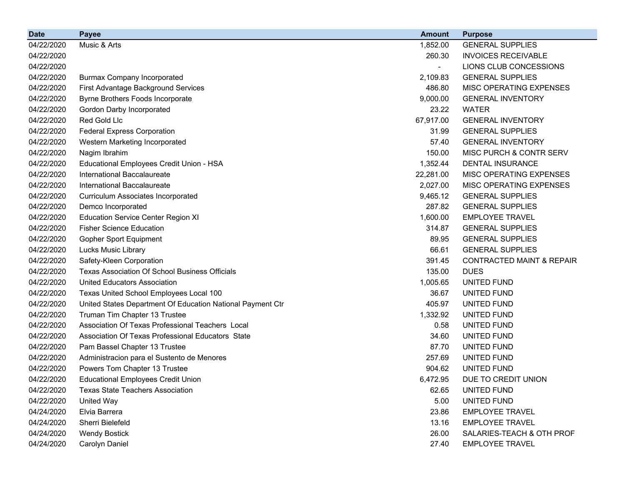| <b>Date</b> | <b>Payee</b>                                               | <b>Amount</b>            | <b>Purpose</b>                       |
|-------------|------------------------------------------------------------|--------------------------|--------------------------------------|
| 04/22/2020  | Music & Arts                                               | 1,852.00                 | <b>GENERAL SUPPLIES</b>              |
| 04/22/2020  |                                                            | 260.30                   | <b>INVOICES RECEIVABLE</b>           |
| 04/22/2020  |                                                            | $\overline{\phantom{0}}$ | LIONS CLUB CONCESSIONS               |
| 04/22/2020  | <b>Burmax Company Incorporated</b>                         | 2,109.83                 | <b>GENERAL SUPPLIES</b>              |
| 04/22/2020  | First Advantage Background Services                        | 486.80                   | MISC OPERATING EXPENSES              |
| 04/22/2020  | Byrne Brothers Foods Incorporate                           | 9,000.00                 | <b>GENERAL INVENTORY</b>             |
| 04/22/2020  | Gordon Darby Incorporated                                  | 23.22                    | <b>WATER</b>                         |
| 04/22/2020  | Red Gold Llc                                               | 67,917.00                | <b>GENERAL INVENTORY</b>             |
| 04/22/2020  | <b>Federal Express Corporation</b>                         | 31.99                    | <b>GENERAL SUPPLIES</b>              |
| 04/22/2020  | Western Marketing Incorporated                             | 57.40                    | <b>GENERAL INVENTORY</b>             |
| 04/22/2020  | Nagim Ibrahim                                              | 150.00                   | MISC PURCH & CONTR SERV              |
| 04/22/2020  | Educational Employees Credit Union - HSA                   | 1,352.44                 | <b>DENTAL INSURANCE</b>              |
| 04/22/2020  | International Baccalaureate                                | 22,281.00                | MISC OPERATING EXPENSES              |
| 04/22/2020  | International Baccalaureate                                | 2,027.00                 | MISC OPERATING EXPENSES              |
| 04/22/2020  | <b>Curriculum Associates Incorporated</b>                  | 9,465.12                 | <b>GENERAL SUPPLIES</b>              |
| 04/22/2020  | Demco Incorporated                                         | 287.82                   | <b>GENERAL SUPPLIES</b>              |
| 04/22/2020  | <b>Education Service Center Region XI</b>                  | 1,600.00                 | <b>EMPLOYEE TRAVEL</b>               |
| 04/22/2020  | <b>Fisher Science Education</b>                            | 314.87                   | <b>GENERAL SUPPLIES</b>              |
| 04/22/2020  | <b>Gopher Sport Equipment</b>                              | 89.95                    | <b>GENERAL SUPPLIES</b>              |
| 04/22/2020  | Lucks Music Library                                        | 66.61                    | <b>GENERAL SUPPLIES</b>              |
| 04/22/2020  | Safety-Kleen Corporation                                   | 391.45                   | <b>CONTRACTED MAINT &amp; REPAIR</b> |
| 04/22/2020  | <b>Texas Association Of School Business Officials</b>      | 135.00                   | <b>DUES</b>                          |
| 04/22/2020  | <b>United Educators Association</b>                        | 1,005.65                 | UNITED FUND                          |
| 04/22/2020  | Texas United School Employees Local 100                    | 36.67                    | UNITED FUND                          |
| 04/22/2020  | United States Department Of Education National Payment Ctr | 405.97                   | UNITED FUND                          |
| 04/22/2020  | Truman Tim Chapter 13 Trustee                              | 1,332.92                 | UNITED FUND                          |
| 04/22/2020  | Association Of Texas Professional Teachers Local           | 0.58                     | UNITED FUND                          |
| 04/22/2020  | Association Of Texas Professional Educators State          | 34.60                    | UNITED FUND                          |
| 04/22/2020  | Pam Bassel Chapter 13 Trustee                              | 87.70                    | UNITED FUND                          |
| 04/22/2020  | Administracion para el Sustento de Menores                 | 257.69                   | UNITED FUND                          |
| 04/22/2020  | Powers Tom Chapter 13 Trustee                              | 904.62                   | UNITED FUND                          |
| 04/22/2020  | <b>Educational Employees Credit Union</b>                  | 6,472.95                 | DUE TO CREDIT UNION                  |
| 04/22/2020  | <b>Texas State Teachers Association</b>                    | 62.65                    | UNITED FUND                          |
| 04/22/2020  | United Way                                                 | 5.00                     | UNITED FUND                          |
| 04/24/2020  | Elvia Barrera                                              | 23.86                    | <b>EMPLOYEE TRAVEL</b>               |
| 04/24/2020  | Sherri Bielefeld                                           | 13.16                    | <b>EMPLOYEE TRAVEL</b>               |
| 04/24/2020  | <b>Wendy Bostick</b>                                       | 26.00                    | SALARIES-TEACH & OTH PROF            |
| 04/24/2020  | Carolyn Daniel                                             | 27.40                    | <b>EMPLOYEE TRAVEL</b>               |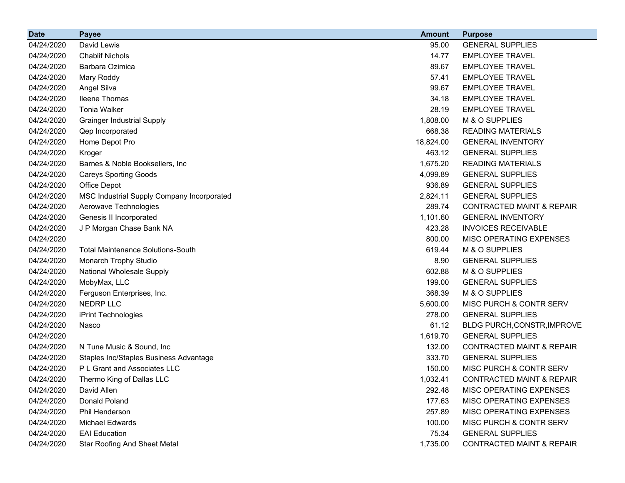| <b>Date</b> | <b>Payee</b>                               | <b>Amount</b> | <b>Purpose</b>                       |
|-------------|--------------------------------------------|---------------|--------------------------------------|
| 04/24/2020  | David Lewis                                | 95.00         | <b>GENERAL SUPPLIES</b>              |
| 04/24/2020  | <b>Chablif Nichols</b>                     | 14.77         | <b>EMPLOYEE TRAVEL</b>               |
| 04/24/2020  | Barbara Ozimica                            | 89.67         | <b>EMPLOYEE TRAVEL</b>               |
| 04/24/2020  | Mary Roddy                                 | 57.41         | <b>EMPLOYEE TRAVEL</b>               |
| 04/24/2020  | Angel Silva                                | 99.67         | <b>EMPLOYEE TRAVEL</b>               |
| 04/24/2020  | Ileene Thomas                              | 34.18         | <b>EMPLOYEE TRAVEL</b>               |
| 04/24/2020  | <b>Tonia Walker</b>                        | 28.19         | <b>EMPLOYEE TRAVEL</b>               |
| 04/24/2020  | <b>Grainger Industrial Supply</b>          | 1,808.00      | M & O SUPPLIES                       |
| 04/24/2020  | Qep Incorporated                           | 668.38        | <b>READING MATERIALS</b>             |
| 04/24/2020  | Home Depot Pro                             | 18,824.00     | <b>GENERAL INVENTORY</b>             |
| 04/24/2020  | Kroger                                     | 463.12        | <b>GENERAL SUPPLIES</b>              |
| 04/24/2020  | Barnes & Noble Booksellers, Inc            | 1,675.20      | <b>READING MATERIALS</b>             |
| 04/24/2020  | <b>Careys Sporting Goods</b>               | 4,099.89      | <b>GENERAL SUPPLIES</b>              |
| 04/24/2020  | Office Depot                               | 936.89        | <b>GENERAL SUPPLIES</b>              |
| 04/24/2020  | MSC Industrial Supply Company Incorporated | 2,824.11      | <b>GENERAL SUPPLIES</b>              |
| 04/24/2020  | Aerowave Technologies                      | 289.74        | <b>CONTRACTED MAINT &amp; REPAIR</b> |
| 04/24/2020  | Genesis II Incorporated                    | 1,101.60      | <b>GENERAL INVENTORY</b>             |
| 04/24/2020  | J P Morgan Chase Bank NA                   | 423.28        | <b>INVOICES RECEIVABLE</b>           |
| 04/24/2020  |                                            | 800.00        | <b>MISC OPERATING EXPENSES</b>       |
| 04/24/2020  | <b>Total Maintenance Solutions-South</b>   | 619.44        | M & O SUPPLIES                       |
| 04/24/2020  | Monarch Trophy Studio                      | 8.90          | <b>GENERAL SUPPLIES</b>              |
| 04/24/2020  | National Wholesale Supply                  | 602.88        | M & O SUPPLIES                       |
| 04/24/2020  | MobyMax, LLC                               | 199.00        | <b>GENERAL SUPPLIES</b>              |
| 04/24/2020  | Ferguson Enterprises, Inc.                 | 368.39        | M & O SUPPLIES                       |
| 04/24/2020  | NEDRP LLC                                  | 5,600.00      | MISC PURCH & CONTR SERV              |
| 04/24/2020  | iPrint Technologies                        | 278.00        | <b>GENERAL SUPPLIES</b>              |
| 04/24/2020  | Nasco                                      | 61.12         | BLDG PURCH, CONSTR, IMPROVE          |
| 04/24/2020  |                                            | 1,619.70      | <b>GENERAL SUPPLIES</b>              |
| 04/24/2020  | N Tune Music & Sound, Inc                  | 132.00        | <b>CONTRACTED MAINT &amp; REPAIR</b> |
| 04/24/2020  | Staples Inc/Staples Business Advantage     | 333.70        | <b>GENERAL SUPPLIES</b>              |
| 04/24/2020  | P L Grant and Associates LLC               | 150.00        | MISC PURCH & CONTR SERV              |
| 04/24/2020  | Thermo King of Dallas LLC                  | 1,032.41      | CONTRACTED MAINT & REPAIR            |
| 04/24/2020  | David Allen                                | 292.48        | MISC OPERATING EXPENSES              |
| 04/24/2020  | Donald Poland                              | 177.63        | MISC OPERATING EXPENSES              |
| 04/24/2020  | Phil Henderson                             | 257.89        | MISC OPERATING EXPENSES              |
| 04/24/2020  | Michael Edwards                            | 100.00        | MISC PURCH & CONTR SERV              |
| 04/24/2020  | <b>EAI Education</b>                       | 75.34         | <b>GENERAL SUPPLIES</b>              |
| 04/24/2020  | <b>Star Roofing And Sheet Metal</b>        | 1,735.00      | CONTRACTED MAINT & REPAIR            |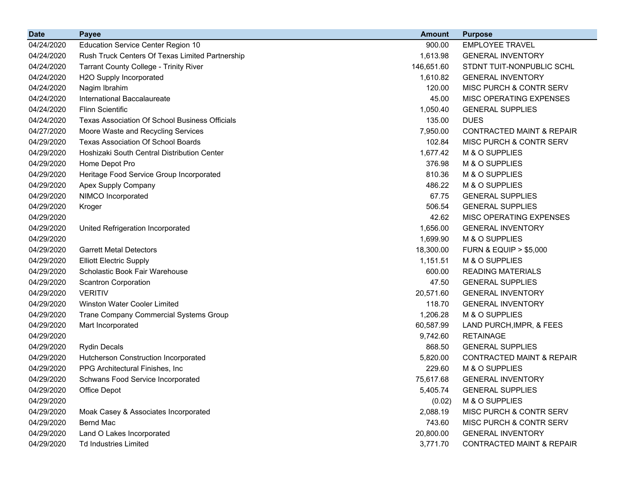| <b>Date</b> | <b>Payee</b>                                          | <b>Amount</b> | <b>Purpose</b>                       |
|-------------|-------------------------------------------------------|---------------|--------------------------------------|
| 04/24/2020  | <b>Education Service Center Region 10</b>             | 900.00        | <b>EMPLOYEE TRAVEL</b>               |
| 04/24/2020  | Rush Truck Centers Of Texas Limited Partnership       | 1,613.98      | <b>GENERAL INVENTORY</b>             |
| 04/24/2020  | <b>Tarrant County College - Trinity River</b>         | 146,651.60    | STDNT TUIT-NONPUBLIC SCHL            |
| 04/24/2020  | H2O Supply Incorporated                               | 1,610.82      | <b>GENERAL INVENTORY</b>             |
| 04/24/2020  | Nagim Ibrahim                                         | 120.00        | MISC PURCH & CONTR SERV              |
| 04/24/2020  | International Baccalaureate                           | 45.00         | MISC OPERATING EXPENSES              |
| 04/24/2020  | <b>Flinn Scientific</b>                               | 1,050.40      | <b>GENERAL SUPPLIES</b>              |
| 04/24/2020  | <b>Texas Association Of School Business Officials</b> | 135.00        | <b>DUES</b>                          |
| 04/27/2020  | Moore Waste and Recycling Services                    | 7,950.00      | <b>CONTRACTED MAINT &amp; REPAIR</b> |
| 04/29/2020  | <b>Texas Association Of School Boards</b>             | 102.84        | MISC PURCH & CONTR SERV              |
| 04/29/2020  | Hoshizaki South Central Distribution Center           | 1,677.42      | M & O SUPPLIES                       |
| 04/29/2020  | Home Depot Pro                                        | 376.98        | M & O SUPPLIES                       |
| 04/29/2020  | Heritage Food Service Group Incorporated              | 810.36        | M & O SUPPLIES                       |
| 04/29/2020  | Apex Supply Company                                   | 486.22        | M & O SUPPLIES                       |
| 04/29/2020  | NIMCO Incorporated                                    | 67.75         | <b>GENERAL SUPPLIES</b>              |
| 04/29/2020  | Kroger                                                | 506.54        | <b>GENERAL SUPPLIES</b>              |
| 04/29/2020  |                                                       | 42.62         | MISC OPERATING EXPENSES              |
| 04/29/2020  | United Refrigeration Incorporated                     | 1,656.00      | <b>GENERAL INVENTORY</b>             |
| 04/29/2020  |                                                       | 1,699.90      | M & O SUPPLIES                       |
| 04/29/2020  | <b>Garrett Metal Detectors</b>                        | 18,300.00     | <b>FURN &amp; EQUIP &gt; \$5,000</b> |
| 04/29/2020  | <b>Elliott Electric Supply</b>                        | 1,151.51      | M & O SUPPLIES                       |
| 04/29/2020  | Scholastic Book Fair Warehouse                        | 600.00        | <b>READING MATERIALS</b>             |
| 04/29/2020  | <b>Scantron Corporation</b>                           | 47.50         | <b>GENERAL SUPPLIES</b>              |
| 04/29/2020  | <b>VERITIV</b>                                        | 20,571.60     | <b>GENERAL INVENTORY</b>             |
| 04/29/2020  | <b>Winston Water Cooler Limited</b>                   | 118.70        | <b>GENERAL INVENTORY</b>             |
| 04/29/2020  | Trane Company Commercial Systems Group                | 1,206.28      | M & O SUPPLIES                       |
| 04/29/2020  | Mart Incorporated                                     | 60,587.99     | LAND PURCH, IMPR, & FEES             |
| 04/29/2020  |                                                       | 9,742.60      | <b>RETAINAGE</b>                     |
| 04/29/2020  | <b>Rydin Decals</b>                                   | 868.50        | <b>GENERAL SUPPLIES</b>              |
| 04/29/2020  | Hutcherson Construction Incorporated                  | 5,820.00      | <b>CONTRACTED MAINT &amp; REPAIR</b> |
| 04/29/2020  | PPG Architectural Finishes, Inc.                      | 229.60        | M & O SUPPLIES                       |
| 04/29/2020  | <b>Schwans Food Service Incorporated</b>              | 75,617.68     | <b>GENERAL INVENTORY</b>             |
| 04/29/2020  | Office Depot                                          | 5,405.74      | <b>GENERAL SUPPLIES</b>              |
| 04/29/2020  |                                                       | (0.02)        | M & O SUPPLIES                       |
| 04/29/2020  | Moak Casey & Associates Incorporated                  | 2,088.19      | MISC PURCH & CONTR SERV              |
| 04/29/2020  | <b>Bernd Mac</b>                                      | 743.60        | MISC PURCH & CONTR SERV              |
| 04/29/2020  | Land O Lakes Incorporated                             | 20,800.00     | <b>GENERAL INVENTORY</b>             |
| 04/29/2020  | <b>Td Industries Limited</b>                          | 3,771.70      | CONTRACTED MAINT & REPAIR            |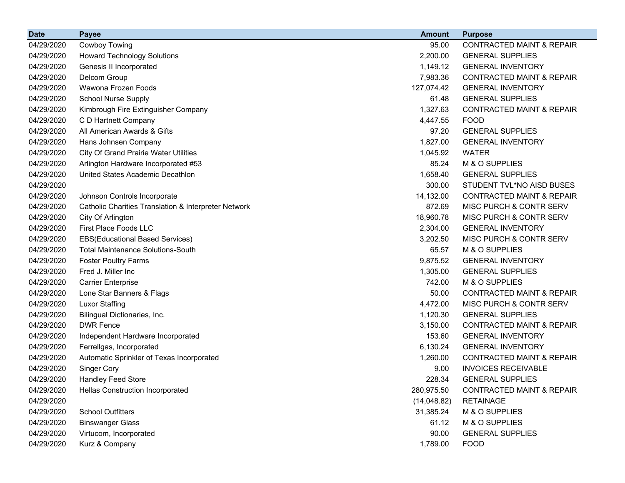| <b>Date</b> | <b>Payee</b>                                         | <b>Amount</b> | <b>Purpose</b>                       |
|-------------|------------------------------------------------------|---------------|--------------------------------------|
| 04/29/2020  | Cowboy Towing                                        | 95.00         | <b>CONTRACTED MAINT &amp; REPAIR</b> |
| 04/29/2020  | <b>Howard Technology Solutions</b>                   | 2,200.00      | <b>GENERAL SUPPLIES</b>              |
| 04/29/2020  | Genesis II Incorporated                              | 1,149.12      | <b>GENERAL INVENTORY</b>             |
| 04/29/2020  | Delcom Group                                         | 7,983.36      | <b>CONTRACTED MAINT &amp; REPAIR</b> |
| 04/29/2020  | Wawona Frozen Foods                                  | 127,074.42    | <b>GENERAL INVENTORY</b>             |
| 04/29/2020  | <b>School Nurse Supply</b>                           | 61.48         | <b>GENERAL SUPPLIES</b>              |
| 04/29/2020  | Kimbrough Fire Extinguisher Company                  | 1,327.63      | <b>CONTRACTED MAINT &amp; REPAIR</b> |
| 04/29/2020  | C D Hartnett Company                                 | 4,447.55      | <b>FOOD</b>                          |
| 04/29/2020  | All American Awards & Gifts                          | 97.20         | <b>GENERAL SUPPLIES</b>              |
| 04/29/2020  | Hans Johnsen Company                                 | 1,827.00      | <b>GENERAL INVENTORY</b>             |
| 04/29/2020  | <b>City Of Grand Prairie Water Utilities</b>         | 1,045.92      | <b>WATER</b>                         |
| 04/29/2020  | Arlington Hardware Incorporated #53                  | 85.24         | M & O SUPPLIES                       |
| 04/29/2020  | United States Academic Decathlon                     | 1,658.40      | <b>GENERAL SUPPLIES</b>              |
| 04/29/2020  |                                                      | 300.00        | STUDENT TVL*NO AISD BUSES            |
| 04/29/2020  | Johnson Controls Incorporate                         | 14,132.00     | <b>CONTRACTED MAINT &amp; REPAIR</b> |
| 04/29/2020  | Catholic Charities Translation & Interpreter Network | 872.69        | MISC PURCH & CONTR SERV              |
| 04/29/2020  | City Of Arlington                                    | 18,960.78     | MISC PURCH & CONTR SERV              |
| 04/29/2020  | First Place Foods LLC                                | 2,304.00      | <b>GENERAL INVENTORY</b>             |
| 04/29/2020  | <b>EBS(Educational Based Services)</b>               | 3,202.50      | MISC PURCH & CONTR SERV              |
| 04/29/2020  | <b>Total Maintenance Solutions-South</b>             | 65.57         | M & O SUPPLIES                       |
| 04/29/2020  | <b>Foster Poultry Farms</b>                          | 9,875.52      | <b>GENERAL INVENTORY</b>             |
| 04/29/2020  | Fred J. Miller Inc                                   | 1,305.00      | <b>GENERAL SUPPLIES</b>              |
| 04/29/2020  | <b>Carrier Enterprise</b>                            | 742.00        | M & O SUPPLIES                       |
| 04/29/2020  | Lone Star Banners & Flags                            | 50.00         | <b>CONTRACTED MAINT &amp; REPAIR</b> |
| 04/29/2020  | <b>Luxor Staffing</b>                                | 4,472.00      | MISC PURCH & CONTR SERV              |
| 04/29/2020  | Bilingual Dictionaries, Inc.                         | 1,120.30      | <b>GENERAL SUPPLIES</b>              |
| 04/29/2020  | <b>DWR Fence</b>                                     | 3,150.00      | <b>CONTRACTED MAINT &amp; REPAIR</b> |
| 04/29/2020  | Independent Hardware Incorporated                    | 153.60        | <b>GENERAL INVENTORY</b>             |
| 04/29/2020  | Ferrellgas, Incorporated                             | 6,130.24      | <b>GENERAL INVENTORY</b>             |
| 04/29/2020  | Automatic Sprinkler of Texas Incorporated            | 1,260.00      | <b>CONTRACTED MAINT &amp; REPAIR</b> |
| 04/29/2020  | Singer Cory                                          | 9.00          | <b>INVOICES RECEIVABLE</b>           |
| 04/29/2020  | <b>Handley Feed Store</b>                            | 228.34        | <b>GENERAL SUPPLIES</b>              |
| 04/29/2020  | <b>Hellas Construction Incorporated</b>              | 280,975.50    | <b>CONTRACTED MAINT &amp; REPAIR</b> |
| 04/29/2020  |                                                      | (14,048.82)   | <b>RETAINAGE</b>                     |
| 04/29/2020  | <b>School Outfitters</b>                             | 31,385.24     | M & O SUPPLIES                       |
| 04/29/2020  | <b>Binswanger Glass</b>                              | 61.12         | M & O SUPPLIES                       |
| 04/29/2020  | Virtucom, Incorporated                               | 90.00         | <b>GENERAL SUPPLIES</b>              |
| 04/29/2020  | Kurz & Company                                       | 1,789.00      | <b>FOOD</b>                          |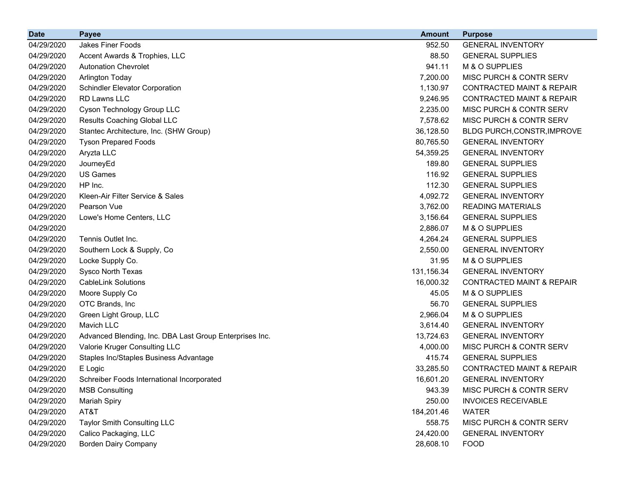| <b>Date</b> | <b>Payee</b>                                            | <b>Amount</b> | <b>Purpose</b>                       |
|-------------|---------------------------------------------------------|---------------|--------------------------------------|
| 04/29/2020  | Jakes Finer Foods                                       | 952.50        | <b>GENERAL INVENTORY</b>             |
| 04/29/2020  | Accent Awards & Trophies, LLC                           | 88.50         | <b>GENERAL SUPPLIES</b>              |
| 04/29/2020  | <b>Autonation Chevrolet</b>                             | 941.11        | M & O SUPPLIES                       |
| 04/29/2020  | Arlington Today                                         | 7,200.00      | MISC PURCH & CONTR SERV              |
| 04/29/2020  | <b>Schindler Elevator Corporation</b>                   | 1,130.97      | <b>CONTRACTED MAINT &amp; REPAIR</b> |
| 04/29/2020  | RD Lawns LLC                                            | 9,246.95      | <b>CONTRACTED MAINT &amp; REPAIR</b> |
| 04/29/2020  | Cyson Technology Group LLC                              | 2,235.00      | MISC PURCH & CONTR SERV              |
| 04/29/2020  | Results Coaching Global LLC                             | 7,578.62      | MISC PURCH & CONTR SERV              |
| 04/29/2020  | Stantec Architecture, Inc. (SHW Group)                  | 36,128.50     | BLDG PURCH, CONSTR, IMPROVE          |
| 04/29/2020  | <b>Tyson Prepared Foods</b>                             | 80,765.50     | <b>GENERAL INVENTORY</b>             |
| 04/29/2020  | Aryzta LLC                                              | 54,359.25     | <b>GENERAL INVENTORY</b>             |
| 04/29/2020  | JourneyEd                                               | 189.80        | <b>GENERAL SUPPLIES</b>              |
| 04/29/2020  | <b>US Games</b>                                         | 116.92        | <b>GENERAL SUPPLIES</b>              |
| 04/29/2020  | HP Inc.                                                 | 112.30        | <b>GENERAL SUPPLIES</b>              |
| 04/29/2020  | Kleen-Air Filter Service & Sales                        | 4,092.72      | <b>GENERAL INVENTORY</b>             |
| 04/29/2020  | Pearson Vue                                             | 3,762.00      | <b>READING MATERIALS</b>             |
| 04/29/2020  | Lowe's Home Centers, LLC                                | 3,156.64      | <b>GENERAL SUPPLIES</b>              |
| 04/29/2020  |                                                         | 2,886.07      | M & O SUPPLIES                       |
| 04/29/2020  | Tennis Outlet Inc.                                      | 4,264.24      | <b>GENERAL SUPPLIES</b>              |
| 04/29/2020  | Southern Lock & Supply, Co                              | 2,550.00      | <b>GENERAL INVENTORY</b>             |
| 04/29/2020  | Locke Supply Co.                                        | 31.95         | M & O SUPPLIES                       |
| 04/29/2020  | Sysco North Texas                                       | 131,156.34    | <b>GENERAL INVENTORY</b>             |
| 04/29/2020  | <b>CableLink Solutions</b>                              | 16,000.32     | <b>CONTRACTED MAINT &amp; REPAIR</b> |
| 04/29/2020  | Moore Supply Co                                         | 45.05         | M & O SUPPLIES                       |
| 04/29/2020  | OTC Brands, Inc                                         | 56.70         | <b>GENERAL SUPPLIES</b>              |
| 04/29/2020  | Green Light Group, LLC                                  | 2,966.04      | M & O SUPPLIES                       |
| 04/29/2020  | Mavich LLC                                              | 3,614.40      | <b>GENERAL INVENTORY</b>             |
| 04/29/2020  | Advanced Blending, Inc. DBA Last Group Enterprises Inc. | 13,724.63     | <b>GENERAL INVENTORY</b>             |
| 04/29/2020  | Valorie Kruger Consulting LLC                           | 4,000.00      | MISC PURCH & CONTR SERV              |
| 04/29/2020  | Staples Inc/Staples Business Advantage                  | 415.74        | <b>GENERAL SUPPLIES</b>              |
| 04/29/2020  | E Logic                                                 | 33,285.50     | <b>CONTRACTED MAINT &amp; REPAIR</b> |
| 04/29/2020  | Schreiber Foods International Incorporated              | 16,601.20     | <b>GENERAL INVENTORY</b>             |
| 04/29/2020  | <b>MSB Consulting</b>                                   | 943.39        | MISC PURCH & CONTR SERV              |
| 04/29/2020  | <b>Mariah Spiry</b>                                     | 250.00        | <b>INVOICES RECEIVABLE</b>           |
| 04/29/2020  | AT&T                                                    | 184,201.46    | <b>WATER</b>                         |
| 04/29/2020  | <b>Taylor Smith Consulting LLC</b>                      | 558.75        | MISC PURCH & CONTR SERV              |
| 04/29/2020  | Calico Packaging, LLC                                   | 24,420.00     | <b>GENERAL INVENTORY</b>             |
| 04/29/2020  | <b>Borden Dairy Company</b>                             | 28,608.10     | <b>FOOD</b>                          |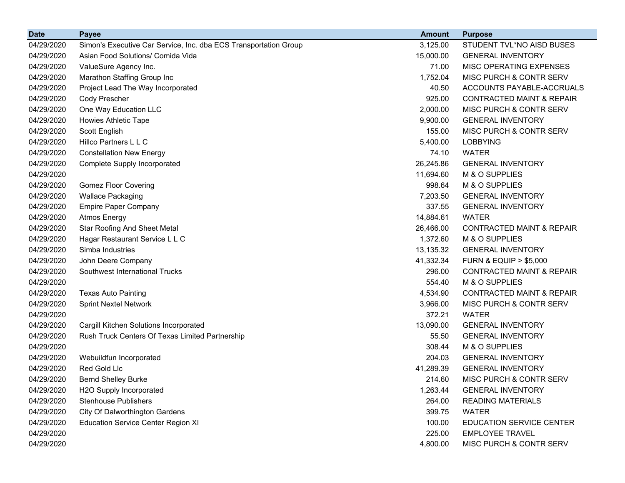| <b>Date</b> | <b>Payee</b>                                                     | <b>Amount</b> | <b>Purpose</b>                       |
|-------------|------------------------------------------------------------------|---------------|--------------------------------------|
| 04/29/2020  | Simon's Executive Car Service, Inc. dba ECS Transportation Group | 3,125.00      | STUDENT TVL*NO AISD BUSES            |
| 04/29/2020  | Asian Food Solutions/ Comida Vida                                | 15,000.00     | <b>GENERAL INVENTORY</b>             |
| 04/29/2020  | ValueSure Agency Inc.                                            | 71.00         | <b>MISC OPERATING EXPENSES</b>       |
| 04/29/2020  | Marathon Staffing Group Inc                                      | 1,752.04      | MISC PURCH & CONTR SERV              |
| 04/29/2020  | Project Lead The Way Incorporated                                | 40.50         | ACCOUNTS PAYABLE-ACCRUALS            |
| 04/29/2020  | Cody Prescher                                                    | 925.00        | <b>CONTRACTED MAINT &amp; REPAIR</b> |
| 04/29/2020  | One Way Education LLC                                            | 2,000.00      | MISC PURCH & CONTR SERV              |
| 04/29/2020  | Howies Athletic Tape                                             | 9,900.00      | <b>GENERAL INVENTORY</b>             |
| 04/29/2020  | Scott English                                                    | 155.00        | MISC PURCH & CONTR SERV              |
| 04/29/2020  | Hillco Partners L L C                                            | 5,400.00      | <b>LOBBYING</b>                      |
| 04/29/2020  | <b>Constellation New Energy</b>                                  | 74.10         | <b>WATER</b>                         |
| 04/29/2020  | Complete Supply Incorporated                                     | 26,245.86     | <b>GENERAL INVENTORY</b>             |
| 04/29/2020  |                                                                  | 11,694.60     | M & O SUPPLIES                       |
| 04/29/2020  | <b>Gomez Floor Covering</b>                                      | 998.64        | M & O SUPPLIES                       |
| 04/29/2020  | <b>Wallace Packaging</b>                                         | 7,203.50      | <b>GENERAL INVENTORY</b>             |
| 04/29/2020  | <b>Empire Paper Company</b>                                      | 337.55        | <b>GENERAL INVENTORY</b>             |
| 04/29/2020  | <b>Atmos Energy</b>                                              | 14,884.61     | <b>WATER</b>                         |
| 04/29/2020  | <b>Star Roofing And Sheet Metal</b>                              | 26,466.00     | <b>CONTRACTED MAINT &amp; REPAIR</b> |
| 04/29/2020  | Hagar Restaurant Service L L C                                   | 1,372.60      | M & O SUPPLIES                       |
| 04/29/2020  | Simba Industries                                                 | 13,135.32     | <b>GENERAL INVENTORY</b>             |
| 04/29/2020  | John Deere Company                                               | 41,332.34     | <b>FURN &amp; EQUIP &gt; \$5,000</b> |
| 04/29/2020  | Southwest International Trucks                                   | 296.00        | <b>CONTRACTED MAINT &amp; REPAIR</b> |
| 04/29/2020  |                                                                  | 554.40        | M & O SUPPLIES                       |
| 04/29/2020  | <b>Texas Auto Painting</b>                                       | 4,534.90      | <b>CONTRACTED MAINT &amp; REPAIR</b> |
| 04/29/2020  | <b>Sprint Nextel Network</b>                                     | 3,966.00      | MISC PURCH & CONTR SERV              |
| 04/29/2020  |                                                                  | 372.21        | <b>WATER</b>                         |
| 04/29/2020  | Cargill Kitchen Solutions Incorporated                           | 13,090.00     | <b>GENERAL INVENTORY</b>             |
| 04/29/2020  | Rush Truck Centers Of Texas Limited Partnership                  | 55.50         | <b>GENERAL INVENTORY</b>             |
| 04/29/2020  |                                                                  | 308.44        | M & O SUPPLIES                       |
| 04/29/2020  | Webuildfun Incorporated                                          | 204.03        | <b>GENERAL INVENTORY</b>             |
| 04/29/2020  | Red Gold Llc                                                     | 41,289.39     | <b>GENERAL INVENTORY</b>             |
| 04/29/2020  | <b>Bernd Shelley Burke</b>                                       | 214.60        | MISC PURCH & CONTR SERV              |
| 04/29/2020  | H2O Supply Incorporated                                          | 1,263.44      | <b>GENERAL INVENTORY</b>             |
| 04/29/2020  | <b>Stenhouse Publishers</b>                                      | 264.00        | <b>READING MATERIALS</b>             |
| 04/29/2020  | <b>City Of Dalworthington Gardens</b>                            | 399.75        | <b>WATER</b>                         |
| 04/29/2020  | <b>Education Service Center Region XI</b>                        | 100.00        | EDUCATION SERVICE CENTER             |
| 04/29/2020  |                                                                  | 225.00        | <b>EMPLOYEE TRAVEL</b>               |
| 04/29/2020  |                                                                  | 4,800.00      | MISC PURCH & CONTR SERV              |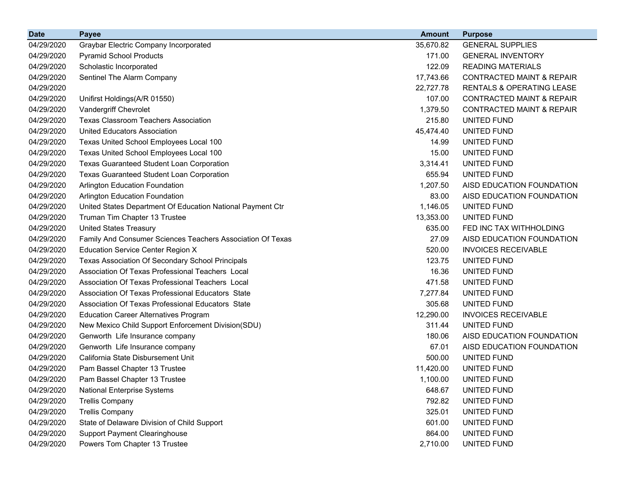| <b>Date</b> | <b>Payee</b>                                               | <b>Amount</b> | <b>Purpose</b>                       |
|-------------|------------------------------------------------------------|---------------|--------------------------------------|
| 04/29/2020  | Graybar Electric Company Incorporated                      | 35,670.82     | <b>GENERAL SUPPLIES</b>              |
| 04/29/2020  | <b>Pyramid School Products</b>                             | 171.00        | <b>GENERAL INVENTORY</b>             |
| 04/29/2020  | Scholastic Incorporated                                    | 122.09        | <b>READING MATERIALS</b>             |
| 04/29/2020  | Sentinel The Alarm Company                                 | 17,743.66     | <b>CONTRACTED MAINT &amp; REPAIR</b> |
| 04/29/2020  |                                                            | 22,727.78     | RENTALS & OPERATING LEASE            |
| 04/29/2020  | Unifirst Holdings(A/R 01550)                               | 107.00        | <b>CONTRACTED MAINT &amp; REPAIR</b> |
| 04/29/2020  | Vandergriff Chevrolet                                      | 1,379.50      | <b>CONTRACTED MAINT &amp; REPAIR</b> |
| 04/29/2020  | <b>Texas Classroom Teachers Association</b>                | 215.80        | UNITED FUND                          |
| 04/29/2020  | <b>United Educators Association</b>                        | 45,474.40     | <b>UNITED FUND</b>                   |
| 04/29/2020  | Texas United School Employees Local 100                    | 14.99         | UNITED FUND                          |
| 04/29/2020  | Texas United School Employees Local 100                    | 15.00         | UNITED FUND                          |
| 04/29/2020  | Texas Guaranteed Student Loan Corporation                  | 3,314.41      | UNITED FUND                          |
| 04/29/2020  | <b>Texas Guaranteed Student Loan Corporation</b>           | 655.94        | UNITED FUND                          |
| 04/29/2020  | <b>Arlington Education Foundation</b>                      | 1,207.50      | AISD EDUCATION FOUNDATION            |
| 04/29/2020  | <b>Arlington Education Foundation</b>                      | 83.00         | AISD EDUCATION FOUNDATION            |
| 04/29/2020  | United States Department Of Education National Payment Ctr | 1,146.05      | UNITED FUND                          |
| 04/29/2020  | Truman Tim Chapter 13 Trustee                              | 13,353.00     | <b>UNITED FUND</b>                   |
| 04/29/2020  | <b>United States Treasury</b>                              | 635.00        | FED INC TAX WITHHOLDING              |
| 04/29/2020  | Family And Consumer Sciences Teachers Association Of Texas | 27.09         | AISD EDUCATION FOUNDATION            |
| 04/29/2020  | <b>Education Service Center Region X</b>                   | 520.00        | <b>INVOICES RECEIVABLE</b>           |
| 04/29/2020  | Texas Association Of Secondary School Principals           | 123.75        | UNITED FUND                          |
| 04/29/2020  | Association Of Texas Professional Teachers Local           | 16.36         | UNITED FUND                          |
| 04/29/2020  | Association Of Texas Professional Teachers Local           | 471.58        | UNITED FUND                          |
| 04/29/2020  | Association Of Texas Professional Educators State          | 7,277.84      | UNITED FUND                          |
| 04/29/2020  | Association Of Texas Professional Educators State          | 305.68        | UNITED FUND                          |
| 04/29/2020  | <b>Education Career Alternatives Program</b>               | 12,290.00     | <b>INVOICES RECEIVABLE</b>           |
| 04/29/2020  | New Mexico Child Support Enforcement Division(SDU)         | 311.44        | UNITED FUND                          |
| 04/29/2020  | Genworth Life Insurance company                            | 180.06        | AISD EDUCATION FOUNDATION            |
| 04/29/2020  | Genworth Life Insurance company                            | 67.01         | AISD EDUCATION FOUNDATION            |
| 04/29/2020  | California State Disbursement Unit                         | 500.00        | UNITED FUND                          |
| 04/29/2020  | Pam Bassel Chapter 13 Trustee                              | 11,420.00     | UNITED FUND                          |
| 04/29/2020  | Pam Bassel Chapter 13 Trustee                              | 1,100.00      | UNITED FUND                          |
| 04/29/2020  | <b>National Enterprise Systems</b>                         | 648.67        | UNITED FUND                          |
| 04/29/2020  | <b>Trellis Company</b>                                     | 792.82        | UNITED FUND                          |
| 04/29/2020  | <b>Trellis Company</b>                                     | 325.01        | UNITED FUND                          |
| 04/29/2020  | State of Delaware Division of Child Support                | 601.00        | UNITED FUND                          |
| 04/29/2020  | <b>Support Payment Clearinghouse</b>                       | 864.00        | UNITED FUND                          |
| 04/29/2020  | Powers Tom Chapter 13 Trustee                              | 2,710.00      | UNITED FUND                          |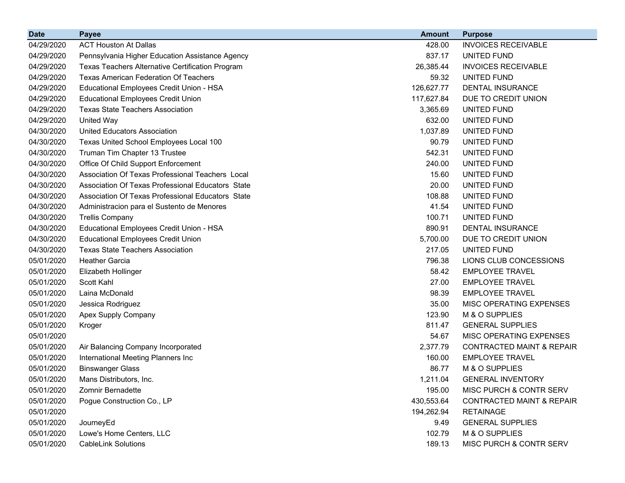| <b>Date</b> | <b>Payee</b>                                      | <b>Amount</b> | <b>Purpose</b>                       |
|-------------|---------------------------------------------------|---------------|--------------------------------------|
| 04/29/2020  | <b>ACT Houston At Dallas</b>                      | 428.00        | <b>INVOICES RECEIVABLE</b>           |
| 04/29/2020  | Pennsylvania Higher Education Assistance Agency   | 837.17        | UNITED FUND                          |
| 04/29/2020  | Texas Teachers Alternative Certification Program  | 26,385.44     | <b>INVOICES RECEIVABLE</b>           |
| 04/29/2020  | <b>Texas American Federation Of Teachers</b>      | 59.32         | UNITED FUND                          |
| 04/29/2020  | Educational Employees Credit Union - HSA          | 126,627.77    | DENTAL INSURANCE                     |
| 04/29/2020  | <b>Educational Employees Credit Union</b>         | 117,627.84    | DUE TO CREDIT UNION                  |
| 04/29/2020  | <b>Texas State Teachers Association</b>           | 3,365.69      | UNITED FUND                          |
| 04/29/2020  | <b>United Way</b>                                 | 632.00        | UNITED FUND                          |
| 04/30/2020  | <b>United Educators Association</b>               | 1,037.89      | UNITED FUND                          |
| 04/30/2020  | Texas United School Employees Local 100           | 90.79         | UNITED FUND                          |
| 04/30/2020  | Truman Tim Chapter 13 Trustee                     | 542.31        | UNITED FUND                          |
| 04/30/2020  | Office Of Child Support Enforcement               | 240.00        | UNITED FUND                          |
| 04/30/2020  | Association Of Texas Professional Teachers Local  | 15.60         | UNITED FUND                          |
| 04/30/2020  | Association Of Texas Professional Educators State | 20.00         | UNITED FUND                          |
| 04/30/2020  | Association Of Texas Professional Educators State | 108.88        | UNITED FUND                          |
| 04/30/2020  | Administracion para el Sustento de Menores        | 41.54         | UNITED FUND                          |
| 04/30/2020  | <b>Trellis Company</b>                            | 100.71        | UNITED FUND                          |
| 04/30/2020  | Educational Employees Credit Union - HSA          | 890.91        | DENTAL INSURANCE                     |
| 04/30/2020  | <b>Educational Employees Credit Union</b>         | 5,700.00      | DUE TO CREDIT UNION                  |
| 04/30/2020  | <b>Texas State Teachers Association</b>           | 217.05        | UNITED FUND                          |
| 05/01/2020  | <b>Heather Garcia</b>                             | 796.38        | LIONS CLUB CONCESSIONS               |
| 05/01/2020  | Elizabeth Hollinger                               | 58.42         | <b>EMPLOYEE TRAVEL</b>               |
| 05/01/2020  | Scott Kahl                                        | 27.00         | <b>EMPLOYEE TRAVEL</b>               |
| 05/01/2020  | Laina McDonald                                    | 98.39         | <b>EMPLOYEE TRAVEL</b>               |
| 05/01/2020  | Jessica Rodriguez                                 | 35.00         | MISC OPERATING EXPENSES              |
| 05/01/2020  | Apex Supply Company                               | 123.90        | M & O SUPPLIES                       |
| 05/01/2020  | Kroger                                            | 811.47        | <b>GENERAL SUPPLIES</b>              |
| 05/01/2020  |                                                   | 54.67         | MISC OPERATING EXPENSES              |
| 05/01/2020  | Air Balancing Company Incorporated                | 2,377.79      | <b>CONTRACTED MAINT &amp; REPAIR</b> |
| 05/01/2020  | International Meeting Planners Inc                | 160.00        | <b>EMPLOYEE TRAVEL</b>               |
| 05/01/2020  | <b>Binswanger Glass</b>                           | 86.77         | M & O SUPPLIES                       |
| 05/01/2020  | Mans Distributors, Inc.                           | 1,211.04      | <b>GENERAL INVENTORY</b>             |
| 05/01/2020  | Zomnir Bernadette                                 | 195.00        | MISC PURCH & CONTR SERV              |
| 05/01/2020  | Pogue Construction Co., LP                        | 430,553.64    | <b>CONTRACTED MAINT &amp; REPAIR</b> |
| 05/01/2020  |                                                   | 194,262.94    | <b>RETAINAGE</b>                     |
| 05/01/2020  | JourneyEd                                         | 9.49          | <b>GENERAL SUPPLIES</b>              |
| 05/01/2020  | Lowe's Home Centers, LLC                          | 102.79        | M & O SUPPLIES                       |
| 05/01/2020  | <b>CableLink Solutions</b>                        | 189.13        | MISC PURCH & CONTR SERV              |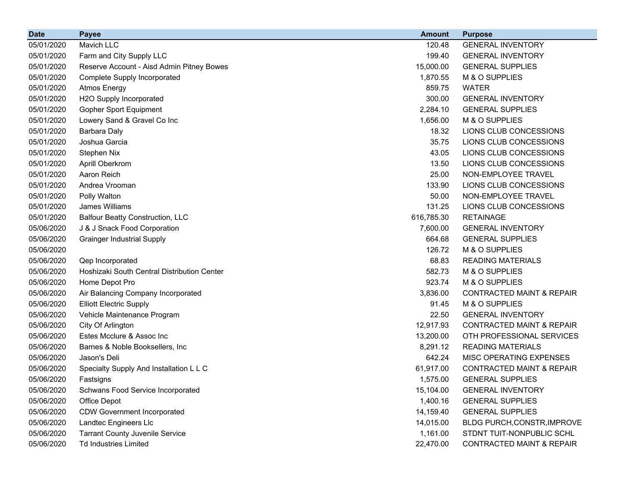| <b>Date</b> | <b>Payee</b>                                | <b>Amount</b> | <b>Purpose</b>                       |
|-------------|---------------------------------------------|---------------|--------------------------------------|
| 05/01/2020  | Mavich LLC                                  | 120.48        | <b>GENERAL INVENTORY</b>             |
| 05/01/2020  | Farm and City Supply LLC                    | 199.40        | <b>GENERAL INVENTORY</b>             |
| 05/01/2020  | Reserve Account - Aisd Admin Pitney Bowes   | 15,000.00     | <b>GENERAL SUPPLIES</b>              |
| 05/01/2020  | <b>Complete Supply Incorporated</b>         | 1,870.55      | M & O SUPPLIES                       |
| 05/01/2020  | <b>Atmos Energy</b>                         | 859.75        | <b>WATER</b>                         |
| 05/01/2020  | H2O Supply Incorporated                     | 300.00        | <b>GENERAL INVENTORY</b>             |
| 05/01/2020  | Gopher Sport Equipment                      | 2,284.10      | <b>GENERAL SUPPLIES</b>              |
| 05/01/2020  | Lowery Sand & Gravel Co Inc                 | 1,656.00      | M & O SUPPLIES                       |
| 05/01/2020  | <b>Barbara Daly</b>                         | 18.32         | LIONS CLUB CONCESSIONS               |
| 05/01/2020  | Joshua Garcia                               | 35.75         | LIONS CLUB CONCESSIONS               |
| 05/01/2020  | Stephen Nix                                 | 43.05         | LIONS CLUB CONCESSIONS               |
| 05/01/2020  | Aprill Oberkrom                             | 13.50         | LIONS CLUB CONCESSIONS               |
| 05/01/2020  | Aaron Reich                                 | 25.00         | NON-EMPLOYEE TRAVEL                  |
| 05/01/2020  | Andrea Vrooman                              | 133.90        | LIONS CLUB CONCESSIONS               |
| 05/01/2020  | Polly Walton                                | 50.00         | NON-EMPLOYEE TRAVEL                  |
| 05/01/2020  | James Williams                              | 131.25        | LIONS CLUB CONCESSIONS               |
| 05/01/2020  | <b>Balfour Beatty Construction, LLC</b>     | 616,785.30    | <b>RETAINAGE</b>                     |
| 05/06/2020  | J & J Snack Food Corporation                | 7,600.00      | <b>GENERAL INVENTORY</b>             |
| 05/06/2020  | <b>Grainger Industrial Supply</b>           | 664.68        | <b>GENERAL SUPPLIES</b>              |
| 05/06/2020  |                                             | 126.72        | M & O SUPPLIES                       |
| 05/06/2020  | Qep Incorporated                            | 68.83         | <b>READING MATERIALS</b>             |
| 05/06/2020  | Hoshizaki South Central Distribution Center | 582.73        | M & O SUPPLIES                       |
| 05/06/2020  | Home Depot Pro                              | 923.74        | M & O SUPPLIES                       |
| 05/06/2020  | Air Balancing Company Incorporated          | 3,836.00      | <b>CONTRACTED MAINT &amp; REPAIR</b> |
| 05/06/2020  | <b>Elliott Electric Supply</b>              | 91.45         | M & O SUPPLIES                       |
| 05/06/2020  | Vehicle Maintenance Program                 | 22.50         | <b>GENERAL INVENTORY</b>             |
| 05/06/2020  | City Of Arlington                           | 12,917.93     | <b>CONTRACTED MAINT &amp; REPAIR</b> |
| 05/06/2020  | Estes Mcclure & Assoc Inc                   | 13,200.00     | OTH PROFESSIONAL SERVICES            |
| 05/06/2020  | Barnes & Noble Booksellers, Inc.            | 8,291.12      | <b>READING MATERIALS</b>             |
| 05/06/2020  | Jason's Deli                                | 642.24        | MISC OPERATING EXPENSES              |
| 05/06/2020  | Specialty Supply And Installation L L C     | 61,917.00     | <b>CONTRACTED MAINT &amp; REPAIR</b> |
| 05/06/2020  | Fastsigns                                   | 1,575.00      | <b>GENERAL SUPPLIES</b>              |
| 05/06/2020  | Schwans Food Service Incorporated           | 15,104.00     | <b>GENERAL INVENTORY</b>             |
| 05/06/2020  | Office Depot                                | 1,400.16      | <b>GENERAL SUPPLIES</b>              |
| 05/06/2020  | <b>CDW Government Incorporated</b>          | 14,159.40     | <b>GENERAL SUPPLIES</b>              |
| 05/06/2020  | Landtec Engineers Llc                       | 14,015.00     | BLDG PURCH, CONSTR, IMPROVE          |
| 05/06/2020  | <b>Tarrant County Juvenile Service</b>      | 1,161.00      | STDNT TUIT-NONPUBLIC SCHL            |
| 05/06/2020  | <b>Td Industries Limited</b>                | 22,470.00     | <b>CONTRACTED MAINT &amp; REPAIR</b> |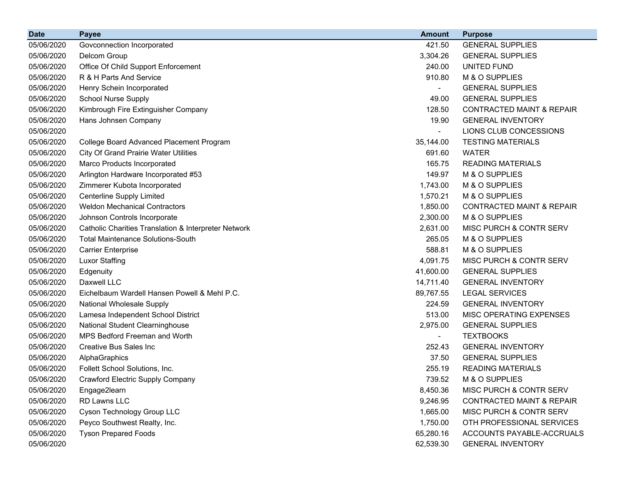| <b>Date</b> | <b>Payee</b>                                         | <b>Amount</b>            | <b>Purpose</b>                       |
|-------------|------------------------------------------------------|--------------------------|--------------------------------------|
| 05/06/2020  | Govconnection Incorporated                           | 421.50                   | <b>GENERAL SUPPLIES</b>              |
| 05/06/2020  | Delcom Group                                         | 3,304.26                 | <b>GENERAL SUPPLIES</b>              |
| 05/06/2020  | Office Of Child Support Enforcement                  | 240.00                   | UNITED FUND                          |
| 05/06/2020  | R & H Parts And Service                              | 910.80                   | M & O SUPPLIES                       |
| 05/06/2020  | Henry Schein Incorporated                            |                          | <b>GENERAL SUPPLIES</b>              |
| 05/06/2020  | <b>School Nurse Supply</b>                           | 49.00                    | <b>GENERAL SUPPLIES</b>              |
| 05/06/2020  | Kimbrough Fire Extinguisher Company                  | 128.50                   | <b>CONTRACTED MAINT &amp; REPAIR</b> |
| 05/06/2020  | Hans Johnsen Company                                 | 19.90                    | <b>GENERAL INVENTORY</b>             |
| 05/06/2020  |                                                      |                          | LIONS CLUB CONCESSIONS               |
| 05/06/2020  | College Board Advanced Placement Program             | 35,144.00                | <b>TESTING MATERIALS</b>             |
| 05/06/2020  | <b>City Of Grand Prairie Water Utilities</b>         | 691.60                   | <b>WATER</b>                         |
| 05/06/2020  | Marco Products Incorporated                          | 165.75                   | <b>READING MATERIALS</b>             |
| 05/06/2020  | Arlington Hardware Incorporated #53                  | 149.97                   | M & O SUPPLIES                       |
| 05/06/2020  | Zimmerer Kubota Incorporated                         | 1,743.00                 | M & O SUPPLIES                       |
| 05/06/2020  | <b>Centerline Supply Limited</b>                     | 1,570.21                 | M & O SUPPLIES                       |
| 05/06/2020  | <b>Weldon Mechanical Contractors</b>                 | 1,850.00                 | <b>CONTRACTED MAINT &amp; REPAIR</b> |
| 05/06/2020  | Johnson Controls Incorporate                         | 2,300.00                 | M & O SUPPLIES                       |
| 05/06/2020  | Catholic Charities Translation & Interpreter Network | 2,631.00                 | MISC PURCH & CONTR SERV              |
| 05/06/2020  | <b>Total Maintenance Solutions-South</b>             | 265.05                   | M & O SUPPLIES                       |
| 05/06/2020  | <b>Carrier Enterprise</b>                            | 588.81                   | M & O SUPPLIES                       |
| 05/06/2020  | <b>Luxor Staffing</b>                                | 4,091.75                 | MISC PURCH & CONTR SERV              |
| 05/06/2020  | Edgenuity                                            | 41,600.00                | <b>GENERAL SUPPLIES</b>              |
| 05/06/2020  | Daxwell LLC                                          | 14,711.40                | <b>GENERAL INVENTORY</b>             |
| 05/06/2020  | Eichelbaum Wardell Hansen Powell & Mehl P.C.         | 89,767.55                | <b>LEGAL SERVICES</b>                |
| 05/06/2020  | <b>National Wholesale Supply</b>                     | 224.59                   | <b>GENERAL INVENTORY</b>             |
| 05/06/2020  | Lamesa Independent School District                   | 513.00                   | MISC OPERATING EXPENSES              |
| 05/06/2020  | National Student Clearninghouse                      | 2,975.00                 | <b>GENERAL SUPPLIES</b>              |
| 05/06/2020  | MPS Bedford Freeman and Worth                        | $\overline{\phantom{a}}$ | <b>TEXTBOOKS</b>                     |
| 05/06/2020  | Creative Bus Sales Inc                               | 252.43                   | <b>GENERAL INVENTORY</b>             |
| 05/06/2020  | AlphaGraphics                                        | 37.50                    | <b>GENERAL SUPPLIES</b>              |
| 05/06/2020  | Follett School Solutions, Inc.                       | 255.19                   | <b>READING MATERIALS</b>             |
| 05/06/2020  | <b>Crawford Electric Supply Company</b>              | 739.52                   | M & O SUPPLIES                       |
| 05/06/2020  | Engage2learn                                         | 8,450.36                 | MISC PURCH & CONTR SERV              |
| 05/06/2020  | RD Lawns LLC                                         | 9,246.95                 | <b>CONTRACTED MAINT &amp; REPAIR</b> |
| 05/06/2020  | Cyson Technology Group LLC                           | 1,665.00                 | MISC PURCH & CONTR SERV              |
| 05/06/2020  | Peyco Southwest Realty, Inc.                         | 1,750.00                 | OTH PROFESSIONAL SERVICES            |
| 05/06/2020  | <b>Tyson Prepared Foods</b>                          | 65,280.16                | ACCOUNTS PAYABLE-ACCRUALS            |
| 05/06/2020  |                                                      | 62,539.30                | <b>GENERAL INVENTORY</b>             |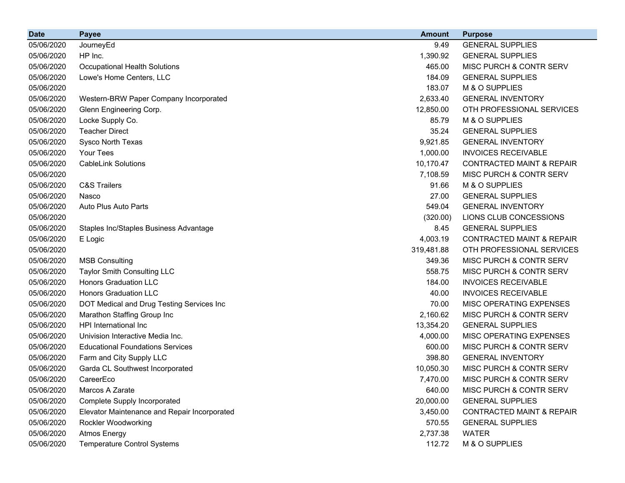| <b>Date</b> | <b>Payee</b>                                 | <b>Amount</b> | <b>Purpose</b>                       |
|-------------|----------------------------------------------|---------------|--------------------------------------|
| 05/06/2020  | JourneyEd                                    | 9.49          | <b>GENERAL SUPPLIES</b>              |
| 05/06/2020  | HP Inc.                                      | 1,390.92      | <b>GENERAL SUPPLIES</b>              |
| 05/06/2020  | <b>Occupational Health Solutions</b>         | 465.00        | MISC PURCH & CONTR SERV              |
| 05/06/2020  | Lowe's Home Centers, LLC                     | 184.09        | <b>GENERAL SUPPLIES</b>              |
| 05/06/2020  |                                              | 183.07        | M & O SUPPLIES                       |
| 05/06/2020  | Western-BRW Paper Company Incorporated       | 2,633.40      | <b>GENERAL INVENTORY</b>             |
| 05/06/2020  | Glenn Engineering Corp.                      | 12,850.00     | OTH PROFESSIONAL SERVICES            |
| 05/06/2020  | Locke Supply Co.                             | 85.79         | M & O SUPPLIES                       |
| 05/06/2020  | <b>Teacher Direct</b>                        | 35.24         | <b>GENERAL SUPPLIES</b>              |
| 05/06/2020  | Sysco North Texas                            | 9,921.85      | <b>GENERAL INVENTORY</b>             |
| 05/06/2020  | Your Tees                                    | 1,000.00      | <b>INVOICES RECEIVABLE</b>           |
| 05/06/2020  | <b>CableLink Solutions</b>                   | 10,170.47     | <b>CONTRACTED MAINT &amp; REPAIR</b> |
| 05/06/2020  |                                              | 7,108.59      | MISC PURCH & CONTR SERV              |
| 05/06/2020  | <b>C&amp;S Trailers</b>                      | 91.66         | M & O SUPPLIES                       |
| 05/06/2020  | Nasco                                        | 27.00         | <b>GENERAL SUPPLIES</b>              |
| 05/06/2020  | Auto Plus Auto Parts                         | 549.04        | <b>GENERAL INVENTORY</b>             |
| 05/06/2020  |                                              | (320.00)      | LIONS CLUB CONCESSIONS               |
| 05/06/2020  | Staples Inc/Staples Business Advantage       | 8.45          | <b>GENERAL SUPPLIES</b>              |
| 05/06/2020  | E Logic                                      | 4,003.19      | <b>CONTRACTED MAINT &amp; REPAIR</b> |
| 05/06/2020  |                                              | 319,481.88    | OTH PROFESSIONAL SERVICES            |
| 05/06/2020  | <b>MSB Consulting</b>                        | 349.36        | MISC PURCH & CONTR SERV              |
| 05/06/2020  | <b>Taylor Smith Consulting LLC</b>           | 558.75        | MISC PURCH & CONTR SERV              |
| 05/06/2020  | <b>Honors Graduation LLC</b>                 | 184.00        | <b>INVOICES RECEIVABLE</b>           |
| 05/06/2020  | <b>Honors Graduation LLC</b>                 | 40.00         | <b>INVOICES RECEIVABLE</b>           |
| 05/06/2020  | DOT Medical and Drug Testing Services Inc    | 70.00         | MISC OPERATING EXPENSES              |
| 05/06/2020  | Marathon Staffing Group Inc                  | 2,160.62      | MISC PURCH & CONTR SERV              |
| 05/06/2020  | HPI International Inc.                       | 13,354.20     | <b>GENERAL SUPPLIES</b>              |
| 05/06/2020  | Univision Interactive Media Inc.             | 4,000.00      | MISC OPERATING EXPENSES              |
| 05/06/2020  | <b>Educational Foundations Services</b>      | 600.00        | MISC PURCH & CONTR SERV              |
| 05/06/2020  | Farm and City Supply LLC                     | 398.80        | <b>GENERAL INVENTORY</b>             |
| 05/06/2020  | Garda CL Southwest Incorporated              | 10,050.30     | MISC PURCH & CONTR SERV              |
| 05/06/2020  | CareerEco                                    | 7,470.00      | <b>MISC PURCH &amp; CONTR SERV</b>   |
| 05/06/2020  | Marcos A Zarate                              | 640.00        | MISC PURCH & CONTR SERV              |
| 05/06/2020  | Complete Supply Incorporated                 | 20,000.00     | <b>GENERAL SUPPLIES</b>              |
| 05/06/2020  | Elevator Maintenance and Repair Incorporated | 3,450.00      | <b>CONTRACTED MAINT &amp; REPAIR</b> |
| 05/06/2020  | Rockler Woodworking                          | 570.55        | <b>GENERAL SUPPLIES</b>              |
| 05/06/2020  | <b>Atmos Energy</b>                          | 2,737.38      | <b>WATER</b>                         |
| 05/06/2020  | <b>Temperature Control Systems</b>           | 112.72        | M & O SUPPLIES                       |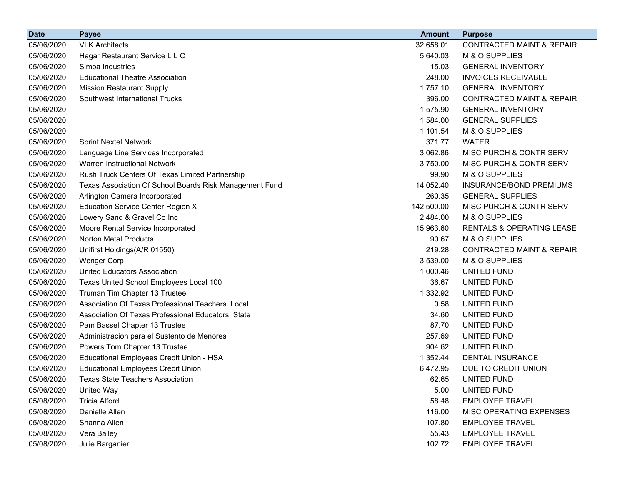| <b>Date</b> | <b>Payee</b>                                            | <b>Amount</b> | <b>Purpose</b>                       |
|-------------|---------------------------------------------------------|---------------|--------------------------------------|
| 05/06/2020  | <b>VLK Architects</b>                                   | 32,658.01     | <b>CONTRACTED MAINT &amp; REPAIR</b> |
| 05/06/2020  | Hagar Restaurant Service L L C                          | 5,640.03      | M & O SUPPLIES                       |
| 05/06/2020  | Simba Industries                                        | 15.03         | <b>GENERAL INVENTORY</b>             |
| 05/06/2020  | <b>Educational Theatre Association</b>                  | 248.00        | <b>INVOICES RECEIVABLE</b>           |
| 05/06/2020  | <b>Mission Restaurant Supply</b>                        | 1,757.10      | <b>GENERAL INVENTORY</b>             |
| 05/06/2020  | Southwest International Trucks                          | 396.00        | <b>CONTRACTED MAINT &amp; REPAIR</b> |
| 05/06/2020  |                                                         | 1,575.90      | <b>GENERAL INVENTORY</b>             |
| 05/06/2020  |                                                         | 1,584.00      | <b>GENERAL SUPPLIES</b>              |
| 05/06/2020  |                                                         | 1,101.54      | M & O SUPPLIES                       |
| 05/06/2020  | <b>Sprint Nextel Network</b>                            | 371.77        | <b>WATER</b>                         |
| 05/06/2020  | Language Line Services Incorporated                     | 3,062.86      | MISC PURCH & CONTR SERV              |
| 05/06/2020  | Warren Instructional Network                            | 3,750.00      | MISC PURCH & CONTR SERV              |
| 05/06/2020  | Rush Truck Centers Of Texas Limited Partnership         | 99.90         | M & O SUPPLIES                       |
| 05/06/2020  | Texas Association Of School Boards Risk Management Fund | 14,052.40     | <b>INSURANCE/BOND PREMIUMS</b>       |
| 05/06/2020  | Arlington Camera Incorporated                           | 260.35        | <b>GENERAL SUPPLIES</b>              |
| 05/06/2020  | <b>Education Service Center Region XI</b>               | 142,500.00    | MISC PURCH & CONTR SERV              |
| 05/06/2020  | Lowery Sand & Gravel Co Inc                             | 2,484.00      | M & O SUPPLIES                       |
| 05/06/2020  | Moore Rental Service Incorporated                       | 15,963.60     | RENTALS & OPERATING LEASE            |
| 05/06/2020  | Norton Metal Products                                   | 90.67         | M & O SUPPLIES                       |
| 05/06/2020  | Unifirst Holdings(A/R 01550)                            | 219.28        | <b>CONTRACTED MAINT &amp; REPAIR</b> |
| 05/06/2020  | <b>Wenger Corp</b>                                      | 3,539.00      | M & O SUPPLIES                       |
| 05/06/2020  | <b>United Educators Association</b>                     | 1,000.46      | UNITED FUND                          |
| 05/06/2020  | Texas United School Employees Local 100                 | 36.67         | UNITED FUND                          |
| 05/06/2020  | Truman Tim Chapter 13 Trustee                           | 1,332.92      | UNITED FUND                          |
| 05/06/2020  | Association Of Texas Professional Teachers Local        | 0.58          | UNITED FUND                          |
| 05/06/2020  | Association Of Texas Professional Educators State       | 34.60         | UNITED FUND                          |
| 05/06/2020  | Pam Bassel Chapter 13 Trustee                           | 87.70         | UNITED FUND                          |
| 05/06/2020  | Administracion para el Sustento de Menores              | 257.69        | UNITED FUND                          |
| 05/06/2020  | Powers Tom Chapter 13 Trustee                           | 904.62        | UNITED FUND                          |
| 05/06/2020  | Educational Employees Credit Union - HSA                | 1,352.44      | <b>DENTAL INSURANCE</b>              |
| 05/06/2020  | <b>Educational Employees Credit Union</b>               | 6,472.95      | DUE TO CREDIT UNION                  |
| 05/06/2020  | <b>Texas State Teachers Association</b>                 | 62.65         | UNITED FUND                          |
| 05/06/2020  | <b>United Way</b>                                       | 5.00          | UNITED FUND                          |
| 05/08/2020  | <b>Tricia Alford</b>                                    | 58.48         | <b>EMPLOYEE TRAVEL</b>               |
| 05/08/2020  | Danielle Allen                                          | 116.00        | MISC OPERATING EXPENSES              |
| 05/08/2020  | Shanna Allen                                            | 107.80        | <b>EMPLOYEE TRAVEL</b>               |
| 05/08/2020  | Vera Bailey                                             | 55.43         | <b>EMPLOYEE TRAVEL</b>               |
| 05/08/2020  | Julie Barganier                                         | 102.72        | <b>EMPLOYEE TRAVEL</b>               |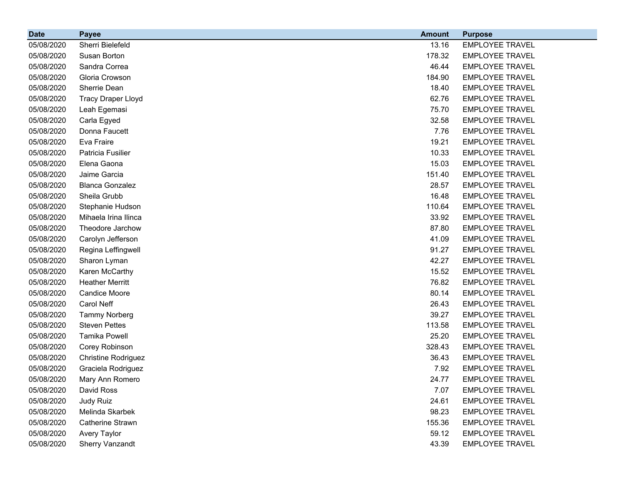| <b>Date</b> | <b>Payee</b>               | <b>Amount</b> | <b>Purpose</b>         |
|-------------|----------------------------|---------------|------------------------|
| 05/08/2020  | Sherri Bielefeld           | 13.16         | <b>EMPLOYEE TRAVEL</b> |
| 05/08/2020  | Susan Borton               | 178.32        | <b>EMPLOYEE TRAVEL</b> |
| 05/08/2020  | Sandra Correa              | 46.44         | <b>EMPLOYEE TRAVEL</b> |
| 05/08/2020  | Gloria Crowson             | 184.90        | <b>EMPLOYEE TRAVEL</b> |
| 05/08/2020  | Sherrie Dean               | 18.40         | <b>EMPLOYEE TRAVEL</b> |
| 05/08/2020  | <b>Tracy Draper Lloyd</b>  | 62.76         | <b>EMPLOYEE TRAVEL</b> |
| 05/08/2020  | Leah Egemasi               | 75.70         | <b>EMPLOYEE TRAVEL</b> |
| 05/08/2020  | Carla Egyed                | 32.58         | <b>EMPLOYEE TRAVEL</b> |
| 05/08/2020  | Donna Faucett              | 7.76          | <b>EMPLOYEE TRAVEL</b> |
| 05/08/2020  | Eva Fraire                 | 19.21         | <b>EMPLOYEE TRAVEL</b> |
| 05/08/2020  | Patricia Fusilier          | 10.33         | <b>EMPLOYEE TRAVEL</b> |
| 05/08/2020  | Elena Gaona                | 15.03         | <b>EMPLOYEE TRAVEL</b> |
| 05/08/2020  | Jaime Garcia               | 151.40        | <b>EMPLOYEE TRAVEL</b> |
| 05/08/2020  | <b>Blanca Gonzalez</b>     | 28.57         | <b>EMPLOYEE TRAVEL</b> |
| 05/08/2020  | Sheila Grubb               | 16.48         | <b>EMPLOYEE TRAVEL</b> |
| 05/08/2020  | Stephanie Hudson           | 110.64        | <b>EMPLOYEE TRAVEL</b> |
| 05/08/2020  | Mihaela Irina Ilinca       | 33.92         | <b>EMPLOYEE TRAVEL</b> |
| 05/08/2020  | Theodore Jarchow           | 87.80         | <b>EMPLOYEE TRAVEL</b> |
| 05/08/2020  | Carolyn Jefferson          | 41.09         | <b>EMPLOYEE TRAVEL</b> |
| 05/08/2020  | Regina Leffingwell         | 91.27         | <b>EMPLOYEE TRAVEL</b> |
| 05/08/2020  | Sharon Lyman               | 42.27         | <b>EMPLOYEE TRAVEL</b> |
| 05/08/2020  | Karen McCarthy             | 15.52         | <b>EMPLOYEE TRAVEL</b> |
| 05/08/2020  | <b>Heather Merritt</b>     | 76.82         | <b>EMPLOYEE TRAVEL</b> |
| 05/08/2020  | <b>Candice Moore</b>       | 80.14         | <b>EMPLOYEE TRAVEL</b> |
| 05/08/2020  | Carol Neff                 | 26.43         | <b>EMPLOYEE TRAVEL</b> |
| 05/08/2020  | <b>Tammy Norberg</b>       | 39.27         | <b>EMPLOYEE TRAVEL</b> |
| 05/08/2020  | <b>Steven Pettes</b>       | 113.58        | <b>EMPLOYEE TRAVEL</b> |
| 05/08/2020  | <b>Tamika Powell</b>       | 25.20         | <b>EMPLOYEE TRAVEL</b> |
| 05/08/2020  | Corey Robinson             | 328.43        | <b>EMPLOYEE TRAVEL</b> |
| 05/08/2020  | <b>Christine Rodriguez</b> | 36.43         | <b>EMPLOYEE TRAVEL</b> |
| 05/08/2020  | Graciela Rodriguez         | 7.92          | <b>EMPLOYEE TRAVEL</b> |
| 05/08/2020  | Mary Ann Romero            | 24.77         | <b>EMPLOYEE TRAVEL</b> |
| 05/08/2020  | David Ross                 | 7.07          | <b>EMPLOYEE TRAVEL</b> |
| 05/08/2020  | Judy Ruiz                  | 24.61         | <b>EMPLOYEE TRAVEL</b> |
| 05/08/2020  | Melinda Skarbek            | 98.23         | <b>EMPLOYEE TRAVEL</b> |
| 05/08/2020  | Catherine Strawn           | 155.36        | <b>EMPLOYEE TRAVEL</b> |
| 05/08/2020  | Avery Taylor               | 59.12         | <b>EMPLOYEE TRAVEL</b> |
| 05/08/2020  | Sherry Vanzandt            | 43.39         | <b>EMPLOYEE TRAVEL</b> |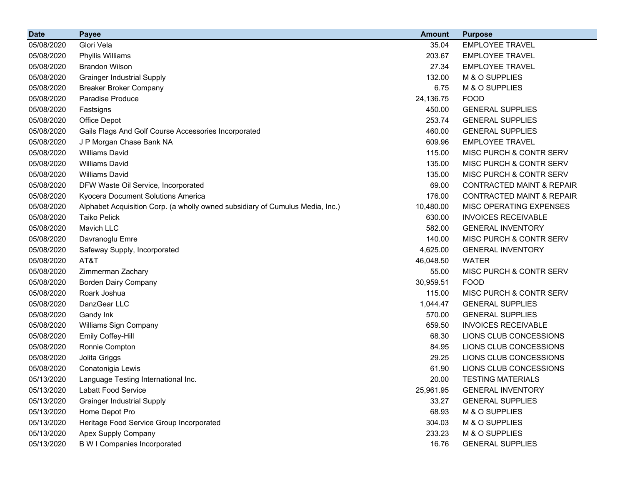| <b>Date</b> | <b>Payee</b>                                                                  | <b>Amount</b> | <b>Purpose</b>                       |
|-------------|-------------------------------------------------------------------------------|---------------|--------------------------------------|
| 05/08/2020  | Glori Vela                                                                    | 35.04         | <b>EMPLOYEE TRAVEL</b>               |
| 05/08/2020  | Phyllis Williams                                                              | 203.67        | <b>EMPLOYEE TRAVEL</b>               |
| 05/08/2020  | <b>Brandon Wilson</b>                                                         | 27.34         | <b>EMPLOYEE TRAVEL</b>               |
| 05/08/2020  | <b>Grainger Industrial Supply</b>                                             | 132.00        | M & O SUPPLIES                       |
| 05/08/2020  | <b>Breaker Broker Company</b>                                                 | 6.75          | M & O SUPPLIES                       |
| 05/08/2020  | Paradise Produce                                                              | 24,136.75     | <b>FOOD</b>                          |
| 05/08/2020  | Fastsigns                                                                     | 450.00        | <b>GENERAL SUPPLIES</b>              |
| 05/08/2020  | Office Depot                                                                  | 253.74        | <b>GENERAL SUPPLIES</b>              |
| 05/08/2020  | Gails Flags And Golf Course Accessories Incorporated                          | 460.00        | <b>GENERAL SUPPLIES</b>              |
| 05/08/2020  | J P Morgan Chase Bank NA                                                      | 609.96        | <b>EMPLOYEE TRAVEL</b>               |
| 05/08/2020  | <b>Williams David</b>                                                         | 115.00        | MISC PURCH & CONTR SERV              |
| 05/08/2020  | <b>Williams David</b>                                                         | 135.00        | MISC PURCH & CONTR SERV              |
| 05/08/2020  | <b>Williams David</b>                                                         | 135.00        | MISC PURCH & CONTR SERV              |
| 05/08/2020  | DFW Waste Oil Service, Incorporated                                           | 69.00         | <b>CONTRACTED MAINT &amp; REPAIR</b> |
| 05/08/2020  | Kyocera Document Solutions America                                            | 176.00        | <b>CONTRACTED MAINT &amp; REPAIR</b> |
| 05/08/2020  | Alphabet Acquisition Corp. (a wholly owned subsidiary of Cumulus Media, Inc.) | 10,480.00     | MISC OPERATING EXPENSES              |
| 05/08/2020  | <b>Taiko Pelick</b>                                                           | 630.00        | <b>INVOICES RECEIVABLE</b>           |
| 05/08/2020  | Mavich LLC                                                                    | 582.00        | <b>GENERAL INVENTORY</b>             |
| 05/08/2020  | Davranoglu Emre                                                               | 140.00        | MISC PURCH & CONTR SERV              |
| 05/08/2020  | Safeway Supply, Incorporated                                                  | 4,625.00      | <b>GENERAL INVENTORY</b>             |
| 05/08/2020  | AT&T                                                                          | 46,048.50     | <b>WATER</b>                         |
| 05/08/2020  | Zimmerman Zachary                                                             | 55.00         | MISC PURCH & CONTR SERV              |
| 05/08/2020  | <b>Borden Dairy Company</b>                                                   | 30,959.51     | <b>FOOD</b>                          |
| 05/08/2020  | Roark Joshua                                                                  | 115.00        | MISC PURCH & CONTR SERV              |
| 05/08/2020  | DanzGear LLC                                                                  | 1,044.47      | <b>GENERAL SUPPLIES</b>              |
| 05/08/2020  | Gandy Ink                                                                     | 570.00        | <b>GENERAL SUPPLIES</b>              |
| 05/08/2020  | Williams Sign Company                                                         | 659.50        | <b>INVOICES RECEIVABLE</b>           |
| 05/08/2020  | Emily Coffey-Hill                                                             | 68.30         | LIONS CLUB CONCESSIONS               |
| 05/08/2020  | Ronnie Compton                                                                | 84.95         | LIONS CLUB CONCESSIONS               |
| 05/08/2020  | Jolita Griggs                                                                 | 29.25         | LIONS CLUB CONCESSIONS               |
| 05/08/2020  | Conatonigia Lewis                                                             | 61.90         | LIONS CLUB CONCESSIONS               |
| 05/13/2020  | Language Testing International Inc.                                           | 20.00         | <b>TESTING MATERIALS</b>             |
| 05/13/2020  | <b>Labatt Food Service</b>                                                    | 25,961.95     | <b>GENERAL INVENTORY</b>             |
| 05/13/2020  | <b>Grainger Industrial Supply</b>                                             | 33.27         | <b>GENERAL SUPPLIES</b>              |
| 05/13/2020  | Home Depot Pro                                                                | 68.93         | M & O SUPPLIES                       |
| 05/13/2020  | Heritage Food Service Group Incorporated                                      | 304.03        | M & O SUPPLIES                       |
| 05/13/2020  | Apex Supply Company                                                           | 233.23        | M & O SUPPLIES                       |
| 05/13/2020  | <b>B W I Companies Incorporated</b>                                           | 16.76         | <b>GENERAL SUPPLIES</b>              |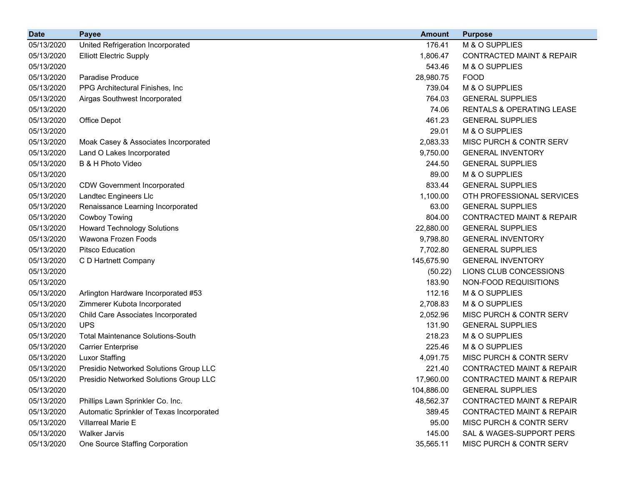| <b>Date</b> | <b>Payee</b>                              | <b>Amount</b> | <b>Purpose</b>                       |
|-------------|-------------------------------------------|---------------|--------------------------------------|
| 05/13/2020  | United Refrigeration Incorporated         | 176.41        | M & O SUPPLIES                       |
| 05/13/2020  | <b>Elliott Electric Supply</b>            | 1,806.47      | <b>CONTRACTED MAINT &amp; REPAIR</b> |
| 05/13/2020  |                                           | 543.46        | M & O SUPPLIES                       |
| 05/13/2020  | Paradise Produce                          | 28,980.75     | <b>FOOD</b>                          |
| 05/13/2020  | PPG Architectural Finishes, Inc.          | 739.04        | M & O SUPPLIES                       |
| 05/13/2020  | Airgas Southwest Incorporated             | 764.03        | <b>GENERAL SUPPLIES</b>              |
| 05/13/2020  |                                           | 74.06         | <b>RENTALS &amp; OPERATING LEASE</b> |
| 05/13/2020  | Office Depot                              | 461.23        | <b>GENERAL SUPPLIES</b>              |
| 05/13/2020  |                                           | 29.01         | M & O SUPPLIES                       |
| 05/13/2020  | Moak Casey & Associates Incorporated      | 2,083.33      | MISC PURCH & CONTR SERV              |
| 05/13/2020  | Land O Lakes Incorporated                 | 9,750.00      | <b>GENERAL INVENTORY</b>             |
| 05/13/2020  | B & H Photo Video                         | 244.50        | <b>GENERAL SUPPLIES</b>              |
| 05/13/2020  |                                           | 89.00         | M & O SUPPLIES                       |
| 05/13/2020  | <b>CDW Government Incorporated</b>        | 833.44        | <b>GENERAL SUPPLIES</b>              |
| 05/13/2020  | Landtec Engineers Llc                     | 1,100.00      | OTH PROFESSIONAL SERVICES            |
| 05/13/2020  | Renaissance Learning Incorporated         | 63.00         | <b>GENERAL SUPPLIES</b>              |
| 05/13/2020  | Cowboy Towing                             | 804.00        | <b>CONTRACTED MAINT &amp; REPAIR</b> |
| 05/13/2020  | <b>Howard Technology Solutions</b>        | 22,880.00     | <b>GENERAL SUPPLIES</b>              |
| 05/13/2020  | Wawona Frozen Foods                       | 9,798.80      | <b>GENERAL INVENTORY</b>             |
| 05/13/2020  | <b>Pitsco Education</b>                   | 7,702.80      | <b>GENERAL SUPPLIES</b>              |
| 05/13/2020  | C D Hartnett Company                      | 145,675.90    | <b>GENERAL INVENTORY</b>             |
| 05/13/2020  |                                           | (50.22)       | LIONS CLUB CONCESSIONS               |
| 05/13/2020  |                                           | 183.90        | NON-FOOD REQUISITIONS                |
| 05/13/2020  | Arlington Hardware Incorporated #53       | 112.16        | M & O SUPPLIES                       |
| 05/13/2020  | Zimmerer Kubota Incorporated              | 2,708.83      | M & O SUPPLIES                       |
| 05/13/2020  | Child Care Associates Incorporated        | 2,052.96      | MISC PURCH & CONTR SERV              |
| 05/13/2020  | <b>UPS</b>                                | 131.90        | <b>GENERAL SUPPLIES</b>              |
| 05/13/2020  | <b>Total Maintenance Solutions-South</b>  | 218.23        | M & O SUPPLIES                       |
| 05/13/2020  | <b>Carrier Enterprise</b>                 | 225.46        | M & O SUPPLIES                       |
| 05/13/2020  | <b>Luxor Staffing</b>                     | 4,091.75      | MISC PURCH & CONTR SERV              |
| 05/13/2020  | Presidio Networked Solutions Group LLC    | 221.40        | <b>CONTRACTED MAINT &amp; REPAIR</b> |
| 05/13/2020  | Presidio Networked Solutions Group LLC    | 17,960.00     | CONTRACTED MAINT & REPAIR            |
| 05/13/2020  |                                           | 104,886.00    | <b>GENERAL SUPPLIES</b>              |
| 05/13/2020  | Phillips Lawn Sprinkler Co. Inc.          | 48,562.37     | <b>CONTRACTED MAINT &amp; REPAIR</b> |
| 05/13/2020  | Automatic Sprinkler of Texas Incorporated | 389.45        | <b>CONTRACTED MAINT &amp; REPAIR</b> |
| 05/13/2020  | <b>Villarreal Marie E</b>                 | 95.00         | MISC PURCH & CONTR SERV              |
| 05/13/2020  | <b>Walker Jarvis</b>                      | 145.00        | SAL & WAGES-SUPPORT PERS             |
| 05/13/2020  | One Source Staffing Corporation           | 35,565.11     | MISC PURCH & CONTR SERV              |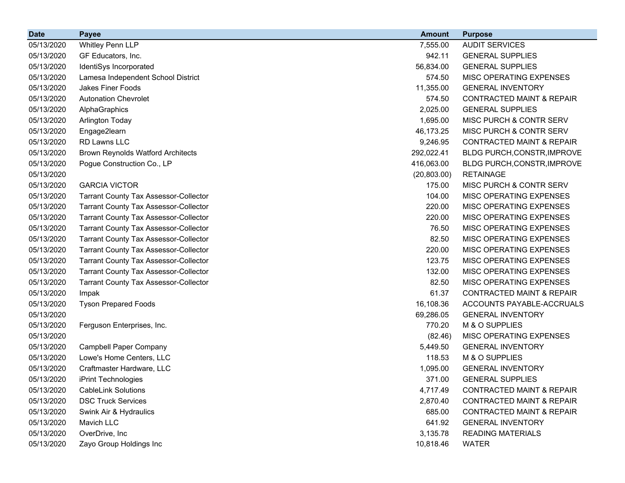| <b>Date</b> | <b>Payee</b>                                 | <b>Amount</b> | <b>Purpose</b>                       |
|-------------|----------------------------------------------|---------------|--------------------------------------|
| 05/13/2020  | Whitley Penn LLP                             | 7,555.00      | <b>AUDIT SERVICES</b>                |
| 05/13/2020  | GF Educators, Inc.                           | 942.11        | <b>GENERAL SUPPLIES</b>              |
| 05/13/2020  | IdentiSys Incorporated                       | 56,834.00     | <b>GENERAL SUPPLIES</b>              |
| 05/13/2020  | Lamesa Independent School District           | 574.50        | MISC OPERATING EXPENSES              |
| 05/13/2020  | <b>Jakes Finer Foods</b>                     | 11,355.00     | <b>GENERAL INVENTORY</b>             |
| 05/13/2020  | <b>Autonation Chevrolet</b>                  | 574.50        | <b>CONTRACTED MAINT &amp; REPAIR</b> |
| 05/13/2020  | AlphaGraphics                                | 2,025.00      | <b>GENERAL SUPPLIES</b>              |
| 05/13/2020  | <b>Arlington Today</b>                       | 1,695.00      | MISC PURCH & CONTR SERV              |
| 05/13/2020  | Engage2learn                                 | 46,173.25     | MISC PURCH & CONTR SERV              |
| 05/13/2020  | RD Lawns LLC                                 | 9,246.95      | <b>CONTRACTED MAINT &amp; REPAIR</b> |
| 05/13/2020  | <b>Brown Reynolds Watford Architects</b>     | 292,022.41    | BLDG PURCH, CONSTR, IMPROVE          |
| 05/13/2020  | Pogue Construction Co., LP                   | 416,063.00    | BLDG PURCH, CONSTR, IMPROVE          |
| 05/13/2020  |                                              | (20, 803.00)  | <b>RETAINAGE</b>                     |
| 05/13/2020  | <b>GARCIA VICTOR</b>                         | 175.00        | MISC PURCH & CONTR SERV              |
| 05/13/2020  | <b>Tarrant County Tax Assessor-Collector</b> | 104.00        | MISC OPERATING EXPENSES              |
| 05/13/2020  | <b>Tarrant County Tax Assessor-Collector</b> | 220.00        | MISC OPERATING EXPENSES              |
| 05/13/2020  | <b>Tarrant County Tax Assessor-Collector</b> | 220.00        | MISC OPERATING EXPENSES              |
| 05/13/2020  | <b>Tarrant County Tax Assessor-Collector</b> | 76.50         | MISC OPERATING EXPENSES              |
| 05/13/2020  | <b>Tarrant County Tax Assessor-Collector</b> | 82.50         | MISC OPERATING EXPENSES              |
| 05/13/2020  | <b>Tarrant County Tax Assessor-Collector</b> | 220.00        | MISC OPERATING EXPENSES              |
| 05/13/2020  | <b>Tarrant County Tax Assessor-Collector</b> | 123.75        | MISC OPERATING EXPENSES              |
| 05/13/2020  | <b>Tarrant County Tax Assessor-Collector</b> | 132.00        | MISC OPERATING EXPENSES              |
| 05/13/2020  | <b>Tarrant County Tax Assessor-Collector</b> | 82.50         | MISC OPERATING EXPENSES              |
| 05/13/2020  | Impak                                        | 61.37         | <b>CONTRACTED MAINT &amp; REPAIR</b> |
| 05/13/2020  | <b>Tyson Prepared Foods</b>                  | 16,108.36     | ACCOUNTS PAYABLE-ACCRUALS            |
| 05/13/2020  |                                              | 69,286.05     | <b>GENERAL INVENTORY</b>             |
| 05/13/2020  | Ferguson Enterprises, Inc.                   | 770.20        | M & O SUPPLIES                       |
| 05/13/2020  |                                              | (82.46)       | MISC OPERATING EXPENSES              |
| 05/13/2020  | <b>Campbell Paper Company</b>                | 5,449.50      | <b>GENERAL INVENTORY</b>             |
| 05/13/2020  | Lowe's Home Centers, LLC                     | 118.53        | M & O SUPPLIES                       |
| 05/13/2020  | Craftmaster Hardware, LLC                    | 1,095.00      | <b>GENERAL INVENTORY</b>             |
| 05/13/2020  | iPrint Technologies                          | 371.00        | <b>GENERAL SUPPLIES</b>              |
| 05/13/2020  | <b>CableLink Solutions</b>                   | 4,717.49      | <b>CONTRACTED MAINT &amp; REPAIR</b> |
| 05/13/2020  | <b>DSC Truck Services</b>                    | 2,870.40      | <b>CONTRACTED MAINT &amp; REPAIR</b> |
| 05/13/2020  | Swink Air & Hydraulics                       | 685.00        | <b>CONTRACTED MAINT &amp; REPAIR</b> |
| 05/13/2020  | Mavich LLC                                   | 641.92        | <b>GENERAL INVENTORY</b>             |
| 05/13/2020  | OverDrive, Inc                               | 3,135.78      | <b>READING MATERIALS</b>             |
| 05/13/2020  | Zayo Group Holdings Inc                      | 10,818.46     | <b>WATER</b>                         |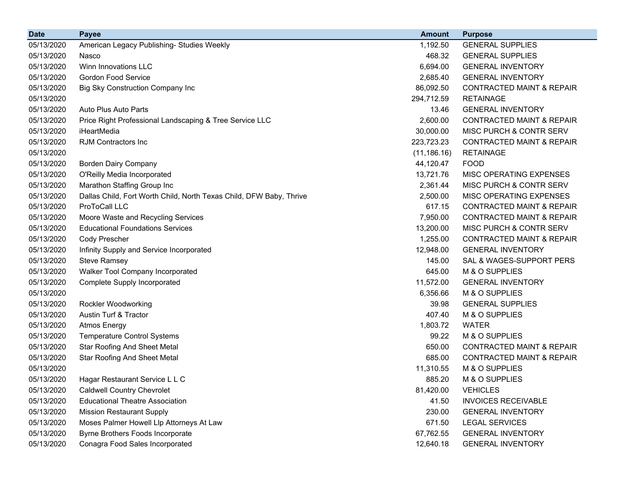| <b>Date</b> | <b>Payee</b>                                                        | <b>Amount</b> | <b>Purpose</b>                       |
|-------------|---------------------------------------------------------------------|---------------|--------------------------------------|
| 05/13/2020  | American Legacy Publishing- Studies Weekly                          | 1,192.50      | <b>GENERAL SUPPLIES</b>              |
| 05/13/2020  | Nasco                                                               | 468.32        | <b>GENERAL SUPPLIES</b>              |
| 05/13/2020  | Winn Innovations LLC                                                | 6,694.00      | <b>GENERAL INVENTORY</b>             |
| 05/13/2020  | <b>Gordon Food Service</b>                                          | 2,685.40      | <b>GENERAL INVENTORY</b>             |
| 05/13/2020  | Big Sky Construction Company Inc                                    | 86,092.50     | <b>CONTRACTED MAINT &amp; REPAIR</b> |
| 05/13/2020  |                                                                     | 294,712.59    | <b>RETAINAGE</b>                     |
| 05/13/2020  | Auto Plus Auto Parts                                                | 13.46         | <b>GENERAL INVENTORY</b>             |
| 05/13/2020  | Price Right Professional Landscaping & Tree Service LLC             | 2,600.00      | <b>CONTRACTED MAINT &amp; REPAIR</b> |
| 05/13/2020  | iHeartMedia                                                         | 30,000.00     | MISC PURCH & CONTR SERV              |
| 05/13/2020  | <b>RJM Contractors Inc.</b>                                         | 223,723.23    | <b>CONTRACTED MAINT &amp; REPAIR</b> |
| 05/13/2020  |                                                                     | (11, 186.16)  | <b>RETAINAGE</b>                     |
| 05/13/2020  | <b>Borden Dairy Company</b>                                         | 44,120.47     | <b>FOOD</b>                          |
| 05/13/2020  | O'Reilly Media Incorporated                                         | 13,721.76     | MISC OPERATING EXPENSES              |
| 05/13/2020  | Marathon Staffing Group Inc                                         | 2,361.44      | MISC PURCH & CONTR SERV              |
| 05/13/2020  | Dallas Child, Fort Worth Child, North Texas Child, DFW Baby, Thrive | 2,500.00      | MISC OPERATING EXPENSES              |
| 05/13/2020  | ProToCall LLC                                                       | 617.15        | <b>CONTRACTED MAINT &amp; REPAIR</b> |
| 05/13/2020  | Moore Waste and Recycling Services                                  | 7,950.00      | <b>CONTRACTED MAINT &amp; REPAIR</b> |
| 05/13/2020  | <b>Educational Foundations Services</b>                             | 13,200.00     | MISC PURCH & CONTR SERV              |
| 05/13/2020  | Cody Prescher                                                       | 1,255.00      | <b>CONTRACTED MAINT &amp; REPAIR</b> |
| 05/13/2020  | Infinity Supply and Service Incorporated                            | 12,948.00     | <b>GENERAL INVENTORY</b>             |
| 05/13/2020  | <b>Steve Ramsey</b>                                                 | 145.00        | SAL & WAGES-SUPPORT PERS             |
| 05/13/2020  | Walker Tool Company Incorporated                                    | 645.00        | M & O SUPPLIES                       |
| 05/13/2020  | <b>Complete Supply Incorporated</b>                                 | 11,572.00     | <b>GENERAL INVENTORY</b>             |
| 05/13/2020  |                                                                     | 6,356.66      | M & O SUPPLIES                       |
| 05/13/2020  | <b>Rockler Woodworking</b>                                          | 39.98         | <b>GENERAL SUPPLIES</b>              |
| 05/13/2020  | Austin Turf & Tractor                                               | 407.40        | M & O SUPPLIES                       |
| 05/13/2020  | <b>Atmos Energy</b>                                                 | 1,803.72      | <b>WATER</b>                         |
| 05/13/2020  | <b>Temperature Control Systems</b>                                  | 99.22         | M & O SUPPLIES                       |
| 05/13/2020  | <b>Star Roofing And Sheet Metal</b>                                 | 650.00        | <b>CONTRACTED MAINT &amp; REPAIR</b> |
| 05/13/2020  | <b>Star Roofing And Sheet Metal</b>                                 | 685.00        | CONTRACTED MAINT & REPAIR            |
| 05/13/2020  |                                                                     | 11,310.55     | M & O SUPPLIES                       |
| 05/13/2020  | Hagar Restaurant Service L L C                                      | 885.20        | M & O SUPPLIES                       |
| 05/13/2020  | <b>Caldwell Country Chevrolet</b>                                   | 81,420.00     | <b>VEHICLES</b>                      |
| 05/13/2020  | <b>Educational Theatre Association</b>                              | 41.50         | <b>INVOICES RECEIVABLE</b>           |
| 05/13/2020  | <b>Mission Restaurant Supply</b>                                    | 230.00        | <b>GENERAL INVENTORY</b>             |
| 05/13/2020  | Moses Palmer Howell Llp Attorneys At Law                            | 671.50        | <b>LEGAL SERVICES</b>                |
| 05/13/2020  | Byrne Brothers Foods Incorporate                                    | 67,762.55     | <b>GENERAL INVENTORY</b>             |
| 05/13/2020  | Conagra Food Sales Incorporated                                     | 12,640.18     | <b>GENERAL INVENTORY</b>             |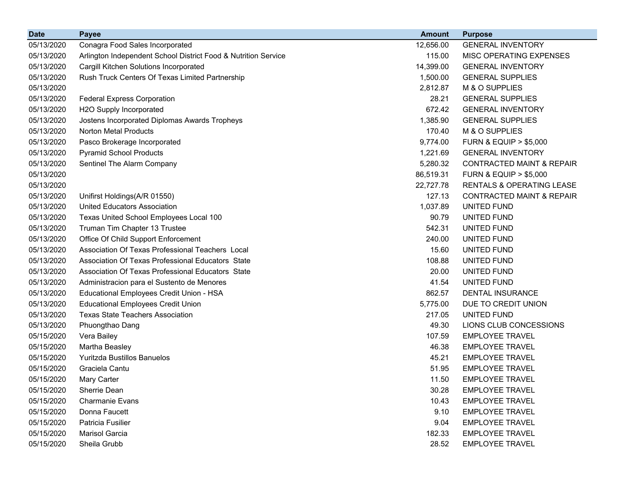| <b>Date</b> | <b>Payee</b>                                                   | <b>Amount</b> | <b>Purpose</b>                       |
|-------------|----------------------------------------------------------------|---------------|--------------------------------------|
| 05/13/2020  | Conagra Food Sales Incorporated                                | 12,656.00     | <b>GENERAL INVENTORY</b>             |
| 05/13/2020  | Arlington Independent School District Food & Nutrition Service | 115.00        | MISC OPERATING EXPENSES              |
| 05/13/2020  | Cargill Kitchen Solutions Incorporated                         | 14,399.00     | <b>GENERAL INVENTORY</b>             |
| 05/13/2020  | Rush Truck Centers Of Texas Limited Partnership                | 1,500.00      | <b>GENERAL SUPPLIES</b>              |
| 05/13/2020  |                                                                | 2,812.87      | M & O SUPPLIES                       |
| 05/13/2020  | <b>Federal Express Corporation</b>                             | 28.21         | <b>GENERAL SUPPLIES</b>              |
| 05/13/2020  | H2O Supply Incorporated                                        | 672.42        | <b>GENERAL INVENTORY</b>             |
| 05/13/2020  | Jostens Incorporated Diplomas Awards Tropheys                  | 1,385.90      | <b>GENERAL SUPPLIES</b>              |
| 05/13/2020  | Norton Metal Products                                          | 170.40        | M & O SUPPLIES                       |
| 05/13/2020  | Pasco Brokerage Incorporated                                   | 9,774.00      | <b>FURN &amp; EQUIP &gt; \$5,000</b> |
| 05/13/2020  | <b>Pyramid School Products</b>                                 | 1,221.69      | <b>GENERAL INVENTORY</b>             |
| 05/13/2020  | Sentinel The Alarm Company                                     | 5,280.32      | <b>CONTRACTED MAINT &amp; REPAIR</b> |
| 05/13/2020  |                                                                | 86,519.31     | <b>FURN &amp; EQUIP &gt; \$5,000</b> |
| 05/13/2020  |                                                                | 22,727.78     | <b>RENTALS &amp; OPERATING LEASE</b> |
| 05/13/2020  | Unifirst Holdings(A/R 01550)                                   | 127.13        | <b>CONTRACTED MAINT &amp; REPAIR</b> |
| 05/13/2020  | <b>United Educators Association</b>                            | 1,037.89      | UNITED FUND                          |
| 05/13/2020  | Texas United School Employees Local 100                        | 90.79         | UNITED FUND                          |
| 05/13/2020  | Truman Tim Chapter 13 Trustee                                  | 542.31        | UNITED FUND                          |
| 05/13/2020  | Office Of Child Support Enforcement                            | 240.00        | UNITED FUND                          |
| 05/13/2020  | Association Of Texas Professional Teachers Local               | 15.60         | UNITED FUND                          |
| 05/13/2020  | Association Of Texas Professional Educators State              | 108.88        | UNITED FUND                          |
| 05/13/2020  | Association Of Texas Professional Educators State              | 20.00         | UNITED FUND                          |
| 05/13/2020  | Administracion para el Sustento de Menores                     | 41.54         | UNITED FUND                          |
| 05/13/2020  | Educational Employees Credit Union - HSA                       | 862.57        | <b>DENTAL INSURANCE</b>              |
| 05/13/2020  | <b>Educational Employees Credit Union</b>                      | 5,775.00      | DUE TO CREDIT UNION                  |
| 05/13/2020  | <b>Texas State Teachers Association</b>                        | 217.05        | UNITED FUND                          |
| 05/13/2020  | Phuongthao Dang                                                | 49.30         | LIONS CLUB CONCESSIONS               |
| 05/15/2020  | Vera Bailey                                                    | 107.59        | <b>EMPLOYEE TRAVEL</b>               |
| 05/15/2020  | Martha Beasley                                                 | 46.38         | <b>EMPLOYEE TRAVEL</b>               |
| 05/15/2020  | Yuritzda Bustillos Banuelos                                    | 45.21         | <b>EMPLOYEE TRAVEL</b>               |
| 05/15/2020  | Graciela Cantu                                                 | 51.95         | <b>EMPLOYEE TRAVEL</b>               |
| 05/15/2020  | Mary Carter                                                    | 11.50         | <b>EMPLOYEE TRAVEL</b>               |
| 05/15/2020  | <b>Sherrie Dean</b>                                            | 30.28         | <b>EMPLOYEE TRAVEL</b>               |
| 05/15/2020  | <b>Charmanie Evans</b>                                         | 10.43         | <b>EMPLOYEE TRAVEL</b>               |
| 05/15/2020  | Donna Faucett                                                  | 9.10          | <b>EMPLOYEE TRAVEL</b>               |
| 05/15/2020  | Patricia Fusilier                                              | 9.04          | <b>EMPLOYEE TRAVEL</b>               |
| 05/15/2020  | Marisol Garcia                                                 | 182.33        | <b>EMPLOYEE TRAVEL</b>               |
| 05/15/2020  | Sheila Grubb                                                   | 28.52         | <b>EMPLOYEE TRAVEL</b>               |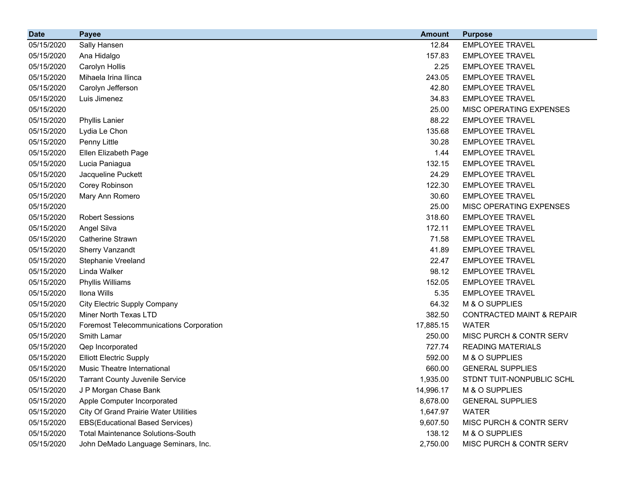| <b>Date</b> | <b>Payee</b>                                   | <b>Amount</b> | <b>Purpose</b>                       |
|-------------|------------------------------------------------|---------------|--------------------------------------|
| 05/15/2020  | Sally Hansen                                   | 12.84         | <b>EMPLOYEE TRAVEL</b>               |
| 05/15/2020  | Ana Hidalgo                                    | 157.83        | <b>EMPLOYEE TRAVEL</b>               |
| 05/15/2020  | Carolyn Hollis                                 | 2.25          | <b>EMPLOYEE TRAVEL</b>               |
| 05/15/2020  | Mihaela Irina Ilinca                           | 243.05        | <b>EMPLOYEE TRAVEL</b>               |
| 05/15/2020  | Carolyn Jefferson                              | 42.80         | <b>EMPLOYEE TRAVEL</b>               |
| 05/15/2020  | Luis Jimenez                                   | 34.83         | <b>EMPLOYEE TRAVEL</b>               |
| 05/15/2020  |                                                | 25.00         | MISC OPERATING EXPENSES              |
| 05/15/2020  | <b>Phyllis Lanier</b>                          | 88.22         | <b>EMPLOYEE TRAVEL</b>               |
| 05/15/2020  | Lydia Le Chon                                  | 135.68        | <b>EMPLOYEE TRAVEL</b>               |
| 05/15/2020  | Penny Little                                   | 30.28         | <b>EMPLOYEE TRAVEL</b>               |
| 05/15/2020  | Ellen Elizabeth Page                           | 1.44          | <b>EMPLOYEE TRAVEL</b>               |
| 05/15/2020  | Lucia Paniagua                                 | 132.15        | <b>EMPLOYEE TRAVEL</b>               |
| 05/15/2020  | Jacqueline Puckett                             | 24.29         | <b>EMPLOYEE TRAVEL</b>               |
| 05/15/2020  | Corey Robinson                                 | 122.30        | <b>EMPLOYEE TRAVEL</b>               |
| 05/15/2020  | Mary Ann Romero                                | 30.60         | <b>EMPLOYEE TRAVEL</b>               |
| 05/15/2020  |                                                | 25.00         | MISC OPERATING EXPENSES              |
| 05/15/2020  | <b>Robert Sessions</b>                         | 318.60        | <b>EMPLOYEE TRAVEL</b>               |
| 05/15/2020  | Angel Silva                                    | 172.11        | <b>EMPLOYEE TRAVEL</b>               |
| 05/15/2020  | <b>Catherine Strawn</b>                        | 71.58         | <b>EMPLOYEE TRAVEL</b>               |
| 05/15/2020  | <b>Sherry Vanzandt</b>                         | 41.89         | <b>EMPLOYEE TRAVEL</b>               |
| 05/15/2020  | <b>Stephanie Vreeland</b>                      | 22.47         | <b>EMPLOYEE TRAVEL</b>               |
| 05/15/2020  | Linda Walker                                   | 98.12         | <b>EMPLOYEE TRAVEL</b>               |
| 05/15/2020  | Phyllis Williams                               | 152.05        | <b>EMPLOYEE TRAVEL</b>               |
| 05/15/2020  | Ilona Wills                                    | 5.35          | <b>EMPLOYEE TRAVEL</b>               |
| 05/15/2020  | <b>City Electric Supply Company</b>            | 64.32         | M & O SUPPLIES                       |
| 05/15/2020  | Miner North Texas LTD                          | 382.50        | <b>CONTRACTED MAINT &amp; REPAIR</b> |
| 05/15/2020  | <b>Foremost Telecommunications Corporation</b> | 17,885.15     | <b>WATER</b>                         |
| 05/15/2020  | Smith Lamar                                    | 250.00        | MISC PURCH & CONTR SERV              |
| 05/15/2020  | Qep Incorporated                               | 727.74        | <b>READING MATERIALS</b>             |
| 05/15/2020  | <b>Elliott Electric Supply</b>                 | 592.00        | M & O SUPPLIES                       |
| 05/15/2020  | Music Theatre International                    | 660.00        | <b>GENERAL SUPPLIES</b>              |
| 05/15/2020  | <b>Tarrant County Juvenile Service</b>         | 1,935.00      | STDNT TUIT-NONPUBLIC SCHL            |
| 05/15/2020  | J P Morgan Chase Bank                          | 14,996.17     | M & O SUPPLIES                       |
| 05/15/2020  | Apple Computer Incorporated                    | 8,678.00      | <b>GENERAL SUPPLIES</b>              |
| 05/15/2020  | <b>City Of Grand Prairie Water Utilities</b>   | 1,647.97      | <b>WATER</b>                         |
| 05/15/2020  | <b>EBS(Educational Based Services)</b>         | 9,607.50      | MISC PURCH & CONTR SERV              |
| 05/15/2020  | <b>Total Maintenance Solutions-South</b>       | 138.12        | M & O SUPPLIES                       |
| 05/15/2020  | John DeMado Language Seminars, Inc.            | 2,750.00      | MISC PURCH & CONTR SERV              |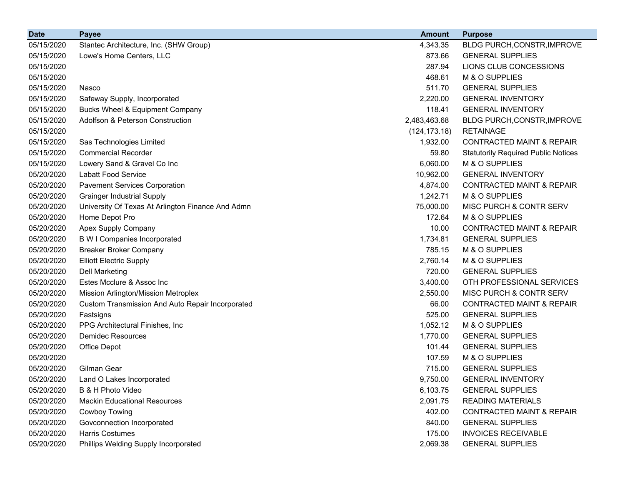| <b>Date</b> | <b>Payee</b>                                      | <b>Amount</b> | <b>Purpose</b>                             |
|-------------|---------------------------------------------------|---------------|--------------------------------------------|
| 05/15/2020  | Stantec Architecture, Inc. (SHW Group)            | 4,343.35      | BLDG PURCH, CONSTR, IMPROVE                |
| 05/15/2020  | Lowe's Home Centers, LLC                          | 873.66        | <b>GENERAL SUPPLIES</b>                    |
| 05/15/2020  |                                                   | 287.94        | LIONS CLUB CONCESSIONS                     |
| 05/15/2020  |                                                   | 468.61        | M & O SUPPLIES                             |
| 05/15/2020  | Nasco                                             | 511.70        | <b>GENERAL SUPPLIES</b>                    |
| 05/15/2020  | Safeway Supply, Incorporated                      | 2,220.00      | <b>GENERAL INVENTORY</b>                   |
| 05/15/2020  | <b>Bucks Wheel &amp; Equipment Company</b>        | 118.41        | <b>GENERAL INVENTORY</b>                   |
| 05/15/2020  | Adolfson & Peterson Construction                  | 2,483,463.68  | BLDG PURCH, CONSTR, IMPROVE                |
| 05/15/2020  |                                                   | (124, 173.18) | <b>RETAINAGE</b>                           |
| 05/15/2020  | Sas Technologies Limited                          | 1,932.00      | <b>CONTRACTED MAINT &amp; REPAIR</b>       |
| 05/15/2020  | <b>Commercial Recorder</b>                        | 59.80         | <b>Statutorily Required Public Notices</b> |
| 05/15/2020  | Lowery Sand & Gravel Co Inc                       | 6,060.00      | M & O SUPPLIES                             |
| 05/20/2020  | <b>Labatt Food Service</b>                        | 10,962.00     | <b>GENERAL INVENTORY</b>                   |
| 05/20/2020  | <b>Pavement Services Corporation</b>              | 4,874.00      | <b>CONTRACTED MAINT &amp; REPAIR</b>       |
| 05/20/2020  | <b>Grainger Industrial Supply</b>                 | 1,242.71      | M & O SUPPLIES                             |
| 05/20/2020  | University Of Texas At Arlington Finance And Admn | 75,000.00     | MISC PURCH & CONTR SERV                    |
| 05/20/2020  | Home Depot Pro                                    | 172.64        | M & O SUPPLIES                             |
| 05/20/2020  | Apex Supply Company                               | 10.00         | <b>CONTRACTED MAINT &amp; REPAIR</b>       |
| 05/20/2020  | <b>B W I Companies Incorporated</b>               | 1,734.81      | <b>GENERAL SUPPLIES</b>                    |
| 05/20/2020  | <b>Breaker Broker Company</b>                     | 785.15        | M & O SUPPLIES                             |
| 05/20/2020  | <b>Elliott Electric Supply</b>                    | 2,760.14      | M & O SUPPLIES                             |
| 05/20/2020  | <b>Dell Marketing</b>                             | 720.00        | <b>GENERAL SUPPLIES</b>                    |
| 05/20/2020  | Estes Mcclure & Assoc Inc                         | 3,400.00      | OTH PROFESSIONAL SERVICES                  |
| 05/20/2020  | Mission Arlington/Mission Metroplex               | 2,550.00      | MISC PURCH & CONTR SERV                    |
| 05/20/2020  | Custom Transmission And Auto Repair Incorporated  | 66.00         | <b>CONTRACTED MAINT &amp; REPAIR</b>       |
| 05/20/2020  | Fastsigns                                         | 525.00        | <b>GENERAL SUPPLIES</b>                    |
| 05/20/2020  | PPG Architectural Finishes, Inc.                  | 1,052.12      | M & O SUPPLIES                             |
| 05/20/2020  | <b>Demidec Resources</b>                          | 1,770.00      | <b>GENERAL SUPPLIES</b>                    |
| 05/20/2020  | Office Depot                                      | 101.44        | <b>GENERAL SUPPLIES</b>                    |
| 05/20/2020  |                                                   | 107.59        | M & O SUPPLIES                             |
| 05/20/2020  | Gilman Gear                                       | 715.00        | <b>GENERAL SUPPLIES</b>                    |
| 05/20/2020  | Land O Lakes Incorporated                         | 9,750.00      | <b>GENERAL INVENTORY</b>                   |
| 05/20/2020  | B & H Photo Video                                 | 6,103.75      | <b>GENERAL SUPPLIES</b>                    |
| 05/20/2020  | <b>Mackin Educational Resources</b>               | 2,091.75      | <b>READING MATERIALS</b>                   |
| 05/20/2020  | Cowboy Towing                                     | 402.00        | <b>CONTRACTED MAINT &amp; REPAIR</b>       |
| 05/20/2020  | Govconnection Incorporated                        | 840.00        | <b>GENERAL SUPPLIES</b>                    |
| 05/20/2020  | Harris Costumes                                   | 175.00        | <b>INVOICES RECEIVABLE</b>                 |
| 05/20/2020  | Phillips Welding Supply Incorporated              | 2,069.38      | <b>GENERAL SUPPLIES</b>                    |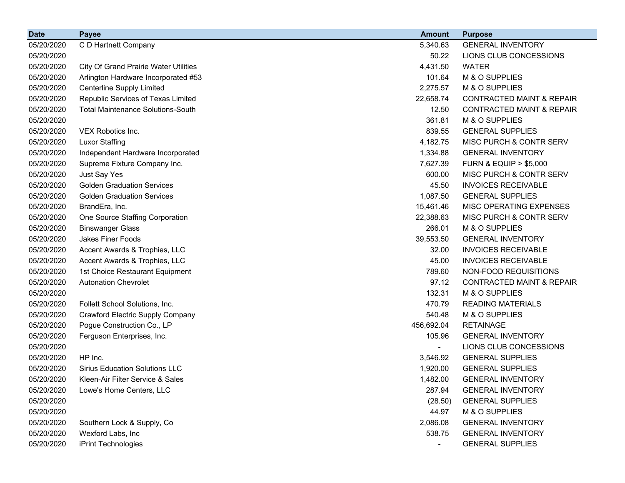| <b>Date</b> | <b>Payee</b>                                 | <b>Amount</b>  | <b>Purpose</b>                       |
|-------------|----------------------------------------------|----------------|--------------------------------------|
| 05/20/2020  | C D Hartnett Company                         | 5,340.63       | <b>GENERAL INVENTORY</b>             |
| 05/20/2020  |                                              | 50.22          | LIONS CLUB CONCESSIONS               |
| 05/20/2020  | <b>City Of Grand Prairie Water Utilities</b> | 4,431.50       | <b>WATER</b>                         |
| 05/20/2020  | Arlington Hardware Incorporated #53          | 101.64         | M & O SUPPLIES                       |
| 05/20/2020  | Centerline Supply Limited                    | 2,275.57       | M & O SUPPLIES                       |
| 05/20/2020  | Republic Services of Texas Limited           | 22,658.74      | <b>CONTRACTED MAINT &amp; REPAIR</b> |
| 05/20/2020  | <b>Total Maintenance Solutions-South</b>     | 12.50          | <b>CONTRACTED MAINT &amp; REPAIR</b> |
| 05/20/2020  |                                              | 361.81         | M & O SUPPLIES                       |
| 05/20/2020  | VEX Robotics Inc.                            | 839.55         | <b>GENERAL SUPPLIES</b>              |
| 05/20/2020  | <b>Luxor Staffing</b>                        | 4,182.75       | MISC PURCH & CONTR SERV              |
| 05/20/2020  | Independent Hardware Incorporated            | 1,334.88       | <b>GENERAL INVENTORY</b>             |
| 05/20/2020  | Supreme Fixture Company Inc.                 | 7,627.39       | <b>FURN &amp; EQUIP &gt; \$5,000</b> |
| 05/20/2020  | Just Say Yes                                 | 600.00         | MISC PURCH & CONTR SERV              |
| 05/20/2020  | <b>Golden Graduation Services</b>            | 45.50          | <b>INVOICES RECEIVABLE</b>           |
| 05/20/2020  | <b>Golden Graduation Services</b>            | 1,087.50       | <b>GENERAL SUPPLIES</b>              |
| 05/20/2020  | BrandEra, Inc.                               | 15,461.46      | MISC OPERATING EXPENSES              |
| 05/20/2020  | One Source Staffing Corporation              | 22,388.63      | MISC PURCH & CONTR SERV              |
| 05/20/2020  | <b>Binswanger Glass</b>                      | 266.01         | M & O SUPPLIES                       |
| 05/20/2020  | <b>Jakes Finer Foods</b>                     | 39,553.50      | <b>GENERAL INVENTORY</b>             |
| 05/20/2020  | Accent Awards & Trophies, LLC                | 32.00          | <b>INVOICES RECEIVABLE</b>           |
| 05/20/2020  | Accent Awards & Trophies, LLC                | 45.00          | <b>INVOICES RECEIVABLE</b>           |
| 05/20/2020  | 1st Choice Restaurant Equipment              | 789.60         | NON-FOOD REQUISITIONS                |
| 05/20/2020  | <b>Autonation Chevrolet</b>                  | 97.12          | <b>CONTRACTED MAINT &amp; REPAIR</b> |
| 05/20/2020  |                                              | 132.31         | M & O SUPPLIES                       |
| 05/20/2020  | Follett School Solutions, Inc.               | 470.79         | <b>READING MATERIALS</b>             |
| 05/20/2020  | <b>Crawford Electric Supply Company</b>      | 540.48         | M & O SUPPLIES                       |
| 05/20/2020  | Pogue Construction Co., LP                   | 456,692.04     | <b>RETAINAGE</b>                     |
| 05/20/2020  | Ferguson Enterprises, Inc.                   | 105.96         | <b>GENERAL INVENTORY</b>             |
| 05/20/2020  |                                              |                | LIONS CLUB CONCESSIONS               |
| 05/20/2020  | HP Inc.                                      | 3,546.92       | <b>GENERAL SUPPLIES</b>              |
| 05/20/2020  | <b>Sirius Education Solutions LLC</b>        | 1,920.00       | <b>GENERAL SUPPLIES</b>              |
| 05/20/2020  | Kleen-Air Filter Service & Sales             | 1,482.00       | <b>GENERAL INVENTORY</b>             |
| 05/20/2020  | Lowe's Home Centers, LLC                     | 287.94         | <b>GENERAL INVENTORY</b>             |
| 05/20/2020  |                                              | (28.50)        | <b>GENERAL SUPPLIES</b>              |
| 05/20/2020  |                                              | 44.97          | M & O SUPPLIES                       |
| 05/20/2020  | Southern Lock & Supply, Co                   | 2,086.08       | <b>GENERAL INVENTORY</b>             |
| 05/20/2020  | Wexford Labs, Inc                            | 538.75         | <b>GENERAL INVENTORY</b>             |
| 05/20/2020  | iPrint Technologies                          | $\blacksquare$ | <b>GENERAL SUPPLIES</b>              |
|             |                                              |                |                                      |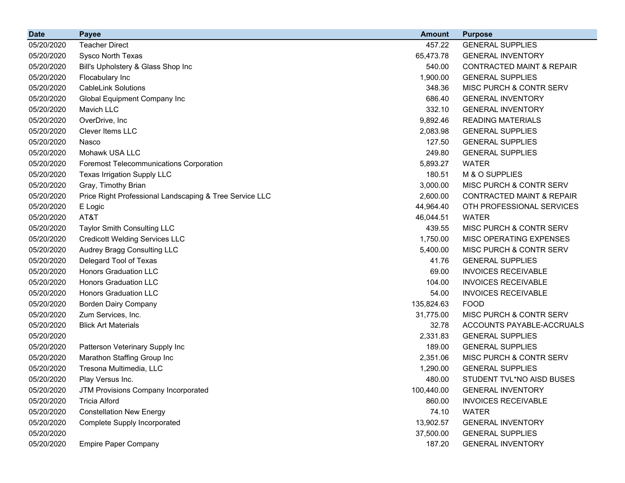| <b>Date</b> | <b>Payee</b>                                            | <b>Amount</b> | <b>Purpose</b>                       |
|-------------|---------------------------------------------------------|---------------|--------------------------------------|
| 05/20/2020  | <b>Teacher Direct</b>                                   | 457.22        | <b>GENERAL SUPPLIES</b>              |
| 05/20/2020  | Sysco North Texas                                       | 65,473.78     | <b>GENERAL INVENTORY</b>             |
| 05/20/2020  | Bill's Upholstery & Glass Shop Inc                      | 540.00        | <b>CONTRACTED MAINT &amp; REPAIR</b> |
| 05/20/2020  | Flocabulary Inc                                         | 1,900.00      | <b>GENERAL SUPPLIES</b>              |
| 05/20/2020  | <b>CableLink Solutions</b>                              | 348.36        | MISC PURCH & CONTR SERV              |
| 05/20/2020  | Global Equipment Company Inc                            | 686.40        | <b>GENERAL INVENTORY</b>             |
| 05/20/2020  | Mavich LLC                                              | 332.10        | <b>GENERAL INVENTORY</b>             |
| 05/20/2020  | OverDrive, Inc                                          | 9,892.46      | <b>READING MATERIALS</b>             |
| 05/20/2020  | Clever Items LLC                                        | 2,083.98      | <b>GENERAL SUPPLIES</b>              |
| 05/20/2020  | Nasco                                                   | 127.50        | <b>GENERAL SUPPLIES</b>              |
| 05/20/2020  | Mohawk USA LLC                                          | 249.80        | <b>GENERAL SUPPLIES</b>              |
| 05/20/2020  | <b>Foremost Telecommunications Corporation</b>          | 5,893.27      | <b>WATER</b>                         |
| 05/20/2020  | Texas Irrigation Supply LLC                             | 180.51        | M & O SUPPLIES                       |
| 05/20/2020  | Gray, Timothy Brian                                     | 3,000.00      | MISC PURCH & CONTR SERV              |
| 05/20/2020  | Price Right Professional Landscaping & Tree Service LLC | 2,600.00      | <b>CONTRACTED MAINT &amp; REPAIR</b> |
| 05/20/2020  | E Logic                                                 | 44,964.40     | OTH PROFESSIONAL SERVICES            |
| 05/20/2020  | AT&T                                                    | 46,044.51     | <b>WATER</b>                         |
| 05/20/2020  | Taylor Smith Consulting LLC                             | 439.55        | MISC PURCH & CONTR SERV              |
| 05/20/2020  | <b>Credicott Welding Services LLC</b>                   | 1,750.00      | MISC OPERATING EXPENSES              |
| 05/20/2020  | Audrey Bragg Consulting LLC                             | 5,400.00      | MISC PURCH & CONTR SERV              |
| 05/20/2020  | Delegard Tool of Texas                                  | 41.76         | <b>GENERAL SUPPLIES</b>              |
| 05/20/2020  | <b>Honors Graduation LLC</b>                            | 69.00         | <b>INVOICES RECEIVABLE</b>           |
| 05/20/2020  | <b>Honors Graduation LLC</b>                            | 104.00        | <b>INVOICES RECEIVABLE</b>           |
| 05/20/2020  | <b>Honors Graduation LLC</b>                            | 54.00         | <b>INVOICES RECEIVABLE</b>           |
| 05/20/2020  | <b>Borden Dairy Company</b>                             | 135,824.63    | <b>FOOD</b>                          |
| 05/20/2020  | Zum Services, Inc.                                      | 31,775.00     | MISC PURCH & CONTR SERV              |
| 05/20/2020  | <b>Blick Art Materials</b>                              | 32.78         | ACCOUNTS PAYABLE-ACCRUALS            |
| 05/20/2020  |                                                         | 2,331.83      | <b>GENERAL SUPPLIES</b>              |
| 05/20/2020  | Patterson Veterinary Supply Inc                         | 189.00        | <b>GENERAL SUPPLIES</b>              |
| 05/20/2020  | Marathon Staffing Group Inc                             | 2,351.06      | MISC PURCH & CONTR SERV              |
| 05/20/2020  | Tresona Multimedia, LLC                                 | 1,290.00      | <b>GENERAL SUPPLIES</b>              |
| 05/20/2020  | Play Versus Inc.                                        | 480.00        | STUDENT TVL*NO AISD BUSES            |
| 05/20/2020  | JTM Provisions Company Incorporated                     | 100,440.00    | <b>GENERAL INVENTORY</b>             |
| 05/20/2020  | <b>Tricia Alford</b>                                    | 860.00        | <b>INVOICES RECEIVABLE</b>           |
| 05/20/2020  | <b>Constellation New Energy</b>                         | 74.10         | <b>WATER</b>                         |
| 05/20/2020  | Complete Supply Incorporated                            | 13,902.57     | <b>GENERAL INVENTORY</b>             |
| 05/20/2020  |                                                         | 37,500.00     | <b>GENERAL SUPPLIES</b>              |
| 05/20/2020  | <b>Empire Paper Company</b>                             | 187.20        | <b>GENERAL INVENTORY</b>             |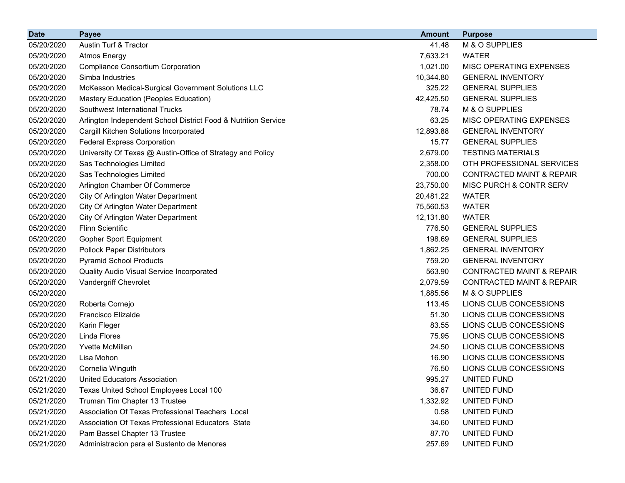| <b>Date</b> | <b>Payee</b>                                                   | <b>Amount</b> | <b>Purpose</b>                       |
|-------------|----------------------------------------------------------------|---------------|--------------------------------------|
| 05/20/2020  | Austin Turf & Tractor                                          | 41.48         | M & O SUPPLIES                       |
| 05/20/2020  | <b>Atmos Energy</b>                                            | 7,633.21      | <b>WATER</b>                         |
| 05/20/2020  | <b>Compliance Consortium Corporation</b>                       | 1,021.00      | MISC OPERATING EXPENSES              |
| 05/20/2020  | Simba Industries                                               | 10,344.80     | <b>GENERAL INVENTORY</b>             |
| 05/20/2020  | McKesson Medical-Surgical Government Solutions LLC             | 325.22        | <b>GENERAL SUPPLIES</b>              |
| 05/20/2020  | Mastery Education (Peoples Education)                          | 42,425.50     | <b>GENERAL SUPPLIES</b>              |
| 05/20/2020  | Southwest International Trucks                                 | 78.74         | M & O SUPPLIES                       |
| 05/20/2020  | Arlington Independent School District Food & Nutrition Service | 63.25         | MISC OPERATING EXPENSES              |
| 05/20/2020  | Cargill Kitchen Solutions Incorporated                         | 12,893.88     | <b>GENERAL INVENTORY</b>             |
| 05/20/2020  | <b>Federal Express Corporation</b>                             | 15.77         | <b>GENERAL SUPPLIES</b>              |
| 05/20/2020  | University Of Texas @ Austin-Office of Strategy and Policy     | 2,679.00      | <b>TESTING MATERIALS</b>             |
| 05/20/2020  | Sas Technologies Limited                                       | 2,358.00      | OTH PROFESSIONAL SERVICES            |
| 05/20/2020  | Sas Technologies Limited                                       | 700.00        | <b>CONTRACTED MAINT &amp; REPAIR</b> |
| 05/20/2020  | Arlington Chamber Of Commerce                                  | 23,750.00     | MISC PURCH & CONTR SERV              |
| 05/20/2020  | City Of Arlington Water Department                             | 20,481.22     | <b>WATER</b>                         |
| 05/20/2020  | City Of Arlington Water Department                             | 75,560.53     | <b>WATER</b>                         |
| 05/20/2020  | City Of Arlington Water Department                             | 12,131.80     | <b>WATER</b>                         |
| 05/20/2020  | <b>Flinn Scientific</b>                                        | 776.50        | <b>GENERAL SUPPLIES</b>              |
| 05/20/2020  | <b>Gopher Sport Equipment</b>                                  | 198.69        | <b>GENERAL SUPPLIES</b>              |
| 05/20/2020  | <b>Pollock Paper Distributors</b>                              | 1,862.25      | <b>GENERAL INVENTORY</b>             |
| 05/20/2020  | <b>Pyramid School Products</b>                                 | 759.20        | <b>GENERAL INVENTORY</b>             |
| 05/20/2020  | Quality Audio Visual Service Incorporated                      | 563.90        | <b>CONTRACTED MAINT &amp; REPAIR</b> |
| 05/20/2020  | Vandergriff Chevrolet                                          | 2,079.59      | <b>CONTRACTED MAINT &amp; REPAIR</b> |
| 05/20/2020  |                                                                | 1,885.56      | M & O SUPPLIES                       |
| 05/20/2020  | Roberta Cornejo                                                | 113.45        | LIONS CLUB CONCESSIONS               |
| 05/20/2020  | Francisco Elizalde                                             | 51.30         | LIONS CLUB CONCESSIONS               |
| 05/20/2020  | Karin Fleger                                                   | 83.55         | LIONS CLUB CONCESSIONS               |
| 05/20/2020  | Linda Flores                                                   | 75.95         | LIONS CLUB CONCESSIONS               |
| 05/20/2020  | Yvette McMillan                                                | 24.50         | LIONS CLUB CONCESSIONS               |
| 05/20/2020  | Lisa Mohon                                                     | 16.90         | LIONS CLUB CONCESSIONS               |
| 05/20/2020  | Cornelia Winguth                                               | 76.50         | LIONS CLUB CONCESSIONS               |
| 05/21/2020  | <b>United Educators Association</b>                            | 995.27        | <b>UNITED FUND</b>                   |
| 05/21/2020  | Texas United School Employees Local 100                        | 36.67         | UNITED FUND                          |
| 05/21/2020  | Truman Tim Chapter 13 Trustee                                  | 1,332.92      | UNITED FUND                          |
| 05/21/2020  | Association Of Texas Professional Teachers Local               | 0.58          | UNITED FUND                          |
| 05/21/2020  | Association Of Texas Professional Educators State              | 34.60         | UNITED FUND                          |
| 05/21/2020  | Pam Bassel Chapter 13 Trustee                                  | 87.70         | UNITED FUND                          |
| 05/21/2020  | Administracion para el Sustento de Menores                     | 257.69        | UNITED FUND                          |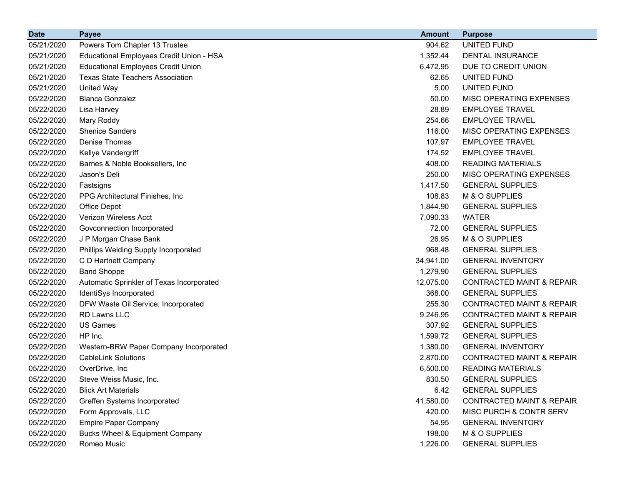| <b>Date</b> | <b>Payee</b>                              | <b>Amount</b> | <b>Purpose</b>                       |
|-------------|-------------------------------------------|---------------|--------------------------------------|
| 05/21/2020  | Powers Tom Chapter 13 Trustee             | 904.62        | UNITED FUND                          |
| 05/21/2020  | Educational Employees Credit Union - HSA  | 1,352.44      | <b>DENTAL INSURANCE</b>              |
| 05/21/2020  | <b>Educational Employees Credit Union</b> | 6,472.95      | DUE TO CREDIT UNION                  |
| 05/21/2020  | <b>Texas State Teachers Association</b>   | 62.65         | UNITED FUND                          |
| 05/21/2020  | <b>United Way</b>                         | 5.00          | UNITED FUND                          |
| 05/22/2020  | <b>Blanca Gonzalez</b>                    | 50.00         | MISC OPERATING EXPENSES              |
| 05/22/2020  | Lisa Harvey                               | 28.89         | <b>EMPLOYEE TRAVEL</b>               |
| 05/22/2020  | Mary Roddy                                | 254.66        | <b>EMPLOYEE TRAVEL</b>               |
| 05/22/2020  | <b>Shenice Sanders</b>                    | 116.00        | MISC OPERATING EXPENSES              |
| 05/22/2020  | Denise Thomas                             | 107.97        | <b>EMPLOYEE TRAVEL</b>               |
| 05/22/2020  | Kellye Vandergriff                        | 174.52        | <b>EMPLOYEE TRAVEL</b>               |
| 05/22/2020  | Barnes & Noble Booksellers, Inc.          | 408.00        | <b>READING MATERIALS</b>             |
| 05/22/2020  | Jason's Deli                              | 250.00        | MISC OPERATING EXPENSES              |
| 05/22/2020  | Fastsigns                                 | 1,417.50      | <b>GENERAL SUPPLIES</b>              |
| 05/22/2020  | PPG Architectural Finishes, Inc.          | 108.83        | M & O SUPPLIES                       |
| 05/22/2020  | Office Depot                              | 1,844.90      | <b>GENERAL SUPPLIES</b>              |
| 05/22/2020  | <b>Verizon Wireless Acct</b>              | 7,090.33      | <b>WATER</b>                         |
| 05/22/2020  | Govconnection Incorporated                | 72.00         | <b>GENERAL SUPPLIES</b>              |
| 05/22/2020  | J P Morgan Chase Bank                     | 26.95         | M & O SUPPLIES                       |
| 05/22/2020  | Phillips Welding Supply Incorporated      | 968.48        | <b>GENERAL SUPPLIES</b>              |
| 05/22/2020  | C D Hartnett Company                      | 34,941.00     | <b>GENERAL INVENTORY</b>             |
| 05/22/2020  | <b>Band Shoppe</b>                        | 1,279.90      | <b>GENERAL SUPPLIES</b>              |
| 05/22/2020  | Automatic Sprinkler of Texas Incorporated | 12,075.00     | <b>CONTRACTED MAINT &amp; REPAIR</b> |
| 05/22/2020  | IdentiSys Incorporated                    | 368.00        | <b>GENERAL SUPPLIES</b>              |
| 05/22/2020  | DFW Waste Oil Service, Incorporated       | 255.30        | <b>CONTRACTED MAINT &amp; REPAIR</b> |
| 05/22/2020  | <b>RD Lawns LLC</b>                       | 9,246.95      | <b>CONTRACTED MAINT &amp; REPAIR</b> |
| 05/22/2020  | US Games                                  | 307.92        | <b>GENERAL SUPPLIES</b>              |
| 05/22/2020  | HP Inc.                                   | 1,599.72      | <b>GENERAL SUPPLIES</b>              |
| 05/22/2020  | Western-BRW Paper Company Incorporated    | 1,380.00      | <b>GENERAL INVENTORY</b>             |
| 05/22/2020  | <b>CableLink Solutions</b>                | 2,870.00      | <b>CONTRACTED MAINT &amp; REPAIR</b> |
| 05/22/2020  | OverDrive, Inc                            | 6,500.00      | <b>READING MATERIALS</b>             |
| 05/22/2020  | Steve Weiss Music, Inc.                   | 830.50        | <b>GENERAL SUPPLIES</b>              |
| 05/22/2020  | <b>Blick Art Materials</b>                | 6.42          | <b>GENERAL SUPPLIES</b>              |
| 05/22/2020  | Greffen Systems Incorporated              | 41,580.00     | <b>CONTRACTED MAINT &amp; REPAIR</b> |
| 05/22/2020  | Form Approvals, LLC                       | 420.00        | MISC PURCH & CONTR SERV              |
| 05/22/2020  | <b>Empire Paper Company</b>               | 54.95         | <b>GENERAL INVENTORY</b>             |
| 05/22/2020  | Bucks Wheel & Equipment Company           | 198.00        | M & O SUPPLIES                       |
| 05/22/2020  | Romeo Music                               | 1,226.00      | <b>GENERAL SUPPLIES</b>              |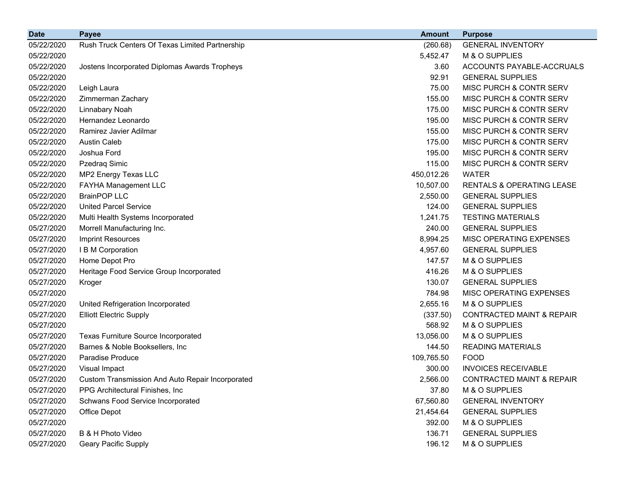| <b>Date</b> | <b>Payee</b>                                            | <b>Amount</b> | <b>Purpose</b>                       |
|-------------|---------------------------------------------------------|---------------|--------------------------------------|
| 05/22/2020  | Rush Truck Centers Of Texas Limited Partnership         | (260.68)      | <b>GENERAL INVENTORY</b>             |
| 05/22/2020  |                                                         | 5,452.47      | M & O SUPPLIES                       |
| 05/22/2020  | Jostens Incorporated Diplomas Awards Tropheys           | 3.60          | ACCOUNTS PAYABLE-ACCRUALS            |
| 05/22/2020  |                                                         | 92.91         | <b>GENERAL SUPPLIES</b>              |
| 05/22/2020  | Leigh Laura                                             | 75.00         | MISC PURCH & CONTR SERV              |
| 05/22/2020  | Zimmerman Zachary                                       | 155.00        | MISC PURCH & CONTR SERV              |
| 05/22/2020  | Linnabary Noah                                          | 175.00        | MISC PURCH & CONTR SERV              |
| 05/22/2020  | Hernandez Leonardo                                      | 195.00        | MISC PURCH & CONTR SERV              |
| 05/22/2020  | Ramirez Javier Adilmar                                  | 155.00        | MISC PURCH & CONTR SERV              |
| 05/22/2020  | <b>Austin Caleb</b>                                     | 175.00        | MISC PURCH & CONTR SERV              |
| 05/22/2020  | Joshua Ford                                             | 195.00        | MISC PURCH & CONTR SERV              |
| 05/22/2020  | Pzedraq Simic                                           | 115.00        | MISC PURCH & CONTR SERV              |
| 05/22/2020  | MP2 Energy Texas LLC                                    | 450,012.26    | <b>WATER</b>                         |
| 05/22/2020  | FAYHA Management LLC                                    | 10,507.00     | <b>RENTALS &amp; OPERATING LEASE</b> |
| 05/22/2020  | <b>BrainPOP LLC</b>                                     | 2,550.00      | <b>GENERAL SUPPLIES</b>              |
| 05/22/2020  | <b>United Parcel Service</b>                            | 124.00        | <b>GENERAL SUPPLIES</b>              |
| 05/22/2020  | Multi Health Systems Incorporated                       | 1,241.75      | <b>TESTING MATERIALS</b>             |
| 05/27/2020  | Morrell Manufacturing Inc.                              | 240.00        | <b>GENERAL SUPPLIES</b>              |
| 05/27/2020  | <b>Imprint Resources</b>                                | 8,994.25      | MISC OPERATING EXPENSES              |
| 05/27/2020  | I B M Corporation                                       | 4,957.60      | <b>GENERAL SUPPLIES</b>              |
| 05/27/2020  | Home Depot Pro                                          | 147.57        | M & O SUPPLIES                       |
| 05/27/2020  | Heritage Food Service Group Incorporated                | 416.26        | M & O SUPPLIES                       |
| 05/27/2020  | Kroger                                                  | 130.07        | <b>GENERAL SUPPLIES</b>              |
| 05/27/2020  |                                                         | 784.98        | MISC OPERATING EXPENSES              |
| 05/27/2020  | United Refrigeration Incorporated                       | 2,655.16      | M & O SUPPLIES                       |
| 05/27/2020  | <b>Elliott Electric Supply</b>                          | (337.50)      | CONTRACTED MAINT & REPAIR            |
| 05/27/2020  |                                                         | 568.92        | M & O SUPPLIES                       |
| 05/27/2020  | <b>Texas Furniture Source Incorporated</b>              | 13,056.00     | M & O SUPPLIES                       |
| 05/27/2020  | Barnes & Noble Booksellers, Inc                         | 144.50        | <b>READING MATERIALS</b>             |
| 05/27/2020  | <b>Paradise Produce</b>                                 | 109,765.50    | <b>FOOD</b>                          |
| 05/27/2020  | Visual Impact                                           | 300.00        | <b>INVOICES RECEIVABLE</b>           |
| 05/27/2020  | <b>Custom Transmission And Auto Repair Incorporated</b> | 2,566.00      | <b>CONTRACTED MAINT &amp; REPAIR</b> |
| 05/27/2020  | PPG Architectural Finishes, Inc.                        | 37.80         | M & O SUPPLIES                       |
| 05/27/2020  | Schwans Food Service Incorporated                       | 67,560.80     | <b>GENERAL INVENTORY</b>             |
| 05/27/2020  | Office Depot                                            | 21,454.64     | <b>GENERAL SUPPLIES</b>              |
| 05/27/2020  |                                                         | 392.00        | M & O SUPPLIES                       |
| 05/27/2020  | B & H Photo Video                                       | 136.71        | <b>GENERAL SUPPLIES</b>              |
| 05/27/2020  | <b>Geary Pacific Supply</b>                             | 196.12        | M & O SUPPLIES                       |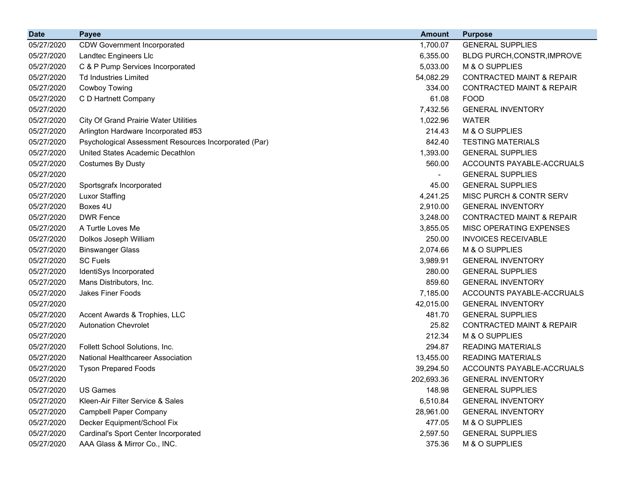| <b>Date</b> | <b>Payee</b>                                          | <b>Amount</b> | <b>Purpose</b>                       |
|-------------|-------------------------------------------------------|---------------|--------------------------------------|
| 05/27/2020  | <b>CDW Government Incorporated</b>                    | 1,700.07      | <b>GENERAL SUPPLIES</b>              |
| 05/27/2020  | Landtec Engineers Llc                                 | 6,355.00      | BLDG PURCH, CONSTR, IMPROVE          |
| 05/27/2020  | C & P Pump Services Incorporated                      | 5,033.00      | M & O SUPPLIES                       |
| 05/27/2020  | <b>Td Industries Limited</b>                          | 54,082.29     | <b>CONTRACTED MAINT &amp; REPAIR</b> |
| 05/27/2020  | Cowboy Towing                                         | 334.00        | <b>CONTRACTED MAINT &amp; REPAIR</b> |
| 05/27/2020  | C D Hartnett Company                                  | 61.08         | <b>FOOD</b>                          |
| 05/27/2020  |                                                       | 7,432.56      | <b>GENERAL INVENTORY</b>             |
| 05/27/2020  | <b>City Of Grand Prairie Water Utilities</b>          | 1,022.96      | <b>WATER</b>                         |
| 05/27/2020  | Arlington Hardware Incorporated #53                   | 214.43        | M & O SUPPLIES                       |
| 05/27/2020  | Psychological Assessment Resources Incorporated (Par) | 842.40        | <b>TESTING MATERIALS</b>             |
| 05/27/2020  | United States Academic Decathlon                      | 1,393.00      | <b>GENERAL SUPPLIES</b>              |
| 05/27/2020  | <b>Costumes By Dusty</b>                              | 560.00        | ACCOUNTS PAYABLE-ACCRUALS            |
| 05/27/2020  |                                                       |               | <b>GENERAL SUPPLIES</b>              |
| 05/27/2020  | Sportsgrafx Incorporated                              | 45.00         | <b>GENERAL SUPPLIES</b>              |
| 05/27/2020  | <b>Luxor Staffing</b>                                 | 4,241.25      | MISC PURCH & CONTR SERV              |
| 05/27/2020  | Boxes 4U                                              | 2,910.00      | <b>GENERAL INVENTORY</b>             |
| 05/27/2020  | <b>DWR Fence</b>                                      | 3,248.00      | <b>CONTRACTED MAINT &amp; REPAIR</b> |
| 05/27/2020  | A Turtle Loves Me                                     | 3,855.05      | MISC OPERATING EXPENSES              |
| 05/27/2020  | Dolkos Joseph William                                 | 250.00        | <b>INVOICES RECEIVABLE</b>           |
| 05/27/2020  | <b>Binswanger Glass</b>                               | 2,074.66      | M & O SUPPLIES                       |
| 05/27/2020  | <b>SC Fuels</b>                                       | 3,989.91      | <b>GENERAL INVENTORY</b>             |
| 05/27/2020  | IdentiSys Incorporated                                | 280.00        | <b>GENERAL SUPPLIES</b>              |
| 05/27/2020  | Mans Distributors, Inc.                               | 859.60        | <b>GENERAL INVENTORY</b>             |
| 05/27/2020  | <b>Jakes Finer Foods</b>                              | 7,185.00      | ACCOUNTS PAYABLE-ACCRUALS            |
| 05/27/2020  |                                                       | 42,015.00     | <b>GENERAL INVENTORY</b>             |
| 05/27/2020  | Accent Awards & Trophies, LLC                         | 481.70        | <b>GENERAL SUPPLIES</b>              |
| 05/27/2020  | <b>Autonation Chevrolet</b>                           | 25.82         | <b>CONTRACTED MAINT &amp; REPAIR</b> |
| 05/27/2020  |                                                       | 212.34        | M & O SUPPLIES                       |
| 05/27/2020  | Follett School Solutions, Inc.                        | 294.87        | <b>READING MATERIALS</b>             |
| 05/27/2020  | National Healthcareer Association                     | 13,455.00     | <b>READING MATERIALS</b>             |
| 05/27/2020  | <b>Tyson Prepared Foods</b>                           | 39,294.50     | ACCOUNTS PAYABLE-ACCRUALS            |
| 05/27/2020  |                                                       | 202,693.36    | <b>GENERAL INVENTORY</b>             |
| 05/27/2020  | <b>US Games</b>                                       | 148.98        | <b>GENERAL SUPPLIES</b>              |
| 05/27/2020  | Kleen-Air Filter Service & Sales                      | 6,510.84      | <b>GENERAL INVENTORY</b>             |
| 05/27/2020  | <b>Campbell Paper Company</b>                         | 28,961.00     | <b>GENERAL INVENTORY</b>             |
| 05/27/2020  | Decker Equipment/School Fix                           | 477.05        | M & O SUPPLIES                       |
| 05/27/2020  | Cardinal's Sport Center Incorporated                  | 2,597.50      | <b>GENERAL SUPPLIES</b>              |
| 05/27/2020  | AAA Glass & Mirror Co., INC.                          | 375.36        | M & O SUPPLIES                       |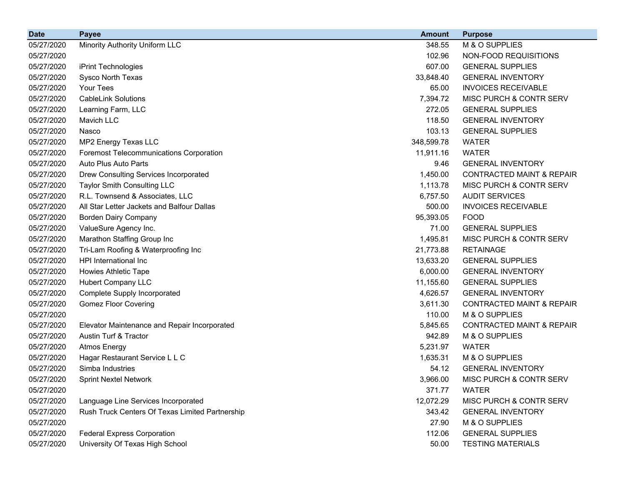| <b>Date</b> | <b>Payee</b>                                    | <b>Amount</b> | <b>Purpose</b>                       |
|-------------|-------------------------------------------------|---------------|--------------------------------------|
| 05/27/2020  | Minority Authority Uniform LLC                  | 348.55        | M & O SUPPLIES                       |
| 05/27/2020  |                                                 | 102.96        | NON-FOOD REQUISITIONS                |
| 05/27/2020  | iPrint Technologies                             | 607.00        | <b>GENERAL SUPPLIES</b>              |
| 05/27/2020  | Sysco North Texas                               | 33,848.40     | <b>GENERAL INVENTORY</b>             |
| 05/27/2020  | Your Tees                                       | 65.00         | <b>INVOICES RECEIVABLE</b>           |
| 05/27/2020  | <b>CableLink Solutions</b>                      | 7,394.72      | MISC PURCH & CONTR SERV              |
| 05/27/2020  | Learning Farm, LLC                              | 272.05        | <b>GENERAL SUPPLIES</b>              |
| 05/27/2020  | Mavich LLC                                      | 118.50        | <b>GENERAL INVENTORY</b>             |
| 05/27/2020  | Nasco                                           | 103.13        | <b>GENERAL SUPPLIES</b>              |
| 05/27/2020  | MP2 Energy Texas LLC                            | 348,599.78    | <b>WATER</b>                         |
| 05/27/2020  | <b>Foremost Telecommunications Corporation</b>  | 11,911.16     | <b>WATER</b>                         |
| 05/27/2020  | Auto Plus Auto Parts                            | 9.46          | <b>GENERAL INVENTORY</b>             |
| 05/27/2020  | Drew Consulting Services Incorporated           | 1,450.00      | <b>CONTRACTED MAINT &amp; REPAIR</b> |
| 05/27/2020  | Taylor Smith Consulting LLC                     | 1,113.78      | MISC PURCH & CONTR SERV              |
| 05/27/2020  | R.L. Townsend & Associates, LLC                 | 6,757.50      | <b>AUDIT SERVICES</b>                |
| 05/27/2020  | All Star Letter Jackets and Balfour Dallas      | 500.00        | <b>INVOICES RECEIVABLE</b>           |
| 05/27/2020  | <b>Borden Dairy Company</b>                     | 95,393.05     | <b>FOOD</b>                          |
| 05/27/2020  | ValueSure Agency Inc.                           | 71.00         | <b>GENERAL SUPPLIES</b>              |
| 05/27/2020  | Marathon Staffing Group Inc                     | 1,495.81      | MISC PURCH & CONTR SERV              |
| 05/27/2020  | Tri-Lam Roofing & Waterproofing Inc             | 21,773.88     | <b>RETAINAGE</b>                     |
| 05/27/2020  | HPI International Inc                           | 13,633.20     | <b>GENERAL SUPPLIES</b>              |
| 05/27/2020  | Howies Athletic Tape                            | 6,000.00      | <b>GENERAL INVENTORY</b>             |
| 05/27/2020  | <b>Hubert Company LLC</b>                       | 11,155.60     | <b>GENERAL SUPPLIES</b>              |
| 05/27/2020  | Complete Supply Incorporated                    | 4,626.57      | <b>GENERAL INVENTORY</b>             |
| 05/27/2020  | <b>Gomez Floor Covering</b>                     | 3,611.30      | <b>CONTRACTED MAINT &amp; REPAIR</b> |
| 05/27/2020  |                                                 | 110.00        | M & O SUPPLIES                       |
| 05/27/2020  | Elevator Maintenance and Repair Incorporated    | 5,845.65      | <b>CONTRACTED MAINT &amp; REPAIR</b> |
| 05/27/2020  | Austin Turf & Tractor                           | 942.89        | M & O SUPPLIES                       |
| 05/27/2020  | <b>Atmos Energy</b>                             | 5,231.97      | <b>WATER</b>                         |
| 05/27/2020  | Hagar Restaurant Service L L C                  | 1,635.31      | M & O SUPPLIES                       |
| 05/27/2020  | Simba Industries                                | 54.12         | <b>GENERAL INVENTORY</b>             |
| 05/27/2020  | <b>Sprint Nextel Network</b>                    | 3,966.00      | MISC PURCH & CONTR SERV              |
| 05/27/2020  |                                                 | 371.77        | <b>WATER</b>                         |
| 05/27/2020  | Language Line Services Incorporated             | 12,072.29     | MISC PURCH & CONTR SERV              |
| 05/27/2020  | Rush Truck Centers Of Texas Limited Partnership | 343.42        | <b>GENERAL INVENTORY</b>             |
| 05/27/2020  |                                                 | 27.90         | M & O SUPPLIES                       |
| 05/27/2020  | <b>Federal Express Corporation</b>              | 112.06        | <b>GENERAL SUPPLIES</b>              |
| 05/27/2020  | University Of Texas High School                 | 50.00         | <b>TESTING MATERIALS</b>             |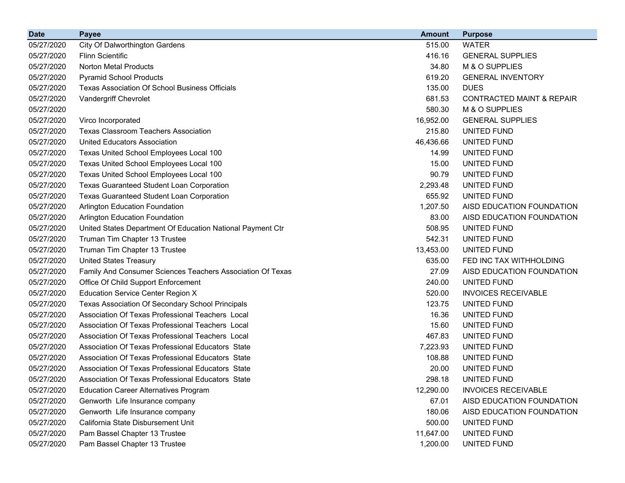| <b>Date</b> | Payee                                                      | <b>Amount</b> | <b>Purpose</b>                       |
|-------------|------------------------------------------------------------|---------------|--------------------------------------|
| 05/27/2020  | City Of Dalworthington Gardens                             | 515.00        | <b>WATER</b>                         |
| 05/27/2020  | <b>Flinn Scientific</b>                                    | 416.16        | <b>GENERAL SUPPLIES</b>              |
| 05/27/2020  | <b>Norton Metal Products</b>                               | 34.80         | M & O SUPPLIES                       |
| 05/27/2020  | <b>Pyramid School Products</b>                             | 619.20        | <b>GENERAL INVENTORY</b>             |
| 05/27/2020  | <b>Texas Association Of School Business Officials</b>      | 135.00        | <b>DUES</b>                          |
| 05/27/2020  | Vandergriff Chevrolet                                      | 681.53        | <b>CONTRACTED MAINT &amp; REPAIR</b> |
| 05/27/2020  |                                                            | 580.30        | M & O SUPPLIES                       |
| 05/27/2020  | Virco Incorporated                                         | 16,952.00     | <b>GENERAL SUPPLIES</b>              |
| 05/27/2020  | <b>Texas Classroom Teachers Association</b>                | 215.80        | UNITED FUND                          |
| 05/27/2020  | <b>United Educators Association</b>                        | 46,436.66     | UNITED FUND                          |
| 05/27/2020  | Texas United School Employees Local 100                    | 14.99         | UNITED FUND                          |
| 05/27/2020  | Texas United School Employees Local 100                    | 15.00         | UNITED FUND                          |
| 05/27/2020  | Texas United School Employees Local 100                    | 90.79         | UNITED FUND                          |
| 05/27/2020  | <b>Texas Guaranteed Student Loan Corporation</b>           | 2,293.48      | UNITED FUND                          |
| 05/27/2020  | <b>Texas Guaranteed Student Loan Corporation</b>           | 655.92        | UNITED FUND                          |
| 05/27/2020  | <b>Arlington Education Foundation</b>                      | 1,207.50      | AISD EDUCATION FOUNDATION            |
| 05/27/2020  | Arlington Education Foundation                             | 83.00         | AISD EDUCATION FOUNDATION            |
| 05/27/2020  | United States Department Of Education National Payment Ctr | 508.95        | UNITED FUND                          |
| 05/27/2020  | Truman Tim Chapter 13 Trustee                              | 542.31        | UNITED FUND                          |
| 05/27/2020  | Truman Tim Chapter 13 Trustee                              | 13,453.00     | UNITED FUND                          |
| 05/27/2020  | <b>United States Treasury</b>                              | 635.00        | FED INC TAX WITHHOLDING              |
| 05/27/2020  | Family And Consumer Sciences Teachers Association Of Texas | 27.09         | AISD EDUCATION FOUNDATION            |
| 05/27/2020  | Office Of Child Support Enforcement                        | 240.00        | UNITED FUND                          |
| 05/27/2020  | <b>Education Service Center Region X</b>                   | 520.00        | <b>INVOICES RECEIVABLE</b>           |
| 05/27/2020  | Texas Association Of Secondary School Principals           | 123.75        | UNITED FUND                          |
| 05/27/2020  | Association Of Texas Professional Teachers Local           | 16.36         | UNITED FUND                          |
| 05/27/2020  | Association Of Texas Professional Teachers Local           | 15.60         | UNITED FUND                          |
| 05/27/2020  | Association Of Texas Professional Teachers Local           | 467.83        | UNITED FUND                          |
| 05/27/2020  | Association Of Texas Professional Educators State          | 7,223.93      | UNITED FUND                          |
| 05/27/2020  | Association Of Texas Professional Educators State          | 108.88        | UNITED FUND                          |
| 05/27/2020  | Association Of Texas Professional Educators State          | 20.00         | UNITED FUND                          |
| 05/27/2020  | Association Of Texas Professional Educators State          | 298.18        | UNITED FUND                          |
| 05/27/2020  | <b>Education Career Alternatives Program</b>               | 12,290.00     | <b>INVOICES RECEIVABLE</b>           |
| 05/27/2020  | Genworth Life Insurance company                            | 67.01         | AISD EDUCATION FOUNDATION            |
| 05/27/2020  | Genworth Life Insurance company                            | 180.06        | AISD EDUCATION FOUNDATION            |
| 05/27/2020  | California State Disbursement Unit                         | 500.00        | UNITED FUND                          |
| 05/27/2020  | Pam Bassel Chapter 13 Trustee                              | 11,647.00     | UNITED FUND                          |
| 05/27/2020  | Pam Bassel Chapter 13 Trustee                              | 1,200.00      | UNITED FUND                          |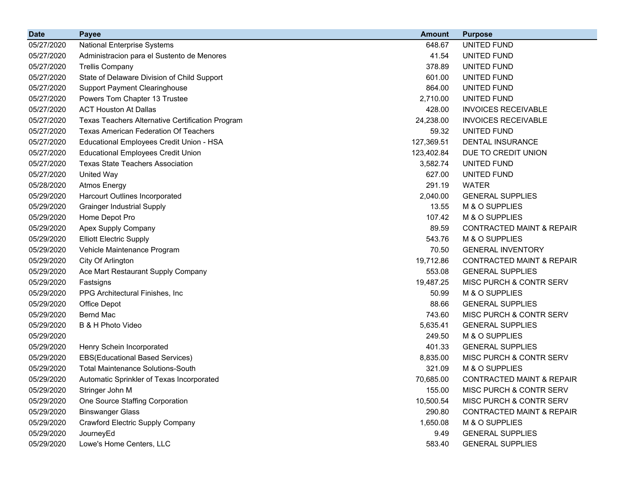| <b>Date</b> | <b>Payee</b>                                     | <b>Amount</b> | <b>Purpose</b>                       |
|-------------|--------------------------------------------------|---------------|--------------------------------------|
| 05/27/2020  | <b>National Enterprise Systems</b>               | 648.67        | <b>UNITED FUND</b>                   |
| 05/27/2020  | Administracion para el Sustento de Menores       | 41.54         | UNITED FUND                          |
| 05/27/2020  | <b>Trellis Company</b>                           | 378.89        | UNITED FUND                          |
| 05/27/2020  | State of Delaware Division of Child Support      | 601.00        | UNITED FUND                          |
| 05/27/2020  | <b>Support Payment Clearinghouse</b>             | 864.00        | UNITED FUND                          |
| 05/27/2020  | Powers Tom Chapter 13 Trustee                    | 2,710.00      | UNITED FUND                          |
| 05/27/2020  | <b>ACT Houston At Dallas</b>                     | 428.00        | <b>INVOICES RECEIVABLE</b>           |
| 05/27/2020  | Texas Teachers Alternative Certification Program | 24,238.00     | <b>INVOICES RECEIVABLE</b>           |
| 05/27/2020  | <b>Texas American Federation Of Teachers</b>     | 59.32         | UNITED FUND                          |
| 05/27/2020  | Educational Employees Credit Union - HSA         | 127,369.51    | <b>DENTAL INSURANCE</b>              |
| 05/27/2020  | <b>Educational Employees Credit Union</b>        | 123,402.84    | DUE TO CREDIT UNION                  |
| 05/27/2020  | <b>Texas State Teachers Association</b>          | 3,582.74      | UNITED FUND                          |
| 05/27/2020  | <b>United Way</b>                                | 627.00        | UNITED FUND                          |
| 05/28/2020  | <b>Atmos Energy</b>                              | 291.19        | <b>WATER</b>                         |
| 05/29/2020  | Harcourt Outlines Incorporated                   | 2,040.00      | <b>GENERAL SUPPLIES</b>              |
| 05/29/2020  | <b>Grainger Industrial Supply</b>                | 13.55         | M & O SUPPLIES                       |
| 05/29/2020  | Home Depot Pro                                   | 107.42        | M & O SUPPLIES                       |
| 05/29/2020  | Apex Supply Company                              | 89.59         | <b>CONTRACTED MAINT &amp; REPAIR</b> |
| 05/29/2020  | <b>Elliott Electric Supply</b>                   | 543.76        | M & O SUPPLIES                       |
| 05/29/2020  | Vehicle Maintenance Program                      | 70.50         | <b>GENERAL INVENTORY</b>             |
| 05/29/2020  | City Of Arlington                                | 19,712.86     | <b>CONTRACTED MAINT &amp; REPAIR</b> |
| 05/29/2020  | Ace Mart Restaurant Supply Company               | 553.08        | <b>GENERAL SUPPLIES</b>              |
| 05/29/2020  | Fastsigns                                        | 19,487.25     | MISC PURCH & CONTR SERV              |
| 05/29/2020  | PPG Architectural Finishes, Inc.                 | 50.99         | M & O SUPPLIES                       |
| 05/29/2020  | Office Depot                                     | 88.66         | <b>GENERAL SUPPLIES</b>              |
| 05/29/2020  | Bernd Mac                                        | 743.60        | <b>MISC PURCH &amp; CONTR SERV</b>   |
| 05/29/2020  | B & H Photo Video                                | 5,635.41      | <b>GENERAL SUPPLIES</b>              |
| 05/29/2020  |                                                  | 249.50        | M & O SUPPLIES                       |
| 05/29/2020  | Henry Schein Incorporated                        | 401.33        | <b>GENERAL SUPPLIES</b>              |
| 05/29/2020  | <b>EBS(Educational Based Services)</b>           | 8,835.00      | MISC PURCH & CONTR SERV              |
| 05/29/2020  | <b>Total Maintenance Solutions-South</b>         | 321.09        | M & O SUPPLIES                       |
| 05/29/2020  | Automatic Sprinkler of Texas Incorporated        | 70,685.00     | CONTRACTED MAINT & REPAIR            |
| 05/29/2020  | Stringer John M                                  | 155.00        | MISC PURCH & CONTR SERV              |
| 05/29/2020  | One Source Staffing Corporation                  | 10,500.54     | MISC PURCH & CONTR SERV              |
| 05/29/2020  | <b>Binswanger Glass</b>                          | 290.80        | <b>CONTRACTED MAINT &amp; REPAIR</b> |
| 05/29/2020  | Crawford Electric Supply Company                 | 1,650.08      | M & O SUPPLIES                       |
| 05/29/2020  | JourneyEd                                        | 9.49          | <b>GENERAL SUPPLIES</b>              |
| 05/29/2020  | Lowe's Home Centers, LLC                         | 583.40        | <b>GENERAL SUPPLIES</b>              |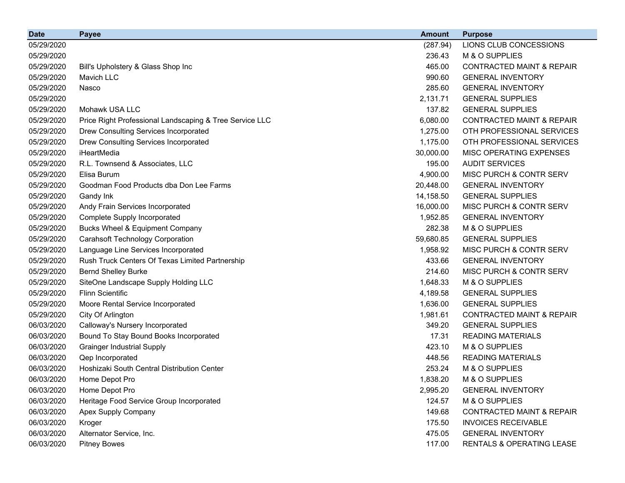| <b>Date</b> | <b>Payee</b>                                            | <b>Amount</b> | <b>Purpose</b>                       |
|-------------|---------------------------------------------------------|---------------|--------------------------------------|
| 05/29/2020  |                                                         | (287.94)      | LIONS CLUB CONCESSIONS               |
| 05/29/2020  |                                                         | 236.43        | M & O SUPPLIES                       |
| 05/29/2020  | Bill's Upholstery & Glass Shop Inc                      | 465.00        | <b>CONTRACTED MAINT &amp; REPAIR</b> |
| 05/29/2020  | Mavich LLC                                              | 990.60        | <b>GENERAL INVENTORY</b>             |
| 05/29/2020  | Nasco                                                   | 285.60        | <b>GENERAL INVENTORY</b>             |
| 05/29/2020  |                                                         | 2,131.71      | <b>GENERAL SUPPLIES</b>              |
| 05/29/2020  | Mohawk USA LLC                                          | 137.82        | <b>GENERAL SUPPLIES</b>              |
| 05/29/2020  | Price Right Professional Landscaping & Tree Service LLC | 6,080.00      | <b>CONTRACTED MAINT &amp; REPAIR</b> |
| 05/29/2020  | Drew Consulting Services Incorporated                   | 1,275.00      | OTH PROFESSIONAL SERVICES            |
| 05/29/2020  | Drew Consulting Services Incorporated                   | 1,175.00      | OTH PROFESSIONAL SERVICES            |
| 05/29/2020  | iHeartMedia                                             | 30,000.00     | MISC OPERATING EXPENSES              |
| 05/29/2020  | R.L. Townsend & Associates, LLC                         | 195.00        | <b>AUDIT SERVICES</b>                |
| 05/29/2020  | Elisa Burum                                             | 4,900.00      | MISC PURCH & CONTR SERV              |
| 05/29/2020  | Goodman Food Products dba Don Lee Farms                 | 20,448.00     | <b>GENERAL INVENTORY</b>             |
| 05/29/2020  | Gandy Ink                                               | 14,158.50     | <b>GENERAL SUPPLIES</b>              |
| 05/29/2020  | Andy Frain Services Incorporated                        | 16,000.00     | MISC PURCH & CONTR SERV              |
| 05/29/2020  | Complete Supply Incorporated                            | 1,952.85      | <b>GENERAL INVENTORY</b>             |
| 05/29/2020  | <b>Bucks Wheel &amp; Equipment Company</b>              | 282.38        | M & O SUPPLIES                       |
| 05/29/2020  | <b>Carahsoft Technology Corporation</b>                 | 59,680.85     | <b>GENERAL SUPPLIES</b>              |
| 05/29/2020  | Language Line Services Incorporated                     | 1,958.92      | MISC PURCH & CONTR SERV              |
| 05/29/2020  | Rush Truck Centers Of Texas Limited Partnership         | 433.66        | <b>GENERAL INVENTORY</b>             |
| 05/29/2020  | <b>Bernd Shelley Burke</b>                              | 214.60        | MISC PURCH & CONTR SERV              |
| 05/29/2020  | SiteOne Landscape Supply Holding LLC                    | 1,648.33      | M & O SUPPLIES                       |
| 05/29/2020  | <b>Flinn Scientific</b>                                 | 4,189.58      | <b>GENERAL SUPPLIES</b>              |
| 05/29/2020  | Moore Rental Service Incorporated                       | 1,636.00      | <b>GENERAL SUPPLIES</b>              |
| 05/29/2020  | City Of Arlington                                       | 1,981.61      | <b>CONTRACTED MAINT &amp; REPAIR</b> |
| 06/03/2020  | Calloway's Nursery Incorporated                         | 349.20        | <b>GENERAL SUPPLIES</b>              |
| 06/03/2020  | Bound To Stay Bound Books Incorporated                  | 17.31         | <b>READING MATERIALS</b>             |
| 06/03/2020  | <b>Grainger Industrial Supply</b>                       | 423.10        | M & O SUPPLIES                       |
| 06/03/2020  | Qep Incorporated                                        | 448.56        | <b>READING MATERIALS</b>             |
| 06/03/2020  | Hoshizaki South Central Distribution Center             | 253.24        | M & O SUPPLIES                       |
| 06/03/2020  | Home Depot Pro                                          | 1,838.20      | M & O SUPPLIES                       |
| 06/03/2020  | Home Depot Pro                                          | 2,995.20      | <b>GENERAL INVENTORY</b>             |
| 06/03/2020  | Heritage Food Service Group Incorporated                | 124.57        | M & O SUPPLIES                       |
| 06/03/2020  | Apex Supply Company                                     | 149.68        | <b>CONTRACTED MAINT &amp; REPAIR</b> |
| 06/03/2020  | Kroger                                                  | 175.50        | <b>INVOICES RECEIVABLE</b>           |
| 06/03/2020  | Alternator Service, Inc.                                | 475.05        | <b>GENERAL INVENTORY</b>             |
| 06/03/2020  | <b>Pitney Bowes</b>                                     | 117.00        | RENTALS & OPERATING LEASE            |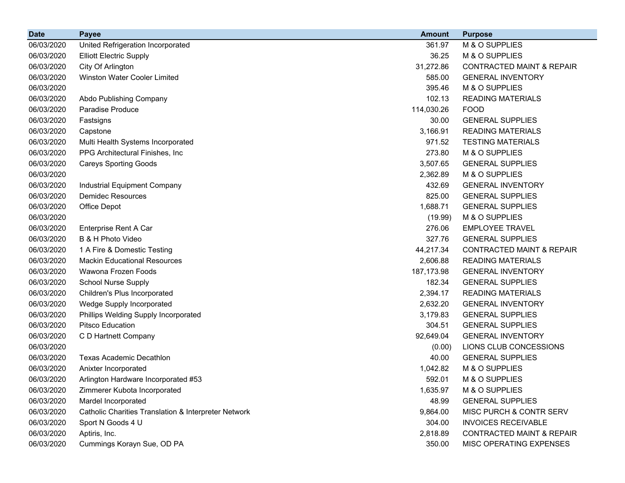| <b>Date</b> | <b>Payee</b>                                         | <b>Amount</b> | <b>Purpose</b>                       |
|-------------|------------------------------------------------------|---------------|--------------------------------------|
| 06/03/2020  | United Refrigeration Incorporated                    | 361.97        | M & O SUPPLIES                       |
| 06/03/2020  | <b>Elliott Electric Supply</b>                       | 36.25         | M & O SUPPLIES                       |
| 06/03/2020  | City Of Arlington                                    | 31,272.86     | <b>CONTRACTED MAINT &amp; REPAIR</b> |
| 06/03/2020  | <b>Winston Water Cooler Limited</b>                  | 585.00        | <b>GENERAL INVENTORY</b>             |
| 06/03/2020  |                                                      | 395.46        | M & O SUPPLIES                       |
| 06/03/2020  | Abdo Publishing Company                              | 102.13        | <b>READING MATERIALS</b>             |
| 06/03/2020  | Paradise Produce                                     | 114,030.26    | <b>FOOD</b>                          |
| 06/03/2020  | Fastsigns                                            | 30.00         | <b>GENERAL SUPPLIES</b>              |
| 06/03/2020  | Capstone                                             | 3,166.91      | <b>READING MATERIALS</b>             |
| 06/03/2020  | Multi Health Systems Incorporated                    | 971.52        | <b>TESTING MATERIALS</b>             |
| 06/03/2020  | PPG Architectural Finishes, Inc.                     | 273.80        | M & O SUPPLIES                       |
| 06/03/2020  | <b>Careys Sporting Goods</b>                         | 3,507.65      | <b>GENERAL SUPPLIES</b>              |
| 06/03/2020  |                                                      | 2,362.89      | M & O SUPPLIES                       |
| 06/03/2020  | Industrial Equipment Company                         | 432.69        | <b>GENERAL INVENTORY</b>             |
| 06/03/2020  | <b>Demidec Resources</b>                             | 825.00        | <b>GENERAL SUPPLIES</b>              |
| 06/03/2020  | Office Depot                                         | 1,688.71      | <b>GENERAL SUPPLIES</b>              |
| 06/03/2020  |                                                      | (19.99)       | M & O SUPPLIES                       |
| 06/03/2020  | Enterprise Rent A Car                                | 276.06        | <b>EMPLOYEE TRAVEL</b>               |
| 06/03/2020  | B & H Photo Video                                    | 327.76        | <b>GENERAL SUPPLIES</b>              |
| 06/03/2020  | 1 A Fire & Domestic Testing                          | 44,217.34     | <b>CONTRACTED MAINT &amp; REPAIR</b> |
| 06/03/2020  | <b>Mackin Educational Resources</b>                  | 2,606.88      | <b>READING MATERIALS</b>             |
| 06/03/2020  | Wawona Frozen Foods                                  | 187, 173.98   | <b>GENERAL INVENTORY</b>             |
| 06/03/2020  | <b>School Nurse Supply</b>                           | 182.34        | <b>GENERAL SUPPLIES</b>              |
| 06/03/2020  | Children's Plus Incorporated                         | 2,394.17      | <b>READING MATERIALS</b>             |
| 06/03/2020  | Wedge Supply Incorporated                            | 2,632.20      | <b>GENERAL INVENTORY</b>             |
| 06/03/2020  | Phillips Welding Supply Incorporated                 | 3,179.83      | <b>GENERAL SUPPLIES</b>              |
| 06/03/2020  | <b>Pitsco Education</b>                              | 304.51        | <b>GENERAL SUPPLIES</b>              |
| 06/03/2020  | C D Hartnett Company                                 | 92,649.04     | <b>GENERAL INVENTORY</b>             |
| 06/03/2020  |                                                      | (0.00)        | LIONS CLUB CONCESSIONS               |
| 06/03/2020  | <b>Texas Academic Decathlon</b>                      | 40.00         | <b>GENERAL SUPPLIES</b>              |
| 06/03/2020  | Anixter Incorporated                                 | 1,042.82      | M & O SUPPLIES                       |
| 06/03/2020  | Arlington Hardware Incorporated #53                  | 592.01        | M & O SUPPLIES                       |
| 06/03/2020  | Zimmerer Kubota Incorporated                         | 1,635.97      | M & O SUPPLIES                       |
| 06/03/2020  | Mardel Incorporated                                  | 48.99         | <b>GENERAL SUPPLIES</b>              |
| 06/03/2020  | Catholic Charities Translation & Interpreter Network | 9,864.00      | MISC PURCH & CONTR SERV              |
| 06/03/2020  | Sport N Goods 4 U                                    | 304.00        | <b>INVOICES RECEIVABLE</b>           |
| 06/03/2020  | Aptiris, Inc.                                        | 2,818.89      | <b>CONTRACTED MAINT &amp; REPAIR</b> |
| 06/03/2020  | Cummings Korayn Sue, OD PA                           | 350.00        | MISC OPERATING EXPENSES              |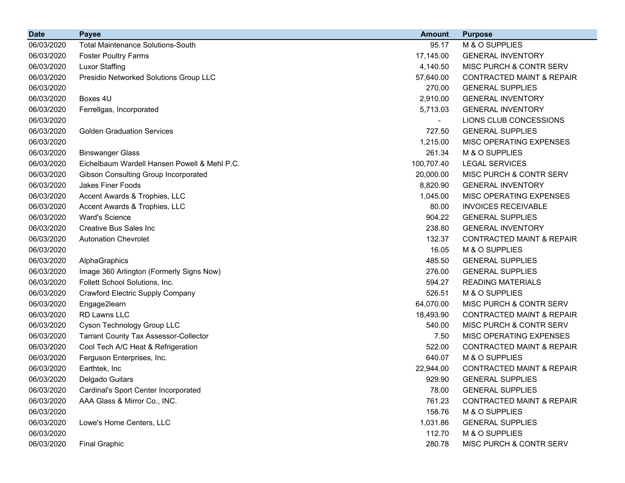| <b>Date</b> | <b>Payee</b>                                 | <b>Amount</b> | <b>Purpose</b>                       |
|-------------|----------------------------------------------|---------------|--------------------------------------|
| 06/03/2020  | <b>Total Maintenance Solutions-South</b>     | 95.17         | M & O SUPPLIES                       |
| 06/03/2020  | <b>Foster Poultry Farms</b>                  | 17,145.00     | <b>GENERAL INVENTORY</b>             |
| 06/03/2020  | <b>Luxor Staffing</b>                        | 4,140.50      | MISC PURCH & CONTR SERV              |
| 06/03/2020  | Presidio Networked Solutions Group LLC       | 57,640.00     | <b>CONTRACTED MAINT &amp; REPAIR</b> |
| 06/03/2020  |                                              | 270.00        | <b>GENERAL SUPPLIES</b>              |
| 06/03/2020  | Boxes 4U                                     | 2,910.00      | <b>GENERAL INVENTORY</b>             |
| 06/03/2020  | Ferrellgas, Incorporated                     | 5,713.03      | <b>GENERAL INVENTORY</b>             |
| 06/03/2020  |                                              |               | LIONS CLUB CONCESSIONS               |
| 06/03/2020  | <b>Golden Graduation Services</b>            | 727.50        | <b>GENERAL SUPPLIES</b>              |
| 06/03/2020  |                                              | 1,215.00      | MISC OPERATING EXPENSES              |
| 06/03/2020  | <b>Binswanger Glass</b>                      | 261.34        | M & O SUPPLIES                       |
| 06/03/2020  | Eichelbaum Wardell Hansen Powell & Mehl P.C. | 100,707.40    | <b>LEGAL SERVICES</b>                |
| 06/03/2020  | Gibson Consulting Group Incorporated         | 20,000.00     | MISC PURCH & CONTR SERV              |
| 06/03/2020  | Jakes Finer Foods                            | 8,820.90      | <b>GENERAL INVENTORY</b>             |
| 06/03/2020  | Accent Awards & Trophies, LLC                | 1,045.00      | MISC OPERATING EXPENSES              |
| 06/03/2020  | Accent Awards & Trophies, LLC                | 80.00         | <b>INVOICES RECEIVABLE</b>           |
| 06/03/2020  | <b>Ward's Science</b>                        | 904.22        | <b>GENERAL SUPPLIES</b>              |
| 06/03/2020  | <b>Creative Bus Sales Inc.</b>               | 238.80        | <b>GENERAL INVENTORY</b>             |
| 06/03/2020  | <b>Autonation Chevrolet</b>                  | 132.37        | <b>CONTRACTED MAINT &amp; REPAIR</b> |
| 06/03/2020  |                                              | 16.05         | M & O SUPPLIES                       |
| 06/03/2020  | AlphaGraphics                                | 485.50        | <b>GENERAL SUPPLIES</b>              |
| 06/03/2020  | Image 360 Arlington (Formerly Signs Now)     | 276.00        | <b>GENERAL SUPPLIES</b>              |
| 06/03/2020  | Follett School Solutions, Inc.               | 594.27        | <b>READING MATERIALS</b>             |
| 06/03/2020  | <b>Crawford Electric Supply Company</b>      | 526.51        | M & O SUPPLIES                       |
| 06/03/2020  | Engage2learn                                 | 64,070.00     | MISC PURCH & CONTR SERV              |
| 06/03/2020  | RD Lawns LLC                                 | 18,493.90     | <b>CONTRACTED MAINT &amp; REPAIR</b> |
| 06/03/2020  | Cyson Technology Group LLC                   | 540.00        | MISC PURCH & CONTR SERV              |
| 06/03/2020  | <b>Tarrant County Tax Assessor-Collector</b> | 7.50          | MISC OPERATING EXPENSES              |
| 06/03/2020  | Cool Tech A/C Heat & Refrigeration           | 522.00        | <b>CONTRACTED MAINT &amp; REPAIR</b> |
| 06/03/2020  | Ferguson Enterprises, Inc.                   | 640.07        | M & O SUPPLIES                       |
| 06/03/2020  | Earthtek, Inc                                | 22,944.00     | <b>CONTRACTED MAINT &amp; REPAIR</b> |
| 06/03/2020  | Delgado Guitars                              | 929.90        | <b>GENERAL SUPPLIES</b>              |
| 06/03/2020  | Cardinal's Sport Center Incorporated         | 78.00         | <b>GENERAL SUPPLIES</b>              |
| 06/03/2020  | AAA Glass & Mirror Co., INC.                 | 761.23        | <b>CONTRACTED MAINT &amp; REPAIR</b> |
| 06/03/2020  |                                              | 158.76        | M & O SUPPLIES                       |
| 06/03/2020  | Lowe's Home Centers, LLC                     | 1,031.86      | <b>GENERAL SUPPLIES</b>              |
| 06/03/2020  |                                              | 112.70        | M & O SUPPLIES                       |
| 06/03/2020  | <b>Final Graphic</b>                         | 280.78        | MISC PURCH & CONTR SERV              |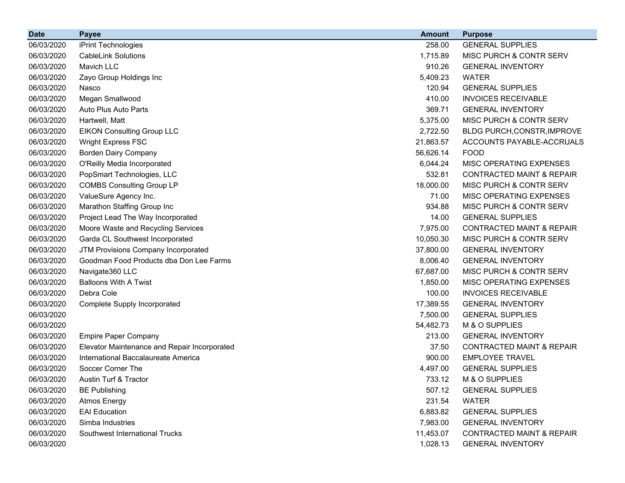| <b>Date</b> | <b>Payee</b>                                 | <b>Amount</b> | <b>Purpose</b>                       |
|-------------|----------------------------------------------|---------------|--------------------------------------|
| 06/03/2020  | iPrint Technologies                          | 258.00        | <b>GENERAL SUPPLIES</b>              |
| 06/03/2020  | <b>CableLink Solutions</b>                   | 1,715.89      | <b>MISC PURCH &amp; CONTR SERV</b>   |
| 06/03/2020  | Mavich LLC                                   | 910.26        | <b>GENERAL INVENTORY</b>             |
| 06/03/2020  | Zayo Group Holdings Inc                      | 5,409.23      | <b>WATER</b>                         |
| 06/03/2020  | Nasco                                        | 120.94        | <b>GENERAL SUPPLIES</b>              |
| 06/03/2020  | Megan Smallwood                              | 410.00        | <b>INVOICES RECEIVABLE</b>           |
| 06/03/2020  | Auto Plus Auto Parts                         | 369.71        | <b>GENERAL INVENTORY</b>             |
| 06/03/2020  | Hartwell, Matt                               | 5,375.00      | MISC PURCH & CONTR SERV              |
| 06/03/2020  | <b>EIKON Consulting Group LLC</b>            | 2,722.50      | BLDG PURCH, CONSTR, IMPROVE          |
| 06/03/2020  | <b>Wright Express FSC</b>                    | 21,863.57     | ACCOUNTS PAYABLE-ACCRUALS            |
| 06/03/2020  | <b>Borden Dairy Company</b>                  | 56,626.14     | <b>FOOD</b>                          |
| 06/03/2020  | O'Reilly Media Incorporated                  | 6,044.24      | MISC OPERATING EXPENSES              |
| 06/03/2020  | PopSmart Technologies, LLC                   | 532.81        | <b>CONTRACTED MAINT &amp; REPAIR</b> |
| 06/03/2020  | <b>COMBS Consulting Group LP</b>             | 18,000.00     | MISC PURCH & CONTR SERV              |
| 06/03/2020  | ValueSure Agency Inc.                        | 71.00         | MISC OPERATING EXPENSES              |
| 06/03/2020  | Marathon Staffing Group Inc                  | 934.88        | MISC PURCH & CONTR SERV              |
| 06/03/2020  | Project Lead The Way Incorporated            | 14.00         | <b>GENERAL SUPPLIES</b>              |
| 06/03/2020  | Moore Waste and Recycling Services           | 7,975.00      | <b>CONTRACTED MAINT &amp; REPAIR</b> |
| 06/03/2020  | Garda CL Southwest Incorporated              | 10,050.30     | <b>MISC PURCH &amp; CONTR SERV</b>   |
| 06/03/2020  | JTM Provisions Company Incorporated          | 37,800.00     | <b>GENERAL INVENTORY</b>             |
| 06/03/2020  | Goodman Food Products dba Don Lee Farms      | 8,006.40      | <b>GENERAL INVENTORY</b>             |
| 06/03/2020  | Navigate360 LLC                              | 67,687.00     | MISC PURCH & CONTR SERV              |
| 06/03/2020  | <b>Balloons With A Twist</b>                 | 1,850.00      | <b>MISC OPERATING EXPENSES</b>       |
| 06/03/2020  | Debra Cole                                   | 100.00        | <b>INVOICES RECEIVABLE</b>           |
| 06/03/2020  | <b>Complete Supply Incorporated</b>          | 17,389.55     | <b>GENERAL INVENTORY</b>             |
| 06/03/2020  |                                              | 7,500.00      | <b>GENERAL SUPPLIES</b>              |
| 06/03/2020  |                                              | 54,482.73     | M & O SUPPLIES                       |
| 06/03/2020  | <b>Empire Paper Company</b>                  | 213.00        | <b>GENERAL INVENTORY</b>             |
| 06/03/2020  | Elevator Maintenance and Repair Incorporated | 37.50         | <b>CONTRACTED MAINT &amp; REPAIR</b> |
| 06/03/2020  | International Baccalaureate America          | 900.00        | <b>EMPLOYEE TRAVEL</b>               |
| 06/03/2020  | Soccer Corner The                            | 4,497.00      | <b>GENERAL SUPPLIES</b>              |
| 06/03/2020  | Austin Turf & Tractor                        | 733.12        | M & O SUPPLIES                       |
| 06/03/2020  | <b>BE Publishing</b>                         | 507.12        | <b>GENERAL SUPPLIES</b>              |
| 06/03/2020  | <b>Atmos Energy</b>                          | 231.54        | <b>WATER</b>                         |
| 06/03/2020  | <b>EAI Education</b>                         | 6,883.82      | <b>GENERAL SUPPLIES</b>              |
| 06/03/2020  | Simba Industries                             | 7,983.00      | <b>GENERAL INVENTORY</b>             |
| 06/03/2020  | Southwest International Trucks               | 11,453.07     | <b>CONTRACTED MAINT &amp; REPAIR</b> |
| 06/03/2020  |                                              | 1,028.13      | <b>GENERAL INVENTORY</b>             |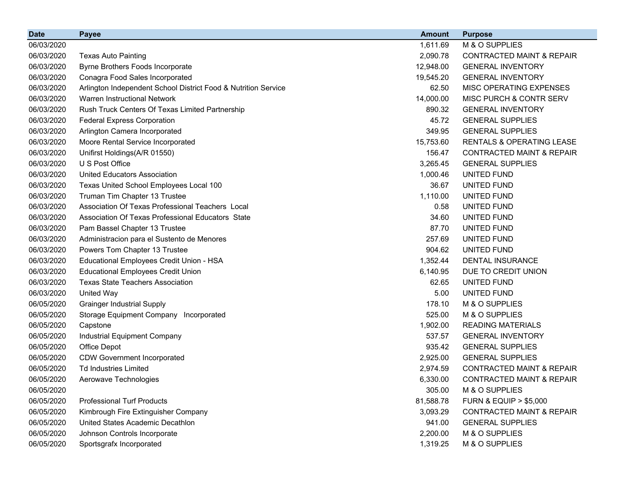| <b>Date</b> | <b>Payee</b>                                                   | <b>Amount</b> | <b>Purpose</b>                       |
|-------------|----------------------------------------------------------------|---------------|--------------------------------------|
| 06/03/2020  |                                                                | 1,611.69      | M & O SUPPLIES                       |
| 06/03/2020  | <b>Texas Auto Painting</b>                                     | 2,090.78      | <b>CONTRACTED MAINT &amp; REPAIR</b> |
| 06/03/2020  | Byrne Brothers Foods Incorporate                               | 12,948.00     | <b>GENERAL INVENTORY</b>             |
| 06/03/2020  | Conagra Food Sales Incorporated                                | 19,545.20     | <b>GENERAL INVENTORY</b>             |
| 06/03/2020  | Arlington Independent School District Food & Nutrition Service | 62.50         | MISC OPERATING EXPENSES              |
| 06/03/2020  | Warren Instructional Network                                   | 14,000.00     | <b>MISC PURCH &amp; CONTR SERV</b>   |
| 06/03/2020  | Rush Truck Centers Of Texas Limited Partnership                | 890.32        | <b>GENERAL INVENTORY</b>             |
| 06/03/2020  | <b>Federal Express Corporation</b>                             | 45.72         | <b>GENERAL SUPPLIES</b>              |
| 06/03/2020  | Arlington Camera Incorporated                                  | 349.95        | <b>GENERAL SUPPLIES</b>              |
| 06/03/2020  | Moore Rental Service Incorporated                              | 15,753.60     | RENTALS & OPERATING LEASE            |
| 06/03/2020  | Unifirst Holdings(A/R 01550)                                   | 156.47        | <b>CONTRACTED MAINT &amp; REPAIR</b> |
| 06/03/2020  | U S Post Office                                                | 3,265.45      | <b>GENERAL SUPPLIES</b>              |
| 06/03/2020  | <b>United Educators Association</b>                            | 1,000.46      | UNITED FUND                          |
| 06/03/2020  | Texas United School Employees Local 100                        | 36.67         | UNITED FUND                          |
| 06/03/2020  | Truman Tim Chapter 13 Trustee                                  | 1,110.00      | UNITED FUND                          |
| 06/03/2020  | Association Of Texas Professional Teachers Local               | 0.58          | UNITED FUND                          |
| 06/03/2020  | Association Of Texas Professional Educators State              | 34.60         | UNITED FUND                          |
| 06/03/2020  | Pam Bassel Chapter 13 Trustee                                  | 87.70         | UNITED FUND                          |
| 06/03/2020  | Administracion para el Sustento de Menores                     | 257.69        | UNITED FUND                          |
| 06/03/2020  | Powers Tom Chapter 13 Trustee                                  | 904.62        | UNITED FUND                          |
| 06/03/2020  | Educational Employees Credit Union - HSA                       | 1,352.44      | <b>DENTAL INSURANCE</b>              |
| 06/03/2020  | <b>Educational Employees Credit Union</b>                      | 6,140.95      | DUE TO CREDIT UNION                  |
| 06/03/2020  | <b>Texas State Teachers Association</b>                        | 62.65         | UNITED FUND                          |
| 06/03/2020  | <b>United Way</b>                                              | 5.00          | UNITED FUND                          |
| 06/05/2020  | <b>Grainger Industrial Supply</b>                              | 178.10        | M & O SUPPLIES                       |
| 06/05/2020  | Storage Equipment Company Incorporated                         | 525.00        | M & O SUPPLIES                       |
| 06/05/2020  | Capstone                                                       | 1,902.00      | <b>READING MATERIALS</b>             |
| 06/05/2020  | Industrial Equipment Company                                   | 537.57        | <b>GENERAL INVENTORY</b>             |
| 06/05/2020  | Office Depot                                                   | 935.42        | <b>GENERAL SUPPLIES</b>              |
| 06/05/2020  | <b>CDW Government Incorporated</b>                             | 2,925.00      | <b>GENERAL SUPPLIES</b>              |
| 06/05/2020  | <b>Td Industries Limited</b>                                   | 2,974.59      | <b>CONTRACTED MAINT &amp; REPAIR</b> |
| 06/05/2020  | Aerowave Technologies                                          | 6,330.00      | <b>CONTRACTED MAINT &amp; REPAIR</b> |
| 06/05/2020  |                                                                | 305.00        | M & O SUPPLIES                       |
| 06/05/2020  | <b>Professional Turf Products</b>                              | 81,588.78     | <b>FURN &amp; EQUIP &gt; \$5,000</b> |
| 06/05/2020  | Kimbrough Fire Extinguisher Company                            | 3,093.29      | <b>CONTRACTED MAINT &amp; REPAIR</b> |
| 06/05/2020  | United States Academic Decathlon                               | 941.00        | <b>GENERAL SUPPLIES</b>              |
| 06/05/2020  | Johnson Controls Incorporate                                   | 2,200.00      | M & O SUPPLIES                       |
| 06/05/2020  | Sportsgrafx Incorporated                                       | 1,319.25      | M & O SUPPLIES                       |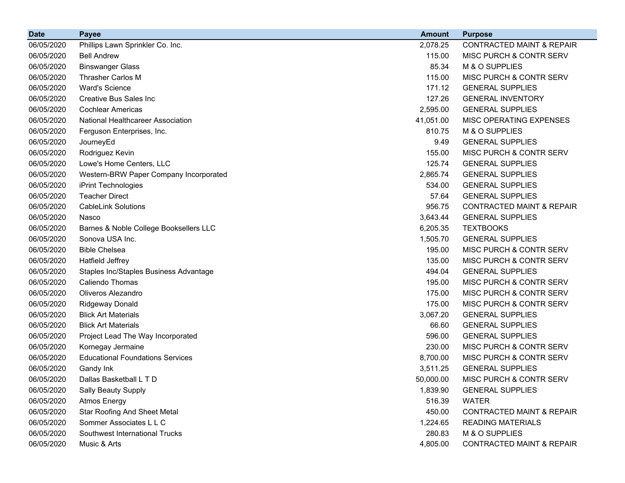| <b>Date</b> | <b>Payee</b>                            | <b>Amount</b> | <b>Purpose</b>                       |
|-------------|-----------------------------------------|---------------|--------------------------------------|
| 06/05/2020  | Phillips Lawn Sprinkler Co. Inc.        | 2,078.25      | <b>CONTRACTED MAINT &amp; REPAIR</b> |
| 06/05/2020  | <b>Bell Andrew</b>                      | 115.00        | MISC PURCH & CONTR SERV              |
| 06/05/2020  | <b>Binswanger Glass</b>                 | 85.34         | M & O SUPPLIES                       |
| 06/05/2020  | <b>Thrasher Carlos M</b>                | 115.00        | MISC PURCH & CONTR SERV              |
| 06/05/2020  | <b>Ward's Science</b>                   | 171.12        | <b>GENERAL SUPPLIES</b>              |
| 06/05/2020  | Creative Bus Sales Inc                  | 127.26        | <b>GENERAL INVENTORY</b>             |
| 06/05/2020  | <b>Cochlear Americas</b>                | 2,595.00      | <b>GENERAL SUPPLIES</b>              |
| 06/05/2020  | National Healthcareer Association       | 41,051.00     | MISC OPERATING EXPENSES              |
| 06/05/2020  | Ferguson Enterprises, Inc.              | 810.75        | M & O SUPPLIES                       |
| 06/05/2020  | JourneyEd                               | 9.49          | <b>GENERAL SUPPLIES</b>              |
| 06/05/2020  | Rodriguez Kevin                         | 155.00        | MISC PURCH & CONTR SERV              |
| 06/05/2020  | Lowe's Home Centers, LLC                | 125.74        | <b>GENERAL SUPPLIES</b>              |
| 06/05/2020  | Western-BRW Paper Company Incorporated  | 2,865.74      | <b>GENERAL SUPPLIES</b>              |
| 06/05/2020  | iPrint Technologies                     | 534.00        | <b>GENERAL SUPPLIES</b>              |
| 06/05/2020  | <b>Teacher Direct</b>                   | 57.64         | <b>GENERAL SUPPLIES</b>              |
| 06/05/2020  | <b>CableLink Solutions</b>              | 956.75        | <b>CONTRACTED MAINT &amp; REPAIR</b> |
| 06/05/2020  | Nasco                                   | 3,643.44      | <b>GENERAL SUPPLIES</b>              |
| 06/05/2020  | Barnes & Noble College Booksellers LLC  | 6,205.35      | <b>TEXTBOOKS</b>                     |
| 06/05/2020  | Sonova USA Inc.                         | 1,505.70      | <b>GENERAL SUPPLIES</b>              |
| 06/05/2020  | <b>Bible Chelsea</b>                    | 195.00        | MISC PURCH & CONTR SERV              |
| 06/05/2020  | Hatfield Jeffrey                        | 135.00        | MISC PURCH & CONTR SERV              |
| 06/05/2020  | Staples Inc/Staples Business Advantage  | 494.04        | <b>GENERAL SUPPLIES</b>              |
| 06/05/2020  | <b>Caliendo Thomas</b>                  | 195.00        | MISC PURCH & CONTR SERV              |
| 06/05/2020  | Oliveros Alezandro                      | 175.00        | MISC PURCH & CONTR SERV              |
| 06/05/2020  | Ridgeway Donald                         | 175.00        | MISC PURCH & CONTR SERV              |
| 06/05/2020  | <b>Blick Art Materials</b>              | 3,067.20      | <b>GENERAL SUPPLIES</b>              |
| 06/05/2020  | <b>Blick Art Materials</b>              | 66.60         | <b>GENERAL SUPPLIES</b>              |
| 06/05/2020  | Project Lead The Way Incorporated       | 596.00        | <b>GENERAL SUPPLIES</b>              |
| 06/05/2020  | Kornegay Jermaine                       | 230.00        | MISC PURCH & CONTR SERV              |
| 06/05/2020  | <b>Educational Foundations Services</b> | 8,700.00      | MISC PURCH & CONTR SERV              |
| 06/05/2020  | Gandy Ink                               | 3,511.25      | <b>GENERAL SUPPLIES</b>              |
| 06/05/2020  | Dallas Basketball L T D                 | 50,000.00     | MISC PURCH & CONTR SERV              |
| 06/05/2020  | Sally Beauty Supply                     | 1,839.90      | <b>GENERAL SUPPLIES</b>              |
| 06/05/2020  | <b>Atmos Energy</b>                     | 516.39        | <b>WATER</b>                         |
| 06/05/2020  | <b>Star Roofing And Sheet Metal</b>     | 450.00        | <b>CONTRACTED MAINT &amp; REPAIR</b> |
| 06/05/2020  | Sommer Associates L L C                 | 1,224.65      | <b>READING MATERIALS</b>             |
| 06/05/2020  | Southwest International Trucks          | 280.83        | M & O SUPPLIES                       |
| 06/05/2020  | Music & Arts                            | 4,805.00      | <b>CONTRACTED MAINT &amp; REPAIR</b> |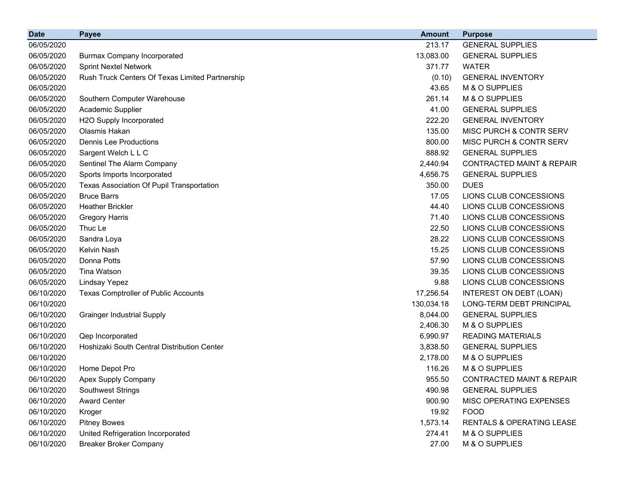| <b>Date</b> | <b>Payee</b>                                    | <b>Amount</b> | <b>Purpose</b>                       |
|-------------|-------------------------------------------------|---------------|--------------------------------------|
| 06/05/2020  |                                                 | 213.17        | <b>GENERAL SUPPLIES</b>              |
| 06/05/2020  | <b>Burmax Company Incorporated</b>              | 13,083.00     | <b>GENERAL SUPPLIES</b>              |
| 06/05/2020  | <b>Sprint Nextel Network</b>                    | 371.77        | <b>WATER</b>                         |
| 06/05/2020  | Rush Truck Centers Of Texas Limited Partnership | (0.10)        | <b>GENERAL INVENTORY</b>             |
| 06/05/2020  |                                                 | 43.65         | M & O SUPPLIES                       |
| 06/05/2020  | Southern Computer Warehouse                     | 261.14        | M & O SUPPLIES                       |
| 06/05/2020  | Academic Supplier                               | 41.00         | <b>GENERAL SUPPLIES</b>              |
| 06/05/2020  | H2O Supply Incorporated                         | 222.20        | <b>GENERAL INVENTORY</b>             |
| 06/05/2020  | Olasmis Hakan                                   | 135.00        | MISC PURCH & CONTR SERV              |
| 06/05/2020  | <b>Dennis Lee Productions</b>                   | 800.00        | MISC PURCH & CONTR SERV              |
| 06/05/2020  | Sargent Welch L L C                             | 888.92        | <b>GENERAL SUPPLIES</b>              |
| 06/05/2020  | Sentinel The Alarm Company                      | 2,440.94      | <b>CONTRACTED MAINT &amp; REPAIR</b> |
| 06/05/2020  | Sports Imports Incorporated                     | 4,656.75      | <b>GENERAL SUPPLIES</b>              |
| 06/05/2020  | Texas Association Of Pupil Transportation       | 350.00        | <b>DUES</b>                          |
| 06/05/2020  | <b>Bruce Barrs</b>                              | 17.05         | LIONS CLUB CONCESSIONS               |
| 06/05/2020  | <b>Heather Brickler</b>                         | 44.40         | LIONS CLUB CONCESSIONS               |
| 06/05/2020  | <b>Gregory Harris</b>                           | 71.40         | LIONS CLUB CONCESSIONS               |
| 06/05/2020  | Thuc Le                                         | 22.50         | LIONS CLUB CONCESSIONS               |
| 06/05/2020  | Sandra Loya                                     | 28.22         | LIONS CLUB CONCESSIONS               |
| 06/05/2020  | Kelvin Nash                                     | 15.25         | LIONS CLUB CONCESSIONS               |
| 06/05/2020  | Donna Potts                                     | 57.90         | LIONS CLUB CONCESSIONS               |
| 06/05/2020  | <b>Tina Watson</b>                              | 39.35         | LIONS CLUB CONCESSIONS               |
| 06/05/2020  | Lindsay Yepez                                   | 9.88          | LIONS CLUB CONCESSIONS               |
| 06/10/2020  | Texas Comptroller of Public Accounts            | 17,256.54     | INTEREST ON DEBT (LOAN)              |
| 06/10/2020  |                                                 | 130,034.18    | LONG-TERM DEBT PRINCIPAL             |
| 06/10/2020  | <b>Grainger Industrial Supply</b>               | 8,044.00      | <b>GENERAL SUPPLIES</b>              |
| 06/10/2020  |                                                 | 2,406.30      | M & O SUPPLIES                       |
| 06/10/2020  | Qep Incorporated                                | 6,990.97      | <b>READING MATERIALS</b>             |
| 06/10/2020  | Hoshizaki South Central Distribution Center     | 3,838.50      | <b>GENERAL SUPPLIES</b>              |
| 06/10/2020  |                                                 | 2,178.00      | M & O SUPPLIES                       |
| 06/10/2020  | Home Depot Pro                                  | 116.26        | M & O SUPPLIES                       |
| 06/10/2020  | Apex Supply Company                             | 955.50        | <b>CONTRACTED MAINT &amp; REPAIR</b> |
| 06/10/2020  | Southwest Strings                               | 490.98        | <b>GENERAL SUPPLIES</b>              |
| 06/10/2020  | <b>Award Center</b>                             | 900.90        | MISC OPERATING EXPENSES              |
| 06/10/2020  | Kroger                                          | 19.92         | <b>FOOD</b>                          |
| 06/10/2020  | <b>Pitney Bowes</b>                             | 1,573.14      | RENTALS & OPERATING LEASE            |
| 06/10/2020  | United Refrigeration Incorporated               | 274.41        | M & O SUPPLIES                       |
| 06/10/2020  | <b>Breaker Broker Company</b>                   | 27.00         | M & O SUPPLIES                       |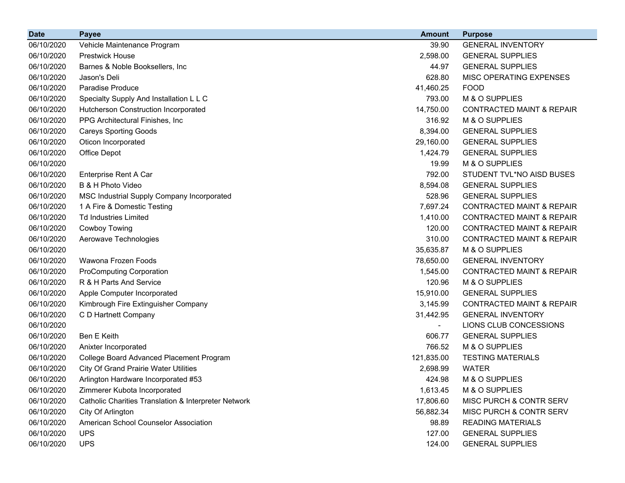| <b>Date</b> | <b>Payee</b>                                         | <b>Amount</b> | <b>Purpose</b>                       |
|-------------|------------------------------------------------------|---------------|--------------------------------------|
| 06/10/2020  | Vehicle Maintenance Program                          | 39.90         | <b>GENERAL INVENTORY</b>             |
| 06/10/2020  | <b>Prestwick House</b>                               | 2,598.00      | <b>GENERAL SUPPLIES</b>              |
| 06/10/2020  | Barnes & Noble Booksellers, Inc.                     | 44.97         | <b>GENERAL SUPPLIES</b>              |
| 06/10/2020  | Jason's Deli                                         | 628.80        | MISC OPERATING EXPENSES              |
| 06/10/2020  | <b>Paradise Produce</b>                              | 41,460.25     | <b>FOOD</b>                          |
| 06/10/2020  | Specialty Supply And Installation L L C              | 793.00        | M & O SUPPLIES                       |
| 06/10/2020  | Hutcherson Construction Incorporated                 | 14,750.00     | <b>CONTRACTED MAINT &amp; REPAIR</b> |
| 06/10/2020  | PPG Architectural Finishes, Inc.                     | 316.92        | M & O SUPPLIES                       |
| 06/10/2020  | <b>Careys Sporting Goods</b>                         | 8,394.00      | <b>GENERAL SUPPLIES</b>              |
| 06/10/2020  | Oticon Incorporated                                  | 29,160.00     | <b>GENERAL SUPPLIES</b>              |
| 06/10/2020  | Office Depot                                         | 1,424.79      | <b>GENERAL SUPPLIES</b>              |
| 06/10/2020  |                                                      | 19.99         | M & O SUPPLIES                       |
| 06/10/2020  | Enterprise Rent A Car                                | 792.00        | STUDENT TVL*NO AISD BUSES            |
| 06/10/2020  | B & H Photo Video                                    | 8,594.08      | <b>GENERAL SUPPLIES</b>              |
| 06/10/2020  | MSC Industrial Supply Company Incorporated           | 528.96        | <b>GENERAL SUPPLIES</b>              |
| 06/10/2020  | 1 A Fire & Domestic Testing                          | 7,697.24      | <b>CONTRACTED MAINT &amp; REPAIR</b> |
| 06/10/2020  | <b>Td Industries Limited</b>                         | 1,410.00      | <b>CONTRACTED MAINT &amp; REPAIR</b> |
| 06/10/2020  | Cowboy Towing                                        | 120.00        | <b>CONTRACTED MAINT &amp; REPAIR</b> |
| 06/10/2020  | Aerowave Technologies                                | 310.00        | <b>CONTRACTED MAINT &amp; REPAIR</b> |
| 06/10/2020  |                                                      | 35,635.87     | M & O SUPPLIES                       |
| 06/10/2020  | Wawona Frozen Foods                                  | 78,650.00     | <b>GENERAL INVENTORY</b>             |
| 06/10/2020  | <b>ProComputing Corporation</b>                      | 1,545.00      | <b>CONTRACTED MAINT &amp; REPAIR</b> |
| 06/10/2020  | R & H Parts And Service                              | 120.96        | M & O SUPPLIES                       |
| 06/10/2020  | Apple Computer Incorporated                          | 15,910.00     | <b>GENERAL SUPPLIES</b>              |
| 06/10/2020  | Kimbrough Fire Extinguisher Company                  | 3,145.99      | <b>CONTRACTED MAINT &amp; REPAIR</b> |
| 06/10/2020  | C D Hartnett Company                                 | 31,442.95     | <b>GENERAL INVENTORY</b>             |
| 06/10/2020  |                                                      |               | LIONS CLUB CONCESSIONS               |
| 06/10/2020  | <b>Ben E Keith</b>                                   | 606.77        | <b>GENERAL SUPPLIES</b>              |
| 06/10/2020  | Anixter Incorporated                                 | 766.52        | M & O SUPPLIES                       |
| 06/10/2020  | College Board Advanced Placement Program             | 121,835.00    | <b>TESTING MATERIALS</b>             |
| 06/10/2020  | <b>City Of Grand Prairie Water Utilities</b>         | 2,698.99      | <b>WATER</b>                         |
| 06/10/2020  | Arlington Hardware Incorporated #53                  | 424.98        | M & O SUPPLIES                       |
| 06/10/2020  | Zimmerer Kubota Incorporated                         | 1,613.45      | M & O SUPPLIES                       |
| 06/10/2020  | Catholic Charities Translation & Interpreter Network | 17,806.60     | MISC PURCH & CONTR SERV              |
| 06/10/2020  | City Of Arlington                                    | 56,882.34     | MISC PURCH & CONTR SERV              |
| 06/10/2020  | American School Counselor Association                | 98.89         | <b>READING MATERIALS</b>             |
| 06/10/2020  | <b>UPS</b>                                           | 127.00        | <b>GENERAL SUPPLIES</b>              |
| 06/10/2020  | <b>UPS</b>                                           | 124.00        | <b>GENERAL SUPPLIES</b>              |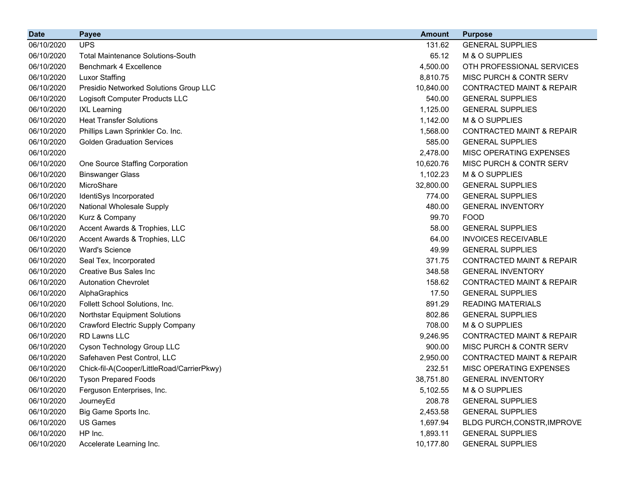| <b>Date</b> | <b>Payee</b>                               | <b>Amount</b> | <b>Purpose</b>                       |
|-------------|--------------------------------------------|---------------|--------------------------------------|
| 06/10/2020  | <b>UPS</b>                                 | 131.62        | <b>GENERAL SUPPLIES</b>              |
| 06/10/2020  | <b>Total Maintenance Solutions-South</b>   | 65.12         | M & O SUPPLIES                       |
| 06/10/2020  | Benchmark 4 Excellence                     | 4,500.00      | OTH PROFESSIONAL SERVICES            |
| 06/10/2020  | <b>Luxor Staffing</b>                      | 8,810.75      | MISC PURCH & CONTR SERV              |
| 06/10/2020  | Presidio Networked Solutions Group LLC     | 10,840.00     | <b>CONTRACTED MAINT &amp; REPAIR</b> |
| 06/10/2020  | Logisoft Computer Products LLC             | 540.00        | <b>GENERAL SUPPLIES</b>              |
| 06/10/2020  | <b>IXL Learning</b>                        | 1,125.00      | <b>GENERAL SUPPLIES</b>              |
| 06/10/2020  | <b>Heat Transfer Solutions</b>             | 1,142.00      | M & O SUPPLIES                       |
| 06/10/2020  | Phillips Lawn Sprinkler Co. Inc.           | 1,568.00      | <b>CONTRACTED MAINT &amp; REPAIR</b> |
| 06/10/2020  | <b>Golden Graduation Services</b>          | 585.00        | <b>GENERAL SUPPLIES</b>              |
| 06/10/2020  |                                            | 2,478.00      | MISC OPERATING EXPENSES              |
| 06/10/2020  | One Source Staffing Corporation            | 10,620.76     | MISC PURCH & CONTR SERV              |
| 06/10/2020  | <b>Binswanger Glass</b>                    | 1,102.23      | M & O SUPPLIES                       |
| 06/10/2020  | MicroShare                                 | 32,800.00     | <b>GENERAL SUPPLIES</b>              |
| 06/10/2020  | IdentiSys Incorporated                     | 774.00        | <b>GENERAL SUPPLIES</b>              |
| 06/10/2020  | <b>National Wholesale Supply</b>           | 480.00        | <b>GENERAL INVENTORY</b>             |
| 06/10/2020  | Kurz & Company                             | 99.70         | <b>FOOD</b>                          |
| 06/10/2020  | Accent Awards & Trophies, LLC              | 58.00         | <b>GENERAL SUPPLIES</b>              |
| 06/10/2020  | Accent Awards & Trophies, LLC              | 64.00         | <b>INVOICES RECEIVABLE</b>           |
| 06/10/2020  | <b>Ward's Science</b>                      | 49.99         | <b>GENERAL SUPPLIES</b>              |
| 06/10/2020  | Seal Tex, Incorporated                     | 371.75        | <b>CONTRACTED MAINT &amp; REPAIR</b> |
| 06/10/2020  | <b>Creative Bus Sales Inc.</b>             | 348.58        | <b>GENERAL INVENTORY</b>             |
| 06/10/2020  | <b>Autonation Chevrolet</b>                | 158.62        | <b>CONTRACTED MAINT &amp; REPAIR</b> |
| 06/10/2020  | AlphaGraphics                              | 17.50         | <b>GENERAL SUPPLIES</b>              |
| 06/10/2020  | Follett School Solutions, Inc.             | 891.29        | <b>READING MATERIALS</b>             |
| 06/10/2020  | <b>Northstar Equipment Solutions</b>       | 802.86        | <b>GENERAL SUPPLIES</b>              |
| 06/10/2020  | Crawford Electric Supply Company           | 708.00        | M & O SUPPLIES                       |
| 06/10/2020  | RD Lawns LLC                               | 9,246.95      | <b>CONTRACTED MAINT &amp; REPAIR</b> |
| 06/10/2020  | Cyson Technology Group LLC                 | 900.00        | MISC PURCH & CONTR SERV              |
| 06/10/2020  | Safehaven Pest Control, LLC                | 2,950.00      | <b>CONTRACTED MAINT &amp; REPAIR</b> |
| 06/10/2020  | Chick-fil-A(Cooper/LittleRoad/CarrierPkwy) | 232.51        | MISC OPERATING EXPENSES              |
| 06/10/2020  | <b>Tyson Prepared Foods</b>                | 38,751.80     | <b>GENERAL INVENTORY</b>             |
| 06/10/2020  | Ferguson Enterprises, Inc.                 | 5,102.55      | M & O SUPPLIES                       |
| 06/10/2020  | JourneyEd                                  | 208.78        | <b>GENERAL SUPPLIES</b>              |
| 06/10/2020  | Big Game Sports Inc.                       | 2,453.58      | <b>GENERAL SUPPLIES</b>              |
| 06/10/2020  | <b>US Games</b>                            | 1,697.94      | BLDG PURCH, CONSTR, IMPROVE          |
| 06/10/2020  | HP Inc.                                    | 1,893.11      | <b>GENERAL SUPPLIES</b>              |
| 06/10/2020  | Accelerate Learning Inc.                   | 10,177.80     | <b>GENERAL SUPPLIES</b>              |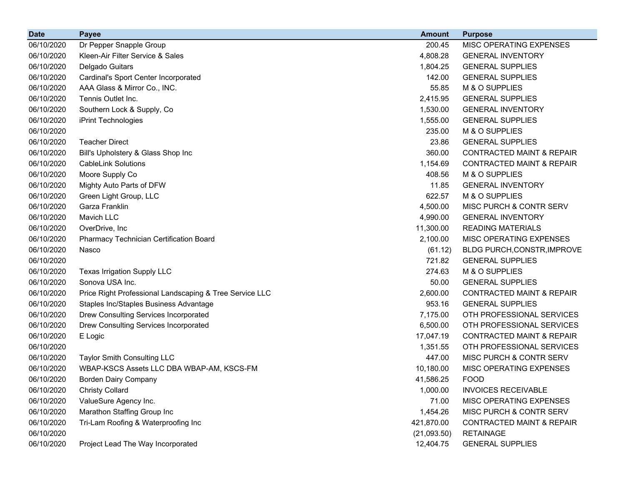| <b>Date</b> | <b>Payee</b>                                            | Amount      | <b>Purpose</b>                       |
|-------------|---------------------------------------------------------|-------------|--------------------------------------|
| 06/10/2020  | Dr Pepper Snapple Group                                 | 200.45      | MISC OPERATING EXPENSES              |
| 06/10/2020  | Kleen-Air Filter Service & Sales                        | 4,808.28    | <b>GENERAL INVENTORY</b>             |
| 06/10/2020  | Delgado Guitars                                         | 1,804.25    | <b>GENERAL SUPPLIES</b>              |
| 06/10/2020  | Cardinal's Sport Center Incorporated                    | 142.00      | <b>GENERAL SUPPLIES</b>              |
| 06/10/2020  | AAA Glass & Mirror Co., INC.                            | 55.85       | M & O SUPPLIES                       |
| 06/10/2020  | Tennis Outlet Inc.                                      | 2,415.95    | <b>GENERAL SUPPLIES</b>              |
| 06/10/2020  | Southern Lock & Supply, Co                              | 1,530.00    | <b>GENERAL INVENTORY</b>             |
| 06/10/2020  | iPrint Technologies                                     | 1,555.00    | <b>GENERAL SUPPLIES</b>              |
| 06/10/2020  |                                                         | 235.00      | M & O SUPPLIES                       |
| 06/10/2020  | <b>Teacher Direct</b>                                   | 23.86       | <b>GENERAL SUPPLIES</b>              |
| 06/10/2020  | Bill's Upholstery & Glass Shop Inc                      | 360.00      | <b>CONTRACTED MAINT &amp; REPAIR</b> |
| 06/10/2020  | <b>CableLink Solutions</b>                              | 1,154.69    | <b>CONTRACTED MAINT &amp; REPAIR</b> |
| 06/10/2020  | Moore Supply Co                                         | 408.56      | M & O SUPPLIES                       |
| 06/10/2020  | Mighty Auto Parts of DFW                                | 11.85       | <b>GENERAL INVENTORY</b>             |
| 06/10/2020  | Green Light Group, LLC                                  | 622.57      | M & O SUPPLIES                       |
| 06/10/2020  | Garza Franklin                                          | 4,500.00    | MISC PURCH & CONTR SERV              |
| 06/10/2020  | Mavich LLC                                              | 4,990.00    | <b>GENERAL INVENTORY</b>             |
| 06/10/2020  | OverDrive, Inc                                          | 11,300.00   | <b>READING MATERIALS</b>             |
| 06/10/2020  | Pharmacy Technician Certification Board                 | 2,100.00    | MISC OPERATING EXPENSES              |
| 06/10/2020  | Nasco                                                   | (61.12)     | <b>BLDG PURCH, CONSTR, IMPROVE</b>   |
| 06/10/2020  |                                                         | 721.82      | <b>GENERAL SUPPLIES</b>              |
| 06/10/2020  | <b>Texas Irrigation Supply LLC</b>                      | 274.63      | M & O SUPPLIES                       |
| 06/10/2020  | Sonova USA Inc.                                         | 50.00       | <b>GENERAL SUPPLIES</b>              |
| 06/10/2020  | Price Right Professional Landscaping & Tree Service LLC | 2,600.00    | <b>CONTRACTED MAINT &amp; REPAIR</b> |
| 06/10/2020  | Staples Inc/Staples Business Advantage                  | 953.16      | <b>GENERAL SUPPLIES</b>              |
| 06/10/2020  | Drew Consulting Services Incorporated                   | 7,175.00    | OTH PROFESSIONAL SERVICES            |
| 06/10/2020  | Drew Consulting Services Incorporated                   | 6,500.00    | OTH PROFESSIONAL SERVICES            |
| 06/10/2020  | E Logic                                                 | 17,047.19   | <b>CONTRACTED MAINT &amp; REPAIR</b> |
| 06/10/2020  |                                                         | 1,351.55    | OTH PROFESSIONAL SERVICES            |
| 06/10/2020  | <b>Taylor Smith Consulting LLC</b>                      | 447.00      | MISC PURCH & CONTR SERV              |
| 06/10/2020  | WBAP-KSCS Assets LLC DBA WBAP-AM, KSCS-FM               | 10,180.00   | MISC OPERATING EXPENSES              |
| 06/10/2020  | <b>Borden Dairy Company</b>                             | 41,586.25   | <b>FOOD</b>                          |
| 06/10/2020  | <b>Christy Collard</b>                                  | 1,000.00    | <b>INVOICES RECEIVABLE</b>           |
| 06/10/2020  | ValueSure Agency Inc.                                   | 71.00       | MISC OPERATING EXPENSES              |
| 06/10/2020  | Marathon Staffing Group Inc                             | 1,454.26    | MISC PURCH & CONTR SERV              |
| 06/10/2020  | Tri-Lam Roofing & Waterproofing Inc                     | 421,870.00  | <b>CONTRACTED MAINT &amp; REPAIR</b> |
| 06/10/2020  |                                                         | (21,093.50) | <b>RETAINAGE</b>                     |
| 06/10/2020  | Project Lead The Way Incorporated                       | 12,404.75   | <b>GENERAL SUPPLIES</b>              |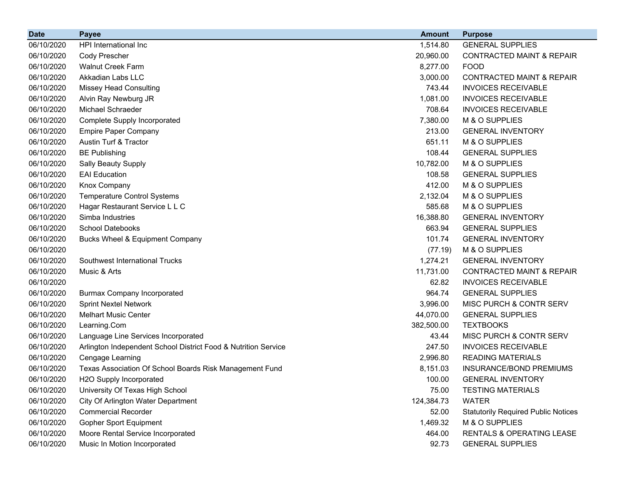| <b>Date</b> | <b>Payee</b>                                                   | <b>Amount</b> | <b>Purpose</b>                             |
|-------------|----------------------------------------------------------------|---------------|--------------------------------------------|
| 06/10/2020  | HPI International Inc                                          | 1,514.80      | <b>GENERAL SUPPLIES</b>                    |
| 06/10/2020  | Cody Prescher                                                  | 20,960.00     | <b>CONTRACTED MAINT &amp; REPAIR</b>       |
| 06/10/2020  | <b>Walnut Creek Farm</b>                                       | 8,277.00      | <b>FOOD</b>                                |
| 06/10/2020  | Akkadian Labs LLC                                              | 3,000.00      | <b>CONTRACTED MAINT &amp; REPAIR</b>       |
| 06/10/2020  | <b>Missey Head Consulting</b>                                  | 743.44        | <b>INVOICES RECEIVABLE</b>                 |
| 06/10/2020  | Alvin Ray Newburg JR                                           | 1,081.00      | <b>INVOICES RECEIVABLE</b>                 |
| 06/10/2020  | Michael Schraeder                                              | 708.64        | <b>INVOICES RECEIVABLE</b>                 |
| 06/10/2020  | Complete Supply Incorporated                                   | 7,380.00      | M & O SUPPLIES                             |
| 06/10/2020  | <b>Empire Paper Company</b>                                    | 213.00        | <b>GENERAL INVENTORY</b>                   |
| 06/10/2020  | Austin Turf & Tractor                                          | 651.11        | M & O SUPPLIES                             |
| 06/10/2020  | <b>BE Publishing</b>                                           | 108.44        | <b>GENERAL SUPPLIES</b>                    |
| 06/10/2020  | Sally Beauty Supply                                            | 10,782.00     | M & O SUPPLIES                             |
| 06/10/2020  | <b>EAI</b> Education                                           | 108.58        | <b>GENERAL SUPPLIES</b>                    |
| 06/10/2020  | Knox Company                                                   | 412.00        | M & O SUPPLIES                             |
| 06/10/2020  | <b>Temperature Control Systems</b>                             | 2,132.04      | M & O SUPPLIES                             |
| 06/10/2020  | Hagar Restaurant Service L L C                                 | 585.68        | M & O SUPPLIES                             |
| 06/10/2020  | Simba Industries                                               | 16,388.80     | <b>GENERAL INVENTORY</b>                   |
| 06/10/2020  | <b>School Datebooks</b>                                        | 663.94        | <b>GENERAL SUPPLIES</b>                    |
| 06/10/2020  | <b>Bucks Wheel &amp; Equipment Company</b>                     | 101.74        | <b>GENERAL INVENTORY</b>                   |
| 06/10/2020  |                                                                | (77.19)       | M & O SUPPLIES                             |
| 06/10/2020  | Southwest International Trucks                                 | 1,274.21      | <b>GENERAL INVENTORY</b>                   |
| 06/10/2020  | Music & Arts                                                   | 11,731.00     | <b>CONTRACTED MAINT &amp; REPAIR</b>       |
| 06/10/2020  |                                                                | 62.82         | <b>INVOICES RECEIVABLE</b>                 |
| 06/10/2020  | <b>Burmax Company Incorporated</b>                             | 964.74        | <b>GENERAL SUPPLIES</b>                    |
| 06/10/2020  | <b>Sprint Nextel Network</b>                                   | 3,996.00      | MISC PURCH & CONTR SERV                    |
| 06/10/2020  | <b>Melhart Music Center</b>                                    | 44,070.00     | <b>GENERAL SUPPLIES</b>                    |
| 06/10/2020  | Learning.Com                                                   | 382,500.00    | <b>TEXTBOOKS</b>                           |
| 06/10/2020  | Language Line Services Incorporated                            | 43.44         | MISC PURCH & CONTR SERV                    |
| 06/10/2020  | Arlington Independent School District Food & Nutrition Service | 247.50        | <b>INVOICES RECEIVABLE</b>                 |
| 06/10/2020  | Cengage Learning                                               | 2,996.80      | <b>READING MATERIALS</b>                   |
| 06/10/2020  | Texas Association Of School Boards Risk Management Fund        | 8,151.03      | INSURANCE/BOND PREMIUMS                    |
| 06/10/2020  | H2O Supply Incorporated                                        | 100.00        | <b>GENERAL INVENTORY</b>                   |
| 06/10/2020  | University Of Texas High School                                | 75.00         | <b>TESTING MATERIALS</b>                   |
| 06/10/2020  | City Of Arlington Water Department                             | 124,384.73    | <b>WATER</b>                               |
| 06/10/2020  | <b>Commercial Recorder</b>                                     | 52.00         | <b>Statutorily Required Public Notices</b> |
| 06/10/2020  | Gopher Sport Equipment                                         | 1,469.32      | M & O SUPPLIES                             |
| 06/10/2020  | Moore Rental Service Incorporated                              | 464.00        | RENTALS & OPERATING LEASE                  |
| 06/10/2020  | Music In Motion Incorporated                                   | 92.73         | <b>GENERAL SUPPLIES</b>                    |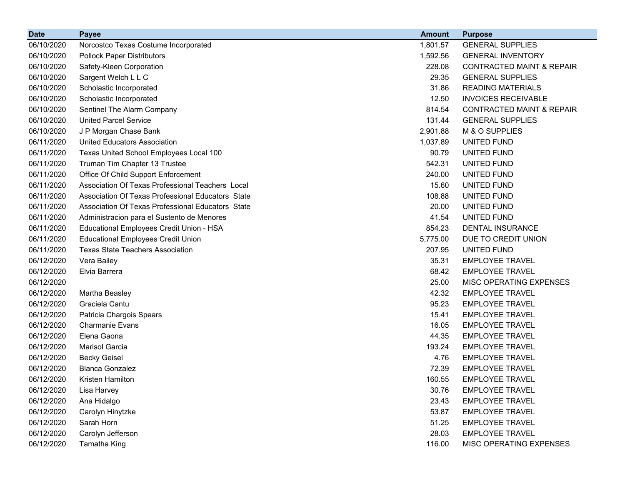| <b>Date</b> | <b>Payee</b>                                      | <b>Amount</b> | <b>Purpose</b>                       |
|-------------|---------------------------------------------------|---------------|--------------------------------------|
| 06/10/2020  | Norcostco Texas Costume Incorporated              | 1,801.57      | <b>GENERAL SUPPLIES</b>              |
| 06/10/2020  | <b>Pollock Paper Distributors</b>                 | 1,592.56      | <b>GENERAL INVENTORY</b>             |
| 06/10/2020  | Safety-Kleen Corporation                          | 228.08        | <b>CONTRACTED MAINT &amp; REPAIR</b> |
| 06/10/2020  | Sargent Welch L L C                               | 29.35         | <b>GENERAL SUPPLIES</b>              |
| 06/10/2020  | Scholastic Incorporated                           | 31.86         | <b>READING MATERIALS</b>             |
| 06/10/2020  | Scholastic Incorporated                           | 12.50         | <b>INVOICES RECEIVABLE</b>           |
| 06/10/2020  | Sentinel The Alarm Company                        | 814.54        | <b>CONTRACTED MAINT &amp; REPAIR</b> |
| 06/10/2020  | <b>United Parcel Service</b>                      | 131.44        | <b>GENERAL SUPPLIES</b>              |
| 06/10/2020  | J P Morgan Chase Bank                             | 2,901.88      | M & O SUPPLIES                       |
| 06/11/2020  | United Educators Association                      | 1,037.89      | UNITED FUND                          |
| 06/11/2020  | Texas United School Employees Local 100           | 90.79         | UNITED FUND                          |
| 06/11/2020  | Truman Tim Chapter 13 Trustee                     | 542.31        | UNITED FUND                          |
| 06/11/2020  | Office Of Child Support Enforcement               | 240.00        | UNITED FUND                          |
| 06/11/2020  | Association Of Texas Professional Teachers Local  | 15.60         | UNITED FUND                          |
| 06/11/2020  | Association Of Texas Professional Educators State | 108.88        | UNITED FUND                          |
| 06/11/2020  | Association Of Texas Professional Educators State | 20.00         | UNITED FUND                          |
| 06/11/2020  | Administracion para el Sustento de Menores        | 41.54         | UNITED FUND                          |
| 06/11/2020  | Educational Employees Credit Union - HSA          | 854.23        | DENTAL INSURANCE                     |
| 06/11/2020  | <b>Educational Employees Credit Union</b>         | 5,775.00      | DUE TO CREDIT UNION                  |
| 06/11/2020  | <b>Texas State Teachers Association</b>           | 207.95        | UNITED FUND                          |
| 06/12/2020  | Vera Bailey                                       | 35.31         | <b>EMPLOYEE TRAVEL</b>               |
| 06/12/2020  | Elvia Barrera                                     | 68.42         | <b>EMPLOYEE TRAVEL</b>               |
| 06/12/2020  |                                                   | 25.00         | MISC OPERATING EXPENSES              |
| 06/12/2020  | Martha Beasley                                    | 42.32         | <b>EMPLOYEE TRAVEL</b>               |
| 06/12/2020  | Graciela Cantu                                    | 95.23         | <b>EMPLOYEE TRAVEL</b>               |
| 06/12/2020  | Patricia Chargois Spears                          | 15.41         | <b>EMPLOYEE TRAVEL</b>               |
| 06/12/2020  | <b>Charmanie Evans</b>                            | 16.05         | <b>EMPLOYEE TRAVEL</b>               |
| 06/12/2020  | Elena Gaona                                       | 44.35         | <b>EMPLOYEE TRAVEL</b>               |
| 06/12/2020  | Marisol Garcia                                    | 193.24        | <b>EMPLOYEE TRAVEL</b>               |
| 06/12/2020  | <b>Becky Geisel</b>                               | 4.76          | <b>EMPLOYEE TRAVEL</b>               |
| 06/12/2020  | <b>Blanca Gonzalez</b>                            | 72.39         | <b>EMPLOYEE TRAVEL</b>               |
| 06/12/2020  | Kristen Hamilton                                  | 160.55        | <b>EMPLOYEE TRAVEL</b>               |
| 06/12/2020  | Lisa Harvey                                       | 30.76         | <b>EMPLOYEE TRAVEL</b>               |
| 06/12/2020  | Ana Hidalgo                                       | 23.43         | <b>EMPLOYEE TRAVEL</b>               |
| 06/12/2020  | Carolyn Hinytzke                                  | 53.87         | <b>EMPLOYEE TRAVEL</b>               |
| 06/12/2020  | Sarah Horn                                        | 51.25         | <b>EMPLOYEE TRAVEL</b>               |
| 06/12/2020  | Carolyn Jefferson                                 | 28.03         | <b>EMPLOYEE TRAVEL</b>               |
| 06/12/2020  | Tamatha King                                      | 116.00        | MISC OPERATING EXPENSES              |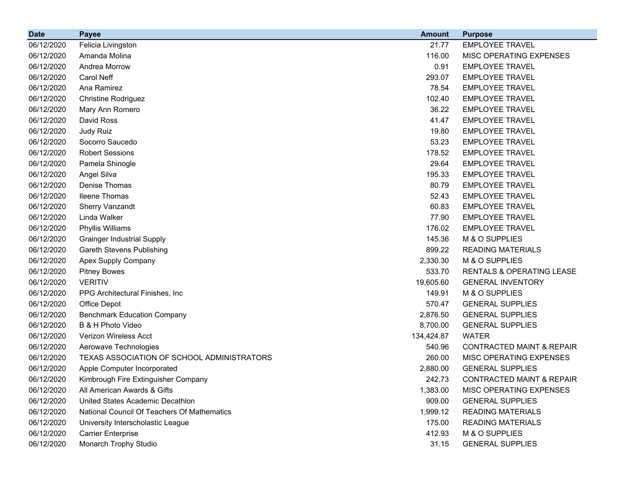| <b>Date</b> | <b>Payee</b>                                | <b>Amount</b> | <b>Purpose</b>                       |
|-------------|---------------------------------------------|---------------|--------------------------------------|
| 06/12/2020  | Felicia Livingston                          | 21.77         | <b>EMPLOYEE TRAVEL</b>               |
| 06/12/2020  | Amanda Molina                               | 116.00        | MISC OPERATING EXPENSES              |
| 06/12/2020  | Andrea Morrow                               | 0.91          | <b>EMPLOYEE TRAVEL</b>               |
| 06/12/2020  | Carol Neff                                  | 293.07        | <b>EMPLOYEE TRAVEL</b>               |
| 06/12/2020  | Ana Ramirez                                 | 78.54         | <b>EMPLOYEE TRAVEL</b>               |
| 06/12/2020  | <b>Christine Rodriguez</b>                  | 102.40        | <b>EMPLOYEE TRAVEL</b>               |
| 06/12/2020  | Mary Ann Romero                             | 36.22         | <b>EMPLOYEE TRAVEL</b>               |
| 06/12/2020  | David Ross                                  | 41.47         | <b>EMPLOYEE TRAVEL</b>               |
| 06/12/2020  | Judy Ruiz                                   | 19.80         | <b>EMPLOYEE TRAVEL</b>               |
| 06/12/2020  | Socorro Saucedo                             | 53.23         | <b>EMPLOYEE TRAVEL</b>               |
| 06/12/2020  | <b>Robert Sessions</b>                      | 178.52        | <b>EMPLOYEE TRAVEL</b>               |
| 06/12/2020  | Pamela Shinogle                             | 29.64         | <b>EMPLOYEE TRAVEL</b>               |
| 06/12/2020  | Angel Silva                                 | 195.33        | <b>EMPLOYEE TRAVEL</b>               |
| 06/12/2020  | Denise Thomas                               | 80.79         | <b>EMPLOYEE TRAVEL</b>               |
| 06/12/2020  | <b>Ileene Thomas</b>                        | 52.43         | <b>EMPLOYEE TRAVEL</b>               |
| 06/12/2020  | <b>Sherry Vanzandt</b>                      | 60.83         | <b>EMPLOYEE TRAVEL</b>               |
| 06/12/2020  | Linda Walker                                | 77.90         | <b>EMPLOYEE TRAVEL</b>               |
| 06/12/2020  | Phyllis Williams                            | 176.02        | <b>EMPLOYEE TRAVEL</b>               |
| 06/12/2020  | <b>Grainger Industrial Supply</b>           | 145.36        | M & O SUPPLIES                       |
| 06/12/2020  | <b>Gareth Stevens Publishing</b>            | 899.22        | <b>READING MATERIALS</b>             |
| 06/12/2020  | Apex Supply Company                         | 2,330.30      | M & O SUPPLIES                       |
| 06/12/2020  | <b>Pitney Bowes</b>                         | 533.70        | RENTALS & OPERATING LEASE            |
| 06/12/2020  | <b>VERITIV</b>                              | 19,605.60     | <b>GENERAL INVENTORY</b>             |
| 06/12/2020  | PPG Architectural Finishes, Inc.            | 149.91        | M & O SUPPLIES                       |
| 06/12/2020  | Office Depot                                | 570.47        | <b>GENERAL SUPPLIES</b>              |
| 06/12/2020  | <b>Benchmark Education Company</b>          | 2,876.50      | <b>GENERAL SUPPLIES</b>              |
| 06/12/2020  | B & H Photo Video                           | 8,700.00      | <b>GENERAL SUPPLIES</b>              |
| 06/12/2020  | Verizon Wireless Acct                       | 134,424.87    | <b>WATER</b>                         |
| 06/12/2020  | Aerowave Technologies                       | 540.96        | <b>CONTRACTED MAINT &amp; REPAIR</b> |
| 06/12/2020  | TEXAS ASSOCIATION OF SCHOOL ADMINISTRATORS  | 260.00        | MISC OPERATING EXPENSES              |
| 06/12/2020  | Apple Computer Incorporated                 | 2,880.00      | <b>GENERAL SUPPLIES</b>              |
| 06/12/2020  | Kimbrough Fire Extinguisher Company         | 242.73        | CONTRACTED MAINT & REPAIR            |
| 06/12/2020  | All American Awards & Gifts                 | 1,383.00      | MISC OPERATING EXPENSES              |
| 06/12/2020  | United States Academic Decathlon            | 909.00        | <b>GENERAL SUPPLIES</b>              |
| 06/12/2020  | National Council Of Teachers Of Mathematics | 1,999.12      | <b>READING MATERIALS</b>             |
| 06/12/2020  | University Interscholastic League           | 175.00        | <b>READING MATERIALS</b>             |
| 06/12/2020  | <b>Carrier Enterprise</b>                   | 412.93        | M & O SUPPLIES                       |
| 06/12/2020  | Monarch Trophy Studio                       | 31.15         | <b>GENERAL SUPPLIES</b>              |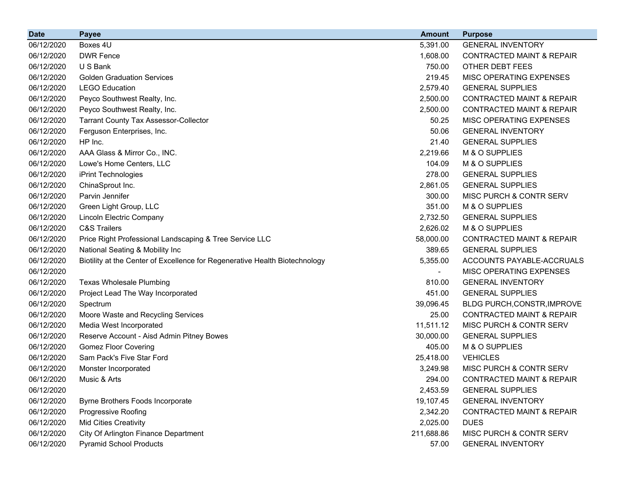| <b>Date</b> | <b>Payee</b>                                                                | <b>Amount</b> | <b>Purpose</b>                       |
|-------------|-----------------------------------------------------------------------------|---------------|--------------------------------------|
| 06/12/2020  | Boxes 4U                                                                    | 5,391.00      | <b>GENERAL INVENTORY</b>             |
| 06/12/2020  | <b>DWR Fence</b>                                                            | 1,608.00      | <b>CONTRACTED MAINT &amp; REPAIR</b> |
| 06/12/2020  | U S Bank                                                                    | 750.00        | OTHER DEBT FEES                      |
| 06/12/2020  | <b>Golden Graduation Services</b>                                           | 219.45        | MISC OPERATING EXPENSES              |
| 06/12/2020  | <b>LEGO Education</b>                                                       | 2,579.40      | <b>GENERAL SUPPLIES</b>              |
| 06/12/2020  | Peyco Southwest Realty, Inc.                                                | 2,500.00      | <b>CONTRACTED MAINT &amp; REPAIR</b> |
| 06/12/2020  | Peyco Southwest Realty, Inc.                                                | 2,500.00      | <b>CONTRACTED MAINT &amp; REPAIR</b> |
| 06/12/2020  | <b>Tarrant County Tax Assessor-Collector</b>                                | 50.25         | <b>MISC OPERATING EXPENSES</b>       |
| 06/12/2020  | Ferguson Enterprises, Inc.                                                  | 50.06         | <b>GENERAL INVENTORY</b>             |
| 06/12/2020  | HP Inc.                                                                     | 21.40         | <b>GENERAL SUPPLIES</b>              |
| 06/12/2020  | AAA Glass & Mirror Co., INC.                                                | 2,219.66      | M & O SUPPLIES                       |
| 06/12/2020  | Lowe's Home Centers, LLC                                                    | 104.09        | M & O SUPPLIES                       |
| 06/12/2020  | iPrint Technologies                                                         | 278.00        | <b>GENERAL SUPPLIES</b>              |
| 06/12/2020  | ChinaSprout Inc.                                                            | 2,861.05      | <b>GENERAL SUPPLIES</b>              |
| 06/12/2020  | Parvin Jennifer                                                             | 300.00        | <b>MISC PURCH &amp; CONTR SERV</b>   |
| 06/12/2020  | Green Light Group, LLC                                                      | 351.00        | M & O SUPPLIES                       |
| 06/12/2020  | Lincoln Electric Company                                                    | 2,732.50      | <b>GENERAL SUPPLIES</b>              |
| 06/12/2020  | <b>C&amp;S Trailers</b>                                                     | 2,626.02      | M & O SUPPLIES                       |
| 06/12/2020  | Price Right Professional Landscaping & Tree Service LLC                     | 58,000.00     | <b>CONTRACTED MAINT &amp; REPAIR</b> |
| 06/12/2020  | National Seating & Mobility Inc                                             | 389.65        | <b>GENERAL SUPPLIES</b>              |
| 06/12/2020  | Biotility at the Center of Excellence for Regenerative Health Biotechnology | 5,355.00      | ACCOUNTS PAYABLE-ACCRUALS            |
| 06/12/2020  |                                                                             |               | MISC OPERATING EXPENSES              |
| 06/12/2020  | <b>Texas Wholesale Plumbing</b>                                             | 810.00        | <b>GENERAL INVENTORY</b>             |
| 06/12/2020  | Project Lead The Way Incorporated                                           | 451.00        | <b>GENERAL SUPPLIES</b>              |
| 06/12/2020  | Spectrum                                                                    | 39,096.45     | BLDG PURCH, CONSTR, IMPROVE          |
| 06/12/2020  | Moore Waste and Recycling Services                                          | 25.00         | <b>CONTRACTED MAINT &amp; REPAIR</b> |
| 06/12/2020  | Media West Incorporated                                                     | 11,511.12     | MISC PURCH & CONTR SERV              |
| 06/12/2020  | Reserve Account - Aisd Admin Pitney Bowes                                   | 30,000.00     | <b>GENERAL SUPPLIES</b>              |
| 06/12/2020  | <b>Gomez Floor Covering</b>                                                 | 405.00        | M & O SUPPLIES                       |
| 06/12/2020  | Sam Pack's Five Star Ford                                                   | 25,418.00     | <b>VEHICLES</b>                      |
| 06/12/2020  | Monster Incorporated                                                        | 3,249.98      | MISC PURCH & CONTR SERV              |
| 06/12/2020  | Music & Arts                                                                | 294.00        | CONTRACTED MAINT & REPAIR            |
| 06/12/2020  |                                                                             | 2,453.59      | <b>GENERAL SUPPLIES</b>              |
| 06/12/2020  | Byrne Brothers Foods Incorporate                                            | 19,107.45     | <b>GENERAL INVENTORY</b>             |
| 06/12/2020  | Progressive Roofing                                                         | 2,342.20      | <b>CONTRACTED MAINT &amp; REPAIR</b> |
| 06/12/2020  | <b>Mid Cities Creativity</b>                                                | 2,025.00      | <b>DUES</b>                          |
| 06/12/2020  | City Of Arlington Finance Department                                        | 211,688.86    | MISC PURCH & CONTR SERV              |
| 06/12/2020  | <b>Pyramid School Products</b>                                              | 57.00         | <b>GENERAL INVENTORY</b>             |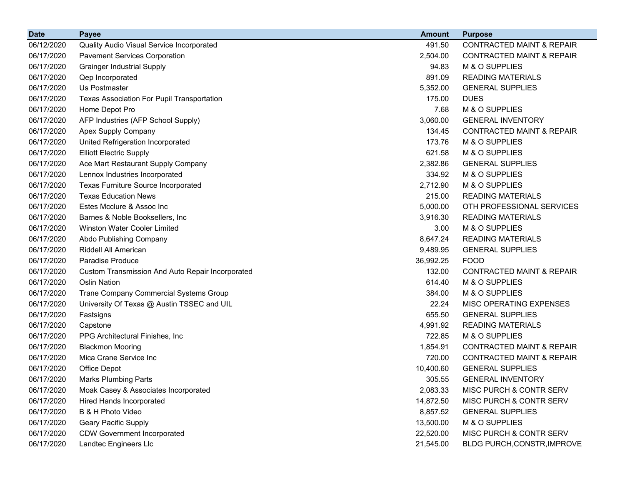| <b>Date</b> | <b>Payee</b>                                      | <b>Amount</b> | <b>Purpose</b>                       |
|-------------|---------------------------------------------------|---------------|--------------------------------------|
| 06/12/2020  | Quality Audio Visual Service Incorporated         | 491.50        | <b>CONTRACTED MAINT &amp; REPAIR</b> |
| 06/17/2020  | <b>Pavement Services Corporation</b>              | 2,504.00      | <b>CONTRACTED MAINT &amp; REPAIR</b> |
| 06/17/2020  | <b>Grainger Industrial Supply</b>                 | 94.83         | M & O SUPPLIES                       |
| 06/17/2020  | Qep Incorporated                                  | 891.09        | <b>READING MATERIALS</b>             |
| 06/17/2020  | Us Postmaster                                     | 5,352.00      | <b>GENERAL SUPPLIES</b>              |
| 06/17/2020  | <b>Texas Association For Pupil Transportation</b> | 175.00        | <b>DUES</b>                          |
| 06/17/2020  | Home Depot Pro                                    | 7.68          | M & O SUPPLIES                       |
| 06/17/2020  | AFP Industries (AFP School Supply)                | 3,060.00      | <b>GENERAL INVENTORY</b>             |
| 06/17/2020  | Apex Supply Company                               | 134.45        | <b>CONTRACTED MAINT &amp; REPAIR</b> |
| 06/17/2020  | United Refrigeration Incorporated                 | 173.76        | M & O SUPPLIES                       |
| 06/17/2020  | <b>Elliott Electric Supply</b>                    | 621.58        | M & O SUPPLIES                       |
| 06/17/2020  | Ace Mart Restaurant Supply Company                | 2,382.86      | <b>GENERAL SUPPLIES</b>              |
| 06/17/2020  | Lennox Industries Incorporated                    | 334.92        | M & O SUPPLIES                       |
| 06/17/2020  | <b>Texas Furniture Source Incorporated</b>        | 2,712.90      | M & O SUPPLIES                       |
| 06/17/2020  | <b>Texas Education News</b>                       | 215.00        | <b>READING MATERIALS</b>             |
| 06/17/2020  | Estes Mcclure & Assoc Inc                         | 5,000.00      | OTH PROFESSIONAL SERVICES            |
| 06/17/2020  | Barnes & Noble Booksellers, Inc                   | 3,916.30      | <b>READING MATERIALS</b>             |
| 06/17/2020  | <b>Winston Water Cooler Limited</b>               | 3.00          | M & O SUPPLIES                       |
| 06/17/2020  | Abdo Publishing Company                           | 8,647.24      | <b>READING MATERIALS</b>             |
| 06/17/2020  | Riddell All American                              | 9,489.95      | <b>GENERAL SUPPLIES</b>              |
| 06/17/2020  | Paradise Produce                                  | 36,992.25     | <b>FOOD</b>                          |
| 06/17/2020  | Custom Transmission And Auto Repair Incorporated  | 132.00        | <b>CONTRACTED MAINT &amp; REPAIR</b> |
| 06/17/2020  | <b>Oslin Nation</b>                               | 614.40        | M & O SUPPLIES                       |
| 06/17/2020  | Trane Company Commercial Systems Group            | 384.00        | M & O SUPPLIES                       |
| 06/17/2020  | University Of Texas @ Austin TSSEC and UIL        | 22.24         | MISC OPERATING EXPENSES              |
| 06/17/2020  | Fastsigns                                         | 655.50        | <b>GENERAL SUPPLIES</b>              |
| 06/17/2020  | Capstone                                          | 4,991.92      | <b>READING MATERIALS</b>             |
| 06/17/2020  | PPG Architectural Finishes, Inc.                  | 722.85        | M & O SUPPLIES                       |
| 06/17/2020  | <b>Blackmon Mooring</b>                           | 1,854.91      | <b>CONTRACTED MAINT &amp; REPAIR</b> |
| 06/17/2020  | Mica Crane Service Inc                            | 720.00        | <b>CONTRACTED MAINT &amp; REPAIR</b> |
| 06/17/2020  | Office Depot                                      | 10,400.60     | <b>GENERAL SUPPLIES</b>              |
| 06/17/2020  | <b>Marks Plumbing Parts</b>                       | 305.55        | <b>GENERAL INVENTORY</b>             |
| 06/17/2020  | Moak Casey & Associates Incorporated              | 2,083.33      | MISC PURCH & CONTR SERV              |
| 06/17/2020  | Hired Hands Incorporated                          | 14,872.50     | MISC PURCH & CONTR SERV              |
| 06/17/2020  | B & H Photo Video                                 | 8,857.52      | <b>GENERAL SUPPLIES</b>              |
| 06/17/2020  | <b>Geary Pacific Supply</b>                       | 13,500.00     | M & O SUPPLIES                       |
| 06/17/2020  | <b>CDW Government Incorporated</b>                | 22,520.00     | MISC PURCH & CONTR SERV              |
| 06/17/2020  | Landtec Engineers Llc                             | 21,545.00     | BLDG PURCH, CONSTR, IMPROVE          |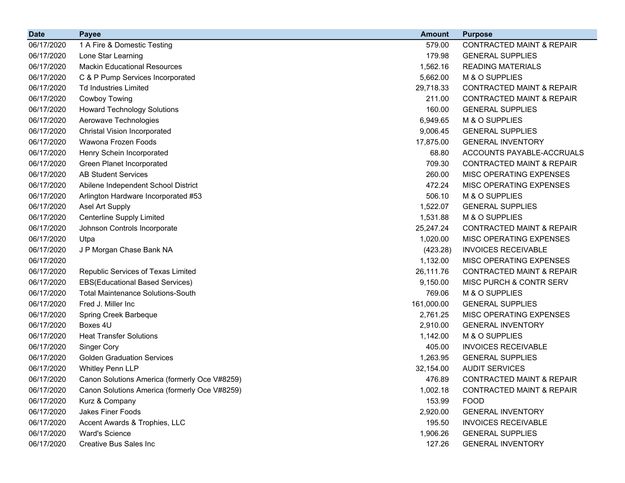| <b>Date</b> | <b>Payee</b>                                  | <b>Amount</b> | <b>Purpose</b>                       |
|-------------|-----------------------------------------------|---------------|--------------------------------------|
| 06/17/2020  | 1 A Fire & Domestic Testing                   | 579.00        | <b>CONTRACTED MAINT &amp; REPAIR</b> |
| 06/17/2020  | Lone Star Learning                            | 179.98        | <b>GENERAL SUPPLIES</b>              |
| 06/17/2020  | <b>Mackin Educational Resources</b>           | 1,562.16      | <b>READING MATERIALS</b>             |
| 06/17/2020  | C & P Pump Services Incorporated              | 5,662.00      | M & O SUPPLIES                       |
| 06/17/2020  | <b>Td Industries Limited</b>                  | 29,718.33     | <b>CONTRACTED MAINT &amp; REPAIR</b> |
| 06/17/2020  | <b>Cowboy Towing</b>                          | 211.00        | <b>CONTRACTED MAINT &amp; REPAIR</b> |
| 06/17/2020  | <b>Howard Technology Solutions</b>            | 160.00        | <b>GENERAL SUPPLIES</b>              |
| 06/17/2020  | Aerowave Technologies                         | 6,949.65      | M & O SUPPLIES                       |
| 06/17/2020  | <b>Christal Vision Incorporated</b>           | 9,006.45      | <b>GENERAL SUPPLIES</b>              |
| 06/17/2020  | Wawona Frozen Foods                           | 17,875.00     | <b>GENERAL INVENTORY</b>             |
| 06/17/2020  | Henry Schein Incorporated                     | 68.80         | ACCOUNTS PAYABLE-ACCRUALS            |
| 06/17/2020  | Green Planet Incorporated                     | 709.30        | <b>CONTRACTED MAINT &amp; REPAIR</b> |
| 06/17/2020  | <b>AB Student Services</b>                    | 260.00        | MISC OPERATING EXPENSES              |
| 06/17/2020  | Abilene Independent School District           | 472.24        | MISC OPERATING EXPENSES              |
| 06/17/2020  | Arlington Hardware Incorporated #53           | 506.10        | M & O SUPPLIES                       |
| 06/17/2020  | Asel Art Supply                               | 1,522.07      | <b>GENERAL SUPPLIES</b>              |
| 06/17/2020  | <b>Centerline Supply Limited</b>              | 1,531.88      | M & O SUPPLIES                       |
| 06/17/2020  | Johnson Controls Incorporate                  | 25,247.24     | <b>CONTRACTED MAINT &amp; REPAIR</b> |
| 06/17/2020  | Utpa                                          | 1,020.00      | <b>MISC OPERATING EXPENSES</b>       |
| 06/17/2020  | J P Morgan Chase Bank NA                      | (423.28)      | <b>INVOICES RECEIVABLE</b>           |
| 06/17/2020  |                                               | 1,132.00      | MISC OPERATING EXPENSES              |
| 06/17/2020  | Republic Services of Texas Limited            | 26,111.76     | <b>CONTRACTED MAINT &amp; REPAIR</b> |
| 06/17/2020  | <b>EBS(Educational Based Services)</b>        | 9,150.00      | MISC PURCH & CONTR SERV              |
| 06/17/2020  | <b>Total Maintenance Solutions-South</b>      | 769.06        | M & O SUPPLIES                       |
| 06/17/2020  | Fred J. Miller Inc                            | 161,000.00    | <b>GENERAL SUPPLIES</b>              |
| 06/17/2020  | Spring Creek Barbeque                         | 2,761.25      | MISC OPERATING EXPENSES              |
| 06/17/2020  | Boxes 4U                                      | 2,910.00      | <b>GENERAL INVENTORY</b>             |
| 06/17/2020  | <b>Heat Transfer Solutions</b>                | 1,142.00      | M & O SUPPLIES                       |
| 06/17/2020  | Singer Cory                                   | 405.00        | <b>INVOICES RECEIVABLE</b>           |
| 06/17/2020  | <b>Golden Graduation Services</b>             | 1,263.95      | <b>GENERAL SUPPLIES</b>              |
| 06/17/2020  | <b>Whitley Penn LLP</b>                       | 32,154.00     | <b>AUDIT SERVICES</b>                |
| 06/17/2020  | Canon Solutions America (formerly Oce V#8259) | 476.89        | <b>CONTRACTED MAINT &amp; REPAIR</b> |
| 06/17/2020  | Canon Solutions America (formerly Oce V#8259) | 1,002.18      | <b>CONTRACTED MAINT &amp; REPAIR</b> |
| 06/17/2020  | Kurz & Company                                | 153.99        | <b>FOOD</b>                          |
| 06/17/2020  | Jakes Finer Foods                             | 2,920.00      | <b>GENERAL INVENTORY</b>             |
| 06/17/2020  | Accent Awards & Trophies, LLC                 | 195.50        | <b>INVOICES RECEIVABLE</b>           |
| 06/17/2020  | <b>Ward's Science</b>                         | 1,906.26      | <b>GENERAL SUPPLIES</b>              |
| 06/17/2020  | Creative Bus Sales Inc                        | 127.26        | <b>GENERAL INVENTORY</b>             |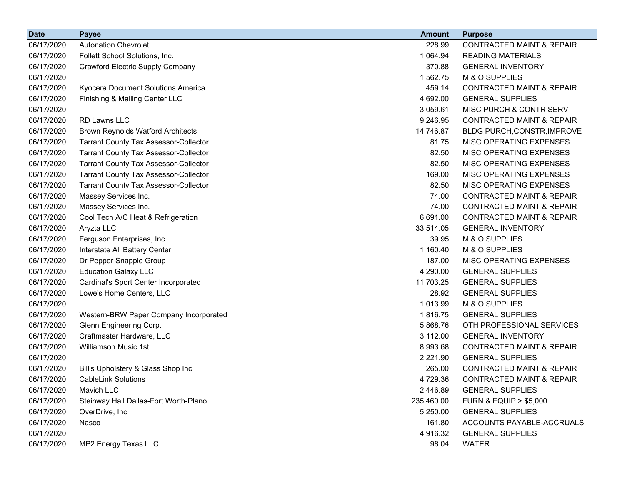| <b>Date</b> | <b>Payee</b>                                 | <b>Amount</b> | <b>Purpose</b>                       |
|-------------|----------------------------------------------|---------------|--------------------------------------|
| 06/17/2020  | <b>Autonation Chevrolet</b>                  | 228.99        | <b>CONTRACTED MAINT &amp; REPAIR</b> |
| 06/17/2020  | Follett School Solutions, Inc.               | 1,064.94      | <b>READING MATERIALS</b>             |
| 06/17/2020  | <b>Crawford Electric Supply Company</b>      | 370.88        | <b>GENERAL INVENTORY</b>             |
| 06/17/2020  |                                              | 1,562.75      | M & O SUPPLIES                       |
| 06/17/2020  | Kyocera Document Solutions America           | 459.14        | <b>CONTRACTED MAINT &amp; REPAIR</b> |
| 06/17/2020  | Finishing & Mailing Center LLC               | 4,692.00      | <b>GENERAL SUPPLIES</b>              |
| 06/17/2020  |                                              | 3,059.61      | MISC PURCH & CONTR SERV              |
| 06/17/2020  | <b>RD Lawns LLC</b>                          | 9,246.95      | <b>CONTRACTED MAINT &amp; REPAIR</b> |
| 06/17/2020  | <b>Brown Reynolds Watford Architects</b>     | 14,746.87     | BLDG PURCH, CONSTR, IMPROVE          |
| 06/17/2020  | <b>Tarrant County Tax Assessor-Collector</b> | 81.75         | MISC OPERATING EXPENSES              |
| 06/17/2020  | <b>Tarrant County Tax Assessor-Collector</b> | 82.50         | MISC OPERATING EXPENSES              |
| 06/17/2020  | <b>Tarrant County Tax Assessor-Collector</b> | 82.50         | MISC OPERATING EXPENSES              |
| 06/17/2020  | <b>Tarrant County Tax Assessor-Collector</b> | 169.00        | MISC OPERATING EXPENSES              |
| 06/17/2020  | <b>Tarrant County Tax Assessor-Collector</b> | 82.50         | MISC OPERATING EXPENSES              |
| 06/17/2020  | Massey Services Inc.                         | 74.00         | <b>CONTRACTED MAINT &amp; REPAIR</b> |
| 06/17/2020  | Massey Services Inc.                         | 74.00         | <b>CONTRACTED MAINT &amp; REPAIR</b> |
| 06/17/2020  | Cool Tech A/C Heat & Refrigeration           | 6,691.00      | <b>CONTRACTED MAINT &amp; REPAIR</b> |
| 06/17/2020  | Aryzta LLC                                   | 33,514.05     | <b>GENERAL INVENTORY</b>             |
| 06/17/2020  | Ferguson Enterprises, Inc.                   | 39.95         | M & O SUPPLIES                       |
| 06/17/2020  | Interstate All Battery Center                | 1,160.40      | M & O SUPPLIES                       |
| 06/17/2020  | Dr Pepper Snapple Group                      | 187.00        | MISC OPERATING EXPENSES              |
| 06/17/2020  | <b>Education Galaxy LLC</b>                  | 4,290.00      | <b>GENERAL SUPPLIES</b>              |
| 06/17/2020  | Cardinal's Sport Center Incorporated         | 11,703.25     | <b>GENERAL SUPPLIES</b>              |
| 06/17/2020  | Lowe's Home Centers, LLC                     | 28.92         | <b>GENERAL SUPPLIES</b>              |
| 06/17/2020  |                                              | 1,013.99      | M & O SUPPLIES                       |
| 06/17/2020  | Western-BRW Paper Company Incorporated       | 1,816.75      | <b>GENERAL SUPPLIES</b>              |
| 06/17/2020  | Glenn Engineering Corp.                      | 5,868.76      | OTH PROFESSIONAL SERVICES            |
| 06/17/2020  | Craftmaster Hardware, LLC                    | 3,112.00      | <b>GENERAL INVENTORY</b>             |
| 06/17/2020  | Williamson Music 1st                         | 8,993.68      | <b>CONTRACTED MAINT &amp; REPAIR</b> |
| 06/17/2020  |                                              | 2,221.90      | <b>GENERAL SUPPLIES</b>              |
| 06/17/2020  | Bill's Upholstery & Glass Shop Inc           | 265.00        | <b>CONTRACTED MAINT &amp; REPAIR</b> |
| 06/17/2020  | <b>CableLink Solutions</b>                   | 4,729.36      | <b>CONTRACTED MAINT &amp; REPAIR</b> |
| 06/17/2020  | Mavich LLC                                   | 2,446.89      | <b>GENERAL SUPPLIES</b>              |
| 06/17/2020  | Steinway Hall Dallas-Fort Worth-Plano        | 235,460.00    | <b>FURN &amp; EQUIP &gt; \$5,000</b> |
| 06/17/2020  | OverDrive, Inc.                              | 5,250.00      | <b>GENERAL SUPPLIES</b>              |
| 06/17/2020  | Nasco                                        | 161.80        | ACCOUNTS PAYABLE-ACCRUALS            |
| 06/17/2020  |                                              | 4,916.32      | <b>GENERAL SUPPLIES</b>              |
| 06/17/2020  | MP2 Energy Texas LLC                         | 98.04         | <b>WATER</b>                         |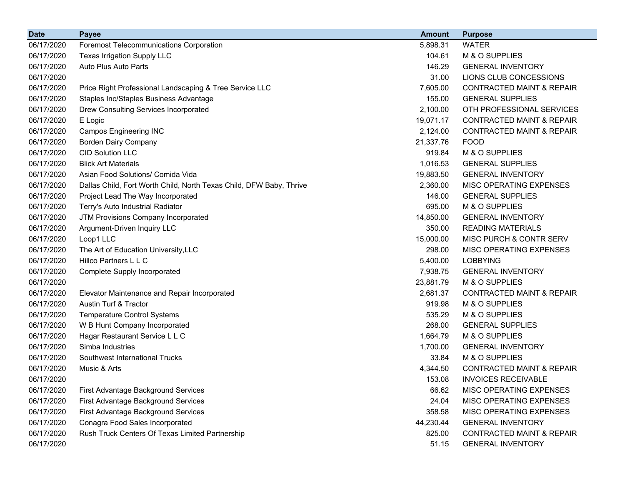| <b>Date</b> | <b>Payee</b>                                                        | <b>Amount</b> | <b>Purpose</b>                       |
|-------------|---------------------------------------------------------------------|---------------|--------------------------------------|
| 06/17/2020  | <b>Foremost Telecommunications Corporation</b>                      | 5,898.31      | <b>WATER</b>                         |
| 06/17/2020  | <b>Texas Irrigation Supply LLC</b>                                  | 104.61        | M & O SUPPLIES                       |
| 06/17/2020  | Auto Plus Auto Parts                                                | 146.29        | <b>GENERAL INVENTORY</b>             |
| 06/17/2020  |                                                                     | 31.00         | LIONS CLUB CONCESSIONS               |
| 06/17/2020  | Price Right Professional Landscaping & Tree Service LLC             | 7,605.00      | <b>CONTRACTED MAINT &amp; REPAIR</b> |
| 06/17/2020  | Staples Inc/Staples Business Advantage                              | 155.00        | <b>GENERAL SUPPLIES</b>              |
| 06/17/2020  | Drew Consulting Services Incorporated                               | 2,100.00      | OTH PROFESSIONAL SERVICES            |
| 06/17/2020  | E Logic                                                             | 19,071.17     | <b>CONTRACTED MAINT &amp; REPAIR</b> |
| 06/17/2020  | <b>Campos Engineering INC</b>                                       | 2,124.00      | <b>CONTRACTED MAINT &amp; REPAIR</b> |
| 06/17/2020  | <b>Borden Dairy Company</b>                                         | 21,337.76     | <b>FOOD</b>                          |
| 06/17/2020  | <b>CID Solution LLC</b>                                             | 919.84        | M & O SUPPLIES                       |
| 06/17/2020  | <b>Blick Art Materials</b>                                          | 1,016.53      | <b>GENERAL SUPPLIES</b>              |
| 06/17/2020  | Asian Food Solutions/ Comida Vida                                   | 19,883.50     | <b>GENERAL INVENTORY</b>             |
| 06/17/2020  | Dallas Child, Fort Worth Child, North Texas Child, DFW Baby, Thrive | 2,360.00      | MISC OPERATING EXPENSES              |
| 06/17/2020  | Project Lead The Way Incorporated                                   | 146.00        | <b>GENERAL SUPPLIES</b>              |
| 06/17/2020  | Terry's Auto Industrial Radiator                                    | 695.00        | M & O SUPPLIES                       |
| 06/17/2020  | JTM Provisions Company Incorporated                                 | 14,850.00     | <b>GENERAL INVENTORY</b>             |
| 06/17/2020  | Argument-Driven Inquiry LLC                                         | 350.00        | <b>READING MATERIALS</b>             |
| 06/17/2020  | Loop1 LLC                                                           | 15,000.00     | MISC PURCH & CONTR SERV              |
| 06/17/2020  | The Art of Education University, LLC                                | 298.00        | MISC OPERATING EXPENSES              |
| 06/17/2020  | Hillco Partners L L C                                               | 5,400.00      | <b>LOBBYING</b>                      |
| 06/17/2020  | Complete Supply Incorporated                                        | 7,938.75      | <b>GENERAL INVENTORY</b>             |
| 06/17/2020  |                                                                     | 23,881.79     | M & O SUPPLIES                       |
| 06/17/2020  | Elevator Maintenance and Repair Incorporated                        | 2,681.37      | <b>CONTRACTED MAINT &amp; REPAIR</b> |
| 06/17/2020  | Austin Turf & Tractor                                               | 919.98        | M & O SUPPLIES                       |
| 06/17/2020  | <b>Temperature Control Systems</b>                                  | 535.29        | M & O SUPPLIES                       |
| 06/17/2020  | W B Hunt Company Incorporated                                       | 268.00        | <b>GENERAL SUPPLIES</b>              |
| 06/17/2020  | Hagar Restaurant Service L L C                                      | 1,664.79      | M & O SUPPLIES                       |
| 06/17/2020  | Simba Industries                                                    | 1,700.00      | <b>GENERAL INVENTORY</b>             |
| 06/17/2020  | Southwest International Trucks                                      | 33.84         | M & O SUPPLIES                       |
| 06/17/2020  | Music & Arts                                                        | 4,344.50      | <b>CONTRACTED MAINT &amp; REPAIR</b> |
| 06/17/2020  |                                                                     | 153.08        | <b>INVOICES RECEIVABLE</b>           |
| 06/17/2020  | First Advantage Background Services                                 | 66.62         | MISC OPERATING EXPENSES              |
| 06/17/2020  | First Advantage Background Services                                 | 24.04         | MISC OPERATING EXPENSES              |
| 06/17/2020  | First Advantage Background Services                                 | 358.58        | MISC OPERATING EXPENSES              |
| 06/17/2020  | Conagra Food Sales Incorporated                                     | 44,230.44     | <b>GENERAL INVENTORY</b>             |
| 06/17/2020  | Rush Truck Centers Of Texas Limited Partnership                     | 825.00        | <b>CONTRACTED MAINT &amp; REPAIR</b> |
| 06/17/2020  |                                                                     | 51.15         | <b>GENERAL INVENTORY</b>             |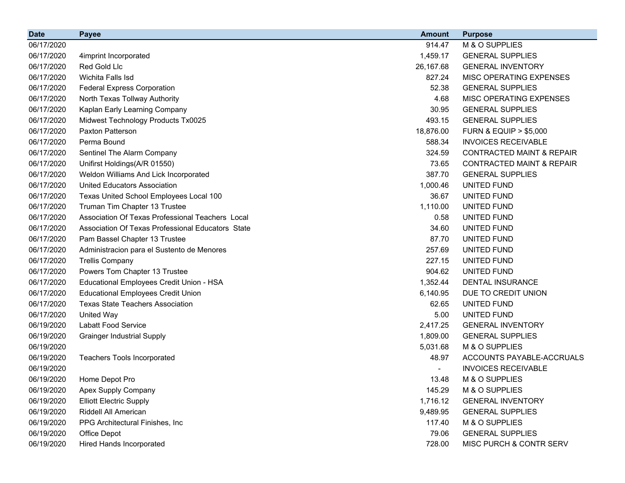| <b>Date</b> | <b>Payee</b>                                      | <b>Amount</b> | <b>Purpose</b>                       |
|-------------|---------------------------------------------------|---------------|--------------------------------------|
| 06/17/2020  |                                                   | 914.47        | M & O SUPPLIES                       |
| 06/17/2020  | 4imprint Incorporated                             | 1,459.17      | <b>GENERAL SUPPLIES</b>              |
| 06/17/2020  | Red Gold Llc                                      | 26,167.68     | <b>GENERAL INVENTORY</b>             |
| 06/17/2020  | Wichita Falls Isd                                 | 827.24        | MISC OPERATING EXPENSES              |
| 06/17/2020  | <b>Federal Express Corporation</b>                | 52.38         | <b>GENERAL SUPPLIES</b>              |
| 06/17/2020  | North Texas Tollway Authority                     | 4.68          | MISC OPERATING EXPENSES              |
| 06/17/2020  | Kaplan Early Learning Company                     | 30.95         | <b>GENERAL SUPPLIES</b>              |
| 06/17/2020  | Midwest Technology Products Tx0025                | 493.15        | <b>GENERAL SUPPLIES</b>              |
| 06/17/2020  | <b>Paxton Patterson</b>                           | 18,876.00     | <b>FURN &amp; EQUIP &gt; \$5,000</b> |
| 06/17/2020  | Perma Bound                                       | 588.34        | <b>INVOICES RECEIVABLE</b>           |
| 06/17/2020  | Sentinel The Alarm Company                        | 324.59        | <b>CONTRACTED MAINT &amp; REPAIR</b> |
| 06/17/2020  | Unifirst Holdings(A/R 01550)                      | 73.65         | <b>CONTRACTED MAINT &amp; REPAIR</b> |
| 06/17/2020  | Weldon Williams And Lick Incorporated             | 387.70        | <b>GENERAL SUPPLIES</b>              |
| 06/17/2020  | <b>United Educators Association</b>               | 1,000.46      | UNITED FUND                          |
| 06/17/2020  | Texas United School Employees Local 100           | 36.67         | UNITED FUND                          |
| 06/17/2020  | Truman Tim Chapter 13 Trustee                     | 1,110.00      | UNITED FUND                          |
| 06/17/2020  | Association Of Texas Professional Teachers Local  | 0.58          | UNITED FUND                          |
| 06/17/2020  | Association Of Texas Professional Educators State | 34.60         | UNITED FUND                          |
| 06/17/2020  | Pam Bassel Chapter 13 Trustee                     | 87.70         | UNITED FUND                          |
| 06/17/2020  | Administracion para el Sustento de Menores        | 257.69        | UNITED FUND                          |
| 06/17/2020  | <b>Trellis Company</b>                            | 227.15        | UNITED FUND                          |
| 06/17/2020  | Powers Tom Chapter 13 Trustee                     | 904.62        | UNITED FUND                          |
| 06/17/2020  | Educational Employees Credit Union - HSA          | 1,352.44      | <b>DENTAL INSURANCE</b>              |
| 06/17/2020  | <b>Educational Employees Credit Union</b>         | 6,140.95      | DUE TO CREDIT UNION                  |
| 06/17/2020  | <b>Texas State Teachers Association</b>           | 62.65         | UNITED FUND                          |
| 06/17/2020  | United Way                                        | 5.00          | UNITED FUND                          |
| 06/19/2020  | <b>Labatt Food Service</b>                        | 2,417.25      | <b>GENERAL INVENTORY</b>             |
| 06/19/2020  | <b>Grainger Industrial Supply</b>                 | 1,809.00      | <b>GENERAL SUPPLIES</b>              |
| 06/19/2020  |                                                   | 5,031.68      | M & O SUPPLIES                       |
| 06/19/2020  | <b>Teachers Tools Incorporated</b>                | 48.97         | ACCOUNTS PAYABLE-ACCRUALS            |
| 06/19/2020  |                                                   |               | <b>INVOICES RECEIVABLE</b>           |
| 06/19/2020  | Home Depot Pro                                    | 13.48         | M & O SUPPLIES                       |
| 06/19/2020  | Apex Supply Company                               | 145.29        | M & O SUPPLIES                       |
| 06/19/2020  | <b>Elliott Electric Supply</b>                    | 1,716.12      | <b>GENERAL INVENTORY</b>             |
| 06/19/2020  | Riddell All American                              | 9,489.95      | <b>GENERAL SUPPLIES</b>              |
| 06/19/2020  | PPG Architectural Finishes, Inc                   | 117.40        | M & O SUPPLIES                       |
| 06/19/2020  | Office Depot                                      | 79.06         | <b>GENERAL SUPPLIES</b>              |
| 06/19/2020  | Hired Hands Incorporated                          | 728.00        | MISC PURCH & CONTR SERV              |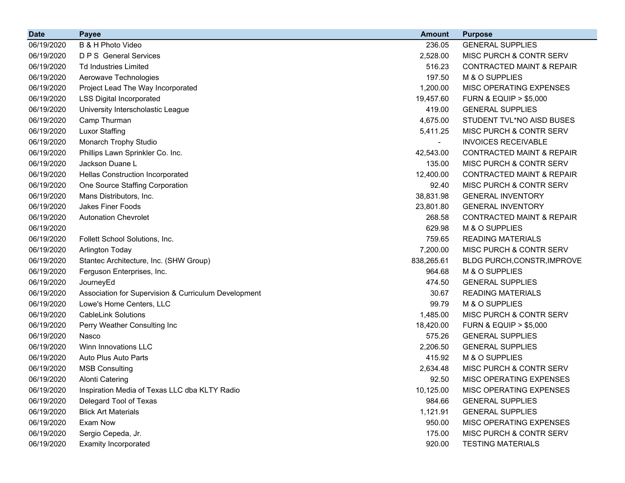| <b>Date</b> | <b>Payee</b>                                         | <b>Amount</b> | <b>Purpose</b>                       |
|-------------|------------------------------------------------------|---------------|--------------------------------------|
| 06/19/2020  | B & H Photo Video                                    | 236.05        | <b>GENERAL SUPPLIES</b>              |
| 06/19/2020  | <b>D P S</b> General Services                        | 2,528.00      | MISC PURCH & CONTR SERV              |
| 06/19/2020  | <b>Td Industries Limited</b>                         | 516.23        | <b>CONTRACTED MAINT &amp; REPAIR</b> |
| 06/19/2020  | Aerowave Technologies                                | 197.50        | M & O SUPPLIES                       |
| 06/19/2020  | Project Lead The Way Incorporated                    | 1,200.00      | MISC OPERATING EXPENSES              |
| 06/19/2020  | <b>LSS Digital Incorporated</b>                      | 19,457.60     | <b>FURN &amp; EQUIP &gt; \$5,000</b> |
| 06/19/2020  | University Interscholastic League                    | 419.00        | <b>GENERAL SUPPLIES</b>              |
| 06/19/2020  | Camp Thurman                                         | 4,675.00      | STUDENT TVL*NO AISD BUSES            |
| 06/19/2020  | <b>Luxor Staffing</b>                                | 5,411.25      | MISC PURCH & CONTR SERV              |
| 06/19/2020  | Monarch Trophy Studio                                |               | <b>INVOICES RECEIVABLE</b>           |
| 06/19/2020  | Phillips Lawn Sprinkler Co. Inc.                     | 42,543.00     | <b>CONTRACTED MAINT &amp; REPAIR</b> |
| 06/19/2020  | Jackson Duane L                                      | 135.00        | MISC PURCH & CONTR SERV              |
| 06/19/2020  | <b>Hellas Construction Incorporated</b>              | 12,400.00     | <b>CONTRACTED MAINT &amp; REPAIR</b> |
| 06/19/2020  | One Source Staffing Corporation                      | 92.40         | MISC PURCH & CONTR SERV              |
| 06/19/2020  | Mans Distributors, Inc.                              | 38,831.98     | <b>GENERAL INVENTORY</b>             |
| 06/19/2020  | <b>Jakes Finer Foods</b>                             | 23,801.80     | <b>GENERAL INVENTORY</b>             |
| 06/19/2020  | <b>Autonation Chevrolet</b>                          | 268.58        | <b>CONTRACTED MAINT &amp; REPAIR</b> |
| 06/19/2020  |                                                      | 629.98        | M & O SUPPLIES                       |
| 06/19/2020  | Follett School Solutions, Inc.                       | 759.65        | <b>READING MATERIALS</b>             |
| 06/19/2020  | <b>Arlington Today</b>                               | 7,200.00      | <b>MISC PURCH &amp; CONTR SERV</b>   |
| 06/19/2020  | Stantec Architecture, Inc. (SHW Group)               | 838,265.61    | BLDG PURCH, CONSTR, IMPROVE          |
| 06/19/2020  | Ferguson Enterprises, Inc.                           | 964.68        | M & O SUPPLIES                       |
| 06/19/2020  | JourneyEd                                            | 474.50        | <b>GENERAL SUPPLIES</b>              |
| 06/19/2020  | Association for Supervision & Curriculum Development | 30.67         | <b>READING MATERIALS</b>             |
| 06/19/2020  | Lowe's Home Centers, LLC                             | 99.79         | M & O SUPPLIES                       |
| 06/19/2020  | <b>CableLink Solutions</b>                           | 1,485.00      | MISC PURCH & CONTR SERV              |
| 06/19/2020  | Perry Weather Consulting Inc                         | 18,420.00     | <b>FURN &amp; EQUIP &gt; \$5,000</b> |
| 06/19/2020  | Nasco                                                | 575.26        | <b>GENERAL SUPPLIES</b>              |
| 06/19/2020  | Winn Innovations LLC                                 | 2,206.50      | <b>GENERAL SUPPLIES</b>              |
| 06/19/2020  | Auto Plus Auto Parts                                 | 415.92        | M & O SUPPLIES                       |
| 06/19/2020  | <b>MSB Consulting</b>                                | 2,634.48      | <b>MISC PURCH &amp; CONTR SERV</b>   |
| 06/19/2020  | <b>Alonti Catering</b>                               | 92.50         | MISC OPERATING EXPENSES              |
| 06/19/2020  | Inspiration Media of Texas LLC dba KLTY Radio        | 10,125.00     | MISC OPERATING EXPENSES              |
| 06/19/2020  | Delegard Tool of Texas                               | 984.66        | <b>GENERAL SUPPLIES</b>              |
| 06/19/2020  | <b>Blick Art Materials</b>                           | 1,121.91      | <b>GENERAL SUPPLIES</b>              |
| 06/19/2020  | Exam Now                                             | 950.00        | MISC OPERATING EXPENSES              |
| 06/19/2020  | Sergio Cepeda, Jr.                                   | 175.00        | MISC PURCH & CONTR SERV              |
| 06/19/2020  | Examity Incorporated                                 | 920.00        | <b>TESTING MATERIALS</b>             |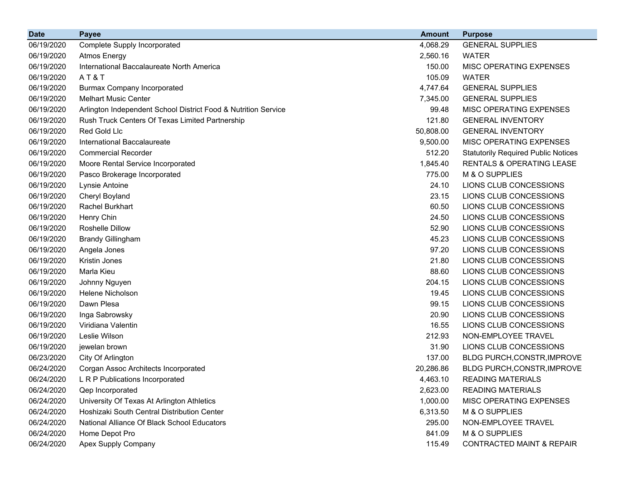| <b>Date</b> | <b>Payee</b>                                                   | <b>Amount</b> | <b>Purpose</b>                             |
|-------------|----------------------------------------------------------------|---------------|--------------------------------------------|
| 06/19/2020  | Complete Supply Incorporated                                   | 4,068.29      | <b>GENERAL SUPPLIES</b>                    |
| 06/19/2020  | <b>Atmos Energy</b>                                            | 2,560.16      | <b>WATER</b>                               |
| 06/19/2020  | International Baccalaureate North America                      | 150.00        | MISC OPERATING EXPENSES                    |
| 06/19/2020  | AT&T                                                           | 105.09        | <b>WATER</b>                               |
| 06/19/2020  | <b>Burmax Company Incorporated</b>                             | 4,747.64      | <b>GENERAL SUPPLIES</b>                    |
| 06/19/2020  | <b>Melhart Music Center</b>                                    | 7,345.00      | <b>GENERAL SUPPLIES</b>                    |
| 06/19/2020  | Arlington Independent School District Food & Nutrition Service | 99.48         | MISC OPERATING EXPENSES                    |
| 06/19/2020  | Rush Truck Centers Of Texas Limited Partnership                | 121.80        | <b>GENERAL INVENTORY</b>                   |
| 06/19/2020  | Red Gold Llc                                                   | 50,808.00     | <b>GENERAL INVENTORY</b>                   |
| 06/19/2020  | International Baccalaureate                                    | 9,500.00      | MISC OPERATING EXPENSES                    |
| 06/19/2020  | <b>Commercial Recorder</b>                                     | 512.20        | <b>Statutorily Required Public Notices</b> |
| 06/19/2020  | Moore Rental Service Incorporated                              | 1,845.40      | RENTALS & OPERATING LEASE                  |
| 06/19/2020  | Pasco Brokerage Incorporated                                   | 775.00        | M & O SUPPLIES                             |
| 06/19/2020  | Lynsie Antoine                                                 | 24.10         | LIONS CLUB CONCESSIONS                     |
| 06/19/2020  | Cheryl Boyland                                                 | 23.15         | LIONS CLUB CONCESSIONS                     |
| 06/19/2020  | Rachel Burkhart                                                | 60.50         | LIONS CLUB CONCESSIONS                     |
| 06/19/2020  | Henry Chin                                                     | 24.50         | LIONS CLUB CONCESSIONS                     |
| 06/19/2020  | <b>Roshelle Dillow</b>                                         | 52.90         | LIONS CLUB CONCESSIONS                     |
| 06/19/2020  | <b>Brandy Gillingham</b>                                       | 45.23         | LIONS CLUB CONCESSIONS                     |
| 06/19/2020  | Angela Jones                                                   | 97.20         | LIONS CLUB CONCESSIONS                     |
| 06/19/2020  | Kristin Jones                                                  | 21.80         | LIONS CLUB CONCESSIONS                     |
| 06/19/2020  | Marla Kieu                                                     | 88.60         | LIONS CLUB CONCESSIONS                     |
| 06/19/2020  | Johnny Nguyen                                                  | 204.15        | LIONS CLUB CONCESSIONS                     |
| 06/19/2020  | <b>Helene Nicholson</b>                                        | 19.45         | LIONS CLUB CONCESSIONS                     |
| 06/19/2020  | Dawn Plesa                                                     | 99.15         | LIONS CLUB CONCESSIONS                     |
| 06/19/2020  | Inga Sabrowsky                                                 | 20.90         | LIONS CLUB CONCESSIONS                     |
| 06/19/2020  | Viridiana Valentin                                             | 16.55         | LIONS CLUB CONCESSIONS                     |
| 06/19/2020  | Leslie Wilson                                                  | 212.93        | NON-EMPLOYEE TRAVEL                        |
| 06/19/2020  | jewelan brown                                                  | 31.90         | LIONS CLUB CONCESSIONS                     |
| 06/23/2020  | City Of Arlington                                              | 137.00        | BLDG PURCH, CONSTR, IMPROVE                |
| 06/24/2020  | Corgan Assoc Architects Incorporated                           | 20,286.86     | BLDG PURCH, CONSTR, IMPROVE                |
| 06/24/2020  | L R P Publications Incorporated                                | 4,463.10      | <b>READING MATERIALS</b>                   |
| 06/24/2020  | Qep Incorporated                                               | 2,623.00      | <b>READING MATERIALS</b>                   |
| 06/24/2020  | University Of Texas At Arlington Athletics                     | 1,000.00      | MISC OPERATING EXPENSES                    |
| 06/24/2020  | Hoshizaki South Central Distribution Center                    | 6,313.50      | M & O SUPPLIES                             |
| 06/24/2020  | National Alliance Of Black School Educators                    | 295.00        | NON-EMPLOYEE TRAVEL                        |
| 06/24/2020  | Home Depot Pro                                                 | 841.09        | M & O SUPPLIES                             |
| 06/24/2020  | Apex Supply Company                                            | 115.49        | <b>CONTRACTED MAINT &amp; REPAIR</b>       |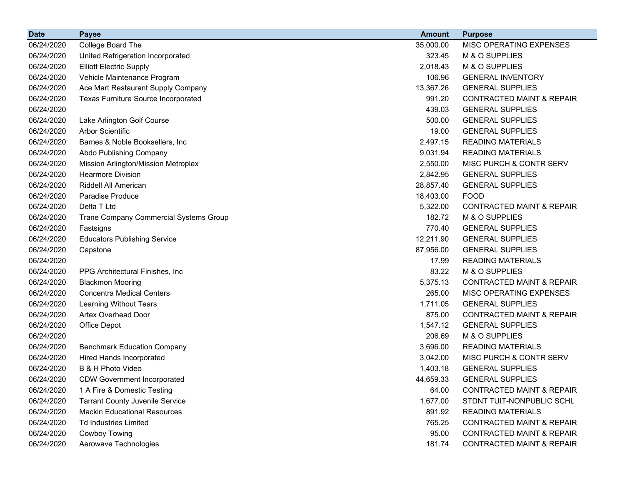| <b>Date</b> | <b>Payee</b>                               | <b>Amount</b> | <b>Purpose</b>                       |
|-------------|--------------------------------------------|---------------|--------------------------------------|
| 06/24/2020  | College Board The                          | 35,000.00     | MISC OPERATING EXPENSES              |
| 06/24/2020  | United Refrigeration Incorporated          | 323.45        | M & O SUPPLIES                       |
| 06/24/2020  | <b>Elliott Electric Supply</b>             | 2,018.43      | M & O SUPPLIES                       |
| 06/24/2020  | Vehicle Maintenance Program                | 106.96        | <b>GENERAL INVENTORY</b>             |
| 06/24/2020  | Ace Mart Restaurant Supply Company         | 13,367.26     | <b>GENERAL SUPPLIES</b>              |
| 06/24/2020  | <b>Texas Furniture Source Incorporated</b> | 991.20        | <b>CONTRACTED MAINT &amp; REPAIR</b> |
| 06/24/2020  |                                            | 439.03        | <b>GENERAL SUPPLIES</b>              |
| 06/24/2020  | Lake Arlington Golf Course                 | 500.00        | <b>GENERAL SUPPLIES</b>              |
| 06/24/2020  | <b>Arbor Scientific</b>                    | 19.00         | <b>GENERAL SUPPLIES</b>              |
| 06/24/2020  | Barnes & Noble Booksellers, Inc            | 2,497.15      | <b>READING MATERIALS</b>             |
| 06/24/2020  | Abdo Publishing Company                    | 9,031.94      | <b>READING MATERIALS</b>             |
| 06/24/2020  | Mission Arlington/Mission Metroplex        | 2,550.00      | MISC PURCH & CONTR SERV              |
| 06/24/2020  | <b>Hearmore Division</b>                   | 2,842.95      | <b>GENERAL SUPPLIES</b>              |
| 06/24/2020  | Riddell All American                       | 28,857.40     | <b>GENERAL SUPPLIES</b>              |
| 06/24/2020  | Paradise Produce                           | 18,403.00     | <b>FOOD</b>                          |
| 06/24/2020  | Delta T Ltd                                | 5,322.00      | <b>CONTRACTED MAINT &amp; REPAIR</b> |
| 06/24/2020  | Trane Company Commercial Systems Group     | 182.72        | M & O SUPPLIES                       |
| 06/24/2020  | Fastsigns                                  | 770.40        | <b>GENERAL SUPPLIES</b>              |
| 06/24/2020  | <b>Educators Publishing Service</b>        | 12,211.90     | <b>GENERAL SUPPLIES</b>              |
| 06/24/2020  | Capstone                                   | 87,956.00     | <b>GENERAL SUPPLIES</b>              |
| 06/24/2020  |                                            | 17.99         | <b>READING MATERIALS</b>             |
| 06/24/2020  | PPG Architectural Finishes, Inc.           | 83.22         | M & O SUPPLIES                       |
| 06/24/2020  | <b>Blackmon Mooring</b>                    | 5,375.13      | <b>CONTRACTED MAINT &amp; REPAIR</b> |
| 06/24/2020  | <b>Concentra Medical Centers</b>           | 265.00        | <b>MISC OPERATING EXPENSES</b>       |
| 06/24/2020  | Learning Without Tears                     | 1,711.05      | <b>GENERAL SUPPLIES</b>              |
| 06/24/2020  | Artex Overhead Door                        | 875.00        | CONTRACTED MAINT & REPAIR            |
| 06/24/2020  | Office Depot                               | 1,547.12      | <b>GENERAL SUPPLIES</b>              |
| 06/24/2020  |                                            | 206.69        | M & O SUPPLIES                       |
| 06/24/2020  | <b>Benchmark Education Company</b>         | 3,696.00      | <b>READING MATERIALS</b>             |
| 06/24/2020  | <b>Hired Hands Incorporated</b>            | 3,042.00      | MISC PURCH & CONTR SERV              |
| 06/24/2020  | B & H Photo Video                          | 1,403.18      | <b>GENERAL SUPPLIES</b>              |
| 06/24/2020  | <b>CDW Government Incorporated</b>         | 44,659.33     | <b>GENERAL SUPPLIES</b>              |
| 06/24/2020  | 1 A Fire & Domestic Testing                | 64.00         | <b>CONTRACTED MAINT &amp; REPAIR</b> |
| 06/24/2020  | <b>Tarrant County Juvenile Service</b>     | 1,677.00      | STDNT TUIT-NONPUBLIC SCHL            |
| 06/24/2020  | <b>Mackin Educational Resources</b>        | 891.92        | <b>READING MATERIALS</b>             |
| 06/24/2020  | <b>Td Industries Limited</b>               | 765.25        | <b>CONTRACTED MAINT &amp; REPAIR</b> |
| 06/24/2020  | Cowboy Towing                              | 95.00         | <b>CONTRACTED MAINT &amp; REPAIR</b> |
| 06/24/2020  | Aerowave Technologies                      | 181.74        | <b>CONTRACTED MAINT &amp; REPAIR</b> |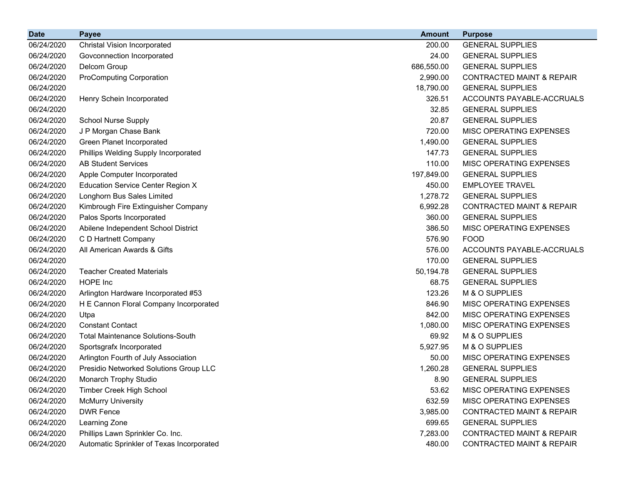| <b>Date</b> | <b>Payee</b>                              | <b>Amount</b> | <b>Purpose</b>                       |
|-------------|-------------------------------------------|---------------|--------------------------------------|
| 06/24/2020  | <b>Christal Vision Incorporated</b>       | 200.00        | <b>GENERAL SUPPLIES</b>              |
| 06/24/2020  | Govconnection Incorporated                | 24.00         | <b>GENERAL SUPPLIES</b>              |
| 06/24/2020  | Delcom Group                              | 686,550.00    | <b>GENERAL SUPPLIES</b>              |
| 06/24/2020  | <b>ProComputing Corporation</b>           | 2,990.00      | <b>CONTRACTED MAINT &amp; REPAIR</b> |
| 06/24/2020  |                                           | 18,790.00     | <b>GENERAL SUPPLIES</b>              |
| 06/24/2020  | Henry Schein Incorporated                 | 326.51        | ACCOUNTS PAYABLE-ACCRUALS            |
| 06/24/2020  |                                           | 32.85         | <b>GENERAL SUPPLIES</b>              |
| 06/24/2020  | <b>School Nurse Supply</b>                | 20.87         | <b>GENERAL SUPPLIES</b>              |
| 06/24/2020  | J P Morgan Chase Bank                     | 720.00        | MISC OPERATING EXPENSES              |
| 06/24/2020  | Green Planet Incorporated                 | 1,490.00      | <b>GENERAL SUPPLIES</b>              |
| 06/24/2020  | Phillips Welding Supply Incorporated      | 147.73        | <b>GENERAL SUPPLIES</b>              |
| 06/24/2020  | <b>AB Student Services</b>                | 110.00        | MISC OPERATING EXPENSES              |
| 06/24/2020  | Apple Computer Incorporated               | 197,849.00    | <b>GENERAL SUPPLIES</b>              |
| 06/24/2020  | <b>Education Service Center Region X</b>  | 450.00        | <b>EMPLOYEE TRAVEL</b>               |
| 06/24/2020  | Longhorn Bus Sales Limited                | 1,278.72      | <b>GENERAL SUPPLIES</b>              |
| 06/24/2020  | Kimbrough Fire Extinguisher Company       | 6,992.28      | <b>CONTRACTED MAINT &amp; REPAIR</b> |
| 06/24/2020  | Palos Sports Incorporated                 | 360.00        | <b>GENERAL SUPPLIES</b>              |
| 06/24/2020  | Abilene Independent School District       | 386.50        | MISC OPERATING EXPENSES              |
| 06/24/2020  | C D Hartnett Company                      | 576.90        | <b>FOOD</b>                          |
| 06/24/2020  | All American Awards & Gifts               | 576.00        | ACCOUNTS PAYABLE-ACCRUALS            |
| 06/24/2020  |                                           | 170.00        | <b>GENERAL SUPPLIES</b>              |
| 06/24/2020  | <b>Teacher Created Materials</b>          | 50,194.78     | <b>GENERAL SUPPLIES</b>              |
| 06/24/2020  | HOPE Inc                                  | 68.75         | <b>GENERAL SUPPLIES</b>              |
| 06/24/2020  | Arlington Hardware Incorporated #53       | 123.26        | M & O SUPPLIES                       |
| 06/24/2020  | H E Cannon Floral Company Incorporated    | 846.90        | MISC OPERATING EXPENSES              |
| 06/24/2020  | Utpa                                      | 842.00        | MISC OPERATING EXPENSES              |
| 06/24/2020  | <b>Constant Contact</b>                   | 1,080.00      | MISC OPERATING EXPENSES              |
| 06/24/2020  | <b>Total Maintenance Solutions-South</b>  | 69.92         | M & O SUPPLIES                       |
| 06/24/2020  | Sportsgrafx Incorporated                  | 5,927.95      | M & O SUPPLIES                       |
| 06/24/2020  | Arlington Fourth of July Association      | 50.00         | MISC OPERATING EXPENSES              |
| 06/24/2020  | Presidio Networked Solutions Group LLC    | 1,260.28      | <b>GENERAL SUPPLIES</b>              |
| 06/24/2020  | Monarch Trophy Studio                     | 8.90          | <b>GENERAL SUPPLIES</b>              |
| 06/24/2020  | <b>Timber Creek High School</b>           | 53.62         | MISC OPERATING EXPENSES              |
| 06/24/2020  | <b>McMurry University</b>                 | 632.59        | MISC OPERATING EXPENSES              |
| 06/24/2020  | <b>DWR Fence</b>                          | 3,985.00      | <b>CONTRACTED MAINT &amp; REPAIR</b> |
| 06/24/2020  | Learning Zone                             | 699.65        | <b>GENERAL SUPPLIES</b>              |
| 06/24/2020  | Phillips Lawn Sprinkler Co. Inc.          | 7,283.00      | <b>CONTRACTED MAINT &amp; REPAIR</b> |
| 06/24/2020  | Automatic Sprinkler of Texas Incorporated | 480.00        | <b>CONTRACTED MAINT &amp; REPAIR</b> |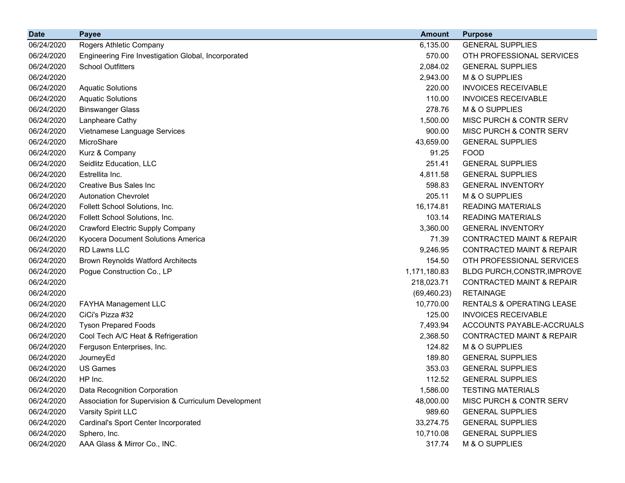| <b>Date</b> | <b>Payee</b>                                         | <b>Amount</b> | <b>Purpose</b>                       |
|-------------|------------------------------------------------------|---------------|--------------------------------------|
| 06/24/2020  | Rogers Athletic Company                              | 6,135.00      | <b>GENERAL SUPPLIES</b>              |
| 06/24/2020  | Engineering Fire Investigation Global, Incorporated  | 570.00        | OTH PROFESSIONAL SERVICES            |
| 06/24/2020  | <b>School Outfitters</b>                             | 2,084.02      | <b>GENERAL SUPPLIES</b>              |
| 06/24/2020  |                                                      | 2,943.00      | M & O SUPPLIES                       |
| 06/24/2020  | <b>Aquatic Solutions</b>                             | 220.00        | <b>INVOICES RECEIVABLE</b>           |
| 06/24/2020  | <b>Aquatic Solutions</b>                             | 110.00        | <b>INVOICES RECEIVABLE</b>           |
| 06/24/2020  | <b>Binswanger Glass</b>                              | 278.76        | M & O SUPPLIES                       |
| 06/24/2020  | Lanpheare Cathy                                      | 1,500.00      | <b>MISC PURCH &amp; CONTR SERV</b>   |
| 06/24/2020  | Vietnamese Language Services                         | 900.00        | MISC PURCH & CONTR SERV              |
| 06/24/2020  | MicroShare                                           | 43,659.00     | <b>GENERAL SUPPLIES</b>              |
| 06/24/2020  | Kurz & Company                                       | 91.25         | <b>FOOD</b>                          |
| 06/24/2020  | Seidlitz Education, LLC                              | 251.41        | <b>GENERAL SUPPLIES</b>              |
| 06/24/2020  | Estrellita Inc.                                      | 4,811.58      | <b>GENERAL SUPPLIES</b>              |
| 06/24/2020  | Creative Bus Sales Inc                               | 598.83        | <b>GENERAL INVENTORY</b>             |
| 06/24/2020  | <b>Autonation Chevrolet</b>                          | 205.11        | M & O SUPPLIES                       |
| 06/24/2020  | Follett School Solutions, Inc.                       | 16,174.81     | <b>READING MATERIALS</b>             |
| 06/24/2020  | Follett School Solutions, Inc.                       | 103.14        | <b>READING MATERIALS</b>             |
| 06/24/2020  | Crawford Electric Supply Company                     | 3,360.00      | <b>GENERAL INVENTORY</b>             |
| 06/24/2020  | Kyocera Document Solutions America                   | 71.39         | <b>CONTRACTED MAINT &amp; REPAIR</b> |
| 06/24/2020  | RD Lawns LLC                                         | 9,246.95      | <b>CONTRACTED MAINT &amp; REPAIR</b> |
| 06/24/2020  | <b>Brown Reynolds Watford Architects</b>             | 154.50        | OTH PROFESSIONAL SERVICES            |
| 06/24/2020  | Pogue Construction Co., LP                           | 1,171,180.83  | BLDG PURCH, CONSTR, IMPROVE          |
| 06/24/2020  |                                                      | 218,023.71    | <b>CONTRACTED MAINT &amp; REPAIR</b> |
| 06/24/2020  |                                                      | (69, 460.23)  | <b>RETAINAGE</b>                     |
| 06/24/2020  | FAYHA Management LLC                                 | 10,770.00     | RENTALS & OPERATING LEASE            |
| 06/24/2020  | CiCi's Pizza #32                                     | 125.00        | <b>INVOICES RECEIVABLE</b>           |
| 06/24/2020  | <b>Tyson Prepared Foods</b>                          | 7,493.94      | ACCOUNTS PAYABLE-ACCRUALS            |
| 06/24/2020  | Cool Tech A/C Heat & Refrigeration                   | 2,368.50      | <b>CONTRACTED MAINT &amp; REPAIR</b> |
| 06/24/2020  | Ferguson Enterprises, Inc.                           | 124.82        | M & O SUPPLIES                       |
| 06/24/2020  | JourneyEd                                            | 189.80        | <b>GENERAL SUPPLIES</b>              |
| 06/24/2020  | <b>US Games</b>                                      | 353.03        | <b>GENERAL SUPPLIES</b>              |
| 06/24/2020  | HP Inc.                                              | 112.52        | <b>GENERAL SUPPLIES</b>              |
| 06/24/2020  | Data Recognition Corporation                         | 1,586.00      | <b>TESTING MATERIALS</b>             |
| 06/24/2020  | Association for Supervision & Curriculum Development | 48,000.00     | MISC PURCH & CONTR SERV              |
| 06/24/2020  | Varsity Spirit LLC                                   | 989.60        | <b>GENERAL SUPPLIES</b>              |
| 06/24/2020  | Cardinal's Sport Center Incorporated                 | 33,274.75     | <b>GENERAL SUPPLIES</b>              |
| 06/24/2020  | Sphero, Inc.                                         | 10,710.08     | <b>GENERAL SUPPLIES</b>              |
| 06/24/2020  | AAA Glass & Mirror Co., INC.                         | 317.74        | M & O SUPPLIES                       |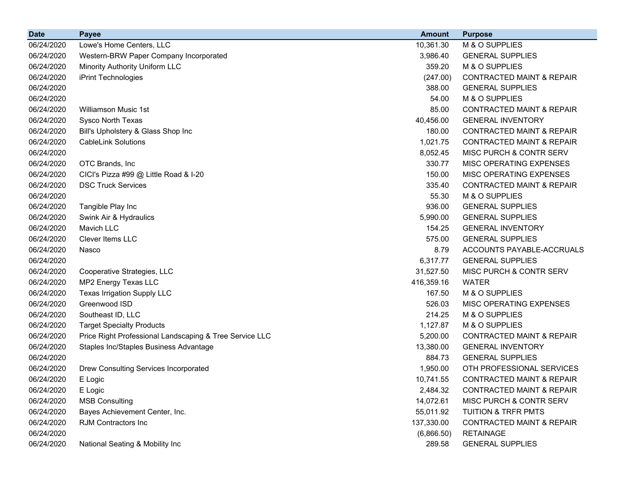| <b>Date</b> | <b>Payee</b>                                            | <b>Amount</b> | <b>Purpose</b>                       |
|-------------|---------------------------------------------------------|---------------|--------------------------------------|
| 06/24/2020  | Lowe's Home Centers, LLC                                | 10,361.30     | M & O SUPPLIES                       |
| 06/24/2020  | Western-BRW Paper Company Incorporated                  | 3,986.40      | <b>GENERAL SUPPLIES</b>              |
| 06/24/2020  | Minority Authority Uniform LLC                          | 359.20        | M & O SUPPLIES                       |
| 06/24/2020  | iPrint Technologies                                     | (247.00)      | CONTRACTED MAINT & REPAIR            |
| 06/24/2020  |                                                         | 388.00        | <b>GENERAL SUPPLIES</b>              |
| 06/24/2020  |                                                         | 54.00         | M & O SUPPLIES                       |
| 06/24/2020  | Williamson Music 1st                                    | 85.00         | <b>CONTRACTED MAINT &amp; REPAIR</b> |
| 06/24/2020  | Sysco North Texas                                       | 40,456.00     | <b>GENERAL INVENTORY</b>             |
| 06/24/2020  | Bill's Upholstery & Glass Shop Inc                      | 180.00        | <b>CONTRACTED MAINT &amp; REPAIR</b> |
| 06/24/2020  | <b>CableLink Solutions</b>                              | 1,021.75      | <b>CONTRACTED MAINT &amp; REPAIR</b> |
| 06/24/2020  |                                                         | 8,052.45      | MISC PURCH & CONTR SERV              |
| 06/24/2020  | OTC Brands, Inc.                                        | 330.77        | MISC OPERATING EXPENSES              |
| 06/24/2020  | CICI's Pizza #99 @ Little Road & I-20                   | 150.00        | MISC OPERATING EXPENSES              |
| 06/24/2020  | <b>DSC Truck Services</b>                               | 335.40        | <b>CONTRACTED MAINT &amp; REPAIR</b> |
| 06/24/2020  |                                                         | 55.30         | M & O SUPPLIES                       |
| 06/24/2020  | Tangible Play Inc                                       | 936.00        | <b>GENERAL SUPPLIES</b>              |
| 06/24/2020  | Swink Air & Hydraulics                                  | 5,990.00      | <b>GENERAL SUPPLIES</b>              |
| 06/24/2020  | Mavich LLC                                              | 154.25        | <b>GENERAL INVENTORY</b>             |
| 06/24/2020  | Clever Items LLC                                        | 575.00        | <b>GENERAL SUPPLIES</b>              |
| 06/24/2020  | Nasco                                                   | 8.79          | ACCOUNTS PAYABLE-ACCRUALS            |
| 06/24/2020  |                                                         | 6,317.77      | <b>GENERAL SUPPLIES</b>              |
| 06/24/2020  | Cooperative Strategies, LLC                             | 31,527.50     | MISC PURCH & CONTR SERV              |
| 06/24/2020  | MP2 Energy Texas LLC                                    | 416,359.16    | <b>WATER</b>                         |
| 06/24/2020  | Texas Irrigation Supply LLC                             | 167.50        | M & O SUPPLIES                       |
| 06/24/2020  | Greenwood ISD                                           | 526.03        | MISC OPERATING EXPENSES              |
| 06/24/2020  | Southeast ID, LLC                                       | 214.25        | M & O SUPPLIES                       |
| 06/24/2020  | <b>Target Specialty Products</b>                        | 1,127.87      | M & O SUPPLIES                       |
| 06/24/2020  | Price Right Professional Landscaping & Tree Service LLC | 5,200.00      | <b>CONTRACTED MAINT &amp; REPAIR</b> |
| 06/24/2020  | Staples Inc/Staples Business Advantage                  | 13,380.00     | <b>GENERAL INVENTORY</b>             |
| 06/24/2020  |                                                         | 884.73        | <b>GENERAL SUPPLIES</b>              |
| 06/24/2020  | Drew Consulting Services Incorporated                   | 1,950.00      | OTH PROFESSIONAL SERVICES            |
| 06/24/2020  | E Logic                                                 | 10,741.55     | <b>CONTRACTED MAINT &amp; REPAIR</b> |
| 06/24/2020  | E Logic                                                 | 2,484.32      | <b>CONTRACTED MAINT &amp; REPAIR</b> |
| 06/24/2020  | <b>MSB Consulting</b>                                   | 14,072.61     | MISC PURCH & CONTR SERV              |
| 06/24/2020  | Bayes Achievement Center, Inc.                          | 55,011.92     | <b>TUITION &amp; TRFR PMTS</b>       |
| 06/24/2020  | RJM Contractors Inc                                     | 137,330.00    | CONTRACTED MAINT & REPAIR            |
| 06/24/2020  |                                                         | (6,866.50)    | <b>RETAINAGE</b>                     |
| 06/24/2020  | National Seating & Mobility Inc                         | 289.58        | <b>GENERAL SUPPLIES</b>              |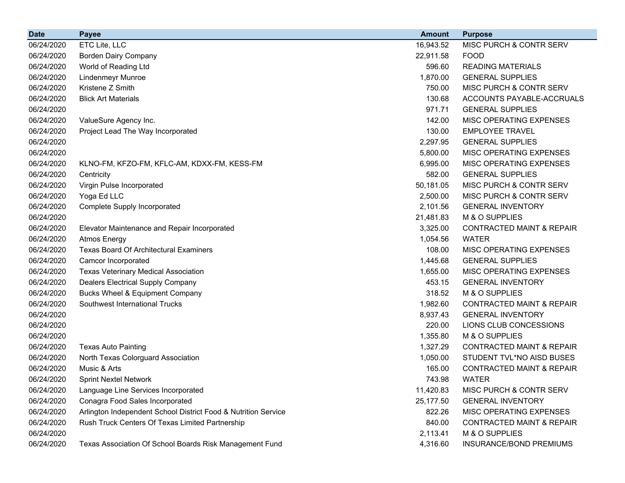| <b>Date</b> | <b>Payee</b>                                                   | <b>Amount</b> | <b>Purpose</b>                       |
|-------------|----------------------------------------------------------------|---------------|--------------------------------------|
| 06/24/2020  | ETC Lite, LLC                                                  | 16,943.52     | MISC PURCH & CONTR SERV              |
| 06/24/2020  | <b>Borden Dairy Company</b>                                    | 22,911.58     | <b>FOOD</b>                          |
| 06/24/2020  | World of Reading Ltd                                           | 596.60        | <b>READING MATERIALS</b>             |
| 06/24/2020  | <b>Lindenmeyr Munroe</b>                                       | 1,870.00      | <b>GENERAL SUPPLIES</b>              |
| 06/24/2020  | Kristene Z Smith                                               | 750.00        | MISC PURCH & CONTR SERV              |
| 06/24/2020  | <b>Blick Art Materials</b>                                     | 130.68        | ACCOUNTS PAYABLE-ACCRUALS            |
| 06/24/2020  |                                                                | 971.71        | <b>GENERAL SUPPLIES</b>              |
| 06/24/2020  | ValueSure Agency Inc.                                          | 142.00        | MISC OPERATING EXPENSES              |
| 06/24/2020  | Project Lead The Way Incorporated                              | 130.00        | <b>EMPLOYEE TRAVEL</b>               |
| 06/24/2020  |                                                                | 2,297.95      | <b>GENERAL SUPPLIES</b>              |
| 06/24/2020  |                                                                | 5,800.00      | MISC OPERATING EXPENSES              |
| 06/24/2020  | KLNO-FM, KFZO-FM, KFLC-AM, KDXX-FM, KESS-FM                    | 6,995.00      | MISC OPERATING EXPENSES              |
| 06/24/2020  | Centricity                                                     | 582.00        | <b>GENERAL SUPPLIES</b>              |
| 06/24/2020  | Virgin Pulse Incorporated                                      | 50,181.05     | MISC PURCH & CONTR SERV              |
| 06/24/2020  | Yoga Ed LLC                                                    | 2,500.00      | MISC PURCH & CONTR SERV              |
| 06/24/2020  | <b>Complete Supply Incorporated</b>                            | 2,101.56      | <b>GENERAL INVENTORY</b>             |
| 06/24/2020  |                                                                | 21,481.83     | M & O SUPPLIES                       |
| 06/24/2020  | Elevator Maintenance and Repair Incorporated                   | 3,325.00      | <b>CONTRACTED MAINT &amp; REPAIR</b> |
| 06/24/2020  | <b>Atmos Energy</b>                                            | 1,054.56      | <b>WATER</b>                         |
| 06/24/2020  | <b>Texas Board Of Architectural Examiners</b>                  | 108.00        | MISC OPERATING EXPENSES              |
| 06/24/2020  | Camcor Incorporated                                            | 1,445.68      | <b>GENERAL SUPPLIES</b>              |
| 06/24/2020  | <b>Texas Veterinary Medical Association</b>                    | 1,655.00      | MISC OPERATING EXPENSES              |
| 06/24/2020  | <b>Dealers Electrical Supply Company</b>                       | 453.15        | <b>GENERAL INVENTORY</b>             |
| 06/24/2020  | <b>Bucks Wheel &amp; Equipment Company</b>                     | 318.52        | M & O SUPPLIES                       |
| 06/24/2020  | Southwest International Trucks                                 | 1,982.60      | <b>CONTRACTED MAINT &amp; REPAIR</b> |
| 06/24/2020  |                                                                | 8,937.43      | <b>GENERAL INVENTORY</b>             |
| 06/24/2020  |                                                                | 220.00        | LIONS CLUB CONCESSIONS               |
| 06/24/2020  |                                                                | 1,355.80      | M & O SUPPLIES                       |
| 06/24/2020  | <b>Texas Auto Painting</b>                                     | 1,327.29      | <b>CONTRACTED MAINT &amp; REPAIR</b> |
| 06/24/2020  | North Texas Colorguard Association                             | 1,050.00      | STUDENT TVL*NO AISD BUSES            |
| 06/24/2020  | Music & Arts                                                   | 165.00        | <b>CONTRACTED MAINT &amp; REPAIR</b> |
| 06/24/2020  | <b>Sprint Nextel Network</b>                                   | 743.98        | <b>WATER</b>                         |
| 06/24/2020  | Language Line Services Incorporated                            | 11,420.83     | MISC PURCH & CONTR SERV              |
| 06/24/2020  | Conagra Food Sales Incorporated                                | 25,177.50     | <b>GENERAL INVENTORY</b>             |
| 06/24/2020  | Arlington Independent School District Food & Nutrition Service | 822.26        | MISC OPERATING EXPENSES              |
| 06/24/2020  | Rush Truck Centers Of Texas Limited Partnership                | 840.00        | <b>CONTRACTED MAINT &amp; REPAIR</b> |
| 06/24/2020  |                                                                | 2,113.41      | M & O SUPPLIES                       |
| 06/24/2020  | Texas Association Of School Boards Risk Management Fund        | 4,316.60      | INSURANCE/BOND PREMIUMS              |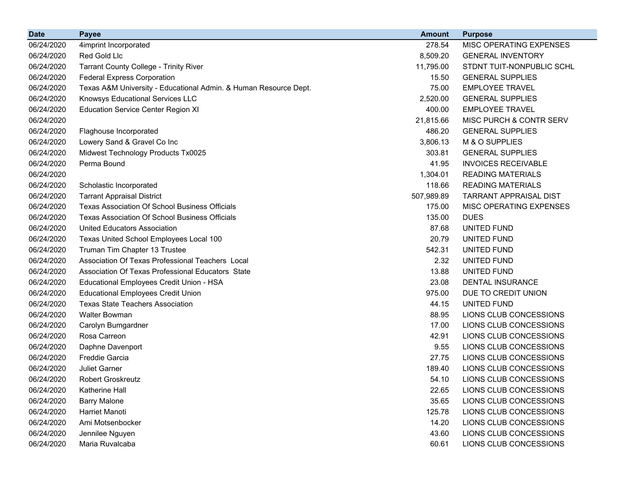| <b>Date</b> | <b>Payee</b>                                                     | <b>Amount</b> | <b>Purpose</b>                |
|-------------|------------------------------------------------------------------|---------------|-------------------------------|
| 06/24/2020  | 4imprint Incorporated                                            | 278.54        | MISC OPERATING EXPENSES       |
| 06/24/2020  | Red Gold Llc                                                     | 8,509.20      | <b>GENERAL INVENTORY</b>      |
| 06/24/2020  | Tarrant County College - Trinity River                           | 11,795.00     | STDNT TUIT-NONPUBLIC SCHL     |
| 06/24/2020  | <b>Federal Express Corporation</b>                               | 15.50         | <b>GENERAL SUPPLIES</b>       |
| 06/24/2020  | Texas A&M University - Educational Admin. & Human Resource Dept. | 75.00         | <b>EMPLOYEE TRAVEL</b>        |
| 06/24/2020  | Knowsys Educational Services LLC                                 | 2,520.00      | <b>GENERAL SUPPLIES</b>       |
| 06/24/2020  | <b>Education Service Center Region XI</b>                        | 400.00        | <b>EMPLOYEE TRAVEL</b>        |
| 06/24/2020  |                                                                  | 21,815.66     | MISC PURCH & CONTR SERV       |
| 06/24/2020  | Flaghouse Incorporated                                           | 486.20        | <b>GENERAL SUPPLIES</b>       |
| 06/24/2020  | Lowery Sand & Gravel Co Inc                                      | 3,806.13      | M & O SUPPLIES                |
| 06/24/2020  | Midwest Technology Products Tx0025                               | 303.81        | <b>GENERAL SUPPLIES</b>       |
| 06/24/2020  | Perma Bound                                                      | 41.95         | <b>INVOICES RECEIVABLE</b>    |
| 06/24/2020  |                                                                  | 1,304.01      | <b>READING MATERIALS</b>      |
| 06/24/2020  | Scholastic Incorporated                                          | 118.66        | <b>READING MATERIALS</b>      |
| 06/24/2020  | <b>Tarrant Appraisal District</b>                                | 507,989.89    | <b>TARRANT APPRAISAL DIST</b> |
| 06/24/2020  | Texas Association Of School Business Officials                   | 175.00        | MISC OPERATING EXPENSES       |
| 06/24/2020  | Texas Association Of School Business Officials                   | 135.00        | <b>DUES</b>                   |
| 06/24/2020  | <b>United Educators Association</b>                              | 87.68         | UNITED FUND                   |
| 06/24/2020  | Texas United School Employees Local 100                          | 20.79         | UNITED FUND                   |
| 06/24/2020  | Truman Tim Chapter 13 Trustee                                    | 542.31        | UNITED FUND                   |
| 06/24/2020  | Association Of Texas Professional Teachers Local                 | 2.32          | UNITED FUND                   |
| 06/24/2020  | Association Of Texas Professional Educators State                | 13.88         | UNITED FUND                   |
| 06/24/2020  | Educational Employees Credit Union - HSA                         | 23.08         | DENTAL INSURANCE              |
| 06/24/2020  | <b>Educational Employees Credit Union</b>                        | 975.00        | DUE TO CREDIT UNION           |
| 06/24/2020  | <b>Texas State Teachers Association</b>                          | 44.15         | UNITED FUND                   |
| 06/24/2020  | <b>Walter Bowman</b>                                             | 88.95         | LIONS CLUB CONCESSIONS        |
| 06/24/2020  | Carolyn Bumgardner                                               | 17.00         | LIONS CLUB CONCESSIONS        |
| 06/24/2020  | Rosa Carreon                                                     | 42.91         | LIONS CLUB CONCESSIONS        |
| 06/24/2020  | Daphne Davenport                                                 | 9.55          | LIONS CLUB CONCESSIONS        |
| 06/24/2020  | <b>Freddie Garcia</b>                                            | 27.75         | LIONS CLUB CONCESSIONS        |
| 06/24/2020  | <b>Juliet Garner</b>                                             | 189.40        | LIONS CLUB CONCESSIONS        |
| 06/24/2020  | <b>Robert Groskreutz</b>                                         | 54.10         | LIONS CLUB CONCESSIONS        |
| 06/24/2020  | Katherine Hall                                                   | 22.65         | LIONS CLUB CONCESSIONS        |
| 06/24/2020  | <b>Barry Malone</b>                                              | 35.65         | LIONS CLUB CONCESSIONS        |
| 06/24/2020  | Harriet Manoti                                                   | 125.78        | LIONS CLUB CONCESSIONS        |
| 06/24/2020  | Ami Motsenbocker                                                 | 14.20         | LIONS CLUB CONCESSIONS        |
| 06/24/2020  | Jennilee Nguyen                                                  | 43.60         | LIONS CLUB CONCESSIONS        |
| 06/24/2020  | Maria Ruvalcaba                                                  | 60.61         | LIONS CLUB CONCESSIONS        |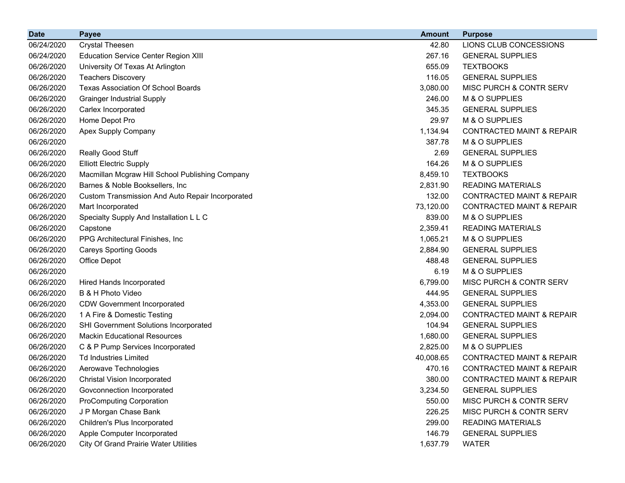| <b>Date</b> | <b>Payee</b>                                     | <b>Amount</b> | <b>Purpose</b>                       |
|-------------|--------------------------------------------------|---------------|--------------------------------------|
| 06/24/2020  | <b>Crystal Theesen</b>                           | 42.80         | LIONS CLUB CONCESSIONS               |
| 06/24/2020  | <b>Education Service Center Region XIII</b>      | 267.16        | <b>GENERAL SUPPLIES</b>              |
| 06/26/2020  | University Of Texas At Arlington                 | 655.09        | <b>TEXTBOOKS</b>                     |
| 06/26/2020  | <b>Teachers Discovery</b>                        | 116.05        | <b>GENERAL SUPPLIES</b>              |
| 06/26/2020  | <b>Texas Association Of School Boards</b>        | 3,080.00      | MISC PURCH & CONTR SERV              |
| 06/26/2020  | <b>Grainger Industrial Supply</b>                | 246.00        | M & O SUPPLIES                       |
| 06/26/2020  | Carlex Incorporated                              | 345.35        | <b>GENERAL SUPPLIES</b>              |
| 06/26/2020  | Home Depot Pro                                   | 29.97         | M & O SUPPLIES                       |
| 06/26/2020  | Apex Supply Company                              | 1,134.94      | <b>CONTRACTED MAINT &amp; REPAIR</b> |
| 06/26/2020  |                                                  | 387.78        | M & O SUPPLIES                       |
| 06/26/2020  | Really Good Stuff                                | 2.69          | <b>GENERAL SUPPLIES</b>              |
| 06/26/2020  | <b>Elliott Electric Supply</b>                   | 164.26        | M & O SUPPLIES                       |
| 06/26/2020  | Macmillan Mcgraw Hill School Publishing Company  | 8,459.10      | <b>TEXTBOOKS</b>                     |
| 06/26/2020  | Barnes & Noble Booksellers, Inc.                 | 2,831.90      | <b>READING MATERIALS</b>             |
| 06/26/2020  | Custom Transmission And Auto Repair Incorporated | 132.00        | <b>CONTRACTED MAINT &amp; REPAIR</b> |
| 06/26/2020  | Mart Incorporated                                | 73,120.00     | <b>CONTRACTED MAINT &amp; REPAIR</b> |
| 06/26/2020  | Specialty Supply And Installation L L C          | 839.00        | M & O SUPPLIES                       |
| 06/26/2020  | Capstone                                         | 2,359.41      | <b>READING MATERIALS</b>             |
| 06/26/2020  | PPG Architectural Finishes, Inc.                 | 1,065.21      | M & O SUPPLIES                       |
| 06/26/2020  | <b>Careys Sporting Goods</b>                     | 2,884.90      | <b>GENERAL SUPPLIES</b>              |
| 06/26/2020  | Office Depot                                     | 488.48        | <b>GENERAL SUPPLIES</b>              |
| 06/26/2020  |                                                  | 6.19          | M & O SUPPLIES                       |
| 06/26/2020  | <b>Hired Hands Incorporated</b>                  | 6,799.00      | MISC PURCH & CONTR SERV              |
| 06/26/2020  | B & H Photo Video                                | 444.95        | <b>GENERAL SUPPLIES</b>              |
| 06/26/2020  | <b>CDW Government Incorporated</b>               | 4,353.00      | <b>GENERAL SUPPLIES</b>              |
| 06/26/2020  | 1 A Fire & Domestic Testing                      | 2,094.00      | <b>CONTRACTED MAINT &amp; REPAIR</b> |
| 06/26/2020  | SHI Government Solutions Incorporated            | 104.94        | <b>GENERAL SUPPLIES</b>              |
| 06/26/2020  | <b>Mackin Educational Resources</b>              | 1,680.00      | <b>GENERAL SUPPLIES</b>              |
| 06/26/2020  | C & P Pump Services Incorporated                 | 2,825.00      | M & O SUPPLIES                       |
| 06/26/2020  | <b>Td Industries Limited</b>                     | 40,008.65     | <b>CONTRACTED MAINT &amp; REPAIR</b> |
| 06/26/2020  | Aerowave Technologies                            | 470.16        | <b>CONTRACTED MAINT &amp; REPAIR</b> |
| 06/26/2020  | <b>Christal Vision Incorporated</b>              | 380.00        | <b>CONTRACTED MAINT &amp; REPAIR</b> |
| 06/26/2020  | Govconnection Incorporated                       | 3,234.50      | <b>GENERAL SUPPLIES</b>              |
| 06/26/2020  | <b>ProComputing Corporation</b>                  | 550.00        | MISC PURCH & CONTR SERV              |
| 06/26/2020  | J P Morgan Chase Bank                            | 226.25        | MISC PURCH & CONTR SERV              |
| 06/26/2020  | Children's Plus Incorporated                     | 299.00        | <b>READING MATERIALS</b>             |
| 06/26/2020  | Apple Computer Incorporated                      | 146.79        | <b>GENERAL SUPPLIES</b>              |
| 06/26/2020  | <b>City Of Grand Prairie Water Utilities</b>     | 1,637.79      | <b>WATER</b>                         |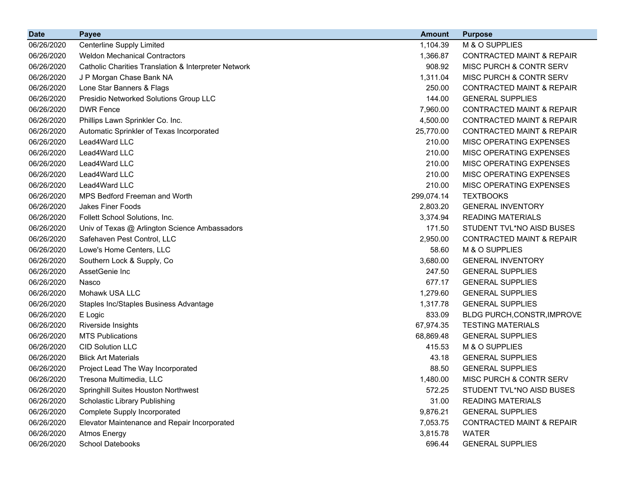| <b>Date</b> | <b>Payee</b>                                         | <b>Amount</b> | <b>Purpose</b>                       |
|-------------|------------------------------------------------------|---------------|--------------------------------------|
| 06/26/2020  | <b>Centerline Supply Limited</b>                     | 1,104.39      | M & O SUPPLIES                       |
| 06/26/2020  | <b>Weldon Mechanical Contractors</b>                 | 1,366.87      | <b>CONTRACTED MAINT &amp; REPAIR</b> |
| 06/26/2020  | Catholic Charities Translation & Interpreter Network | 908.92        | MISC PURCH & CONTR SERV              |
| 06/26/2020  | J P Morgan Chase Bank NA                             | 1,311.04      | MISC PURCH & CONTR SERV              |
| 06/26/2020  | Lone Star Banners & Flags                            | 250.00        | <b>CONTRACTED MAINT &amp; REPAIR</b> |
| 06/26/2020  | Presidio Networked Solutions Group LLC               | 144.00        | <b>GENERAL SUPPLIES</b>              |
| 06/26/2020  | <b>DWR Fence</b>                                     | 7,960.00      | <b>CONTRACTED MAINT &amp; REPAIR</b> |
| 06/26/2020  | Phillips Lawn Sprinkler Co. Inc.                     | 4,500.00      | <b>CONTRACTED MAINT &amp; REPAIR</b> |
| 06/26/2020  | Automatic Sprinkler of Texas Incorporated            | 25,770.00     | <b>CONTRACTED MAINT &amp; REPAIR</b> |
| 06/26/2020  | Lead4Ward LLC                                        | 210.00        | MISC OPERATING EXPENSES              |
| 06/26/2020  | Lead4Ward LLC                                        | 210.00        | MISC OPERATING EXPENSES              |
| 06/26/2020  | Lead4Ward LLC                                        | 210.00        | MISC OPERATING EXPENSES              |
| 06/26/2020  | Lead4Ward LLC                                        | 210.00        | MISC OPERATING EXPENSES              |
| 06/26/2020  | Lead4Ward LLC                                        | 210.00        | MISC OPERATING EXPENSES              |
| 06/26/2020  | MPS Bedford Freeman and Worth                        | 299,074.14    | <b>TEXTBOOKS</b>                     |
| 06/26/2020  | <b>Jakes Finer Foods</b>                             | 2,803.20      | <b>GENERAL INVENTORY</b>             |
| 06/26/2020  | Follett School Solutions, Inc.                       | 3,374.94      | <b>READING MATERIALS</b>             |
| 06/26/2020  | Univ of Texas @ Arlington Science Ambassadors        | 171.50        | STUDENT TVL*NO AISD BUSES            |
| 06/26/2020  | Safehaven Pest Control, LLC                          | 2,950.00      | <b>CONTRACTED MAINT &amp; REPAIR</b> |
| 06/26/2020  | Lowe's Home Centers, LLC                             | 58.60         | M & O SUPPLIES                       |
| 06/26/2020  | Southern Lock & Supply, Co                           | 3,680.00      | <b>GENERAL INVENTORY</b>             |
| 06/26/2020  | AssetGenie Inc                                       | 247.50        | <b>GENERAL SUPPLIES</b>              |
| 06/26/2020  | Nasco                                                | 677.17        | <b>GENERAL SUPPLIES</b>              |
| 06/26/2020  | Mohawk USA LLC                                       | 1,279.60      | <b>GENERAL SUPPLIES</b>              |
| 06/26/2020  | Staples Inc/Staples Business Advantage               | 1,317.78      | <b>GENERAL SUPPLIES</b>              |
| 06/26/2020  | E Logic                                              | 833.09        | BLDG PURCH, CONSTR, IMPROVE          |
| 06/26/2020  | Riverside Insights                                   | 67,974.35     | <b>TESTING MATERIALS</b>             |
| 06/26/2020  | <b>MTS Publications</b>                              | 68,869.48     | <b>GENERAL SUPPLIES</b>              |
| 06/26/2020  | <b>CID Solution LLC</b>                              | 415.53        | M & O SUPPLIES                       |
| 06/26/2020  | <b>Blick Art Materials</b>                           | 43.18         | <b>GENERAL SUPPLIES</b>              |
| 06/26/2020  | Project Lead The Way Incorporated                    | 88.50         | <b>GENERAL SUPPLIES</b>              |
| 06/26/2020  | Tresona Multimedia, LLC                              | 1,480.00      | MISC PURCH & CONTR SERV              |
| 06/26/2020  | Springhill Suites Houston Northwest                  | 572.25        | STUDENT TVL*NO AISD BUSES            |
| 06/26/2020  | Scholastic Library Publishing                        | 31.00         | <b>READING MATERIALS</b>             |
| 06/26/2020  | <b>Complete Supply Incorporated</b>                  | 9,876.21      | <b>GENERAL SUPPLIES</b>              |
| 06/26/2020  | Elevator Maintenance and Repair Incorporated         | 7,053.75      | <b>CONTRACTED MAINT &amp; REPAIR</b> |
| 06/26/2020  | <b>Atmos Energy</b>                                  | 3,815.78      | <b>WATER</b>                         |
| 06/26/2020  | School Datebooks                                     | 696.44        | <b>GENERAL SUPPLIES</b>              |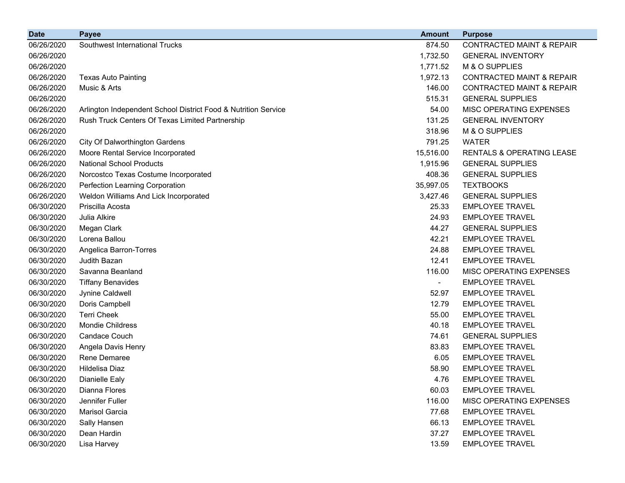| <b>Date</b> | <b>Payee</b>                                                   | <b>Amount</b> | <b>Purpose</b>                       |
|-------------|----------------------------------------------------------------|---------------|--------------------------------------|
| 06/26/2020  | Southwest International Trucks                                 | 874.50        | <b>CONTRACTED MAINT &amp; REPAIR</b> |
| 06/26/2020  |                                                                | 1,732.50      | <b>GENERAL INVENTORY</b>             |
| 06/26/2020  |                                                                | 1,771.52      | M & O SUPPLIES                       |
| 06/26/2020  | <b>Texas Auto Painting</b>                                     | 1,972.13      | <b>CONTRACTED MAINT &amp; REPAIR</b> |
| 06/26/2020  | Music & Arts                                                   | 146.00        | <b>CONTRACTED MAINT &amp; REPAIR</b> |
| 06/26/2020  |                                                                | 515.31        | <b>GENERAL SUPPLIES</b>              |
| 06/26/2020  | Arlington Independent School District Food & Nutrition Service | 54.00         | MISC OPERATING EXPENSES              |
| 06/26/2020  | Rush Truck Centers Of Texas Limited Partnership                | 131.25        | <b>GENERAL INVENTORY</b>             |
| 06/26/2020  |                                                                | 318.96        | M & O SUPPLIES                       |
| 06/26/2020  | City Of Dalworthington Gardens                                 | 791.25        | <b>WATER</b>                         |
| 06/26/2020  | Moore Rental Service Incorporated                              | 15,516.00     | <b>RENTALS &amp; OPERATING LEASE</b> |
| 06/26/2020  | <b>National School Products</b>                                | 1,915.96      | <b>GENERAL SUPPLIES</b>              |
| 06/26/2020  | Norcostco Texas Costume Incorporated                           | 408.36        | <b>GENERAL SUPPLIES</b>              |
| 06/26/2020  | Perfection Learning Corporation                                | 35,997.05     | <b>TEXTBOOKS</b>                     |
| 06/26/2020  | Weldon Williams And Lick Incorporated                          | 3,427.46      | <b>GENERAL SUPPLIES</b>              |
| 06/30/2020  | Priscilla Acosta                                               | 25.33         | <b>EMPLOYEE TRAVEL</b>               |
| 06/30/2020  | Julia Alkire                                                   | 24.93         | <b>EMPLOYEE TRAVEL</b>               |
| 06/30/2020  | Megan Clark                                                    | 44.27         | <b>GENERAL SUPPLIES</b>              |
| 06/30/2020  | Lorena Ballou                                                  | 42.21         | <b>EMPLOYEE TRAVEL</b>               |
| 06/30/2020  | Angelica Barron-Torres                                         | 24.88         | <b>EMPLOYEE TRAVEL</b>               |
| 06/30/2020  | Judith Bazan                                                   | 12.41         | <b>EMPLOYEE TRAVEL</b>               |
| 06/30/2020  | Savanna Beanland                                               | 116.00        | MISC OPERATING EXPENSES              |
| 06/30/2020  | <b>Tiffany Benavides</b>                                       |               | <b>EMPLOYEE TRAVEL</b>               |
| 06/30/2020  | Jynine Caldwell                                                | 52.97         | <b>EMPLOYEE TRAVEL</b>               |
| 06/30/2020  | Doris Campbell                                                 | 12.79         | <b>EMPLOYEE TRAVEL</b>               |
| 06/30/2020  | <b>Terri Cheek</b>                                             | 55.00         | <b>EMPLOYEE TRAVEL</b>               |
| 06/30/2020  | Mondie Childress                                               | 40.18         | <b>EMPLOYEE TRAVEL</b>               |
| 06/30/2020  | Candace Couch                                                  | 74.61         | <b>GENERAL SUPPLIES</b>              |
| 06/30/2020  | Angela Davis Henry                                             | 83.83         | <b>EMPLOYEE TRAVEL</b>               |
| 06/30/2020  | Rene Demaree                                                   | 6.05          | <b>EMPLOYEE TRAVEL</b>               |
| 06/30/2020  | Hildelisa Diaz                                                 | 58.90         | <b>EMPLOYEE TRAVEL</b>               |
| 06/30/2020  | Dianielle Ealy                                                 | 4.76          | <b>EMPLOYEE TRAVEL</b>               |
| 06/30/2020  | Dianna Flores                                                  | 60.03         | <b>EMPLOYEE TRAVEL</b>               |
| 06/30/2020  | Jennifer Fuller                                                | 116.00        | MISC OPERATING EXPENSES              |
| 06/30/2020  | Marisol Garcia                                                 | 77.68         | <b>EMPLOYEE TRAVEL</b>               |
| 06/30/2020  | Sally Hansen                                                   | 66.13         | <b>EMPLOYEE TRAVEL</b>               |
| 06/30/2020  | Dean Hardin                                                    | 37.27         | <b>EMPLOYEE TRAVEL</b>               |
| 06/30/2020  | Lisa Harvey                                                    | 13.59         | <b>EMPLOYEE TRAVEL</b>               |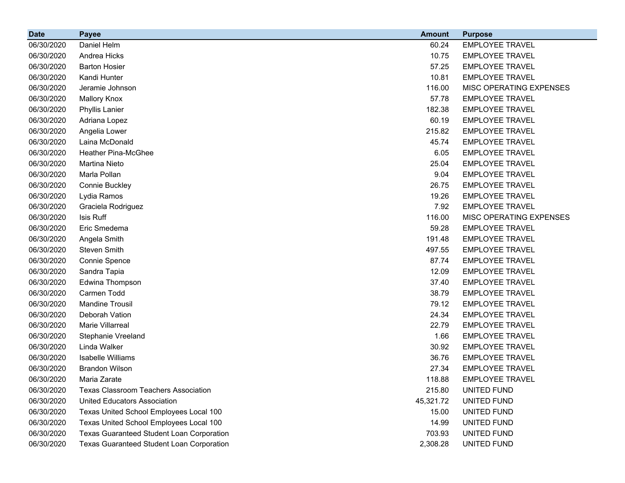| <b>Date</b> | <b>Payee</b>                                     | <b>Amount</b> | <b>Purpose</b>          |
|-------------|--------------------------------------------------|---------------|-------------------------|
| 06/30/2020  | Daniel Helm                                      | 60.24         | <b>EMPLOYEE TRAVEL</b>  |
| 06/30/2020  | Andrea Hicks                                     | 10.75         | <b>EMPLOYEE TRAVEL</b>  |
| 06/30/2020  | <b>Barton Hosier</b>                             | 57.25         | <b>EMPLOYEE TRAVEL</b>  |
| 06/30/2020  | Kandi Hunter                                     | 10.81         | <b>EMPLOYEE TRAVEL</b>  |
| 06/30/2020  | Jeramie Johnson                                  | 116.00        | MISC OPERATING EXPENSES |
| 06/30/2020  | <b>Mallory Knox</b>                              | 57.78         | <b>EMPLOYEE TRAVEL</b>  |
| 06/30/2020  | Phyllis Lanier                                   | 182.38        | <b>EMPLOYEE TRAVEL</b>  |
| 06/30/2020  | Adriana Lopez                                    | 60.19         | <b>EMPLOYEE TRAVEL</b>  |
| 06/30/2020  | Angelia Lower                                    | 215.82        | <b>EMPLOYEE TRAVEL</b>  |
| 06/30/2020  | Laina McDonald                                   | 45.74         | <b>EMPLOYEE TRAVEL</b>  |
| 06/30/2020  | <b>Heather Pina-McGhee</b>                       | 6.05          | <b>EMPLOYEE TRAVEL</b>  |
| 06/30/2020  | Martina Nieto                                    | 25.04         | <b>EMPLOYEE TRAVEL</b>  |
| 06/30/2020  | Marla Pollan                                     | 9.04          | <b>EMPLOYEE TRAVEL</b>  |
| 06/30/2020  | Connie Buckley                                   | 26.75         | <b>EMPLOYEE TRAVEL</b>  |
| 06/30/2020  | Lydia Ramos                                      | 19.26         | <b>EMPLOYEE TRAVEL</b>  |
| 06/30/2020  | Graciela Rodriguez                               | 7.92          | <b>EMPLOYEE TRAVEL</b>  |
| 06/30/2020  | Isis Ruff                                        | 116.00        | MISC OPERATING EXPENSES |
| 06/30/2020  | Eric Smedema                                     | 59.28         | <b>EMPLOYEE TRAVEL</b>  |
| 06/30/2020  | Angela Smith                                     | 191.48        | <b>EMPLOYEE TRAVEL</b>  |
| 06/30/2020  | Steven Smith                                     | 497.55        | <b>EMPLOYEE TRAVEL</b>  |
| 06/30/2020  | Connie Spence                                    | 87.74         | <b>EMPLOYEE TRAVEL</b>  |
| 06/30/2020  | Sandra Tapia                                     | 12.09         | <b>EMPLOYEE TRAVEL</b>  |
| 06/30/2020  | Edwina Thompson                                  | 37.40         | <b>EMPLOYEE TRAVEL</b>  |
| 06/30/2020  | Carmen Todd                                      | 38.79         | <b>EMPLOYEE TRAVEL</b>  |
| 06/30/2020  | <b>Mandine Trousil</b>                           | 79.12         | <b>EMPLOYEE TRAVEL</b>  |
| 06/30/2020  | Deborah Vation                                   | 24.34         | <b>EMPLOYEE TRAVEL</b>  |
| 06/30/2020  | Marie Villarreal                                 | 22.79         | <b>EMPLOYEE TRAVEL</b>  |
| 06/30/2020  | Stephanie Vreeland                               | 1.66          | <b>EMPLOYEE TRAVEL</b>  |
| 06/30/2020  | Linda Walker                                     | 30.92         | <b>EMPLOYEE TRAVEL</b>  |
| 06/30/2020  | <b>Isabelle Williams</b>                         | 36.76         | <b>EMPLOYEE TRAVEL</b>  |
| 06/30/2020  | <b>Brandon Wilson</b>                            | 27.34         | <b>EMPLOYEE TRAVEL</b>  |
| 06/30/2020  | Maria Zarate                                     | 118.88        | <b>EMPLOYEE TRAVEL</b>  |
| 06/30/2020  | <b>Texas Classroom Teachers Association</b>      | 215.80        | UNITED FUND             |
| 06/30/2020  | United Educators Association                     | 45,321.72     | UNITED FUND             |
| 06/30/2020  | Texas United School Employees Local 100          | 15.00         | UNITED FUND             |
| 06/30/2020  | Texas United School Employees Local 100          | 14.99         | UNITED FUND             |
| 06/30/2020  | <b>Texas Guaranteed Student Loan Corporation</b> | 703.93        | UNITED FUND             |
| 06/30/2020  | <b>Texas Guaranteed Student Loan Corporation</b> | 2,308.28      | UNITED FUND             |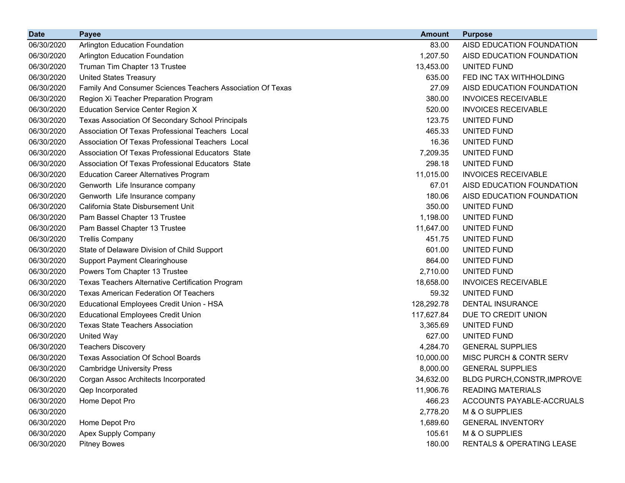| <b>Date</b> | <b>Payee</b>                                               | <b>Amount</b> | <b>Purpose</b>              |
|-------------|------------------------------------------------------------|---------------|-----------------------------|
| 06/30/2020  | <b>Arlington Education Foundation</b>                      | 83.00         | AISD EDUCATION FOUNDATION   |
| 06/30/2020  | <b>Arlington Education Foundation</b>                      | 1,207.50      | AISD EDUCATION FOUNDATION   |
| 06/30/2020  | Truman Tim Chapter 13 Trustee                              | 13,453.00     | UNITED FUND                 |
| 06/30/2020  | <b>United States Treasury</b>                              | 635.00        | FED INC TAX WITHHOLDING     |
| 06/30/2020  | Family And Consumer Sciences Teachers Association Of Texas | 27.09         | AISD EDUCATION FOUNDATION   |
| 06/30/2020  | Region Xi Teacher Preparation Program                      | 380.00        | <b>INVOICES RECEIVABLE</b>  |
| 06/30/2020  | <b>Education Service Center Region X</b>                   | 520.00        | <b>INVOICES RECEIVABLE</b>  |
| 06/30/2020  | Texas Association Of Secondary School Principals           | 123.75        | UNITED FUND                 |
| 06/30/2020  | Association Of Texas Professional Teachers Local           | 465.33        | UNITED FUND                 |
| 06/30/2020  | Association Of Texas Professional Teachers Local           | 16.36         | UNITED FUND                 |
| 06/30/2020  | Association Of Texas Professional Educators State          | 7,209.35      | UNITED FUND                 |
| 06/30/2020  | Association Of Texas Professional Educators State          | 298.18        | UNITED FUND                 |
| 06/30/2020  | <b>Education Career Alternatives Program</b>               | 11,015.00     | <b>INVOICES RECEIVABLE</b>  |
| 06/30/2020  | Genworth Life Insurance company                            | 67.01         | AISD EDUCATION FOUNDATION   |
| 06/30/2020  | Genworth Life Insurance company                            | 180.06        | AISD EDUCATION FOUNDATION   |
| 06/30/2020  | California State Disbursement Unit                         | 350.00        | UNITED FUND                 |
| 06/30/2020  | Pam Bassel Chapter 13 Trustee                              | 1,198.00      | UNITED FUND                 |
| 06/30/2020  | Pam Bassel Chapter 13 Trustee                              | 11,647.00     | UNITED FUND                 |
| 06/30/2020  | <b>Trellis Company</b>                                     | 451.75        | UNITED FUND                 |
| 06/30/2020  | State of Delaware Division of Child Support                | 601.00        | UNITED FUND                 |
| 06/30/2020  | <b>Support Payment Clearinghouse</b>                       | 864.00        | UNITED FUND                 |
| 06/30/2020  | Powers Tom Chapter 13 Trustee                              | 2,710.00      | UNITED FUND                 |
| 06/30/2020  | Texas Teachers Alternative Certification Program           | 18,658.00     | <b>INVOICES RECEIVABLE</b>  |
| 06/30/2020  | <b>Texas American Federation Of Teachers</b>               | 59.32         | UNITED FUND                 |
| 06/30/2020  | Educational Employees Credit Union - HSA                   | 128,292.78    | <b>DENTAL INSURANCE</b>     |
| 06/30/2020  | <b>Educational Employees Credit Union</b>                  | 117,627.84    | DUE TO CREDIT UNION         |
| 06/30/2020  | <b>Texas State Teachers Association</b>                    | 3,365.69      | UNITED FUND                 |
| 06/30/2020  | <b>United Way</b>                                          | 627.00        | UNITED FUND                 |
| 06/30/2020  | <b>Teachers Discovery</b>                                  | 4,284.70      | <b>GENERAL SUPPLIES</b>     |
| 06/30/2020  | <b>Texas Association Of School Boards</b>                  | 10,000.00     | MISC PURCH & CONTR SERV     |
| 06/30/2020  | <b>Cambridge University Press</b>                          | 8,000.00      | <b>GENERAL SUPPLIES</b>     |
| 06/30/2020  | Corgan Assoc Architects Incorporated                       | 34,632.00     | BLDG PURCH, CONSTR, IMPROVE |
| 06/30/2020  | Qep Incorporated                                           | 11,906.76     | <b>READING MATERIALS</b>    |
| 06/30/2020  | Home Depot Pro                                             | 466.23        | ACCOUNTS PAYABLE-ACCRUALS   |
| 06/30/2020  |                                                            | 2,778.20      | M & O SUPPLIES              |
| 06/30/2020  | Home Depot Pro                                             | 1,689.60      | <b>GENERAL INVENTORY</b>    |
| 06/30/2020  | <b>Apex Supply Company</b>                                 | 105.61        | M & O SUPPLIES              |
| 06/30/2020  | <b>Pitney Bowes</b>                                        | 180.00        | RENTALS & OPERATING LEASE   |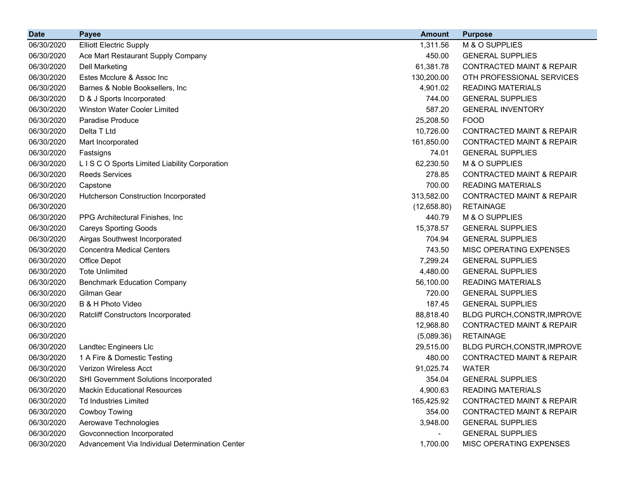| <b>Date</b> | Payee                                           | <b>Amount</b>  | <b>Purpose</b>                       |
|-------------|-------------------------------------------------|----------------|--------------------------------------|
| 06/30/2020  | <b>Elliott Electric Supply</b>                  | 1,311.56       | M & O SUPPLIES                       |
| 06/30/2020  | Ace Mart Restaurant Supply Company              | 450.00         | <b>GENERAL SUPPLIES</b>              |
| 06/30/2020  | <b>Dell Marketing</b>                           | 61,381.78      | <b>CONTRACTED MAINT &amp; REPAIR</b> |
| 06/30/2020  | Estes Mcclure & Assoc Inc                       | 130,200.00     | OTH PROFESSIONAL SERVICES            |
| 06/30/2020  | Barnes & Noble Booksellers, Inc.                | 4,901.02       | <b>READING MATERIALS</b>             |
| 06/30/2020  | D & J Sports Incorporated                       | 744.00         | <b>GENERAL SUPPLIES</b>              |
| 06/30/2020  | Winston Water Cooler Limited                    | 587.20         | <b>GENERAL INVENTORY</b>             |
| 06/30/2020  | Paradise Produce                                | 25,208.50      | <b>FOOD</b>                          |
| 06/30/2020  | Delta T Ltd                                     | 10,726.00      | <b>CONTRACTED MAINT &amp; REPAIR</b> |
| 06/30/2020  | Mart Incorporated                               | 161,850.00     | <b>CONTRACTED MAINT &amp; REPAIR</b> |
| 06/30/2020  | Fastsigns                                       | 74.01          | <b>GENERAL SUPPLIES</b>              |
| 06/30/2020  | L I S C O Sports Limited Liability Corporation  | 62,230.50      | M & O SUPPLIES                       |
| 06/30/2020  | <b>Reeds Services</b>                           | 278.85         | <b>CONTRACTED MAINT &amp; REPAIR</b> |
| 06/30/2020  | Capstone                                        | 700.00         | <b>READING MATERIALS</b>             |
| 06/30/2020  | Hutcherson Construction Incorporated            | 313,582.00     | <b>CONTRACTED MAINT &amp; REPAIR</b> |
| 06/30/2020  |                                                 | (12,658.80)    | <b>RETAINAGE</b>                     |
| 06/30/2020  | PPG Architectural Finishes, Inc.                | 440.79         | M & O SUPPLIES                       |
| 06/30/2020  | <b>Careys Sporting Goods</b>                    | 15,378.57      | <b>GENERAL SUPPLIES</b>              |
| 06/30/2020  | Airgas Southwest Incorporated                   | 704.94         | <b>GENERAL SUPPLIES</b>              |
| 06/30/2020  | <b>Concentra Medical Centers</b>                | 743.50         | MISC OPERATING EXPENSES              |
| 06/30/2020  | Office Depot                                    | 7,299.24       | <b>GENERAL SUPPLIES</b>              |
| 06/30/2020  | <b>Tote Unlimited</b>                           | 4,480.00       | <b>GENERAL SUPPLIES</b>              |
| 06/30/2020  | <b>Benchmark Education Company</b>              | 56,100.00      | <b>READING MATERIALS</b>             |
| 06/30/2020  | Gilman Gear                                     | 720.00         | <b>GENERAL SUPPLIES</b>              |
| 06/30/2020  | B & H Photo Video                               | 187.45         | <b>GENERAL SUPPLIES</b>              |
| 06/30/2020  | <b>Ratcliff Constructors Incorporated</b>       | 88,818.40      | BLDG PURCH, CONSTR, IMPROVE          |
| 06/30/2020  |                                                 | 12,968.80      | <b>CONTRACTED MAINT &amp; REPAIR</b> |
| 06/30/2020  |                                                 | (5,089.36)     | <b>RETAINAGE</b>                     |
| 06/30/2020  | Landtec Engineers Llc                           | 29,515.00      | BLDG PURCH, CONSTR, IMPROVE          |
| 06/30/2020  | 1 A Fire & Domestic Testing                     | 480.00         | <b>CONTRACTED MAINT &amp; REPAIR</b> |
| 06/30/2020  | Verizon Wireless Acct                           | 91,025.74      | <b>WATER</b>                         |
| 06/30/2020  | <b>SHI Government Solutions Incorporated</b>    | 354.04         | <b>GENERAL SUPPLIES</b>              |
| 06/30/2020  | <b>Mackin Educational Resources</b>             | 4,900.63       | <b>READING MATERIALS</b>             |
| 06/30/2020  | <b>Td Industries Limited</b>                    | 165,425.92     | <b>CONTRACTED MAINT &amp; REPAIR</b> |
| 06/30/2020  | Cowboy Towing                                   | 354.00         | <b>CONTRACTED MAINT &amp; REPAIR</b> |
| 06/30/2020  | Aerowave Technologies                           | 3,948.00       | <b>GENERAL SUPPLIES</b>              |
| 06/30/2020  | Govconnection Incorporated                      | $\blacksquare$ | <b>GENERAL SUPPLIES</b>              |
| 06/30/2020  | Advancement Via Individual Determination Center | 1,700.00       | MISC OPERATING EXPENSES              |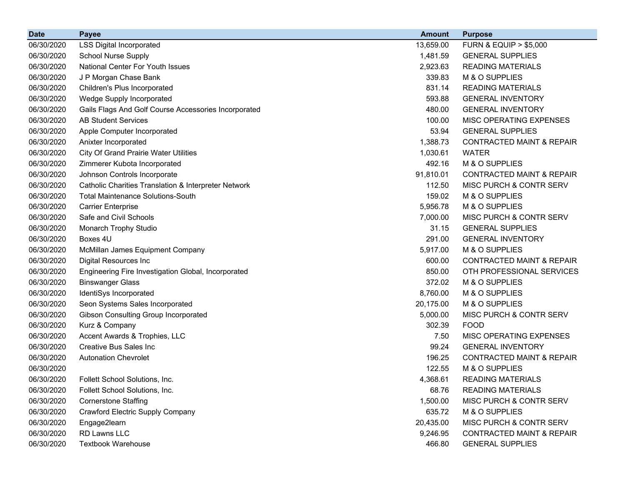| <b>Date</b> | Payee                                                | <b>Amount</b> | <b>Purpose</b>                       |
|-------------|------------------------------------------------------|---------------|--------------------------------------|
| 06/30/2020  | <b>LSS Digital Incorporated</b>                      | 13,659.00     | <b>FURN &amp; EQUIP &gt; \$5,000</b> |
| 06/30/2020  | <b>School Nurse Supply</b>                           | 1,481.59      | <b>GENERAL SUPPLIES</b>              |
| 06/30/2020  | National Center For Youth Issues                     | 2,923.63      | <b>READING MATERIALS</b>             |
| 06/30/2020  | J P Morgan Chase Bank                                | 339.83        | M & O SUPPLIES                       |
| 06/30/2020  | Children's Plus Incorporated                         | 831.14        | <b>READING MATERIALS</b>             |
| 06/30/2020  | Wedge Supply Incorporated                            | 593.88        | <b>GENERAL INVENTORY</b>             |
| 06/30/2020  | Gails Flags And Golf Course Accessories Incorporated | 480.00        | <b>GENERAL INVENTORY</b>             |
| 06/30/2020  | <b>AB Student Services</b>                           | 100.00        | MISC OPERATING EXPENSES              |
| 06/30/2020  | Apple Computer Incorporated                          | 53.94         | <b>GENERAL SUPPLIES</b>              |
| 06/30/2020  | Anixter Incorporated                                 | 1,388.73      | <b>CONTRACTED MAINT &amp; REPAIR</b> |
| 06/30/2020  | City Of Grand Prairie Water Utilities                | 1,030.61      | <b>WATER</b>                         |
| 06/30/2020  | Zimmerer Kubota Incorporated                         | 492.16        | M & O SUPPLIES                       |
| 06/30/2020  | Johnson Controls Incorporate                         | 91,810.01     | <b>CONTRACTED MAINT &amp; REPAIR</b> |
| 06/30/2020  | Catholic Charities Translation & Interpreter Network | 112.50        | MISC PURCH & CONTR SERV              |
| 06/30/2020  | <b>Total Maintenance Solutions-South</b>             | 159.02        | M & O SUPPLIES                       |
| 06/30/2020  | <b>Carrier Enterprise</b>                            | 5,956.78      | M & O SUPPLIES                       |
| 06/30/2020  | Safe and Civil Schools                               | 7,000.00      | MISC PURCH & CONTR SERV              |
| 06/30/2020  | Monarch Trophy Studio                                | 31.15         | <b>GENERAL SUPPLIES</b>              |
| 06/30/2020  | Boxes 4U                                             | 291.00        | <b>GENERAL INVENTORY</b>             |
| 06/30/2020  | McMillan James Equipment Company                     | 5,917.00      | M & O SUPPLIES                       |
| 06/30/2020  | <b>Digital Resources Inc</b>                         | 600.00        | <b>CONTRACTED MAINT &amp; REPAIR</b> |
| 06/30/2020  | Engineering Fire Investigation Global, Incorporated  | 850.00        | OTH PROFESSIONAL SERVICES            |
| 06/30/2020  | <b>Binswanger Glass</b>                              | 372.02        | M & O SUPPLIES                       |
| 06/30/2020  | IdentiSys Incorporated                               | 8,760.00      | M & O SUPPLIES                       |
| 06/30/2020  | Seon Systems Sales Incorporated                      | 20,175.00     | M & O SUPPLIES                       |
| 06/30/2020  | Gibson Consulting Group Incorporated                 | 5,000.00      | MISC PURCH & CONTR SERV              |
| 06/30/2020  | Kurz & Company                                       | 302.39        | <b>FOOD</b>                          |
| 06/30/2020  | Accent Awards & Trophies, LLC                        | 7.50          | MISC OPERATING EXPENSES              |
| 06/30/2020  | Creative Bus Sales Inc.                              | 99.24         | <b>GENERAL INVENTORY</b>             |
| 06/30/2020  | <b>Autonation Chevrolet</b>                          | 196.25        | <b>CONTRACTED MAINT &amp; REPAIR</b> |
| 06/30/2020  |                                                      | 122.55        | M & O SUPPLIES                       |
| 06/30/2020  | Follett School Solutions, Inc.                       | 4,368.61      | <b>READING MATERIALS</b>             |
| 06/30/2020  | Follett School Solutions, Inc.                       | 68.76         | <b>READING MATERIALS</b>             |
| 06/30/2020  | <b>Cornerstone Staffing</b>                          | 1,500.00      | MISC PURCH & CONTR SERV              |
| 06/30/2020  | <b>Crawford Electric Supply Company</b>              | 635.72        | M & O SUPPLIES                       |
| 06/30/2020  | Engage2learn                                         | 20,435.00     | MISC PURCH & CONTR SERV              |
| 06/30/2020  | RD Lawns LLC                                         | 9,246.95      | <b>CONTRACTED MAINT &amp; REPAIR</b> |
| 06/30/2020  | <b>Textbook Warehouse</b>                            | 466.80        | <b>GENERAL SUPPLIES</b>              |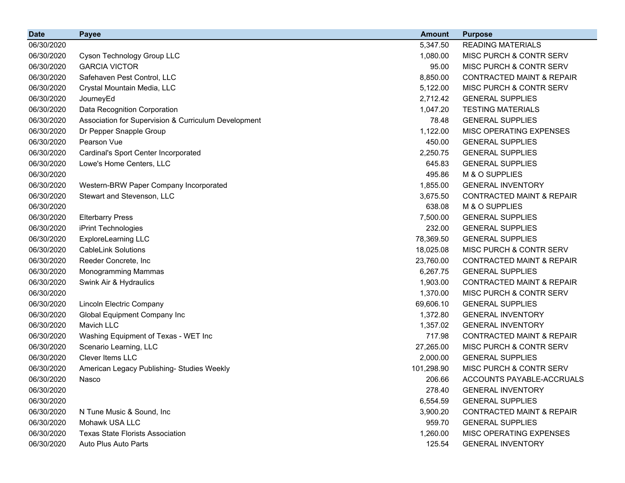| <b>Date</b> | <b>Payee</b>                                         | <b>Amount</b> | <b>Purpose</b>                       |
|-------------|------------------------------------------------------|---------------|--------------------------------------|
| 06/30/2020  |                                                      | 5,347.50      | <b>READING MATERIALS</b>             |
| 06/30/2020  | Cyson Technology Group LLC                           | 1,080.00      | MISC PURCH & CONTR SERV              |
| 06/30/2020  | <b>GARCIA VICTOR</b>                                 | 95.00         | MISC PURCH & CONTR SERV              |
| 06/30/2020  | Safehaven Pest Control, LLC                          | 8,850.00      | <b>CONTRACTED MAINT &amp; REPAIR</b> |
| 06/30/2020  | Crystal Mountain Media, LLC                          | 5,122.00      | MISC PURCH & CONTR SERV              |
| 06/30/2020  | JourneyEd                                            | 2,712.42      | <b>GENERAL SUPPLIES</b>              |
| 06/30/2020  | Data Recognition Corporation                         | 1,047.20      | <b>TESTING MATERIALS</b>             |
| 06/30/2020  | Association for Supervision & Curriculum Development | 78.48         | <b>GENERAL SUPPLIES</b>              |
| 06/30/2020  | Dr Pepper Snapple Group                              | 1,122.00      | MISC OPERATING EXPENSES              |
| 06/30/2020  | Pearson Vue                                          | 450.00        | <b>GENERAL SUPPLIES</b>              |
| 06/30/2020  | Cardinal's Sport Center Incorporated                 | 2,250.75      | <b>GENERAL SUPPLIES</b>              |
| 06/30/2020  | Lowe's Home Centers, LLC                             | 645.83        | <b>GENERAL SUPPLIES</b>              |
| 06/30/2020  |                                                      | 495.86        | M & O SUPPLIES                       |
| 06/30/2020  | Western-BRW Paper Company Incorporated               | 1,855.00      | <b>GENERAL INVENTORY</b>             |
| 06/30/2020  | Stewart and Stevenson, LLC                           | 3,675.50      | <b>CONTRACTED MAINT &amp; REPAIR</b> |
| 06/30/2020  |                                                      | 638.08        | M & O SUPPLIES                       |
| 06/30/2020  | <b>Elterbarry Press</b>                              | 7,500.00      | <b>GENERAL SUPPLIES</b>              |
| 06/30/2020  | iPrint Technologies                                  | 232.00        | <b>GENERAL SUPPLIES</b>              |
| 06/30/2020  | <b>ExploreLearning LLC</b>                           | 78,369.50     | <b>GENERAL SUPPLIES</b>              |
| 06/30/2020  | <b>CableLink Solutions</b>                           | 18,025.08     | MISC PURCH & CONTR SERV              |
| 06/30/2020  | Reeder Concrete, Inc                                 | 23,760.00     | <b>CONTRACTED MAINT &amp; REPAIR</b> |
| 06/30/2020  | Monogramming Mammas                                  | 6,267.75      | <b>GENERAL SUPPLIES</b>              |
| 06/30/2020  | Swink Air & Hydraulics                               | 1,903.00      | <b>CONTRACTED MAINT &amp; REPAIR</b> |
| 06/30/2020  |                                                      | 1,370.00      | MISC PURCH & CONTR SERV              |
| 06/30/2020  | Lincoln Electric Company                             | 69,606.10     | <b>GENERAL SUPPLIES</b>              |
| 06/30/2020  | Global Equipment Company Inc                         | 1,372.80      | <b>GENERAL INVENTORY</b>             |
| 06/30/2020  | Mavich LLC                                           | 1,357.02      | <b>GENERAL INVENTORY</b>             |
| 06/30/2020  | Washing Equipment of Texas - WET Inc                 | 717.98        | <b>CONTRACTED MAINT &amp; REPAIR</b> |
| 06/30/2020  | Scenario Learning, LLC                               | 27,265.00     | MISC PURCH & CONTR SERV              |
| 06/30/2020  | <b>Clever Items LLC</b>                              | 2,000.00      | <b>GENERAL SUPPLIES</b>              |
| 06/30/2020  | American Legacy Publishing- Studies Weekly           | 101,298.90    | MISC PURCH & CONTR SERV              |
| 06/30/2020  | Nasco                                                | 206.66        | ACCOUNTS PAYABLE-ACCRUALS            |
| 06/30/2020  |                                                      | 278.40        | <b>GENERAL INVENTORY</b>             |
| 06/30/2020  |                                                      | 6,554.59      | <b>GENERAL SUPPLIES</b>              |
| 06/30/2020  | N Tune Music & Sound, Inc.                           | 3,900.20      | <b>CONTRACTED MAINT &amp; REPAIR</b> |
| 06/30/2020  | Mohawk USA LLC                                       | 959.70        | <b>GENERAL SUPPLIES</b>              |
| 06/30/2020  | <b>Texas State Florists Association</b>              | 1,260.00      | MISC OPERATING EXPENSES              |
| 06/30/2020  | Auto Plus Auto Parts                                 | 125.54        | <b>GENERAL INVENTORY</b>             |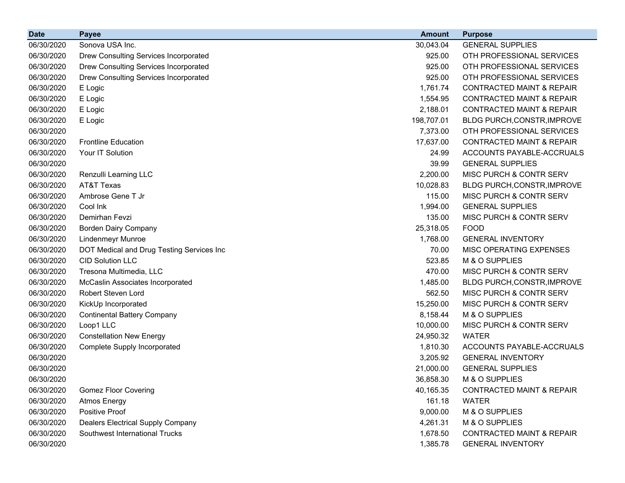| <b>Date</b> | <b>Payee</b>                              | <b>Amount</b> | <b>Purpose</b>                       |
|-------------|-------------------------------------------|---------------|--------------------------------------|
| 06/30/2020  | Sonova USA Inc.                           | 30,043.04     | <b>GENERAL SUPPLIES</b>              |
| 06/30/2020  | Drew Consulting Services Incorporated     | 925.00        | OTH PROFESSIONAL SERVICES            |
| 06/30/2020  | Drew Consulting Services Incorporated     | 925.00        | OTH PROFESSIONAL SERVICES            |
| 06/30/2020  | Drew Consulting Services Incorporated     | 925.00        | OTH PROFESSIONAL SERVICES            |
| 06/30/2020  | E Logic                                   | 1,761.74      | <b>CONTRACTED MAINT &amp; REPAIR</b> |
| 06/30/2020  | E Logic                                   | 1,554.95      | <b>CONTRACTED MAINT &amp; REPAIR</b> |
| 06/30/2020  | E Logic                                   | 2,188.01      | <b>CONTRACTED MAINT &amp; REPAIR</b> |
| 06/30/2020  | E Logic                                   | 198,707.01    | BLDG PURCH, CONSTR, IMPROVE          |
| 06/30/2020  |                                           | 7,373.00      | OTH PROFESSIONAL SERVICES            |
| 06/30/2020  | <b>Frontline Education</b>                | 17,637.00     | <b>CONTRACTED MAINT &amp; REPAIR</b> |
| 06/30/2020  | Your IT Solution                          | 24.99         | ACCOUNTS PAYABLE-ACCRUALS            |
| 06/30/2020  |                                           | 39.99         | <b>GENERAL SUPPLIES</b>              |
| 06/30/2020  | Renzulli Learning LLC                     | 2,200.00      | MISC PURCH & CONTR SERV              |
| 06/30/2020  | AT&T Texas                                | 10,028.83     | BLDG PURCH, CONSTR, IMPROVE          |
| 06/30/2020  | Ambrose Gene T Jr                         | 115.00        | MISC PURCH & CONTR SERV              |
| 06/30/2020  | Cool Ink                                  | 1,994.00      | <b>GENERAL SUPPLIES</b>              |
| 06/30/2020  | Demirhan Fevzi                            | 135.00        | MISC PURCH & CONTR SERV              |
| 06/30/2020  | <b>Borden Dairy Company</b>               | 25,318.05     | <b>FOOD</b>                          |
| 06/30/2020  | Lindenmeyr Munroe                         | 1,768.00      | <b>GENERAL INVENTORY</b>             |
| 06/30/2020  | DOT Medical and Drug Testing Services Inc | 70.00         | MISC OPERATING EXPENSES              |
| 06/30/2020  | <b>CID Solution LLC</b>                   | 523.85        | M & O SUPPLIES                       |
| 06/30/2020  | Tresona Multimedia, LLC                   | 470.00        | MISC PURCH & CONTR SERV              |
| 06/30/2020  | McCaslin Associates Incorporated          | 1,485.00      | BLDG PURCH, CONSTR, IMPROVE          |
| 06/30/2020  | Robert Steven Lord                        | 562.50        | MISC PURCH & CONTR SERV              |
| 06/30/2020  | KickUp Incorporated                       | 15,250.00     | MISC PURCH & CONTR SERV              |
| 06/30/2020  | <b>Continental Battery Company</b>        | 8,158.44      | M & O SUPPLIES                       |
| 06/30/2020  | Loop1 LLC                                 | 10,000.00     | MISC PURCH & CONTR SERV              |
| 06/30/2020  | <b>Constellation New Energy</b>           | 24,950.32     | <b>WATER</b>                         |
| 06/30/2020  | Complete Supply Incorporated              | 1,810.30      | ACCOUNTS PAYABLE-ACCRUALS            |
| 06/30/2020  |                                           | 3,205.92      | <b>GENERAL INVENTORY</b>             |
| 06/30/2020  |                                           | 21,000.00     | <b>GENERAL SUPPLIES</b>              |
| 06/30/2020  |                                           | 36,858.30     | M & O SUPPLIES                       |
| 06/30/2020  | <b>Gomez Floor Covering</b>               | 40,165.35     | <b>CONTRACTED MAINT &amp; REPAIR</b> |
| 06/30/2020  | <b>Atmos Energy</b>                       | 161.18        | <b>WATER</b>                         |
| 06/30/2020  | Positive Proof                            | 9,000.00      | M & O SUPPLIES                       |
| 06/30/2020  | <b>Dealers Electrical Supply Company</b>  | 4,261.31      | M & O SUPPLIES                       |
| 06/30/2020  | Southwest International Trucks            | 1,678.50      | CONTRACTED MAINT & REPAIR            |
| 06/30/2020  |                                           | 1,385.78      | <b>GENERAL INVENTORY</b>             |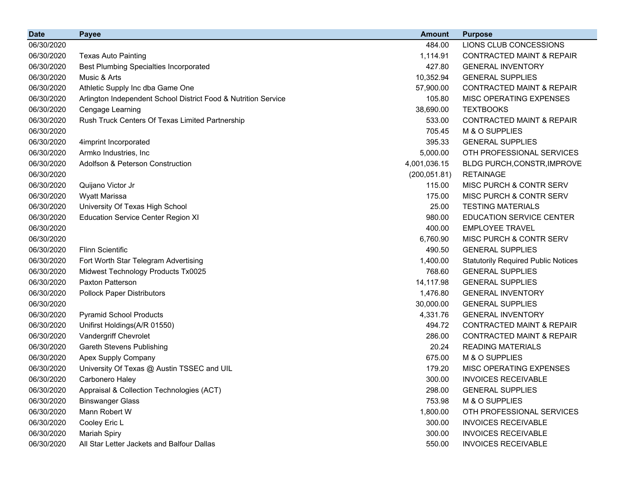| <b>Date</b> | <b>Payee</b>                                                   | <b>Amount</b> | <b>Purpose</b>                             |
|-------------|----------------------------------------------------------------|---------------|--------------------------------------------|
| 06/30/2020  |                                                                | 484.00        | LIONS CLUB CONCESSIONS                     |
| 06/30/2020  | <b>Texas Auto Painting</b>                                     | 1,114.91      | <b>CONTRACTED MAINT &amp; REPAIR</b>       |
| 06/30/2020  | <b>Best Plumbing Specialties Incorporated</b>                  | 427.80        | <b>GENERAL INVENTORY</b>                   |
| 06/30/2020  | Music & Arts                                                   | 10,352.94     | <b>GENERAL SUPPLIES</b>                    |
| 06/30/2020  | Athletic Supply Inc dba Game One                               | 57,900.00     | <b>CONTRACTED MAINT &amp; REPAIR</b>       |
| 06/30/2020  | Arlington Independent School District Food & Nutrition Service | 105.80        | MISC OPERATING EXPENSES                    |
| 06/30/2020  | Cengage Learning                                               | 38,690.00     | <b>TEXTBOOKS</b>                           |
| 06/30/2020  | Rush Truck Centers Of Texas Limited Partnership                | 533.00        | <b>CONTRACTED MAINT &amp; REPAIR</b>       |
| 06/30/2020  |                                                                | 705.45        | M & O SUPPLIES                             |
| 06/30/2020  | 4imprint Incorporated                                          | 395.33        | <b>GENERAL SUPPLIES</b>                    |
| 06/30/2020  | Armko Industries, Inc.                                         | 5,000.00      | OTH PROFESSIONAL SERVICES                  |
| 06/30/2020  | Adolfson & Peterson Construction                               | 4,001,036.15  | BLDG PURCH, CONSTR, IMPROVE                |
| 06/30/2020  |                                                                | (200, 051.81) | <b>RETAINAGE</b>                           |
| 06/30/2020  | Quijano Victor Jr                                              | 115.00        | MISC PURCH & CONTR SERV                    |
| 06/30/2020  | <b>Wyatt Marissa</b>                                           | 175.00        | MISC PURCH & CONTR SERV                    |
| 06/30/2020  | University Of Texas High School                                | 25.00         | <b>TESTING MATERIALS</b>                   |
| 06/30/2020  | <b>Education Service Center Region XI</b>                      | 980.00        | <b>EDUCATION SERVICE CENTER</b>            |
| 06/30/2020  |                                                                | 400.00        | <b>EMPLOYEE TRAVEL</b>                     |
| 06/30/2020  |                                                                | 6,760.90      | MISC PURCH & CONTR SERV                    |
| 06/30/2020  | <b>Flinn Scientific</b>                                        | 490.50        | <b>GENERAL SUPPLIES</b>                    |
| 06/30/2020  | Fort Worth Star Telegram Advertising                           | 1,400.00      | <b>Statutorily Required Public Notices</b> |
| 06/30/2020  | Midwest Technology Products Tx0025                             | 768.60        | <b>GENERAL SUPPLIES</b>                    |
| 06/30/2020  | Paxton Patterson                                               | 14,117.98     | <b>GENERAL SUPPLIES</b>                    |
| 06/30/2020  | <b>Pollock Paper Distributors</b>                              | 1,476.80      | <b>GENERAL INVENTORY</b>                   |
| 06/30/2020  |                                                                | 30,000.00     | <b>GENERAL SUPPLIES</b>                    |
| 06/30/2020  | <b>Pyramid School Products</b>                                 | 4,331.76      | <b>GENERAL INVENTORY</b>                   |
| 06/30/2020  | Unifirst Holdings(A/R 01550)                                   | 494.72        | <b>CONTRACTED MAINT &amp; REPAIR</b>       |
| 06/30/2020  | Vandergriff Chevrolet                                          | 286.00        | <b>CONTRACTED MAINT &amp; REPAIR</b>       |
| 06/30/2020  | <b>Gareth Stevens Publishing</b>                               | 20.24         | <b>READING MATERIALS</b>                   |
| 06/30/2020  | Apex Supply Company                                            | 675.00        | M & O SUPPLIES                             |
| 06/30/2020  | University Of Texas @ Austin TSSEC and UIL                     | 179.20        | MISC OPERATING EXPENSES                    |
| 06/30/2020  | Carbonero Haley                                                | 300.00        | <b>INVOICES RECEIVABLE</b>                 |
| 06/30/2020  | Appraisal & Collection Technologies (ACT)                      | 298.00        | <b>GENERAL SUPPLIES</b>                    |
| 06/30/2020  | <b>Binswanger Glass</b>                                        | 753.98        | M & O SUPPLIES                             |
| 06/30/2020  | Mann Robert W                                                  | 1,800.00      | OTH PROFESSIONAL SERVICES                  |
| 06/30/2020  | Cooley Eric L                                                  | 300.00        | <b>INVOICES RECEIVABLE</b>                 |
| 06/30/2020  | <b>Mariah Spiry</b>                                            | 300.00        | <b>INVOICES RECEIVABLE</b>                 |
| 06/30/2020  | All Star Letter Jackets and Balfour Dallas                     | 550.00        | <b>INVOICES RECEIVABLE</b>                 |